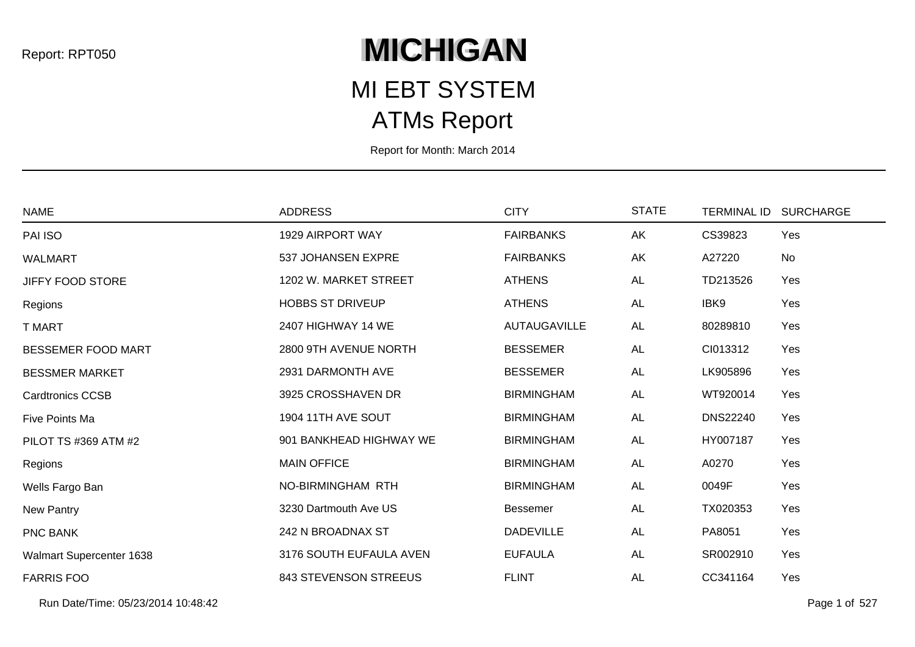## **MICHIGAN**

## ATMs Report MI EBT SYSTEM

Report for Month: March 2014

| <b>NAME</b>              | <b>ADDRESS</b>               | <b>CITY</b>         | <b>STATE</b> | <b>TERMINAL ID</b> | <b>SURCHARGE</b> |
|--------------------------|------------------------------|---------------------|--------------|--------------------|------------------|
| PAI ISO                  | 1929 AIRPORT WAY             | <b>FAIRBANKS</b>    | AK           | CS39823            | Yes              |
| <b>WALMART</b>           | 537 JOHANSEN EXPRE           | <b>FAIRBANKS</b>    | AK           | A27220             | No               |
| <b>JIFFY FOOD STORE</b>  | 1202 W. MARKET STREET        | <b>ATHENS</b>       | <b>AL</b>    | TD213526           | Yes              |
| Regions                  | <b>HOBBS ST DRIVEUP</b>      | <b>ATHENS</b>       | <b>AL</b>    | IBK9               | Yes              |
| T MART                   | 2407 HIGHWAY 14 WE           | <b>AUTAUGAVILLE</b> | AL           | 80289810           | Yes              |
| BESSEMER FOOD MART       | 2800 9TH AVENUE NORTH        | <b>BESSEMER</b>     | <b>AL</b>    | CI013312           | Yes              |
| <b>BESSMER MARKET</b>    | 2931 DARMONTH AVE            | <b>BESSEMER</b>     | <b>AL</b>    | LK905896           | Yes              |
| <b>Cardtronics CCSB</b>  | 3925 CROSSHAVEN DR           | <b>BIRMINGHAM</b>   | <b>AL</b>    | WT920014           | Yes              |
| Five Points Ma           | 1904 11TH AVE SOUT           | <b>BIRMINGHAM</b>   | <b>AL</b>    | <b>DNS22240</b>    | Yes              |
| PILOT TS #369 ATM #2     | 901 BANKHEAD HIGHWAY WE      | <b>BIRMINGHAM</b>   | <b>AL</b>    | HY007187           | Yes              |
| Regions                  | <b>MAIN OFFICE</b>           | <b>BIRMINGHAM</b>   | <b>AL</b>    | A0270              | Yes              |
| Wells Fargo Ban          | NO-BIRMINGHAM RTH            | <b>BIRMINGHAM</b>   | <b>AL</b>    | 0049F              | Yes              |
| New Pantry               | 3230 Dartmouth Ave US        | <b>Bessemer</b>     | <b>AL</b>    | TX020353           | Yes              |
| PNC BANK                 | 242 N BROADNAX ST            | <b>DADEVILLE</b>    | <b>AL</b>    | PA8051             | Yes              |
| Walmart Supercenter 1638 | 3176 SOUTH EUFAULA AVEN      | <b>EUFAULA</b>      | AL           | SR002910           | Yes              |
| <b>FARRIS FOO</b>        | <b>843 STEVENSON STREEUS</b> | <b>FLINT</b>        | <b>AL</b>    | CC341164           | Yes              |

Run Date/Time: 05/23/2014 10:48:42 Page 1 of 527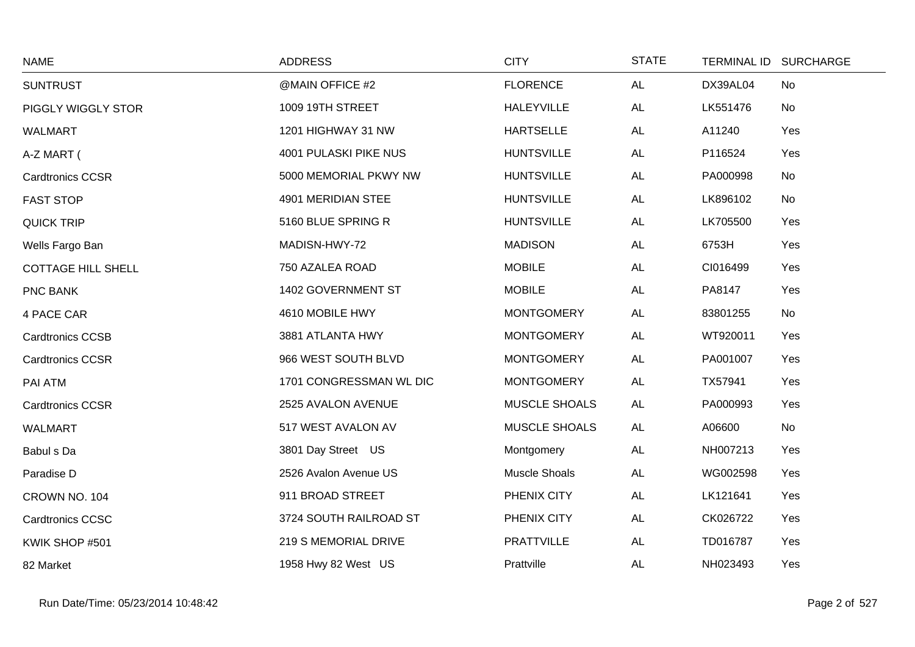| <b>NAME</b>               | <b>ADDRESS</b>          | <b>CITY</b>          | <b>STATE</b> |          | TERMINAL ID SURCHARGE |
|---------------------------|-------------------------|----------------------|--------------|----------|-----------------------|
| <b>SUNTRUST</b>           | @MAIN OFFICE #2         | <b>FLORENCE</b>      | <b>AL</b>    | DX39AL04 | No                    |
| PIGGLY WIGGLY STOR        | 1009 19TH STREET        | <b>HALEYVILLE</b>    | <b>AL</b>    | LK551476 | No                    |
| WALMART                   | 1201 HIGHWAY 31 NW      | <b>HARTSELLE</b>     | <b>AL</b>    | A11240   | Yes                   |
| A-Z MART (                | 4001 PULASKI PIKE NUS   | <b>HUNTSVILLE</b>    | <b>AL</b>    | P116524  | Yes                   |
| <b>Cardtronics CCSR</b>   | 5000 MEMORIAL PKWY NW   | <b>HUNTSVILLE</b>    | <b>AL</b>    | PA000998 | No                    |
| <b>FAST STOP</b>          | 4901 MERIDIAN STEE      | <b>HUNTSVILLE</b>    | <b>AL</b>    | LK896102 | No                    |
| <b>QUICK TRIP</b>         | 5160 BLUE SPRING R      | <b>HUNTSVILLE</b>    | <b>AL</b>    | LK705500 | Yes                   |
| Wells Fargo Ban           | MADISN-HWY-72           | <b>MADISON</b>       | <b>AL</b>    | 6753H    | Yes                   |
| <b>COTTAGE HILL SHELL</b> | 750 AZALEA ROAD         | <b>MOBILE</b>        | <b>AL</b>    | CI016499 | Yes                   |
| PNC BANK                  | 1402 GOVERNMENT ST      | <b>MOBILE</b>        | <b>AL</b>    | PA8147   | Yes                   |
| 4 PACE CAR                | 4610 MOBILE HWY         | <b>MONTGOMERY</b>    | <b>AL</b>    | 83801255 | No                    |
| <b>Cardtronics CCSB</b>   | 3881 ATLANTA HWY        | <b>MONTGOMERY</b>    | AL           | WT920011 | Yes                   |
| <b>Cardtronics CCSR</b>   | 966 WEST SOUTH BLVD     | <b>MONTGOMERY</b>    | <b>AL</b>    | PA001007 | Yes                   |
| PAI ATM                   | 1701 CONGRESSMAN WL DIC | <b>MONTGOMERY</b>    | <b>AL</b>    | TX57941  | Yes                   |
| <b>Cardtronics CCSR</b>   | 2525 AVALON AVENUE      | <b>MUSCLE SHOALS</b> | <b>AL</b>    | PA000993 | Yes                   |
| <b>WALMART</b>            | 517 WEST AVALON AV      | MUSCLE SHOALS        | <b>AL</b>    | A06600   | No                    |
| Babul s Da                | 3801 Day Street US      | Montgomery           | AL           | NH007213 | Yes                   |
| Paradise D                | 2526 Avalon Avenue US   | Muscle Shoals        | <b>AL</b>    | WG002598 | Yes                   |
| CROWN NO. 104             | 911 BROAD STREET        | PHENIX CITY          | <b>AL</b>    | LK121641 | Yes                   |
| <b>Cardtronics CCSC</b>   | 3724 SOUTH RAILROAD ST  | PHENIX CITY          | <b>AL</b>    | CK026722 | Yes                   |
| KWIK SHOP #501            | 219 S MEMORIAL DRIVE    | <b>PRATTVILLE</b>    | <b>AL</b>    | TD016787 | Yes                   |
| 82 Market                 | 1958 Hwy 82 West US     | Prattville           | AL           | NH023493 | Yes                   |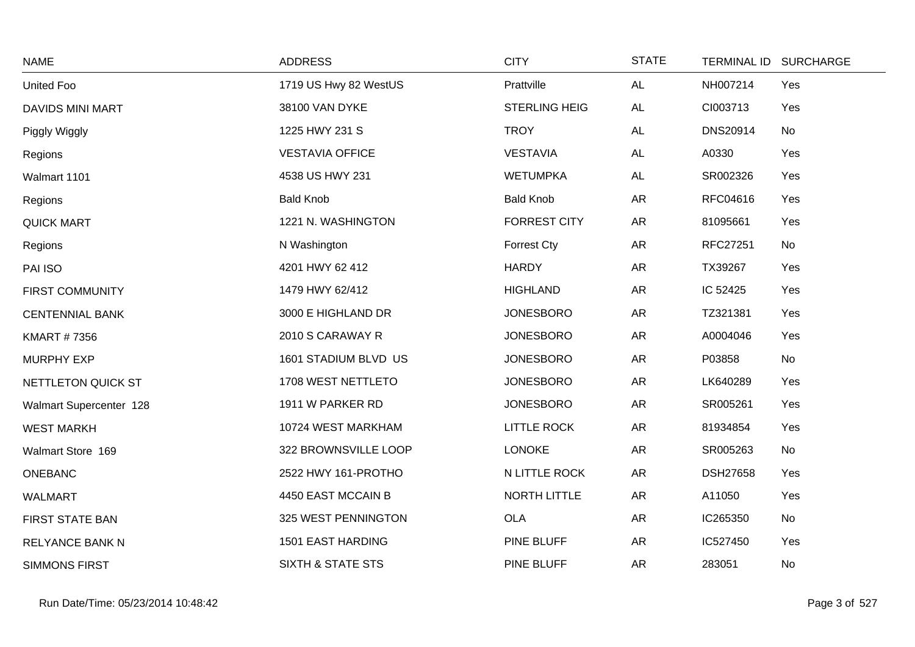| <b>NAME</b>             | <b>ADDRESS</b>               | <b>CITY</b>          | <b>STATE</b> | <b>TERMINAL ID</b> | <b>SURCHARGE</b> |
|-------------------------|------------------------------|----------------------|--------------|--------------------|------------------|
| United Foo              | 1719 US Hwy 82 WestUS        | Prattville           | AL           | NH007214           | Yes              |
| <b>DAVIDS MINI MART</b> | 38100 VAN DYKE               | <b>STERLING HEIG</b> | <b>AL</b>    | CI003713           | Yes              |
| Piggly Wiggly           | 1225 HWY 231 S               | <b>TROY</b>          | <b>AL</b>    | <b>DNS20914</b>    | No               |
| Regions                 | <b>VESTAVIA OFFICE</b>       | <b>VESTAVIA</b>      | AL           | A0330              | Yes              |
| Walmart 1101            | 4538 US HWY 231              | <b>WETUMPKA</b>      | AL           | SR002326           | Yes              |
| Regions                 | <b>Bald Knob</b>             | <b>Bald Knob</b>     | AR           | RFC04616           | Yes              |
| <b>QUICK MART</b>       | 1221 N. WASHINGTON           | <b>FORREST CITY</b>  | <b>AR</b>    | 81095661           | Yes              |
| Regions                 | N Washington                 | <b>Forrest Cty</b>   | ${\sf AR}$   | RFC27251           | No               |
| PAI ISO                 | 4201 HWY 62 412              | <b>HARDY</b>         | <b>AR</b>    | TX39267            | Yes              |
| <b>FIRST COMMUNITY</b>  | 1479 HWY 62/412              | <b>HIGHLAND</b>      | AR           | IC 52425           | Yes              |
| <b>CENTENNIAL BANK</b>  | 3000 E HIGHLAND DR           | <b>JONESBORO</b>     | <b>AR</b>    | TZ321381           | Yes              |
| <b>KMART #7356</b>      | 2010 S CARAWAY R             | <b>JONESBORO</b>     | <b>AR</b>    | A0004046           | Yes              |
| <b>MURPHY EXP</b>       | 1601 STADIUM BLVD US         | <b>JONESBORO</b>     | AR           | P03858             | No               |
| NETTLETON QUICK ST      | 1708 WEST NETTLETO           | <b>JONESBORO</b>     | <b>AR</b>    | LK640289           | Yes              |
| Walmart Supercenter 128 | 1911 W PARKER RD             | <b>JONESBORO</b>     | AR           | SR005261           | Yes              |
| <b>WEST MARKH</b>       | 10724 WEST MARKHAM           | <b>LITTLE ROCK</b>   | <b>AR</b>    | 81934854           | Yes              |
| Walmart Store 169       | 322 BROWNSVILLE LOOP         | <b>LONOKE</b>        | <b>AR</b>    | SR005263           | No               |
| ONEBANC                 | 2522 HWY 161-PROTHO          | N LITTLE ROCK        | AR           | <b>DSH27658</b>    | Yes              |
| <b>WALMART</b>          | 4450 EAST MCCAIN B           | NORTH LITTLE         | AR           | A11050             | Yes              |
| FIRST STATE BAN         | 325 WEST PENNINGTON          | <b>OLA</b>           | <b>AR</b>    | IC265350           | No               |
| <b>RELYANCE BANK N</b>  | 1501 EAST HARDING            | PINE BLUFF           | <b>AR</b>    | IC527450           | Yes              |
| <b>SIMMONS FIRST</b>    | <b>SIXTH &amp; STATE STS</b> | PINE BLUFF           | <b>AR</b>    | 283051             | No               |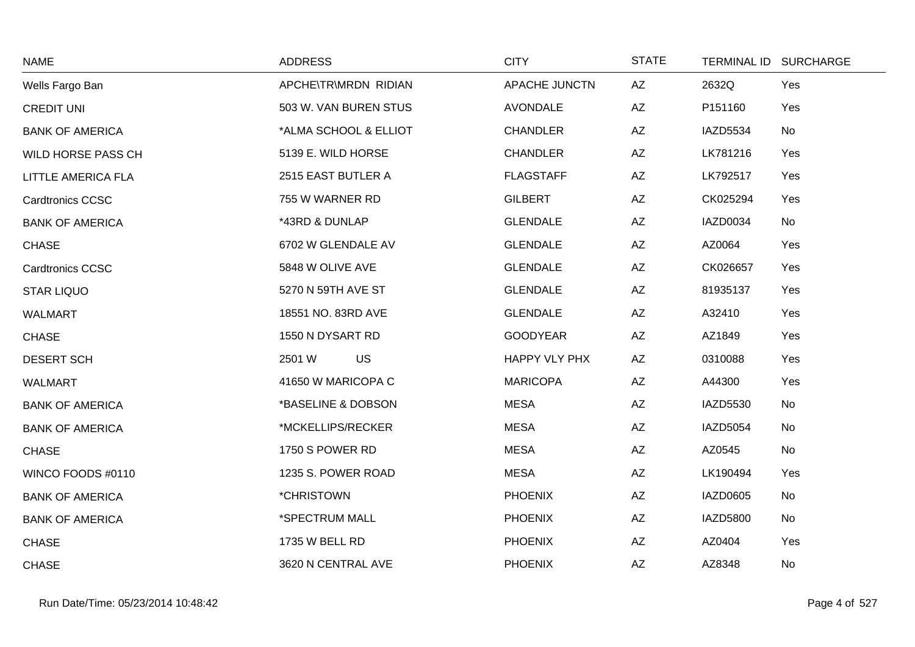| <b>NAME</b>             | <b>ADDRESS</b>        | <b>CITY</b>      | <b>STATE</b> | TERMINAL ID SURCHARGE |
|-------------------------|-----------------------|------------------|--------------|-----------------------|
| Wells Fargo Ban         | APCHE\TR\MRDN RIDIAN  | APACHE JUNCTN    | AZ           | 2632Q<br>Yes          |
| <b>CREDIT UNI</b>       | 503 W. VAN BUREN STUS | <b>AVONDALE</b>  | AZ           | P151160<br>Yes        |
| <b>BANK OF AMERICA</b>  | *ALMA SCHOOL & ELLIOT | <b>CHANDLER</b>  | AZ           | IAZD5534<br>No        |
| WILD HORSE PASS CH      | 5139 E. WILD HORSE    | <b>CHANDLER</b>  | AZ           | LK781216<br>Yes       |
| LITTLE AMERICA FLA      | 2515 EAST BUTLER A    | <b>FLAGSTAFF</b> | AZ           | LK792517<br>Yes       |
| <b>Cardtronics CCSC</b> | 755 W WARNER RD       | <b>GILBERT</b>   | AZ           | CK025294<br>Yes       |
| <b>BANK OF AMERICA</b>  | *43RD & DUNLAP        | <b>GLENDALE</b>  | AZ           | IAZD0034<br>No        |
| <b>CHASE</b>            | 6702 W GLENDALE AV    | <b>GLENDALE</b>  | AZ           | AZ0064<br>Yes         |
| <b>Cardtronics CCSC</b> | 5848 W OLIVE AVE      | <b>GLENDALE</b>  | AZ           | CK026657<br>Yes       |
| <b>STAR LIQUO</b>       | 5270 N 59TH AVE ST    | <b>GLENDALE</b>  | AZ           | 81935137<br>Yes       |
| <b>WALMART</b>          | 18551 NO. 83RD AVE    | <b>GLENDALE</b>  | AZ           | A32410<br>Yes         |
| <b>CHASE</b>            | 1550 N DYSART RD      | <b>GOODYEAR</b>  | AZ           | AZ1849<br>Yes         |
| <b>DESERT SCH</b>       | <b>US</b><br>2501 W   | HAPPY VLY PHX    | AZ           | 0310088<br>Yes        |
| <b>WALMART</b>          | 41650 W MARICOPA C    | <b>MARICOPA</b>  | AZ           | A44300<br>Yes         |
| <b>BANK OF AMERICA</b>  | *BASELINE & DOBSON    | <b>MESA</b>      | AZ           | <b>IAZD5530</b><br>No |
| <b>BANK OF AMERICA</b>  | *MCKELLIPS/RECKER     | <b>MESA</b>      | AZ           | <b>IAZD5054</b><br>No |
| <b>CHASE</b>            | 1750 S POWER RD       | <b>MESA</b>      | AZ           | AZ0545<br>No          |
| WINCO FOODS #0110       | 1235 S. POWER ROAD    | <b>MESA</b>      | AZ           | LK190494<br>Yes       |
| <b>BANK OF AMERICA</b>  | *CHRISTOWN            | <b>PHOENIX</b>   | AZ           | IAZD0605<br>No        |
| <b>BANK OF AMERICA</b>  | *SPECTRUM MALL        | <b>PHOENIX</b>   | AZ           | IAZD5800<br>No        |
| <b>CHASE</b>            | 1735 W BELL RD        | <b>PHOENIX</b>   | AZ           | AZ0404<br>Yes         |
| <b>CHASE</b>            | 3620 N CENTRAL AVE    | <b>PHOENIX</b>   | AZ           | AZ8348<br>No          |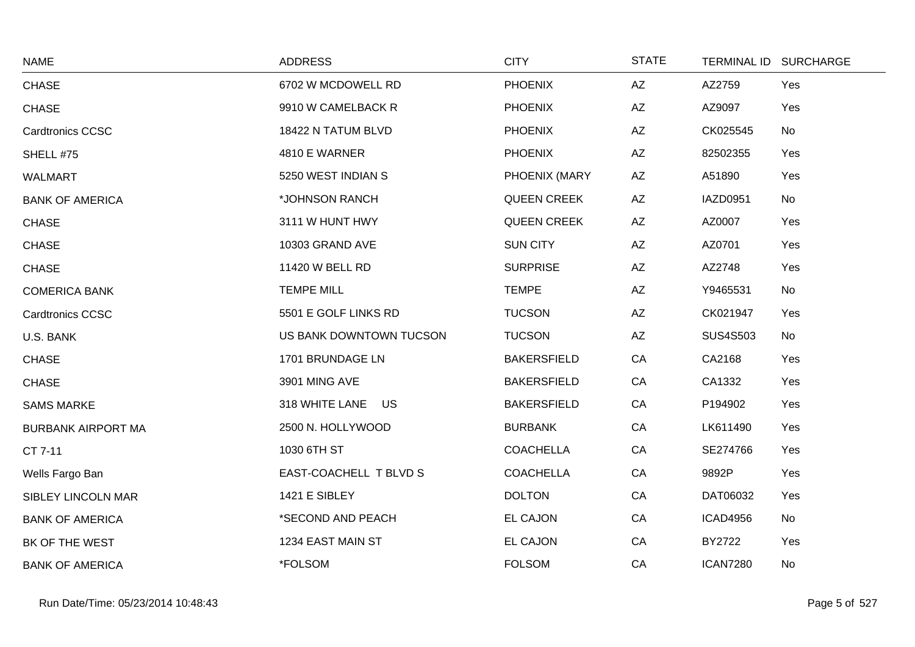| <b>NAME</b>               | <b>ADDRESS</b>          | <b>CITY</b>        | <b>STATE</b>           |                 | TERMINAL ID SURCHARGE |
|---------------------------|-------------------------|--------------------|------------------------|-----------------|-----------------------|
| <b>CHASE</b>              | 6702 W MCDOWELL RD      | <b>PHOENIX</b>     | AZ                     | AZ2759          | Yes                   |
| <b>CHASE</b>              | 9910 W CAMELBACK R      | <b>PHOENIX</b>     | $\mathsf{A}\mathsf{Z}$ | AZ9097          | Yes                   |
| <b>Cardtronics CCSC</b>   | 18422 N TATUM BLVD      | <b>PHOENIX</b>     | AZ                     | CK025545        | No                    |
| SHELL #75                 | 4810 E WARNER           | <b>PHOENIX</b>     | AZ                     | 82502355        | Yes                   |
| <b>WALMART</b>            | 5250 WEST INDIAN S      | PHOENIX (MARY      | AZ                     | A51890          | Yes                   |
| <b>BANK OF AMERICA</b>    | *JOHNSON RANCH          | <b>QUEEN CREEK</b> | AZ                     | IAZD0951        | No                    |
| <b>CHASE</b>              | 3111 W HUNT HWY         | <b>QUEEN CREEK</b> | AZ                     | AZ0007          | Yes                   |
| <b>CHASE</b>              | 10303 GRAND AVE         | <b>SUN CITY</b>    | AZ                     | AZ0701          | Yes                   |
| CHASE                     | 11420 W BELL RD         | <b>SURPRISE</b>    | AZ                     | AZ2748          | Yes                   |
| <b>COMERICA BANK</b>      | <b>TEMPE MILL</b>       | <b>TEMPE</b>       | AZ                     | Y9465531        | No                    |
| <b>Cardtronics CCSC</b>   | 5501 E GOLF LINKS RD    | <b>TUCSON</b>      | AZ                     | CK021947        | Yes                   |
| U.S. BANK                 | US BANK DOWNTOWN TUCSON | <b>TUCSON</b>      | AZ                     | <b>SUS4S503</b> | No                    |
| <b>CHASE</b>              | 1701 BRUNDAGE LN        | <b>BAKERSFIELD</b> | CA                     | CA2168          | Yes                   |
| <b>CHASE</b>              | 3901 MING AVE           | <b>BAKERSFIELD</b> | CA                     | CA1332          | Yes                   |
| <b>SAMS MARKE</b>         | 318 WHITE LANE US       | <b>BAKERSFIELD</b> | CA                     | P194902         | Yes                   |
| <b>BURBANK AIRPORT MA</b> | 2500 N. HOLLYWOOD       | <b>BURBANK</b>     | CA                     | LK611490        | Yes                   |
| CT 7-11                   | 1030 6TH ST             | <b>COACHELLA</b>   | CA                     | SE274766        | Yes                   |
| Wells Fargo Ban           | EAST-COACHELL T BLVD S  | <b>COACHELLA</b>   | CA                     | 9892P           | Yes                   |
| <b>SIBLEY LINCOLN MAR</b> | 1421 E SIBLEY           | <b>DOLTON</b>      | CA                     | DAT06032        | Yes                   |
| <b>BANK OF AMERICA</b>    | *SECOND AND PEACH       | <b>EL CAJON</b>    | CA                     | <b>ICAD4956</b> | No                    |
| BK OF THE WEST            | 1234 EAST MAIN ST       | <b>EL CAJON</b>    | CA                     | BY2722          | Yes                   |
| <b>BANK OF AMERICA</b>    | *FOLSOM                 | <b>FOLSOM</b>      | CA                     | <b>ICAN7280</b> | No                    |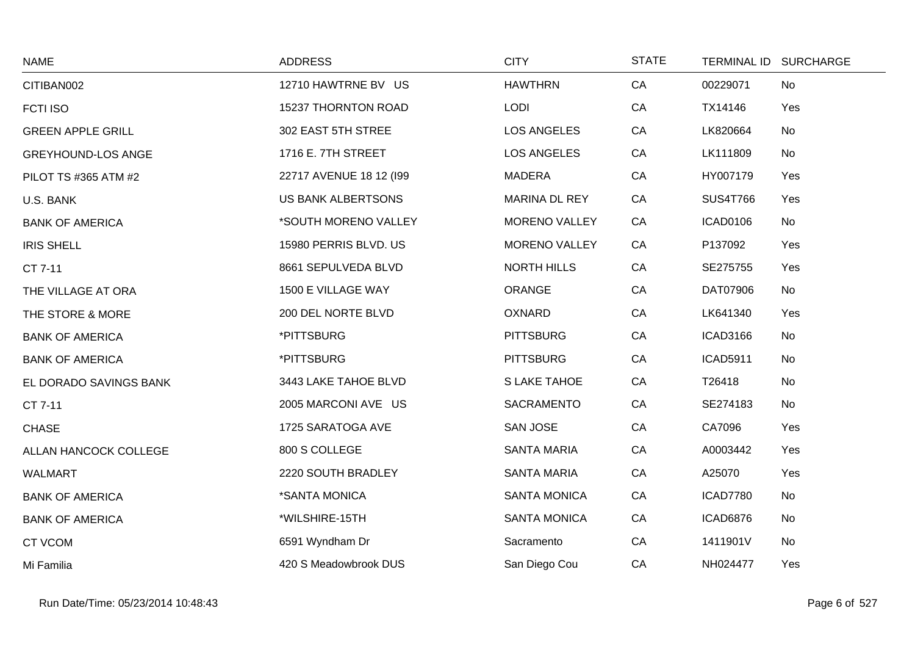| <b>NAME</b>               | <b>ADDRESS</b>          | <b>CITY</b>          | <b>STATE</b> |                 | TERMINAL ID SURCHARGE |
|---------------------------|-------------------------|----------------------|--------------|-----------------|-----------------------|
| CITIBAN002                | 12710 HAWTRNE BV US     | <b>HAWTHRN</b>       | CA           | 00229071        | <b>No</b>             |
| <b>FCTI ISO</b>           | 15237 THORNTON ROAD     | <b>LODI</b>          | CA           | TX14146         | Yes                   |
| <b>GREEN APPLE GRILL</b>  | 302 EAST 5TH STREE      | <b>LOS ANGELES</b>   | CA           | LK820664        | No                    |
| <b>GREYHOUND-LOS ANGE</b> | 1716 E. 7TH STREET      | <b>LOS ANGELES</b>   | CA           | LK111809        | No                    |
| PILOT TS #365 ATM #2      | 22717 AVENUE 18 12 (199 | <b>MADERA</b>        | CA           | HY007179        | Yes                   |
| U.S. BANK                 | US BANK ALBERTSONS      | MARINA DL REY        | CA           | <b>SUS4T766</b> | Yes                   |
| <b>BANK OF AMERICA</b>    | *SOUTH MORENO VALLEY    | <b>MORENO VALLEY</b> | CA           | ICAD0106        | No                    |
| <b>IRIS SHELL</b>         | 15980 PERRIS BLVD. US   | <b>MORENO VALLEY</b> | CA           | P137092         | Yes                   |
| CT 7-11                   | 8661 SEPULVEDA BLVD     | <b>NORTH HILLS</b>   | CA           | SE275755        | Yes                   |
| THE VILLAGE AT ORA        | 1500 E VILLAGE WAY      | ORANGE               | CA           | DAT07906        | No                    |
| THE STORE & MORE          | 200 DEL NORTE BLVD      | <b>OXNARD</b>        | CA           | LK641340        | Yes                   |
| <b>BANK OF AMERICA</b>    | *PITTSBURG              | <b>PITTSBURG</b>     | CA           | <b>ICAD3166</b> | No                    |
| <b>BANK OF AMERICA</b>    | *PITTSBURG              | <b>PITTSBURG</b>     | CA           | <b>ICAD5911</b> | No                    |
| EL DORADO SAVINGS BANK    | 3443 LAKE TAHOE BLVD    | S LAKE TAHOE         | CA           | T26418          | No                    |
| CT 7-11                   | 2005 MARCONI AVE US     | SACRAMENTO           | CA           | SE274183        | No                    |
| <b>CHASE</b>              | 1725 SARATOGA AVE       | SAN JOSE             | CA           | CA7096          | Yes                   |
| ALLAN HANCOCK COLLEGE     | 800 S COLLEGE           | <b>SANTA MARIA</b>   | CA           | A0003442        | Yes                   |
| <b>WALMART</b>            | 2220 SOUTH BRADLEY      | <b>SANTA MARIA</b>   | CA           | A25070          | Yes                   |
| <b>BANK OF AMERICA</b>    | *SANTA MONICA           | <b>SANTA MONICA</b>  | CA           | ICAD7780        | No                    |
| <b>BANK OF AMERICA</b>    | *WILSHIRE-15TH          | <b>SANTA MONICA</b>  | CA           | <b>ICAD6876</b> | No                    |
| CT VCOM                   | 6591 Wyndham Dr         | Sacramento           | CA           | 1411901V        | No                    |
| Mi Familia                | 420 S Meadowbrook DUS   | San Diego Cou        | CA           | NH024477        | Yes                   |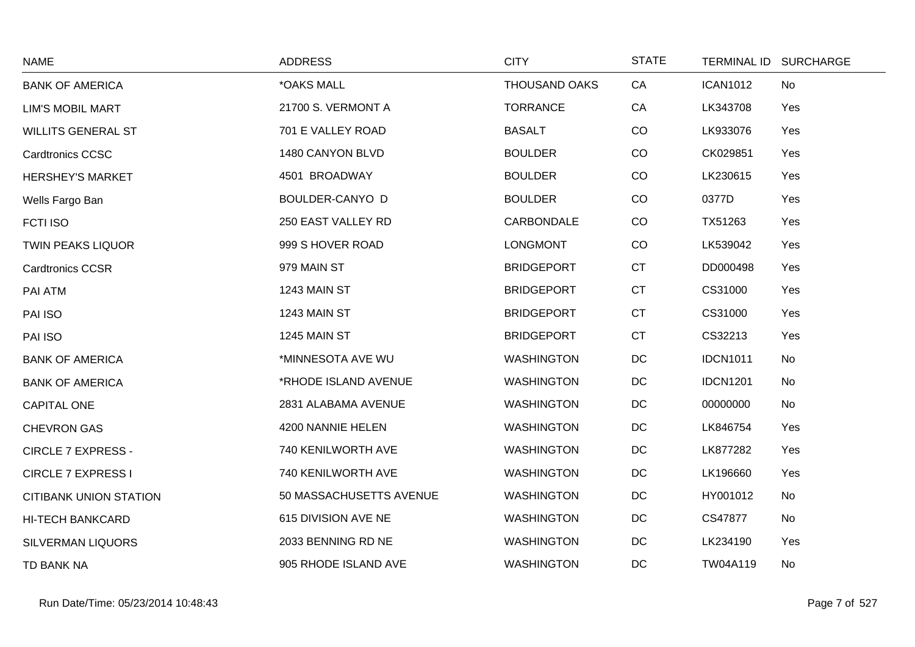| <b>NAME</b>                   | <b>ADDRESS</b>          | <b>CITY</b>          | <b>STATE</b> |                 | TERMINAL ID SURCHARGE |
|-------------------------------|-------------------------|----------------------|--------------|-----------------|-----------------------|
| <b>BANK OF AMERICA</b>        | *OAKS MALL              | <b>THOUSAND OAKS</b> | CA           | <b>ICAN1012</b> | No                    |
| <b>LIM'S MOBIL MART</b>       | 21700 S. VERMONT A      | <b>TORRANCE</b>      | CA           | LK343708        | Yes                   |
| <b>WILLITS GENERAL ST</b>     | 701 E VALLEY ROAD       | <b>BASALT</b>        | CO           | LK933076        | Yes                   |
| <b>Cardtronics CCSC</b>       | 1480 CANYON BLVD        | <b>BOULDER</b>       | CO           | CK029851        | Yes                   |
| <b>HERSHEY'S MARKET</b>       | 4501 BROADWAY           | <b>BOULDER</b>       | CO           | LK230615        | Yes                   |
| Wells Fargo Ban               | BOULDER-CANYO D         | <b>BOULDER</b>       | CO           | 0377D           | Yes                   |
| <b>FCTI ISO</b>               | 250 EAST VALLEY RD      | CARBONDALE           | CO           | TX51263         | Yes                   |
| <b>TWIN PEAKS LIQUOR</b>      | 999 S HOVER ROAD        | <b>LONGMONT</b>      | CO           | LK539042        | Yes                   |
| <b>Cardtronics CCSR</b>       | 979 MAIN ST             | <b>BRIDGEPORT</b>    | <b>CT</b>    | DD000498        | Yes                   |
| PAI ATM                       | 1243 MAIN ST            | <b>BRIDGEPORT</b>    | <b>CT</b>    | CS31000         | Yes                   |
| PAI ISO                       | 1243 MAIN ST            | <b>BRIDGEPORT</b>    | CT           | CS31000         | Yes                   |
| PAI ISO                       | 1245 MAIN ST            | <b>BRIDGEPORT</b>    | <b>CT</b>    | CS32213         | Yes                   |
| <b>BANK OF AMERICA</b>        | *MINNESOTA AVE WU       | <b>WASHINGTON</b>    | DC           | <b>IDCN1011</b> | No                    |
| <b>BANK OF AMERICA</b>        | *RHODE ISLAND AVENUE    | <b>WASHINGTON</b>    | DC           | <b>IDCN1201</b> | No                    |
| <b>CAPITAL ONE</b>            | 2831 ALABAMA AVENUE     | <b>WASHINGTON</b>    | $DC$         | 00000000        | No                    |
| <b>CHEVRON GAS</b>            | 4200 NANNIE HELEN       | <b>WASHINGTON</b>    | DC           | LK846754        | Yes                   |
| <b>CIRCLE 7 EXPRESS -</b>     | 740 KENILWORTH AVE      | <b>WASHINGTON</b>    | DC           | LK877282        | Yes                   |
| <b>CIRCLE 7 EXPRESS I</b>     | 740 KENILWORTH AVE      | <b>WASHINGTON</b>    | $DC$         | LK196660        | Yes                   |
| <b>CITIBANK UNION STATION</b> | 50 MASSACHUSETTS AVENUE | <b>WASHINGTON</b>    | DC           | HY001012        | No                    |
| <b>HI-TECH BANKCARD</b>       | 615 DIVISION AVE NE     | <b>WASHINGTON</b>    | DC           | CS47877         | No                    |
| <b>SILVERMAN LIQUORS</b>      | 2033 BENNING RD NE      | <b>WASHINGTON</b>    | DC           | LK234190        | Yes                   |
| TD BANK NA                    | 905 RHODE ISLAND AVE    | <b>WASHINGTON</b>    | DC           | TW04A119        | No                    |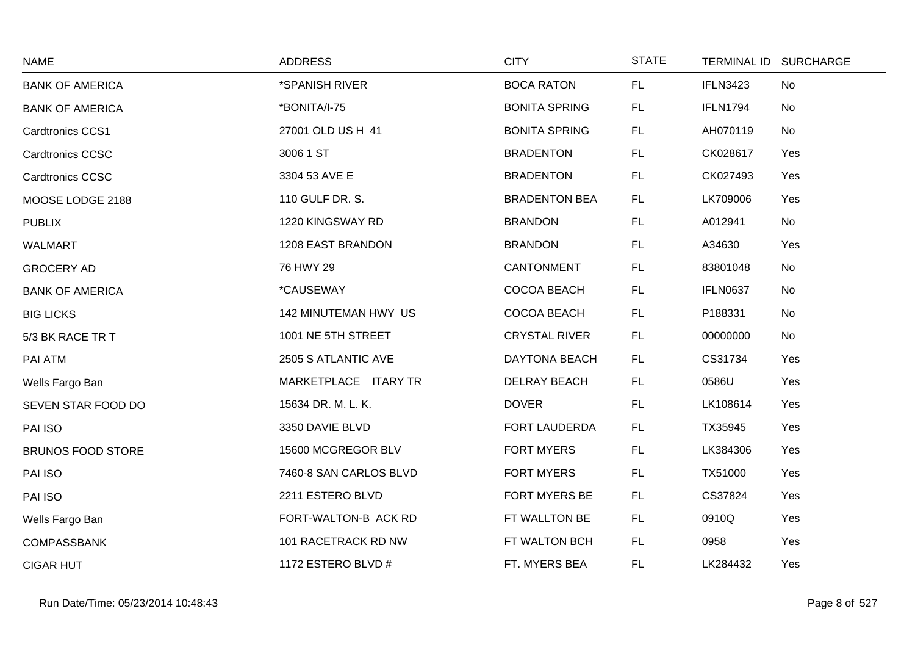| <b>NAME</b>              | <b>ADDRESS</b>          | <b>CITY</b>          | <b>STATE</b> |                 | TERMINAL ID SURCHARGE |
|--------------------------|-------------------------|----------------------|--------------|-----------------|-----------------------|
| <b>BANK OF AMERICA</b>   | *SPANISH RIVER          | <b>BOCA RATON</b>    | FL.          | <b>IFLN3423</b> | No                    |
| <b>BANK OF AMERICA</b>   | *BONITA/I-75            | <b>BONITA SPRING</b> | FL.          | <b>IFLN1794</b> | No                    |
| <b>Cardtronics CCS1</b>  | 27001 OLD US H 41       | <b>BONITA SPRING</b> | FL.          | AH070119        | No                    |
| <b>Cardtronics CCSC</b>  | 3006 1 ST               | <b>BRADENTON</b>     | FL.          | CK028617        | Yes                   |
| <b>Cardtronics CCSC</b>  | 3304 53 AVE E           | <b>BRADENTON</b>     | FL.          | CK027493        | Yes                   |
| MOOSE LODGE 2188         | 110 GULF DR. S.         | <b>BRADENTON BEA</b> | FL.          | LK709006        | Yes                   |
| <b>PUBLIX</b>            | 1220 KINGSWAY RD        | <b>BRANDON</b>       | FL.          | A012941         | No                    |
| <b>WALMART</b>           | 1208 EAST BRANDON       | <b>BRANDON</b>       | FL.          | A34630          | Yes                   |
| <b>GROCERY AD</b>        | 76 HWY 29               | CANTONMENT           | FL.          | 83801048        | No                    |
| <b>BANK OF AMERICA</b>   | <i><b>*CAUSEWAY</b></i> | COCOA BEACH          | FL.          | <b>IFLN0637</b> | No                    |
| <b>BIG LICKS</b>         | 142 MINUTEMAN HWY US    | COCOA BEACH          | FL.          | P188331         | No                    |
| 5/3 BK RACE TR T         | 1001 NE 5TH STREET      | <b>CRYSTAL RIVER</b> | FL.          | 00000000        | No                    |
| PAI ATM                  | 2505 S ATLANTIC AVE     | <b>DAYTONA BEACH</b> | FL.          | CS31734         | Yes                   |
| Wells Fargo Ban          | MARKETPLACE ITARY TR    | DELRAY BEACH         | FL.          | 0586U           | Yes                   |
| SEVEN STAR FOOD DO       | 15634 DR. M. L. K.      | <b>DOVER</b>         | FL.          | LK108614        | Yes                   |
| PAI ISO                  | 3350 DAVIE BLVD         | FORT LAUDERDA        | FL.          | TX35945         | Yes                   |
| <b>BRUNOS FOOD STORE</b> | 15600 MCGREGOR BLV      | <b>FORT MYERS</b>    | FL.          | LK384306        | Yes                   |
| PAI ISO                  | 7460-8 SAN CARLOS BLVD  | <b>FORT MYERS</b>    | <b>FL</b>    | TX51000         | Yes                   |
| PAI ISO                  | 2211 ESTERO BLVD        | FORT MYERS BE        | FL.          | CS37824         | Yes                   |
| Wells Fargo Ban          | FORT-WALTON-B ACK RD    | FT WALLTON BE        | FL.          | 0910Q           | Yes                   |
| <b>COMPASSBANK</b>       | 101 RACETRACK RD NW     | FT WALTON BCH        | FL.          | 0958            | Yes                   |
| <b>CIGAR HUT</b>         | 1172 ESTERO BLVD #      | FT. MYERS BEA        | FL.          | LK284432        | Yes                   |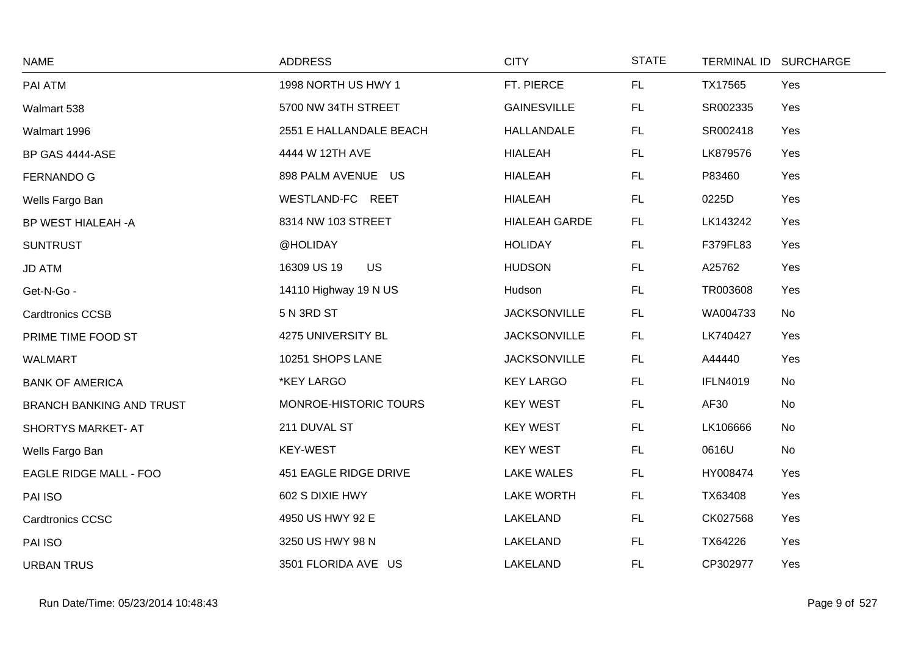| <b>NAME</b>                     | <b>ADDRESS</b>           | <b>CITY</b>          | <b>STATE</b> |                 | TERMINAL ID SURCHARGE |
|---------------------------------|--------------------------|----------------------|--------------|-----------------|-----------------------|
| PAI ATM                         | 1998 NORTH US HWY 1      | FT. PIERCE           | FL           | TX17565         | Yes                   |
| Walmart 538                     | 5700 NW 34TH STREET      | <b>GAINESVILLE</b>   | FL.          | SR002335        | Yes                   |
| Walmart 1996                    | 2551 E HALLANDALE BEACH  | <b>HALLANDALE</b>    | FL.          | SR002418        | Yes                   |
| BP GAS 4444-ASE                 | 4444 W 12TH AVE          | <b>HIALEAH</b>       | FL           | LK879576        | Yes                   |
| <b>FERNANDO G</b>               | 898 PALM AVENUE US       | <b>HIALEAH</b>       | FL           | P83460          | Yes                   |
| Wells Fargo Ban                 | WESTLAND-FC REET         | <b>HIALEAH</b>       | FL.          | 0225D           | Yes                   |
| BP WEST HIALEAH -A              | 8314 NW 103 STREET       | <b>HIALEAH GARDE</b> | FL.          | LK143242        | Yes                   |
| <b>SUNTRUST</b>                 | @HOLIDAY                 | <b>HOLIDAY</b>       | FL           | F379FL83        | Yes                   |
| <b>JD ATM</b>                   | <b>US</b><br>16309 US 19 | <b>HUDSON</b>        | FL           | A25762          | Yes                   |
| Get-N-Go -                      | 14110 Highway 19 N US    | Hudson               | FL.          | TR003608        | Yes                   |
| <b>Cardtronics CCSB</b>         | 5 N 3RD ST               | <b>JACKSONVILLE</b>  | FL.          | WA004733        | No                    |
| PRIME TIME FOOD ST              | 4275 UNIVERSITY BL       | <b>JACKSONVILLE</b>  | FL           | LK740427        | Yes                   |
| <b>WALMART</b>                  | 10251 SHOPS LANE         | <b>JACKSONVILLE</b>  | <b>FL</b>    | A44440          | Yes                   |
| <b>BANK OF AMERICA</b>          | *KEY LARGO               | <b>KEY LARGO</b>     | FL.          | <b>IFLN4019</b> | No                    |
| <b>BRANCH BANKING AND TRUST</b> | MONROE-HISTORIC TOURS    | <b>KEY WEST</b>      | FL           | AF30            | No                    |
| SHORTYS MARKET- AT              | 211 DUVAL ST             | <b>KEY WEST</b>      | FL           | LK106666        | No                    |
| Wells Fargo Ban                 | <b>KEY-WEST</b>          | <b>KEY WEST</b>      | FL           | 0616U           | No                    |
| EAGLE RIDGE MALL - FOO          | 451 EAGLE RIDGE DRIVE    | <b>LAKE WALES</b>    | FL           | HY008474        | Yes                   |
| PAI ISO                         | 602 S DIXIE HWY          | <b>LAKE WORTH</b>    | <b>FL</b>    | TX63408         | Yes                   |
| Cardtronics CCSC                | 4950 US HWY 92 E         | LAKELAND             | FL.          | CK027568        | Yes                   |
| PAI ISO                         | 3250 US HWY 98 N         | LAKELAND             | <b>FL</b>    | TX64226         | Yes                   |
| <b>URBAN TRUS</b>               | 3501 FLORIDA AVE US      | LAKELAND             | FL.          | CP302977        | Yes                   |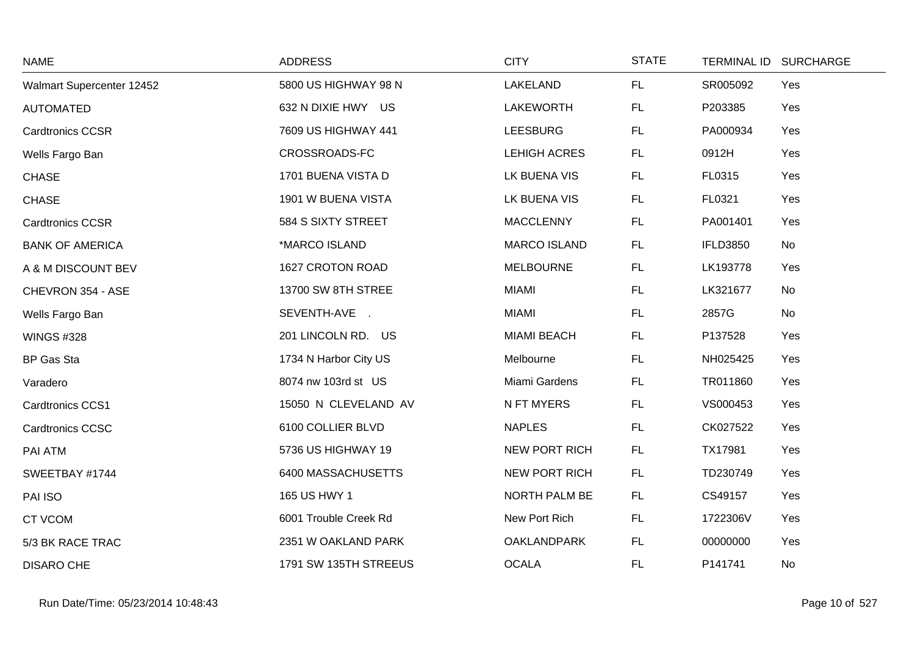| <b>NAME</b>               | <b>ADDRESS</b>        | <b>CITY</b>          | <b>STATE</b> |                 | TERMINAL ID SURCHARGE |
|---------------------------|-----------------------|----------------------|--------------|-----------------|-----------------------|
| Walmart Supercenter 12452 | 5800 US HIGHWAY 98 N  | LAKELAND             | FL.          | SR005092        | Yes                   |
| <b>AUTOMATED</b>          | 632 N DIXIE HWY US    | LAKEWORTH            | <b>FL</b>    | P203385         | Yes                   |
| <b>Cardtronics CCSR</b>   | 7609 US HIGHWAY 441   | <b>LEESBURG</b>      | FL.          | PA000934        | Yes                   |
| Wells Fargo Ban           | CROSSROADS-FC         | <b>LEHIGH ACRES</b>  | FL.          | 0912H           | Yes                   |
| <b>CHASE</b>              | 1701 BUENA VISTA D    | LK BUENA VIS         | FL           | FL0315          | Yes                   |
| <b>CHASE</b>              | 1901 W BUENA VISTA    | LK BUENA VIS         | FL.          | FL0321          | Yes                   |
| <b>Cardtronics CCSR</b>   | 584 S SIXTY STREET    | <b>MACCLENNY</b>     | <b>FL</b>    | PA001401        | Yes                   |
| <b>BANK OF AMERICA</b>    | *MARCO ISLAND         | <b>MARCO ISLAND</b>  | FL.          | <b>IFLD3850</b> | No                    |
| A & M DISCOUNT BEV        | 1627 CROTON ROAD      | <b>MELBOURNE</b>     | <b>FL</b>    | LK193778        | Yes                   |
| CHEVRON 354 - ASE         | 13700 SW 8TH STREE    | <b>MIAMI</b>         | FL.          | LK321677        | No                    |
| Wells Fargo Ban           | SEVENTH-AVE .         | <b>MIAMI</b>         | FL.          | 2857G           | No                    |
| <b>WINGS #328</b>         | 201 LINCOLN RD. US    | <b>MIAMI BEACH</b>   | <b>FL</b>    | P137528         | Yes                   |
| BP Gas Sta                | 1734 N Harbor City US | Melbourne            | FL.          | NH025425        | Yes                   |
| Varadero                  | 8074 nw 103rd st US   | Miami Gardens        | FL.          | TR011860        | Yes                   |
| Cardtronics CCS1          | 15050 N CLEVELAND AV  | N FT MYERS           | <b>FL</b>    | VS000453        | Yes                   |
| <b>Cardtronics CCSC</b>   | 6100 COLLIER BLVD     | <b>NAPLES</b>        | FL           | CK027522        | Yes                   |
| PAI ATM                   | 5736 US HIGHWAY 19    | <b>NEW PORT RICH</b> | FL           | TX17981         | Yes                   |
| SWEETBAY #1744            | 6400 MASSACHUSETTS    | <b>NEW PORT RICH</b> | FL.          | TD230749        | Yes                   |
| PAI ISO                   | 165 US HWY 1          | <b>NORTH PALM BE</b> | <b>FL</b>    | CS49157         | Yes                   |
| <b>CT VCOM</b>            | 6001 Trouble Creek Rd | New Port Rich        | FL.          | 1722306V        | Yes                   |
| 5/3 BK RACE TRAC          | 2351 W OAKLAND PARK   | <b>OAKLANDPARK</b>   | FL.          | 00000000        | Yes                   |
| <b>DISARO CHE</b>         | 1791 SW 135TH STREEUS | <b>OCALA</b>         | FL           | P141741         | No                    |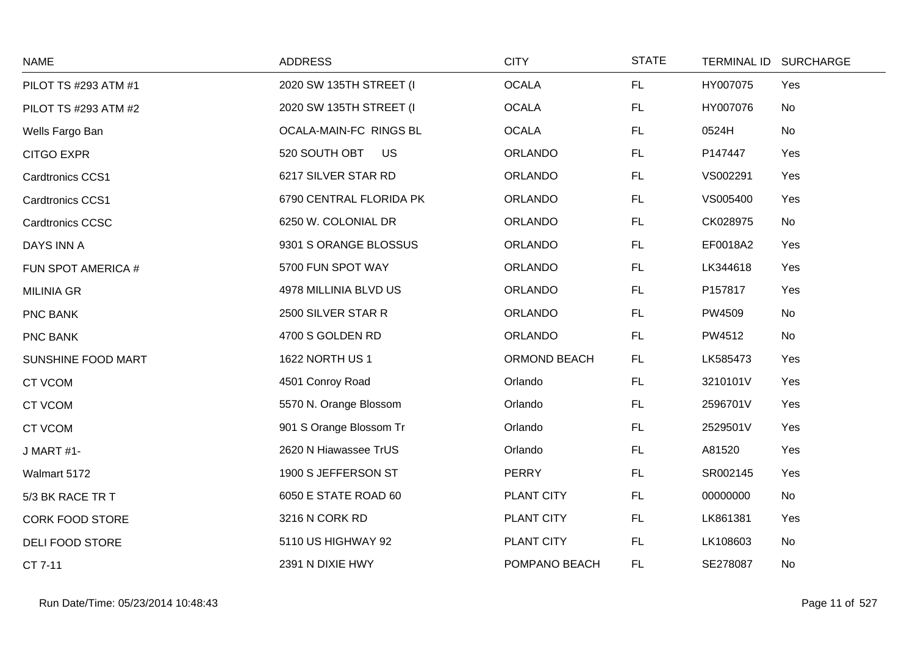| <b>NAME</b>             | <b>ADDRESS</b>          | <b>CITY</b>    | <b>STATE</b> | <b>TERMINAL ID</b> | <b>SURCHARGE</b> |
|-------------------------|-------------------------|----------------|--------------|--------------------|------------------|
| PILOT TS #293 ATM #1    | 2020 SW 135TH STREET (I | <b>OCALA</b>   | FL           | HY007075           | Yes              |
| PILOT TS #293 ATM #2    | 2020 SW 135TH STREET (I | <b>OCALA</b>   | <b>FL</b>    | HY007076           | No               |
| Wells Fargo Ban         | OCALA-MAIN-FC RINGS BL  | <b>OCALA</b>   | <b>FL</b>    | 0524H              | No               |
| <b>CITGO EXPR</b>       | 520 SOUTH OBT<br>US     | <b>ORLANDO</b> | <b>FL</b>    | P147447            | Yes              |
| Cardtronics CCS1        | 6217 SILVER STAR RD     | <b>ORLANDO</b> | <b>FL</b>    | VS002291           | Yes              |
| Cardtronics CCS1        | 6790 CENTRAL FLORIDA PK | <b>ORLANDO</b> | FL.          | VS005400           | Yes              |
| <b>Cardtronics CCSC</b> | 6250 W. COLONIAL DR     | <b>ORLANDO</b> | <b>FL</b>    | CK028975           | No               |
| DAYS INN A              | 9301 S ORANGE BLOSSUS   | <b>ORLANDO</b> | <b>FL</b>    | EF0018A2           | Yes              |
| FUN SPOT AMERICA #      | 5700 FUN SPOT WAY       | <b>ORLANDO</b> | FL           | LK344618           | Yes              |
| <b>MILINIA GR</b>       | 4978 MILLINIA BLVD US   | <b>ORLANDO</b> | <b>FL</b>    | P157817            | Yes              |
| PNC BANK                | 2500 SILVER STAR R      | <b>ORLANDO</b> | <b>FL</b>    | PW4509             | No               |
| PNC BANK                | 4700 S GOLDEN RD        | ORLANDO        | <b>FL</b>    | PW4512             | No               |
| SUNSHINE FOOD MART      | 1622 NORTH US 1         | ORMOND BEACH   | <b>FL</b>    | LK585473           | Yes              |
| <b>CT VCOM</b>          | 4501 Conroy Road        | Orlando        | <b>FL</b>    | 3210101V           | Yes              |
| <b>CT VCOM</b>          | 5570 N. Orange Blossom  | Orlando        | <b>FL</b>    | 2596701V           | Yes              |
| CT VCOM                 | 901 S Orange Blossom Tr | Orlando        | <b>FL</b>    | 2529501V           | Yes              |
| J MART #1-              | 2620 N Hiawassee TrUS   | Orlando        | <b>FL</b>    | A81520             | Yes              |
| Walmart 5172            | 1900 S JEFFERSON ST     | <b>PERRY</b>   | <b>FL</b>    | SR002145           | Yes              |
| 5/3 BK RACE TR T        | 6050 E STATE ROAD 60    | PLANT CITY     | <b>FL</b>    | 00000000           | No               |
| <b>CORK FOOD STORE</b>  | 3216 N CORK RD          | PLANT CITY     | <b>FL</b>    | LK861381           | Yes              |
| <b>DELI FOOD STORE</b>  | 5110 US HIGHWAY 92      | PLANT CITY     | FL           | LK108603           | No               |
| CT 7-11                 | 2391 N DIXIE HWY        | POMPANO BEACH  | <b>FL</b>    | SE278087           | No               |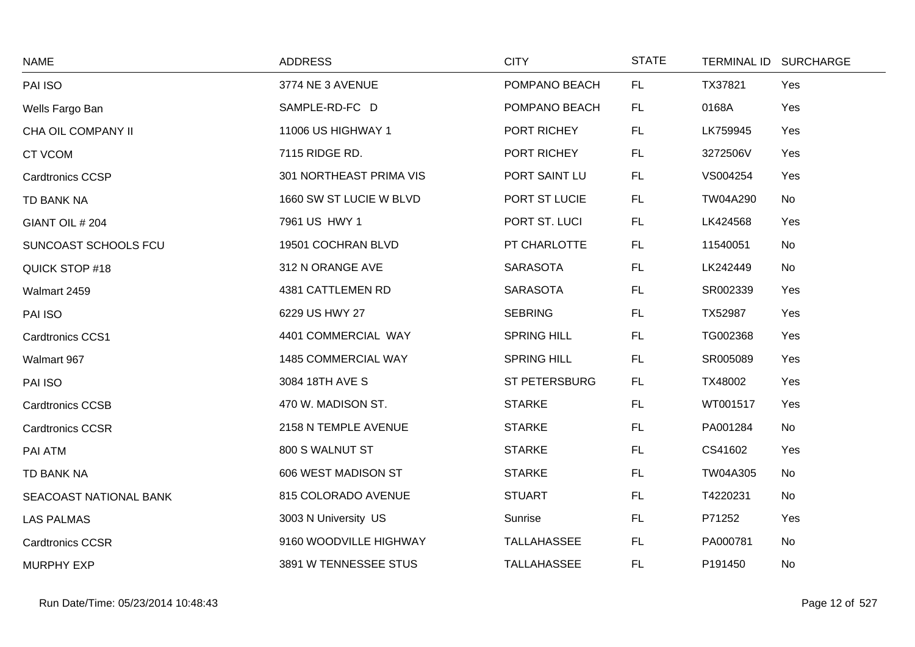| <b>NAME</b>             | <b>ADDRESS</b>          | <b>CITY</b>          | <b>STATE</b> |          | TERMINAL ID SURCHARGE |
|-------------------------|-------------------------|----------------------|--------------|----------|-----------------------|
| PAI ISO                 | 3774 NE 3 AVENUE        | POMPANO BEACH        | FL.          | TX37821  | Yes                   |
| Wells Fargo Ban         | SAMPLE-RD-FC D          | POMPANO BEACH        | FL.          | 0168A    | Yes                   |
| CHA OIL COMPANY II      | 11006 US HIGHWAY 1      | PORT RICHEY          | FL.          | LK759945 | Yes                   |
| CT VCOM                 | 7115 RIDGE RD.          | PORT RICHEY          | FL.          | 3272506V | Yes                   |
| <b>Cardtronics CCSP</b> | 301 NORTHEAST PRIMA VIS | PORT SAINT LU        | FL.          | VS004254 | Yes                   |
| TD BANK NA              | 1660 SW ST LUCIE W BLVD | PORT ST LUCIE        | FL.          | TW04A290 | No                    |
| GIANT OIL # 204         | 7961 US HWY 1           | PORT ST. LUCI        | FL.          | LK424568 | Yes                   |
| SUNCOAST SCHOOLS FCU    | 19501 COCHRAN BLVD      | PT CHARLOTTE         | FL.          | 11540051 | No                    |
| QUICK STOP #18          | 312 N ORANGE AVE        | <b>SARASOTA</b>      | FL.          | LK242449 | No                    |
| Walmart 2459            | 4381 CATTLEMEN RD       | <b>SARASOTA</b>      | FL.          | SR002339 | Yes                   |
| PAI ISO                 | 6229 US HWY 27          | <b>SEBRING</b>       | FL.          | TX52987  | Yes                   |
| Cardtronics CCS1        | 4401 COMMERCIAL WAY     | <b>SPRING HILL</b>   | FL.          | TG002368 | Yes                   |
| Walmart 967             | 1485 COMMERCIAL WAY     | <b>SPRING HILL</b>   | FL.          | SR005089 | Yes                   |
| PAI ISO                 | 3084 18TH AVE S         | <b>ST PETERSBURG</b> | FL.          | TX48002  | Yes                   |
| <b>Cardtronics CCSB</b> | 470 W. MADISON ST.      | <b>STARKE</b>        | FL.          | WT001517 | Yes                   |
| <b>Cardtronics CCSR</b> | 2158 N TEMPLE AVENUE    | <b>STARKE</b>        | FL.          | PA001284 | No                    |
| PAI ATM                 | 800 S WALNUT ST         | <b>STARKE</b>        | FL.          | CS41602  | Yes                   |
| TD BANK NA              | 606 WEST MADISON ST     | <b>STARKE</b>        | FL.          | TW04A305 | No                    |
| SEACOAST NATIONAL BANK  | 815 COLORADO AVENUE     | <b>STUART</b>        | FL.          | T4220231 | No                    |
| <b>LAS PALMAS</b>       | 3003 N University US    | Sunrise              | FL.          | P71252   | Yes                   |
| <b>Cardtronics CCSR</b> | 9160 WOODVILLE HIGHWAY  | TALLAHASSEE          | FL.          | PA000781 | No                    |
| <b>MURPHY EXP</b>       | 3891 W TENNESSEE STUS   | <b>TALLAHASSEE</b>   | <b>FL</b>    | P191450  | No                    |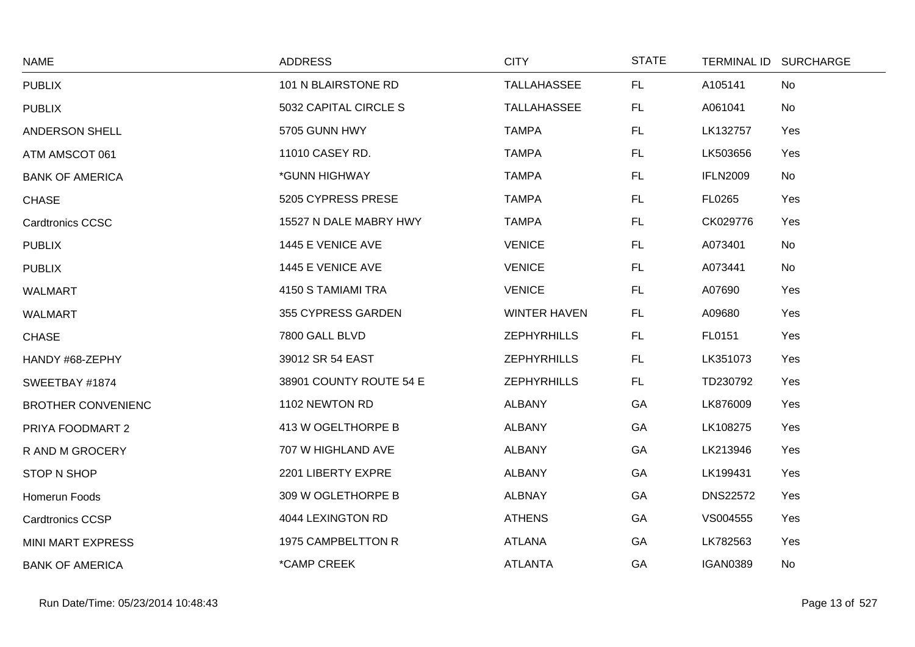| <b>NAME</b>               | <b>ADDRESS</b>          | <b>CITY</b>         | <b>STATE</b> | TERMINAL ID SURCHARGE  |  |
|---------------------------|-------------------------|---------------------|--------------|------------------------|--|
| <b>PUBLIX</b>             | 101 N BLAIRSTONE RD     | TALLAHASSEE         | FL           | A105141<br>No          |  |
| <b>PUBLIX</b>             | 5032 CAPITAL CIRCLE S   | TALLAHASSEE         | FL.          | A061041<br>No          |  |
| ANDERSON SHELL            | 5705 GUNN HWY           | <b>TAMPA</b>        | FL.          | LK132757<br>Yes        |  |
| ATM AMSCOT 061            | 11010 CASEY RD.         | <b>TAMPA</b>        | FL.          | LK503656<br>Yes        |  |
| <b>BANK OF AMERICA</b>    | *GUNN HIGHWAY           | <b>TAMPA</b>        | FL           | <b>IFLN2009</b><br>No  |  |
| <b>CHASE</b>              | 5205 CYPRESS PRESE      | <b>TAMPA</b>        | FL.          | FL0265<br>Yes          |  |
| <b>Cardtronics CCSC</b>   | 15527 N DALE MABRY HWY  | <b>TAMPA</b>        | FL.          | CK029776<br>Yes        |  |
| <b>PUBLIX</b>             | 1445 E VENICE AVE       | <b>VENICE</b>       | FL.          | A073401<br>No          |  |
| <b>PUBLIX</b>             | 1445 E VENICE AVE       | <b>VENICE</b>       | FL           | A073441<br>No          |  |
| <b>WALMART</b>            | 4150 S TAMIAMI TRA      | <b>VENICE</b>       | <b>FL</b>    | A07690<br>Yes          |  |
| <b>WALMART</b>            | 355 CYPRESS GARDEN      | <b>WINTER HAVEN</b> | FL.          | A09680<br>Yes          |  |
| <b>CHASE</b>              | 7800 GALL BLVD          | <b>ZEPHYRHILLS</b>  | FL           | FL0151<br>Yes          |  |
| HANDY #68-ZEPHY           | 39012 SR 54 EAST        | <b>ZEPHYRHILLS</b>  | FL           | LK351073<br>Yes        |  |
| SWEETBAY #1874            | 38901 COUNTY ROUTE 54 E | <b>ZEPHYRHILLS</b>  | FL.          | TD230792<br>Yes        |  |
| <b>BROTHER CONVENIENC</b> | 1102 NEWTON RD          | <b>ALBANY</b>       | GA           | LK876009<br>Yes        |  |
| PRIYA FOODMART 2          | 413 W OGELTHORPE B      | <b>ALBANY</b>       | GA           | LK108275<br>Yes        |  |
| R AND M GROCERY           | 707 W HIGHLAND AVE      | <b>ALBANY</b>       | GA           | LK213946<br>Yes        |  |
| STOP N SHOP               | 2201 LIBERTY EXPRE      | <b>ALBANY</b>       | GA           | LK199431<br>Yes        |  |
| Homerun Foods             | 309 W OGLETHORPE B      | <b>ALBNAY</b>       | GA           | <b>DNS22572</b><br>Yes |  |
| <b>Cardtronics CCSP</b>   | 4044 LEXINGTON RD       | <b>ATHENS</b>       | GA           | VS004555<br>Yes        |  |
| MINI MART EXPRESS         | 1975 CAMPBELTTON R      | ATLANA              | GA           | LK782563<br>Yes        |  |
| <b>BANK OF AMERICA</b>    | *CAMP CREEK             | <b>ATLANTA</b>      | GA           | <b>IGAN0389</b><br>No  |  |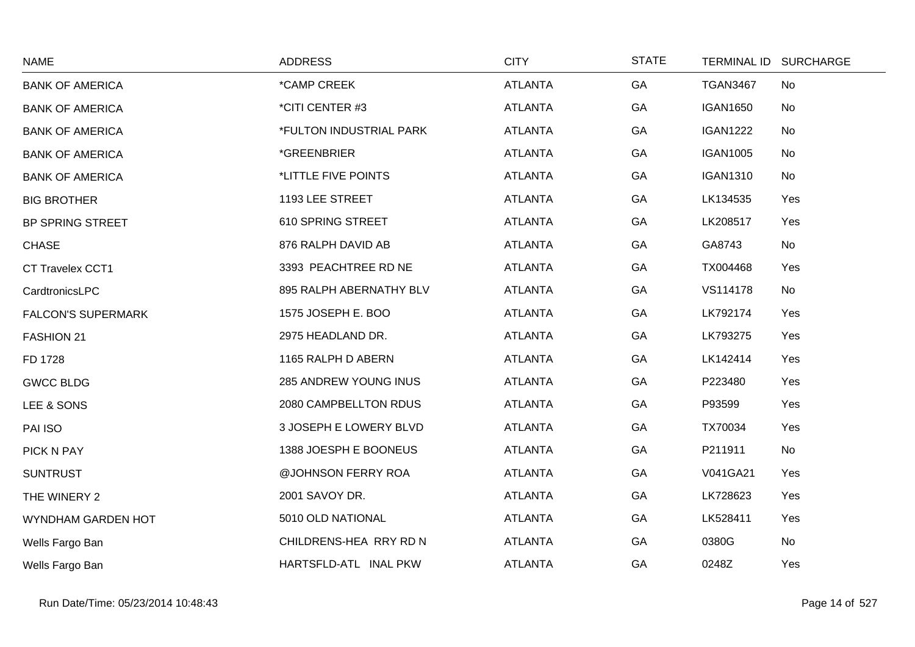| <b>NAME</b>               | <b>ADDRESS</b>          | <b>CITY</b>    | <b>STATE</b> | <b>TERMINAL ID</b> | <b>SURCHARGE</b> |
|---------------------------|-------------------------|----------------|--------------|--------------------|------------------|
| <b>BANK OF AMERICA</b>    | *CAMP CREEK             | <b>ATLANTA</b> | GA           | <b>TGAN3467</b>    | No               |
| <b>BANK OF AMERICA</b>    | *CITI CENTER #3         | <b>ATLANTA</b> | GA           | <b>IGAN1650</b>    | No               |
| <b>BANK OF AMERICA</b>    | *FULTON INDUSTRIAL PARK | <b>ATLANTA</b> | GA           | <b>IGAN1222</b>    | No               |
| <b>BANK OF AMERICA</b>    | *GREENBRIER             | <b>ATLANTA</b> | GA           | <b>IGAN1005</b>    | No               |
| <b>BANK OF AMERICA</b>    | *LITTLE FIVE POINTS     | <b>ATLANTA</b> | GA           | <b>IGAN1310</b>    | No               |
| <b>BIG BROTHER</b>        | 1193 LEE STREET         | <b>ATLANTA</b> | GA           | LK134535           | Yes              |
| BP SPRING STREET          | 610 SPRING STREET       | <b>ATLANTA</b> | GA           | LK208517           | Yes              |
| <b>CHASE</b>              | 876 RALPH DAVID AB      | <b>ATLANTA</b> | GA           | GA8743             | No               |
| CT Travelex CCT1          | 3393 PEACHTREE RD NE    | <b>ATLANTA</b> | GA           | TX004468           | Yes              |
| CardtronicsLPC            | 895 RALPH ABERNATHY BLV | <b>ATLANTA</b> | GA           | VS114178           | No               |
| <b>FALCON'S SUPERMARK</b> | 1575 JOSEPH E. BOO      | <b>ATLANTA</b> | GA           | LK792174           | Yes              |
| <b>FASHION 21</b>         | 2975 HEADLAND DR.       | <b>ATLANTA</b> | GA           | LK793275           | Yes              |
| FD 1728                   | 1165 RALPH D ABERN      | <b>ATLANTA</b> | GA           | LK142414           | Yes              |
| <b>GWCC BLDG</b>          | 285 ANDREW YOUNG INUS   | <b>ATLANTA</b> | GA           | P223480            | Yes              |
| LEE & SONS                | 2080 CAMPBELLTON RDUS   | <b>ATLANTA</b> | GA           | P93599             | Yes              |
| PAI ISO                   | 3 JOSEPH E LOWERY BLVD  | <b>ATLANTA</b> | GA           | TX70034            | Yes              |
| PICK N PAY                | 1388 JOESPH E BOONEUS   | <b>ATLANTA</b> | GA           | P211911            | No               |
| <b>SUNTRUST</b>           | @JOHNSON FERRY ROA      | <b>ATLANTA</b> | GA           | V041GA21           | Yes              |
| THE WINERY 2              | 2001 SAVOY DR.          | <b>ATLANTA</b> | GA           | LK728623           | Yes              |
| WYNDHAM GARDEN HOT        | 5010 OLD NATIONAL       | <b>ATLANTA</b> | GA           | LK528411           | Yes              |
| Wells Fargo Ban           | CHILDRENS-HEA RRY RD N  | <b>ATLANTA</b> | GA           | 0380G              | No               |
| Wells Fargo Ban           | HARTSFLD-ATL INAL PKW   | <b>ATLANTA</b> | GA           | 0248Z              | Yes              |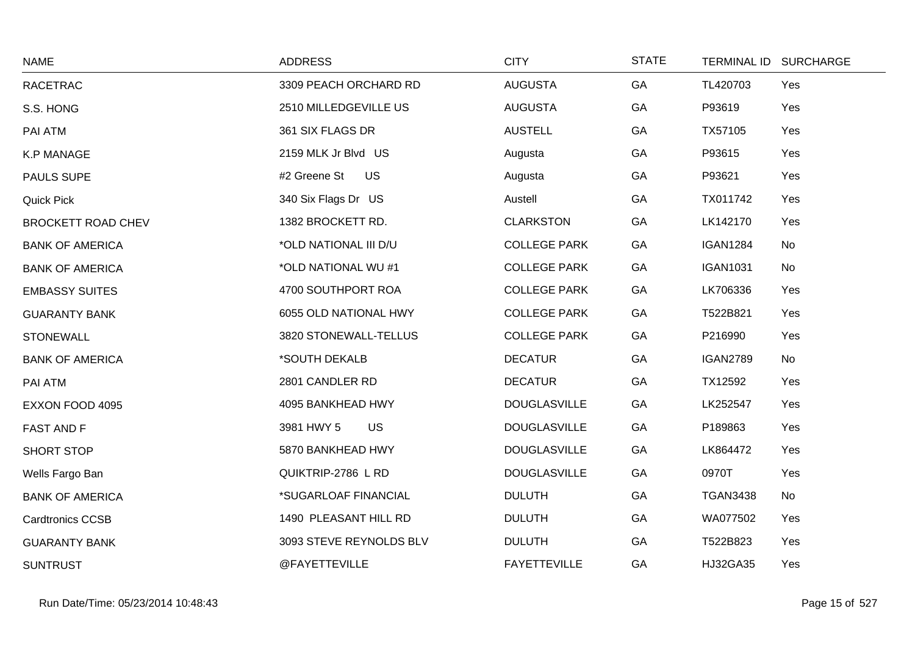| <b>NAME</b>               | <b>ADDRESS</b>            | <b>CITY</b>         | <b>STATE</b> | TERMINAL ID SURCHARGE |     |
|---------------------------|---------------------------|---------------------|--------------|-----------------------|-----|
| <b>RACETRAC</b>           | 3309 PEACH ORCHARD RD     | <b>AUGUSTA</b>      | GA           | TL420703              | Yes |
| S.S. HONG                 | 2510 MILLEDGEVILLE US     | <b>AUGUSTA</b>      | GA           | P93619                | Yes |
| PAI ATM                   | 361 SIX FLAGS DR          | <b>AUSTELL</b>      | GA           | TX57105               | Yes |
| <b>K.P MANAGE</b>         | 2159 MLK Jr Blvd US       | Augusta             | GA           | P93615                | Yes |
| PAULS SUPE                | #2 Greene St<br><b>US</b> | Augusta             | GA           | P93621                | Yes |
| <b>Quick Pick</b>         | 340 Six Flags Dr US       | Austell             | GA           | TX011742              | Yes |
| <b>BROCKETT ROAD CHEV</b> | 1382 BROCKETT RD.         | <b>CLARKSTON</b>    | GA           | LK142170              | Yes |
| <b>BANK OF AMERICA</b>    | *OLD NATIONAL III D/U     | <b>COLLEGE PARK</b> | GA           | <b>IGAN1284</b>       | No  |
| <b>BANK OF AMERICA</b>    | *OLD NATIONAL WU #1       | <b>COLLEGE PARK</b> | GA           | <b>IGAN1031</b>       | No  |
| <b>EMBASSY SUITES</b>     | 4700 SOUTHPORT ROA        | <b>COLLEGE PARK</b> | GA           | LK706336              | Yes |
| <b>GUARANTY BANK</b>      | 6055 OLD NATIONAL HWY     | <b>COLLEGE PARK</b> | GA           | T522B821              | Yes |
| <b>STONEWALL</b>          | 3820 STONEWALL-TELLUS     | <b>COLLEGE PARK</b> | GA           | P216990               | Yes |
| <b>BANK OF AMERICA</b>    | *SOUTH DEKALB             | <b>DECATUR</b>      | GA           | <b>IGAN2789</b>       | No  |
| PAI ATM                   | 2801 CANDLER RD           | <b>DECATUR</b>      | GA           | TX12592               | Yes |
| EXXON FOOD 4095           | 4095 BANKHEAD HWY         | <b>DOUGLASVILLE</b> | GA           | LK252547              | Yes |
| <b>FAST AND F</b>         | 3981 HWY 5<br><b>US</b>   | <b>DOUGLASVILLE</b> | GA           | P189863               | Yes |
| SHORT STOP                | 5870 BANKHEAD HWY         | <b>DOUGLASVILLE</b> | GA           | LK864472              | Yes |
| Wells Fargo Ban           | QUIKTRIP-2786 L RD        | <b>DOUGLASVILLE</b> | GA           | 0970T                 | Yes |
| <b>BANK OF AMERICA</b>    | *SUGARLOAF FINANCIAL      | <b>DULUTH</b>       | GA           | <b>TGAN3438</b>       | No  |
| <b>Cardtronics CCSB</b>   | 1490 PLEASANT HILL RD     | <b>DULUTH</b>       | GA           | WA077502              | Yes |
| <b>GUARANTY BANK</b>      | 3093 STEVE REYNOLDS BLV   | <b>DULUTH</b>       | GA           | T522B823              | Yes |
| <b>SUNTRUST</b>           | @FAYETTEVILLE             | <b>FAYETTEVILLE</b> | GA           | HJ32GA35              | Yes |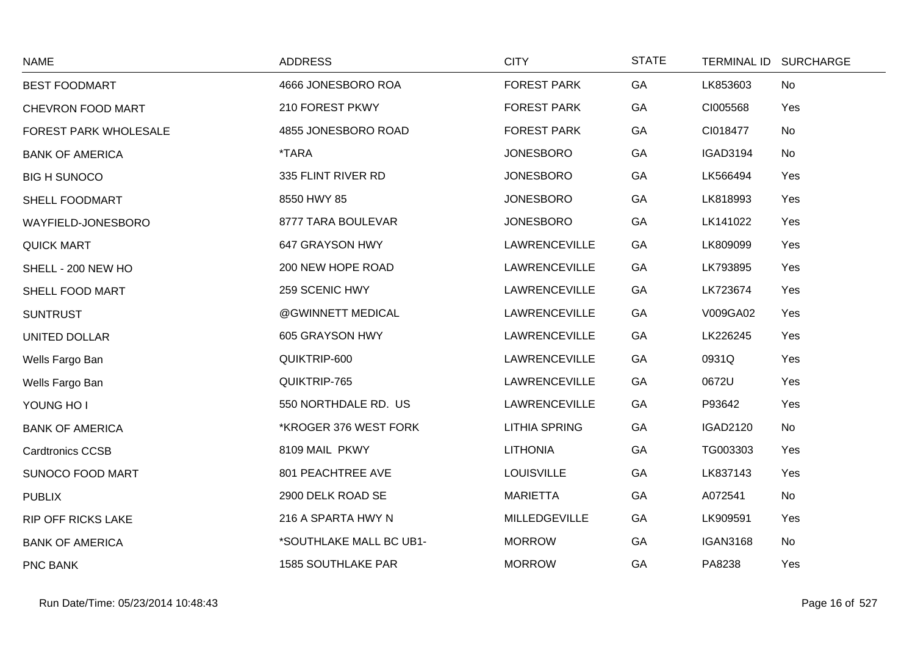| <b>NAME</b>               | <b>ADDRESS</b>            | <b>CITY</b>          | <b>STATE</b> |                 | TERMINAL ID SURCHARGE |
|---------------------------|---------------------------|----------------------|--------------|-----------------|-----------------------|
| <b>BEST FOODMART</b>      | 4666 JONESBORO ROA        | <b>FOREST PARK</b>   | GA           | LK853603        | No                    |
| CHEVRON FOOD MART         | 210 FOREST PKWY           | <b>FOREST PARK</b>   | GA           | CI005568        | Yes                   |
| FOREST PARK WHOLESALE     | 4855 JONESBORO ROAD       | <b>FOREST PARK</b>   | GA           | CI018477        | No                    |
| <b>BANK OF AMERICA</b>    | <i><b>*TARA</b></i>       | <b>JONESBORO</b>     | GA           | <b>IGAD3194</b> | No                    |
| <b>BIG H SUNOCO</b>       | 335 FLINT RIVER RD        | <b>JONESBORO</b>     | GA           | LK566494        | Yes                   |
| SHELL FOODMART            | 8550 HWY 85               | <b>JONESBORO</b>     | GA           | LK818993        | Yes                   |
| WAYFIELD-JONESBORO        | 8777 TARA BOULEVAR        | <b>JONESBORO</b>     | GA           | LK141022        | Yes                   |
| <b>QUICK MART</b>         | 647 GRAYSON HWY           | <b>LAWRENCEVILLE</b> | GA           | LK809099        | Yes                   |
| SHELL - 200 NEW HO        | 200 NEW HOPE ROAD         | <b>LAWRENCEVILLE</b> | GA           | LK793895        | Yes                   |
| SHELL FOOD MART           | 259 SCENIC HWY            | LAWRENCEVILLE        | GA           | LK723674        | Yes                   |
| <b>SUNTRUST</b>           | @GWINNETT MEDICAL         | <b>LAWRENCEVILLE</b> | GA           | V009GA02        | Yes                   |
| UNITED DOLLAR             | 605 GRAYSON HWY           | LAWRENCEVILLE        | GA           | LK226245        | Yes                   |
| Wells Fargo Ban           | QUIKTRIP-600              | <b>LAWRENCEVILLE</b> | GA           | 0931Q           | Yes                   |
| Wells Fargo Ban           | QUIKTRIP-765              | <b>LAWRENCEVILLE</b> | GA           | 0672U           | Yes                   |
| YOUNG HO I                | 550 NORTHDALE RD. US      | <b>LAWRENCEVILLE</b> | GA           | P93642          | Yes                   |
| <b>BANK OF AMERICA</b>    | *KROGER 376 WEST FORK     | <b>LITHIA SPRING</b> | GA           | <b>IGAD2120</b> | No                    |
| <b>Cardtronics CCSB</b>   | 8109 MAIL PKWY            | <b>LITHONIA</b>      | GA           | TG003303        | Yes                   |
| SUNOCO FOOD MART          | 801 PEACHTREE AVE         | <b>LOUISVILLE</b>    | GA           | LK837143        | Yes                   |
| <b>PUBLIX</b>             | 2900 DELK ROAD SE         | <b>MARIETTA</b>      | GA           | A072541         | No                    |
| <b>RIP OFF RICKS LAKE</b> | 216 A SPARTA HWY N        | MILLEDGEVILLE        | GA           | LK909591        | Yes                   |
| <b>BANK OF AMERICA</b>    | *SOUTHLAKE MALL BC UB1-   | <b>MORROW</b>        | GA           | <b>IGAN3168</b> | No                    |
| PNC BANK                  | <b>1585 SOUTHLAKE PAR</b> | <b>MORROW</b>        | GA           | PA8238          | Yes                   |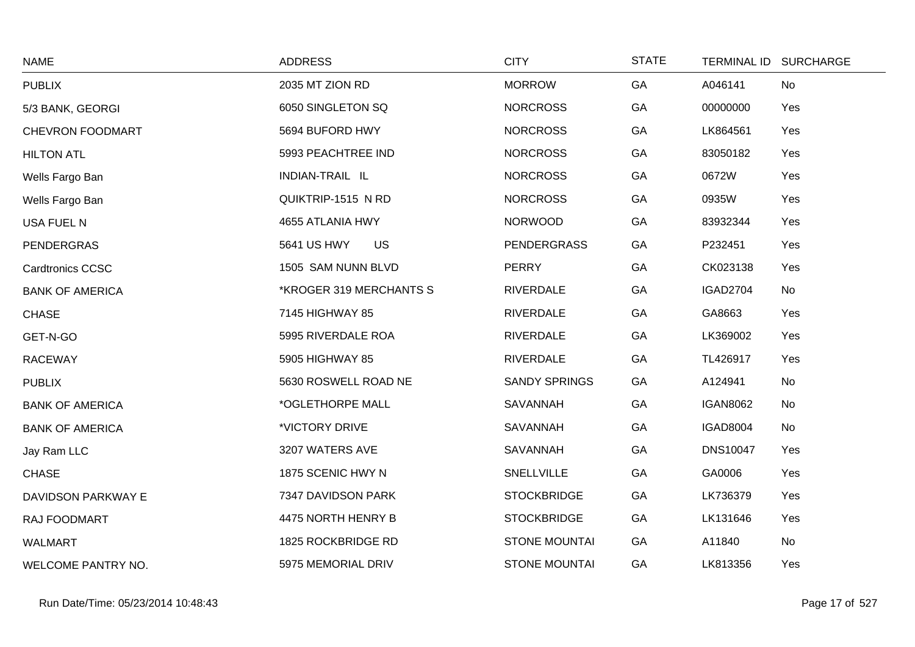| <b>NAME</b>               | <b>ADDRESS</b>           | <b>CITY</b>          | <b>STATE</b> | TERMINAL ID SURCHARGE |     |
|---------------------------|--------------------------|----------------------|--------------|-----------------------|-----|
| <b>PUBLIX</b>             | 2035 MT ZION RD          | <b>MORROW</b>        | GA           | A046141               | No  |
| 5/3 BANK, GEORGI          | 6050 SINGLETON SQ        | <b>NORCROSS</b>      | GA           | 00000000              | Yes |
| CHEVRON FOODMART          | 5694 BUFORD HWY          | <b>NORCROSS</b>      | GA           | LK864561              | Yes |
| <b>HILTON ATL</b>         | 5993 PEACHTREE IND       | <b>NORCROSS</b>      | GA           | 83050182              | Yes |
| Wells Fargo Ban           | INDIAN-TRAIL IL          | <b>NORCROSS</b>      | GA           | 0672W                 | Yes |
| Wells Fargo Ban           | QUIKTRIP-1515 N RD       | <b>NORCROSS</b>      | GA           | 0935W                 | Yes |
| USA FUEL N                | 4655 ATLANIA HWY         | <b>NORWOOD</b>       | GA           | 83932344              | Yes |
| <b>PENDERGRAS</b>         | 5641 US HWY<br><b>US</b> | <b>PENDERGRASS</b>   | GA           | P232451               | Yes |
| <b>Cardtronics CCSC</b>   | 1505 SAM NUNN BLVD       | <b>PERRY</b>         | GA           | CK023138              | Yes |
| <b>BANK OF AMERICA</b>    | *KROGER 319 MERCHANTS S  | <b>RIVERDALE</b>     | GA           | IGAD2704              | No  |
| <b>CHASE</b>              | 7145 HIGHWAY 85          | <b>RIVERDALE</b>     | GA           | GA8663                | Yes |
| GET-N-GO                  | 5995 RIVERDALE ROA       | <b>RIVERDALE</b>     | GA           | LK369002              | Yes |
| <b>RACEWAY</b>            | 5905 HIGHWAY 85          | <b>RIVERDALE</b>     | GA           | TL426917              | Yes |
| <b>PUBLIX</b>             | 5630 ROSWELL ROAD NE     | <b>SANDY SPRINGS</b> | GA           | A124941               | No  |
| <b>BANK OF AMERICA</b>    | *OGLETHORPE MALL         | SAVANNAH             | GA           | <b>IGAN8062</b>       | No  |
| <b>BANK OF AMERICA</b>    | *VICTORY DRIVE           | SAVANNAH             | GA           | <b>IGAD8004</b>       | No  |
| Jay Ram LLC               | 3207 WATERS AVE          | SAVANNAH             | GA           | <b>DNS10047</b>       | Yes |
| <b>CHASE</b>              | 1875 SCENIC HWY N        | SNELLVILLE           | GA           | GA0006                | Yes |
| DAVIDSON PARKWAY E        | 7347 DAVIDSON PARK       | <b>STOCKBRIDGE</b>   | GA           | LK736379              | Yes |
| RAJ FOODMART              | 4475 NORTH HENRY B       | <b>STOCKBRIDGE</b>   | GA           | LK131646              | Yes |
| <b>WALMART</b>            | 1825 ROCKBRIDGE RD       | STONE MOUNTAI        | GA           | A11840                | No  |
| <b>WELCOME PANTRY NO.</b> | 5975 MEMORIAL DRIV       | <b>STONE MOUNTAI</b> | GA           | LK813356              | Yes |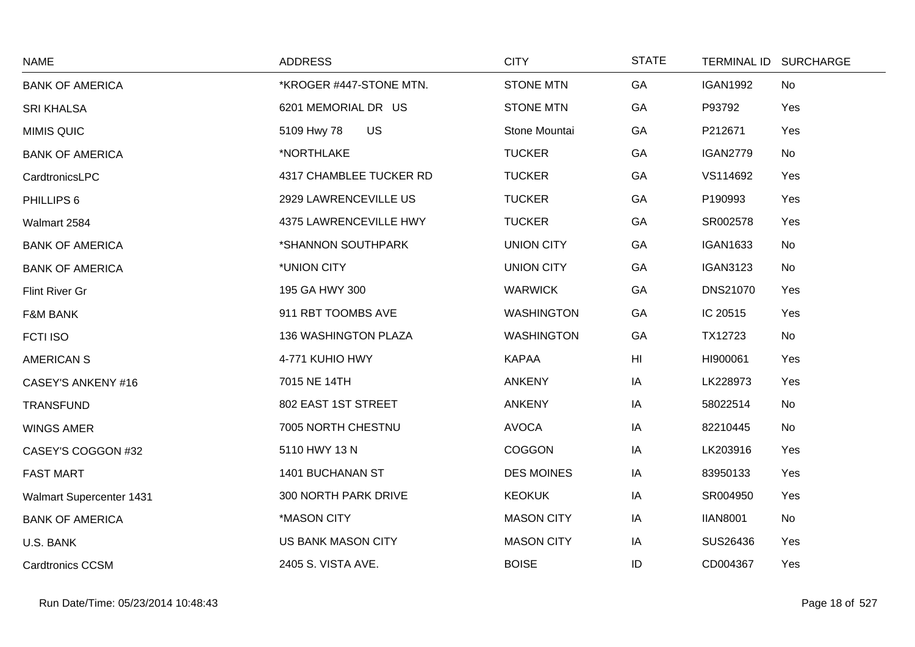| <b>NAME</b>               | <b>ADDRESS</b>           | <b>CITY</b>       | <b>STATE</b> |                 | TERMINAL ID SURCHARGE |
|---------------------------|--------------------------|-------------------|--------------|-----------------|-----------------------|
| <b>BANK OF AMERICA</b>    | *KROGER #447-STONE MTN.  | <b>STONE MTN</b>  | GA           | <b>IGAN1992</b> | No                    |
| <b>SRI KHALSA</b>         | 6201 MEMORIAL DR US      | <b>STONE MTN</b>  | GA           | P93792          | Yes                   |
| <b>MIMIS QUIC</b>         | <b>US</b><br>5109 Hwy 78 | Stone Mountai     | GA           | P212671         | Yes                   |
| <b>BANK OF AMERICA</b>    | *NORTHLAKE               | <b>TUCKER</b>     | GA           | <b>IGAN2779</b> | No                    |
| CardtronicsLPC            | 4317 CHAMBLEE TUCKER RD  | <b>TUCKER</b>     | GA           | VS114692        | Yes                   |
| PHILLIPS 6                | 2929 LAWRENCEVILLE US    | <b>TUCKER</b>     | GA           | P190993         | Yes                   |
| Walmart 2584              | 4375 LAWRENCEVILLE HWY   | <b>TUCKER</b>     | GA           | SR002578        | Yes                   |
| <b>BANK OF AMERICA</b>    | *SHANNON SOUTHPARK       | <b>UNION CITY</b> | GA           | <b>IGAN1633</b> | No                    |
| <b>BANK OF AMERICA</b>    | *UNION CITY              | <b>UNION CITY</b> | GA           | <b>IGAN3123</b> | No                    |
| Flint River Gr            | 195 GA HWY 300           | <b>WARWICK</b>    | GA           | <b>DNS21070</b> | Yes                   |
| <b>F&amp;M BANK</b>       | 911 RBT TOOMBS AVE       | <b>WASHINGTON</b> | GA           | IC 20515        | Yes                   |
| <b>FCTI ISO</b>           | 136 WASHINGTON PLAZA     | <b>WASHINGTON</b> | GA           | TX12723         | No                    |
| <b>AMERICAN S</b>         | 4-771 KUHIO HWY          | <b>KAPAA</b>      | HI           | HI900061        | Yes                   |
| <b>CASEY'S ANKENY #16</b> | 7015 NE 14TH             | <b>ANKENY</b>     | IA           | LK228973        | Yes                   |
| <b>TRANSFUND</b>          | 802 EAST 1ST STREET      | <b>ANKENY</b>     | IA           | 58022514        | No                    |
| <b>WINGS AMER</b>         | 7005 NORTH CHESTNU       | <b>AVOCA</b>      | IA           | 82210445        | No                    |
| CASEY'S COGGON #32        | 5110 HWY 13 N            | <b>COGGON</b>     | IA           | LK203916        | Yes                   |
| <b>FAST MART</b>          | 1401 BUCHANAN ST         | <b>DES MOINES</b> | IA           | 83950133        | Yes                   |
| Walmart Supercenter 1431  | 300 NORTH PARK DRIVE     | <b>KEOKUK</b>     | IA           | SR004950        | Yes                   |
| <b>BANK OF AMERICA</b>    | *MASON CITY              | <b>MASON CITY</b> | IA           | <b>IIAN8001</b> | No                    |
| U.S. BANK                 | US BANK MASON CITY       | <b>MASON CITY</b> | IA           | SUS26436        | Yes                   |
| <b>Cardtronics CCSM</b>   | 2405 S. VISTA AVE.       | <b>BOISE</b>      | ID           | CD004367        | Yes                   |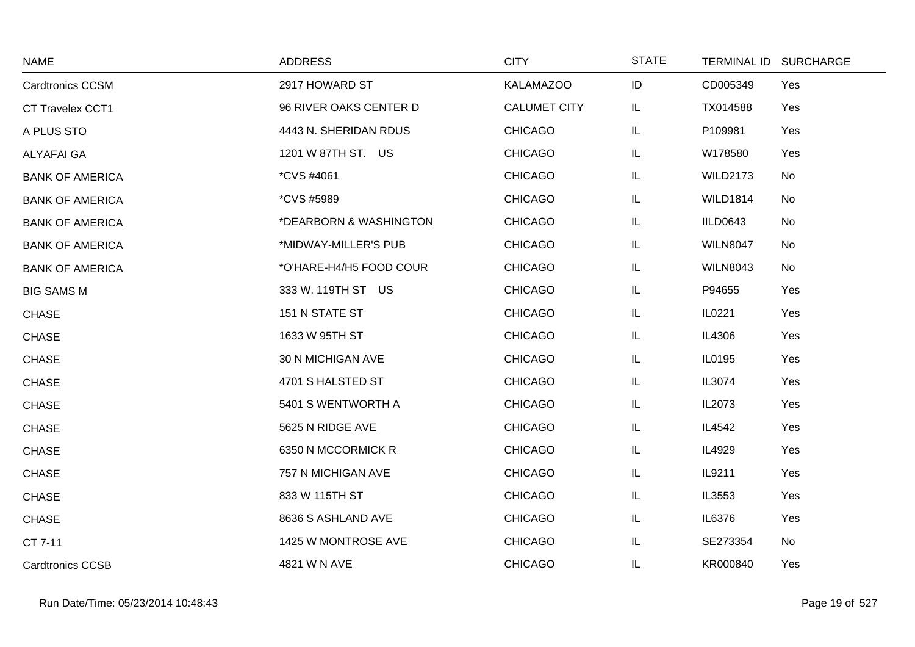| <b>NAME</b>             | <b>ADDRESS</b>          | <b>CITY</b>         | <b>STATE</b> | TERMINAL ID SURCHARGE |     |
|-------------------------|-------------------------|---------------------|--------------|-----------------------|-----|
| <b>Cardtronics CCSM</b> | 2917 HOWARD ST          | <b>KALAMAZOO</b>    | ID           | CD005349              | Yes |
| CT Travelex CCT1        | 96 RIVER OAKS CENTER D  | <b>CALUMET CITY</b> | IL           | TX014588              | Yes |
| A PLUS STO              | 4443 N. SHERIDAN RDUS   | <b>CHICAGO</b>      | IL           | P109981               | Yes |
| <b>ALYAFAI GA</b>       | 1201 W 87TH ST. US      | <b>CHICAGO</b>      | IL           | W178580               | Yes |
| <b>BANK OF AMERICA</b>  | <i>*CVS #4061</i>       | <b>CHICAGO</b>      | IL           | <b>WILD2173</b>       | No  |
| <b>BANK OF AMERICA</b>  | <i>*CVS #5989</i>       | <b>CHICAGO</b>      | IL           | <b>WILD1814</b>       | No  |
| <b>BANK OF AMERICA</b>  | *DEARBORN & WASHINGTON  | <b>CHICAGO</b>      | IL           | IILD0643              | No  |
| <b>BANK OF AMERICA</b>  | *MIDWAY-MILLER'S PUB    | <b>CHICAGO</b>      | IL           | <b>WILN8047</b>       | No  |
| <b>BANK OF AMERICA</b>  | *O'HARE-H4/H5 FOOD COUR | <b>CHICAGO</b>      | IL           | <b>WILN8043</b>       | No  |
| <b>BIG SAMS M</b>       | 333 W. 119TH ST US      | <b>CHICAGO</b>      | IL           | P94655                | Yes |
| <b>CHASE</b>            | 151 N STATE ST          | <b>CHICAGO</b>      | IL           | IL0221                | Yes |
| <b>CHASE</b>            | 1633 W 95TH ST          | <b>CHICAGO</b>      | IL           | IL4306                | Yes |
| <b>CHASE</b>            | 30 N MICHIGAN AVE       | <b>CHICAGO</b>      | IL           | IL0195                | Yes |
| <b>CHASE</b>            | 4701 S HALSTED ST       | <b>CHICAGO</b>      | IL           | IL3074                | Yes |
| <b>CHASE</b>            | 5401 S WENTWORTH A      | <b>CHICAGO</b>      | IL           | IL2073                | Yes |
| <b>CHASE</b>            | 5625 N RIDGE AVE        | <b>CHICAGO</b>      | IL           | IL4542                | Yes |
| <b>CHASE</b>            | 6350 N MCCORMICK R      | <b>CHICAGO</b>      | IL           | IL4929                | Yes |
| <b>CHASE</b>            | 757 N MICHIGAN AVE      | <b>CHICAGO</b>      | IL           | IL9211                | Yes |
| <b>CHASE</b>            | 833 W 115TH ST          | <b>CHICAGO</b>      | IL           | IL3553                | Yes |
| <b>CHASE</b>            | 8636 S ASHLAND AVE      | <b>CHICAGO</b>      | IL           | IL6376                | Yes |
| CT 7-11                 | 1425 W MONTROSE AVE     | <b>CHICAGO</b>      | IL           | SE273354              | No  |
| <b>Cardtronics CCSB</b> | 4821 W N AVE            | <b>CHICAGO</b>      | IL.          | KR000840              | Yes |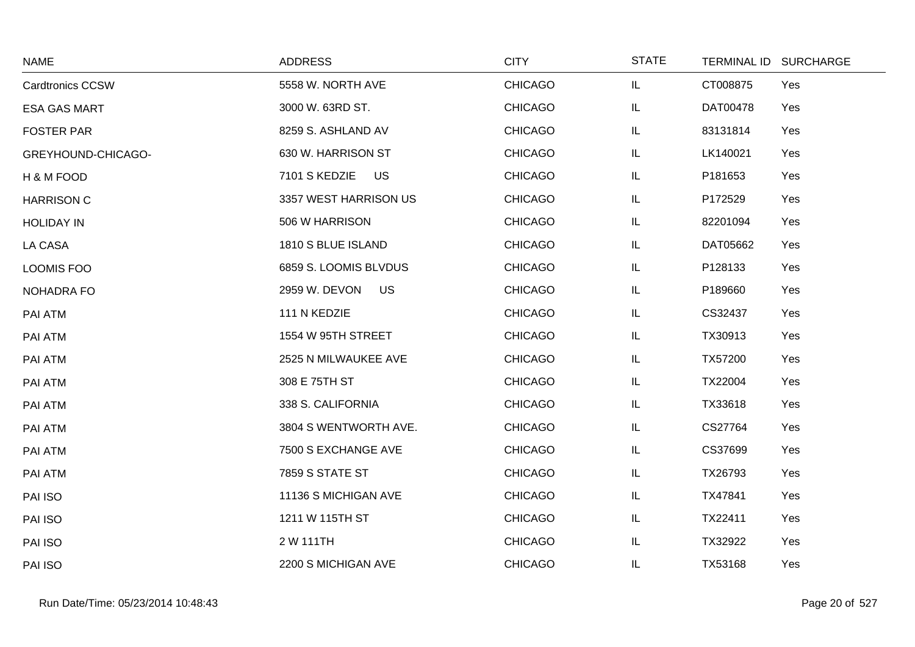| <b>NAME</b>             | <b>ADDRESS</b>             | <b>CITY</b>    | <b>STATE</b> | TERMINAL ID SURCHARGE |
|-------------------------|----------------------------|----------------|--------------|-----------------------|
| <b>Cardtronics CCSW</b> | 5558 W. NORTH AVE          | <b>CHICAGO</b> | IL           | CT008875<br>Yes       |
| <b>ESA GAS MART</b>     | 3000 W. 63RD ST.           | <b>CHICAGO</b> | IL           | DAT00478<br>Yes       |
| <b>FOSTER PAR</b>       | 8259 S. ASHLAND AV         | <b>CHICAGO</b> | IL           | 83131814<br>Yes       |
| GREYHOUND-CHICAGO-      | 630 W. HARRISON ST         | <b>CHICAGO</b> | IL           | LK140021<br>Yes       |
| H & M FOOD              | 7101 S KEDZIE<br>US.       | <b>CHICAGO</b> | IL           | P181653<br>Yes        |
| <b>HARRISON C</b>       | 3357 WEST HARRISON US      | <b>CHICAGO</b> | IL           | P172529<br>Yes        |
| <b>HOLIDAY IN</b>       | 506 W HARRISON             | <b>CHICAGO</b> | IL           | 82201094<br>Yes       |
| LA CASA                 | 1810 S BLUE ISLAND         | <b>CHICAGO</b> | IL.          | DAT05662<br>Yes       |
| <b>LOOMIS FOO</b>       | 6859 S. LOOMIS BLVDUS      | <b>CHICAGO</b> | IL           | P128133<br>Yes        |
| NOHADRA FO              | 2959 W. DEVON<br><b>US</b> | <b>CHICAGO</b> | IL           | P189660<br>Yes        |
| PAI ATM                 | 111 N KEDZIE               | <b>CHICAGO</b> | IL           | CS32437<br>Yes        |
| PAI ATM                 | 1554 W 95TH STREET         | <b>CHICAGO</b> | IL           | TX30913<br>Yes        |
| PAI ATM                 | 2525 N MILWAUKEE AVE       | <b>CHICAGO</b> | IL           | TX57200<br>Yes        |
| PAI ATM                 | 308 E 75TH ST              | <b>CHICAGO</b> | IL           | TX22004<br>Yes        |
| PAI ATM                 | 338 S. CALIFORNIA          | <b>CHICAGO</b> | IL           | TX33618<br>Yes        |
| PAI ATM                 | 3804 S WENTWORTH AVE.      | <b>CHICAGO</b> | IL           | CS27764<br>Yes        |
| PAI ATM                 | 7500 S EXCHANGE AVE        | <b>CHICAGO</b> | IL           | CS37699<br>Yes        |
| PAI ATM                 | <b>7859 S STATE ST</b>     | <b>CHICAGO</b> | IL           | TX26793<br>Yes        |
| PAI ISO                 | 11136 S MICHIGAN AVE       | <b>CHICAGO</b> | IL           | TX47841<br>Yes        |
| PAI ISO                 | 1211 W 115TH ST            | <b>CHICAGO</b> | IL           | TX22411<br>Yes        |
| PAI ISO                 | 2 W 111TH                  | <b>CHICAGO</b> | IL           | TX32922<br>Yes        |
| PAI ISO                 | 2200 S MICHIGAN AVE        | <b>CHICAGO</b> | IL           | TX53168<br>Yes        |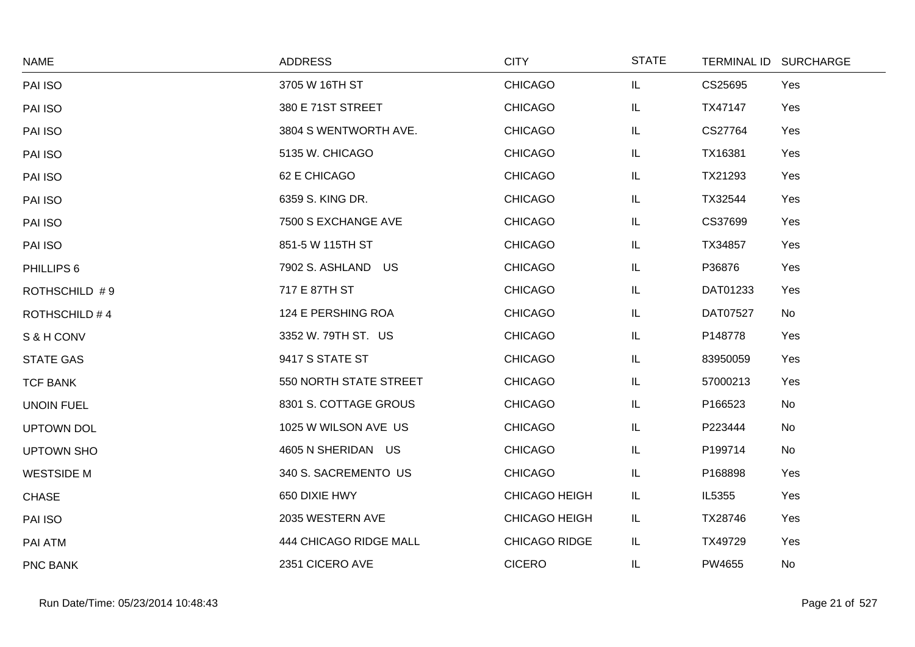| <b>NAME</b>          | <b>ADDRESS</b>         | <b>CITY</b>          | <b>STATE</b> |          | TERMINAL ID SURCHARGE |
|----------------------|------------------------|----------------------|--------------|----------|-----------------------|
| PAI ISO              | 3705 W 16TH ST         | <b>CHICAGO</b>       | IL.          | CS25695  | Yes                   |
| PAI ISO              | 380 E 71ST STREET      | <b>CHICAGO</b>       | IL.          | TX47147  | Yes                   |
| PAI ISO              | 3804 S WENTWORTH AVE.  | <b>CHICAGO</b>       | IL           | CS27764  | Yes                   |
| PAI ISO              | 5135 W. CHICAGO        | <b>CHICAGO</b>       | IL.          | TX16381  | Yes                   |
| PAI ISO              | 62 E CHICAGO           | <b>CHICAGO</b>       | IL.          | TX21293  | Yes                   |
| PAI ISO              | 6359 S. KING DR.       | <b>CHICAGO</b>       | IL.          | TX32544  | Yes                   |
| PAI ISO              | 7500 S EXCHANGE AVE    | <b>CHICAGO</b>       | IL.          | CS37699  | Yes                   |
| PAI ISO              | 851-5 W 115TH ST       | <b>CHICAGO</b>       | IL.          | TX34857  | Yes                   |
| PHILLIPS 6           | 7902 S. ASHLAND US     | <b>CHICAGO</b>       | IL.          | P36876   | Yes                   |
| ROTHSCHILD #9        | 717 E 87TH ST          | <b>CHICAGO</b>       | IL           | DAT01233 | Yes                   |
| <b>ROTHSCHILD #4</b> | 124 E PERSHING ROA     | <b>CHICAGO</b>       | IL.          | DAT07527 | No                    |
| S & H CONV           | 3352 W. 79TH ST. US    | <b>CHICAGO</b>       | IL.          | P148778  | Yes                   |
| <b>STATE GAS</b>     | 9417 S STATE ST        | <b>CHICAGO</b>       | IL.          | 83950059 | Yes                   |
| <b>TCF BANK</b>      | 550 NORTH STATE STREET | <b>CHICAGO</b>       | IL.          | 57000213 | Yes                   |
| <b>UNOIN FUEL</b>    | 8301 S. COTTAGE GROUS  | <b>CHICAGO</b>       | IL           | P166523  | No                    |
| <b>UPTOWN DOL</b>    | 1025 W WILSON AVE US   | <b>CHICAGO</b>       | IL.          | P223444  | <b>No</b>             |
| <b>UPTOWN SHO</b>    | 4605 N SHERIDAN US     | <b>CHICAGO</b>       | IL.          | P199714  | <b>No</b>             |
| <b>WESTSIDE M</b>    | 340 S. SACREMENTO US   | <b>CHICAGO</b>       | IL.          | P168898  | Yes                   |
| <b>CHASE</b>         | 650 DIXIE HWY          | <b>CHICAGO HEIGH</b> | IL.          | IL5355   | Yes                   |
| PAI ISO              | 2035 WESTERN AVE       | <b>CHICAGO HEIGH</b> | IL.          | TX28746  | Yes                   |
| PAI ATM              | 444 CHICAGO RIDGE MALL | CHICAGO RIDGE        | IL           | TX49729  | Yes                   |
| PNC BANK             | 2351 CICERO AVE        | <b>CICERO</b>        | IL.          | PW4655   | No                    |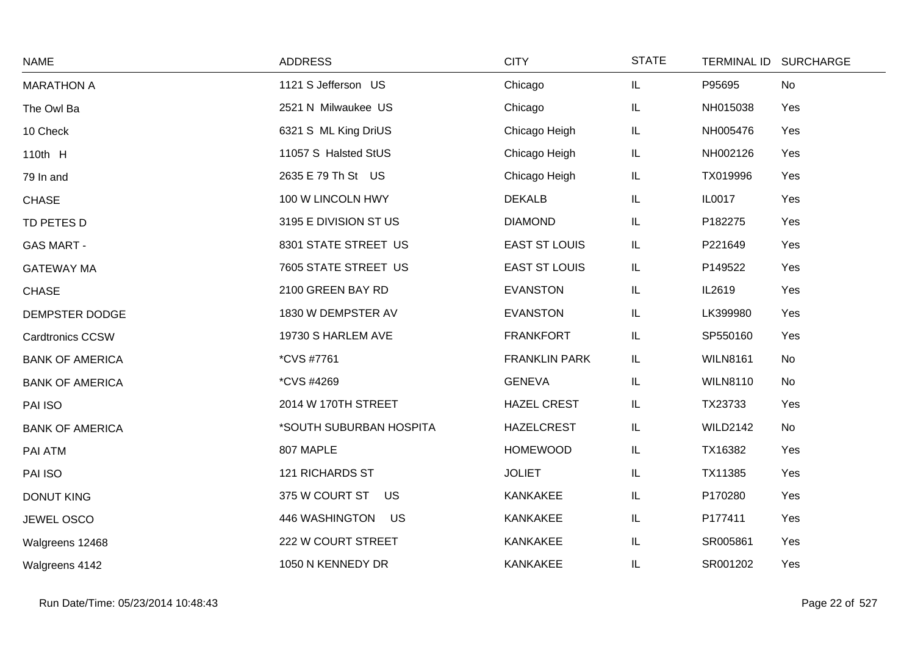| <b>NAME</b>             | <b>ADDRESS</b>          | <b>CITY</b>          | <b>STATE</b> | TERMINAL ID SURCHARGE |     |
|-------------------------|-------------------------|----------------------|--------------|-----------------------|-----|
| <b>MARATHON A</b>       | 1121 S Jefferson US     | Chicago              | IL.          | P95695                | No  |
| The Owl Ba              | 2521 N Milwaukee US     | Chicago              | IL.          | NH015038              | Yes |
| 10 Check                | 6321 S ML King DriUS    | Chicago Heigh        | IL           | NH005476              | Yes |
| 110th H                 | 11057 S Halsted StUS    | Chicago Heigh        | IL           | NH002126              | Yes |
| 79 In and               | 2635 E 79 Th St US      | Chicago Heigh        | IL           | TX019996              | Yes |
| <b>CHASE</b>            | 100 W LINCOLN HWY       | <b>DEKALB</b>        | IL.          | IL0017                | Yes |
| TD PETES D              | 3195 E DIVISION ST US   | <b>DIAMOND</b>       | IL.          | P182275               | Yes |
| <b>GAS MART -</b>       | 8301 STATE STREET US    | <b>EAST ST LOUIS</b> | IL.          | P221649               | Yes |
| <b>GATEWAY MA</b>       | 7605 STATE STREET US    | <b>EAST ST LOUIS</b> | IL           | P149522               | Yes |
| <b>CHASE</b>            | 2100 GREEN BAY RD       | <b>EVANSTON</b>      | IL.          | IL2619                | Yes |
| DEMPSTER DODGE          | 1830 W DEMPSTER AV      | <b>EVANSTON</b>      | IL.          | LK399980              | Yes |
| <b>Cardtronics CCSW</b> | 19730 S HARLEM AVE      | <b>FRANKFORT</b>     | IL.          | SP550160              | Yes |
| <b>BANK OF AMERICA</b>  | *CVS #7761              | <b>FRANKLIN PARK</b> | IL.          | <b>WILN8161</b>       | No  |
| <b>BANK OF AMERICA</b>  | *CVS #4269              | <b>GENEVA</b>        | IL.          | <b>WILN8110</b>       | No  |
| PAI ISO                 | 2014 W 170TH STREET     | <b>HAZEL CREST</b>   | IL           | TX23733               | Yes |
| <b>BANK OF AMERICA</b>  | *SOUTH SUBURBAN HOSPITA | <b>HAZELCREST</b>    | IL           | <b>WILD2142</b>       | No  |
| PAI ATM                 | 807 MAPLE               | <b>HOMEWOOD</b>      | IL.          | TX16382               | Yes |
| PAI ISO                 | <b>121 RICHARDS ST</b>  | <b>JOLIET</b>        | IL           | TX11385               | Yes |
| <b>DONUT KING</b>       | 375 W COURT ST US       | <b>KANKAKEE</b>      | IL.          | P170280               | Yes |
| <b>JEWEL OSCO</b>       | 446 WASHINGTON US       | <b>KANKAKEE</b>      | IL.          | P177411               | Yes |
| Walgreens 12468         | 222 W COURT STREET      | <b>KANKAKEE</b>      | IL           | SR005861              | Yes |
| Walgreens 4142          | 1050 N KENNEDY DR       | <b>KANKAKEE</b>      | IL           | SR001202              | Yes |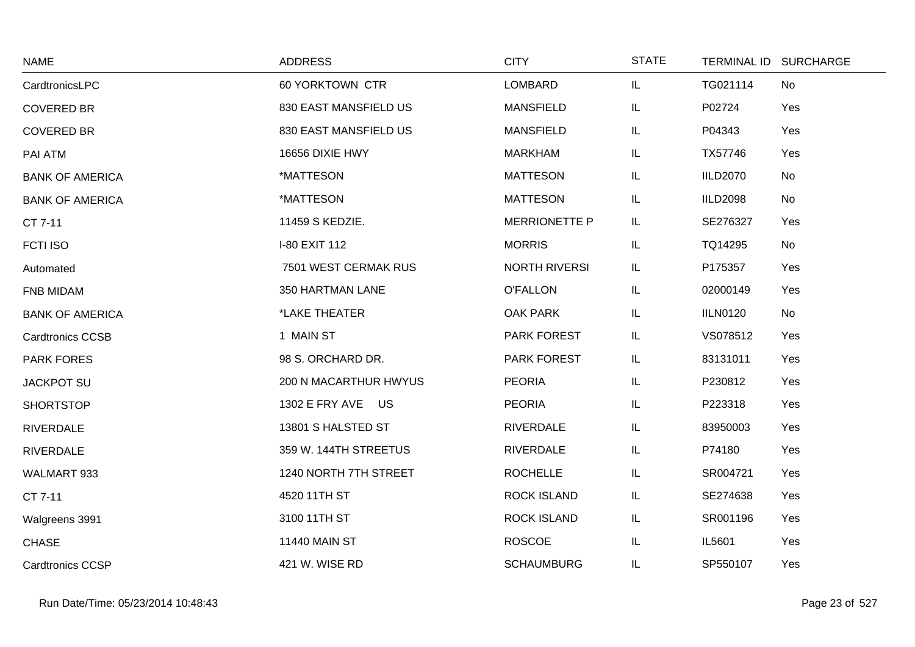| <b>NAME</b>             | <b>ADDRESS</b>               | <b>CITY</b>          | <b>STATE</b> |                 | TERMINAL ID SURCHARGE |
|-------------------------|------------------------------|----------------------|--------------|-----------------|-----------------------|
| CardtronicsLPC          | 60 YORKTOWN CTR              | <b>LOMBARD</b>       | IL.          | TG021114        | No                    |
| <b>COVERED BR</b>       | 830 EAST MANSFIELD US        | <b>MANSFIELD</b>     | IL.          | P02724          | Yes                   |
| <b>COVERED BR</b>       | 830 EAST MANSFIELD US        | <b>MANSFIELD</b>     | IL.          | P04343          | Yes                   |
| PAI ATM                 | 16656 DIXIE HWY              | <b>MARKHAM</b>       | IL.          | TX57746         | Yes                   |
| <b>BANK OF AMERICA</b>  | *MATTESON                    | <b>MATTESON</b>      | IL.          | <b>IILD2070</b> | No                    |
| <b>BANK OF AMERICA</b>  | *MATTESON                    | <b>MATTESON</b>      | IL.          | <b>IILD2098</b> | No                    |
| CT 7-11                 | 11459 S KEDZIE.              | <b>MERRIONETTE P</b> | IL.          | SE276327        | Yes                   |
| <b>FCTI ISO</b>         | I-80 EXIT 112                | <b>MORRIS</b>        | IL.          | TQ14295         | No                    |
| Automated               | 7501 WEST CERMAK RUS         | <b>NORTH RIVERSI</b> | IL.          | P175357         | Yes                   |
| FNB MIDAM               | 350 HARTMAN LANE             | <b>O'FALLON</b>      | IL.          | 02000149        | Yes                   |
| <b>BANK OF AMERICA</b>  | *LAKE THEATER                | OAK PARK             | IL.          | <b>IILN0120</b> | No                    |
| <b>Cardtronics CCSB</b> | 1 MAIN ST                    | PARK FOREST          | IL.          | VS078512        | Yes                   |
| <b>PARK FORES</b>       | 98 S. ORCHARD DR.            | PARK FOREST          | IL.          | 83131011        | Yes                   |
| <b>JACKPOT SU</b>       | <b>200 N MACARTHUR HWYUS</b> | <b>PEORIA</b>        | IL.          | P230812         | Yes                   |
| <b>SHORTSTOP</b>        | 1302 E FRY AVE US            | <b>PEORIA</b>        | IL.          | P223318         | Yes                   |
| <b>RIVERDALE</b>        | 13801 S HALSTED ST           | <b>RIVERDALE</b>     | IL.          | 83950003        | Yes                   |
| <b>RIVERDALE</b>        | 359 W. 144TH STREETUS        | <b>RIVERDALE</b>     | IL.          | P74180          | Yes                   |
| WALMART 933             | 1240 NORTH 7TH STREET        | <b>ROCHELLE</b>      | IL.          | SR004721        | Yes                   |
| CT 7-11                 | 4520 11TH ST                 | <b>ROCK ISLAND</b>   | IL.          | SE274638        | Yes                   |
| Walgreens 3991          | 3100 11TH ST                 | <b>ROCK ISLAND</b>   | IL.          | SR001196        | Yes                   |
| <b>CHASE</b>            | <b>11440 MAIN ST</b>         | <b>ROSCOE</b>        | IL.          | IL5601          | Yes                   |
| <b>Cardtronics CCSP</b> | 421 W. WISE RD               | <b>SCHAUMBURG</b>    | IL           | SP550107        | Yes                   |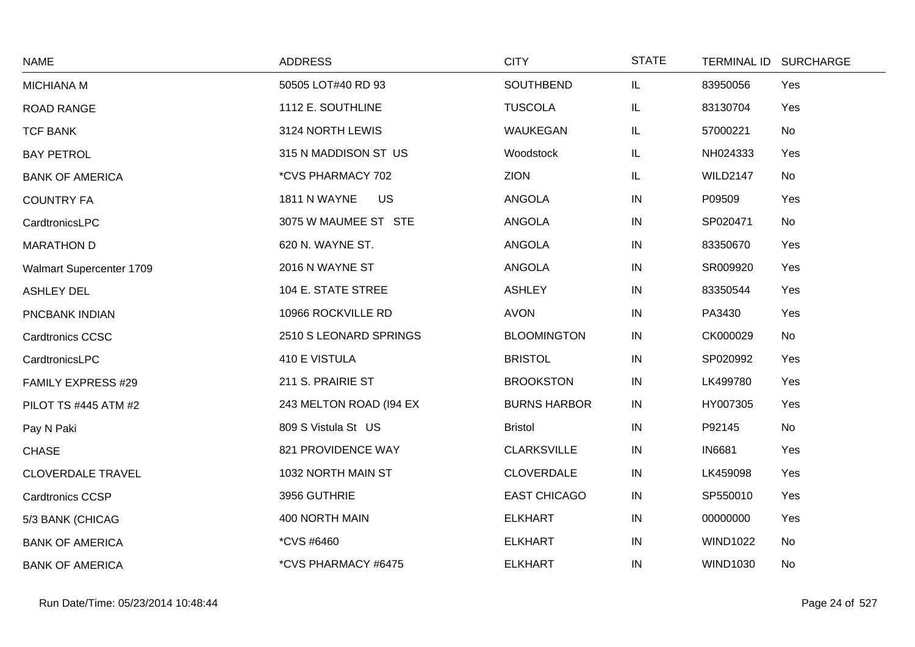| <b>NAME</b>              | <b>ADDRESS</b>            | <b>CITY</b>         | <b>STATE</b> |                 | TERMINAL ID SURCHARGE |
|--------------------------|---------------------------|---------------------|--------------|-----------------|-----------------------|
| MICHIANA M               | 50505 LOT#40 RD 93        | <b>SOUTHBEND</b>    | IL.          | 83950056        | Yes                   |
| <b>ROAD RANGE</b>        | 1112 E. SOUTHLINE         | <b>TUSCOLA</b>      | IL.          | 83130704        | Yes                   |
| <b>TCF BANK</b>          | 3124 NORTH LEWIS          | WAUKEGAN            | IL.          | 57000221        | No                    |
| <b>BAY PETROL</b>        | 315 N MADDISON ST US      | Woodstock           | IL.          | NH024333        | Yes                   |
| <b>BANK OF AMERICA</b>   | *CVS PHARMACY 702         | <b>ZION</b>         | IL.          | <b>WILD2147</b> | No                    |
| <b>COUNTRY FA</b>        | 1811 N WAYNE<br><b>US</b> | <b>ANGOLA</b>       | IN           | P09509          | Yes                   |
| CardtronicsLPC           | 3075 W MAUMEE ST STE      | ANGOLA              | IN           | SP020471        | No                    |
| <b>MARATHON D</b>        | 620 N. WAYNE ST.          | ANGOLA              | $\sf IN$     | 83350670        | Yes                   |
| Walmart Supercenter 1709 | 2016 N WAYNE ST           | ANGOLA              | IN           | SR009920        | Yes                   |
| <b>ASHLEY DEL</b>        | 104 E. STATE STREE        | <b>ASHLEY</b>       | IN           | 83350544        | Yes                   |
| PNCBANK INDIAN           | 10966 ROCKVILLE RD        | <b>AVON</b>         | IN           | PA3430          | Yes                   |
| <b>Cardtronics CCSC</b>  | 2510 S LEONARD SPRINGS    | <b>BLOOMINGTON</b>  | IN           | CK000029        | No                    |
| CardtronicsLPC           | 410 E VISTULA             | <b>BRISTOL</b>      | ${\sf IN}$   | SP020992        | Yes                   |
| FAMILY EXPRESS #29       | 211 S. PRAIRIE ST         | <b>BROOKSTON</b>    | $\sf IN$     | LK499780        | Yes                   |
| PILOT TS #445 ATM #2     | 243 MELTON ROAD (194 EX   | <b>BURNS HARBOR</b> | IN           | HY007305        | Yes                   |
| Pay N Paki               | 809 S Vistula St US       | <b>Bristol</b>      | $\sf IN$     | P92145          | No                    |
| <b>CHASE</b>             | 821 PROVIDENCE WAY        | <b>CLARKSVILLE</b>  | IN           | <b>IN6681</b>   | Yes                   |
| <b>CLOVERDALE TRAVEL</b> | 1032 NORTH MAIN ST        | <b>CLOVERDALE</b>   | IN           | LK459098        | Yes                   |
| <b>Cardtronics CCSP</b>  | 3956 GUTHRIE              | <b>EAST CHICAGO</b> | $\sf IN$     | SP550010        | Yes                   |
| 5/3 BANK (CHICAG         | 400 NORTH MAIN            | <b>ELKHART</b>      | $\sf IN$     | 00000000        | Yes                   |
| <b>BANK OF AMERICA</b>   | *CVS #6460                | <b>ELKHART</b>      | IN           | <b>WIND1022</b> | No                    |
| <b>BANK OF AMERICA</b>   | *CVS PHARMACY #6475       | <b>ELKHART</b>      | IN           | <b>WIND1030</b> | <b>No</b>             |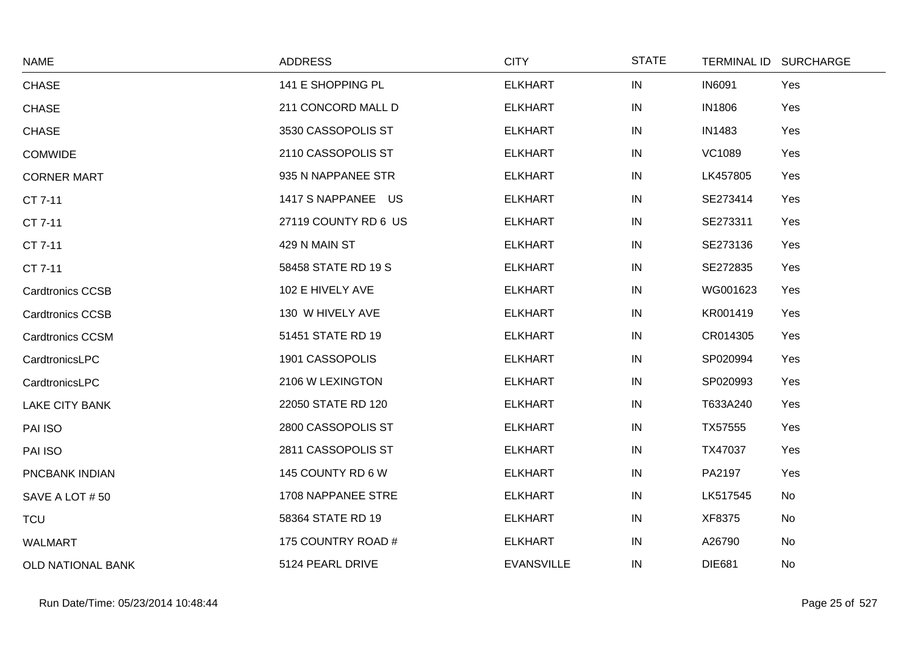| <b>NAME</b>              | <b>ADDRESS</b>       | <b>CITY</b>       | <b>STATE</b> | TERMINAL ID SURCHARGE |     |
|--------------------------|----------------------|-------------------|--------------|-----------------------|-----|
| <b>CHASE</b>             | 141 E SHOPPING PL    | <b>ELKHART</b>    | IN           | <b>IN6091</b>         | Yes |
| <b>CHASE</b>             | 211 CONCORD MALL D   | <b>ELKHART</b>    | IN           | <b>IN1806</b>         | Yes |
| <b>CHASE</b>             | 3530 CASSOPOLIS ST   | <b>ELKHART</b>    | IN           | <b>IN1483</b>         | Yes |
| <b>COMWIDE</b>           | 2110 CASSOPOLIS ST   | <b>ELKHART</b>    | IN           | <b>VC1089</b>         | Yes |
| <b>CORNER MART</b>       | 935 N NAPPANEE STR   | <b>ELKHART</b>    | IN           | LK457805              | Yes |
| CT 7-11                  | 1417 S NAPPANEE US   | <b>ELKHART</b>    | IN           | SE273414              | Yes |
| CT 7-11                  | 27119 COUNTY RD 6 US | <b>ELKHART</b>    | IN           | SE273311              | Yes |
| CT 7-11                  | 429 N MAIN ST        | <b>ELKHART</b>    | IN           | SE273136              | Yes |
| CT 7-11                  | 58458 STATE RD 19 S  | <b>ELKHART</b>    | IN           | SE272835              | Yes |
| <b>Cardtronics CCSB</b>  | 102 E HIVELY AVE     | <b>ELKHART</b>    | IN           | WG001623              | Yes |
| <b>Cardtronics CCSB</b>  | 130 W HIVELY AVE     | <b>ELKHART</b>    | IN           | KR001419              | Yes |
| <b>Cardtronics CCSM</b>  | 51451 STATE RD 19    | <b>ELKHART</b>    | IN           | CR014305              | Yes |
| CardtronicsLPC           | 1901 CASSOPOLIS      | <b>ELKHART</b>    | IN           | SP020994              | Yes |
| CardtronicsLPC           | 2106 W LEXINGTON     | <b>ELKHART</b>    | IN           | SP020993              | Yes |
| <b>LAKE CITY BANK</b>    | 22050 STATE RD 120   | <b>ELKHART</b>    | IN           | T633A240              | Yes |
| PAI ISO                  | 2800 CASSOPOLIS ST   | <b>ELKHART</b>    | IN           | TX57555               | Yes |
| PAI ISO                  | 2811 CASSOPOLIS ST   | <b>ELKHART</b>    | IN           | TX47037               | Yes |
| PNCBANK INDIAN           | 145 COUNTY RD 6 W    | <b>ELKHART</b>    | IN           | PA2197                | Yes |
| SAVE A LOT #50           | 1708 NAPPANEE STRE   | <b>ELKHART</b>    | IN           | LK517545              | No  |
| <b>TCU</b>               | 58364 STATE RD 19    | <b>ELKHART</b>    | IN           | XF8375                | No  |
| <b>WALMART</b>           | 175 COUNTRY ROAD #   | <b>ELKHART</b>    | IN           | A26790                | No  |
| <b>OLD NATIONAL BANK</b> | 5124 PEARL DRIVE     | <b>EVANSVILLE</b> | IN           | <b>DIE681</b>         | No  |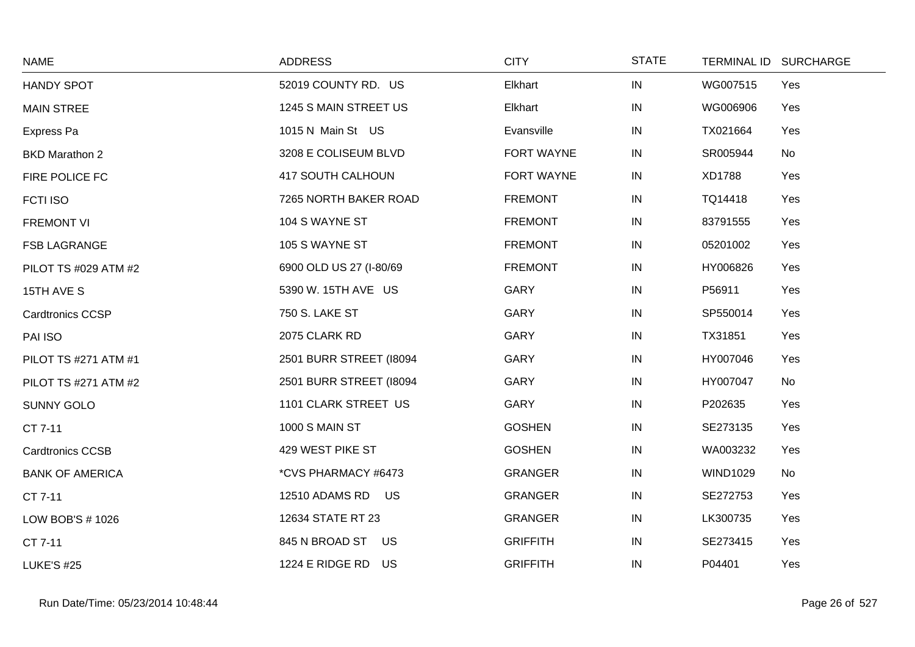| <b>NAME</b>             | <b>ADDRESS</b>          | <b>CITY</b>     | <b>STATE</b> |                 | TERMINAL ID SURCHARGE |
|-------------------------|-------------------------|-----------------|--------------|-----------------|-----------------------|
| <b>HANDY SPOT</b>       | 52019 COUNTY RD. US     | Elkhart         | IN           | WG007515        | Yes                   |
| <b>MAIN STREE</b>       | 1245 S MAIN STREET US   | Elkhart         | ${\sf IN}$   | WG006906        | Yes                   |
| Express Pa              | 1015 N Main St US       | Evansville      | IN           | TX021664        | Yes                   |
| <b>BKD Marathon 2</b>   | 3208 E COLISEUM BLVD    | FORT WAYNE      | ${\sf IN}$   | SR005944        | No                    |
| FIRE POLICE FC          | 417 SOUTH CALHOUN       | FORT WAYNE      | IN           | XD1788          | Yes                   |
| <b>FCTI ISO</b>         | 7265 NORTH BAKER ROAD   | <b>FREMONT</b>  | IN           | TQ14418         | Yes                   |
| <b>FREMONT VI</b>       | 104 S WAYNE ST          | <b>FREMONT</b>  | IN           | 83791555        | Yes                   |
| <b>FSB LAGRANGE</b>     | 105 S WAYNE ST          | <b>FREMONT</b>  | ${\sf IN}$   | 05201002        | Yes                   |
| PILOT TS #029 ATM #2    | 6900 OLD US 27 (I-80/69 | <b>FREMONT</b>  | IN           | HY006826        | Yes                   |
| 15TH AVE S              | 5390 W. 15TH AVE US     | <b>GARY</b>     | IN           | P56911          | Yes                   |
| <b>Cardtronics CCSP</b> | 750 S. LAKE ST          | GARY            | IN           | SP550014        | Yes                   |
| PAI ISO                 | 2075 CLARK RD           | <b>GARY</b>     | IN           | TX31851         | Yes                   |
| PILOT TS #271 ATM #1    | 2501 BURR STREET (18094 | <b>GARY</b>     | IN           | HY007046        | Yes                   |
| PILOT TS #271 ATM #2    | 2501 BURR STREET (18094 | GARY            | ${\sf IN}$   | HY007047        | No                    |
| <b>SUNNY GOLO</b>       | 1101 CLARK STREET US    | <b>GARY</b>     | IN           | P202635         | Yes                   |
| CT 7-11                 | <b>1000 S MAIN ST</b>   | <b>GOSHEN</b>   | IN           | SE273135        | Yes                   |
| <b>Cardtronics CCSB</b> | 429 WEST PIKE ST        | <b>GOSHEN</b>   | IN           | WA003232        | Yes                   |
| <b>BANK OF AMERICA</b>  | *CVS PHARMACY #6473     | <b>GRANGER</b>  | ${\sf IN}$   | <b>WIND1029</b> | No                    |
| CT 7-11                 | 12510 ADAMS RD<br>US    | <b>GRANGER</b>  | ${\sf IN}$   | SE272753        | Yes                   |
| LOW BOB'S # 1026        | 12634 STATE RT 23       | <b>GRANGER</b>  | IN           | LK300735        | Yes                   |
| CT 7-11                 | 845 N BROAD ST<br>US    | <b>GRIFFITH</b> | ${\sf IN}$   | SE273415        | Yes                   |
| <b>LUKE'S #25</b>       | 1224 E RIDGE RD<br>US   | <b>GRIFFITH</b> | IN           | P04401          | Yes                   |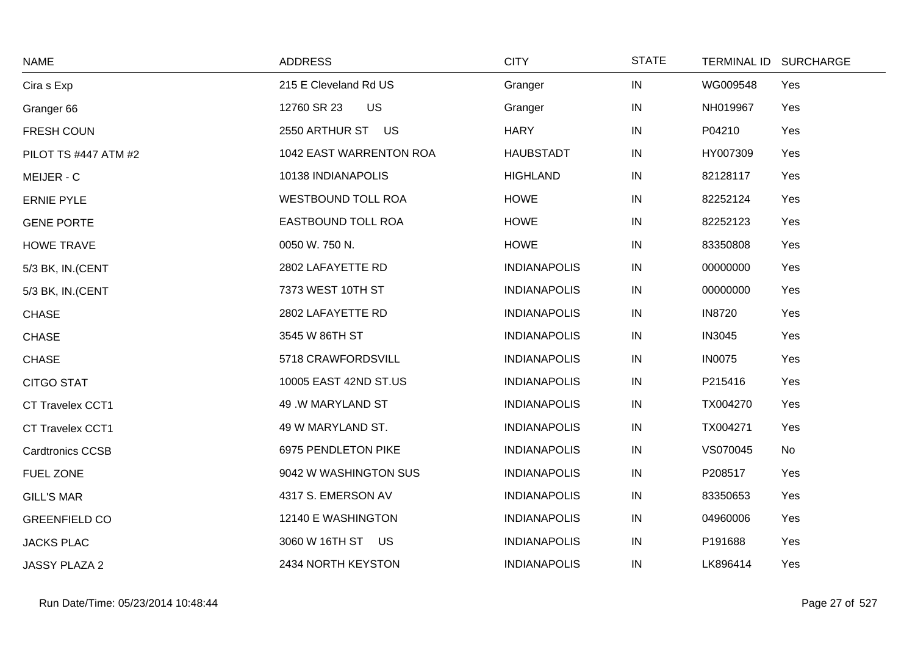| <b>NAME</b>             | <b>ADDRESS</b>            | <b>CITY</b>         | <b>STATE</b> | <b>TERMINAL ID</b> | <b>SURCHARGE</b> |
|-------------------------|---------------------------|---------------------|--------------|--------------------|------------------|
| Cira s Exp              | 215 E Cleveland Rd US     | Granger             | $\sf IN$     | WG009548           | Yes              |
| Granger 66              | <b>US</b><br>12760 SR 23  | Granger             | ${\sf IN}$   | NH019967           | Yes              |
| FRESH COUN              | 2550 ARTHUR ST US         | <b>HARY</b>         | IN           | P04210             | Yes              |
| PILOT TS #447 ATM #2    | 1042 EAST WARRENTON ROA   | <b>HAUBSTADT</b>    | ${\sf IN}$   | HY007309           | Yes              |
| MEIJER - C              | 10138 INDIANAPOLIS        | <b>HIGHLAND</b>     | IN           | 82128117           | Yes              |
| <b>ERNIE PYLE</b>       | <b>WESTBOUND TOLL ROA</b> | <b>HOWE</b>         | IN           | 82252124           | Yes              |
| <b>GENE PORTE</b>       | <b>EASTBOUND TOLL ROA</b> | <b>HOWE</b>         | ${\sf IN}$   | 82252123           | Yes              |
| <b>HOWE TRAVE</b>       | 0050 W. 750 N.            | <b>HOWE</b>         | ${\sf IN}$   | 83350808           | Yes              |
| 5/3 BK, IN.(CENT        | 2802 LAFAYETTE RD         | <b>INDIANAPOLIS</b> | IN           | 00000000           | Yes              |
| 5/3 BK, IN.(CENT        | 7373 WEST 10TH ST         | <b>INDIANAPOLIS</b> | IN           | 00000000           | Yes              |
| <b>CHASE</b>            | 2802 LAFAYETTE RD         | <b>INDIANAPOLIS</b> | IN           | <b>IN8720</b>      | Yes              |
| <b>CHASE</b>            | 3545 W 86TH ST            | <b>INDIANAPOLIS</b> | ${\sf IN}$   | <b>IN3045</b>      | Yes              |
| <b>CHASE</b>            | 5718 CRAWFORDSVILL        | <b>INDIANAPOLIS</b> | IN           | <b>IN0075</b>      | Yes              |
| <b>CITGO STAT</b>       | 10005 EAST 42ND ST.US     | <b>INDIANAPOLIS</b> | IN           | P215416            | Yes              |
| <b>CT Travelex CCT1</b> | 49 .W MARYLAND ST         | <b>INDIANAPOLIS</b> | IN           | TX004270           | Yes              |
| CT Travelex CCT1        | 49 W MARYLAND ST.         | <b>INDIANAPOLIS</b> | IN           | TX004271           | Yes              |
| <b>Cardtronics CCSB</b> | 6975 PENDLETON PIKE       | <b>INDIANAPOLIS</b> | IN           | VS070045           | No               |
| FUEL ZONE               | 9042 W WASHINGTON SUS     | <b>INDIANAPOLIS</b> | ${\sf IN}$   | P208517            | Yes              |
| <b>GILL'S MAR</b>       | 4317 S. EMERSON AV        | <b>INDIANAPOLIS</b> | IN           | 83350653           | Yes              |
| <b>GREENFIELD CO</b>    | 12140 E WASHINGTON        | <b>INDIANAPOLIS</b> | IN           | 04960006           | Yes              |
| <b>JACKS PLAC</b>       | 3060 W 16TH ST US         | <b>INDIANAPOLIS</b> | IN           | P191688            | Yes              |
| <b>JASSY PLAZA 2</b>    | 2434 NORTH KEYSTON        | <b>INDIANAPOLIS</b> | IN           | LK896414           | Yes              |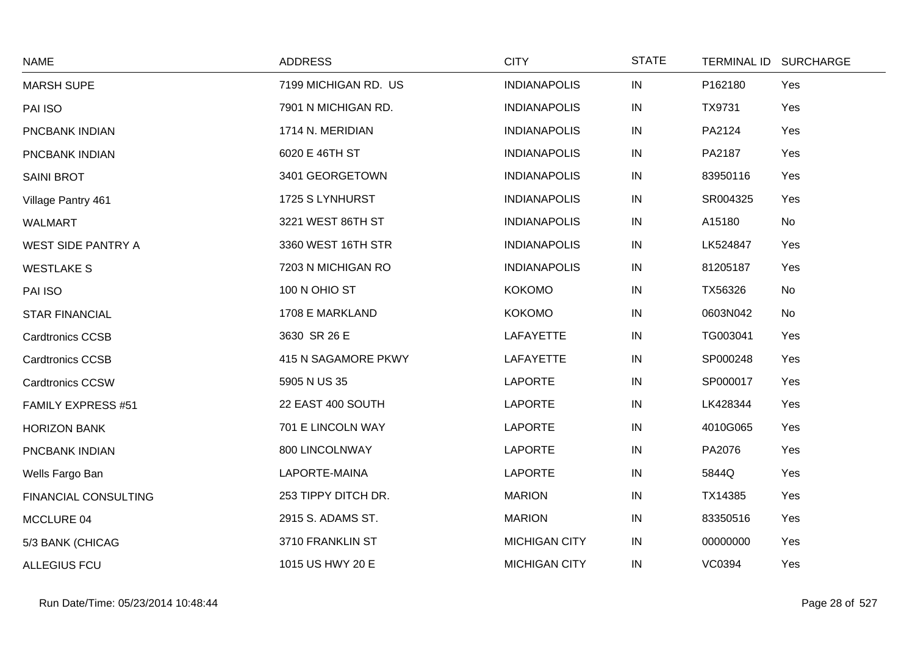| <b>NAME</b>                 | <b>ADDRESS</b>       | <b>CITY</b>          | <b>STATE</b> | TERMINAL ID SURCHARGE |     |
|-----------------------------|----------------------|----------------------|--------------|-----------------------|-----|
| <b>MARSH SUPE</b>           | 7199 MICHIGAN RD. US | <b>INDIANAPOLIS</b>  | IN           | P162180               | Yes |
| PAI ISO                     | 7901 N MICHIGAN RD.  | <b>INDIANAPOLIS</b>  | IN           | TX9731                | Yes |
| PNCBANK INDIAN              | 1714 N. MERIDIAN     | <b>INDIANAPOLIS</b>  | $\sf IN$     | PA2124                | Yes |
| PNCBANK INDIAN              | 6020 E 46TH ST       | <b>INDIANAPOLIS</b>  | IN           | PA2187                | Yes |
| <b>SAINI BROT</b>           | 3401 GEORGETOWN      | <b>INDIANAPOLIS</b>  | $\sf IN$     | 83950116              | Yes |
| Village Pantry 461          | 1725 S LYNHURST      | <b>INDIANAPOLIS</b>  | $\sf IN$     | SR004325              | Yes |
| <b>WALMART</b>              | 3221 WEST 86TH ST    | <b>INDIANAPOLIS</b>  | $\sf IN$     | A15180                | No  |
| <b>WEST SIDE PANTRY A</b>   | 3360 WEST 16TH STR   | <b>INDIANAPOLIS</b>  | IN           | LK524847              | Yes |
| <b>WESTLAKE S</b>           | 7203 N MICHIGAN RO   | <b>INDIANAPOLIS</b>  | IN           | 81205187              | Yes |
| PAI ISO                     | 100 N OHIO ST        | <b>KOKOMO</b>        | ${\sf IN}$   | TX56326               | No  |
| <b>STAR FINANCIAL</b>       | 1708 E MARKLAND      | <b>KOKOMO</b>        | IN           | 0603N042              | No  |
| <b>Cardtronics CCSB</b>     | 3630 SR 26 E         | LAFAYETTE            | IN           | TG003041              | Yes |
| <b>Cardtronics CCSB</b>     | 415 N SAGAMORE PKWY  | LAFAYETTE            | IN           | SP000248              | Yes |
| <b>Cardtronics CCSW</b>     | 5905 N US 35         | <b>LAPORTE</b>       | $\sf IN$     | SP000017              | Yes |
| FAMILY EXPRESS #51          | 22 EAST 400 SOUTH    | <b>LAPORTE</b>       | IN           | LK428344              | Yes |
| <b>HORIZON BANK</b>         | 701 E LINCOLN WAY    | <b>LAPORTE</b>       | IN           | 4010G065              | Yes |
| PNCBANK INDIAN              | 800 LINCOLNWAY       | <b>LAPORTE</b>       | IN           | PA2076                | Yes |
| Wells Fargo Ban             | LAPORTE-MAINA        | <b>LAPORTE</b>       | IN           | 5844Q                 | Yes |
| <b>FINANCIAL CONSULTING</b> | 253 TIPPY DITCH DR.  | <b>MARION</b>        | IN           | TX14385               | Yes |
| MCCLURE 04                  | 2915 S. ADAMS ST.    | <b>MARION</b>        | IN           | 83350516              | Yes |
| 5/3 BANK (CHICAG            | 3710 FRANKLIN ST     | <b>MICHIGAN CITY</b> | IN           | 00000000              | Yes |
| <b>ALLEGIUS FCU</b>         | 1015 US HWY 20 E     | <b>MICHIGAN CITY</b> | IN           | <b>VC0394</b>         | Yes |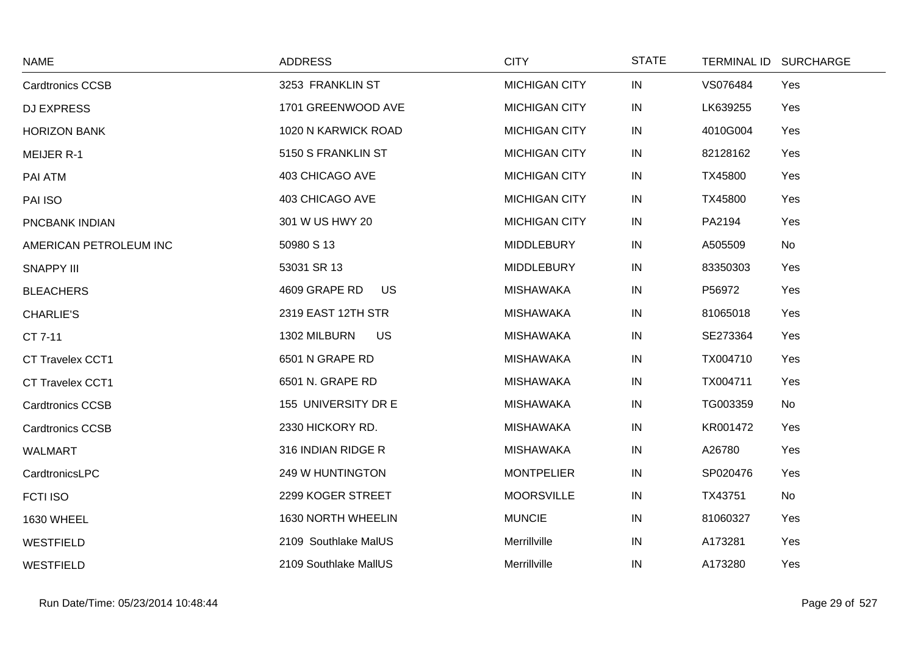| <b>NAME</b>             | <b>ADDRESS</b>        | <b>CITY</b>          | <b>STATE</b> |          | TERMINAL ID SURCHARGE |
|-------------------------|-----------------------|----------------------|--------------|----------|-----------------------|
| <b>Cardtronics CCSB</b> | 3253 FRANKLIN ST      | <b>MICHIGAN CITY</b> | IN           | VS076484 | Yes                   |
| <b>DJ EXPRESS</b>       | 1701 GREENWOOD AVE    | <b>MICHIGAN CITY</b> | IN           | LK639255 | Yes                   |
| <b>HORIZON BANK</b>     | 1020 N KARWICK ROAD   | <b>MICHIGAN CITY</b> | IN           | 4010G004 | Yes                   |
| <b>MEIJER R-1</b>       | 5150 S FRANKLIN ST    | <b>MICHIGAN CITY</b> | IN           | 82128162 | Yes                   |
| PAI ATM                 | 403 CHICAGO AVE       | <b>MICHIGAN CITY</b> | IN           | TX45800  | Yes                   |
| PAI ISO                 | 403 CHICAGO AVE       | <b>MICHIGAN CITY</b> | IN           | TX45800  | Yes                   |
| PNCBANK INDIAN          | 301 W US HWY 20       | <b>MICHIGAN CITY</b> | IN           | PA2194   | Yes                   |
| AMERICAN PETROLEUM INC  | 50980 S 13            | <b>MIDDLEBURY</b>    | $\sf IN$     | A505509  | No                    |
| <b>SNAPPY III</b>       | 53031 SR 13           | <b>MIDDLEBURY</b>    | IN           | 83350303 | Yes                   |
| <b>BLEACHERS</b>        | 4609 GRAPE RD<br>US   | <b>MISHAWAKA</b>     | IN           | P56972   | Yes                   |
| <b>CHARLIE'S</b>        | 2319 EAST 12TH STR    | <b>MISHAWAKA</b>     | IN           | 81065018 | Yes                   |
| CT 7-11                 | 1302 MILBURN<br>US    | <b>MISHAWAKA</b>     | $\sf IN$     | SE273364 | Yes                   |
| CT Travelex CCT1        | 6501 N GRAPE RD       | <b>MISHAWAKA</b>     | IN           | TX004710 | Yes                   |
| CT Travelex CCT1        | 6501 N. GRAPE RD      | <b>MISHAWAKA</b>     | IN           | TX004711 | Yes                   |
| <b>Cardtronics CCSB</b> | 155 UNIVERSITY DR E   | <b>MISHAWAKA</b>     | $\sf IN$     | TG003359 | No                    |
| <b>Cardtronics CCSB</b> | 2330 HICKORY RD.      | <b>MISHAWAKA</b>     | $\sf IN$     | KR001472 | Yes                   |
| WALMART                 | 316 INDIAN RIDGE R    | <b>MISHAWAKA</b>     | IN           | A26780   | Yes                   |
| CardtronicsLPC          | 249 W HUNTINGTON      | <b>MONTPELIER</b>    | IN           | SP020476 | Yes                   |
| <b>FCTI ISO</b>         | 2299 KOGER STREET     | <b>MOORSVILLE</b>    | ${\sf IN}$   | TX43751  | No                    |
| 1630 WHEEL              | 1630 NORTH WHEELIN    | <b>MUNCIE</b>        | IN           | 81060327 | Yes                   |
| <b>WESTFIELD</b>        | 2109 Southlake MalUS  | Merrillville         | IN           | A173281  | Yes                   |
| <b>WESTFIELD</b>        | 2109 Southlake MallUS | Merrillville         | IN           | A173280  | Yes                   |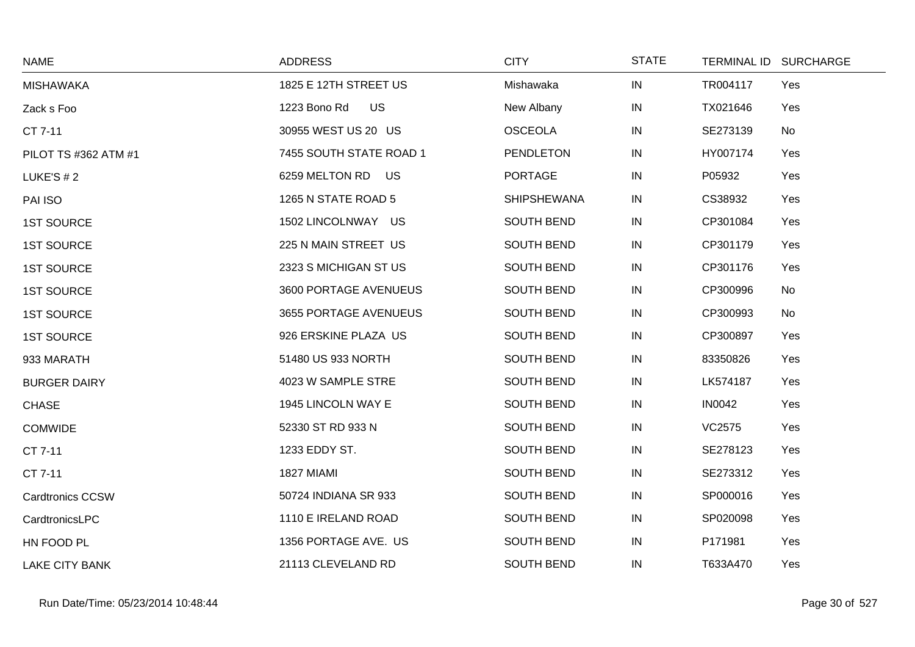| <b>NAME</b>             | <b>ADDRESS</b>          | <b>CITY</b>        | <b>STATE</b> | TERMINAL ID SURCHARGE |     |
|-------------------------|-------------------------|--------------------|--------------|-----------------------|-----|
| <b>MISHAWAKA</b>        | 1825 E 12TH STREET US   | Mishawaka          | IN           | TR004117              | Yes |
| Zack s Foo              | 1223 Bono Rd<br>US.     | New Albany         | IN           | TX021646              | Yes |
| CT 7-11                 | 30955 WEST US 20 US     | <b>OSCEOLA</b>     | IN           | SE273139              | No  |
| PILOT TS #362 ATM #1    | 7455 SOUTH STATE ROAD 1 | <b>PENDLETON</b>   | IN           | HY007174              | Yes |
| LUKE'S $# 2$            | 6259 MELTON RD US       | <b>PORTAGE</b>     | IN           | P05932                | Yes |
| PAI ISO                 | 1265 N STATE ROAD 5     | <b>SHIPSHEWANA</b> | IN           | CS38932               | Yes |
| <b>1ST SOURCE</b>       | 1502 LINCOLNWAY US      | <b>SOUTH BEND</b>  | IN           | CP301084              | Yes |
| <b>1ST SOURCE</b>       | 225 N MAIN STREET US    | <b>SOUTH BEND</b>  | IN           | CP301179              | Yes |
| <b>1ST SOURCE</b>       | 2323 S MICHIGAN ST US   | SOUTH BEND         | IN           | CP301176              | Yes |
| <b>1ST SOURCE</b>       | 3600 PORTAGE AVENUEUS   | SOUTH BEND         | IN           | CP300996              | No  |
| <b>1ST SOURCE</b>       | 3655 PORTAGE AVENUEUS   | SOUTH BEND         | IN           | CP300993              | No  |
| <b>1ST SOURCE</b>       | 926 ERSKINE PLAZA US    | SOUTH BEND         | IN           | CP300897              | Yes |
| 933 MARATH              | 51480 US 933 NORTH      | SOUTH BEND         | IN           | 83350826              | Yes |
| <b>BURGER DAIRY</b>     | 4023 W SAMPLE STRE      | <b>SOUTH BEND</b>  | IN           | LK574187              | Yes |
| <b>CHASE</b>            | 1945 LINCOLN WAY E      | SOUTH BEND         | IN           | <b>IN0042</b>         | Yes |
| <b>COMWIDE</b>          | 52330 ST RD 933 N       | SOUTH BEND         | IN           | VC2575                | Yes |
| CT 7-11                 | 1233 EDDY ST.           | <b>SOUTH BEND</b>  | IN           | SE278123              | Yes |
| CT 7-11                 | 1827 MIAMI              | SOUTH BEND         | IN           | SE273312              | Yes |
| <b>Cardtronics CCSW</b> | 50724 INDIANA SR 933    | SOUTH BEND         | IN           | SP000016              | Yes |
| CardtronicsLPC          | 1110 E IRELAND ROAD     | SOUTH BEND         | IN           | SP020098              | Yes |
| HN FOOD PL              | 1356 PORTAGE AVE. US    | SOUTH BEND         | IN           | P171981               | Yes |
| <b>LAKE CITY BANK</b>   | 21113 CLEVELAND RD      | <b>SOUTH BEND</b>  | IN           | T633A470              | Yes |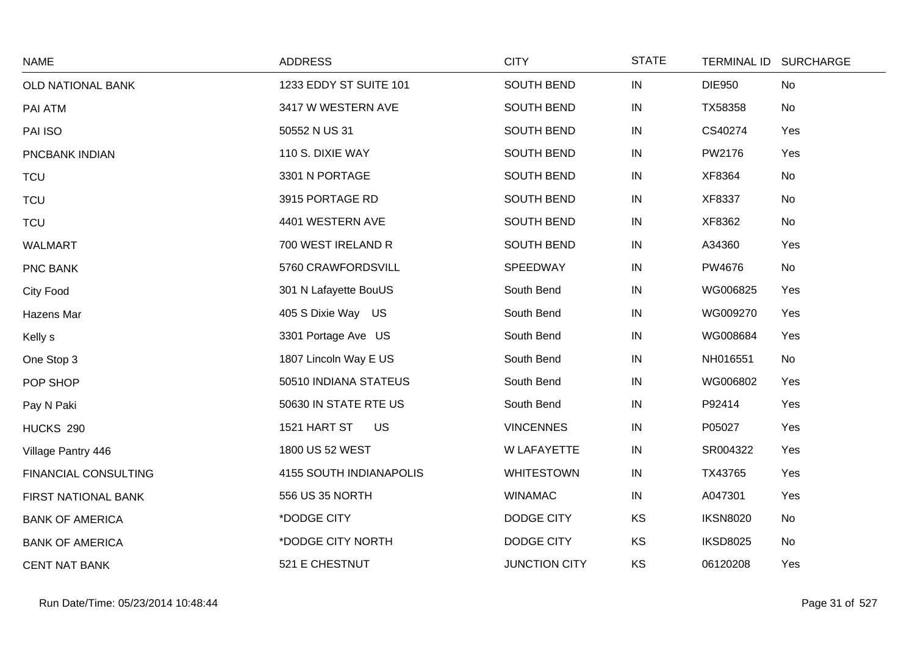| <b>NAME</b>            | <b>ADDRESS</b>            | <b>CITY</b>          | <b>STATE</b> | TERMINAL ID SURCHARGE |     |
|------------------------|---------------------------|----------------------|--------------|-----------------------|-----|
| OLD NATIONAL BANK      | 1233 EDDY ST SUITE 101    | SOUTH BEND           | IN           | <b>DIE950</b>         | No  |
| PAI ATM                | 3417 W WESTERN AVE        | SOUTH BEND           | IN           | TX58358               | No  |
| PAI ISO                | 50552 N US 31             | <b>SOUTH BEND</b>    | $\sf IN$     | CS40274               | Yes |
| PNCBANK INDIAN         | 110 S. DIXIE WAY          | SOUTH BEND           | ${\sf IN}$   | PW2176                | Yes |
| <b>TCU</b>             | 3301 N PORTAGE            | <b>SOUTH BEND</b>    | $\sf IN$     | XF8364                | No  |
| <b>TCU</b>             | 3915 PORTAGE RD           | SOUTH BEND           | IN           | XF8337                | No  |
| <b>TCU</b>             | 4401 WESTERN AVE          | SOUTH BEND           | $\sf IN$     | XF8362                | No  |
| <b>WALMART</b>         | 700 WEST IRELAND R        | <b>SOUTH BEND</b>    | IN           | A34360                | Yes |
| PNC BANK               | 5760 CRAWFORDSVILL        | SPEEDWAY             | IN           | PW4676                | No  |
| <b>City Food</b>       | 301 N Lafayette BouUS     | South Bend           | ${\sf IN}$   | WG006825              | Yes |
| Hazens Mar             | 405 S Dixie Way US        | South Bend           | IN           | WG009270              | Yes |
| Kelly s                | 3301 Portage Ave US       | South Bend           | IN           | WG008684              | Yes |
| One Stop 3             | 1807 Lincoln Way E US     | South Bend           | $\sf IN$     | NH016551              | No  |
| POP SHOP               | 50510 INDIANA STATEUS     | South Bend           | $\sf IN$     | WG006802              | Yes |
| Pay N Paki             | 50630 IN STATE RTE US     | South Bend           | ${\sf IN}$   | P92414                | Yes |
| HUCKS 290              | 1521 HART ST<br><b>US</b> | <b>VINCENNES</b>     | IN           | P05027                | Yes |
| Village Pantry 446     | 1800 US 52 WEST           | <b>W LAFAYETTE</b>   | IN           | SR004322              | Yes |
| FINANCIAL CONSULTING   | 4155 SOUTH INDIANAPOLIS   | <b>WHITESTOWN</b>    | IN           | TX43765               | Yes |
| FIRST NATIONAL BANK    | 556 US 35 NORTH           | <b>WINAMAC</b>       | IN           | A047301               | Yes |
| <b>BANK OF AMERICA</b> | *DODGE CITY               | <b>DODGE CITY</b>    | KS           | <b>IKSN8020</b>       | No  |
| <b>BANK OF AMERICA</b> | *DODGE CITY NORTH         | DODGE CITY           | KS           | <b>IKSD8025</b>       | No  |
| <b>CENT NAT BANK</b>   | 521 E CHESTNUT            | <b>JUNCTION CITY</b> | <b>KS</b>    | 06120208              | Yes |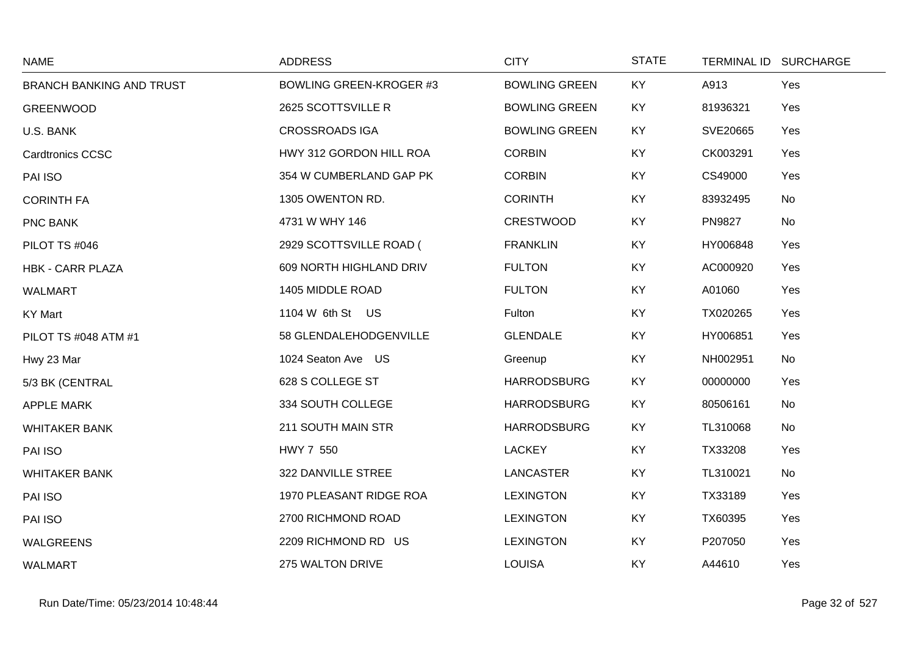| <b>NAME</b>                     | <b>ADDRESS</b>                 | <b>CITY</b>          | <b>STATE</b> |               | TERMINAL ID SURCHARGE |
|---------------------------------|--------------------------------|----------------------|--------------|---------------|-----------------------|
| <b>BRANCH BANKING AND TRUST</b> | <b>BOWLING GREEN-KROGER #3</b> | <b>BOWLING GREEN</b> | KY           | A913          | Yes                   |
| <b>GREENWOOD</b>                | 2625 SCOTTSVILLE R             | <b>BOWLING GREEN</b> | <b>KY</b>    | 81936321      | Yes                   |
| U.S. BANK                       | <b>CROSSROADS IGA</b>          | <b>BOWLING GREEN</b> | <b>KY</b>    | SVE20665      | Yes                   |
| <b>Cardtronics CCSC</b>         | HWY 312 GORDON HILL ROA        | <b>CORBIN</b>        | KY           | CK003291      | Yes                   |
| PAI ISO                         | 354 W CUMBERLAND GAP PK        | <b>CORBIN</b>        | KY           | CS49000       | Yes                   |
| <b>CORINTH FA</b>               | 1305 OWENTON RD.               | <b>CORINTH</b>       | KY           | 83932495      | No                    |
| PNC BANK                        | 4731 W WHY 146                 | <b>CRESTWOOD</b>     | <b>KY</b>    | <b>PN9827</b> | No                    |
| PILOT TS #046                   | 2929 SCOTTSVILLE ROAD (        | <b>FRANKLIN</b>      | KY           | HY006848      | Yes                   |
| <b>HBK - CARR PLAZA</b>         | 609 NORTH HIGHLAND DRIV        | <b>FULTON</b>        | <b>KY</b>    | AC000920      | Yes                   |
| <b>WALMART</b>                  | 1405 MIDDLE ROAD               | <b>FULTON</b>        | <b>KY</b>    | A01060        | Yes                   |
| <b>KY Mart</b>                  | 1104 W 6th St US               | Fulton               | <b>KY</b>    | TX020265      | Yes                   |
| PILOT TS #048 ATM #1            | 58 GLENDALEHODGENVILLE         | <b>GLENDALE</b>      | <b>KY</b>    | HY006851      | Yes                   |
| Hwy 23 Mar                      | 1024 Seaton Ave US             | Greenup              | <b>KY</b>    | NH002951      | No                    |
| 5/3 BK (CENTRAL                 | 628 S COLLEGE ST               | <b>HARRODSBURG</b>   | KY           | 00000000      | Yes                   |
| <b>APPLE MARK</b>               | 334 SOUTH COLLEGE              | <b>HARRODSBURG</b>   | <b>KY</b>    | 80506161      | No                    |
| <b>WHITAKER BANK</b>            | 211 SOUTH MAIN STR             | <b>HARRODSBURG</b>   | <b>KY</b>    | TL310068      | No                    |
| PAI ISO                         | HWY 7 550                      | <b>LACKEY</b>        | <b>KY</b>    | TX33208       | Yes                   |
| <b>WHITAKER BANK</b>            | 322 DANVILLE STREE             | <b>LANCASTER</b>     | KY           | TL310021      | No                    |
| PAI ISO                         | 1970 PLEASANT RIDGE ROA        | <b>LEXINGTON</b>     | <b>KY</b>    | TX33189       | Yes                   |
| PAI ISO                         | 2700 RICHMOND ROAD             | <b>LEXINGTON</b>     | <b>KY</b>    | TX60395       | Yes                   |
| <b>WALGREENS</b>                | 2209 RICHMOND RD US            | <b>LEXINGTON</b>     | <b>KY</b>    | P207050       | Yes                   |
| <b>WALMART</b>                  | 275 WALTON DRIVE               | <b>LOUISA</b>        | KY           | A44610        | Yes                   |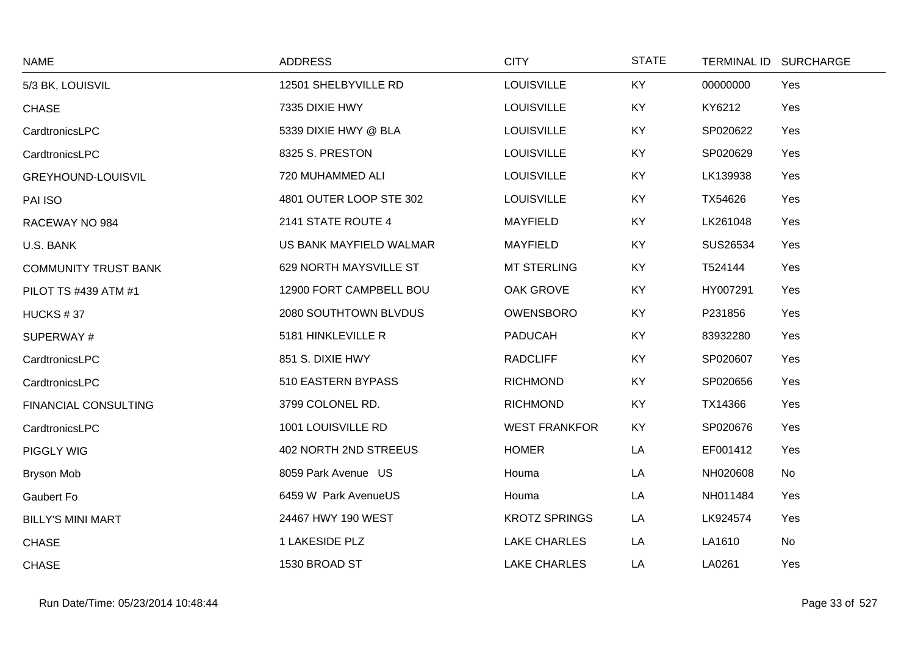| <b>NAME</b>                 | <b>ADDRESS</b>          | <b>CITY</b>          | <b>STATE</b> |          | TERMINAL ID SURCHARGE |
|-----------------------------|-------------------------|----------------------|--------------|----------|-----------------------|
| 5/3 BK, LOUISVIL            | 12501 SHELBYVILLE RD    | <b>LOUISVILLE</b>    | KY           | 00000000 | Yes                   |
| <b>CHASE</b>                | 7335 DIXIE HWY          | <b>LOUISVILLE</b>    | KY           | KY6212   | Yes                   |
| CardtronicsLPC              | 5339 DIXIE HWY @ BLA    | <b>LOUISVILLE</b>    | KY           | SP020622 | Yes                   |
| CardtronicsLPC              | 8325 S. PRESTON         | <b>LOUISVILLE</b>    | KY           | SP020629 | Yes                   |
| <b>GREYHOUND-LOUISVIL</b>   | 720 MUHAMMED ALI        | <b>LOUISVILLE</b>    | KY           | LK139938 | Yes                   |
| PAI ISO                     | 4801 OUTER LOOP STE 302 | <b>LOUISVILLE</b>    | KY           | TX54626  | Yes                   |
| RACEWAY NO 984              | 2141 STATE ROUTE 4      | <b>MAYFIELD</b>      | <b>KY</b>    | LK261048 | Yes                   |
| U.S. BANK                   | US BANK MAYFIELD WALMAR | <b>MAYFIELD</b>      | KY           | SUS26534 | Yes                   |
| <b>COMMUNITY TRUST BANK</b> | 629 NORTH MAYSVILLE ST  | <b>MT STERLING</b>   | KY           | T524144  | Yes                   |
| PILOT TS #439 ATM #1        | 12900 FORT CAMPBELL BOU | OAK GROVE            | <b>KY</b>    | HY007291 | Yes                   |
| HUCKS #37                   | 2080 SOUTHTOWN BLVDUS   | <b>OWENSBORO</b>     | KY           | P231856  | Yes                   |
| SUPERWAY#                   | 5181 HINKLEVILLE R      | <b>PADUCAH</b>       | KY           | 83932280 | Yes                   |
| CardtronicsLPC              | 851 S. DIXIE HWY        | <b>RADCLIFF</b>      | <b>KY</b>    | SP020607 | Yes                   |
| CardtronicsLPC              | 510 EASTERN BYPASS      | <b>RICHMOND</b>      | KY           | SP020656 | Yes                   |
| FINANCIAL CONSULTING        | 3799 COLONEL RD.        | <b>RICHMOND</b>      | KY           | TX14366  | Yes                   |
| CardtronicsLPC              | 1001 LOUISVILLE RD      | <b>WEST FRANKFOR</b> | <b>KY</b>    | SP020676 | Yes                   |
| <b>PIGGLY WIG</b>           | 402 NORTH 2ND STREEUS   | <b>HOMER</b>         | LA           | EF001412 | Yes                   |
| <b>Bryson Mob</b>           | 8059 Park Avenue US     | Houma                | LA           | NH020608 | No                    |
| Gaubert Fo                  | 6459 W Park AvenueUS    | Houma                | LA           | NH011484 | Yes                   |
| <b>BILLY'S MINI MART</b>    | 24467 HWY 190 WEST      | <b>KROTZ SPRINGS</b> | LA           | LK924574 | Yes                   |
| <b>CHASE</b>                | 1 LAKESIDE PLZ          | <b>LAKE CHARLES</b>  | LA           | LA1610   | No                    |
| <b>CHASE</b>                | 1530 BROAD ST           | <b>LAKE CHARLES</b>  | LA           | LA0261   | Yes                   |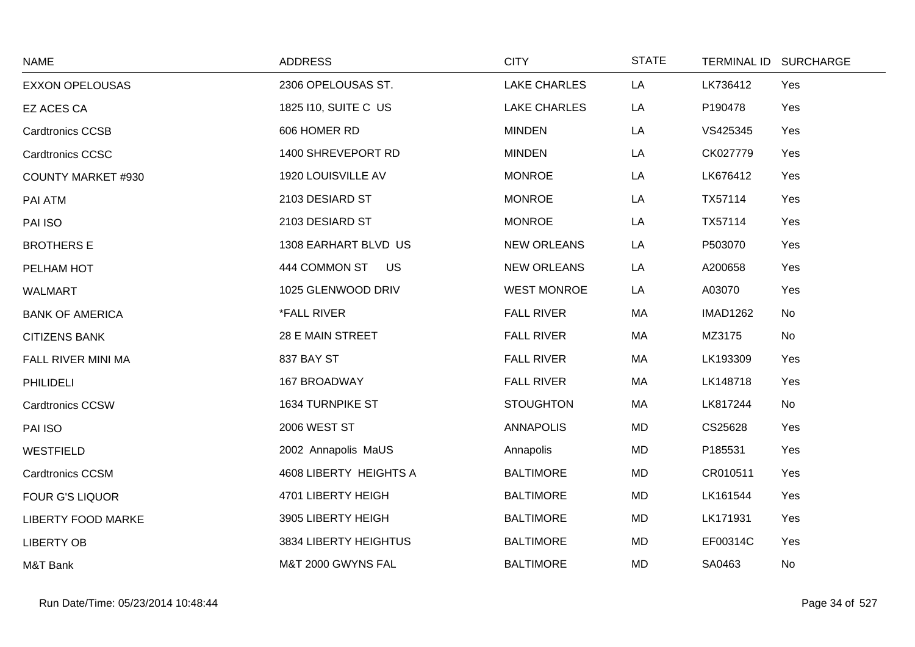| <b>NAME</b>               | <b>ADDRESS</b>            | <b>CITY</b>         | <b>STATE</b> |                 | TERMINAL ID SURCHARGE |
|---------------------------|---------------------------|---------------------|--------------|-----------------|-----------------------|
| <b>EXXON OPELOUSAS</b>    | 2306 OPELOUSAS ST.        | <b>LAKE CHARLES</b> | LA           | LK736412        | Yes                   |
| EZ ACES CA                | 1825 110, SUITE C US      | <b>LAKE CHARLES</b> | LA           | P190478         | Yes                   |
| <b>Cardtronics CCSB</b>   | 606 HOMER RD              | <b>MINDEN</b>       | LA           | VS425345        | Yes                   |
| <b>Cardtronics CCSC</b>   | 1400 SHREVEPORT RD        | <b>MINDEN</b>       | LA           | CK027779        | Yes                   |
| <b>COUNTY MARKET #930</b> | 1920 LOUISVILLE AV        | <b>MONROE</b>       | LA           | LK676412        | Yes                   |
| PAI ATM                   | 2103 DESIARD ST           | <b>MONROE</b>       | LA           | TX57114         | Yes                   |
| PAI ISO                   | 2103 DESIARD ST           | <b>MONROE</b>       | LA           | TX57114         | Yes                   |
| <b>BROTHERS E</b>         | 1308 EARHART BLVD US      | <b>NEW ORLEANS</b>  | LA           | P503070         | Yes                   |
| PELHAM HOT                | 444 COMMON ST US          | <b>NEW ORLEANS</b>  | LA           | A200658         | Yes                   |
| <b>WALMART</b>            | 1025 GLENWOOD DRIV        | <b>WEST MONROE</b>  | LA           | A03070          | Yes                   |
| <b>BANK OF AMERICA</b>    | <i><b>*FALL RIVER</b></i> | <b>FALL RIVER</b>   | MA           | <b>IMAD1262</b> | No                    |
| <b>CITIZENS BANK</b>      | 28 E MAIN STREET          | <b>FALL RIVER</b>   | МA           | MZ3175          | No                    |
| FALL RIVER MINI MA        | 837 BAY ST                | <b>FALL RIVER</b>   | МA           | LK193309        | Yes                   |
| <b>PHILIDELI</b>          | 167 BROADWAY              | <b>FALL RIVER</b>   | МA           | LK148718        | Yes                   |
| <b>Cardtronics CCSW</b>   | 1634 TURNPIKE ST          | <b>STOUGHTON</b>    | MA           | LK817244        | No                    |
| PAI ISO                   | <b>2006 WEST ST</b>       | <b>ANNAPOLIS</b>    | <b>MD</b>    | CS25628         | Yes                   |
| <b>WESTFIELD</b>          | 2002 Annapolis MaUS       | Annapolis           | MD           | P185531         | Yes                   |
| <b>Cardtronics CCSM</b>   | 4608 LIBERTY HEIGHTS A    | <b>BALTIMORE</b>    | <b>MD</b>    | CR010511        | Yes                   |
| <b>FOUR G'S LIQUOR</b>    | 4701 LIBERTY HEIGH        | <b>BALTIMORE</b>    | <b>MD</b>    | LK161544        | Yes                   |
| <b>LIBERTY FOOD MARKE</b> | 3905 LIBERTY HEIGH        | <b>BALTIMORE</b>    | MD           | LK171931        | Yes                   |
| <b>LIBERTY OB</b>         | 3834 LIBERTY HEIGHTUS     | <b>BALTIMORE</b>    | MD           | EF00314C        | Yes                   |
| M&T Bank                  | M&T 2000 GWYNS FAL        | <b>BALTIMORE</b>    | <b>MD</b>    | SA0463          | No                    |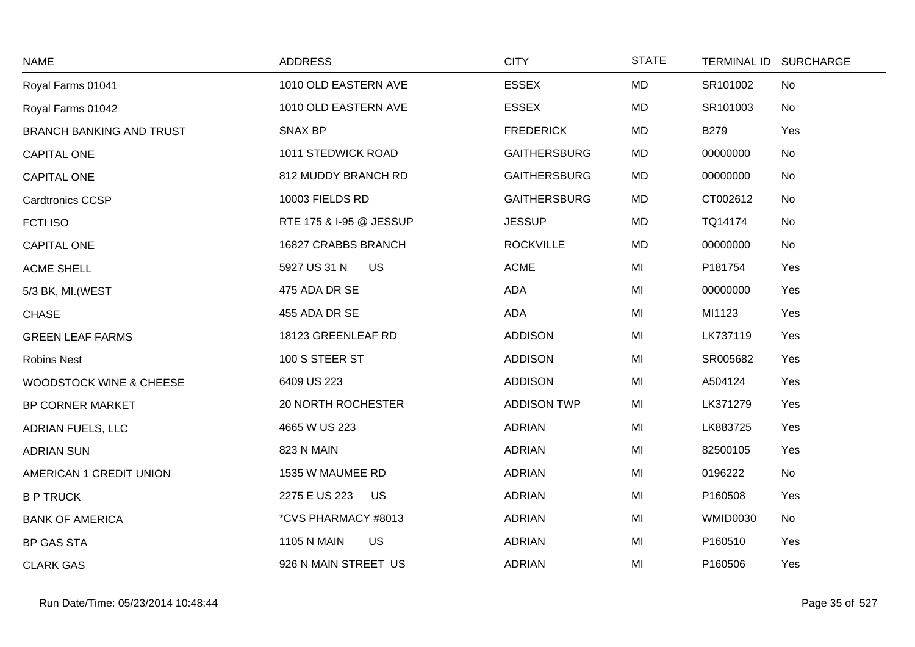| <b>NAME</b>                        | <b>ADDRESS</b>                  | <b>CITY</b>         | <b>STATE</b> | TERMINAL ID SURCHARGE |     |
|------------------------------------|---------------------------------|---------------------|--------------|-----------------------|-----|
| Royal Farms 01041                  | 1010 OLD EASTERN AVE            | <b>ESSEX</b>        | <b>MD</b>    | SR101002              | No  |
| Royal Farms 01042                  | 1010 OLD EASTERN AVE            | <b>ESSEX</b>        | <b>MD</b>    | SR101003              | No  |
| <b>BRANCH BANKING AND TRUST</b>    | <b>SNAX BP</b>                  | <b>FREDERICK</b>    | <b>MD</b>    | <b>B279</b>           | Yes |
| CAPITAL ONE                        | 1011 STEDWICK ROAD              | <b>GAITHERSBURG</b> | <b>MD</b>    | 00000000              | No  |
| <b>CAPITAL ONE</b>                 | 812 MUDDY BRANCH RD             | <b>GAITHERSBURG</b> | MD           | 00000000              | No  |
| <b>Cardtronics CCSP</b>            | 10003 FIELDS RD                 | <b>GAITHERSBURG</b> | MD           | CT002612              | No  |
| <b>FCTI ISO</b>                    | RTE 175 & I-95 @ JESSUP         | <b>JESSUP</b>       | <b>MD</b>    | TQ14174               | No  |
| <b>CAPITAL ONE</b>                 | 16827 CRABBS BRANCH             | <b>ROCKVILLE</b>    | <b>MD</b>    | 00000000              | No  |
| <b>ACME SHELL</b>                  | 5927 US 31 N<br><b>US</b>       | <b>ACME</b>         | MI           | P181754               | Yes |
| 5/3 BK, MI. (WEST                  | 475 ADA DR SE                   | ADA                 | MI           | 00000000              | Yes |
| <b>CHASE</b>                       | 455 ADA DR SE                   | ADA                 | MI           | MI1123                | Yes |
| <b>GREEN LEAF FARMS</b>            | 18123 GREENLEAF RD              | <b>ADDISON</b>      | MI           | LK737119              | Yes |
| <b>Robins Nest</b>                 | 100 S STEER ST                  | <b>ADDISON</b>      | MI           | SR005682              | Yes |
| <b>WOODSTOCK WINE &amp; CHEESE</b> | 6409 US 223                     | <b>ADDISON</b>      | MI           | A504124               | Yes |
| BP CORNER MARKET                   | 20 NORTH ROCHESTER              | <b>ADDISON TWP</b>  | MI           | LK371279              | Yes |
| <b>ADRIAN FUELS, LLC</b>           | 4665 W US 223                   | <b>ADRIAN</b>       | MI           | LK883725              | Yes |
| <b>ADRIAN SUN</b>                  | 823 N MAIN                      | <b>ADRIAN</b>       | MI           | 82500105              | Yes |
| AMERICAN 1 CREDIT UNION            | 1535 W MAUMEE RD                | <b>ADRIAN</b>       | MI           | 0196222               | No  |
| <b>B P TRUCK</b>                   | 2275 E US 223<br>US             | <b>ADRIAN</b>       | MI           | P160508               | Yes |
| <b>BANK OF AMERICA</b>             | *CVS PHARMACY #8013             | <b>ADRIAN</b>       | MI           | <b>WMID0030</b>       | No  |
| <b>BP GAS STA</b>                  | <b>1105 N MAIN</b><br><b>US</b> | <b>ADRIAN</b>       | MI           | P160510               | Yes |
| <b>CLARK GAS</b>                   | 926 N MAIN STREET US            | <b>ADRIAN</b>       | MI           | P160506               | Yes |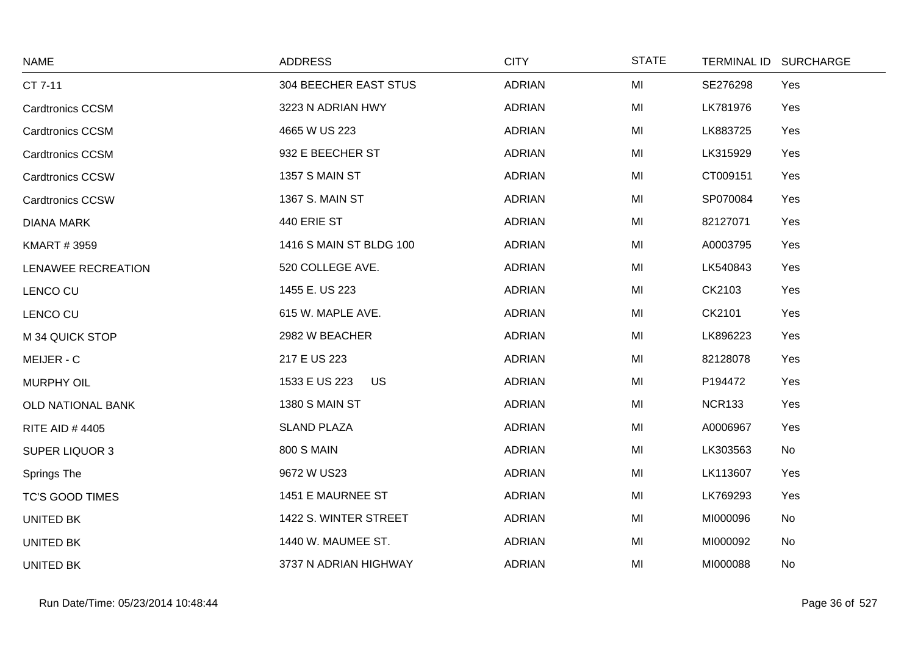| <b>NAME</b>              | <b>ADDRESS</b>               | <b>CITY</b>   | <b>STATE</b> | <b>TERMINAL ID</b> | <b>SURCHARGE</b> |
|--------------------------|------------------------------|---------------|--------------|--------------------|------------------|
| CT 7-11                  | <b>304 BEECHER EAST STUS</b> | <b>ADRIAN</b> | MI           | SE276298           | Yes              |
| <b>Cardtronics CCSM</b>  | 3223 N ADRIAN HWY            | <b>ADRIAN</b> | MI           | LK781976           | Yes              |
| <b>Cardtronics CCSM</b>  | 4665 W US 223                | <b>ADRIAN</b> | MI           | LK883725           | Yes              |
| <b>Cardtronics CCSM</b>  | 932 E BEECHER ST             | <b>ADRIAN</b> | MI           | LK315929           | Yes              |
| <b>Cardtronics CCSW</b>  | 1357 S MAIN ST               | <b>ADRIAN</b> | MI           | CT009151           | Yes              |
| <b>Cardtronics CCSW</b>  | 1367 S. MAIN ST              | <b>ADRIAN</b> | MI           | SP070084           | Yes              |
| <b>DIANA MARK</b>        | 440 ERIE ST                  | <b>ADRIAN</b> | MI           | 82127071           | Yes              |
| <b>KMART #3959</b>       | 1416 S MAIN ST BLDG 100      | <b>ADRIAN</b> | MI           | A0003795           | Yes              |
| LENAWEE RECREATION       | 520 COLLEGE AVE.             | <b>ADRIAN</b> | MI           | LK540843           | Yes              |
| LENCO CU                 | 1455 E. US 223               | <b>ADRIAN</b> | MI           | CK2103             | Yes              |
| LENCO CU                 | 615 W. MAPLE AVE.            | <b>ADRIAN</b> | MI           | CK2101             | Yes              |
| M 34 QUICK STOP          | 2982 W BEACHER               | <b>ADRIAN</b> | MI           | LK896223           | Yes              |
| MEIJER - C               | 217 E US 223                 | <b>ADRIAN</b> | MI           | 82128078           | Yes              |
| <b>MURPHY OIL</b>        | 1533 E US 223<br>US          | <b>ADRIAN</b> | MI           | P194472            | Yes              |
| <b>OLD NATIONAL BANK</b> | 1380 S MAIN ST               | <b>ADRIAN</b> | MI           | <b>NCR133</b>      | Yes              |
| <b>RITE AID #4405</b>    | <b>SLAND PLAZA</b>           | <b>ADRIAN</b> | MI           | A0006967           | Yes              |
| <b>SUPER LIQUOR 3</b>    | <b>800 S MAIN</b>            | <b>ADRIAN</b> | MI           | LK303563           | No               |
| Springs The              | 9672 W US23                  | <b>ADRIAN</b> | MI           | LK113607           | Yes              |
| <b>TC'S GOOD TIMES</b>   | 1451 E MAURNEE ST            | <b>ADRIAN</b> | MI           | LK769293           | Yes              |
| UNITED BK                | 1422 S. WINTER STREET        | <b>ADRIAN</b> | MI           | MI000096           | No               |
| <b>UNITED BK</b>         | 1440 W. MAUMEE ST.           | <b>ADRIAN</b> | MI           | MI000092           | No               |
| UNITED BK                | 3737 N ADRIAN HIGHWAY        | <b>ADRIAN</b> | MI           | MI000088           | No               |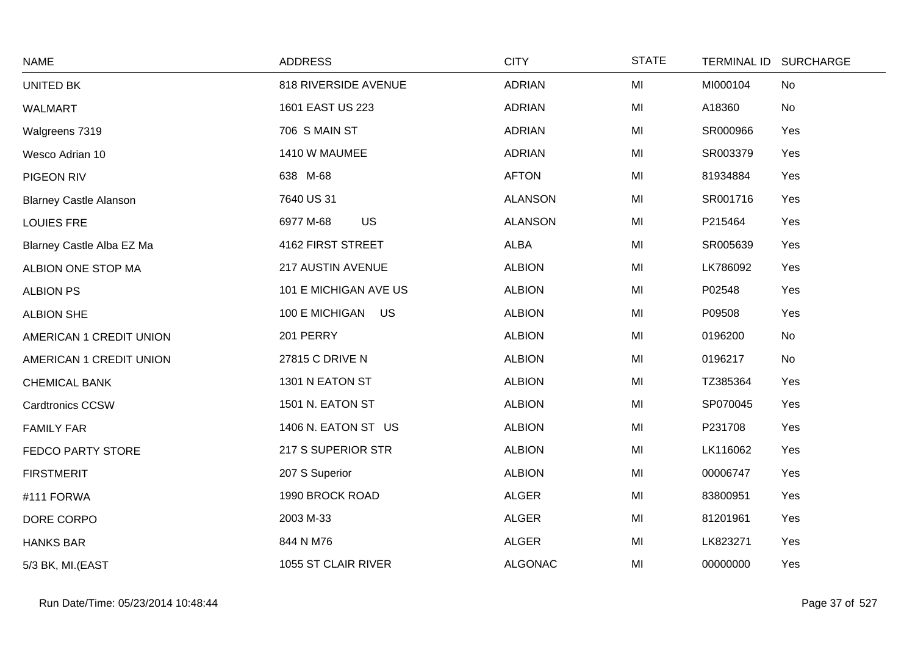| <b>NAME</b>                   | <b>ADDRESS</b>         | <b>CITY</b>    | <b>STATE</b> | <b>TERMINAL ID</b> | <b>SURCHARGE</b> |
|-------------------------------|------------------------|----------------|--------------|--------------------|------------------|
| <b>UNITED BK</b>              | 818 RIVERSIDE AVENUE   | <b>ADRIAN</b>  | MI           | MI000104           | No               |
| WALMART                       | 1601 EAST US 223       | <b>ADRIAN</b>  | MI           | A18360             | No               |
| Walgreens 7319                | 706 S MAIN ST          | <b>ADRIAN</b>  | MI           | SR000966           | Yes              |
| Wesco Adrian 10               | 1410 W MAUMEE          | <b>ADRIAN</b>  | MI           | SR003379           | Yes              |
| PIGEON RIV                    | 638 M-68               | <b>AFTON</b>   | MI           | 81934884           | Yes              |
| <b>Blarney Castle Alanson</b> | 7640 US 31             | <b>ALANSON</b> | MI           | SR001716           | Yes              |
| <b>LOUIES FRE</b>             | <b>US</b><br>6977 M-68 | <b>ALANSON</b> | MI           | P215464            | Yes              |
| Blarney Castle Alba EZ Ma     | 4162 FIRST STREET      | <b>ALBA</b>    | MI           | SR005639           | Yes              |
| ALBION ONE STOP MA            | 217 AUSTIN AVENUE      | <b>ALBION</b>  | MI           | LK786092           | Yes              |
| <b>ALBION PS</b>              | 101 E MICHIGAN AVE US  | <b>ALBION</b>  | MI           | P02548             | Yes              |
| <b>ALBION SHE</b>             | 100 E MICHIGAN US      | <b>ALBION</b>  | MI           | P09508             | Yes              |
| AMERICAN 1 CREDIT UNION       | 201 PERRY              | <b>ALBION</b>  | MI           | 0196200            | No               |
| AMERICAN 1 CREDIT UNION       | 27815 C DRIVE N        | <b>ALBION</b>  | MI           | 0196217            | No               |
| <b>CHEMICAL BANK</b>          | 1301 N EATON ST        | <b>ALBION</b>  | MI           | TZ385364           | Yes              |
| <b>Cardtronics CCSW</b>       | 1501 N. EATON ST       | <b>ALBION</b>  | MI           | SP070045           | Yes              |
| <b>FAMILY FAR</b>             | 1406 N. EATON ST US    | <b>ALBION</b>  | MI           | P231708            | Yes              |
| FEDCO PARTY STORE             | 217 S SUPERIOR STR     | <b>ALBION</b>  | MI           | LK116062           | Yes              |
| <b>FIRSTMERIT</b>             | 207 S Superior         | <b>ALBION</b>  | MI           | 00006747           | Yes              |
| #111 FORWA                    | 1990 BROCK ROAD        | <b>ALGER</b>   | MI           | 83800951           | Yes              |
| DORE CORPO                    | 2003 M-33              | <b>ALGER</b>   | MI           | 81201961           | Yes              |
| <b>HANKS BAR</b>              | 844 N M76              | <b>ALGER</b>   | MI           | LK823271           | Yes              |
| 5/3 BK, MI.(EAST              | 1055 ST CLAIR RIVER    | <b>ALGONAC</b> | MI           | 00000000           | Yes              |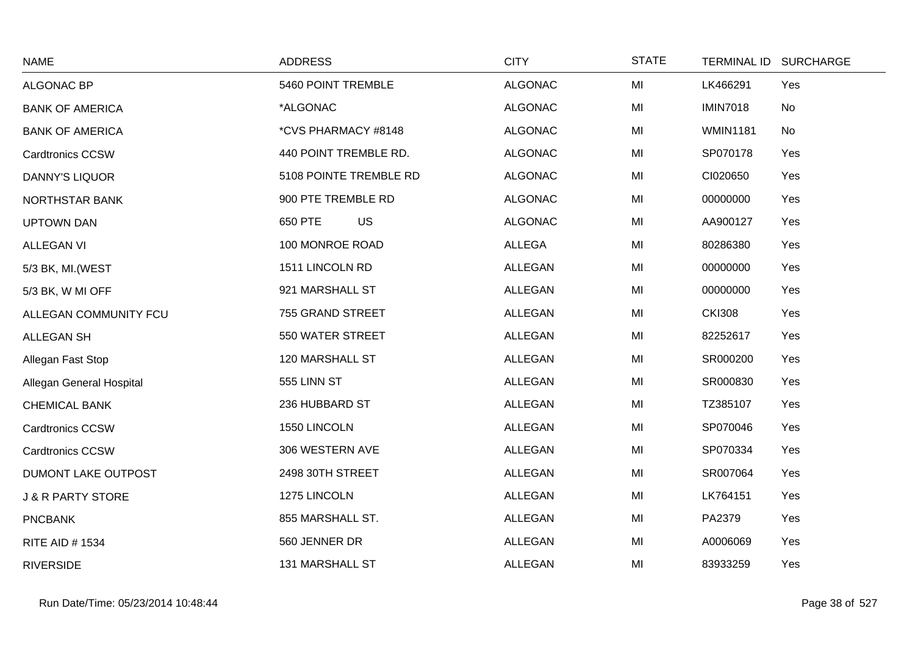| <b>NAME</b>                  | <b>ADDRESS</b>         | <b>CITY</b>    | <b>STATE</b> | <b>TERMINAL ID</b> | <b>SURCHARGE</b> |
|------------------------------|------------------------|----------------|--------------|--------------------|------------------|
| ALGONAC BP                   | 5460 POINT TREMBLE     | <b>ALGONAC</b> | MI           | LK466291           | Yes              |
| <b>BANK OF AMERICA</b>       | *ALGONAC               | <b>ALGONAC</b> | MI           | <b>IMIN7018</b>    | No               |
| <b>BANK OF AMERICA</b>       | *CVS PHARMACY #8148    | <b>ALGONAC</b> | MI           | <b>WMIN1181</b>    | No               |
| <b>Cardtronics CCSW</b>      | 440 POINT TREMBLE RD.  | <b>ALGONAC</b> | MI           | SP070178           | Yes              |
| <b>DANNY'S LIQUOR</b>        | 5108 POINTE TREMBLE RD | <b>ALGONAC</b> | MI           | CI020650           | Yes              |
| NORTHSTAR BANK               | 900 PTE TREMBLE RD     | <b>ALGONAC</b> | MI           | 00000000           | Yes              |
| <b>UPTOWN DAN</b>            | 650 PTE<br><b>US</b>   | <b>ALGONAC</b> | MI           | AA900127           | Yes              |
| <b>ALLEGAN VI</b>            | 100 MONROE ROAD        | <b>ALLEGA</b>  | MI           | 80286380           | Yes              |
| 5/3 BK, MI. (WEST            | 1511 LINCOLN RD        | <b>ALLEGAN</b> | MI           | 00000000           | Yes              |
| 5/3 BK, W MI OFF             | 921 MARSHALL ST        | <b>ALLEGAN</b> | MI           | 00000000           | Yes              |
| ALLEGAN COMMUNITY FCU        | 755 GRAND STREET       | <b>ALLEGAN</b> | MI           | <b>CKI308</b>      | Yes              |
| ALLEGAN SH                   | 550 WATER STREET       | <b>ALLEGAN</b> | MI           | 82252617           | Yes              |
| Allegan Fast Stop            | 120 MARSHALL ST        | <b>ALLEGAN</b> | MI           | SR000200           | Yes              |
| Allegan General Hospital     | 555 LINN ST            | <b>ALLEGAN</b> | MI           | SR000830           | Yes              |
| <b>CHEMICAL BANK</b>         | 236 HUBBARD ST         | <b>ALLEGAN</b> | MI           | TZ385107           | Yes              |
| <b>Cardtronics CCSW</b>      | 1550 LINCOLN           | <b>ALLEGAN</b> | MI           | SP070046           | Yes              |
| <b>Cardtronics CCSW</b>      | 306 WESTERN AVE        | <b>ALLEGAN</b> | MI           | SP070334           | Yes              |
| DUMONT LAKE OUTPOST          | 2498 30TH STREET       | <b>ALLEGAN</b> | MI           | SR007064           | Yes              |
| <b>J &amp; R PARTY STORE</b> | 1275 LINCOLN           | <b>ALLEGAN</b> | MI           | LK764151           | Yes              |
| <b>PNCBANK</b>               | 855 MARSHALL ST.       | <b>ALLEGAN</b> | MI           | PA2379             | Yes              |
| RITE AID # 1534              | 560 JENNER DR          | <b>ALLEGAN</b> | MI           | A0006069           | Yes              |
| <b>RIVERSIDE</b>             | 131 MARSHALL ST        | <b>ALLEGAN</b> | MI           | 83933259           | Yes              |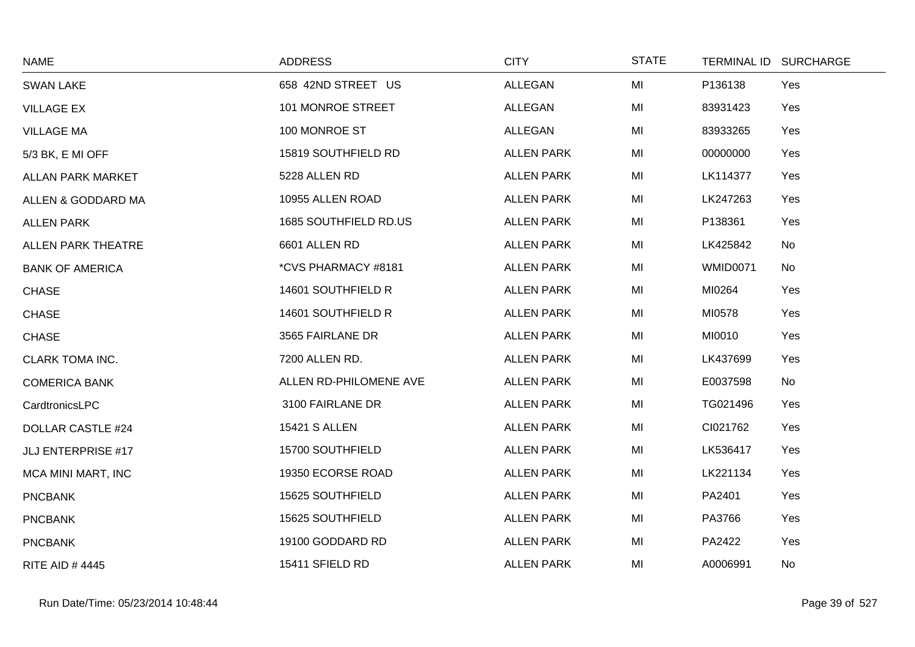| <b>NAME</b>               | <b>ADDRESS</b>         | <b>CITY</b>       | <b>STATE</b> |                 | TERMINAL ID SURCHARGE |
|---------------------------|------------------------|-------------------|--------------|-----------------|-----------------------|
| <b>SWAN LAKE</b>          | 658 42ND STREET US     | ALLEGAN           | MI           | P136138         | Yes                   |
| <b>VILLAGE EX</b>         | 101 MONROE STREET      | ALLEGAN           | MI           | 83931423        | Yes                   |
| <b>VILLAGE MA</b>         | 100 MONROE ST          | ALLEGAN           | MI           | 83933265        | Yes                   |
| 5/3 BK, E MI OFF          | 15819 SOUTHFIELD RD    | <b>ALLEN PARK</b> | MI           | 00000000        | Yes                   |
| <b>ALLAN PARK MARKET</b>  | 5228 ALLEN RD          | <b>ALLEN PARK</b> | MI           | LK114377        | Yes                   |
| ALLEN & GODDARD MA        | 10955 ALLEN ROAD       | <b>ALLEN PARK</b> | MI           | LK247263        | Yes                   |
| <b>ALLEN PARK</b>         | 1685 SOUTHFIELD RD.US  | <b>ALLEN PARK</b> | MI           | P138361         | Yes                   |
| <b>ALLEN PARK THEATRE</b> | 6601 ALLEN RD          | <b>ALLEN PARK</b> | MI           | LK425842        | No                    |
| <b>BANK OF AMERICA</b>    | *CVS PHARMACY #8181    | <b>ALLEN PARK</b> | MI           | <b>WMID0071</b> | No                    |
| <b>CHASE</b>              | 14601 SOUTHFIELD R     | <b>ALLEN PARK</b> | MI           | MI0264          | Yes                   |
| <b>CHASE</b>              | 14601 SOUTHFIELD R     | <b>ALLEN PARK</b> | MI           | MI0578          | Yes                   |
| <b>CHASE</b>              | 3565 FAIRLANE DR       | <b>ALLEN PARK</b> | MI           | MI0010          | Yes                   |
| <b>CLARK TOMA INC.</b>    | 7200 ALLEN RD.         | <b>ALLEN PARK</b> | MI           | LK437699        | Yes                   |
| <b>COMERICA BANK</b>      | ALLEN RD-PHILOMENE AVE | <b>ALLEN PARK</b> | MI           | E0037598        | No                    |
| CardtronicsLPC            | 3100 FAIRLANE DR       | <b>ALLEN PARK</b> | MI           | TG021496        | Yes                   |
| <b>DOLLAR CASTLE #24</b>  | <b>15421 S ALLEN</b>   | <b>ALLEN PARK</b> | MI           | CI021762        | Yes                   |
| JLJ ENTERPRISE #17        | 15700 SOUTHFIELD       | <b>ALLEN PARK</b> | MI           | LK536417        | Yes                   |
| MCA MINI MART, INC        | 19350 ECORSE ROAD      | <b>ALLEN PARK</b> | MI           | LK221134        | Yes                   |
| <b>PNCBANK</b>            | 15625 SOUTHFIELD       | <b>ALLEN PARK</b> | MI           | PA2401          | Yes                   |
| <b>PNCBANK</b>            | 15625 SOUTHFIELD       | <b>ALLEN PARK</b> | MI           | PA3766          | Yes                   |
| <b>PNCBANK</b>            | 19100 GODDARD RD       | <b>ALLEN PARK</b> | MI           | PA2422          | Yes                   |
| <b>RITE AID #4445</b>     | 15411 SFIELD RD        | <b>ALLEN PARK</b> | MI           | A0006991        | No                    |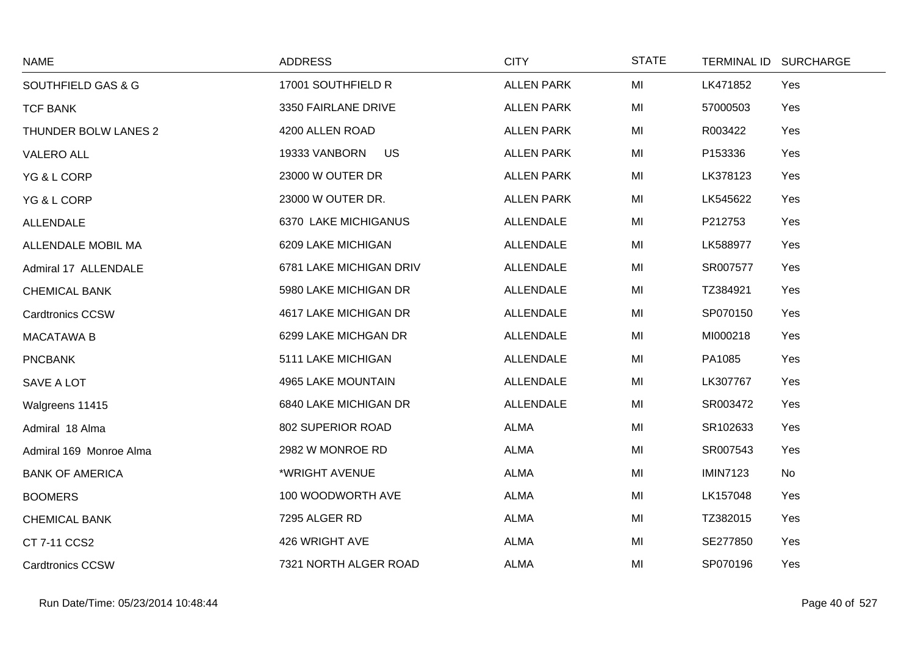| <b>NAME</b>                   | <b>ADDRESS</b>             | <b>CITY</b>       | <b>STATE</b> | <b>TERMINAL ID</b> | <b>SURCHARGE</b> |
|-------------------------------|----------------------------|-------------------|--------------|--------------------|------------------|
| <b>SOUTHFIELD GAS &amp; G</b> | 17001 SOUTHFIELD R         | <b>ALLEN PARK</b> | MI           | LK471852           | Yes              |
| <b>TCF BANK</b>               | 3350 FAIRLANE DRIVE        | <b>ALLEN PARK</b> | MI           | 57000503           | Yes              |
| THUNDER BOLW LANES 2          | 4200 ALLEN ROAD            | <b>ALLEN PARK</b> | MI           | R003422            | Yes              |
| <b>VALERO ALL</b>             | <b>US</b><br>19333 VANBORN | <b>ALLEN PARK</b> | MI           | P153336            | Yes              |
| YG & L CORP                   | 23000 W OUTER DR           | <b>ALLEN PARK</b> | MI           | LK378123           | Yes              |
| YG & L CORP                   | 23000 W OUTER DR.          | <b>ALLEN PARK</b> | MI           | LK545622           | Yes              |
| <b>ALLENDALE</b>              | 6370 LAKE MICHIGANUS       | <b>ALLENDALE</b>  | MI           | P212753            | Yes              |
| ALLENDALE MOBIL MA            | 6209 LAKE MICHIGAN         | <b>ALLENDALE</b>  | MI           | LK588977           | Yes              |
| Admiral 17 ALLENDALE          | 6781 LAKE MICHIGAN DRIV    | <b>ALLENDALE</b>  | MI           | SR007577           | Yes              |
| <b>CHEMICAL BANK</b>          | 5980 LAKE MICHIGAN DR      | <b>ALLENDALE</b>  | MI           | TZ384921           | Yes              |
| <b>Cardtronics CCSW</b>       | 4617 LAKE MICHIGAN DR      | <b>ALLENDALE</b>  | MI           | SP070150           | Yes              |
| <b>MACATAWA B</b>             | 6299 LAKE MICHGAN DR       | <b>ALLENDALE</b>  | MI           | MI000218           | Yes              |
| <b>PNCBANK</b>                | 5111 LAKE MICHIGAN         | <b>ALLENDALE</b>  | MI           | PA1085             | Yes              |
| SAVE A LOT                    | 4965 LAKE MOUNTAIN         | ALLENDALE         | MI           | LK307767           | Yes              |
| Walgreens 11415               | 6840 LAKE MICHIGAN DR      | <b>ALLENDALE</b>  | MI           | SR003472           | Yes              |
| Admiral 18 Alma               | 802 SUPERIOR ROAD          | <b>ALMA</b>       | MI           | SR102633           | Yes              |
| Admiral 169 Monroe Alma       | 2982 W MONROE RD           | <b>ALMA</b>       | MI           | SR007543           | Yes              |
| <b>BANK OF AMERICA</b>        | *WRIGHT AVENUE             | <b>ALMA</b>       | MI           | <b>IMIN7123</b>    | No               |
| <b>BOOMERS</b>                | 100 WOODWORTH AVE          | <b>ALMA</b>       | MI           | LK157048           | Yes              |
| <b>CHEMICAL BANK</b>          | 7295 ALGER RD              | <b>ALMA</b>       | MI           | TZ382015           | Yes              |
| CT 7-11 CCS2                  | 426 WRIGHT AVE             | <b>ALMA</b>       | MI           | SE277850           | Yes              |
| <b>Cardtronics CCSW</b>       | 7321 NORTH ALGER ROAD      | <b>ALMA</b>       | MI           | SP070196           | Yes              |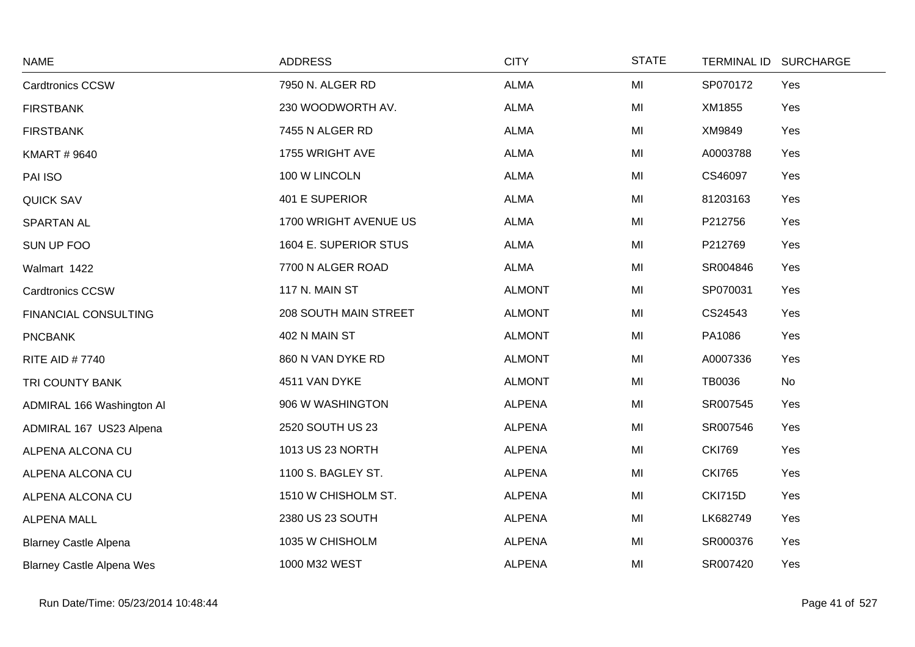| <b>NAME</b>                      | <b>ADDRESS</b>        | <b>CITY</b>   | <b>STATE</b> | <b>TERMINAL ID</b> | <b>SURCHARGE</b> |
|----------------------------------|-----------------------|---------------|--------------|--------------------|------------------|
| <b>Cardtronics CCSW</b>          | 7950 N. ALGER RD      | <b>ALMA</b>   | MI           | SP070172           | Yes              |
| <b>FIRSTBANK</b>                 | 230 WOODWORTH AV.     | <b>ALMA</b>   | MI           | XM1855             | Yes              |
| <b>FIRSTBANK</b>                 | 7455 N ALGER RD       | <b>ALMA</b>   | MI           | XM9849             | Yes              |
| <b>KMART # 9640</b>              | 1755 WRIGHT AVE       | <b>ALMA</b>   | MI           | A0003788           | Yes              |
| PAI ISO                          | 100 W LINCOLN         | <b>ALMA</b>   | MI           | CS46097            | Yes              |
| <b>QUICK SAV</b>                 | 401 E SUPERIOR        | <b>ALMA</b>   | MI           | 81203163           | Yes              |
| <b>SPARTAN AL</b>                | 1700 WRIGHT AVENUE US | <b>ALMA</b>   | MI           | P212756            | Yes              |
| SUN UP FOO                       | 1604 E. SUPERIOR STUS | <b>ALMA</b>   | MI           | P212769            | Yes              |
| Walmart 1422                     | 7700 N ALGER ROAD     | <b>ALMA</b>   | MI           | SR004846           | Yes              |
| <b>Cardtronics CCSW</b>          | 117 N. MAIN ST        | <b>ALMONT</b> | MI           | SP070031           | Yes              |
| FINANCIAL CONSULTING             | 208 SOUTH MAIN STREET | <b>ALMONT</b> | MI           | CS24543            | Yes              |
| <b>PNCBANK</b>                   | 402 N MAIN ST         | <b>ALMONT</b> | MI           | PA1086             | Yes              |
| <b>RITE AID #7740</b>            | 860 N VAN DYKE RD     | <b>ALMONT</b> | MI           | A0007336           | Yes              |
| TRI COUNTY BANK                  | 4511 VAN DYKE         | <b>ALMONT</b> | MI           | <b>TB0036</b>      | No               |
| ADMIRAL 166 Washington Al        | 906 W WASHINGTON      | <b>ALPENA</b> | MI           | SR007545           | Yes              |
| ADMIRAL 167 US23 Alpena          | 2520 SOUTH US 23      | <b>ALPENA</b> | MI           | SR007546           | Yes              |
| ALPENA ALCONA CU                 | 1013 US 23 NORTH      | <b>ALPENA</b> | MI           | <b>CKI769</b>      | Yes              |
| ALPENA ALCONA CU                 | 1100 S. BAGLEY ST.    | <b>ALPENA</b> | MI           | <b>CKI765</b>      | Yes              |
| ALPENA ALCONA CU                 | 1510 W CHISHOLM ST.   | <b>ALPENA</b> | MI           | <b>CKI715D</b>     | Yes              |
| <b>ALPENA MALL</b>               | 2380 US 23 SOUTH      | <b>ALPENA</b> | MI           | LK682749           | Yes              |
| <b>Blarney Castle Alpena</b>     | 1035 W CHISHOLM       | <b>ALPENA</b> | MI           | SR000376           | Yes              |
| <b>Blarney Castle Alpena Wes</b> | 1000 M32 WEST         | <b>ALPENA</b> | MI           | SR007420           | Yes              |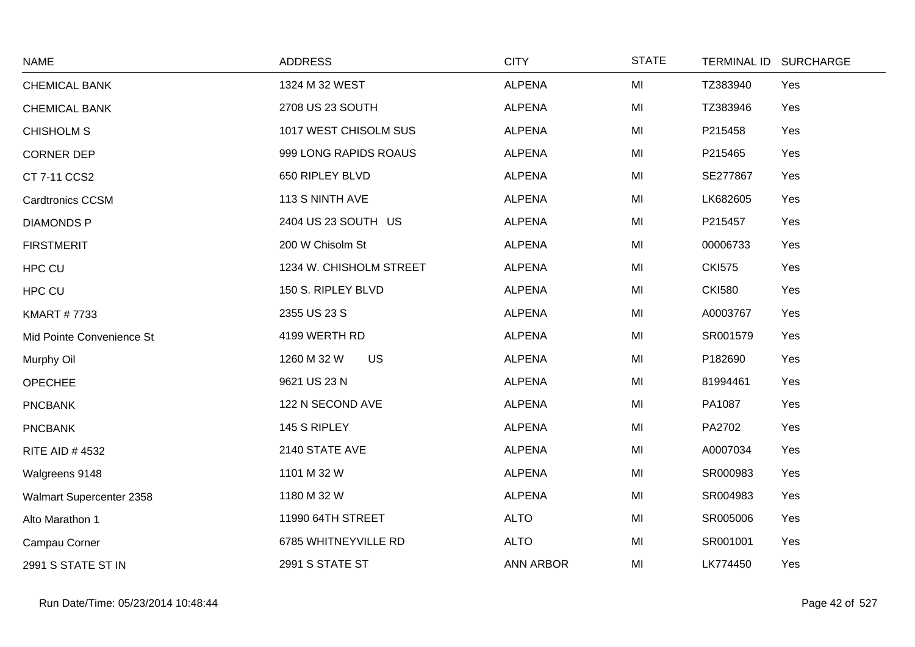| <b>NAME</b>               | <b>ADDRESS</b>           | <b>CITY</b>      | <b>STATE</b> | <b>TERMINAL ID</b> | <b>SURCHARGE</b> |
|---------------------------|--------------------------|------------------|--------------|--------------------|------------------|
| <b>CHEMICAL BANK</b>      | 1324 M 32 WEST           | <b>ALPENA</b>    | MI           | TZ383940           | Yes              |
| <b>CHEMICAL BANK</b>      | 2708 US 23 SOUTH         | <b>ALPENA</b>    | MI           | TZ383946           | Yes              |
| <b>CHISHOLM S</b>         | 1017 WEST CHISOLM SUS    | <b>ALPENA</b>    | MI           | P215458            | Yes              |
| <b>CORNER DEP</b>         | 999 LONG RAPIDS ROAUS    | <b>ALPENA</b>    | MI           | P215465            | Yes              |
| CT 7-11 CCS2              | 650 RIPLEY BLVD          | <b>ALPENA</b>    | MI           | SE277867           | Yes              |
| <b>Cardtronics CCSM</b>   | 113 S NINTH AVE          | <b>ALPENA</b>    | MI           | LK682605           | Yes              |
| <b>DIAMONDS P</b>         | 2404 US 23 SOUTH US      | <b>ALPENA</b>    | MI           | P215457            | Yes              |
| <b>FIRSTMERIT</b>         | 200 W Chisolm St         | <b>ALPENA</b>    | MI           | 00006733           | Yes              |
| HPC CU                    | 1234 W. CHISHOLM STREET  | <b>ALPENA</b>    | MI           | <b>CKI575</b>      | Yes              |
| <b>HPC CU</b>             | 150 S. RIPLEY BLVD       | <b>ALPENA</b>    | MI           | <b>CKI580</b>      | Yes              |
| <b>KMART #7733</b>        | 2355 US 23 S             | <b>ALPENA</b>    | MI           | A0003767           | Yes              |
| Mid Pointe Convenience St | 4199 WERTH RD            | <b>ALPENA</b>    | MI           | SR001579           | Yes              |
| Murphy Oil                | <b>US</b><br>1260 M 32 W | <b>ALPENA</b>    | MI           | P182690            | Yes              |
| <b>OPECHEE</b>            | 9621 US 23 N             | <b>ALPENA</b>    | MI           | 81994461           | Yes              |
| <b>PNCBANK</b>            | 122 N SECOND AVE         | <b>ALPENA</b>    | MI           | PA1087             | Yes              |
| <b>PNCBANK</b>            | 145 S RIPLEY             | <b>ALPENA</b>    | MI           | PA2702             | Yes              |
| <b>RITE AID #4532</b>     | 2140 STATE AVE           | <b>ALPENA</b>    | MI           | A0007034           | Yes              |
| Walgreens 9148            | 1101 M 32 W              | <b>ALPENA</b>    | MI           | SR000983           | Yes              |
| Walmart Supercenter 2358  | 1180 M 32 W              | <b>ALPENA</b>    | MI           | SR004983           | Yes              |
| Alto Marathon 1           | 11990 64TH STREET        | <b>ALTO</b>      | MI           | SR005006           | Yes              |
| Campau Corner             | 6785 WHITNEYVILLE RD     | <b>ALTO</b>      | MI           | SR001001           | Yes              |
| 2991 S STATE ST IN        | 2991 S STATE ST          | <b>ANN ARBOR</b> | MI           | LK774450           | Yes              |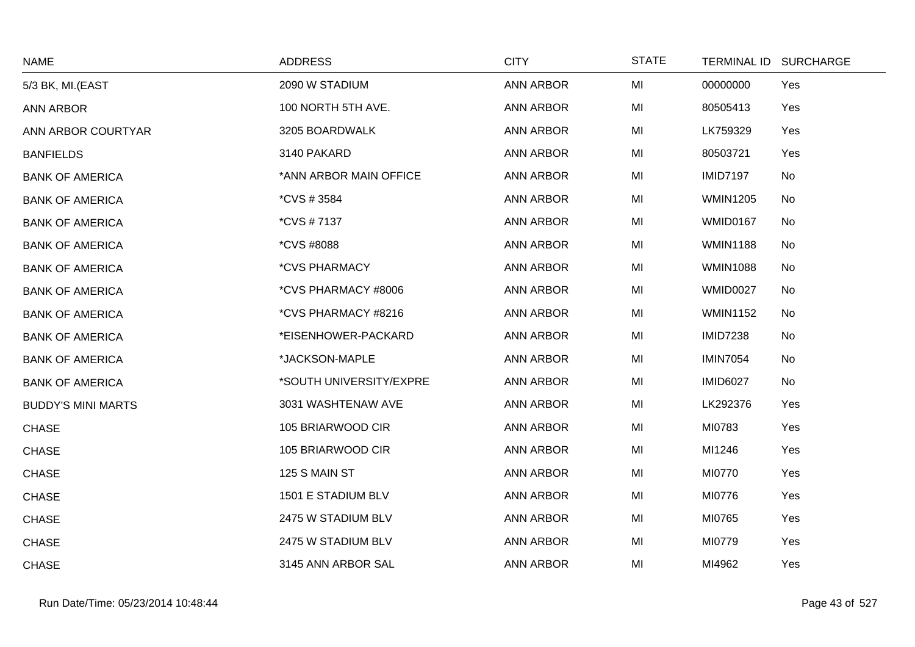| <b>NAME</b>               | <b>ADDRESS</b>              | <b>CITY</b>      | <b>STATE</b> |                 | TERMINAL ID SURCHARGE |
|---------------------------|-----------------------------|------------------|--------------|-----------------|-----------------------|
| 5/3 BK, MI.(EAST          | 2090 W STADIUM              | <b>ANN ARBOR</b> | MI           | 00000000        | Yes                   |
| <b>ANN ARBOR</b>          | 100 NORTH 5TH AVE.          | <b>ANN ARBOR</b> | MI           | 80505413        | Yes                   |
| ANN ARBOR COURTYAR        | 3205 BOARDWALK              | <b>ANN ARBOR</b> | MI           | LK759329        | Yes                   |
| <b>BANFIELDS</b>          | 3140 PAKARD                 | ANN ARBOR        | MI           | 80503721        | Yes                   |
| <b>BANK OF AMERICA</b>    | *ANN ARBOR MAIN OFFICE      | <b>ANN ARBOR</b> | MI           | <b>IMID7197</b> | No                    |
| <b>BANK OF AMERICA</b>    | *CVS # 3584                 | <b>ANN ARBOR</b> | MI           | <b>WMIN1205</b> | No                    |
| <b>BANK OF AMERICA</b>    | *CVS #7137                  | <b>ANN ARBOR</b> | MI           | <b>WMID0167</b> | No                    |
| <b>BANK OF AMERICA</b>    | <i><b>*CVS #8088</b></i>    | <b>ANN ARBOR</b> | MI           | <b>WMIN1188</b> | No                    |
| <b>BANK OF AMERICA</b>    | <i><b>*CVS PHARMACY</b></i> | <b>ANN ARBOR</b> | MI           | <b>WMIN1088</b> | No                    |
| <b>BANK OF AMERICA</b>    | *CVS PHARMACY #8006         | <b>ANN ARBOR</b> | MI           | <b>WMID0027</b> | No                    |
| <b>BANK OF AMERICA</b>    | *CVS PHARMACY #8216         | <b>ANN ARBOR</b> | MI           | <b>WMIN1152</b> | No                    |
| <b>BANK OF AMERICA</b>    | *EISENHOWER-PACKARD         | ANN ARBOR        | MI           | <b>IMID7238</b> | No                    |
| <b>BANK OF AMERICA</b>    | *JACKSON-MAPLE              | <b>ANN ARBOR</b> | MI           | <b>IMIN7054</b> | No                    |
| <b>BANK OF AMERICA</b>    | *SOUTH UNIVERSITY/EXPRE     | <b>ANN ARBOR</b> | MI           | <b>IMID6027</b> | No                    |
| <b>BUDDY'S MINI MARTS</b> | 3031 WASHTENAW AVE          | ANN ARBOR        | MI           | LK292376        | Yes                   |
| <b>CHASE</b>              | 105 BRIARWOOD CIR           | <b>ANN ARBOR</b> | MI           | MI0783          | Yes                   |
| <b>CHASE</b>              | 105 BRIARWOOD CIR           | <b>ANN ARBOR</b> | MI           | MI1246          | Yes                   |
| <b>CHASE</b>              | 125 S MAIN ST               | <b>ANN ARBOR</b> | MI           | MI0770          | Yes                   |
| <b>CHASE</b>              | 1501 E STADIUM BLV          | ANN ARBOR        | MI           | MI0776          | Yes                   |
| <b>CHASE</b>              | 2475 W STADIUM BLV          | <b>ANN ARBOR</b> | MI           | MI0765          | Yes                   |
| <b>CHASE</b>              | 2475 W STADIUM BLV          | <b>ANN ARBOR</b> | MI           | MI0779          | Yes                   |
| <b>CHASE</b>              | 3145 ANN ARBOR SAL          | <b>ANN ARBOR</b> | MI           | MI4962          | Yes                   |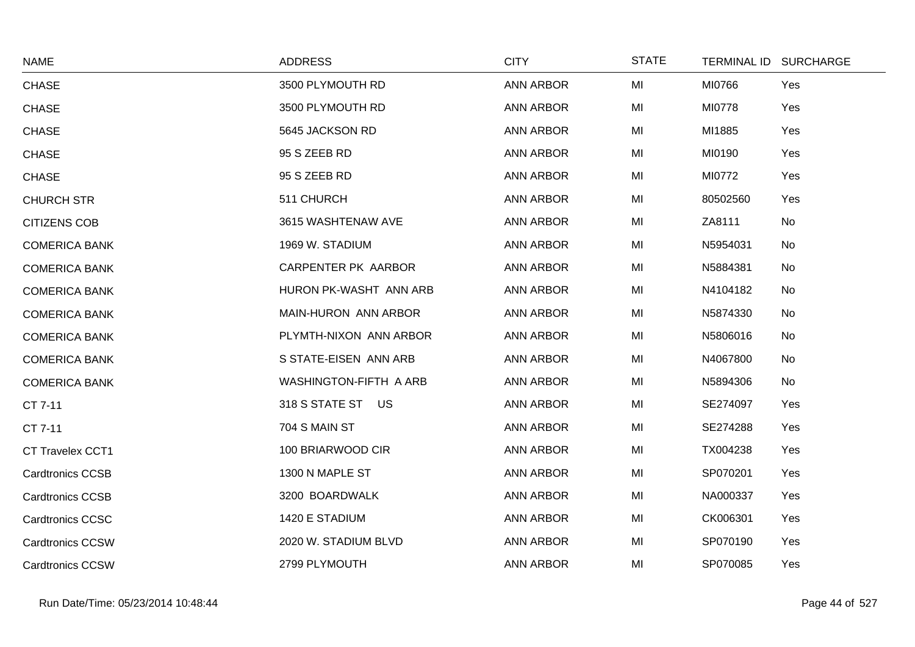| <b>NAME</b>             | <b>ADDRESS</b>         | <b>CITY</b>      | <b>STATE</b> | TERMINAL ID SURCHARGE |  |
|-------------------------|------------------------|------------------|--------------|-----------------------|--|
| <b>CHASE</b>            | 3500 PLYMOUTH RD       | <b>ANN ARBOR</b> | MI           | MI0766<br>Yes         |  |
| <b>CHASE</b>            | 3500 PLYMOUTH RD       | <b>ANN ARBOR</b> | MI           | MI0778<br>Yes         |  |
| <b>CHASE</b>            | 5645 JACKSON RD        | <b>ANN ARBOR</b> | MI           | MI1885<br>Yes         |  |
| <b>CHASE</b>            | 95 S ZEEB RD           | <b>ANN ARBOR</b> | MI           | MI0190<br>Yes         |  |
| <b>CHASE</b>            | 95 S ZEEB RD           | <b>ANN ARBOR</b> | MI           | MI0772<br>Yes         |  |
| <b>CHURCH STR</b>       | 511 CHURCH             | <b>ANN ARBOR</b> | MI           | 80502560<br>Yes       |  |
| <b>CITIZENS COB</b>     | 3615 WASHTENAW AVE     | <b>ANN ARBOR</b> | MI           | ZA8111<br>No          |  |
| <b>COMERICA BANK</b>    | 1969 W. STADIUM        | <b>ANN ARBOR</b> | MI           | N5954031<br>No        |  |
| <b>COMERICA BANK</b>    | CARPENTER PK AARBOR    | <b>ANN ARBOR</b> | MI           | N5884381<br>No        |  |
| <b>COMERICA BANK</b>    | HURON PK-WASHT ANN ARB | <b>ANN ARBOR</b> | MI           | N4104182<br>No        |  |
| <b>COMERICA BANK</b>    | MAIN-HURON ANN ARBOR   | <b>ANN ARBOR</b> | MI           | N5874330<br>No        |  |
| <b>COMERICA BANK</b>    | PLYMTH-NIXON ANN ARBOR | <b>ANN ARBOR</b> | MI           | N5806016<br>No        |  |
| <b>COMERICA BANK</b>    | S STATE-EISEN ANN ARB  | <b>ANN ARBOR</b> | MI           | N4067800<br>No        |  |
| <b>COMERICA BANK</b>    | WASHINGTON-FIFTH A ARB | <b>ANN ARBOR</b> | MI           | N5894306<br>No        |  |
| CT 7-11                 | 318 S STATE ST US      | ANN ARBOR        | MI           | SE274097<br>Yes       |  |
| CT 7-11                 | 704 S MAIN ST          | <b>ANN ARBOR</b> | MI           | SE274288<br>Yes       |  |
| <b>CT Travelex CCT1</b> | 100 BRIARWOOD CIR      | <b>ANN ARBOR</b> | MI           | TX004238<br>Yes       |  |
| <b>Cardtronics CCSB</b> | 1300 N MAPLE ST        | <b>ANN ARBOR</b> | MI           | SP070201<br>Yes       |  |
| <b>Cardtronics CCSB</b> | 3200 BOARDWALK         | <b>ANN ARBOR</b> | MI           | NA000337<br>Yes       |  |
| <b>Cardtronics CCSC</b> | 1420 E STADIUM         | <b>ANN ARBOR</b> | MI           | CK006301<br>Yes       |  |
| <b>Cardtronics CCSW</b> | 2020 W. STADIUM BLVD   | <b>ANN ARBOR</b> | MI           | SP070190<br>Yes       |  |
| <b>Cardtronics CCSW</b> | 2799 PLYMOUTH          | <b>ANN ARBOR</b> | MI           | SP070085<br>Yes       |  |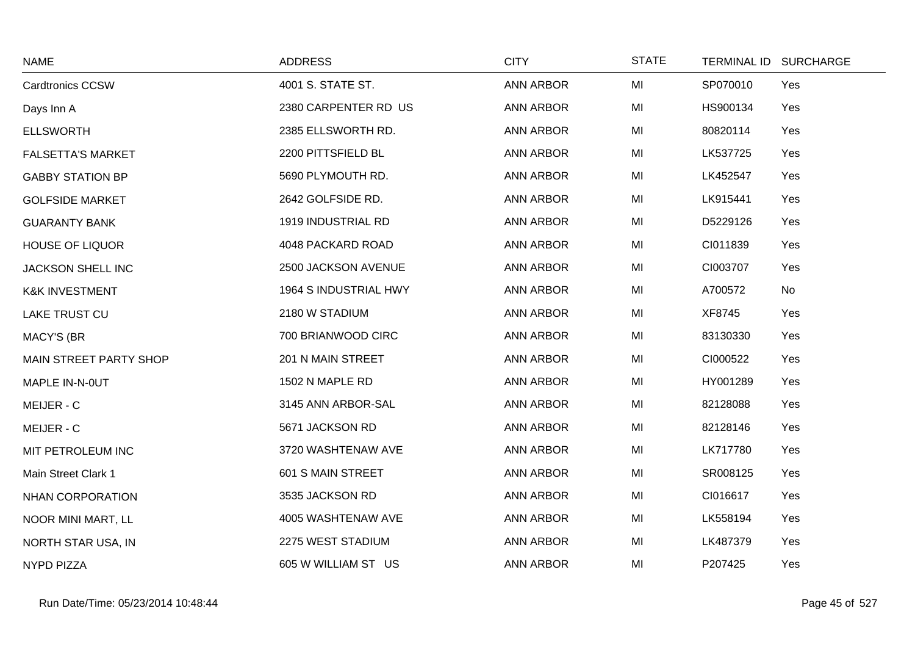| <b>NAME</b>                   | <b>ADDRESS</b>        | <b>CITY</b>      | <b>STATE</b> |          | TERMINAL ID SURCHARGE |
|-------------------------------|-----------------------|------------------|--------------|----------|-----------------------|
| <b>Cardtronics CCSW</b>       | 4001 S. STATE ST.     | <b>ANN ARBOR</b> | MI           | SP070010 | Yes                   |
| Days Inn A                    | 2380 CARPENTER RD US  | <b>ANN ARBOR</b> | MI           | HS900134 | Yes                   |
| <b>ELLSWORTH</b>              | 2385 ELLSWORTH RD.    | <b>ANN ARBOR</b> | MI           | 80820114 | Yes                   |
| <b>FALSETTA'S MARKET</b>      | 2200 PITTSFIELD BL    | <b>ANN ARBOR</b> | MI           | LK537725 | Yes                   |
| <b>GABBY STATION BP</b>       | 5690 PLYMOUTH RD.     | <b>ANN ARBOR</b> | MI           | LK452547 | Yes                   |
| <b>GOLFSIDE MARKET</b>        | 2642 GOLFSIDE RD.     | <b>ANN ARBOR</b> | MI           | LK915441 | Yes                   |
| <b>GUARANTY BANK</b>          | 1919 INDUSTRIAL RD    | <b>ANN ARBOR</b> | MI           | D5229126 | Yes                   |
| <b>HOUSE OF LIQUOR</b>        | 4048 PACKARD ROAD     | <b>ANN ARBOR</b> | MI           | CI011839 | Yes                   |
| <b>JACKSON SHELL INC</b>      | 2500 JACKSON AVENUE   | <b>ANN ARBOR</b> | MI           | CI003707 | Yes                   |
| <b>K&amp;K INVESTMENT</b>     | 1964 S INDUSTRIAL HWY | <b>ANN ARBOR</b> | MI           | A700572  | No                    |
| <b>LAKE TRUST CU</b>          | 2180 W STADIUM        | <b>ANN ARBOR</b> | MI           | XF8745   | Yes                   |
| <b>MACY'S (BR</b>             | 700 BRIANWOOD CIRC    | <b>ANN ARBOR</b> | MI           | 83130330 | Yes                   |
| <b>MAIN STREET PARTY SHOP</b> | 201 N MAIN STREET     | <b>ANN ARBOR</b> | MI           | CI000522 | Yes                   |
| MAPLE IN-N-0UT                | 1502 N MAPLE RD       | <b>ANN ARBOR</b> | MI           | HY001289 | Yes                   |
| MEIJER - C                    | 3145 ANN ARBOR-SAL    | <b>ANN ARBOR</b> | MI           | 82128088 | Yes                   |
| MEIJER - C                    | 5671 JACKSON RD       | <b>ANN ARBOR</b> | MI           | 82128146 | Yes                   |
| MIT PETROLEUM INC             | 3720 WASHTENAW AVE    | <b>ANN ARBOR</b> | MI           | LK717780 | Yes                   |
| Main Street Clark 1           | 601 S MAIN STREET     | ANN ARBOR        | MI           | SR008125 | Yes                   |
| <b>NHAN CORPORATION</b>       | 3535 JACKSON RD       | <b>ANN ARBOR</b> | MI           | CI016617 | Yes                   |
| NOOR MINI MART, LL            | 4005 WASHTENAW AVE    | <b>ANN ARBOR</b> | MI           | LK558194 | Yes                   |
| NORTH STAR USA, IN            | 2275 WEST STADIUM     | <b>ANN ARBOR</b> | MI           | LK487379 | Yes                   |
| <b>NYPD PIZZA</b>             | 605 W WILLIAM ST US   | <b>ANN ARBOR</b> | MI           | P207425  | Yes                   |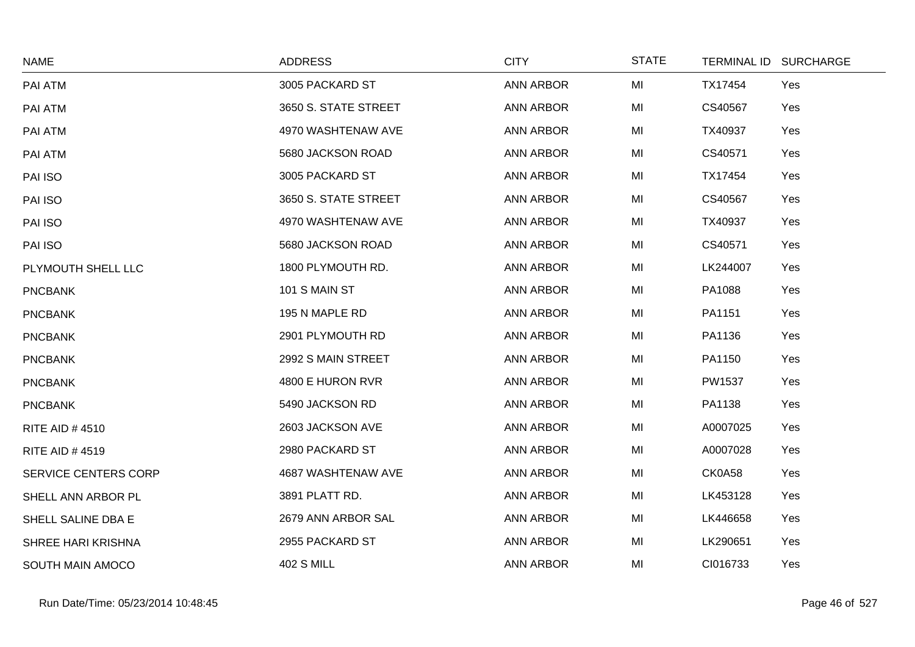| <b>NAME</b>           | <b>ADDRESS</b>       | <b>CITY</b>      | <b>STATE</b> |          | TERMINAL ID SURCHARGE |
|-----------------------|----------------------|------------------|--------------|----------|-----------------------|
| PAI ATM               | 3005 PACKARD ST      | <b>ANN ARBOR</b> | MI           | TX17454  | Yes                   |
| PAI ATM               | 3650 S. STATE STREET | <b>ANN ARBOR</b> | MI           | CS40567  | Yes                   |
| PAI ATM               | 4970 WASHTENAW AVE   | <b>ANN ARBOR</b> | MI           | TX40937  | Yes                   |
| PAI ATM               | 5680 JACKSON ROAD    | <b>ANN ARBOR</b> | MI           | CS40571  | Yes                   |
| PAI ISO               | 3005 PACKARD ST      | <b>ANN ARBOR</b> | MI           | TX17454  | Yes                   |
| PAI ISO               | 3650 S. STATE STREET | <b>ANN ARBOR</b> | MI           | CS40567  | Yes                   |
| PAI ISO               | 4970 WASHTENAW AVE   | <b>ANN ARBOR</b> | MI           | TX40937  | Yes                   |
| PAI ISO               | 5680 JACKSON ROAD    | <b>ANN ARBOR</b> | MI           | CS40571  | Yes                   |
| PLYMOUTH SHELL LLC    | 1800 PLYMOUTH RD.    | <b>ANN ARBOR</b> | MI           | LK244007 | Yes                   |
| <b>PNCBANK</b>        | 101 S MAIN ST        | <b>ANN ARBOR</b> | MI           | PA1088   | Yes                   |
| <b>PNCBANK</b>        | 195 N MAPLE RD       | <b>ANN ARBOR</b> | MI           | PA1151   | Yes                   |
| <b>PNCBANK</b>        | 2901 PLYMOUTH RD     | <b>ANN ARBOR</b> | MI           | PA1136   | Yes                   |
| <b>PNCBANK</b>        | 2992 S MAIN STREET   | <b>ANN ARBOR</b> | MI           | PA1150   | Yes                   |
| <b>PNCBANK</b>        | 4800 E HURON RVR     | <b>ANN ARBOR</b> | MI           | PW1537   | Yes                   |
| <b>PNCBANK</b>        | 5490 JACKSON RD      | <b>ANN ARBOR</b> | MI           | PA1138   | Yes                   |
| <b>RITE AID #4510</b> | 2603 JACKSON AVE     | <b>ANN ARBOR</b> | MI           | A0007025 | Yes                   |
| <b>RITE AID #4519</b> | 2980 PACKARD ST      | <b>ANN ARBOR</b> | MI           | A0007028 | Yes                   |
| SERVICE CENTERS CORP  | 4687 WASHTENAW AVE   | <b>ANN ARBOR</b> | MI           | CK0A58   | Yes                   |
| SHELL ANN ARBOR PL    | 3891 PLATT RD.       | <b>ANN ARBOR</b> | MI           | LK453128 | Yes                   |
| SHELL SALINE DBA E    | 2679 ANN ARBOR SAL   | <b>ANN ARBOR</b> | MI           | LK446658 | Yes                   |
| SHREE HARI KRISHNA    | 2955 PACKARD ST      | <b>ANN ARBOR</b> | MI           | LK290651 | Yes                   |
| SOUTH MAIN AMOCO      | <b>402 S MILL</b>    | <b>ANN ARBOR</b> | MI           | CI016733 | Yes                   |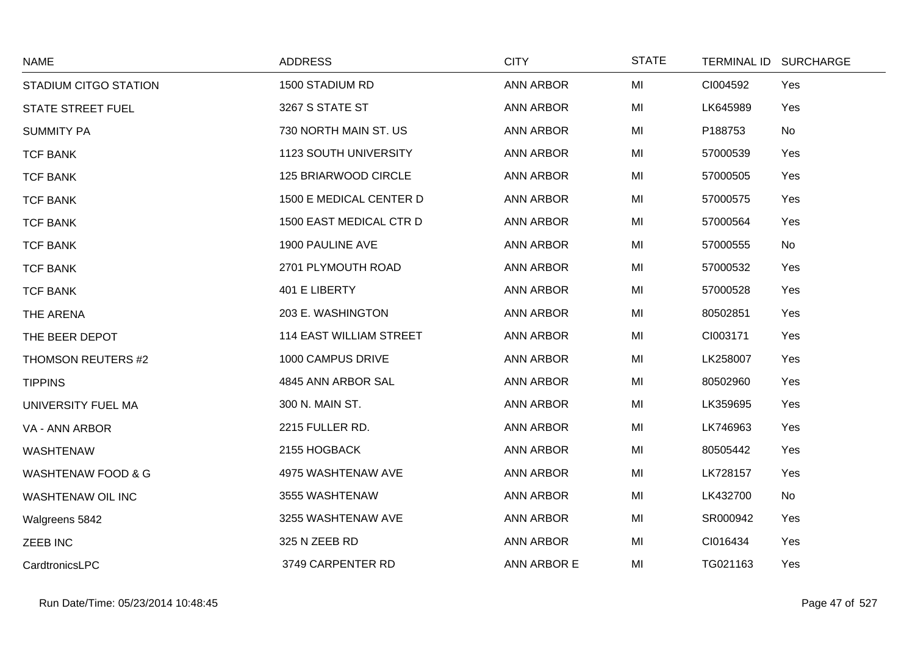| <b>NAME</b>                   | <b>ADDRESS</b>                 | <b>CITY</b>      | <b>STATE</b> | <b>TERMINAL ID</b> | <b>SURCHARGE</b> |
|-------------------------------|--------------------------------|------------------|--------------|--------------------|------------------|
| STADIUM CITGO STATION         | 1500 STADIUM RD                | <b>ANN ARBOR</b> | MI           | CI004592           | Yes              |
| <b>STATE STREET FUEL</b>      | 3267 S STATE ST                | <b>ANN ARBOR</b> | MI           | LK645989           | Yes              |
| <b>SUMMITY PA</b>             | 730 NORTH MAIN ST. US          | <b>ANN ARBOR</b> | MI           | P188753            | No               |
| <b>TCF BANK</b>               | <b>1123 SOUTH UNIVERSITY</b>   | <b>ANN ARBOR</b> | MI           | 57000539           | Yes              |
| <b>TCF BANK</b>               | 125 BRIARWOOD CIRCLE           | <b>ANN ARBOR</b> | MI           | 57000505           | Yes              |
| <b>TCF BANK</b>               | 1500 E MEDICAL CENTER D        | <b>ANN ARBOR</b> | MI           | 57000575           | Yes              |
| <b>TCF BANK</b>               | 1500 EAST MEDICAL CTR D        | <b>ANN ARBOR</b> | MI           | 57000564           | Yes              |
| <b>TCF BANK</b>               | 1900 PAULINE AVE               | <b>ANN ARBOR</b> | MI           | 57000555           | No               |
| <b>TCF BANK</b>               | 2701 PLYMOUTH ROAD             | <b>ANN ARBOR</b> | MI           | 57000532           | Yes              |
| <b>TCF BANK</b>               | 401 E LIBERTY                  | <b>ANN ARBOR</b> | MI           | 57000528           | Yes              |
| THE ARENA                     | 203 E. WASHINGTON              | <b>ANN ARBOR</b> | MI           | 80502851           | Yes              |
| THE BEER DEPOT                | <b>114 EAST WILLIAM STREET</b> | <b>ANN ARBOR</b> | MI           | CI003171           | Yes              |
| THOMSON REUTERS #2            | 1000 CAMPUS DRIVE              | <b>ANN ARBOR</b> | MI           | LK258007           | Yes              |
| <b>TIPPINS</b>                | 4845 ANN ARBOR SAL             | <b>ANN ARBOR</b> | MI           | 80502960           | Yes              |
| UNIVERSITY FUEL MA            | 300 N. MAIN ST.                | <b>ANN ARBOR</b> | MI           | LK359695           | Yes              |
| VA - ANN ARBOR                | 2215 FULLER RD.                | <b>ANN ARBOR</b> | MI           | LK746963           | Yes              |
| <b>WASHTENAW</b>              | 2155 HOGBACK                   | <b>ANN ARBOR</b> | MI           | 80505442           | Yes              |
| <b>WASHTENAW FOOD &amp; G</b> | 4975 WASHTENAW AVE             | <b>ANN ARBOR</b> | MI           | LK728157           | Yes              |
| WASHTENAW OIL INC             | 3555 WASHTENAW                 | <b>ANN ARBOR</b> | MI           | LK432700           | No               |
| Walgreens 5842                | 3255 WASHTENAW AVE             | <b>ANN ARBOR</b> | MI           | SR000942           | Yes              |
| <b>ZEEB INC</b>               | 325 N ZEEB RD                  | <b>ANN ARBOR</b> | MI           | CI016434           | Yes              |
| CardtronicsLPC                | 3749 CARPENTER RD              | ANN ARBOR E      | MI           | TG021163           | Yes              |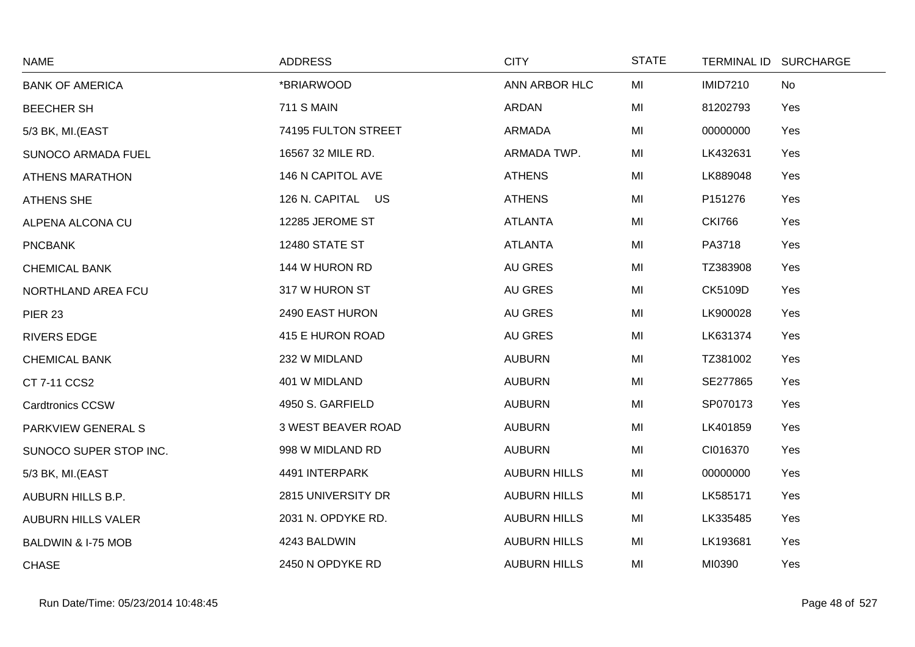| <b>NAME</b>               | <b>ADDRESS</b>            | <b>CITY</b>         | <b>STATE</b> | TERMINAL ID SURCHARGE |     |
|---------------------------|---------------------------|---------------------|--------------|-----------------------|-----|
| <b>BANK OF AMERICA</b>    | *BRIARWOOD                | ANN ARBOR HLC       | MI           | <b>IMID7210</b>       | No  |
| <b>BEECHER SH</b>         | <b>711 S MAIN</b>         | ARDAN               | MI           | 81202793              | Yes |
| 5/3 BK, MI.(EAST          | 74195 FULTON STREET       | ARMADA              | MI           | 00000000              | Yes |
| <b>SUNOCO ARMADA FUEL</b> | 16567 32 MILE RD.         | ARMADA TWP.         | MI           | LK432631              | Yes |
| <b>ATHENS MARATHON</b>    | 146 N CAPITOL AVE         | <b>ATHENS</b>       | MI           | LK889048              | Yes |
| <b>ATHENS SHE</b>         | 126 N. CAPITAL US         | <b>ATHENS</b>       | MI           | P151276               | Yes |
| ALPENA ALCONA CU          | 12285 JEROME ST           | <b>ATLANTA</b>      | MI           | <b>CKI766</b>         | Yes |
| <b>PNCBANK</b>            | <b>12480 STATE ST</b>     | <b>ATLANTA</b>      | MI           | PA3718                | Yes |
| <b>CHEMICAL BANK</b>      | 144 W HURON RD            | AU GRES             | MI           | TZ383908              | Yes |
| NORTHLAND AREA FCU        | 317 W HURON ST            | AU GRES             | MI           | CK5109D               | Yes |
| <b>PIER 23</b>            | 2490 EAST HURON           | AU GRES             | MI           | LK900028              | Yes |
| <b>RIVERS EDGE</b>        | 415 E HURON ROAD          | <b>AU GRES</b>      | MI           | LK631374              | Yes |
| <b>CHEMICAL BANK</b>      | 232 W MIDLAND             | <b>AUBURN</b>       | MI           | TZ381002              | Yes |
| CT 7-11 CCS2              | 401 W MIDLAND             | <b>AUBURN</b>       | MI           | SE277865              | Yes |
| <b>Cardtronics CCSW</b>   | 4950 S. GARFIELD          | <b>AUBURN</b>       | MI           | SP070173              | Yes |
| PARKVIEW GENERAL S        | <b>3 WEST BEAVER ROAD</b> | <b>AUBURN</b>       | MI           | LK401859              | Yes |
| SUNOCO SUPER STOP INC.    | 998 W MIDLAND RD          | <b>AUBURN</b>       | MI           | CI016370              | Yes |
| 5/3 BK, MI.(EAST          | 4491 INTERPARK            | <b>AUBURN HILLS</b> | MI           | 00000000              | Yes |
| AUBURN HILLS B.P.         | 2815 UNIVERSITY DR        | <b>AUBURN HILLS</b> | MI           | LK585171              | Yes |
| <b>AUBURN HILLS VALER</b> | 2031 N. OPDYKE RD.        | <b>AUBURN HILLS</b> | MI           | LK335485              | Yes |
| BALDWIN & I-75 MOB        | 4243 BALDWIN              | <b>AUBURN HILLS</b> | MI           | LK193681              | Yes |
| <b>CHASE</b>              | 2450 N OPDYKE RD          | <b>AUBURN HILLS</b> | MI           | MI0390                | Yes |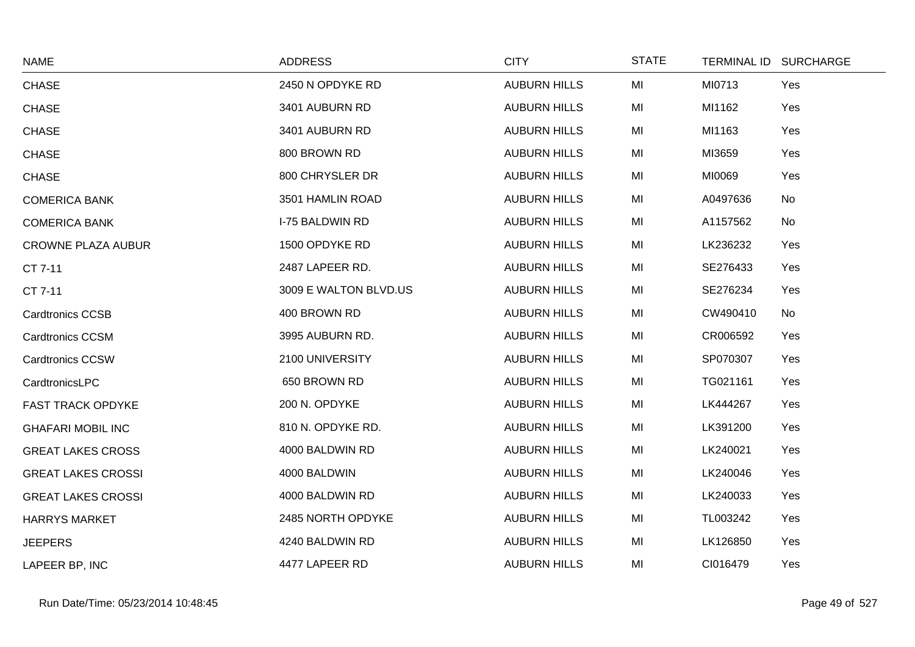| <b>NAME</b>               | <b>ADDRESS</b>         | <b>CITY</b>         | <b>STATE</b> | TERMINAL ID SURCHARGE |           |
|---------------------------|------------------------|---------------------|--------------|-----------------------|-----------|
| <b>CHASE</b>              | 2450 N OPDYKE RD       | <b>AUBURN HILLS</b> | MI           | MI0713                | Yes       |
| <b>CHASE</b>              | 3401 AUBURN RD         | <b>AUBURN HILLS</b> | MI           | MI1162                | Yes       |
| <b>CHASE</b>              | 3401 AUBURN RD         | <b>AUBURN HILLS</b> | MI           | MI1163                | Yes       |
| <b>CHASE</b>              | 800 BROWN RD           | <b>AUBURN HILLS</b> | MI           | MI3659                | Yes       |
| <b>CHASE</b>              | 800 CHRYSLER DR        | <b>AUBURN HILLS</b> | MI           | MI0069                | Yes       |
| <b>COMERICA BANK</b>      | 3501 HAMLIN ROAD       | <b>AUBURN HILLS</b> | MI           | A0497636              | No        |
| <b>COMERICA BANK</b>      | <b>I-75 BALDWIN RD</b> | <b>AUBURN HILLS</b> | MI           | A1157562              | <b>No</b> |
| <b>CROWNE PLAZA AUBUR</b> | 1500 OPDYKE RD         | <b>AUBURN HILLS</b> | MI           | LK236232              | Yes       |
| CT 7-11                   | 2487 LAPEER RD.        | <b>AUBURN HILLS</b> | MI           | SE276433              | Yes       |
| CT 7-11                   | 3009 E WALTON BLVD.US  | <b>AUBURN HILLS</b> | MI           | SE276234              | Yes       |
| <b>Cardtronics CCSB</b>   | 400 BROWN RD           | <b>AUBURN HILLS</b> | MI           | CW490410              | No        |
| <b>Cardtronics CCSM</b>   | 3995 AUBURN RD.        | <b>AUBURN HILLS</b> | MI           | CR006592              | Yes       |
| <b>Cardtronics CCSW</b>   | 2100 UNIVERSITY        | <b>AUBURN HILLS</b> | MI           | SP070307              | Yes       |
| CardtronicsLPC            | 650 BROWN RD           | <b>AUBURN HILLS</b> | MI           | TG021161              | Yes       |
| FAST TRACK OPDYKE         | 200 N. OPDYKE          | <b>AUBURN HILLS</b> | MI           | LK444267              | Yes       |
| <b>GHAFARI MOBIL INC</b>  | 810 N. OPDYKE RD.      | <b>AUBURN HILLS</b> | MI           | LK391200              | Yes       |
| <b>GREAT LAKES CROSS</b>  | 4000 BALDWIN RD        | <b>AUBURN HILLS</b> | MI           | LK240021              | Yes       |
| <b>GREAT LAKES CROSSI</b> | 4000 BALDWIN           | <b>AUBURN HILLS</b> | MI           | LK240046              | Yes       |
| <b>GREAT LAKES CROSSI</b> | 4000 BALDWIN RD        | <b>AUBURN HILLS</b> | MI           | LK240033              | Yes       |
| <b>HARRYS MARKET</b>      | 2485 NORTH OPDYKE      | <b>AUBURN HILLS</b> | MI           | TL003242              | Yes       |
| <b>JEEPERS</b>            | 4240 BALDWIN RD        | <b>AUBURN HILLS</b> | MI           | LK126850              | Yes       |
| LAPEER BP, INC            | 4477 LAPEER RD         | <b>AUBURN HILLS</b> | MI           | CI016479              | Yes       |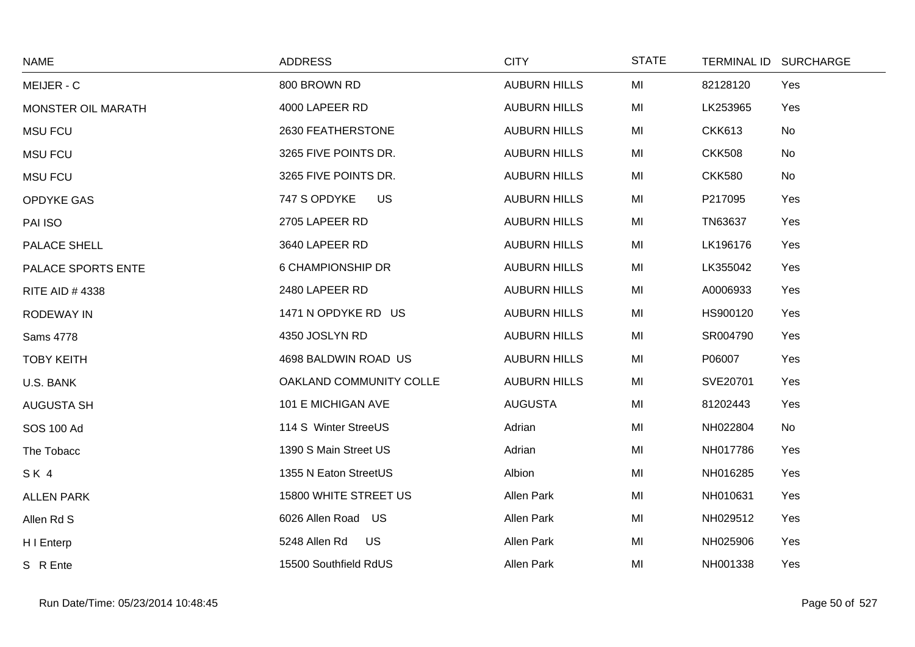| <b>NAME</b>               | <b>ADDRESS</b>            | <b>CITY</b>         | <b>STATE</b> | TERMINAL ID SURCHARGE |     |
|---------------------------|---------------------------|---------------------|--------------|-----------------------|-----|
| MEIJER - C                | 800 BROWN RD              | <b>AUBURN HILLS</b> | MI           | 82128120              | Yes |
| <b>MONSTER OIL MARATH</b> | 4000 LAPEER RD            | <b>AUBURN HILLS</b> | MI           | LK253965              | Yes |
| <b>MSU FCU</b>            | 2630 FEATHERSTONE         | <b>AUBURN HILLS</b> | MI           | <b>CKK613</b>         | No  |
| <b>MSU FCU</b>            | 3265 FIVE POINTS DR.      | <b>AUBURN HILLS</b> | MI           | <b>CKK508</b>         | No  |
| <b>MSU FCU</b>            | 3265 FIVE POINTS DR.      | <b>AUBURN HILLS</b> | MI           | <b>CKK580</b>         | No  |
| OPDYKE GAS                | 747 S OPDYKE<br><b>US</b> | <b>AUBURN HILLS</b> | MI           | P217095               | Yes |
| PAI ISO                   | 2705 LAPEER RD            | <b>AUBURN HILLS</b> | MI           | TN63637               | Yes |
| PALACE SHELL              | 3640 LAPEER RD            | <b>AUBURN HILLS</b> | MI           | LK196176              | Yes |
| PALACE SPORTS ENTE        | 6 CHAMPIONSHIP DR         | <b>AUBURN HILLS</b> | MI           | LK355042              | Yes |
| <b>RITE AID #4338</b>     | 2480 LAPEER RD            | <b>AUBURN HILLS</b> | MI           | A0006933              | Yes |
| <b>RODEWAY IN</b>         | 1471 N OPDYKE RD US       | <b>AUBURN HILLS</b> | MI           | HS900120              | Yes |
| Sams 4778                 | 4350 JOSLYN RD            | <b>AUBURN HILLS</b> | MI           | SR004790              | Yes |
| <b>TOBY KEITH</b>         | 4698 BALDWIN ROAD US      | <b>AUBURN HILLS</b> | MI           | P06007                | Yes |
| U.S. BANK                 | OAKLAND COMMUNITY COLLE   | <b>AUBURN HILLS</b> | MI           | SVE20701              | Yes |
| <b>AUGUSTA SH</b>         | 101 E MICHIGAN AVE        | <b>AUGUSTA</b>      | MI           | 81202443              | Yes |
| <b>SOS 100 Ad</b>         | 114 S Winter StreeUS      | Adrian              | MI           | NH022804              | No  |
| The Tobacc                | 1390 S Main Street US     | Adrian              | MI           | NH017786              | Yes |
| SK4                       | 1355 N Eaton StreetUS     | Albion              | MI           | NH016285              | Yes |
| <b>ALLEN PARK</b>         | 15800 WHITE STREET US     | Allen Park          | MI           | NH010631              | Yes |
| Allen Rd S                | 6026 Allen Road US        | Allen Park          | MI           | NH029512              | Yes |
| H I Enterp                | 5248 Allen Rd<br>US       | Allen Park          | MI           | NH025906              | Yes |
| S R Ente                  | 15500 Southfield RdUS     | Allen Park          | MI           | NH001338              | Yes |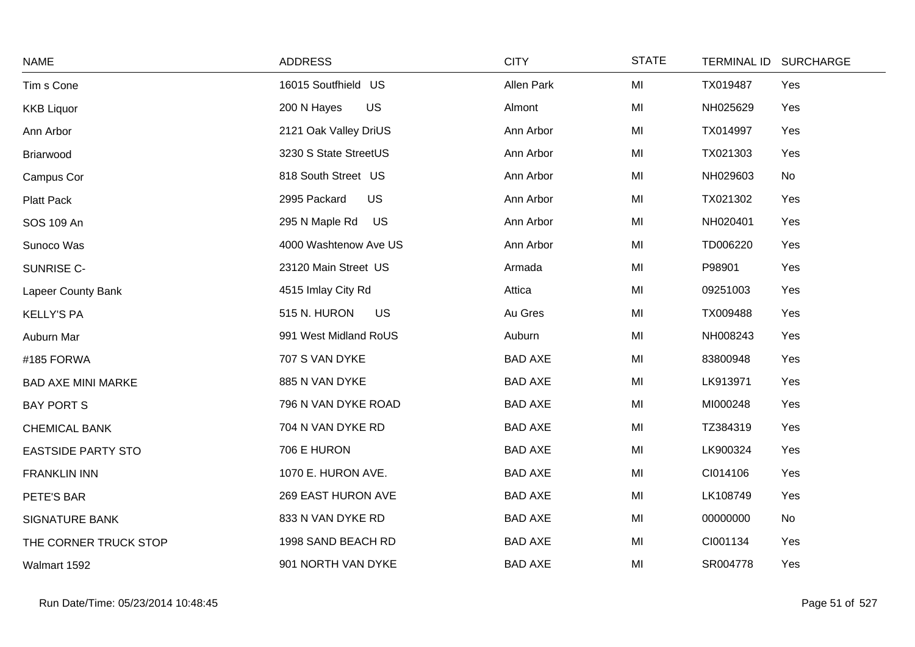| <b>NAME</b>               | <b>ADDRESS</b>              | <b>CITY</b>    | <b>STATE</b> | <b>TERMINAL ID</b> | <b>SURCHARGE</b> |
|---------------------------|-----------------------------|----------------|--------------|--------------------|------------------|
| Tim s Cone                | 16015 Soutfhield US         | Allen Park     | MI           | TX019487           | Yes              |
| <b>KKB Liquor</b>         | <b>US</b><br>200 N Hayes    | Almont         | MI           | NH025629           | Yes              |
| Ann Arbor                 | 2121 Oak Valley DriUS       | Ann Arbor      | MI           | TX014997           | Yes              |
| Briarwood                 | 3230 S State StreetUS       | Ann Arbor      | MI           | TX021303           | Yes              |
| Campus Cor                | 818 South Street US         | Ann Arbor      | MI           | NH029603           | No               |
| Platt Pack                | <b>US</b><br>2995 Packard   | Ann Arbor      | MI           | TX021302           | Yes              |
| SOS 109 An                | 295 N Maple Rd<br><b>US</b> | Ann Arbor      | MI           | NH020401           | Yes              |
| Sunoco Was                | 4000 Washtenow Ave US       | Ann Arbor      | MI           | TD006220           | Yes              |
| SUNRISE C-                | 23120 Main Street US        | Armada         | MI           | P98901             | Yes              |
| Lapeer County Bank        | 4515 Imlay City Rd          | Attica         | MI           | 09251003           | Yes              |
| <b>KELLY'S PA</b>         | <b>US</b><br>515 N. HURON   | Au Gres        | MI           | TX009488           | Yes              |
| Auburn Mar                | 991 West Midland RoUS       | Auburn         | MI           | NH008243           | Yes              |
| #185 FORWA                | 707 S VAN DYKE              | <b>BAD AXE</b> | MI           | 83800948           | Yes              |
| <b>BAD AXE MINI MARKE</b> | 885 N VAN DYKE              | <b>BAD AXE</b> | MI           | LK913971           | Yes              |
| <b>BAY PORT S</b>         | 796 N VAN DYKE ROAD         | <b>BAD AXE</b> | MI           | MI000248           | Yes              |
| <b>CHEMICAL BANK</b>      | 704 N VAN DYKE RD           | <b>BAD AXE</b> | MI           | TZ384319           | Yes              |
| <b>EASTSIDE PARTY STO</b> | 706 E HURON                 | <b>BAD AXE</b> | MI           | LK900324           | Yes              |
| <b>FRANKLIN INN</b>       | 1070 E. HURON AVE.          | <b>BAD AXE</b> | MI           | CI014106           | Yes              |
| PETE'S BAR                | 269 EAST HURON AVE          | <b>BAD AXE</b> | MI           | LK108749           | Yes              |
| <b>SIGNATURE BANK</b>     | 833 N VAN DYKE RD           | <b>BAD AXE</b> | MI           | 00000000           | No               |
| THE CORNER TRUCK STOP     | 1998 SAND BEACH RD          | <b>BAD AXE</b> | MI           | CI001134           | Yes              |
| Walmart 1592              | 901 NORTH VAN DYKE          | <b>BAD AXE</b> | MI           | SR004778           | Yes              |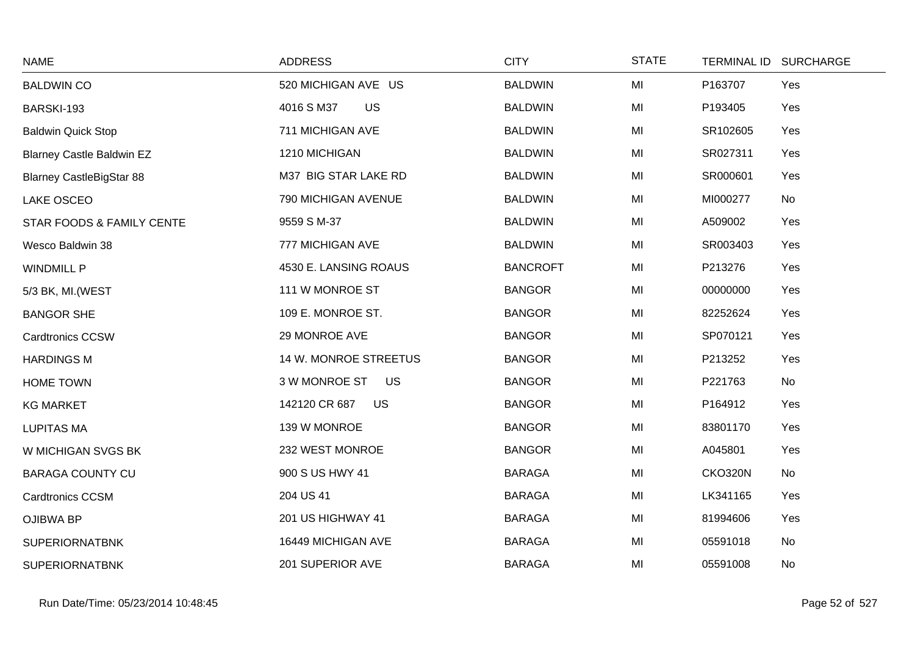| <b>NAME</b>                      | <b>ADDRESS</b>             | <b>CITY</b>     | <b>STATE</b> | <b>TERMINAL ID</b> | <b>SURCHARGE</b> |
|----------------------------------|----------------------------|-----------------|--------------|--------------------|------------------|
| <b>BALDWIN CO</b>                | 520 MICHIGAN AVE US        | <b>BALDWIN</b>  | MI           | P163707            | Yes              |
| BARSKI-193                       | US<br>4016 S M37           | <b>BALDWIN</b>  | MI           | P193405            | Yes              |
| <b>Baldwin Quick Stop</b>        | 711 MICHIGAN AVE           | <b>BALDWIN</b>  | MI           | SR102605           | Yes              |
| <b>Blarney Castle Baldwin EZ</b> | 1210 MICHIGAN              | <b>BALDWIN</b>  | MI           | SR027311           | Yes              |
| <b>Blarney CastleBigStar 88</b>  | M37 BIG STAR LAKE RD       | <b>BALDWIN</b>  | MI           | SR000601           | Yes              |
| LAKE OSCEO                       | 790 MICHIGAN AVENUE        | <b>BALDWIN</b>  | MI           | MI000277           | No               |
| STAR FOODS & FAMILY CENTE        | 9559 S M-37                | <b>BALDWIN</b>  | MI           | A509002            | Yes              |
| Wesco Baldwin 38                 | 777 MICHIGAN AVE           | <b>BALDWIN</b>  | MI           | SR003403           | Yes              |
| <b>WINDMILL P</b>                | 4530 E. LANSING ROAUS      | <b>BANCROFT</b> | MI           | P213276            | Yes              |
| 5/3 BK, MI. (WEST                | 111 W MONROE ST            | <b>BANGOR</b>   | MI           | 00000000           | Yes              |
| <b>BANGOR SHE</b>                | 109 E. MONROE ST.          | <b>BANGOR</b>   | MI           | 82252624           | Yes              |
| <b>Cardtronics CCSW</b>          | 29 MONROE AVE              | <b>BANGOR</b>   | MI           | SP070121           | Yes              |
| <b>HARDINGS M</b>                | 14 W. MONROE STREETUS      | <b>BANGOR</b>   | MI           | P213252            | Yes              |
| HOME TOWN                        | 3 W MONROE ST<br><b>US</b> | <b>BANGOR</b>   | MI           | P221763            | No               |
| <b>KG MARKET</b>                 | 142120 CR 687<br>US        | <b>BANGOR</b>   | MI           | P164912            | Yes              |
| <b>LUPITAS MA</b>                | 139 W MONROE               | <b>BANGOR</b>   | MI           | 83801170           | Yes              |
| W MICHIGAN SVGS BK               | 232 WEST MONROE            | <b>BANGOR</b>   | MI           | A045801            | Yes              |
| <b>BARAGA COUNTY CU</b>          | 900 S US HWY 41            | <b>BARAGA</b>   | MI           | <b>CKO320N</b>     | No               |
| <b>Cardtronics CCSM</b>          | 204 US 41                  | <b>BARAGA</b>   | MI           | LK341165           | Yes              |
| <b>OJIBWA BP</b>                 | 201 US HIGHWAY 41          | <b>BARAGA</b>   | MI           | 81994606           | Yes              |
| <b>SUPERIORNATBNK</b>            | 16449 MICHIGAN AVE         | <b>BARAGA</b>   | MI           | 05591018           | No               |
| <b>SUPERIORNATBNK</b>            | 201 SUPERIOR AVE           | <b>BARAGA</b>   | MI           | 05591008           | No               |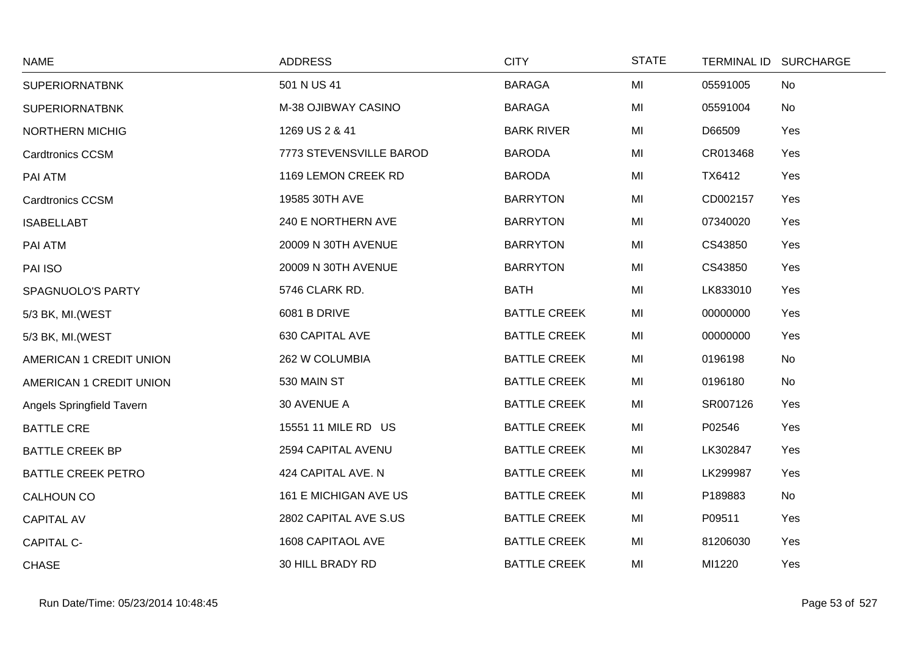| <b>NAME</b>               | <b>ADDRESS</b>           | <b>CITY</b>         | <b>STATE</b> |          | TERMINAL ID SURCHARGE |
|---------------------------|--------------------------|---------------------|--------------|----------|-----------------------|
| <b>SUPERIORNATBNK</b>     | 501 N US 41              | <b>BARAGA</b>       | MI           | 05591005 | No                    |
| <b>SUPERIORNATBNK</b>     | M-38 OJIBWAY CASINO      | <b>BARAGA</b>       | MI           | 05591004 | No                    |
| <b>NORTHERN MICHIG</b>    | 1269 US 2 & 41           | <b>BARK RIVER</b>   | MI           | D66509   | Yes                   |
| <b>Cardtronics CCSM</b>   | 7773 STEVENSVILLE BAROD  | <b>BARODA</b>       | MI           | CR013468 | Yes                   |
| PAI ATM                   | 1169 LEMON CREEK RD      | <b>BARODA</b>       | MI           | TX6412   | Yes                   |
| <b>Cardtronics CCSM</b>   | 19585 30TH AVE           | <b>BARRYTON</b>     | MI           | CD002157 | Yes                   |
| <b>ISABELLABT</b>         | 240 E NORTHERN AVE       | <b>BARRYTON</b>     | MI           | 07340020 | Yes                   |
| PAI ATM                   | 20009 N 30TH AVENUE      | <b>BARRYTON</b>     | MI           | CS43850  | Yes                   |
| PAI ISO                   | 20009 N 30TH AVENUE      | <b>BARRYTON</b>     | MI           | CS43850  | Yes                   |
| SPAGNUOLO'S PARTY         | 5746 CLARK RD.           | <b>BATH</b>         | MI           | LK833010 | Yes                   |
| 5/3 BK, MI. (WEST         | 6081 B DRIVE             | <b>BATTLE CREEK</b> | MI           | 00000000 | Yes                   |
| 5/3 BK, MI. (WEST         | 630 CAPITAL AVE          | <b>BATTLE CREEK</b> | MI           | 00000000 | Yes                   |
| AMERICAN 1 CREDIT UNION   | 262 W COLUMBIA           | <b>BATTLE CREEK</b> | MI           | 0196198  | No                    |
| AMERICAN 1 CREDIT UNION   | 530 MAIN ST              | <b>BATTLE CREEK</b> | MI           | 0196180  | No                    |
| Angels Springfield Tavern | 30 AVENUE A              | <b>BATTLE CREEK</b> | MI           | SR007126 | Yes                   |
| <b>BATTLE CRE</b>         | 15551 11 MILE RD US      | <b>BATTLE CREEK</b> | MI           | P02546   | Yes                   |
| <b>BATTLE CREEK BP</b>    | 2594 CAPITAL AVENU       | <b>BATTLE CREEK</b> | MI           | LK302847 | Yes                   |
| <b>BATTLE CREEK PETRO</b> | 424 CAPITAL AVE. N       | <b>BATTLE CREEK</b> | MI           | LK299987 | Yes                   |
| CALHOUN CO                | 161 E MICHIGAN AVE US    | <b>BATTLE CREEK</b> | MI           | P189883  | No                    |
| <b>CAPITAL AV</b>         | 2802 CAPITAL AVE S.US    | <b>BATTLE CREEK</b> | MI           | P09511   | Yes                   |
| <b>CAPITAL C-</b>         | <b>1608 CAPITAOL AVE</b> | <b>BATTLE CREEK</b> | MI           | 81206030 | Yes                   |
| <b>CHASE</b>              | 30 HILL BRADY RD         | <b>BATTLE CREEK</b> | MI           | MI1220   | Yes                   |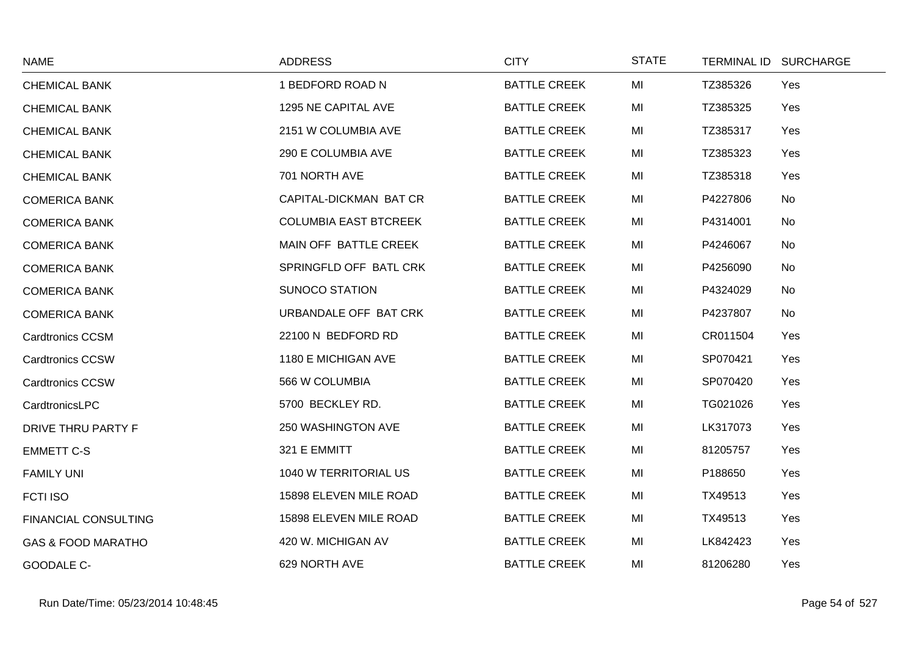| <b>NAME</b>                   | <b>ADDRESS</b>               | <b>CITY</b>         | <b>STATE</b> | TERMINAL ID SURCHARGE |  |
|-------------------------------|------------------------------|---------------------|--------------|-----------------------|--|
| <b>CHEMICAL BANK</b>          | 1 BEDFORD ROAD N             | <b>BATTLE CREEK</b> | MI           | TZ385326<br>Yes       |  |
| <b>CHEMICAL BANK</b>          | 1295 NE CAPITAL AVE          | <b>BATTLE CREEK</b> | MI           | TZ385325<br>Yes       |  |
| <b>CHEMICAL BANK</b>          | 2151 W COLUMBIA AVE          | <b>BATTLE CREEK</b> | MI           | TZ385317<br>Yes       |  |
| <b>CHEMICAL BANK</b>          | 290 E COLUMBIA AVE           | <b>BATTLE CREEK</b> | MI           | TZ385323<br>Yes       |  |
| <b>CHEMICAL BANK</b>          | 701 NORTH AVE                | <b>BATTLE CREEK</b> | MI           | TZ385318<br>Yes       |  |
| <b>COMERICA BANK</b>          | CAPITAL-DICKMAN BAT CR       | <b>BATTLE CREEK</b> | MI           | P4227806<br>No        |  |
| <b>COMERICA BANK</b>          | <b>COLUMBIA EAST BTCREEK</b> | <b>BATTLE CREEK</b> | MI           | P4314001<br>No        |  |
| <b>COMERICA BANK</b>          | MAIN OFF BATTLE CREEK        | <b>BATTLE CREEK</b> | MI           | P4246067<br>No        |  |
| <b>COMERICA BANK</b>          | SPRINGFLD OFF BATL CRK       | <b>BATTLE CREEK</b> | MI           | P4256090<br>No        |  |
| <b>COMERICA BANK</b>          | <b>SUNOCO STATION</b>        | <b>BATTLE CREEK</b> | MI           | P4324029<br>No        |  |
| <b>COMERICA BANK</b>          | URBANDALE OFF BAT CRK        | <b>BATTLE CREEK</b> | MI           | P4237807<br>No        |  |
| <b>Cardtronics CCSM</b>       | 22100 N BEDFORD RD           | <b>BATTLE CREEK</b> | MI           | CR011504<br>Yes       |  |
| <b>Cardtronics CCSW</b>       | 1180 E MICHIGAN AVE          | <b>BATTLE CREEK</b> | MI           | SP070421<br>Yes       |  |
| <b>Cardtronics CCSW</b>       | 566 W COLUMBIA               | <b>BATTLE CREEK</b> | MI           | SP070420<br>Yes       |  |
| CardtronicsLPC                | 5700 BECKLEY RD.             | <b>BATTLE CREEK</b> | MI           | TG021026<br>Yes       |  |
| DRIVE THRU PARTY F            | 250 WASHINGTON AVE           | <b>BATTLE CREEK</b> | MI           | LK317073<br>Yes       |  |
| <b>EMMETT C-S</b>             | 321 E EMMITT                 | <b>BATTLE CREEK</b> | MI           | 81205757<br>Yes       |  |
| <b>FAMILY UNI</b>             | 1040 W TERRITORIAL US        | <b>BATTLE CREEK</b> | MI           | P188650<br>Yes        |  |
| <b>FCTI ISO</b>               | 15898 ELEVEN MILE ROAD       | <b>BATTLE CREEK</b> | MI           | TX49513<br>Yes        |  |
| <b>FINANCIAL CONSULTING</b>   | 15898 ELEVEN MILE ROAD       | <b>BATTLE CREEK</b> | MI           | TX49513<br>Yes        |  |
| <b>GAS &amp; FOOD MARATHO</b> | 420 W. MICHIGAN AV           | <b>BATTLE CREEK</b> | MI           | LK842423<br>Yes       |  |
| <b>GOODALE C-</b>             | 629 NORTH AVE                | <b>BATTLE CREEK</b> | MI           | 81206280<br>Yes       |  |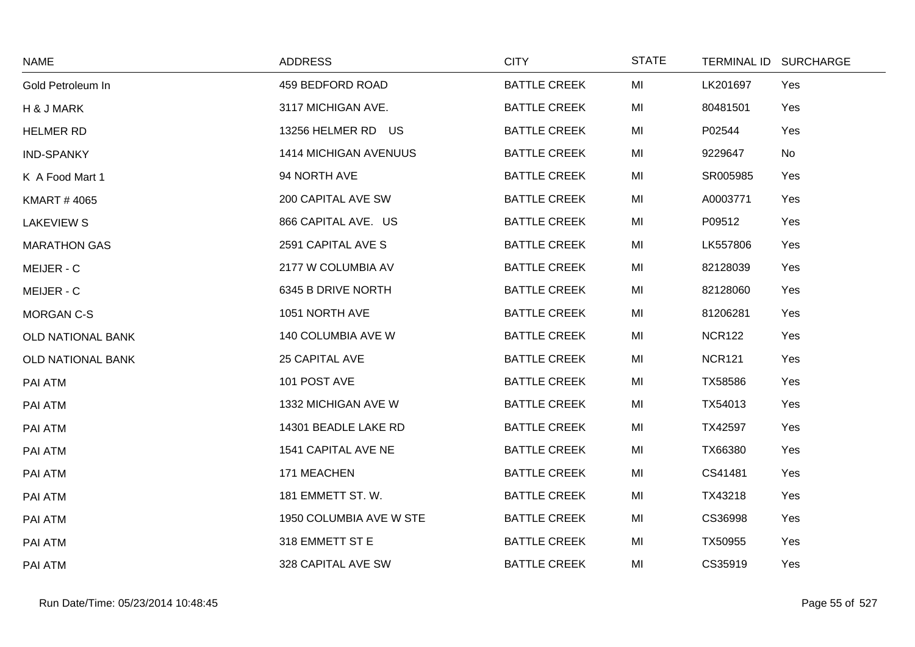| <b>NAME</b>         | <b>ADDRESS</b>          | <b>CITY</b>         | <b>STATE</b> |               | TERMINAL ID SURCHARGE |
|---------------------|-------------------------|---------------------|--------------|---------------|-----------------------|
| Gold Petroleum In   | 459 BEDFORD ROAD        | <b>BATTLE CREEK</b> | MI           | LK201697      | Yes                   |
| H & J MARK          | 3117 MICHIGAN AVE.      | <b>BATTLE CREEK</b> | MI           | 80481501      | Yes                   |
| <b>HELMER RD</b>    | 13256 HELMER RD US      | <b>BATTLE CREEK</b> | MI           | P02544        | Yes                   |
| <b>IND-SPANKY</b>   | 1414 MICHIGAN AVENUUS   | <b>BATTLE CREEK</b> | MI           | 9229647       | No                    |
| K A Food Mart 1     | 94 NORTH AVE            | <b>BATTLE CREEK</b> | MI           | SR005985      | Yes                   |
| <b>KMART #4065</b>  | 200 CAPITAL AVE SW      | <b>BATTLE CREEK</b> | MI           | A0003771      | Yes                   |
| <b>LAKEVIEW S</b>   | 866 CAPITAL AVE. US     | <b>BATTLE CREEK</b> | MI           | P09512        | Yes                   |
| <b>MARATHON GAS</b> | 2591 CAPITAL AVE S      | <b>BATTLE CREEK</b> | MI           | LK557806      | Yes                   |
| MEIJER - C          | 2177 W COLUMBIA AV      | <b>BATTLE CREEK</b> | MI           | 82128039      | Yes                   |
| MEIJER - C          | 6345 B DRIVE NORTH      | <b>BATTLE CREEK</b> | MI           | 82128060      | Yes                   |
| <b>MORGAN C-S</b>   | 1051 NORTH AVE          | <b>BATTLE CREEK</b> | MI           | 81206281      | Yes                   |
| OLD NATIONAL BANK   | 140 COLUMBIA AVE W      | <b>BATTLE CREEK</b> | MI           | <b>NCR122</b> | Yes                   |
| OLD NATIONAL BANK   | 25 CAPITAL AVE          | <b>BATTLE CREEK</b> | MI           | <b>NCR121</b> | Yes                   |
| PAI ATM             | 101 POST AVE            | <b>BATTLE CREEK</b> | MI           | TX58586       | Yes                   |
| PAI ATM             | 1332 MICHIGAN AVE W     | <b>BATTLE CREEK</b> | MI           | TX54013       | Yes                   |
| PAI ATM             | 14301 BEADLE LAKE RD    | <b>BATTLE CREEK</b> | MI           | TX42597       | Yes                   |
| PAI ATM             | 1541 CAPITAL AVE NE     | <b>BATTLE CREEK</b> | MI           | TX66380       | Yes                   |
| PAI ATM             | 171 MEACHEN             | <b>BATTLE CREEK</b> | MI           | CS41481       | Yes                   |
| PAI ATM             | 181 EMMETT ST. W.       | <b>BATTLE CREEK</b> | MI           | TX43218       | Yes                   |
| PAI ATM             | 1950 COLUMBIA AVE W STE | <b>BATTLE CREEK</b> | MI           | CS36998       | Yes                   |
| PAI ATM             | 318 EMMETT ST E         | <b>BATTLE CREEK</b> | MI           | TX50955       | Yes                   |
| PAI ATM             | 328 CAPITAL AVE SW      | <b>BATTLE CREEK</b> | MI           | CS35919       | Yes                   |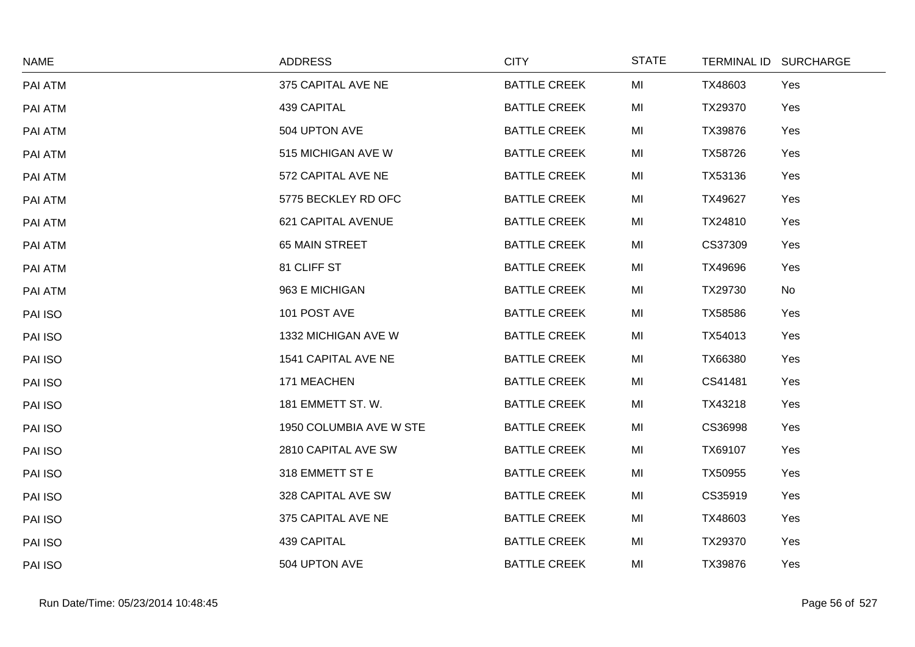| <b>NAME</b> | <b>ADDRESS</b>            | <b>CITY</b>         | <b>STATE</b> |         | TERMINAL ID SURCHARGE |
|-------------|---------------------------|---------------------|--------------|---------|-----------------------|
| PAI ATM     | 375 CAPITAL AVE NE        | <b>BATTLE CREEK</b> | MI           | TX48603 | Yes                   |
| PAI ATM     | 439 CAPITAL               | <b>BATTLE CREEK</b> | MI           | TX29370 | Yes                   |
| PAI ATM     | 504 UPTON AVE             | <b>BATTLE CREEK</b> | MI           | TX39876 | Yes                   |
| PAI ATM     | 515 MICHIGAN AVE W        | <b>BATTLE CREEK</b> | MI           | TX58726 | Yes                   |
| PAI ATM     | 572 CAPITAL AVE NE        | <b>BATTLE CREEK</b> | MI           | TX53136 | Yes                   |
| PAI ATM     | 5775 BECKLEY RD OFC       | <b>BATTLE CREEK</b> | MI           | TX49627 | Yes                   |
| PAI ATM     | <b>621 CAPITAL AVENUE</b> | <b>BATTLE CREEK</b> | MI           | TX24810 | Yes                   |
| PAI ATM     | <b>65 MAIN STREET</b>     | <b>BATTLE CREEK</b> | MI           | CS37309 | Yes                   |
| PAI ATM     | 81 CLIFF ST               | <b>BATTLE CREEK</b> | MI           | TX49696 | Yes                   |
| PAI ATM     | 963 E MICHIGAN            | <b>BATTLE CREEK</b> | MI           | TX29730 | No                    |
| PAI ISO     | 101 POST AVE              | <b>BATTLE CREEK</b> | MI           | TX58586 | Yes                   |
| PAI ISO     | 1332 MICHIGAN AVE W       | <b>BATTLE CREEK</b> | MI           | TX54013 | Yes                   |
| PAI ISO     | 1541 CAPITAL AVE NE       | <b>BATTLE CREEK</b> | MI           | TX66380 | Yes                   |
| PAI ISO     | 171 MEACHEN               | <b>BATTLE CREEK</b> | MI           | CS41481 | Yes                   |
| PAI ISO     | 181 EMMETT ST. W.         | <b>BATTLE CREEK</b> | MI           | TX43218 | Yes                   |
| PAI ISO     | 1950 COLUMBIA AVE W STE   | <b>BATTLE CREEK</b> | MI           | CS36998 | Yes                   |
| PAI ISO     | 2810 CAPITAL AVE SW       | <b>BATTLE CREEK</b> | MI           | TX69107 | Yes                   |
| PAI ISO     | 318 EMMETT ST E           | <b>BATTLE CREEK</b> | MI           | TX50955 | Yes                   |
| PAI ISO     | 328 CAPITAL AVE SW        | <b>BATTLE CREEK</b> | MI           | CS35919 | Yes                   |
| PAI ISO     | 375 CAPITAL AVE NE        | <b>BATTLE CREEK</b> | MI           | TX48603 | Yes                   |
| PAI ISO     | 439 CAPITAL               | <b>BATTLE CREEK</b> | MI           | TX29370 | Yes                   |
| PAI ISO     | 504 UPTON AVE             | <b>BATTLE CREEK</b> | MI           | TX39876 | Yes                   |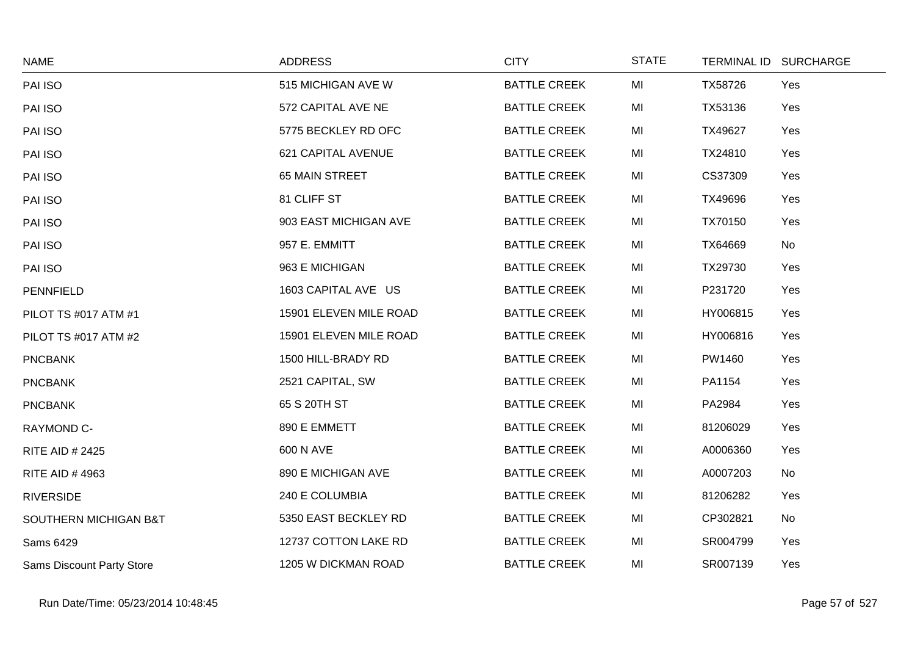| <b>NAME</b>                      | <b>ADDRESS</b>         | <b>CITY</b>         | <b>STATE</b> |          | TERMINAL ID SURCHARGE |
|----------------------------------|------------------------|---------------------|--------------|----------|-----------------------|
| PAI ISO                          | 515 MICHIGAN AVE W     | <b>BATTLE CREEK</b> | MI           | TX58726  | Yes                   |
| PAI ISO                          | 572 CAPITAL AVE NE     | <b>BATTLE CREEK</b> | MI           | TX53136  | Yes                   |
| PAI ISO                          | 5775 BECKLEY RD OFC    | <b>BATTLE CREEK</b> | MI           | TX49627  | Yes                   |
| PAI ISO                          | 621 CAPITAL AVENUE     | <b>BATTLE CREEK</b> | MI           | TX24810  | Yes                   |
| PAI ISO                          | 65 MAIN STREET         | <b>BATTLE CREEK</b> | MI           | CS37309  | Yes                   |
| PAI ISO                          | 81 CLIFF ST            | <b>BATTLE CREEK</b> | MI           | TX49696  | Yes                   |
| PAI ISO                          | 903 EAST MICHIGAN AVE  | <b>BATTLE CREEK</b> | MI           | TX70150  | Yes                   |
| PAI ISO                          | 957 E. EMMITT          | <b>BATTLE CREEK</b> | MI           | TX64669  | <b>No</b>             |
| PAI ISO                          | 963 E MICHIGAN         | <b>BATTLE CREEK</b> | MI           | TX29730  | Yes                   |
| <b>PENNFIELD</b>                 | 1603 CAPITAL AVE US    | <b>BATTLE CREEK</b> | MI           | P231720  | Yes                   |
| PILOT TS #017 ATM #1             | 15901 ELEVEN MILE ROAD | <b>BATTLE CREEK</b> | MI           | HY006815 | Yes                   |
| PILOT TS #017 ATM #2             | 15901 ELEVEN MILE ROAD | <b>BATTLE CREEK</b> | MI           | HY006816 | Yes                   |
| <b>PNCBANK</b>                   | 1500 HILL-BRADY RD     | <b>BATTLE CREEK</b> | MI           | PW1460   | Yes                   |
| <b>PNCBANK</b>                   | 2521 CAPITAL, SW       | <b>BATTLE CREEK</b> | MI           | PA1154   | Yes                   |
| <b>PNCBANK</b>                   | 65 S 20TH ST           | <b>BATTLE CREEK</b> | MI           | PA2984   | Yes                   |
| RAYMOND C-                       | 890 E EMMETT           | <b>BATTLE CREEK</b> | MI           | 81206029 | Yes                   |
| <b>RITE AID # 2425</b>           | 600 N AVE              | <b>BATTLE CREEK</b> | MI           | A0006360 | Yes                   |
| <b>RITE AID #4963</b>            | 890 E MICHIGAN AVE     | <b>BATTLE CREEK</b> | MI           | A0007203 | <b>No</b>             |
| <b>RIVERSIDE</b>                 | 240 E COLUMBIA         | <b>BATTLE CREEK</b> | MI           | 81206282 | Yes                   |
| SOUTHERN MICHIGAN B&T            | 5350 EAST BECKLEY RD   | <b>BATTLE CREEK</b> | MI           | CP302821 | <b>No</b>             |
| Sams 6429                        | 12737 COTTON LAKE RD   | <b>BATTLE CREEK</b> | MI           | SR004799 | Yes                   |
| <b>Sams Discount Party Store</b> | 1205 W DICKMAN ROAD    | <b>BATTLE CREEK</b> | MI           | SR007139 | Yes                   |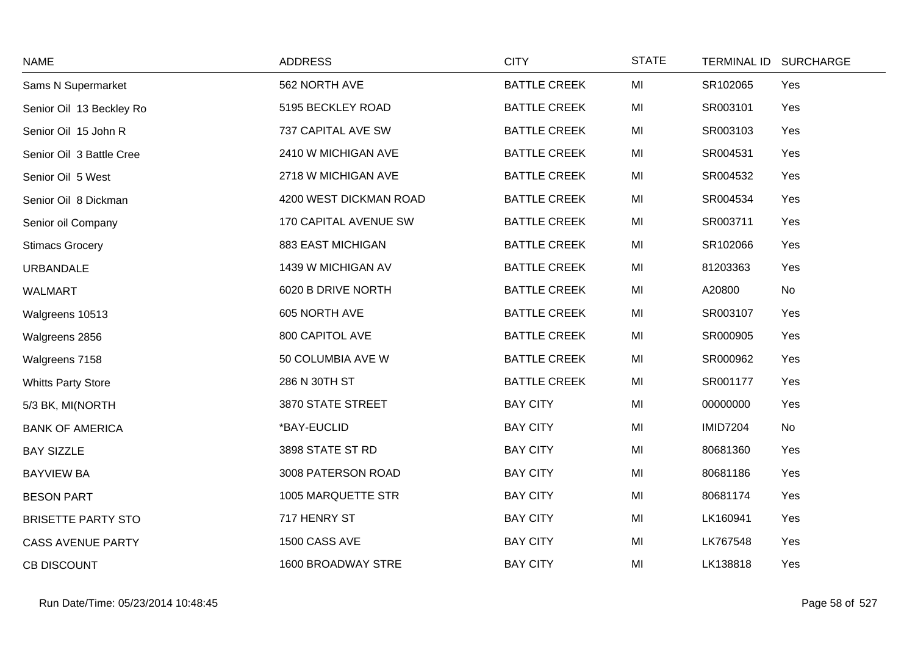| <b>NAME</b>               | <b>ADDRESS</b>         | <b>CITY</b>         | <b>STATE</b> | <b>TERMINAL ID</b> | <b>SURCHARGE</b> |
|---------------------------|------------------------|---------------------|--------------|--------------------|------------------|
| Sams N Supermarket        | 562 NORTH AVE          | <b>BATTLE CREEK</b> | MI           | SR102065           | Yes              |
| Senior Oil 13 Beckley Ro  | 5195 BECKLEY ROAD      | <b>BATTLE CREEK</b> | MI           | SR003101           | Yes              |
| Senior Oil 15 John R      | 737 CAPITAL AVE SW     | <b>BATTLE CREEK</b> | MI           | SR003103           | Yes              |
| Senior Oil 3 Battle Cree  | 2410 W MICHIGAN AVE    | <b>BATTLE CREEK</b> | MI           | SR004531           | Yes              |
| Senior Oil 5 West         | 2718 W MICHIGAN AVE    | <b>BATTLE CREEK</b> | MI           | SR004532           | Yes              |
| Senior Oil 8 Dickman      | 4200 WEST DICKMAN ROAD | <b>BATTLE CREEK</b> | MI           | SR004534           | Yes              |
| Senior oil Company        | 170 CAPITAL AVENUE SW  | <b>BATTLE CREEK</b> | MI           | SR003711           | Yes              |
| <b>Stimacs Grocery</b>    | 883 EAST MICHIGAN      | <b>BATTLE CREEK</b> | MI           | SR102066           | Yes              |
| <b>URBANDALE</b>          | 1439 W MICHIGAN AV     | <b>BATTLE CREEK</b> | MI           | 81203363           | Yes              |
| <b>WALMART</b>            | 6020 B DRIVE NORTH     | <b>BATTLE CREEK</b> | MI           | A20800             | No               |
| Walgreens 10513           | 605 NORTH AVE          | <b>BATTLE CREEK</b> | MI           | SR003107           | Yes              |
| Walgreens 2856            | 800 CAPITOL AVE        | <b>BATTLE CREEK</b> | MI           | SR000905           | Yes              |
| Walgreens 7158            | 50 COLUMBIA AVE W      | <b>BATTLE CREEK</b> | MI           | SR000962           | Yes              |
| <b>Whitts Party Store</b> | 286 N 30TH ST          | <b>BATTLE CREEK</b> | MI           | SR001177           | Yes              |
| 5/3 BK, MI(NORTH          | 3870 STATE STREET      | <b>BAY CITY</b>     | MI           | 00000000           | Yes              |
| <b>BANK OF AMERICA</b>    | *BAY-EUCLID            | <b>BAY CITY</b>     | MI           | <b>IMID7204</b>    | No               |
| <b>BAY SIZZLE</b>         | 3898 STATE ST RD       | <b>BAY CITY</b>     | MI           | 80681360           | Yes              |
| <b>BAYVIEW BA</b>         | 3008 PATERSON ROAD     | <b>BAY CITY</b>     | MI           | 80681186           | Yes              |
| <b>BESON PART</b>         | 1005 MARQUETTE STR     | <b>BAY CITY</b>     | MI           | 80681174           | Yes              |
| <b>BRISETTE PARTY STO</b> | 717 HENRY ST           | <b>BAY CITY</b>     | MI           | LK160941           | Yes              |
| <b>CASS AVENUE PARTY</b>  | 1500 CASS AVE          | <b>BAY CITY</b>     | MI           | LK767548           | Yes              |
| <b>CB DISCOUNT</b>        | 1600 BROADWAY STRE     | <b>BAY CITY</b>     | MI           | LK138818           | Yes              |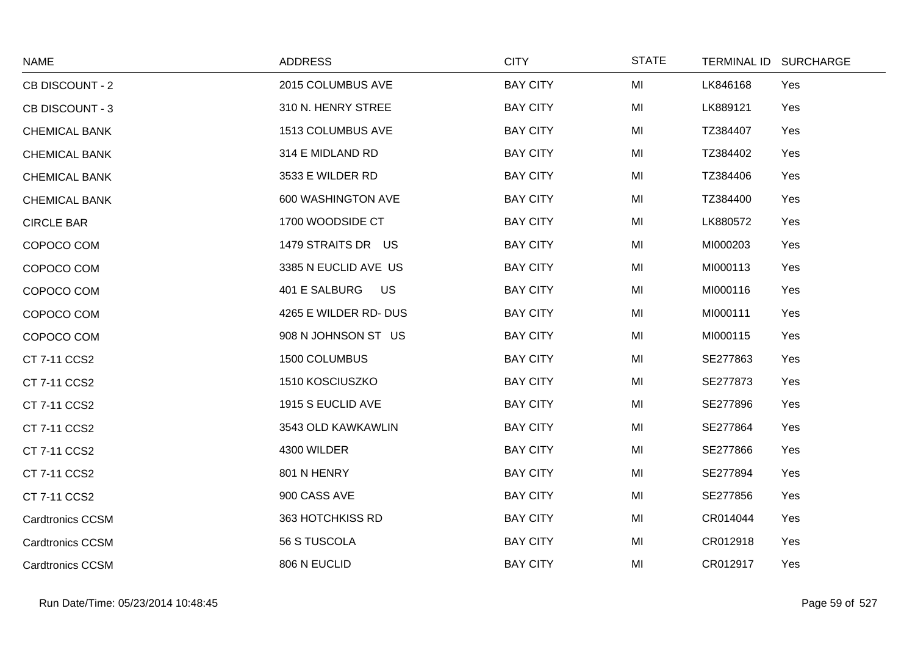| <b>NAME</b>             | <b>ADDRESS</b>        | <b>CITY</b>     | <b>STATE</b> | TERMINAL ID SURCHARGE |     |
|-------------------------|-----------------------|-----------------|--------------|-----------------------|-----|
| CB DISCOUNT - 2         | 2015 COLUMBUS AVE     | <b>BAY CITY</b> | MI           | LK846168              | Yes |
| <b>CB DISCOUNT - 3</b>  | 310 N. HENRY STREE    | <b>BAY CITY</b> | MI           | LK889121              | Yes |
| <b>CHEMICAL BANK</b>    | 1513 COLUMBUS AVE     | <b>BAY CITY</b> | MI           | TZ384407              | Yes |
| <b>CHEMICAL BANK</b>    | 314 E MIDLAND RD      | <b>BAY CITY</b> | MI           | TZ384402              | Yes |
| <b>CHEMICAL BANK</b>    | 3533 E WILDER RD      | <b>BAY CITY</b> | MI           | TZ384406              | Yes |
| <b>CHEMICAL BANK</b>    | 600 WASHINGTON AVE    | <b>BAY CITY</b> | MI           | TZ384400              | Yes |
| <b>CIRCLE BAR</b>       | 1700 WOODSIDE CT      | <b>BAY CITY</b> | MI           | LK880572              | Yes |
| COPOCO COM              | 1479 STRAITS DR US    | <b>BAY CITY</b> | MI           | MI000203              | Yes |
| COPOCO COM              | 3385 N EUCLID AVE US  | <b>BAY CITY</b> | MI           | MI000113              | Yes |
| COPOCO COM              | 401 E SALBURG<br>US   | <b>BAY CITY</b> | MI           | MI000116              | Yes |
| COPOCO COM              | 4265 E WILDER RD- DUS | <b>BAY CITY</b> | MI           | MI000111              | Yes |
| COPOCO COM              | 908 N JOHNSON ST US   | <b>BAY CITY</b> | MI           | MI000115              | Yes |
| CT 7-11 CCS2            | 1500 COLUMBUS         | <b>BAY CITY</b> | MI           | SE277863              | Yes |
| CT 7-11 CCS2            | 1510 KOSCIUSZKO       | <b>BAY CITY</b> | MI           | SE277873              | Yes |
| CT 7-11 CCS2            | 1915 S EUCLID AVE     | <b>BAY CITY</b> | MI           | SE277896              | Yes |
| CT 7-11 CCS2            | 3543 OLD KAWKAWLIN    | <b>BAY CITY</b> | MI           | SE277864              | Yes |
| CT 7-11 CCS2            | 4300 WILDER           | <b>BAY CITY</b> | MI           | SE277866              | Yes |
| CT 7-11 CCS2            | 801 N HENRY           | <b>BAY CITY</b> | MI           | SE277894              | Yes |
| CT 7-11 CCS2            | 900 CASS AVE          | <b>BAY CITY</b> | MI           | SE277856              | Yes |
| <b>Cardtronics CCSM</b> | 363 HOTCHKISS RD      | <b>BAY CITY</b> | MI           | CR014044              | Yes |
| <b>Cardtronics CCSM</b> | 56 S TUSCOLA          | <b>BAY CITY</b> | MI           | CR012918              | Yes |
| <b>Cardtronics CCSM</b> | 806 N EUCLID          | <b>BAY CITY</b> | MI           | CR012917              | Yes |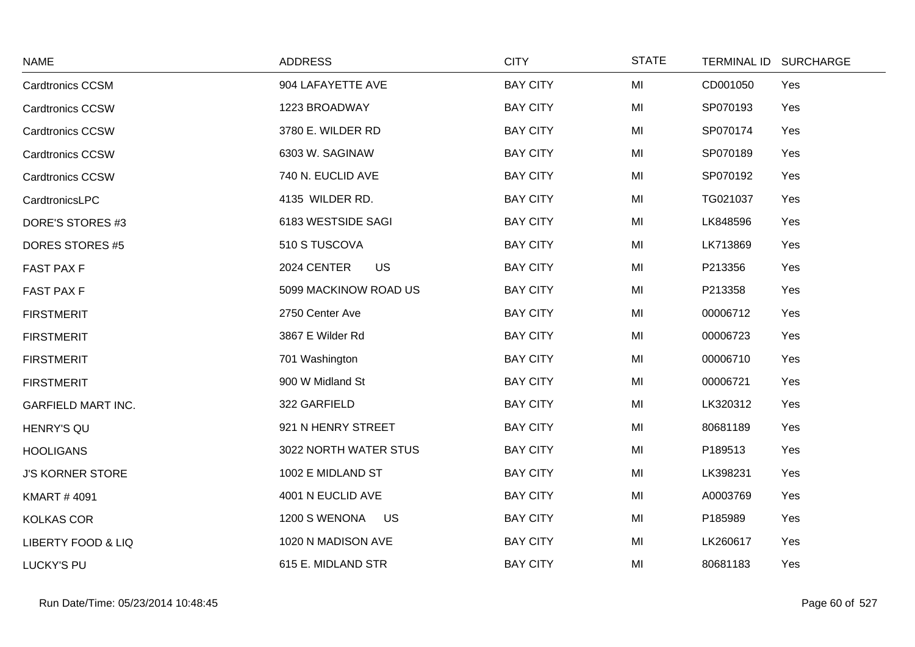| <b>NAME</b>                   | <b>ADDRESS</b>             | <b>CITY</b>     | <b>STATE</b> | TERMINAL ID SURCHARGE |
|-------------------------------|----------------------------|-----------------|--------------|-----------------------|
| <b>Cardtronics CCSM</b>       | 904 LAFAYETTE AVE          | <b>BAY CITY</b> | MI           | CD001050<br>Yes       |
| <b>Cardtronics CCSW</b>       | 1223 BROADWAY              | <b>BAY CITY</b> | MI           | SP070193<br>Yes       |
| <b>Cardtronics CCSW</b>       | 3780 E. WILDER RD          | <b>BAY CITY</b> | MI           | SP070174<br>Yes       |
| <b>Cardtronics CCSW</b>       | 6303 W. SAGINAW            | <b>BAY CITY</b> | MI           | SP070189<br>Yes       |
| <b>Cardtronics CCSW</b>       | 740 N. EUCLID AVE          | <b>BAY CITY</b> | MI           | SP070192<br>Yes       |
| CardtronicsLPC                | 4135 WILDER RD.            | <b>BAY CITY</b> | MI           | TG021037<br>Yes       |
| DORE'S STORES #3              | 6183 WESTSIDE SAGI         | <b>BAY CITY</b> | MI           | LK848596<br>Yes       |
| <b>DORES STORES #5</b>        | 510 S TUSCOVA              | <b>BAY CITY</b> | MI           | LK713869<br>Yes       |
| <b>FAST PAX F</b>             | 2024 CENTER<br><b>US</b>   | <b>BAY CITY</b> | MI           | P213356<br>Yes        |
| <b>FAST PAX F</b>             | 5099 MACKINOW ROAD US      | <b>BAY CITY</b> | MI           | P213358<br>Yes        |
| <b>FIRSTMERIT</b>             | 2750 Center Ave            | <b>BAY CITY</b> | MI           | 00006712<br>Yes       |
| <b>FIRSTMERIT</b>             | 3867 E Wilder Rd           | <b>BAY CITY</b> | MI           | Yes<br>00006723       |
| <b>FIRSTMERIT</b>             | 701 Washington             | <b>BAY CITY</b> | MI           | 00006710<br>Yes       |
| <b>FIRSTMERIT</b>             | 900 W Midland St           | <b>BAY CITY</b> | MI           | 00006721<br>Yes       |
| <b>GARFIELD MART INC.</b>     | 322 GARFIELD               | <b>BAY CITY</b> | MI           | LK320312<br>Yes       |
| <b>HENRY'S QU</b>             | 921 N HENRY STREET         | <b>BAY CITY</b> | MI           | 80681189<br>Yes       |
| <b>HOOLIGANS</b>              | 3022 NORTH WATER STUS      | <b>BAY CITY</b> | MI           | P189513<br>Yes        |
| <b>J'S KORNER STORE</b>       | 1002 E MIDLAND ST          | <b>BAY CITY</b> | MI           | LK398231<br>Yes       |
| <b>KMART #4091</b>            | 4001 N EUCLID AVE          | <b>BAY CITY</b> | MI           | A0003769<br>Yes       |
| <b>KOLKAS COR</b>             | 1200 S WENONA<br><b>US</b> | <b>BAY CITY</b> | MI           | P185989<br>Yes        |
| <b>LIBERTY FOOD &amp; LIQ</b> | 1020 N MADISON AVE         | <b>BAY CITY</b> | MI           | LK260617<br>Yes       |
| <b>LUCKY'S PU</b>             | 615 E. MIDLAND STR         | <b>BAY CITY</b> | MI           | 80681183<br>Yes       |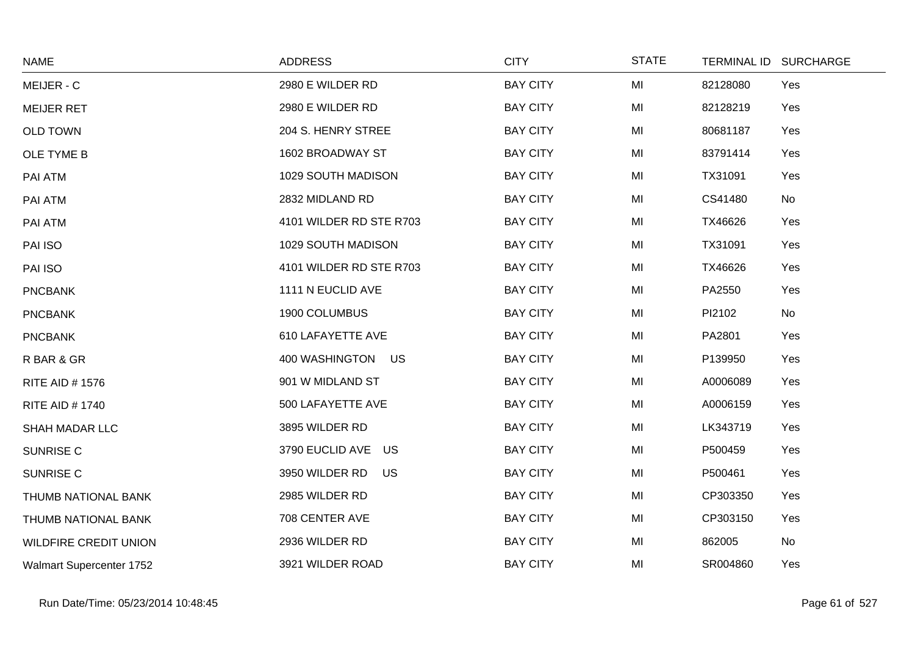| <b>NAME</b>                     | <b>ADDRESS</b>          | <b>CITY</b>     | <b>STATE</b> |          | TERMINAL ID SURCHARGE |
|---------------------------------|-------------------------|-----------------|--------------|----------|-----------------------|
| MEIJER - C                      | 2980 E WILDER RD        | <b>BAY CITY</b> | MI           | 82128080 | Yes                   |
| <b>MEIJER RET</b>               | 2980 E WILDER RD        | <b>BAY CITY</b> | MI           | 82128219 | Yes                   |
| <b>OLD TOWN</b>                 | 204 S. HENRY STREE      | <b>BAY CITY</b> | MI           | 80681187 | Yes                   |
| OLE TYME B                      | 1602 BROADWAY ST        | <b>BAY CITY</b> | MI           | 83791414 | Yes                   |
| PAI ATM                         | 1029 SOUTH MADISON      | <b>BAY CITY</b> | MI           | TX31091  | Yes                   |
| PAI ATM                         | 2832 MIDLAND RD         | <b>BAY CITY</b> | MI           | CS41480  | No                    |
| PAI ATM                         | 4101 WILDER RD STE R703 | <b>BAY CITY</b> | MI           | TX46626  | Yes                   |
| PAI ISO                         | 1029 SOUTH MADISON      | <b>BAY CITY</b> | MI           | TX31091  | Yes                   |
| PAI ISO                         | 4101 WILDER RD STE R703 | <b>BAY CITY</b> | MI           | TX46626  | Yes                   |
| <b>PNCBANK</b>                  | 1111 N EUCLID AVE       | <b>BAY CITY</b> | MI           | PA2550   | Yes                   |
| <b>PNCBANK</b>                  | 1900 COLUMBUS           | <b>BAY CITY</b> | MI           | PI2102   | No                    |
| <b>PNCBANK</b>                  | 610 LAFAYETTE AVE       | <b>BAY CITY</b> | MI           | PA2801   | Yes                   |
| R BAR & GR                      | 400 WASHINGTON US       | <b>BAY CITY</b> | MI           | P139950  | Yes                   |
| <b>RITE AID #1576</b>           | 901 W MIDLAND ST        | <b>BAY CITY</b> | MI           | A0006089 | Yes                   |
| <b>RITE AID #1740</b>           | 500 LAFAYETTE AVE       | <b>BAY CITY</b> | MI           | A0006159 | Yes                   |
| SHAH MADAR LLC                  | 3895 WILDER RD          | <b>BAY CITY</b> | MI           | LK343719 | Yes                   |
| <b>SUNRISE C</b>                | 3790 EUCLID AVE US      | <b>BAY CITY</b> | MI           | P500459  | Yes                   |
| <b>SUNRISE C</b>                | 3950 WILDER RD<br>US    | <b>BAY CITY</b> | MI           | P500461  | Yes                   |
| THUMB NATIONAL BANK             | 2985 WILDER RD          | <b>BAY CITY</b> | MI           | CP303350 | Yes                   |
| THUMB NATIONAL BANK             | 708 CENTER AVE          | <b>BAY CITY</b> | MI           | CP303150 | Yes                   |
| <b>WILDFIRE CREDIT UNION</b>    | 2936 WILDER RD          | <b>BAY CITY</b> | MI           | 862005   | No                    |
| <b>Walmart Supercenter 1752</b> | 3921 WILDER ROAD        | <b>BAY CITY</b> | MI           | SR004860 | Yes                   |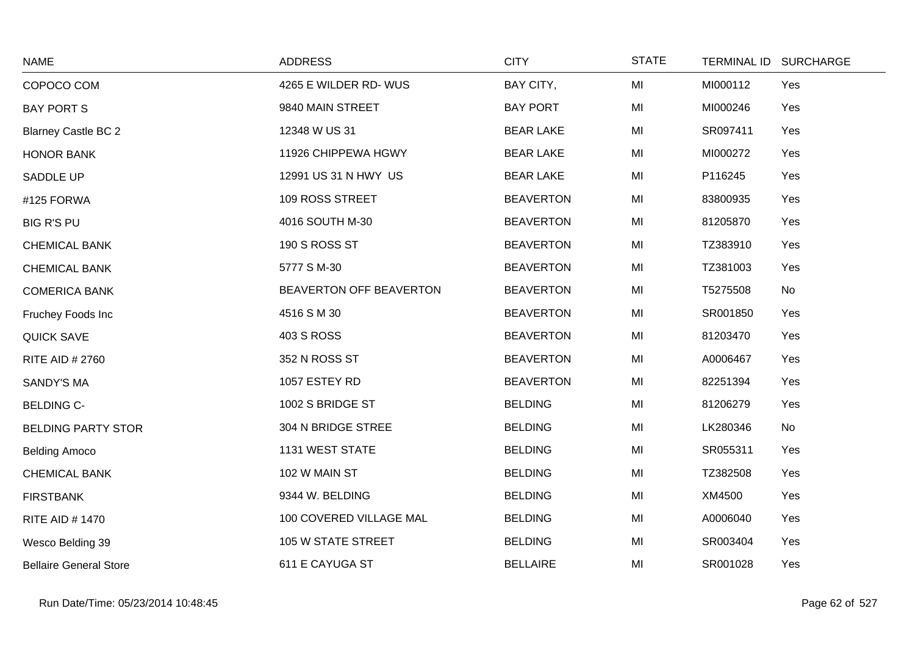| <b>NAME</b>                   | <b>ADDRESS</b>          | <b>CITY</b>      | <b>STATE</b> | TERMINAL ID SURCHARGE |
|-------------------------------|-------------------------|------------------|--------------|-----------------------|
| COPOCO COM                    | 4265 E WILDER RD- WUS   | BAY CITY,        | MI           | Yes<br>MI000112       |
| <b>BAY PORT S</b>             | 9840 MAIN STREET        | <b>BAY PORT</b>  | MI           | MI000246<br>Yes       |
| <b>Blarney Castle BC 2</b>    | 12348 W US 31           | <b>BEAR LAKE</b> | MI           | SR097411<br>Yes       |
| HONOR BANK                    | 11926 CHIPPEWA HGWY     | <b>BEAR LAKE</b> | MI           | MI000272<br>Yes       |
| <b>SADDLE UP</b>              | 12991 US 31 N HWY US    | <b>BEAR LAKE</b> | MI           | P116245<br>Yes        |
| #125 FORWA                    | 109 ROSS STREET         | <b>BEAVERTON</b> | MI           | 83800935<br>Yes       |
| <b>BIG R'S PU</b>             | 4016 SOUTH M-30         | <b>BEAVERTON</b> | MI           | 81205870<br>Yes       |
| <b>CHEMICAL BANK</b>          | 190 S ROSS ST           | <b>BEAVERTON</b> | MI           | TZ383910<br>Yes       |
| <b>CHEMICAL BANK</b>          | 5777 S M-30             | <b>BEAVERTON</b> | MI           | TZ381003<br>Yes       |
| <b>COMERICA BANK</b>          | BEAVERTON OFF BEAVERTON | <b>BEAVERTON</b> | MI           | T5275508<br>No        |
| Fruchey Foods Inc             | 4516 S M 30             | <b>BEAVERTON</b> | MI           | SR001850<br>Yes       |
| <b>QUICK SAVE</b>             | <b>403 S ROSS</b>       | <b>BEAVERTON</b> | MI           | 81203470<br>Yes       |
| <b>RITE AID # 2760</b>        | 352 N ROSS ST           | <b>BEAVERTON</b> | MI           | A0006467<br>Yes       |
| <b>SANDY'S MA</b>             | 1057 ESTEY RD           | <b>BEAVERTON</b> | MI           | 82251394<br>Yes       |
| <b>BELDING C-</b>             | 1002 S BRIDGE ST        | <b>BELDING</b>   | MI           | 81206279<br>Yes       |
| <b>BELDING PARTY STOR</b>     | 304 N BRIDGE STREE      | <b>BELDING</b>   | MI           | LK280346<br>No        |
| <b>Belding Amoco</b>          | 1131 WEST STATE         | <b>BELDING</b>   | MI           | SR055311<br>Yes       |
| <b>CHEMICAL BANK</b>          | 102 W MAIN ST           | <b>BELDING</b>   | MI           | TZ382508<br>Yes       |
| <b>FIRSTBANK</b>              | 9344 W. BELDING         | <b>BELDING</b>   | MI           | XM4500<br>Yes         |
| <b>RITE AID # 1470</b>        | 100 COVERED VILLAGE MAL | <b>BELDING</b>   | MI           | Yes<br>A0006040       |
| Wesco Belding 39              | 105 W STATE STREET      | <b>BELDING</b>   | MI           | SR003404<br>Yes       |
| <b>Bellaire General Store</b> | 611 E CAYUGA ST         | <b>BELLAIRE</b>  | MI           | SR001028<br>Yes       |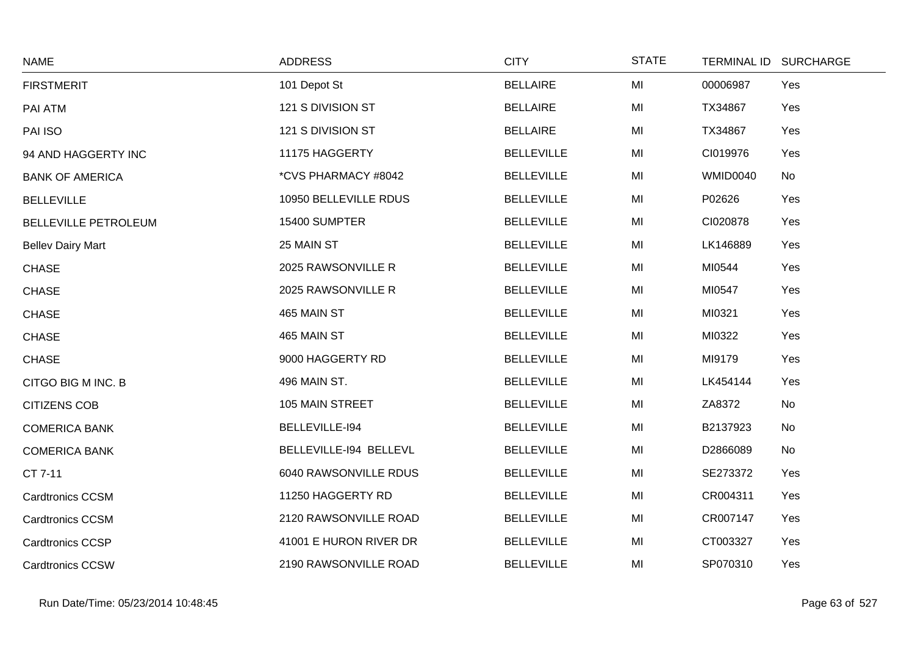| <b>NAME</b>                 | <b>ADDRESS</b>         | <b>CITY</b>       | <b>STATE</b> | <b>TERMINAL ID</b> | <b>SURCHARGE</b> |
|-----------------------------|------------------------|-------------------|--------------|--------------------|------------------|
| <b>FIRSTMERIT</b>           | 101 Depot St           | <b>BELLAIRE</b>   | MI           | 00006987           | Yes              |
| PAI ATM                     | 121 S DIVISION ST      | <b>BELLAIRE</b>   | MI           | TX34867            | Yes              |
| PAI ISO                     | 121 S DIVISION ST      | <b>BELLAIRE</b>   | MI           | TX34867            | Yes              |
| 94 AND HAGGERTY INC         | 11175 HAGGERTY         | <b>BELLEVILLE</b> | MI           | CI019976           | Yes              |
| <b>BANK OF AMERICA</b>      | *CVS PHARMACY #8042    | <b>BELLEVILLE</b> | MI           | WMID0040           | <b>No</b>        |
| <b>BELLEVILLE</b>           | 10950 BELLEVILLE RDUS  | <b>BELLEVILLE</b> | MI           | P02626             | Yes              |
| <b>BELLEVILLE PETROLEUM</b> | 15400 SUMPTER          | <b>BELLEVILLE</b> | MI           | CI020878           | Yes              |
| <b>Bellev Dairy Mart</b>    | 25 MAIN ST             | <b>BELLEVILLE</b> | MI           | LK146889           | Yes              |
| <b>CHASE</b>                | 2025 RAWSONVILLE R     | <b>BELLEVILLE</b> | MI           | MI0544             | Yes              |
| <b>CHASE</b>                | 2025 RAWSONVILLE R     | <b>BELLEVILLE</b> | MI           | MI0547             | Yes              |
| <b>CHASE</b>                | 465 MAIN ST            | <b>BELLEVILLE</b> | MI           | MI0321             | Yes              |
| <b>CHASE</b>                | 465 MAIN ST            | <b>BELLEVILLE</b> | MI           | MI0322             | Yes              |
| <b>CHASE</b>                | 9000 HAGGERTY RD       | <b>BELLEVILLE</b> | MI           | MI9179             | Yes              |
| CITGO BIG M INC. B          | 496 MAIN ST.           | <b>BELLEVILLE</b> | MI           | LK454144           | Yes              |
| <b>CITIZENS COB</b>         | 105 MAIN STREET        | <b>BELLEVILLE</b> | MI           | ZA8372             | No               |
| <b>COMERICA BANK</b>        | BELLEVILLE-194         | <b>BELLEVILLE</b> | MI           | B2137923           | No               |
| <b>COMERICA BANK</b>        | BELLEVILLE-194 BELLEVL | <b>BELLEVILLE</b> | MI           | D2866089           | No               |
| CT 7-11                     | 6040 RAWSONVILLE RDUS  | <b>BELLEVILLE</b> | MI           | SE273372           | Yes              |
| <b>Cardtronics CCSM</b>     | 11250 HAGGERTY RD      | <b>BELLEVILLE</b> | MI           | CR004311           | Yes              |
| <b>Cardtronics CCSM</b>     | 2120 RAWSONVILLE ROAD  | <b>BELLEVILLE</b> | MI           | CR007147           | Yes              |
| <b>Cardtronics CCSP</b>     | 41001 E HURON RIVER DR | <b>BELLEVILLE</b> | MI           | CT003327           | Yes              |
| <b>Cardtronics CCSW</b>     | 2190 RAWSONVILLE ROAD  | <b>BELLEVILLE</b> | MI           | SP070310           | Yes              |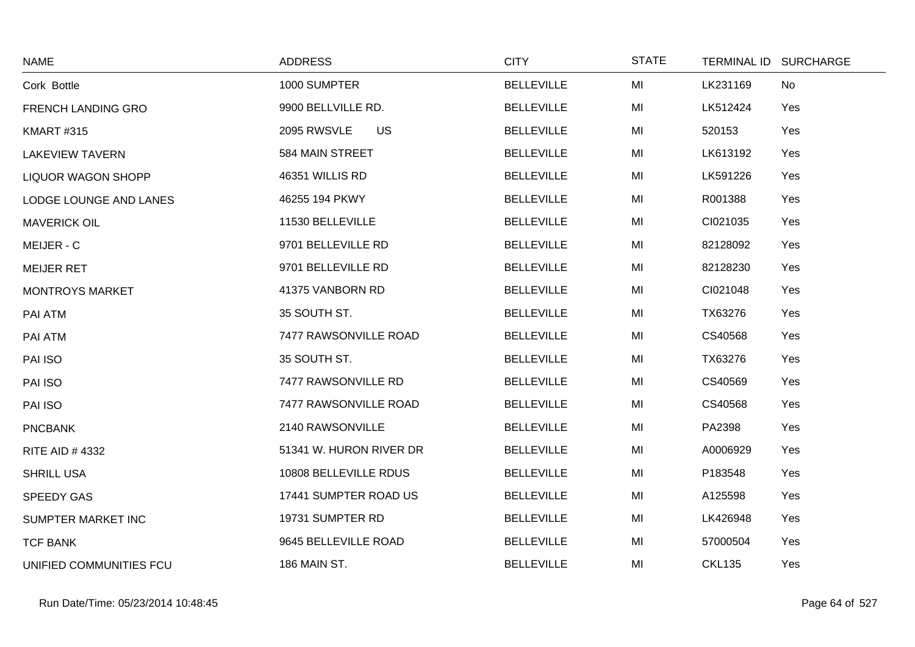| <b>NAME</b>               | <b>ADDRESS</b>           | <b>CITY</b>       | <b>STATE</b> | TERMINAL ID SURCHARGE |  |
|---------------------------|--------------------------|-------------------|--------------|-----------------------|--|
| Cork Bottle               | 1000 SUMPTER             | <b>BELLEVILLE</b> | MI           | LK231169<br>No        |  |
| <b>FRENCH LANDING GRO</b> | 9900 BELLVILLE RD.       | <b>BELLEVILLE</b> | MI           | LK512424<br>Yes       |  |
| <b>KMART #315</b>         | <b>US</b><br>2095 RWSVLE | <b>BELLEVILLE</b> | MI           | 520153<br>Yes         |  |
| <b>LAKEVIEW TAVERN</b>    | 584 MAIN STREET          | <b>BELLEVILLE</b> | MI           | LK613192<br>Yes       |  |
| <b>LIQUOR WAGON SHOPP</b> | 46351 WILLIS RD          | <b>BELLEVILLE</b> | MI           | LK591226<br>Yes       |  |
| LODGE LOUNGE AND LANES    | 46255 194 PKWY           | <b>BELLEVILLE</b> | MI           | R001388<br>Yes        |  |
| <b>MAVERICK OIL</b>       | 11530 BELLEVILLE         | <b>BELLEVILLE</b> | MI           | CI021035<br>Yes       |  |
| MEIJER - C                | 9701 BELLEVILLE RD       | <b>BELLEVILLE</b> | MI           | 82128092<br>Yes       |  |
| <b>MEIJER RET</b>         | 9701 BELLEVILLE RD       | <b>BELLEVILLE</b> | MI           | 82128230<br>Yes       |  |
| <b>MONTROYS MARKET</b>    | 41375 VANBORN RD         | <b>BELLEVILLE</b> | MI           | CI021048<br>Yes       |  |
| PAI ATM                   | 35 SOUTH ST.             | <b>BELLEVILLE</b> | MI           | TX63276<br>Yes        |  |
| PAI ATM                   | 7477 RAWSONVILLE ROAD    | <b>BELLEVILLE</b> | MI           | CS40568<br>Yes        |  |
| PAI ISO                   | 35 SOUTH ST.             | <b>BELLEVILLE</b> | MI           | TX63276<br>Yes        |  |
| PAI ISO                   | 7477 RAWSONVILLE RD      | <b>BELLEVILLE</b> | MI           | CS40569<br>Yes        |  |
| PAI ISO                   | 7477 RAWSONVILLE ROAD    | <b>BELLEVILLE</b> | MI           | CS40568<br>Yes        |  |
| <b>PNCBANK</b>            | 2140 RAWSONVILLE         | <b>BELLEVILLE</b> | MI           | PA2398<br>Yes         |  |
| <b>RITE AID #4332</b>     | 51341 W. HURON RIVER DR  | <b>BELLEVILLE</b> | MI           | A0006929<br>Yes       |  |
| <b>SHRILL USA</b>         | 10808 BELLEVILLE RDUS    | <b>BELLEVILLE</b> | MI           | P183548<br>Yes        |  |
| <b>SPEEDY GAS</b>         | 17441 SUMPTER ROAD US    | <b>BELLEVILLE</b> | MI           | Yes<br>A125598        |  |
| SUMPTER MARKET INC        | 19731 SUMPTER RD         | <b>BELLEVILLE</b> | MI           | LK426948<br>Yes       |  |
| <b>TCF BANK</b>           | 9645 BELLEVILLE ROAD     | <b>BELLEVILLE</b> | MI           | 57000504<br>Yes       |  |
| UNIFIED COMMUNITIES FCU   | 186 MAIN ST.             | <b>BELLEVILLE</b> | MI           | <b>CKL135</b><br>Yes  |  |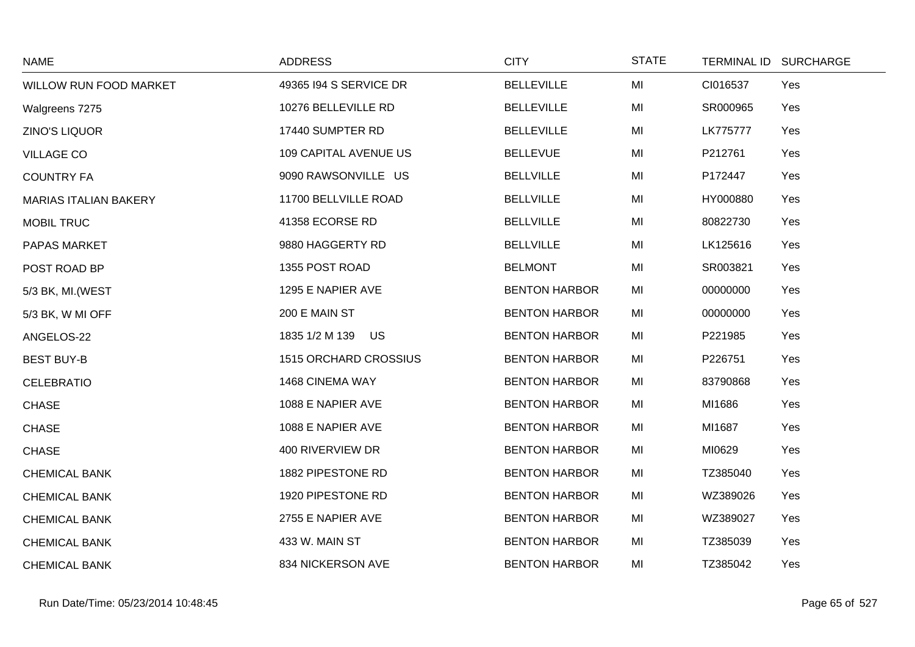| <b>NAME</b>                  | <b>ADDRESS</b>         | <b>CITY</b>          | <b>STATE</b> |          | TERMINAL ID SURCHARGE |
|------------------------------|------------------------|----------------------|--------------|----------|-----------------------|
| WILLOW RUN FOOD MARKET       | 49365 194 S SERVICE DR | <b>BELLEVILLE</b>    | MI           | CI016537 | Yes                   |
| Walgreens 7275               | 10276 BELLEVILLE RD    | <b>BELLEVILLE</b>    | MI           | SR000965 | Yes                   |
| ZINO'S LIQUOR                | 17440 SUMPTER RD       | <b>BELLEVILLE</b>    | MI           | LK775777 | Yes                   |
| <b>VILLAGE CO</b>            | 109 CAPITAL AVENUE US  | <b>BELLEVUE</b>      | MI           | P212761  | Yes                   |
| <b>COUNTRY FA</b>            | 9090 RAWSONVILLE US    | <b>BELLVILLE</b>     | MI           | P172447  | Yes                   |
| <b>MARIAS ITALIAN BAKERY</b> | 11700 BELLVILLE ROAD   | <b>BELLVILLE</b>     | MI           | HY000880 | Yes                   |
| <b>MOBIL TRUC</b>            | 41358 ECORSE RD        | <b>BELLVILLE</b>     | MI           | 80822730 | Yes                   |
| PAPAS MARKET                 | 9880 HAGGERTY RD       | <b>BELLVILLE</b>     | MI           | LK125616 | Yes                   |
| POST ROAD BP                 | 1355 POST ROAD         | <b>BELMONT</b>       | MI           | SR003821 | Yes                   |
| 5/3 BK, MI. (WEST            | 1295 E NAPIER AVE      | <b>BENTON HARBOR</b> | MI           | 00000000 | Yes                   |
| 5/3 BK, W MI OFF             | 200 E MAIN ST          | <b>BENTON HARBOR</b> | MI           | 00000000 | Yes                   |
| ANGELOS-22                   | 1835 1/2 M 139 US      | <b>BENTON HARBOR</b> | MI           | P221985  | Yes                   |
| <b>BEST BUY-B</b>            | 1515 ORCHARD CROSSIUS  | <b>BENTON HARBOR</b> | MI           | P226751  | Yes                   |
| <b>CELEBRATIO</b>            | 1468 CINEMA WAY        | <b>BENTON HARBOR</b> | MI           | 83790868 | Yes                   |
| <b>CHASE</b>                 | 1088 E NAPIER AVE      | <b>BENTON HARBOR</b> | MI           | MI1686   | Yes                   |
| <b>CHASE</b>                 | 1088 E NAPIER AVE      | <b>BENTON HARBOR</b> | MI           | MI1687   | Yes                   |
| <b>CHASE</b>                 | 400 RIVERVIEW DR       | <b>BENTON HARBOR</b> | MI           | MI0629   | Yes                   |
| <b>CHEMICAL BANK</b>         | 1882 PIPESTONE RD      | <b>BENTON HARBOR</b> | MI           | TZ385040 | Yes                   |
| <b>CHEMICAL BANK</b>         | 1920 PIPESTONE RD      | <b>BENTON HARBOR</b> | MI           | WZ389026 | Yes                   |
| <b>CHEMICAL BANK</b>         | 2755 E NAPIER AVE      | <b>BENTON HARBOR</b> | MI           | WZ389027 | Yes                   |
| <b>CHEMICAL BANK</b>         | 433 W. MAIN ST         | <b>BENTON HARBOR</b> | MI           | TZ385039 | Yes                   |
| <b>CHEMICAL BANK</b>         | 834 NICKERSON AVE      | <b>BENTON HARBOR</b> | MI           | TZ385042 | Yes                   |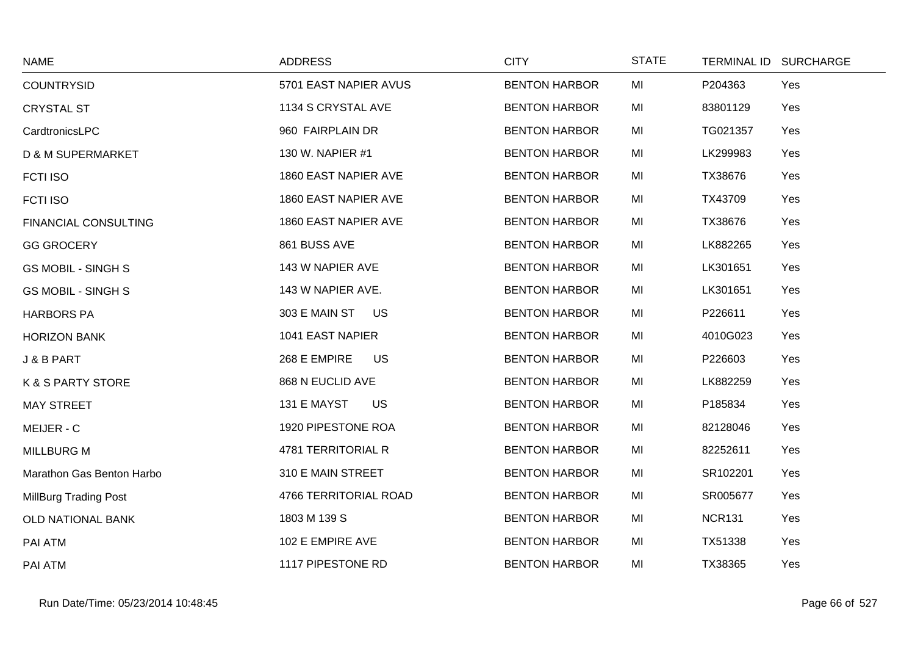| <b>NAME</b>                  | <b>ADDRESS</b>             | <b>CITY</b>          | <b>STATE</b> | TERMINAL ID SURCHARGE |     |
|------------------------------|----------------------------|----------------------|--------------|-----------------------|-----|
| <b>COUNTRYSID</b>            | 5701 EAST NAPIER AVUS      | <b>BENTON HARBOR</b> | MI           | P204363               | Yes |
| <b>CRYSTAL ST</b>            | 1134 S CRYSTAL AVE         | <b>BENTON HARBOR</b> | MI           | 83801129              | Yes |
| CardtronicsLPC               | 960 FAIRPLAIN DR           | <b>BENTON HARBOR</b> | MI           | TG021357              | Yes |
| <b>D &amp; M SUPERMARKET</b> | 130 W. NAPIER #1           | <b>BENTON HARBOR</b> | MI           | LK299983              | Yes |
| <b>FCTI ISO</b>              | 1860 EAST NAPIER AVE       | <b>BENTON HARBOR</b> | MI           | TX38676               | Yes |
| <b>FCTI ISO</b>              | 1860 EAST NAPIER AVE       | <b>BENTON HARBOR</b> | MI           | TX43709               | Yes |
| <b>FINANCIAL CONSULTING</b>  | 1860 EAST NAPIER AVE       | <b>BENTON HARBOR</b> | MI           | TX38676               | Yes |
| <b>GG GROCERY</b>            | 861 BUSS AVE               | <b>BENTON HARBOR</b> | MI           | LK882265              | Yes |
| <b>GS MOBIL - SINGH S</b>    | 143 W NAPIER AVE           | <b>BENTON HARBOR</b> | MI           | LK301651              | Yes |
| <b>GS MOBIL - SINGH S</b>    | 143 W NAPIER AVE.          | <b>BENTON HARBOR</b> | MI           | LK301651              | Yes |
| <b>HARBORS PA</b>            | 303 E MAIN ST<br><b>US</b> | <b>BENTON HARBOR</b> | MI           | P226611               | Yes |
| <b>HORIZON BANK</b>          | 1041 EAST NAPIER           | <b>BENTON HARBOR</b> | MI           | 4010G023              | Yes |
| J & B PART                   | 268 E EMPIRE<br>US         | <b>BENTON HARBOR</b> | MI           | P226603               | Yes |
| <b>K &amp; S PARTY STORE</b> | 868 N EUCLID AVE           | <b>BENTON HARBOR</b> | MI           | LK882259              | Yes |
| <b>MAY STREET</b>            | 131 E MAYST<br><b>US</b>   | <b>BENTON HARBOR</b> | MI           | P185834               | Yes |
| MEIJER - C                   | 1920 PIPESTONE ROA         | <b>BENTON HARBOR</b> | MI           | 82128046              | Yes |
| <b>MILLBURG M</b>            | 4781 TERRITORIAL R         | <b>BENTON HARBOR</b> | MI           | 82252611              | Yes |
| Marathon Gas Benton Harbo    | 310 E MAIN STREET          | <b>BENTON HARBOR</b> | MI           | SR102201              | Yes |
| <b>MillBurg Trading Post</b> | 4766 TERRITORIAL ROAD      | <b>BENTON HARBOR</b> | MI           | SR005677              | Yes |
| OLD NATIONAL BANK            | 1803 M 139 S               | <b>BENTON HARBOR</b> | MI           | <b>NCR131</b>         | Yes |
| PAI ATM                      | 102 E EMPIRE AVE           | <b>BENTON HARBOR</b> | MI           | TX51338               | Yes |
| PAI ATM                      | 1117 PIPESTONE RD          | <b>BENTON HARBOR</b> | MI           | TX38365               | Yes |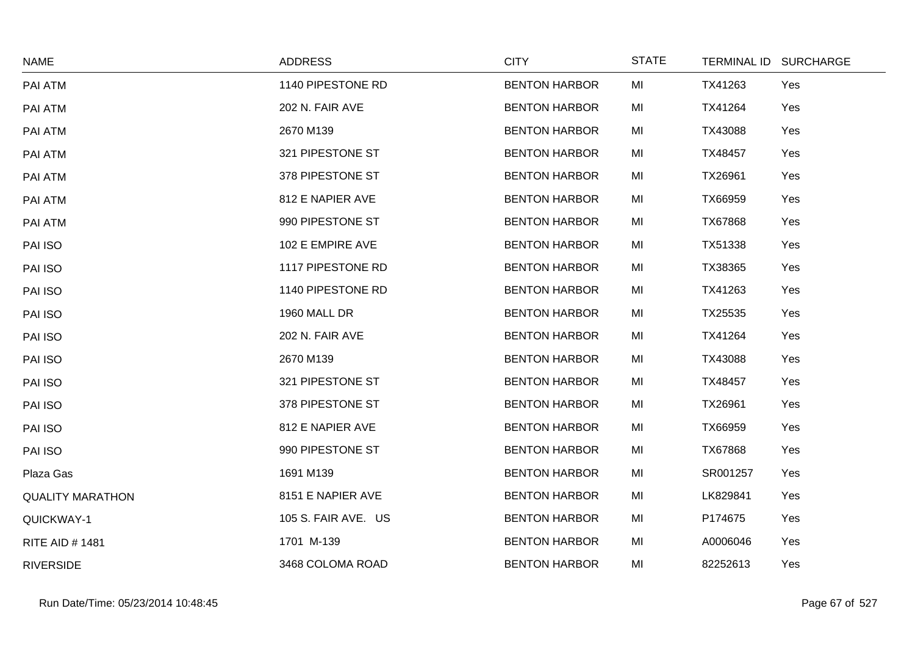| <b>NAME</b>             | <b>ADDRESS</b>      | <b>CITY</b>          | <b>STATE</b> |          | TERMINAL ID SURCHARGE |
|-------------------------|---------------------|----------------------|--------------|----------|-----------------------|
| PAI ATM                 | 1140 PIPESTONE RD   | <b>BENTON HARBOR</b> | MI           | TX41263  | Yes                   |
| PAI ATM                 | 202 N. FAIR AVE     | <b>BENTON HARBOR</b> | MI           | TX41264  | Yes                   |
| PAI ATM                 | 2670 M139           | <b>BENTON HARBOR</b> | MI           | TX43088  | Yes                   |
| PAI ATM                 | 321 PIPESTONE ST    | <b>BENTON HARBOR</b> | MI           | TX48457  | Yes                   |
| PAI ATM                 | 378 PIPESTONE ST    | <b>BENTON HARBOR</b> | MI           | TX26961  | Yes                   |
| PAI ATM                 | 812 E NAPIER AVE    | <b>BENTON HARBOR</b> | MI           | TX66959  | Yes                   |
| PAI ATM                 | 990 PIPESTONE ST    | <b>BENTON HARBOR</b> | MI           | TX67868  | Yes                   |
| PAI ISO                 | 102 E EMPIRE AVE    | <b>BENTON HARBOR</b> | MI           | TX51338  | Yes                   |
| PAI ISO                 | 1117 PIPESTONE RD   | <b>BENTON HARBOR</b> | MI           | TX38365  | Yes                   |
| PAI ISO                 | 1140 PIPESTONE RD   | <b>BENTON HARBOR</b> | MI           | TX41263  | Yes                   |
| PAI ISO                 | 1960 MALL DR        | <b>BENTON HARBOR</b> | MI           | TX25535  | Yes                   |
| PAI ISO                 | 202 N. FAIR AVE     | <b>BENTON HARBOR</b> | MI           | TX41264  | Yes                   |
| PAI ISO                 | 2670 M139           | <b>BENTON HARBOR</b> | MI           | TX43088  | Yes                   |
| PAI ISO                 | 321 PIPESTONE ST    | <b>BENTON HARBOR</b> | MI           | TX48457  | Yes                   |
| PAI ISO                 | 378 PIPESTONE ST    | <b>BENTON HARBOR</b> | MI           | TX26961  | Yes                   |
| PAI ISO                 | 812 E NAPIER AVE    | <b>BENTON HARBOR</b> | MI           | TX66959  | Yes                   |
| PAI ISO                 | 990 PIPESTONE ST    | <b>BENTON HARBOR</b> | MI           | TX67868  | Yes                   |
| Plaza Gas               | 1691 M139           | <b>BENTON HARBOR</b> | MI           | SR001257 | Yes                   |
| <b>QUALITY MARATHON</b> | 8151 E NAPIER AVE   | <b>BENTON HARBOR</b> | MI           | LK829841 | Yes                   |
| QUICKWAY-1              | 105 S. FAIR AVE. US | <b>BENTON HARBOR</b> | MI           | P174675  | Yes                   |
| <b>RITE AID # 1481</b>  | 1701 M-139          | <b>BENTON HARBOR</b> | MI           | A0006046 | Yes                   |
| <b>RIVERSIDE</b>        | 3468 COLOMA ROAD    | <b>BENTON HARBOR</b> | MI           | 82252613 | Yes                   |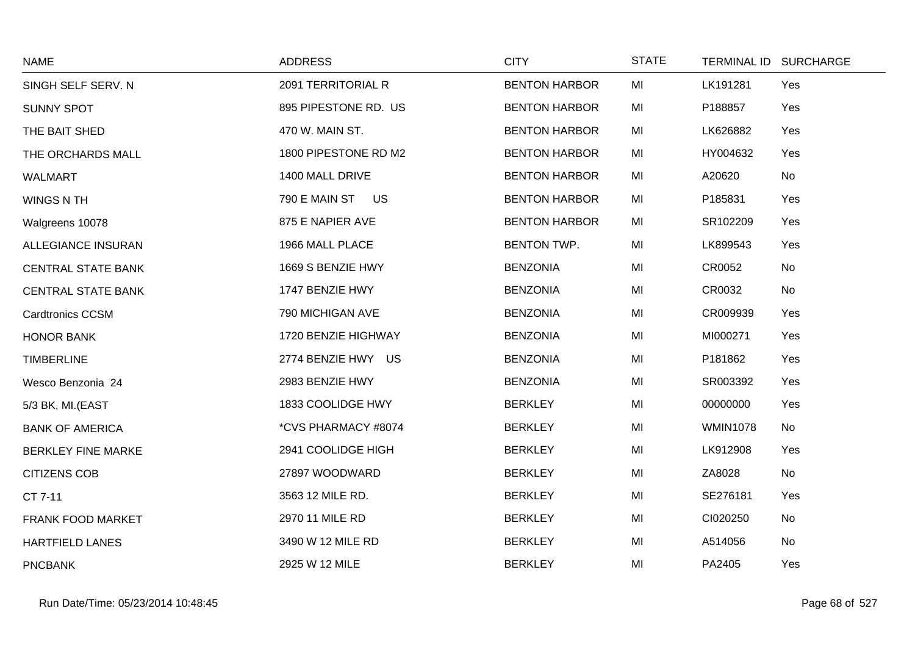| <b>NAME</b>               | <b>ADDRESS</b>       | <b>CITY</b>          | <b>STATE</b> | <b>TERMINAL ID</b> | <b>SURCHARGE</b> |
|---------------------------|----------------------|----------------------|--------------|--------------------|------------------|
| SINGH SELF SERV. N        | 2091 TERRITORIAL R   | <b>BENTON HARBOR</b> | MI           | LK191281           | Yes              |
| <b>SUNNY SPOT</b>         | 895 PIPESTONE RD. US | <b>BENTON HARBOR</b> | MI           | P188857            | Yes              |
| THE BAIT SHED             | 470 W. MAIN ST.      | <b>BENTON HARBOR</b> | MI           | LK626882           | Yes              |
| THE ORCHARDS MALL         | 1800 PIPESTONE RD M2 | <b>BENTON HARBOR</b> | MI           | HY004632           | Yes              |
| <b>WALMART</b>            | 1400 MALL DRIVE      | <b>BENTON HARBOR</b> | MI           | A20620             | No               |
| <b>WINGS N TH</b>         | 790 E MAIN ST<br>US  | <b>BENTON HARBOR</b> | MI           | P185831            | Yes              |
| Walgreens 10078           | 875 E NAPIER AVE     | <b>BENTON HARBOR</b> | MI           | SR102209           | Yes              |
| <b>ALLEGIANCE INSURAN</b> | 1966 MALL PLACE      | <b>BENTON TWP.</b>   | MI           | LK899543           | Yes              |
| <b>CENTRAL STATE BANK</b> | 1669 S BENZIE HWY    | <b>BENZONIA</b>      | MI           | CR0052             | No               |
| <b>CENTRAL STATE BANK</b> | 1747 BENZIE HWY      | <b>BENZONIA</b>      | MI           | CR0032             | No               |
| <b>Cardtronics CCSM</b>   | 790 MICHIGAN AVE     | <b>BENZONIA</b>      | MI           | CR009939           | Yes              |
| <b>HONOR BANK</b>         | 1720 BENZIE HIGHWAY  | <b>BENZONIA</b>      | MI           | MI000271           | Yes              |
| <b>TIMBERLINE</b>         | 2774 BENZIE HWY US   | <b>BENZONIA</b>      | MI           | P181862            | Yes              |
| Wesco Benzonia 24         | 2983 BENZIE HWY      | <b>BENZONIA</b>      | MI           | SR003392           | Yes              |
| 5/3 BK, MI.(EAST          | 1833 COOLIDGE HWY    | <b>BERKLEY</b>       | MI           | 00000000           | Yes              |
| <b>BANK OF AMERICA</b>    | *CVS PHARMACY #8074  | <b>BERKLEY</b>       | MI           | <b>WMIN1078</b>    | No               |
| <b>BERKLEY FINE MARKE</b> | 2941 COOLIDGE HIGH   | <b>BERKLEY</b>       | MI           | LK912908           | Yes              |
| <b>CITIZENS COB</b>       | 27897 WOODWARD       | <b>BERKLEY</b>       | MI           | ZA8028             | No               |
| CT 7-11                   | 3563 12 MILE RD.     | <b>BERKLEY</b>       | MI           | SE276181           | Yes              |
| FRANK FOOD MARKET         | 2970 11 MILE RD      | <b>BERKLEY</b>       | MI           | CI020250           | No               |
| <b>HARTFIELD LANES</b>    | 3490 W 12 MILE RD    | <b>BERKLEY</b>       | MI           | A514056            | No               |
| <b>PNCBANK</b>            | 2925 W 12 MILE       | <b>BERKLEY</b>       | MI           | PA2405             | Yes              |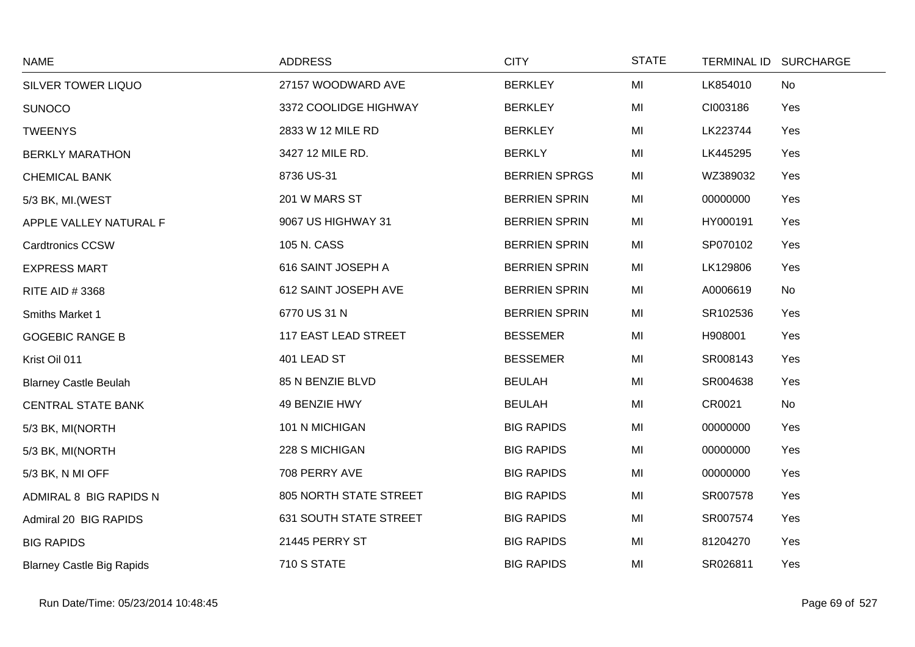| <b>NAME</b>                      | <b>ADDRESS</b>                | <b>CITY</b>          | <b>STATE</b> | TERMINAL ID SURCHARGE |     |
|----------------------------------|-------------------------------|----------------------|--------------|-----------------------|-----|
| SILVER TOWER LIQUO               | 27157 WOODWARD AVE            | <b>BERKLEY</b>       | MI           | LK854010              | No  |
| <b>SUNOCO</b>                    | 3372 COOLIDGE HIGHWAY         | <b>BERKLEY</b>       | MI           | CI003186              | Yes |
| <b>TWEENYS</b>                   | 2833 W 12 MILE RD             | <b>BERKLEY</b>       | MI           | LK223744              | Yes |
| <b>BERKLY MARATHON</b>           | 3427 12 MILE RD.              | <b>BERKLY</b>        | MI           | LK445295              | Yes |
| <b>CHEMICAL BANK</b>             | 8736 US-31                    | <b>BERRIEN SPRGS</b> | MI           | WZ389032              | Yes |
| 5/3 BK, MI. (WEST                | 201 W MARS ST                 | <b>BERRIEN SPRIN</b> | MI           | 00000000              | Yes |
| APPLE VALLEY NATURAL F           | 9067 US HIGHWAY 31            | <b>BERRIEN SPRIN</b> | MI           | HY000191              | Yes |
| <b>Cardtronics CCSW</b>          | 105 N. CASS                   | <b>BERRIEN SPRIN</b> | MI           | SP070102              | Yes |
| <b>EXPRESS MART</b>              | 616 SAINT JOSEPH A            | <b>BERRIEN SPRIN</b> | MI           | LK129806              | Yes |
| RITE AID #3368                   | 612 SAINT JOSEPH AVE          | <b>BERRIEN SPRIN</b> | MI           | A0006619              | No  |
| Smiths Market 1                  | 6770 US 31 N                  | <b>BERRIEN SPRIN</b> | MI           | SR102536              | Yes |
| <b>GOGEBIC RANGE B</b>           | <b>117 EAST LEAD STREET</b>   | <b>BESSEMER</b>      | MI           | H908001               | Yes |
| Krist Oil 011                    | 401 LEAD ST                   | <b>BESSEMER</b>      | MI           | SR008143              | Yes |
| <b>Blarney Castle Beulah</b>     | 85 N BENZIE BLVD              | <b>BEULAH</b>        | MI           | SR004638              | Yes |
| <b>CENTRAL STATE BANK</b>        | 49 BENZIE HWY                 | <b>BEULAH</b>        | MI           | CR0021                | No  |
| 5/3 BK, MI(NORTH                 | 101 N MICHIGAN                | <b>BIG RAPIDS</b>    | MI           | 00000000              | Yes |
| 5/3 BK, MI(NORTH                 | 228 S MICHIGAN                | <b>BIG RAPIDS</b>    | MI           | 00000000              | Yes |
| 5/3 BK, N MI OFF                 | 708 PERRY AVE                 | <b>BIG RAPIDS</b>    | MI           | 00000000              | Yes |
| ADMIRAL 8 BIG RAPIDS N           | 805 NORTH STATE STREET        | <b>BIG RAPIDS</b>    | MI           | SR007578              | Yes |
| Admiral 20 BIG RAPIDS            | <b>631 SOUTH STATE STREET</b> | <b>BIG RAPIDS</b>    | MI           | SR007574              | Yes |
| <b>BIG RAPIDS</b>                | 21445 PERRY ST                | <b>BIG RAPIDS</b>    | MI           | 81204270              | Yes |
| <b>Blarney Castle Big Rapids</b> | 710 S STATE                   | <b>BIG RAPIDS</b>    | MI           | SR026811              | Yes |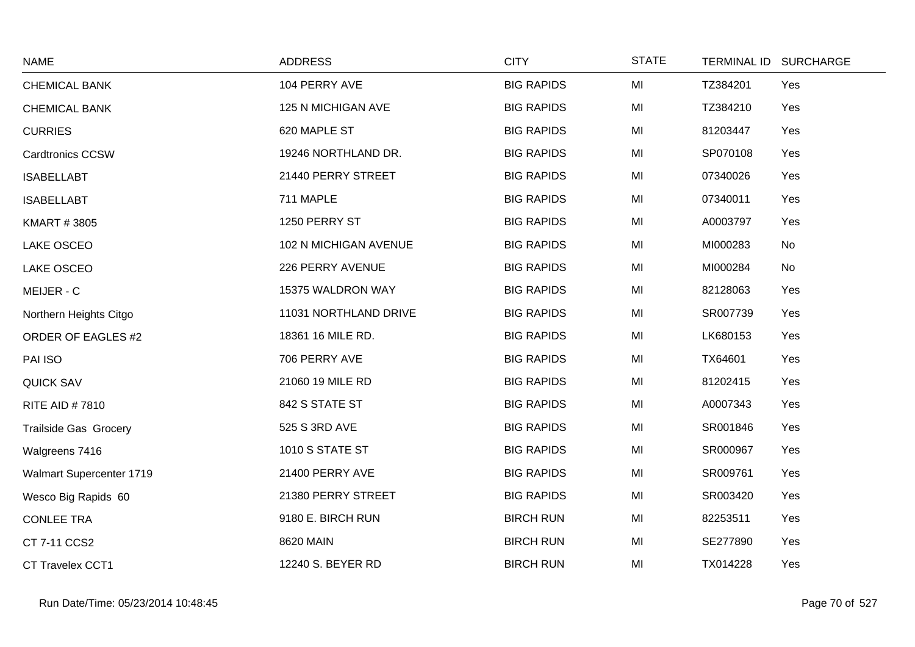| <b>NAME</b>                  | <b>ADDRESS</b>        | <b>CITY</b>       | <b>STATE</b>   | <b>TERMINAL ID</b> | <b>SURCHARGE</b> |
|------------------------------|-----------------------|-------------------|----------------|--------------------|------------------|
| <b>CHEMICAL BANK</b>         | 104 PERRY AVE         | <b>BIG RAPIDS</b> | MI             | TZ384201           | Yes              |
| <b>CHEMICAL BANK</b>         | 125 N MICHIGAN AVE    | <b>BIG RAPIDS</b> | MI             | TZ384210           | Yes              |
| <b>CURRIES</b>               | 620 MAPLE ST          | <b>BIG RAPIDS</b> | MI             | 81203447           | Yes              |
| <b>Cardtronics CCSW</b>      | 19246 NORTHLAND DR.   | <b>BIG RAPIDS</b> | MI             | SP070108           | Yes              |
| <b>ISABELLABT</b>            | 21440 PERRY STREET    | <b>BIG RAPIDS</b> | M <sub>l</sub> | 07340026           | Yes              |
| <b>ISABELLABT</b>            | 711 MAPLE             | <b>BIG RAPIDS</b> | MI             | 07340011           | Yes              |
| <b>KMART #3805</b>           | 1250 PERRY ST         | <b>BIG RAPIDS</b> | MI             | A0003797           | Yes              |
| LAKE OSCEO                   | 102 N MICHIGAN AVENUE | <b>BIG RAPIDS</b> | MI             | MI000283           | No               |
| <b>LAKE OSCEO</b>            | 226 PERRY AVENUE      | <b>BIG RAPIDS</b> | MI             | MI000284           | No               |
| MEIJER - C                   | 15375 WALDRON WAY     | <b>BIG RAPIDS</b> | MI             | 82128063           | Yes              |
| Northern Heights Citgo       | 11031 NORTHLAND DRIVE | <b>BIG RAPIDS</b> | MI             | SR007739           | Yes              |
| <b>ORDER OF EAGLES #2</b>    | 18361 16 MILE RD.     | <b>BIG RAPIDS</b> | MI             | LK680153           | Yes              |
| PAI ISO                      | 706 PERRY AVE         | <b>BIG RAPIDS</b> | MI             | TX64601            | Yes              |
| <b>QUICK SAV</b>             | 21060 19 MILE RD      | <b>BIG RAPIDS</b> | MI             | 81202415           | Yes              |
| <b>RITE AID #7810</b>        | 842 S STATE ST        | <b>BIG RAPIDS</b> | MI             | A0007343           | Yes              |
| <b>Trailside Gas Grocery</b> | 525 S 3RD AVE         | <b>BIG RAPIDS</b> | MI             | SR001846           | Yes              |
| Walgreens 7416               | 1010 S STATE ST       | <b>BIG RAPIDS</b> | MI             | SR000967           | Yes              |
| Walmart Supercenter 1719     | 21400 PERRY AVE       | <b>BIG RAPIDS</b> | MI             | SR009761           | Yes              |
| Wesco Big Rapids 60          | 21380 PERRY STREET    | <b>BIG RAPIDS</b> | MI             | SR003420           | Yes              |
| <b>CONLEE TRA</b>            | 9180 E. BIRCH RUN     | <b>BIRCH RUN</b>  | MI             | 82253511           | Yes              |
| CT 7-11 CCS2                 | 8620 MAIN             | <b>BIRCH RUN</b>  | MI             | SE277890           | Yes              |
| CT Travelex CCT1             | 12240 S. BEYER RD     | <b>BIRCH RUN</b>  | MI             | TX014228           | Yes              |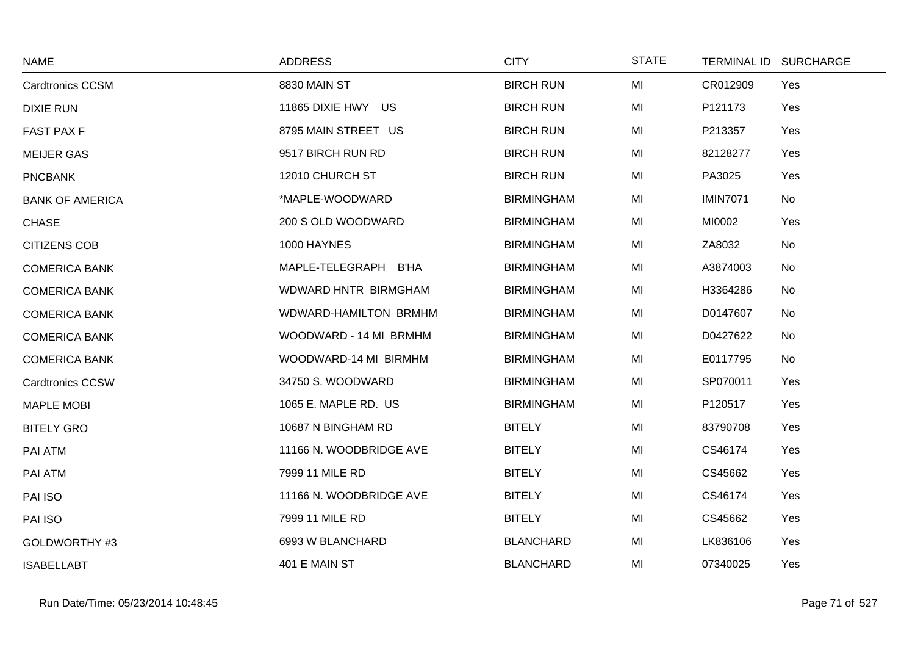| <b>NAME</b>             | <b>ADDRESS</b>          | <b>CITY</b>       | <b>STATE</b> |                 | TERMINAL ID SURCHARGE |
|-------------------------|-------------------------|-------------------|--------------|-----------------|-----------------------|
| <b>Cardtronics CCSM</b> | 8830 MAIN ST            | <b>BIRCH RUN</b>  | MI           | CR012909        | Yes                   |
| <b>DIXIE RUN</b>        | 11865 DIXIE HWY US      | <b>BIRCH RUN</b>  | MI           | P121173         | Yes                   |
| <b>FAST PAX F</b>       | 8795 MAIN STREET US     | <b>BIRCH RUN</b>  | MI           | P213357         | Yes                   |
| <b>MEIJER GAS</b>       | 9517 BIRCH RUN RD       | <b>BIRCH RUN</b>  | MI           | 82128277        | Yes                   |
| <b>PNCBANK</b>          | 12010 CHURCH ST         | <b>BIRCH RUN</b>  | MI           | PA3025          | Yes                   |
| <b>BANK OF AMERICA</b>  | *MAPLE-WOODWARD         | <b>BIRMINGHAM</b> | MI           | <b>IMIN7071</b> | No                    |
| <b>CHASE</b>            | 200 S OLD WOODWARD      | <b>BIRMINGHAM</b> | MI           | MI0002          | Yes                   |
| <b>CITIZENS COB</b>     | 1000 HAYNES             | <b>BIRMINGHAM</b> | MI           | ZA8032          | No                    |
| <b>COMERICA BANK</b>    | MAPLE-TELEGRAPH B'HA    | <b>BIRMINGHAM</b> | MI           | A3874003        | No                    |
| <b>COMERICA BANK</b>    | WDWARD HNTR BIRMGHAM    | <b>BIRMINGHAM</b> | MI           | H3364286        | No                    |
| <b>COMERICA BANK</b>    | WDWARD-HAMILTON BRMHM   | <b>BIRMINGHAM</b> | MI           | D0147607        | No                    |
| <b>COMERICA BANK</b>    | WOODWARD - 14 MI BRMHM  | <b>BIRMINGHAM</b> | MI           | D0427622        | No                    |
| <b>COMERICA BANK</b>    | WOODWARD-14 MI BIRMHM   | <b>BIRMINGHAM</b> | MI           | E0117795        | No                    |
| <b>Cardtronics CCSW</b> | 34750 S. WOODWARD       | <b>BIRMINGHAM</b> | MI           | SP070011        | Yes                   |
| <b>MAPLE MOBI</b>       | 1065 E. MAPLE RD. US    | <b>BIRMINGHAM</b> | MI           | P120517         | Yes                   |
| <b>BITELY GRO</b>       | 10687 N BINGHAM RD      | <b>BITELY</b>     | MI           | 83790708        | Yes                   |
| PAI ATM                 | 11166 N. WOODBRIDGE AVE | <b>BITELY</b>     | MI           | CS46174         | Yes                   |
| PAI ATM                 | 7999 11 MILE RD         | <b>BITELY</b>     | MI           | CS45662         | Yes                   |
| PAI ISO                 | 11166 N. WOODBRIDGE AVE | <b>BITELY</b>     | MI           | CS46174         | Yes                   |
| PAI ISO                 | 7999 11 MILE RD         | <b>BITELY</b>     | MI           | CS45662         | Yes                   |
| GOLDWORTHY #3           | 6993 W BLANCHARD        | <b>BLANCHARD</b>  | MI           | LK836106        | Yes                   |
| <b>ISABELLABT</b>       | 401 E MAIN ST           | <b>BLANCHARD</b>  | MI           | 07340025        | Yes                   |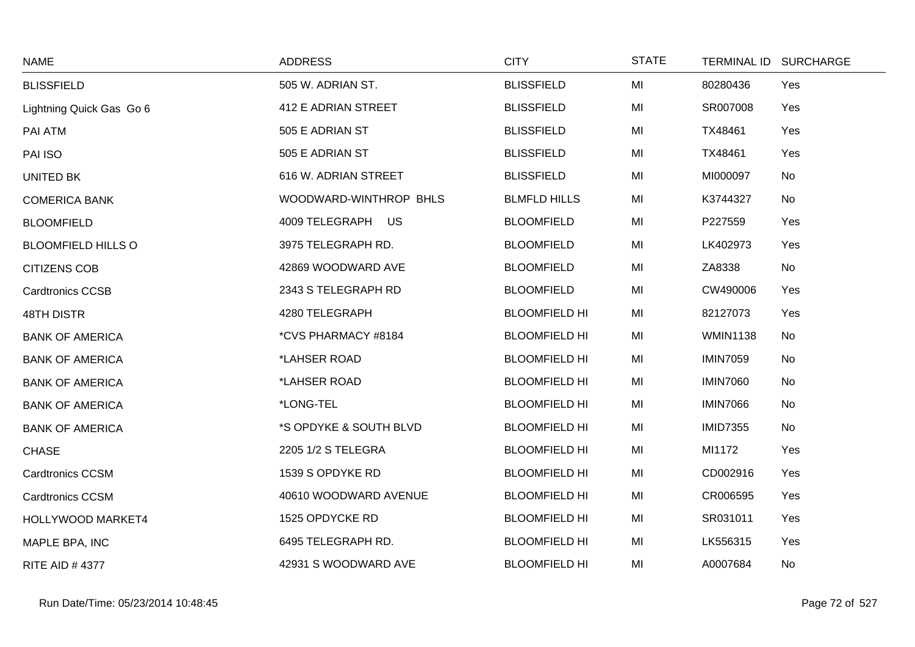| <b>NAME</b>               | <b>ADDRESS</b>         | <b>CITY</b>          | <b>STATE</b> |                 | TERMINAL ID SURCHARGE |
|---------------------------|------------------------|----------------------|--------------|-----------------|-----------------------|
| <b>BLISSFIELD</b>         | 505 W. ADRIAN ST.      | <b>BLISSFIELD</b>    | MI           | 80280436        | Yes                   |
| Lightning Quick Gas Go 6  | 412 E ADRIAN STREET    | <b>BLISSFIELD</b>    | MI           | SR007008        | Yes                   |
| PAI ATM                   | 505 E ADRIAN ST        | <b>BLISSFIELD</b>    | MI           | TX48461         | Yes                   |
| PAI ISO                   | 505 E ADRIAN ST        | <b>BLISSFIELD</b>    | MI           | TX48461         | Yes                   |
| <b>UNITED BK</b>          | 616 W. ADRIAN STREET   | <b>BLISSFIELD</b>    | MI           | MI000097        | No                    |
| <b>COMERICA BANK</b>      | WOODWARD-WINTHROP BHLS | <b>BLMFLD HILLS</b>  | MI           | K3744327        | No                    |
| <b>BLOOMFIELD</b>         | 4009 TELEGRAPH US      | <b>BLOOMFIELD</b>    | MI           | P227559         | Yes                   |
| <b>BLOOMFIELD HILLS O</b> | 3975 TELEGRAPH RD.     | <b>BLOOMFIELD</b>    | MI           | LK402973        | Yes                   |
| <b>CITIZENS COB</b>       | 42869 WOODWARD AVE     | <b>BLOOMFIELD</b>    | MI           | ZA8338          | No                    |
| <b>Cardtronics CCSB</b>   | 2343 S TELEGRAPH RD    | <b>BLOOMFIELD</b>    | MI           | CW490006        | Yes                   |
| <b>48TH DISTR</b>         | 4280 TELEGRAPH         | <b>BLOOMFIELD HI</b> | MI           | 82127073        | Yes                   |
| <b>BANK OF AMERICA</b>    | *CVS PHARMACY #8184    | <b>BLOOMFIELD HI</b> | MI           | <b>WMIN1138</b> | No                    |
| <b>BANK OF AMERICA</b>    | *LAHSER ROAD           | <b>BLOOMFIELD HI</b> | MI           | <b>IMIN7059</b> | No                    |
| <b>BANK OF AMERICA</b>    | *LAHSER ROAD           | <b>BLOOMFIELD HI</b> | MI           | <b>IMIN7060</b> | No                    |
| <b>BANK OF AMERICA</b>    | *LONG-TEL              | <b>BLOOMFIELD HI</b> | MI           | <b>IMIN7066</b> | No                    |
| <b>BANK OF AMERICA</b>    | *S OPDYKE & SOUTH BLVD | <b>BLOOMFIELD HI</b> | MI           | <b>IMID7355</b> | No                    |
| <b>CHASE</b>              | 2205 1/2 S TELEGRA     | <b>BLOOMFIELD HI</b> | MI           | MI1172          | Yes                   |
| <b>Cardtronics CCSM</b>   | 1539 S OPDYKE RD       | <b>BLOOMFIELD HI</b> | MI           | CD002916        | Yes                   |
| <b>Cardtronics CCSM</b>   | 40610 WOODWARD AVENUE  | <b>BLOOMFIELD HI</b> | MI           | CR006595        | Yes                   |
| HOLLYWOOD MARKET4         | 1525 OPDYCKE RD        | <b>BLOOMFIELD HI</b> | MI           | SR031011        | Yes                   |
| MAPLE BPA, INC            | 6495 TELEGRAPH RD.     | <b>BLOOMFIELD HI</b> | MI           | LK556315        | Yes                   |
| <b>RITE AID #4377</b>     | 42931 S WOODWARD AVE   | <b>BLOOMFIELD HI</b> | MI           | A0007684        | No                    |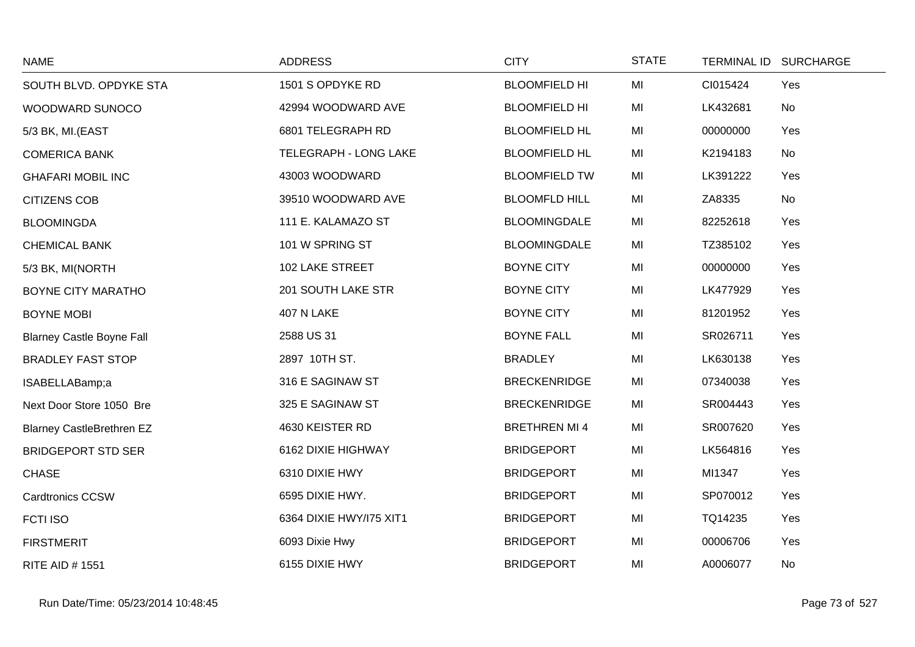| <b>NAME</b>                      | <b>ADDRESS</b>          | <b>CITY</b>          | <b>STATE</b> |          | TERMINAL ID SURCHARGE |
|----------------------------------|-------------------------|----------------------|--------------|----------|-----------------------|
| SOUTH BLVD. OPDYKE STA           | 1501 S OPDYKE RD        | <b>BLOOMFIELD HI</b> | MI           | CI015424 | Yes                   |
| WOODWARD SUNOCO                  | 42994 WOODWARD AVE      | <b>BLOOMFIELD HI</b> | MI           | LK432681 | No                    |
| 5/3 BK, MI.(EAST                 | 6801 TELEGRAPH RD       | <b>BLOOMFIELD HL</b> | MI           | 00000000 | Yes                   |
| <b>COMERICA BANK</b>             | TELEGRAPH - LONG LAKE   | <b>BLOOMFIELD HL</b> | MI           | K2194183 | No                    |
| <b>GHAFARI MOBIL INC</b>         | 43003 WOODWARD          | <b>BLOOMFIELD TW</b> | MI           | LK391222 | Yes                   |
| <b>CITIZENS COB</b>              | 39510 WOODWARD AVE      | <b>BLOOMFLD HILL</b> | MI           | ZA8335   | No                    |
| <b>BLOOMINGDA</b>                | 111 E. KALAMAZO ST      | <b>BLOOMINGDALE</b>  | MI           | 82252618 | Yes                   |
| <b>CHEMICAL BANK</b>             | 101 W SPRING ST         | <b>BLOOMINGDALE</b>  | MI           | TZ385102 | Yes                   |
| 5/3 BK, MI(NORTH                 | 102 LAKE STREET         | <b>BOYNE CITY</b>    | MI           | 00000000 | Yes                   |
| BOYNE CITY MARATHO               | 201 SOUTH LAKE STR      | <b>BOYNE CITY</b>    | MI           | LK477929 | Yes                   |
| <b>BOYNE MOBI</b>                | 407 N LAKE              | <b>BOYNE CITY</b>    | MI           | 81201952 | Yes                   |
| <b>Blarney Castle Boyne Fall</b> | 2588 US 31              | <b>BOYNE FALL</b>    | MI           | SR026711 | Yes                   |
| <b>BRADLEY FAST STOP</b>         | 2897 10TH ST.           | <b>BRADLEY</b>       | MI           | LK630138 | Yes                   |
| ISABELLABamp;a                   | 316 E SAGINAW ST        | <b>BRECKENRIDGE</b>  | MI           | 07340038 | Yes                   |
| Next Door Store 1050 Bre         | 325 E SAGINAW ST        | <b>BRECKENRIDGE</b>  | MI           | SR004443 | Yes                   |
| <b>Blarney CastleBrethren EZ</b> | 4630 KEISTER RD         | <b>BRETHREN MI4</b>  | MI           | SR007620 | Yes                   |
| <b>BRIDGEPORT STD SER</b>        | 6162 DIXIE HIGHWAY      | <b>BRIDGEPORT</b>    | MI           | LK564816 | Yes                   |
| <b>CHASE</b>                     | 6310 DIXIE HWY          | <b>BRIDGEPORT</b>    | MI           | MI1347   | Yes                   |
| <b>Cardtronics CCSW</b>          | 6595 DIXIE HWY.         | <b>BRIDGEPORT</b>    | MI           | SP070012 | Yes                   |
| <b>FCTI ISO</b>                  | 6364 DIXIE HWY/I75 XIT1 | <b>BRIDGEPORT</b>    | MI           | TQ14235  | Yes                   |
| <b>FIRSTMERIT</b>                | 6093 Dixie Hwy          | <b>BRIDGEPORT</b>    | MI           | 00006706 | Yes                   |
| <b>RITE AID # 1551</b>           | 6155 DIXIE HWY          | <b>BRIDGEPORT</b>    | MI           | A0006077 | No                    |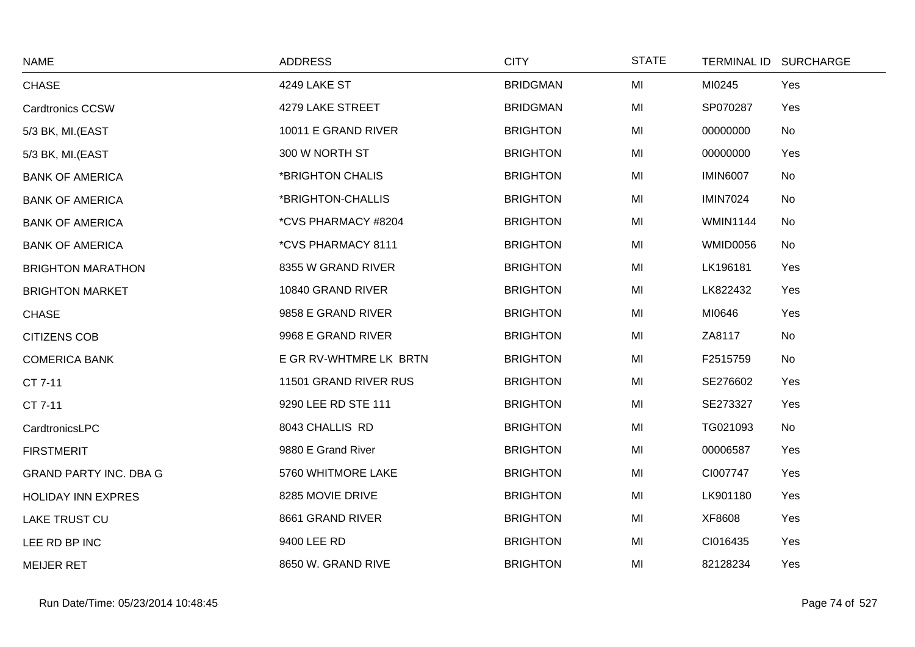| <b>NAME</b>                   | <b>ADDRESS</b>         | <b>CITY</b>     | <b>STATE</b> |                 | TERMINAL ID SURCHARGE |
|-------------------------------|------------------------|-----------------|--------------|-----------------|-----------------------|
| <b>CHASE</b>                  | 4249 LAKE ST           | <b>BRIDGMAN</b> | MI           | MI0245          | Yes                   |
| <b>Cardtronics CCSW</b>       | 4279 LAKE STREET       | <b>BRIDGMAN</b> | MI           | SP070287        | Yes                   |
| 5/3 BK, MI.(EAST              | 10011 E GRAND RIVER    | <b>BRIGHTON</b> | MI           | 00000000        | No                    |
| 5/3 BK, MI.(EAST              | 300 W NORTH ST         | <b>BRIGHTON</b> | MI           | 00000000        | Yes                   |
| <b>BANK OF AMERICA</b>        | *BRIGHTON CHALIS       | <b>BRIGHTON</b> | MI           | <b>IMIN6007</b> | No                    |
| <b>BANK OF AMERICA</b>        | *BRIGHTON-CHALLIS      | <b>BRIGHTON</b> | MI           | <b>IMIN7024</b> | No                    |
| <b>BANK OF AMERICA</b>        | *CVS PHARMACY #8204    | <b>BRIGHTON</b> | MI           | <b>WMIN1144</b> | No                    |
| <b>BANK OF AMERICA</b>        | *CVS PHARMACY 8111     | <b>BRIGHTON</b> | MI           | <b>WMID0056</b> | No                    |
| <b>BRIGHTON MARATHON</b>      | 8355 W GRAND RIVER     | <b>BRIGHTON</b> | MI           | LK196181        | Yes                   |
| <b>BRIGHTON MARKET</b>        | 10840 GRAND RIVER      | <b>BRIGHTON</b> | MI           | LK822432        | Yes                   |
| <b>CHASE</b>                  | 9858 E GRAND RIVER     | <b>BRIGHTON</b> | MI           | MI0646          | Yes                   |
| <b>CITIZENS COB</b>           | 9968 E GRAND RIVER     | <b>BRIGHTON</b> | MI           | ZA8117          | No                    |
| <b>COMERICA BANK</b>          | E GR RV-WHTMRE LK BRTN | <b>BRIGHTON</b> | MI           | F2515759        | No                    |
| CT 7-11                       | 11501 GRAND RIVER RUS  | <b>BRIGHTON</b> | MI           | SE276602        | Yes                   |
| CT 7-11                       | 9290 LEE RD STE 111    | <b>BRIGHTON</b> | MI           | SE273327        | Yes                   |
| CardtronicsLPC                | 8043 CHALLIS RD        | <b>BRIGHTON</b> | MI           | TG021093        | No                    |
| <b>FIRSTMERIT</b>             | 9880 E Grand River     | <b>BRIGHTON</b> | MI           | 00006587        | Yes                   |
| <b>GRAND PARTY INC. DBA G</b> | 5760 WHITMORE LAKE     | <b>BRIGHTON</b> | MI           | CI007747        | Yes                   |
| <b>HOLIDAY INN EXPRES</b>     | 8285 MOVIE DRIVE       | <b>BRIGHTON</b> | MI           | LK901180        | Yes                   |
| <b>LAKE TRUST CU</b>          | 8661 GRAND RIVER       | <b>BRIGHTON</b> | MI           | XF8608          | Yes                   |
| LEE RD BP INC                 | 9400 LEE RD            | <b>BRIGHTON</b> | MI           | CI016435        | Yes                   |
| <b>MEIJER RET</b>             | 8650 W. GRAND RIVE     | <b>BRIGHTON</b> | MI           | 82128234        | Yes                   |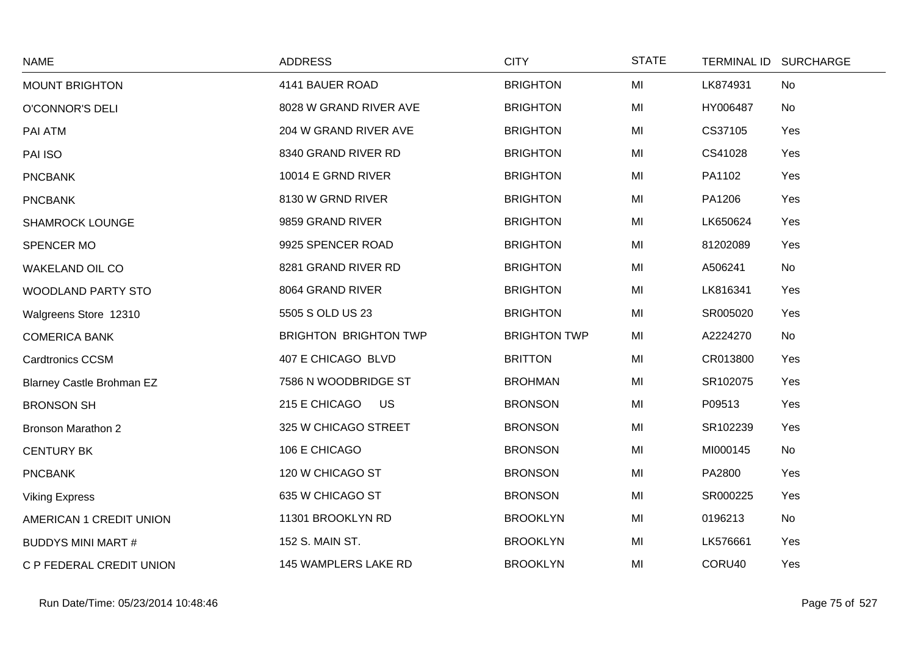| <b>NAME</b>                      | <b>ADDRESS</b>               | <b>CITY</b>         | <b>STATE</b> |          | TERMINAL ID SURCHARGE |
|----------------------------------|------------------------------|---------------------|--------------|----------|-----------------------|
| <b>MOUNT BRIGHTON</b>            | 4141 BAUER ROAD              | <b>BRIGHTON</b>     | MI           | LK874931 | No                    |
| <b>O'CONNOR'S DELI</b>           | 8028 W GRAND RIVER AVE       | <b>BRIGHTON</b>     | MI           | HY006487 | No                    |
| PAI ATM                          | 204 W GRAND RIVER AVE        | <b>BRIGHTON</b>     | MI           | CS37105  | Yes                   |
| PAI ISO                          | 8340 GRAND RIVER RD          | <b>BRIGHTON</b>     | MI           | CS41028  | Yes                   |
| <b>PNCBANK</b>                   | 10014 E GRND RIVER           | <b>BRIGHTON</b>     | MI           | PA1102   | Yes                   |
| <b>PNCBANK</b>                   | 8130 W GRND RIVER            | <b>BRIGHTON</b>     | MI           | PA1206   | Yes                   |
| <b>SHAMROCK LOUNGE</b>           | 9859 GRAND RIVER             | <b>BRIGHTON</b>     | MI           | LK650624 | Yes                   |
| SPENCER MO                       | 9925 SPENCER ROAD            | <b>BRIGHTON</b>     | MI           | 81202089 | Yes                   |
| WAKELAND OIL CO                  | 8281 GRAND RIVER RD          | <b>BRIGHTON</b>     | MI           | A506241  | No                    |
| <b>WOODLAND PARTY STO</b>        | 8064 GRAND RIVER             | <b>BRIGHTON</b>     | MI           | LK816341 | Yes                   |
| Walgreens Store 12310            | 5505 S OLD US 23             | <b>BRIGHTON</b>     | MI           | SR005020 | Yes                   |
| <b>COMERICA BANK</b>             | <b>BRIGHTON BRIGHTON TWP</b> | <b>BRIGHTON TWP</b> | MI           | A2224270 | No                    |
| <b>Cardtronics CCSM</b>          | 407 E CHICAGO BLVD           | <b>BRITTON</b>      | MI           | CR013800 | Yes                   |
| <b>Blarney Castle Brohman EZ</b> | 7586 N WOODBRIDGE ST         | <b>BROHMAN</b>      | MI           | SR102075 | Yes                   |
| <b>BRONSON SH</b>                | 215 E CHICAGO<br><b>US</b>   | <b>BRONSON</b>      | MI           | P09513   | Yes                   |
| <b>Bronson Marathon 2</b>        | 325 W CHICAGO STREET         | <b>BRONSON</b>      | MI           | SR102239 | Yes                   |
| <b>CENTURY BK</b>                | 106 E CHICAGO                | <b>BRONSON</b>      | MI           | MI000145 | No                    |
| <b>PNCBANK</b>                   | 120 W CHICAGO ST             | <b>BRONSON</b>      | MI           | PA2800   | Yes                   |
| <b>Viking Express</b>            | 635 W CHICAGO ST             | <b>BRONSON</b>      | MI           | SR000225 | Yes                   |
| AMERICAN 1 CREDIT UNION          | 11301 BROOKLYN RD            | <b>BROOKLYN</b>     | MI           | 0196213  | No                    |
| <b>BUDDYS MINI MART #</b>        | 152 S. MAIN ST.              | <b>BROOKLYN</b>     | MI           | LK576661 | Yes                   |
| C P FEDERAL CREDIT UNION         | 145 WAMPLERS LAKE RD         | <b>BROOKLYN</b>     | MI           | CORU40   | Yes                   |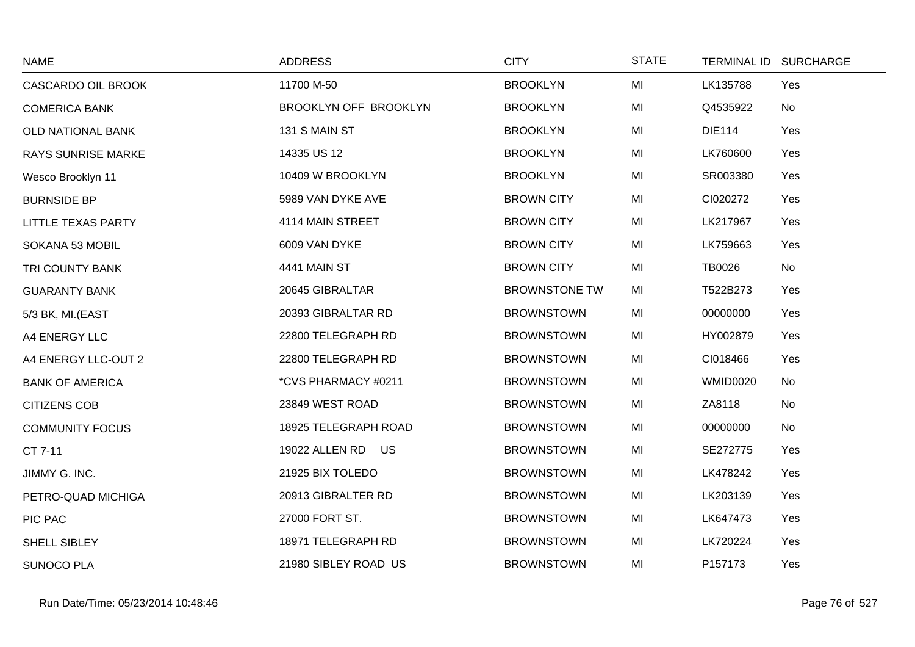| <b>NAME</b>               | <b>ADDRESS</b>        | <b>CITY</b>          | <b>STATE</b> |                 | TERMINAL ID SURCHARGE |
|---------------------------|-----------------------|----------------------|--------------|-----------------|-----------------------|
| CASCARDO OIL BROOK        | 11700 M-50            | <b>BROOKLYN</b>      | MI           | LK135788        | Yes                   |
| <b>COMERICA BANK</b>      | BROOKLYN OFF BROOKLYN | <b>BROOKLYN</b>      | MI           | Q4535922        | No                    |
| OLD NATIONAL BANK         | 131 S MAIN ST         | <b>BROOKLYN</b>      | MI           | <b>DIE114</b>   | Yes                   |
| <b>RAYS SUNRISE MARKE</b> | 14335 US 12           | <b>BROOKLYN</b>      | MI           | LK760600        | Yes                   |
| Wesco Brooklyn 11         | 10409 W BROOKLYN      | <b>BROOKLYN</b>      | MI           | SR003380        | Yes                   |
| <b>BURNSIDE BP</b>        | 5989 VAN DYKE AVE     | <b>BROWN CITY</b>    | MI           | CI020272        | Yes                   |
| LITTLE TEXAS PARTY        | 4114 MAIN STREET      | <b>BROWN CITY</b>    | MI           | LK217967        | Yes                   |
| SOKANA 53 MOBIL           | 6009 VAN DYKE         | <b>BROWN CITY</b>    | MI           | LK759663        | Yes                   |
| TRI COUNTY BANK           | <b>4441 MAIN ST</b>   | <b>BROWN CITY</b>    | MI           | <b>TB0026</b>   | No                    |
| <b>GUARANTY BANK</b>      | 20645 GIBRALTAR       | <b>BROWNSTONE TW</b> | MI           | T522B273        | Yes                   |
| 5/3 BK, MI.(EAST          | 20393 GIBRALTAR RD    | <b>BROWNSTOWN</b>    | MI           | 00000000        | Yes                   |
| A4 ENERGY LLC             | 22800 TELEGRAPH RD    | <b>BROWNSTOWN</b>    | MI           | HY002879        | Yes                   |
| A4 ENERGY LLC-OUT 2       | 22800 TELEGRAPH RD    | <b>BROWNSTOWN</b>    | MI           | CI018466        | Yes                   |
| <b>BANK OF AMERICA</b>    | *CVS PHARMACY #0211   | <b>BROWNSTOWN</b>    | MI           | <b>WMID0020</b> | No                    |
| <b>CITIZENS COB</b>       | 23849 WEST ROAD       | <b>BROWNSTOWN</b>    | MI           | ZA8118          | No                    |
| <b>COMMUNITY FOCUS</b>    | 18925 TELEGRAPH ROAD  | <b>BROWNSTOWN</b>    | MI           | 00000000        | No                    |
| CT 7-11                   | 19022 ALLEN RD US     | <b>BROWNSTOWN</b>    | MI           | SE272775        | Yes                   |
| JIMMY G. INC.             | 21925 BIX TOLEDO      | <b>BROWNSTOWN</b>    | MI           | LK478242        | Yes                   |
| PETRO-QUAD MICHIGA        | 20913 GIBRALTER RD    | <b>BROWNSTOWN</b>    | MI           | LK203139        | Yes                   |
| PIC PAC                   | 27000 FORT ST.        | <b>BROWNSTOWN</b>    | MI           | LK647473        | Yes                   |
| SHELL SIBLEY              | 18971 TELEGRAPH RD    | <b>BROWNSTOWN</b>    | MI           | LK720224        | Yes                   |
| <b>SUNOCO PLA</b>         | 21980 SIBLEY ROAD US  | <b>BROWNSTOWN</b>    | MI           | P157173         | Yes                   |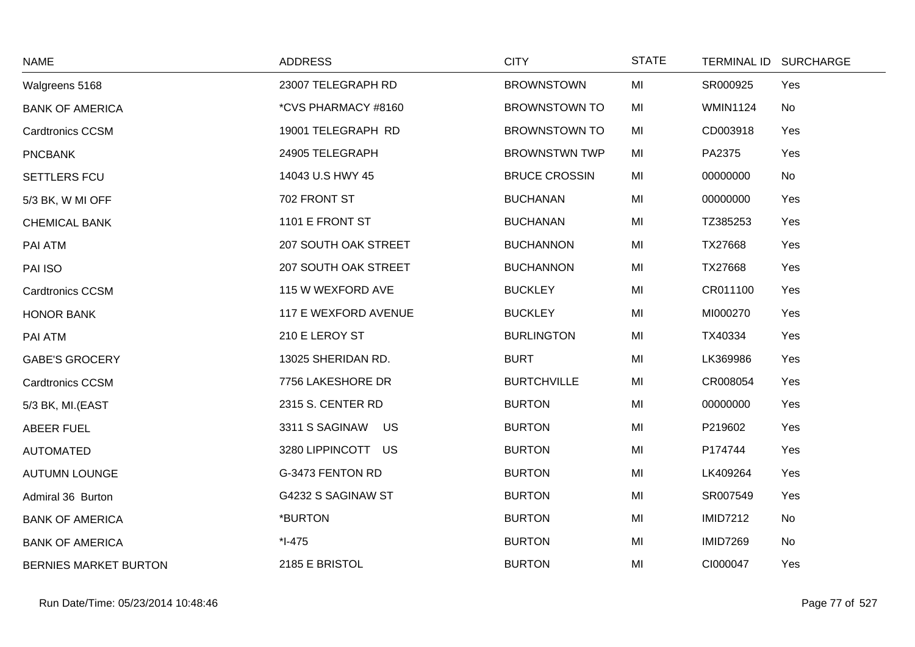| <b>NAME</b>                  | <b>ADDRESS</b>       | <b>CITY</b>          | <b>STATE</b> | <b>TERMINAL ID</b> | <b>SURCHARGE</b> |
|------------------------------|----------------------|----------------------|--------------|--------------------|------------------|
| Walgreens 5168               | 23007 TELEGRAPH RD   | <b>BROWNSTOWN</b>    | MI           | SR000925           | Yes              |
| <b>BANK OF AMERICA</b>       | *CVS PHARMACY #8160  | <b>BROWNSTOWN TO</b> | MI           | <b>WMIN1124</b>    | No               |
| <b>Cardtronics CCSM</b>      | 19001 TELEGRAPH RD   | <b>BROWNSTOWN TO</b> | MI           | CD003918           | Yes              |
| <b>PNCBANK</b>               | 24905 TELEGRAPH      | <b>BROWNSTWN TWP</b> | MI           | PA2375             | Yes              |
| SETTLERS FCU                 | 14043 U.S HWY 45     | <b>BRUCE CROSSIN</b> | MI           | 00000000           | No               |
| 5/3 BK, W MI OFF             | 702 FRONT ST         | <b>BUCHANAN</b>      | MI           | 00000000           | Yes              |
| <b>CHEMICAL BANK</b>         | 1101 E FRONT ST      | <b>BUCHANAN</b>      | MI           | TZ385253           | Yes              |
| PAI ATM                      | 207 SOUTH OAK STREET | <b>BUCHANNON</b>     | MI           | TX27668            | Yes              |
| PAI ISO                      | 207 SOUTH OAK STREET | <b>BUCHANNON</b>     | MI           | TX27668            | Yes              |
| <b>Cardtronics CCSM</b>      | 115 W WEXFORD AVE    | <b>BUCKLEY</b>       | MI           | CR011100           | Yes              |
| HONOR BANK                   | 117 E WEXFORD AVENUE | <b>BUCKLEY</b>       | MI           | MI000270           | Yes              |
| PAI ATM                      | 210 E LEROY ST       | <b>BURLINGTON</b>    | MI           | TX40334            | Yes              |
| <b>GABE'S GROCERY</b>        | 13025 SHERIDAN RD.   | <b>BURT</b>          | MI           | LK369986           | Yes              |
| <b>Cardtronics CCSM</b>      | 7756 LAKESHORE DR    | <b>BURTCHVILLE</b>   | MI           | CR008054           | Yes              |
| 5/3 BK, MI.(EAST             | 2315 S. CENTER RD    | <b>BURTON</b>        | MI           | 00000000           | Yes              |
| <b>ABEER FUEL</b>            | 3311 S SAGINAW<br>US | <b>BURTON</b>        | MI           | P219602            | Yes              |
| <b>AUTOMATED</b>             | 3280 LIPPINCOTT US   | <b>BURTON</b>        | MI           | P174744            | Yes              |
| <b>AUTUMN LOUNGE</b>         | G-3473 FENTON RD     | <b>BURTON</b>        | MI           | LK409264           | Yes              |
| Admiral 36 Burton            | G4232 S SAGINAW ST   | <b>BURTON</b>        | MI           | SR007549           | Yes              |
| <b>BANK OF AMERICA</b>       | *BURTON              | <b>BURTON</b>        | MI           | <b>IMID7212</b>    | No               |
| <b>BANK OF AMERICA</b>       | $*I-475$             | <b>BURTON</b>        | MI           | <b>IMID7269</b>    | No               |
| <b>BERNIES MARKET BURTON</b> | 2185 E BRISTOL       | <b>BURTON</b>        | MI           | CI000047           | Yes              |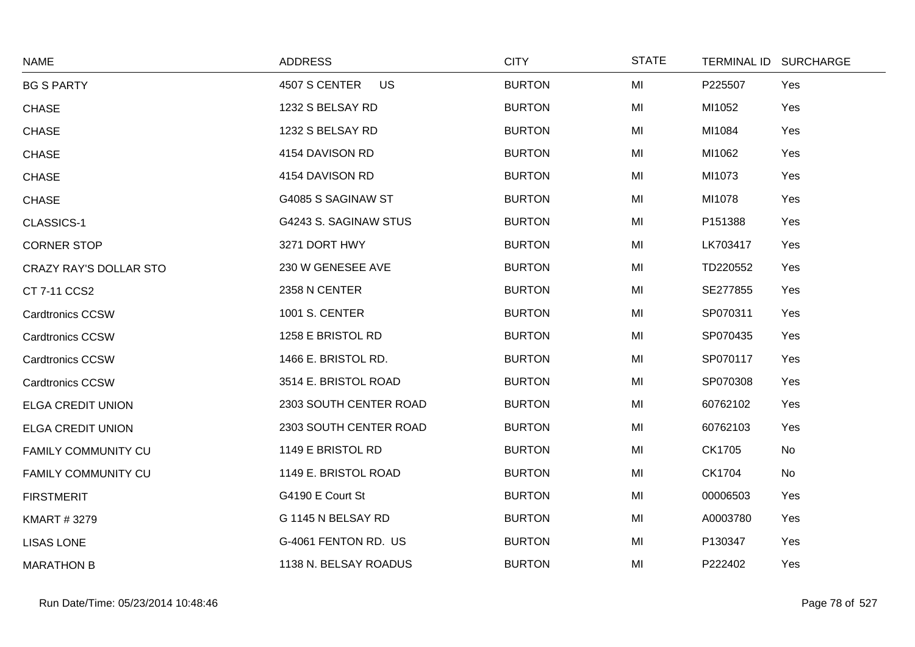| <b>NAME</b>                   | <b>ADDRESS</b>             | <b>CITY</b>   | <b>STATE</b> |          | TERMINAL ID SURCHARGE |
|-------------------------------|----------------------------|---------------|--------------|----------|-----------------------|
| <b>BG S PARTY</b>             | 4507 S CENTER<br><b>US</b> | <b>BURTON</b> | MI           | P225507  | Yes                   |
| <b>CHASE</b>                  | 1232 S BELSAY RD           | <b>BURTON</b> | MI           | MI1052   | Yes                   |
| <b>CHASE</b>                  | 1232 S BELSAY RD           | <b>BURTON</b> | MI           | MI1084   | Yes                   |
| <b>CHASE</b>                  | 4154 DAVISON RD            | <b>BURTON</b> | MI           | MI1062   | Yes                   |
| <b>CHASE</b>                  | 4154 DAVISON RD            | <b>BURTON</b> | MI           | MI1073   | Yes                   |
| <b>CHASE</b>                  | G4085 S SAGINAW ST         | <b>BURTON</b> | MI           | MI1078   | Yes                   |
| CLASSICS-1                    | G4243 S. SAGINAW STUS      | <b>BURTON</b> | MI           | P151388  | Yes                   |
| <b>CORNER STOP</b>            | 3271 DORT HWY              | <b>BURTON</b> | MI           | LK703417 | Yes                   |
| <b>CRAZY RAY'S DOLLAR STO</b> | 230 W GENESEE AVE          | <b>BURTON</b> | MI           | TD220552 | Yes                   |
| CT 7-11 CCS2                  | 2358 N CENTER              | <b>BURTON</b> | MI           | SE277855 | Yes                   |
| <b>Cardtronics CCSW</b>       | 1001 S. CENTER             | <b>BURTON</b> | MI           | SP070311 | Yes                   |
| <b>Cardtronics CCSW</b>       | 1258 E BRISTOL RD          | <b>BURTON</b> | MI           | SP070435 | Yes                   |
| <b>Cardtronics CCSW</b>       | 1466 E. BRISTOL RD.        | <b>BURTON</b> | MI           | SP070117 | Yes                   |
| <b>Cardtronics CCSW</b>       | 3514 E. BRISTOL ROAD       | <b>BURTON</b> | MI           | SP070308 | Yes                   |
| <b>ELGA CREDIT UNION</b>      | 2303 SOUTH CENTER ROAD     | <b>BURTON</b> | MI           | 60762102 | Yes                   |
| <b>ELGA CREDIT UNION</b>      | 2303 SOUTH CENTER ROAD     | <b>BURTON</b> | MI           | 60762103 | Yes                   |
| FAMILY COMMUNITY CU           | 1149 E BRISTOL RD          | <b>BURTON</b> | MI           | CK1705   | No                    |
| <b>FAMILY COMMUNITY CU</b>    | 1149 E. BRISTOL ROAD       | <b>BURTON</b> | MI           | CK1704   | <b>No</b>             |
| <b>FIRSTMERIT</b>             | G4190 E Court St           | <b>BURTON</b> | MI           | 00006503 | Yes                   |
| <b>KMART #3279</b>            | G 1145 N BELSAY RD         | <b>BURTON</b> | MI           | A0003780 | Yes                   |
| <b>LISAS LONE</b>             | G-4061 FENTON RD. US       | <b>BURTON</b> | MI           | P130347  | Yes                   |
| <b>MARATHON B</b>             | 1138 N. BELSAY ROADUS      | <b>BURTON</b> | MI           | P222402  | Yes                   |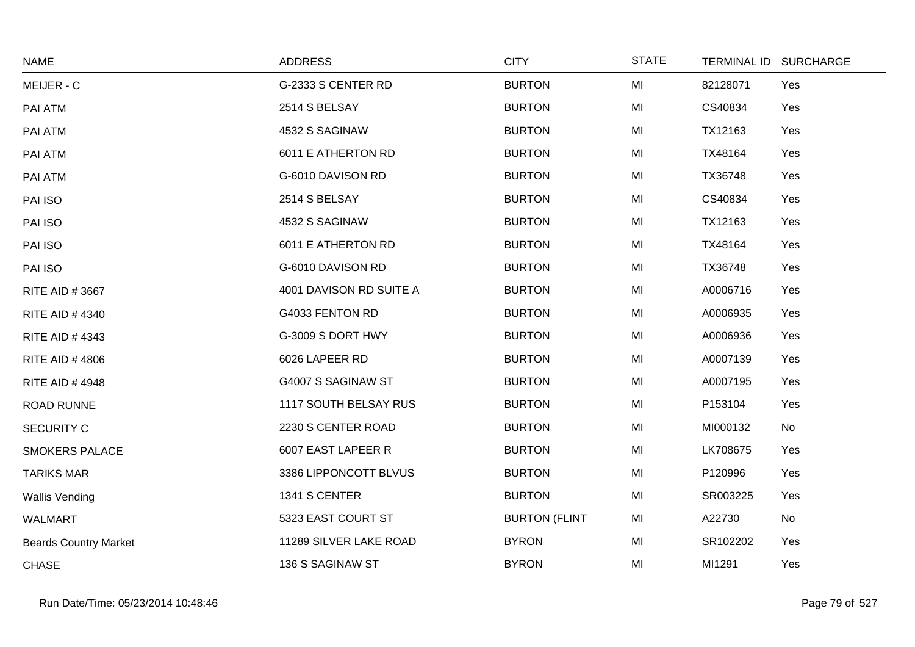| <b>NAME</b>                  | <b>ADDRESS</b>          | <b>CITY</b>          | <b>STATE</b> | TERMINAL ID SURCHARGE |     |
|------------------------------|-------------------------|----------------------|--------------|-----------------------|-----|
| MEIJER - C                   | G-2333 S CENTER RD      | <b>BURTON</b>        | MI           | 82128071              | Yes |
| PAI ATM                      | 2514 S BELSAY           | <b>BURTON</b>        | MI           | CS40834               | Yes |
| PAI ATM                      | 4532 S SAGINAW          | <b>BURTON</b>        | MI           | TX12163               | Yes |
| PAI ATM                      | 6011 E ATHERTON RD      | <b>BURTON</b>        | MI           | TX48164               | Yes |
| PAI ATM                      | G-6010 DAVISON RD       | <b>BURTON</b>        | MI           | TX36748               | Yes |
| PAI ISO                      | 2514 S BELSAY           | <b>BURTON</b>        | MI           | CS40834               | Yes |
| PAI ISO                      | 4532 S SAGINAW          | <b>BURTON</b>        | MI           | TX12163               | Yes |
| PAI ISO                      | 6011 E ATHERTON RD      | <b>BURTON</b>        | MI           | TX48164               | Yes |
| PAI ISO                      | G-6010 DAVISON RD       | <b>BURTON</b>        | MI           | TX36748               | Yes |
| RITE AID #3667               | 4001 DAVISON RD SUITE A | <b>BURTON</b>        | MI           | A0006716              | Yes |
| RITE AID #4340               | G4033 FENTON RD         | <b>BURTON</b>        | MI           | A0006935              | Yes |
| RITE AID #4343               | G-3009 S DORT HWY       | <b>BURTON</b>        | MI           | A0006936              | Yes |
| <b>RITE AID #4806</b>        | 6026 LAPEER RD          | <b>BURTON</b>        | MI           | A0007139              | Yes |
| <b>RITE AID #4948</b>        | G4007 S SAGINAW ST      | <b>BURTON</b>        | MI           | A0007195              | Yes |
| ROAD RUNNE                   | 1117 SOUTH BELSAY RUS   | <b>BURTON</b>        | MI           | P153104               | Yes |
| <b>SECURITY C</b>            | 2230 S CENTER ROAD      | <b>BURTON</b>        | MI           | MI000132              | No  |
| <b>SMOKERS PALACE</b>        | 6007 EAST LAPEER R      | <b>BURTON</b>        | MI           | LK708675              | Yes |
| <b>TARIKS MAR</b>            | 3386 LIPPONCOTT BLVUS   | <b>BURTON</b>        | MI           | P120996               | Yes |
| <b>Wallis Vending</b>        | 1341 S CENTER           | <b>BURTON</b>        | MI           | SR003225              | Yes |
| <b>WALMART</b>               | 5323 EAST COURT ST      | <b>BURTON (FLINT</b> | MI           | A22730                | No  |
| <b>Beards Country Market</b> | 11289 SILVER LAKE ROAD  | <b>BYRON</b>         | MI           | SR102202              | Yes |
| <b>CHASE</b>                 | 136 S SAGINAW ST        | <b>BYRON</b>         | MI           | MI1291                | Yes |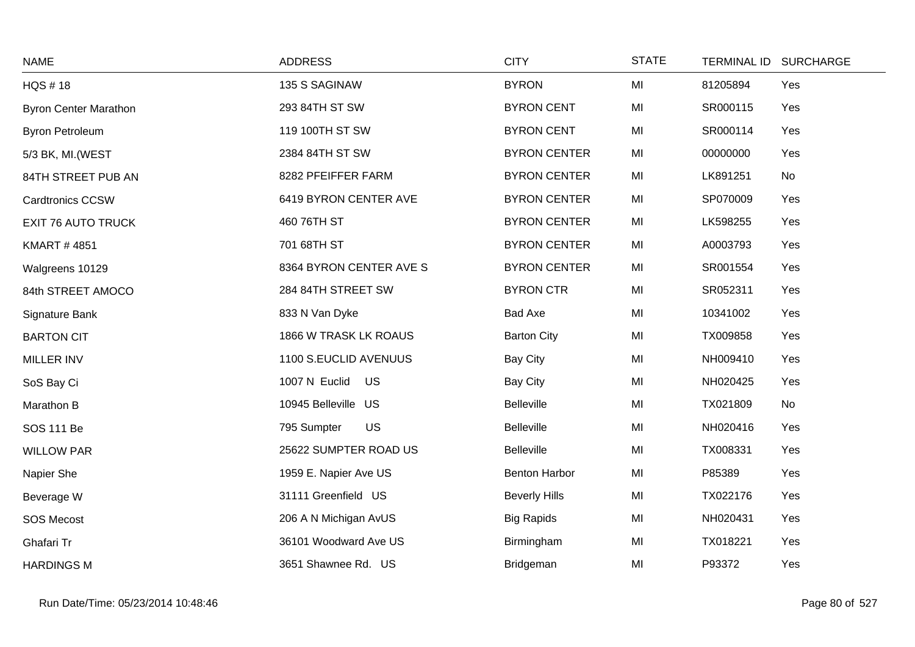| <b>NAME</b>                  | <b>ADDRESS</b>          | <b>CITY</b>          | <b>STATE</b> | TERMINAL ID SURCHARGE |
|------------------------------|-------------------------|----------------------|--------------|-----------------------|
| <b>HQS #18</b>               | 135 S SAGINAW           | <b>BYRON</b>         | MI           | Yes<br>81205894       |
| <b>Byron Center Marathon</b> | 293 84TH ST SW          | <b>BYRON CENT</b>    | MI           | SR000115<br>Yes       |
| <b>Byron Petroleum</b>       | 119 100TH ST SW         | <b>BYRON CENT</b>    | MI           | SR000114<br>Yes       |
| 5/3 BK, MI. (WEST            | 2384 84TH ST SW         | <b>BYRON CENTER</b>  | MI           | Yes<br>00000000       |
| 84TH STREET PUB AN           | 8282 PFEIFFER FARM      | <b>BYRON CENTER</b>  | MI           | LK891251<br>No        |
| <b>Cardtronics CCSW</b>      | 6419 BYRON CENTER AVE   | <b>BYRON CENTER</b>  | MI           | SP070009<br>Yes       |
| <b>EXIT 76 AUTO TRUCK</b>    | 460 76TH ST             | <b>BYRON CENTER</b>  | MI           | Yes<br>LK598255       |
| <b>KMART #4851</b>           | 701 68TH ST             | <b>BYRON CENTER</b>  | MI           | A0003793<br>Yes       |
| Walgreens 10129              | 8364 BYRON CENTER AVE S | <b>BYRON CENTER</b>  | MI           | SR001554<br>Yes       |
| 84th STREET AMOCO            | 284 84TH STREET SW      | <b>BYRON CTR</b>     | MI           | SR052311<br>Yes       |
| Signature Bank               | 833 N Van Dyke          | Bad Axe              | MI           | Yes<br>10341002       |
| <b>BARTON CIT</b>            | 1866 W TRASK LK ROAUS   | <b>Barton City</b>   | MI           | TX009858<br>Yes       |
| MILLER INV                   | 1100 S.EUCLID AVENUUS   | <b>Bay City</b>      | MI           | NH009410<br>Yes       |
| SoS Bay Ci                   | 1007 N Euclid US        | <b>Bay City</b>      | MI           | NH020425<br>Yes       |
| Marathon B                   | 10945 Belleville US     | Belleville           | MI           | TX021809<br>No        |
| SOS 111 Be                   | US<br>795 Sumpter       | <b>Belleville</b>    | MI           | NH020416<br>Yes       |
| <b>WILLOW PAR</b>            | 25622 SUMPTER ROAD US   | <b>Belleville</b>    | MI           | TX008331<br>Yes       |
| Napier She                   | 1959 E. Napier Ave US   | <b>Benton Harbor</b> | MI           | Yes<br>P85389         |
| Beverage W                   | 31111 Greenfield US     | <b>Beverly Hills</b> | MI           | TX022176<br>Yes       |
| <b>SOS Mecost</b>            | 206 A N Michigan AvUS   | <b>Big Rapids</b>    | MI           | NH020431<br>Yes       |
| Ghafari Tr                   | 36101 Woodward Ave US   | Birmingham           | MI           | TX018221<br>Yes       |
| <b>HARDINGS M</b>            | 3651 Shawnee Rd. US     | Bridgeman            | MI           | P93372<br>Yes         |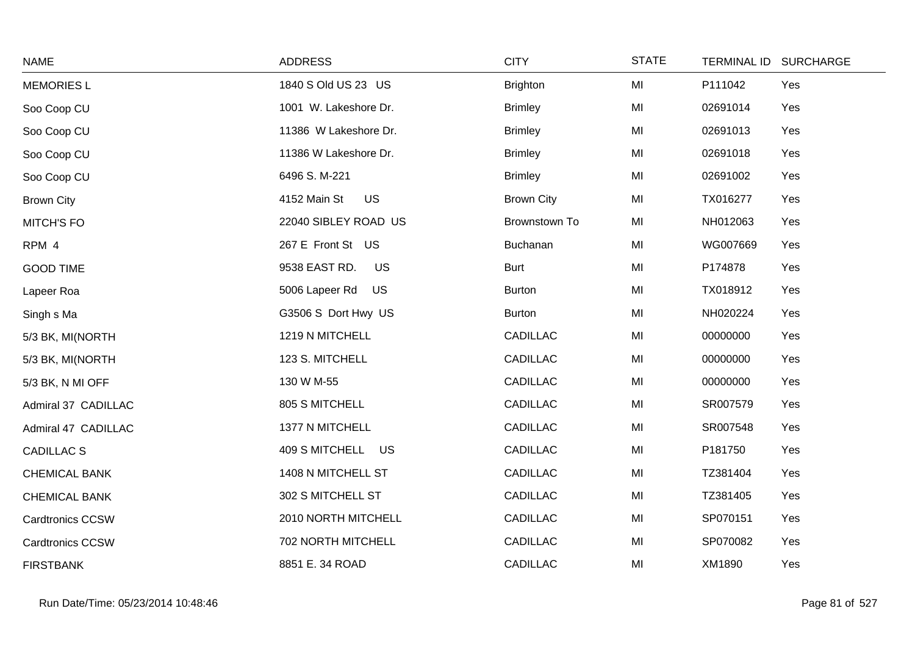| <b>NAME</b>             | <b>ADDRESS</b>              | <b>CITY</b>       | <b>STATE</b> |          | TERMINAL ID SURCHARGE |
|-------------------------|-----------------------------|-------------------|--------------|----------|-----------------------|
| <b>MEMORIES L</b>       | 1840 S Old US 23 US         | <b>Brighton</b>   | MI           | P111042  | Yes                   |
| Soo Coop CU             | 1001 W. Lakeshore Dr.       | <b>Brimley</b>    | MI           | 02691014 | Yes                   |
| Soo Coop CU             | 11386 W Lakeshore Dr.       | <b>Brimley</b>    | MI           | 02691013 | Yes                   |
| Soo Coop CU             | 11386 W Lakeshore Dr.       | <b>Brimley</b>    | MI           | 02691018 | Yes                   |
| Soo Coop CU             | 6496 S.M-221                | <b>Brimley</b>    | MI           | 02691002 | Yes                   |
| <b>Brown City</b>       | <b>US</b><br>4152 Main St   | <b>Brown City</b> | MI           | TX016277 | Yes                   |
| <b>MITCH'S FO</b>       | 22040 SIBLEY ROAD US        | Brownstown To     | MI           | NH012063 | Yes                   |
| RPM 4                   | 267 E Front St US           | Buchanan          | MI           | WG007669 | Yes                   |
| <b>GOOD TIME</b>        | 9538 EAST RD.<br><b>US</b>  | <b>Burt</b>       | MI           | P174878  | Yes                   |
| Lapeer Roa              | 5006 Lapeer Rd<br><b>US</b> | <b>Burton</b>     | MI           | TX018912 | Yes                   |
| Singh s Ma              | G3506 S Dort Hwy US         | <b>Burton</b>     | MI           | NH020224 | Yes                   |
| 5/3 BK, MI(NORTH        | 1219 N MITCHELL             | <b>CADILLAC</b>   | MI           | 00000000 | Yes                   |
| 5/3 BK, MI(NORTH        | 123 S. MITCHELL             | <b>CADILLAC</b>   | MI           | 00000000 | Yes                   |
| 5/3 BK, N MI OFF        | 130 W M-55                  | <b>CADILLAC</b>   | MI           | 00000000 | Yes                   |
| Admiral 37 CADILLAC     | 805 S MITCHELL              | <b>CADILLAC</b>   | MI           | SR007579 | Yes                   |
| Admiral 47 CADILLAC     | 1377 N MITCHELL             | <b>CADILLAC</b>   | MI           | SR007548 | Yes                   |
| <b>CADILLAC S</b>       | 409 S MITCHELL US           | <b>CADILLAC</b>   | MI           | P181750  | Yes                   |
| <b>CHEMICAL BANK</b>    | 1408 N MITCHELL ST          | <b>CADILLAC</b>   | MI           | TZ381404 | Yes                   |
| <b>CHEMICAL BANK</b>    | 302 S MITCHELL ST           | <b>CADILLAC</b>   | MI           | TZ381405 | Yes                   |
| <b>Cardtronics CCSW</b> | 2010 NORTH MITCHELL         | <b>CADILLAC</b>   | MI           | SP070151 | Yes                   |
| Cardtronics CCSW        | 702 NORTH MITCHELL          | <b>CADILLAC</b>   | MI           | SP070082 | Yes                   |
| <b>FIRSTBANK</b>        | 8851 E. 34 ROAD             | <b>CADILLAC</b>   | MI           | XM1890   | Yes                   |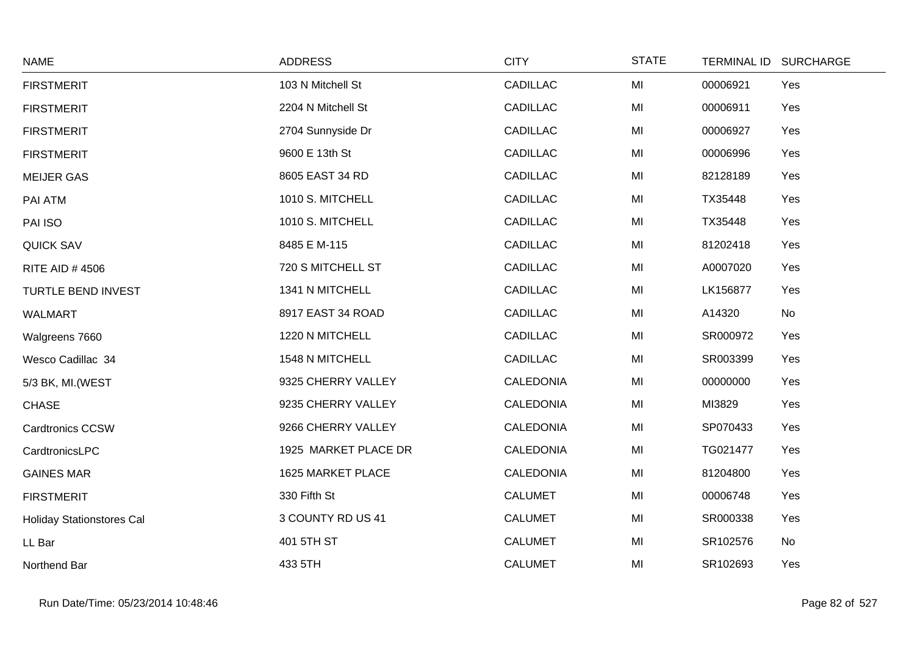| <b>NAME</b>                      | <b>ADDRESS</b>       | <b>CITY</b>      | <b>STATE</b> | TERMINAL ID SURCHARGE |     |
|----------------------------------|----------------------|------------------|--------------|-----------------------|-----|
| <b>FIRSTMERIT</b>                | 103 N Mitchell St    | <b>CADILLAC</b>  | MI           | 00006921              | Yes |
| <b>FIRSTMERIT</b>                | 2204 N Mitchell St   | <b>CADILLAC</b>  | MI           | 00006911              | Yes |
| <b>FIRSTMERIT</b>                | 2704 Sunnyside Dr    | <b>CADILLAC</b>  | MI           | 00006927              | Yes |
| <b>FIRSTMERIT</b>                | 9600 E 13th St       | <b>CADILLAC</b>  | MI           | 00006996              | Yes |
| <b>MEIJER GAS</b>                | 8605 EAST 34 RD      | <b>CADILLAC</b>  | MI           | 82128189              | Yes |
| PAI ATM                          | 1010 S. MITCHELL     | <b>CADILLAC</b>  | MI           | TX35448               | Yes |
| PAI ISO                          | 1010 S. MITCHELL     | <b>CADILLAC</b>  | MI           | TX35448               | Yes |
| <b>QUICK SAV</b>                 | 8485 E M-115         | <b>CADILLAC</b>  | MI           | 81202418              | Yes |
| <b>RITE AID #4506</b>            | 720 S MITCHELL ST    | <b>CADILLAC</b>  | MI           | A0007020              | Yes |
| TURTLE BEND INVEST               | 1341 N MITCHELL      | <b>CADILLAC</b>  | MI           | LK156877              | Yes |
| WALMART                          | 8917 EAST 34 ROAD    | <b>CADILLAC</b>  | MI           | A14320                | No  |
| Walgreens 7660                   | 1220 N MITCHELL      | <b>CADILLAC</b>  | MI           | SR000972              | Yes |
| Wesco Cadillac 34                | 1548 N MITCHELL      | <b>CADILLAC</b>  | MI           | SR003399              | Yes |
| 5/3 BK, MI. (WEST                | 9325 CHERRY VALLEY   | <b>CALEDONIA</b> | MI           | 00000000              | Yes |
| <b>CHASE</b>                     | 9235 CHERRY VALLEY   | CALEDONIA        | MI           | MI3829                | Yes |
| <b>Cardtronics CCSW</b>          | 9266 CHERRY VALLEY   | <b>CALEDONIA</b> | MI           | SP070433              | Yes |
| CardtronicsLPC                   | 1925 MARKET PLACE DR | <b>CALEDONIA</b> | MI           | TG021477              | Yes |
| <b>GAINES MAR</b>                | 1625 MARKET PLACE    | <b>CALEDONIA</b> | MI           | 81204800              | Yes |
| <b>FIRSTMERIT</b>                | 330 Fifth St         | <b>CALUMET</b>   | MI           | 00006748              | Yes |
| <b>Holiday Stationstores Cal</b> | 3 COUNTY RD US 41    | <b>CALUMET</b>   | MI           | SR000338              | Yes |
| LL Bar                           | 401 5TH ST           | <b>CALUMET</b>   | MI           | SR102576              | No  |
| Northend Bar                     | 433 5TH              | <b>CALUMET</b>   | MI           | SR102693              | Yes |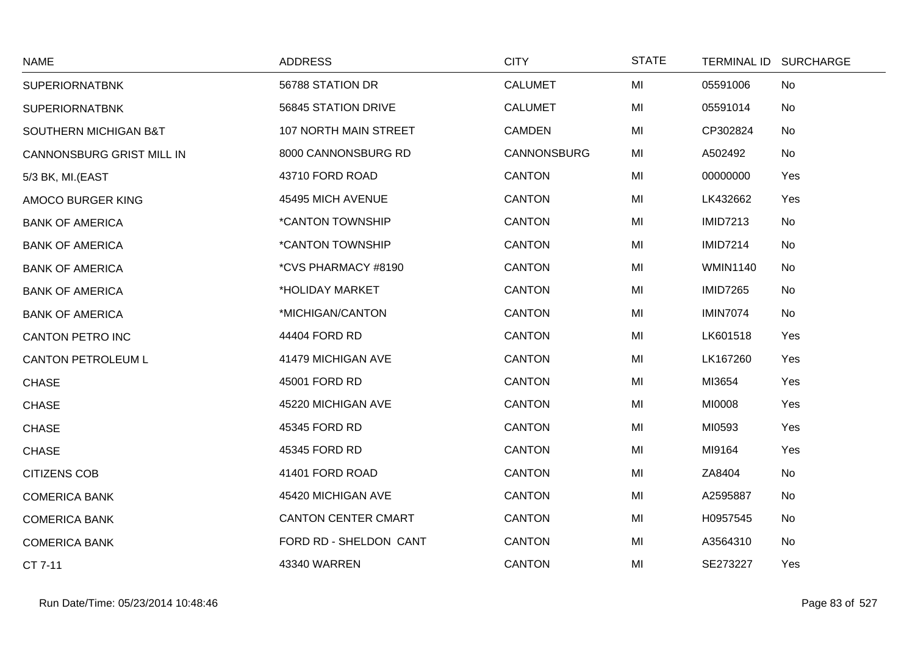| <b>NAME</b>               | <b>ADDRESS</b>             | <b>CITY</b>    | <b>STATE</b> | TERMINAL ID SURCHARGE |     |
|---------------------------|----------------------------|----------------|--------------|-----------------------|-----|
| <b>SUPERIORNATBNK</b>     | 56788 STATION DR           | <b>CALUMET</b> | MI           | 05591006              | No  |
| <b>SUPERIORNATBNK</b>     | 56845 STATION DRIVE        | <b>CALUMET</b> | MI           | 05591014              | No  |
| SOUTHERN MICHIGAN B&T     | 107 NORTH MAIN STREET      | <b>CAMDEN</b>  | MI           | CP302824              | No  |
| CANNONSBURG GRIST MILL IN | 8000 CANNONSBURG RD        | CANNONSBURG    | MI           | A502492               | No  |
| 5/3 BK, MI.(EAST          | 43710 FORD ROAD            | <b>CANTON</b>  | MI           | 00000000              | Yes |
| AMOCO BURGER KING         | 45495 MICH AVENUE          | <b>CANTON</b>  | MI           | LK432662              | Yes |
| <b>BANK OF AMERICA</b>    | *CANTON TOWNSHIP           | <b>CANTON</b>  | MI           | <b>IMID7213</b>       | No  |
| <b>BANK OF AMERICA</b>    | *CANTON TOWNSHIP           | <b>CANTON</b>  | MI           | <b>IMID7214</b>       | No  |
| <b>BANK OF AMERICA</b>    | *CVS PHARMACY #8190        | <b>CANTON</b>  | MI           | <b>WMIN1140</b>       | No  |
| <b>BANK OF AMERICA</b>    | *HOLIDAY MARKET            | <b>CANTON</b>  | MI           | <b>IMID7265</b>       | No  |
| <b>BANK OF AMERICA</b>    | *MICHIGAN/CANTON           | <b>CANTON</b>  | MI           | <b>IMIN7074</b>       | No  |
| <b>CANTON PETRO INC</b>   | 44404 FORD RD              | <b>CANTON</b>  | MI           | LK601518              | Yes |
| <b>CANTON PETROLEUM L</b> | 41479 MICHIGAN AVE         | <b>CANTON</b>  | MI           | LK167260              | Yes |
| <b>CHASE</b>              | 45001 FORD RD              | <b>CANTON</b>  | MI           | MI3654                | Yes |
| <b>CHASE</b>              | 45220 MICHIGAN AVE         | <b>CANTON</b>  | MI           | MI0008                | Yes |
| <b>CHASE</b>              | 45345 FORD RD              | <b>CANTON</b>  | MI           | MI0593                | Yes |
| <b>CHASE</b>              | 45345 FORD RD              | <b>CANTON</b>  | MI           | MI9164                | Yes |
| <b>CITIZENS COB</b>       | 41401 FORD ROAD            | <b>CANTON</b>  | MI           | ZA8404                | No  |
| <b>COMERICA BANK</b>      | 45420 MICHIGAN AVE         | <b>CANTON</b>  | MI           | A2595887              | No  |
| <b>COMERICA BANK</b>      | <b>CANTON CENTER CMART</b> | <b>CANTON</b>  | MI           | H0957545              | No  |
| <b>COMERICA BANK</b>      | FORD RD - SHELDON CANT     | <b>CANTON</b>  | MI           | A3564310              | No  |
| CT 7-11                   | 43340 WARREN               | <b>CANTON</b>  | MI           | SE273227              | Yes |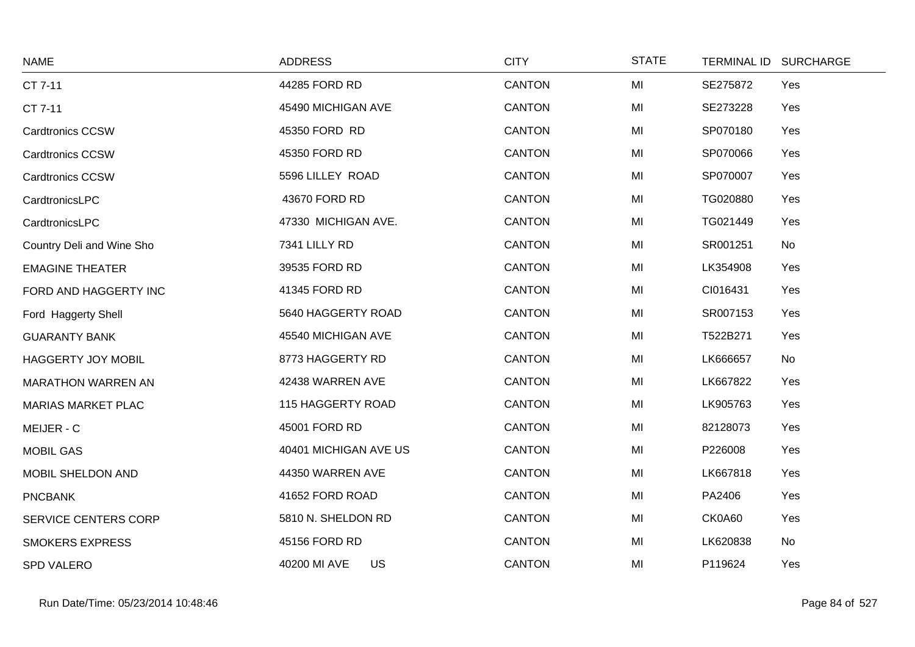| <b>NAME</b>               | <b>ADDRESS</b>        | <b>CITY</b>   | <b>STATE</b> | TERMINAL ID SURCHARGE |  |
|---------------------------|-----------------------|---------------|--------------|-----------------------|--|
| CT 7-11                   | 44285 FORD RD         | <b>CANTON</b> | MI           | SE275872<br>Yes       |  |
| CT 7-11                   | 45490 MICHIGAN AVE    | <b>CANTON</b> | MI           | SE273228<br>Yes       |  |
| <b>Cardtronics CCSW</b>   | 45350 FORD RD         | <b>CANTON</b> | MI           | SP070180<br>Yes       |  |
| <b>Cardtronics CCSW</b>   | 45350 FORD RD         | <b>CANTON</b> | MI           | SP070066<br>Yes       |  |
| <b>Cardtronics CCSW</b>   | 5596 LILLEY ROAD      | <b>CANTON</b> | MI           | SP070007<br>Yes       |  |
| CardtronicsLPC            | 43670 FORD RD         | <b>CANTON</b> | MI           | TG020880<br>Yes       |  |
| CardtronicsLPC            | 47330 MICHIGAN AVE.   | <b>CANTON</b> | MI           | TG021449<br>Yes       |  |
| Country Deli and Wine Sho | 7341 LILLY RD         | <b>CANTON</b> | MI           | SR001251<br>No        |  |
| <b>EMAGINE THEATER</b>    | 39535 FORD RD         | <b>CANTON</b> | MI           | LK354908<br>Yes       |  |
| FORD AND HAGGERTY INC     | 41345 FORD RD         | <b>CANTON</b> | MI           | CI016431<br>Yes       |  |
| Ford Haggerty Shell       | 5640 HAGGERTY ROAD    | <b>CANTON</b> | MI           | SR007153<br>Yes       |  |
| <b>GUARANTY BANK</b>      | 45540 MICHIGAN AVE    | <b>CANTON</b> | MI           | T522B271<br>Yes       |  |
| HAGGERTY JOY MOBIL        | 8773 HAGGERTY RD      | <b>CANTON</b> | MI           | LK666657<br>No        |  |
| <b>MARATHON WARREN AN</b> | 42438 WARREN AVE      | <b>CANTON</b> | MI           | LK667822<br>Yes       |  |
| <b>MARIAS MARKET PLAC</b> | 115 HAGGERTY ROAD     | <b>CANTON</b> | MI           | LK905763<br>Yes       |  |
| MEIJER - C                | 45001 FORD RD         | <b>CANTON</b> | MI           | 82128073<br>Yes       |  |
| <b>MOBIL GAS</b>          | 40401 MICHIGAN AVE US | <b>CANTON</b> | MI           | P226008<br>Yes        |  |
| MOBIL SHELDON AND         | 44350 WARREN AVE      | <b>CANTON</b> | MI           | LK667818<br>Yes       |  |
| <b>PNCBANK</b>            | 41652 FORD ROAD       | <b>CANTON</b> | MI           | PA2406<br>Yes         |  |
| SERVICE CENTERS CORP      | 5810 N. SHELDON RD    | <b>CANTON</b> | MI           | CK0A60<br>Yes         |  |
| <b>SMOKERS EXPRESS</b>    | 45156 FORD RD         | <b>CANTON</b> | MI           | LK620838<br>No        |  |
| <b>SPD VALERO</b>         | 40200 MI AVE<br>US    | <b>CANTON</b> | MI           | P119624<br>Yes        |  |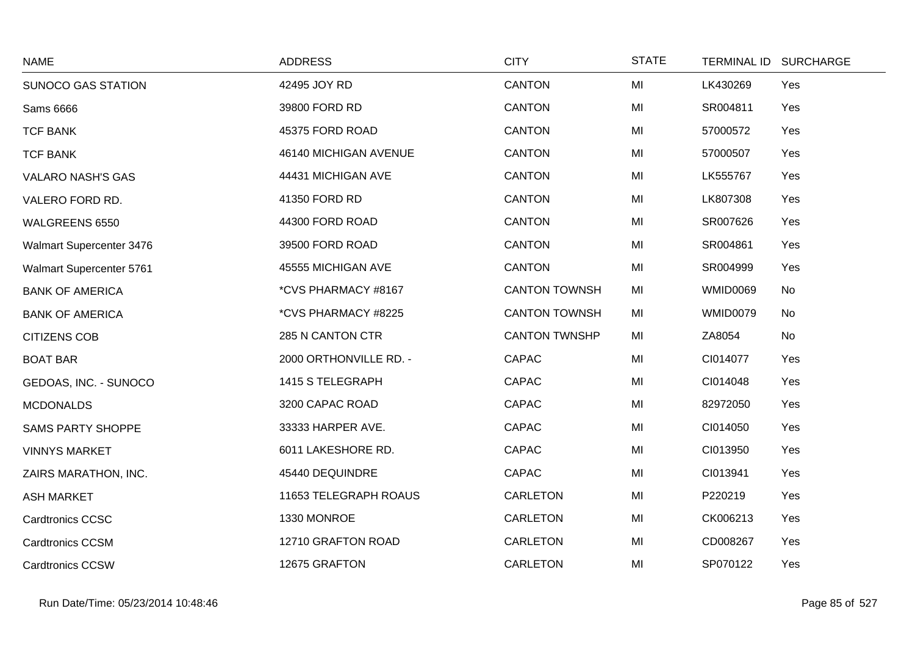| <b>NAME</b>              | <b>ADDRESS</b>         | <b>CITY</b>          | <b>STATE</b> |                 | TERMINAL ID SURCHARGE |
|--------------------------|------------------------|----------------------|--------------|-----------------|-----------------------|
| SUNOCO GAS STATION       | 42495 JOY RD           | <b>CANTON</b>        | MI           | LK430269        | Yes                   |
| <b>Sams 6666</b>         | 39800 FORD RD          | <b>CANTON</b>        | MI           | SR004811        | Yes                   |
| <b>TCF BANK</b>          | 45375 FORD ROAD        | <b>CANTON</b>        | MI           | 57000572        | Yes                   |
| <b>TCF BANK</b>          | 46140 MICHIGAN AVENUE  | <b>CANTON</b>        | MI           | 57000507        | Yes                   |
| <b>VALARO NASH'S GAS</b> | 44431 MICHIGAN AVE     | <b>CANTON</b>        | MI           | LK555767        | Yes                   |
| VALERO FORD RD.          | 41350 FORD RD          | <b>CANTON</b>        | MI           | LK807308        | Yes                   |
| WALGREENS 6550           | 44300 FORD ROAD        | <b>CANTON</b>        | MI           | SR007626        | Yes                   |
| Walmart Supercenter 3476 | 39500 FORD ROAD        | <b>CANTON</b>        | MI           | SR004861        | Yes                   |
| Walmart Supercenter 5761 | 45555 MICHIGAN AVE     | <b>CANTON</b>        | MI           | SR004999        | Yes                   |
| <b>BANK OF AMERICA</b>   | *CVS PHARMACY #8167    | <b>CANTON TOWNSH</b> | MI           | <b>WMID0069</b> | No                    |
| <b>BANK OF AMERICA</b>   | *CVS PHARMACY #8225    | <b>CANTON TOWNSH</b> | MI           | WMID0079        | No                    |
| <b>CITIZENS COB</b>      | 285 N CANTON CTR       | <b>CANTON TWNSHP</b> | MI           | ZA8054          | No                    |
| <b>BOAT BAR</b>          | 2000 ORTHONVILLE RD. - | CAPAC                | MI           | CI014077        | Yes                   |
| GEDOAS, INC. - SUNOCO    | 1415 S TELEGRAPH       | CAPAC                | MI           | CI014048        | Yes                   |
| <b>MCDONALDS</b>         | 3200 CAPAC ROAD        | CAPAC                | MI           | 82972050        | Yes                   |
| <b>SAMS PARTY SHOPPE</b> | 33333 HARPER AVE.      | CAPAC                | MI           | CI014050        | Yes                   |
| <b>VINNYS MARKET</b>     | 6011 LAKESHORE RD.     | CAPAC                | MI           | CI013950        | Yes                   |
| ZAIRS MARATHON, INC.     | 45440 DEQUINDRE        | CAPAC                | MI           | CI013941        | Yes                   |
| <b>ASH MARKET</b>        | 11653 TELEGRAPH ROAUS  | CARLETON             | MI           | P220219         | Yes                   |
| <b>Cardtronics CCSC</b>  | 1330 MONROE            | CARLETON             | MI           | CK006213        | Yes                   |
| <b>Cardtronics CCSM</b>  | 12710 GRAFTON ROAD     | CARLETON             | MI           | CD008267        | Yes                   |
| <b>Cardtronics CCSW</b>  | 12675 GRAFTON          | CARLETON             | MI           | SP070122        | Yes                   |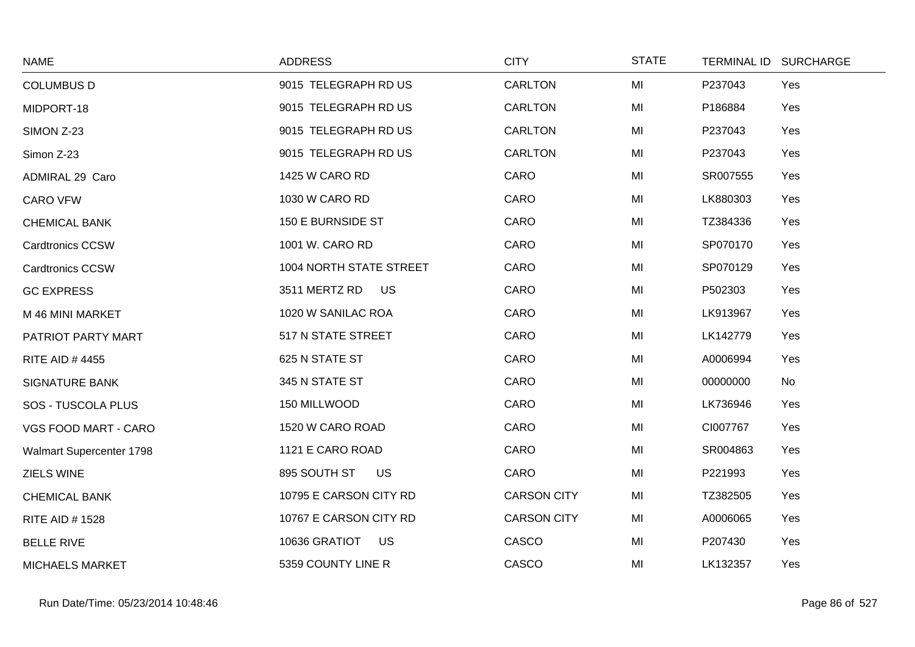| <b>NAME</b>              | <b>ADDRESS</b>             | <b>CITY</b>        | <b>STATE</b> | TERMINAL ID SURCHARGE |  |
|--------------------------|----------------------------|--------------------|--------------|-----------------------|--|
| <b>COLUMBUS D</b>        | 9015 TELEGRAPH RD US       | <b>CARLTON</b>     | MI           | P237043<br>Yes        |  |
| MIDPORT-18               | 9015 TELEGRAPH RD US       | <b>CARLTON</b>     | MI           | P186884<br>Yes        |  |
| SIMON Z-23               | 9015 TELEGRAPH RD US       | <b>CARLTON</b>     | MI           | P237043<br>Yes        |  |
| Simon Z-23               | 9015 TELEGRAPH RD US       | <b>CARLTON</b>     | MI           | Yes<br>P237043        |  |
| ADMIRAL 29 Caro          | 1425 W CARO RD             | CARO               | MI           | SR007555<br>Yes       |  |
| <b>CARO VFW</b>          | 1030 W CARO RD             | CARO               | MI           | LK880303<br>Yes       |  |
| <b>CHEMICAL BANK</b>     | 150 E BURNSIDE ST          | CARO               | MI           | TZ384336<br>Yes       |  |
| <b>Cardtronics CCSW</b>  | 1001 W. CARO RD            | CARO               | MI           | SP070170<br>Yes       |  |
| <b>Cardtronics CCSW</b>  | 1004 NORTH STATE STREET    | CARO               | MI           | SP070129<br>Yes       |  |
| <b>GC EXPRESS</b>        | 3511 MERTZ RD<br><b>US</b> | CARO               | MI           | P502303<br>Yes        |  |
| M 46 MINI MARKET         | 1020 W SANILAC ROA         | CARO               | MI           | LK913967<br>Yes       |  |
| PATRIOT PARTY MART       | 517 N STATE STREET         | CARO               | MI           | LK142779<br>Yes       |  |
| <b>RITE AID #4455</b>    | 625 N STATE ST             | CARO               | MI           | A0006994<br>Yes       |  |
| <b>SIGNATURE BANK</b>    | 345 N STATE ST             | CARO               | MI           | No<br>00000000        |  |
| SOS - TUSCOLA PLUS       | 150 MILLWOOD               | CARO               | MI           | LK736946<br>Yes       |  |
| VGS FOOD MART - CARO     | 1520 W CARO ROAD           | CARO               | MI           | CI007767<br>Yes       |  |
| Walmart Supercenter 1798 | 1121 E CARO ROAD           | CARO               | MI           | Yes<br>SR004863       |  |
| ZIELS WINE               | 895 SOUTH ST<br>US         | CARO               | MI           | P221993<br>Yes        |  |
| <b>CHEMICAL BANK</b>     | 10795 E CARSON CITY RD     | <b>CARSON CITY</b> | MI           | TZ382505<br>Yes       |  |
| <b>RITE AID #1528</b>    | 10767 E CARSON CITY RD     | <b>CARSON CITY</b> | MI           | A0006065<br>Yes       |  |
| <b>BELLE RIVE</b>        | 10636 GRATIOT<br><b>US</b> | CASCO              | MI           | P207430<br>Yes        |  |
| <b>MICHAELS MARKET</b>   | 5359 COUNTY LINE R         | CASCO              | MI           | LK132357<br>Yes       |  |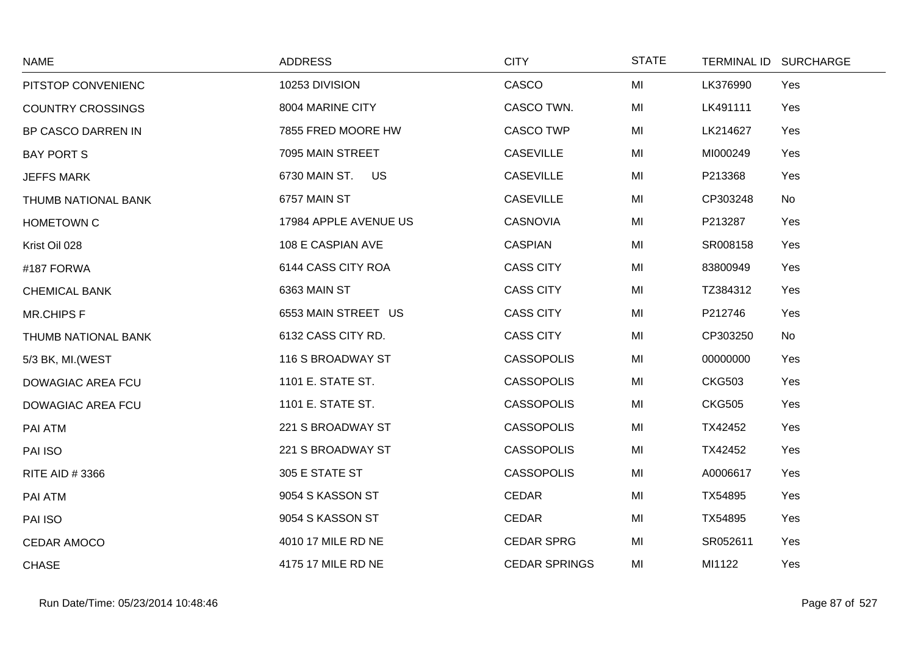| <b>NAME</b>              | <b>ADDRESS</b>        | <b>CITY</b>          | <b>STATE</b> | TERMINAL ID SURCHARGE |     |
|--------------------------|-----------------------|----------------------|--------------|-----------------------|-----|
| PITSTOP CONVENIENC       | 10253 DIVISION        | CASCO                | MI           | LK376990              | Yes |
| <b>COUNTRY CROSSINGS</b> | 8004 MARINE CITY      | CASCO TWN.           | MI           | LK491111              | Yes |
| BP CASCO DARREN IN       | 7855 FRED MOORE HW    | <b>CASCO TWP</b>     | MI           | LK214627              | Yes |
| <b>BAY PORT S</b>        | 7095 MAIN STREET      | <b>CASEVILLE</b>     | MI           | MI000249              | Yes |
| <b>JEFFS MARK</b>        | 6730 MAIN ST. US      | <b>CASEVILLE</b>     | MI           | P213368               | Yes |
| THUMB NATIONAL BANK      | 6757 MAIN ST          | <b>CASEVILLE</b>     | MI           | CP303248              | No  |
| <b>HOMETOWN C</b>        | 17984 APPLE AVENUE US | <b>CASNOVIA</b>      | MI           | P213287               | Yes |
| Krist Oil 028            | 108 E CASPIAN AVE     | <b>CASPIAN</b>       | MI           | SR008158              | Yes |
| #187 FORWA               | 6144 CASS CITY ROA    | <b>CASS CITY</b>     | MI           | 83800949              | Yes |
| <b>CHEMICAL BANK</b>     | 6363 MAIN ST          | <b>CASS CITY</b>     | MI           | TZ384312              | Yes |
| <b>MR.CHIPS F</b>        | 6553 MAIN STREET US   | <b>CASS CITY</b>     | MI           | P212746               | Yes |
| THUMB NATIONAL BANK      | 6132 CASS CITY RD.    | <b>CASS CITY</b>     | MI           | CP303250              | No  |
| 5/3 BK, MI. (WEST        | 116 S BROADWAY ST     | <b>CASSOPOLIS</b>    | MI           | 00000000              | Yes |
| DOWAGIAC AREA FCU        | 1101 E. STATE ST.     | <b>CASSOPOLIS</b>    | MI           | <b>CKG503</b>         | Yes |
| DOWAGIAC AREA FCU        | 1101 E. STATE ST.     | <b>CASSOPOLIS</b>    | MI           | <b>CKG505</b>         | Yes |
| PAI ATM                  | 221 S BROADWAY ST     | <b>CASSOPOLIS</b>    | MI           | TX42452               | Yes |
| PAI ISO                  | 221 S BROADWAY ST     | <b>CASSOPOLIS</b>    | MI           | TX42452               | Yes |
| RITE AID #3366           | 305 E STATE ST        | <b>CASSOPOLIS</b>    | MI           | A0006617              | Yes |
| PAI ATM                  | 9054 S KASSON ST      | <b>CEDAR</b>         | MI           | TX54895               | Yes |
| PAI ISO                  | 9054 S KASSON ST      | <b>CEDAR</b>         | MI           | TX54895               | Yes |
| <b>CEDAR AMOCO</b>       | 4010 17 MILE RD NE    | <b>CEDAR SPRG</b>    | MI           | SR052611              | Yes |
| <b>CHASE</b>             | 4175 17 MILE RD NE    | <b>CEDAR SPRINGS</b> | MI           | MI1122                | Yes |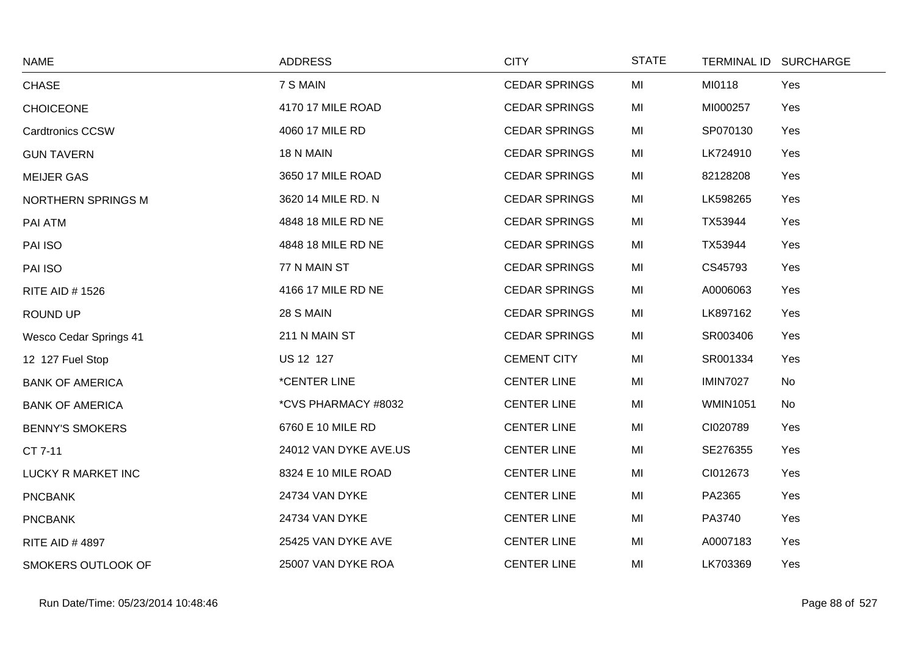| <b>NAME</b>                   | <b>ADDRESS</b>             | <b>CITY</b>          | <b>STATE</b> | TERMINAL ID SURCHARGE |  |
|-------------------------------|----------------------------|----------------------|--------------|-----------------------|--|
| <b>CHASE</b>                  | 7 S MAIN                   | <b>CEDAR SPRINGS</b> | MI           | MI0118<br>Yes         |  |
| <b>CHOICEONE</b>              | 4170 17 MILE ROAD          | <b>CEDAR SPRINGS</b> | MI           | MI000257<br>Yes       |  |
| <b>Cardtronics CCSW</b>       | 4060 17 MILE RD            | <b>CEDAR SPRINGS</b> | MI           | SP070130<br>Yes       |  |
| <b>GUN TAVERN</b>             | 18 N MAIN                  | <b>CEDAR SPRINGS</b> | MI           | LK724910<br>Yes       |  |
| <b>MEIJER GAS</b>             | 3650 17 MILE ROAD          | <b>CEDAR SPRINGS</b> | MI           | 82128208<br>Yes       |  |
| NORTHERN SPRINGS M            | 3620 14 MILE RD. N         | <b>CEDAR SPRINGS</b> | MI           | LK598265<br>Yes       |  |
| PAI ATM                       | 4848 18 MILE RD NE         | <b>CEDAR SPRINGS</b> | MI           | TX53944<br>Yes        |  |
| PAI ISO                       | 4848 18 MILE RD NE         | <b>CEDAR SPRINGS</b> | MI           | TX53944<br>Yes        |  |
| PAI ISO                       | 77 N MAIN ST               | <b>CEDAR SPRINGS</b> | MI           | CS45793<br>Yes        |  |
| <b>RITE AID #1526</b>         | 4166 17 MILE RD NE         | <b>CEDAR SPRINGS</b> | MI           | Yes<br>A0006063       |  |
| ROUND UP                      | 28 S MAIN                  | <b>CEDAR SPRINGS</b> | MI           | LK897162<br>Yes       |  |
| <b>Wesco Cedar Springs 41</b> | 211 N MAIN ST              | <b>CEDAR SPRINGS</b> | MI           | SR003406<br>Yes       |  |
| 12 127 Fuel Stop              | US 12 127                  | <b>CEMENT CITY</b>   | MI           | SR001334<br>Yes       |  |
| <b>BANK OF AMERICA</b>        | <i><b>*CENTER LINE</b></i> | <b>CENTER LINE</b>   | MI           | <b>IMIN7027</b><br>No |  |
| <b>BANK OF AMERICA</b>        | *CVS PHARMACY #8032        | <b>CENTER LINE</b>   | MI           | <b>WMIN1051</b><br>No |  |
| <b>BENNY'S SMOKERS</b>        | 6760 E 10 MILE RD          | <b>CENTER LINE</b>   | MI           | CI020789<br>Yes       |  |
| CT 7-11                       | 24012 VAN DYKE AVE.US      | <b>CENTER LINE</b>   | MI           | SE276355<br>Yes       |  |
| LUCKY R MARKET INC            | 8324 E 10 MILE ROAD        | <b>CENTER LINE</b>   | MI           | CI012673<br>Yes       |  |
| <b>PNCBANK</b>                | 24734 VAN DYKE             | <b>CENTER LINE</b>   | MI           | PA2365<br>Yes         |  |
| <b>PNCBANK</b>                | 24734 VAN DYKE             | <b>CENTER LINE</b>   | MI           | PA3740<br>Yes         |  |
| <b>RITE AID #4897</b>         | 25425 VAN DYKE AVE         | <b>CENTER LINE</b>   | MI           | A0007183<br>Yes       |  |
| SMOKERS OUTLOOK OF            | 25007 VAN DYKE ROA         | <b>CENTER LINE</b>   | MI           | LK703369<br>Yes       |  |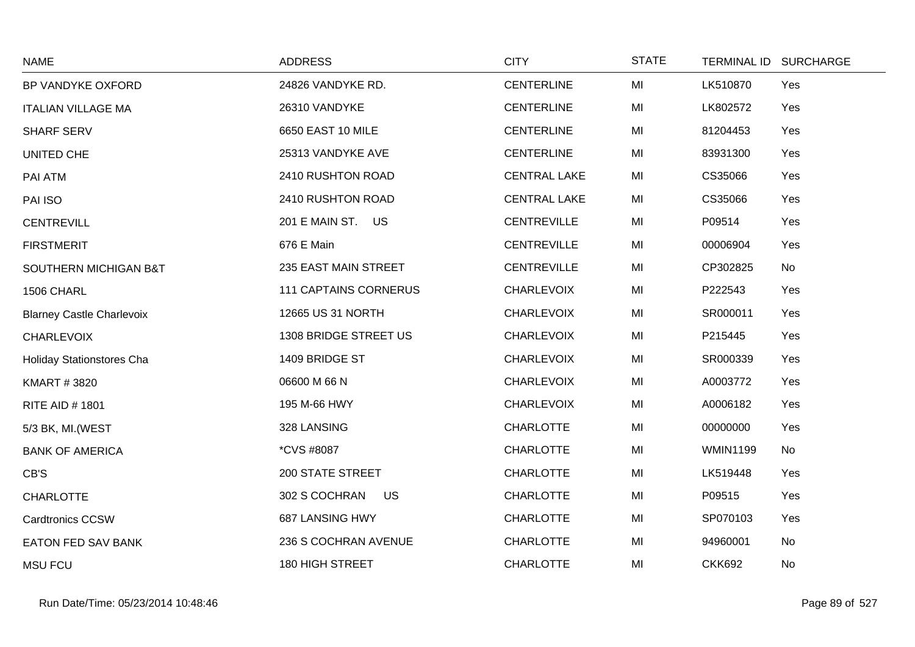| <b>NAME</b>                      | <b>ADDRESS</b>               | <b>CITY</b>         | <b>STATE</b> |                 | TERMINAL ID SURCHARGE |
|----------------------------------|------------------------------|---------------------|--------------|-----------------|-----------------------|
| BP VANDYKE OXFORD                | 24826 VANDYKE RD.            | <b>CENTERLINE</b>   | MI           | LK510870        | Yes                   |
| <b>ITALIAN VILLAGE MA</b>        | 26310 VANDYKE                | <b>CENTERLINE</b>   | MI           | LK802572        | Yes                   |
| <b>SHARF SERV</b>                | 6650 EAST 10 MILE            | <b>CENTERLINE</b>   | MI           | 81204453        | Yes                   |
| UNITED CHE                       | 25313 VANDYKE AVE            | <b>CENTERLINE</b>   | MI           | 83931300        | Yes                   |
| PAI ATM                          | 2410 RUSHTON ROAD            | <b>CENTRAL LAKE</b> | MI           | CS35066         | Yes                   |
| PAI ISO                          | 2410 RUSHTON ROAD            | <b>CENTRAL LAKE</b> | MI           | CS35066         | Yes                   |
| <b>CENTREVILL</b>                | 201 E MAIN ST. US            | <b>CENTREVILLE</b>  | MI           | P09514          | Yes                   |
| <b>FIRSTMERIT</b>                | 676 E Main                   | <b>CENTREVILLE</b>  | MI           | 00006904        | Yes                   |
| SOUTHERN MICHIGAN B&T            | 235 EAST MAIN STREET         | <b>CENTREVILLE</b>  | MI           | CP302825        | No                    |
| 1506 CHARL                       | <b>111 CAPTAINS CORNERUS</b> | <b>CHARLEVOIX</b>   | MI           | P222543         | Yes                   |
| <b>Blarney Castle Charlevoix</b> | 12665 US 31 NORTH            | <b>CHARLEVOIX</b>   | MI           | SR000011        | Yes                   |
| <b>CHARLEVOIX</b>                | 1308 BRIDGE STREET US        | <b>CHARLEVOIX</b>   | MI           | P215445         | Yes                   |
| <b>Holiday Stationstores Cha</b> | 1409 BRIDGE ST               | <b>CHARLEVOIX</b>   | MI           | SR000339        | Yes                   |
| <b>KMART #3820</b>               | 06600 M 66 N                 | <b>CHARLEVOIX</b>   | MI           | A0003772        | Yes                   |
| <b>RITE AID #1801</b>            | 195 M-66 HWY                 | <b>CHARLEVOIX</b>   | MI           | A0006182        | Yes                   |
| 5/3 BK, MI. (WEST                | 328 LANSING                  | <b>CHARLOTTE</b>    | MI           | 00000000        | Yes                   |
| <b>BANK OF AMERICA</b>           | <i>*CVS #8087</i>            | <b>CHARLOTTE</b>    | MI           | <b>WMIN1199</b> | No                    |
| CB'S                             | <b>200 STATE STREET</b>      | <b>CHARLOTTE</b>    | MI           | LK519448        | Yes                   |
| <b>CHARLOTTE</b>                 | 302 S COCHRAN<br>US          | <b>CHARLOTTE</b>    | MI           | P09515          | Yes                   |
| Cardtronics CCSW                 | 687 LANSING HWY              | <b>CHARLOTTE</b>    | MI           | SP070103        | Yes                   |
| <b>EATON FED SAV BANK</b>        | 236 S COCHRAN AVENUE         | <b>CHARLOTTE</b>    | MI           | 94960001        | No                    |
| <b>MSU FCU</b>                   | 180 HIGH STREET              | <b>CHARLOTTE</b>    | MI           | <b>CKK692</b>   | No                    |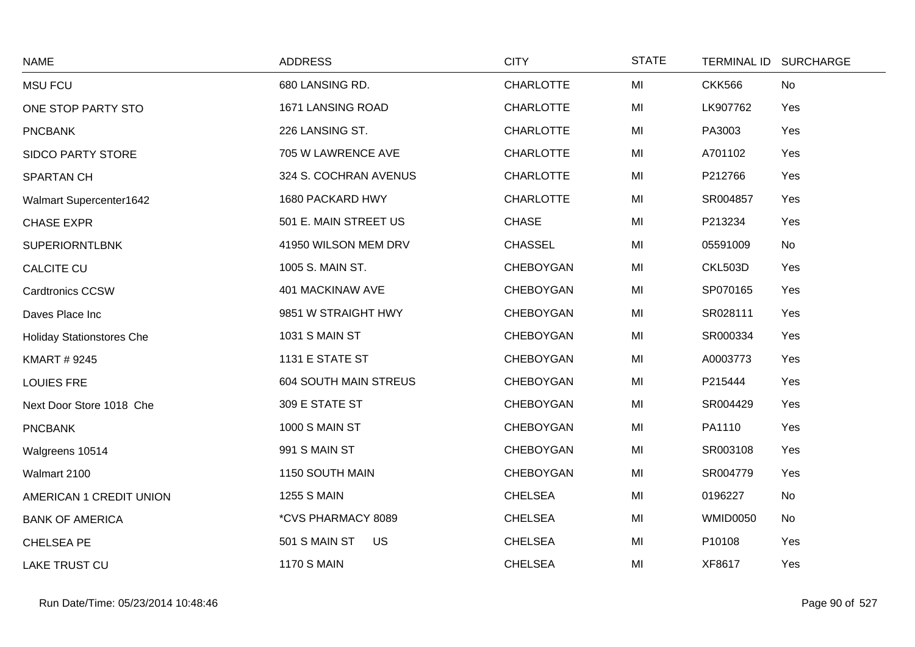| <b>NAME</b>                      | <b>ADDRESS</b>               | <b>CITY</b>      | <b>STATE</b> |                 | TERMINAL ID SURCHARGE |
|----------------------------------|------------------------------|------------------|--------------|-----------------|-----------------------|
| <b>MSU FCU</b>                   | 680 LANSING RD.              | <b>CHARLOTTE</b> | MI           | <b>CKK566</b>   | No                    |
| ONE STOP PARTY STO               | 1671 LANSING ROAD            | <b>CHARLOTTE</b> | MI           | LK907762        | Yes                   |
| <b>PNCBANK</b>                   | 226 LANSING ST.              | <b>CHARLOTTE</b> | MI           | PA3003          | Yes                   |
| <b>SIDCO PARTY STORE</b>         | 705 W LAWRENCE AVE           | <b>CHARLOTTE</b> | MI           | A701102         | Yes                   |
| <b>SPARTAN CH</b>                | 324 S. COCHRAN AVENUS        | <b>CHARLOTTE</b> | MI           | P212766         | Yes                   |
| <b>Walmart Supercenter1642</b>   | 1680 PACKARD HWY             | <b>CHARLOTTE</b> | MI           | SR004857        | Yes                   |
| <b>CHASE EXPR</b>                | 501 E. MAIN STREET US        | <b>CHASE</b>     | MI           | P213234         | Yes                   |
| <b>SUPERIORNTLBNK</b>            | 41950 WILSON MEM DRV         | <b>CHASSEL</b>   | MI           | 05591009        | No                    |
| <b>CALCITE CU</b>                | 1005 S. MAIN ST.             | <b>CHEBOYGAN</b> | MI           | <b>CKL503D</b>  | Yes                   |
| <b>Cardtronics CCSW</b>          | 401 MACKINAW AVE             | <b>CHEBOYGAN</b> | MI           | SP070165        | Yes                   |
| Daves Place Inc                  | 9851 W STRAIGHT HWY          | CHEBOYGAN        | MI           | SR028111        | Yes                   |
| <b>Holiday Stationstores Che</b> | <b>1031 S MAIN ST</b>        | <b>CHEBOYGAN</b> | MI           | SR000334        | Yes                   |
| <b>KMART # 9245</b>              | 1131 E STATE ST              | <b>CHEBOYGAN</b> | MI           | A0003773        | Yes                   |
| <b>LOUIES FRE</b>                | <b>604 SOUTH MAIN STREUS</b> | CHEBOYGAN        | MI           | P215444         | Yes                   |
| Next Door Store 1018 Che         | 309 E STATE ST               | <b>CHEBOYGAN</b> | MI           | SR004429        | Yes                   |
| <b>PNCBANK</b>                   | 1000 S MAIN ST               | <b>CHEBOYGAN</b> | MI           | PA1110          | Yes                   |
| Walgreens 10514                  | 991 S MAIN ST                | <b>CHEBOYGAN</b> | MI           | SR003108        | Yes                   |
| Walmart 2100                     | 1150 SOUTH MAIN              | <b>CHEBOYGAN</b> | MI           | SR004779        | Yes                   |
| AMERICAN 1 CREDIT UNION          | <b>1255 S MAIN</b>           | <b>CHELSEA</b>   | MI           | 0196227         | No                    |
| <b>BANK OF AMERICA</b>           | *CVS PHARMACY 8089           | <b>CHELSEA</b>   | MI           | <b>WMID0050</b> | No                    |
| CHELSEA PE                       | 501 S MAIN ST<br><b>US</b>   | <b>CHELSEA</b>   | MI           | P10108          | Yes                   |
| LAKE TRUST CU                    | <b>1170 S MAIN</b>           | <b>CHELSEA</b>   | MI           | XF8617          | Yes                   |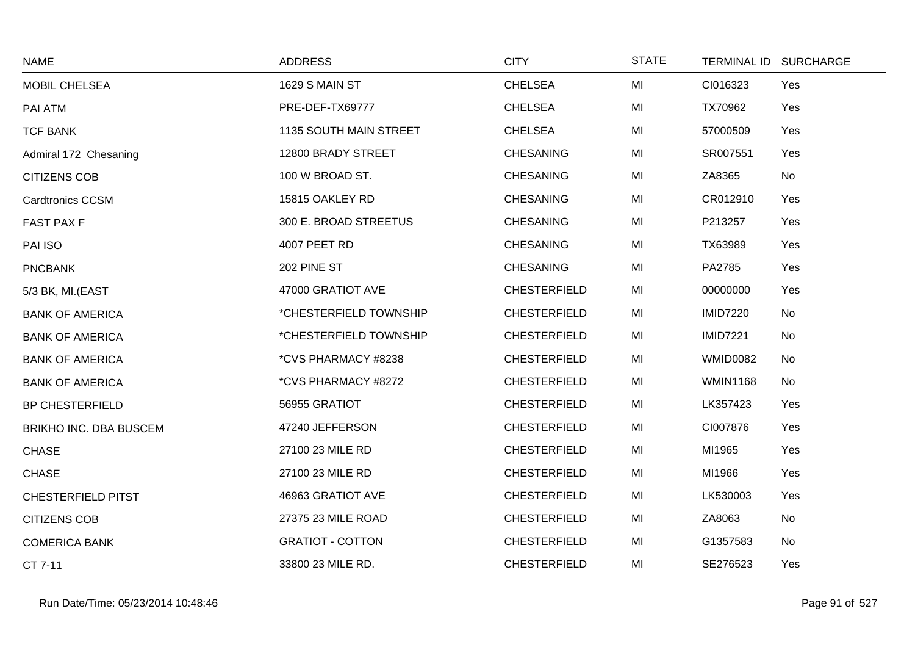| <b>NAME</b>               | <b>ADDRESS</b>          | <b>CITY</b>         | <b>STATE</b> |                 | TERMINAL ID SURCHARGE |
|---------------------------|-------------------------|---------------------|--------------|-----------------|-----------------------|
| MOBIL CHELSEA             | 1629 S MAIN ST          | <b>CHELSEA</b>      | MI           | CI016323        | Yes                   |
| PAI ATM                   | PRE-DEF-TX69777         | <b>CHELSEA</b>      | MI           | TX70962         | Yes                   |
| <b>TCF BANK</b>           | 1135 SOUTH MAIN STREET  | <b>CHELSEA</b>      | MI           | 57000509        | Yes                   |
| Admiral 172 Chesaning     | 12800 BRADY STREET      | <b>CHESANING</b>    | MI           | SR007551        | Yes                   |
| <b>CITIZENS COB</b>       | 100 W BROAD ST.         | <b>CHESANING</b>    | MI           | ZA8365          | No                    |
| <b>Cardtronics CCSM</b>   | 15815 OAKLEY RD         | <b>CHESANING</b>    | MI           | CR012910        | Yes                   |
| <b>FAST PAX F</b>         | 300 E. BROAD STREETUS   | <b>CHESANING</b>    | MI           | P213257         | Yes                   |
| PAI ISO                   | 4007 PEET RD            | <b>CHESANING</b>    | MI           | TX63989         | Yes                   |
| <b>PNCBANK</b>            | 202 PINE ST             | <b>CHESANING</b>    | MI           | PA2785          | Yes                   |
| 5/3 BK, MI.(EAST          | 47000 GRATIOT AVE       | <b>CHESTERFIELD</b> | MI           | 00000000        | Yes                   |
| <b>BANK OF AMERICA</b>    | *CHESTERFIELD TOWNSHIP  | <b>CHESTERFIELD</b> | MI           | <b>IMID7220</b> | <b>No</b>             |
| <b>BANK OF AMERICA</b>    | *CHESTERFIELD TOWNSHIP  | <b>CHESTERFIELD</b> | MI           | <b>IMID7221</b> | No                    |
| <b>BANK OF AMERICA</b>    | *CVS PHARMACY #8238     | <b>CHESTERFIELD</b> | MI           | <b>WMID0082</b> | No                    |
| <b>BANK OF AMERICA</b>    | *CVS PHARMACY #8272     | <b>CHESTERFIELD</b> | MI           | <b>WMIN1168</b> | <b>No</b>             |
| <b>BP CHESTERFIELD</b>    | 56955 GRATIOT           | <b>CHESTERFIELD</b> | MI           | LK357423        | Yes                   |
| BRIKHO INC. DBA BUSCEM    | 47240 JEFFERSON         | <b>CHESTERFIELD</b> | MI           | CI007876        | Yes                   |
| <b>CHASE</b>              | 27100 23 MILE RD        | <b>CHESTERFIELD</b> | MI           | MI1965          | Yes                   |
| <b>CHASE</b>              | 27100 23 MILE RD        | <b>CHESTERFIELD</b> | MI           | MI1966          | Yes                   |
| <b>CHESTERFIELD PITST</b> | 46963 GRATIOT AVE       | <b>CHESTERFIELD</b> | MI           | LK530003        | Yes                   |
| <b>CITIZENS COB</b>       | 27375 23 MILE ROAD      | <b>CHESTERFIELD</b> | MI           | ZA8063          | <b>No</b>             |
| <b>COMERICA BANK</b>      | <b>GRATIOT - COTTON</b> | <b>CHESTERFIELD</b> | MI           | G1357583        | No                    |
| CT 7-11                   | 33800 23 MILE RD.       | <b>CHESTERFIELD</b> | MI           | SE276523        | Yes                   |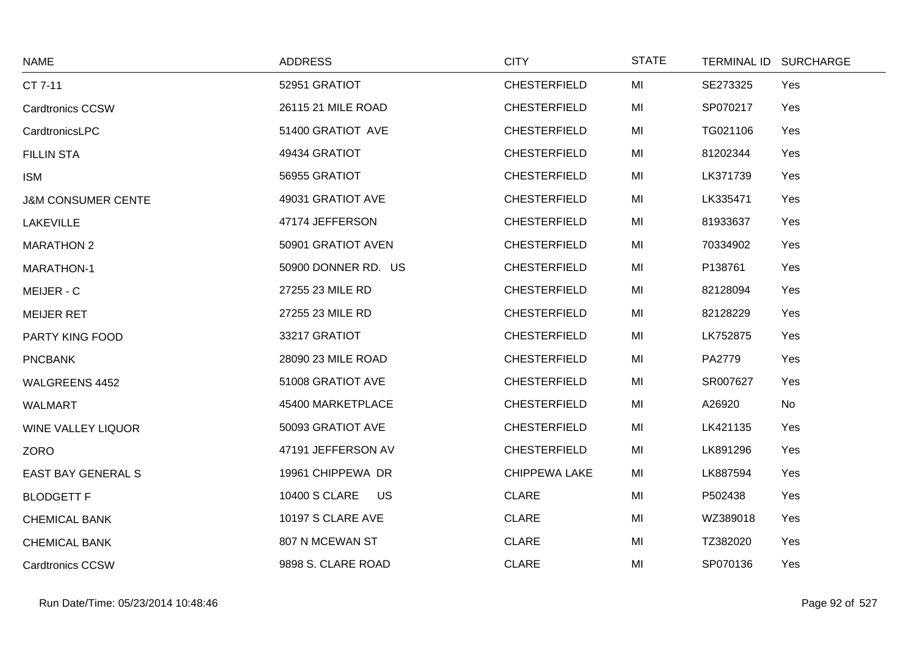| <b>NAME</b>                   | <b>ADDRESS</b>             | <b>CITY</b>          | <b>STATE</b> | TERMINAL ID SURCHARGE |     |
|-------------------------------|----------------------------|----------------------|--------------|-----------------------|-----|
| CT 7-11                       | 52951 GRATIOT              | <b>CHESTERFIELD</b>  | MI           | SE273325              | Yes |
| <b>Cardtronics CCSW</b>       | 26115 21 MILE ROAD         | <b>CHESTERFIELD</b>  | MI           | SP070217              | Yes |
| CardtronicsLPC                | 51400 GRATIOT AVE          | <b>CHESTERFIELD</b>  | MI           | TG021106              | Yes |
| <b>FILLIN STA</b>             | 49434 GRATIOT              | <b>CHESTERFIELD</b>  | MI           | 81202344              | Yes |
| <b>ISM</b>                    | 56955 GRATIOT              | <b>CHESTERFIELD</b>  | MI           | LK371739              | Yes |
| <b>J&amp;M CONSUMER CENTE</b> | 49031 GRATIOT AVE          | <b>CHESTERFIELD</b>  | MI           | LK335471              | Yes |
| <b>LAKEVILLE</b>              | 47174 JEFFERSON            | <b>CHESTERFIELD</b>  | MI           | 81933637              | Yes |
| <b>MARATHON 2</b>             | 50901 GRATIOT AVEN         | <b>CHESTERFIELD</b>  | MI           | 70334902              | Yes |
| <b>MARATHON-1</b>             | 50900 DONNER RD. US        | <b>CHESTERFIELD</b>  | MI           | P138761               | Yes |
| MEIJER - C                    | 27255 23 MILE RD           | <b>CHESTERFIELD</b>  | MI           | 82128094              | Yes |
| <b>MEIJER RET</b>             | 27255 23 MILE RD           | <b>CHESTERFIELD</b>  | MI           | 82128229              | Yes |
| PARTY KING FOOD               | 33217 GRATIOT              | <b>CHESTERFIELD</b>  | MI           | LK752875              | Yes |
| <b>PNCBANK</b>                | 28090 23 MILE ROAD         | <b>CHESTERFIELD</b>  | MI           | PA2779                | Yes |
| WALGREENS 4452                | 51008 GRATIOT AVE          | <b>CHESTERFIELD</b>  | MI           | SR007627              | Yes |
| <b>WALMART</b>                | 45400 MARKETPLACE          | <b>CHESTERFIELD</b>  | MI           | A26920<br>No          |     |
| WINE VALLEY LIQUOR            | 50093 GRATIOT AVE          | <b>CHESTERFIELD</b>  | MI           | LK421135              | Yes |
| ZORO                          | 47191 JEFFERSON AV         | <b>CHESTERFIELD</b>  | MI           | LK891296              | Yes |
| <b>EAST BAY GENERAL S</b>     | 19961 CHIPPEWA DR          | <b>CHIPPEWA LAKE</b> | MI           | LK887594              | Yes |
| <b>BLODGETT F</b>             | <b>10400 S CLARE</b><br>US | <b>CLARE</b>         | MI           | P502438               | Yes |
| <b>CHEMICAL BANK</b>          | 10197 S CLARE AVE          | <b>CLARE</b>         | MI           | WZ389018              | Yes |
| <b>CHEMICAL BANK</b>          | 807 N MCEWAN ST            | <b>CLARE</b>         | MI           | TZ382020              | Yes |
| <b>Cardtronics CCSW</b>       | 9898 S. CLARE ROAD         | <b>CLARE</b>         | MI           | SP070136              | Yes |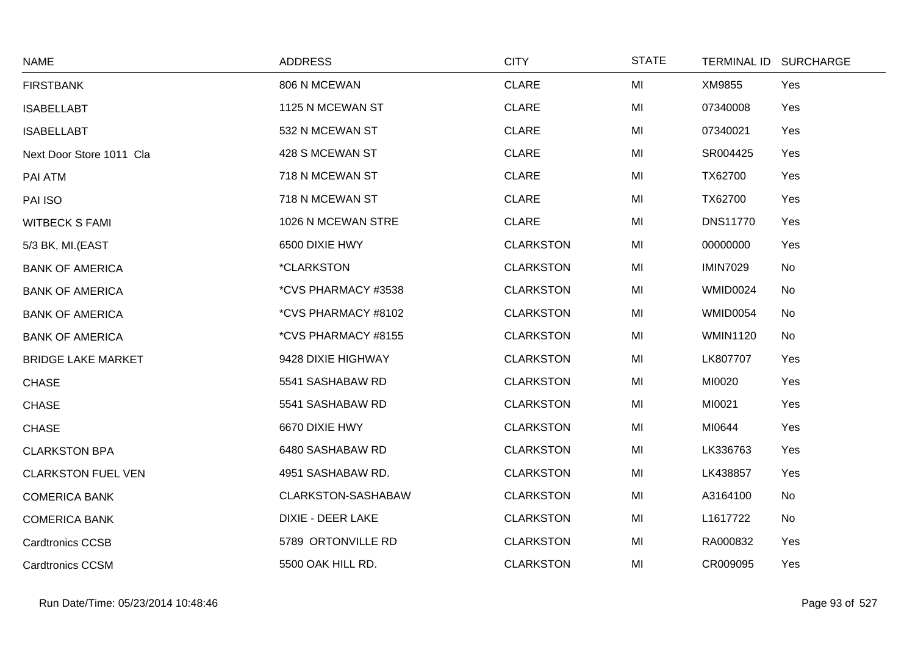| <b>NAME</b>               | <b>ADDRESS</b>           | <b>CITY</b>      | <b>STATE</b> | TERMINAL ID SURCHARGE  |  |
|---------------------------|--------------------------|------------------|--------------|------------------------|--|
| <b>FIRSTBANK</b>          | 806 N MCEWAN             | <b>CLARE</b>     | MI           | XM9855<br>Yes          |  |
| <b>ISABELLABT</b>         | 1125 N MCEWAN ST         | <b>CLARE</b>     | MI           | 07340008<br>Yes        |  |
| <b>ISABELLABT</b>         | 532 N MCEWAN ST          | <b>CLARE</b>     | MI           | 07340021<br>Yes        |  |
| Next Door Store 1011 Cla  | 428 S MCEWAN ST          | <b>CLARE</b>     | MI           | SR004425<br>Yes        |  |
| PAI ATM                   | 718 N MCEWAN ST          | <b>CLARE</b>     | MI           | TX62700<br>Yes         |  |
| PAI ISO                   | 718 N MCEWAN ST          | <b>CLARE</b>     | MI           | TX62700<br>Yes         |  |
| <b>WITBECK S FAMI</b>     | 1026 N MCEWAN STRE       | <b>CLARE</b>     | MI           | <b>DNS11770</b><br>Yes |  |
| 5/3 BK, MI.(EAST          | 6500 DIXIE HWY           | <b>CLARKSTON</b> | MI           | 00000000<br>Yes        |  |
| <b>BANK OF AMERICA</b>    | <i><b>*CLARKSTON</b></i> | <b>CLARKSTON</b> | MI           | <b>IMIN7029</b><br>No  |  |
| <b>BANK OF AMERICA</b>    | *CVS PHARMACY #3538      | <b>CLARKSTON</b> | MI           | <b>WMID0024</b><br>No  |  |
| <b>BANK OF AMERICA</b>    | *CVS PHARMACY #8102      | <b>CLARKSTON</b> | MI           | <b>WMID0054</b><br>No  |  |
| <b>BANK OF AMERICA</b>    | *CVS PHARMACY #8155      | <b>CLARKSTON</b> | MI           | <b>WMIN1120</b><br>No  |  |
| <b>BRIDGE LAKE MARKET</b> | 9428 DIXIE HIGHWAY       | <b>CLARKSTON</b> | MI           | LK807707<br>Yes        |  |
| <b>CHASE</b>              | 5541 SASHABAW RD         | <b>CLARKSTON</b> | MI           | MI0020<br>Yes          |  |
| <b>CHASE</b>              | 5541 SASHABAW RD         | <b>CLARKSTON</b> | MI           | MI0021<br>Yes          |  |
| <b>CHASE</b>              | 6670 DIXIE HWY           | <b>CLARKSTON</b> | MI           | MI0644<br>Yes          |  |
| <b>CLARKSTON BPA</b>      | 6480 SASHABAW RD         | <b>CLARKSTON</b> | MI           | LK336763<br>Yes        |  |
| <b>CLARKSTON FUEL VEN</b> | 4951 SASHABAW RD.        | <b>CLARKSTON</b> | MI           | LK438857<br>Yes        |  |
| <b>COMERICA BANK</b>      | CLARKSTON-SASHABAW       | <b>CLARKSTON</b> | MI           | A3164100<br>No         |  |
| <b>COMERICA BANK</b>      | <b>DIXIE - DEER LAKE</b> | <b>CLARKSTON</b> | MI           | L1617722<br>No         |  |
| <b>Cardtronics CCSB</b>   | 5789 ORTONVILLE RD       | <b>CLARKSTON</b> | MI           | RA000832<br>Yes        |  |
| <b>Cardtronics CCSM</b>   | 5500 OAK HILL RD.        | <b>CLARKSTON</b> | MI           | CR009095<br>Yes        |  |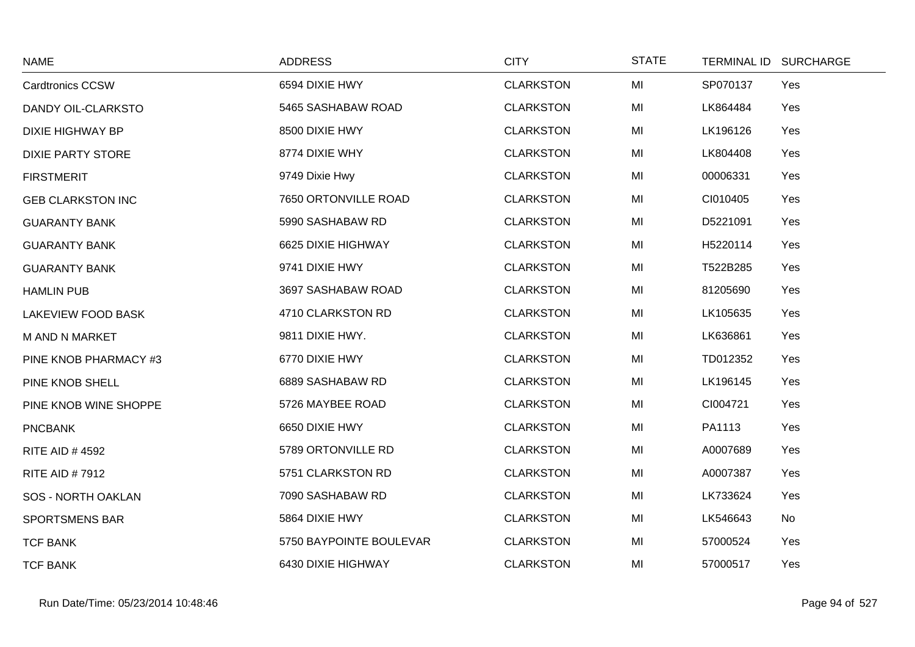| <b>NAME</b>               | <b>ADDRESS</b>          | <b>CITY</b>      | <b>STATE</b> | TERMINAL ID SURCHARGE |
|---------------------------|-------------------------|------------------|--------------|-----------------------|
| <b>Cardtronics CCSW</b>   | 6594 DIXIE HWY          | <b>CLARKSTON</b> | MI           | SP070137<br>Yes       |
| DANDY OIL-CLARKSTO        | 5465 SASHABAW ROAD      | <b>CLARKSTON</b> | MI           | LK864484<br>Yes       |
| <b>DIXIE HIGHWAY BP</b>   | 8500 DIXIE HWY          | <b>CLARKSTON</b> | MI           | LK196126<br>Yes       |
| <b>DIXIE PARTY STORE</b>  | 8774 DIXIE WHY          | <b>CLARKSTON</b> | MI           | LK804408<br>Yes       |
| <b>FIRSTMERIT</b>         | 9749 Dixie Hwy          | <b>CLARKSTON</b> | MI           | 00006331<br>Yes       |
| <b>GEB CLARKSTON INC</b>  | 7650 ORTONVILLE ROAD    | <b>CLARKSTON</b> | MI           | CI010405<br>Yes       |
| <b>GUARANTY BANK</b>      | 5990 SASHABAW RD        | <b>CLARKSTON</b> | MI           | D5221091<br>Yes       |
| <b>GUARANTY BANK</b>      | 6625 DIXIE HIGHWAY      | <b>CLARKSTON</b> | MI           | H5220114<br>Yes       |
| <b>GUARANTY BANK</b>      | 9741 DIXIE HWY          | <b>CLARKSTON</b> | MI           | T522B285<br>Yes       |
| <b>HAMLIN PUB</b>         | 3697 SASHABAW ROAD      | <b>CLARKSTON</b> | MI           | 81205690<br>Yes       |
| <b>LAKEVIEW FOOD BASK</b> | 4710 CLARKSTON RD       | <b>CLARKSTON</b> | MI           | LK105635<br>Yes       |
| <b>M AND N MARKET</b>     | 9811 DIXIE HWY.         | <b>CLARKSTON</b> | MI           | LK636861<br>Yes       |
| PINE KNOB PHARMACY #3     | 6770 DIXIE HWY          | <b>CLARKSTON</b> | MI           | TD012352<br>Yes       |
| PINE KNOB SHELL           | 6889 SASHABAW RD        | <b>CLARKSTON</b> | MI           | LK196145<br>Yes       |
| PINE KNOB WINE SHOPPE     | 5726 MAYBEE ROAD        | <b>CLARKSTON</b> | MI           | CI004721<br>Yes       |
| <b>PNCBANK</b>            | 6650 DIXIE HWY          | <b>CLARKSTON</b> | MI           | PA1113<br>Yes         |
| <b>RITE AID #4592</b>     | 5789 ORTONVILLE RD      | <b>CLARKSTON</b> | MI           | A0007689<br>Yes       |
| <b>RITE AID #7912</b>     | 5751 CLARKSTON RD       | <b>CLARKSTON</b> | MI           | A0007387<br>Yes       |
| <b>SOS - NORTH OAKLAN</b> | 7090 SASHABAW RD        | <b>CLARKSTON</b> | MI           | LK733624<br>Yes       |
| <b>SPORTSMENS BAR</b>     | 5864 DIXIE HWY          | <b>CLARKSTON</b> | MI           | LK546643<br><b>No</b> |
| <b>TCF BANK</b>           | 5750 BAYPOINTE BOULEVAR | <b>CLARKSTON</b> | MI           | 57000524<br>Yes       |
| <b>TCF BANK</b>           | 6430 DIXIE HIGHWAY      | <b>CLARKSTON</b> | MI           | 57000517<br>Yes       |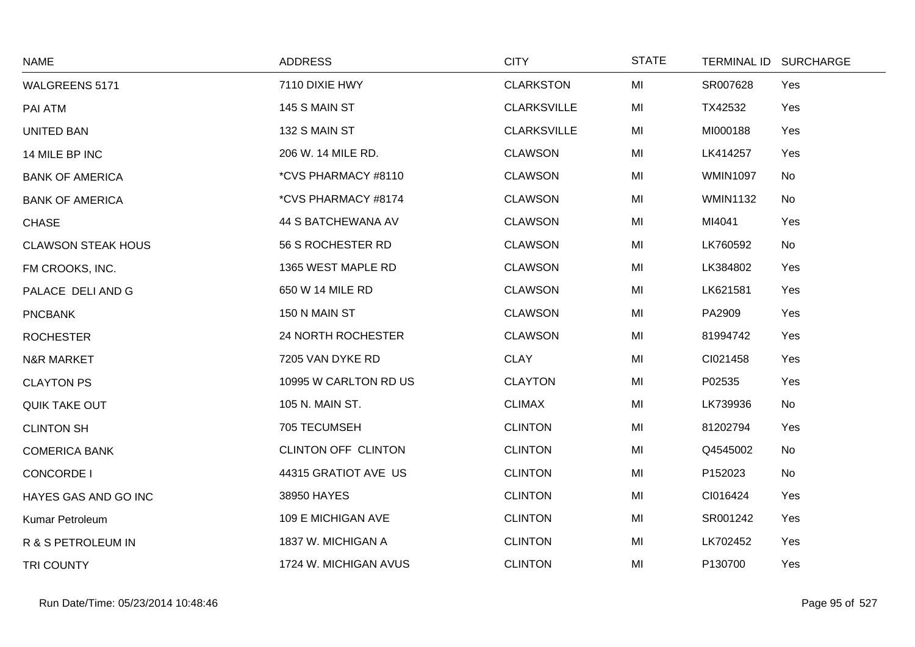| <b>NAME</b>               | <b>ADDRESS</b>        | <b>CITY</b>        | <b>STATE</b> |                 | TERMINAL ID SURCHARGE |
|---------------------------|-----------------------|--------------------|--------------|-----------------|-----------------------|
| <b>WALGREENS 5171</b>     | 7110 DIXIE HWY        | <b>CLARKSTON</b>   | MI           | SR007628        | Yes                   |
| PAI ATM                   | 145 S MAIN ST         | <b>CLARKSVILLE</b> | MI           | TX42532         | Yes                   |
| <b>UNITED BAN</b>         | 132 S MAIN ST         | <b>CLARKSVILLE</b> | MI           | MI000188        | Yes                   |
| 14 MILE BP INC            | 206 W. 14 MILE RD.    | <b>CLAWSON</b>     | MI           | LK414257        | Yes                   |
| <b>BANK OF AMERICA</b>    | *CVS PHARMACY #8110   | <b>CLAWSON</b>     | MI           | <b>WMIN1097</b> | No                    |
| <b>BANK OF AMERICA</b>    | *CVS PHARMACY #8174   | <b>CLAWSON</b>     | MI           | <b>WMIN1132</b> | No                    |
| <b>CHASE</b>              | 44 S BATCHEWANA AV    | <b>CLAWSON</b>     | MI           | MI4041          | Yes                   |
| <b>CLAWSON STEAK HOUS</b> | 56 S ROCHESTER RD     | <b>CLAWSON</b>     | MI           | LK760592        | No                    |
| FM CROOKS, INC.           | 1365 WEST MAPLE RD    | <b>CLAWSON</b>     | MI           | LK384802        | Yes                   |
| PALACE DELI AND G         | 650 W 14 MILE RD      | <b>CLAWSON</b>     | MI           | LK621581        | Yes                   |
| <b>PNCBANK</b>            | 150 N MAIN ST         | <b>CLAWSON</b>     | MI           | PA2909          | Yes                   |
| <b>ROCHESTER</b>          | 24 NORTH ROCHESTER    | <b>CLAWSON</b>     | MI           | 81994742        | Yes                   |
| <b>N&amp;R MARKET</b>     | 7205 VAN DYKE RD      | <b>CLAY</b>        | MI           | CI021458        | Yes                   |
| <b>CLAYTON PS</b>         | 10995 W CARLTON RD US | <b>CLAYTON</b>     | MI           | P02535          | Yes                   |
| <b>QUIK TAKE OUT</b>      | 105 N. MAIN ST.       | <b>CLIMAX</b>      | MI           | LK739936        | No                    |
| <b>CLINTON SH</b>         | 705 TECUMSEH          | <b>CLINTON</b>     | MI           | 81202794        | Yes                   |
| <b>COMERICA BANK</b>      | CLINTON OFF CLINTON   | <b>CLINTON</b>     | MI           | Q4545002        | No                    |
| <b>CONCORDE I</b>         | 44315 GRATIOT AVE US  | <b>CLINTON</b>     | MI           | P152023         | No                    |
| HAYES GAS AND GO INC      | 38950 HAYES           | <b>CLINTON</b>     | MI           | CI016424        | Yes                   |
| Kumar Petroleum           | 109 E MICHIGAN AVE    | <b>CLINTON</b>     | MI           | SR001242        | Yes                   |
| R & S PETROLEUM IN        | 1837 W. MICHIGAN A    | <b>CLINTON</b>     | MI           | LK702452        | Yes                   |
| <b>TRI COUNTY</b>         | 1724 W. MICHIGAN AVUS | <b>CLINTON</b>     | MI           | P130700         | Yes                   |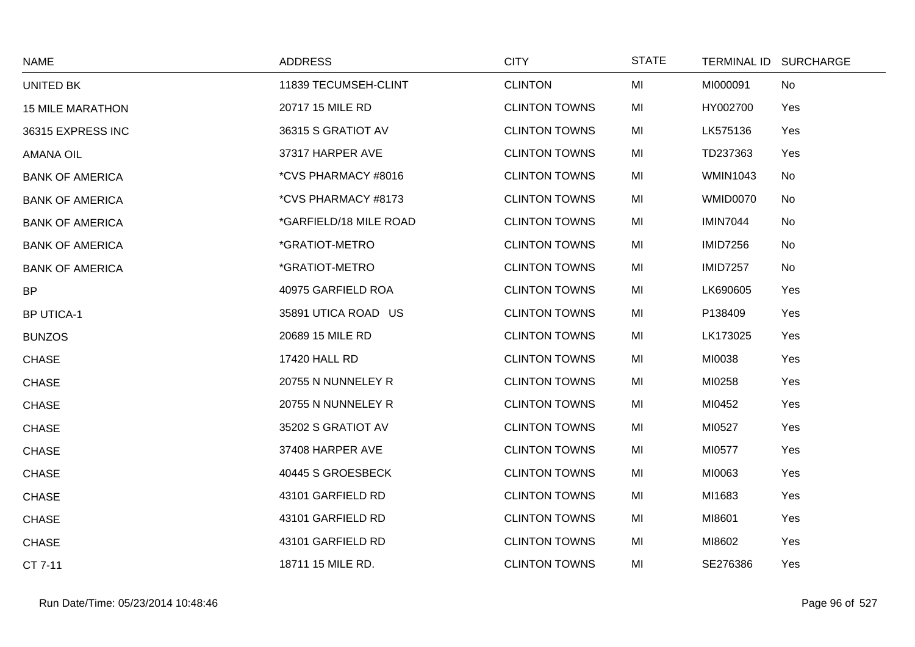| <b>NAME</b>             | <b>ADDRESS</b>         | <b>CITY</b>          | <b>STATE</b> |                 | TERMINAL ID SURCHARGE |
|-------------------------|------------------------|----------------------|--------------|-----------------|-----------------------|
| UNITED BK               | 11839 TECUMSEH-CLINT   | <b>CLINTON</b>       | MI           | MI000091        | No                    |
| <b>15 MILE MARATHON</b> | 20717 15 MILE RD       | <b>CLINTON TOWNS</b> | MI           | HY002700        | Yes                   |
| 36315 EXPRESS INC       | 36315 S GRATIOT AV     | <b>CLINTON TOWNS</b> | MI           | LK575136        | Yes                   |
| <b>AMANA OIL</b>        | 37317 HARPER AVE       | <b>CLINTON TOWNS</b> | MI           | TD237363        | Yes                   |
| <b>BANK OF AMERICA</b>  | *CVS PHARMACY #8016    | <b>CLINTON TOWNS</b> | MI           | <b>WMIN1043</b> | No                    |
| <b>BANK OF AMERICA</b>  | *CVS PHARMACY #8173    | <b>CLINTON TOWNS</b> | MI           | WMID0070        | No                    |
| <b>BANK OF AMERICA</b>  | *GARFIELD/18 MILE ROAD | <b>CLINTON TOWNS</b> | MI           | <b>IMIN7044</b> | No                    |
| <b>BANK OF AMERICA</b>  | *GRATIOT-METRO         | <b>CLINTON TOWNS</b> | MI           | <b>IMID7256</b> | No                    |
| <b>BANK OF AMERICA</b>  | *GRATIOT-METRO         | <b>CLINTON TOWNS</b> | MI           | <b>IMID7257</b> | No                    |
| <b>BP</b>               | 40975 GARFIELD ROA     | <b>CLINTON TOWNS</b> | MI           | LK690605        | Yes                   |
| <b>BP UTICA-1</b>       | 35891 UTICA ROAD US    | <b>CLINTON TOWNS</b> | MI           | P138409         | Yes                   |
| <b>BUNZOS</b>           | 20689 15 MILE RD       | <b>CLINTON TOWNS</b> | MI           | LK173025        | Yes                   |
| <b>CHASE</b>            | 17420 HALL RD          | <b>CLINTON TOWNS</b> | MI           | MI0038          | Yes                   |
| <b>CHASE</b>            | 20755 N NUNNELEY R     | <b>CLINTON TOWNS</b> | MI           | MI0258          | Yes                   |
| <b>CHASE</b>            | 20755 N NUNNELEY R     | <b>CLINTON TOWNS</b> | MI           | MI0452          | Yes                   |
| <b>CHASE</b>            | 35202 S GRATIOT AV     | <b>CLINTON TOWNS</b> | MI           | MI0527          | Yes                   |
| <b>CHASE</b>            | 37408 HARPER AVE       | <b>CLINTON TOWNS</b> | MI           | MI0577          | Yes                   |
| <b>CHASE</b>            | 40445 S GROESBECK      | <b>CLINTON TOWNS</b> | MI           | MI0063          | Yes                   |
| <b>CHASE</b>            | 43101 GARFIELD RD      | <b>CLINTON TOWNS</b> | MI           | MI1683          | Yes                   |
| <b>CHASE</b>            | 43101 GARFIELD RD      | <b>CLINTON TOWNS</b> | MI           | MI8601          | Yes                   |
| <b>CHASE</b>            | 43101 GARFIELD RD      | <b>CLINTON TOWNS</b> | MI           | MI8602          | Yes                   |
| CT 7-11                 | 18711 15 MILE RD.      | <b>CLINTON TOWNS</b> | MI           | SE276386        | Yes                   |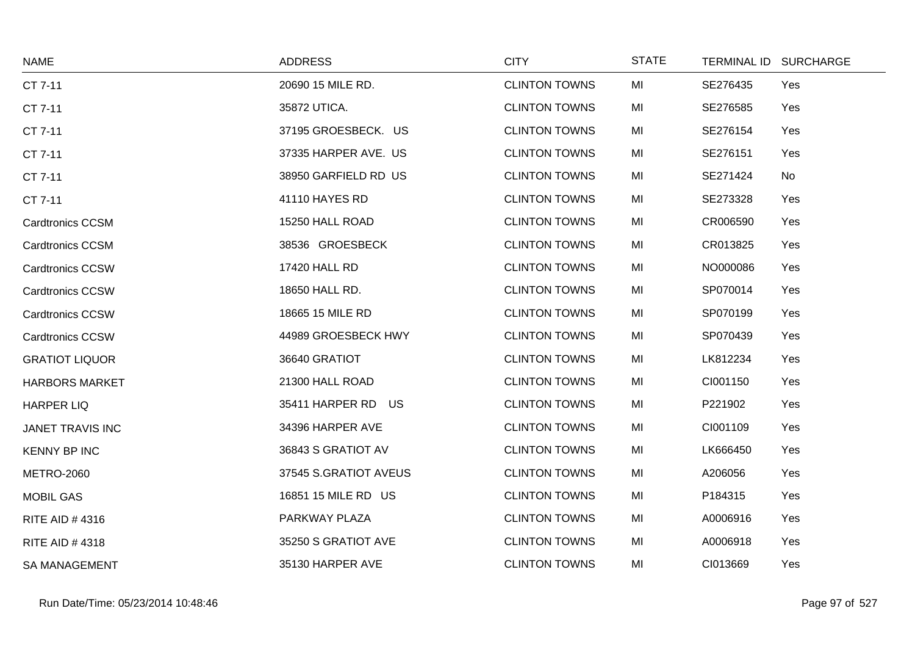| <b>NAME</b>             | <b>ADDRESS</b>        | <b>CITY</b>          | <b>STATE</b> | TERMINAL ID SURCHARGE |  |
|-------------------------|-----------------------|----------------------|--------------|-----------------------|--|
| CT 7-11                 | 20690 15 MILE RD.     | <b>CLINTON TOWNS</b> | MI           | SE276435<br>Yes       |  |
| CT 7-11                 | 35872 UTICA.          | <b>CLINTON TOWNS</b> | MI           | SE276585<br>Yes       |  |
| CT 7-11                 | 37195 GROESBECK. US   | <b>CLINTON TOWNS</b> | MI           | SE276154<br>Yes       |  |
| CT 7-11                 | 37335 HARPER AVE. US  | <b>CLINTON TOWNS</b> | MI           | SE276151<br>Yes       |  |
| CT 7-11                 | 38950 GARFIELD RD US  | <b>CLINTON TOWNS</b> | MI           | SE271424<br>No        |  |
| CT 7-11                 | 41110 HAYES RD        | <b>CLINTON TOWNS</b> | MI           | SE273328<br>Yes       |  |
| <b>Cardtronics CCSM</b> | 15250 HALL ROAD       | <b>CLINTON TOWNS</b> | MI           | CR006590<br>Yes       |  |
| <b>Cardtronics CCSM</b> | 38536 GROESBECK       | <b>CLINTON TOWNS</b> | MI           | CR013825<br>Yes       |  |
| <b>Cardtronics CCSW</b> | 17420 HALL RD         | <b>CLINTON TOWNS</b> | MI           | NO000086<br>Yes       |  |
| <b>Cardtronics CCSW</b> | 18650 HALL RD.        | <b>CLINTON TOWNS</b> | MI           | SP070014<br>Yes       |  |
| <b>Cardtronics CCSW</b> | 18665 15 MILE RD      | <b>CLINTON TOWNS</b> | MI           | SP070199<br>Yes       |  |
| <b>Cardtronics CCSW</b> | 44989 GROESBECK HWY   | <b>CLINTON TOWNS</b> | MI           | SP070439<br>Yes       |  |
| <b>GRATIOT LIQUOR</b>   | 36640 GRATIOT         | <b>CLINTON TOWNS</b> | MI           | LK812234<br>Yes       |  |
| <b>HARBORS MARKET</b>   | 21300 HALL ROAD       | <b>CLINTON TOWNS</b> | MI           | CI001150<br>Yes       |  |
| <b>HARPER LIQ</b>       | 35411 HARPER RD US    | <b>CLINTON TOWNS</b> | MI           | P221902<br>Yes        |  |
| JANET TRAVIS INC        | 34396 HARPER AVE      | <b>CLINTON TOWNS</b> | MI           | CI001109<br>Yes       |  |
| <b>KENNY BP INC</b>     | 36843 S GRATIOT AV    | <b>CLINTON TOWNS</b> | MI           | LK666450<br>Yes       |  |
| <b>METRO-2060</b>       | 37545 S.GRATIOT AVEUS | <b>CLINTON TOWNS</b> | MI           | A206056<br>Yes        |  |
| <b>MOBIL GAS</b>        | 16851 15 MILE RD US   | <b>CLINTON TOWNS</b> | MI           | P184315<br>Yes        |  |
| RITE AID #4316          | PARKWAY PLAZA         | <b>CLINTON TOWNS</b> | MI           | A0006916<br>Yes       |  |
| RITE AID #4318          | 35250 S GRATIOT AVE   | <b>CLINTON TOWNS</b> | MI           | A0006918<br>Yes       |  |
| <b>SA MANAGEMENT</b>    | 35130 HARPER AVE      | <b>CLINTON TOWNS</b> | MI           | CI013669<br>Yes       |  |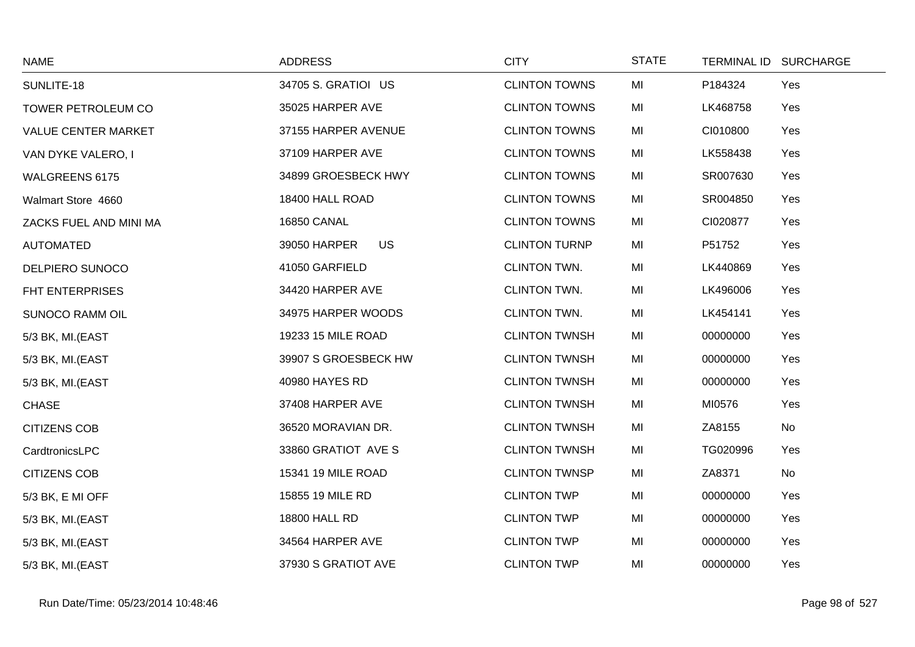| <b>NAME</b>               | <b>ADDRESS</b>       | <b>CITY</b>          | <b>STATE</b> |          | TERMINAL ID SURCHARGE |
|---------------------------|----------------------|----------------------|--------------|----------|-----------------------|
| SUNLITE-18                | 34705 S. GRATIOI US  | <b>CLINTON TOWNS</b> | MI           | P184324  | Yes                   |
| <b>TOWER PETROLEUM CO</b> | 35025 HARPER AVE     | <b>CLINTON TOWNS</b> | MI           | LK468758 | Yes                   |
| VALUE CENTER MARKET       | 37155 HARPER AVENUE  | <b>CLINTON TOWNS</b> | MI           | CI010800 | Yes                   |
| VAN DYKE VALERO, I        | 37109 HARPER AVE     | <b>CLINTON TOWNS</b> | MI           | LK558438 | Yes                   |
| <b>WALGREENS 6175</b>     | 34899 GROESBECK HWY  | <b>CLINTON TOWNS</b> | MI           | SR007630 | Yes                   |
| Walmart Store 4660        | 18400 HALL ROAD      | <b>CLINTON TOWNS</b> | MI           | SR004850 | Yes                   |
| ZACKS FUEL AND MINI MA    | <b>16850 CANAL</b>   | <b>CLINTON TOWNS</b> | MI           | CI020877 | Yes                   |
| <b>AUTOMATED</b>          | US.<br>39050 HARPER  | <b>CLINTON TURNP</b> | MI           | P51752   | Yes                   |
| DELPIERO SUNOCO           | 41050 GARFIELD       | <b>CLINTON TWN.</b>  | MI           | LK440869 | Yes                   |
| <b>FHT ENTERPRISES</b>    | 34420 HARPER AVE     | CLINTON TWN.         | MI           | LK496006 | Yes                   |
| <b>SUNOCO RAMM OIL</b>    | 34975 HARPER WOODS   | <b>CLINTON TWN.</b>  | MI           | LK454141 | Yes                   |
| 5/3 BK, MI.(EAST          | 19233 15 MILE ROAD   | <b>CLINTON TWNSH</b> | MI           | 00000000 | Yes                   |
| 5/3 BK, MI.(EAST          | 39907 S GROESBECK HW | <b>CLINTON TWNSH</b> | MI           | 00000000 | Yes                   |
| 5/3 BK, MI.(EAST          | 40980 HAYES RD       | <b>CLINTON TWNSH</b> | MI           | 00000000 | Yes                   |
| <b>CHASE</b>              | 37408 HARPER AVE     | <b>CLINTON TWNSH</b> | MI           | MI0576   | Yes                   |
| <b>CITIZENS COB</b>       | 36520 MORAVIAN DR.   | <b>CLINTON TWNSH</b> | MI           | ZA8155   | No                    |
| CardtronicsLPC            | 33860 GRATIOT AVE S  | <b>CLINTON TWNSH</b> | MI           | TG020996 | Yes                   |
| <b>CITIZENS COB</b>       | 15341 19 MILE ROAD   | <b>CLINTON TWNSP</b> | MI           | ZA8371   | No                    |
| 5/3 BK, E MI OFF          | 15855 19 MILE RD     | <b>CLINTON TWP</b>   | MI           | 00000000 | Yes                   |
| 5/3 BK, MI.(EAST          | 18800 HALL RD        | <b>CLINTON TWP</b>   | MI           | 00000000 | Yes                   |
| 5/3 BK, MI.(EAST          | 34564 HARPER AVE     | <b>CLINTON TWP</b>   | MI           | 00000000 | Yes                   |
| 5/3 BK, MI.(EAST          | 37930 S GRATIOT AVE  | <b>CLINTON TWP</b>   | MI           | 00000000 | Yes                   |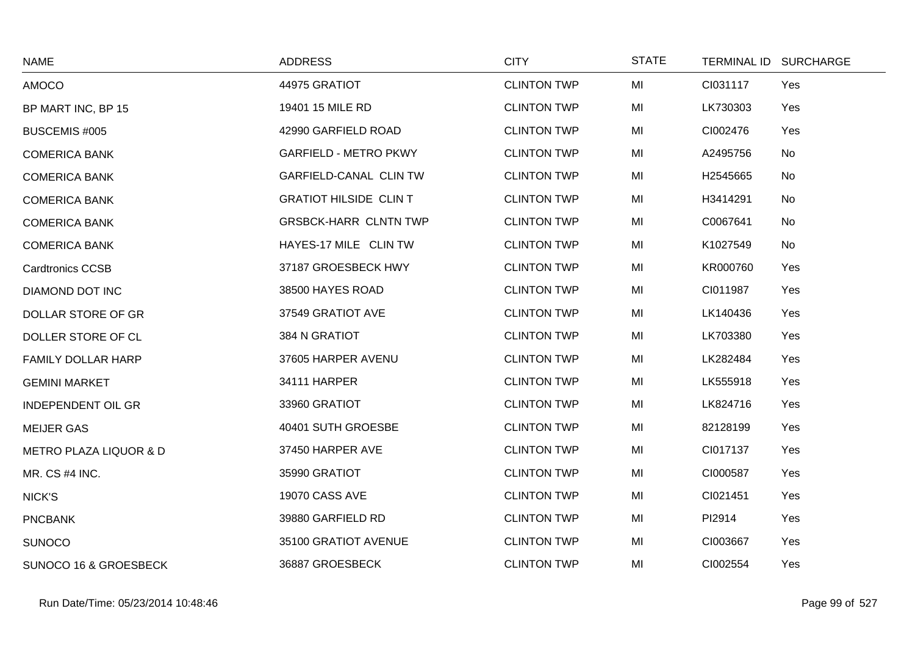| <b>NAME</b>                       | <b>ADDRESS</b>                | <b>CITY</b>        | <b>STATE</b> |          | TERMINAL ID SURCHARGE |
|-----------------------------------|-------------------------------|--------------------|--------------|----------|-----------------------|
| AMOCO                             | 44975 GRATIOT                 | <b>CLINTON TWP</b> | MI           | CI031117 | Yes                   |
| BP MART INC, BP 15                | 19401 15 MILE RD              | <b>CLINTON TWP</b> | MI           | LK730303 | Yes                   |
| BUSCEMIS #005                     | 42990 GARFIELD ROAD           | <b>CLINTON TWP</b> | MI           | CI002476 | Yes                   |
| <b>COMERICA BANK</b>              | <b>GARFIELD - METRO PKWY</b>  | <b>CLINTON TWP</b> | MI           | A2495756 | No                    |
| <b>COMERICA BANK</b>              | <b>GARFIELD-CANAL CLIN TW</b> | <b>CLINTON TWP</b> | MI           | H2545665 | No                    |
| <b>COMERICA BANK</b>              | <b>GRATIOT HILSIDE CLIN T</b> | <b>CLINTON TWP</b> | MI           | H3414291 | No                    |
| <b>COMERICA BANK</b>              | <b>GRSBCK-HARR CLNTN TWP</b>  | <b>CLINTON TWP</b> | MI           | C0067641 | No                    |
| <b>COMERICA BANK</b>              | HAYES-17 MILE CLIN TW         | <b>CLINTON TWP</b> | MI           | K1027549 | No                    |
| <b>Cardtronics CCSB</b>           | 37187 GROESBECK HWY           | <b>CLINTON TWP</b> | MI           | KR000760 | Yes                   |
| DIAMOND DOT INC                   | 38500 HAYES ROAD              | <b>CLINTON TWP</b> | MI           | CI011987 | Yes                   |
| DOLLAR STORE OF GR                | 37549 GRATIOT AVE             | <b>CLINTON TWP</b> | MI           | LK140436 | Yes                   |
| DOLLER STORE OF CL                | 384 N GRATIOT                 | <b>CLINTON TWP</b> | MI           | LK703380 | Yes                   |
| <b>FAMILY DOLLAR HARP</b>         | 37605 HARPER AVENU            | <b>CLINTON TWP</b> | MI           | LK282484 | Yes                   |
| <b>GEMINI MARKET</b>              | 34111 HARPER                  | <b>CLINTON TWP</b> | MI           | LK555918 | Yes                   |
| <b>INDEPENDENT OIL GR</b>         | 33960 GRATIOT                 | <b>CLINTON TWP</b> | MI           | LK824716 | Yes                   |
| <b>MEIJER GAS</b>                 | 40401 SUTH GROESBE            | <b>CLINTON TWP</b> | MI           | 82128199 | Yes                   |
| <b>METRO PLAZA LIQUOR &amp; D</b> | 37450 HARPER AVE              | <b>CLINTON TWP</b> | MI           | CI017137 | Yes                   |
| MR. CS #4 INC.                    | 35990 GRATIOT                 | <b>CLINTON TWP</b> | MI           | CI000587 | Yes                   |
| NICK'S                            | <b>19070 CASS AVE</b>         | <b>CLINTON TWP</b> | MI           | CI021451 | Yes                   |
| <b>PNCBANK</b>                    | 39880 GARFIELD RD             | <b>CLINTON TWP</b> | MI           | PI2914   | Yes                   |
| <b>SUNOCO</b>                     | 35100 GRATIOT AVENUE          | <b>CLINTON TWP</b> | MI           | CI003667 | Yes                   |
| <b>SUNOCO 16 &amp; GROESBECK</b>  | 36887 GROESBECK               | <b>CLINTON TWP</b> | MI           | CI002554 | Yes                   |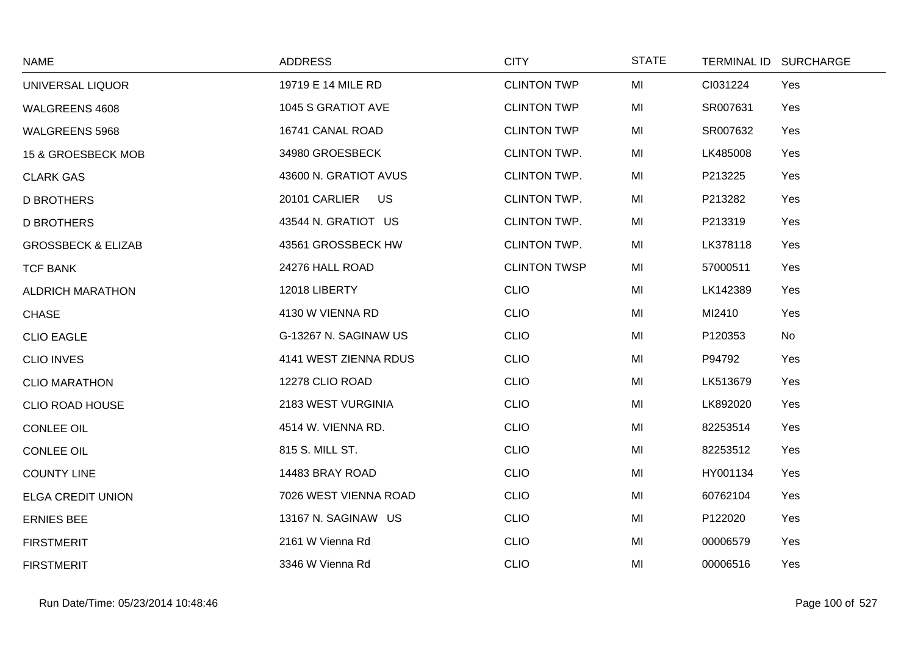| <b>NAME</b>                   | <b>ADDRESS</b>        | <b>CITY</b>         | <b>STATE</b> | TERMINAL ID SURCHARGE |
|-------------------------------|-----------------------|---------------------|--------------|-----------------------|
| UNIVERSAL LIQUOR              | 19719 E 14 MILE RD    | <b>CLINTON TWP</b>  | MI           | CI031224<br>Yes       |
| WALGREENS 4608                | 1045 S GRATIOT AVE    | <b>CLINTON TWP</b>  | MI           | SR007631<br>Yes       |
| WALGREENS 5968                | 16741 CANAL ROAD      | <b>CLINTON TWP</b>  | MI           | SR007632<br>Yes       |
| 15 & GROESBECK MOB            | 34980 GROESBECK       | <b>CLINTON TWP.</b> | MI           | LK485008<br>Yes       |
| <b>CLARK GAS</b>              | 43600 N. GRATIOT AVUS | <b>CLINTON TWP.</b> | MI           | P213225<br>Yes        |
| <b>D BROTHERS</b>             | 20101 CARLIER<br>US   | CLINTON TWP.        | MI           | P213282<br>Yes        |
| <b>D BROTHERS</b>             | 43544 N. GRATIOT US   | CLINTON TWP.        | MI           | P213319<br>Yes        |
| <b>GROSSBECK &amp; ELIZAB</b> | 43561 GROSSBECK HW    | <b>CLINTON TWP.</b> | MI           | LK378118<br>Yes       |
| <b>TCF BANK</b>               | 24276 HALL ROAD       | <b>CLINTON TWSP</b> | MI           | 57000511<br>Yes       |
| <b>ALDRICH MARATHON</b>       | 12018 LIBERTY         | <b>CLIO</b>         | MI           | LK142389<br>Yes       |
| <b>CHASE</b>                  | 4130 W VIENNA RD      | <b>CLIO</b>         | MI           | MI2410<br>Yes         |
| <b>CLIO EAGLE</b>             | G-13267 N. SAGINAW US | <b>CLIO</b>         | MI           | P120353<br>No         |
| <b>CLIO INVES</b>             | 4141 WEST ZIENNA RDUS | <b>CLIO</b>         | MI           | P94792<br>Yes         |
| <b>CLIO MARATHON</b>          | 12278 CLIO ROAD       | <b>CLIO</b>         | MI           | LK513679<br>Yes       |
| <b>CLIO ROAD HOUSE</b>        | 2183 WEST VURGINIA    | <b>CLIO</b>         | MI           | LK892020<br>Yes       |
| <b>CONLEE OIL</b>             | 4514 W. VIENNA RD.    | <b>CLIO</b>         | MI           | 82253514<br>Yes       |
| <b>CONLEE OIL</b>             | 815 S. MILL ST.       | <b>CLIO</b>         | MI           | 82253512<br>Yes       |
| <b>COUNTY LINE</b>            | 14483 BRAY ROAD       | <b>CLIO</b>         | MI           | HY001134<br>Yes       |
| <b>ELGA CREDIT UNION</b>      | 7026 WEST VIENNA ROAD | <b>CLIO</b>         | MI           | 60762104<br>Yes       |
| <b>ERNIES BEE</b>             | 13167 N. SAGINAW US   | <b>CLIO</b>         | MI           | P122020<br>Yes        |
| <b>FIRSTMERIT</b>             | 2161 W Vienna Rd      | <b>CLIO</b>         | MI           | 00006579<br>Yes       |
| <b>FIRSTMERIT</b>             | 3346 W Vienna Rd      | <b>CLIO</b>         | MI           | Yes<br>00006516       |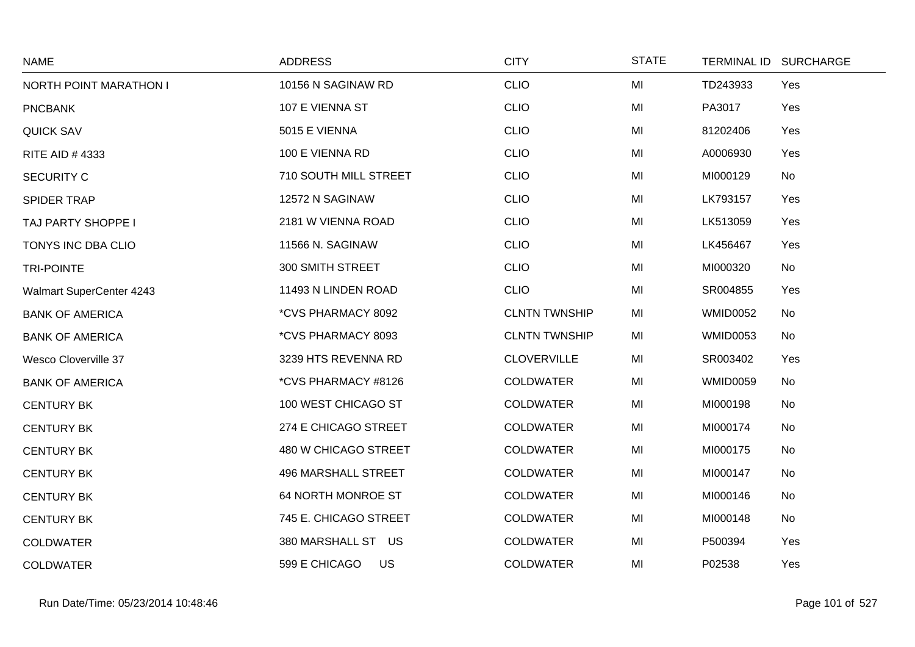| <b>NAME</b>                     | <b>ADDRESS</b>             | <b>CITY</b>          | <b>STATE</b> |                 | TERMINAL ID SURCHARGE |
|---------------------------------|----------------------------|----------------------|--------------|-----------------|-----------------------|
| NORTH POINT MARATHON I          | 10156 N SAGINAW RD         | <b>CLIO</b>          | MI           | TD243933        | Yes                   |
| <b>PNCBANK</b>                  | 107 E VIENNA ST            | <b>CLIO</b>          | MI           | PA3017          | Yes                   |
| <b>QUICK SAV</b>                | 5015 E VIENNA              | <b>CLIO</b>          | MI           | 81202406        | Yes                   |
| RITE AID #4333                  | 100 E VIENNA RD            | <b>CLIO</b>          | MI           | A0006930        | Yes                   |
| <b>SECURITY C</b>               | 710 SOUTH MILL STREET      | <b>CLIO</b>          | MI           | MI000129        | No                    |
| SPIDER TRAP                     | 12572 N SAGINAW            | <b>CLIO</b>          | MI           | LK793157        | Yes                   |
| TAJ PARTY SHOPPE I              | 2181 W VIENNA ROAD         | <b>CLIO</b>          | MI           | LK513059        | Yes                   |
| TONYS INC DBA CLIO              | 11566 N. SAGINAW           | <b>CLIO</b>          | MI           | LK456467        | Yes                   |
| <b>TRI-POINTE</b>               | 300 SMITH STREET           | <b>CLIO</b>          | MI           | MI000320        | No                    |
| <b>Walmart SuperCenter 4243</b> | 11493 N LINDEN ROAD        | <b>CLIO</b>          | MI           | SR004855        | Yes                   |
| <b>BANK OF AMERICA</b>          | *CVS PHARMACY 8092         | <b>CLNTN TWNSHIP</b> | MI           | <b>WMID0052</b> | No                    |
| <b>BANK OF AMERICA</b>          | *CVS PHARMACY 8093         | <b>CLNTN TWNSHIP</b> | MI           | <b>WMID0053</b> | No                    |
| Wesco Cloverville 37            | 3239 HTS REVENNA RD        | <b>CLOVERVILLE</b>   | MI           | SR003402        | Yes                   |
| <b>BANK OF AMERICA</b>          | *CVS PHARMACY #8126        | <b>COLDWATER</b>     | MI           | <b>WMID0059</b> | No                    |
| <b>CENTURY BK</b>               | 100 WEST CHICAGO ST        | <b>COLDWATER</b>     | MI           | MI000198        | No                    |
| <b>CENTURY BK</b>               | 274 E CHICAGO STREET       | <b>COLDWATER</b>     | MI           | MI000174        | No                    |
| <b>CENTURY BK</b>               | 480 W CHICAGO STREET       | <b>COLDWATER</b>     | MI           | MI000175        | No                    |
| <b>CENTURY BK</b>               | <b>496 MARSHALL STREET</b> | <b>COLDWATER</b>     | MI           | MI000147        | No                    |
| <b>CENTURY BK</b>               | 64 NORTH MONROE ST         | <b>COLDWATER</b>     | MI           | MI000146        | No                    |
| <b>CENTURY BK</b>               | 745 E. CHICAGO STREET      | <b>COLDWATER</b>     | MI           | MI000148        | No                    |
| <b>COLDWATER</b>                | 380 MARSHALL ST US         | <b>COLDWATER</b>     | MI           | P500394         | Yes                   |
| <b>COLDWATER</b>                | 599 E CHICAGO<br>US        | <b>COLDWATER</b>     | MI           | P02538          | Yes                   |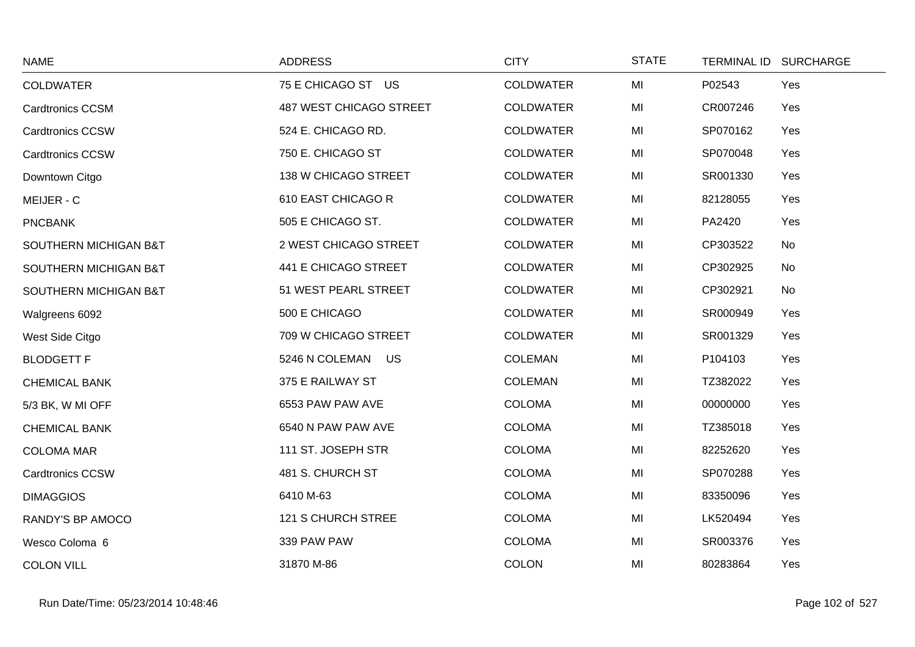| <b>NAME</b>             | <b>ADDRESS</b>            | <b>CITY</b>      | <b>STATE</b> | TERMINAL ID SURCHARGE |  |
|-------------------------|---------------------------|------------------|--------------|-----------------------|--|
| <b>COLDWATER</b>        | 75 E CHICAGO ST US        | <b>COLDWATER</b> | MI           | P02543<br>Yes         |  |
| <b>Cardtronics CCSM</b> | 487 WEST CHICAGO STREET   | <b>COLDWATER</b> | MI           | CR007246<br>Yes       |  |
| <b>Cardtronics CCSW</b> | 524 E. CHICAGO RD.        | <b>COLDWATER</b> | MI           | SP070162<br>Yes       |  |
| <b>Cardtronics CCSW</b> | 750 E. CHICAGO ST         | <b>COLDWATER</b> | MI           | SP070048<br>Yes       |  |
| Downtown Citgo          | 138 W CHICAGO STREET      | <b>COLDWATER</b> | MI           | SR001330<br>Yes       |  |
| MEIJER - C              | 610 EAST CHICAGO R        | <b>COLDWATER</b> | MI           | 82128055<br>Yes       |  |
| <b>PNCBANK</b>          | 505 E CHICAGO ST.         | <b>COLDWATER</b> | MI           | PA2420<br>Yes         |  |
| SOUTHERN MICHIGAN B&T   | 2 WEST CHICAGO STREET     | <b>COLDWATER</b> | MI           | CP303522<br>No        |  |
| SOUTHERN MICHIGAN B&T   | 441 E CHICAGO STREET      | <b>COLDWATER</b> | MI           | CP302925<br>No        |  |
| SOUTHERN MICHIGAN B&T   | 51 WEST PEARL STREET      | <b>COLDWATER</b> | MI           | CP302921<br>No        |  |
| Walgreens 6092          | 500 E CHICAGO             | <b>COLDWATER</b> | MI           | SR000949<br>Yes       |  |
| West Side Citgo         | 709 W CHICAGO STREET      | <b>COLDWATER</b> | MI           | SR001329<br>Yes       |  |
| <b>BLODGETT F</b>       | 5246 N COLEMAN US         | <b>COLEMAN</b>   | MI           | P104103<br>Yes        |  |
| <b>CHEMICAL BANK</b>    | 375 E RAILWAY ST          | <b>COLEMAN</b>   | MI           | TZ382022<br>Yes       |  |
| 5/3 BK, W MI OFF        | 6553 PAW PAW AVE          | <b>COLOMA</b>    | MI           | 00000000<br>Yes       |  |
| <b>CHEMICAL BANK</b>    | 6540 N PAW PAW AVE        | <b>COLOMA</b>    | MI           | TZ385018<br>Yes       |  |
| <b>COLOMA MAR</b>       | 111 ST. JOSEPH STR        | <b>COLOMA</b>    | MI           | 82252620<br>Yes       |  |
| <b>Cardtronics CCSW</b> | 481 S. CHURCH ST          | <b>COLOMA</b>    | MI           | SP070288<br>Yes       |  |
| <b>DIMAGGIOS</b>        | 6410 M-63                 | <b>COLOMA</b>    | MI           | 83350096<br>Yes       |  |
| RANDY'S BP AMOCO        | <b>121 S CHURCH STREE</b> | <b>COLOMA</b>    | MI           | LK520494<br>Yes       |  |
| Wesco Coloma 6          | 339 PAW PAW               | <b>COLOMA</b>    | MI           | SR003376<br>Yes       |  |
| <b>COLON VILL</b>       | 31870 M-86                | <b>COLON</b>     | MI           | 80283864<br>Yes       |  |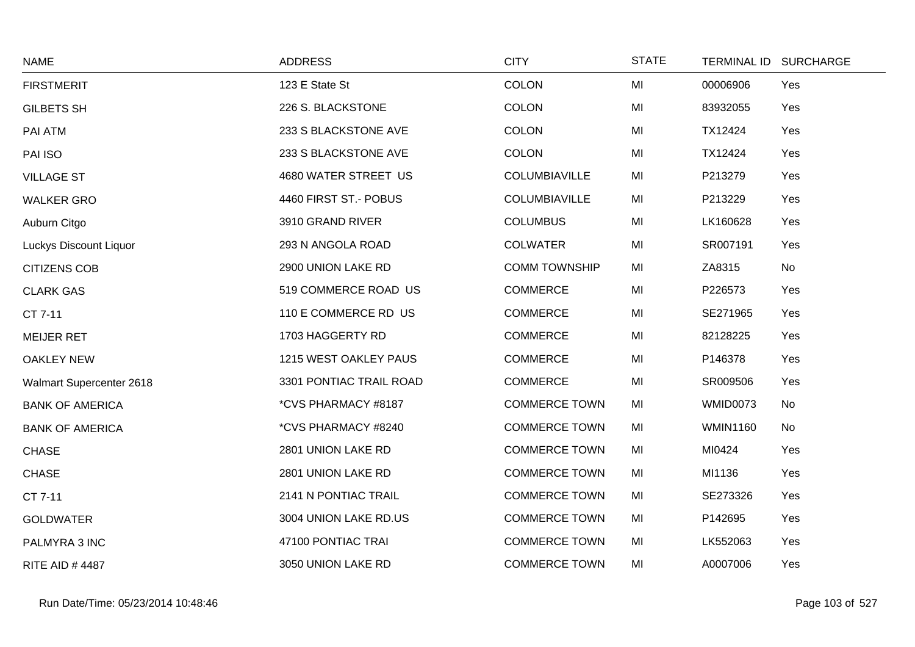| <b>NAME</b>              | <b>ADDRESS</b>          | <b>CITY</b>          | <b>STATE</b> |                 | TERMINAL ID SURCHARGE |
|--------------------------|-------------------------|----------------------|--------------|-----------------|-----------------------|
| <b>FIRSTMERIT</b>        | 123 E State St          | <b>COLON</b>         | MI           | 00006906        | Yes                   |
| <b>GILBETS SH</b>        | 226 S. BLACKSTONE       | <b>COLON</b>         | MI           | 83932055        | Yes                   |
| PAI ATM                  | 233 S BLACKSTONE AVE    | <b>COLON</b>         | MI           | TX12424         | Yes                   |
| PAI ISO                  | 233 S BLACKSTONE AVE    | <b>COLON</b>         | MI           | TX12424         | Yes                   |
| <b>VILLAGE ST</b>        | 4680 WATER STREET US    | COLUMBIAVILLE        | MI           | P213279         | Yes                   |
| <b>WALKER GRO</b>        | 4460 FIRST ST.- POBUS   | COLUMBIAVILLE        | MI           | P213229         | Yes                   |
| Auburn Citgo             | 3910 GRAND RIVER        | <b>COLUMBUS</b>      | MI           | LK160628        | Yes                   |
| Luckys Discount Liquor   | 293 N ANGOLA ROAD       | <b>COLWATER</b>      | MI           | SR007191        | Yes                   |
| <b>CITIZENS COB</b>      | 2900 UNION LAKE RD      | <b>COMM TOWNSHIP</b> | MI           | ZA8315          | No                    |
| <b>CLARK GAS</b>         | 519 COMMERCE ROAD US    | <b>COMMERCE</b>      | MI           | P226573         | Yes                   |
| CT 7-11                  | 110 E COMMERCE RD US    | <b>COMMERCE</b>      | MI           | SE271965        | Yes                   |
| <b>MEIJER RET</b>        | 1703 HAGGERTY RD        | <b>COMMERCE</b>      | MI           | 82128225        | Yes                   |
| <b>OAKLEY NEW</b>        | 1215 WEST OAKLEY PAUS   | <b>COMMERCE</b>      | MI           | P146378         | Yes                   |
| Walmart Supercenter 2618 | 3301 PONTIAC TRAIL ROAD | <b>COMMERCE</b>      | MI           | SR009506        | Yes                   |
| <b>BANK OF AMERICA</b>   | *CVS PHARMACY #8187     | <b>COMMERCE TOWN</b> | MI           | <b>WMID0073</b> | No                    |
| <b>BANK OF AMERICA</b>   | *CVS PHARMACY #8240     | <b>COMMERCE TOWN</b> | MI           | <b>WMIN1160</b> | No                    |
| <b>CHASE</b>             | 2801 UNION LAKE RD      | <b>COMMERCE TOWN</b> | MI           | MI0424          | Yes                   |
| <b>CHASE</b>             | 2801 UNION LAKE RD      | <b>COMMERCE TOWN</b> | MI           | MI1136          | Yes                   |
| CT 7-11                  | 2141 N PONTIAC TRAIL    | <b>COMMERCE TOWN</b> | MI           | SE273326        | Yes                   |
| <b>GOLDWATER</b>         | 3004 UNION LAKE RD.US   | <b>COMMERCE TOWN</b> | MI           | P142695         | Yes                   |
| PALMYRA 3 INC            | 47100 PONTIAC TRAI      | <b>COMMERCE TOWN</b> | MI           | LK552063        | Yes                   |
| <b>RITE AID #4487</b>    | 3050 UNION LAKE RD      | <b>COMMERCE TOWN</b> | MI           | A0007006        | Yes                   |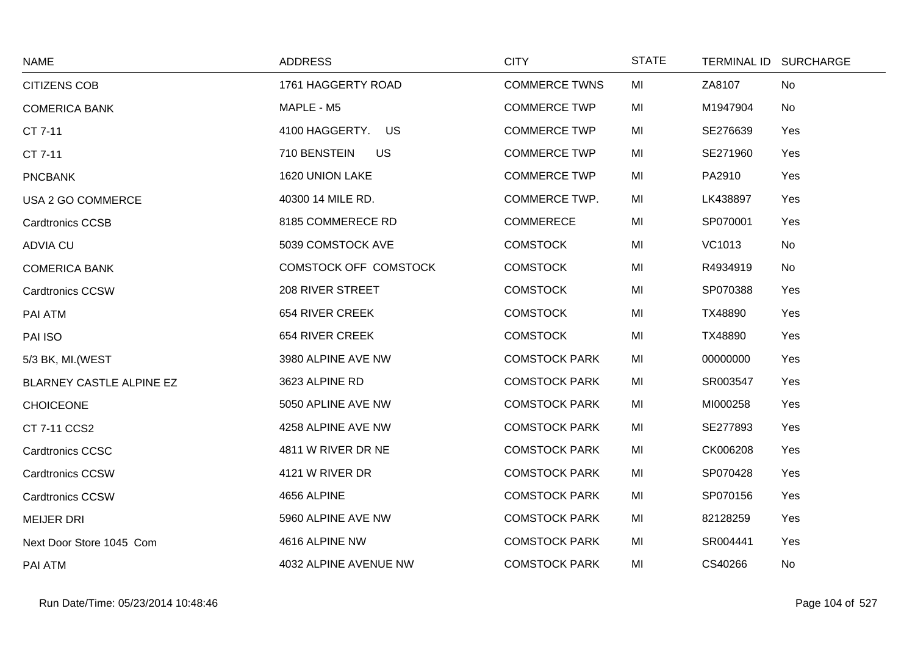| <b>NAME</b>              | <b>ADDRESS</b>            | <b>CITY</b>          | <b>STATE</b> |          | TERMINAL ID SURCHARGE |
|--------------------------|---------------------------|----------------------|--------------|----------|-----------------------|
| <b>CITIZENS COB</b>      | 1761 HAGGERTY ROAD        | <b>COMMERCE TWNS</b> | MI           | ZA8107   | <b>No</b>             |
| <b>COMERICA BANK</b>     | MAPLE - M5                | <b>COMMERCE TWP</b>  | MI           | M1947904 | No                    |
| CT 7-11                  | 4100 HAGGERTY. US         | <b>COMMERCE TWP</b>  | MI           | SE276639 | Yes                   |
| CT 7-11                  | 710 BENSTEIN<br><b>US</b> | <b>COMMERCE TWP</b>  | MI           | SE271960 | Yes                   |
| <b>PNCBANK</b>           | 1620 UNION LAKE           | <b>COMMERCE TWP</b>  | MI           | PA2910   | Yes                   |
| USA 2 GO COMMERCE        | 40300 14 MILE RD.         | <b>COMMERCE TWP.</b> | MI           | LK438897 | Yes                   |
| <b>Cardtronics CCSB</b>  | 8185 COMMERECE RD         | <b>COMMERECE</b>     | MI           | SP070001 | Yes                   |
| <b>ADVIA CU</b>          | 5039 COMSTOCK AVE         | <b>COMSTOCK</b>      | MI           | VC1013   | No                    |
| <b>COMERICA BANK</b>     | COMSTOCK OFF COMSTOCK     | <b>COMSTOCK</b>      | MI           | R4934919 | No                    |
| <b>Cardtronics CCSW</b>  | 208 RIVER STREET          | <b>COMSTOCK</b>      | MI           | SP070388 | Yes                   |
| PAI ATM                  | 654 RIVER CREEK           | <b>COMSTOCK</b>      | MI           | TX48890  | Yes                   |
| PAI ISO                  | 654 RIVER CREEK           | <b>COMSTOCK</b>      | MI           | TX48890  | Yes                   |
| 5/3 BK, MI. (WEST        | 3980 ALPINE AVE NW        | <b>COMSTOCK PARK</b> | MI           | 00000000 | Yes                   |
| BLARNEY CASTLE ALPINE EZ | 3623 ALPINE RD            | <b>COMSTOCK PARK</b> | MI           | SR003547 | Yes                   |
| <b>CHOICEONE</b>         | 5050 APLINE AVE NW        | <b>COMSTOCK PARK</b> | MI           | MI000258 | Yes                   |
| CT 7-11 CCS2             | 4258 ALPINE AVE NW        | <b>COMSTOCK PARK</b> | MI           | SE277893 | Yes                   |
| <b>Cardtronics CCSC</b>  | 4811 W RIVER DR NE        | <b>COMSTOCK PARK</b> | MI           | CK006208 | Yes                   |
| <b>Cardtronics CCSW</b>  | 4121 W RIVER DR           | <b>COMSTOCK PARK</b> | MI           | SP070428 | Yes                   |
| <b>Cardtronics CCSW</b>  | 4656 ALPINE               | <b>COMSTOCK PARK</b> | MI           | SP070156 | Yes                   |
| <b>MEIJER DRI</b>        | 5960 ALPINE AVE NW        | <b>COMSTOCK PARK</b> | MI           | 82128259 | Yes                   |
| Next Door Store 1045 Com | 4616 ALPINE NW            | <b>COMSTOCK PARK</b> | MI           | SR004441 | Yes                   |
| PAI ATM                  | 4032 ALPINE AVENUE NW     | <b>COMSTOCK PARK</b> | MI           | CS40266  | No                    |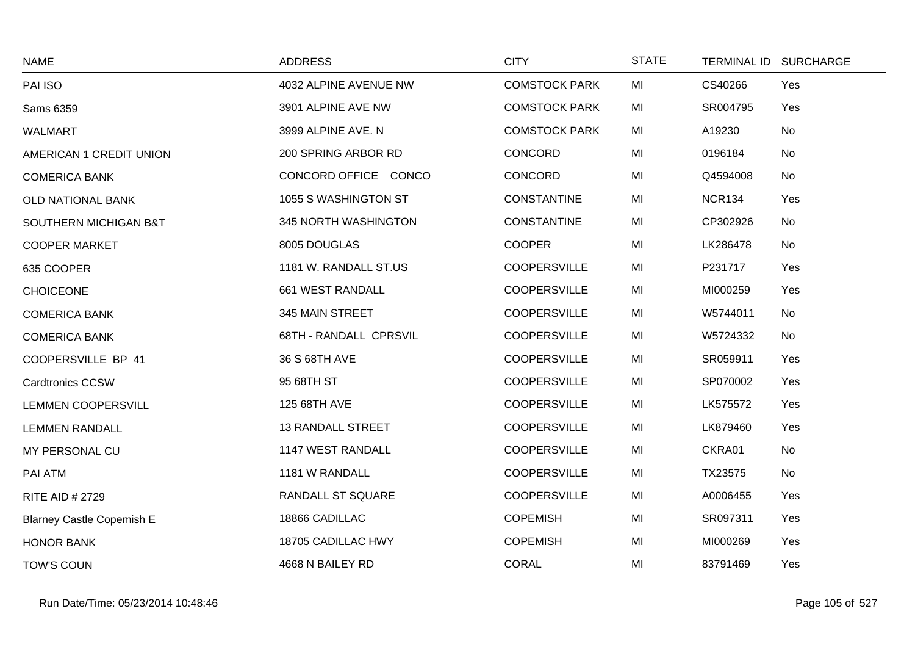| <b>NAME</b>                      | <b>ADDRESS</b>           | <b>CITY</b>          | <b>STATE</b> |               | TERMINAL ID SURCHARGE |
|----------------------------------|--------------------------|----------------------|--------------|---------------|-----------------------|
| PAI ISO                          | 4032 ALPINE AVENUE NW    | <b>COMSTOCK PARK</b> | MI           | CS40266       | Yes                   |
| Sams 6359                        | 3901 ALPINE AVE NW       | <b>COMSTOCK PARK</b> | MI           | SR004795      | Yes                   |
| <b>WALMART</b>                   | 3999 ALPINE AVE. N       | <b>COMSTOCK PARK</b> | MI           | A19230        | No                    |
| <b>AMERICAN 1 CREDIT UNION</b>   | 200 SPRING ARBOR RD      | CONCORD              | MI           | 0196184       | No                    |
| <b>COMERICA BANK</b>             | CONCORD OFFICE CONCO     | <b>CONCORD</b>       | MI           | Q4594008      | No                    |
| OLD NATIONAL BANK                | 1055 S WASHINGTON ST     | <b>CONSTANTINE</b>   | MI           | <b>NCR134</b> | Yes                   |
| SOUTHERN MICHIGAN B&T            | 345 NORTH WASHINGTON     | <b>CONSTANTINE</b>   | MI           | CP302926      | No                    |
| <b>COOPER MARKET</b>             | 8005 DOUGLAS             | <b>COOPER</b>        | MI           | LK286478      | No                    |
| 635 COOPER                       | 1181 W. RANDALL ST.US    | <b>COOPERSVILLE</b>  | MI           | P231717       | Yes                   |
| <b>CHOICEONE</b>                 | 661 WEST RANDALL         | <b>COOPERSVILLE</b>  | MI           | MI000259      | Yes                   |
| <b>COMERICA BANK</b>             | 345 MAIN STREET          | <b>COOPERSVILLE</b>  | MI           | W5744011      | No                    |
| <b>COMERICA BANK</b>             | 68TH - RANDALL CPRSVIL   | <b>COOPERSVILLE</b>  | MI           | W5724332      | No                    |
| COOPERSVILLE BP 41               | 36 S 68TH AVE            | <b>COOPERSVILLE</b>  | MI           | SR059911      | Yes                   |
| <b>Cardtronics CCSW</b>          | 95 68TH ST               | <b>COOPERSVILLE</b>  | MI           | SP070002      | Yes                   |
| <b>LEMMEN COOPERSVILL</b>        | 125 68TH AVE             | <b>COOPERSVILLE</b>  | MI           | LK575572      | Yes                   |
| <b>LEMMEN RANDALL</b>            | <b>13 RANDALL STREET</b> | <b>COOPERSVILLE</b>  | MI           | LK879460      | Yes                   |
| MY PERSONAL CU                   | 1147 WEST RANDALL        | <b>COOPERSVILLE</b>  | MI           | CKRA01        | No                    |
| PAI ATM                          | 1181 W RANDALL           | <b>COOPERSVILLE</b>  | MI           | TX23575       | No                    |
| <b>RITE AID # 2729</b>           | <b>RANDALL ST SQUARE</b> | <b>COOPERSVILLE</b>  | MI           | A0006455      | Yes                   |
| <b>Blarney Castle Copemish E</b> | 18866 CADILLAC           | <b>COPEMISH</b>      | MI           | SR097311      | Yes                   |
| <b>HONOR BANK</b>                | 18705 CADILLAC HWY       | <b>COPEMISH</b>      | MI           | MI000269      | Yes                   |
| <b>TOW'S COUN</b>                | 4668 N BAILEY RD         | <b>CORAL</b>         | MI           | 83791469      | Yes                   |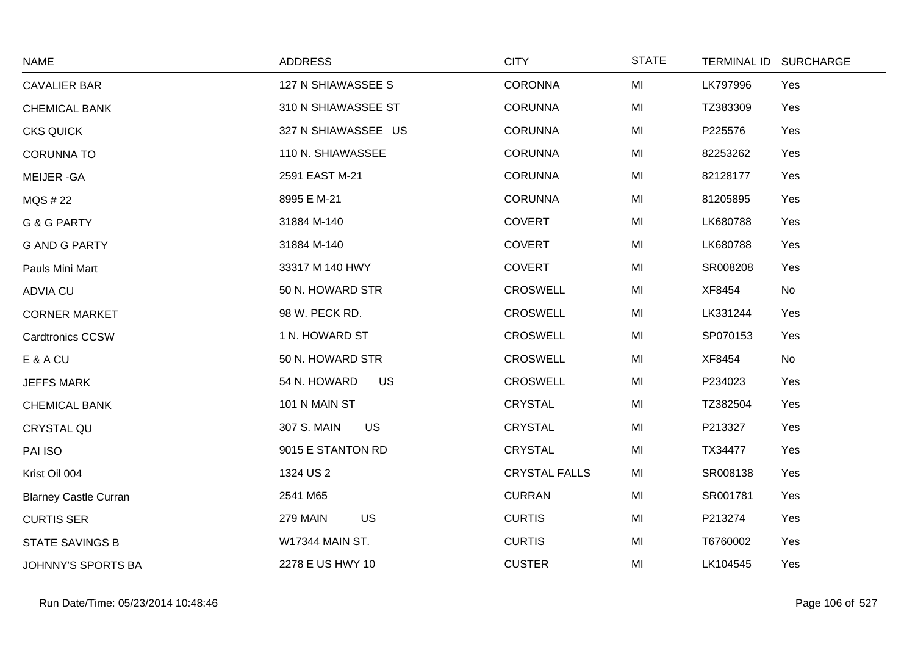| <b>NAME</b>                  | <b>ADDRESS</b>            | <b>CITY</b>          | <b>STATE</b> | TERMINAL ID SURCHARGE |     |
|------------------------------|---------------------------|----------------------|--------------|-----------------------|-----|
| <b>CAVALIER BAR</b>          | 127 N SHIAWASSEE S        | <b>CORONNA</b>       | MI           | LK797996              | Yes |
| <b>CHEMICAL BANK</b>         | 310 N SHIAWASSEE ST       | <b>CORUNNA</b>       | MI           | TZ383309              | Yes |
| <b>CKS QUICK</b>             | 327 N SHIAWASSEE US       | <b>CORUNNA</b>       | MI           | P225576               | Yes |
| <b>CORUNNA TO</b>            | 110 N. SHIAWASSEE         | <b>CORUNNA</b>       | MI           | 82253262              | Yes |
| <b>MEIJER-GA</b>             | 2591 EAST M-21            | <b>CORUNNA</b>       | MI           | 82128177              | Yes |
| MQS # 22                     | 8995 E M-21               | <b>CORUNNA</b>       | MI           | 81205895              | Yes |
| <b>G &amp; G PARTY</b>       | 31884 M-140               | <b>COVERT</b>        | MI           | LK680788              | Yes |
| <b>G AND G PARTY</b>         | 31884 M-140               | <b>COVERT</b>        | MI           | LK680788              | Yes |
| Pauls Mini Mart              | 33317 M 140 HWY           | <b>COVERT</b>        | MI           | SR008208              | Yes |
| <b>ADVIA CU</b>              | 50 N. HOWARD STR          | <b>CROSWELL</b>      | MI           | XF8454                | No  |
| <b>CORNER MARKET</b>         | 98 W. PECK RD.            | <b>CROSWELL</b>      | MI           | LK331244              | Yes |
| <b>Cardtronics CCSW</b>      | 1 N. HOWARD ST            | <b>CROSWELL</b>      | MI           | SP070153              | Yes |
| E & A CU                     | 50 N. HOWARD STR          | <b>CROSWELL</b>      | MI           | XF8454                | No  |
| <b>JEFFS MARK</b>            | 54 N. HOWARD<br><b>US</b> | <b>CROSWELL</b>      | MI           | P234023               | Yes |
| <b>CHEMICAL BANK</b>         | 101 N MAIN ST             | <b>CRYSTAL</b>       | MI           | TZ382504              | Yes |
| CRYSTAL QU                   | 307 S. MAIN<br>US         | <b>CRYSTAL</b>       | MI           | P213327               | Yes |
| PAI ISO                      | 9015 E STANTON RD         | <b>CRYSTAL</b>       | MI           | TX34477               | Yes |
| Krist Oil 004                | 1324 US 2                 | <b>CRYSTAL FALLS</b> | MI           | SR008138              | Yes |
| <b>Blarney Castle Curran</b> | 2541 M65                  | <b>CURRAN</b>        | MI           | SR001781              | Yes |
| <b>CURTIS SER</b>            | <b>US</b><br>279 MAIN     | <b>CURTIS</b>        | MI           | P213274               | Yes |
| <b>STATE SAVINGS B</b>       | W17344 MAIN ST.           | <b>CURTIS</b>        | MI           | T6760002              | Yes |
| JOHNNY'S SPORTS BA           | 2278 E US HWY 10          | <b>CUSTER</b>        | MI           | LK104545              | Yes |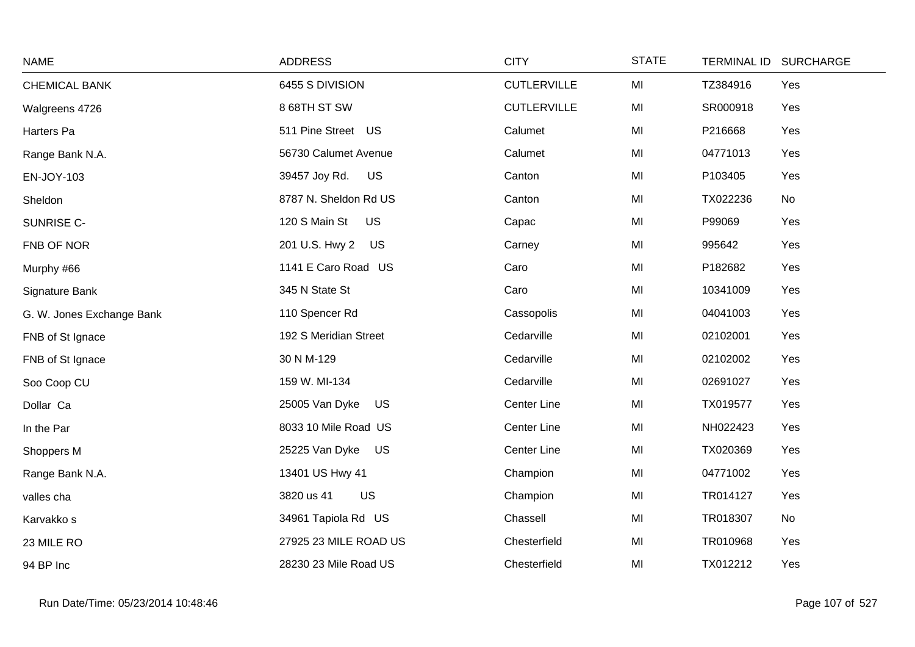| <b>NAME</b>               | <b>ADDRESS</b>              | <b>CITY</b>        | <b>STATE</b> | <b>TERMINAL ID</b> | <b>SURCHARGE</b> |
|---------------------------|-----------------------------|--------------------|--------------|--------------------|------------------|
| <b>CHEMICAL BANK</b>      | 6455 S DIVISION             | <b>CUTLERVILLE</b> | MI           | TZ384916           | Yes              |
| Walgreens 4726            | 8 68TH ST SW                | <b>CUTLERVILLE</b> | MI           | SR000918           | Yes              |
| Harters Pa                | 511 Pine Street US          | Calumet            | MI           | P216668            | Yes              |
| Range Bank N.A.           | 56730 Calumet Avenue        | Calumet            | MI           | 04771013           | Yes              |
| EN-JOY-103                | 39457 Joy Rd.<br>US         | Canton             | MI           | P103405            | Yes              |
| Sheldon                   | 8787 N. Sheldon Rd US       | Canton             | MI           | TX022236           | No               |
| SUNRISE C-                | 120 S Main St<br>US         | Capac              | MI           | P99069             | Yes              |
| FNB OF NOR                | 201 U.S. Hwy 2 US           | Carney             | MI           | 995642             | Yes              |
| Murphy #66                | 1141 E Caro Road US         | Caro               | MI           | P182682            | Yes              |
| Signature Bank            | 345 N State St              | Caro               | MI           | 10341009           | Yes              |
| G. W. Jones Exchange Bank | 110 Spencer Rd              | Cassopolis         | MI           | 04041003           | Yes              |
| FNB of St Ignace          | 192 S Meridian Street       | Cedarville         | MI           | 02102001           | Yes              |
| FNB of St Ignace          | 30 N M-129                  | Cedarville         | MI           | 02102002           | Yes              |
| Soo Coop CU               | 159 W. MI-134               | Cedarville         | MI           | 02691027           | Yes              |
| Dollar Ca                 | 25005 Van Dyke<br><b>US</b> | Center Line        | MI           | TX019577           | Yes              |
| In the Par                | 8033 10 Mile Road US        | Center Line        | MI           | NH022423           | Yes              |
| Shoppers M                | 25225 Van Dyke<br>US        | <b>Center Line</b> | MI           | TX020369           | Yes              |
| Range Bank N.A.           | 13401 US Hwy 41             | Champion           | MI           | 04771002           | Yes              |
| valles cha                | US<br>3820 us 41            | Champion           | MI           | TR014127           | Yes              |
| Karvakko s                | 34961 Tapiola Rd US         | Chassell           | MI           | TR018307           | No               |
| 23 MILE RO                | 27925 23 MILE ROAD US       | Chesterfield       | MI           | TR010968           | Yes              |
| 94 BP Inc                 | 28230 23 Mile Road US       | Chesterfield       | MI           | TX012212           | Yes              |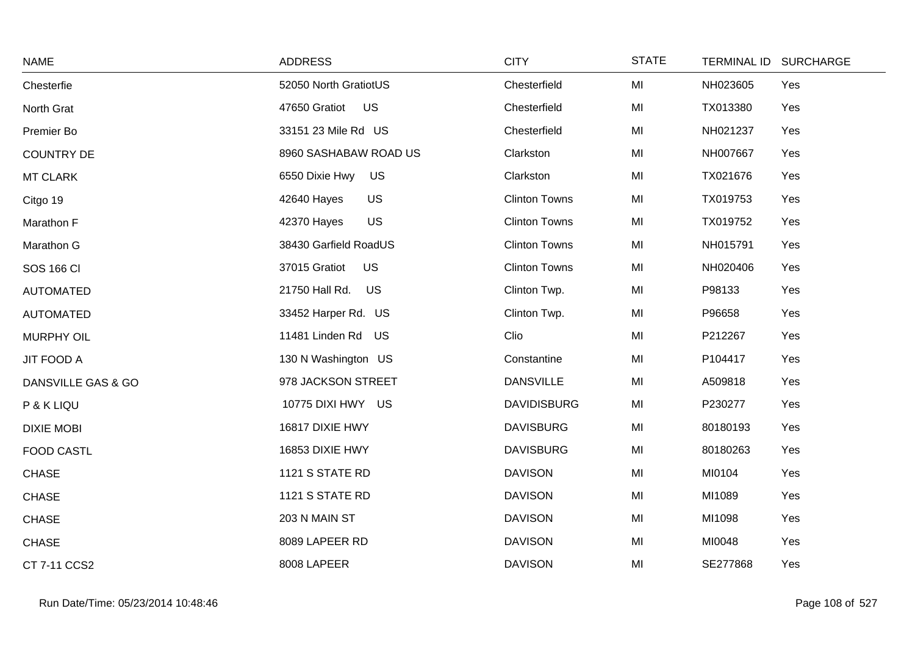| <b>NAME</b>        | <b>ADDRESS</b>               | <b>CITY</b>          | <b>STATE</b> |          | TERMINAL ID SURCHARGE |
|--------------------|------------------------------|----------------------|--------------|----------|-----------------------|
| Chesterfie         | 52050 North GratiotUS        | Chesterfield         | MI           | NH023605 | Yes                   |
| North Grat         | 47650 Gratiot US             | Chesterfield         | MI           | TX013380 | Yes                   |
| Premier Bo         | 33151 23 Mile Rd US          | Chesterfield         | MI           | NH021237 | Yes                   |
| <b>COUNTRY DE</b>  | 8960 SASHABAW ROAD US        | Clarkston            | MI           | NH007667 | Yes                   |
| <b>MT CLARK</b>    | 6550 Dixie Hwy US            | Clarkston            | MI           | TX021676 | Yes                   |
| Citgo 19           | <b>US</b><br>42640 Hayes     | <b>Clinton Towns</b> | MI           | TX019753 | Yes                   |
| Marathon F         | 42370 Hayes<br>US            | <b>Clinton Towns</b> | MI           | TX019752 | Yes                   |
| Marathon G         | 38430 Garfield RoadUS        | <b>Clinton Towns</b> | MI           | NH015791 | Yes                   |
| <b>SOS 166 CI</b>  | 37015 Gratiot<br><b>US</b>   | <b>Clinton Towns</b> | MI           | NH020406 | Yes                   |
| <b>AUTOMATED</b>   | 21750 Hall Rd.<br><b>US</b>  | Clinton Twp.         | MI           | P98133   | Yes                   |
| <b>AUTOMATED</b>   | 33452 Harper Rd. US          | Clinton Twp.         | MI           | P96658   | Yes                   |
| <b>MURPHY OIL</b>  | 11481 Linden Rd<br><b>US</b> | Clio                 | MI           | P212267  | Yes                   |
| <b>JIT FOOD A</b>  | 130 N Washington US          | Constantine          | MI           | P104417  | Yes                   |
| DANSVILLE GAS & GO | 978 JACKSON STREET           | <b>DANSVILLE</b>     | MI           | A509818  | Yes                   |
| P & K LIQU         | 10775 DIXI HWY US            | <b>DAVIDISBURG</b>   | MI           | P230277  | Yes                   |
| <b>DIXIE MOBI</b>  | 16817 DIXIE HWY              | <b>DAVISBURG</b>     | MI           | 80180193 | Yes                   |
| <b>FOOD CASTL</b>  | 16853 DIXIE HWY              | <b>DAVISBURG</b>     | MI           | 80180263 | Yes                   |
| <b>CHASE</b>       | 1121 S STATE RD              | <b>DAVISON</b>       | MI           | MI0104   | Yes                   |
| <b>CHASE</b>       | 1121 S STATE RD              | <b>DAVISON</b>       | MI           | MI1089   | Yes                   |
| <b>CHASE</b>       | 203 N MAIN ST                | <b>DAVISON</b>       | MI           | MI1098   | Yes                   |
| <b>CHASE</b>       | 8089 LAPEER RD               | <b>DAVISON</b>       | MI           | MI0048   | Yes                   |
| CT 7-11 CCS2       | 8008 LAPEER                  | <b>DAVISON</b>       | MI           | SE277868 | Yes                   |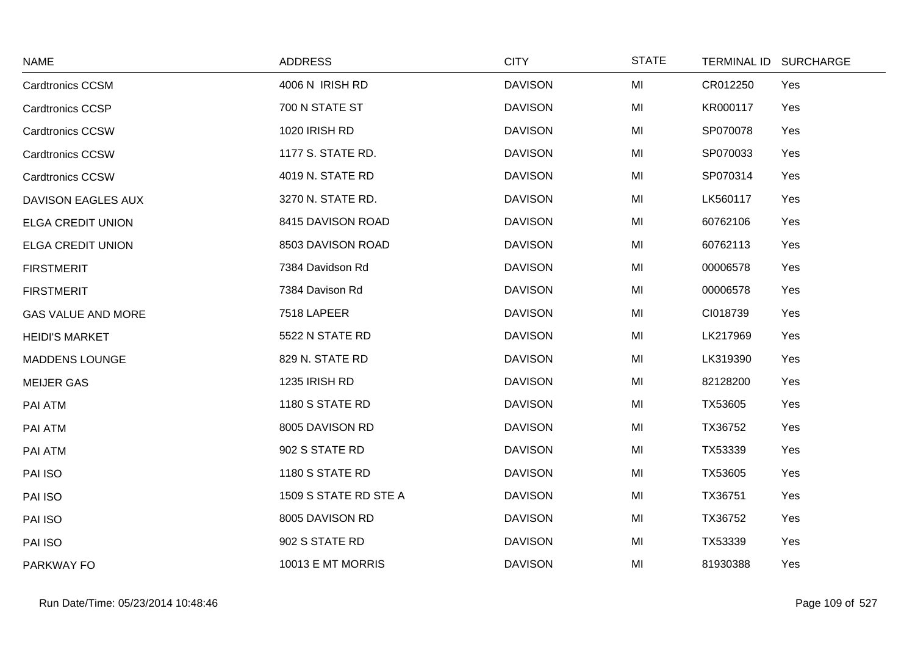| <b>NAME</b>               | <b>ADDRESS</b>        | <b>CITY</b>    | <b>STATE</b> | TERMINAL ID SURCHARGE |     |
|---------------------------|-----------------------|----------------|--------------|-----------------------|-----|
| <b>Cardtronics CCSM</b>   | 4006 N IRISH RD       | <b>DAVISON</b> | MI           | CR012250              | Yes |
| <b>Cardtronics CCSP</b>   | 700 N STATE ST        | <b>DAVISON</b> | MI           | KR000117              | Yes |
| <b>Cardtronics CCSW</b>   | 1020 IRISH RD         | <b>DAVISON</b> | MI           | SP070078              | Yes |
| <b>Cardtronics CCSW</b>   | 1177 S. STATE RD.     | <b>DAVISON</b> | MI           | SP070033              | Yes |
| <b>Cardtronics CCSW</b>   | 4019 N. STATE RD      | <b>DAVISON</b> | MI           | SP070314              | Yes |
| DAVISON EAGLES AUX        | 3270 N. STATE RD.     | <b>DAVISON</b> | MI           | LK560117              | Yes |
| <b>ELGA CREDIT UNION</b>  | 8415 DAVISON ROAD     | <b>DAVISON</b> | MI           | 60762106              | Yes |
| <b>ELGA CREDIT UNION</b>  | 8503 DAVISON ROAD     | <b>DAVISON</b> | MI           | 60762113              | Yes |
| <b>FIRSTMERIT</b>         | 7384 Davidson Rd      | <b>DAVISON</b> | MI           | 00006578              | Yes |
| <b>FIRSTMERIT</b>         | 7384 Davison Rd       | <b>DAVISON</b> | MI           | 00006578              | Yes |
| <b>GAS VALUE AND MORE</b> | 7518 LAPEER           | <b>DAVISON</b> | MI           | CI018739              | Yes |
| <b>HEIDI'S MARKET</b>     | 5522 N STATE RD       | <b>DAVISON</b> | MI           | LK217969              | Yes |
| <b>MADDENS LOUNGE</b>     | 829 N. STATE RD       | <b>DAVISON</b> | MI           | LK319390              | Yes |
| <b>MEIJER GAS</b>         | 1235 IRISH RD         | <b>DAVISON</b> | MI           | 82128200              | Yes |
| PAI ATM                   | 1180 S STATE RD       | <b>DAVISON</b> | MI           | TX53605               | Yes |
| PAI ATM                   | 8005 DAVISON RD       | <b>DAVISON</b> | MI           | TX36752               | Yes |
| PAI ATM                   | 902 S STATE RD        | <b>DAVISON</b> | MI           | TX53339               | Yes |
| PAI ISO                   | 1180 S STATE RD       | <b>DAVISON</b> | MI           | TX53605               | Yes |
| PAI ISO                   | 1509 S STATE RD STE A | <b>DAVISON</b> | MI           | TX36751               | Yes |
| PAI ISO                   | 8005 DAVISON RD       | <b>DAVISON</b> | MI           | TX36752               | Yes |
| PAI ISO                   | 902 S STATE RD        | <b>DAVISON</b> | MI           | TX53339               | Yes |
| PARKWAY FO                | 10013 E MT MORRIS     | <b>DAVISON</b> | MI           | 81930388              | Yes |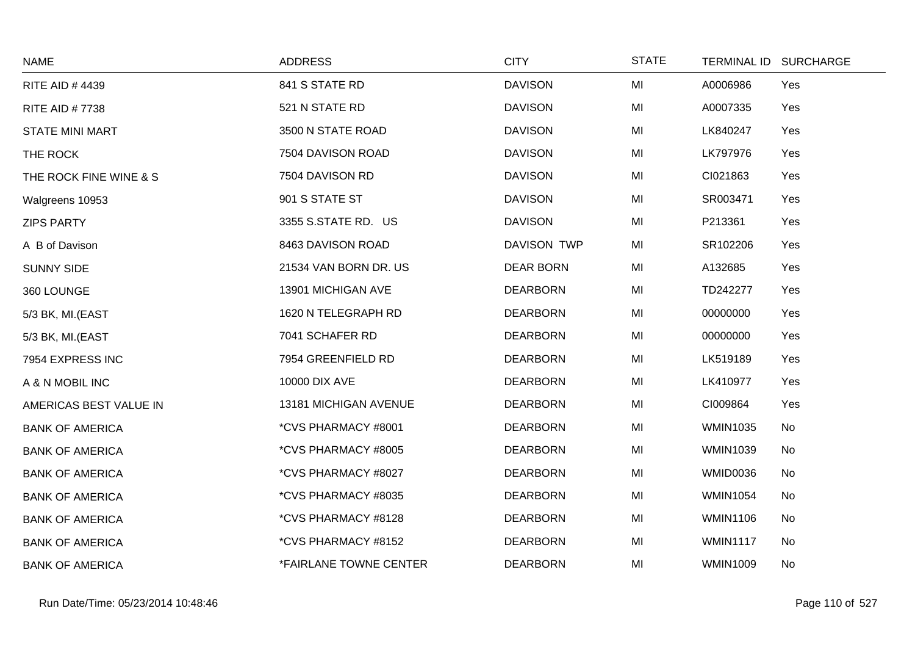| <b>NAME</b>            | <b>ADDRESS</b>                       | <b>CITY</b>        | <b>STATE</b> |                 | TERMINAL ID SURCHARGE |
|------------------------|--------------------------------------|--------------------|--------------|-----------------|-----------------------|
| <b>RITE AID #4439</b>  | 841 S STATE RD                       | <b>DAVISON</b>     | MI           | A0006986        | Yes                   |
| <b>RITE AID #7738</b>  | 521 N STATE RD                       | <b>DAVISON</b>     | MI           | A0007335        | Yes                   |
| <b>STATE MINI MART</b> | 3500 N STATE ROAD                    | <b>DAVISON</b>     | MI           | LK840247        | Yes                   |
| THE ROCK               | 7504 DAVISON ROAD                    | <b>DAVISON</b>     | MI           | LK797976        | Yes                   |
| THE ROCK FINE WINE & S | 7504 DAVISON RD                      | <b>DAVISON</b>     | MI           | CI021863        | Yes                   |
| Walgreens 10953        | 901 S STATE ST                       | <b>DAVISON</b>     | MI           | SR003471        | Yes                   |
| <b>ZIPS PARTY</b>      | 3355 S.STATE RD. US                  | <b>DAVISON</b>     | MI           | P213361         | Yes                   |
| A B of Davison         | 8463 DAVISON ROAD                    | <b>DAVISON TWP</b> | MI           | SR102206        | Yes                   |
| <b>SUNNY SIDE</b>      | 21534 VAN BORN DR. US                | <b>DEAR BORN</b>   | MI           | A132685         | Yes                   |
| 360 LOUNGE             | 13901 MICHIGAN AVE                   | <b>DEARBORN</b>    | MI           | TD242277        | Yes                   |
| 5/3 BK, MI.(EAST       | 1620 N TELEGRAPH RD                  | <b>DEARBORN</b>    | MI           | 00000000        | Yes                   |
| 5/3 BK, MI.(EAST       | 7041 SCHAFER RD                      | <b>DEARBORN</b>    | MI           | 00000000        | Yes                   |
| 7954 EXPRESS INC       | 7954 GREENFIELD RD                   | <b>DEARBORN</b>    | MI           | LK519189        | Yes                   |
| A & N MOBIL INC        | 10000 DIX AVE                        | <b>DEARBORN</b>    | MI           | LK410977        | Yes                   |
| AMERICAS BEST VALUE IN | 13181 MICHIGAN AVENUE                | <b>DEARBORN</b>    | MI           | CI009864        | Yes                   |
| <b>BANK OF AMERICA</b> | *CVS PHARMACY #8001                  | <b>DEARBORN</b>    | MI           | <b>WMIN1035</b> | No                    |
| <b>BANK OF AMERICA</b> | *CVS PHARMACY #8005                  | <b>DEARBORN</b>    | MI           | <b>WMIN1039</b> | No                    |
| <b>BANK OF AMERICA</b> | *CVS PHARMACY #8027                  | <b>DEARBORN</b>    | MI           | <b>WMID0036</b> | No                    |
| <b>BANK OF AMERICA</b> | *CVS PHARMACY #8035                  | <b>DEARBORN</b>    | MI           | <b>WMIN1054</b> | No                    |
| <b>BANK OF AMERICA</b> | *CVS PHARMACY #8128                  | <b>DEARBORN</b>    | MI           | <b>WMIN1106</b> | No                    |
| <b>BANK OF AMERICA</b> | *CVS PHARMACY #8152                  | <b>DEARBORN</b>    | MI           | <b>WMIN1117</b> | No                    |
| <b>BANK OF AMERICA</b> | <i><b>*FAIRLANE TOWNE CENTER</b></i> | <b>DEARBORN</b>    | MI           | <b>WMIN1009</b> | No                    |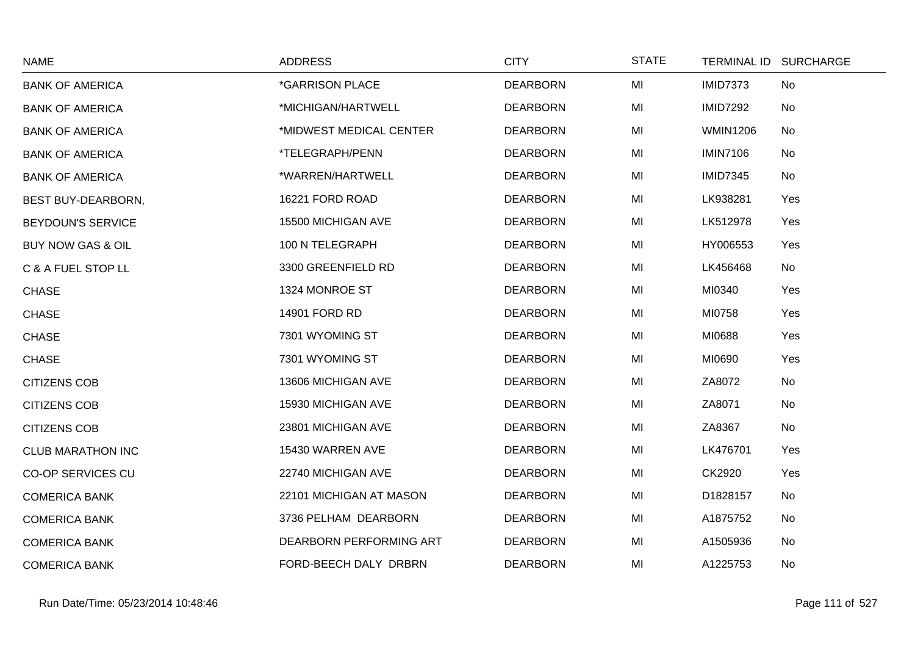| <b>NAME</b>                  | <b>ADDRESS</b>          | <b>CITY</b>     | <b>STATE</b> |                 | TERMINAL ID SURCHARGE |
|------------------------------|-------------------------|-----------------|--------------|-----------------|-----------------------|
| <b>BANK OF AMERICA</b>       | *GARRISON PLACE         | <b>DEARBORN</b> | MI           | <b>IMID7373</b> | No                    |
| <b>BANK OF AMERICA</b>       | *MICHIGAN/HARTWELL      | <b>DEARBORN</b> | MI           | <b>IMID7292</b> | No                    |
| <b>BANK OF AMERICA</b>       | *MIDWEST MEDICAL CENTER | <b>DEARBORN</b> | MI           | <b>WMIN1206</b> | No                    |
| <b>BANK OF AMERICA</b>       | *TELEGRAPH/PENN         | <b>DEARBORN</b> | MI           | <b>IMIN7106</b> | No                    |
| <b>BANK OF AMERICA</b>       | *WARREN/HARTWELL        | <b>DEARBORN</b> | MI           | <b>IMID7345</b> | No                    |
| BEST BUY-DEARBORN,           | 16221 FORD ROAD         | <b>DEARBORN</b> | MI           | LK938281        | Yes                   |
| <b>BEYDOUN'S SERVICE</b>     | 15500 MICHIGAN AVE      | <b>DEARBORN</b> | MI           | LK512978        | Yes                   |
| <b>BUY NOW GAS &amp; OIL</b> | 100 N TELEGRAPH         | <b>DEARBORN</b> | MI           | HY006553        | Yes                   |
| C & A FUEL STOP LL           | 3300 GREENFIELD RD      | <b>DEARBORN</b> | MI           | LK456468        | No                    |
| <b>CHASE</b>                 | 1324 MONROE ST          | <b>DEARBORN</b> | MI           | MI0340          | Yes                   |
| <b>CHASE</b>                 | 14901 FORD RD           | <b>DEARBORN</b> | MI           | MI0758          | Yes                   |
| <b>CHASE</b>                 | 7301 WYOMING ST         | <b>DEARBORN</b> | MI           | MI0688          | Yes                   |
| <b>CHASE</b>                 | 7301 WYOMING ST         | <b>DEARBORN</b> | MI           | MI0690          | Yes                   |
| <b>CITIZENS COB</b>          | 13606 MICHIGAN AVE      | <b>DEARBORN</b> | MI           | ZA8072          | No                    |
| <b>CITIZENS COB</b>          | 15930 MICHIGAN AVE      | <b>DEARBORN</b> | MI           | ZA8071          | No                    |
| <b>CITIZENS COB</b>          | 23801 MICHIGAN AVE      | <b>DEARBORN</b> | MI           | ZA8367          | No                    |
| <b>CLUB MARATHON INC</b>     | 15430 WARREN AVE        | <b>DEARBORN</b> | MI           | LK476701        | Yes                   |
| <b>CO-OP SERVICES CU</b>     | 22740 MICHIGAN AVE      | <b>DEARBORN</b> | MI           | CK2920          | Yes                   |
| <b>COMERICA BANK</b>         | 22101 MICHIGAN AT MASON | <b>DEARBORN</b> | MI           | D1828157        | No                    |
| <b>COMERICA BANK</b>         | 3736 PELHAM DEARBORN    | <b>DEARBORN</b> | MI           | A1875752        | No                    |
| <b>COMERICA BANK</b>         | DEARBORN PERFORMING ART | <b>DEARBORN</b> | MI           | A1505936        | No                    |
| <b>COMERICA BANK</b>         | FORD-BEECH DALY DRBRN   | <b>DEARBORN</b> | MI           | A1225753        | No                    |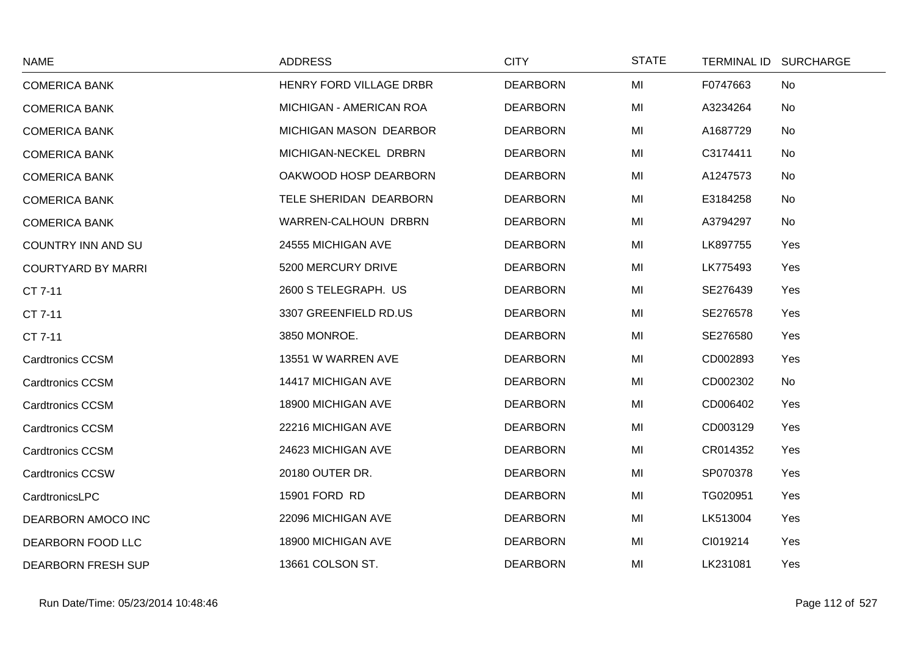| <b>NAME</b>               | <b>ADDRESS</b>          | <b>CITY</b>     | <b>STATE</b> | TERMINAL ID SURCHARGE |
|---------------------------|-------------------------|-----------------|--------------|-----------------------|
| <b>COMERICA BANK</b>      | HENRY FORD VILLAGE DRBR | <b>DEARBORN</b> | MI           | F0747663<br><b>No</b> |
| <b>COMERICA BANK</b>      | MICHIGAN - AMERICAN ROA | <b>DEARBORN</b> | MI           | A3234264<br>No        |
| <b>COMERICA BANK</b>      | MICHIGAN MASON DEARBOR  | <b>DEARBORN</b> | MI           | A1687729<br>No        |
| <b>COMERICA BANK</b>      | MICHIGAN-NECKEL DRBRN   | <b>DEARBORN</b> | MI           | C3174411<br>No        |
| <b>COMERICA BANK</b>      | OAKWOOD HOSP DEARBORN   | <b>DEARBORN</b> | MI           | A1247573<br>No        |
| <b>COMERICA BANK</b>      | TELE SHERIDAN DEARBORN  | <b>DEARBORN</b> | MI           | E3184258<br>No        |
| <b>COMERICA BANK</b>      | WARREN-CALHOUN DRBRN    | <b>DEARBORN</b> | MI           | A3794297<br>No        |
| <b>COUNTRY INN AND SU</b> | 24555 MICHIGAN AVE      | <b>DEARBORN</b> | MI           | LK897755<br>Yes       |
| <b>COURTYARD BY MARRI</b> | 5200 MERCURY DRIVE      | <b>DEARBORN</b> | MI           | LK775493<br>Yes       |
| CT 7-11                   | 2600 S TELEGRAPH. US    | <b>DEARBORN</b> | MI           | SE276439<br>Yes       |
| CT 7-11                   | 3307 GREENFIELD RD.US   | <b>DEARBORN</b> | MI           | SE276578<br>Yes       |
| CT 7-11                   | 3850 MONROE.            | <b>DEARBORN</b> | MI           | SE276580<br>Yes       |
| <b>Cardtronics CCSM</b>   | 13551 W WARREN AVE      | <b>DEARBORN</b> | MI           | CD002893<br>Yes       |
| <b>Cardtronics CCSM</b>   | 14417 MICHIGAN AVE      | <b>DEARBORN</b> | MI           | CD002302<br>No        |
| <b>Cardtronics CCSM</b>   | 18900 MICHIGAN AVE      | <b>DEARBORN</b> | MI           | CD006402<br>Yes       |
| <b>Cardtronics CCSM</b>   | 22216 MICHIGAN AVE      | <b>DEARBORN</b> | MI           | CD003129<br>Yes       |
| <b>Cardtronics CCSM</b>   | 24623 MICHIGAN AVE      | <b>DEARBORN</b> | MI           | CR014352<br>Yes       |
| <b>Cardtronics CCSW</b>   | 20180 OUTER DR.         | <b>DEARBORN</b> | MI           | SP070378<br>Yes       |
| CardtronicsLPC            | 15901 FORD RD           | <b>DEARBORN</b> | MI           | TG020951<br>Yes       |
| DEARBORN AMOCO INC        | 22096 MICHIGAN AVE      | <b>DEARBORN</b> | MI           | LK513004<br>Yes       |
| DEARBORN FOOD LLC         | 18900 MICHIGAN AVE      | <b>DEARBORN</b> | MI           | CI019214<br>Yes       |
| <b>DEARBORN FRESH SUP</b> | 13661 COLSON ST.        | <b>DEARBORN</b> | MI           | LK231081<br>Yes       |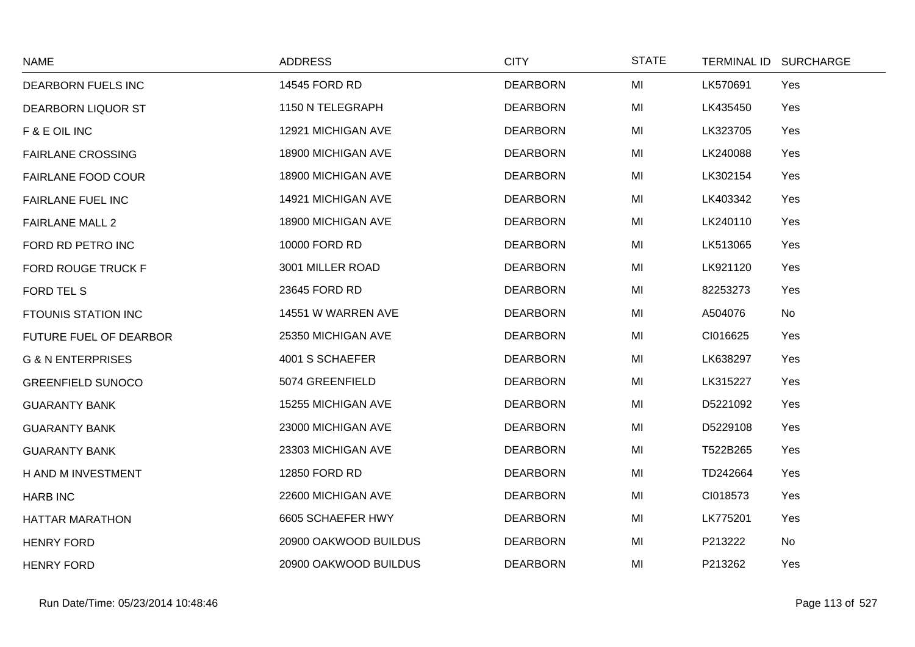| <b>NAME</b>                   | <b>ADDRESS</b>        | <b>CITY</b>     | <b>STATE</b> | TERMINAL ID SURCHARGE |  |
|-------------------------------|-----------------------|-----------------|--------------|-----------------------|--|
| DEARBORN FUELS INC            | 14545 FORD RD         | <b>DEARBORN</b> | MI           | LK570691<br>Yes       |  |
| <b>DEARBORN LIQUOR ST</b>     | 1150 N TELEGRAPH      | <b>DEARBORN</b> | MI           | LK435450<br>Yes       |  |
| F & E OIL INC                 | 12921 MICHIGAN AVE    | <b>DEARBORN</b> | MI           | LK323705<br>Yes       |  |
| <b>FAIRLANE CROSSING</b>      | 18900 MICHIGAN AVE    | <b>DEARBORN</b> | MI           | LK240088<br>Yes       |  |
| <b>FAIRLANE FOOD COUR</b>     | 18900 MICHIGAN AVE    | <b>DEARBORN</b> | MI           | LK302154<br>Yes       |  |
| <b>FAIRLANE FUEL INC</b>      | 14921 MICHIGAN AVE    | <b>DEARBORN</b> | MI           | LK403342<br>Yes       |  |
| <b>FAIRLANE MALL 2</b>        | 18900 MICHIGAN AVE    | <b>DEARBORN</b> | MI           | LK240110<br>Yes       |  |
| FORD RD PETRO INC             | 10000 FORD RD         | <b>DEARBORN</b> | MI           | LK513065<br>Yes       |  |
| <b>FORD ROUGE TRUCK F</b>     | 3001 MILLER ROAD      | <b>DEARBORN</b> | MI           | LK921120<br>Yes       |  |
| <b>FORD TEL S</b>             | 23645 FORD RD         | <b>DEARBORN</b> | MI           | 82253273<br>Yes       |  |
| <b>FTOUNIS STATION INC</b>    | 14551 W WARREN AVE    | <b>DEARBORN</b> | MI           | A504076<br>No         |  |
| <b>FUTURE FUEL OF DEARBOR</b> | 25350 MICHIGAN AVE    | <b>DEARBORN</b> | MI           | CI016625<br>Yes       |  |
| <b>G &amp; N ENTERPRISES</b>  | 4001 S SCHAEFER       | <b>DEARBORN</b> | MI           | LK638297<br>Yes       |  |
| <b>GREENFIELD SUNOCO</b>      | 5074 GREENFIELD       | <b>DEARBORN</b> | MI           | LK315227<br>Yes       |  |
| <b>GUARANTY BANK</b>          | 15255 MICHIGAN AVE    | <b>DEARBORN</b> | MI           | D5221092<br>Yes       |  |
| <b>GUARANTY BANK</b>          | 23000 MICHIGAN AVE    | <b>DEARBORN</b> | MI           | D5229108<br>Yes       |  |
| <b>GUARANTY BANK</b>          | 23303 MICHIGAN AVE    | <b>DEARBORN</b> | MI           | T522B265<br>Yes       |  |
| H AND M INVESTMENT            | 12850 FORD RD         | <b>DEARBORN</b> | MI           | Yes<br>TD242664       |  |
| <b>HARB INC</b>               | 22600 MICHIGAN AVE    | <b>DEARBORN</b> | MI           | CI018573<br>Yes       |  |
| <b>HATTAR MARATHON</b>        | 6605 SCHAEFER HWY     | <b>DEARBORN</b> | MI           | LK775201<br>Yes       |  |
| <b>HENRY FORD</b>             | 20900 OAKWOOD BUILDUS | <b>DEARBORN</b> | MI           | P213222<br>No         |  |
| <b>HENRY FORD</b>             | 20900 OAKWOOD BUILDUS | <b>DEARBORN</b> | MI           | P213262<br>Yes        |  |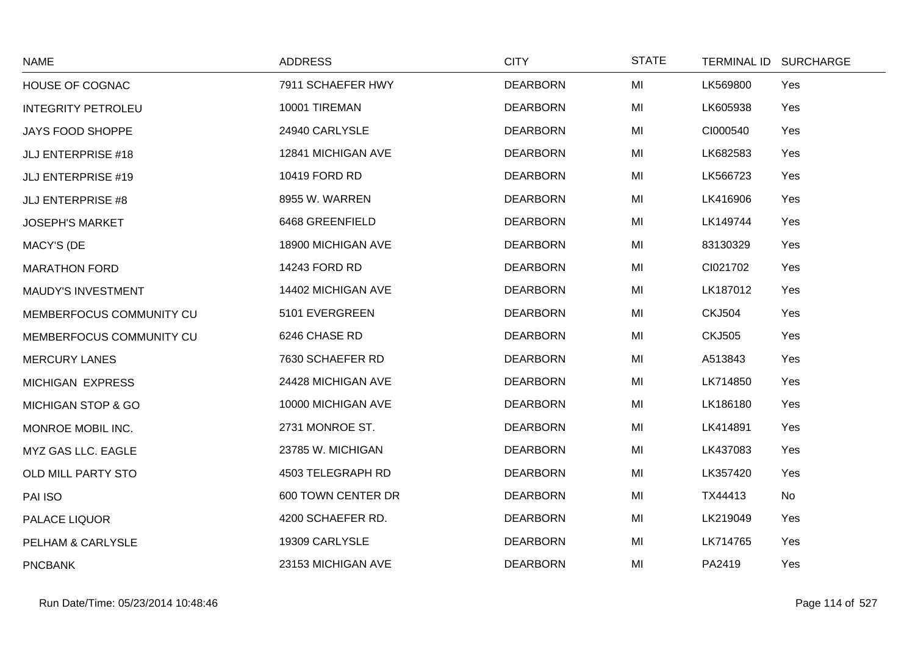| <b>NAME</b>               | <b>ADDRESS</b>     | <b>CITY</b>     | <b>STATE</b> | TERMINAL ID SURCHARGE |  |
|---------------------------|--------------------|-----------------|--------------|-----------------------|--|
| <b>HOUSE OF COGNAC</b>    | 7911 SCHAEFER HWY  | <b>DEARBORN</b> | MI           | LK569800<br>Yes       |  |
| <b>INTEGRITY PETROLEU</b> | 10001 TIREMAN      | <b>DEARBORN</b> | MI           | LK605938<br>Yes       |  |
| <b>JAYS FOOD SHOPPE</b>   | 24940 CARLYSLE     | <b>DEARBORN</b> | MI           | CI000540<br>Yes       |  |
| <b>JLJ ENTERPRISE #18</b> | 12841 MICHIGAN AVE | <b>DEARBORN</b> | MI           | LK682583<br>Yes       |  |
| <b>JLJ ENTERPRISE #19</b> | 10419 FORD RD      | <b>DEARBORN</b> | MI           | LK566723<br>Yes       |  |
| <b>JLJ ENTERPRISE #8</b>  | 8955 W. WARREN     | <b>DEARBORN</b> | MI           | LK416906<br>Yes       |  |
| <b>JOSEPH'S MARKET</b>    | 6468 GREENFIELD    | <b>DEARBORN</b> | MI           | LK149744<br>Yes       |  |
| MACY'S (DE                | 18900 MICHIGAN AVE | <b>DEARBORN</b> | MI           | 83130329<br>Yes       |  |
| <b>MARATHON FORD</b>      | 14243 FORD RD      | <b>DEARBORN</b> | MI           | CI021702<br>Yes       |  |
| MAUDY'S INVESTMENT        | 14402 MICHIGAN AVE | <b>DEARBORN</b> | MI           | LK187012<br>Yes       |  |
| MEMBERFOCUS COMMUNITY CU  | 5101 EVERGREEN     | <b>DEARBORN</b> | MI           | <b>CKJ504</b><br>Yes  |  |
| MEMBERFOCUS COMMUNITY CU  | 6246 CHASE RD      | <b>DEARBORN</b> | MI           | <b>CKJ505</b><br>Yes  |  |
| <b>MERCURY LANES</b>      | 7630 SCHAEFER RD   | <b>DEARBORN</b> | MI           | A513843<br>Yes        |  |
| MICHIGAN EXPRESS          | 24428 MICHIGAN AVE | <b>DEARBORN</b> | MI           | LK714850<br>Yes       |  |
| MICHIGAN STOP & GO        | 10000 MICHIGAN AVE | <b>DEARBORN</b> | MI           | LK186180<br>Yes       |  |
| MONROE MOBIL INC.         | 2731 MONROE ST.    | <b>DEARBORN</b> | MI           | LK414891<br>Yes       |  |
| MYZ GAS LLC. EAGLE        | 23785 W. MICHIGAN  | <b>DEARBORN</b> | MI           | LK437083<br>Yes       |  |
| OLD MILL PARTY STO        | 4503 TELEGRAPH RD  | <b>DEARBORN</b> | MI           | LK357420<br>Yes       |  |
| PAI ISO                   | 600 TOWN CENTER DR | <b>DEARBORN</b> | MI           | No<br>TX44413         |  |
| PALACE LIQUOR             | 4200 SCHAEFER RD.  | <b>DEARBORN</b> | MI           | LK219049<br>Yes       |  |
| PELHAM & CARLYSLE         | 19309 CARLYSLE     | <b>DEARBORN</b> | MI           | LK714765<br>Yes       |  |
| <b>PNCBANK</b>            | 23153 MICHIGAN AVE | <b>DEARBORN</b> | MI           | PA2419<br>Yes         |  |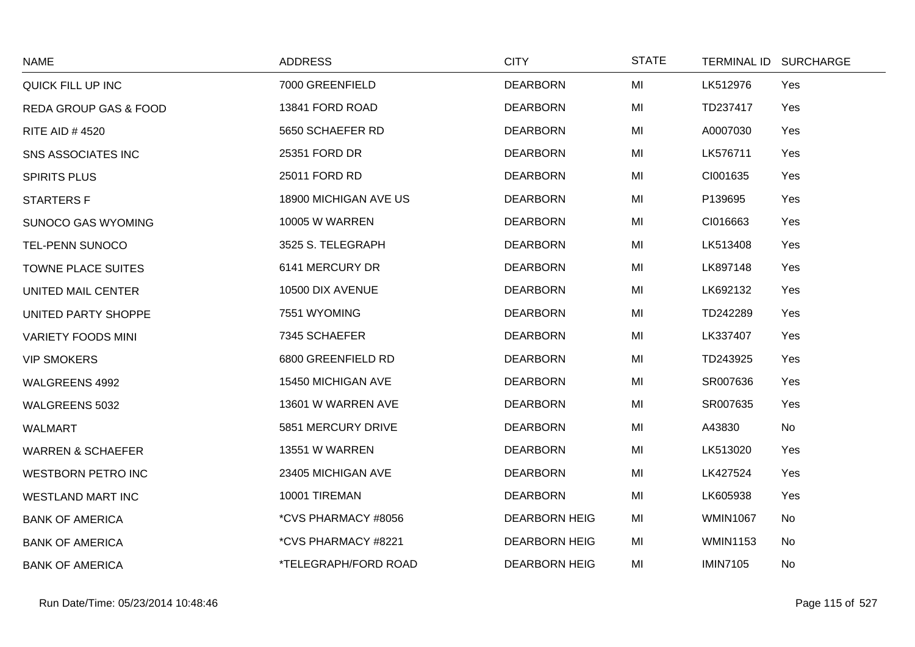| <b>NAME</b>                      | <b>ADDRESS</b>        | <b>CITY</b>          | <b>STATE</b> |                 | TERMINAL ID SURCHARGE |
|----------------------------------|-----------------------|----------------------|--------------|-----------------|-----------------------|
| QUICK FILL UP INC                | 7000 GREENFIELD       | <b>DEARBORN</b>      | MI           | LK512976        | Yes                   |
| <b>REDA GROUP GAS &amp; FOOD</b> | 13841 FORD ROAD       | <b>DEARBORN</b>      | MI           | TD237417        | Yes                   |
| <b>RITE AID #4520</b>            | 5650 SCHAEFER RD      | <b>DEARBORN</b>      | MI           | A0007030        | Yes                   |
| <b>SNS ASSOCIATES INC</b>        | 25351 FORD DR         | <b>DEARBORN</b>      | MI           | LK576711        | Yes                   |
| <b>SPIRITS PLUS</b>              | 25011 FORD RD         | <b>DEARBORN</b>      | MI           | CI001635        | Yes                   |
| <b>STARTERS F</b>                | 18900 MICHIGAN AVE US | <b>DEARBORN</b>      | MI           | P139695         | Yes                   |
| <b>SUNOCO GAS WYOMING</b>        | <b>10005 W WARREN</b> | <b>DEARBORN</b>      | MI           | CI016663        | Yes                   |
| <b>TEL-PENN SUNOCO</b>           | 3525 S. TELEGRAPH     | <b>DEARBORN</b>      | MI           | LK513408        | Yes                   |
| <b>TOWNE PLACE SUITES</b>        | 6141 MERCURY DR       | <b>DEARBORN</b>      | MI           | LK897148        | Yes                   |
| UNITED MAIL CENTER               | 10500 DIX AVENUE      | <b>DEARBORN</b>      | MI           | LK692132        | Yes                   |
| UNITED PARTY SHOPPE              | 7551 WYOMING          | <b>DEARBORN</b>      | MI           | TD242289        | Yes                   |
| <b>VARIETY FOODS MINI</b>        | 7345 SCHAEFER         | <b>DEARBORN</b>      | MI           | LK337407        | Yes                   |
| <b>VIP SMOKERS</b>               | 6800 GREENFIELD RD    | <b>DEARBORN</b>      | MI           | TD243925        | Yes                   |
| WALGREENS 4992                   | 15450 MICHIGAN AVE    | <b>DEARBORN</b>      | MI           | SR007636        | Yes                   |
| WALGREENS 5032                   | 13601 W WARREN AVE    | <b>DEARBORN</b>      | MI           | SR007635        | Yes                   |
| <b>WALMART</b>                   | 5851 MERCURY DRIVE    | <b>DEARBORN</b>      | MI           | A43830          | No                    |
| <b>WARREN &amp; SCHAEFER</b>     | 13551 W WARREN        | <b>DEARBORN</b>      | MI           | LK513020        | Yes                   |
| <b>WESTBORN PETRO INC</b>        | 23405 MICHIGAN AVE    | <b>DEARBORN</b>      | MI           | LK427524        | Yes                   |
| <b>WESTLAND MART INC</b>         | 10001 TIREMAN         | <b>DEARBORN</b>      | MI           | LK605938        | Yes                   |
| <b>BANK OF AMERICA</b>           | *CVS PHARMACY #8056   | <b>DEARBORN HEIG</b> | MI           | <b>WMIN1067</b> | No                    |
| <b>BANK OF AMERICA</b>           | *CVS PHARMACY #8221   | <b>DEARBORN HEIG</b> | MI           | <b>WMIN1153</b> | No                    |
| <b>BANK OF AMERICA</b>           | *TELEGRAPH/FORD ROAD  | <b>DEARBORN HEIG</b> | MI           | <b>IMIN7105</b> | No                    |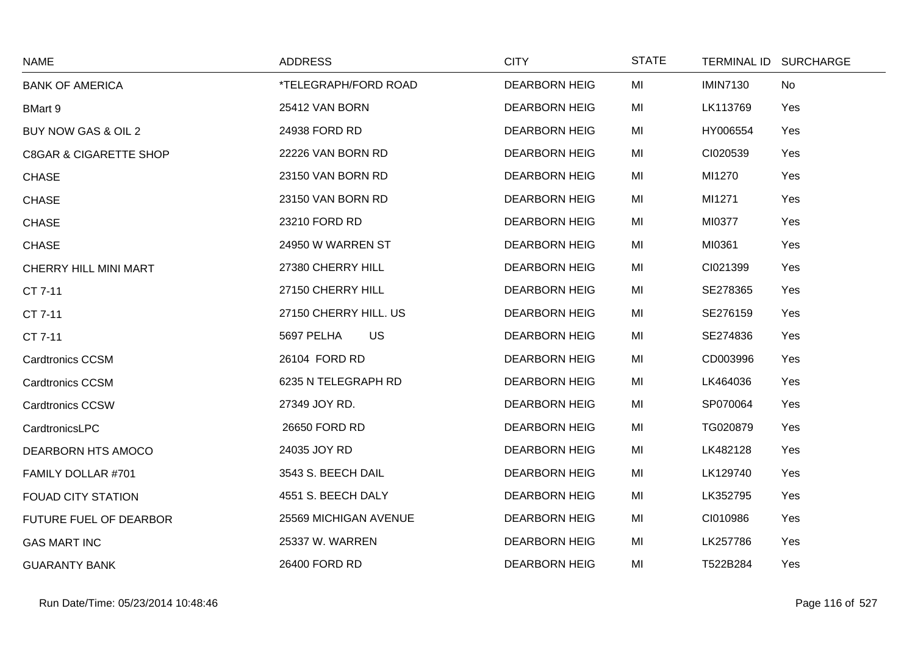| <b>NAME</b>                       | <b>ADDRESS</b>          | <b>CITY</b>          | <b>STATE</b> | TERMINAL ID SURCHARGE |
|-----------------------------------|-------------------------|----------------------|--------------|-----------------------|
| <b>BANK OF AMERICA</b>            | *TELEGRAPH/FORD ROAD    | <b>DEARBORN HEIG</b> | MI           | <b>IMIN7130</b><br>No |
| <b>BMart 9</b>                    | 25412 VAN BORN          | <b>DEARBORN HEIG</b> | MI           | LK113769<br>Yes       |
| BUY NOW GAS & OIL 2               | 24938 FORD RD           | <b>DEARBORN HEIG</b> | MI           | HY006554<br>Yes       |
| <b>C8GAR &amp; CIGARETTE SHOP</b> | 22226 VAN BORN RD       | <b>DEARBORN HEIG</b> | MI           | CI020539<br>Yes       |
| <b>CHASE</b>                      | 23150 VAN BORN RD       | <b>DEARBORN HEIG</b> | MI           | MI1270<br>Yes         |
| <b>CHASE</b>                      | 23150 VAN BORN RD       | <b>DEARBORN HEIG</b> | MI           | MI1271<br>Yes         |
| <b>CHASE</b>                      | 23210 FORD RD           | <b>DEARBORN HEIG</b> | MI           | MI0377<br>Yes         |
| <b>CHASE</b>                      | 24950 W WARREN ST       | <b>DEARBORN HEIG</b> | MI           | MI0361<br>Yes         |
| CHERRY HILL MINI MART             | 27380 CHERRY HILL       | <b>DEARBORN HEIG</b> | MI           | CI021399<br>Yes       |
| CT 7-11                           | 27150 CHERRY HILL       | <b>DEARBORN HEIG</b> | MI           | SE278365<br>Yes       |
| CT 7-11                           | 27150 CHERRY HILL. US   | <b>DEARBORN HEIG</b> | MI           | SE276159<br>Yes       |
| CT 7-11                           | <b>US</b><br>5697 PELHA | <b>DEARBORN HEIG</b> | MI           | SE274836<br>Yes       |
| <b>Cardtronics CCSM</b>           | 26104 FORD RD           | <b>DEARBORN HEIG</b> | MI           | CD003996<br>Yes       |
| <b>Cardtronics CCSM</b>           | 6235 N TELEGRAPH RD     | <b>DEARBORN HEIG</b> | MI           | LK464036<br>Yes       |
| <b>Cardtronics CCSW</b>           | 27349 JOY RD.           | <b>DEARBORN HEIG</b> | MI           | SP070064<br>Yes       |
| CardtronicsLPC                    | 26650 FORD RD           | <b>DEARBORN HEIG</b> | MI           | TG020879<br>Yes       |
| DEARBORN HTS AMOCO                | 24035 JOY RD            | <b>DEARBORN HEIG</b> | MI           | LK482128<br>Yes       |
| FAMILY DOLLAR #701                | 3543 S. BEECH DAIL      | <b>DEARBORN HEIG</b> | MI           | LK129740<br>Yes       |
| <b>FOUAD CITY STATION</b>         | 4551 S. BEECH DALY      | <b>DEARBORN HEIG</b> | MI           | LK352795<br>Yes       |
| FUTURE FUEL OF DEARBOR            | 25569 MICHIGAN AVENUE   | <b>DEARBORN HEIG</b> | MI           | CI010986<br>Yes       |
| <b>GAS MART INC</b>               | 25337 W. WARREN         | <b>DEARBORN HEIG</b> | MI           | LK257786<br>Yes       |
| <b>GUARANTY BANK</b>              | 26400 FORD RD           | <b>DEARBORN HEIG</b> | MI           | T522B284<br>Yes       |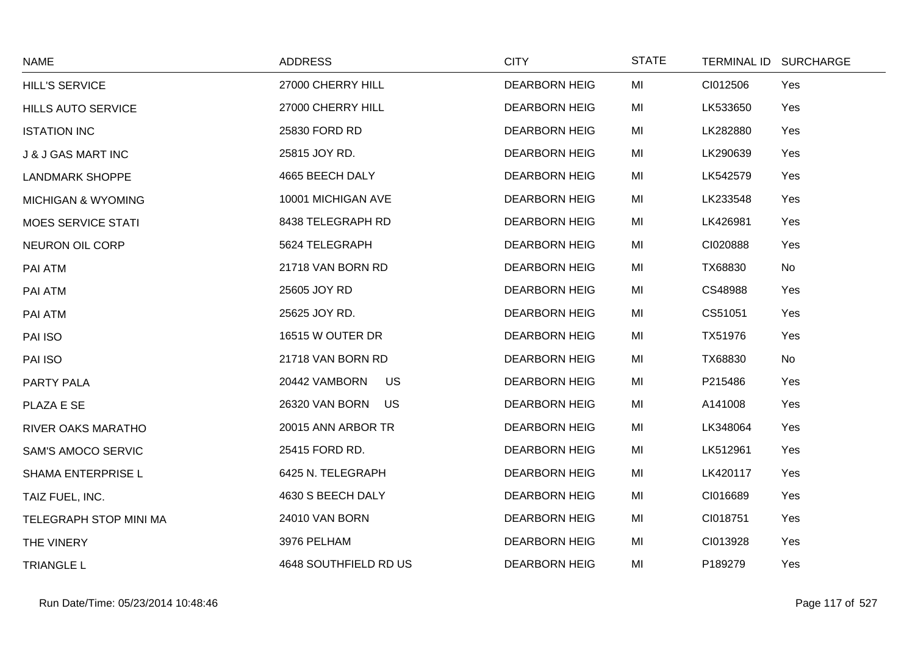| <b>NAME</b>                   | <b>ADDRESS</b>        | <b>CITY</b>          | <b>STATE</b> |          | TERMINAL ID SURCHARGE |
|-------------------------------|-----------------------|----------------------|--------------|----------|-----------------------|
| <b>HILL'S SERVICE</b>         | 27000 CHERRY HILL     | <b>DEARBORN HEIG</b> | MI           | CI012506 | Yes                   |
| <b>HILLS AUTO SERVICE</b>     | 27000 CHERRY HILL     | <b>DEARBORN HEIG</b> | MI           | LK533650 | Yes                   |
| <b>ISTATION INC</b>           | 25830 FORD RD         | <b>DEARBORN HEIG</b> | MI           | LK282880 | Yes                   |
| <b>J &amp; J GAS MART INC</b> | 25815 JOY RD.         | <b>DEARBORN HEIG</b> | MI           | LK290639 | Yes                   |
| <b>LANDMARK SHOPPE</b>        | 4665 BEECH DALY       | <b>DEARBORN HEIG</b> | MI           | LK542579 | Yes                   |
| <b>MICHIGAN &amp; WYOMING</b> | 10001 MICHIGAN AVE    | <b>DEARBORN HEIG</b> | MI           | LK233548 | Yes                   |
| <b>MOES SERVICE STATI</b>     | 8438 TELEGRAPH RD     | <b>DEARBORN HEIG</b> | MI           | LK426981 | Yes                   |
| <b>NEURON OIL CORP</b>        | 5624 TELEGRAPH        | <b>DEARBORN HEIG</b> | MI           | CI020888 | Yes                   |
| PAI ATM                       | 21718 VAN BORN RD     | <b>DEARBORN HEIG</b> | MI           | TX68830  | No                    |
| PAI ATM                       | 25605 JOY RD          | <b>DEARBORN HEIG</b> | MI           | CS48988  | Yes                   |
| PAI ATM                       | 25625 JOY RD.         | <b>DEARBORN HEIG</b> | MI           | CS51051  | Yes                   |
| PAI ISO                       | 16515 W OUTER DR      | <b>DEARBORN HEIG</b> | MI           | TX51976  | Yes                   |
| PAI ISO                       | 21718 VAN BORN RD     | <b>DEARBORN HEIG</b> | MI           | TX68830  | No                    |
| PARTY PALA                    | 20442 VAMBORN<br>US   | <b>DEARBORN HEIG</b> | MI           | P215486  | Yes                   |
| PLAZA E SE                    | 26320 VAN BORN<br>US  | <b>DEARBORN HEIG</b> | MI           | A141008  | Yes                   |
| <b>RIVER OAKS MARATHO</b>     | 20015 ANN ARBOR TR    | <b>DEARBORN HEIG</b> | MI           | LK348064 | Yes                   |
| <b>SAM'S AMOCO SERVIC</b>     | 25415 FORD RD.        | <b>DEARBORN HEIG</b> | MI           | LK512961 | Yes                   |
| SHAMA ENTERPRISE L            | 6425 N. TELEGRAPH     | <b>DEARBORN HEIG</b> | MI           | LK420117 | Yes                   |
| TAIZ FUEL, INC.               | 4630 S BEECH DALY     | <b>DEARBORN HEIG</b> | MI           | CI016689 | Yes                   |
| TELEGRAPH STOP MINI MA        | 24010 VAN BORN        | <b>DEARBORN HEIG</b> | MI           | CI018751 | Yes                   |
| THE VINERY                    | 3976 PELHAM           | <b>DEARBORN HEIG</b> | MI           | CI013928 | Yes                   |
| <b>TRIANGLE L</b>             | 4648 SOUTHFIELD RD US | <b>DEARBORN HEIG</b> | MI           | P189279  | Yes                   |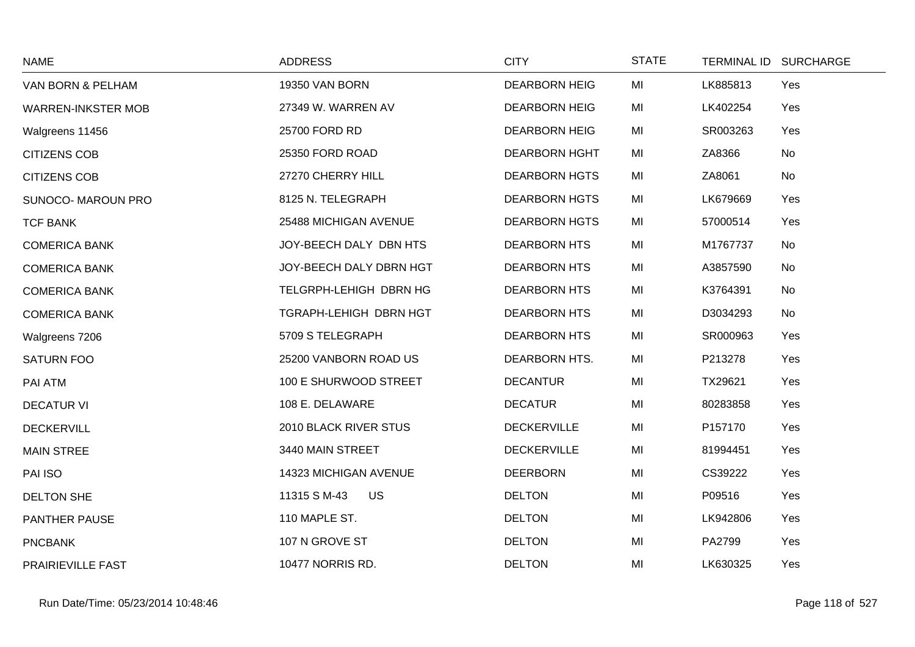| <b>NAME</b>               | <b>ADDRESS</b>            | <b>CITY</b>          | <b>STATE</b> |          | TERMINAL ID SURCHARGE |
|---------------------------|---------------------------|----------------------|--------------|----------|-----------------------|
| VAN BORN & PELHAM         | <b>19350 VAN BORN</b>     | <b>DEARBORN HEIG</b> | MI           | LK885813 | Yes                   |
| <b>WARREN-INKSTER MOB</b> | 27349 W. WARREN AV        | <b>DEARBORN HEIG</b> | MI           | LK402254 | Yes                   |
| Walgreens 11456           | 25700 FORD RD             | <b>DEARBORN HEIG</b> | MI           | SR003263 | Yes                   |
| <b>CITIZENS COB</b>       | 25350 FORD ROAD           | <b>DEARBORN HGHT</b> | MI           | ZA8366   | No                    |
| <b>CITIZENS COB</b>       | 27270 CHERRY HILL         | <b>DEARBORN HGTS</b> | MI           | ZA8061   | No                    |
| <b>SUNOCO- MAROUN PRO</b> | 8125 N. TELEGRAPH         | <b>DEARBORN HGTS</b> | MI           | LK679669 | Yes                   |
| <b>TCF BANK</b>           | 25488 MICHIGAN AVENUE     | <b>DEARBORN HGTS</b> | MI           | 57000514 | Yes                   |
| <b>COMERICA BANK</b>      | JOY-BEECH DALY DBN HTS    | <b>DEARBORN HTS</b>  | MI           | M1767737 | No                    |
| <b>COMERICA BANK</b>      | JOY-BEECH DALY DBRN HGT   | <b>DEARBORN HTS</b>  | MI           | A3857590 | No                    |
| <b>COMERICA BANK</b>      | TELGRPH-LEHIGH DBRN HG    | <b>DEARBORN HTS</b>  | MI           | K3764391 | No                    |
| <b>COMERICA BANK</b>      | TGRAPH-LEHIGH DBRN HGT    | <b>DEARBORN HTS</b>  | MI           | D3034293 | No                    |
| Walgreens 7206            | 5709 S TELEGRAPH          | <b>DEARBORN HTS</b>  | MI           | SR000963 | Yes                   |
| <b>SATURN FOO</b>         | 25200 VANBORN ROAD US     | DEARBORN HTS.        | MI           | P213278  | Yes                   |
| PAI ATM                   | 100 E SHURWOOD STREET     | <b>DECANTUR</b>      | MI           | TX29621  | Yes                   |
| <b>DECATUR VI</b>         | 108 E. DELAWARE           | <b>DECATUR</b>       | MI           | 80283858 | Yes                   |
| <b>DECKERVILL</b>         | 2010 BLACK RIVER STUS     | <b>DECKERVILLE</b>   | MI           | P157170  | Yes                   |
| <b>MAIN STREE</b>         | 3440 MAIN STREET          | <b>DECKERVILLE</b>   | MI           | 81994451 | Yes                   |
| PAI ISO                   | 14323 MICHIGAN AVENUE     | <b>DEERBORN</b>      | MI           | CS39222  | Yes                   |
| <b>DELTON SHE</b>         | 11315 S M-43<br><b>US</b> | <b>DELTON</b>        | MI           | P09516   | Yes                   |
| PANTHER PAUSE             | 110 MAPLE ST.             | <b>DELTON</b>        | MI           | LK942806 | Yes                   |
| <b>PNCBANK</b>            | 107 N GROVE ST            | <b>DELTON</b>        | MI           | PA2799   | Yes                   |
| PRAIRIEVILLE FAST         | <b>10477 NORRIS RD.</b>   | <b>DELTON</b>        | MI           | LK630325 | Yes                   |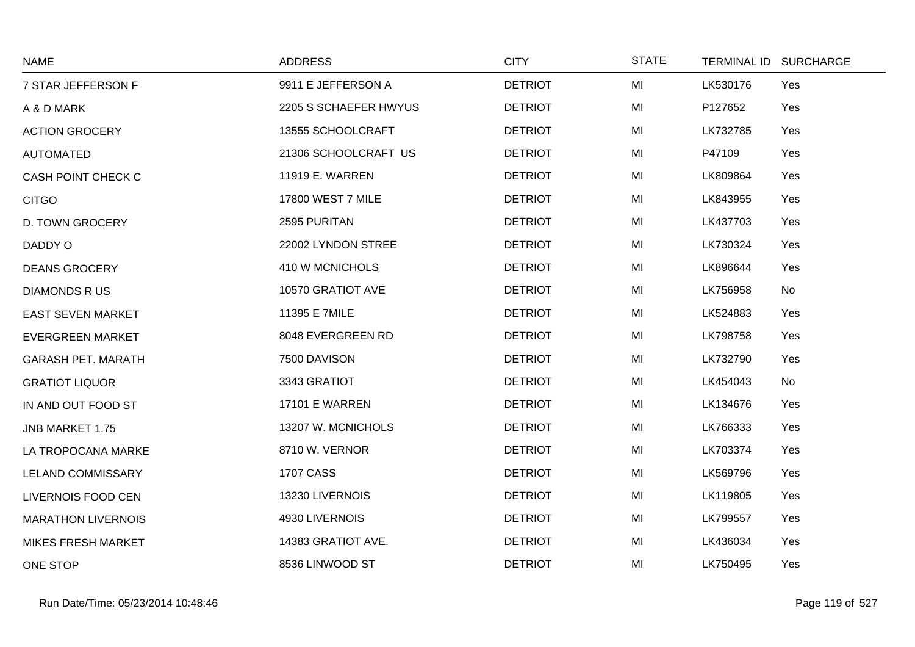| <b>NAME</b>               | <b>ADDRESS</b>        | <b>CITY</b>    | <b>STATE</b> | TERMINAL ID SURCHARGE |           |
|---------------------------|-----------------------|----------------|--------------|-----------------------|-----------|
| 7 STAR JEFFERSON F        | 9911 E JEFFERSON A    | <b>DETRIOT</b> | MI           | LK530176              | Yes       |
| A & D MARK                | 2205 S SCHAEFER HWYUS | <b>DETRIOT</b> | MI           | P127652               | Yes       |
| <b>ACTION GROCERY</b>     | 13555 SCHOOLCRAFT     | <b>DETRIOT</b> | MI           | LK732785              | Yes       |
| <b>AUTOMATED</b>          | 21306 SCHOOLCRAFT US  | <b>DETRIOT</b> | MI           | P47109                | Yes       |
| CASH POINT CHECK C        | 11919 E. WARREN       | <b>DETRIOT</b> | MI           | LK809864              | Yes       |
| <b>CITGO</b>              | 17800 WEST 7 MILE     | <b>DETRIOT</b> | MI           | LK843955              | Yes       |
| D. TOWN GROCERY           | 2595 PURITAN          | <b>DETRIOT</b> | MI           | LK437703              | Yes       |
| DADDY O                   | 22002 LYNDON STREE    | <b>DETRIOT</b> | MI           | LK730324              | Yes       |
| <b>DEANS GROCERY</b>      | 410 W MCNICHOLS       | <b>DETRIOT</b> | MI           | LK896644              | Yes       |
| <b>DIAMONDS R US</b>      | 10570 GRATIOT AVE     | <b>DETRIOT</b> | MI           | LK756958              | No        |
| <b>EAST SEVEN MARKET</b>  | 11395 E 7MILE         | <b>DETRIOT</b> | MI           | LK524883              | Yes       |
| <b>EVERGREEN MARKET</b>   | 8048 EVERGREEN RD     | <b>DETRIOT</b> | MI           | LK798758              | Yes       |
| <b>GARASH PET. MARATH</b> | 7500 DAVISON          | <b>DETRIOT</b> | MI           | LK732790              | Yes       |
| <b>GRATIOT LIQUOR</b>     | 3343 GRATIOT          | <b>DETRIOT</b> | MI           | LK454043              | <b>No</b> |
| IN AND OUT FOOD ST        | <b>17101 E WARREN</b> | <b>DETRIOT</b> | MI           | LK134676              | Yes       |
| JNB MARKET 1.75           | 13207 W. MCNICHOLS    | <b>DETRIOT</b> | MI           | LK766333              | Yes       |
| LA TROPOCANA MARKE        | 8710 W. VERNOR        | <b>DETRIOT</b> | MI           | LK703374              | Yes       |
| <b>LELAND COMMISSARY</b>  | <b>1707 CASS</b>      | <b>DETRIOT</b> | MI           | LK569796              | Yes       |
| LIVERNOIS FOOD CEN        | 13230 LIVERNOIS       | <b>DETRIOT</b> | MI           | LK119805              | Yes       |
| <b>MARATHON LIVERNOIS</b> | 4930 LIVERNOIS        | <b>DETRIOT</b> | MI           | LK799557              | Yes       |
| <b>MIKES FRESH MARKET</b> | 14383 GRATIOT AVE.    | <b>DETRIOT</b> | MI           | LK436034              | Yes       |
| ONE STOP                  | 8536 LINWOOD ST       | <b>DETRIOT</b> | MI           | LK750495              | Yes       |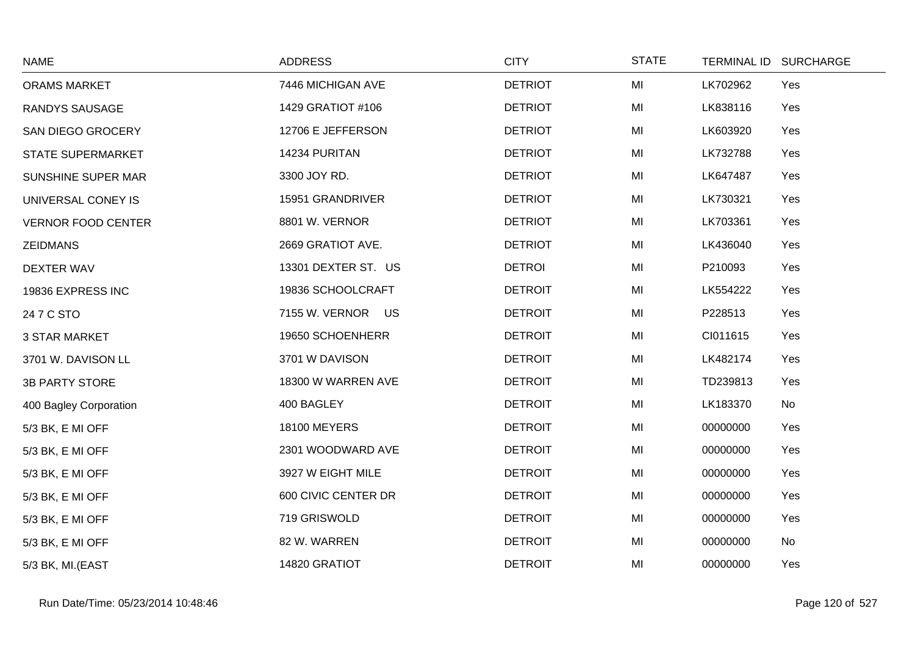| <b>NAME</b>               | <b>ADDRESS</b>      | <b>CITY</b>    | <b>STATE</b> | TERMINAL ID SURCHARGE |
|---------------------------|---------------------|----------------|--------------|-----------------------|
| <b>ORAMS MARKET</b>       | 7446 MICHIGAN AVE   | <b>DETRIOT</b> | MI           | LK702962<br>Yes       |
| RANDYS SAUSAGE            | 1429 GRATIOT #106   | <b>DETRIOT</b> | MI           | LK838116<br>Yes       |
| SAN DIEGO GROCERY         | 12706 E JEFFERSON   | <b>DETRIOT</b> | MI           | LK603920<br>Yes       |
| <b>STATE SUPERMARKET</b>  | 14234 PURITAN       | <b>DETRIOT</b> | MI           | LK732788<br>Yes       |
| SUNSHINE SUPER MAR        | 3300 JOY RD.        | <b>DETRIOT</b> | MI           | LK647487<br>Yes       |
| UNIVERSAL CONEY IS        | 15951 GRANDRIVER    | <b>DETRIOT</b> | MI           | LK730321<br>Yes       |
| <b>VERNOR FOOD CENTER</b> | 8801 W. VERNOR      | <b>DETRIOT</b> | MI           | LK703361<br>Yes       |
| <b>ZEIDMANS</b>           | 2669 GRATIOT AVE.   | <b>DETRIOT</b> | MI           | LK436040<br>Yes       |
| DEXTER WAV                | 13301 DEXTER ST. US | <b>DETROI</b>  | MI           | P210093<br>Yes        |
| 19836 EXPRESS INC         | 19836 SCHOOLCRAFT   | <b>DETROIT</b> | MI           | LK554222<br>Yes       |
| 24 7 C STO                | 7155 W. VERNOR US   | <b>DETROIT</b> | MI           | P228513<br>Yes        |
| <b>3 STAR MARKET</b>      | 19650 SCHOENHERR    | <b>DETROIT</b> | MI           | CI011615<br>Yes       |
| 3701 W. DAVISON LL        | 3701 W DAVISON      | <b>DETROIT</b> | MI           | LK482174<br>Yes       |
| <b>3B PARTY STORE</b>     | 18300 W WARREN AVE  | <b>DETROIT</b> | MI           | Yes<br>TD239813       |
| 400 Bagley Corporation    | 400 BAGLEY          | <b>DETROIT</b> | MI           | LK183370<br>No        |
| 5/3 BK, E MI OFF          | <b>18100 MEYERS</b> | <b>DETROIT</b> | MI           | 00000000<br>Yes       |
| 5/3 BK, E MI OFF          | 2301 WOODWARD AVE   | <b>DETROIT</b> | MI           | Yes<br>00000000       |
| 5/3 BK, E MI OFF          | 3927 W EIGHT MILE   | <b>DETROIT</b> | MI           | 00000000<br>Yes       |
| 5/3 BK, E MI OFF          | 600 CIVIC CENTER DR | <b>DETROIT</b> | MI           | 00000000<br>Yes       |
| 5/3 BK, E MI OFF          | 719 GRISWOLD        | <b>DETROIT</b> | MI           | Yes<br>00000000       |
| 5/3 BK, E MI OFF          | 82 W. WARREN        | <b>DETROIT</b> | MI           | 00000000<br>No        |
| 5/3 BK, MI.(EAST          | 14820 GRATIOT       | <b>DETROIT</b> | MI           | 00000000<br>Yes       |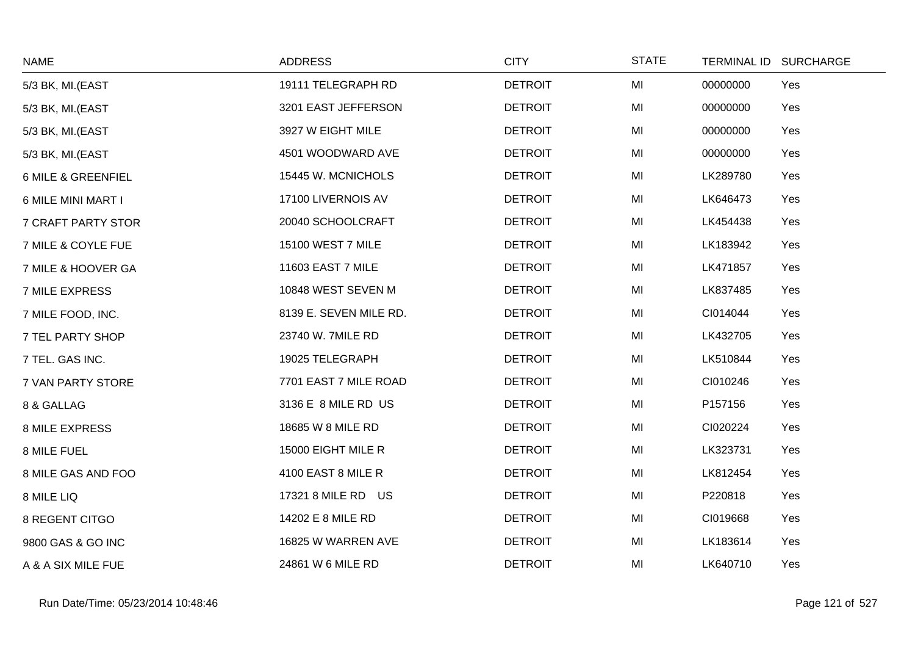| <b>NAME</b>           | <b>ADDRESS</b>         | <b>CITY</b>    | <b>STATE</b> |          | TERMINAL ID SURCHARGE |
|-----------------------|------------------------|----------------|--------------|----------|-----------------------|
| 5/3 BK, MI.(EAST      | 19111 TELEGRAPH RD     | <b>DETROIT</b> | MI           | 00000000 | Yes                   |
| 5/3 BK, MI.(EAST      | 3201 EAST JEFFERSON    | <b>DETROIT</b> | MI           | 00000000 | Yes                   |
| 5/3 BK, MI.(EAST      | 3927 W EIGHT MILE      | <b>DETROIT</b> | MI           | 00000000 | Yes                   |
| 5/3 BK, MI.(EAST      | 4501 WOODWARD AVE      | <b>DETROIT</b> | MI           | 00000000 | Yes                   |
| 6 MILE & GREENFIEL    | 15445 W. MCNICHOLS     | <b>DETROIT</b> | MI           | LK289780 | Yes                   |
| 6 MILE MINI MART I    | 17100 LIVERNOIS AV     | <b>DETROIT</b> | MI           | LK646473 | Yes                   |
| 7 CRAFT PARTY STOR    | 20040 SCHOOLCRAFT      | <b>DETROIT</b> | MI           | LK454438 | Yes                   |
| 7 MILE & COYLE FUE    | 15100 WEST 7 MILE      | <b>DETROIT</b> | MI           | LK183942 | Yes                   |
| 7 MILE & HOOVER GA    | 11603 EAST 7 MILE      | <b>DETROIT</b> | MI           | LK471857 | Yes                   |
| 7 MILE EXPRESS        | 10848 WEST SEVEN M     | <b>DETROIT</b> | MI           | LK837485 | Yes                   |
| 7 MILE FOOD, INC.     | 8139 E. SEVEN MILE RD. | <b>DETROIT</b> | MI           | CI014044 | Yes                   |
| 7 TEL PARTY SHOP      | 23740 W. 7MILE RD      | <b>DETROIT</b> | MI           | LK432705 | Yes                   |
| 7 TEL. GAS INC.       | 19025 TELEGRAPH        | <b>DETROIT</b> | MI           | LK510844 | Yes                   |
| 7 VAN PARTY STORE     | 7701 EAST 7 MILE ROAD  | <b>DETROIT</b> | MI           | CI010246 | Yes                   |
| 8 & GALLAG            | 3136 E 8 MILE RD US    | <b>DETROIT</b> | MI           | P157156  | Yes                   |
| <b>8 MILE EXPRESS</b> | 18685 W 8 MILE RD      | <b>DETROIT</b> | MI           | CI020224 | Yes                   |
| 8 MILE FUEL           | 15000 EIGHT MILE R     | <b>DETROIT</b> | MI           | LK323731 | Yes                   |
| 8 MILE GAS AND FOO    | 4100 EAST 8 MILE R     | <b>DETROIT</b> | MI           | LK812454 | Yes                   |
| 8 MILE LIQ            | 17321 8 MILE RD US     | <b>DETROIT</b> | MI           | P220818  | Yes                   |
| 8 REGENT CITGO        | 14202 E 8 MILE RD      | <b>DETROIT</b> | MI           | CI019668 | Yes                   |
| 9800 GAS & GO INC     | 16825 W WARREN AVE     | <b>DETROIT</b> | MI           | LK183614 | Yes                   |
| A & A SIX MILE FUE    | 24861 W 6 MILE RD      | <b>DETROIT</b> | MI           | LK640710 | Yes                   |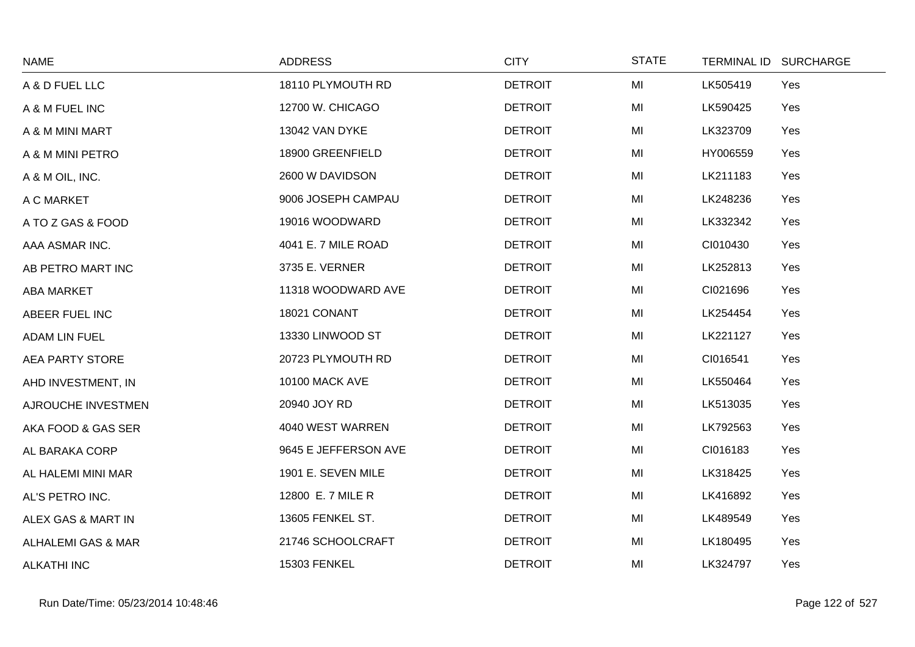| <b>NAME</b>                   | <b>ADDRESS</b>        | <b>CITY</b>    | <b>STATE</b> | TERMINAL ID SURCHARGE |
|-------------------------------|-----------------------|----------------|--------------|-----------------------|
| A & D FUEL LLC                | 18110 PLYMOUTH RD     | <b>DETROIT</b> | MI           | Yes<br>LK505419       |
| A & M FUEL INC                | 12700 W. CHICAGO      | <b>DETROIT</b> | MI           | LK590425<br>Yes       |
| A & M MINI MART               | 13042 VAN DYKE        | <b>DETROIT</b> | MI           | LK323709<br>Yes       |
| A & M MINI PETRO              | 18900 GREENFIELD      | <b>DETROIT</b> | MI           | HY006559<br>Yes       |
| A & M OIL, INC.               | 2600 W DAVIDSON       | <b>DETROIT</b> | MI           | LK211183<br>Yes       |
| A C MARKET                    | 9006 JOSEPH CAMPAU    | <b>DETROIT</b> | MI           | LK248236<br>Yes       |
| A TO Z GAS & FOOD             | 19016 WOODWARD        | <b>DETROIT</b> | MI           | LK332342<br>Yes       |
| AAA ASMAR INC.                | 4041 E. 7 MILE ROAD   | <b>DETROIT</b> | MI           | CI010430<br>Yes       |
| AB PETRO MART INC             | 3735 E. VERNER        | <b>DETROIT</b> | MI           | LK252813<br>Yes       |
| <b>ABA MARKET</b>             | 11318 WOODWARD AVE    | <b>DETROIT</b> | MI           | CI021696<br>Yes       |
| ABEER FUEL INC                | 18021 CONANT          | <b>DETROIT</b> | MI           | Yes<br>LK254454       |
| <b>ADAM LIN FUEL</b>          | 13330 LINWOOD ST      | <b>DETROIT</b> | MI           | LK221127<br>Yes       |
| AEA PARTY STORE               | 20723 PLYMOUTH RD     | <b>DETROIT</b> | MI           | CI016541<br>Yes       |
| AHD INVESTMENT, IN            | <b>10100 MACK AVE</b> | <b>DETROIT</b> | MI           | Yes<br>LK550464       |
| AJROUCHE INVESTMEN            | 20940 JOY RD          | <b>DETROIT</b> | MI           | LK513035<br>Yes       |
| AKA FOOD & GAS SER            | 4040 WEST WARREN      | <b>DETROIT</b> | MI           | LK792563<br>Yes       |
| AL BARAKA CORP                | 9645 E JEFFERSON AVE  | <b>DETROIT</b> | MI           | CI016183<br>Yes       |
| AL HALEMI MINI MAR            | 1901 E. SEVEN MILE    | <b>DETROIT</b> | MI           | LK318425<br>Yes       |
| AL'S PETRO INC.               | 12800 E. 7 MILE R     | <b>DETROIT</b> | MI           | LK416892<br>Yes       |
| ALEX GAS & MART IN            | 13605 FENKEL ST.      | <b>DETROIT</b> | MI           | Yes<br>LK489549       |
| <b>ALHALEMI GAS &amp; MAR</b> | 21746 SCHOOLCRAFT     | <b>DETROIT</b> | MI           | Yes<br>LK180495       |
| <b>ALKATHI INC</b>            | 15303 FENKEL          | <b>DETROIT</b> | MI           | LK324797<br>Yes       |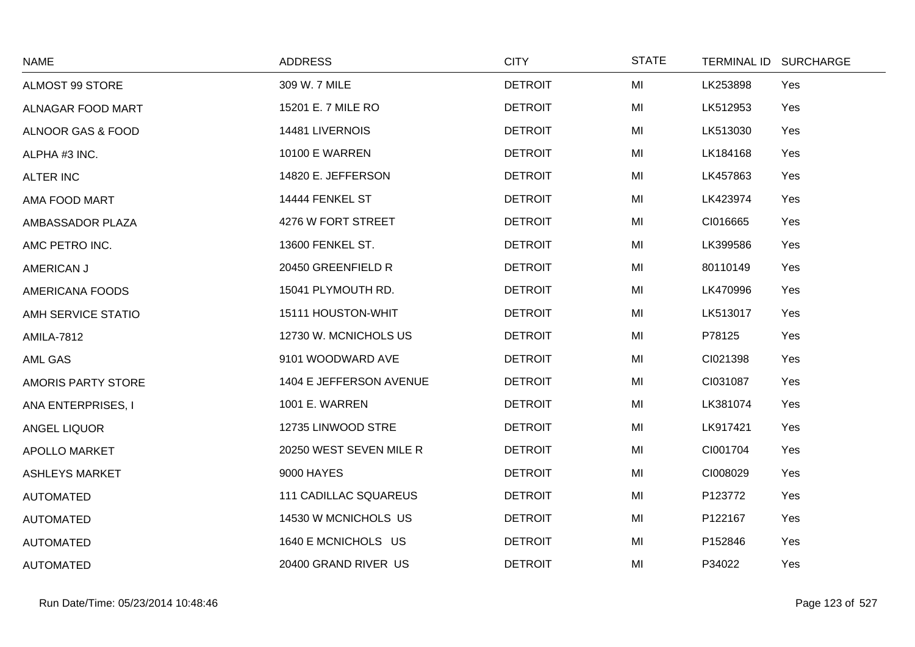| <b>NAME</b>                  | <b>ADDRESS</b>               | <b>CITY</b>    | <b>STATE</b> | TERMINAL ID SURCHARGE |
|------------------------------|------------------------------|----------------|--------------|-----------------------|
| ALMOST 99 STORE              | 309 W. 7 MILE                | <b>DETROIT</b> | MI           | LK253898<br>Yes       |
| ALNAGAR FOOD MART            | 15201 E. 7 MILE RO           | <b>DETROIT</b> | MI           | LK512953<br>Yes       |
| <b>ALNOOR GAS &amp; FOOD</b> | 14481 LIVERNOIS              | <b>DETROIT</b> | MI           | LK513030<br>Yes       |
| ALPHA #3 INC.                | <b>10100 E WARREN</b>        | <b>DETROIT</b> | MI           | LK184168<br>Yes       |
| <b>ALTER INC</b>             | 14820 E. JEFFERSON           | <b>DETROIT</b> | MI           | LK457863<br>Yes       |
| AMA FOOD MART                | 14444 FENKEL ST              | <b>DETROIT</b> | MI           | LK423974<br>Yes       |
| AMBASSADOR PLAZA             | 4276 W FORT STREET           | <b>DETROIT</b> | MI           | CI016665<br>Yes       |
| AMC PETRO INC.               | 13600 FENKEL ST.             | <b>DETROIT</b> | MI           | LK399586<br>Yes       |
| AMERICAN J                   | 20450 GREENFIELD R           | <b>DETROIT</b> | MI           | 80110149<br>Yes       |
| <b>AMERICANA FOODS</b>       | 15041 PLYMOUTH RD.           | <b>DETROIT</b> | MI           | LK470996<br>Yes       |
| AMH SERVICE STATIO           | 15111 HOUSTON-WHIT           | <b>DETROIT</b> | MI           | LK513017<br>Yes       |
| <b>AMILA-7812</b>            | 12730 W. MCNICHOLS US        | <b>DETROIT</b> | MI           | P78125<br>Yes         |
| AML GAS                      | 9101 WOODWARD AVE            | <b>DETROIT</b> | MI           | CI021398<br>Yes       |
| AMORIS PARTY STORE           | 1404 E JEFFERSON AVENUE      | <b>DETROIT</b> | MI           | CI031087<br>Yes       |
| ANA ENTERPRISES, I           | <b>1001 E. WARREN</b>        | <b>DETROIT</b> | MI           | LK381074<br>Yes       |
| <b>ANGEL LIQUOR</b>          | 12735 LINWOOD STRE           | <b>DETROIT</b> | MI           | LK917421<br>Yes       |
| <b>APOLLO MARKET</b>         | 20250 WEST SEVEN MILE R      | <b>DETROIT</b> | MI           | CI001704<br>Yes       |
| <b>ASHLEYS MARKET</b>        | 9000 HAYES                   | <b>DETROIT</b> | MI           | CI008029<br>Yes       |
| <b>AUTOMATED</b>             | <b>111 CADILLAC SQUAREUS</b> | <b>DETROIT</b> | MI           | P123772<br>Yes        |
| <b>AUTOMATED</b>             | 14530 W MCNICHOLS US         | <b>DETROIT</b> | MI           | P122167<br>Yes        |
| <b>AUTOMATED</b>             | 1640 E MCNICHOLS US          | <b>DETROIT</b> | MI           | P152846<br>Yes        |
| <b>AUTOMATED</b>             | 20400 GRAND RIVER US         | <b>DETROIT</b> | MI           | P34022<br>Yes         |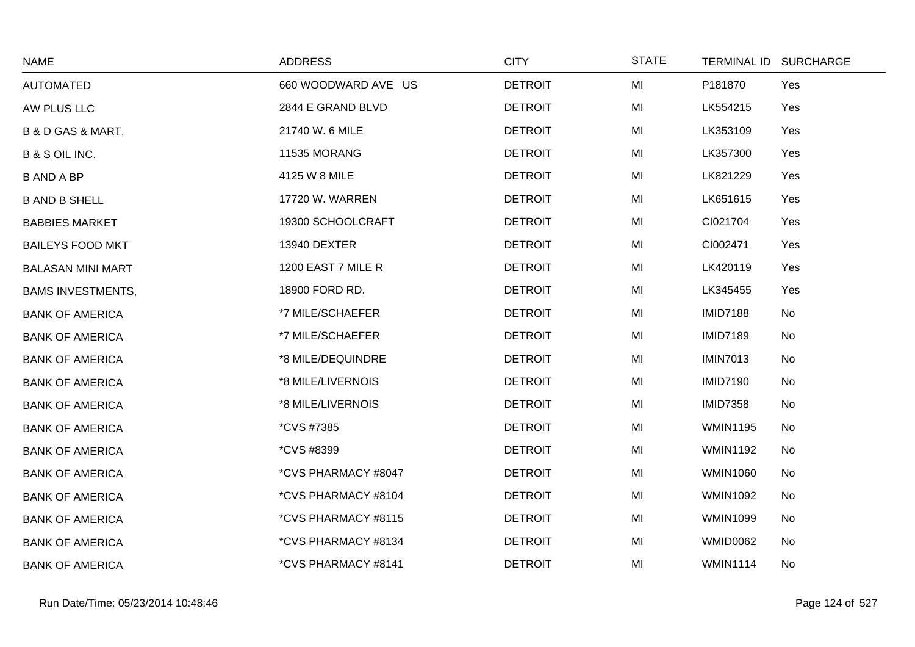| <b>NAME</b>                      | <b>ADDRESS</b>      | <b>CITY</b>    | <b>STATE</b> |                 | TERMINAL ID SURCHARGE |
|----------------------------------|---------------------|----------------|--------------|-----------------|-----------------------|
| <b>AUTOMATED</b>                 | 660 WOODWARD AVE US | <b>DETROIT</b> | MI           | P181870         | Yes                   |
| AW PLUS LLC                      | 2844 E GRAND BLVD   | <b>DETROIT</b> | MI           | LK554215        | Yes                   |
| <b>B &amp; D GAS &amp; MART,</b> | 21740 W. 6 MILE     | <b>DETROIT</b> | MI           | LK353109        | Yes                   |
| <b>B &amp; S OIL INC.</b>        | 11535 MORANG        | <b>DETROIT</b> | MI           | LK357300        | Yes                   |
| <b>B AND A BP</b>                | 4125 W 8 MILE       | <b>DETROIT</b> | MI           | LK821229        | Yes                   |
| <b>B AND B SHELL</b>             | 17720 W. WARREN     | <b>DETROIT</b> | MI           | LK651615        | Yes                   |
| <b>BABBIES MARKET</b>            | 19300 SCHOOLCRAFT   | <b>DETROIT</b> | MI           | CI021704        | Yes                   |
| <b>BAILEYS FOOD MKT</b>          | 13940 DEXTER        | <b>DETROIT</b> | MI           | CI002471        | Yes                   |
| <b>BALASAN MINI MART</b>         | 1200 EAST 7 MILE R  | <b>DETROIT</b> | MI           | LK420119        | Yes                   |
| <b>BAMS INVESTMENTS,</b>         | 18900 FORD RD.      | <b>DETROIT</b> | MI           | LK345455        | Yes                   |
| <b>BANK OF AMERICA</b>           | *7 MILE/SCHAEFER    | <b>DETROIT</b> | MI           | <b>IMID7188</b> | No                    |
| <b>BANK OF AMERICA</b>           | *7 MILE/SCHAEFER    | <b>DETROIT</b> | MI           | <b>IMID7189</b> | No                    |
| <b>BANK OF AMERICA</b>           | *8 MILE/DEQUINDRE   | <b>DETROIT</b> | MI           | <b>IMIN7013</b> | No                    |
| <b>BANK OF AMERICA</b>           | *8 MILE/LIVERNOIS   | <b>DETROIT</b> | MI           | <b>IMID7190</b> | No                    |
| <b>BANK OF AMERICA</b>           | *8 MILE/LIVERNOIS   | <b>DETROIT</b> | MI           | <b>IMID7358</b> | No                    |
| <b>BANK OF AMERICA</b>           | *CVS #7385          | <b>DETROIT</b> | MI           | <b>WMIN1195</b> | No                    |
| <b>BANK OF AMERICA</b>           | <i>*CVS #8399</i>   | <b>DETROIT</b> | MI           | <b>WMIN1192</b> | No                    |
| <b>BANK OF AMERICA</b>           | *CVS PHARMACY #8047 | <b>DETROIT</b> | MI           | <b>WMIN1060</b> | No                    |
| <b>BANK OF AMERICA</b>           | *CVS PHARMACY #8104 | <b>DETROIT</b> | MI           | <b>WMIN1092</b> | No                    |
| <b>BANK OF AMERICA</b>           | *CVS PHARMACY #8115 | <b>DETROIT</b> | MI           | <b>WMIN1099</b> | No                    |
| <b>BANK OF AMERICA</b>           | *CVS PHARMACY #8134 | <b>DETROIT</b> | MI           | <b>WMID0062</b> | No                    |
| <b>BANK OF AMERICA</b>           | *CVS PHARMACY #8141 | <b>DETROIT</b> | MI           | <b>WMIN1114</b> | No                    |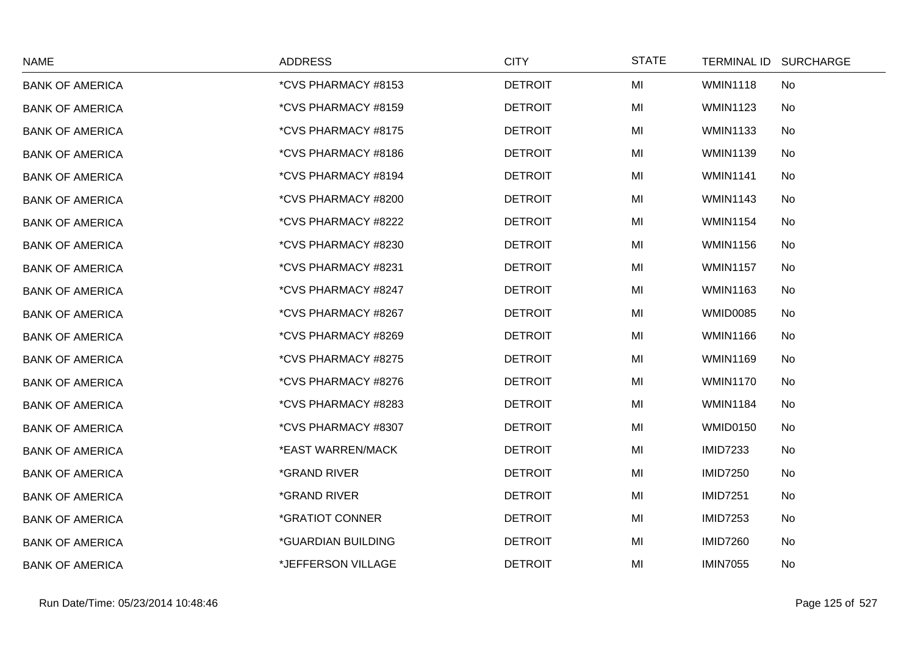| <b>NAME</b>            | <b>ADDRESS</b>             | <b>CITY</b>    | <b>STATE</b> | TERMINAL ID SURCHARGE |
|------------------------|----------------------------|----------------|--------------|-----------------------|
| <b>BANK OF AMERICA</b> | *CVS PHARMACY #8153        | <b>DETROIT</b> | MI           | <b>WMIN1118</b><br>No |
| <b>BANK OF AMERICA</b> | *CVS PHARMACY #8159        | <b>DETROIT</b> | MI           | <b>WMIN1123</b><br>No |
| <b>BANK OF AMERICA</b> | *CVS PHARMACY #8175        | <b>DETROIT</b> | MI           | <b>WMIN1133</b><br>No |
| <b>BANK OF AMERICA</b> | *CVS PHARMACY #8186        | <b>DETROIT</b> | MI           | <b>WMIN1139</b><br>No |
| <b>BANK OF AMERICA</b> | *CVS PHARMACY #8194        | <b>DETROIT</b> | MI           | <b>WMIN1141</b><br>No |
| <b>BANK OF AMERICA</b> | *CVS PHARMACY #8200        | <b>DETROIT</b> | MI           | <b>WMIN1143</b><br>No |
| <b>BANK OF AMERICA</b> | *CVS PHARMACY #8222        | <b>DETROIT</b> | MI           | No<br><b>WMIN1154</b> |
| <b>BANK OF AMERICA</b> | *CVS PHARMACY #8230        | <b>DETROIT</b> | MI           | <b>WMIN1156</b><br>No |
| <b>BANK OF AMERICA</b> | *CVS PHARMACY #8231        | <b>DETROIT</b> | MI           | <b>WMIN1157</b><br>No |
| <b>BANK OF AMERICA</b> | *CVS PHARMACY #8247        | <b>DETROIT</b> | MI           | <b>WMIN1163</b><br>No |
| <b>BANK OF AMERICA</b> | *CVS PHARMACY #8267        | <b>DETROIT</b> | MI           | <b>WMID0085</b><br>No |
| <b>BANK OF AMERICA</b> | *CVS PHARMACY #8269        | <b>DETROIT</b> | MI           | <b>WMIN1166</b><br>No |
| <b>BANK OF AMERICA</b> | *CVS PHARMACY #8275        | <b>DETROIT</b> | MI           | <b>WMIN1169</b><br>No |
| <b>BANK OF AMERICA</b> | *CVS PHARMACY #8276        | <b>DETROIT</b> | MI           | No<br><b>WMIN1170</b> |
| <b>BANK OF AMERICA</b> | *CVS PHARMACY #8283        | <b>DETROIT</b> | MI           | <b>WMIN1184</b><br>No |
| <b>BANK OF AMERICA</b> | *CVS PHARMACY #8307        | <b>DETROIT</b> | MI           | WMID0150<br>No        |
| <b>BANK OF AMERICA</b> | *EAST WARREN/MACK          | <b>DETROIT</b> | MI           | <b>IMID7233</b><br>No |
| <b>BANK OF AMERICA</b> | <i><b>*GRAND RIVER</b></i> | <b>DETROIT</b> | MI           | <b>IMID7250</b><br>No |
| <b>BANK OF AMERICA</b> | *GRAND RIVER               | <b>DETROIT</b> | MI           | <b>IMID7251</b><br>No |
| <b>BANK OF AMERICA</b> | *GRATIOT CONNER            | <b>DETROIT</b> | MI           | <b>IMID7253</b><br>No |
| <b>BANK OF AMERICA</b> | *GUARDIAN BUILDING         | <b>DETROIT</b> | MI           | <b>IMID7260</b><br>No |
| <b>BANK OF AMERICA</b> | *JEFFERSON VILLAGE         | <b>DETROIT</b> | MI           | <b>IMIN7055</b><br>No |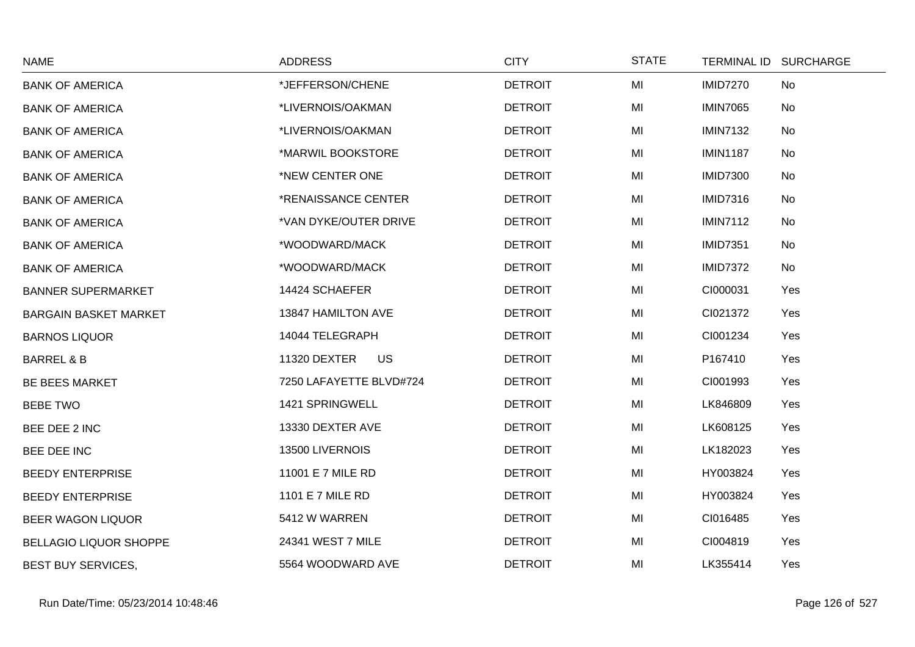| <b>NAME</b>                   | <b>ADDRESS</b>            | <b>CITY</b>    | <b>STATE</b> | TERMINAL ID SURCHARGE |  |
|-------------------------------|---------------------------|----------------|--------------|-----------------------|--|
| <b>BANK OF AMERICA</b>        | *JEFFERSON/CHENE          | <b>DETROIT</b> | MI           | <b>IMID7270</b><br>No |  |
| <b>BANK OF AMERICA</b>        | *LIVERNOIS/OAKMAN         | <b>DETROIT</b> | MI           | <b>IMIN7065</b><br>No |  |
| <b>BANK OF AMERICA</b>        | *LIVERNOIS/OAKMAN         | <b>DETROIT</b> | MI           | <b>IMIN7132</b><br>No |  |
| <b>BANK OF AMERICA</b>        | *MARWIL BOOKSTORE         | <b>DETROIT</b> | MI           | <b>IMIN1187</b><br>No |  |
| <b>BANK OF AMERICA</b>        | *NEW CENTER ONE           | <b>DETROIT</b> | MI           | <b>IMID7300</b><br>No |  |
| <b>BANK OF AMERICA</b>        | *RENAISSANCE CENTER       | <b>DETROIT</b> | MI           | <b>IMID7316</b><br>No |  |
| <b>BANK OF AMERICA</b>        | *VAN DYKE/OUTER DRIVE     | <b>DETROIT</b> | MI           | <b>IMIN7112</b><br>No |  |
| <b>BANK OF AMERICA</b>        | *WOODWARD/MACK            | <b>DETROIT</b> | MI           | <b>IMID7351</b><br>No |  |
| <b>BANK OF AMERICA</b>        | *WOODWARD/MACK            | <b>DETROIT</b> | MI           | <b>IMID7372</b><br>No |  |
| <b>BANNER SUPERMARKET</b>     | 14424 SCHAEFER            | <b>DETROIT</b> | MI           | CI000031<br>Yes       |  |
| <b>BARGAIN BASKET MARKET</b>  | 13847 HAMILTON AVE        | <b>DETROIT</b> | MI           | CI021372<br>Yes       |  |
| <b>BARNOS LIQUOR</b>          | 14044 TELEGRAPH           | <b>DETROIT</b> | MI           | CI001234<br>Yes       |  |
| <b>BARREL &amp; B</b>         | 11320 DEXTER<br><b>US</b> | <b>DETROIT</b> | MI           | P167410<br>Yes        |  |
| <b>BE BEES MARKET</b>         | 7250 LAFAYETTE BLVD#724   | <b>DETROIT</b> | MI           | CI001993<br>Yes       |  |
| <b>BEBE TWO</b>               | 1421 SPRINGWELL           | <b>DETROIT</b> | MI           | LK846809<br>Yes       |  |
| BEE DEE 2 INC                 | 13330 DEXTER AVE          | <b>DETROIT</b> | MI           | LK608125<br>Yes       |  |
| BEE DEE INC                   | 13500 LIVERNOIS           | <b>DETROIT</b> | MI           | LK182023<br>Yes       |  |
| <b>BEEDY ENTERPRISE</b>       | 11001 E 7 MILE RD         | <b>DETROIT</b> | MI           | HY003824<br>Yes       |  |
| <b>BEEDY ENTERPRISE</b>       | 1101 E 7 MILE RD          | <b>DETROIT</b> | MI           | HY003824<br>Yes       |  |
| <b>BEER WAGON LIQUOR</b>      | 5412 W WARREN             | <b>DETROIT</b> | MI           | CI016485<br>Yes       |  |
| <b>BELLAGIO LIQUOR SHOPPE</b> | 24341 WEST 7 MILE         | <b>DETROIT</b> | MI           | Yes<br>CI004819       |  |
| <b>BEST BUY SERVICES,</b>     | 5564 WOODWARD AVE         | <b>DETROIT</b> | MI           | LK355414<br>Yes       |  |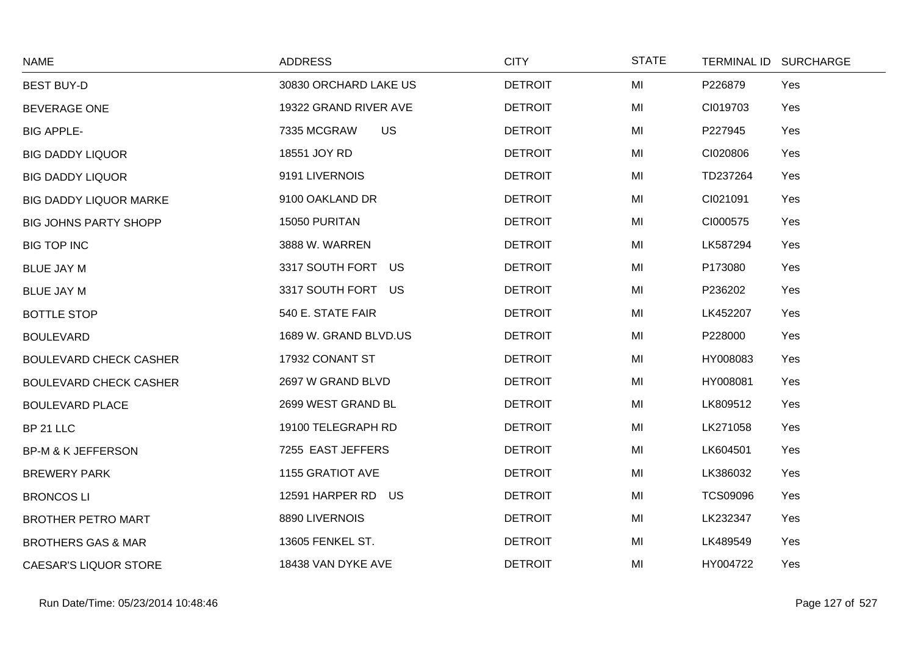| <b>NAME</b>                   | <b>ADDRESS</b>           | <b>CITY</b>    | <b>STATE</b> | TERMINAL ID SURCHARGE  |  |
|-------------------------------|--------------------------|----------------|--------------|------------------------|--|
| <b>BEST BUY-D</b>             | 30830 ORCHARD LAKE US    | <b>DETROIT</b> | MI           | P226879<br>Yes         |  |
| <b>BEVERAGE ONE</b>           | 19322 GRAND RIVER AVE    | <b>DETROIT</b> | MI           | CI019703<br>Yes        |  |
| <b>BIG APPLE-</b>             | <b>US</b><br>7335 MCGRAW | <b>DETROIT</b> | MI           | P227945<br>Yes         |  |
| <b>BIG DADDY LIQUOR</b>       | 18551 JOY RD             | <b>DETROIT</b> | MI           | CI020806<br>Yes        |  |
| <b>BIG DADDY LIQUOR</b>       | 9191 LIVERNOIS           | <b>DETROIT</b> | MI           | Yes<br>TD237264        |  |
| <b>BIG DADDY LIQUOR MARKE</b> | 9100 OAKLAND DR          | <b>DETROIT</b> | MI           | CI021091<br>Yes        |  |
| <b>BIG JOHNS PARTY SHOPP</b>  | 15050 PURITAN            | <b>DETROIT</b> | MI           | CI000575<br>Yes        |  |
| <b>BIG TOP INC</b>            | 3888 W. WARREN           | <b>DETROIT</b> | MI           | LK587294<br>Yes        |  |
| <b>BLUE JAY M</b>             | 3317 SOUTH FORT US       | <b>DETROIT</b> | MI           | P173080<br>Yes         |  |
| <b>BLUE JAY M</b>             | 3317 SOUTH FORT US       | <b>DETROIT</b> | MI           | P236202<br>Yes         |  |
| <b>BOTTLE STOP</b>            | 540 E. STATE FAIR        | <b>DETROIT</b> | MI           | LK452207<br>Yes        |  |
| <b>BOULEVARD</b>              | 1689 W. GRAND BLVD.US    | <b>DETROIT</b> | MI           | P228000<br>Yes         |  |
| <b>BOULEVARD CHECK CASHER</b> | 17932 CONANT ST          | <b>DETROIT</b> | MI           | HY008083<br>Yes        |  |
| <b>BOULEVARD CHECK CASHER</b> | 2697 W GRAND BLVD        | <b>DETROIT</b> | MI           | HY008081<br>Yes        |  |
| <b>BOULEVARD PLACE</b>        | 2699 WEST GRAND BL       | <b>DETROIT</b> | MI           | LK809512<br>Yes        |  |
| BP 21 LLC                     | 19100 TELEGRAPH RD       | <b>DETROIT</b> | MI           | LK271058<br>Yes        |  |
| <b>BP-M &amp; K JEFFERSON</b> | 7255 EAST JEFFERS        | <b>DETROIT</b> | MI           | LK604501<br>Yes        |  |
| <b>BREWERY PARK</b>           | 1155 GRATIOT AVE         | <b>DETROIT</b> | MI           | LK386032<br>Yes        |  |
| <b>BRONCOS LI</b>             | 12591 HARPER RD US       | <b>DETROIT</b> | MI           | <b>TCS09096</b><br>Yes |  |
| <b>BROTHER PETRO MART</b>     | 8890 LIVERNOIS           | <b>DETROIT</b> | MI           | LK232347<br>Yes        |  |
| <b>BROTHERS GAS &amp; MAR</b> | 13605 FENKEL ST.         | <b>DETROIT</b> | MI           | Yes<br>LK489549        |  |
| <b>CAESAR'S LIQUOR STORE</b>  | 18438 VAN DYKE AVE       | <b>DETROIT</b> | MI           | HY004722<br>Yes        |  |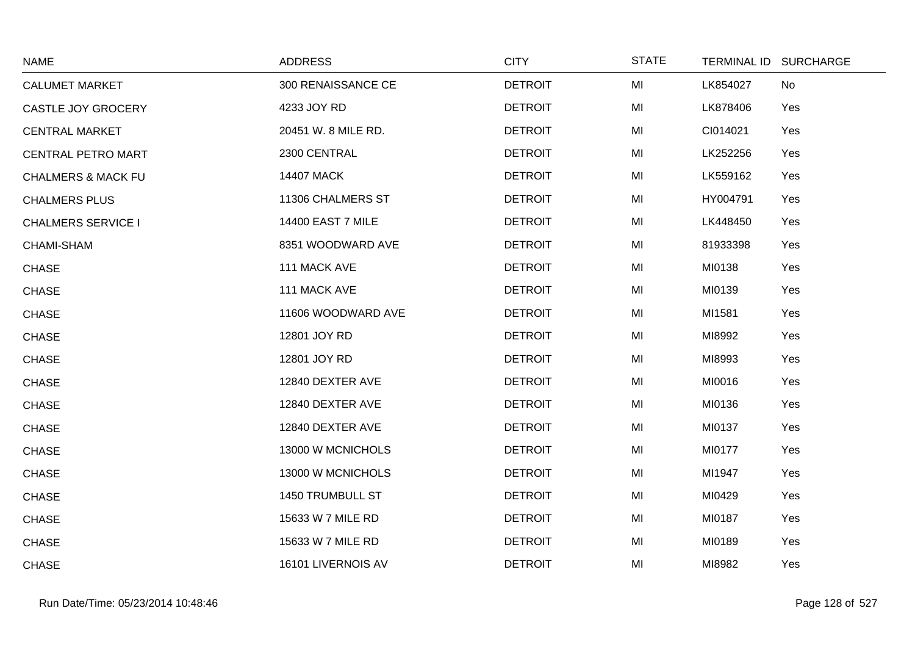| <b>NAME</b>                   | <b>ADDRESS</b>           | <b>CITY</b>    | <b>STATE</b> | TERMINAL ID SURCHARGE |  |
|-------------------------------|--------------------------|----------------|--------------|-----------------------|--|
| <b>CALUMET MARKET</b>         | 300 RENAISSANCE CE       | <b>DETROIT</b> | MI           | LK854027<br>No        |  |
| CASTLE JOY GROCERY            | 4233 JOY RD              | <b>DETROIT</b> | MI           | LK878406<br>Yes       |  |
| <b>CENTRAL MARKET</b>         | 20451 W. 8 MILE RD.      | <b>DETROIT</b> | MI           | CI014021<br>Yes       |  |
| <b>CENTRAL PETRO MART</b>     | 2300 CENTRAL             | <b>DETROIT</b> | MI           | LK252256<br>Yes       |  |
| <b>CHALMERS &amp; MACK FU</b> | <b>14407 MACK</b>        | <b>DETROIT</b> | MI           | LK559162<br>Yes       |  |
| <b>CHALMERS PLUS</b>          | 11306 CHALMERS ST        | <b>DETROIT</b> | MI           | HY004791<br>Yes       |  |
| <b>CHALMERS SERVICE I</b>     | <b>14400 EAST 7 MILE</b> | <b>DETROIT</b> | MI           | LK448450<br>Yes       |  |
| CHAMI-SHAM                    | 8351 WOODWARD AVE        | <b>DETROIT</b> | MI           | Yes<br>81933398       |  |
| <b>CHASE</b>                  | 111 MACK AVE             | <b>DETROIT</b> | MI           | MI0138<br>Yes         |  |
| <b>CHASE</b>                  | 111 MACK AVE             | <b>DETROIT</b> | MI           | MI0139<br>Yes         |  |
| <b>CHASE</b>                  | 11606 WOODWARD AVE       | <b>DETROIT</b> | MI           | MI1581<br>Yes         |  |
| <b>CHASE</b>                  | 12801 JOY RD             | <b>DETROIT</b> | MI           | MI8992<br>Yes         |  |
| <b>CHASE</b>                  | 12801 JOY RD             | <b>DETROIT</b> | MI           | MI8993<br>Yes         |  |
| <b>CHASE</b>                  | 12840 DEXTER AVE         | <b>DETROIT</b> | MI           | MI0016<br>Yes         |  |
| <b>CHASE</b>                  | 12840 DEXTER AVE         | <b>DETROIT</b> | MI           | MI0136<br>Yes         |  |
| <b>CHASE</b>                  | 12840 DEXTER AVE         | <b>DETROIT</b> | MI           | MI0137<br>Yes         |  |
| <b>CHASE</b>                  | 13000 W MCNICHOLS        | <b>DETROIT</b> | MI           | MI0177<br>Yes         |  |
| <b>CHASE</b>                  | 13000 W MCNICHOLS        | <b>DETROIT</b> | MI           | MI1947<br>Yes         |  |
| <b>CHASE</b>                  | 1450 TRUMBULL ST         | <b>DETROIT</b> | MI           | MI0429<br>Yes         |  |
| <b>CHASE</b>                  | 15633 W 7 MILE RD        | <b>DETROIT</b> | MI           | MI0187<br>Yes         |  |
| <b>CHASE</b>                  | 15633 W 7 MILE RD        | <b>DETROIT</b> | MI           | MI0189<br>Yes         |  |
| <b>CHASE</b>                  | 16101 LIVERNOIS AV       | <b>DETROIT</b> | MI           | MI8982<br>Yes         |  |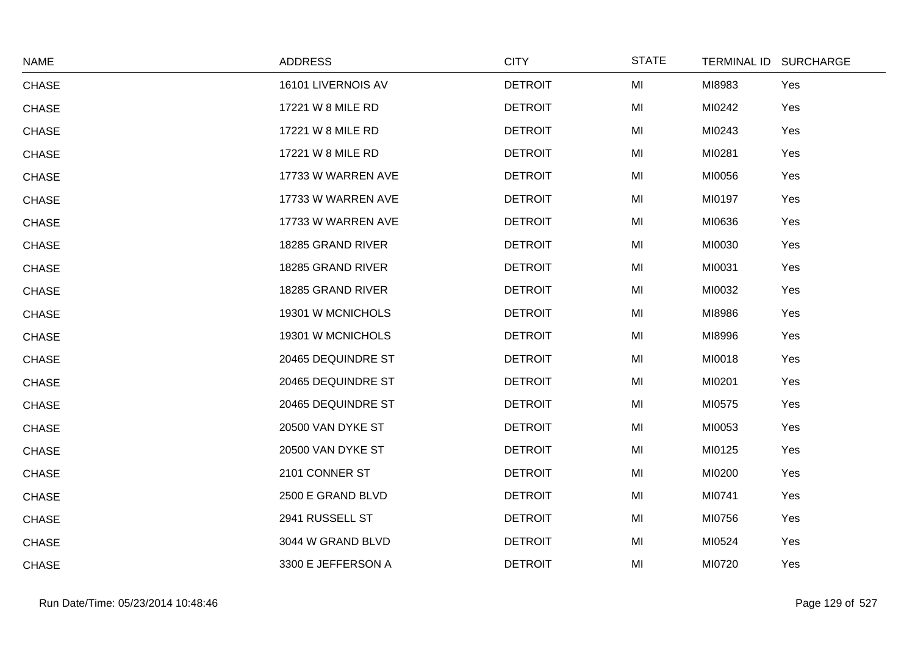| <b>NAME</b>  | <b>ADDRESS</b>     | <b>CITY</b>    | <b>STATE</b> | TERMINAL ID SURCHARGE |     |
|--------------|--------------------|----------------|--------------|-----------------------|-----|
| <b>CHASE</b> | 16101 LIVERNOIS AV | <b>DETROIT</b> | MI           | MI8983                | Yes |
| <b>CHASE</b> | 17221 W 8 MILE RD  | <b>DETROIT</b> | MI           | MI0242                | Yes |
| <b>CHASE</b> | 17221 W 8 MILE RD  | <b>DETROIT</b> | MI           | MI0243                | Yes |
| <b>CHASE</b> | 17221 W 8 MILE RD  | <b>DETROIT</b> | MI           | MI0281                | Yes |
| <b>CHASE</b> | 17733 W WARREN AVE | <b>DETROIT</b> | MI           | MI0056                | Yes |
| <b>CHASE</b> | 17733 W WARREN AVE | <b>DETROIT</b> | MI           | MI0197                | Yes |
| <b>CHASE</b> | 17733 W WARREN AVE | <b>DETROIT</b> | MI           | MI0636                | Yes |
| <b>CHASE</b> | 18285 GRAND RIVER  | <b>DETROIT</b> | MI           | MI0030                | Yes |
| <b>CHASE</b> | 18285 GRAND RIVER  | <b>DETROIT</b> | MI           | MI0031                | Yes |
| <b>CHASE</b> | 18285 GRAND RIVER  | <b>DETROIT</b> | MI           | MI0032                | Yes |
| <b>CHASE</b> | 19301 W MCNICHOLS  | <b>DETROIT</b> | MI           | MI8986                | Yes |
| <b>CHASE</b> | 19301 W MCNICHOLS  | <b>DETROIT</b> | MI           | MI8996                | Yes |
| <b>CHASE</b> | 20465 DEQUINDRE ST | <b>DETROIT</b> | MI           | MI0018                | Yes |
| <b>CHASE</b> | 20465 DEQUINDRE ST | <b>DETROIT</b> | MI           | MI0201                | Yes |
| <b>CHASE</b> | 20465 DEQUINDRE ST | <b>DETROIT</b> | MI           | MI0575                | Yes |
| <b>CHASE</b> | 20500 VAN DYKE ST  | <b>DETROIT</b> | MI           | MI0053                | Yes |
| <b>CHASE</b> | 20500 VAN DYKE ST  | <b>DETROIT</b> | MI           | MI0125                | Yes |
| <b>CHASE</b> | 2101 CONNER ST     | <b>DETROIT</b> | MI           | MI0200                | Yes |
| <b>CHASE</b> | 2500 E GRAND BLVD  | <b>DETROIT</b> | MI           | MI0741                | Yes |
| <b>CHASE</b> | 2941 RUSSELL ST    | <b>DETROIT</b> | MI           | MI0756                | Yes |
| <b>CHASE</b> | 3044 W GRAND BLVD  | <b>DETROIT</b> | MI           | MI0524                | Yes |
| <b>CHASE</b> | 3300 E JEFFERSON A | <b>DETROIT</b> | MI           | MI0720                | Yes |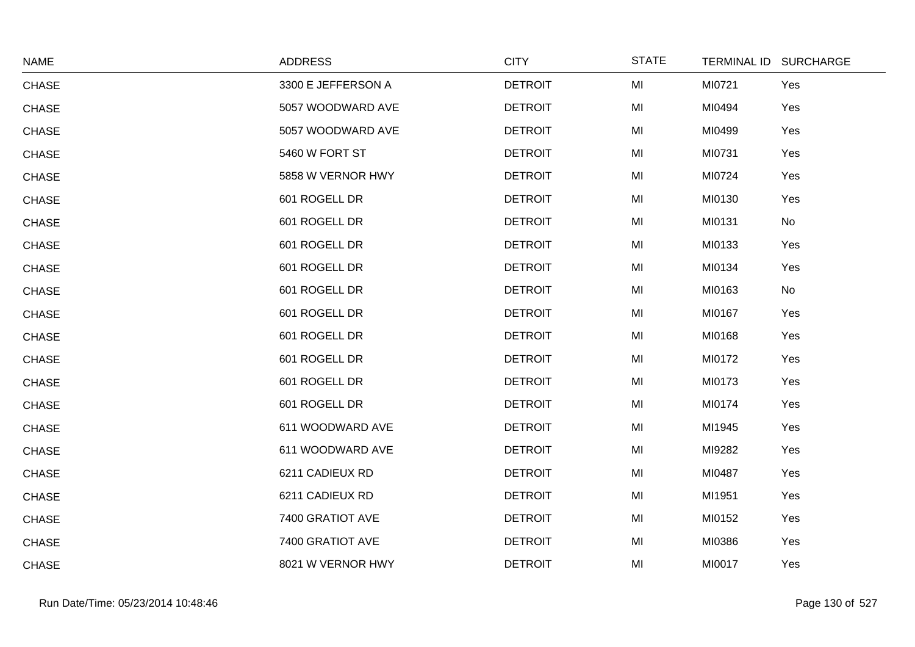| <b>NAME</b>  | <b>ADDRESS</b>     | <b>CITY</b>    | <b>STATE</b> | TERMINAL ID SURCHARGE |
|--------------|--------------------|----------------|--------------|-----------------------|
| <b>CHASE</b> | 3300 E JEFFERSON A | <b>DETROIT</b> | MI           | MI0721<br>Yes         |
| <b>CHASE</b> | 5057 WOODWARD AVE  | <b>DETROIT</b> | MI           | MI0494<br>Yes         |
| <b>CHASE</b> | 5057 WOODWARD AVE  | <b>DETROIT</b> | MI           | MI0499<br>Yes         |
| <b>CHASE</b> | 5460 W FORT ST     | <b>DETROIT</b> | MI           | MI0731<br>Yes         |
| <b>CHASE</b> | 5858 W VERNOR HWY  | <b>DETROIT</b> | MI           | MI0724<br>Yes         |
| <b>CHASE</b> | 601 ROGELL DR      | <b>DETROIT</b> | MI           | MI0130<br>Yes         |
| <b>CHASE</b> | 601 ROGELL DR      | <b>DETROIT</b> | MI           | MI0131<br>No          |
| <b>CHASE</b> | 601 ROGELL DR      | <b>DETROIT</b> | MI           | MI0133<br>Yes         |
| <b>CHASE</b> | 601 ROGELL DR      | <b>DETROIT</b> | MI           | MI0134<br>Yes         |
| <b>CHASE</b> | 601 ROGELL DR      | <b>DETROIT</b> | MI           | MI0163<br>No          |
| <b>CHASE</b> | 601 ROGELL DR      | <b>DETROIT</b> | MI           | MI0167<br>Yes         |
| <b>CHASE</b> | 601 ROGELL DR      | <b>DETROIT</b> | MI           | MI0168<br>Yes         |
| <b>CHASE</b> | 601 ROGELL DR      | <b>DETROIT</b> | MI           | MI0172<br>Yes         |
| <b>CHASE</b> | 601 ROGELL DR      | <b>DETROIT</b> | MI           | MI0173<br>Yes         |
| <b>CHASE</b> | 601 ROGELL DR      | <b>DETROIT</b> | MI           | MI0174<br>Yes         |
| <b>CHASE</b> | 611 WOODWARD AVE   | <b>DETROIT</b> | MI           | MI1945<br>Yes         |
| <b>CHASE</b> | 611 WOODWARD AVE   | <b>DETROIT</b> | MI           | MI9282<br>Yes         |
| <b>CHASE</b> | 6211 CADIEUX RD    | <b>DETROIT</b> | MI           | MI0487<br>Yes         |
| <b>CHASE</b> | 6211 CADIEUX RD    | <b>DETROIT</b> | MI           | MI1951<br>Yes         |
| <b>CHASE</b> | 7400 GRATIOT AVE   | <b>DETROIT</b> | MI           | MI0152<br>Yes         |
| <b>CHASE</b> | 7400 GRATIOT AVE   | <b>DETROIT</b> | MI           | MI0386<br>Yes         |
| <b>CHASE</b> | 8021 W VERNOR HWY  | <b>DETROIT</b> | MI           | MI0017<br>Yes         |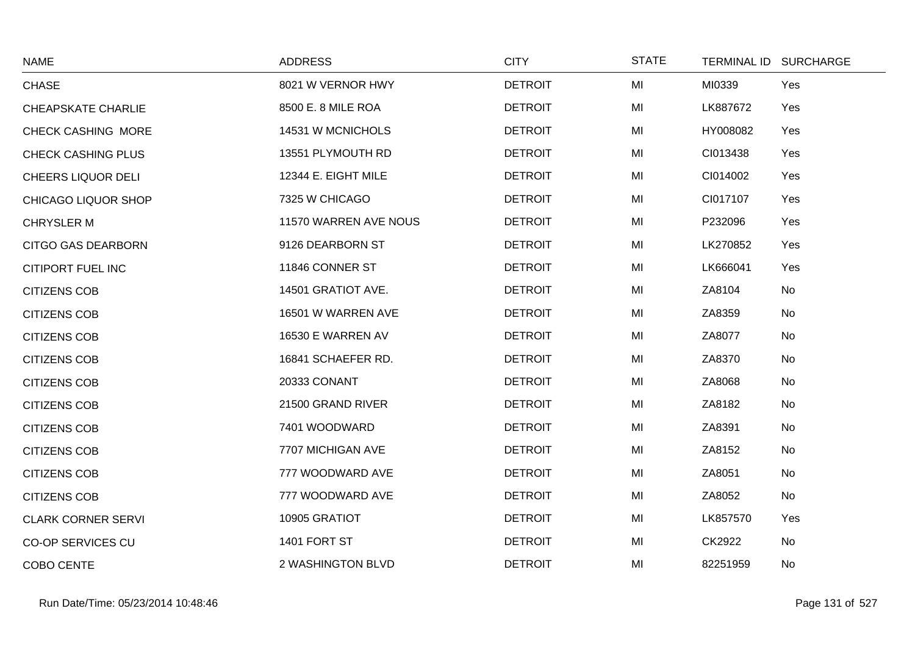| <b>NAME</b>                | <b>ADDRESS</b>        | <b>CITY</b>    | <b>STATE</b> |          | TERMINAL ID SURCHARGE |
|----------------------------|-----------------------|----------------|--------------|----------|-----------------------|
| <b>CHASE</b>               | 8021 W VERNOR HWY     | <b>DETROIT</b> | MI           | MI0339   | Yes                   |
| CHEAPSKATE CHARLIE         | 8500 E. 8 MILE ROA    | <b>DETROIT</b> | MI           | LK887672 | Yes                   |
| <b>CHECK CASHING MORE</b>  | 14531 W MCNICHOLS     | <b>DETROIT</b> | MI           | HY008082 | Yes                   |
| <b>CHECK CASHING PLUS</b>  | 13551 PLYMOUTH RD     | <b>DETROIT</b> | MI           | CI013438 | Yes                   |
| <b>CHEERS LIQUOR DELI</b>  | 12344 E. EIGHT MILE   | <b>DETROIT</b> | MI           | CI014002 | Yes                   |
| <b>CHICAGO LIQUOR SHOP</b> | 7325 W CHICAGO        | <b>DETROIT</b> | MI           | CI017107 | Yes                   |
| <b>CHRYSLER M</b>          | 11570 WARREN AVE NOUS | <b>DETROIT</b> | MI           | P232096  | Yes                   |
| CITGO GAS DEARBORN         | 9126 DEARBORN ST      | <b>DETROIT</b> | MI           | LK270852 | Yes                   |
| CITIPORT FUEL INC          | 11846 CONNER ST       | <b>DETROIT</b> | MI           | LK666041 | Yes                   |
| <b>CITIZENS COB</b>        | 14501 GRATIOT AVE.    | <b>DETROIT</b> | MI           | ZA8104   | No                    |
| <b>CITIZENS COB</b>        | 16501 W WARREN AVE    | <b>DETROIT</b> | MI           | ZA8359   | <b>No</b>             |
| <b>CITIZENS COB</b>        | 16530 E WARREN AV     | <b>DETROIT</b> | MI           | ZA8077   | No                    |
| <b>CITIZENS COB</b>        | 16841 SCHAEFER RD.    | <b>DETROIT</b> | MI           | ZA8370   | No                    |
| <b>CITIZENS COB</b>        | 20333 CONANT          | <b>DETROIT</b> | MI           | ZA8068   | <b>No</b>             |
| <b>CITIZENS COB</b>        | 21500 GRAND RIVER     | <b>DETROIT</b> | MI           | ZA8182   | No                    |
| <b>CITIZENS COB</b>        | 7401 WOODWARD         | <b>DETROIT</b> | MI           | ZA8391   | No                    |
| <b>CITIZENS COB</b>        | 7707 MICHIGAN AVE     | <b>DETROIT</b> | MI           | ZA8152   | No                    |
| <b>CITIZENS COB</b>        | 777 WOODWARD AVE      | <b>DETROIT</b> | MI           | ZA8051   | No                    |
| <b>CITIZENS COB</b>        | 777 WOODWARD AVE      | <b>DETROIT</b> | MI           | ZA8052   | No                    |
| <b>CLARK CORNER SERVI</b>  | 10905 GRATIOT         | <b>DETROIT</b> | MI           | LK857570 | Yes                   |
| <b>CO-OP SERVICES CU</b>   | 1401 FORT ST          | <b>DETROIT</b> | MI           | CK2922   | No                    |
| COBO CENTE                 | 2 WASHINGTON BLVD     | <b>DETROIT</b> | MI           | 82251959 | No                    |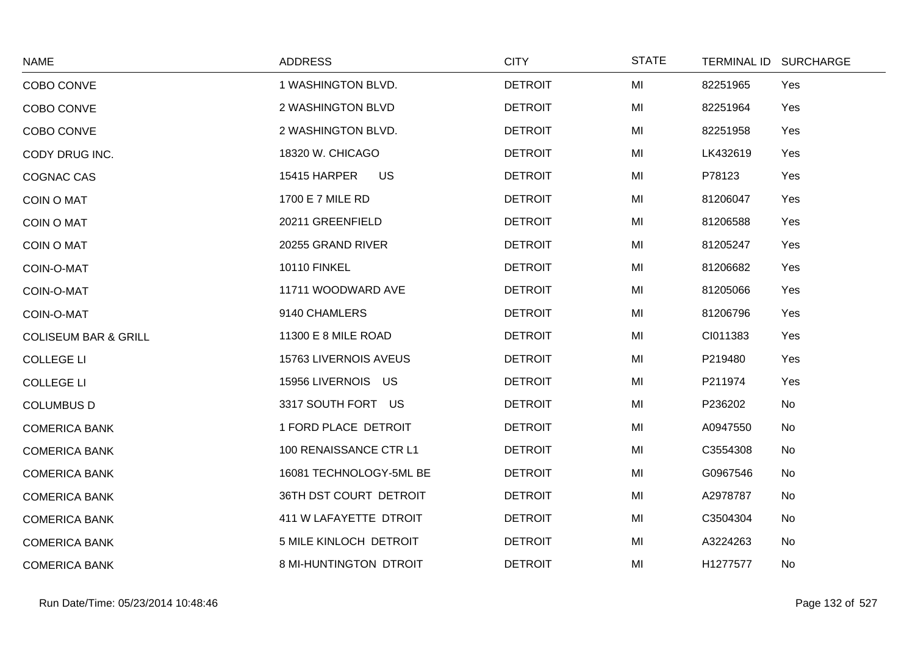| <b>NAME</b>                     | <b>ADDRESS</b>            | <b>CITY</b>    | <b>STATE</b> | TERMINAL ID SURCHARGE |  |
|---------------------------------|---------------------------|----------------|--------------|-----------------------|--|
| COBO CONVE                      | 1 WASHINGTON BLVD.        | <b>DETROIT</b> | MI           | Yes<br>82251965       |  |
| COBO CONVE                      | 2 WASHINGTON BLVD         | <b>DETROIT</b> | MI           | 82251964<br>Yes       |  |
| COBO CONVE                      | 2 WASHINGTON BLVD.        | <b>DETROIT</b> | MI           | 82251958<br>Yes       |  |
| CODY DRUG INC.                  | 18320 W. CHICAGO          | <b>DETROIT</b> | MI           | LK432619<br>Yes       |  |
| <b>COGNAC CAS</b>               | <b>US</b><br>15415 HARPER | <b>DETROIT</b> | MI           | P78123<br>Yes         |  |
| <b>COIN O MAT</b>               | 1700 E 7 MILE RD          | <b>DETROIT</b> | MI           | 81206047<br>Yes       |  |
| <b>COIN O MAT</b>               | 20211 GREENFIELD          | <b>DETROIT</b> | MI           | 81206588<br>Yes       |  |
| <b>COIN O MAT</b>               | 20255 GRAND RIVER         | <b>DETROIT</b> | MI           | 81205247<br>Yes       |  |
| COIN-O-MAT                      | <b>10110 FINKEL</b>       | <b>DETROIT</b> | MI           | 81206682<br>Yes       |  |
| COIN-O-MAT                      | 11711 WOODWARD AVE        | <b>DETROIT</b> | MI           | 81205066<br>Yes       |  |
| COIN-O-MAT                      | 9140 CHAMLERS             | <b>DETROIT</b> | MI           | 81206796<br>Yes       |  |
| <b>COLISEUM BAR &amp; GRILL</b> | 11300 E 8 MILE ROAD       | <b>DETROIT</b> | MI           | CI011383<br>Yes       |  |
| <b>COLLEGE LI</b>               | 15763 LIVERNOIS AVEUS     | <b>DETROIT</b> | MI           | Yes<br>P219480        |  |
| <b>COLLEGE LI</b>               | 15956 LIVERNOIS US        | <b>DETROIT</b> | MI           | P211974<br>Yes        |  |
| <b>COLUMBUS D</b>               | 3317 SOUTH FORT US        | <b>DETROIT</b> | MI           | P236202<br>No         |  |
| <b>COMERICA BANK</b>            | 1 FORD PLACE DETROIT      | <b>DETROIT</b> | MI           | A0947550<br>No        |  |
| <b>COMERICA BANK</b>            | 100 RENAISSANCE CTR L1    | <b>DETROIT</b> | MI           | C3554308<br>No        |  |
| <b>COMERICA BANK</b>            | 16081 TECHNOLOGY-5ML BE   | <b>DETROIT</b> | MI           | G0967546<br>No        |  |
| <b>COMERICA BANK</b>            | 36TH DST COURT DETROIT    | <b>DETROIT</b> | MI           | A2978787<br>No        |  |
| <b>COMERICA BANK</b>            | 411 W LAFAYETTE DTROIT    | <b>DETROIT</b> | MI           | C3504304<br>No        |  |
| <b>COMERICA BANK</b>            | 5 MILE KINLOCH DETROIT    | <b>DETROIT</b> | MI           | A3224263<br>No        |  |
| <b>COMERICA BANK</b>            | 8 MI-HUNTINGTON DTROIT    | <b>DETROIT</b> | MI           | H1277577<br>No        |  |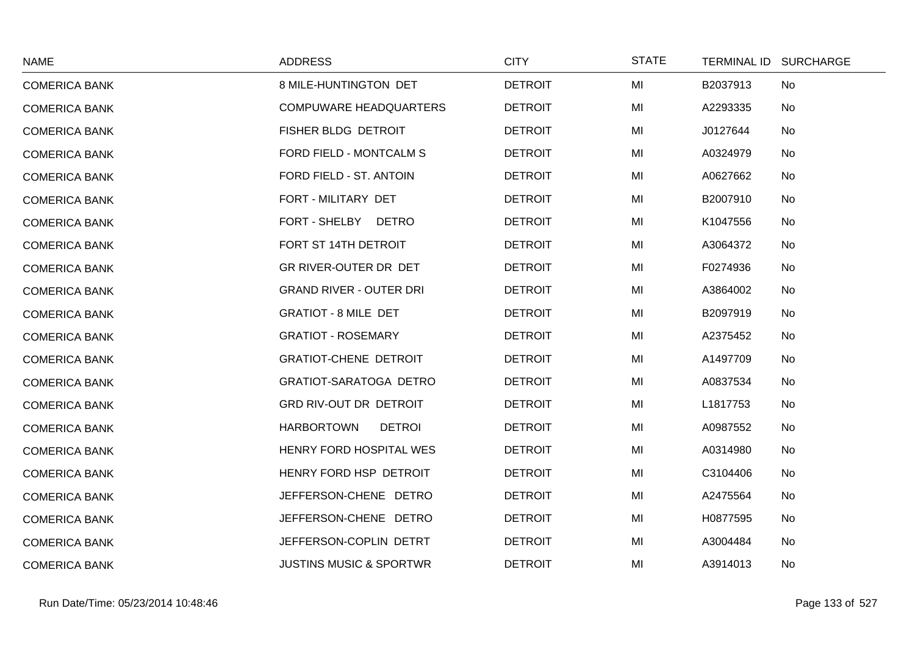| <b>NAME</b>          | <b>ADDRESS</b>                     | <b>CITY</b>    | <b>STATE</b> |          | TERMINAL ID SURCHARGE |
|----------------------|------------------------------------|----------------|--------------|----------|-----------------------|
| <b>COMERICA BANK</b> | 8 MILE-HUNTINGTON DET              | <b>DETROIT</b> | MI           | B2037913 | No                    |
| <b>COMERICA BANK</b> | <b>COMPUWARE HEADQUARTERS</b>      | <b>DETROIT</b> | MI           | A2293335 | No                    |
| <b>COMERICA BANK</b> | FISHER BLDG DETROIT                | <b>DETROIT</b> | MI           | J0127644 | No                    |
| <b>COMERICA BANK</b> | FORD FIELD - MONTCALM S            | <b>DETROIT</b> | MI           | A0324979 | No                    |
| <b>COMERICA BANK</b> | FORD FIELD - ST. ANTOIN            | <b>DETROIT</b> | MI           | A0627662 | No                    |
| <b>COMERICA BANK</b> | FORT - MILITARY DET                | <b>DETROIT</b> | MI           | B2007910 | No                    |
| <b>COMERICA BANK</b> | FORT - SHELBY DETRO                | <b>DETROIT</b> | MI           | K1047556 | No                    |
| <b>COMERICA BANK</b> | FORT ST 14TH DETROIT               | <b>DETROIT</b> | MI           | A3064372 | No                    |
| <b>COMERICA BANK</b> | GR RIVER-OUTER DR DET              | <b>DETROIT</b> | MI           | F0274936 | No                    |
| <b>COMERICA BANK</b> | <b>GRAND RIVER - OUTER DRI</b>     | <b>DETROIT</b> | MI           | A3864002 | No                    |
| <b>COMERICA BANK</b> | <b>GRATIOT - 8 MILE DET</b>        | <b>DETROIT</b> | MI           | B2097919 | No                    |
| <b>COMERICA BANK</b> | <b>GRATIOT - ROSEMARY</b>          | <b>DETROIT</b> | MI           | A2375452 | No                    |
| <b>COMERICA BANK</b> | <b>GRATIOT-CHENE DETROIT</b>       | <b>DETROIT</b> | MI           | A1497709 | No                    |
| <b>COMERICA BANK</b> | <b>GRATIOT-SARATOGA DETRO</b>      | <b>DETROIT</b> | MI           | A0837534 | No                    |
| <b>COMERICA BANK</b> | GRD RIV-OUT DR DETROIT             | <b>DETROIT</b> | MI           | L1817753 | No                    |
| <b>COMERICA BANK</b> | <b>HARBORTOWN</b><br><b>DETROI</b> | <b>DETROIT</b> | MI           | A0987552 | No                    |
| <b>COMERICA BANK</b> | HENRY FORD HOSPITAL WES            | <b>DETROIT</b> | MI           | A0314980 | No                    |
| <b>COMERICA BANK</b> | HENRY FORD HSP DETROIT             | <b>DETROIT</b> | MI           | C3104406 | No                    |
| <b>COMERICA BANK</b> | JEFFERSON-CHENE DETRO              | <b>DETROIT</b> | MI           | A2475564 | No                    |
| <b>COMERICA BANK</b> | JEFFERSON-CHENE DETRO              | <b>DETROIT</b> | MI           | H0877595 | No                    |
| <b>COMERICA BANK</b> | JEFFERSON-COPLIN DETRT             | <b>DETROIT</b> | MI           | A3004484 | No                    |
| <b>COMERICA BANK</b> | <b>JUSTINS MUSIC &amp; SPORTWR</b> | <b>DETROIT</b> | MI           | A3914013 | No                    |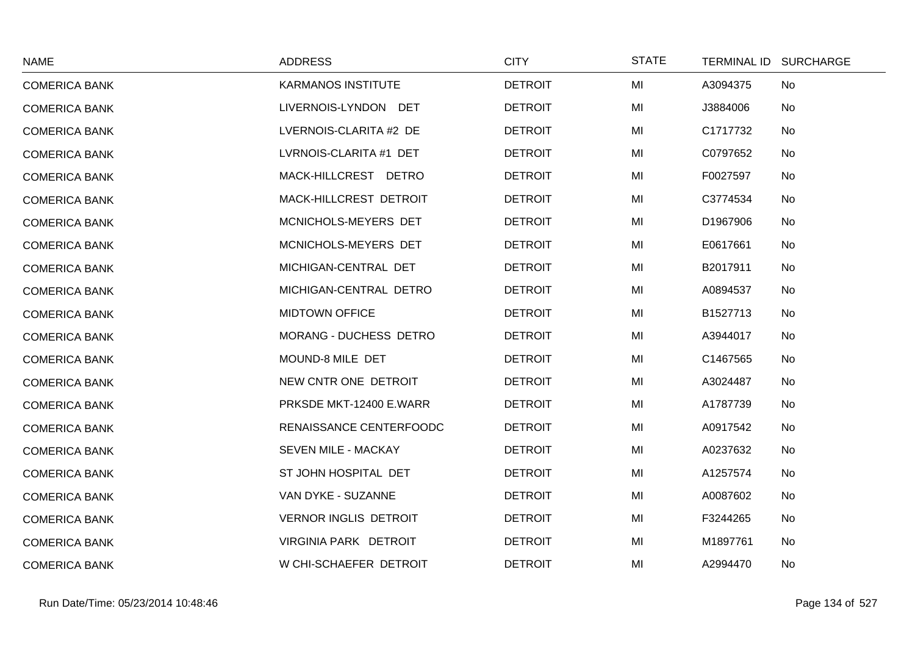| <b>NAME</b>          | <b>ADDRESS</b>               | <b>CITY</b>    | <b>STATE</b> | TERMINAL ID SURCHARGE |
|----------------------|------------------------------|----------------|--------------|-----------------------|
| <b>COMERICA BANK</b> | <b>KARMANOS INSTITUTE</b>    | <b>DETROIT</b> | MI           | A3094375<br>No        |
| <b>COMERICA BANK</b> | LIVERNOIS-LYNDON DET         | <b>DETROIT</b> | MI           | J3884006<br>No        |
| <b>COMERICA BANK</b> | LVERNOIS-CLARITA #2 DE       | <b>DETROIT</b> | MI           | C1717732<br>No        |
| <b>COMERICA BANK</b> | LVRNOIS-CLARITA #1 DET       | <b>DETROIT</b> | MI           | C0797652<br>No        |
| <b>COMERICA BANK</b> | MACK-HILLCREST DETRO         | <b>DETROIT</b> | MI           | F0027597<br>No        |
| <b>COMERICA BANK</b> | MACK-HILLCREST DETROIT       | <b>DETROIT</b> | MI           | C3774534<br>No        |
| <b>COMERICA BANK</b> | MCNICHOLS-MEYERS DET         | <b>DETROIT</b> | MI           | D1967906<br>No        |
| <b>COMERICA BANK</b> | MCNICHOLS-MEYERS DET         | <b>DETROIT</b> | MI           | E0617661<br>No        |
| <b>COMERICA BANK</b> | MICHIGAN-CENTRAL DET         | <b>DETROIT</b> | MI           | B2017911<br>No        |
| <b>COMERICA BANK</b> | MICHIGAN-CENTRAL DETRO       | <b>DETROIT</b> | MI           | A0894537<br>No        |
| <b>COMERICA BANK</b> | <b>MIDTOWN OFFICE</b>        | <b>DETROIT</b> | MI           | B1527713<br>No        |
| <b>COMERICA BANK</b> | MORANG - DUCHESS DETRO       | <b>DETROIT</b> | MI           | A3944017<br>No        |
| <b>COMERICA BANK</b> | MOUND-8 MILE DET             | <b>DETROIT</b> | MI           | C1467565<br>No        |
| <b>COMERICA BANK</b> | NEW CNTR ONE DETROIT         | <b>DETROIT</b> | MI           | A3024487<br>No        |
| <b>COMERICA BANK</b> | PRKSDE MKT-12400 E.WARR      | <b>DETROIT</b> | MI           | A1787739<br>No        |
| <b>COMERICA BANK</b> | RENAISSANCE CENTERFOODC      | <b>DETROIT</b> | MI           | A0917542<br>No        |
| <b>COMERICA BANK</b> | SEVEN MILE - MACKAY          | <b>DETROIT</b> | MI           | A0237632<br>No        |
| <b>COMERICA BANK</b> | ST JOHN HOSPITAL DET         | <b>DETROIT</b> | MI           | A1257574<br>No        |
| <b>COMERICA BANK</b> | VAN DYKE - SUZANNE           | <b>DETROIT</b> | MI           | A0087602<br>No        |
| <b>COMERICA BANK</b> | <b>VERNOR INGLIS DETROIT</b> | <b>DETROIT</b> | MI           | F3244265<br>No        |
| <b>COMERICA BANK</b> | VIRGINIA PARK DETROIT        | <b>DETROIT</b> | MI           | M1897761<br>No        |
| <b>COMERICA BANK</b> | W CHI-SCHAEFER DETROIT       | <b>DETROIT</b> | MI           | A2994470<br>No        |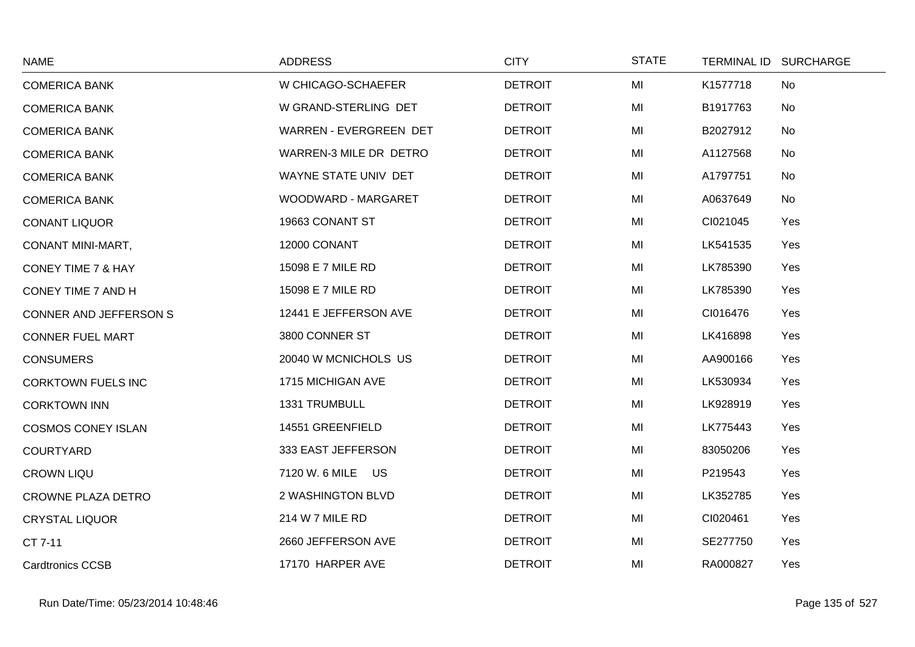| <b>NAME</b>               | <b>ADDRESS</b>         | <b>CITY</b>    | <b>STATE</b> | TERMINAL ID SURCHARGE |
|---------------------------|------------------------|----------------|--------------|-----------------------|
| <b>COMERICA BANK</b>      | W CHICAGO-SCHAEFER     | <b>DETROIT</b> | MI           | K1577718<br>No        |
| <b>COMERICA BANK</b>      | W GRAND-STERLING DET   | <b>DETROIT</b> | MI           | B1917763<br>No        |
| <b>COMERICA BANK</b>      | WARREN - EVERGREEN DET | <b>DETROIT</b> | MI           | B2027912<br>No        |
| <b>COMERICA BANK</b>      | WARREN-3 MILE DR DETRO | <b>DETROIT</b> | MI           | A1127568<br>No        |
| <b>COMERICA BANK</b>      | WAYNE STATE UNIV DET   | <b>DETROIT</b> | MI           | A1797751<br>No        |
| <b>COMERICA BANK</b>      | WOODWARD - MARGARET    | <b>DETROIT</b> | MI           | A0637649<br>No        |
| <b>CONANT LIQUOR</b>      | 19663 CONANT ST        | <b>DETROIT</b> | MI           | CI021045<br>Yes       |
| <b>CONANT MINI-MART,</b>  | 12000 CONANT           | <b>DETROIT</b> | MI           | LK541535<br>Yes       |
| CONEY TIME 7 & HAY        | 15098 E 7 MILE RD      | <b>DETROIT</b> | MI           | LK785390<br>Yes       |
| CONEY TIME 7 AND H        | 15098 E 7 MILE RD      | <b>DETROIT</b> | MI           | LK785390<br>Yes       |
| CONNER AND JEFFERSON S    | 12441 E JEFFERSON AVE  | <b>DETROIT</b> | MI           | CI016476<br>Yes       |
| <b>CONNER FUEL MART</b>   | 3800 CONNER ST         | <b>DETROIT</b> | MI           | LK416898<br>Yes       |
| <b>CONSUMERS</b>          | 20040 W MCNICHOLS US   | <b>DETROIT</b> | MI           | AA900166<br>Yes       |
| <b>CORKTOWN FUELS INC</b> | 1715 MICHIGAN AVE      | <b>DETROIT</b> | MI           | LK530934<br>Yes       |
| <b>CORKTOWN INN</b>       | 1331 TRUMBULL          | <b>DETROIT</b> | MI           | LK928919<br>Yes       |
| <b>COSMOS CONEY ISLAN</b> | 14551 GREENFIELD       | <b>DETROIT</b> | MI           | LK775443<br>Yes       |
| <b>COURTYARD</b>          | 333 EAST JEFFERSON     | <b>DETROIT</b> | MI           | 83050206<br>Yes       |
| <b>CROWN LIQU</b>         | 7120 W. 6 MILE US      | <b>DETROIT</b> | MI           | P219543<br>Yes        |
| <b>CROWNE PLAZA DETRO</b> | 2 WASHINGTON BLVD      | <b>DETROIT</b> | MI           | LK352785<br>Yes       |
| <b>CRYSTAL LIQUOR</b>     | 214 W 7 MILE RD        | <b>DETROIT</b> | MI           | CI020461<br>Yes       |
| CT 7-11                   | 2660 JEFFERSON AVE     | <b>DETROIT</b> | MI           | SE277750<br>Yes       |
| <b>Cardtronics CCSB</b>   | 17170 HARPER AVE       | <b>DETROIT</b> | MI           | RA000827<br>Yes       |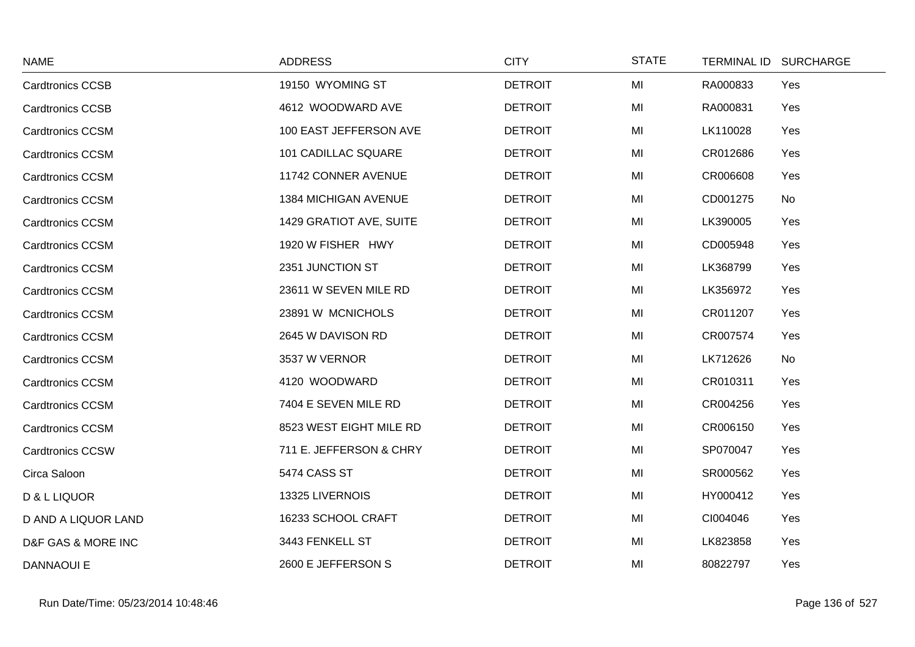| <b>NAME</b>             | <b>ADDRESS</b>             | <b>CITY</b>    | <b>STATE</b> |          | TERMINAL ID SURCHARGE |
|-------------------------|----------------------------|----------------|--------------|----------|-----------------------|
| <b>Cardtronics CCSB</b> | 19150 WYOMING ST           | <b>DETROIT</b> | MI           | RA000833 | Yes                   |
| <b>Cardtronics CCSB</b> | 4612 WOODWARD AVE          | <b>DETROIT</b> | MI           | RA000831 | Yes                   |
| <b>Cardtronics CCSM</b> | 100 EAST JEFFERSON AVE     | <b>DETROIT</b> | MI           | LK110028 | Yes                   |
| <b>Cardtronics CCSM</b> | <b>101 CADILLAC SQUARE</b> | <b>DETROIT</b> | MI           | CR012686 | Yes                   |
| <b>Cardtronics CCSM</b> | 11742 CONNER AVENUE        | <b>DETROIT</b> | MI           | CR006608 | Yes                   |
| <b>Cardtronics CCSM</b> | 1384 MICHIGAN AVENUE       | <b>DETROIT</b> | MI           | CD001275 | No                    |
| <b>Cardtronics CCSM</b> | 1429 GRATIOT AVE, SUITE    | <b>DETROIT</b> | MI           | LK390005 | Yes                   |
| <b>Cardtronics CCSM</b> | 1920 W FISHER HWY          | <b>DETROIT</b> | MI           | CD005948 | Yes                   |
| <b>Cardtronics CCSM</b> | 2351 JUNCTION ST           | <b>DETROIT</b> | MI           | LK368799 | Yes                   |
| <b>Cardtronics CCSM</b> | 23611 W SEVEN MILE RD      | <b>DETROIT</b> | MI           | LK356972 | Yes                   |
| <b>Cardtronics CCSM</b> | 23891 W MCNICHOLS          | <b>DETROIT</b> | MI           | CR011207 | Yes                   |
| <b>Cardtronics CCSM</b> | 2645 W DAVISON RD          | <b>DETROIT</b> | MI           | CR007574 | Yes                   |
| <b>Cardtronics CCSM</b> | 3537 W VERNOR              | <b>DETROIT</b> | MI           | LK712626 | No                    |
| <b>Cardtronics CCSM</b> | 4120 WOODWARD              | <b>DETROIT</b> | MI           | CR010311 | Yes                   |
| <b>Cardtronics CCSM</b> | 7404 E SEVEN MILE RD       | <b>DETROIT</b> | MI           | CR004256 | Yes                   |
| <b>Cardtronics CCSM</b> | 8523 WEST EIGHT MILE RD    | <b>DETROIT</b> | MI           | CR006150 | Yes                   |
| <b>Cardtronics CCSW</b> | 711 E. JEFFERSON & CHRY    | <b>DETROIT</b> | MI           | SP070047 | Yes                   |
| Circa Saloon            | 5474 CASS ST               | <b>DETROIT</b> | MI           | SR000562 | Yes                   |
| D & L LIQUOR            | 13325 LIVERNOIS            | <b>DETROIT</b> | MI           | HY000412 | Yes                   |
| D AND A LIQUOR LAND     | 16233 SCHOOL CRAFT         | <b>DETROIT</b> | MI           | CI004046 | Yes                   |
| D&F GAS & MORE INC      | 3443 FENKELL ST            | <b>DETROIT</b> | MI           | LK823858 | Yes                   |
| <b>DANNAOUI E</b>       | 2600 E JEFFERSON S         | <b>DETROIT</b> | MI           | 80822797 | Yes                   |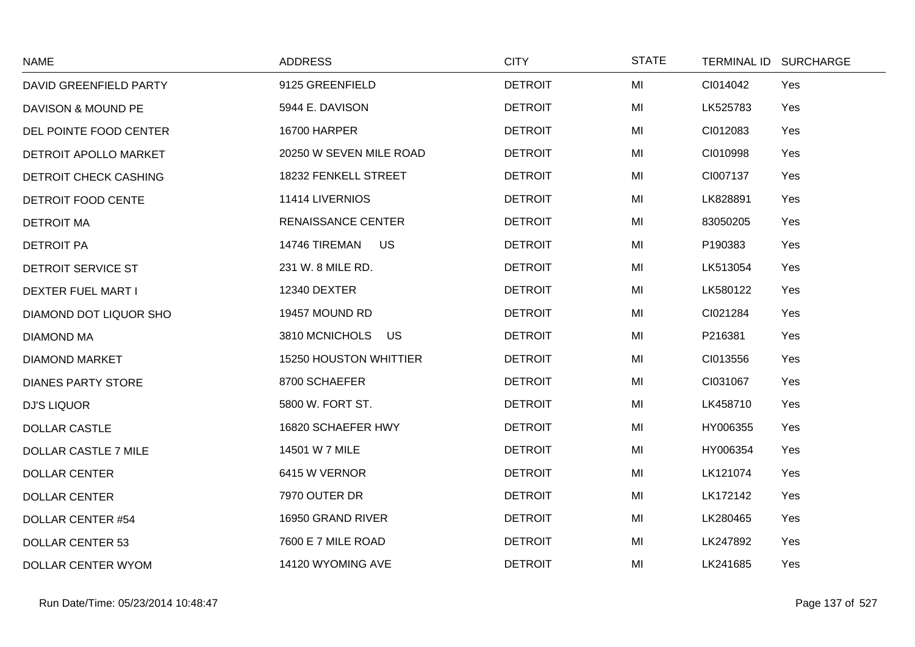| <b>NAME</b>                   | <b>ADDRESS</b>                | <b>CITY</b>    | <b>STATE</b> | TERMINAL ID SURCHARGE |  |
|-------------------------------|-------------------------------|----------------|--------------|-----------------------|--|
| <b>DAVID GREENFIELD PARTY</b> | 9125 GREENFIELD               | <b>DETROIT</b> | MI           | Yes<br>CI014042       |  |
| DAVISON & MOUND PE            | 5944 E. DAVISON               | <b>DETROIT</b> | MI           | LK525783<br>Yes       |  |
| DEL POINTE FOOD CENTER        | <b>16700 HARPER</b>           | <b>DETROIT</b> | MI           | CI012083<br>Yes       |  |
| DETROIT APOLLO MARKET         | 20250 W SEVEN MILE ROAD       | <b>DETROIT</b> | MI           | CI010998<br>Yes       |  |
| <b>DETROIT CHECK CASHING</b>  | 18232 FENKELL STREET          | <b>DETROIT</b> | MI           | CI007137<br>Yes       |  |
| DETROIT FOOD CENTE            | 11414 LIVERNIOS               | <b>DETROIT</b> | MI           | Yes<br>LK828891       |  |
| <b>DETROIT MA</b>             | <b>RENAISSANCE CENTER</b>     | <b>DETROIT</b> | MI           | 83050205<br>Yes       |  |
| <b>DETROIT PA</b>             | 14746 TIREMAN US              | <b>DETROIT</b> | MI           | P190383<br>Yes        |  |
| DETROIT SERVICE ST            | 231 W. 8 MILE RD.             | <b>DETROIT</b> | MI           | Yes<br>LK513054       |  |
| <b>DEXTER FUEL MART I</b>     | 12340 DEXTER                  | <b>DETROIT</b> | MI           | LK580122<br>Yes       |  |
| DIAMOND DOT LIQUOR SHO        | 19457 MOUND RD                | <b>DETROIT</b> | MI           | CI021284<br>Yes       |  |
| <b>DIAMOND MA</b>             | 3810 MCNICHOLS<br><b>US</b>   | <b>DETROIT</b> | MI           | P216381<br>Yes        |  |
| <b>DIAMOND MARKET</b>         | <b>15250 HOUSTON WHITTIER</b> | <b>DETROIT</b> | MI           | CI013556<br>Yes       |  |
| <b>DIANES PARTY STORE</b>     | 8700 SCHAEFER                 | <b>DETROIT</b> | MI           | CI031067<br>Yes       |  |
| <b>DJ'S LIQUOR</b>            | 5800 W. FORT ST.              | <b>DETROIT</b> | MI           | LK458710<br>Yes       |  |
| <b>DOLLAR CASTLE</b>          | 16820 SCHAEFER HWY            | <b>DETROIT</b> | MI           | HY006355<br>Yes       |  |
| DOLLAR CASTLE 7 MILE          | 14501 W 7 MILE                | <b>DETROIT</b> | MI           | HY006354<br>Yes       |  |
| <b>DOLLAR CENTER</b>          | 6415 W VERNOR                 | <b>DETROIT</b> | MI           | LK121074<br>Yes       |  |
| <b>DOLLAR CENTER</b>          | 7970 OUTER DR                 | <b>DETROIT</b> | MI           | LK172142<br>Yes       |  |
| <b>DOLLAR CENTER #54</b>      | 16950 GRAND RIVER             | <b>DETROIT</b> | MI           | LK280465<br>Yes       |  |
| <b>DOLLAR CENTER 53</b>       | 7600 E 7 MILE ROAD            | <b>DETROIT</b> | MI           | LK247892<br>Yes       |  |
| <b>DOLLAR CENTER WYOM</b>     | 14120 WYOMING AVE             | <b>DETROIT</b> | MI           | LK241685<br>Yes       |  |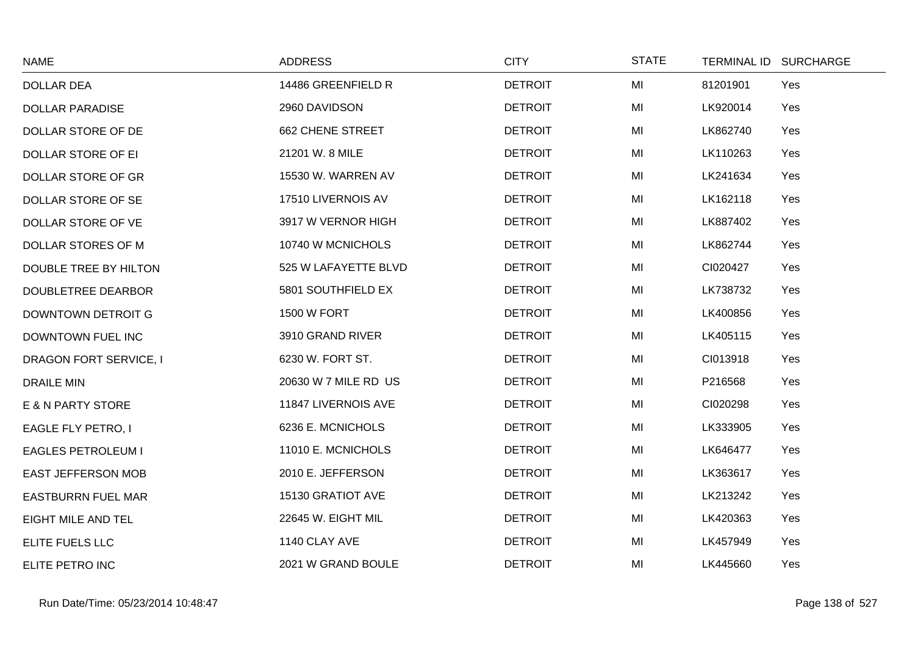| <b>NAME</b>                   | <b>ADDRESS</b>          | <b>CITY</b>    | <b>STATE</b> | TERMINAL ID SURCHARGE |  |
|-------------------------------|-------------------------|----------------|--------------|-----------------------|--|
| <b>DOLLAR DEA</b>             | 14486 GREENFIELD R      | <b>DETROIT</b> | MI           | 81201901<br>Yes       |  |
| <b>DOLLAR PARADISE</b>        | 2960 DAVIDSON           | <b>DETROIT</b> | MI           | LK920014<br>Yes       |  |
| DOLLAR STORE OF DE            | <b>662 CHENE STREET</b> | <b>DETROIT</b> | MI           | LK862740<br>Yes       |  |
| DOLLAR STORE OF EI            | 21201 W. 8 MILE         | <b>DETROIT</b> | MI           | LK110263<br>Yes       |  |
| DOLLAR STORE OF GR            | 15530 W. WARREN AV      | <b>DETROIT</b> | MI           | LK241634<br>Yes       |  |
| DOLLAR STORE OF SE            | 17510 LIVERNOIS AV      | <b>DETROIT</b> | MI           | LK162118<br>Yes       |  |
| DOLLAR STORE OF VE            | 3917 W VERNOR HIGH      | <b>DETROIT</b> | MI           | LK887402<br>Yes       |  |
| DOLLAR STORES OF M            | 10740 W MCNICHOLS       | <b>DETROIT</b> | MI           | LK862744<br>Yes       |  |
| DOUBLE TREE BY HILTON         | 525 W LAFAYETTE BLVD    | <b>DETROIT</b> | MI           | CI020427<br>Yes       |  |
| <b>DOUBLETREE DEARBOR</b>     | 5801 SOUTHFIELD EX      | <b>DETROIT</b> | MI           | LK738732<br>Yes       |  |
| DOWNTOWN DETROIT G            | <b>1500 W FORT</b>      | <b>DETROIT</b> | MI           | LK400856<br>Yes       |  |
| DOWNTOWN FUEL INC             | 3910 GRAND RIVER        | <b>DETROIT</b> | MI           | LK405115<br>Yes       |  |
| <b>DRAGON FORT SERVICE, I</b> | 6230 W. FORT ST.        | <b>DETROIT</b> | MI           | CI013918<br>Yes       |  |
| <b>DRAILE MIN</b>             | 20630 W 7 MILE RD US    | <b>DETROIT</b> | MI           | P216568<br>Yes        |  |
| E & N PARTY STORE             | 11847 LIVERNOIS AVE     | <b>DETROIT</b> | MI           | CI020298<br>Yes       |  |
| EAGLE FLY PETRO, I            | 6236 E. MCNICHOLS       | <b>DETROIT</b> | MI           | LK333905<br>Yes       |  |
| <b>EAGLES PETROLEUM I</b>     | 11010 E. MCNICHOLS      | <b>DETROIT</b> | MI           | LK646477<br>Yes       |  |
| <b>EAST JEFFERSON MOB</b>     | 2010 E. JEFFERSON       | <b>DETROIT</b> | MI           | LK363617<br>Yes       |  |
| <b>EASTBURRN FUEL MAR</b>     | 15130 GRATIOT AVE       | <b>DETROIT</b> | MI           | LK213242<br>Yes       |  |
| <b>EIGHT MILE AND TEL</b>     | 22645 W. EIGHT MIL      | <b>DETROIT</b> | MI           | LK420363<br>Yes       |  |
| ELITE FUELS LLC               | 1140 CLAY AVE           | <b>DETROIT</b> | MI           | Yes<br>LK457949       |  |
| ELITE PETRO INC               | 2021 W GRAND BOULE      | <b>DETROIT</b> | MI           | LK445660<br>Yes       |  |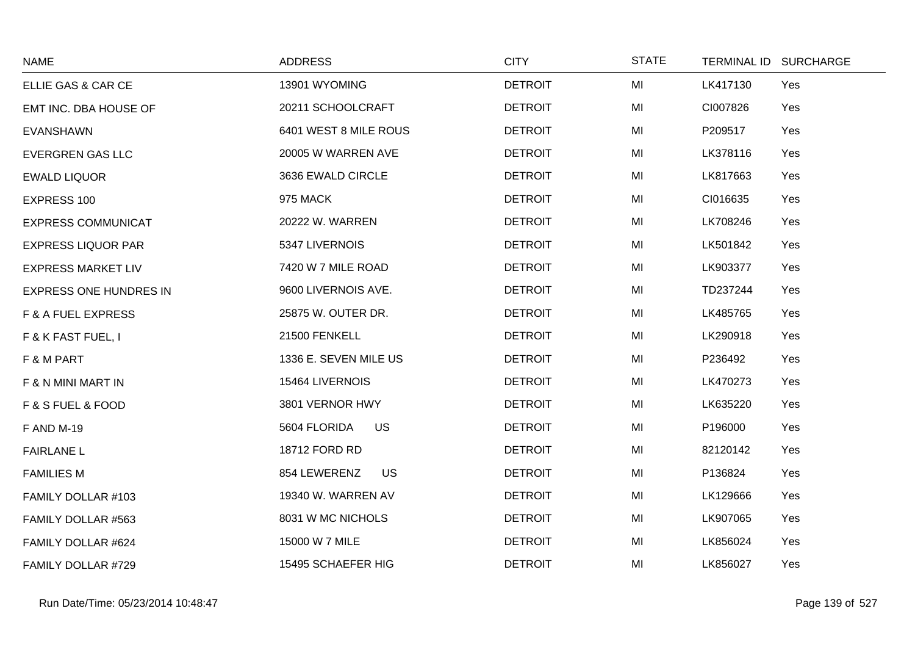| <b>NAME</b>                   | <b>ADDRESS</b>            | <b>CITY</b>    | <b>STATE</b> | TERMINAL ID SURCHARGE |
|-------------------------------|---------------------------|----------------|--------------|-----------------------|
| ELLIE GAS & CAR CE            | 13901 WYOMING             | <b>DETROIT</b> | MI           | LK417130<br>Yes       |
| EMT INC. DBA HOUSE OF         | 20211 SCHOOLCRAFT         | <b>DETROIT</b> | MI           | CI007826<br>Yes       |
| <b>EVANSHAWN</b>              | 6401 WEST 8 MILE ROUS     | <b>DETROIT</b> | MI           | P209517<br>Yes        |
| <b>EVERGREN GAS LLC</b>       | 20005 W WARREN AVE        | <b>DETROIT</b> | MI           | LK378116<br>Yes       |
| <b>EWALD LIQUOR</b>           | 3636 EWALD CIRCLE         | <b>DETROIT</b> | MI           | LK817663<br>Yes       |
| EXPRESS 100                   | 975 MACK                  | <b>DETROIT</b> | MI           | CI016635<br>Yes       |
| <b>EXPRESS COMMUNICAT</b>     | 20222 W. WARREN           | <b>DETROIT</b> | MI           | LK708246<br>Yes       |
| <b>EXPRESS LIQUOR PAR</b>     | 5347 LIVERNOIS            | <b>DETROIT</b> | MI           | LK501842<br>Yes       |
| <b>EXPRESS MARKET LIV</b>     | 7420 W 7 MILE ROAD        | <b>DETROIT</b> | MI           | LK903377<br>Yes       |
| <b>EXPRESS ONE HUNDRES IN</b> | 9600 LIVERNOIS AVE.       | <b>DETROIT</b> | MI           | TD237244<br>Yes       |
| <b>F &amp; A FUEL EXPRESS</b> | 25875 W. OUTER DR.        | <b>DETROIT</b> | MI           | LK485765<br>Yes       |
| F & K FAST FUEL, I            | 21500 FENKELL             | <b>DETROIT</b> | MI           | LK290918<br>Yes       |
| F & M PART                    | 1336 E. SEVEN MILE US     | <b>DETROIT</b> | MI           | Yes<br>P236492        |
| F & N MINI MART IN            | 15464 LIVERNOIS           | <b>DETROIT</b> | MI           | LK470273<br>Yes       |
| F & S FUEL & FOOD             | 3801 VERNOR HWY           | <b>DETROIT</b> | MI           | LK635220<br>Yes       |
| <b>F AND M-19</b>             | 5604 FLORIDA<br><b>US</b> | <b>DETROIT</b> | MI           | P196000<br>Yes        |
| <b>FAIRLANE L</b>             | 18712 FORD RD             | <b>DETROIT</b> | MI           | Yes<br>82120142       |
| <b>FAMILIES M</b>             | 854 LEWERENZ<br><b>US</b> | <b>DETROIT</b> | MI           | P136824<br>Yes        |
| FAMILY DOLLAR #103            | 19340 W. WARREN AV        | <b>DETROIT</b> | MI           | LK129666<br>Yes       |
| FAMILY DOLLAR #563            | 8031 W MC NICHOLS         | <b>DETROIT</b> | MI           | LK907065<br>Yes       |
| FAMILY DOLLAR #624            | 15000 W 7 MILE            | <b>DETROIT</b> | MI           | LK856024<br>Yes       |
| FAMILY DOLLAR #729            | 15495 SCHAEFER HIG        | <b>DETROIT</b> | MI           | LK856027<br>Yes       |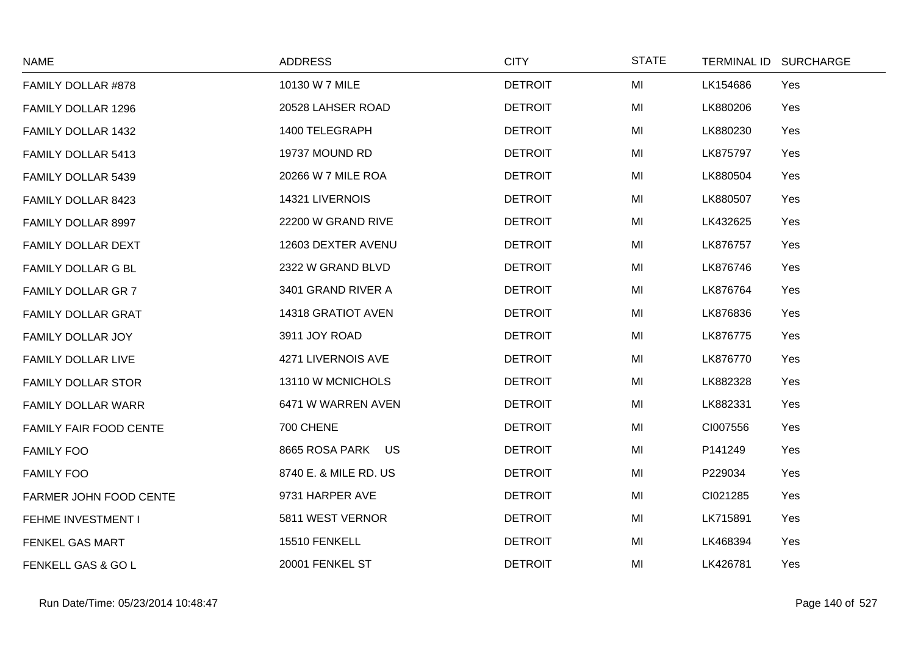| <b>NAME</b>               | <b>ADDRESS</b>        | <b>CITY</b>    | <b>STATE</b> | TERMINAL ID SURCHARGE |
|---------------------------|-----------------------|----------------|--------------|-----------------------|
| FAMILY DOLLAR #878        | 10130 W 7 MILE        | <b>DETROIT</b> | MI           | LK154686<br>Yes       |
| FAMILY DOLLAR 1296        | 20528 LAHSER ROAD     | <b>DETROIT</b> | MI           | LK880206<br>Yes       |
| FAMILY DOLLAR 1432        | 1400 TELEGRAPH        | <b>DETROIT</b> | MI           | LK880230<br>Yes       |
| FAMILY DOLLAR 5413        | 19737 MOUND RD        | <b>DETROIT</b> | MI           | LK875797<br>Yes       |
| FAMILY DOLLAR 5439        | 20266 W 7 MILE ROA    | <b>DETROIT</b> | MI           | LK880504<br>Yes       |
| FAMILY DOLLAR 8423        | 14321 LIVERNOIS       | <b>DETROIT</b> | MI           | LK880507<br>Yes       |
| FAMILY DOLLAR 8997        | 22200 W GRAND RIVE    | <b>DETROIT</b> | MI           | LK432625<br>Yes       |
| <b>FAMILY DOLLAR DEXT</b> | 12603 DEXTER AVENU    | <b>DETROIT</b> | MI           | LK876757<br>Yes       |
| FAMILY DOLLAR G BL        | 2322 W GRAND BLVD     | <b>DETROIT</b> | MI           | LK876746<br>Yes       |
| <b>FAMILY DOLLAR GR 7</b> | 3401 GRAND RIVER A    | <b>DETROIT</b> | MI           | LK876764<br>Yes       |
| <b>FAMILY DOLLAR GRAT</b> | 14318 GRATIOT AVEN    | <b>DETROIT</b> | MI           | LK876836<br>Yes       |
| <b>FAMILY DOLLAR JOY</b>  | 3911 JOY ROAD         | <b>DETROIT</b> | MI           | LK876775<br>Yes       |
| FAMILY DOLLAR LIVE        | 4271 LIVERNOIS AVE    | <b>DETROIT</b> | MI           | LK876770<br>Yes       |
| <b>FAMILY DOLLAR STOR</b> | 13110 W MCNICHOLS     | <b>DETROIT</b> | MI           | LK882328<br>Yes       |
| <b>FAMILY DOLLAR WARR</b> | 6471 W WARREN AVEN    | <b>DETROIT</b> | MI           | LK882331<br>Yes       |
| FAMILY FAIR FOOD CENTE    | 700 CHENE             | <b>DETROIT</b> | MI           | CI007556<br>Yes       |
| <b>FAMILY FOO</b>         | 8665 ROSA PARK US     | <b>DETROIT</b> | MI           | P141249<br>Yes        |
| <b>FAMILY FOO</b>         | 8740 E. & MILE RD. US | <b>DETROIT</b> | MI           | P229034<br>Yes        |
| FARMER JOHN FOOD CENTE    | 9731 HARPER AVE       | <b>DETROIT</b> | MI           | CI021285<br>Yes       |
| FEHME INVESTMENT I        | 5811 WEST VERNOR      | <b>DETROIT</b> | MI           | LK715891<br>Yes       |
| FENKEL GAS MART           | 15510 FENKELL         | <b>DETROIT</b> | MI           | LK468394<br>Yes       |
| FENKELL GAS & GO L        | 20001 FENKEL ST       | <b>DETROIT</b> | MI           | LK426781<br>Yes       |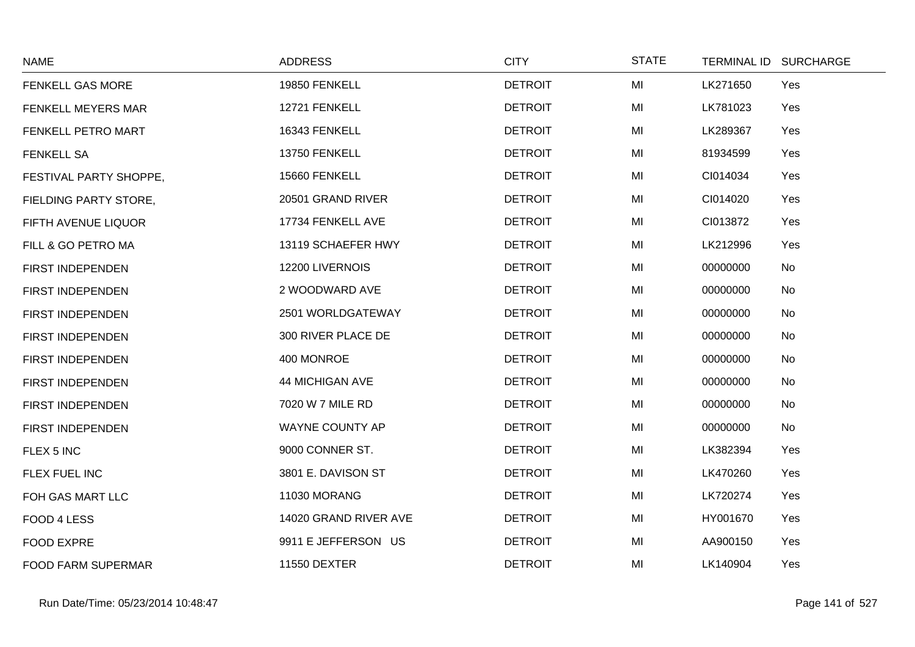| <b>NAME</b>               | <b>ADDRESS</b>         | <b>CITY</b>    | <b>STATE</b> | TERMINAL ID SURCHARGE |
|---------------------------|------------------------|----------------|--------------|-----------------------|
| FENKELL GAS MORE          | 19850 FENKELL          | <b>DETROIT</b> | MI           | LK271650<br>Yes       |
| FENKELL MEYERS MAR        | 12721 FENKELL          | <b>DETROIT</b> | MI           | LK781023<br>Yes       |
| FENKELL PETRO MART        | 16343 FENKELL          | <b>DETROIT</b> | MI           | LK289367<br>Yes       |
| <b>FENKELL SA</b>         | 13750 FENKELL          | <b>DETROIT</b> | MI           | 81934599<br>Yes       |
| FESTIVAL PARTY SHOPPE,    | 15660 FENKELL          | <b>DETROIT</b> | MI           | CI014034<br>Yes       |
| FIELDING PARTY STORE,     | 20501 GRAND RIVER      | <b>DETROIT</b> | MI           | CI014020<br>Yes       |
| FIFTH AVENUE LIQUOR       | 17734 FENKELL AVE      | <b>DETROIT</b> | MI           | CI013872<br>Yes       |
| FILL & GO PETRO MA        | 13119 SCHAEFER HWY     | <b>DETROIT</b> | MI           | LK212996<br>Yes       |
| FIRST INDEPENDEN          | 12200 LIVERNOIS        | <b>DETROIT</b> | MI           | 00000000<br>No        |
| FIRST INDEPENDEN          | 2 WOODWARD AVE         | <b>DETROIT</b> | MI           | 00000000<br>No        |
| FIRST INDEPENDEN          | 2501 WORLDGATEWAY      | <b>DETROIT</b> | MI           | 00000000<br>No        |
| FIRST INDEPENDEN          | 300 RIVER PLACE DE     | <b>DETROIT</b> | MI           | 00000000<br>No        |
| FIRST INDEPENDEN          | 400 MONROE             | <b>DETROIT</b> | MI           | 00000000<br>No        |
| FIRST INDEPENDEN          | <b>44 MICHIGAN AVE</b> | <b>DETROIT</b> | MI           | 00000000<br>No        |
| FIRST INDEPENDEN          | 7020 W 7 MILE RD       | <b>DETROIT</b> | MI           | 00000000<br>No        |
| FIRST INDEPENDEN          | WAYNE COUNTY AP        | <b>DETROIT</b> | MI           | 00000000<br>No        |
| FLEX 5 INC                | 9000 CONNER ST.        | <b>DETROIT</b> | MI           | LK382394<br>Yes       |
| FLEX FUEL INC             | 3801 E. DAVISON ST     | <b>DETROIT</b> | MI           | LK470260<br>Yes       |
| FOH GAS MART LLC          | <b>11030 MORANG</b>    | <b>DETROIT</b> | MI           | LK720274<br>Yes       |
| FOOD 4 LESS               | 14020 GRAND RIVER AVE  | <b>DETROIT</b> | MI           | HY001670<br>Yes       |
| FOOD EXPRE                | 9911 E JEFFERSON US    | <b>DETROIT</b> | MI           | Yes<br>AA900150       |
| <b>FOOD FARM SUPERMAR</b> | <b>11550 DEXTER</b>    | <b>DETROIT</b> | MI           | LK140904<br>Yes       |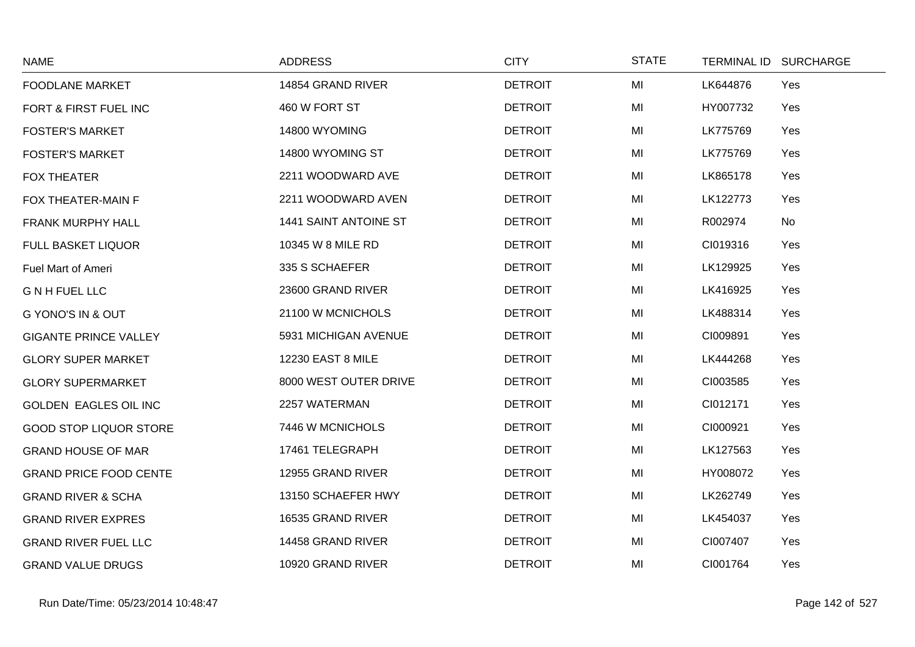| <b>NAME</b>                   | <b>ADDRESS</b>        | <b>CITY</b>    | <b>STATE</b> | TERMINAL ID SURCHARGE |
|-------------------------------|-----------------------|----------------|--------------|-----------------------|
| <b>FOODLANE MARKET</b>        | 14854 GRAND RIVER     | <b>DETROIT</b> | MI           | LK644876<br>Yes       |
| FORT & FIRST FUEL INC         | 460 W FORT ST         | <b>DETROIT</b> | MI           | HY007732<br>Yes       |
| <b>FOSTER'S MARKET</b>        | 14800 WYOMING         | <b>DETROIT</b> | MI           | LK775769<br>Yes       |
| <b>FOSTER'S MARKET</b>        | 14800 WYOMING ST      | <b>DETROIT</b> | MI           | LK775769<br>Yes       |
| <b>FOX THEATER</b>            | 2211 WOODWARD AVE     | <b>DETROIT</b> | MI           | LK865178<br>Yes       |
| FOX THEATER-MAIN F            | 2211 WOODWARD AVEN    | <b>DETROIT</b> | MI           | LK122773<br>Yes       |
| FRANK MURPHY HALL             | 1441 SAINT ANTOINE ST | <b>DETROIT</b> | MI           | R002974<br><b>No</b>  |
| <b>FULL BASKET LIQUOR</b>     | 10345 W 8 MILE RD     | <b>DETROIT</b> | MI           | CI019316<br>Yes       |
| Fuel Mart of Ameri            | 335 S SCHAEFER        | <b>DETROIT</b> | MI           | LK129925<br>Yes       |
| <b>GNHFUELLLC</b>             | 23600 GRAND RIVER     | <b>DETROIT</b> | MI           | LK416925<br>Yes       |
| <b>G YONO'S IN &amp; OUT</b>  | 21100 W MCNICHOLS     | <b>DETROIT</b> | MI           | LK488314<br>Yes       |
| <b>GIGANTE PRINCE VALLEY</b>  | 5931 MICHIGAN AVENUE  | <b>DETROIT</b> | MI           | CI009891<br>Yes       |
| <b>GLORY SUPER MARKET</b>     | 12230 EAST 8 MILE     | <b>DETROIT</b> | MI           | LK444268<br>Yes       |
| <b>GLORY SUPERMARKET</b>      | 8000 WEST OUTER DRIVE | <b>DETROIT</b> | MI           | CI003585<br>Yes       |
| <b>GOLDEN EAGLES OIL INC</b>  | 2257 WATERMAN         | <b>DETROIT</b> | MI           | CI012171<br>Yes       |
| <b>GOOD STOP LIQUOR STORE</b> | 7446 W MCNICHOLS      | <b>DETROIT</b> | MI           | CI000921<br>Yes       |
| <b>GRAND HOUSE OF MAR</b>     | 17461 TELEGRAPH       | <b>DETROIT</b> | MI           | LK127563<br>Yes       |
| <b>GRAND PRICE FOOD CENTE</b> | 12955 GRAND RIVER     | <b>DETROIT</b> | MI           | HY008072<br>Yes       |
| <b>GRAND RIVER &amp; SCHA</b> | 13150 SCHAEFER HWY    | <b>DETROIT</b> | MI           | LK262749<br>Yes       |
| <b>GRAND RIVER EXPRES</b>     | 16535 GRAND RIVER     | <b>DETROIT</b> | MI           | LK454037<br>Yes       |
| <b>GRAND RIVER FUEL LLC</b>   | 14458 GRAND RIVER     | <b>DETROIT</b> | MI           | CI007407<br>Yes       |
| <b>GRAND VALUE DRUGS</b>      | 10920 GRAND RIVER     | <b>DETROIT</b> | MI           | CI001764<br>Yes       |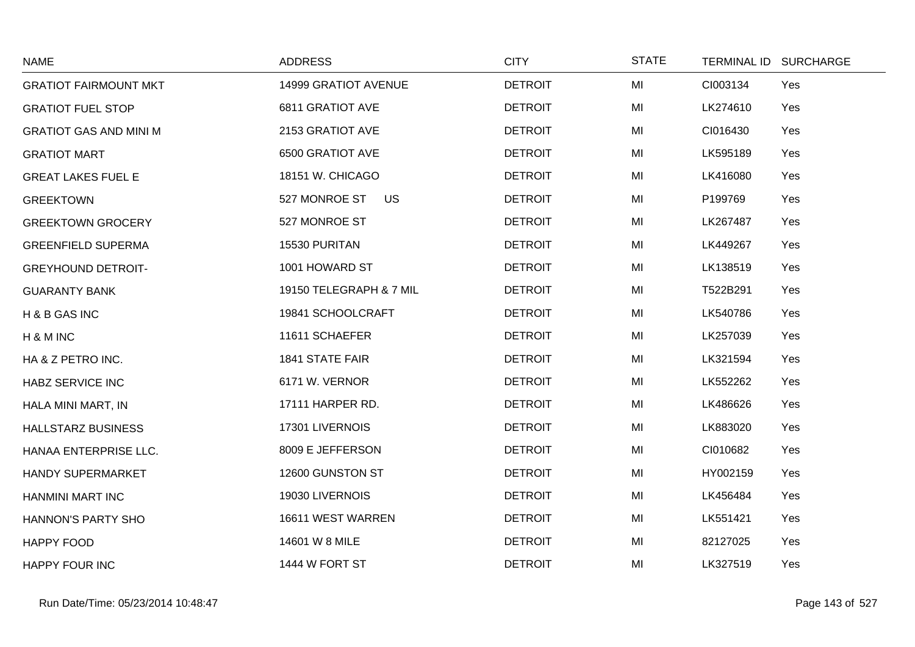| <b>NAME</b>                   | <b>ADDRESS</b>             | <b>CITY</b>    | <b>STATE</b> | TERMINAL ID SURCHARGE |     |
|-------------------------------|----------------------------|----------------|--------------|-----------------------|-----|
| <b>GRATIOT FAIRMOUNT MKT</b>  | 14999 GRATIOT AVENUE       | <b>DETROIT</b> | MI           | CI003134              | Yes |
| <b>GRATIOT FUEL STOP</b>      | 6811 GRATIOT AVE           | <b>DETROIT</b> | MI           | LK274610              | Yes |
| <b>GRATIOT GAS AND MINI M</b> | 2153 GRATIOT AVE           | <b>DETROIT</b> | MI           | CI016430              | Yes |
| <b>GRATIOT MART</b>           | 6500 GRATIOT AVE           | <b>DETROIT</b> | MI           | LK595189              | Yes |
| <b>GREAT LAKES FUEL E</b>     | 18151 W. CHICAGO           | <b>DETROIT</b> | MI           | LK416080              | Yes |
| <b>GREEKTOWN</b>              | 527 MONROE ST<br><b>US</b> | <b>DETROIT</b> | MI           | P199769               | Yes |
| <b>GREEKTOWN GROCERY</b>      | 527 MONROE ST              | <b>DETROIT</b> | MI           | LK267487              | Yes |
| <b>GREENFIELD SUPERMA</b>     | 15530 PURITAN              | <b>DETROIT</b> | MI           | LK449267              | Yes |
| <b>GREYHOUND DETROIT-</b>     | 1001 HOWARD ST             | <b>DETROIT</b> | MI           | LK138519              | Yes |
| <b>GUARANTY BANK</b>          | 19150 TELEGRAPH & 7 MIL    | <b>DETROIT</b> | MI           | T522B291              | Yes |
| H & B GAS INC                 | 19841 SCHOOLCRAFT          | <b>DETROIT</b> | MI           | LK540786              | Yes |
| H & M INC                     | 11611 SCHAEFER             | <b>DETROIT</b> | MI           | LK257039              | Yes |
| HA & Z PETRO INC.             | <b>1841 STATE FAIR</b>     | <b>DETROIT</b> | MI           | LK321594              | Yes |
| <b>HABZ SERVICE INC</b>       | 6171 W. VERNOR             | <b>DETROIT</b> | MI           | LK552262              | Yes |
| HALA MINI MART, IN            | 17111 HARPER RD.           | <b>DETROIT</b> | MI           | LK486626              | Yes |
| <b>HALLSTARZ BUSINESS</b>     | 17301 LIVERNOIS            | <b>DETROIT</b> | MI           | LK883020              | Yes |
| HANAA ENTERPRISE LLC.         | 8009 E JEFFERSON           | <b>DETROIT</b> | MI           | CI010682              | Yes |
| <b>HANDY SUPERMARKET</b>      | 12600 GUNSTON ST           | <b>DETROIT</b> | MI           | HY002159              | Yes |
| HANMINI MART INC              | 19030 LIVERNOIS            | <b>DETROIT</b> | MI           | LK456484              | Yes |
| HANNON'S PARTY SHO            | 16611 WEST WARREN          | <b>DETROIT</b> | MI           | LK551421              | Yes |
| <b>HAPPY FOOD</b>             | 14601 W 8 MILE             | <b>DETROIT</b> | MI           | 82127025              | Yes |
| <b>HAPPY FOUR INC</b>         | 1444 W FORT ST             | <b>DETROIT</b> | MI           | LK327519              | Yes |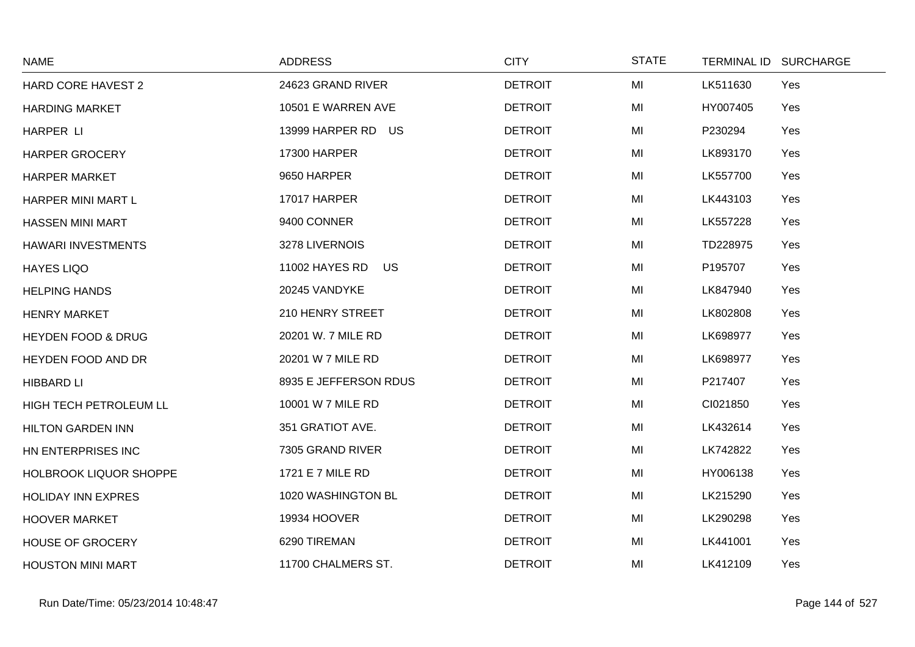| <b>NAME</b>                   | <b>ADDRESS</b>                     | <b>CITY</b>    | <b>STATE</b> | TERMINAL ID SURCHARGE |  |
|-------------------------------|------------------------------------|----------------|--------------|-----------------------|--|
| <b>HARD CORE HAVEST 2</b>     | 24623 GRAND RIVER                  | <b>DETROIT</b> | MI           | LK511630<br>Yes       |  |
| <b>HARDING MARKET</b>         | 10501 E WARREN AVE                 | <b>DETROIT</b> | MI           | HY007405<br>Yes       |  |
| HARPER LI                     | 13999 HARPER RD US                 | <b>DETROIT</b> | MI           | P230294<br>Yes        |  |
| <b>HARPER GROCERY</b>         | <b>17300 HARPER</b>                | <b>DETROIT</b> | MI           | LK893170<br>Yes       |  |
| <b>HARPER MARKET</b>          | 9650 HARPER                        | <b>DETROIT</b> | MI           | LK557700<br>Yes       |  |
| HARPER MINI MART L            | 17017 HARPER                       | <b>DETROIT</b> | MI           | LK443103<br>Yes       |  |
| <b>HASSEN MINI MART</b>       | 9400 CONNER                        | <b>DETROIT</b> | MI           | LK557228<br>Yes       |  |
| HAWARI INVESTMENTS            | 3278 LIVERNOIS                     | <b>DETROIT</b> | MI           | TD228975<br>Yes       |  |
| <b>HAYES LIQO</b>             | <b>US</b><br><b>11002 HAYES RD</b> | <b>DETROIT</b> | MI           | P195707<br>Yes        |  |
| <b>HELPING HANDS</b>          | 20245 VANDYKE                      | <b>DETROIT</b> | MI           | Yes<br>LK847940       |  |
| <b>HENRY MARKET</b>           | 210 HENRY STREET                   | <b>DETROIT</b> | MI           | LK802808<br>Yes       |  |
| <b>HEYDEN FOOD &amp; DRUG</b> | 20201 W. 7 MILE RD                 | <b>DETROIT</b> | MI           | LK698977<br>Yes       |  |
| HEYDEN FOOD AND DR            | 20201 W 7 MILE RD                  | <b>DETROIT</b> | MI           | LK698977<br>Yes       |  |
| <b>HIBBARD LI</b>             | 8935 E JEFFERSON RDUS              | <b>DETROIT</b> | MI           | P217407<br>Yes        |  |
| HIGH TECH PETROLEUM LL        | 10001 W 7 MILE RD                  | <b>DETROIT</b> | MI           | CI021850<br>Yes       |  |
| <b>HILTON GARDEN INN</b>      | 351 GRATIOT AVE.                   | <b>DETROIT</b> | MI           | LK432614<br>Yes       |  |
| HN ENTERPRISES INC            | 7305 GRAND RIVER                   | <b>DETROIT</b> | MI           | LK742822<br>Yes       |  |
| <b>HOLBROOK LIQUOR SHOPPE</b> | 1721 E 7 MILE RD                   | <b>DETROIT</b> | MI           | HY006138<br>Yes       |  |
| <b>HOLIDAY INN EXPRES</b>     | 1020 WASHINGTON BL                 | <b>DETROIT</b> | MI           | LK215290<br>Yes       |  |
| <b>HOOVER MARKET</b>          | 19934 HOOVER                       | <b>DETROIT</b> | MI           | LK290298<br>Yes       |  |
| <b>HOUSE OF GROCERY</b>       | 6290 TIREMAN                       | <b>DETROIT</b> | MI           | LK441001<br>Yes       |  |
| <b>HOUSTON MINI MART</b>      | 11700 CHALMERS ST.                 | <b>DETROIT</b> | MI           | LK412109<br>Yes       |  |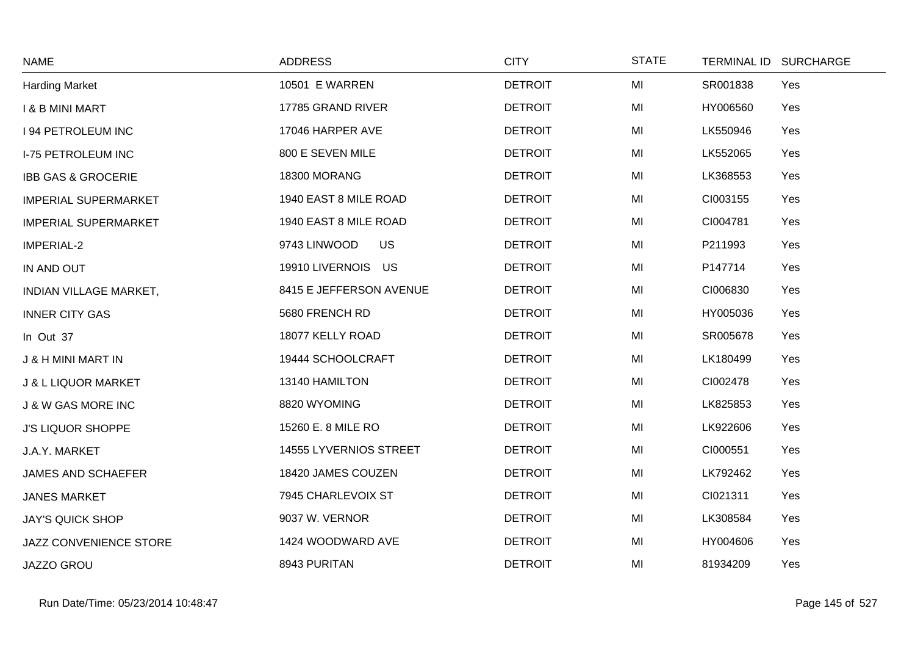| <b>NAME</b>                    | <b>ADDRESS</b>            | <b>CITY</b>    | <b>STATE</b> | TERMINAL ID SURCHARGE |
|--------------------------------|---------------------------|----------------|--------------|-----------------------|
| <b>Harding Market</b>          | <b>10501 E WARREN</b>     | <b>DETROIT</b> | MI           | SR001838<br>Yes       |
| <b>I &amp; B MINI MART</b>     | 17785 GRAND RIVER         | <b>DETROIT</b> | MI           | HY006560<br>Yes       |
| <b>194 PETROLEUM INC</b>       | 17046 HARPER AVE          | <b>DETROIT</b> | MI           | LK550946<br>Yes       |
| <b>I-75 PETROLEUM INC</b>      | 800 E SEVEN MILE          | <b>DETROIT</b> | MI           | LK552065<br>Yes       |
| <b>IBB GAS &amp; GROCERIE</b>  | 18300 MORANG              | <b>DETROIT</b> | MI           | LK368553<br>Yes       |
| <b>IMPERIAL SUPERMARKET</b>    | 1940 EAST 8 MILE ROAD     | <b>DETROIT</b> | MI           | CI003155<br>Yes       |
| <b>IMPERIAL SUPERMARKET</b>    | 1940 EAST 8 MILE ROAD     | <b>DETROIT</b> | MI           | CI004781<br>Yes       |
| IMPERIAL-2                     | 9743 LINWOOD<br><b>US</b> | <b>DETROIT</b> | MI           | P211993<br>Yes        |
| IN AND OUT                     | 19910 LIVERNOIS US        | <b>DETROIT</b> | MI           | P147714<br>Yes        |
| <b>INDIAN VILLAGE MARKET,</b>  | 8415 E JEFFERSON AVENUE   | <b>DETROIT</b> | MI           | CI006830<br>Yes       |
| <b>INNER CITY GAS</b>          | 5680 FRENCH RD            | <b>DETROIT</b> | MI           | Yes<br>HY005036       |
| In Out 37                      | 18077 KELLY ROAD          | <b>DETROIT</b> | MI           | SR005678<br>Yes       |
| <b>J &amp; H MINI MART IN</b>  | 19444 SCHOOLCRAFT         | <b>DETROIT</b> | MI           | LK180499<br>Yes       |
| <b>J &amp; L LIQUOR MARKET</b> | 13140 HAMILTON            | <b>DETROIT</b> | MI           | CI002478<br>Yes       |
| <b>J &amp; W GAS MORE INC</b>  | 8820 WYOMING              | <b>DETROIT</b> | MI           | Yes<br>LK825853       |
| <b>J'S LIQUOR SHOPPE</b>       | 15260 E. 8 MILE RO        | <b>DETROIT</b> | MI           | LK922606<br>Yes       |
| J.A.Y. MARKET                  | 14555 LYVERNIOS STREET    | <b>DETROIT</b> | MI           | CI000551<br>Yes       |
| <b>JAMES AND SCHAEFER</b>      | 18420 JAMES COUZEN        | <b>DETROIT</b> | MI           | LK792462<br>Yes       |
| <b>JANES MARKET</b>            | 7945 CHARLEVOIX ST        | <b>DETROIT</b> | MI           | CI021311<br>Yes       |
| <b>JAY'S QUICK SHOP</b>        | 9037 W. VERNOR            | <b>DETROIT</b> | MI           | LK308584<br>Yes       |
| JAZZ CONVENIENCE STORE         | 1424 WOODWARD AVE         | <b>DETROIT</b> | MI           | HY004606<br>Yes       |
| JAZZO GROU                     | 8943 PURITAN              | <b>DETROIT</b> | MI           | 81934209<br>Yes       |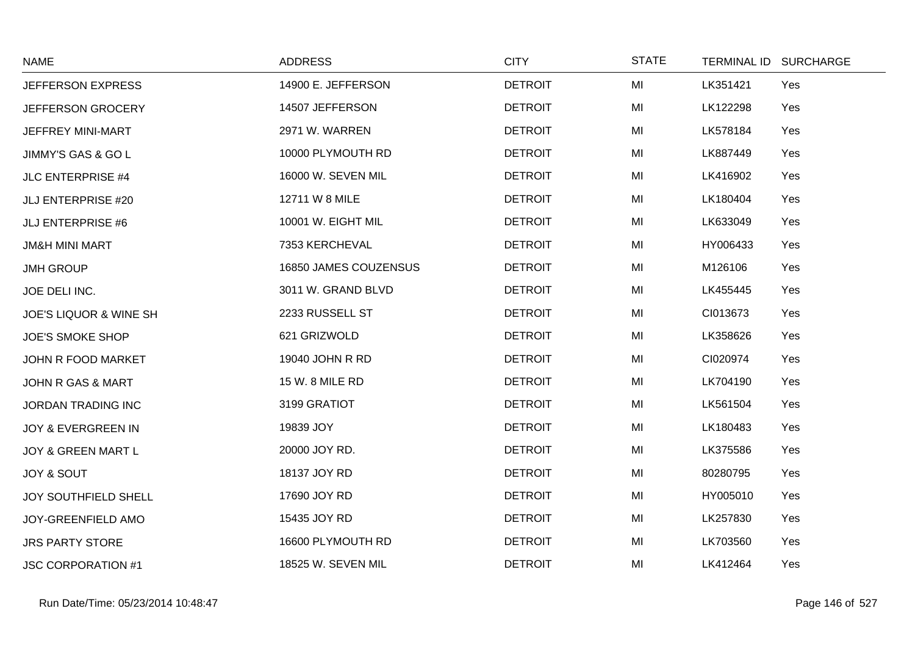| <b>NAME</b>                       | <b>ADDRESS</b>        | <b>CITY</b>    | <b>STATE</b> |          | TERMINAL ID SURCHARGE |
|-----------------------------------|-----------------------|----------------|--------------|----------|-----------------------|
| JEFFERSON EXPRESS                 | 14900 E. JEFFERSON    | <b>DETROIT</b> | MI           | LK351421 | Yes                   |
| JEFFERSON GROCERY                 | 14507 JEFFERSON       | <b>DETROIT</b> | MI           | LK122298 | Yes                   |
| JEFFREY MINI-MART                 | 2971 W. WARREN        | <b>DETROIT</b> | MI           | LK578184 | Yes                   |
| JIMMY'S GAS & GO L                | 10000 PLYMOUTH RD     | <b>DETROIT</b> | MI           | LK887449 | Yes                   |
| <b>JLC ENTERPRISE #4</b>          | 16000 W. SEVEN MIL    | <b>DETROIT</b> | MI           | LK416902 | Yes                   |
| <b>JLJ ENTERPRISE #20</b>         | 12711 W 8 MILE        | <b>DETROIT</b> | MI           | LK180404 | Yes                   |
| <b>JLJ ENTERPRISE #6</b>          | 10001 W. EIGHT MIL    | <b>DETROIT</b> | MI           | LK633049 | Yes                   |
| <b>JM&amp;H MINI MART</b>         | 7353 KERCHEVAL        | <b>DETROIT</b> | MI           | HY006433 | Yes                   |
| <b>JMH GROUP</b>                  | 16850 JAMES COUZENSUS | <b>DETROIT</b> | MI           | M126106  | Yes                   |
| JOE DELI INC.                     | 3011 W. GRAND BLVD    | <b>DETROIT</b> | MI           | LK455445 | Yes                   |
| <b>JOE'S LIQUOR &amp; WINE SH</b> | 2233 RUSSELL ST       | <b>DETROIT</b> | MI           | CI013673 | Yes                   |
| <b>JOE'S SMOKE SHOP</b>           | 621 GRIZWOLD          | <b>DETROIT</b> | MI           | LK358626 | Yes                   |
| JOHN R FOOD MARKET                | 19040 JOHN R RD       | <b>DETROIT</b> | MI           | CI020974 | Yes                   |
| JOHN R GAS & MART                 | 15 W. 8 MILE RD       | <b>DETROIT</b> | MI           | LK704190 | Yes                   |
| <b>JORDAN TRADING INC</b>         | 3199 GRATIOT          | <b>DETROIT</b> | MI           | LK561504 | Yes                   |
| JOY & EVERGREEN IN                | 19839 JOY             | <b>DETROIT</b> | MI           | LK180483 | Yes                   |
| <b>JOY &amp; GREEN MART L</b>     | 20000 JOY RD.         | <b>DETROIT</b> | MI           | LK375586 | Yes                   |
| <b>JOY &amp; SOUT</b>             | 18137 JOY RD          | <b>DETROIT</b> | MI           | 80280795 | Yes                   |
| <b>JOY SOUTHFIELD SHELL</b>       | 17690 JOY RD          | <b>DETROIT</b> | MI           | HY005010 | Yes                   |
| JOY-GREENFIELD AMO                | 15435 JOY RD          | <b>DETROIT</b> | MI           | LK257830 | Yes                   |
| <b>JRS PARTY STORE</b>            | 16600 PLYMOUTH RD     | <b>DETROIT</b> | MI           | LK703560 | Yes                   |
| <b>JSC CORPORATION #1</b>         | 18525 W. SEVEN MIL    | <b>DETROIT</b> | MI           | LK412464 | Yes                   |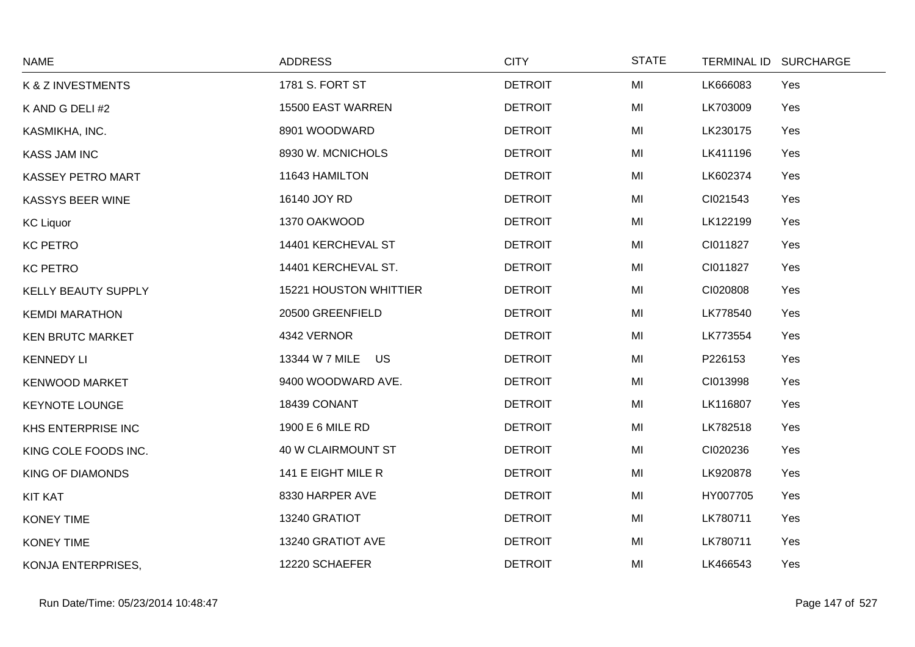| <b>NAME</b>                | <b>ADDRESS</b>            | <b>CITY</b>    | <b>STATE</b> | TERMINAL ID SURCHARGE |
|----------------------------|---------------------------|----------------|--------------|-----------------------|
| K & Z INVESTMENTS          | 1781 S. FORT ST           | <b>DETROIT</b> | MI           | LK666083<br>Yes       |
| K AND G DELI #2            | 15500 EAST WARREN         | <b>DETROIT</b> | MI           | LK703009<br>Yes       |
| KASMIKHA, INC.             | 8901 WOODWARD             | <b>DETROIT</b> | MI           | LK230175<br>Yes       |
| <b>KASS JAM INC</b>        | 8930 W. MCNICHOLS         | <b>DETROIT</b> | MI           | LK411196<br>Yes       |
| <b>KASSEY PETRO MART</b>   | 11643 HAMILTON            | <b>DETROIT</b> | MI           | LK602374<br>Yes       |
| KASSYS BEER WINE           | 16140 JOY RD              | <b>DETROIT</b> | MI           | CI021543<br>Yes       |
| <b>KC Liquor</b>           | 1370 OAKWOOD              | <b>DETROIT</b> | MI           | LK122199<br>Yes       |
| <b>KC PETRO</b>            | 14401 KERCHEVAL ST        | <b>DETROIT</b> | MI           | CI011827<br>Yes       |
| <b>KC PETRO</b>            | 14401 KERCHEVAL ST.       | <b>DETROIT</b> | MI           | CI011827<br>Yes       |
| <b>KELLY BEAUTY SUPPLY</b> | 15221 HOUSTON WHITTIER    | <b>DETROIT</b> | MI           | CI020808<br>Yes       |
| <b>KEMDI MARATHON</b>      | 20500 GREENFIELD          | <b>DETROIT</b> | MI           | Yes<br>LK778540       |
| <b>KEN BRUTC MARKET</b>    | 4342 VERNOR               | <b>DETROIT</b> | MI           | LK773554<br>Yes       |
| <b>KENNEDY LI</b>          | 13344 W 7 MILE US         | <b>DETROIT</b> | MI           | P226153<br>Yes        |
| <b>KENWOOD MARKET</b>      | 9400 WOODWARD AVE.        | <b>DETROIT</b> | MI           | CI013998<br>Yes       |
| <b>KEYNOTE LOUNGE</b>      | 18439 CONANT              | <b>DETROIT</b> | MI           | LK116807<br>Yes       |
| KHS ENTERPRISE INC         | 1900 E 6 MILE RD          | <b>DETROIT</b> | MI           | LK782518<br>Yes       |
| KING COLE FOODS INC.       | <b>40 W CLAIRMOUNT ST</b> | <b>DETROIT</b> | MI           | CI020236<br>Yes       |
| <b>KING OF DIAMONDS</b>    | 141 E EIGHT MILE R        | <b>DETROIT</b> | MI           | LK920878<br>Yes       |
| <b>KIT KAT</b>             | 8330 HARPER AVE           | <b>DETROIT</b> | MI           | HY007705<br>Yes       |
| <b>KONEY TIME</b>          | 13240 GRATIOT             | <b>DETROIT</b> | MI           | LK780711<br>Yes       |
| <b>KONEY TIME</b>          | 13240 GRATIOT AVE         | <b>DETROIT</b> | MI           | LK780711<br>Yes       |
| KONJA ENTERPRISES,         | 12220 SCHAEFER            | <b>DETROIT</b> | MI           | LK466543<br>Yes       |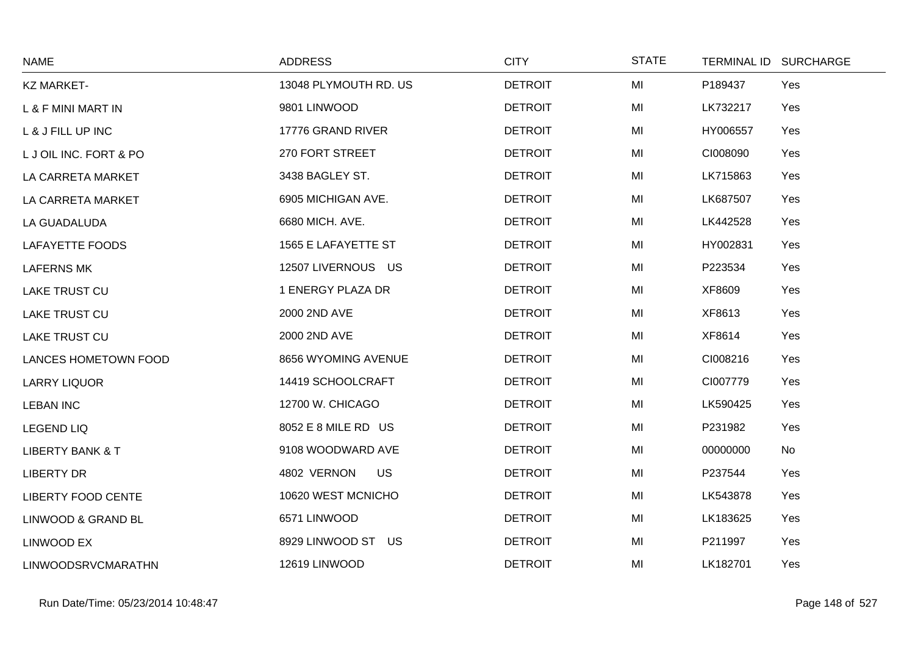| <b>NAME</b>                 | <b>ADDRESS</b>           | <b>CITY</b>    | <b>STATE</b> | TERMINAL ID SURCHARGE |
|-----------------------------|--------------------------|----------------|--------------|-----------------------|
| <b>KZ MARKET-</b>           | 13048 PLYMOUTH RD. US    | <b>DETROIT</b> | MI           | P189437<br>Yes        |
| L & F MINI MART IN          | 9801 LINWOOD             | <b>DETROIT</b> | MI           | LK732217<br>Yes       |
| L & J FILL UP INC           | 17776 GRAND RIVER        | <b>DETROIT</b> | MI           | HY006557<br>Yes       |
| LJ OIL INC. FORT & PO       | 270 FORT STREET          | <b>DETROIT</b> | MI           | CI008090<br>Yes       |
| LA CARRETA MARKET           | 3438 BAGLEY ST.          | <b>DETROIT</b> | MI           | LK715863<br>Yes       |
| LA CARRETA MARKET           | 6905 MICHIGAN AVE.       | <b>DETROIT</b> | MI           | LK687507<br>Yes       |
| LA GUADALUDA                | 6680 MICH. AVE.          | <b>DETROIT</b> | MI           | LK442528<br>Yes       |
| LAFAYETTE FOODS             | 1565 E LAFAYETTE ST      | <b>DETROIT</b> | MI           | HY002831<br>Yes       |
| <b>LAFERNS MK</b>           | 12507 LIVERNOUS US       | <b>DETROIT</b> | MI           | P223534<br>Yes        |
| <b>LAKE TRUST CU</b>        | 1 ENERGY PLAZA DR        | <b>DETROIT</b> | MI           | XF8609<br>Yes         |
| <b>LAKE TRUST CU</b>        | 2000 2ND AVE             | <b>DETROIT</b> | MI           | XF8613<br>Yes         |
| <b>LAKE TRUST CU</b>        | 2000 2ND AVE             | <b>DETROIT</b> | MI           | XF8614<br>Yes         |
| <b>LANCES HOMETOWN FOOD</b> | 8656 WYOMING AVENUE      | <b>DETROIT</b> | MI           | CI008216<br>Yes       |
| <b>LARRY LIQUOR</b>         | 14419 SCHOOLCRAFT        | <b>DETROIT</b> | MI           | CI007779<br>Yes       |
| <b>LEBAN INC</b>            | 12700 W. CHICAGO         | <b>DETROIT</b> | MI           | LK590425<br>Yes       |
| <b>LEGEND LIQ</b>           | 8052 E 8 MILE RD US      | <b>DETROIT</b> | MI           | P231982<br>Yes        |
| <b>LIBERTY BANK &amp; T</b> | 9108 WOODWARD AVE        | <b>DETROIT</b> | MI           | 00000000<br><b>No</b> |
| <b>LIBERTY DR</b>           | 4802 VERNON<br><b>US</b> | <b>DETROIT</b> | MI           | P237544<br>Yes        |
| <b>LIBERTY FOOD CENTE</b>   | 10620 WEST MCNICHO       | <b>DETROIT</b> | MI           | LK543878<br>Yes       |
| LINWOOD & GRAND BL          | 6571 LINWOOD             | <b>DETROIT</b> | MI           | LK183625<br>Yes       |
| LINWOOD EX                  | 8929 LINWOOD ST US       | <b>DETROIT</b> | MI           | P211997<br>Yes        |
| <b>LINWOODSRVCMARATHN</b>   | 12619 LINWOOD            | <b>DETROIT</b> | MI           | LK182701<br>Yes       |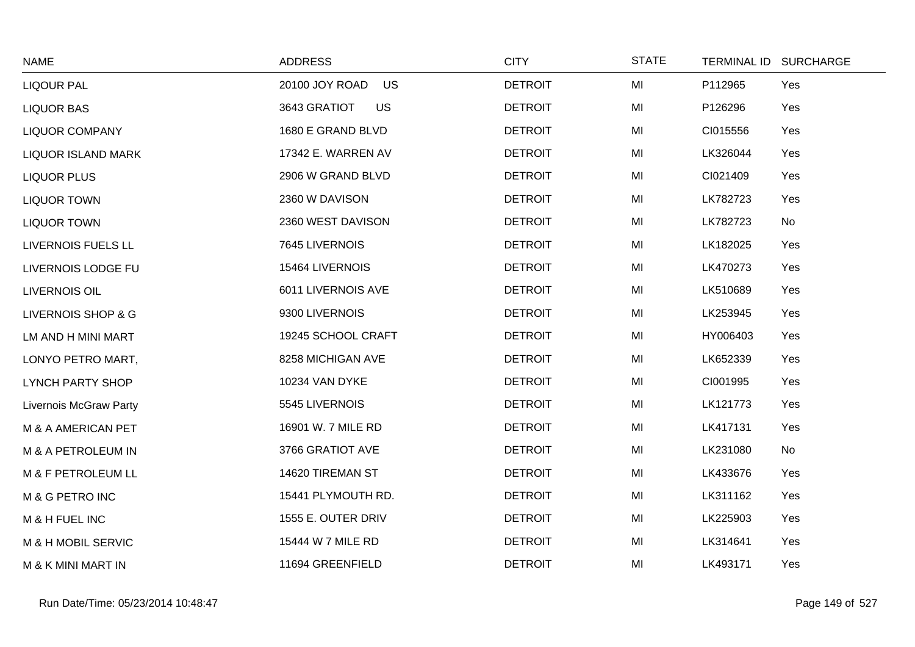| <b>NAME</b>                   | <b>ADDRESS</b>              | <b>CITY</b>    | <b>STATE</b> | TERMINAL ID SURCHARGE |     |
|-------------------------------|-----------------------------|----------------|--------------|-----------------------|-----|
| <b>LIQOUR PAL</b>             | 20100 JOY ROAD<br><b>US</b> | <b>DETROIT</b> | MI           | P112965               | Yes |
| <b>LIQUOR BAS</b>             | 3643 GRATIOT<br><b>US</b>   | <b>DETROIT</b> | MI           | P126296               | Yes |
| <b>LIQUOR COMPANY</b>         | 1680 E GRAND BLVD           | <b>DETROIT</b> | MI           | CI015556              | Yes |
| <b>LIQUOR ISLAND MARK</b>     | 17342 E. WARREN AV          | <b>DETROIT</b> | MI           | LK326044              | Yes |
| <b>LIQUOR PLUS</b>            | 2906 W GRAND BLVD           | <b>DETROIT</b> | MI           | CI021409              | Yes |
| <b>LIQUOR TOWN</b>            | 2360 W DAVISON              | <b>DETROIT</b> | MI           | LK782723              | Yes |
| <b>LIQUOR TOWN</b>            | 2360 WEST DAVISON           | <b>DETROIT</b> | MI           | LK782723              | No  |
| LIVERNOIS FUELS LL            | 7645 LIVERNOIS              | <b>DETROIT</b> | MI           | LK182025              | Yes |
| LIVERNOIS LODGE FU            | 15464 LIVERNOIS             | <b>DETROIT</b> | MI           | LK470273              | Yes |
| <b>LIVERNOIS OIL</b>          | 6011 LIVERNOIS AVE          | <b>DETROIT</b> | MI           | LK510689              | Yes |
| LIVERNOIS SHOP & G            | 9300 LIVERNOIS              | <b>DETROIT</b> | MI           | LK253945              | Yes |
| LM AND H MINI MART            | 19245 SCHOOL CRAFT          | <b>DETROIT</b> | MI           | HY006403              | Yes |
| LONYO PETRO MART,             | 8258 MICHIGAN AVE           | <b>DETROIT</b> | MI           | LK652339              | Yes |
| <b>LYNCH PARTY SHOP</b>       | <b>10234 VAN DYKE</b>       | <b>DETROIT</b> | MI           | CI001995              | Yes |
| Livernois McGraw Party        | 5545 LIVERNOIS              | <b>DETROIT</b> | MI           | LK121773              | Yes |
| M & A AMERICAN PET            | 16901 W. 7 MILE RD          | <b>DETROIT</b> | MI           | LK417131              | Yes |
| M & A PETROLEUM IN            | 3766 GRATIOT AVE            | <b>DETROIT</b> | MI           | LK231080              | No  |
| M & F PETROLEUM LL            | 14620 TIREMAN ST            | <b>DETROIT</b> | MI           | LK433676              | Yes |
| M & G PETRO INC               | 15441 PLYMOUTH RD.          | <b>DETROIT</b> | MI           | LK311162              | Yes |
| M & H FUEL INC                | 1555 E. OUTER DRIV          | <b>DETROIT</b> | MI           | LK225903              | Yes |
| M & H MOBIL SERVIC            | 15444 W 7 MILE RD           | <b>DETROIT</b> | MI           | LK314641              | Yes |
| <b>M &amp; K MINI MART IN</b> | 11694 GREENFIELD            | <b>DETROIT</b> | MI           | LK493171              | Yes |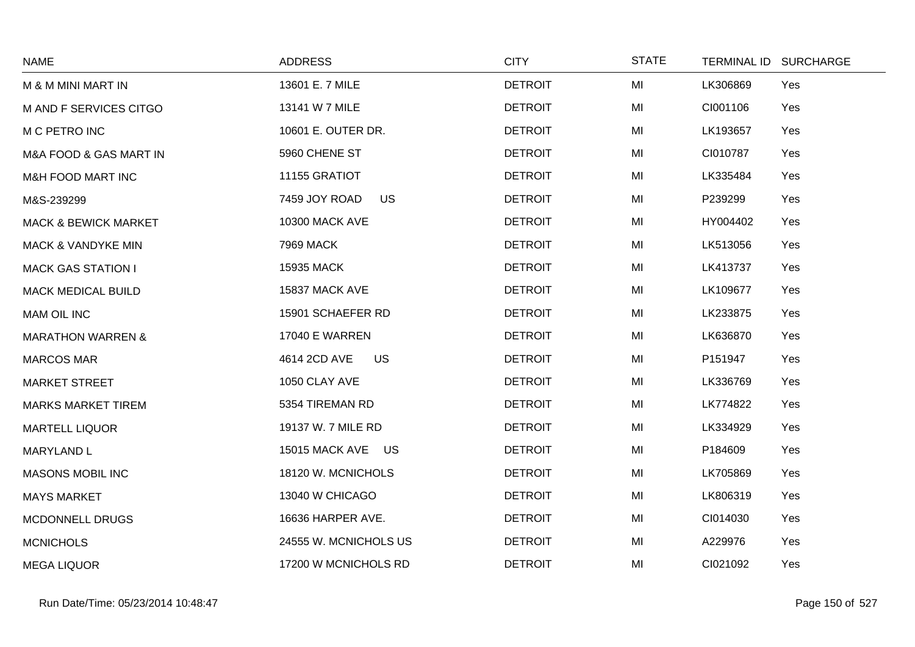| <b>NAME</b>                     | <b>ADDRESS</b>             | <b>CITY</b>    | <b>STATE</b> | TERMINAL ID SURCHARGE |
|---------------------------------|----------------------------|----------------|--------------|-----------------------|
| M & M MINI MART IN              | 13601 E. 7 MILE            | <b>DETROIT</b> | MI           | LK306869<br>Yes       |
| M AND F SERVICES CITGO          | 13141 W 7 MILE             | <b>DETROIT</b> | MI           | CI001106<br>Yes       |
| M C PETRO INC                   | 10601 E. OUTER DR.         | <b>DETROIT</b> | MI           | LK193657<br>Yes       |
| M&A FOOD & GAS MART IN          | 5960 CHENE ST              | <b>DETROIT</b> | MI           | CI010787<br>Yes       |
| M&H FOOD MART INC               | 11155 GRATIOT              | <b>DETROIT</b> | MI           | LK335484<br>Yes       |
| M&S-239299                      | <b>US</b><br>7459 JOY ROAD | <b>DETROIT</b> | MI           | P239299<br>Yes        |
| <b>MACK &amp; BEWICK MARKET</b> | <b>10300 MACK AVE</b>      | <b>DETROIT</b> | MI           | HY004402<br>Yes       |
| <b>MACK &amp; VANDYKE MIN</b>   | <b>7969 MACK</b>           | <b>DETROIT</b> | MI           | LK513056<br>Yes       |
| <b>MACK GAS STATION I</b>       | 15935 MACK                 | <b>DETROIT</b> | MI           | LK413737<br>Yes       |
| <b>MACK MEDICAL BUILD</b>       | 15837 MACK AVE             | <b>DETROIT</b> | MI           | Yes<br>LK109677       |
| <b>MAM OIL INC</b>              | 15901 SCHAEFER RD          | <b>DETROIT</b> | MI           | LK233875<br>Yes       |
| <b>MARATHON WARREN &amp;</b>    | <b>17040 E WARREN</b>      | <b>DETROIT</b> | MI           | LK636870<br>Yes       |
| <b>MARCOS MAR</b>               | 4614 2CD AVE<br><b>US</b>  | <b>DETROIT</b> | MI           | P151947<br>Yes        |
| <b>MARKET STREET</b>            | 1050 CLAY AVE              | <b>DETROIT</b> | MI           | LK336769<br>Yes       |
| <b>MARKS MARKET TIREM</b>       | 5354 TIREMAN RD            | <b>DETROIT</b> | MI           | LK774822<br>Yes       |
| <b>MARTELL LIQUOR</b>           | 19137 W. 7 MILE RD         | <b>DETROIT</b> | MI           | LK334929<br>Yes       |
| <b>MARYLAND L</b>               | 15015 MACK AVE US          | <b>DETROIT</b> | MI           | P184609<br>Yes        |
| <b>MASONS MOBIL INC</b>         | 18120 W. MCNICHOLS         | <b>DETROIT</b> | MI           | LK705869<br>Yes       |
| <b>MAYS MARKET</b>              | 13040 W CHICAGO            | <b>DETROIT</b> | MI           | LK806319<br>Yes       |
| <b>MCDONNELL DRUGS</b>          | 16636 HARPER AVE.          | <b>DETROIT</b> | MI           | Yes<br>CI014030       |
| <b>MCNICHOLS</b>                | 24555 W. MCNICHOLS US      | <b>DETROIT</b> | MI           | A229976<br>Yes        |
| <b>MEGA LIQUOR</b>              | 17200 W MCNICHOLS RD       | <b>DETROIT</b> | MI           | CI021092<br>Yes       |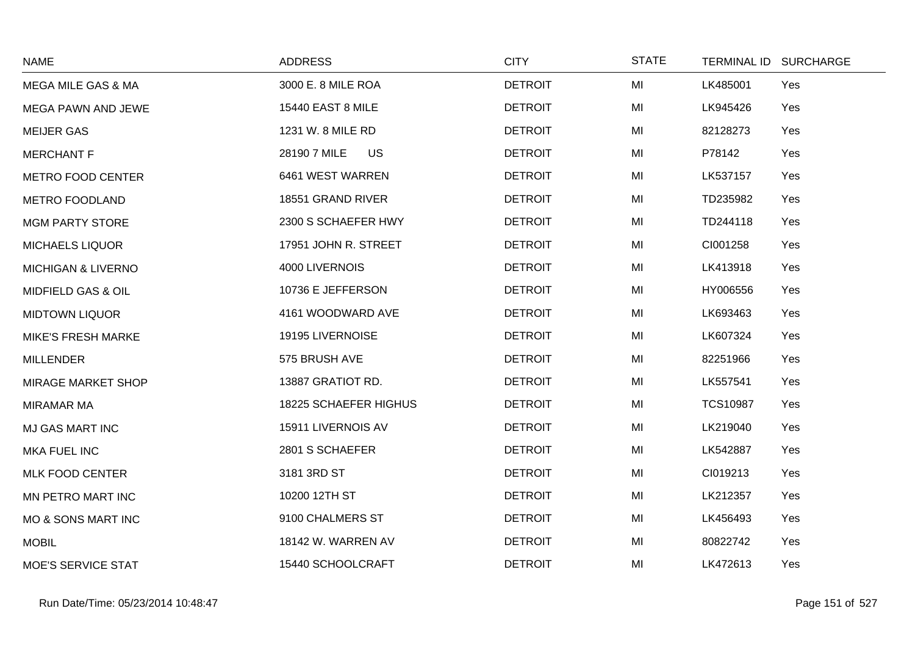| <b>NAME</b>                   | <b>ADDRESS</b>            | <b>CITY</b>    | <b>STATE</b> | TERMINAL ID SURCHARGE  |
|-------------------------------|---------------------------|----------------|--------------|------------------------|
| <b>MEGA MILE GAS &amp; MA</b> | 3000 E. 8 MILE ROA        | <b>DETROIT</b> | MI           | LK485001<br>Yes        |
| MEGA PAWN AND JEWE            | <b>15440 EAST 8 MILE</b>  | <b>DETROIT</b> | MI           | LK945426<br>Yes        |
| <b>MEIJER GAS</b>             | 1231 W. 8 MILE RD         | <b>DETROIT</b> | MI           | 82128273<br>Yes        |
| <b>MERCHANT F</b>             | 28190 7 MILE<br><b>US</b> | <b>DETROIT</b> | MI           | P78142<br>Yes          |
| <b>METRO FOOD CENTER</b>      | 6461 WEST WARREN          | <b>DETROIT</b> | MI           | LK537157<br>Yes        |
| <b>METRO FOODLAND</b>         | 18551 GRAND RIVER         | <b>DETROIT</b> | MI           | TD235982<br>Yes        |
| <b>MGM PARTY STORE</b>        | 2300 S SCHAEFER HWY       | <b>DETROIT</b> | MI           | TD244118<br>Yes        |
| <b>MICHAELS LIQUOR</b>        | 17951 JOHN R. STREET      | <b>DETROIT</b> | MI           | CI001258<br>Yes        |
| <b>MICHIGAN &amp; LIVERNO</b> | 4000 LIVERNOIS            | <b>DETROIT</b> | MI           | LK413918<br>Yes        |
| MIDFIELD GAS & OIL            | 10736 E JEFFERSON         | <b>DETROIT</b> | MI           | HY006556<br>Yes        |
| <b>MIDTOWN LIQUOR</b>         | 4161 WOODWARD AVE         | <b>DETROIT</b> | MI           | LK693463<br>Yes        |
| <b>MIKE'S FRESH MARKE</b>     | 19195 LIVERNOISE          | <b>DETROIT</b> | MI           | LK607324<br>Yes        |
| <b>MILLENDER</b>              | 575 BRUSH AVE             | <b>DETROIT</b> | MI           | 82251966<br>Yes        |
| <b>MIRAGE MARKET SHOP</b>     | 13887 GRATIOT RD.         | <b>DETROIT</b> | MI           | LK557541<br>Yes        |
| <b>MIRAMAR MA</b>             | 18225 SCHAEFER HIGHUS     | <b>DETROIT</b> | MI           | <b>TCS10987</b><br>Yes |
| <b>MJ GAS MART INC</b>        | 15911 LIVERNOIS AV        | <b>DETROIT</b> | MI           | LK219040<br>Yes        |
| <b>MKA FUEL INC</b>           | 2801 S SCHAEFER           | <b>DETROIT</b> | MI           | LK542887<br>Yes        |
| <b>MLK FOOD CENTER</b>        | 3181 3RD ST               | <b>DETROIT</b> | MI           | CI019213<br>Yes        |
| MN PETRO MART INC             | 10200 12TH ST             | <b>DETROIT</b> | MI           | LK212357<br>Yes        |
| <b>MO &amp; SONS MART INC</b> | 9100 CHALMERS ST          | <b>DETROIT</b> | MI           | LK456493<br>Yes        |
| <b>MOBIL</b>                  | 18142 W. WARREN AV        | <b>DETROIT</b> | MI           | 80822742<br>Yes        |
| <b>MOE'S SERVICE STAT</b>     | 15440 SCHOOLCRAFT         | <b>DETROIT</b> | MI           | LK472613<br>Yes        |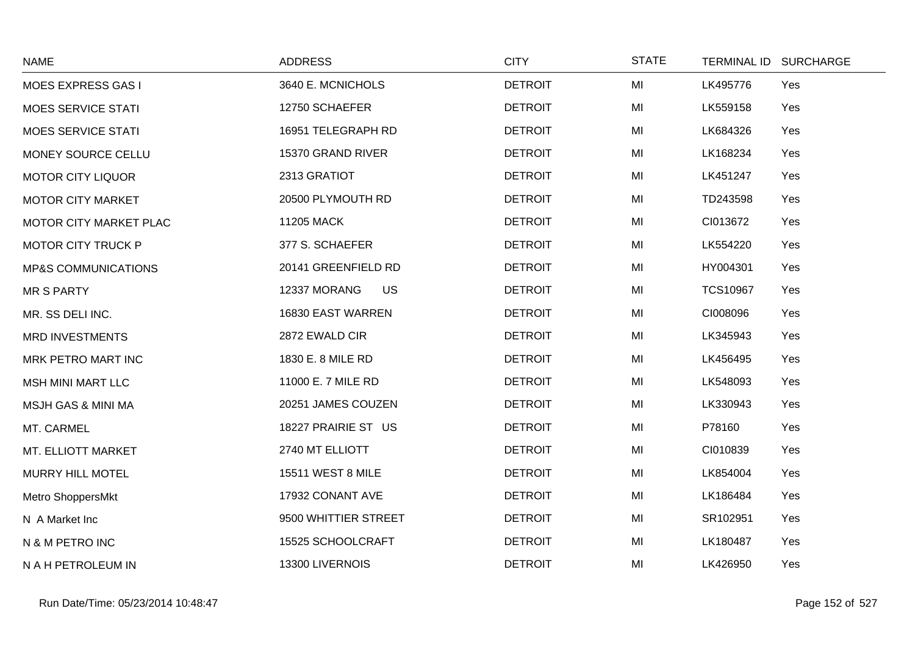| <b>NAME</b>                    | <b>ADDRESS</b>            | <b>CITY</b>    | <b>STATE</b> | TERMINAL ID SURCHARGE  |
|--------------------------------|---------------------------|----------------|--------------|------------------------|
| MOES EXPRESS GAS I             | 3640 E. MCNICHOLS         | <b>DETROIT</b> | MI           | LK495776<br>Yes        |
| <b>MOES SERVICE STATI</b>      | 12750 SCHAEFER            | <b>DETROIT</b> | MI           | LK559158<br>Yes        |
| <b>MOES SERVICE STATI</b>      | 16951 TELEGRAPH RD        | <b>DETROIT</b> | MI           | LK684326<br>Yes        |
| MONEY SOURCE CELLU             | 15370 GRAND RIVER         | <b>DETROIT</b> | MI           | LK168234<br>Yes        |
| <b>MOTOR CITY LIQUOR</b>       | 2313 GRATIOT              | <b>DETROIT</b> | MI           | LK451247<br>Yes        |
| MOTOR CITY MARKET              | 20500 PLYMOUTH RD         | <b>DETROIT</b> | MI           | TD243598<br>Yes        |
| MOTOR CITY MARKET PLAC         | 11205 MACK                | <b>DETROIT</b> | MI           | CI013672<br>Yes        |
| <b>MOTOR CITY TRUCK P</b>      | 377 S. SCHAEFER           | <b>DETROIT</b> | MI           | LK554220<br>Yes        |
| <b>MP&amp;S COMMUNICATIONS</b> | 20141 GREENFIELD RD       | <b>DETROIT</b> | MI           | HY004301<br>Yes        |
| <b>MR S PARTY</b>              | 12337 MORANG<br><b>US</b> | <b>DETROIT</b> | MI           | <b>TCS10967</b><br>Yes |
| MR. SS DELI INC.               | 16830 EAST WARREN         | <b>DETROIT</b> | MI           | CI008096<br>Yes        |
| <b>MRD INVESTMENTS</b>         | 2872 EWALD CIR            | <b>DETROIT</b> | MI           | LK345943<br>Yes        |
| MRK PETRO MART INC             | 1830 E. 8 MILE RD         | <b>DETROIT</b> | MI           | LK456495<br>Yes        |
| <b>MSH MINI MART LLC</b>       | 11000 E. 7 MILE RD        | <b>DETROIT</b> | MI           | LK548093<br>Yes        |
| <b>MSJH GAS &amp; MINI MA</b>  | 20251 JAMES COUZEN        | <b>DETROIT</b> | MI           | LK330943<br>Yes        |
| MT. CARMEL                     | 18227 PRAIRIE ST US       | <b>DETROIT</b> | MI           | P78160<br>Yes          |
| MT. ELLIOTT MARKET             | 2740 MT ELLIOTT           | <b>DETROIT</b> | MI           | CI010839<br>Yes        |
| MURRY HILL MOTEL               | 15511 WEST 8 MILE         | <b>DETROIT</b> | MI           | LK854004<br>Yes        |
| Metro ShoppersMkt              | 17932 CONANT AVE          | <b>DETROIT</b> | MI           | LK186484<br>Yes        |
| N A Market Inc                 | 9500 WHITTIER STREET      | <b>DETROIT</b> | MI           | SR102951<br>Yes        |
| N & M PETRO INC                | 15525 SCHOOLCRAFT         | <b>DETROIT</b> | MI           | LK180487<br>Yes        |
| N A H PETROLEUM IN             | 13300 LIVERNOIS           | <b>DETROIT</b> | MI           | LK426950<br>Yes        |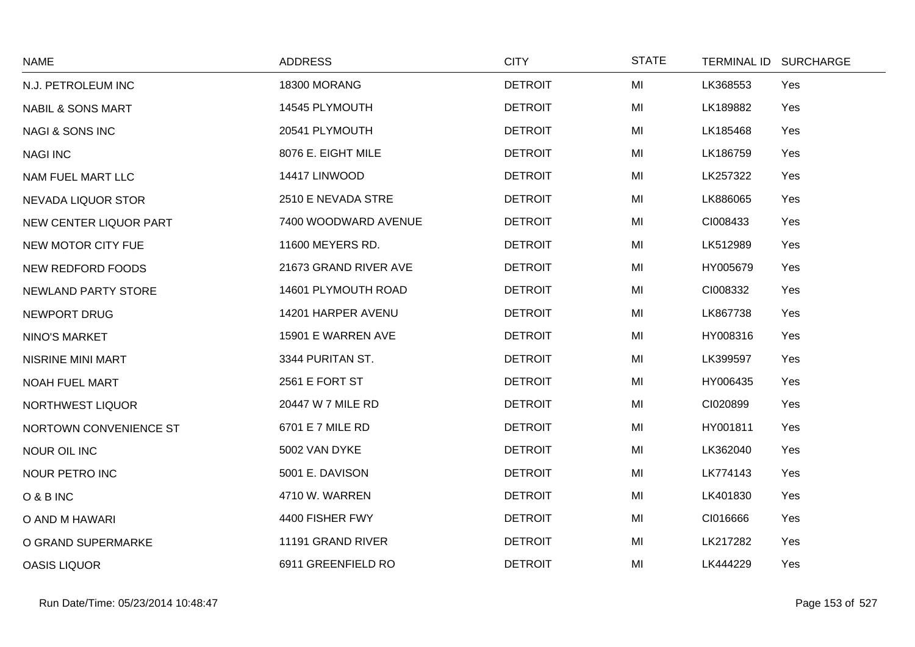| <b>NAME</b>                   | <b>ADDRESS</b>        | <b>CITY</b>    | <b>STATE</b> | TERMINAL ID SURCHARGE |
|-------------------------------|-----------------------|----------------|--------------|-----------------------|
| N.J. PETROLEUM INC            | 18300 MORANG          | <b>DETROIT</b> | MI           | LK368553<br>Yes       |
| <b>NABIL &amp; SONS MART</b>  | 14545 PLYMOUTH        | <b>DETROIT</b> | MI           | LK189882<br>Yes       |
| <b>NAGI &amp; SONS INC</b>    | 20541 PLYMOUTH        | <b>DETROIT</b> | MI           | LK185468<br>Yes       |
| <b>NAGI INC</b>               | 8076 E. EIGHT MILE    | <b>DETROIT</b> | MI           | LK186759<br>Yes       |
| NAM FUEL MART LLC             | 14417 LINWOOD         | <b>DETROIT</b> | MI           | LK257322<br>Yes       |
| NEVADA LIQUOR STOR            | 2510 E NEVADA STRE    | <b>DETROIT</b> | MI           | LK886065<br>Yes       |
| <b>NEW CENTER LIQUOR PART</b> | 7400 WOODWARD AVENUE  | <b>DETROIT</b> | MI           | CI008433<br>Yes       |
| NEW MOTOR CITY FUE            | 11600 MEYERS RD.      | <b>DETROIT</b> | MI           | LK512989<br>Yes       |
| NEW REDFORD FOODS             | 21673 GRAND RIVER AVE | <b>DETROIT</b> | MI           | HY005679<br>Yes       |
| NEWLAND PARTY STORE           | 14601 PLYMOUTH ROAD   | <b>DETROIT</b> | MI           | CI008332<br>Yes       |
| <b>NEWPORT DRUG</b>           | 14201 HARPER AVENU    | <b>DETROIT</b> | MI           | LK867738<br>Yes       |
| NINO'S MARKET                 | 15901 E WARREN AVE    | <b>DETROIT</b> | MI           | HY008316<br>Yes       |
| <b>NISRINE MINI MART</b>      | 3344 PURITAN ST.      | <b>DETROIT</b> | MI           | LK399597<br>Yes       |
| NOAH FUEL MART                | 2561 E FORT ST        | <b>DETROIT</b> | MI           | HY006435<br>Yes       |
| NORTHWEST LIQUOR              | 20447 W 7 MILE RD     | <b>DETROIT</b> | MI           | CI020899<br>Yes       |
| NORTOWN CONVENIENCE ST        | 6701 E 7 MILE RD      | <b>DETROIT</b> | MI           | HY001811<br>Yes       |
| <b>NOUR OIL INC</b>           | 5002 VAN DYKE         | <b>DETROIT</b> | MI           | Yes<br>LK362040       |
| NOUR PETRO INC                | 5001 E. DAVISON       | <b>DETROIT</b> | MI           | LK774143<br>Yes       |
| O & B INC                     | 4710 W. WARREN        | <b>DETROIT</b> | MI           | LK401830<br>Yes       |
| O AND M HAWARI                | 4400 FISHER FWY       | <b>DETROIT</b> | MI           | CI016666<br>Yes       |
| O GRAND SUPERMARKE            | 11191 GRAND RIVER     | <b>DETROIT</b> | MI           | LK217282<br>Yes       |
| <b>OASIS LIQUOR</b>           | 6911 GREENFIELD RO    | <b>DETROIT</b> | MI           | LK444229<br>Yes       |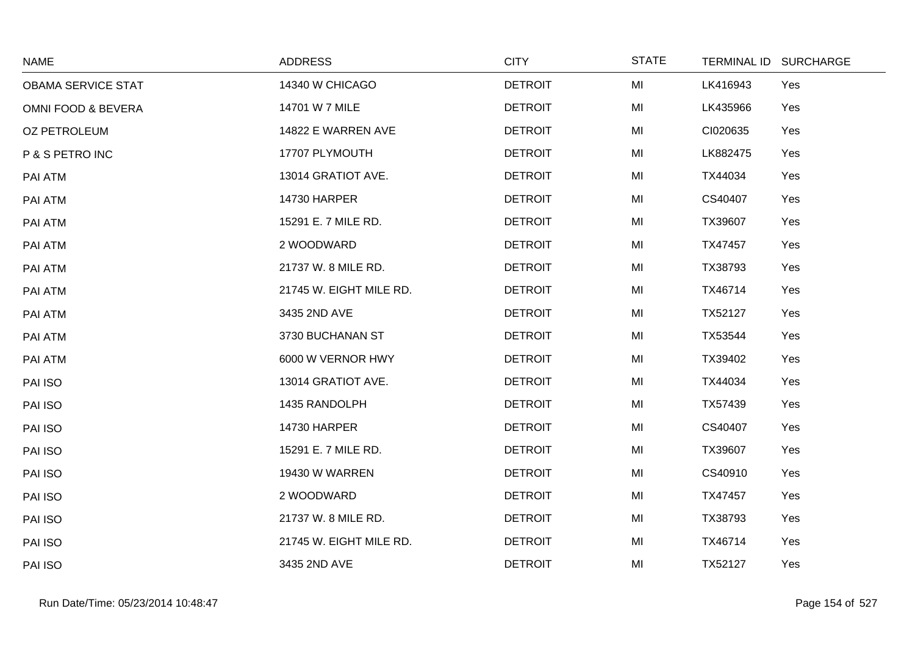| <b>NAME</b>                   | <b>ADDRESS</b>          | <b>CITY</b>    | <b>STATE</b> | TERMINAL ID SURCHARGE |  |
|-------------------------------|-------------------------|----------------|--------------|-----------------------|--|
| <b>OBAMA SERVICE STAT</b>     | 14340 W CHICAGO         | <b>DETROIT</b> | MI           | LK416943<br>Yes       |  |
| <b>OMNI FOOD &amp; BEVERA</b> | 14701 W 7 MILE          | <b>DETROIT</b> | MI           | LK435966<br>Yes       |  |
| <b>OZ PETROLEUM</b>           | 14822 E WARREN AVE      | <b>DETROIT</b> | MI           | CI020635<br>Yes       |  |
| P & S PETRO INC               | 17707 PLYMOUTH          | <b>DETROIT</b> | MI           | LK882475<br>Yes       |  |
| PAI ATM                       | 13014 GRATIOT AVE.      | <b>DETROIT</b> | MI           | TX44034<br>Yes        |  |
| PAI ATM                       | <b>14730 HARPER</b>     | <b>DETROIT</b> | MI           | CS40407<br>Yes        |  |
| PAI ATM                       | 15291 E. 7 MILE RD.     | <b>DETROIT</b> | MI           | TX39607<br>Yes        |  |
| PAI ATM                       | 2 WOODWARD              | <b>DETROIT</b> | MI           | Yes<br>TX47457        |  |
| PAI ATM                       | 21737 W. 8 MILE RD.     | <b>DETROIT</b> | MI           | TX38793<br>Yes        |  |
| PAI ATM                       | 21745 W. EIGHT MILE RD. | <b>DETROIT</b> | MI           | TX46714<br>Yes        |  |
| PAI ATM                       | 3435 2ND AVE            | <b>DETROIT</b> | MI           | TX52127<br>Yes        |  |
| PAI ATM                       | 3730 BUCHANAN ST        | <b>DETROIT</b> | MI           | TX53544<br>Yes        |  |
| PAI ATM                       | 6000 W VERNOR HWY       | <b>DETROIT</b> | MI           | TX39402<br>Yes        |  |
| PAI ISO                       | 13014 GRATIOT AVE.      | <b>DETROIT</b> | MI           | TX44034<br>Yes        |  |
| PAI ISO                       | 1435 RANDOLPH           | <b>DETROIT</b> | MI           | TX57439<br>Yes        |  |
| PAI ISO                       | <b>14730 HARPER</b>     | <b>DETROIT</b> | MI           | CS40407<br>Yes        |  |
| PAI ISO                       | 15291 E. 7 MILE RD.     | <b>DETROIT</b> | MI           | TX39607<br>Yes        |  |
| PAI ISO                       | <b>19430 W WARREN</b>   | <b>DETROIT</b> | MI           | Yes<br>CS40910        |  |
| PAI ISO                       | 2 WOODWARD              | <b>DETROIT</b> | MI           | TX47457<br>Yes        |  |
| PAI ISO                       | 21737 W. 8 MILE RD.     | <b>DETROIT</b> | MI           | TX38793<br>Yes        |  |
| PAI ISO                       | 21745 W. EIGHT MILE RD. | <b>DETROIT</b> | MI           | TX46714<br>Yes        |  |
| PAI ISO                       | 3435 2ND AVE            | <b>DETROIT</b> | MI           | TX52127<br>Yes        |  |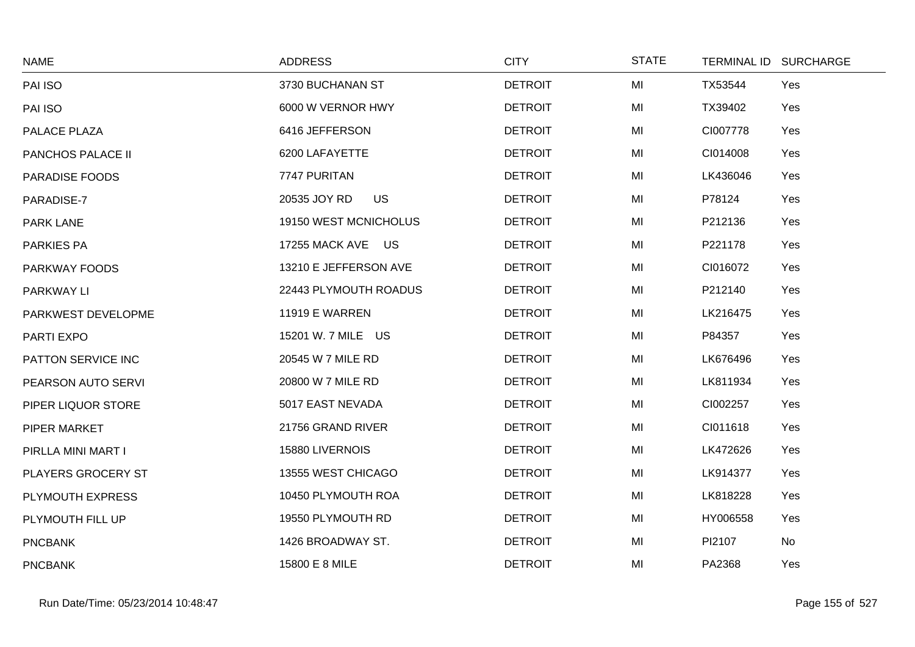| <b>NAME</b>           | <b>ADDRESS</b>            | <b>CITY</b>    | <b>STATE</b> | TERMINAL ID SURCHARGE |  |
|-----------------------|---------------------------|----------------|--------------|-----------------------|--|
| PAI ISO               | 3730 BUCHANAN ST          | <b>DETROIT</b> | MI           | TX53544<br>Yes        |  |
| PAI ISO               | 6000 W VERNOR HWY         | <b>DETROIT</b> | MI           | TX39402<br>Yes        |  |
| PALACE PLAZA          | 6416 JEFFERSON            | <b>DETROIT</b> | MI           | CI007778<br>Yes       |  |
| PANCHOS PALACE II     | 6200 LAFAYETTE            | <b>DETROIT</b> | MI           | CI014008<br>Yes       |  |
| <b>PARADISE FOODS</b> | 7747 PURITAN              | <b>DETROIT</b> | MI           | LK436046<br>Yes       |  |
| PARADISE-7            | <b>US</b><br>20535 JOY RD | <b>DETROIT</b> | MI           | P78124<br>Yes         |  |
| <b>PARK LANE</b>      | 19150 WEST MCNICHOLUS     | <b>DETROIT</b> | MI           | Yes<br>P212136        |  |
| <b>PARKIES PA</b>     | 17255 MACK AVE US         | <b>DETROIT</b> | MI           | P221178<br>Yes        |  |
| PARKWAY FOODS         | 13210 E JEFFERSON AVE     | <b>DETROIT</b> | MI           | CI016072<br>Yes       |  |
| PARKWAY LI            | 22443 PLYMOUTH ROADUS     | <b>DETROIT</b> | MI           | P212140<br>Yes        |  |
| PARKWEST DEVELOPME    | <b>11919 E WARREN</b>     | <b>DETROIT</b> | MI           | LK216475<br>Yes       |  |
| PARTI EXPO            | 15201 W. 7 MILE US        | <b>DETROIT</b> | MI           | P84357<br>Yes         |  |
| PATTON SERVICE INC    | 20545 W 7 MILE RD         | <b>DETROIT</b> | MI           | LK676496<br>Yes       |  |
| PEARSON AUTO SERVI    | 20800 W 7 MILE RD         | <b>DETROIT</b> | MI           | LK811934<br>Yes       |  |
| PIPER LIQUOR STORE    | 5017 EAST NEVADA          | <b>DETROIT</b> | MI           | CI002257<br>Yes       |  |
| PIPER MARKET          | 21756 GRAND RIVER         | <b>DETROIT</b> | MI           | CI011618<br>Yes       |  |
| PIRLLA MINI MART I    | 15880 LIVERNOIS           | <b>DETROIT</b> | MI           | LK472626<br>Yes       |  |
| PLAYERS GROCERY ST    | 13555 WEST CHICAGO        | <b>DETROIT</b> | MI           | LK914377<br>Yes       |  |
| PLYMOUTH EXPRESS      | 10450 PLYMOUTH ROA        | <b>DETROIT</b> | MI           | LK818228<br>Yes       |  |
| PLYMOUTH FILL UP      | 19550 PLYMOUTH RD         | <b>DETROIT</b> | MI           | HY006558<br>Yes       |  |
| <b>PNCBANK</b>        | 1426 BROADWAY ST.         | <b>DETROIT</b> | MI           | PI2107<br>No          |  |
| <b>PNCBANK</b>        | 15800 E 8 MILE            | <b>DETROIT</b> | MI           | PA2368<br>Yes         |  |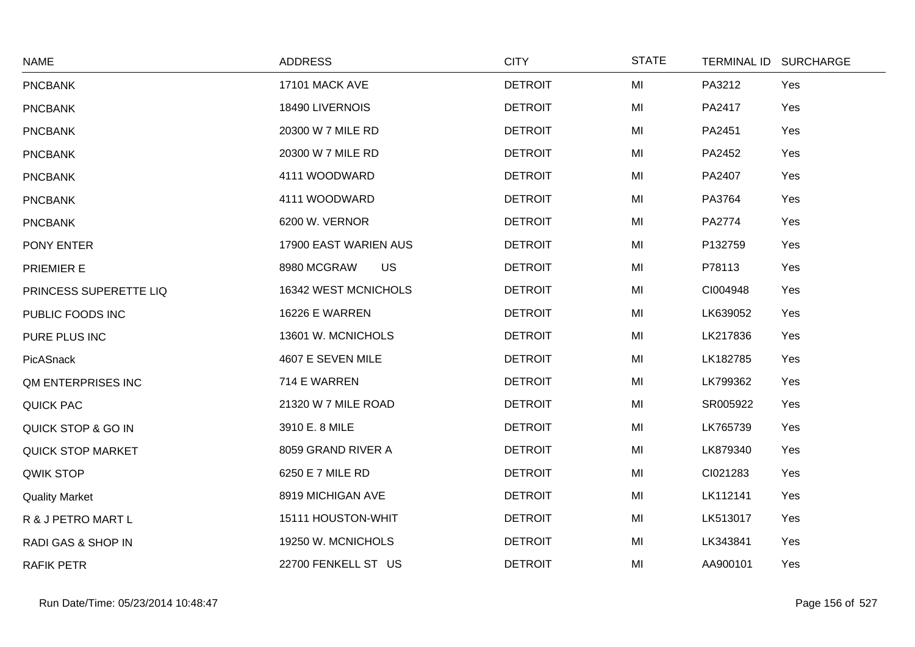| <b>NAME</b>              | <b>ADDRESS</b>           | <b>CITY</b>    | <b>STATE</b> |          | TERMINAL ID SURCHARGE |
|--------------------------|--------------------------|----------------|--------------|----------|-----------------------|
| <b>PNCBANK</b>           | 17101 MACK AVE           | <b>DETROIT</b> | MI           | PA3212   | Yes                   |
| <b>PNCBANK</b>           | 18490 LIVERNOIS          | <b>DETROIT</b> | MI           | PA2417   | Yes                   |
| <b>PNCBANK</b>           | 20300 W 7 MILE RD        | <b>DETROIT</b> | MI           | PA2451   | Yes                   |
| <b>PNCBANK</b>           | 20300 W 7 MILE RD        | <b>DETROIT</b> | MI           | PA2452   | Yes                   |
| <b>PNCBANK</b>           | 4111 WOODWARD            | <b>DETROIT</b> | MI           | PA2407   | Yes                   |
| <b>PNCBANK</b>           | 4111 WOODWARD            | <b>DETROIT</b> | MI           | PA3764   | Yes                   |
| <b>PNCBANK</b>           | 6200 W. VERNOR           | <b>DETROIT</b> | MI           | PA2774   | Yes                   |
| PONY ENTER               | 17900 EAST WARIEN AUS    | <b>DETROIT</b> | MI           | P132759  | Yes                   |
| PRIEMIER E               | <b>US</b><br>8980 MCGRAW | <b>DETROIT</b> | MI           | P78113   | Yes                   |
| PRINCESS SUPERETTE LIQ   | 16342 WEST MCNICHOLS     | <b>DETROIT</b> | MI           | CI004948 | Yes                   |
| PUBLIC FOODS INC         | <b>16226 E WARREN</b>    | <b>DETROIT</b> | MI           | LK639052 | Yes                   |
| PURE PLUS INC            | 13601 W. MCNICHOLS       | <b>DETROIT</b> | MI           | LK217836 | Yes                   |
| PicASnack                | 4607 E SEVEN MILE        | <b>DETROIT</b> | MI           | LK182785 | Yes                   |
| QM ENTERPRISES INC       | 714 E WARREN             | <b>DETROIT</b> | MI           | LK799362 | Yes                   |
| QUICK PAC                | 21320 W 7 MILE ROAD      | <b>DETROIT</b> | MI           | SR005922 | Yes                   |
| QUICK STOP & GO IN       | 3910 E. 8 MILE           | <b>DETROIT</b> | MI           | LK765739 | Yes                   |
| <b>QUICK STOP MARKET</b> | 8059 GRAND RIVER A       | <b>DETROIT</b> | MI           | LK879340 | Yes                   |
| QWIK STOP                | 6250 E 7 MILE RD         | <b>DETROIT</b> | MI           | CI021283 | Yes                   |
| <b>Quality Market</b>    | 8919 MICHIGAN AVE        | <b>DETROIT</b> | MI           | LK112141 | Yes                   |
| R & J PETRO MART L       | 15111 HOUSTON-WHIT       | <b>DETROIT</b> | MI           | LK513017 | Yes                   |
| RADI GAS & SHOP IN       | 19250 W. MCNICHOLS       | <b>DETROIT</b> | MI           | LK343841 | Yes                   |
| <b>RAFIK PETR</b>        | 22700 FENKELL ST US      | <b>DETROIT</b> | MI           | AA900101 | Yes                   |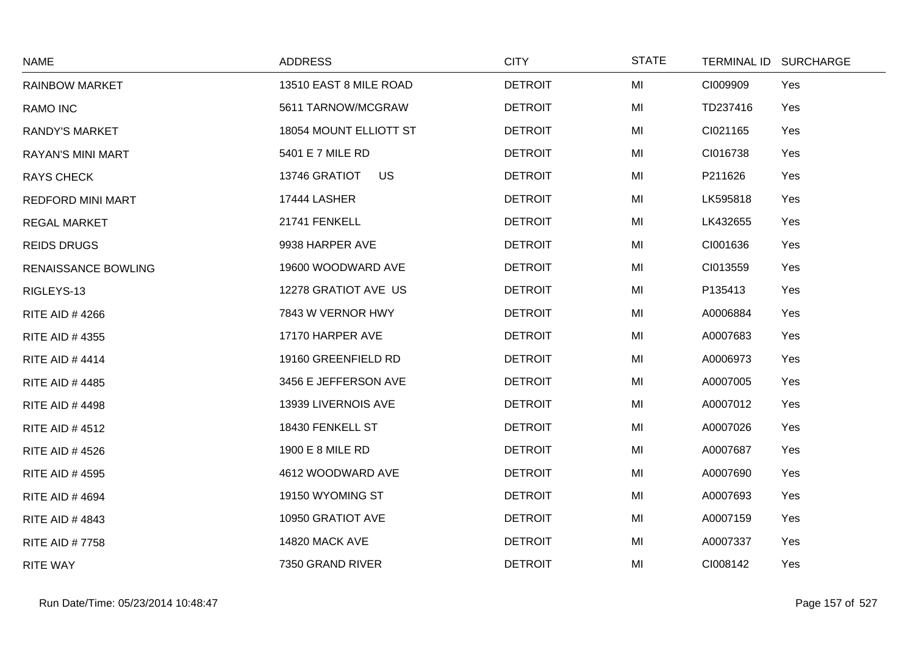| <b>NAME</b>                | <b>ADDRESS</b>             | <b>CITY</b>    | <b>STATE</b> |          | TERMINAL ID SURCHARGE |
|----------------------------|----------------------------|----------------|--------------|----------|-----------------------|
| <b>RAINBOW MARKET</b>      | 13510 EAST 8 MILE ROAD     | <b>DETROIT</b> | MI           | CI009909 | Yes                   |
| RAMO INC                   | 5611 TARNOW/MCGRAW         | <b>DETROIT</b> | MI           | TD237416 | Yes                   |
| <b>RANDY'S MARKET</b>      | 18054 MOUNT ELLIOTT ST     | <b>DETROIT</b> | MI           | CI021165 | Yes                   |
| <b>RAYAN'S MINI MART</b>   | 5401 E 7 MILE RD           | <b>DETROIT</b> | MI           | CI016738 | Yes                   |
| <b>RAYS CHECK</b>          | <b>US</b><br>13746 GRATIOT | <b>DETROIT</b> | MI           | P211626  | Yes                   |
| <b>REDFORD MINI MART</b>   | 17444 LASHER               | <b>DETROIT</b> | MI           | LK595818 | Yes                   |
| <b>REGAL MARKET</b>        | 21741 FENKELL              | <b>DETROIT</b> | MI           | LK432655 | Yes                   |
| <b>REIDS DRUGS</b>         | 9938 HARPER AVE            | <b>DETROIT</b> | MI           | CI001636 | Yes                   |
| <b>RENAISSANCE BOWLING</b> | 19600 WOODWARD AVE         | <b>DETROIT</b> | MI           | CI013559 | Yes                   |
| RIGLEYS-13                 | 12278 GRATIOT AVE US       | <b>DETROIT</b> | MI           | P135413  | Yes                   |
| <b>RITE AID #4266</b>      | 7843 W VERNOR HWY          | <b>DETROIT</b> | MI           | A0006884 | Yes                   |
| <b>RITE AID #4355</b>      | 17170 HARPER AVE           | <b>DETROIT</b> | MI           | A0007683 | Yes                   |
| <b>RITE AID #4414</b>      | 19160 GREENFIELD RD        | <b>DETROIT</b> | MI           | A0006973 | Yes                   |
| <b>RITE AID #4485</b>      | 3456 E JEFFERSON AVE       | <b>DETROIT</b> | MI           | A0007005 | Yes                   |
| <b>RITE AID #4498</b>      | 13939 LIVERNOIS AVE        | <b>DETROIT</b> | MI           | A0007012 | Yes                   |
| <b>RITE AID #4512</b>      | 18430 FENKELL ST           | <b>DETROIT</b> | MI           | A0007026 | Yes                   |
| <b>RITE AID #4526</b>      | 1900 E 8 MILE RD           | <b>DETROIT</b> | MI           | A0007687 | Yes                   |
| <b>RITE AID #4595</b>      | 4612 WOODWARD AVE          | <b>DETROIT</b> | MI           | A0007690 | Yes                   |
| <b>RITE AID #4694</b>      | 19150 WYOMING ST           | <b>DETROIT</b> | MI           | A0007693 | Yes                   |
| <b>RITE AID #4843</b>      | 10950 GRATIOT AVE          | <b>DETROIT</b> | MI           | A0007159 | Yes                   |
| <b>RITE AID #7758</b>      | 14820 MACK AVE             | <b>DETROIT</b> | MI           | A0007337 | Yes                   |
| RITE WAY                   | 7350 GRAND RIVER           | <b>DETROIT</b> | MI           | CI008142 | Yes                   |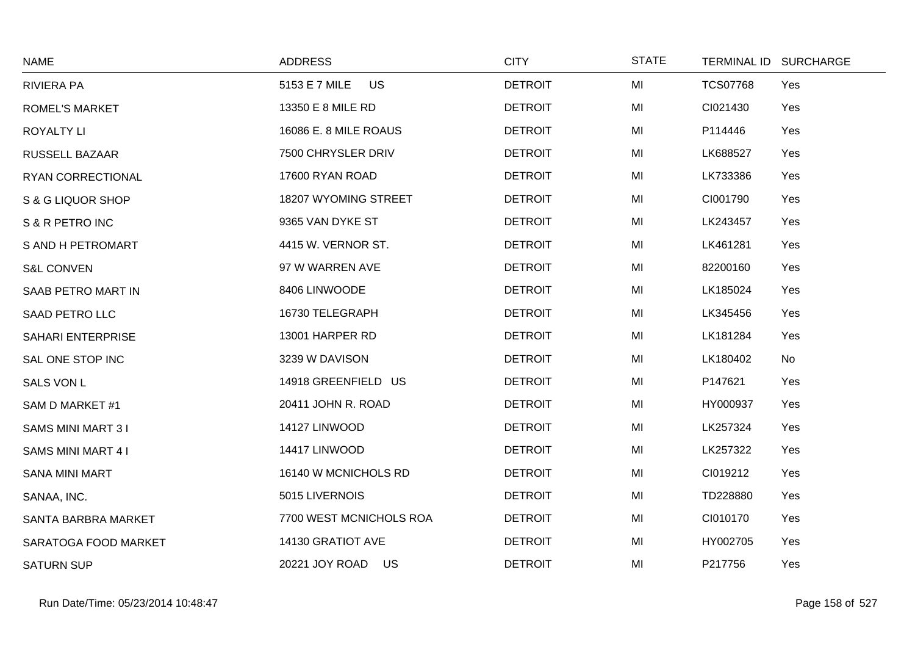| <b>NAME</b>              | <b>ADDRESS</b>          | <b>CITY</b>    | <b>STATE</b> | <b>TERMINAL ID</b> | <b>SURCHARGE</b> |
|--------------------------|-------------------------|----------------|--------------|--------------------|------------------|
| <b>RIVIERA PA</b>        | US<br>5153 E 7 MILE     | <b>DETROIT</b> | MI           | <b>TCS07768</b>    | Yes              |
| <b>ROMEL'S MARKET</b>    | 13350 E 8 MILE RD       | <b>DETROIT</b> | MI           | CI021430           | Yes              |
| <b>ROYALTY LI</b>        | 16086 E. 8 MILE ROAUS   | <b>DETROIT</b> | MI           | P114446            | Yes              |
| RUSSELL BAZAAR           | 7500 CHRYSLER DRIV      | <b>DETROIT</b> | MI           | LK688527           | Yes              |
| RYAN CORRECTIONAL        | 17600 RYAN ROAD         | <b>DETROIT</b> | MI           | LK733386           | Yes              |
| S & G LIQUOR SHOP        | 18207 WYOMING STREET    | <b>DETROIT</b> | MI           | CI001790           | Yes              |
| S & R PETRO INC          | 9365 VAN DYKE ST        | <b>DETROIT</b> | MI           | LK243457           | Yes              |
| S AND H PETROMART        | 4415 W. VERNOR ST.      | <b>DETROIT</b> | MI           | LK461281           | Yes              |
| <b>S&amp;L CONVEN</b>    | 97 W WARREN AVE         | <b>DETROIT</b> | MI           | 82200160           | Yes              |
| SAAB PETRO MART IN       | 8406 LINWOODE           | <b>DETROIT</b> | MI           | LK185024           | Yes              |
| <b>SAAD PETRO LLC</b>    | 16730 TELEGRAPH         | <b>DETROIT</b> | MI           | LK345456           | Yes              |
| SAHARI ENTERPRISE        | 13001 HARPER RD         | <b>DETROIT</b> | MI           | LK181284           | Yes              |
| SAL ONE STOP INC         | 3239 W DAVISON          | <b>DETROIT</b> | MI           | LK180402           | No               |
| SALS VON L               | 14918 GREENFIELD US     | <b>DETROIT</b> | MI           | P147621            | Yes              |
| SAM D MARKET #1          | 20411 JOHN R. ROAD      | <b>DETROIT</b> | MI           | HY000937           | Yes              |
| <b>SAMS MINI MART 31</b> | 14127 LINWOOD           | <b>DETROIT</b> | MI           | LK257324           | Yes              |
| SAMS MINI MART 4 I       | 14417 LINWOOD           | <b>DETROIT</b> | MI           | LK257322           | Yes              |
| <b>SANA MINI MART</b>    | 16140 W MCNICHOLS RD    | <b>DETROIT</b> | MI           | CI019212           | Yes              |
| SANAA, INC.              | 5015 LIVERNOIS          | <b>DETROIT</b> | MI           | TD228880           | Yes              |
| SANTA BARBRA MARKET      | 7700 WEST MCNICHOLS ROA | <b>DETROIT</b> | MI           | CI010170           | Yes              |
| SARATOGA FOOD MARKET     | 14130 GRATIOT AVE       | <b>DETROIT</b> | MI           | HY002705           | Yes              |
| <b>SATURN SUP</b>        | 20221 JOY ROAD<br>US    | <b>DETROIT</b> | MI           | P217756            | Yes              |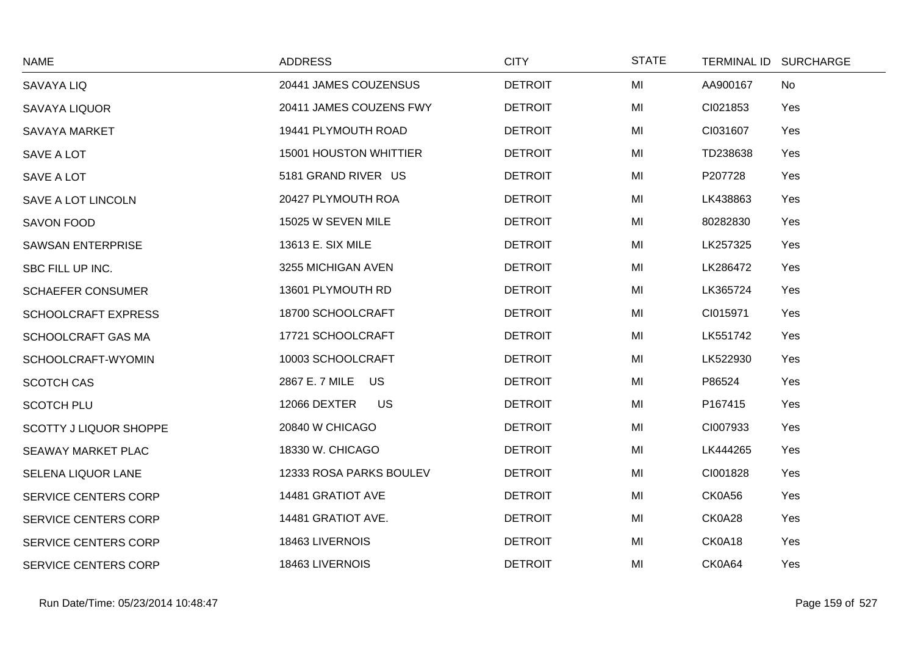| <b>NAME</b>                   | <b>ADDRESS</b>                | <b>CITY</b>    | <b>STATE</b> | TERMINAL ID SURCHARGE |
|-------------------------------|-------------------------------|----------------|--------------|-----------------------|
| <b>SAVAYA LIQ</b>             | 20441 JAMES COUZENSUS         | <b>DETROIT</b> | MI           | AA900167<br>No        |
| <b>SAVAYA LIQUOR</b>          | 20411 JAMES COUZENS FWY       | <b>DETROIT</b> | MI           | CI021853<br>Yes       |
| <b>SAVAYA MARKET</b>          | 19441 PLYMOUTH ROAD           | <b>DETROIT</b> | MI           | CI031607<br>Yes       |
| SAVE A LOT                    | <b>15001 HOUSTON WHITTIER</b> | <b>DETROIT</b> | MI           | TD238638<br>Yes       |
| SAVE A LOT                    | 5181 GRAND RIVER US           | <b>DETROIT</b> | MI           | P207728<br>Yes        |
| SAVE A LOT LINCOLN            | 20427 PLYMOUTH ROA            | <b>DETROIT</b> | MI           | LK438863<br>Yes       |
| <b>SAVON FOOD</b>             | 15025 W SEVEN MILE            | <b>DETROIT</b> | MI           | 80282830<br>Yes       |
| <b>SAWSAN ENTERPRISE</b>      | 13613 E. SIX MILE             | <b>DETROIT</b> | MI           | LK257325<br>Yes       |
| SBC FILL UP INC.              | 3255 MICHIGAN AVEN            | <b>DETROIT</b> | MI           | LK286472<br>Yes       |
| <b>SCHAEFER CONSUMER</b>      | 13601 PLYMOUTH RD             | <b>DETROIT</b> | MI           | LK365724<br>Yes       |
| <b>SCHOOLCRAFT EXPRESS</b>    | 18700 SCHOOLCRAFT             | <b>DETROIT</b> | MI           | CI015971<br>Yes       |
| SCHOOLCRAFT GAS MA            | 17721 SCHOOLCRAFT             | <b>DETROIT</b> | MI           | LK551742<br>Yes       |
| SCHOOLCRAFT-WYOMIN            | 10003 SCHOOLCRAFT             | <b>DETROIT</b> | MI           | LK522930<br>Yes       |
| <b>SCOTCH CAS</b>             | 2867 E. 7 MILE US             | <b>DETROIT</b> | MI           | P86524<br>Yes         |
| <b>SCOTCH PLU</b>             | 12066 DEXTER<br><b>US</b>     | <b>DETROIT</b> | MI           | P167415<br>Yes        |
| <b>SCOTTY J LIQUOR SHOPPE</b> | 20840 W CHICAGO               | <b>DETROIT</b> | MI           | CI007933<br>Yes       |
| SEAWAY MARKET PLAC            | 18330 W. CHICAGO              | <b>DETROIT</b> | MI           | LK444265<br>Yes       |
| SELENA LIQUOR LANE            | 12333 ROSA PARKS BOULEV       | <b>DETROIT</b> | MI           | CI001828<br>Yes       |
| SERVICE CENTERS CORP          | 14481 GRATIOT AVE             | <b>DETROIT</b> | MI           | CK0A56<br>Yes         |
| <b>SERVICE CENTERS CORP</b>   | 14481 GRATIOT AVE.            | <b>DETROIT</b> | MI           | CK0A28<br>Yes         |
| <b>SERVICE CENTERS CORP</b>   | 18463 LIVERNOIS               | <b>DETROIT</b> | MI           | CK0A18<br>Yes         |
| <b>SERVICE CENTERS CORP</b>   | 18463 LIVERNOIS               | <b>DETROIT</b> | MI           | CK0A64<br>Yes         |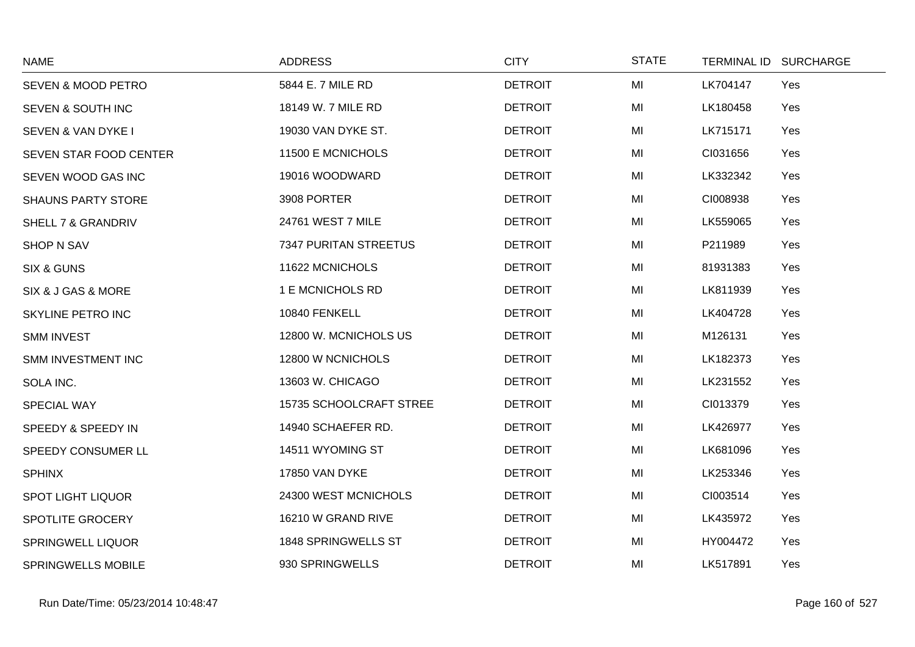| <b>NAME</b>               | <b>ADDRESS</b>          | <b>CITY</b>    | <b>STATE</b> | TERMINAL ID SURCHARGE |
|---------------------------|-------------------------|----------------|--------------|-----------------------|
| SEVEN & MOOD PETRO        | 5844 E. 7 MILE RD       | <b>DETROIT</b> | MI           | LK704147<br>Yes       |
| SEVEN & SOUTH INC         | 18149 W. 7 MILE RD      | <b>DETROIT</b> | MI           | LK180458<br>Yes       |
| SEVEN & VAN DYKE I        | 19030 VAN DYKE ST.      | <b>DETROIT</b> | MI           | LK715171<br>Yes       |
| SEVEN STAR FOOD CENTER    | 11500 E MCNICHOLS       | <b>DETROIT</b> | MI           | CI031656<br>Yes       |
| SEVEN WOOD GAS INC        | 19016 WOODWARD          | <b>DETROIT</b> | MI           | LK332342<br>Yes       |
| <b>SHAUNS PARTY STORE</b> | 3908 PORTER             | <b>DETROIT</b> | MI           | CI008938<br>Yes       |
| SHELL 7 & GRANDRIV        | 24761 WEST 7 MILE       | <b>DETROIT</b> | MI           | LK559065<br>Yes       |
| <b>SHOP N SAV</b>         | 7347 PURITAN STREETUS   | <b>DETROIT</b> | MI           | P211989<br>Yes        |
| <b>SIX &amp; GUNS</b>     | 11622 MCNICHOLS         | <b>DETROIT</b> | MI           | 81931383<br>Yes       |
| SIX & J GAS & MORE        | 1 E MCNICHOLS RD        | <b>DETROIT</b> | MI           | LK811939<br>Yes       |
| SKYLINE PETRO INC         | 10840 FENKELL           | <b>DETROIT</b> | MI           | LK404728<br>Yes       |
| <b>SMM INVEST</b>         | 12800 W. MCNICHOLS US   | <b>DETROIT</b> | MI           | M126131<br>Yes        |
| SMM INVESTMENT INC        | 12800 W NCNICHOLS       | <b>DETROIT</b> | MI           | LK182373<br>Yes       |
| SOLA INC.                 | 13603 W. CHICAGO        | <b>DETROIT</b> | MI           | LK231552<br>Yes       |
| SPECIAL WAY               | 15735 SCHOOLCRAFT STREE | <b>DETROIT</b> | MI           | CI013379<br>Yes       |
| SPEEDY & SPEEDY IN        | 14940 SCHAEFER RD.      | <b>DETROIT</b> | MI           | LK426977<br>Yes       |
| SPEEDY CONSUMER LL        | 14511 WYOMING ST        | <b>DETROIT</b> | MI           | LK681096<br>Yes       |
| <b>SPHINX</b>             | 17850 VAN DYKE          | <b>DETROIT</b> | MI           | LK253346<br>Yes       |
| <b>SPOT LIGHT LIQUOR</b>  | 24300 WEST MCNICHOLS    | <b>DETROIT</b> | MI           | CI003514<br>Yes       |
| SPOTLITE GROCERY          | 16210 W GRAND RIVE      | <b>DETROIT</b> | MI           | LK435972<br>Yes       |
| <b>SPRINGWELL LIQUOR</b>  | 1848 SPRINGWELLS ST     | <b>DETROIT</b> | MI           | HY004472<br>Yes       |
| <b>SPRINGWELLS MOBILE</b> | 930 SPRINGWELLS         | <b>DETROIT</b> | MI           | LK517891<br>Yes       |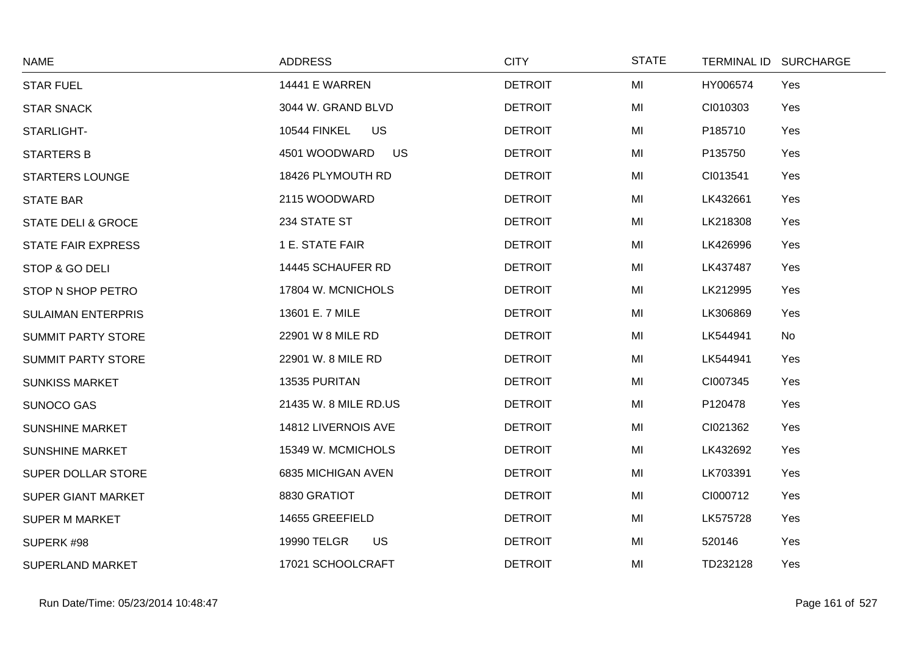| <b>NAME</b>                   | <b>ADDRESS</b>                   | <b>CITY</b>    | <b>STATE</b> |          | TERMINAL ID SURCHARGE |
|-------------------------------|----------------------------------|----------------|--------------|----------|-----------------------|
| <b>STAR FUEL</b>              | <b>14441 E WARREN</b>            | <b>DETROIT</b> | MI           | HY006574 | Yes                   |
| <b>STAR SNACK</b>             | 3044 W. GRAND BLVD               | <b>DETROIT</b> | MI           | CI010303 | Yes                   |
| STARLIGHT-                    | <b>US</b><br><b>10544 FINKEL</b> | <b>DETROIT</b> | MI           | P185710  | Yes                   |
| <b>STARTERS B</b>             | 4501 WOODWARD<br><b>US</b>       | <b>DETROIT</b> | MI           | P135750  | Yes                   |
| <b>STARTERS LOUNGE</b>        | 18426 PLYMOUTH RD                | <b>DETROIT</b> | MI           | CI013541 | Yes                   |
| <b>STATE BAR</b>              | 2115 WOODWARD                    | <b>DETROIT</b> | MI           | LK432661 | Yes                   |
| <b>STATE DELI &amp; GROCE</b> | 234 STATE ST                     | <b>DETROIT</b> | MI           | LK218308 | Yes                   |
| <b>STATE FAIR EXPRESS</b>     | 1 E. STATE FAIR                  | <b>DETROIT</b> | MI           | LK426996 | Yes                   |
| STOP & GO DELI                | 14445 SCHAUFER RD                | <b>DETROIT</b> | MI           | LK437487 | Yes                   |
| STOP N SHOP PETRO             | 17804 W. MCNICHOLS               | <b>DETROIT</b> | MI           | LK212995 | Yes                   |
| <b>SULAIMAN ENTERPRIS</b>     | 13601 E. 7 MILE                  | <b>DETROIT</b> | MI           | LK306869 | Yes                   |
| <b>SUMMIT PARTY STORE</b>     | 22901 W 8 MILE RD                | <b>DETROIT</b> | MI           | LK544941 | No                    |
| <b>SUMMIT PARTY STORE</b>     | 22901 W. 8 MILE RD               | <b>DETROIT</b> | MI           | LK544941 | Yes                   |
| <b>SUNKISS MARKET</b>         | 13535 PURITAN                    | <b>DETROIT</b> | MI           | CI007345 | Yes                   |
| <b>SUNOCO GAS</b>             | 21435 W. 8 MILE RD.US            | <b>DETROIT</b> | MI           | P120478  | Yes                   |
| <b>SUNSHINE MARKET</b>        | 14812 LIVERNOIS AVE              | <b>DETROIT</b> | MI           | CI021362 | Yes                   |
| <b>SUNSHINE MARKET</b>        | 15349 W. MCMICHOLS               | <b>DETROIT</b> | MI           | LK432692 | Yes                   |
| SUPER DOLLAR STORE            | 6835 MICHIGAN AVEN               | <b>DETROIT</b> | MI           | LK703391 | Yes                   |
| <b>SUPER GIANT MARKET</b>     | 8830 GRATIOT                     | <b>DETROIT</b> | MI           | CI000712 | Yes                   |
| <b>SUPER M MARKET</b>         | 14655 GREEFIELD                  | <b>DETROIT</b> | MI           | LK575728 | Yes                   |
| SUPERK #98                    | 19990 TELGR<br><b>US</b>         | <b>DETROIT</b> | MI           | 520146   | Yes                   |
| <b>SUPERLAND MARKET</b>       | 17021 SCHOOLCRAFT                | <b>DETROIT</b> | MI           | TD232128 | Yes                   |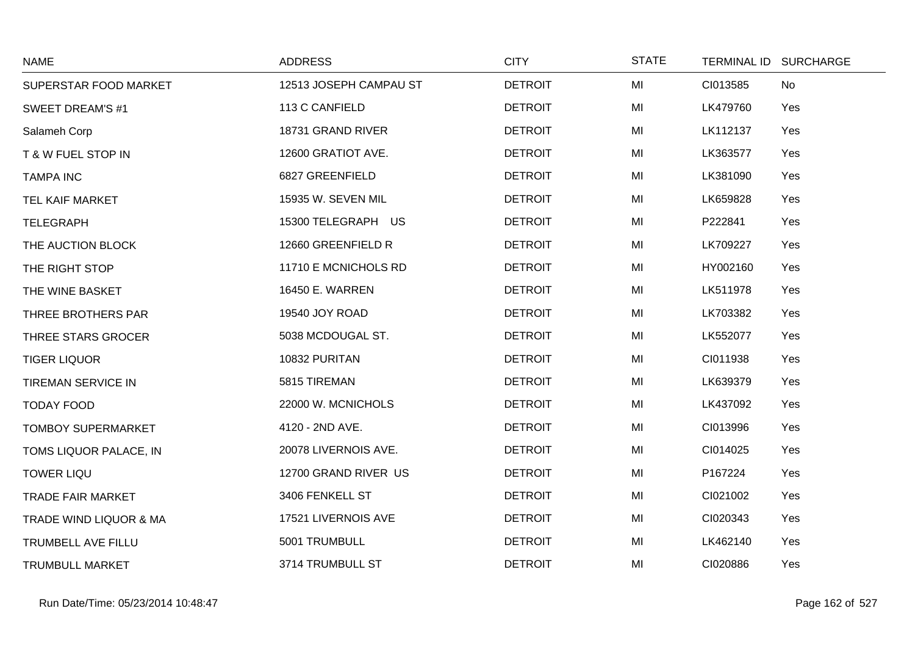| <b>NAME</b>                       | <b>ADDRESS</b>         | <b>CITY</b>    | <b>STATE</b> | TERMINAL ID SURCHARGE |
|-----------------------------------|------------------------|----------------|--------------|-----------------------|
| SUPERSTAR FOOD MARKET             | 12513 JOSEPH CAMPAU ST | <b>DETROIT</b> | MI           | CI013585<br>No        |
| <b>SWEET DREAM'S #1</b>           | 113 C CANFIELD         | <b>DETROIT</b> | MI           | LK479760<br>Yes       |
| Salameh Corp                      | 18731 GRAND RIVER      | <b>DETROIT</b> | MI           | LK112137<br>Yes       |
| <b>T &amp; W FUEL STOP IN</b>     | 12600 GRATIOT AVE.     | <b>DETROIT</b> | MI           | LK363577<br>Yes       |
| <b>TAMPA INC</b>                  | 6827 GREENFIELD        | <b>DETROIT</b> | MI           | LK381090<br>Yes       |
| TEL KAIF MARKET                   | 15935 W. SEVEN MIL     | <b>DETROIT</b> | MI           | LK659828<br>Yes       |
| <b>TELEGRAPH</b>                  | 15300 TELEGRAPH US     | <b>DETROIT</b> | MI           | P222841<br>Yes        |
| THE AUCTION BLOCK                 | 12660 GREENFIELD R     | <b>DETROIT</b> | MI           | LK709227<br>Yes       |
| THE RIGHT STOP                    | 11710 E MCNICHOLS RD   | <b>DETROIT</b> | MI           | HY002160<br>Yes       |
| THE WINE BASKET                   | 16450 E. WARREN        | <b>DETROIT</b> | MI           | LK511978<br>Yes       |
| THREE BROTHERS PAR                | 19540 JOY ROAD         | <b>DETROIT</b> | MI           | LK703382<br>Yes       |
| THREE STARS GROCER                | 5038 MCDOUGAL ST.      | <b>DETROIT</b> | MI           | LK552077<br>Yes       |
| <b>TIGER LIQUOR</b>               | 10832 PURITAN          | <b>DETROIT</b> | MI           | CI011938<br>Yes       |
| <b>TIREMAN SERVICE IN</b>         | 5815 TIREMAN           | <b>DETROIT</b> | MI           | LK639379<br>Yes       |
| <b>TODAY FOOD</b>                 | 22000 W. MCNICHOLS     | <b>DETROIT</b> | MI           | LK437092<br>Yes       |
| <b>TOMBOY SUPERMARKET</b>         | 4120 - 2ND AVE.        | <b>DETROIT</b> | MI           | CI013996<br>Yes       |
| TOMS LIQUOR PALACE, IN            | 20078 LIVERNOIS AVE.   | <b>DETROIT</b> | MI           | Yes<br>CI014025       |
| <b>TOWER LIQU</b>                 | 12700 GRAND RIVER US   | <b>DETROIT</b> | MI           | P167224<br>Yes        |
| <b>TRADE FAIR MARKET</b>          | 3406 FENKELL ST        | <b>DETROIT</b> | MI           | CI021002<br>Yes       |
| <b>TRADE WIND LIQUOR &amp; MA</b> | 17521 LIVERNOIS AVE    | <b>DETROIT</b> | MI           | CI020343<br>Yes       |
| TRUMBELL AVE FILLU                | 5001 TRUMBULL          | <b>DETROIT</b> | MI           | LK462140<br>Yes       |
| <b>TRUMBULL MARKET</b>            | 3714 TRUMBULL ST       | <b>DETROIT</b> | MI           | CI020886<br>Yes       |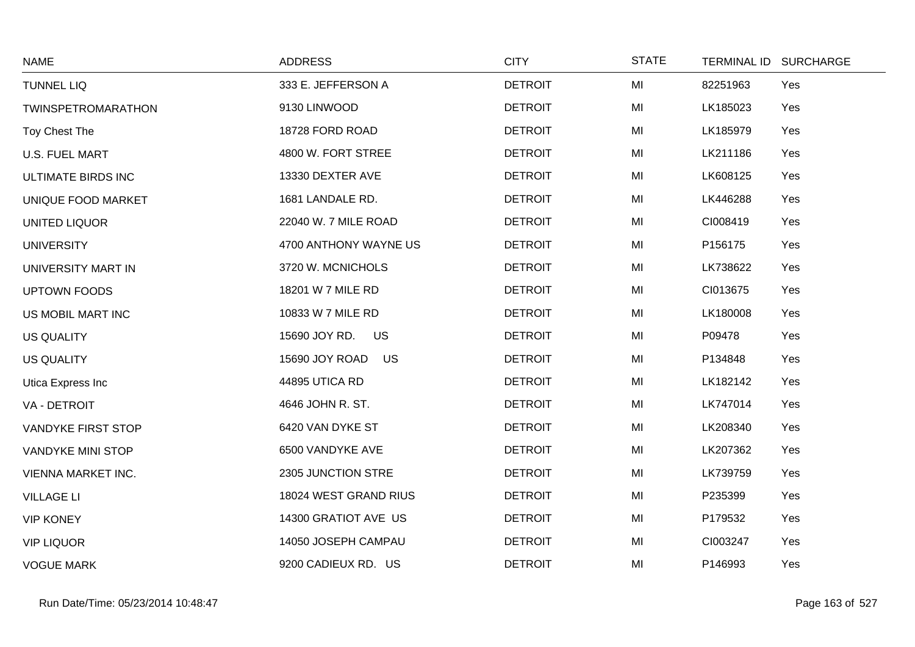| <b>NAME</b>              | <b>ADDRESS</b>             | <b>CITY</b>    | <b>STATE</b> | TERMINAL ID SURCHARGE |
|--------------------------|----------------------------|----------------|--------------|-----------------------|
| <b>TUNNEL LIQ</b>        | 333 E. JEFFERSON A         | <b>DETROIT</b> | MI           | Yes<br>82251963       |
| TWINSPETROMARATHON       | 9130 LINWOOD               | <b>DETROIT</b> | MI           | LK185023<br>Yes       |
| Toy Chest The            | 18728 FORD ROAD            | <b>DETROIT</b> | MI           | LK185979<br>Yes       |
| <b>U.S. FUEL MART</b>    | 4800 W. FORT STREE         | <b>DETROIT</b> | MI           | LK211186<br>Yes       |
| ULTIMATE BIRDS INC       | 13330 DEXTER AVE           | <b>DETROIT</b> | MI           | LK608125<br>Yes       |
| UNIQUE FOOD MARKET       | 1681 LANDALE RD.           | <b>DETROIT</b> | MI           | LK446288<br>Yes       |
| <b>UNITED LIQUOR</b>     | 22040 W. 7 MILE ROAD       | <b>DETROIT</b> | MI           | CI008419<br>Yes       |
| <b>UNIVERSITY</b>        | 4700 ANTHONY WAYNE US      | <b>DETROIT</b> | MI           | P156175<br>Yes        |
| UNIVERSITY MART IN       | 3720 W. MCNICHOLS          | <b>DETROIT</b> | MI           | LK738622<br>Yes       |
| <b>UPTOWN FOODS</b>      | 18201 W 7 MILE RD          | <b>DETROIT</b> | MI           | Yes<br>CI013675       |
| US MOBIL MART INC        | 10833 W 7 MILE RD          | <b>DETROIT</b> | MI           | Yes<br>LK180008       |
| <b>US QUALITY</b>        | 15690 JOY RD.<br><b>US</b> | <b>DETROIT</b> | MI           | P09478<br>Yes         |
| <b>US QUALITY</b>        | 15690 JOY ROAD<br>US       | <b>DETROIT</b> | MI           | P134848<br>Yes        |
| Utica Express Inc        | 44895 UTICA RD             | <b>DETROIT</b> | MI           | LK182142<br>Yes       |
| VA - DETROIT             | 4646 JOHN R. ST.           | <b>DETROIT</b> | MI           | LK747014<br>Yes       |
| VANDYKE FIRST STOP       | 6420 VAN DYKE ST           | <b>DETROIT</b> | MI           | LK208340<br>Yes       |
| <b>VANDYKE MINI STOP</b> | 6500 VANDYKE AVE           | <b>DETROIT</b> | MI           | LK207362<br>Yes       |
| VIENNA MARKET INC.       | 2305 JUNCTION STRE         | <b>DETROIT</b> | MI           | LK739759<br>Yes       |
| <b>VILLAGE LI</b>        | 18024 WEST GRAND RIUS      | <b>DETROIT</b> | MI           | P235399<br>Yes        |
| <b>VIP KONEY</b>         | 14300 GRATIOT AVE US       | <b>DETROIT</b> | MI           | P179532<br>Yes        |
| <b>VIP LIQUOR</b>        | 14050 JOSEPH CAMPAU        | <b>DETROIT</b> | MI           | CI003247<br>Yes       |
| <b>VOGUE MARK</b>        | 9200 CADIEUX RD. US        | <b>DETROIT</b> | MI           | P146993<br>Yes        |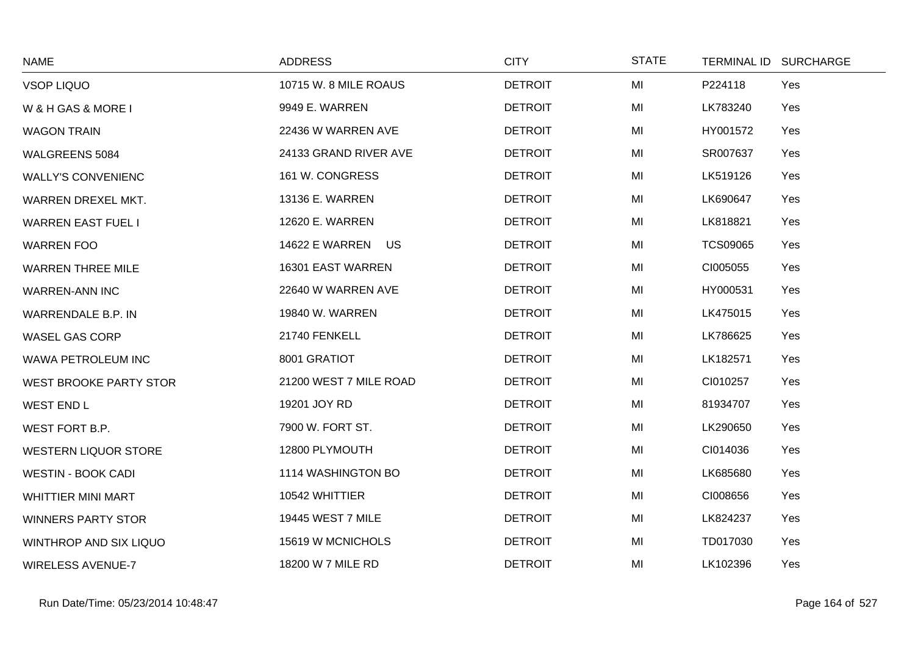| <b>NAME</b>                 | <b>ADDRESS</b>         | <b>CITY</b>    | <b>STATE</b> | TERMINAL ID SURCHARGE  |
|-----------------------------|------------------------|----------------|--------------|------------------------|
| <b>VSOP LIQUO</b>           | 10715 W. 8 MILE ROAUS  | <b>DETROIT</b> | MI           | P224118<br>Yes         |
| W & H GAS & MORE I          | 9949 E. WARREN         | <b>DETROIT</b> | MI           | LK783240<br>Yes        |
| <b>WAGON TRAIN</b>          | 22436 W WARREN AVE     | <b>DETROIT</b> | MI           | HY001572<br>Yes        |
| WALGREENS 5084              | 24133 GRAND RIVER AVE  | <b>DETROIT</b> | MI           | SR007637<br>Yes        |
| <b>WALLY'S CONVENIENC</b>   | 161 W. CONGRESS        | <b>DETROIT</b> | MI           | LK519126<br>Yes        |
| WARREN DREXEL MKT.          | 13136 E. WARREN        | <b>DETROIT</b> | MI           | LK690647<br>Yes        |
| <b>WARREN EAST FUEL I</b>   | 12620 E. WARREN        | <b>DETROIT</b> | MI           | LK818821<br>Yes        |
| <b>WARREN FOO</b>           | 14622 E WARREN US      | <b>DETROIT</b> | MI           | <b>TCS09065</b><br>Yes |
| <b>WARREN THREE MILE</b>    | 16301 EAST WARREN      | <b>DETROIT</b> | MI           | CI005055<br>Yes        |
| <b>WARREN-ANN INC</b>       | 22640 W WARREN AVE     | <b>DETROIT</b> | MI           | HY000531<br>Yes        |
| WARRENDALE B.P. IN          | 19840 W. WARREN        | <b>DETROIT</b> | MI           | LK475015<br>Yes        |
| <b>WASEL GAS CORP</b>       | 21740 FENKELL          | <b>DETROIT</b> | MI           | LK786625<br>Yes        |
| WAWA PETROLEUM INC          | 8001 GRATIOT           | <b>DETROIT</b> | MI           | LK182571<br>Yes        |
| WEST BROOKE PARTY STOR      | 21200 WEST 7 MILE ROAD | <b>DETROIT</b> | MI           | CI010257<br>Yes        |
| <b>WEST END L</b>           | 19201 JOY RD           | <b>DETROIT</b> | MI           | 81934707<br>Yes        |
| WEST FORT B.P.              | 7900 W. FORT ST.       | <b>DETROIT</b> | MI           | LK290650<br>Yes        |
| <b>WESTERN LIQUOR STORE</b> | 12800 PLYMOUTH         | <b>DETROIT</b> | MI           | CI014036<br>Yes        |
| <b>WESTIN - BOOK CADI</b>   | 1114 WASHINGTON BO     | <b>DETROIT</b> | MI           | LK685680<br>Yes        |
| <b>WHITTIER MINI MART</b>   | 10542 WHITTIER         | <b>DETROIT</b> | MI           | CI008656<br>Yes        |
| <b>WINNERS PARTY STOR</b>   | 19445 WEST 7 MILE      | <b>DETROIT</b> | MI           | LK824237<br>Yes        |
| WINTHROP AND SIX LIQUO      | 15619 W MCNICHOLS      | <b>DETROIT</b> | MI           | TD017030<br>Yes        |
| <b>WIRELESS AVENUE-7</b>    | 18200 W 7 MILE RD      | <b>DETROIT</b> | MI           | LK102396<br>Yes        |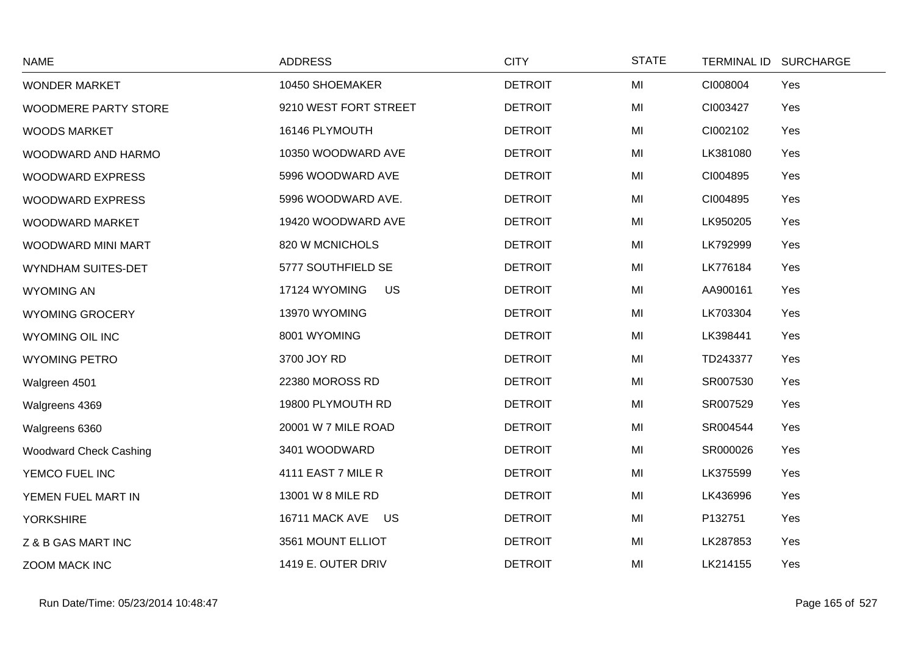| <b>NAME</b>                   | <b>ADDRESS</b>             | <b>CITY</b>    | <b>STATE</b> | <b>TERMINAL ID</b> | <b>SURCHARGE</b> |
|-------------------------------|----------------------------|----------------|--------------|--------------------|------------------|
| <b>WONDER MARKET</b>          | 10450 SHOEMAKER            | <b>DETROIT</b> | MI           | CI008004           | Yes              |
| <b>WOODMERE PARTY STORE</b>   | 9210 WEST FORT STREET      | <b>DETROIT</b> | MI           | CI003427           | Yes              |
| <b>WOODS MARKET</b>           | 16146 PLYMOUTH             | <b>DETROIT</b> | MI           | CI002102           | Yes              |
| WOODWARD AND HARMO            | 10350 WOODWARD AVE         | <b>DETROIT</b> | MI           | LK381080           | Yes              |
| <b>WOODWARD EXPRESS</b>       | 5996 WOODWARD AVE          | <b>DETROIT</b> | MI           | CI004895           | Yes              |
| <b>WOODWARD EXPRESS</b>       | 5996 WOODWARD AVE.         | <b>DETROIT</b> | MI           | CI004895           | Yes              |
| WOODWARD MARKET               | 19420 WOODWARD AVE         | <b>DETROIT</b> | MI           | LK950205           | Yes              |
| WOODWARD MINI MART            | 820 W MCNICHOLS            | <b>DETROIT</b> | MI           | LK792999           | Yes              |
| WYNDHAM SUITES-DET            | 5777 SOUTHFIELD SE         | <b>DETROIT</b> | MI           | LK776184           | Yes              |
| <b>WYOMING AN</b>             | 17124 WYOMING<br><b>US</b> | <b>DETROIT</b> | MI           | AA900161           | Yes              |
| <b>WYOMING GROCERY</b>        | 13970 WYOMING              | <b>DETROIT</b> | MI           | LK703304           | Yes              |
| <b>WYOMING OIL INC</b>        | 8001 WYOMING               | <b>DETROIT</b> | MI           | LK398441           | Yes              |
| <b>WYOMING PETRO</b>          | 3700 JOY RD                | <b>DETROIT</b> | MI           | TD243377           | Yes              |
| Walgreen 4501                 | 22380 MOROSS RD            | <b>DETROIT</b> | MI           | SR007530           | Yes              |
| Walgreens 4369                | 19800 PLYMOUTH RD          | <b>DETROIT</b> | MI           | SR007529           | Yes              |
| Walgreens 6360                | 20001 W 7 MILE ROAD        | <b>DETROIT</b> | MI           | SR004544           | Yes              |
| <b>Woodward Check Cashing</b> | 3401 WOODWARD              | <b>DETROIT</b> | MI           | SR000026           | Yes              |
| YEMCO FUEL INC                | 4111 EAST 7 MILE R         | <b>DETROIT</b> | MI           | LK375599           | Yes              |
| YEMEN FUEL MART IN            | 13001 W 8 MILE RD          | <b>DETROIT</b> | MI           | LK436996           | Yes              |
| <b>YORKSHIRE</b>              | 16711 MACK AVE US          | <b>DETROIT</b> | MI           | P132751            | Yes              |
| Z & B GAS MART INC            | 3561 MOUNT ELLIOT          | <b>DETROIT</b> | MI           | LK287853           | Yes              |
| ZOOM MACK INC                 | 1419 E. OUTER DRIV         | <b>DETROIT</b> | MI           | LK214155           | Yes              |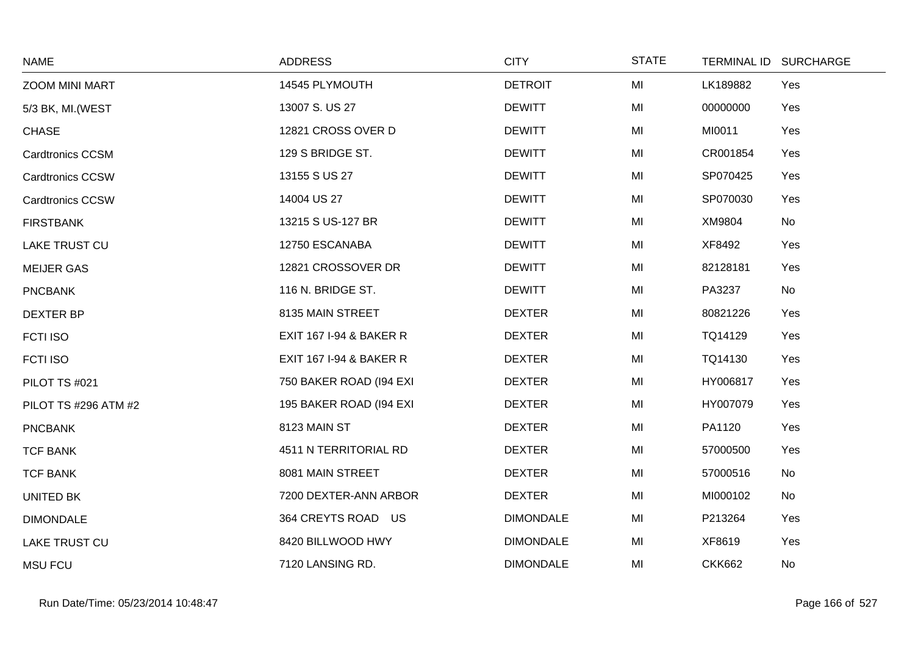| <b>NAME</b>             | <b>ADDRESS</b>                     | <b>CITY</b>      | <b>STATE</b> |               | TERMINAL ID SURCHARGE |
|-------------------------|------------------------------------|------------------|--------------|---------------|-----------------------|
| <b>ZOOM MINI MART</b>   | 14545 PLYMOUTH                     | <b>DETROIT</b>   | MI           | LK189882      | Yes                   |
| 5/3 BK, MI. (WEST       | 13007 S. US 27                     | <b>DEWITT</b>    | MI           | 00000000      | Yes                   |
| <b>CHASE</b>            | 12821 CROSS OVER D                 | <b>DEWITT</b>    | MI           | MI0011        | Yes                   |
| <b>Cardtronics CCSM</b> | 129 S BRIDGE ST.                   | <b>DEWITT</b>    | MI           | CR001854      | Yes                   |
| <b>Cardtronics CCSW</b> | 13155 S US 27                      | <b>DEWITT</b>    | MI           | SP070425      | Yes                   |
| <b>Cardtronics CCSW</b> | 14004 US 27                        | <b>DEWITT</b>    | MI           | SP070030      | Yes                   |
| <b>FIRSTBANK</b>        | 13215 S US-127 BR                  | <b>DEWITT</b>    | MI           | XM9804        | No                    |
| <b>LAKE TRUST CU</b>    | 12750 ESCANABA                     | <b>DEWITT</b>    | MI           | XF8492        | Yes                   |
| <b>MEIJER GAS</b>       | 12821 CROSSOVER DR                 | <b>DEWITT</b>    | MI           | 82128181      | Yes                   |
| <b>PNCBANK</b>          | 116 N. BRIDGE ST.                  | <b>DEWITT</b>    | MI           | PA3237        | No                    |
| <b>DEXTER BP</b>        | 8135 MAIN STREET                   | <b>DEXTER</b>    | MI           | 80821226      | Yes                   |
| FCTI ISO                | <b>EXIT 167 I-94 &amp; BAKER R</b> | <b>DEXTER</b>    | MI           | TQ14129       | Yes                   |
| FCTI ISO                | <b>EXIT 167 I-94 &amp; BAKER R</b> | <b>DEXTER</b>    | MI           | TQ14130       | Yes                   |
| PILOT TS #021           | 750 BAKER ROAD (194 EXI            | <b>DEXTER</b>    | MI           | HY006817      | Yes                   |
| PILOT TS #296 ATM #2    | 195 BAKER ROAD (194 EXI            | <b>DEXTER</b>    | MI           | HY007079      | Yes                   |
| <b>PNCBANK</b>          | 8123 MAIN ST                       | <b>DEXTER</b>    | MI           | PA1120        | Yes                   |
| <b>TCF BANK</b>         | 4511 N TERRITORIAL RD              | <b>DEXTER</b>    | MI           | 57000500      | Yes                   |
| <b>TCF BANK</b>         | 8081 MAIN STREET                   | <b>DEXTER</b>    | MI           | 57000516      | No                    |
| UNITED BK               | 7200 DEXTER-ANN ARBOR              | <b>DEXTER</b>    | MI           | MI000102      | No                    |
| <b>DIMONDALE</b>        | 364 CREYTS ROAD US                 | <b>DIMONDALE</b> | MI           | P213264       | Yes                   |
| LAKE TRUST CU           | 8420 BILLWOOD HWY                  | <b>DIMONDALE</b> | MI           | XF8619        | Yes                   |
| <b>MSU FCU</b>          | 7120 LANSING RD.                   | <b>DIMONDALE</b> | MI           | <b>CKK662</b> | No                    |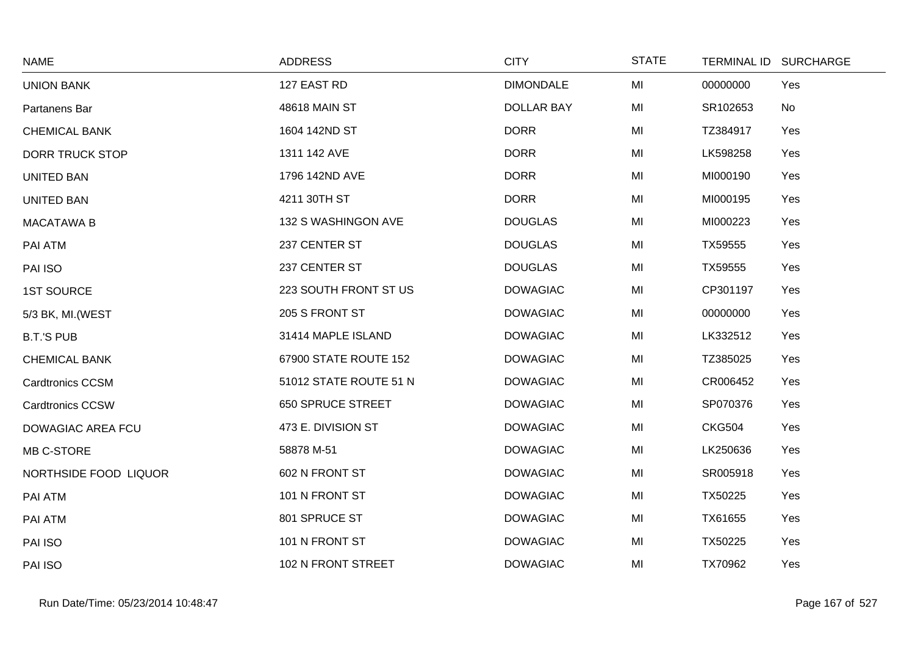| <b>NAME</b>              | <b>ADDRESS</b>           | <b>CITY</b>       | <b>STATE</b> | <b>TERMINAL ID</b> | <b>SURCHARGE</b> |
|--------------------------|--------------------------|-------------------|--------------|--------------------|------------------|
| <b>UNION BANK</b>        | 127 EAST RD              | <b>DIMONDALE</b>  | MI           | 00000000           | Yes              |
| Partanens Bar            | 48618 MAIN ST            | <b>DOLLAR BAY</b> | MI           | SR102653           | No               |
| <b>CHEMICAL BANK</b>     | 1604 142ND ST            | <b>DORR</b>       | MI           | TZ384917           | Yes              |
| <b>DORR TRUCK STOP</b>   | 1311 142 AVE             | <b>DORR</b>       | MI           | LK598258           | Yes              |
| <b>UNITED BAN</b>        | 1796 142ND AVE           | <b>DORR</b>       | MI           | MI000190           | Yes              |
| <b>UNITED BAN</b>        | 4211 30TH ST             | <b>DORR</b>       | MI           | MI000195           | Yes              |
| <b>MACATAWA B</b>        | 132 S WASHINGON AVE      | <b>DOUGLAS</b>    | MI           | MI000223           | Yes              |
| PAI ATM                  | 237 CENTER ST            | <b>DOUGLAS</b>    | MI           | TX59555            | Yes              |
| PAI ISO                  | 237 CENTER ST            | <b>DOUGLAS</b>    | MI           | TX59555            | Yes              |
| <b>1ST SOURCE</b>        | 223 SOUTH FRONT ST US    | <b>DOWAGIAC</b>   | MI           | CP301197           | Yes              |
| 5/3 BK, MI. (WEST        | 205 S FRONT ST           | <b>DOWAGIAC</b>   | MI           | 00000000           | Yes              |
| <b>B.T.'S PUB</b>        | 31414 MAPLE ISLAND       | <b>DOWAGIAC</b>   | MI           | LK332512           | Yes              |
| <b>CHEMICAL BANK</b>     | 67900 STATE ROUTE 152    | <b>DOWAGIAC</b>   | MI           | TZ385025           | Yes              |
| <b>Cardtronics CCSM</b>  | 51012 STATE ROUTE 51 N   | <b>DOWAGIAC</b>   | MI           | CR006452           | Yes              |
| <b>Cardtronics CCSW</b>  | <b>650 SPRUCE STREET</b> | <b>DOWAGIAC</b>   | MI           | SP070376           | Yes              |
| <b>DOWAGIAC AREA FCU</b> | 473 E. DIVISION ST       | <b>DOWAGIAC</b>   | MI           | <b>CKG504</b>      | Yes              |
| MB C-STORE               | 58878 M-51               | <b>DOWAGIAC</b>   | MI           | LK250636           | Yes              |
| NORTHSIDE FOOD LIQUOR    | 602 N FRONT ST           | <b>DOWAGIAC</b>   | MI           | SR005918           | Yes              |
| PAI ATM                  | 101 N FRONT ST           | <b>DOWAGIAC</b>   | MI           | TX50225            | Yes              |
| PAI ATM                  | 801 SPRUCE ST            | <b>DOWAGIAC</b>   | MI           | TX61655            | Yes              |
| PAI ISO                  | 101 N FRONT ST           | <b>DOWAGIAC</b>   | MI           | TX50225            | Yes              |
| PAI ISO                  | 102 N FRONT STREET       | <b>DOWAGIAC</b>   | MI           | TX70962            | Yes              |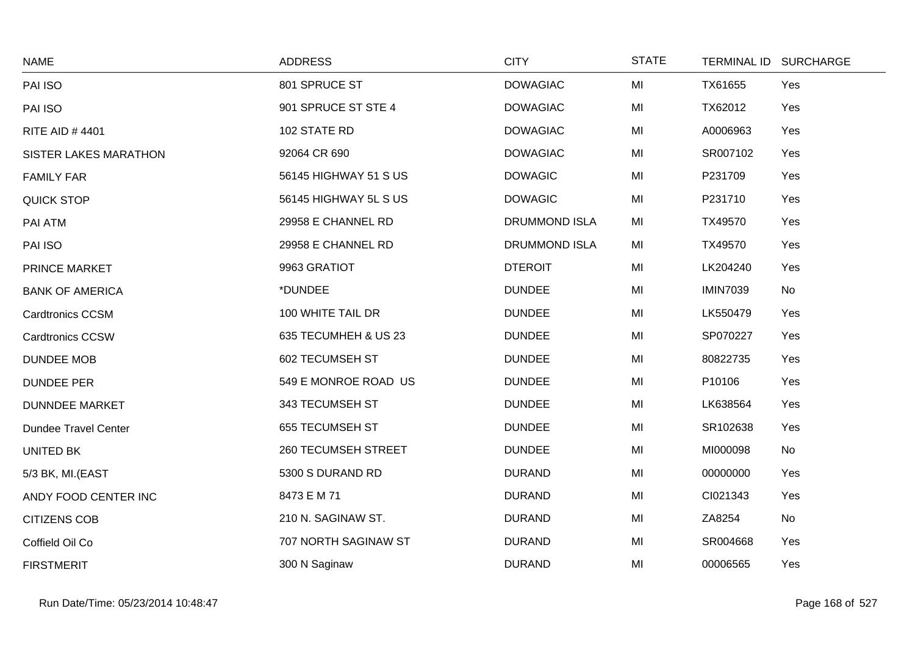| <b>NAME</b>                  | <b>ADDRESS</b>             | <b>CITY</b>          | <b>STATE</b> |                 | TERMINAL ID SURCHARGE |
|------------------------------|----------------------------|----------------------|--------------|-----------------|-----------------------|
| PAI ISO                      | 801 SPRUCE ST              | <b>DOWAGIAC</b>      | MI           | TX61655         | Yes                   |
| PAI ISO                      | 901 SPRUCE ST STE 4        | <b>DOWAGIAC</b>      | MI           | TX62012         | Yes                   |
| <b>RITE AID #4401</b>        | 102 STATE RD               | <b>DOWAGIAC</b>      | MI           | A0006963        | Yes                   |
| <b>SISTER LAKES MARATHON</b> | 92064 CR 690               | <b>DOWAGIAC</b>      | MI           | SR007102        | Yes                   |
| <b>FAMILY FAR</b>            | 56145 HIGHWAY 51 S US      | <b>DOWAGIC</b>       | MI           | P231709         | Yes                   |
| QUICK STOP                   | 56145 HIGHWAY 5L S US      | <b>DOWAGIC</b>       | MI           | P231710         | Yes                   |
| PAI ATM                      | 29958 E CHANNEL RD         | <b>DRUMMOND ISLA</b> | MI           | TX49570         | Yes                   |
| PAI ISO                      | 29958 E CHANNEL RD         | <b>DRUMMOND ISLA</b> | MI           | TX49570         | Yes                   |
| PRINCE MARKET                | 9963 GRATIOT               | <b>DTEROIT</b>       | MI           | LK204240        | Yes                   |
| <b>BANK OF AMERICA</b>       | *DUNDEE                    | <b>DUNDEE</b>        | MI           | <b>IMIN7039</b> | No                    |
| Cardtronics CCSM             | 100 WHITE TAIL DR          | <b>DUNDEE</b>        | MI           | LK550479        | Yes                   |
| <b>Cardtronics CCSW</b>      | 635 TECUMHEH & US 23       | <b>DUNDEE</b>        | MI           | SP070227        | Yes                   |
| <b>DUNDEE MOB</b>            | <b>602 TECUMSEH ST</b>     | <b>DUNDEE</b>        | MI           | 80822735        | Yes                   |
| <b>DUNDEE PER</b>            | 549 E MONROE ROAD US       | <b>DUNDEE</b>        | MI           | P10106          | Yes                   |
| <b>DUNNDEE MARKET</b>        | 343 TECUMSEH ST            | <b>DUNDEE</b>        | MI           | LK638564        | Yes                   |
| <b>Dundee Travel Center</b>  | 655 TECUMSEH ST            | <b>DUNDEE</b>        | MI           | SR102638        | Yes                   |
| UNITED BK                    | <b>260 TECUMSEH STREET</b> | <b>DUNDEE</b>        | MI           | MI000098        | No                    |
| 5/3 BK, MI.(EAST             | 5300 S DURAND RD           | <b>DURAND</b>        | MI           | 00000000        | Yes                   |
| ANDY FOOD CENTER INC         | 8473 E M 71                | <b>DURAND</b>        | MI           | CI021343        | Yes                   |
| <b>CITIZENS COB</b>          | 210 N. SAGINAW ST.         | <b>DURAND</b>        | MI           | ZA8254          | No                    |
| Coffield Oil Co              | 707 NORTH SAGINAW ST       | <b>DURAND</b>        | MI           | SR004668        | Yes                   |
| <b>FIRSTMERIT</b>            | 300 N Saginaw              | <b>DURAND</b>        | MI           | 00006565        | Yes                   |

 $\sim$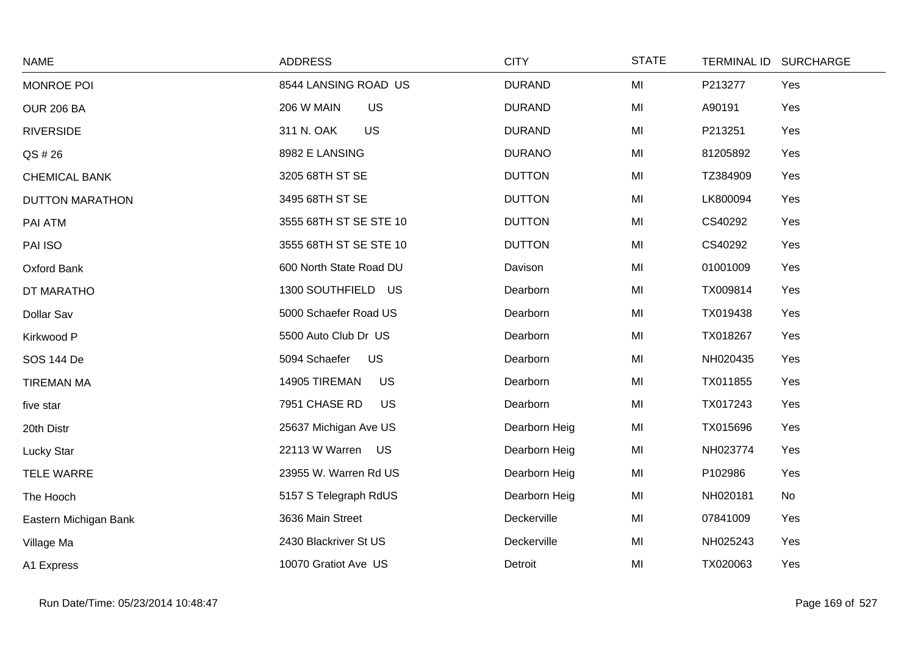| <b>NAME</b>            | <b>ADDRESS</b>             | <b>CITY</b>   | <b>STATE</b> | TERMINAL ID SURCHARGE |     |
|------------------------|----------------------------|---------------|--------------|-----------------------|-----|
| MONROE POI             | 8544 LANSING ROAD US       | <b>DURAND</b> | MI           | P213277               | Yes |
| <b>OUR 206 BA</b>      | 206 W MAIN<br><b>US</b>    | <b>DURAND</b> | MI           | A90191                | Yes |
| <b>RIVERSIDE</b>       | 311 N. OAK<br><b>US</b>    | <b>DURAND</b> | MI           | P213251               | Yes |
| QS # 26                | 8982 E LANSING             | <b>DURANO</b> | MI           | 81205892              | Yes |
| <b>CHEMICAL BANK</b>   | 3205 68TH ST SE            | <b>DUTTON</b> | MI           | TZ384909              | Yes |
| <b>DUTTON MARATHON</b> | 3495 68TH ST SE            | <b>DUTTON</b> | MI           | LK800094              | Yes |
| PAI ATM                | 3555 68TH ST SE STE 10     | <b>DUTTON</b> | MI           | CS40292               | Yes |
| PAI ISO                | 3555 68TH ST SE STE 10     | <b>DUTTON</b> | MI           | CS40292               | Yes |
| Oxford Bank            | 600 North State Road DU    | Davison       | MI           | 01001009              | Yes |
| DT MARATHO             | 1300 SOUTHFIELD US         | Dearborn      | MI           | TX009814              | Yes |
| Dollar Sav             | 5000 Schaefer Road US      | Dearborn      | MI           | TX019438              | Yes |
| Kirkwood P             | 5500 Auto Club Dr US       | Dearborn      | MI           | TX018267              | Yes |
| <b>SOS 144 De</b>      | 5094 Schaefer<br>US        | Dearborn      | MI           | NH020435              | Yes |
| <b>TIREMAN MA</b>      | 14905 TIREMAN<br>US        | Dearborn      | MI           | TX011855              | Yes |
| five star              | 7951 CHASE RD<br><b>US</b> | Dearborn      | MI           | TX017243              | Yes |
| 20th Distr             | 25637 Michigan Ave US      | Dearborn Heig | MI           | TX015696              | Yes |
| <b>Lucky Star</b>      | 22113 W Warren US          | Dearborn Heig | MI           | NH023774              | Yes |
| <b>TELE WARRE</b>      | 23955 W. Warren Rd US      | Dearborn Heig | MI           | P102986               | Yes |
| The Hooch              | 5157 S Telegraph RdUS      | Dearborn Heig | MI           | NH020181              | No  |
| Eastern Michigan Bank  | 3636 Main Street           | Deckerville   | MI           | 07841009              | Yes |
| Village Ma             | 2430 Blackriver St US      | Deckerville   | MI           | NH025243              | Yes |
| A1 Express             | 10070 Gratiot Ave US       | Detroit       | MI           | TX020063              | Yes |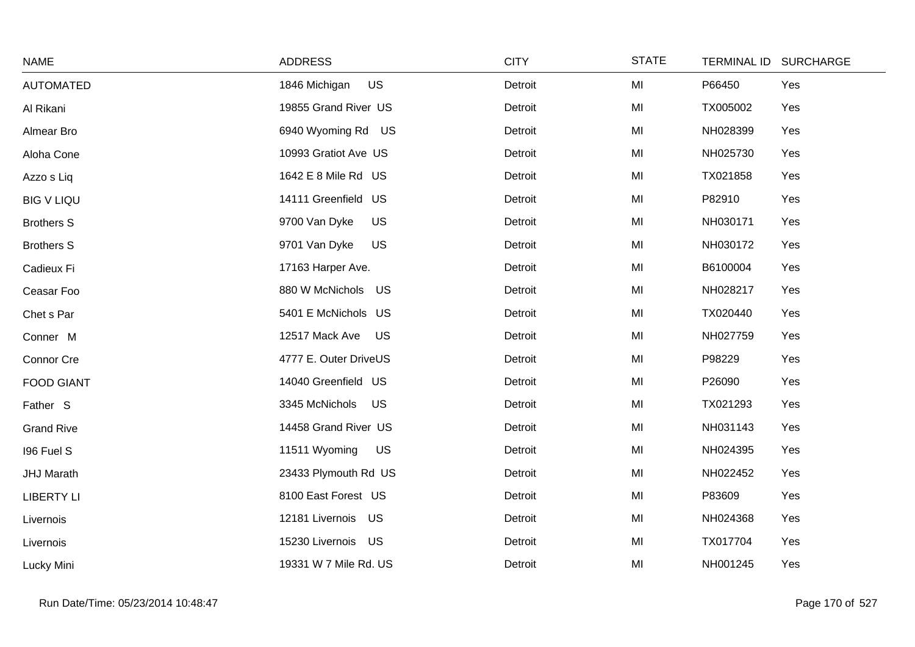| <b>NAME</b>       | <b>ADDRESS</b>              | <b>CITY</b> | <b>STATE</b> | <b>TERMINAL ID</b> | <b>SURCHARGE</b> |
|-------------------|-----------------------------|-------------|--------------|--------------------|------------------|
| <b>AUTOMATED</b>  | US<br>1846 Michigan         | Detroit     | MI           | P66450             | Yes              |
| Al Rikani         | 19855 Grand River US        | Detroit     | MI           | TX005002           | Yes              |
| Almear Bro        | 6940 Wyoming Rd US          | Detroit     | MI           | NH028399           | Yes              |
| Aloha Cone        | 10993 Gratiot Ave US        | Detroit     | MI           | NH025730           | Yes              |
| Azzo s Liq        | 1642 E 8 Mile Rd US         | Detroit     | MI           | TX021858           | Yes              |
| <b>BIG V LIQU</b> | 14111 Greenfield US         | Detroit     | MI           | P82910             | Yes              |
| <b>Brothers S</b> | 9700 Van Dyke<br><b>US</b>  | Detroit     | MI           | NH030171           | Yes              |
| <b>Brothers S</b> | 9701 Van Dyke<br><b>US</b>  | Detroit     | MI           | NH030172           | Yes              |
| Cadieux Fi        | 17163 Harper Ave.           | Detroit     | MI           | B6100004           | Yes              |
| Ceasar Foo        | 880 W McNichols US          | Detroit     | MI           | NH028217           | Yes              |
| Chet s Par        | 5401 E McNichols US         | Detroit     | MI           | TX020440           | Yes              |
| Conner M          | 12517 Mack Ave<br>US        | Detroit     | MI           | NH027759           | Yes              |
| Connor Cre        | 4777 E. Outer DriveUS       | Detroit     | MI           | P98229             | Yes              |
| <b>FOOD GIANT</b> | 14040 Greenfield US         | Detroit     | MI           | P26090             | Yes              |
| Father S          | 3345 McNichols<br><b>US</b> | Detroit     | MI           | TX021293           | Yes              |
| <b>Grand Rive</b> | 14458 Grand River US        | Detroit     | MI           | NH031143           | Yes              |
| 196 Fuel S        | 11511 Wyoming<br>US         | Detroit     | MI           | NH024395           | Yes              |
| <b>JHJ Marath</b> | 23433 Plymouth Rd US        | Detroit     | MI           | NH022452           | Yes              |
| <b>LIBERTY LI</b> | 8100 East Forest US         | Detroit     | MI           | P83609             | Yes              |
| Livernois         | 12181 Livernois<br>US       | Detroit     | MI           | NH024368           | Yes              |
| Livernois         | 15230 Livernois US          | Detroit     | MI           | TX017704           | Yes              |
| Lucky Mini        | 19331 W 7 Mile Rd. US       | Detroit     | MI           | NH001245           | Yes              |

 $\sim$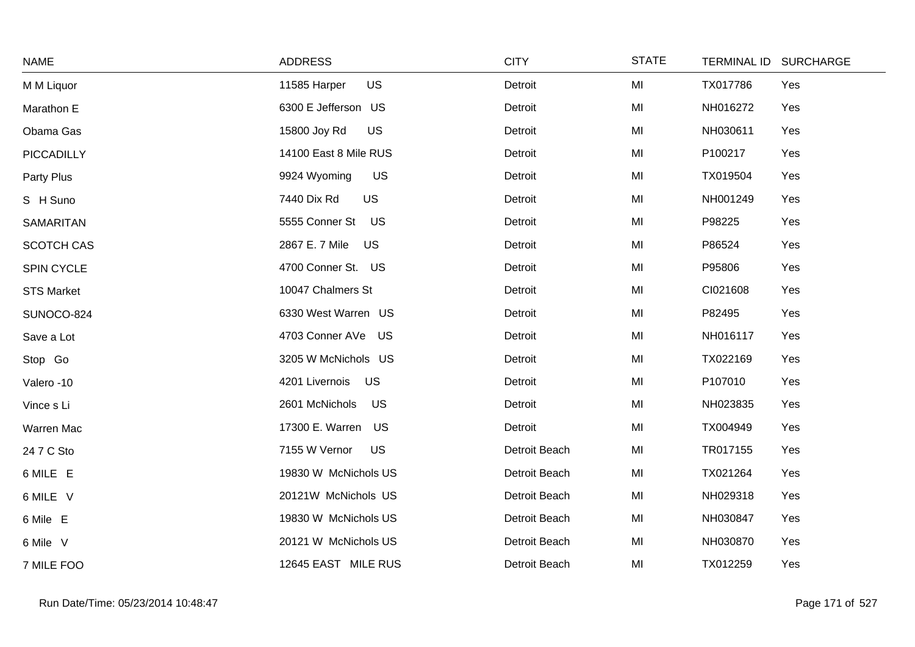| <b>NAME</b>       | <b>ADDRESS</b>              | <b>CITY</b>   | <b>STATE</b> | TERMINAL ID SURCHARGE |
|-------------------|-----------------------------|---------------|--------------|-----------------------|
| M M Liquor        | <b>US</b><br>11585 Harper   | Detroit       | MI           | TX017786<br>Yes       |
| Marathon E        | 6300 E Jefferson US         | Detroit       | MI           | NH016272<br>Yes       |
| Obama Gas         | 15800 Joy Rd<br><b>US</b>   | Detroit       | MI           | NH030611<br>Yes       |
| PICCADILLY        | 14100 East 8 Mile RUS       | Detroit       | MI           | P100217<br>Yes        |
| Party Plus        | 9924 Wyoming<br><b>US</b>   | Detroit       | MI           | TX019504<br>Yes       |
| S H Suno          | <b>US</b><br>7440 Dix Rd    | Detroit       | MI           | NH001249<br>Yes       |
| <b>SAMARITAN</b>  | 5555 Conner St US           | Detroit       | MI           | P98225<br>Yes         |
| <b>SCOTCH CAS</b> | 2867 E. 7 Mile<br><b>US</b> | Detroit       | MI           | P86524<br>Yes         |
| SPIN CYCLE        | 4700 Conner St. US          | Detroit       | MI           | P95806<br>Yes         |
| <b>STS Market</b> | 10047 Chalmers St           | Detroit       | MI           | CI021608<br>Yes       |
| SUNOCO-824        | 6330 West Warren US         | Detroit       | MI           | P82495<br>Yes         |
| Save a Lot        | 4703 Conner AVe<br>US       | Detroit       | MI           | NH016117<br>Yes       |
| Stop Go           | 3205 W McNichols US         | Detroit       | MI           | TX022169<br>Yes       |
| Valero -10        | US<br>4201 Livernois        | Detroit       | MI           | P107010<br>Yes        |
| Vince s Li        | 2601 McNichols<br><b>US</b> | Detroit       | MI           | NH023835<br>Yes       |
| Warren Mac        | 17300 E. Warren US          | Detroit       | MI           | TX004949<br>Yes       |
| 24 7 C Sto        | 7155 W Vernor<br><b>US</b>  | Detroit Beach | MI           | TR017155<br>Yes       |
| 6 MILE E          | 19830 W McNichols US        | Detroit Beach | MI           | TX021264<br>Yes       |
| 6 MILE V          | 20121W McNichols US         | Detroit Beach | MI           | NH029318<br>Yes       |
| 6 Mile E          | 19830 W McNichols US        | Detroit Beach | MI           | NH030847<br>Yes       |
| 6 Mile V          | 20121 W McNichols US        | Detroit Beach | MI           | NH030870<br>Yes       |
| 7 MILE FOO        | 12645 EAST MILE RUS         | Detroit Beach | MI           | TX012259<br>Yes       |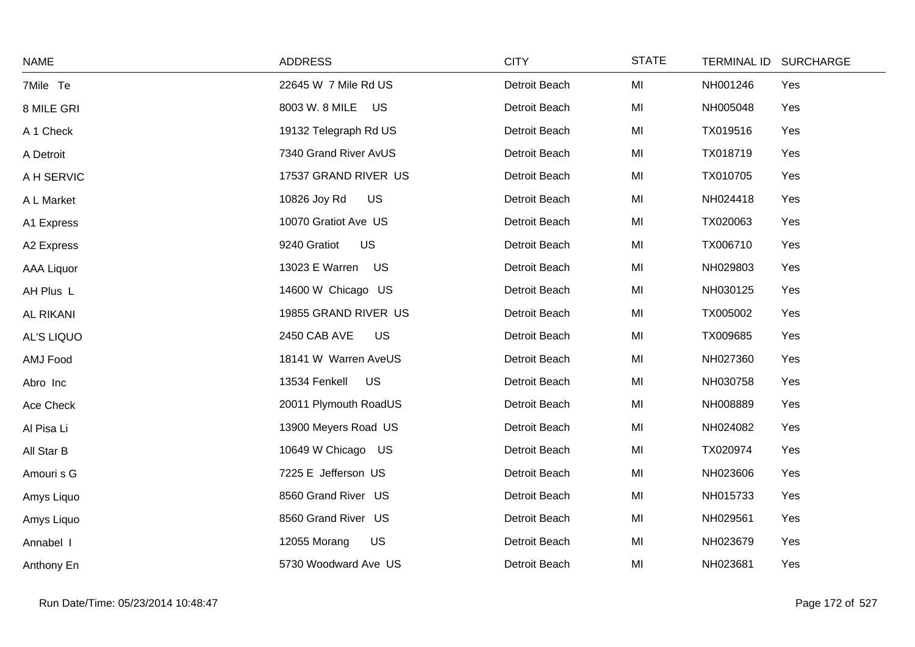| <b>NAME</b>       | <b>ADDRESS</b>             | <b>CITY</b>   | <b>STATE</b> | TERMINAL ID SURCHARGE |
|-------------------|----------------------------|---------------|--------------|-----------------------|
| 7Mile Te          | 22645 W 7 Mile Rd US       | Detroit Beach | MI           | NH001246<br>Yes       |
| 8 MILE GRI        | 8003 W. 8 MILE US          | Detroit Beach | MI           | NH005048<br>Yes       |
| A 1 Check         | 19132 Telegraph Rd US      | Detroit Beach | MI           | TX019516<br>Yes       |
| A Detroit         | 7340 Grand River AvUS      | Detroit Beach | MI           | TX018719<br>Yes       |
| A H SERVIC        | 17537 GRAND RIVER US       | Detroit Beach | MI           | TX010705<br>Yes       |
| A L Market        | US<br>10826 Joy Rd         | Detroit Beach | MI           | NH024418<br>Yes       |
| A1 Express        | 10070 Gratiot Ave US       | Detroit Beach | MI           | TX020063<br>Yes       |
| A2 Express        | 9240 Gratiot<br>US         | Detroit Beach | MI           | TX006710<br>Yes       |
| <b>AAA Liquor</b> | 13023 E Warren US          | Detroit Beach | MI           | NH029803<br>Yes       |
| AH Plus L         | 14600 W Chicago US         | Detroit Beach | MI           | NH030125<br>Yes       |
| <b>AL RIKANI</b>  | 19855 GRAND RIVER US       | Detroit Beach | MI           | TX005002<br>Yes       |
| <b>AL'S LIQUO</b> | 2450 CAB AVE<br><b>US</b>  | Detroit Beach | MI           | TX009685<br>Yes       |
| AMJ Food          | 18141 W Warren AveUS       | Detroit Beach | MI           | NH027360<br>Yes       |
| Abro Inc          | <b>US</b><br>13534 Fenkell | Detroit Beach | MI           | NH030758<br>Yes       |
| Ace Check         | 20011 Plymouth RoadUS      | Detroit Beach | MI           | Yes<br>NH008889       |
| Al Pisa Li        | 13900 Meyers Road US       | Detroit Beach | MI           | NH024082<br>Yes       |
| All Star B        | 10649 W Chicago US         | Detroit Beach | MI           | Yes<br>TX020974       |
| Amouri s G        | 7225 E Jefferson US        | Detroit Beach | MI           | NH023606<br>Yes       |
| Amys Liquo        | 8560 Grand River US        | Detroit Beach | MI           | NH015733<br>Yes       |
| Amys Liquo        | 8560 Grand River US        | Detroit Beach | MI           | NH029561<br>Yes       |
| Annabel I         | US<br>12055 Morang         | Detroit Beach | MI           | NH023679<br>Yes       |
| Anthony En        | 5730 Woodward Ave US       | Detroit Beach | MI           | NH023681<br>Yes       |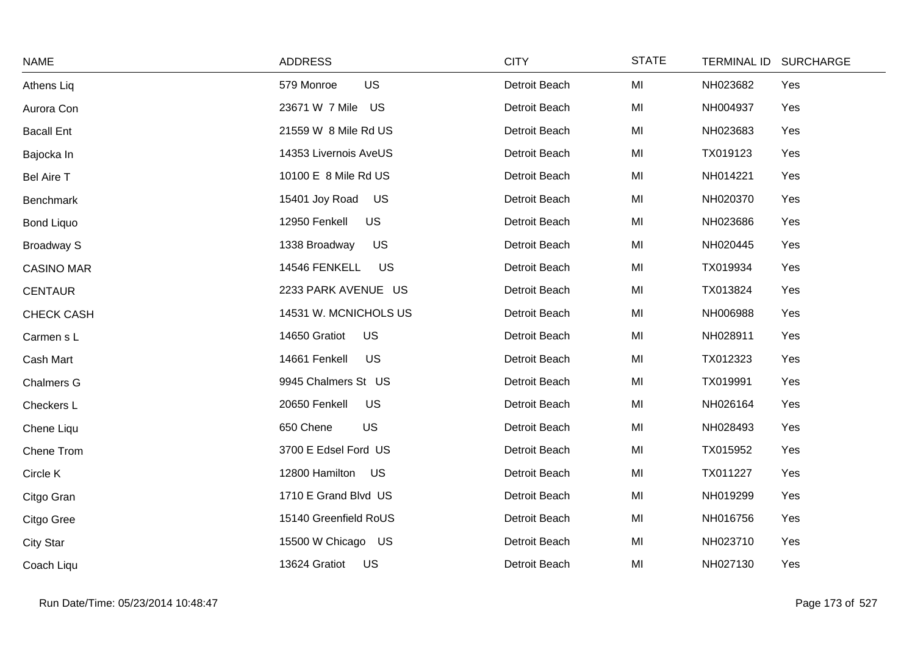| <b>NAME</b>       | <b>ADDRESS</b>             | <b>CITY</b>   | <b>STATE</b> | TERMINAL ID SURCHARGE |
|-------------------|----------------------------|---------------|--------------|-----------------------|
| Athens Liq        | <b>US</b><br>579 Monroe    | Detroit Beach | MI           | NH023682<br>Yes       |
| Aurora Con        | 23671 W 7 Mile US          | Detroit Beach | MI           | NH004937<br>Yes       |
| <b>Bacall Ent</b> | 21559 W 8 Mile Rd US       | Detroit Beach | MI           | NH023683<br>Yes       |
| Bajocka In        | 14353 Livernois AveUS      | Detroit Beach | MI           | TX019123<br>Yes       |
| <b>Bel Aire T</b> | 10100 E 8 Mile Rd US       | Detroit Beach | MI           | NH014221<br>Yes       |
| <b>Benchmark</b>  | 15401 Joy Road<br>US       | Detroit Beach | MI           | NH020370<br>Yes       |
| <b>Bond Liquo</b> | 12950 Fenkell<br>US        | Detroit Beach | MI           | NH023686<br>Yes       |
| <b>Broadway S</b> | 1338 Broadway<br><b>US</b> | Detroit Beach | MI           | NH020445<br>Yes       |
| <b>CASINO MAR</b> | <b>US</b><br>14546 FENKELL | Detroit Beach | MI           | TX019934<br>Yes       |
| <b>CENTAUR</b>    | 2233 PARK AVENUE US        | Detroit Beach | MI           | TX013824<br>Yes       |
| CHECK CASH        | 14531 W. MCNICHOLS US      | Detroit Beach | MI           | NH006988<br>Yes       |
| Carmen s L        | 14650 Gratiot<br><b>US</b> | Detroit Beach | MI           | NH028911<br>Yes       |
| Cash Mart         | US<br>14661 Fenkell        | Detroit Beach | MI           | TX012323<br>Yes       |
| <b>Chalmers G</b> | 9945 Chalmers St US        | Detroit Beach | MI           | TX019991<br>Yes       |
| Checkers L        | 20650 Fenkell<br><b>US</b> | Detroit Beach | MI           | NH026164<br>Yes       |
| Chene Liqu        | US<br>650 Chene            | Detroit Beach | MI           | NH028493<br>Yes       |
| Chene Trom        | 3700 E Edsel Ford US       | Detroit Beach | MI           | TX015952<br>Yes       |
| Circle K          | 12800 Hamilton US          | Detroit Beach | MI           | TX011227<br>Yes       |
| Citgo Gran        | 1710 E Grand Blvd US       | Detroit Beach | MI           | NH019299<br>Yes       |
| Citgo Gree        | 15140 Greenfield RoUS      | Detroit Beach | MI           | NH016756<br>Yes       |
| <b>City Star</b>  | 15500 W Chicago US         | Detroit Beach | MI           | NH023710<br>Yes       |
| Coach Liqu        | 13624 Gratiot<br>US        | Detroit Beach | MI           | NH027130<br>Yes       |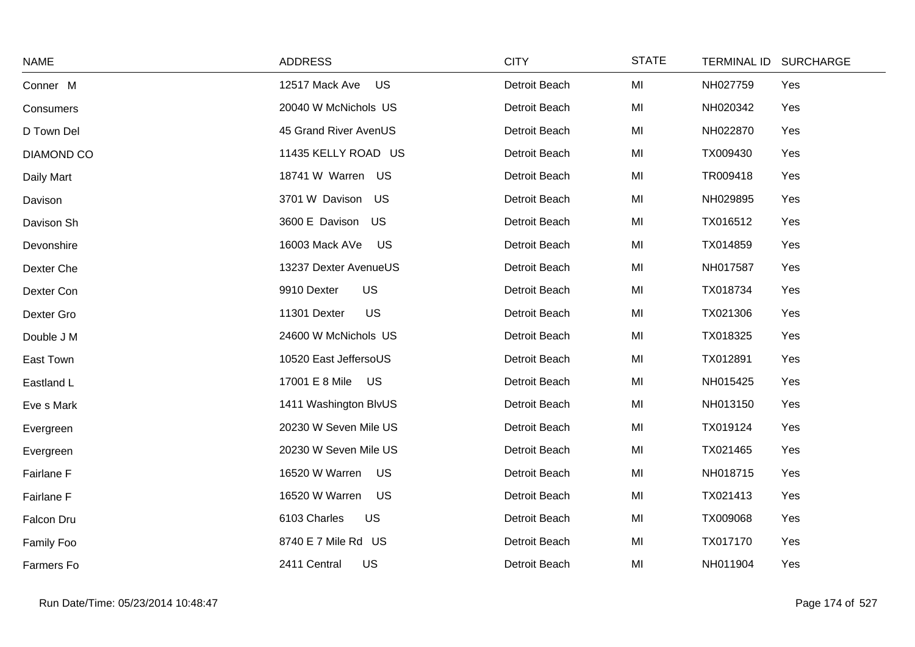| <b>NAME</b>       | <b>ADDRESS</b>              | <b>CITY</b>   | <b>STATE</b> | TERMINAL ID SURCHARGE |
|-------------------|-----------------------------|---------------|--------------|-----------------------|
| Conner M          | 12517 Mack Ave<br>US        | Detroit Beach | MI           | NH027759<br>Yes       |
| Consumers         | 20040 W McNichols US        | Detroit Beach | MI           | NH020342<br>Yes       |
| D Town Del        | 45 Grand River AvenUS       | Detroit Beach | MI           | NH022870<br>Yes       |
| <b>DIAMOND CO</b> | 11435 KELLY ROAD US         | Detroit Beach | MI           | TX009430<br>Yes       |
| Daily Mart        | 18741 W Warren US           | Detroit Beach | MI           | TR009418<br>Yes       |
| Davison           | 3701 W Davison<br>US        | Detroit Beach | MI           | NH029895<br>Yes       |
| Davison Sh        | 3600 E Davison US           | Detroit Beach | MI           | TX016512<br>Yes       |
| Devonshire        | 16003 Mack AVe<br>US        | Detroit Beach | MI           | TX014859<br>Yes       |
| Dexter Che        | 13237 Dexter AvenueUS       | Detroit Beach | MI           | NH017587<br>Yes       |
| Dexter Con        | <b>US</b><br>9910 Dexter    | Detroit Beach | MI           | TX018734<br>Yes       |
| Dexter Gro        | <b>US</b><br>11301 Dexter   | Detroit Beach | MI           | TX021306<br>Yes       |
| Double J M        | 24600 W McNichols US        | Detroit Beach | MI           | TX018325<br>Yes       |
| East Town         | 10520 East JeffersoUS       | Detroit Beach | MI           | TX012891<br>Yes       |
| Eastland L        | 17001 E 8 Mile US           | Detroit Beach | MI           | NH015425<br>Yes       |
| Eve s Mark        | 1411 Washington BlvUS       | Detroit Beach | MI           | NH013150<br>Yes       |
| Evergreen         | 20230 W Seven Mile US       | Detroit Beach | MI           | TX019124<br>Yes       |
| Evergreen         | 20230 W Seven Mile US       | Detroit Beach | MI           | TX021465<br>Yes       |
| Fairlane F        | 16520 W Warren<br>US        | Detroit Beach | MI           | NH018715<br>Yes       |
| Fairlane F        | 16520 W Warren<br><b>US</b> | Detroit Beach | MI           | TX021413<br>Yes       |
| Falcon Dru        | 6103 Charles<br><b>US</b>   | Detroit Beach | MI           | TX009068<br>Yes       |
| Family Foo        | 8740 E 7 Mile Rd US         | Detroit Beach | MI           | TX017170<br>Yes       |
| Farmers Fo        | 2411 Central<br>US          | Detroit Beach | MI           | NH011904<br>Yes       |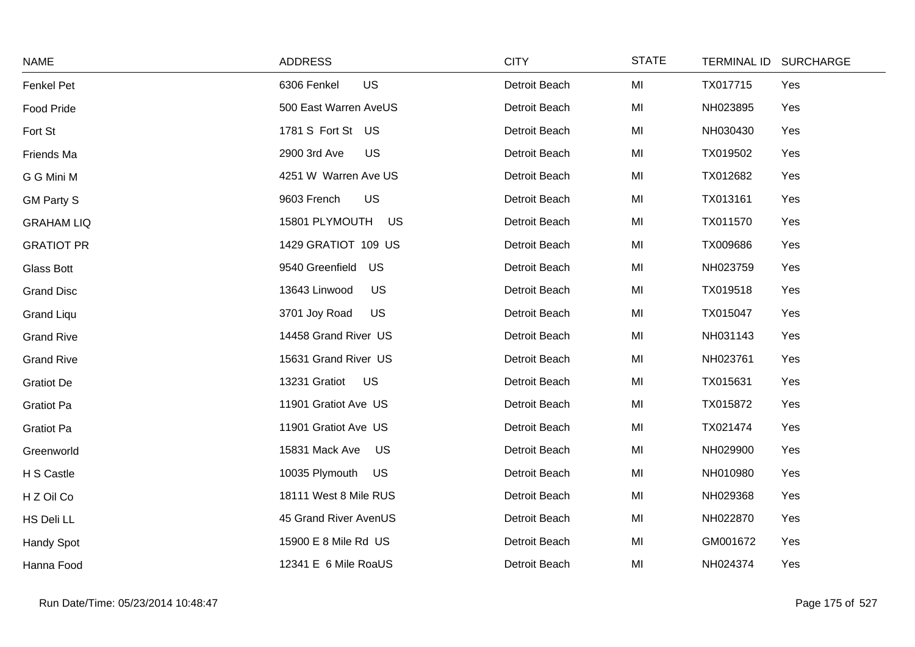| <b>NAME</b>       | <b>ADDRESS</b>             | <b>CITY</b>   | <b>STATE</b> | TERMINAL ID SURCHARGE |     |
|-------------------|----------------------------|---------------|--------------|-----------------------|-----|
| Fenkel Pet        | <b>US</b><br>6306 Fenkel   | Detroit Beach | MI           | TX017715              | Yes |
| Food Pride        | 500 East Warren AveUS      | Detroit Beach | MI           | NH023895              | Yes |
| Fort St           | 1781 S Fort St US          | Detroit Beach | MI           | NH030430              | Yes |
| Friends Ma        | US<br>2900 3rd Ave         | Detroit Beach | MI           | TX019502              | Yes |
| G G Mini M        | 4251 W Warren Ave US       | Detroit Beach | MI           | TX012682              | Yes |
| <b>GM Party S</b> | <b>US</b><br>9603 French   | Detroit Beach | MI           | TX013161              | Yes |
| <b>GRAHAM LIQ</b> | 15801 PLYMOUTH<br>US       | Detroit Beach | MI           | TX011570              | Yes |
| <b>GRATIOT PR</b> | 1429 GRATIOT 109 US        | Detroit Beach | MI           | TX009686              | Yes |
| Glass Bott        | 9540 Greenfield<br>US      | Detroit Beach | MI           | NH023759              | Yes |
| <b>Grand Disc</b> | 13643 Linwood<br>US        | Detroit Beach | MI           | TX019518              | Yes |
| <b>Grand Liqu</b> | 3701 Joy Road<br><b>US</b> | Detroit Beach | MI           | TX015047              | Yes |
| <b>Grand Rive</b> | 14458 Grand River US       | Detroit Beach | MI           | NH031143              | Yes |
| <b>Grand Rive</b> | 15631 Grand River US       | Detroit Beach | MI           | NH023761              | Yes |
| <b>Gratiot De</b> | 13231 Gratiot<br><b>US</b> | Detroit Beach | MI           | TX015631              | Yes |
| Gratiot Pa        | 11901 Gratiot Ave US       | Detroit Beach | MI           | TX015872              | Yes |
| Gratiot Pa        | 11901 Gratiot Ave US       | Detroit Beach | MI           | TX021474              | Yes |
| Greenworld        | 15831 Mack Ave<br>US       | Detroit Beach | MI           | NH029900              | Yes |
| H S Castle        | 10035 Plymouth<br>US       | Detroit Beach | MI           | NH010980              | Yes |
| H Z Oil Co        | 18111 West 8 Mile RUS      | Detroit Beach | MI           | NH029368              | Yes |
| HS Deli LL        | 45 Grand River AvenUS      | Detroit Beach | MI           | NH022870              | Yes |
| Handy Spot        | 15900 E 8 Mile Rd US       | Detroit Beach | MI           | GM001672              | Yes |
| Hanna Food        | 12341 E 6 Mile RoaUS       | Detroit Beach | MI           | NH024374              | Yes |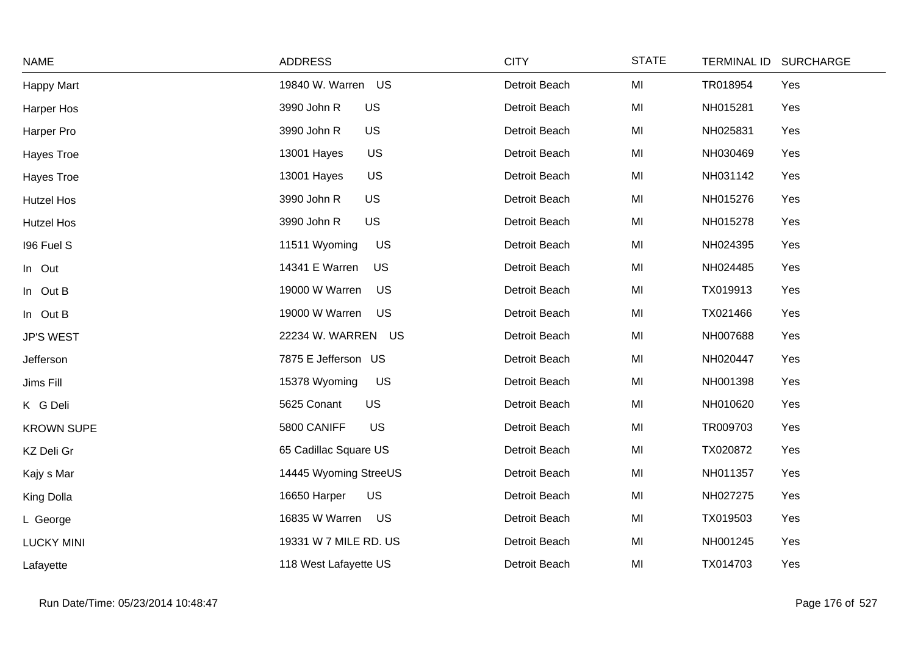| <b>NAME</b>       | <b>ADDRESS</b>              | <b>CITY</b>   | <b>STATE</b> | TERMINAL ID SURCHARGE |
|-------------------|-----------------------------|---------------|--------------|-----------------------|
| Happy Mart        | 19840 W. Warren US          | Detroit Beach | MI           | TR018954<br>Yes       |
| Harper Hos        | 3990 John R<br><b>US</b>    | Detroit Beach | MI           | NH015281<br>Yes       |
| Harper Pro        | US<br>3990 John R           | Detroit Beach | MI           | NH025831<br>Yes       |
| Hayes Troe        | US<br>13001 Hayes           | Detroit Beach | MI           | NH030469<br>Yes       |
| Hayes Troe        | US<br>13001 Hayes           | Detroit Beach | MI           | NH031142<br>Yes       |
| <b>Hutzel Hos</b> | US<br>3990 John R           | Detroit Beach | MI           | NH015276<br>Yes       |
| <b>Hutzel Hos</b> | US<br>3990 John R           | Detroit Beach | MI           | NH015278<br>Yes       |
| 196 Fuel S        | 11511 Wyoming<br>US         | Detroit Beach | MI           | NH024395<br>Yes       |
| In Out            | 14341 E Warren<br><b>US</b> | Detroit Beach | MI           | NH024485<br>Yes       |
| In Out B          | 19000 W Warren<br>US        | Detroit Beach | MI           | TX019913<br>Yes       |
| In Out B          | 19000 W Warren<br>US        | Detroit Beach | MI           | TX021466<br>Yes       |
| <b>JP'S WEST</b>  | 22234 W. WARREN US          | Detroit Beach | MI           | NH007688<br>Yes       |
| Jefferson         | 7875 E Jefferson US         | Detroit Beach | MI           | NH020447<br>Yes       |
| Jims Fill         | 15378 Wyoming<br>US         | Detroit Beach | MI           | NH001398<br>Yes       |
| K G Deli          | 5625 Conant<br><b>US</b>    | Detroit Beach | MI           | NH010620<br>Yes       |
| <b>KROWN SUPE</b> | US<br>5800 CANIFF           | Detroit Beach | MI           | TR009703<br>Yes       |
| KZ Deli Gr        | 65 Cadillac Square US       | Detroit Beach | MI           | TX020872<br>Yes       |
| Kajy s Mar        | 14445 Wyoming StreeUS       | Detroit Beach | MI           | NH011357<br>Yes       |
| King Dolla        | 16650 Harper<br>US          | Detroit Beach | MI           | NH027275<br>Yes       |
| L George          | 16835 W Warren US           | Detroit Beach | MI           | TX019503<br>Yes       |
| <b>LUCKY MINI</b> | 19331 W 7 MILE RD. US       | Detroit Beach | MI           | NH001245<br>Yes       |
| Lafayette         | 118 West Lafayette US       | Detroit Beach | MI           | TX014703<br>Yes       |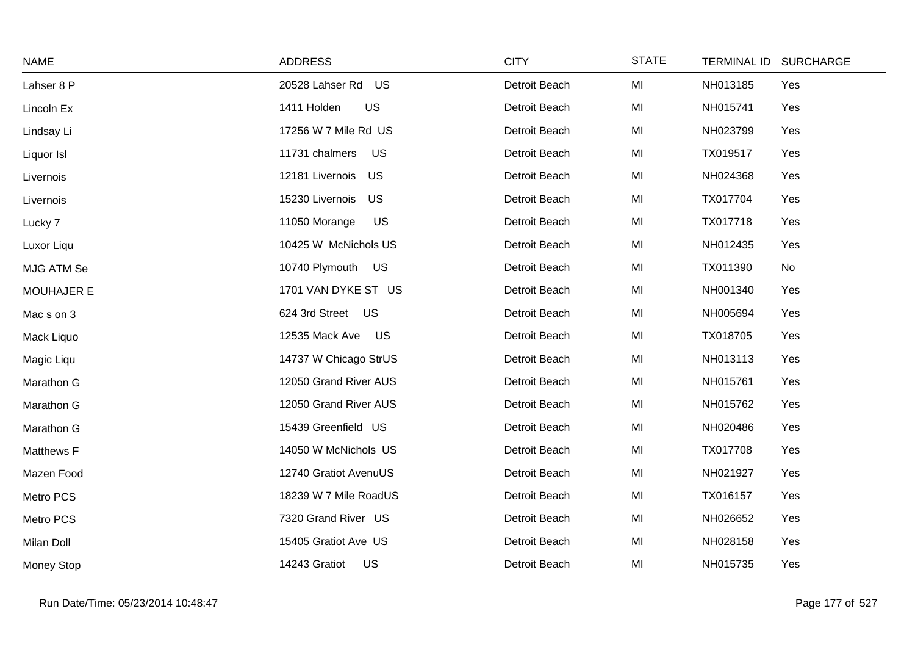| <b>NAME</b>       | <b>ADDRESS</b>              | <b>CITY</b>   | <b>STATE</b> | TERMINAL ID SURCHARGE |     |
|-------------------|-----------------------------|---------------|--------------|-----------------------|-----|
| Lahser 8 P        | 20528 Lahser Rd<br>US       | Detroit Beach | MI           | NH013185              | Yes |
| Lincoln Ex        | <b>US</b><br>1411 Holden    | Detroit Beach | MI           | NH015741              | Yes |
| Lindsay Li        | 17256 W 7 Mile Rd US        | Detroit Beach | MI           | NH023799              | Yes |
| Liquor Isl        | 11731 chalmers<br><b>US</b> | Detroit Beach | MI           | TX019517              | Yes |
| Livernois         | 12181 Livernois US          | Detroit Beach | MI           | NH024368              | Yes |
| Livernois         | 15230 Livernois<br>US       | Detroit Beach | MI           | TX017704              | Yes |
| Lucky 7           | 11050 Morange<br><b>US</b>  | Detroit Beach | MI           | TX017718              | Yes |
| Luxor Liqu        | 10425 W McNichols US        | Detroit Beach | MI           | NH012435              | Yes |
| MJG ATM Se        | 10740 Plymouth US           | Detroit Beach | MI           | TX011390              | No  |
| <b>MOUHAJER E</b> | 1701 VAN DYKE ST US         | Detroit Beach | MI           | NH001340              | Yes |
| Mac s on 3        | 624 3rd Street US           | Detroit Beach | MI           | NH005694              | Yes |
| Mack Liquo        | 12535 Mack Ave<br>US        | Detroit Beach | MI           | TX018705              | Yes |
| Magic Liqu        | 14737 W Chicago StrUS       | Detroit Beach | MI           | NH013113              | Yes |
| Marathon G        | 12050 Grand River AUS       | Detroit Beach | MI           | NH015761              | Yes |
| Marathon G        | 12050 Grand River AUS       | Detroit Beach | MI           | NH015762              | Yes |
| Marathon G        | 15439 Greenfield US         | Detroit Beach | MI           | NH020486              | Yes |
| Matthews F        | 14050 W McNichols US        | Detroit Beach | MI           | TX017708              | Yes |
| Mazen Food        | 12740 Gratiot AvenuUS       | Detroit Beach | MI           | NH021927              | Yes |
| Metro PCS         | 18239 W 7 Mile RoadUS       | Detroit Beach | MI           | TX016157              | Yes |
| Metro PCS         | 7320 Grand River US         | Detroit Beach | MI           | NH026652              | Yes |
| Milan Doll        | 15405 Gratiot Ave US        | Detroit Beach | MI           | NH028158              | Yes |
| Money Stop        | 14243 Gratiot<br>US         | Detroit Beach | MI           | NH015735              | Yes |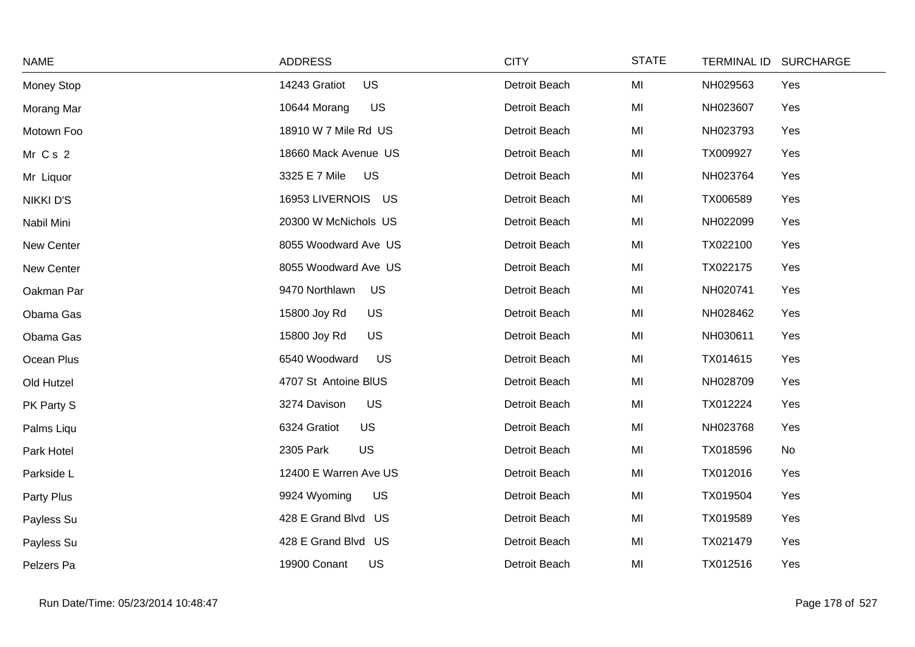| <b>NAME</b>      | <b>ADDRESS</b>             | <b>CITY</b>   | <b>STATE</b> | TERMINAL ID SURCHARGE |     |
|------------------|----------------------------|---------------|--------------|-----------------------|-----|
| Money Stop       | <b>US</b><br>14243 Gratiot | Detroit Beach | MI           | NH029563              | Yes |
| Morang Mar       | <b>US</b><br>10644 Morang  | Detroit Beach | MI           | NH023607              | Yes |
| Motown Foo       | 18910 W 7 Mile Rd US       | Detroit Beach | MI           | NH023793              | Yes |
| Mr Cs 2          | 18660 Mack Avenue US       | Detroit Beach | MI           | TX009927              | Yes |
| Mr Liquor        | 3325 E 7 Mile<br>US        | Detroit Beach | MI           | NH023764              | Yes |
| <b>NIKKI D'S</b> | 16953 LIVERNOIS US         | Detroit Beach | MI           | TX006589              | Yes |
| Nabil Mini       | 20300 W McNichols US       | Detroit Beach | MI           | NH022099              | Yes |
| New Center       | 8055 Woodward Ave US       | Detroit Beach | MI           | TX022100              | Yes |
| New Center       | 8055 Woodward Ave US       | Detroit Beach | MI           | TX022175              | Yes |
| Oakman Par       | 9470 Northlawn<br>US       | Detroit Beach | MI           | NH020741              | Yes |
| Obama Gas        | <b>US</b><br>15800 Joy Rd  | Detroit Beach | MI           | NH028462              | Yes |
| Obama Gas        | <b>US</b><br>15800 Joy Rd  | Detroit Beach | MI           | NH030611              | Yes |
| Ocean Plus       | 6540 Woodward<br><b>US</b> | Detroit Beach | MI           | TX014615              | Yes |
| Old Hutzel       | 4707 St Antoine BIUS       | Detroit Beach | MI           | NH028709              | Yes |
| PK Party S       | <b>US</b><br>3274 Davison  | Detroit Beach | MI           | TX012224              | Yes |
| Palms Liqu       | US<br>6324 Gratiot         | Detroit Beach | MI           | NH023768              | Yes |
| Park Hotel       | US<br>2305 Park            | Detroit Beach | MI           | TX018596              | No  |
| Parkside L       | 12400 E Warren Ave US      | Detroit Beach | MI           | TX012016              | Yes |
| Party Plus       | 9924 Wyoming<br>US         | Detroit Beach | MI           | TX019504              | Yes |
| Payless Su       | 428 E Grand Blvd US        | Detroit Beach | MI           | TX019589              | Yes |
| Payless Su       | 428 E Grand Blvd US        | Detroit Beach | MI           | TX021479              | Yes |
| Pelzers Pa       | 19900 Conant<br>US         | Detroit Beach | MI           | TX012516              | Yes |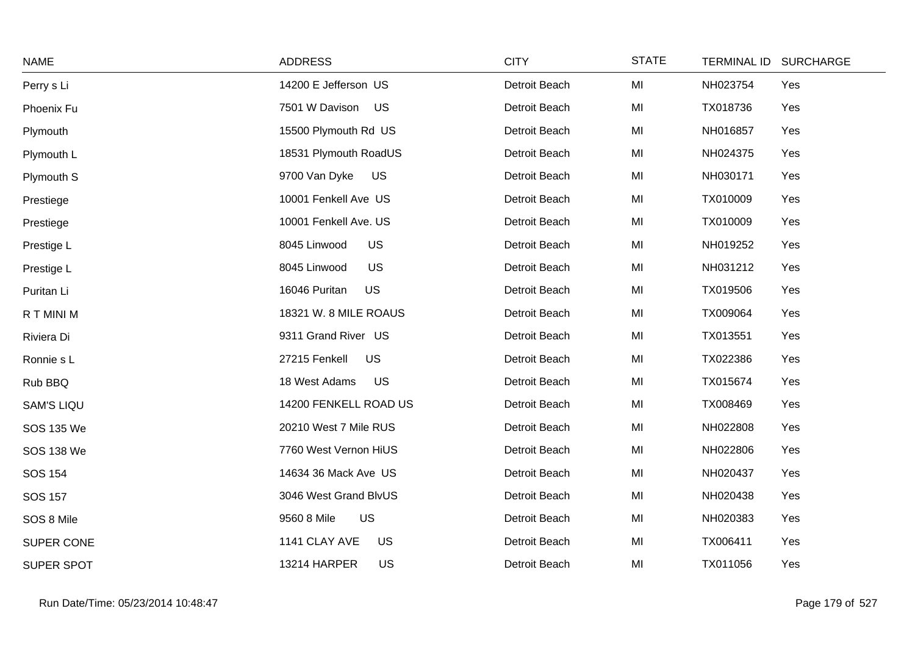| <b>NAME</b>       | <b>ADDRESS</b>             | <b>CITY</b>   | <b>STATE</b> | TERMINAL ID SURCHARGE |     |
|-------------------|----------------------------|---------------|--------------|-----------------------|-----|
| Perry s Li        | 14200 E Jefferson US       | Detroit Beach | MI           | NH023754              | Yes |
| Phoenix Fu        | 7501 W Davison US          | Detroit Beach | MI           | TX018736              | Yes |
| Plymouth          | 15500 Plymouth Rd US       | Detroit Beach | MI           | NH016857              | Yes |
| Plymouth L        | 18531 Plymouth RoadUS      | Detroit Beach | MI           | NH024375              | Yes |
| Plymouth S        | 9700 Van Dyke<br>US        | Detroit Beach | MI           | NH030171              | Yes |
| Prestiege         | 10001 Fenkell Ave US       | Detroit Beach | MI           | TX010009              | Yes |
| Prestiege         | 10001 Fenkell Ave. US      | Detroit Beach | MI           | TX010009              | Yes |
| Prestige L        | 8045 Linwood<br><b>US</b>  | Detroit Beach | MI           | NH019252              | Yes |
| Prestige L        | US<br>8045 Linwood         | Detroit Beach | MI           | NH031212              | Yes |
| Puritan Li        | US<br>16046 Puritan        | Detroit Beach | MI           | TX019506              | Yes |
| R T MINI M        | 18321 W. 8 MILE ROAUS      | Detroit Beach | MI           | TX009064              | Yes |
| Riviera Di        | 9311 Grand River US        | Detroit Beach | MI           | TX013551              | Yes |
| Ronnie s L        | 27215 Fenkell<br><b>US</b> | Detroit Beach | MI           | TX022386              | Yes |
| Rub BBQ           | 18 West Adams<br><b>US</b> | Detroit Beach | MI           | TX015674              | Yes |
| <b>SAM'S LIQU</b> | 14200 FENKELL ROAD US      | Detroit Beach | MI           | TX008469              | Yes |
| SOS 135 We        | 20210 West 7 Mile RUS      | Detroit Beach | MI           | NH022808              | Yes |
| <b>SOS 138 We</b> | 7760 West Vernon HiUS      | Detroit Beach | MI           | NH022806              | Yes |
| <b>SOS 154</b>    | 14634 36 Mack Ave US       | Detroit Beach | MI           | NH020437              | Yes |
| <b>SOS 157</b>    | 3046 West Grand BlvUS      | Detroit Beach | MI           | NH020438              | Yes |
| SOS 8 Mile        | US<br>9560 8 Mile          | Detroit Beach | MI           | NH020383              | Yes |
| SUPER CONE        | 1141 CLAY AVE<br><b>US</b> | Detroit Beach | MI           | TX006411              | Yes |
| SUPER SPOT        | 13214 HARPER<br>US         | Detroit Beach | MI           | TX011056              | Yes |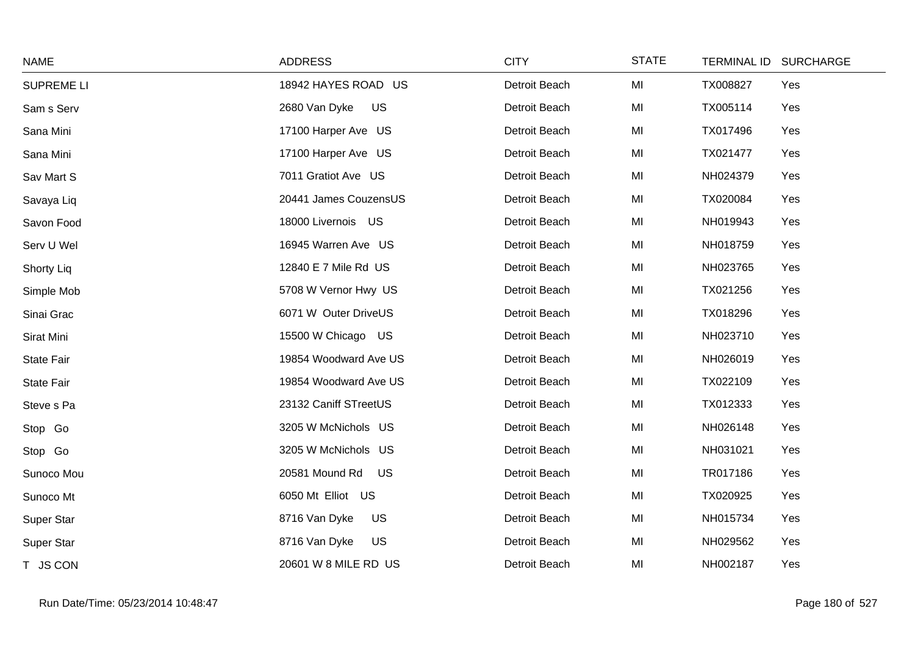| <b>NAME</b>       | <b>ADDRESS</b>              | <b>CITY</b>   | <b>STATE</b> | TERMINAL ID SURCHARGE |     |
|-------------------|-----------------------------|---------------|--------------|-----------------------|-----|
| <b>SUPREME LI</b> | 18942 HAYES ROAD US         | Detroit Beach | MI           | TX008827              | Yes |
| Sam s Serv        | 2680 Van Dyke<br><b>US</b>  | Detroit Beach | MI           | TX005114              | Yes |
| Sana Mini         | 17100 Harper Ave US         | Detroit Beach | MI           | TX017496              | Yes |
| Sana Mini         | 17100 Harper Ave US         | Detroit Beach | MI           | TX021477              | Yes |
| Sav Mart S        | 7011 Gratiot Ave US         | Detroit Beach | MI           | NH024379              | Yes |
| Savaya Liq        | 20441 James CouzensUS       | Detroit Beach | MI           | TX020084              | Yes |
| Savon Food        | 18000 Livernois US          | Detroit Beach | MI           | NH019943              | Yes |
| Serv U Wel        | 16945 Warren Ave US         | Detroit Beach | MI           | NH018759              | Yes |
| Shorty Liq        | 12840 E 7 Mile Rd US        | Detroit Beach | MI           | NH023765              | Yes |
| Simple Mob        | 5708 W Vernor Hwy US        | Detroit Beach | MI           | TX021256              | Yes |
| Sinai Grac        | 6071 W Outer DriveUS        | Detroit Beach | MI           | TX018296              | Yes |
| Sirat Mini        | 15500 W Chicago US          | Detroit Beach | MI           | NH023710              | Yes |
| State Fair        | 19854 Woodward Ave US       | Detroit Beach | MI           | NH026019              | Yes |
| State Fair        | 19854 Woodward Ave US       | Detroit Beach | MI           | TX022109              | Yes |
| Steve s Pa        | 23132 Caniff STreetUS       | Detroit Beach | MI           | TX012333              | Yes |
| Stop Go           | 3205 W McNichols US         | Detroit Beach | MI           | NH026148              | Yes |
| Stop Go           | 3205 W McNichols US         | Detroit Beach | MI           | NH031021              | Yes |
| Sunoco Mou        | 20581 Mound Rd<br><b>US</b> | Detroit Beach | MI           | TR017186              | Yes |
| Sunoco Mt         | 6050 Mt Elliot US           | Detroit Beach | MI           | TX020925              | Yes |
| Super Star        | 8716 Van Dyke<br><b>US</b>  | Detroit Beach | MI           | NH015734              | Yes |
| Super Star        | <b>US</b><br>8716 Van Dyke  | Detroit Beach | MI           | NH029562              | Yes |
| T JS CON          | 20601 W 8 MILE RD US        | Detroit Beach | MI           | NH002187              | Yes |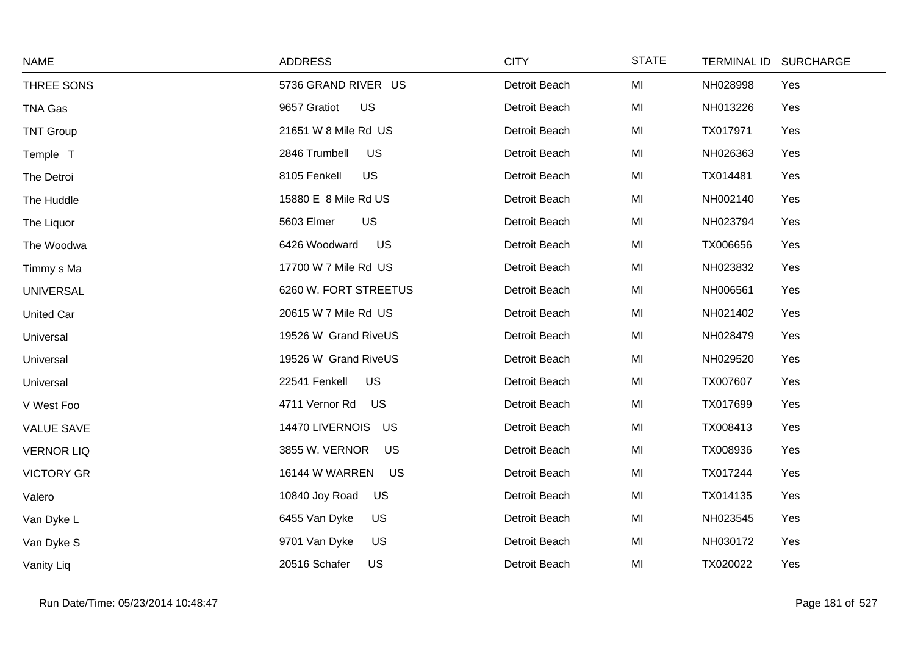| <b>NAME</b>       | <b>ADDRESS</b>              | <b>CITY</b>   | <b>STATE</b> | TERMINAL ID SURCHARGE |
|-------------------|-----------------------------|---------------|--------------|-----------------------|
| THREE SONS        | 5736 GRAND RIVER US         | Detroit Beach | MI           | NH028998<br>Yes       |
| TNA Gas           | 9657 Gratiot<br>US          | Detroit Beach | MI           | NH013226<br>Yes       |
| <b>TNT Group</b>  | 21651 W 8 Mile Rd US        | Detroit Beach | MI           | TX017971<br>Yes       |
| Temple T          | 2846 Trumbell<br><b>US</b>  | Detroit Beach | MI           | NH026363<br>Yes       |
| The Detroi        | 8105 Fenkell<br>US          | Detroit Beach | MI           | TX014481<br>Yes       |
| The Huddle        | 15880 E 8 Mile Rd US        | Detroit Beach | MI           | NH002140<br>Yes       |
| The Liquor        | 5603 Elmer<br><b>US</b>     | Detroit Beach | MI           | NH023794<br>Yes       |
| The Woodwa        | US<br>6426 Woodward         | Detroit Beach | MI           | TX006656<br>Yes       |
| Timmy s Ma        | 17700 W 7 Mile Rd US        | Detroit Beach | MI           | NH023832<br>Yes       |
| <b>UNIVERSAL</b>  | 6260 W. FORT STREETUS       | Detroit Beach | MI           | NH006561<br>Yes       |
| <b>United Car</b> | 20615 W 7 Mile Rd US        | Detroit Beach | MI           | NH021402<br>Yes       |
| Universal         | 19526 W Grand RiveUS        | Detroit Beach | MI           | NH028479<br>Yes       |
| Universal         | 19526 W Grand RiveUS        | Detroit Beach | MI           | NH029520<br>Yes       |
| Universal         | US<br>22541 Fenkell         | Detroit Beach | MI           | TX007607<br>Yes       |
| V West Foo        | 4711 Vernor Rd<br>US        | Detroit Beach | MI           | TX017699<br>Yes       |
| <b>VALUE SAVE</b> | 14470 LIVERNOIS<br>US       | Detroit Beach | MI           | TX008413<br>Yes       |
| <b>VERNOR LIQ</b> | 3855 W. VERNOR<br><b>US</b> | Detroit Beach | MI           | TX008936<br>Yes       |
| <b>VICTORY GR</b> | 16144 W WARREN<br>US        | Detroit Beach | MI           | TX017244<br>Yes       |
| Valero            | 10840 Joy Road<br>US        | Detroit Beach | MI           | TX014135<br>Yes       |
| Van Dyke L        | 6455 Van Dyke<br><b>US</b>  | Detroit Beach | MI           | NH023545<br>Yes       |
| Van Dyke S        | <b>US</b><br>9701 Van Dyke  | Detroit Beach | MI           | NH030172<br>Yes       |
| Vanity Liq        | 20516 Schafer<br>US         | Detroit Beach | MI           | TX020022<br>Yes       |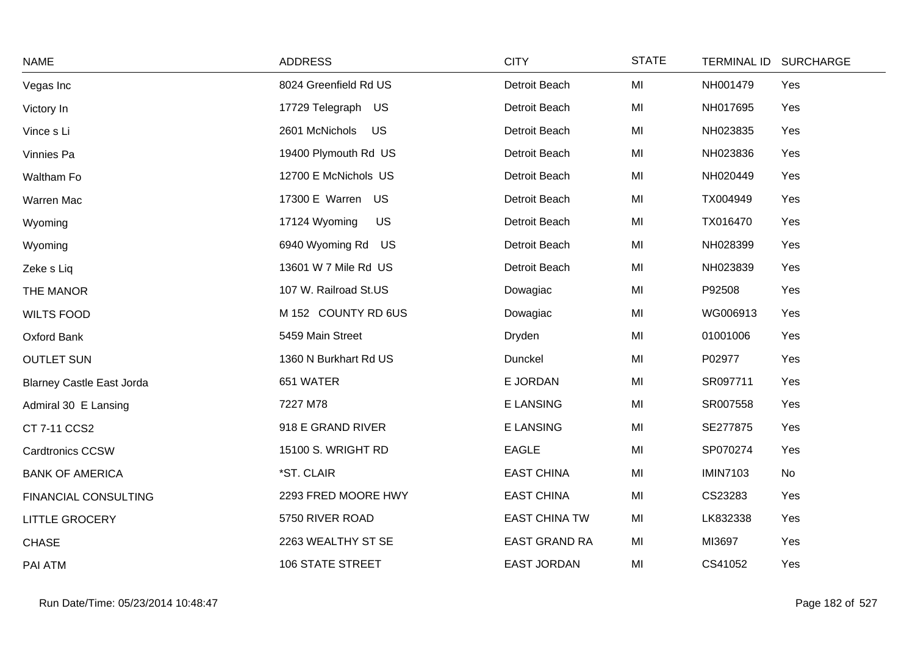| <b>NAME</b>                      | <b>ADDRESS</b>             | <b>CITY</b>          | <b>STATE</b> |                 | TERMINAL ID SURCHARGE |
|----------------------------------|----------------------------|----------------------|--------------|-----------------|-----------------------|
| Vegas Inc                        | 8024 Greenfield Rd US      | Detroit Beach        | MI           | NH001479        | Yes                   |
| Victory In                       | 17729 Telegraph US         | Detroit Beach        | MI           | NH017695        | Yes                   |
| Vince s Li                       | 2601 McNichols<br>US       | Detroit Beach        | MI           | NH023835        | Yes                   |
| Vinnies Pa                       | 19400 Plymouth Rd US       | Detroit Beach        | MI           | NH023836        | Yes                   |
| Waltham Fo                       | 12700 E McNichols US       | Detroit Beach        | MI           | NH020449        | Yes                   |
| Warren Mac                       | 17300 E Warren US          | Detroit Beach        | MI           | TX004949        | Yes                   |
| Wyoming                          | 17124 Wyoming<br><b>US</b> | Detroit Beach        | MI           | TX016470        | Yes                   |
| Wyoming                          | 6940 Wyoming Rd US         | Detroit Beach        | MI           | NH028399        | Yes                   |
| Zeke s Liq                       | 13601 W 7 Mile Rd US       | Detroit Beach        | MI           | NH023839        | Yes                   |
| THE MANOR                        | 107 W. Railroad St.US      | Dowagiac             | MI           | P92508          | Yes                   |
| <b>WILTS FOOD</b>                | M 152 COUNTY RD 6US        | Dowagiac             | MI           | WG006913        | Yes                   |
| Oxford Bank                      | 5459 Main Street           | Dryden               | MI           | 01001006        | Yes                   |
| <b>OUTLET SUN</b>                | 1360 N Burkhart Rd US      | Dunckel              | MI           | P02977          | Yes                   |
| <b>Blarney Castle East Jorda</b> | 651 WATER                  | E JORDAN             | MI           | SR097711        | Yes                   |
| Admiral 30 E Lansing             | 7227 M78                   | <b>E LANSING</b>     | MI           | SR007558        | Yes                   |
| CT 7-11 CCS2                     | 918 E GRAND RIVER          | E LANSING            | MI           | SE277875        | Yes                   |
| <b>Cardtronics CCSW</b>          | 15100 S. WRIGHT RD         | <b>EAGLE</b>         | MI           | SP070274        | Yes                   |
| <b>BANK OF AMERICA</b>           | *ST. CLAIR                 | <b>EAST CHINA</b>    | MI           | <b>IMIN7103</b> | <b>No</b>             |
| FINANCIAL CONSULTING             | 2293 FRED MOORE HWY        | <b>EAST CHINA</b>    | MI           | CS23283         | Yes                   |
| <b>LITTLE GROCERY</b>            | 5750 RIVER ROAD            | <b>EAST CHINA TW</b> | MI           | LK832338        | Yes                   |
| <b>CHASE</b>                     | 2263 WEALTHY ST SE         | <b>EAST GRAND RA</b> | MI           | MI3697          | Yes                   |
| PAI ATM                          | <b>106 STATE STREET</b>    | <b>EAST JORDAN</b>   | MI           | CS41052         | Yes                   |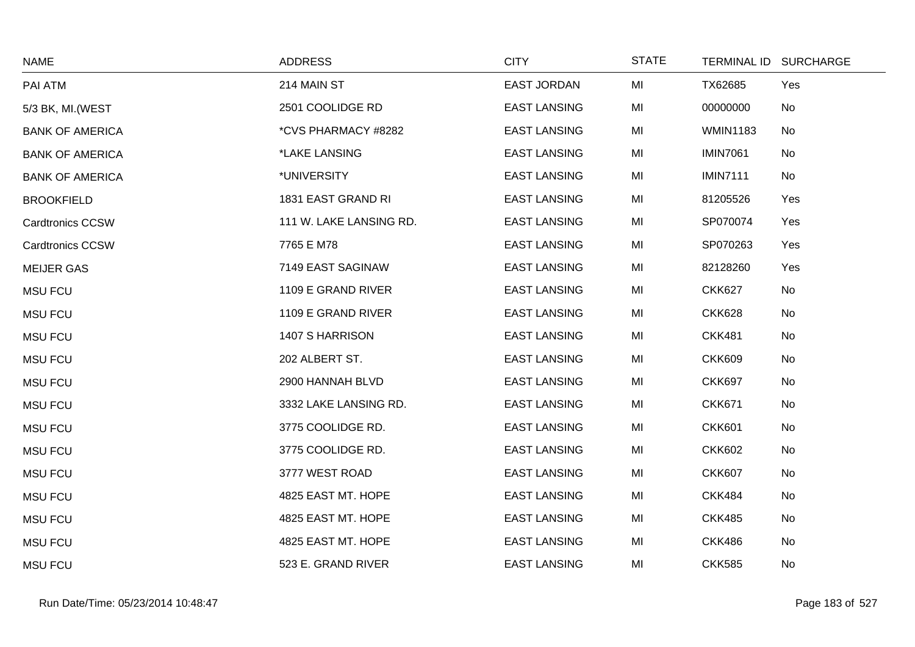| <b>NAME</b>             | <b>ADDRESS</b>          | <b>CITY</b>         | <b>STATE</b> | TERMINAL ID SURCHARGE |           |
|-------------------------|-------------------------|---------------------|--------------|-----------------------|-----------|
| PAI ATM                 | 214 MAIN ST             | <b>EAST JORDAN</b>  | MI           | TX62685               | Yes       |
| 5/3 BK, MI. (WEST       | 2501 COOLIDGE RD        | <b>EAST LANSING</b> | MI           | 00000000              | No        |
| <b>BANK OF AMERICA</b>  | *CVS PHARMACY #8282     | <b>EAST LANSING</b> | MI           | <b>WMIN1183</b>       | No        |
| <b>BANK OF AMERICA</b>  | *LAKE LANSING           | <b>EAST LANSING</b> | MI           | <b>IMIN7061</b>       | No        |
| <b>BANK OF AMERICA</b>  | *UNIVERSITY             | <b>EAST LANSING</b> | MI           | <b>IMIN7111</b>       | No        |
| <b>BROOKFIELD</b>       | 1831 EAST GRAND RI      | <b>EAST LANSING</b> | MI           | 81205526              | Yes       |
| <b>Cardtronics CCSW</b> | 111 W. LAKE LANSING RD. | <b>EAST LANSING</b> | MI           | SP070074              | Yes       |
| <b>Cardtronics CCSW</b> | 7765 E M78              | <b>EAST LANSING</b> | MI           | SP070263              | Yes       |
| <b>MEIJER GAS</b>       | 7149 EAST SAGINAW       | <b>EAST LANSING</b> | MI           | 82128260              | Yes       |
| <b>MSU FCU</b>          | 1109 E GRAND RIVER      | <b>EAST LANSING</b> | MI           | <b>CKK627</b>         | No        |
| <b>MSU FCU</b>          | 1109 E GRAND RIVER      | <b>EAST LANSING</b> | MI           | <b>CKK628</b>         | No        |
| <b>MSU FCU</b>          | 1407 S HARRISON         | <b>EAST LANSING</b> | MI           | <b>CKK481</b>         | No        |
| <b>MSU FCU</b>          | 202 ALBERT ST.          | <b>EAST LANSING</b> | MI           | <b>CKK609</b>         | No        |
| <b>MSU FCU</b>          | 2900 HANNAH BLVD        | <b>EAST LANSING</b> | MI           | <b>CKK697</b>         | <b>No</b> |
| <b>MSU FCU</b>          | 3332 LAKE LANSING RD.   | <b>EAST LANSING</b> | MI           | <b>CKK671</b>         | No        |
| <b>MSU FCU</b>          | 3775 COOLIDGE RD.       | <b>EAST LANSING</b> | MI           | <b>CKK601</b>         | No        |
| <b>MSU FCU</b>          | 3775 COOLIDGE RD.       | <b>EAST LANSING</b> | MI           | <b>CKK602</b>         | No        |
| <b>MSU FCU</b>          | 3777 WEST ROAD          | <b>EAST LANSING</b> | MI           | <b>CKK607</b>         | No        |
| <b>MSU FCU</b>          | 4825 EAST MT. HOPE      | <b>EAST LANSING</b> | MI           | <b>CKK484</b>         | No        |
| <b>MSU FCU</b>          | 4825 EAST MT. HOPE      | <b>EAST LANSING</b> | MI           | <b>CKK485</b>         | No        |
| <b>MSU FCU</b>          | 4825 EAST MT. HOPE      | <b>EAST LANSING</b> | MI           | <b>CKK486</b>         | No        |
| <b>MSU FCU</b>          | 523 E. GRAND RIVER      | <b>EAST LANSING</b> | MI           | <b>CKK585</b>         | No        |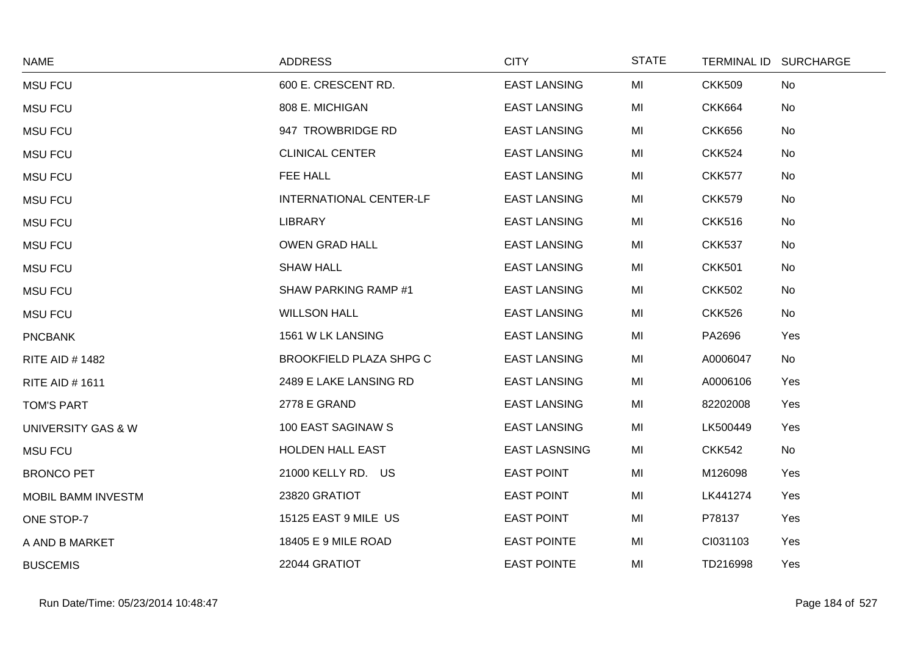| <b>NAME</b>            | <b>ADDRESS</b>                 | <b>CITY</b>          | <b>STATE</b> |               | TERMINAL ID SURCHARGE |
|------------------------|--------------------------------|----------------------|--------------|---------------|-----------------------|
| <b>MSU FCU</b>         | 600 E. CRESCENT RD.            | <b>EAST LANSING</b>  | MI           | <b>CKK509</b> | No                    |
| <b>MSU FCU</b>         | 808 E. MICHIGAN                | <b>EAST LANSING</b>  | MI           | <b>CKK664</b> | No                    |
| <b>MSU FCU</b>         | 947 TROWBRIDGE RD              | <b>EAST LANSING</b>  | MI           | <b>CKK656</b> | No                    |
| <b>MSU FCU</b>         | <b>CLINICAL CENTER</b>         | <b>EAST LANSING</b>  | MI           | <b>CKK524</b> | No                    |
| <b>MSU FCU</b>         | FEE HALL                       | <b>EAST LANSING</b>  | MI           | <b>CKK577</b> | No                    |
| <b>MSU FCU</b>         | <b>INTERNATIONAL CENTER-LF</b> | <b>EAST LANSING</b>  | MI           | <b>CKK579</b> | No                    |
| <b>MSU FCU</b>         | <b>LIBRARY</b>                 | <b>EAST LANSING</b>  | MI           | <b>CKK516</b> | No                    |
| <b>MSU FCU</b>         | <b>OWEN GRAD HALL</b>          | <b>EAST LANSING</b>  | MI           | <b>CKK537</b> | No                    |
| <b>MSU FCU</b>         | <b>SHAW HALL</b>               | <b>EAST LANSING</b>  | MI           | <b>CKK501</b> | No                    |
| <b>MSU FCU</b>         | SHAW PARKING RAMP #1           | <b>EAST LANSING</b>  | MI           | <b>CKK502</b> | No                    |
| <b>MSU FCU</b>         | <b>WILLSON HALL</b>            | <b>EAST LANSING</b>  | MI           | <b>CKK526</b> | No                    |
| <b>PNCBANK</b>         | 1561 W LK LANSING              | <b>EAST LANSING</b>  | MI           | PA2696        | Yes                   |
| <b>RITE AID # 1482</b> | <b>BROOKFIELD PLAZA SHPG C</b> | <b>EAST LANSING</b>  | MI           | A0006047      | No                    |
| <b>RITE AID #1611</b>  | 2489 E LAKE LANSING RD         | <b>EAST LANSING</b>  | MI           | A0006106      | Yes                   |
| <b>TOM'S PART</b>      | 2778 E GRAND                   | <b>EAST LANSING</b>  | MI           | 82202008      | Yes                   |
| UNIVERSITY GAS & W     | 100 EAST SAGINAW S             | <b>EAST LANSING</b>  | MI           | LK500449      | Yes                   |
| <b>MSU FCU</b>         | HOLDEN HALL EAST               | <b>EAST LASNSING</b> | MI           | <b>CKK542</b> | No                    |
| <b>BRONCO PET</b>      | 21000 KELLY RD. US             | <b>EAST POINT</b>    | MI           | M126098       | Yes                   |
| MOBIL BAMM INVESTM     | 23820 GRATIOT                  | <b>EAST POINT</b>    | MI           | LK441274      | Yes                   |
| ONE STOP-7             | 15125 EAST 9 MILE US           | <b>EAST POINT</b>    | MI           | P78137        | Yes                   |
| A AND B MARKET         | 18405 E 9 MILE ROAD            | <b>EAST POINTE</b>   | MI           | CI031103      | Yes                   |
| <b>BUSCEMIS</b>        | 22044 GRATIOT                  | <b>EAST POINTE</b>   | MI           | TD216998      | Yes                   |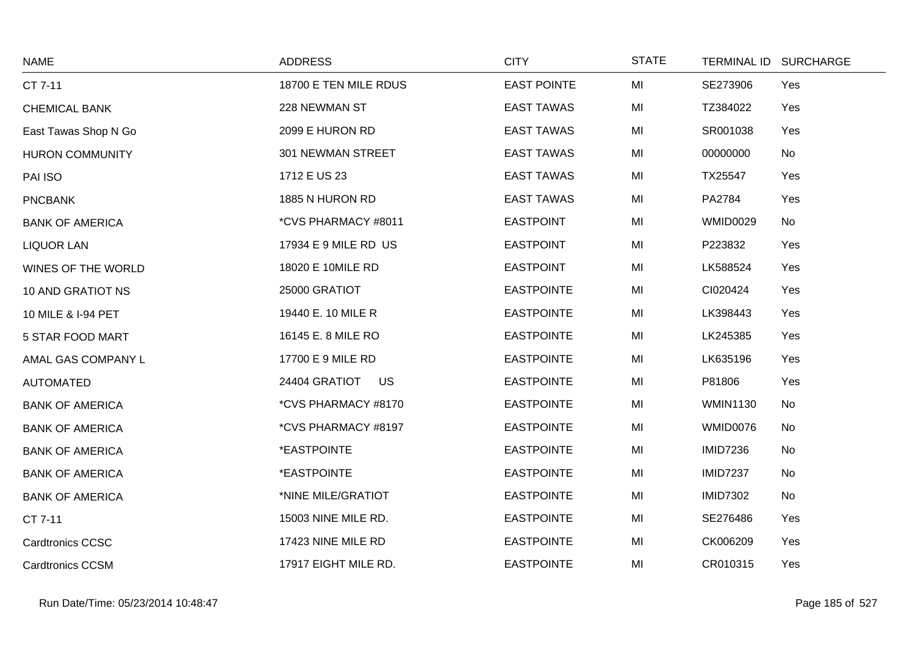| <b>NAME</b>             | <b>ADDRESS</b>        | <b>CITY</b>        | <b>STATE</b> |                 | TERMINAL ID SURCHARGE |
|-------------------------|-----------------------|--------------------|--------------|-----------------|-----------------------|
| CT 7-11                 | 18700 E TEN MILE RDUS | <b>EAST POINTE</b> | MI           | SE273906        | Yes                   |
| <b>CHEMICAL BANK</b>    | 228 NEWMAN ST         | <b>EAST TAWAS</b>  | MI           | TZ384022        | Yes                   |
| East Tawas Shop N Go    | 2099 E HURON RD       | <b>EAST TAWAS</b>  | MI           | SR001038        | Yes                   |
| <b>HURON COMMUNITY</b>  | 301 NEWMAN STREET     | <b>EAST TAWAS</b>  | MI           | 00000000        | No                    |
| PAI ISO                 | 1712 E US 23          | <b>EAST TAWAS</b>  | MI           | TX25547         | Yes                   |
| <b>PNCBANK</b>          | 1885 N HURON RD       | <b>EAST TAWAS</b>  | MI           | PA2784          | Yes                   |
| <b>BANK OF AMERICA</b>  | *CVS PHARMACY #8011   | <b>EASTPOINT</b>   | MI           | <b>WMID0029</b> | No                    |
| <b>LIQUOR LAN</b>       | 17934 E 9 MILE RD US  | <b>EASTPOINT</b>   | MI           | P223832         | Yes                   |
| WINES OF THE WORLD      | 18020 E 10MILE RD     | <b>EASTPOINT</b>   | MI           | LK588524        | Yes                   |
| 10 AND GRATIOT NS       | 25000 GRATIOT         | <b>EASTPOINTE</b>  | MI           | CI020424        | Yes                   |
| 10 MILE & I-94 PET      | 19440 E. 10 MILE R    | <b>EASTPOINTE</b>  | MI           | LK398443        | Yes                   |
| 5 STAR FOOD MART        | 16145 E. 8 MILE RO    | <b>EASTPOINTE</b>  | MI           | LK245385        | Yes                   |
| AMAL GAS COMPANY L      | 17700 E 9 MILE RD     | <b>EASTPOINTE</b>  | MI           | LK635196        | Yes                   |
| <b>AUTOMATED</b>        | 24404 GRATIOT US      | <b>EASTPOINTE</b>  | MI           | P81806          | Yes                   |
| <b>BANK OF AMERICA</b>  | *CVS PHARMACY #8170   | <b>EASTPOINTE</b>  | MI           | <b>WMIN1130</b> | No                    |
| <b>BANK OF AMERICA</b>  | *CVS PHARMACY #8197   | <b>EASTPOINTE</b>  | MI           | WMID0076        | No                    |
| <b>BANK OF AMERICA</b>  | *EASTPOINTE           | <b>EASTPOINTE</b>  | MI           | <b>IMID7236</b> | No                    |
| <b>BANK OF AMERICA</b>  | *EASTPOINTE           | <b>EASTPOINTE</b>  | MI           | <b>IMID7237</b> | No                    |
| <b>BANK OF AMERICA</b>  | *NINE MILE/GRATIOT    | <b>EASTPOINTE</b>  | MI           | <b>IMID7302</b> | No                    |
| CT 7-11                 | 15003 NINE MILE RD.   | <b>EASTPOINTE</b>  | MI           | SE276486        | Yes                   |
| <b>Cardtronics CCSC</b> | 17423 NINE MILE RD    | <b>EASTPOINTE</b>  | MI           | CK006209        | Yes                   |
| <b>Cardtronics CCSM</b> | 17917 EIGHT MILE RD.  | <b>EASTPOINTE</b>  | MI           | CR010315        | Yes                   |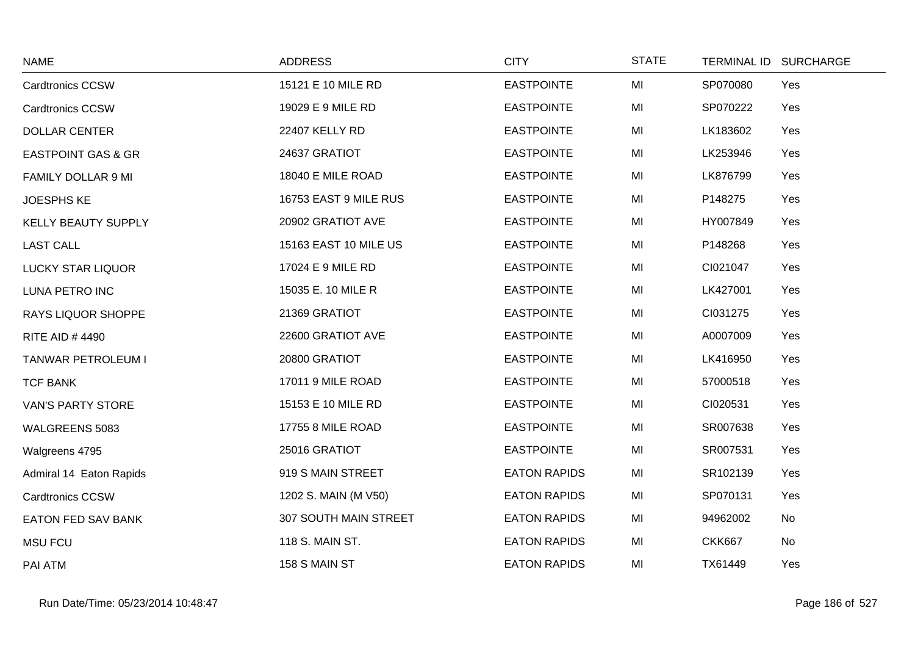| <b>NAME</b>                   | <b>ADDRESS</b>        | <b>CITY</b>         | <b>STATE</b> | TERMINAL ID SURCHARGE |
|-------------------------------|-----------------------|---------------------|--------------|-----------------------|
| <b>Cardtronics CCSW</b>       | 15121 E 10 MILE RD    | <b>EASTPOINTE</b>   | MI           | SP070080<br>Yes       |
| <b>Cardtronics CCSW</b>       | 19029 E 9 MILE RD     | <b>EASTPOINTE</b>   | MI           | SP070222<br>Yes       |
| <b>DOLLAR CENTER</b>          | 22407 KELLY RD        | <b>EASTPOINTE</b>   | MI           | LK183602<br>Yes       |
| <b>EASTPOINT GAS &amp; GR</b> | 24637 GRATIOT         | <b>EASTPOINTE</b>   | MI           | LK253946<br>Yes       |
| FAMILY DOLLAR 9 MI            | 18040 E MILE ROAD     | <b>EASTPOINTE</b>   | MI           | LK876799<br>Yes       |
| <b>JOESPHS KE</b>             | 16753 EAST 9 MILE RUS | <b>EASTPOINTE</b>   | MI           | P148275<br>Yes        |
| KELLY BEAUTY SUPPLY           | 20902 GRATIOT AVE     | <b>EASTPOINTE</b>   | MI           | HY007849<br>Yes       |
| <b>LAST CALL</b>              | 15163 EAST 10 MILE US | <b>EASTPOINTE</b>   | MI           | P148268<br>Yes        |
| <b>LUCKY STAR LIQUOR</b>      | 17024 E 9 MILE RD     | <b>EASTPOINTE</b>   | MI           | CI021047<br>Yes       |
| <b>LUNA PETRO INC</b>         | 15035 E. 10 MILE R    | <b>EASTPOINTE</b>   | MI           | LK427001<br>Yes       |
| <b>RAYS LIQUOR SHOPPE</b>     | 21369 GRATIOT         | <b>EASTPOINTE</b>   | MI           | CI031275<br>Yes       |
| <b>RITE AID #4490</b>         | 22600 GRATIOT AVE     | <b>EASTPOINTE</b>   | MI           | A0007009<br>Yes       |
| TANWAR PETROLEUM I            | 20800 GRATIOT         | <b>EASTPOINTE</b>   | MI           | LK416950<br>Yes       |
| <b>TCF BANK</b>               | 17011 9 MILE ROAD     | <b>EASTPOINTE</b>   | MI           | 57000518<br>Yes       |
| <b>VAN'S PARTY STORE</b>      | 15153 E 10 MILE RD    | <b>EASTPOINTE</b>   | MI           | CI020531<br>Yes       |
| WALGREENS 5083                | 17755 8 MILE ROAD     | <b>EASTPOINTE</b>   | MI           | SR007638<br>Yes       |
| Walgreens 4795                | 25016 GRATIOT         | <b>EASTPOINTE</b>   | MI           | SR007531<br>Yes       |
| Admiral 14 Eaton Rapids       | 919 S MAIN STREET     | <b>EATON RAPIDS</b> | MI           | SR102139<br>Yes       |
| <b>Cardtronics CCSW</b>       | 1202 S. MAIN (M V50)  | <b>EATON RAPIDS</b> | MI           | SP070131<br>Yes       |
| <b>EATON FED SAV BANK</b>     | 307 SOUTH MAIN STREET | <b>EATON RAPIDS</b> | MI           | 94962002<br>No        |
| <b>MSU FCU</b>                | 118 S. MAIN ST.       | <b>EATON RAPIDS</b> | MI           | <b>CKK667</b><br>No   |
| PAI ATM                       | 158 S MAIN ST         | <b>EATON RAPIDS</b> | MI           | TX61449<br>Yes        |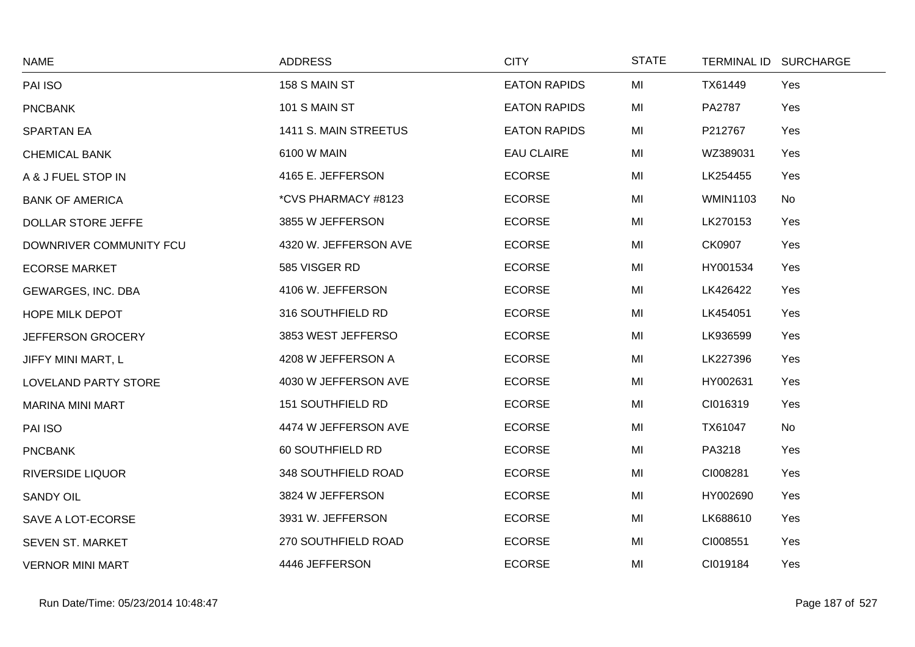| <b>NAME</b>             | <b>ADDRESS</b>        | <b>CITY</b>         | <b>STATE</b> |                 | TERMINAL ID SURCHARGE |
|-------------------------|-----------------------|---------------------|--------------|-----------------|-----------------------|
| PAI ISO                 | 158 S MAIN ST         | <b>EATON RAPIDS</b> | MI           | TX61449         | Yes                   |
| <b>PNCBANK</b>          | 101 S MAIN ST         | <b>EATON RAPIDS</b> | MI           | PA2787          | Yes                   |
| <b>SPARTAN EA</b>       | 1411 S. MAIN STREETUS | <b>EATON RAPIDS</b> | MI           | P212767         | Yes                   |
| <b>CHEMICAL BANK</b>    | 6100 W MAIN           | <b>EAU CLAIRE</b>   | MI           | WZ389031        | Yes                   |
| A & J FUEL STOP IN      | 4165 E. JEFFERSON     | <b>ECORSE</b>       | MI           | LK254455        | Yes                   |
| <b>BANK OF AMERICA</b>  | *CVS PHARMACY #8123   | <b>ECORSE</b>       | MI           | <b>WMIN1103</b> | No                    |
| DOLLAR STORE JEFFE      | 3855 W JEFFERSON      | <b>ECORSE</b>       | MI           | LK270153        | Yes                   |
| DOWNRIVER COMMUNITY FCU | 4320 W. JEFFERSON AVE | <b>ECORSE</b>       | MI           | CK0907          | Yes                   |
| <b>ECORSE MARKET</b>    | 585 VISGER RD         | <b>ECORSE</b>       | MI           | HY001534        | Yes                   |
| GEWARGES, INC. DBA      | 4106 W. JEFFERSON     | <b>ECORSE</b>       | MI           | LK426422        | Yes                   |
| <b>HOPE MILK DEPOT</b>  | 316 SOUTHFIELD RD     | <b>ECORSE</b>       | MI           | LK454051        | Yes                   |
| JEFFERSON GROCERY       | 3853 WEST JEFFERSO    | <b>ECORSE</b>       | MI           | LK936599        | Yes                   |
| JIFFY MINI MART, L      | 4208 W JEFFERSON A    | <b>ECORSE</b>       | MI           | LK227396        | Yes                   |
| LOVELAND PARTY STORE    | 4030 W JEFFERSON AVE  | <b>ECORSE</b>       | MI           | HY002631        | Yes                   |
| <b>MARINA MINI MART</b> | 151 SOUTHFIELD RD     | <b>ECORSE</b>       | MI           | CI016319        | Yes                   |
| PAI ISO                 | 4474 W JEFFERSON AVE  | <b>ECORSE</b>       | MI           | TX61047         | No                    |
| <b>PNCBANK</b>          | 60 SOUTHFIELD RD      | <b>ECORSE</b>       | MI           | PA3218          | Yes                   |
| <b>RIVERSIDE LIQUOR</b> | 348 SOUTHFIELD ROAD   | <b>ECORSE</b>       | MI           | CI008281        | Yes                   |
| <b>SANDY OIL</b>        | 3824 W JEFFERSON      | <b>ECORSE</b>       | MI           | HY002690        | Yes                   |
| SAVE A LOT-ECORSE       | 3931 W. JEFFERSON     | <b>ECORSE</b>       | MI           | LK688610        | Yes                   |
| SEVEN ST. MARKET        | 270 SOUTHFIELD ROAD   | <b>ECORSE</b>       | MI           | CI008551        | Yes                   |
| <b>VERNOR MINI MART</b> | 4446 JEFFERSON        | <b>ECORSE</b>       | MI           | CI019184        | Yes                   |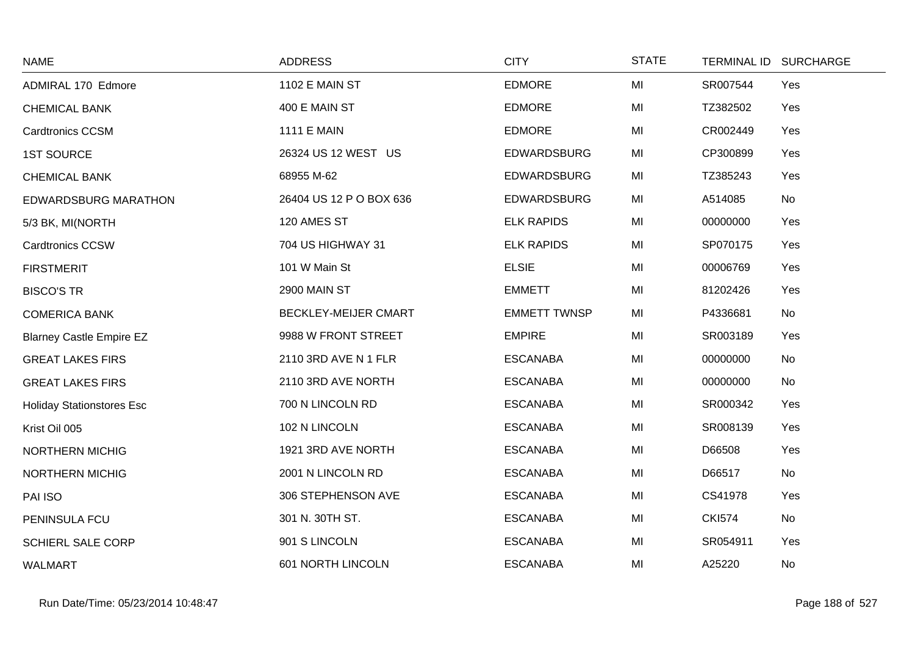| <b>NAME</b>                      | <b>ADDRESS</b>          | <b>CITY</b>         | <b>STATE</b> |               | TERMINAL ID SURCHARGE |
|----------------------------------|-------------------------|---------------------|--------------|---------------|-----------------------|
| ADMIRAL 170 Edmore               | 1102 E MAIN ST          | <b>EDMORE</b>       | MI           | SR007544      | Yes                   |
| <b>CHEMICAL BANK</b>             | 400 E MAIN ST           | <b>EDMORE</b>       | MI           | TZ382502      | Yes                   |
| <b>Cardtronics CCSM</b>          | <b>1111 E MAIN</b>      | <b>EDMORE</b>       | MI           | CR002449      | Yes                   |
| <b>1ST SOURCE</b>                | 26324 US 12 WEST US     | <b>EDWARDSBURG</b>  | MI           | CP300899      | Yes                   |
| <b>CHEMICAL BANK</b>             | 68955 M-62              | <b>EDWARDSBURG</b>  | MI           | TZ385243      | Yes                   |
| <b>EDWARDSBURG MARATHON</b>      | 26404 US 12 P O BOX 636 | <b>EDWARDSBURG</b>  | MI           | A514085       | No                    |
| 5/3 BK, MI(NORTH                 | 120 AMES ST             | <b>ELK RAPIDS</b>   | MI           | 00000000      | Yes                   |
| <b>Cardtronics CCSW</b>          | 704 US HIGHWAY 31       | <b>ELK RAPIDS</b>   | MI           | SP070175      | Yes                   |
| <b>FIRSTMERIT</b>                | 101 W Main St           | <b>ELSIE</b>        | MI           | 00006769      | Yes                   |
| <b>BISCO'S TR</b>                | 2900 MAIN ST            | <b>EMMETT</b>       | MI           | 81202426      | Yes                   |
| <b>COMERICA BANK</b>             | BECKLEY-MEIJER CMART    | <b>EMMETT TWNSP</b> | MI           | P4336681      | No                    |
| <b>Blarney Castle Empire EZ</b>  | 9988 W FRONT STREET     | <b>EMPIRE</b>       | MI           | SR003189      | Yes                   |
| <b>GREAT LAKES FIRS</b>          | 2110 3RD AVE N 1 FLR    | <b>ESCANABA</b>     | MI           | 00000000      | No                    |
| <b>GREAT LAKES FIRS</b>          | 2110 3RD AVE NORTH      | <b>ESCANABA</b>     | MI           | 00000000      | No                    |
| <b>Holiday Stationstores Esc</b> | 700 N LINCOLN RD        | <b>ESCANABA</b>     | MI           | SR000342      | Yes                   |
| Krist Oil 005                    | 102 N LINCOLN           | <b>ESCANABA</b>     | MI           | SR008139      | Yes                   |
| <b>NORTHERN MICHIG</b>           | 1921 3RD AVE NORTH      | <b>ESCANABA</b>     | MI           | D66508        | Yes                   |
| <b>NORTHERN MICHIG</b>           | 2001 N LINCOLN RD       | <b>ESCANABA</b>     | MI           | D66517        | No                    |
| PAI ISO                          | 306 STEPHENSON AVE      | <b>ESCANABA</b>     | MI           | CS41978       | Yes                   |
| PENINSULA FCU                    | 301 N. 30TH ST.         | <b>ESCANABA</b>     | MI           | <b>CKI574</b> | No                    |
| SCHIERL SALE CORP                | 901 S LINCOLN           | <b>ESCANABA</b>     | MI           | SR054911      | Yes                   |
| <b>WALMART</b>                   | 601 NORTH LINCOLN       | <b>ESCANABA</b>     | MI           | A25220        | No                    |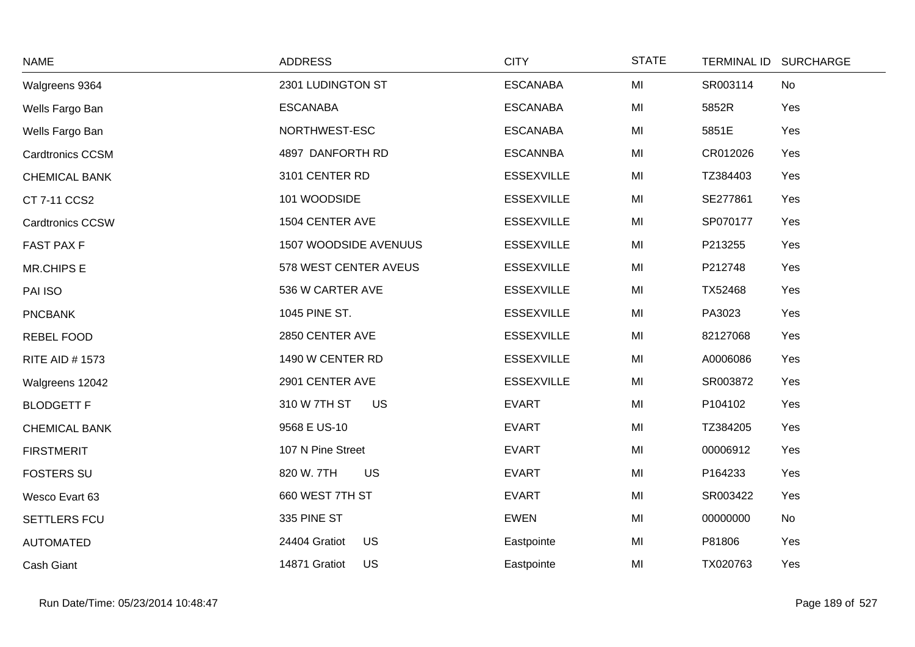| <b>NAME</b>             | <b>ADDRESS</b>               | <b>CITY</b>       | <b>STATE</b> | TERMINAL ID SURCHARGE |
|-------------------------|------------------------------|-------------------|--------------|-----------------------|
| Walgreens 9364          | 2301 LUDINGTON ST            | <b>ESCANABA</b>   | MI           | SR003114<br>No        |
| Wells Fargo Ban         | <b>ESCANABA</b>              | <b>ESCANABA</b>   | MI           | 5852R<br>Yes          |
| Wells Fargo Ban         | NORTHWEST-ESC                | <b>ESCANABA</b>   | MI           | 5851E<br>Yes          |
| <b>Cardtronics CCSM</b> | 4897 DANFORTH RD             | <b>ESCANNBA</b>   | MI           | CR012026<br>Yes       |
| <b>CHEMICAL BANK</b>    | 3101 CENTER RD               | <b>ESSEXVILLE</b> | MI           | TZ384403<br>Yes       |
| CT 7-11 CCS2            | 101 WOODSIDE                 | <b>ESSEXVILLE</b> | MI           | SE277861<br>Yes       |
| <b>Cardtronics CCSW</b> | 1504 CENTER AVE              | <b>ESSEXVILLE</b> | MI           | SP070177<br>Yes       |
| <b>FAST PAX F</b>       | <b>1507 WOODSIDE AVENUUS</b> | <b>ESSEXVILLE</b> | MI           | Yes<br>P213255        |
| <b>MR.CHIPS E</b>       | 578 WEST CENTER AVEUS        | <b>ESSEXVILLE</b> | MI           | P212748<br>Yes        |
| PAI ISO                 | 536 W CARTER AVE             | <b>ESSEXVILLE</b> | MI           | Yes<br>TX52468        |
| <b>PNCBANK</b>          | 1045 PINE ST.                | <b>ESSEXVILLE</b> | MI           | PA3023<br>Yes         |
| REBEL FOOD              | 2850 CENTER AVE              | <b>ESSEXVILLE</b> | MI           | 82127068<br>Yes       |
| <b>RITE AID #1573</b>   | 1490 W CENTER RD             | <b>ESSEXVILLE</b> | MI           | Yes<br>A0006086       |
| Walgreens 12042         | 2901 CENTER AVE              | <b>ESSEXVILLE</b> | MI           | SR003872<br>Yes       |
| <b>BLODGETT F</b>       | 310 W 7TH ST<br><b>US</b>    | <b>EVART</b>      | MI           | P104102<br>Yes        |
| <b>CHEMICAL BANK</b>    | 9568 E US-10                 | <b>EVART</b>      | MI           | TZ384205<br>Yes       |
| <b>FIRSTMERIT</b>       | 107 N Pine Street            | <b>EVART</b>      | MI           | 00006912<br>Yes       |
| <b>FOSTERS SU</b>       | 820 W. 7TH<br><b>US</b>      | <b>EVART</b>      | MI           | Yes<br>P164233        |
| Wesco Evart 63          | 660 WEST 7TH ST              | <b>EVART</b>      | MI           | SR003422<br>Yes       |
| SETTLERS FCU            | 335 PINE ST                  | <b>EWEN</b>       | MI           | 00000000<br>No        |
| <b>AUTOMATED</b>        | <b>US</b><br>24404 Gratiot   | Eastpointe        | MI           | Yes<br>P81806         |
| Cash Giant              | 14871 Gratiot<br><b>US</b>   | Eastpointe        | MI           | TX020763<br>Yes       |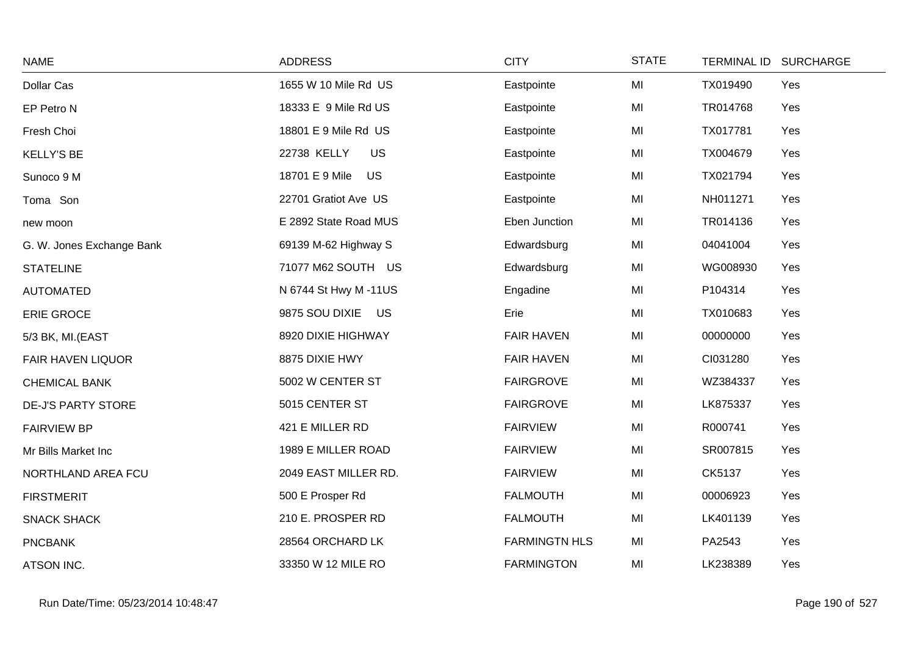| <b>NAME</b>               | <b>ADDRESS</b>              | <b>CITY</b>          | <b>STATE</b> | <b>TERMINAL ID</b> | <b>SURCHARGE</b> |
|---------------------------|-----------------------------|----------------------|--------------|--------------------|------------------|
| Dollar Cas                | 1655 W 10 Mile Rd US        | Eastpointe           | MI           | TX019490           | Yes              |
| EP Petro N                | 18333 E 9 Mile Rd US        | Eastpointe           | MI           | TR014768           | Yes              |
| Fresh Choi                | 18801 E 9 Mile Rd US        | Eastpointe           | MI           | TX017781           | Yes              |
| <b>KELLY'S BE</b>         | 22738 KELLY<br>US           | Eastpointe           | MI           | TX004679           | Yes              |
| Sunoco 9 M                | 18701 E 9 Mile<br><b>US</b> | Eastpointe           | MI           | TX021794           | Yes              |
| Toma Son                  | 22701 Gratiot Ave US        | Eastpointe           | MI           | NH011271           | Yes              |
| new moon                  | E 2892 State Road MUS       | Eben Junction        | MI           | TR014136           | Yes              |
| G. W. Jones Exchange Bank | 69139 M-62 Highway S        | Edwardsburg          | MI           | 04041004           | Yes              |
| <b>STATELINE</b>          | 71077 M62 SOUTH US          | Edwardsburg          | MI           | WG008930           | Yes              |
| <b>AUTOMATED</b>          | N 6744 St Hwy M -11US       | Engadine             | MI           | P104314            | Yes              |
| ERIE GROCE                | 9875 SOU DIXIE US           | Erie                 | MI           | TX010683           | Yes              |
| 5/3 BK, MI.(EAST          | 8920 DIXIE HIGHWAY          | <b>FAIR HAVEN</b>    | MI           | 00000000           | Yes              |
| <b>FAIR HAVEN LIQUOR</b>  | 8875 DIXIE HWY              | <b>FAIR HAVEN</b>    | MI           | CI031280           | Yes              |
| <b>CHEMICAL BANK</b>      | 5002 W CENTER ST            | <b>FAIRGROVE</b>     | MI           | WZ384337           | Yes              |
| <b>DE-J'S PARTY STORE</b> | 5015 CENTER ST              | <b>FAIRGROVE</b>     | MI           | LK875337           | Yes              |
| <b>FAIRVIEW BP</b>        | 421 E MILLER RD             | <b>FAIRVIEW</b>      | MI           | R000741            | Yes              |
| Mr Bills Market Inc       | 1989 E MILLER ROAD          | <b>FAIRVIEW</b>      | MI           | SR007815           | Yes              |
| NORTHLAND AREA FCU        | 2049 EAST MILLER RD.        | <b>FAIRVIEW</b>      | MI           | CK5137             | Yes              |
| <b>FIRSTMERIT</b>         | 500 E Prosper Rd            | <b>FALMOUTH</b>      | MI           | 00006923           | Yes              |
| <b>SNACK SHACK</b>        | 210 E. PROSPER RD           | <b>FALMOUTH</b>      | MI           | LK401139           | Yes              |
| <b>PNCBANK</b>            | 28564 ORCHARD LK            | <b>FARMINGTN HLS</b> | MI           | PA2543             | Yes              |
| ATSON INC.                | 33350 W 12 MILE RO          | <b>FARMINGTON</b>    | MI           | LK238389           | Yes              |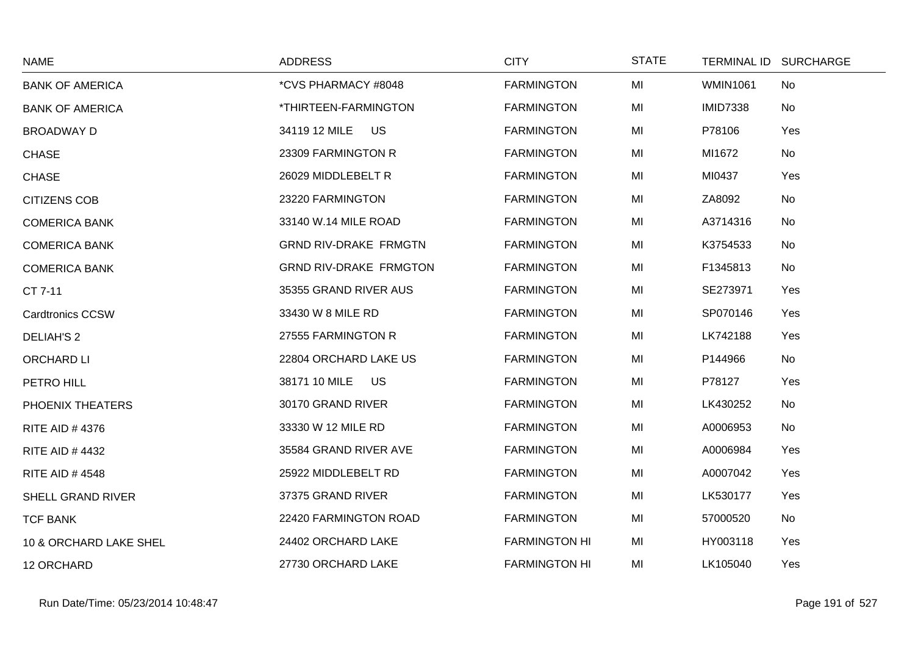| <b>NAME</b>              | <b>ADDRESS</b>                | <b>CITY</b>          | <b>STATE</b> |                 | TERMINAL ID SURCHARGE |
|--------------------------|-------------------------------|----------------------|--------------|-----------------|-----------------------|
| <b>BANK OF AMERICA</b>   | *CVS PHARMACY #8048           | <b>FARMINGTON</b>    | MI           | <b>WMIN1061</b> | No                    |
| <b>BANK OF AMERICA</b>   | *THIRTEEN-FARMINGTON          | <b>FARMINGTON</b>    | MI           | <b>IMID7338</b> | <b>No</b>             |
| <b>BROADWAY D</b>        | 34119 12 MILE<br><b>US</b>    | <b>FARMINGTON</b>    | MI           | P78106          | Yes                   |
| <b>CHASE</b>             | 23309 FARMINGTON R            | <b>FARMINGTON</b>    | MI           | MI1672          | No                    |
| <b>CHASE</b>             | 26029 MIDDLEBELT R            | <b>FARMINGTON</b>    | MI           | MI0437          | Yes                   |
| <b>CITIZENS COB</b>      | 23220 FARMINGTON              | <b>FARMINGTON</b>    | MI           | ZA8092          | No                    |
| <b>COMERICA BANK</b>     | 33140 W.14 MILE ROAD          | <b>FARMINGTON</b>    | MI           | A3714316        | <b>No</b>             |
| <b>COMERICA BANK</b>     | <b>GRND RIV-DRAKE FRMGTN</b>  | <b>FARMINGTON</b>    | MI           | K3754533        | No                    |
| <b>COMERICA BANK</b>     | <b>GRND RIV-DRAKE FRMGTON</b> | <b>FARMINGTON</b>    | MI           | F1345813        | No                    |
| CT 7-11                  | 35355 GRAND RIVER AUS         | <b>FARMINGTON</b>    | MI           | SE273971        | Yes                   |
| <b>Cardtronics CCSW</b>  | 33430 W 8 MILE RD             | <b>FARMINGTON</b>    | MI           | SP070146        | Yes                   |
| <b>DELIAH'S 2</b>        | 27555 FARMINGTON R            | <b>FARMINGTON</b>    | MI           | LK742188        | Yes                   |
| ORCHARD LI               | 22804 ORCHARD LAKE US         | <b>FARMINGTON</b>    | MI           | P144966         | No                    |
| PETRO HILL               | 38171 10 MILE<br><b>US</b>    | <b>FARMINGTON</b>    | MI           | P78127          | Yes                   |
| PHOENIX THEATERS         | 30170 GRAND RIVER             | <b>FARMINGTON</b>    | MI           | LK430252        | No                    |
| <b>RITE AID #4376</b>    | 33330 W 12 MILE RD            | <b>FARMINGTON</b>    | MI           | A0006953        | No                    |
| <b>RITE AID #4432</b>    | 35584 GRAND RIVER AVE         | <b>FARMINGTON</b>    | MI           | A0006984        | Yes                   |
| <b>RITE AID #4548</b>    | 25922 MIDDLEBELT RD           | <b>FARMINGTON</b>    | MI           | A0007042        | Yes                   |
| <b>SHELL GRAND RIVER</b> | 37375 GRAND RIVER             | <b>FARMINGTON</b>    | MI           | LK530177        | Yes                   |
| <b>TCF BANK</b>          | 22420 FARMINGTON ROAD         | <b>FARMINGTON</b>    | MI           | 57000520        | No                    |
| 10 & ORCHARD LAKE SHEL   | 24402 ORCHARD LAKE            | <b>FARMINGTON HI</b> | MI           | HY003118        | Yes                   |
| 12 ORCHARD               | 27730 ORCHARD LAKE            | <b>FARMINGTON HI</b> | MI           | LK105040        | Yes                   |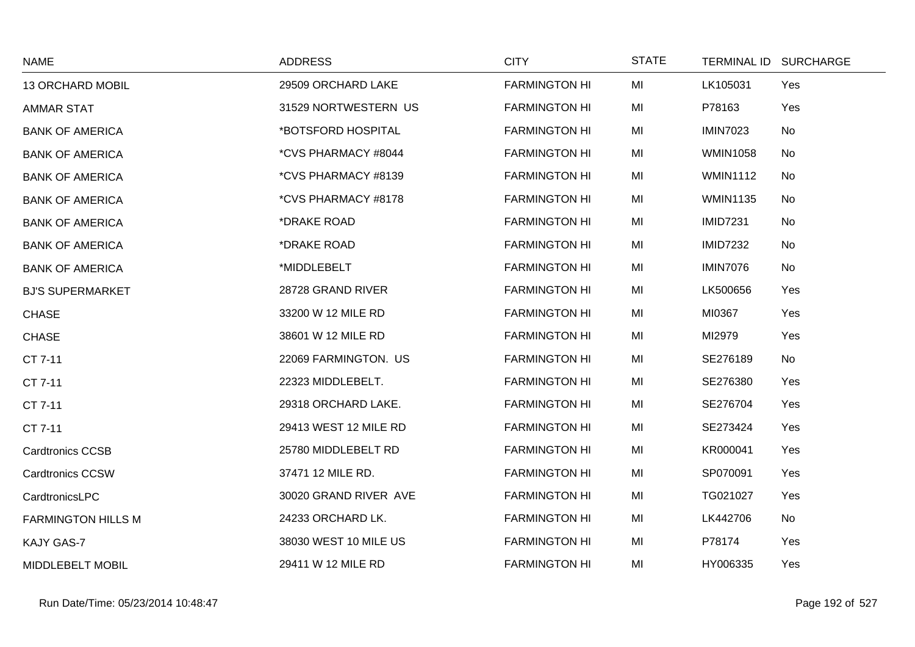| <b>NAME</b>               | <b>ADDRESS</b>        | <b>CITY</b>          | <b>STATE</b> |                 | TERMINAL ID SURCHARGE |
|---------------------------|-----------------------|----------------------|--------------|-----------------|-----------------------|
| <b>13 ORCHARD MOBIL</b>   | 29509 ORCHARD LAKE    | <b>FARMINGTON HI</b> | MI           | LK105031        | Yes                   |
| <b>AMMAR STAT</b>         | 31529 NORTWESTERN US  | <b>FARMINGTON HI</b> | MI           | P78163          | Yes                   |
| <b>BANK OF AMERICA</b>    | *BOTSFORD HOSPITAL    | <b>FARMINGTON HI</b> | MI           | <b>IMIN7023</b> | No                    |
| <b>BANK OF AMERICA</b>    | *CVS PHARMACY #8044   | <b>FARMINGTON HI</b> | MI           | <b>WMIN1058</b> | No                    |
| <b>BANK OF AMERICA</b>    | *CVS PHARMACY #8139   | <b>FARMINGTON HI</b> | MI           | <b>WMIN1112</b> | No                    |
| <b>BANK OF AMERICA</b>    | *CVS PHARMACY #8178   | <b>FARMINGTON HI</b> | MI           | <b>WMIN1135</b> | No                    |
| <b>BANK OF AMERICA</b>    | *DRAKE ROAD           | <b>FARMINGTON HI</b> | MI           | <b>IMID7231</b> | No                    |
| <b>BANK OF AMERICA</b>    | *DRAKE ROAD           | <b>FARMINGTON HI</b> | MI           | <b>IMID7232</b> | No                    |
| <b>BANK OF AMERICA</b>    | *MIDDLEBELT           | <b>FARMINGTON HI</b> | MI           | <b>IMIN7076</b> | No                    |
| <b>BJ'S SUPERMARKET</b>   | 28728 GRAND RIVER     | <b>FARMINGTON HI</b> | MI           | LK500656        | Yes                   |
| <b>CHASE</b>              | 33200 W 12 MILE RD    | <b>FARMINGTON HI</b> | MI           | MI0367          | Yes                   |
| <b>CHASE</b>              | 38601 W 12 MILE RD    | <b>FARMINGTON HI</b> | MI           | MI2979          | Yes                   |
| CT 7-11                   | 22069 FARMINGTON. US  | <b>FARMINGTON HI</b> | MI           | SE276189        | No                    |
| CT 7-11                   | 22323 MIDDLEBELT.     | <b>FARMINGTON HI</b> | MI           | SE276380        | Yes                   |
| CT 7-11                   | 29318 ORCHARD LAKE.   | <b>FARMINGTON HI</b> | MI           | SE276704        | Yes                   |
| CT 7-11                   | 29413 WEST 12 MILE RD | <b>FARMINGTON HI</b> | MI           | SE273424        | Yes                   |
| <b>Cardtronics CCSB</b>   | 25780 MIDDLEBELT RD   | <b>FARMINGTON HI</b> | MI           | KR000041        | Yes                   |
| <b>Cardtronics CCSW</b>   | 37471 12 MILE RD.     | <b>FARMINGTON HI</b> | MI           | SP070091        | Yes                   |
| CardtronicsLPC            | 30020 GRAND RIVER AVE | <b>FARMINGTON HI</b> | MI           | TG021027        | Yes                   |
| <b>FARMINGTON HILLS M</b> | 24233 ORCHARD LK.     | <b>FARMINGTON HI</b> | MI           | LK442706        | No                    |
| KAJY GAS-7                | 38030 WEST 10 MILE US | <b>FARMINGTON HI</b> | MI           | P78174          | Yes                   |
| MIDDLEBELT MOBIL          | 29411 W 12 MILE RD    | <b>FARMINGTON HI</b> | MI           | HY006335        | Yes                   |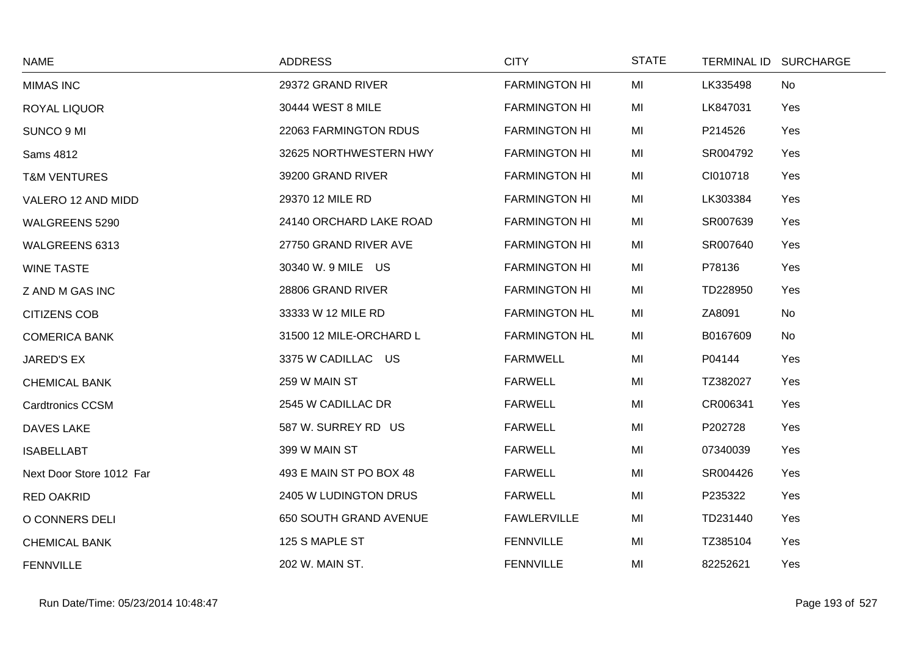| <b>NAME</b>              | <b>ADDRESS</b>          | <b>CITY</b>          | <b>STATE</b> | TERMINAL ID SURCHARGE |     |
|--------------------------|-------------------------|----------------------|--------------|-----------------------|-----|
| <b>MIMAS INC</b>         | 29372 GRAND RIVER       | <b>FARMINGTON HI</b> | MI           | LK335498              | No  |
| <b>ROYAL LIQUOR</b>      | 30444 WEST 8 MILE       | <b>FARMINGTON HI</b> | MI           | LK847031              | Yes |
| SUNCO 9 MI               | 22063 FARMINGTON RDUS   | <b>FARMINGTON HI</b> | MI           | P214526               | Yes |
| Sams 4812                | 32625 NORTHWESTERN HWY  | <b>FARMINGTON HI</b> | MI           | SR004792              | Yes |
| <b>T&amp;M VENTURES</b>  | 39200 GRAND RIVER       | <b>FARMINGTON HI</b> | MI           | CI010718              | Yes |
| VALERO 12 AND MIDD       | 29370 12 MILE RD        | <b>FARMINGTON HI</b> | MI           | LK303384              | Yes |
| WALGREENS 5290           | 24140 ORCHARD LAKE ROAD | <b>FARMINGTON HI</b> | MI           | SR007639              | Yes |
| WALGREENS 6313           | 27750 GRAND RIVER AVE   | <b>FARMINGTON HI</b> | MI           | SR007640              | Yes |
| <b>WINE TASTE</b>        | 30340 W. 9 MILE US      | <b>FARMINGTON HI</b> | MI           | P78136                | Yes |
| Z AND M GAS INC          | 28806 GRAND RIVER       | <b>FARMINGTON HI</b> | MI           | TD228950              | Yes |
| <b>CITIZENS COB</b>      | 33333 W 12 MILE RD      | <b>FARMINGTON HL</b> | MI           | ZA8091                | No  |
| <b>COMERICA BANK</b>     | 31500 12 MILE-ORCHARD L | <b>FARMINGTON HL</b> | MI           | B0167609              | No  |
| JARED'S EX               | 3375 W CADILLAC US      | <b>FARMWELL</b>      | MI           | P04144                | Yes |
| <b>CHEMICAL BANK</b>     | 259 W MAIN ST           | <b>FARWELL</b>       | MI           | TZ382027              | Yes |
| <b>Cardtronics CCSM</b>  | 2545 W CADILLAC DR      | <b>FARWELL</b>       | MI           | CR006341              | Yes |
| DAVES LAKE               | 587 W. SURREY RD US     | <b>FARWELL</b>       | MI           | P202728               | Yes |
| <b>ISABELLABT</b>        | 399 W MAIN ST           | <b>FARWELL</b>       | MI           | 07340039              | Yes |
| Next Door Store 1012 Far | 493 E MAIN ST PO BOX 48 | <b>FARWELL</b>       | MI           | SR004426              | Yes |
| <b>RED OAKRID</b>        | 2405 W LUDINGTON DRUS   | <b>FARWELL</b>       | MI           | P235322               | Yes |
| O CONNERS DELI           | 650 SOUTH GRAND AVENUE  | <b>FAWLERVILLE</b>   | MI           | TD231440              | Yes |
| <b>CHEMICAL BANK</b>     | 125 S MAPLE ST          | <b>FENNVILLE</b>     | MI           | TZ385104              | Yes |
| <b>FENNVILLE</b>         | 202 W. MAIN ST.         | <b>FENNVILLE</b>     | MI           | 82252621              | Yes |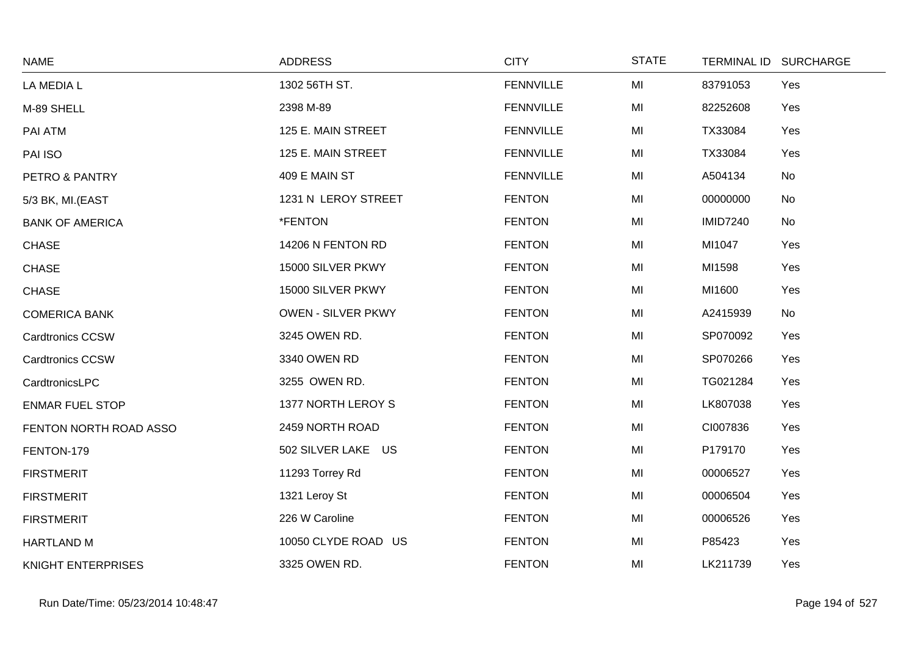| <b>NAME</b>               | <b>ADDRESS</b>            | <b>CITY</b>      | <b>STATE</b> |                 | TERMINAL ID SURCHARGE |
|---------------------------|---------------------------|------------------|--------------|-----------------|-----------------------|
| LA MEDIA L                | 1302 56TH ST.             | <b>FENNVILLE</b> | MI           | 83791053        | Yes                   |
| M-89 SHELL                | 2398 M-89                 | <b>FENNVILLE</b> | MI           | 82252608        | Yes                   |
| PAI ATM                   | 125 E. MAIN STREET        | <b>FENNVILLE</b> | MI           | TX33084         | Yes                   |
| PAI ISO                   | 125 E. MAIN STREET        | <b>FENNVILLE</b> | MI           | TX33084         | Yes                   |
| PETRO & PANTRY            | 409 E MAIN ST             | <b>FENNVILLE</b> | MI           | A504134         | No                    |
| 5/3 BK, MI.(EAST          | 1231 N LEROY STREET       | <b>FENTON</b>    | MI           | 00000000        | No                    |
| <b>BANK OF AMERICA</b>    | *FENTON                   | <b>FENTON</b>    | MI           | <b>IMID7240</b> | No                    |
| <b>CHASE</b>              | 14206 N FENTON RD         | <b>FENTON</b>    | MI           | MI1047          | Yes                   |
| <b>CHASE</b>              | 15000 SILVER PKWY         | <b>FENTON</b>    | MI           | MI1598          | Yes                   |
| <b>CHASE</b>              | 15000 SILVER PKWY         | <b>FENTON</b>    | MI           | MI1600          | Yes                   |
| <b>COMERICA BANK</b>      | <b>OWEN - SILVER PKWY</b> | <b>FENTON</b>    | MI           | A2415939        | No                    |
| <b>Cardtronics CCSW</b>   | 3245 OWEN RD.             | <b>FENTON</b>    | MI           | SP070092        | Yes                   |
| <b>Cardtronics CCSW</b>   | 3340 OWEN RD              | <b>FENTON</b>    | MI           | SP070266        | Yes                   |
| CardtronicsLPC            | 3255 OWEN RD.             | <b>FENTON</b>    | MI           | TG021284        | Yes                   |
| <b>ENMAR FUEL STOP</b>    | 1377 NORTH LEROY S        | <b>FENTON</b>    | MI           | LK807038        | Yes                   |
| FENTON NORTH ROAD ASSO    | 2459 NORTH ROAD           | <b>FENTON</b>    | MI           | CI007836        | Yes                   |
| FENTON-179                | 502 SILVER LAKE US        | <b>FENTON</b>    | MI           | P179170         | Yes                   |
| <b>FIRSTMERIT</b>         | 11293 Torrey Rd           | <b>FENTON</b>    | MI           | 00006527        | Yes                   |
| <b>FIRSTMERIT</b>         | 1321 Leroy St             | <b>FENTON</b>    | MI           | 00006504        | Yes                   |
| <b>FIRSTMERIT</b>         | 226 W Caroline            | <b>FENTON</b>    | MI           | 00006526        | Yes                   |
| HARTLAND M                | 10050 CLYDE ROAD US       | <b>FENTON</b>    | MI           | P85423          | Yes                   |
| <b>KNIGHT ENTERPRISES</b> | 3325 OWEN RD.             | <b>FENTON</b>    | MI           | LK211739        | Yes                   |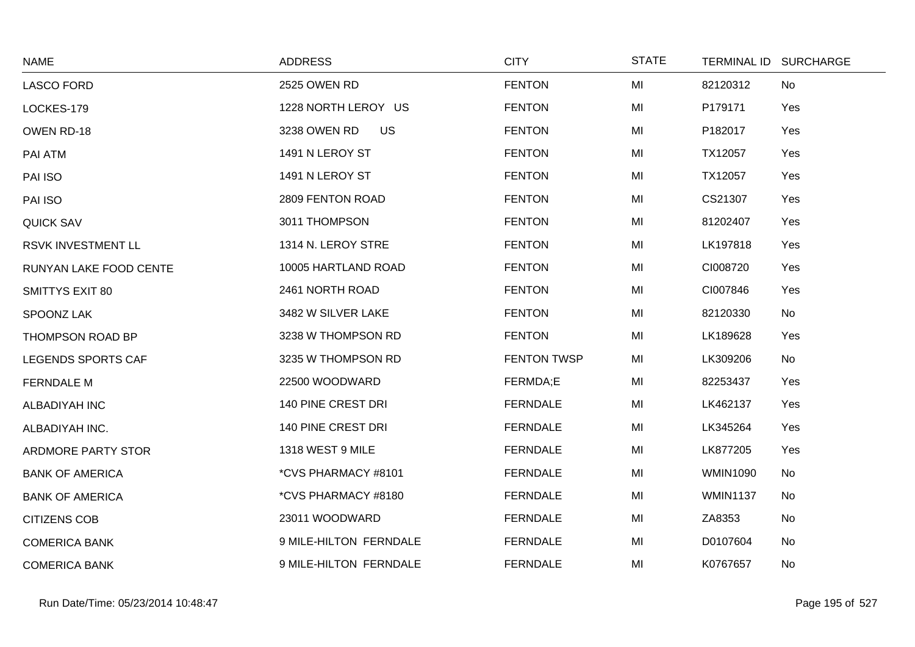| <b>NAME</b>            | <b>ADDRESS</b>            | <b>CITY</b>        | <b>STATE</b> |                 | TERMINAL ID SURCHARGE |
|------------------------|---------------------------|--------------------|--------------|-----------------|-----------------------|
| <b>LASCO FORD</b>      | 2525 OWEN RD              | <b>FENTON</b>      | MI           | 82120312        | No                    |
| LOCKES-179             | 1228 NORTH LEROY US       | <b>FENTON</b>      | MI           | P179171         | Yes                   |
| OWEN RD-18             | 3238 OWEN RD<br><b>US</b> | <b>FENTON</b>      | MI           | P182017         | Yes                   |
| PAI ATM                | 1491 N LEROY ST           | <b>FENTON</b>      | MI           | TX12057         | Yes                   |
| PAI ISO                | 1491 N LEROY ST           | <b>FENTON</b>      | MI           | TX12057         | Yes                   |
| PAI ISO                | 2809 FENTON ROAD          | <b>FENTON</b>      | MI           | CS21307         | Yes                   |
| <b>QUICK SAV</b>       | 3011 THOMPSON             | <b>FENTON</b>      | MI           | 81202407        | Yes                   |
| RSVK INVESTMENT LL     | 1314 N. LEROY STRE        | <b>FENTON</b>      | MI           | LK197818        | Yes                   |
| RUNYAN LAKE FOOD CENTE | 10005 HARTLAND ROAD       | <b>FENTON</b>      | MI           | CI008720        | Yes                   |
| <b>SMITTYS EXIT 80</b> | 2461 NORTH ROAD           | <b>FENTON</b>      | MI           | CI007846        | Yes                   |
| SPOONZ LAK             | 3482 W SILVER LAKE        | <b>FENTON</b>      | MI           | 82120330        | No                    |
| THOMPSON ROAD BP       | 3238 W THOMPSON RD        | <b>FENTON</b>      | MI           | LK189628        | Yes                   |
| LEGENDS SPORTS CAF     | 3235 W THOMPSON RD        | <b>FENTON TWSP</b> | MI           | LK309206        | No                    |
| <b>FERNDALE M</b>      | 22500 WOODWARD            | FERMDA;E           | MI           | 82253437        | Yes                   |
| ALBADIYAH INC          | 140 PINE CREST DRI        | <b>FERNDALE</b>    | MI           | LK462137        | Yes                   |
| ALBADIYAH INC.         | <b>140 PINE CREST DRI</b> | <b>FERNDALE</b>    | MI           | LK345264        | Yes                   |
| ARDMORE PARTY STOR     | 1318 WEST 9 MILE          | <b>FERNDALE</b>    | MI           | LK877205        | Yes                   |
| <b>BANK OF AMERICA</b> | *CVS PHARMACY #8101       | <b>FERNDALE</b>    | MI           | <b>WMIN1090</b> | No                    |
| <b>BANK OF AMERICA</b> | *CVS PHARMACY #8180       | <b>FERNDALE</b>    | MI           | <b>WMIN1137</b> | No                    |
| <b>CITIZENS COB</b>    | 23011 WOODWARD            | <b>FERNDALE</b>    | MI           | ZA8353          | No                    |
| <b>COMERICA BANK</b>   | 9 MILE-HILTON FERNDALE    | <b>FERNDALE</b>    | MI           | D0107604        | No                    |
| <b>COMERICA BANK</b>   | 9 MILE-HILTON FERNDALE    | <b>FERNDALE</b>    | MI           | K0767657        | No                    |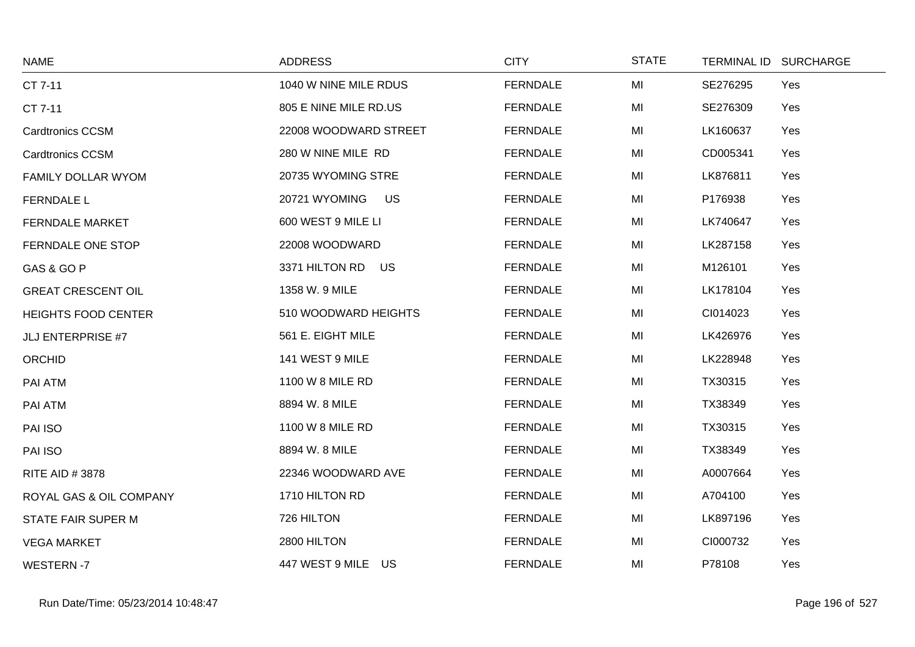| <b>NAME</b>                | <b>ADDRESS</b>             | <b>CITY</b>     | <b>STATE</b> | TERMINAL ID SURCHARGE |     |
|----------------------------|----------------------------|-----------------|--------------|-----------------------|-----|
| CT 7-11                    | 1040 W NINE MILE RDUS      | <b>FERNDALE</b> | MI           | SE276295              | Yes |
| CT 7-11                    | 805 E NINE MILE RD.US      | <b>FERNDALE</b> | MI           | SE276309              | Yes |
| <b>Cardtronics CCSM</b>    | 22008 WOODWARD STREET      | <b>FERNDALE</b> | MI           | LK160637              | Yes |
| <b>Cardtronics CCSM</b>    | 280 W NINE MILE RD         | <b>FERNDALE</b> | MI           | CD005341              | Yes |
| FAMILY DOLLAR WYOM         | 20735 WYOMING STRE         | <b>FERNDALE</b> | MI           | LK876811              | Yes |
| <b>FERNDALE L</b>          | <b>US</b><br>20721 WYOMING | <b>FERNDALE</b> | MI           | P176938               | Yes |
| <b>FERNDALE MARKET</b>     | 600 WEST 9 MILE LI         | <b>FERNDALE</b> | MI           | LK740647              | Yes |
| FERNDALE ONE STOP          | 22008 WOODWARD             | <b>FERNDALE</b> | MI           | LK287158              | Yes |
| GAS & GO P                 | 3371 HILTON RD<br>US       | <b>FERNDALE</b> | MI           | M126101               | Yes |
| <b>GREAT CRESCENT OIL</b>  | 1358 W. 9 MILE             | <b>FERNDALE</b> | MI           | LK178104              | Yes |
| <b>HEIGHTS FOOD CENTER</b> | 510 WOODWARD HEIGHTS       | <b>FERNDALE</b> | MI           | CI014023              | Yes |
| <b>JLJ ENTERPRISE #7</b>   | 561 E. EIGHT MILE          | <b>FERNDALE</b> | MI           | LK426976              | Yes |
| <b>ORCHID</b>              | 141 WEST 9 MILE            | <b>FERNDALE</b> | MI           | LK228948              | Yes |
| PAI ATM                    | 1100 W 8 MILE RD           | <b>FERNDALE</b> | MI           | TX30315               | Yes |
| PAI ATM                    | 8894 W. 8 MILE             | <b>FERNDALE</b> | MI           | TX38349               | Yes |
| PAI ISO                    | 1100 W 8 MILE RD           | <b>FERNDALE</b> | MI           | TX30315               | Yes |
| PAI ISO                    | 8894 W. 8 MILE             | <b>FERNDALE</b> | MI           | TX38349               | Yes |
| <b>RITE AID #3878</b>      | 22346 WOODWARD AVE         | <b>FERNDALE</b> | MI           | A0007664              | Yes |
| ROYAL GAS & OIL COMPANY    | 1710 HILTON RD             | <b>FERNDALE</b> | MI           | A704100               | Yes |
| <b>STATE FAIR SUPER M</b>  | 726 HILTON                 | <b>FERNDALE</b> | MI           | LK897196              | Yes |
| <b>VEGA MARKET</b>         | 2800 HILTON                | <b>FERNDALE</b> | MI           | CI000732              | Yes |
| <b>WESTERN-7</b>           | 447 WEST 9 MILE US         | <b>FERNDALE</b> | MI           | P78108                | Yes |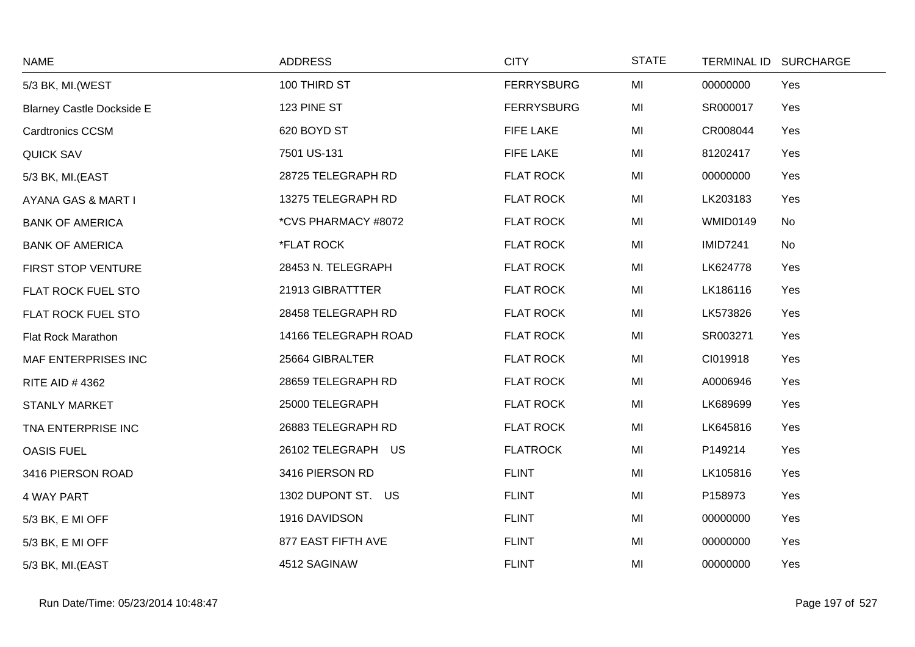| <b>NAME</b>                      | <b>ADDRESS</b>       | <b>CITY</b>       | <b>STATE</b> |                 | TERMINAL ID SURCHARGE |
|----------------------------------|----------------------|-------------------|--------------|-----------------|-----------------------|
| 5/3 BK, MI. (WEST                | 100 THIRD ST         | <b>FERRYSBURG</b> | MI           | 00000000        | Yes                   |
| <b>Blarney Castle Dockside E</b> | 123 PINE ST          | <b>FERRYSBURG</b> | MI           | SR000017        | Yes                   |
| Cardtronics CCSM                 | 620 BOYD ST          | <b>FIFE LAKE</b>  | MI           | CR008044        | Yes                   |
| <b>QUICK SAV</b>                 | 7501 US-131          | FIFE LAKE         | MI           | 81202417        | Yes                   |
| 5/3 BK, MI.(EAST                 | 28725 TELEGRAPH RD   | <b>FLAT ROCK</b>  | MI           | 00000000        | Yes                   |
| AYANA GAS & MART I               | 13275 TELEGRAPH RD   | <b>FLAT ROCK</b>  | MI           | LK203183        | Yes                   |
| <b>BANK OF AMERICA</b>           | *CVS PHARMACY #8072  | <b>FLAT ROCK</b>  | MI           | <b>WMID0149</b> | No                    |
| <b>BANK OF AMERICA</b>           | *FLAT ROCK           | <b>FLAT ROCK</b>  | MI           | <b>IMID7241</b> | No                    |
| FIRST STOP VENTURE               | 28453 N. TELEGRAPH   | <b>FLAT ROCK</b>  | MI           | LK624778        | Yes                   |
| FLAT ROCK FUEL STO               | 21913 GIBRATTTER     | <b>FLAT ROCK</b>  | MI           | LK186116        | Yes                   |
| FLAT ROCK FUEL STO               | 28458 TELEGRAPH RD   | <b>FLAT ROCK</b>  | MI           | LK573826        | Yes                   |
| <b>Flat Rock Marathon</b>        | 14166 TELEGRAPH ROAD | <b>FLAT ROCK</b>  | MI           | SR003271        | Yes                   |
| MAF ENTERPRISES INC              | 25664 GIBRALTER      | <b>FLAT ROCK</b>  | MI           | CI019918        | Yes                   |
| RITE AID #4362                   | 28659 TELEGRAPH RD   | <b>FLAT ROCK</b>  | MI           | A0006946        | Yes                   |
| <b>STANLY MARKET</b>             | 25000 TELEGRAPH      | <b>FLAT ROCK</b>  | MI           | LK689699        | Yes                   |
| TNA ENTERPRISE INC               | 26883 TELEGRAPH RD   | <b>FLAT ROCK</b>  | MI           | LK645816        | Yes                   |
| <b>OASIS FUEL</b>                | 26102 TELEGRAPH US   | <b>FLATROCK</b>   | MI           | P149214         | Yes                   |
| 3416 PIERSON ROAD                | 3416 PIERSON RD      | <b>FLINT</b>      | MI           | LK105816        | Yes                   |
| <b>4 WAY PART</b>                | 1302 DUPONT ST. US   | <b>FLINT</b>      | MI           | P158973         | Yes                   |
| 5/3 BK, E MI OFF                 | 1916 DAVIDSON        | <b>FLINT</b>      | MI           | 00000000        | Yes                   |
| 5/3 BK, E MI OFF                 | 877 EAST FIFTH AVE   | <b>FLINT</b>      | MI           | 00000000        | Yes                   |
| 5/3 BK, MI.(EAST                 | 4512 SAGINAW         | <b>FLINT</b>      | MI           | 00000000        | Yes                   |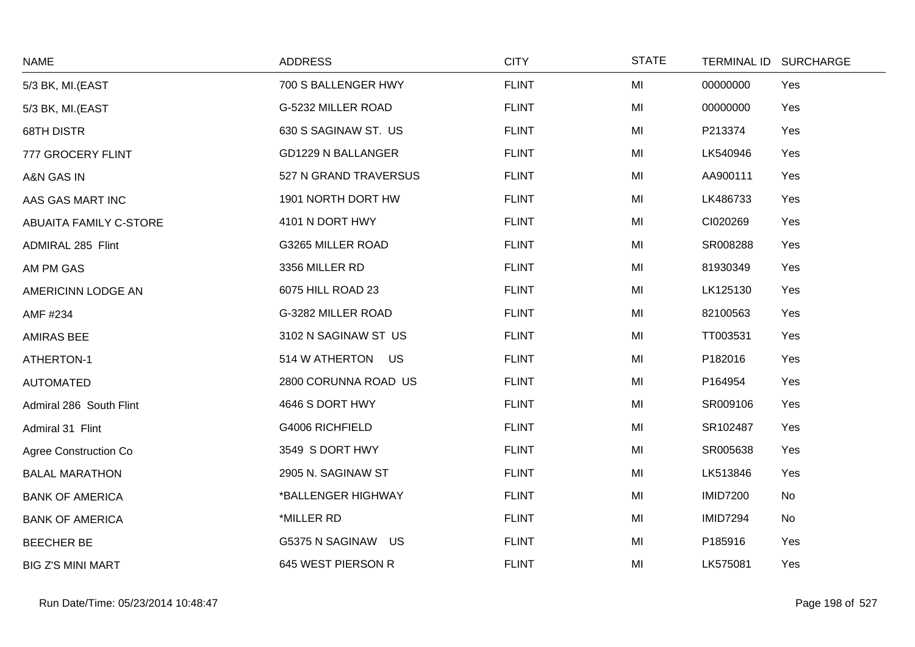| <b>NAME</b>                   | <b>ADDRESS</b>            | <b>CITY</b>  | <b>STATE</b> | <b>TERMINAL ID</b> | <b>SURCHARGE</b> |
|-------------------------------|---------------------------|--------------|--------------|--------------------|------------------|
| 5/3 BK, MI.(EAST              | 700 S BALLENGER HWY       | <b>FLINT</b> | MI           | 00000000           | Yes              |
| 5/3 BK, MI.(EAST              | G-5232 MILLER ROAD        | <b>FLINT</b> | MI           | 00000000           | Yes              |
| <b>68TH DISTR</b>             | 630 S SAGINAW ST. US      | <b>FLINT</b> | MI           | P213374            | Yes              |
| 777 GROCERY FLINT             | <b>GD1229 N BALLANGER</b> | <b>FLINT</b> | MI           | LK540946           | Yes              |
| A&N GAS IN                    | 527 N GRAND TRAVERSUS     | <b>FLINT</b> | MI           | AA900111           | Yes              |
| AAS GAS MART INC              | 1901 NORTH DORT HW        | <b>FLINT</b> | MI           | LK486733           | Yes              |
| <b>ABUAITA FAMILY C-STORE</b> | 4101 N DORT HWY           | <b>FLINT</b> | MI           | CI020269           | Yes              |
| ADMIRAL 285 Flint             | G3265 MILLER ROAD         | <b>FLINT</b> | MI           | SR008288           | Yes              |
| AM PM GAS                     | 3356 MILLER RD            | <b>FLINT</b> | MI           | 81930349           | Yes              |
| AMERICINN LODGE AN            | 6075 HILL ROAD 23         | <b>FLINT</b> | MI           | LK125130           | Yes              |
| AMF #234                      | G-3282 MILLER ROAD        | <b>FLINT</b> | MI           | 82100563           | Yes              |
| <b>AMIRAS BEE</b>             | 3102 N SAGINAW ST US      | <b>FLINT</b> | MI           | TT003531           | Yes              |
| ATHERTON-1                    | 514 W ATHERTON US         | <b>FLINT</b> | MI           | P182016            | Yes              |
| <b>AUTOMATED</b>              | 2800 CORUNNA ROAD US      | <b>FLINT</b> | MI           | P164954            | Yes              |
| Admiral 286 South Flint       | 4646 S DORT HWY           | <b>FLINT</b> | MI           | SR009106           | Yes              |
| Admiral 31 Flint              | G4006 RICHFIELD           | <b>FLINT</b> | MI           | SR102487           | Yes              |
| Agree Construction Co         | 3549 S DORT HWY           | <b>FLINT</b> | MI           | SR005638           | Yes              |
| <b>BALAL MARATHON</b>         | 2905 N. SAGINAW ST        | <b>FLINT</b> | MI           | LK513846           | Yes              |
| <b>BANK OF AMERICA</b>        | *BALLENGER HIGHWAY        | <b>FLINT</b> | MI           | <b>IMID7200</b>    | No               |
| <b>BANK OF AMERICA</b>        | *MILLER RD                | <b>FLINT</b> | MI           | <b>IMID7294</b>    | No               |
| <b>BEECHER BE</b>             | G5375 N SAGINAW US        | <b>FLINT</b> | MI           | P185916            | Yes              |
| <b>BIG Z'S MINI MART</b>      | 645 WEST PIERSON R        | <b>FLINT</b> | MI           | LK575081           | Yes              |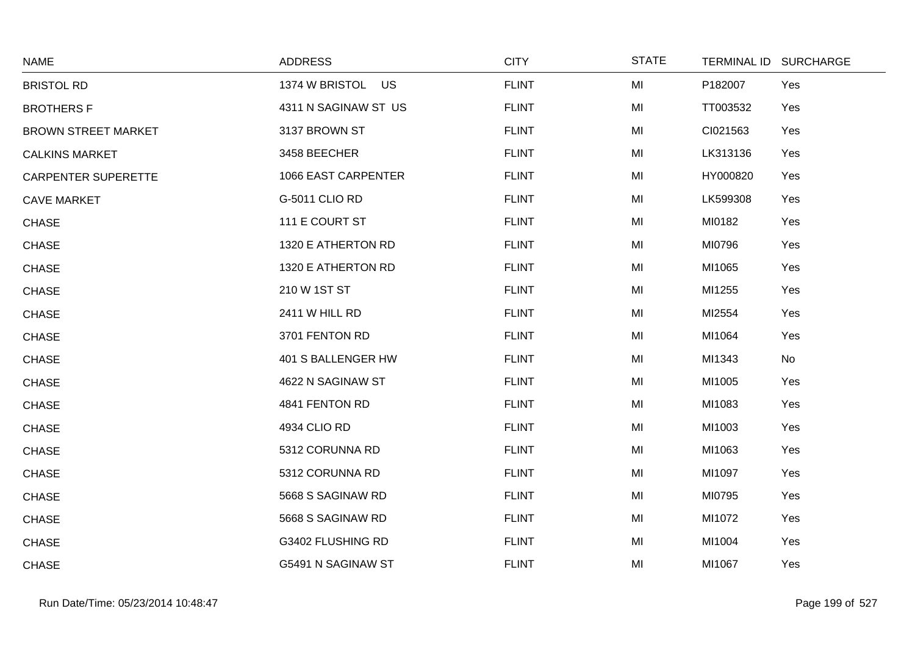| <b>NAME</b>                | <b>ADDRESS</b>       | <b>CITY</b>  | <b>STATE</b> |          | TERMINAL ID SURCHARGE |
|----------------------------|----------------------|--------------|--------------|----------|-----------------------|
| <b>BRISTOL RD</b>          | 1374 W BRISTOL US    | <b>FLINT</b> | MI           | P182007  | Yes                   |
| <b>BROTHERS F</b>          | 4311 N SAGINAW ST US | <b>FLINT</b> | MI           | TT003532 | Yes                   |
| <b>BROWN STREET MARKET</b> | 3137 BROWN ST        | <b>FLINT</b> | MI           | CI021563 | Yes                   |
| <b>CALKINS MARKET</b>      | 3458 BEECHER         | <b>FLINT</b> | MI           | LK313136 | Yes                   |
| <b>CARPENTER SUPERETTE</b> | 1066 EAST CARPENTER  | <b>FLINT</b> | MI           | HY000820 | Yes                   |
| <b>CAVE MARKET</b>         | G-5011 CLIO RD       | <b>FLINT</b> | MI           | LK599308 | Yes                   |
| <b>CHASE</b>               | 111 E COURT ST       | <b>FLINT</b> | MI           | MI0182   | Yes                   |
| <b>CHASE</b>               | 1320 E ATHERTON RD   | <b>FLINT</b> | MI           | MI0796   | Yes                   |
| <b>CHASE</b>               | 1320 E ATHERTON RD   | <b>FLINT</b> | MI           | MI1065   | Yes                   |
| <b>CHASE</b>               | 210 W 1ST ST         | <b>FLINT</b> | MI           | MI1255   | Yes                   |
| <b>CHASE</b>               | 2411 W HILL RD       | <b>FLINT</b> | MI           | MI2554   | Yes                   |
| <b>CHASE</b>               | 3701 FENTON RD       | <b>FLINT</b> | MI           | MI1064   | Yes                   |
| <b>CHASE</b>               | 401 S BALLENGER HW   | <b>FLINT</b> | MI           | MI1343   | No                    |
| <b>CHASE</b>               | 4622 N SAGINAW ST    | <b>FLINT</b> | MI           | MI1005   | Yes                   |
| <b>CHASE</b>               | 4841 FENTON RD       | <b>FLINT</b> | MI           | MI1083   | Yes                   |
| <b>CHASE</b>               | 4934 CLIO RD         | <b>FLINT</b> | MI           | MI1003   | Yes                   |
| <b>CHASE</b>               | 5312 CORUNNA RD      | <b>FLINT</b> | MI           | MI1063   | Yes                   |
| <b>CHASE</b>               | 5312 CORUNNA RD      | <b>FLINT</b> | MI           | MI1097   | Yes                   |
| <b>CHASE</b>               | 5668 S SAGINAW RD    | <b>FLINT</b> | MI           | MI0795   | Yes                   |
| <b>CHASE</b>               | 5668 S SAGINAW RD    | <b>FLINT</b> | MI           | MI1072   | Yes                   |
| <b>CHASE</b>               | G3402 FLUSHING RD    | <b>FLINT</b> | MI           | MI1004   | Yes                   |
| <b>CHASE</b>               | G5491 N SAGINAW ST   | <b>FLINT</b> | MI           | MI1067   | Yes                   |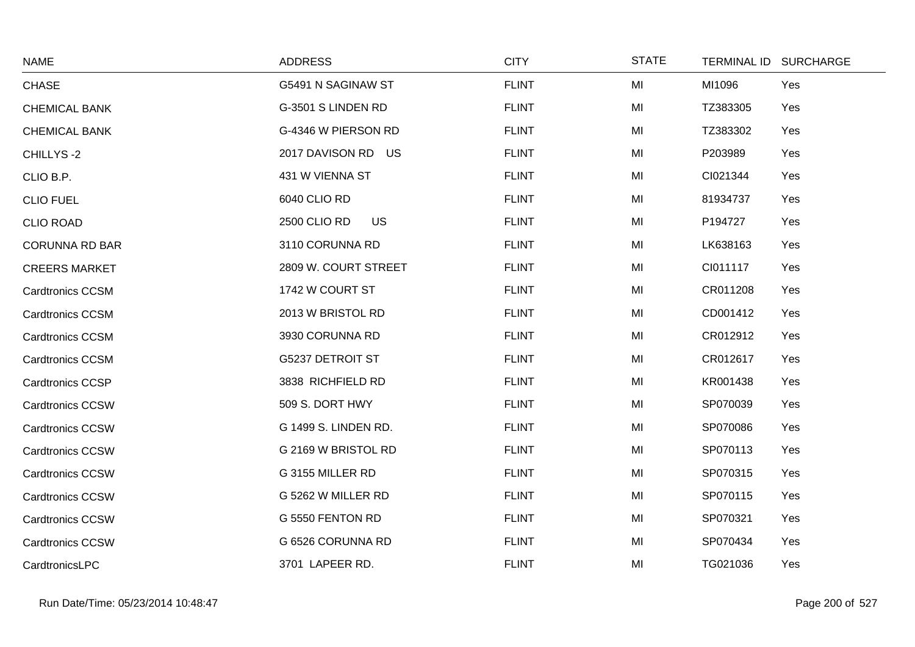| <b>NAME</b>             | <b>ADDRESS</b>            | <b>CITY</b>  | <b>STATE</b> | <b>TERMINAL ID</b> | <b>SURCHARGE</b> |
|-------------------------|---------------------------|--------------|--------------|--------------------|------------------|
| <b>CHASE</b>            | G5491 N SAGINAW ST        | <b>FLINT</b> | MI           | MI1096             | Yes              |
| <b>CHEMICAL BANK</b>    | G-3501 S LINDEN RD        | <b>FLINT</b> | MI           | TZ383305           | Yes              |
| <b>CHEMICAL BANK</b>    | G-4346 W PIERSON RD       | <b>FLINT</b> | MI           | TZ383302           | Yes              |
| CHILLYS-2               | 2017 DAVISON RD US        | <b>FLINT</b> | MI           | P203989            | Yes              |
| CLIO B.P.               | 431 W VIENNA ST           | <b>FLINT</b> | MI           | CI021344           | Yes              |
| <b>CLIO FUEL</b>        | 6040 CLIO RD              | <b>FLINT</b> | MI           | 81934737           | Yes              |
| <b>CLIO ROAD</b>        | 2500 CLIO RD<br><b>US</b> | <b>FLINT</b> | MI           | P194727            | Yes              |
| <b>CORUNNA RD BAR</b>   | 3110 CORUNNA RD           | <b>FLINT</b> | MI           | LK638163           | Yes              |
| <b>CREERS MARKET</b>    | 2809 W. COURT STREET      | <b>FLINT</b> | MI           | CI011117           | Yes              |
| <b>Cardtronics CCSM</b> | 1742 W COURT ST           | <b>FLINT</b> | MI           | CR011208           | Yes              |
| <b>Cardtronics CCSM</b> | 2013 W BRISTOL RD         | <b>FLINT</b> | MI           | CD001412           | Yes              |
| <b>Cardtronics CCSM</b> | 3930 CORUNNA RD           | <b>FLINT</b> | MI           | CR012912           | Yes              |
| <b>Cardtronics CCSM</b> | <b>G5237 DETROIT ST</b>   | <b>FLINT</b> | MI           | CR012617           | Yes              |
| <b>Cardtronics CCSP</b> | 3838 RICHFIELD RD         | <b>FLINT</b> | MI           | KR001438           | Yes              |
| <b>Cardtronics CCSW</b> | 509 S. DORT HWY           | <b>FLINT</b> | MI           | SP070039           | Yes              |
| <b>Cardtronics CCSW</b> | G 1499 S. LINDEN RD.      | <b>FLINT</b> | MI           | SP070086           | Yes              |
| <b>Cardtronics CCSW</b> | G 2169 W BRISTOL RD       | <b>FLINT</b> | MI           | SP070113           | Yes              |
| <b>Cardtronics CCSW</b> | G 3155 MILLER RD          | <b>FLINT</b> | MI           | SP070315           | Yes              |
| <b>Cardtronics CCSW</b> | G 5262 W MILLER RD        | <b>FLINT</b> | MI           | SP070115           | Yes              |
| <b>Cardtronics CCSW</b> | G 5550 FENTON RD          | <b>FLINT</b> | MI           | SP070321           | Yes              |
| <b>Cardtronics CCSW</b> | G 6526 CORUNNA RD         | <b>FLINT</b> | MI           | SP070434           | Yes              |
| CardtronicsLPC          | 3701 LAPEER RD.           | <b>FLINT</b> | MI           | TG021036           | Yes              |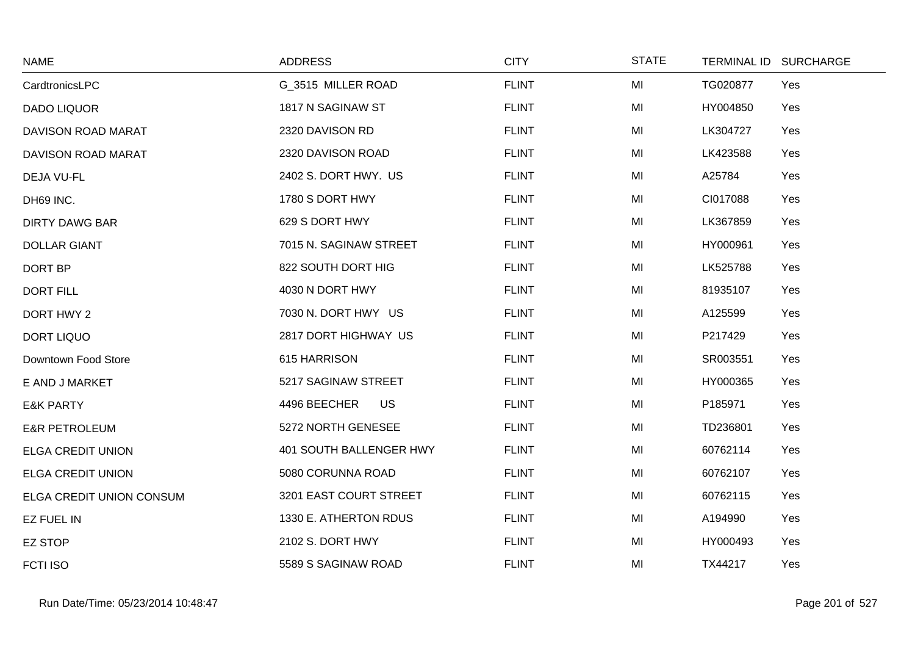| <b>NAME</b>              | <b>ADDRESS</b>            | <b>CITY</b>  | <b>STATE</b> | <b>TERMINAL ID</b> | <b>SURCHARGE</b> |
|--------------------------|---------------------------|--------------|--------------|--------------------|------------------|
| CardtronicsLPC           | G 3515 MILLER ROAD        | <b>FLINT</b> | MI           | TG020877           | Yes              |
| <b>DADO LIQUOR</b>       | 1817 N SAGINAW ST         | <b>FLINT</b> | MI           | HY004850           | Yes              |
| DAVISON ROAD MARAT       | 2320 DAVISON RD           | <b>FLINT</b> | MI           | LK304727           | Yes              |
| DAVISON ROAD MARAT       | 2320 DAVISON ROAD         | <b>FLINT</b> | MI           | LK423588           | Yes              |
| DEJA VU-FL               | 2402 S. DORT HWY. US      | <b>FLINT</b> | MI           | A25784             | Yes              |
| DH69 INC.                | 1780 S DORT HWY           | <b>FLINT</b> | MI           | CI017088           | Yes              |
| <b>DIRTY DAWG BAR</b>    | 629 S DORT HWY            | <b>FLINT</b> | MI           | LK367859           | Yes              |
| <b>DOLLAR GIANT</b>      | 7015 N. SAGINAW STREET    | <b>FLINT</b> | MI           | HY000961           | Yes              |
| DORT BP                  | 822 SOUTH DORT HIG        | <b>FLINT</b> | MI           | LK525788           | Yes              |
| <b>DORT FILL</b>         | 4030 N DORT HWY           | <b>FLINT</b> | MI           | 81935107           | Yes              |
| DORT HWY 2               | 7030 N. DORT HWY US       | <b>FLINT</b> | MI           | A125599            | Yes              |
| <b>DORT LIQUO</b>        | 2817 DORT HIGHWAY US      | <b>FLINT</b> | MI           | P217429            | Yes              |
| Downtown Food Store      | 615 HARRISON              | <b>FLINT</b> | MI           | SR003551           | Yes              |
| E AND J MARKET           | 5217 SAGINAW STREET       | <b>FLINT</b> | MI           | HY000365           | Yes              |
| <b>E&amp;K PARTY</b>     | 4496 BEECHER<br><b>US</b> | <b>FLINT</b> | MI           | P185971            | Yes              |
| <b>E&amp;R PETROLEUM</b> | 5272 NORTH GENESEE        | <b>FLINT</b> | MI           | TD236801           | Yes              |
| <b>ELGA CREDIT UNION</b> | 401 SOUTH BALLENGER HWY   | <b>FLINT</b> | MI           | 60762114           | Yes              |
| <b>ELGA CREDIT UNION</b> | 5080 CORUNNA ROAD         | <b>FLINT</b> | MI           | 60762107           | Yes              |
| ELGA CREDIT UNION CONSUM | 3201 EAST COURT STREET    | <b>FLINT</b> | MI           | 60762115           | Yes              |
| <b>EZ FUEL IN</b>        | 1330 E. ATHERTON RDUS     | <b>FLINT</b> | MI           | A194990            | Yes              |
| <b>EZ STOP</b>           | 2102 S. DORT HWY          | <b>FLINT</b> | MI           | HY000493           | Yes              |
| <b>FCTI ISO</b>          | 5589 S SAGINAW ROAD       | <b>FLINT</b> | MI           | TX44217            | Yes              |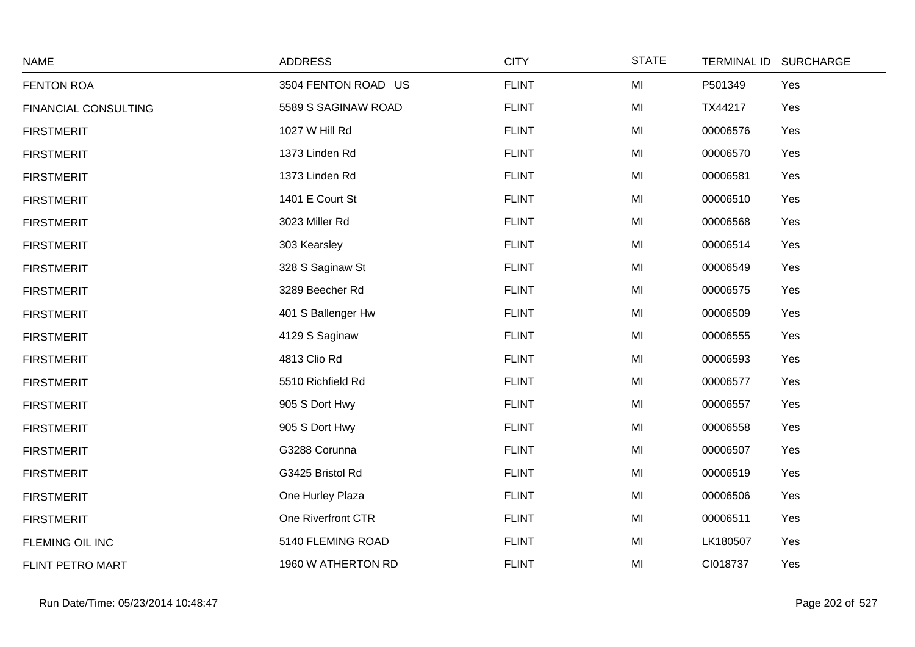| <b>NAME</b>                 | <b>ADDRESS</b>      | <b>CITY</b>  | <b>STATE</b> |          | TERMINAL ID SURCHARGE |
|-----------------------------|---------------------|--------------|--------------|----------|-----------------------|
| <b>FENTON ROA</b>           | 3504 FENTON ROAD US | <b>FLINT</b> | MI           | P501349  | Yes                   |
| <b>FINANCIAL CONSULTING</b> | 5589 S SAGINAW ROAD | <b>FLINT</b> | MI           | TX44217  | Yes                   |
| <b>FIRSTMERIT</b>           | 1027 W Hill Rd      | <b>FLINT</b> | MI           | 00006576 | Yes                   |
| <b>FIRSTMERIT</b>           | 1373 Linden Rd      | <b>FLINT</b> | MI           | 00006570 | Yes                   |
| <b>FIRSTMERIT</b>           | 1373 Linden Rd      | <b>FLINT</b> | MI           | 00006581 | Yes                   |
| <b>FIRSTMERIT</b>           | 1401 E Court St     | <b>FLINT</b> | MI           | 00006510 | Yes                   |
| <b>FIRSTMERIT</b>           | 3023 Miller Rd      | <b>FLINT</b> | MI           | 00006568 | Yes                   |
| <b>FIRSTMERIT</b>           | 303 Kearsley        | <b>FLINT</b> | MI           | 00006514 | Yes                   |
| <b>FIRSTMERIT</b>           | 328 S Saginaw St    | <b>FLINT</b> | MI           | 00006549 | Yes                   |
| <b>FIRSTMERIT</b>           | 3289 Beecher Rd     | <b>FLINT</b> | MI           | 00006575 | Yes                   |
| <b>FIRSTMERIT</b>           | 401 S Ballenger Hw  | <b>FLINT</b> | MI           | 00006509 | Yes                   |
| <b>FIRSTMERIT</b>           | 4129 S Saginaw      | <b>FLINT</b> | MI           | 00006555 | Yes                   |
| <b>FIRSTMERIT</b>           | 4813 Clio Rd        | <b>FLINT</b> | MI           | 00006593 | Yes                   |
| <b>FIRSTMERIT</b>           | 5510 Richfield Rd   | <b>FLINT</b> | MI           | 00006577 | Yes                   |
| <b>FIRSTMERIT</b>           | 905 S Dort Hwy      | <b>FLINT</b> | MI           | 00006557 | Yes                   |
| <b>FIRSTMERIT</b>           | 905 S Dort Hwy      | <b>FLINT</b> | MI           | 00006558 | Yes                   |
| <b>FIRSTMERIT</b>           | G3288 Corunna       | <b>FLINT</b> | MI           | 00006507 | Yes                   |
| <b>FIRSTMERIT</b>           | G3425 Bristol Rd    | <b>FLINT</b> | MI           | 00006519 | Yes                   |
| <b>FIRSTMERIT</b>           | One Hurley Plaza    | <b>FLINT</b> | MI           | 00006506 | Yes                   |
| <b>FIRSTMERIT</b>           | One Riverfront CTR  | <b>FLINT</b> | MI           | 00006511 | Yes                   |
| FLEMING OIL INC             | 5140 FLEMING ROAD   | <b>FLINT</b> | MI           | LK180507 | Yes                   |
| FLINT PETRO MART            | 1960 W ATHERTON RD  | <b>FLINT</b> | MI           | CI018737 | Yes                   |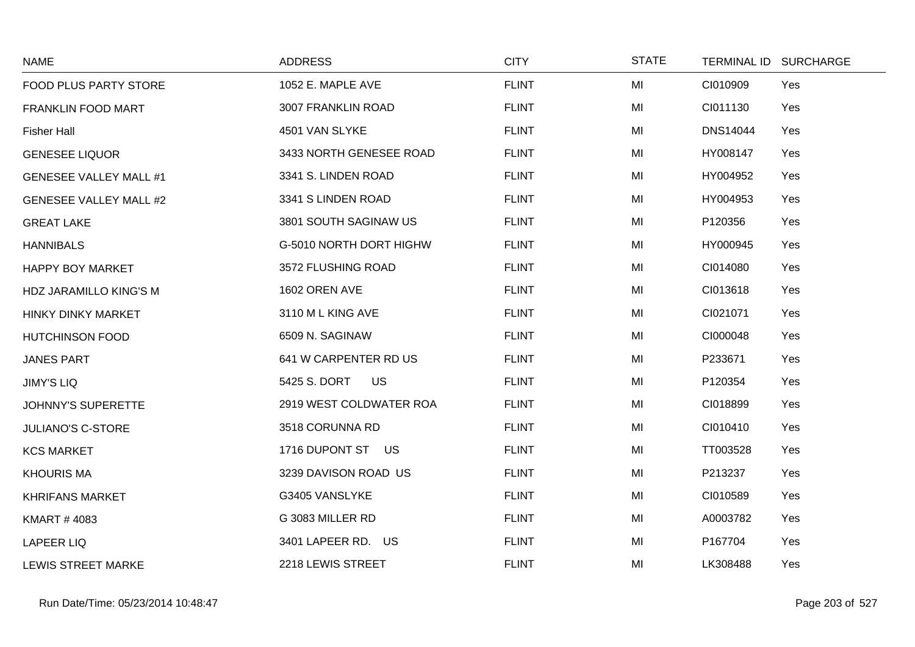| <b>NAME</b>                   | <b>ADDRESS</b>            | <b>CITY</b>  | <b>STATE</b> | <b>TERMINAL ID</b> | <b>SURCHARGE</b> |
|-------------------------------|---------------------------|--------------|--------------|--------------------|------------------|
| FOOD PLUS PARTY STORE         | 1052 E. MAPLE AVE         | <b>FLINT</b> | MI           | CI010909           | Yes              |
| FRANKLIN FOOD MART            | 3007 FRANKLIN ROAD        | <b>FLINT</b> | MI           | CI011130           | Yes              |
| <b>Fisher Hall</b>            | 4501 VAN SLYKE            | <b>FLINT</b> | MI           | <b>DNS14044</b>    | Yes              |
| <b>GENESEE LIQUOR</b>         | 3433 NORTH GENESEE ROAD   | <b>FLINT</b> | MI           | HY008147           | Yes              |
| <b>GENESEE VALLEY MALL #1</b> | 3341 S. LINDEN ROAD       | <b>FLINT</b> | MI           | HY004952           | Yes              |
| <b>GENESEE VALLEY MALL #2</b> | 3341 S LINDEN ROAD        | <b>FLINT</b> | MI           | HY004953           | Yes              |
| <b>GREAT LAKE</b>             | 3801 SOUTH SAGINAW US     | <b>FLINT</b> | MI           | P120356            | Yes              |
| <b>HANNIBALS</b>              | G-5010 NORTH DORT HIGHW   | <b>FLINT</b> | MI           | HY000945           | Yes              |
| <b>HAPPY BOY MARKET</b>       | 3572 FLUSHING ROAD        | <b>FLINT</b> | MI           | CI014080           | Yes              |
| HDZ JARAMILLO KING'S M        | 1602 OREN AVE             | <b>FLINT</b> | MI           | CI013618           | Yes              |
| <b>HINKY DINKY MARKET</b>     | 3110 M L KING AVE         | <b>FLINT</b> | MI           | CI021071           | Yes              |
| <b>HUTCHINSON FOOD</b>        | 6509 N. SAGINAW           | <b>FLINT</b> | MI           | CI000048           | Yes              |
| <b>JANES PART</b>             | 641 W CARPENTER RD US     | <b>FLINT</b> | MI           | P233671            | Yes              |
| <b>JIMY'S LIQ</b>             | <b>US</b><br>5425 S. DORT | <b>FLINT</b> | MI           | P120354            | Yes              |
| <b>JOHNNY'S SUPERETTE</b>     | 2919 WEST COLDWATER ROA   | <b>FLINT</b> | MI           | CI018899           | Yes              |
| <b>JULIANO'S C-STORE</b>      | 3518 CORUNNA RD           | <b>FLINT</b> | MI           | CI010410           | Yes              |
| <b>KCS MARKET</b>             | 1716 DUPONT ST US         | <b>FLINT</b> | MI           | TT003528           | Yes              |
| <b>KHOURIS MA</b>             | 3239 DAVISON ROAD US      | <b>FLINT</b> | MI           | P213237            | Yes              |
| <b>KHRIFANS MARKET</b>        | G3405 VANSLYKE            | <b>FLINT</b> | MI           | CI010589           | Yes              |
| <b>KMART #4083</b>            | G 3083 MILLER RD          | <b>FLINT</b> | MI           | A0003782           | Yes              |
| <b>LAPEER LIQ</b>             | 3401 LAPEER RD. US        | <b>FLINT</b> | MI           | P167704            | Yes              |
| <b>LEWIS STREET MARKE</b>     | 2218 LEWIS STREET         | <b>FLINT</b> | MI           | LK308488           | Yes              |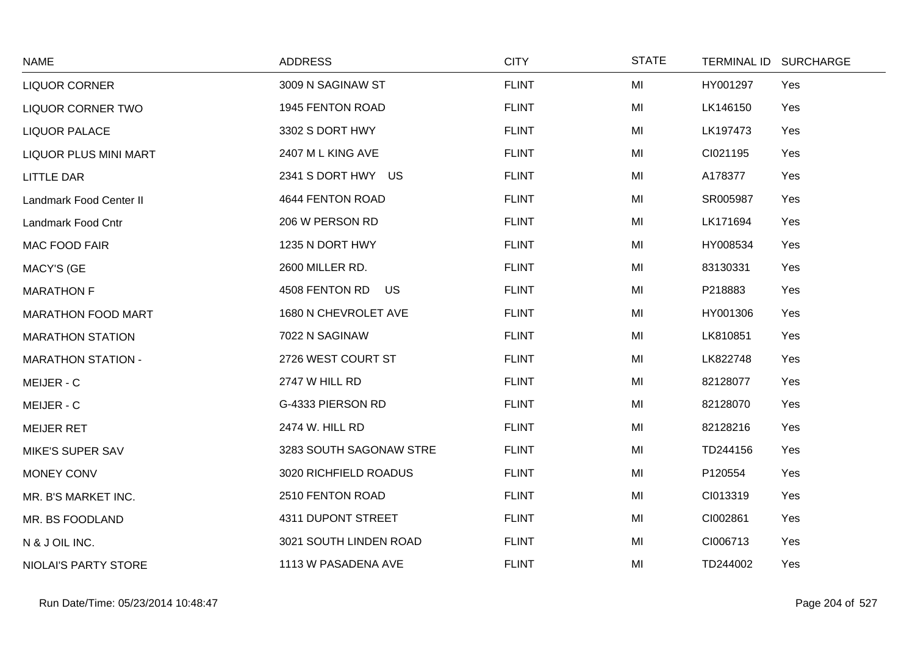| <b>NAME</b>                  | <b>ADDRESS</b>          | <b>CITY</b>  | <b>STATE</b> |          | TERMINAL ID SURCHARGE |
|------------------------------|-------------------------|--------------|--------------|----------|-----------------------|
| <b>LIQUOR CORNER</b>         | 3009 N SAGINAW ST       | <b>FLINT</b> | MI           | HY001297 | Yes                   |
| <b>LIQUOR CORNER TWO</b>     | 1945 FENTON ROAD        | <b>FLINT</b> | MI           | LK146150 | Yes                   |
| <b>LIQUOR PALACE</b>         | 3302 S DORT HWY         | <b>FLINT</b> | MI           | LK197473 | Yes                   |
| <b>LIQUOR PLUS MINI MART</b> | 2407 M L KING AVE       | <b>FLINT</b> | MI           | CI021195 | Yes                   |
| <b>LITTLE DAR</b>            | 2341 S DORT HWY US      | <b>FLINT</b> | MI           | A178377  | Yes                   |
| Landmark Food Center II      | 4644 FENTON ROAD        | <b>FLINT</b> | MI           | SR005987 | Yes                   |
| Landmark Food Cntr           | 206 W PERSON RD         | <b>FLINT</b> | MI           | LK171694 | Yes                   |
| <b>MAC FOOD FAIR</b>         | 1235 N DORT HWY         | <b>FLINT</b> | MI           | HY008534 | Yes                   |
| <b>MACY'S (GE</b>            | 2600 MILLER RD.         | <b>FLINT</b> | MI           | 83130331 | Yes                   |
| <b>MARATHON F</b>            | 4508 FENTON RD US       | <b>FLINT</b> | MI           | P218883  | Yes                   |
| <b>MARATHON FOOD MART</b>    | 1680 N CHEVROLET AVE    | <b>FLINT</b> | MI           | HY001306 | Yes                   |
| <b>MARATHON STATION</b>      | 7022 N SAGINAW          | <b>FLINT</b> | MI           | LK810851 | Yes                   |
| <b>MARATHON STATION -</b>    | 2726 WEST COURT ST      | <b>FLINT</b> | MI           | LK822748 | Yes                   |
| MEIJER - C                   | 2747 W HILL RD          | <b>FLINT</b> | MI           | 82128077 | Yes                   |
| MEIJER - C                   | G-4333 PIERSON RD       | <b>FLINT</b> | MI           | 82128070 | Yes                   |
| <b>MEIJER RET</b>            | 2474 W. HILL RD         | <b>FLINT</b> | MI           | 82128216 | Yes                   |
| <b>MIKE'S SUPER SAV</b>      | 3283 SOUTH SAGONAW STRE | <b>FLINT</b> | MI           | TD244156 | Yes                   |
| MONEY CONV                   | 3020 RICHFIELD ROADUS   | <b>FLINT</b> | MI           | P120554  | Yes                   |
| MR. B'S MARKET INC.          | 2510 FENTON ROAD        | <b>FLINT</b> | MI           | CI013319 | Yes                   |
| MR. BS FOODLAND              | 4311 DUPONT STREET      | <b>FLINT</b> | MI           | CI002861 | Yes                   |
| N & J OIL INC.               | 3021 SOUTH LINDEN ROAD  | <b>FLINT</b> | MI           | CI006713 | Yes                   |
| NIOLAI'S PARTY STORE         | 1113 W PASADENA AVE     | <b>FLINT</b> | MI           | TD244002 | Yes                   |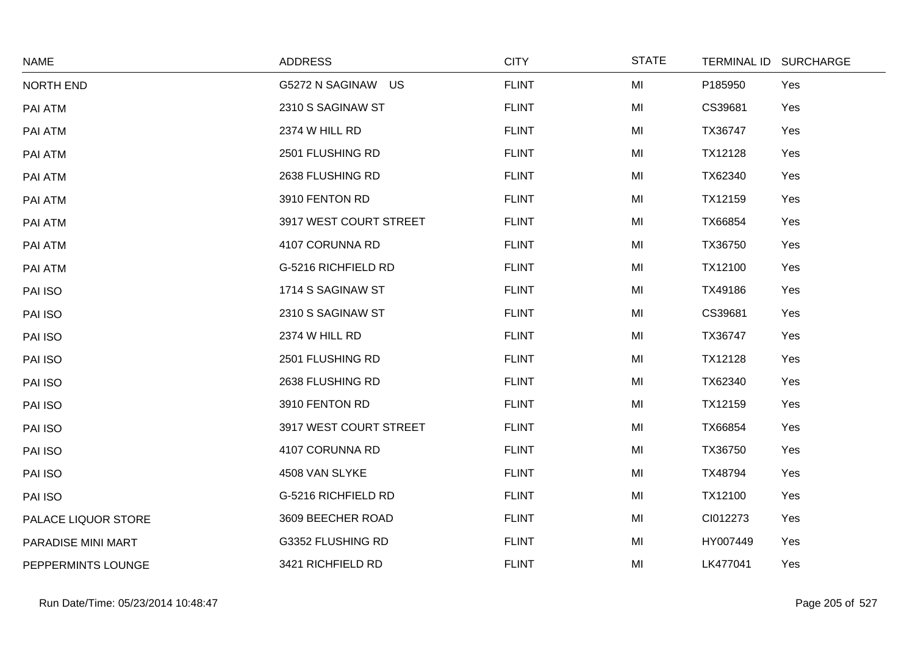| <b>NAME</b>         | <b>ADDRESS</b>         | <b>CITY</b>  | <b>STATE</b> |          | TERMINAL ID SURCHARGE |
|---------------------|------------------------|--------------|--------------|----------|-----------------------|
| NORTH END           | G5272 N SAGINAW US     | <b>FLINT</b> | MI           | P185950  | Yes                   |
| PAI ATM             | 2310 S SAGINAW ST      | <b>FLINT</b> | MI           | CS39681  | Yes                   |
| PAI ATM             | 2374 W HILL RD         | <b>FLINT</b> | MI           | TX36747  | Yes                   |
| PAI ATM             | 2501 FLUSHING RD       | <b>FLINT</b> | MI           | TX12128  | Yes                   |
| PAI ATM             | 2638 FLUSHING RD       | <b>FLINT</b> | MI           | TX62340  | Yes                   |
| PAI ATM             | 3910 FENTON RD         | <b>FLINT</b> | MI           | TX12159  | Yes                   |
| PAI ATM             | 3917 WEST COURT STREET | <b>FLINT</b> | MI           | TX66854  | Yes                   |
| PAI ATM             | 4107 CORUNNA RD        | <b>FLINT</b> | MI           | TX36750  | Yes                   |
| PAI ATM             | G-5216 RICHFIELD RD    | <b>FLINT</b> | MI           | TX12100  | Yes                   |
| PAI ISO             | 1714 S SAGINAW ST      | <b>FLINT</b> | MI           | TX49186  | Yes                   |
| PAI ISO             | 2310 S SAGINAW ST      | <b>FLINT</b> | MI           | CS39681  | Yes                   |
| PAI ISO             | 2374 W HILL RD         | <b>FLINT</b> | MI           | TX36747  | Yes                   |
| PAI ISO             | 2501 FLUSHING RD       | <b>FLINT</b> | MI           | TX12128  | Yes                   |
| PAI ISO             | 2638 FLUSHING RD       | <b>FLINT</b> | MI           | TX62340  | Yes                   |
| PAI ISO             | 3910 FENTON RD         | <b>FLINT</b> | MI           | TX12159  | Yes                   |
| PAI ISO             | 3917 WEST COURT STREET | <b>FLINT</b> | MI           | TX66854  | Yes                   |
| PAI ISO             | 4107 CORUNNA RD        | <b>FLINT</b> | MI           | TX36750  | Yes                   |
| PAI ISO             | 4508 VAN SLYKE         | <b>FLINT</b> | MI           | TX48794  | Yes                   |
| PAI ISO             | G-5216 RICHFIELD RD    | <b>FLINT</b> | MI           | TX12100  | Yes                   |
| PALACE LIQUOR STORE | 3609 BEECHER ROAD      | <b>FLINT</b> | MI           | CI012273 | Yes                   |
| PARADISE MINI MART  | G3352 FLUSHING RD      | <b>FLINT</b> | MI           | HY007449 | Yes                   |
| PEPPERMINTS LOUNGE  | 3421 RICHFIELD RD      | <b>FLINT</b> | MI           | LK477041 | Yes                   |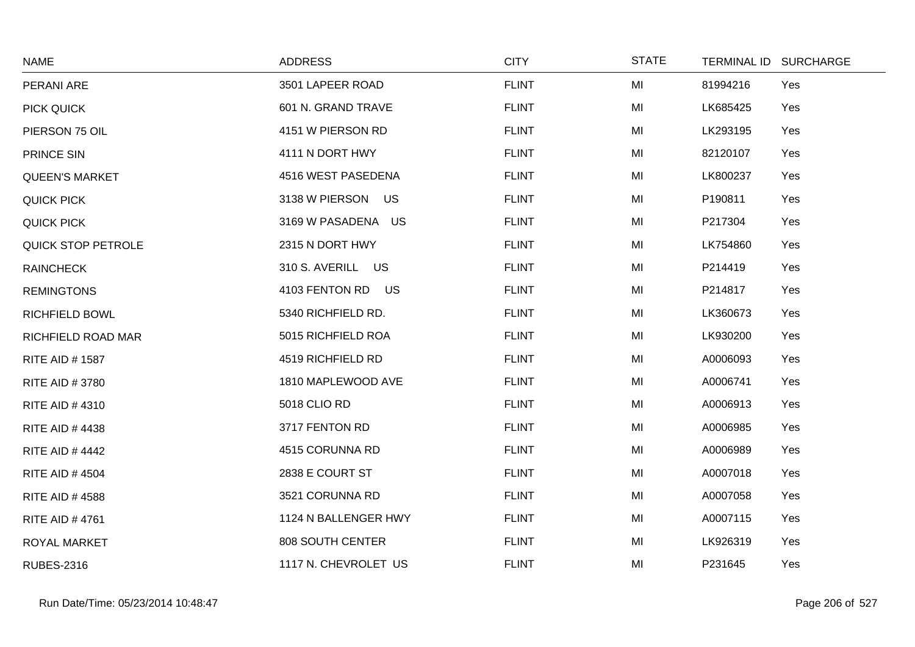| <b>NAME</b>               | <b>ADDRESS</b>              | <b>CITY</b>  | <b>STATE</b> | <b>TERMINAL ID</b> | <b>SURCHARGE</b> |
|---------------------------|-----------------------------|--------------|--------------|--------------------|------------------|
| PERANI ARE                | 3501 LAPEER ROAD            | <b>FLINT</b> | MI           | 81994216           | Yes              |
| PICK QUICK                | 601 N. GRAND TRAVE          | <b>FLINT</b> | MI           | LK685425           | Yes              |
| PIERSON 75 OIL            | 4151 W PIERSON RD           | <b>FLINT</b> | MI           | LK293195           | Yes              |
| PRINCE SIN                | 4111 N DORT HWY             | <b>FLINT</b> | MI           | 82120107           | Yes              |
| <b>QUEEN'S MARKET</b>     | 4516 WEST PASEDENA          | <b>FLINT</b> | MI           | LK800237           | Yes              |
| <b>QUICK PICK</b>         | 3138 W PIERSON US           | <b>FLINT</b> | MI           | P190811            | Yes              |
| <b>QUICK PICK</b>         | 3169 W PASADENA US          | <b>FLINT</b> | MI           | P217304            | Yes              |
| QUICK STOP PETROLE        | 2315 N DORT HWY             | <b>FLINT</b> | MI           | LK754860           | Yes              |
| <b>RAINCHECK</b>          | <b>US</b><br>310 S. AVERILL | <b>FLINT</b> | MI           | P214419            | Yes              |
| <b>REMINGTONS</b>         | 4103 FENTON RD US           | <b>FLINT</b> | MI           | P214817            | Yes              |
| <b>RICHFIELD BOWL</b>     | 5340 RICHFIELD RD.          | <b>FLINT</b> | MI           | LK360673           | Yes              |
| <b>RICHFIELD ROAD MAR</b> | 5015 RICHFIELD ROA          | <b>FLINT</b> | MI           | LK930200           | Yes              |
| <b>RITE AID #1587</b>     | 4519 RICHFIELD RD           | <b>FLINT</b> | MI           | A0006093           | Yes              |
| RITE AID #3780            | 1810 MAPLEWOOD AVE          | <b>FLINT</b> | MI           | A0006741           | Yes              |
| <b>RITE AID #4310</b>     | 5018 CLIO RD                | <b>FLINT</b> | MI           | A0006913           | Yes              |
| <b>RITE AID #4438</b>     | 3717 FENTON RD              | <b>FLINT</b> | MI           | A0006985           | Yes              |
| <b>RITE AID #4442</b>     | 4515 CORUNNA RD             | <b>FLINT</b> | MI           | A0006989           | Yes              |
| <b>RITE AID #4504</b>     | 2838 E COURT ST             | <b>FLINT</b> | MI           | A0007018           | Yes              |
| <b>RITE AID #4588</b>     | 3521 CORUNNA RD             | <b>FLINT</b> | MI           | A0007058           | Yes              |
| <b>RITE AID #4761</b>     | 1124 N BALLENGER HWY        | <b>FLINT</b> | MI           | A0007115           | Yes              |
| ROYAL MARKET              | 808 SOUTH CENTER            | <b>FLINT</b> | MI           | LK926319           | Yes              |
| <b>RUBES-2316</b>         | 1117 N. CHEVROLET US        | <b>FLINT</b> | MI           | P231645            | Yes              |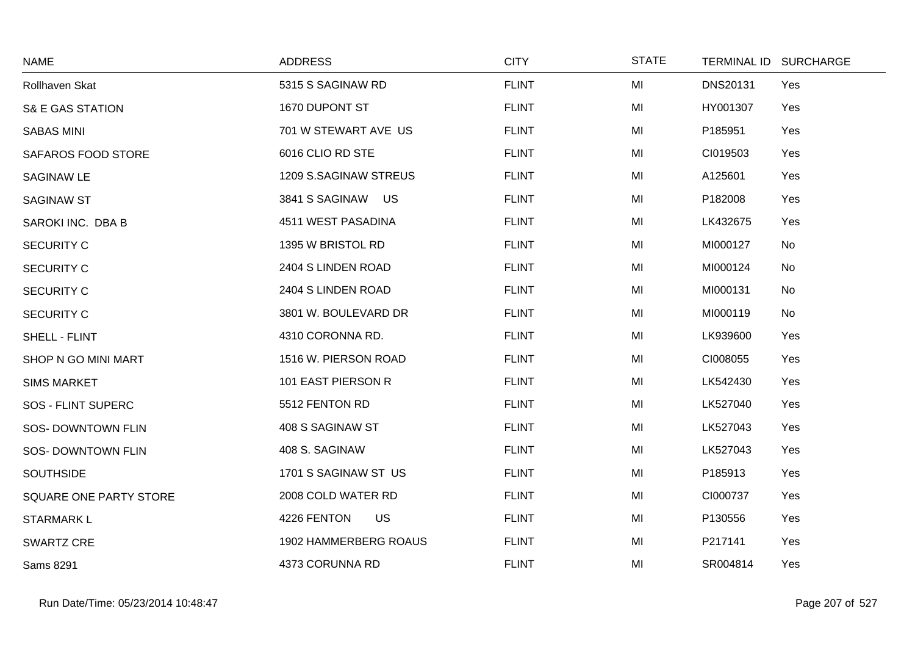| <b>NAME</b>                 | <b>ADDRESS</b>           | <b>CITY</b>  | <b>STATE</b> | <b>TERMINAL ID</b> | <b>SURCHARGE</b> |
|-----------------------------|--------------------------|--------------|--------------|--------------------|------------------|
| Rollhaven Skat              | 5315 S SAGINAW RD        | <b>FLINT</b> | MI           | <b>DNS20131</b>    | Yes              |
| <b>S&amp; E GAS STATION</b> | 1670 DUPONT ST           | <b>FLINT</b> | MI           | HY001307           | Yes              |
| <b>SABAS MINI</b>           | 701 W STEWART AVE US     | <b>FLINT</b> | MI           | P185951            | Yes              |
| SAFAROS FOOD STORE          | 6016 CLIO RD STE         | <b>FLINT</b> | MI           | CI019503           | Yes              |
| <b>SAGINAW LE</b>           | 1209 S.SAGINAW STREUS    | <b>FLINT</b> | MI           | A125601            | Yes              |
| <b>SAGINAW ST</b>           | 3841 S SAGINAW US        | <b>FLINT</b> | MI           | P182008            | Yes              |
| SAROKI INC. DBA B           | 4511 WEST PASADINA       | <b>FLINT</b> | MI           | LK432675           | Yes              |
| <b>SECURITY C</b>           | 1395 W BRISTOL RD        | <b>FLINT</b> | MI           | MI000127           | No               |
| <b>SECURITY C</b>           | 2404 S LINDEN ROAD       | <b>FLINT</b> | MI           | MI000124           | No               |
| SECURITY C                  | 2404 S LINDEN ROAD       | <b>FLINT</b> | MI           | MI000131           | No               |
| <b>SECURITY C</b>           | 3801 W. BOULEVARD DR     | <b>FLINT</b> | MI           | MI000119           | No               |
| SHELL - FLINT               | 4310 CORONNA RD.         | <b>FLINT</b> | MI           | LK939600           | Yes              |
| SHOP N GO MINI MART         | 1516 W. PIERSON ROAD     | <b>FLINT</b> | MI           | CI008055           | Yes              |
| <b>SIMS MARKET</b>          | 101 EAST PIERSON R       | <b>FLINT</b> | MI           | LK542430           | Yes              |
| SOS - FLINT SUPERC          | 5512 FENTON RD           | <b>FLINT</b> | MI           | LK527040           | Yes              |
| SOS-DOWNTOWN FLIN           | 408 S SAGINAW ST         | <b>FLINT</b> | MI           | LK527043           | Yes              |
| <b>SOS- DOWNTOWN FLIN</b>   | 408 S. SAGINAW           | <b>FLINT</b> | MI           | LK527043           | Yes              |
| <b>SOUTHSIDE</b>            | 1701 S SAGINAW ST US     | <b>FLINT</b> | MI           | P185913            | Yes              |
| SQUARE ONE PARTY STORE      | 2008 COLD WATER RD       | <b>FLINT</b> | MI           | CI000737           | Yes              |
| <b>STARMARKL</b>            | <b>US</b><br>4226 FENTON | <b>FLINT</b> | MI           | P130556            | Yes              |
| <b>SWARTZ CRE</b>           | 1902 HAMMERBERG ROAUS    | <b>FLINT</b> | MI           | P217141            | Yes              |
| Sams 8291                   | 4373 CORUNNA RD          | <b>FLINT</b> | MI           | SR004814           | Yes              |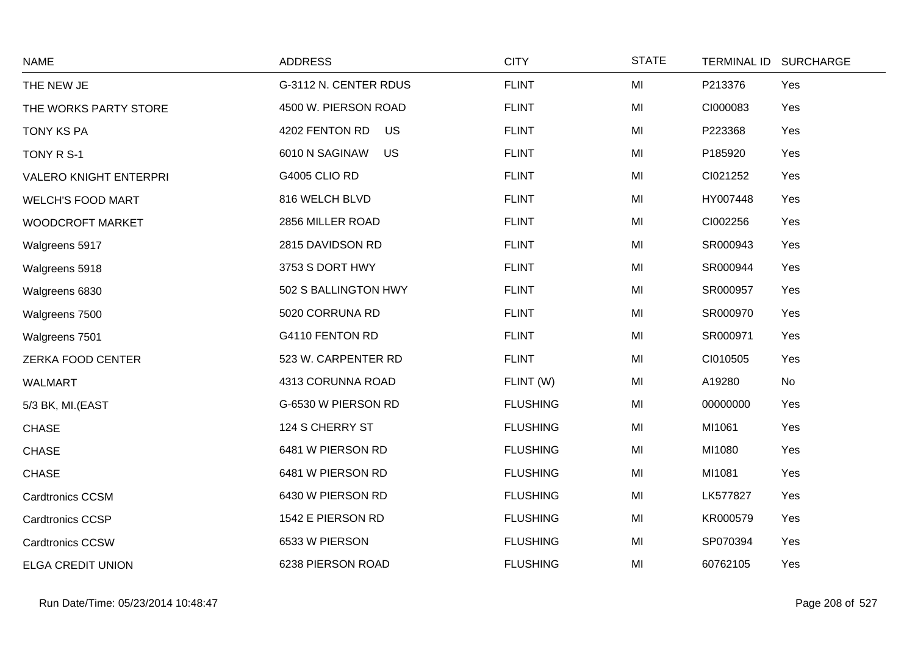| <b>NAME</b>                   | <b>ADDRESS</b>              | <b>CITY</b>     | <b>STATE</b> | <b>TERMINAL ID</b> | <b>SURCHARGE</b> |
|-------------------------------|-----------------------------|-----------------|--------------|--------------------|------------------|
| THE NEW JE                    | G-3112 N. CENTER RDUS       | <b>FLINT</b>    | MI           | P213376            | Yes              |
| THE WORKS PARTY STORE         | 4500 W. PIERSON ROAD        | <b>FLINT</b>    | MI           | CI000083           | Yes              |
| <b>TONY KS PA</b>             | <b>US</b><br>4202 FENTON RD | <b>FLINT</b>    | MI           | P223368            | Yes              |
| TONY R S-1                    | 6010 N SAGINAW<br><b>US</b> | <b>FLINT</b>    | MI           | P185920            | Yes              |
| <b>VALERO KNIGHT ENTERPRI</b> | <b>G4005 CLIO RD</b>        | <b>FLINT</b>    | MI           | CI021252           | Yes              |
| <b>WELCH'S FOOD MART</b>      | 816 WELCH BLVD              | <b>FLINT</b>    | MI           | HY007448           | Yes              |
| WOODCROFT MARKET              | 2856 MILLER ROAD            | <b>FLINT</b>    | MI           | CI002256           | Yes              |
| Walgreens 5917                | 2815 DAVIDSON RD            | <b>FLINT</b>    | MI           | SR000943           | Yes              |
| Walgreens 5918                | 3753 S DORT HWY             | <b>FLINT</b>    | MI           | SR000944           | Yes              |
| Walgreens 6830                | 502 S BALLINGTON HWY        | <b>FLINT</b>    | MI           | SR000957           | Yes              |
| Walgreens 7500                | 5020 CORRUNA RD             | <b>FLINT</b>    | MI           | SR000970           | Yes              |
| Walgreens 7501                | G4110 FENTON RD             | <b>FLINT</b>    | MI           | SR000971           | Yes              |
| ZERKA FOOD CENTER             | 523 W. CARPENTER RD         | <b>FLINT</b>    | MI           | CI010505           | Yes              |
| <b>WALMART</b>                | 4313 CORUNNA ROAD           | FLINT (W)       | MI           | A19280             | No               |
| 5/3 BK, MI.(EAST              | G-6530 W PIERSON RD         | <b>FLUSHING</b> | MI           | 00000000           | Yes              |
| <b>CHASE</b>                  | 124 S CHERRY ST             | <b>FLUSHING</b> | MI           | MI1061             | Yes              |
| <b>CHASE</b>                  | 6481 W PIERSON RD           | <b>FLUSHING</b> | MI           | MI1080             | Yes              |
| <b>CHASE</b>                  | 6481 W PIERSON RD           | <b>FLUSHING</b> | MI           | MI1081             | Yes              |
| <b>Cardtronics CCSM</b>       | 6430 W PIERSON RD           | <b>FLUSHING</b> | MI           | LK577827           | Yes              |
| <b>Cardtronics CCSP</b>       | 1542 E PIERSON RD           | <b>FLUSHING</b> | MI           | KR000579           | Yes              |
| <b>Cardtronics CCSW</b>       | 6533 W PIERSON              | <b>FLUSHING</b> | MI           | SP070394           | Yes              |
| <b>ELGA CREDIT UNION</b>      | 6238 PIERSON ROAD           | <b>FLUSHING</b> | MI           | 60762105           | Yes              |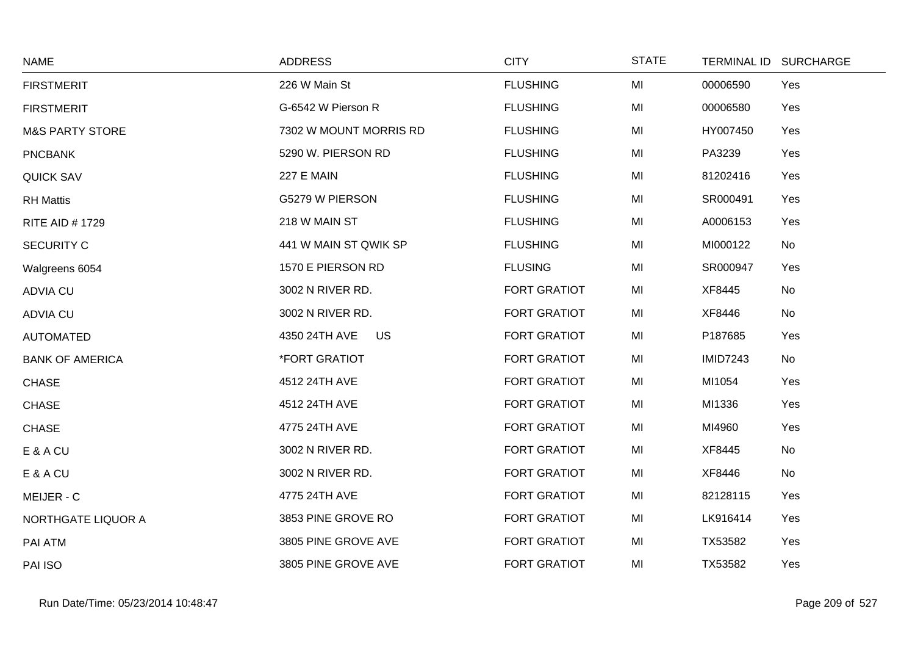| <b>NAME</b>                | <b>ADDRESS</b>              | <b>CITY</b>         | <b>STATE</b> | TERMINAL ID SURCHARGE |     |
|----------------------------|-----------------------------|---------------------|--------------|-----------------------|-----|
| <b>FIRSTMERIT</b>          | 226 W Main St               | <b>FLUSHING</b>     | MI           | 00006590              | Yes |
| <b>FIRSTMERIT</b>          | G-6542 W Pierson R          | <b>FLUSHING</b>     | MI           | 00006580              | Yes |
| <b>M&amp;S PARTY STORE</b> | 7302 W MOUNT MORRIS RD      | <b>FLUSHING</b>     | MI           | HY007450              | Yes |
| <b>PNCBANK</b>             | 5290 W. PIERSON RD          | <b>FLUSHING</b>     | MI           | PA3239                | Yes |
| <b>QUICK SAV</b>           | <b>227 E MAIN</b>           | <b>FLUSHING</b>     | MI           | 81202416              | Yes |
| <b>RH Mattis</b>           | G5279 W PIERSON             | <b>FLUSHING</b>     | MI           | SR000491              | Yes |
| <b>RITE AID #1729</b>      | 218 W MAIN ST               | <b>FLUSHING</b>     | MI           | A0006153              | Yes |
| <b>SECURITY C</b>          | 441 W MAIN ST QWIK SP       | <b>FLUSHING</b>     | MI           | MI000122              | No  |
| Walgreens 6054             | 1570 E PIERSON RD           | <b>FLUSING</b>      | MI           | SR000947              | Yes |
| <b>ADVIA CU</b>            | 3002 N RIVER RD.            | <b>FORT GRATIOT</b> | MI           | XF8445                | No  |
| <b>ADVIA CU</b>            | 3002 N RIVER RD.            | <b>FORT GRATIOT</b> | MI           | XF8446                | No  |
| <b>AUTOMATED</b>           | 4350 24TH AVE<br><b>US</b>  | <b>FORT GRATIOT</b> | MI           | P187685               | Yes |
| <b>BANK OF AMERICA</b>     | <i><b>*FORT GRATIOT</b></i> | <b>FORT GRATIOT</b> | MI           | <b>IMID7243</b>       | No  |
| <b>CHASE</b>               | 4512 24TH AVE               | <b>FORT GRATIOT</b> | MI           | MI1054                | Yes |
| <b>CHASE</b>               | 4512 24TH AVE               | <b>FORT GRATIOT</b> | MI           | MI1336                | Yes |
| <b>CHASE</b>               | 4775 24TH AVE               | <b>FORT GRATIOT</b> | MI           | MI4960                | Yes |
| E & A CU                   | 3002 N RIVER RD.            | <b>FORT GRATIOT</b> | MI           | XF8445                | No  |
| E & A CU                   | 3002 N RIVER RD.            | <b>FORT GRATIOT</b> | MI           | XF8446                | No  |
| MEIJER - C                 | 4775 24TH AVE               | <b>FORT GRATIOT</b> | MI           | 82128115              | Yes |
| NORTHGATE LIQUOR A         | 3853 PINE GROVE RO          | <b>FORT GRATIOT</b> | MI           | LK916414              | Yes |
| PAI ATM                    | 3805 PINE GROVE AVE         | <b>FORT GRATIOT</b> | MI           | TX53582               | Yes |
| PAI ISO                    | 3805 PINE GROVE AVE         | FORT GRATIOT        | MI           | TX53582               | Yes |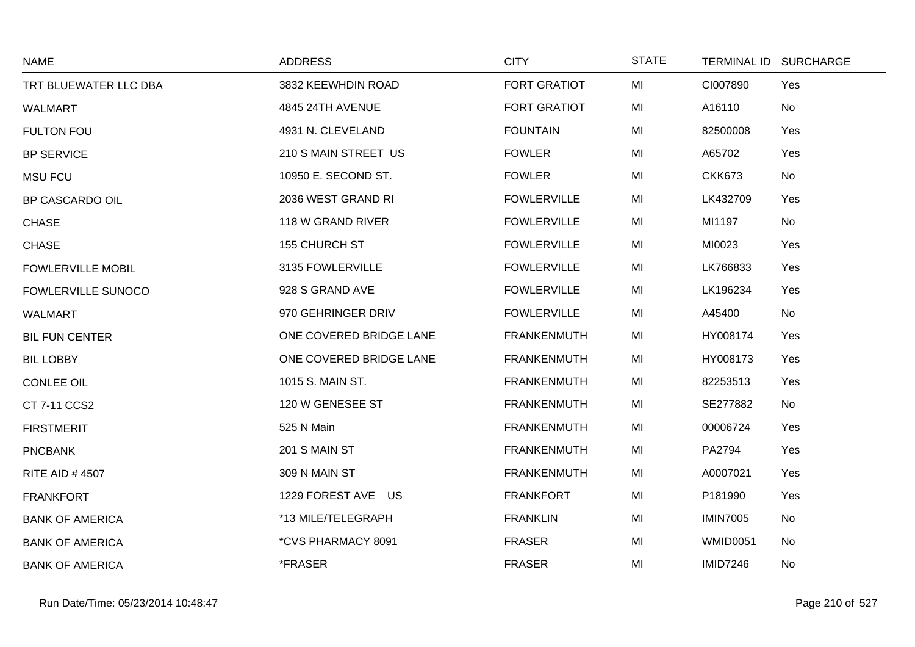| <b>NAME</b>               | <b>ADDRESS</b>          | <b>CITY</b>         | <b>STATE</b> |                 | TERMINAL ID SURCHARGE |
|---------------------------|-------------------------|---------------------|--------------|-----------------|-----------------------|
| TRT BLUEWATER LLC DBA     | 3832 KEEWHDIN ROAD      | <b>FORT GRATIOT</b> | MI           | CI007890        | Yes                   |
| <b>WALMART</b>            | 4845 24TH AVENUE        | <b>FORT GRATIOT</b> | MI           | A16110          | No                    |
| <b>FULTON FOU</b>         | 4931 N. CLEVELAND       | <b>FOUNTAIN</b>     | MI           | 82500008        | Yes                   |
| <b>BP SERVICE</b>         | 210 S MAIN STREET US    | <b>FOWLER</b>       | MI           | A65702          | Yes                   |
| <b>MSU FCU</b>            | 10950 E. SECOND ST.     | <b>FOWLER</b>       | MI           | <b>CKK673</b>   | No                    |
| <b>BP CASCARDO OIL</b>    | 2036 WEST GRAND RI      | <b>FOWLERVILLE</b>  | MI           | LK432709        | Yes                   |
| <b>CHASE</b>              | 118 W GRAND RIVER       | <b>FOWLERVILLE</b>  | MI           | MI1197          | No                    |
| <b>CHASE</b>              | 155 CHURCH ST           | <b>FOWLERVILLE</b>  | MI           | MI0023          | Yes                   |
| <b>FOWLERVILLE MOBIL</b>  | 3135 FOWLERVILLE        | <b>FOWLERVILLE</b>  | MI           | LK766833        | Yes                   |
| <b>FOWLERVILLE SUNOCO</b> | 928 S GRAND AVE         | <b>FOWLERVILLE</b>  | MI           | LK196234        | Yes                   |
| WALMART                   | 970 GEHRINGER DRIV      | <b>FOWLERVILLE</b>  | MI           | A45400          | No                    |
| <b>BIL FUN CENTER</b>     | ONE COVERED BRIDGE LANE | <b>FRANKENMUTH</b>  | MI           | HY008174        | Yes                   |
| <b>BIL LOBBY</b>          | ONE COVERED BRIDGE LANE | <b>FRANKENMUTH</b>  | MI           | HY008173        | Yes                   |
| <b>CONLEE OIL</b>         | 1015 S. MAIN ST.        | <b>FRANKENMUTH</b>  | MI           | 82253513        | Yes                   |
| CT 7-11 CCS2              | 120 W GENESEE ST        | <b>FRANKENMUTH</b>  | MI           | SE277882        | No                    |
| <b>FIRSTMERIT</b>         | 525 N Main              | <b>FRANKENMUTH</b>  | MI           | 00006724        | Yes                   |
| <b>PNCBANK</b>            | 201 S MAIN ST           | <b>FRANKENMUTH</b>  | MI           | PA2794          | Yes                   |
| <b>RITE AID #4507</b>     | 309 N MAIN ST           | <b>FRANKENMUTH</b>  | MI           | A0007021        | Yes                   |
| <b>FRANKFORT</b>          | 1229 FOREST AVE US      | <b>FRANKFORT</b>    | MI           | P181990         | Yes                   |
| <b>BANK OF AMERICA</b>    | *13 MILE/TELEGRAPH      | <b>FRANKLIN</b>     | MI           | <b>IMIN7005</b> | No                    |
| <b>BANK OF AMERICA</b>    | *CVS PHARMACY 8091      | <b>FRASER</b>       | MI           | <b>WMID0051</b> | No                    |
| <b>BANK OF AMERICA</b>    | *FRASER                 | <b>FRASER</b>       | MI           | <b>IMID7246</b> | No                    |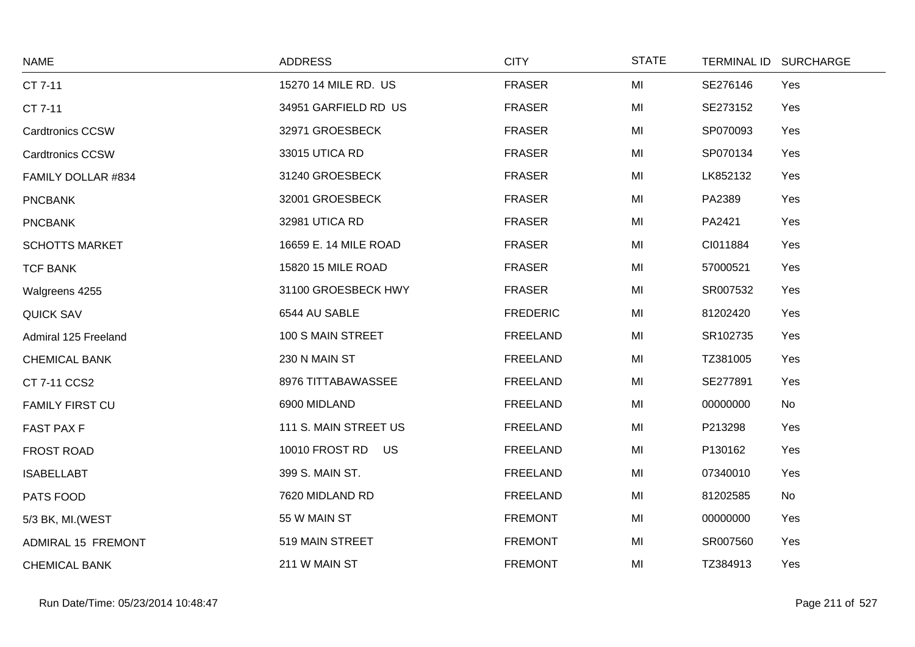| <b>NAME</b>             | <b>ADDRESS</b>        | <b>CITY</b>     | <b>STATE</b> |          | TERMINAL ID SURCHARGE |
|-------------------------|-----------------------|-----------------|--------------|----------|-----------------------|
| CT 7-11                 | 15270 14 MILE RD. US  | <b>FRASER</b>   | MI           | SE276146 | Yes                   |
| CT 7-11                 | 34951 GARFIELD RD US  | <b>FRASER</b>   | MI           | SE273152 | Yes                   |
| <b>Cardtronics CCSW</b> | 32971 GROESBECK       | <b>FRASER</b>   | MI           | SP070093 | Yes                   |
| <b>Cardtronics CCSW</b> | 33015 UTICA RD        | <b>FRASER</b>   | MI           | SP070134 | Yes                   |
| FAMILY DOLLAR #834      | 31240 GROESBECK       | <b>FRASER</b>   | MI           | LK852132 | Yes                   |
| <b>PNCBANK</b>          | 32001 GROESBECK       | <b>FRASER</b>   | MI           | PA2389   | Yes                   |
| <b>PNCBANK</b>          | 32981 UTICA RD        | <b>FRASER</b>   | MI           | PA2421   | Yes                   |
| <b>SCHOTTS MARKET</b>   | 16659 E. 14 MILE ROAD | <b>FRASER</b>   | MI           | CI011884 | Yes                   |
| <b>TCF BANK</b>         | 15820 15 MILE ROAD    | <b>FRASER</b>   | MI           | 57000521 | Yes                   |
| Walgreens 4255          | 31100 GROESBECK HWY   | <b>FRASER</b>   | MI           | SR007532 | Yes                   |
| <b>QUICK SAV</b>        | 6544 AU SABLE         | <b>FREDERIC</b> | MI           | 81202420 | Yes                   |
| Admiral 125 Freeland    | 100 S MAIN STREET     | <b>FREELAND</b> | MI           | SR102735 | Yes                   |
| <b>CHEMICAL BANK</b>    | 230 N MAIN ST         | <b>FREELAND</b> | MI           | TZ381005 | Yes                   |
| CT 7-11 CCS2            | 8976 TITTABAWASSEE    | <b>FREELAND</b> | MI           | SE277891 | Yes                   |
| <b>FAMILY FIRST CU</b>  | 6900 MIDLAND          | <b>FREELAND</b> | MI           | 00000000 | No                    |
| <b>FAST PAX F</b>       | 111 S. MAIN STREET US | <b>FREELAND</b> | MI           | P213298  | Yes                   |
| <b>FROST ROAD</b>       | 10010 FROST RD US     | <b>FREELAND</b> | MI           | P130162  | Yes                   |
| <b>ISABELLABT</b>       | 399 S. MAIN ST.       | FREELAND        | MI           | 07340010 | Yes                   |
| PATS FOOD               | 7620 MIDLAND RD       | <b>FREELAND</b> | MI           | 81202585 | No                    |
| 5/3 BK, MI. (WEST       | 55 W MAIN ST          | <b>FREMONT</b>  | MI           | 00000000 | Yes                   |
| ADMIRAL 15 FREMONT      | 519 MAIN STREET       | <b>FREMONT</b>  | MI           | SR007560 | Yes                   |
| <b>CHEMICAL BANK</b>    | 211 W MAIN ST         | <b>FREMONT</b>  | MI           | TZ384913 | Yes                   |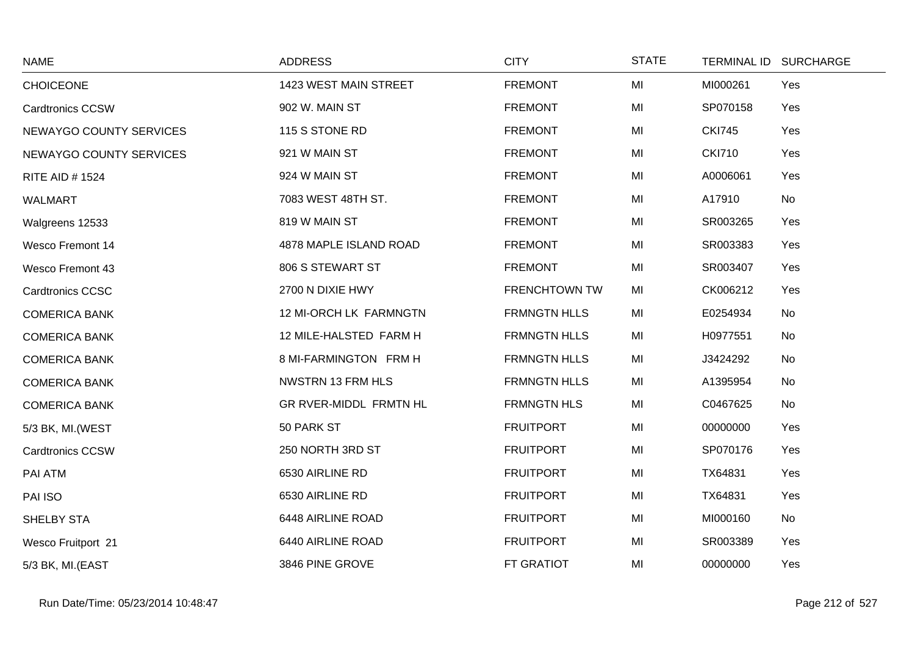| <b>NAME</b>             | <b>ADDRESS</b>           | <b>CITY</b>          | <b>STATE</b> | TERMINAL ID SURCHARGE |     |
|-------------------------|--------------------------|----------------------|--------------|-----------------------|-----|
| <b>CHOICEONE</b>        | 1423 WEST MAIN STREET    | <b>FREMONT</b>       | MI           | MI000261              | Yes |
| <b>Cardtronics CCSW</b> | 902 W. MAIN ST           | <b>FREMONT</b>       | MI           | SP070158              | Yes |
| NEWAYGO COUNTY SERVICES | 115 S STONE RD           | <b>FREMONT</b>       | MI           | <b>CKI745</b>         | Yes |
| NEWAYGO COUNTY SERVICES | 921 W MAIN ST            | <b>FREMONT</b>       | MI           | <b>CKI710</b>         | Yes |
| <b>RITE AID # 1524</b>  | 924 W MAIN ST            | <b>FREMONT</b>       | MI           | A0006061              | Yes |
| <b>WALMART</b>          | 7083 WEST 48TH ST.       | <b>FREMONT</b>       | MI           | A17910                | No  |
| Walgreens 12533         | 819 W MAIN ST            | <b>FREMONT</b>       | MI           | SR003265              | Yes |
| <b>Wesco Fremont 14</b> | 4878 MAPLE ISLAND ROAD   | <b>FREMONT</b>       | MI           | SR003383              | Yes |
| <b>Wesco Fremont 43</b> | 806 S STEWART ST         | <b>FREMONT</b>       | MI           | SR003407              | Yes |
| <b>Cardtronics CCSC</b> | 2700 N DIXIE HWY         | <b>FRENCHTOWN TW</b> | MI           | CK006212              | Yes |
| <b>COMERICA BANK</b>    | 12 MI-ORCH LK FARMNGTN   | <b>FRMNGTN HLLS</b>  | MI           | E0254934              | No  |
| <b>COMERICA BANK</b>    | 12 MILE-HALSTED FARM H   | <b>FRMNGTN HLLS</b>  | MI           | H0977551              | No  |
| <b>COMERICA BANK</b>    | 8 MI-FARMINGTON FRM H    | <b>FRMNGTN HLLS</b>  | MI           | J3424292              | No  |
| <b>COMERICA BANK</b>    | <b>NWSTRN 13 FRM HLS</b> | <b>FRMNGTN HLLS</b>  | MI           | A1395954              | No  |
| <b>COMERICA BANK</b>    | GR RVER-MIDDL FRMTN HL   | FRMNGTN HLS          | MI           | C0467625              | No  |
| 5/3 BK, MI. (WEST       | 50 PARK ST               | <b>FRUITPORT</b>     | MI           | 00000000              | Yes |
| <b>Cardtronics CCSW</b> | 250 NORTH 3RD ST         | <b>FRUITPORT</b>     | MI           | SP070176              | Yes |
| PAI ATM                 | 6530 AIRLINE RD          | <b>FRUITPORT</b>     | MI           | TX64831               | Yes |
| PAI ISO                 | 6530 AIRLINE RD          | <b>FRUITPORT</b>     | MI           | TX64831               | Yes |
| SHELBY STA              | 6448 AIRLINE ROAD        | <b>FRUITPORT</b>     | MI           | MI000160              | No  |
| Wesco Fruitport 21      | 6440 AIRLINE ROAD        | <b>FRUITPORT</b>     | MI           | SR003389              | Yes |
| 5/3 BK, MI.(EAST        | 3846 PINE GROVE          | <b>FT GRATIOT</b>    | MI           | 00000000              | Yes |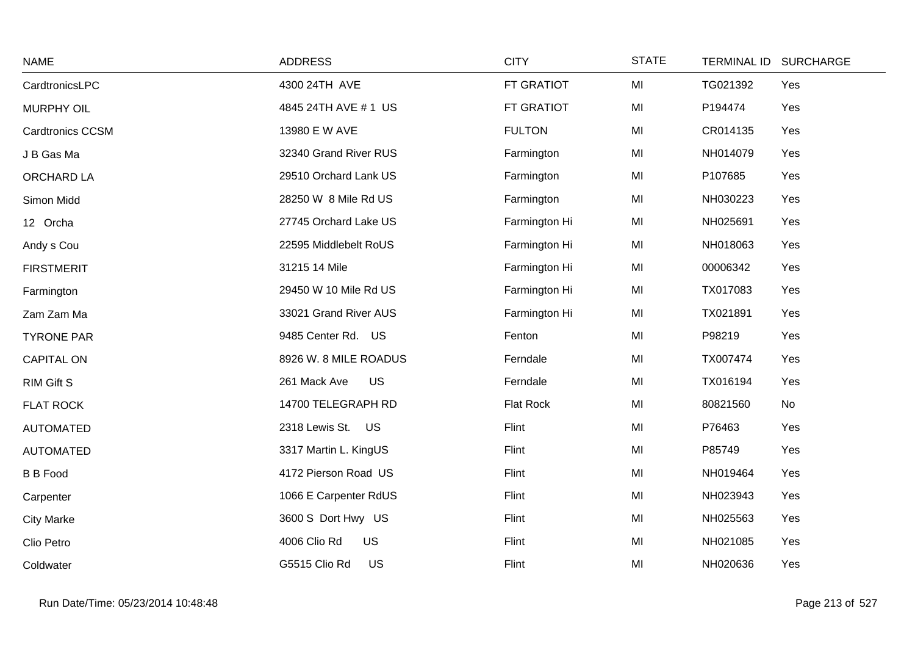| <b>NAME</b>             | <b>ADDRESS</b>            | <b>CITY</b>   | <b>STATE</b> |          | TERMINAL ID SURCHARGE |
|-------------------------|---------------------------|---------------|--------------|----------|-----------------------|
| CardtronicsLPC          | 4300 24TH AVE             | FT GRATIOT    | MI           | TG021392 | Yes                   |
| <b>MURPHY OIL</b>       | 4845 24TH AVE # 1 US      | FT GRATIOT    | MI           | P194474  | Yes                   |
| <b>Cardtronics CCSM</b> | 13980 E W AVE             | <b>FULTON</b> | MI           | CR014135 | Yes                   |
| J B Gas Ma              | 32340 Grand River RUS     | Farmington    | MI           | NH014079 | Yes                   |
| ORCHARD LA              | 29510 Orchard Lank US     | Farmington    | MI           | P107685  | Yes                   |
| Simon Midd              | 28250 W 8 Mile Rd US      | Farmington    | MI           | NH030223 | Yes                   |
| 12 Orcha                | 27745 Orchard Lake US     | Farmington Hi | MI           | NH025691 | Yes                   |
| Andy s Cou              | 22595 Middlebelt RoUS     | Farmington Hi | MI           | NH018063 | Yes                   |
| <b>FIRSTMERIT</b>       | 31215 14 Mile             | Farmington Hi | MI           | 00006342 | Yes                   |
| Farmington              | 29450 W 10 Mile Rd US     | Farmington Hi | MI           | TX017083 | Yes                   |
| Zam Zam Ma              | 33021 Grand River AUS     | Farmington Hi | MI           | TX021891 | Yes                   |
| <b>TYRONE PAR</b>       | 9485 Center Rd. US        | Fenton        | MI           | P98219   | Yes                   |
| <b>CAPITAL ON</b>       | 8926 W. 8 MILE ROADUS     | Ferndale      | MI           | TX007474 | Yes                   |
| <b>RIM Gift S</b>       | <b>US</b><br>261 Mack Ave | Ferndale      | MI           | TX016194 | Yes                   |
| <b>FLAT ROCK</b>        | 14700 TELEGRAPH RD        | Flat Rock     | MI           | 80821560 | No                    |
| <b>AUTOMATED</b>        | 2318 Lewis St. US         | Flint         | MI           | P76463   | Yes                   |
| <b>AUTOMATED</b>        | 3317 Martin L. KingUS     | Flint         | MI           | P85749   | Yes                   |
| <b>B B Food</b>         | 4172 Pierson Road US      | Flint         | MI           | NH019464 | Yes                   |
| Carpenter               | 1066 E Carpenter RdUS     | Flint         | MI           | NH023943 | Yes                   |
| <b>City Marke</b>       | 3600 S Dort Hwy US        | Flint         | MI           | NH025563 | Yes                   |
| Clio Petro              | 4006 Clio Rd<br><b>US</b> | Flint         | MI           | NH021085 | Yes                   |
| Coldwater               | G5515 Clio Rd<br>US       | Flint         | MI           | NH020636 | Yes                   |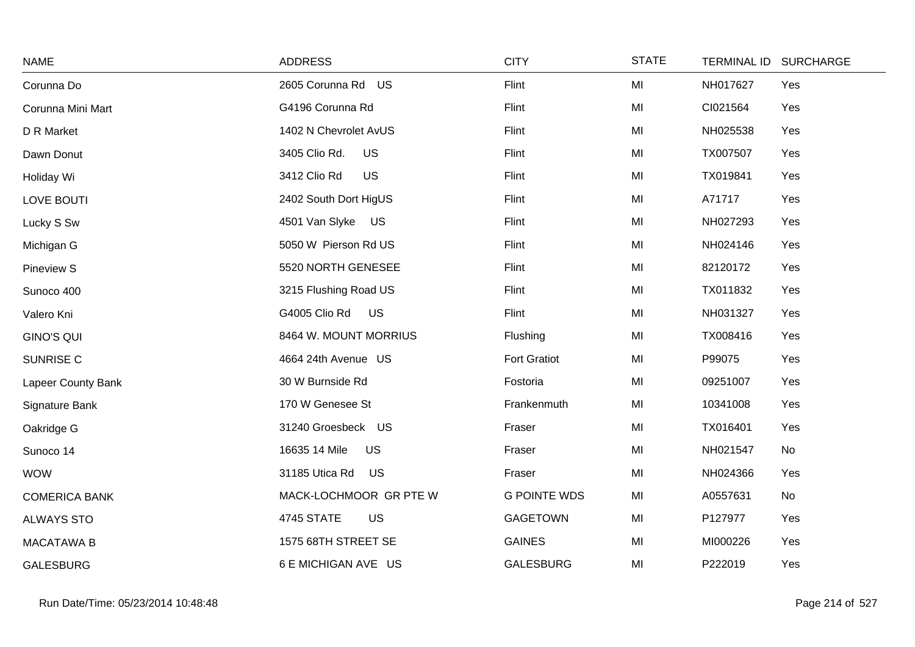| <b>NAME</b>          | <b>ADDRESS</b>              | <b>CITY</b>         | <b>STATE</b> | TERMINAL ID SURCHARGE |  |
|----------------------|-----------------------------|---------------------|--------------|-----------------------|--|
| Corunna Do           | 2605 Corunna Rd US          | Flint               | MI           | NH017627<br>Yes       |  |
| Corunna Mini Mart    | G4196 Corunna Rd            | Flint               | MI           | CI021564<br>Yes       |  |
| D R Market           | 1402 N Chevrolet AvUS       | Flint               | MI           | NH025538<br>Yes       |  |
| Dawn Donut           | <b>US</b><br>3405 Clio Rd.  | Flint               | MI           | TX007507<br>Yes       |  |
| Holiday Wi           | 3412 Clio Rd<br>US          | Flint               | MI           | TX019841<br>Yes       |  |
| LOVE BOUTI           | 2402 South Dort HigUS       | Flint               | MI           | Yes<br>A71717         |  |
| Lucky S Sw           | 4501 Van Slyke US           | Flint               | MI           | NH027293<br>Yes       |  |
| Michigan G           | 5050 W Pierson Rd US        | Flint               | MI           | NH024146<br>Yes       |  |
| <b>Pineview S</b>    | 5520 NORTH GENESEE          | Flint               | MI           | 82120172<br>Yes       |  |
| Sunoco 400           | 3215 Flushing Road US       | Flint               | MI           | TX011832<br>Yes       |  |
| Valero Kni           | G4005 Clio Rd US            | Flint               | MI           | Yes<br>NH031327       |  |
| <b>GINO'S QUI</b>    | 8464 W. MOUNT MORRIUS       | Flushing            | MI           | TX008416<br>Yes       |  |
| SUNRISE C            | 4664 24th Avenue US         | <b>Fort Gratiot</b> | MI           | P99075<br>Yes         |  |
| Lapeer County Bank   | 30 W Burnside Rd            | Fostoria            | MI           | 09251007<br>Yes       |  |
| Signature Bank       | 170 W Genesee St            | Frankenmuth         | MI           | 10341008<br>Yes       |  |
| Oakridge G           | 31240 Groesbeck US          | Fraser              | MI           | TX016401<br>Yes       |  |
| Sunoco 14            | 16635 14 Mile<br><b>US</b>  | Fraser              | MI           | NH021547<br>No        |  |
| <b>WOW</b>           | 31185 Utica Rd<br><b>US</b> | Fraser              | MI           | NH024366<br>Yes       |  |
| <b>COMERICA BANK</b> | MACK-LOCHMOOR GR PTE W      | <b>G POINTE WDS</b> | MI           | A0557631<br>No        |  |
| <b>ALWAYS STO</b>    | 4745 STATE<br>US            | <b>GAGETOWN</b>     | MI           | P127977<br>Yes        |  |
| <b>MACATAWA B</b>    | 1575 68TH STREET SE         | <b>GAINES</b>       | MI           | MI000226<br>Yes       |  |
| <b>GALESBURG</b>     | 6 E MICHIGAN AVE US         | <b>GALESBURG</b>    | MI           | P222019<br>Yes        |  |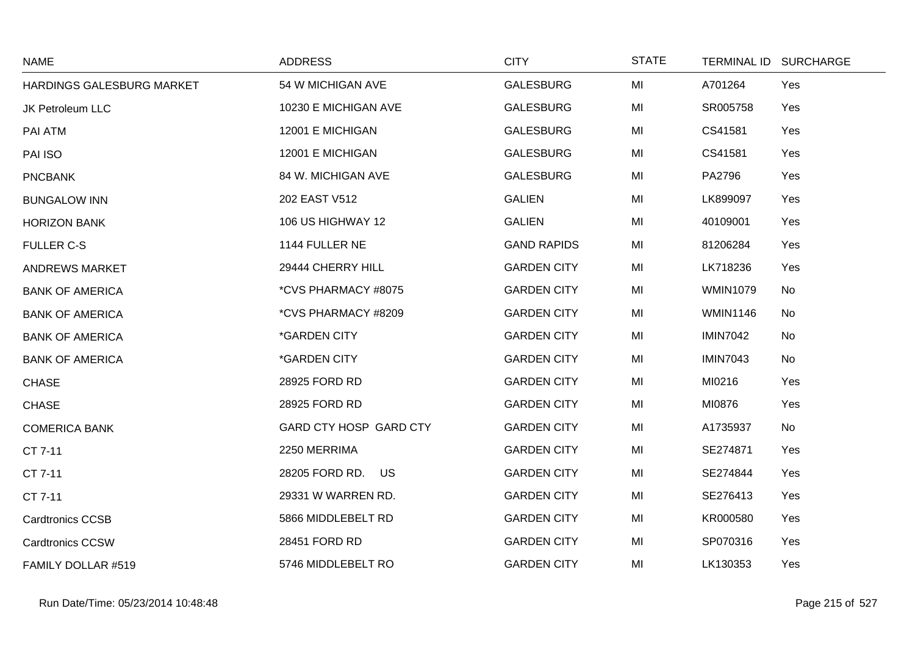| <b>NAME</b>               | <b>ADDRESS</b>             | <b>CITY</b>        | <b>STATE</b> |                 | TERMINAL ID SURCHARGE |
|---------------------------|----------------------------|--------------------|--------------|-----------------|-----------------------|
| HARDINGS GALESBURG MARKET | 54 W MICHIGAN AVE          | <b>GALESBURG</b>   | MI           | A701264         | Yes                   |
| <b>JK Petroleum LLC</b>   | 10230 E MICHIGAN AVE       | <b>GALESBURG</b>   | MI           | SR005758        | Yes                   |
| PAI ATM                   | 12001 E MICHIGAN           | <b>GALESBURG</b>   | MI           | CS41581         | Yes                   |
| PAI ISO                   | 12001 E MICHIGAN           | <b>GALESBURG</b>   | MI           | CS41581         | Yes                   |
| <b>PNCBANK</b>            | 84 W. MICHIGAN AVE         | <b>GALESBURG</b>   | MI           | PA2796          | Yes                   |
| <b>BUNGALOW INN</b>       | 202 EAST V512              | <b>GALIEN</b>      | MI           | LK899097        | Yes                   |
| <b>HORIZON BANK</b>       | 106 US HIGHWAY 12          | <b>GALIEN</b>      | MI           | 40109001        | Yes                   |
| <b>FULLER C-S</b>         | 1144 FULLER NE             | <b>GAND RAPIDS</b> | MI           | 81206284        | Yes                   |
| <b>ANDREWS MARKET</b>     | 29444 CHERRY HILL          | <b>GARDEN CITY</b> | MI           | LK718236        | Yes                   |
| <b>BANK OF AMERICA</b>    | *CVS PHARMACY #8075        | <b>GARDEN CITY</b> | MI           | <b>WMIN1079</b> | No                    |
| <b>BANK OF AMERICA</b>    | *CVS PHARMACY #8209        | <b>GARDEN CITY</b> | MI           | <b>WMIN1146</b> | No                    |
| <b>BANK OF AMERICA</b>    | <i><b>*GARDEN CITY</b></i> | <b>GARDEN CITY</b> | MI           | <b>IMIN7042</b> | No                    |
| <b>BANK OF AMERICA</b>    | <i><b>*GARDEN CITY</b></i> | <b>GARDEN CITY</b> | MI           | <b>IMIN7043</b> | No                    |
| <b>CHASE</b>              | 28925 FORD RD              | <b>GARDEN CITY</b> | MI           | MI0216          | Yes                   |
| <b>CHASE</b>              | 28925 FORD RD              | <b>GARDEN CITY</b> | MI           | MI0876          | Yes                   |
| <b>COMERICA BANK</b>      | GARD CTY HOSP GARD CTY     | <b>GARDEN CITY</b> | MI           | A1735937        | No                    |
| CT 7-11                   | 2250 MERRIMA               | <b>GARDEN CITY</b> | MI           | SE274871        | Yes                   |
| CT 7-11                   | 28205 FORD RD. US          | <b>GARDEN CITY</b> | MI           | SE274844        | Yes                   |
| CT 7-11                   | 29331 W WARREN RD.         | <b>GARDEN CITY</b> | MI           | SE276413        | Yes                   |
| <b>Cardtronics CCSB</b>   | 5866 MIDDLEBELT RD         | <b>GARDEN CITY</b> | MI           | KR000580        | Yes                   |
| <b>Cardtronics CCSW</b>   | 28451 FORD RD              | <b>GARDEN CITY</b> | MI           | SP070316        | Yes                   |
| FAMILY DOLLAR #519        | 5746 MIDDLEBELT RO         | <b>GARDEN CITY</b> | MI           | LK130353        | Yes                   |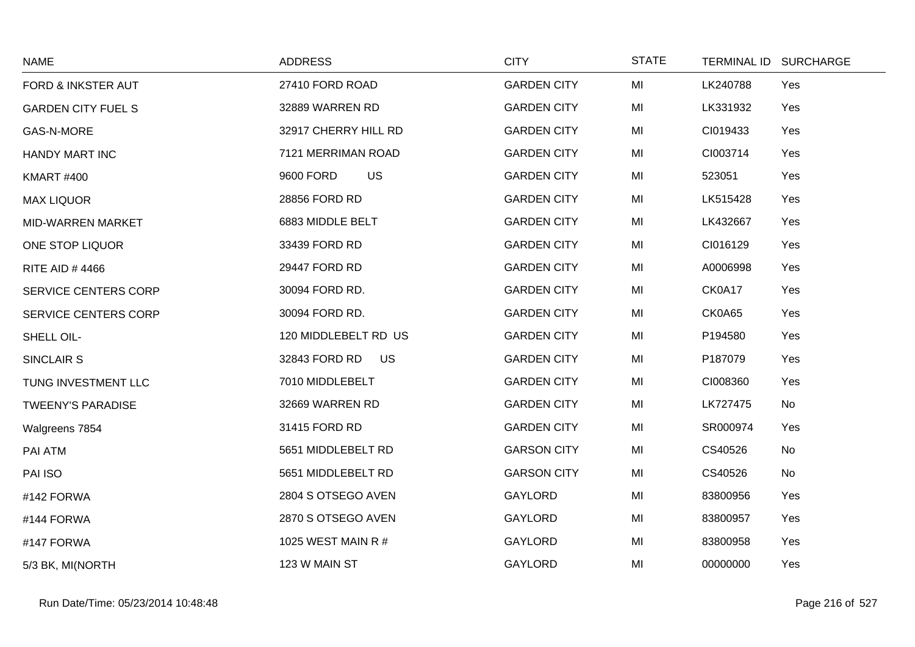| <b>NAME</b>               | <b>ADDRESS</b>         | <b>CITY</b>        | <b>STATE</b> | TERMINAL ID SURCHARGE |  |
|---------------------------|------------------------|--------------------|--------------|-----------------------|--|
| FORD & INKSTER AUT        | 27410 FORD ROAD        | <b>GARDEN CITY</b> | MI           | LK240788<br>Yes       |  |
| <b>GARDEN CITY FUEL S</b> | 32889 WARREN RD        | <b>GARDEN CITY</b> | MI           | LK331932<br>Yes       |  |
| GAS-N-MORE                | 32917 CHERRY HILL RD   | <b>GARDEN CITY</b> | MI           | CI019433<br>Yes       |  |
| <b>HANDY MART INC</b>     | 7121 MERRIMAN ROAD     | <b>GARDEN CITY</b> | MI           | CI003714<br>Yes       |  |
| <b>KMART #400</b>         | <b>US</b><br>9600 FORD | <b>GARDEN CITY</b> | MI           | 523051<br>Yes         |  |
| <b>MAX LIQUOR</b>         | 28856 FORD RD          | <b>GARDEN CITY</b> | MI           | LK515428<br>Yes       |  |
| MID-WARREN MARKET         | 6883 MIDDLE BELT       | <b>GARDEN CITY</b> | MI           | LK432667<br>Yes       |  |
| ONE STOP LIQUOR           | 33439 FORD RD          | <b>GARDEN CITY</b> | MI           | CI016129<br>Yes       |  |
| <b>RITE AID #4466</b>     | 29447 FORD RD          | <b>GARDEN CITY</b> | MI           | Yes<br>A0006998       |  |
| SERVICE CENTERS CORP      | 30094 FORD RD.         | <b>GARDEN CITY</b> | MI           | CK0A17<br>Yes         |  |
| SERVICE CENTERS CORP      | 30094 FORD RD.         | <b>GARDEN CITY</b> | MI           | CK0A65<br>Yes         |  |
| SHELL OIL-                | 120 MIDDLEBELT RD US   | <b>GARDEN CITY</b> | MI           | P194580<br>Yes        |  |
| SINCLAIR S                | 32843 FORD RD<br>US    | <b>GARDEN CITY</b> | MI           | P187079<br>Yes        |  |
| TUNG INVESTMENT LLC       | 7010 MIDDLEBELT        | <b>GARDEN CITY</b> | MI           | CI008360<br>Yes       |  |
| <b>TWEENY'S PARADISE</b>  | 32669 WARREN RD        | <b>GARDEN CITY</b> | MI           | LK727475<br>No        |  |
| Walgreens 7854            | 31415 FORD RD          | <b>GARDEN CITY</b> | MI           | SR000974<br>Yes       |  |
| PAI ATM                   | 5651 MIDDLEBELT RD     | <b>GARSON CITY</b> | MI           | CS40526<br>No         |  |
| PAI ISO                   | 5651 MIDDLEBELT RD     | <b>GARSON CITY</b> | MI           | CS40526<br>No         |  |
| #142 FORWA                | 2804 S OTSEGO AVEN     | <b>GAYLORD</b>     | MI           | 83800956<br>Yes       |  |
| #144 FORWA                | 2870 S OTSEGO AVEN     | <b>GAYLORD</b>     | MI           | 83800957<br>Yes       |  |
| #147 FORWA                | 1025 WEST MAIN R #     | GAYLORD            | MI           | 83800958<br>Yes       |  |
| 5/3 BK, MI(NORTH          | 123 W MAIN ST          | <b>GAYLORD</b>     | MI           | 00000000<br>Yes       |  |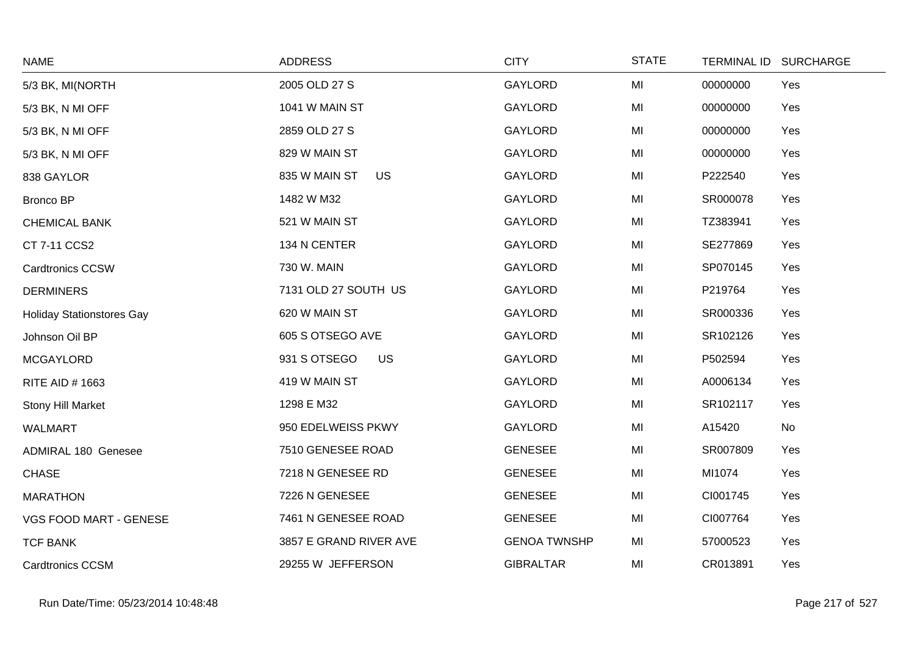| <b>NAME</b>                      | <b>ADDRESS</b>            | <b>CITY</b>         | <b>STATE</b> |          | TERMINAL ID SURCHARGE |
|----------------------------------|---------------------------|---------------------|--------------|----------|-----------------------|
| 5/3 BK, MI(NORTH                 | 2005 OLD 27 S             | GAYLORD             | MI           | 00000000 | Yes                   |
| 5/3 BK, N MI OFF                 | 1041 W MAIN ST            | <b>GAYLORD</b>      | MI           | 00000000 | Yes                   |
| 5/3 BK, N MI OFF                 | 2859 OLD 27 S             | GAYLORD             | MI           | 00000000 | Yes                   |
| 5/3 BK, N MI OFF                 | 829 W MAIN ST             | GAYLORD             | MI           | 00000000 | Yes                   |
| 838 GAYLOR                       | 835 W MAIN ST<br>US       | <b>GAYLORD</b>      | MI           | P222540  | Yes                   |
| <b>Bronco BP</b>                 | 1482 W M32                | GAYLORD             | MI           | SR000078 | Yes                   |
| <b>CHEMICAL BANK</b>             | 521 W MAIN ST             | <b>GAYLORD</b>      | MI           | TZ383941 | Yes                   |
| CT 7-11 CCS2                     | 134 N CENTER              | GAYLORD             | MI           | SE277869 | Yes                   |
| <b>Cardtronics CCSW</b>          | 730 W. MAIN               | GAYLORD             | MI           | SP070145 | Yes                   |
| <b>DERMINERS</b>                 | 7131 OLD 27 SOUTH US      | <b>GAYLORD</b>      | MI           | P219764  | Yes                   |
| <b>Holiday Stationstores Gay</b> | 620 W MAIN ST             | GAYLORD             | MI           | SR000336 | Yes                   |
| Johnson Oil BP                   | 605 S OTSEGO AVE          | GAYLORD             | MI           | SR102126 | Yes                   |
| <b>MCGAYLORD</b>                 | 931 S OTSEGO<br><b>US</b> | GAYLORD             | MI           | P502594  | Yes                   |
| RITE AID # 1663                  | 419 W MAIN ST             | GAYLORD             | MI           | A0006134 | Yes                   |
| Stony Hill Market                | 1298 E M32                | <b>GAYLORD</b>      | MI           | SR102117 | Yes                   |
| <b>WALMART</b>                   | 950 EDELWEISS PKWY        | GAYLORD             | MI           | A15420   | No                    |
| <b>ADMIRAL 180 Genesee</b>       | 7510 GENESEE ROAD         | <b>GENESEE</b>      | MI           | SR007809 | Yes                   |
| <b>CHASE</b>                     | 7218 N GENESEE RD         | <b>GENESEE</b>      | MI           | MI1074   | Yes                   |
| <b>MARATHON</b>                  | 7226 N GENESEE            | <b>GENESEE</b>      | MI           | CI001745 | Yes                   |
| VGS FOOD MART - GENESE           | 7461 N GENESEE ROAD       | <b>GENESEE</b>      | MI           | CI007764 | Yes                   |
| <b>TCF BANK</b>                  | 3857 E GRAND RIVER AVE    | <b>GENOA TWNSHP</b> | MI           | 57000523 | Yes                   |
| <b>Cardtronics CCSM</b>          | 29255 W JEFFERSON         | <b>GIBRALTAR</b>    | MI           | CR013891 | Yes                   |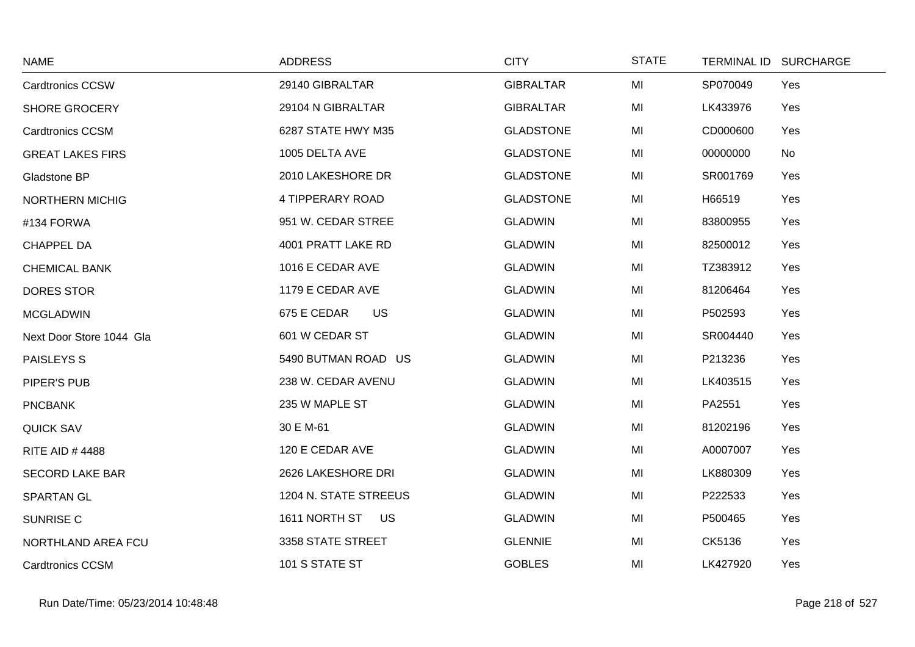| <b>NAME</b>              | <b>ADDRESS</b>        | <b>CITY</b>      | <b>STATE</b> | TERMINAL ID SURCHARGE |
|--------------------------|-----------------------|------------------|--------------|-----------------------|
| <b>Cardtronics CCSW</b>  | 29140 GIBRALTAR       | <b>GIBRALTAR</b> | MI           | SP070049<br>Yes       |
| <b>SHORE GROCERY</b>     | 29104 N GIBRALTAR     | <b>GIBRALTAR</b> | MI           | LK433976<br>Yes       |
| <b>Cardtronics CCSM</b>  | 6287 STATE HWY M35    | <b>GLADSTONE</b> | MI           | CD000600<br>Yes       |
| <b>GREAT LAKES FIRS</b>  | 1005 DELTA AVE        | <b>GLADSTONE</b> | MI           | 00000000<br>No        |
| Gladstone BP             | 2010 LAKESHORE DR     | <b>GLADSTONE</b> | MI           | SR001769<br>Yes       |
| <b>NORTHERN MICHIG</b>   | 4 TIPPERARY ROAD      | <b>GLADSTONE</b> | MI           | H66519<br>Yes         |
| #134 FORWA               | 951 W. CEDAR STREE    | <b>GLADWIN</b>   | MI           | 83800955<br>Yes       |
| <b>CHAPPEL DA</b>        | 4001 PRATT LAKE RD    | <b>GLADWIN</b>   | MI           | 82500012<br>Yes       |
| <b>CHEMICAL BANK</b>     | 1016 E CEDAR AVE      | <b>GLADWIN</b>   | MI           | TZ383912<br>Yes       |
| <b>DORES STOR</b>        | 1179 E CEDAR AVE      | <b>GLADWIN</b>   | MI           | 81206464<br>Yes       |
| <b>MCGLADWIN</b>         | US<br>675 E CEDAR     | <b>GLADWIN</b>   | MI           | P502593<br>Yes        |
| Next Door Store 1044 Gla | 601 W CEDAR ST        | <b>GLADWIN</b>   | MI           | SR004440<br>Yes       |
| PAISLEYS S               | 5490 BUTMAN ROAD US   | <b>GLADWIN</b>   | MI           | P213236<br>Yes        |
| PIPER'S PUB              | 238 W. CEDAR AVENU    | <b>GLADWIN</b>   | MI           | LK403515<br>Yes       |
| <b>PNCBANK</b>           | 235 W MAPLE ST        | <b>GLADWIN</b>   | MI           | PA2551<br>Yes         |
| <b>QUICK SAV</b>         | 30 E M-61             | <b>GLADWIN</b>   | MI           | 81202196<br>Yes       |
| <b>RITE AID #4488</b>    | 120 E CEDAR AVE       | <b>GLADWIN</b>   | MI           | A0007007<br>Yes       |
| <b>SECORD LAKE BAR</b>   | 2626 LAKESHORE DRI    | <b>GLADWIN</b>   | MI           | LK880309<br>Yes       |
| <b>SPARTAN GL</b>        | 1204 N. STATE STREEUS | <b>GLADWIN</b>   | MI           | P222533<br>Yes        |
| SUNRISE C                | 1611 NORTH ST US      | <b>GLADWIN</b>   | MI           | P500465<br>Yes        |
| NORTHLAND AREA FCU       | 3358 STATE STREET     | <b>GLENNIE</b>   | MI           | CK5136<br>Yes         |
| <b>Cardtronics CCSM</b>  | 101 S STATE ST        | <b>GOBLES</b>    | MI           | LK427920<br>Yes       |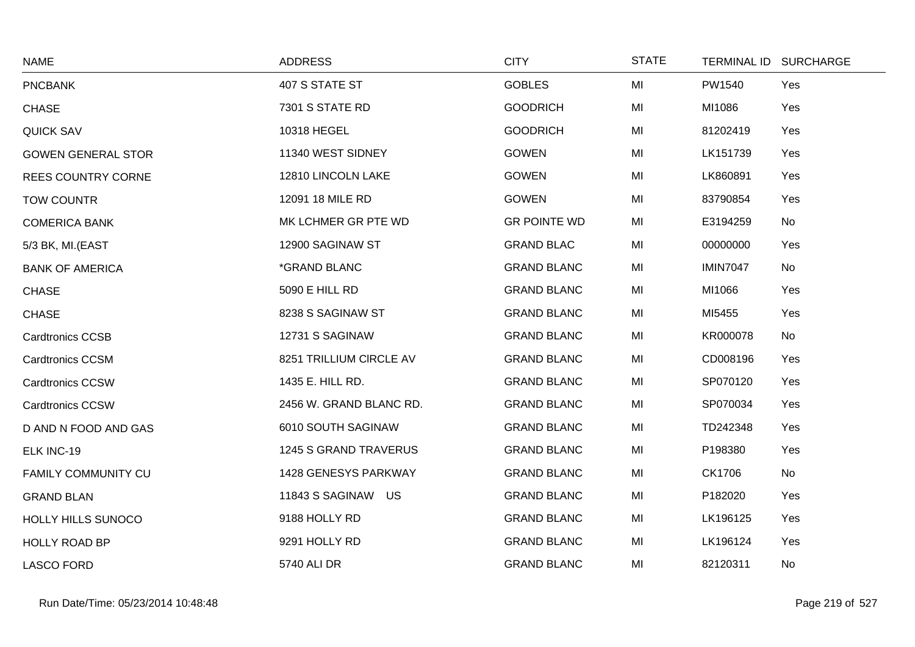| <b>NAME</b>               | <b>ADDRESS</b>          | <b>CITY</b>         | <b>STATE</b> | TERMINAL ID SURCHARGE |           |
|---------------------------|-------------------------|---------------------|--------------|-----------------------|-----------|
| <b>PNCBANK</b>            | 407 S STATE ST          | <b>GOBLES</b>       | MI           | PW1540                | Yes       |
| <b>CHASE</b>              | 7301 S STATE RD         | <b>GOODRICH</b>     | MI           | MI1086                | Yes       |
| <b>QUICK SAV</b>          | 10318 HEGEL             | <b>GOODRICH</b>     | MI           | 81202419              | Yes       |
| <b>GOWEN GENERAL STOR</b> | 11340 WEST SIDNEY       | <b>GOWEN</b>        | MI           | LK151739              | Yes       |
| <b>REES COUNTRY CORNE</b> | 12810 LINCOLN LAKE      | <b>GOWEN</b>        | MI           | LK860891              | Yes       |
| <b>TOW COUNTR</b>         | 12091 18 MILE RD        | <b>GOWEN</b>        | MI           | 83790854              | Yes       |
| <b>COMERICA BANK</b>      | MK LCHMER GR PTE WD     | <b>GR POINTE WD</b> | MI           | E3194259              | No        |
| 5/3 BK, MI.(EAST          | 12900 SAGINAW ST        | <b>GRAND BLAC</b>   | MI           | 00000000              | Yes       |
| <b>BANK OF AMERICA</b>    | *GRAND BLANC            | <b>GRAND BLANC</b>  | MI           | <b>IMIN7047</b>       | No        |
| <b>CHASE</b>              | 5090 E HILL RD          | <b>GRAND BLANC</b>  | MI           | MI1066                | Yes       |
| <b>CHASE</b>              | 8238 S SAGINAW ST       | <b>GRAND BLANC</b>  | MI           | MI5455                | Yes       |
| <b>Cardtronics CCSB</b>   | 12731 S SAGINAW         | <b>GRAND BLANC</b>  | MI           | KR000078              | No        |
| <b>Cardtronics CCSM</b>   | 8251 TRILLIUM CIRCLE AV | <b>GRAND BLANC</b>  | MI           | CD008196              | Yes       |
| <b>Cardtronics CCSW</b>   | 1435 E. HILL RD.        | <b>GRAND BLANC</b>  | MI           | SP070120              | Yes       |
| <b>Cardtronics CCSW</b>   | 2456 W. GRAND BLANC RD. | <b>GRAND BLANC</b>  | MI           | SP070034              | Yes       |
| D AND N FOOD AND GAS      | 6010 SOUTH SAGINAW      | <b>GRAND BLANC</b>  | MI           | TD242348              | Yes       |
| ELK INC-19                | 1245 S GRAND TRAVERUS   | <b>GRAND BLANC</b>  | MI           | P198380               | Yes       |
| FAMILY COMMUNITY CU       | 1428 GENESYS PARKWAY    | <b>GRAND BLANC</b>  | MI           | CK1706                | No        |
| <b>GRAND BLAN</b>         | 11843 S SAGINAW US      | <b>GRAND BLANC</b>  | MI           | P182020               | Yes       |
| HOLLY HILLS SUNOCO        | 9188 HOLLY RD           | <b>GRAND BLANC</b>  | MI           | LK196125              | Yes       |
| <b>HOLLY ROAD BP</b>      | 9291 HOLLY RD           | <b>GRAND BLANC</b>  | MI           | LK196124              | Yes       |
| <b>LASCO FORD</b>         | 5740 ALI DR             | <b>GRAND BLANC</b>  | MI           | 82120311              | <b>No</b> |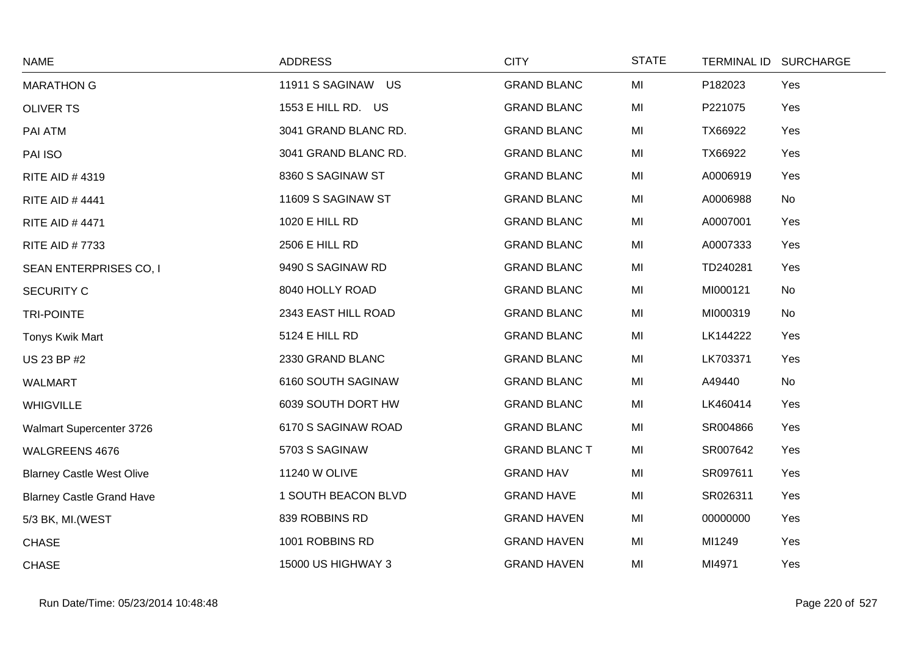| <b>NAME</b>                      | <b>ADDRESS</b>        | <b>CITY</b>          | <b>STATE</b> |          | TERMINAL ID SURCHARGE |
|----------------------------------|-----------------------|----------------------|--------------|----------|-----------------------|
| <b>MARATHON G</b>                | 11911 S SAGINAW US    | <b>GRAND BLANC</b>   | MI           | P182023  | Yes                   |
| <b>OLIVER TS</b>                 | 1553 E HILL RD. US    | <b>GRAND BLANC</b>   | MI           | P221075  | Yes                   |
| PAI ATM                          | 3041 GRAND BLANC RD.  | <b>GRAND BLANC</b>   | MI           | TX66922  | Yes                   |
| PAI ISO                          | 3041 GRAND BLANC RD.  | <b>GRAND BLANC</b>   | MI           | TX66922  | Yes                   |
| RITE AID #4319                   | 8360 S SAGINAW ST     | <b>GRAND BLANC</b>   | MI           | A0006919 | Yes                   |
| <b>RITE AID #4441</b>            | 11609 S SAGINAW ST    | <b>GRAND BLANC</b>   | MI           | A0006988 | No                    |
| <b>RITE AID #4471</b>            | 1020 E HILL RD        | <b>GRAND BLANC</b>   | MI           | A0007001 | Yes                   |
| <b>RITE AID #7733</b>            | 2506 E HILL RD        | <b>GRAND BLANC</b>   | MI           | A0007333 | Yes                   |
| SEAN ENTERPRISES CO, I           | 9490 S SAGINAW RD     | <b>GRAND BLANC</b>   | MI           | TD240281 | Yes                   |
| <b>SECURITY C</b>                | 8040 HOLLY ROAD       | <b>GRAND BLANC</b>   | MI           | MI000121 | No                    |
| <b>TRI-POINTE</b>                | 2343 EAST HILL ROAD   | <b>GRAND BLANC</b>   | MI           | MI000319 | No                    |
| Tonys Kwik Mart                  | <b>5124 E HILL RD</b> | <b>GRAND BLANC</b>   | MI           | LK144222 | Yes                   |
| US 23 BP #2                      | 2330 GRAND BLANC      | <b>GRAND BLANC</b>   | MI           | LK703371 | Yes                   |
| WALMART                          | 6160 SOUTH SAGINAW    | <b>GRAND BLANC</b>   | MI           | A49440   | No                    |
| <b>WHIGVILLE</b>                 | 6039 SOUTH DORT HW    | <b>GRAND BLANC</b>   | MI           | LK460414 | Yes                   |
| Walmart Supercenter 3726         | 6170 S SAGINAW ROAD   | <b>GRAND BLANC</b>   | MI           | SR004866 | Yes                   |
| WALGREENS 4676                   | 5703 S SAGINAW        | <b>GRAND BLANC T</b> | MI           | SR007642 | Yes                   |
| <b>Blarney Castle West Olive</b> | 11240 W OLIVE         | <b>GRAND HAV</b>     | MI           | SR097611 | Yes                   |
| <b>Blarney Castle Grand Have</b> | 1 SOUTH BEACON BLVD   | <b>GRAND HAVE</b>    | MI           | SR026311 | Yes                   |
| 5/3 BK, MI. (WEST                | 839 ROBBINS RD        | <b>GRAND HAVEN</b>   | MI           | 00000000 | Yes                   |
| <b>CHASE</b>                     | 1001 ROBBINS RD       | <b>GRAND HAVEN</b>   | MI           | MI1249   | Yes                   |
| <b>CHASE</b>                     | 15000 US HIGHWAY 3    | <b>GRAND HAVEN</b>   | MI           | MI4971   | Yes                   |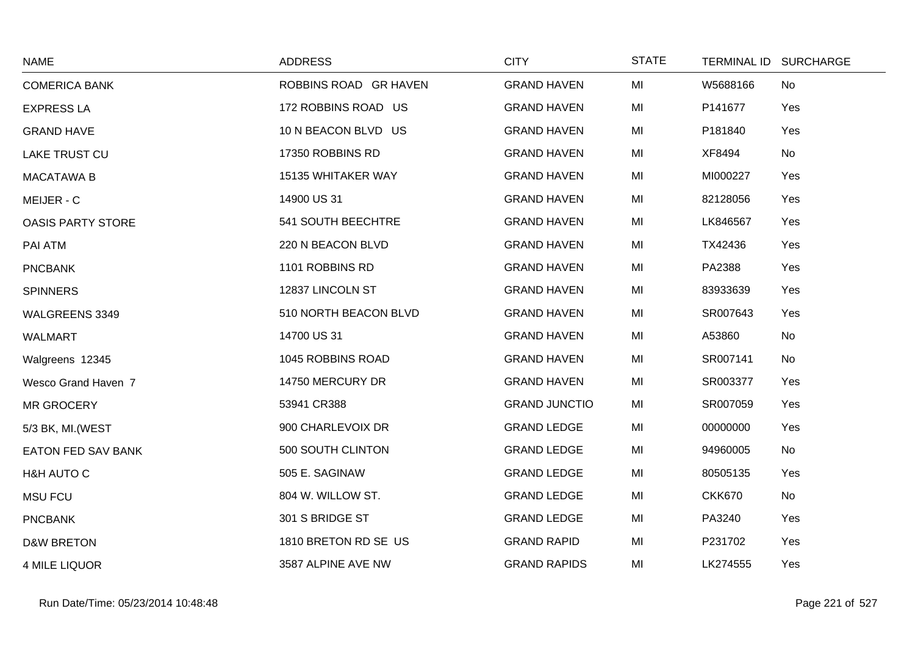| <b>NAME</b>               | <b>ADDRESS</b>        | <b>CITY</b>          | <b>STATE</b> |               | TERMINAL ID SURCHARGE |
|---------------------------|-----------------------|----------------------|--------------|---------------|-----------------------|
| <b>COMERICA BANK</b>      | ROBBINS ROAD GR HAVEN | <b>GRAND HAVEN</b>   | MI           | W5688166      | No                    |
| <b>EXPRESS LA</b>         | 172 ROBBINS ROAD US   | <b>GRAND HAVEN</b>   | MI           | P141677       | Yes                   |
| <b>GRAND HAVE</b>         | 10 N BEACON BLVD US   | <b>GRAND HAVEN</b>   | MI           | P181840       | Yes                   |
| LAKE TRUST CU             | 17350 ROBBINS RD      | <b>GRAND HAVEN</b>   | MI           | XF8494        | No                    |
| <b>MACATAWA B</b>         | 15135 WHITAKER WAY    | <b>GRAND HAVEN</b>   | MI           | MI000227      | Yes                   |
| MEIJER - C                | 14900 US 31           | <b>GRAND HAVEN</b>   | MI           | 82128056      | Yes                   |
| <b>OASIS PARTY STORE</b>  | 541 SOUTH BEECHTRE    | <b>GRAND HAVEN</b>   | MI           | LK846567      | Yes                   |
| PAI ATM                   | 220 N BEACON BLVD     | <b>GRAND HAVEN</b>   | MI           | TX42436       | Yes                   |
| <b>PNCBANK</b>            | 1101 ROBBINS RD       | <b>GRAND HAVEN</b>   | MI           | PA2388        | Yes                   |
| <b>SPINNERS</b>           | 12837 LINCOLN ST      | <b>GRAND HAVEN</b>   | MI           | 83933639      | Yes                   |
| WALGREENS 3349            | 510 NORTH BEACON BLVD | <b>GRAND HAVEN</b>   | MI           | SR007643      | Yes                   |
| <b>WALMART</b>            | 14700 US 31           | <b>GRAND HAVEN</b>   | MI           | A53860        | No                    |
| Walgreens 12345           | 1045 ROBBINS ROAD     | <b>GRAND HAVEN</b>   | MI           | SR007141      | No                    |
| Wesco Grand Haven 7       | 14750 MERCURY DR      | <b>GRAND HAVEN</b>   | MI           | SR003377      | Yes                   |
| MR GROCERY                | 53941 CR388           | <b>GRAND JUNCTIO</b> | MI           | SR007059      | Yes                   |
| 5/3 BK, MI. (WEST         | 900 CHARLEVOIX DR     | <b>GRAND LEDGE</b>   | MI           | 00000000      | Yes                   |
| <b>EATON FED SAV BANK</b> | 500 SOUTH CLINTON     | <b>GRAND LEDGE</b>   | MI           | 94960005      | No                    |
| H&H AUTO C                | 505 E. SAGINAW        | <b>GRAND LEDGE</b>   | MI           | 80505135      | Yes                   |
| <b>MSU FCU</b>            | 804 W. WILLOW ST.     | <b>GRAND LEDGE</b>   | MI           | <b>CKK670</b> | No                    |
| <b>PNCBANK</b>            | 301 S BRIDGE ST       | <b>GRAND LEDGE</b>   | MI           | PA3240        | Yes                   |
| <b>D&amp;W BRETON</b>     | 1810 BRETON RD SE US  | <b>GRAND RAPID</b>   | MI           | P231702       | Yes                   |
| <b>4 MILE LIQUOR</b>      | 3587 ALPINE AVE NW    | <b>GRAND RAPIDS</b>  | MI           | LK274555      | Yes                   |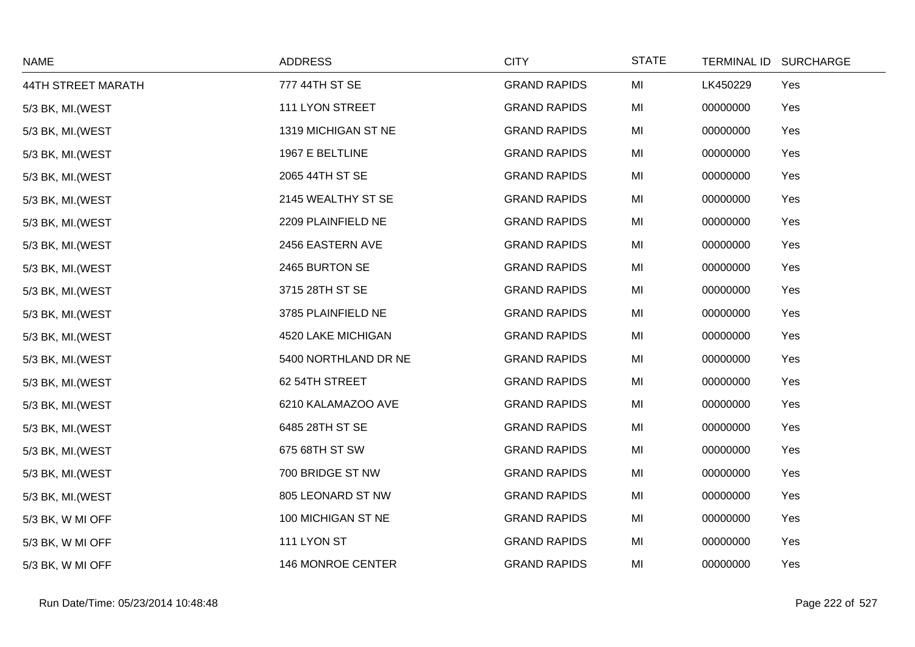| <b>NAME</b>        | <b>ADDRESS</b>       | <b>CITY</b>         | <b>STATE</b> | TERMINAL ID SURCHARGE |     |
|--------------------|----------------------|---------------------|--------------|-----------------------|-----|
| 44TH STREET MARATH | 777 44TH ST SE       | <b>GRAND RAPIDS</b> | MI           | LK450229              | Yes |
| 5/3 BK, MI. (WEST  | 111 LYON STREET      | <b>GRAND RAPIDS</b> | MI           | 00000000              | Yes |
| 5/3 BK, MI. (WEST  | 1319 MICHIGAN ST NE  | <b>GRAND RAPIDS</b> | MI           | 00000000              | Yes |
| 5/3 BK, MI. (WEST  | 1967 E BELTLINE      | <b>GRAND RAPIDS</b> | MI           | 00000000              | Yes |
| 5/3 BK, MI. (WEST  | 2065 44TH ST SE      | <b>GRAND RAPIDS</b> | MI           | 00000000              | Yes |
| 5/3 BK, MI. (WEST  | 2145 WEALTHY ST SE   | <b>GRAND RAPIDS</b> | MI           | 00000000              | Yes |
| 5/3 BK, MI. (WEST  | 2209 PLAINFIELD NE   | <b>GRAND RAPIDS</b> | MI           | 00000000              | Yes |
| 5/3 BK, MI. (WEST  | 2456 EASTERN AVE     | <b>GRAND RAPIDS</b> | MI           | 00000000              | Yes |
| 5/3 BK, MI. (WEST  | 2465 BURTON SE       | <b>GRAND RAPIDS</b> | MI           | 00000000              | Yes |
| 5/3 BK, MI. (WEST  | 3715 28TH ST SE      | <b>GRAND RAPIDS</b> | MI           | 00000000              | Yes |
| 5/3 BK, MI. (WEST  | 3785 PLAINFIELD NE   | <b>GRAND RAPIDS</b> | MI           | 00000000              | Yes |
| 5/3 BK, MI. (WEST  | 4520 LAKE MICHIGAN   | <b>GRAND RAPIDS</b> | MI           | 00000000              | Yes |
| 5/3 BK, MI. (WEST  | 5400 NORTHLAND DR NE | <b>GRAND RAPIDS</b> | MI           | 00000000              | Yes |
| 5/3 BK, MI. (WEST  | 62 54TH STREET       | <b>GRAND RAPIDS</b> | MI           | 00000000              | Yes |
| 5/3 BK, MI. (WEST  | 6210 KALAMAZOO AVE   | <b>GRAND RAPIDS</b> | MI           | 00000000              | Yes |
| 5/3 BK, MI. (WEST  | 6485 28TH ST SE      | <b>GRAND RAPIDS</b> | MI           | 00000000              | Yes |
| 5/3 BK, MI. (WEST  | 675 68TH ST SW       | <b>GRAND RAPIDS</b> | MI           | 00000000              | Yes |
| 5/3 BK, MI. (WEST  | 700 BRIDGE ST NW     | <b>GRAND RAPIDS</b> | MI           | 00000000              | Yes |
| 5/3 BK, MI. (WEST  | 805 LEONARD ST NW    | <b>GRAND RAPIDS</b> | MI           | 00000000              | Yes |
| 5/3 BK, W MI OFF   | 100 MICHIGAN ST NE   | <b>GRAND RAPIDS</b> | MI           | 00000000              | Yes |
| 5/3 BK, W MI OFF   | 111 LYON ST          | <b>GRAND RAPIDS</b> | MI           | 00000000              | Yes |
| 5/3 BK, W MI OFF   | 146 MONROE CENTER    | <b>GRAND RAPIDS</b> | MI           | 00000000              | Yes |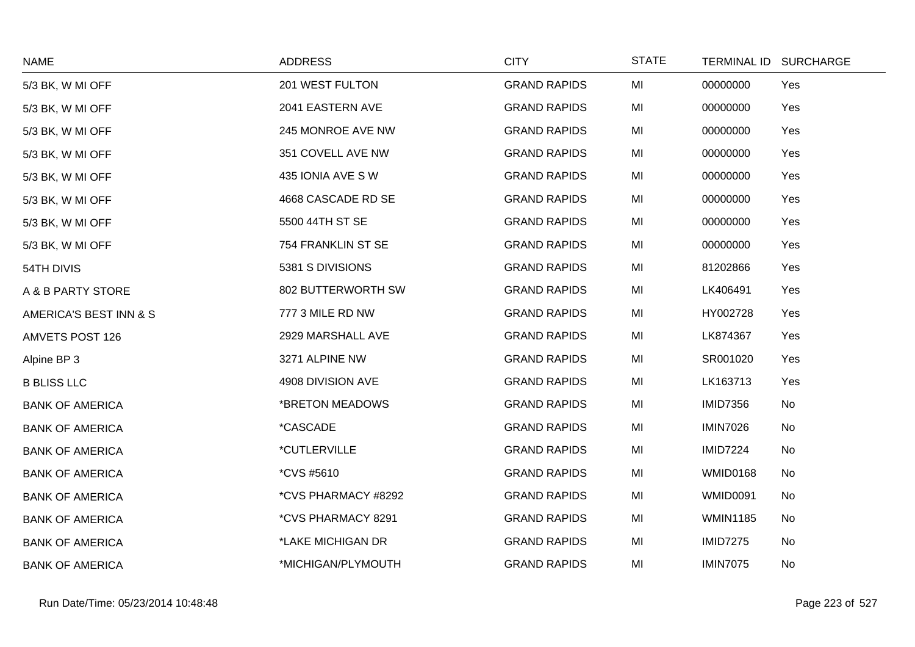| <b>NAME</b>            | <b>ADDRESS</b>             | <b>CITY</b>         | <b>STATE</b> |                 | TERMINAL ID SURCHARGE |
|------------------------|----------------------------|---------------------|--------------|-----------------|-----------------------|
| 5/3 BK, W MI OFF       | 201 WEST FULTON            | <b>GRAND RAPIDS</b> | MI           | 00000000        | Yes                   |
| 5/3 BK, W MI OFF       | 2041 EASTERN AVE           | <b>GRAND RAPIDS</b> | MI           | 00000000        | Yes                   |
| 5/3 BK, W MI OFF       | 245 MONROE AVE NW          | <b>GRAND RAPIDS</b> | MI           | 00000000        | Yes                   |
| 5/3 BK, W MI OFF       | 351 COVELL AVE NW          | <b>GRAND RAPIDS</b> | MI           | 00000000        | Yes                   |
| 5/3 BK, W MI OFF       | 435 IONIA AVE SW           | <b>GRAND RAPIDS</b> | MI           | 00000000        | Yes                   |
| 5/3 BK, W MI OFF       | 4668 CASCADE RD SE         | <b>GRAND RAPIDS</b> | MI           | 00000000        | Yes                   |
| 5/3 BK, W MI OFF       | 5500 44TH ST SE            | <b>GRAND RAPIDS</b> | MI           | 00000000        | Yes                   |
| 5/3 BK, W MI OFF       | 754 FRANKLIN ST SE         | <b>GRAND RAPIDS</b> | MI           | 00000000        | Yes                   |
| 54TH DIVIS             | 5381 S DIVISIONS           | <b>GRAND RAPIDS</b> | MI           | 81202866        | Yes                   |
| A & B PARTY STORE      | 802 BUTTERWORTH SW         | <b>GRAND RAPIDS</b> | MI           | LK406491        | Yes                   |
| AMERICA'S BEST INN & S | 777 3 MILE RD NW           | <b>GRAND RAPIDS</b> | MI           | HY002728        | Yes                   |
| <b>AMVETS POST 126</b> | 2929 MARSHALL AVE          | <b>GRAND RAPIDS</b> | MI           | LK874367        | Yes                   |
| Alpine BP 3            | 3271 ALPINE NW             | <b>GRAND RAPIDS</b> | MI           | SR001020        | Yes                   |
| <b>B BLISS LLC</b>     | 4908 DIVISION AVE          | <b>GRAND RAPIDS</b> | MI           | LK163713        | Yes                   |
| <b>BANK OF AMERICA</b> | *BRETON MEADOWS            | <b>GRAND RAPIDS</b> | MI           | <b>IMID7356</b> | No                    |
| <b>BANK OF AMERICA</b> | <i><b>*CASCADE</b></i>     | <b>GRAND RAPIDS</b> | MI           | <b>IMIN7026</b> | No                    |
| <b>BANK OF AMERICA</b> | <i><b>*CUTLERVILLE</b></i> | <b>GRAND RAPIDS</b> | MI           | <b>IMID7224</b> | No                    |
| <b>BANK OF AMERICA</b> | <i>*CVS #5610</i>          | <b>GRAND RAPIDS</b> | MI           | <b>WMID0168</b> | No                    |
| <b>BANK OF AMERICA</b> | *CVS PHARMACY #8292        | <b>GRAND RAPIDS</b> | MI           | <b>WMID0091</b> | No                    |
| <b>BANK OF AMERICA</b> | *CVS PHARMACY 8291         | <b>GRAND RAPIDS</b> | MI           | <b>WMIN1185</b> | No                    |
| <b>BANK OF AMERICA</b> | *LAKE MICHIGAN DR          | <b>GRAND RAPIDS</b> | MI           | <b>IMID7275</b> | No                    |
| <b>BANK OF AMERICA</b> | *MICHIGAN/PLYMOUTH         | <b>GRAND RAPIDS</b> | MI           | <b>IMIN7075</b> | No                    |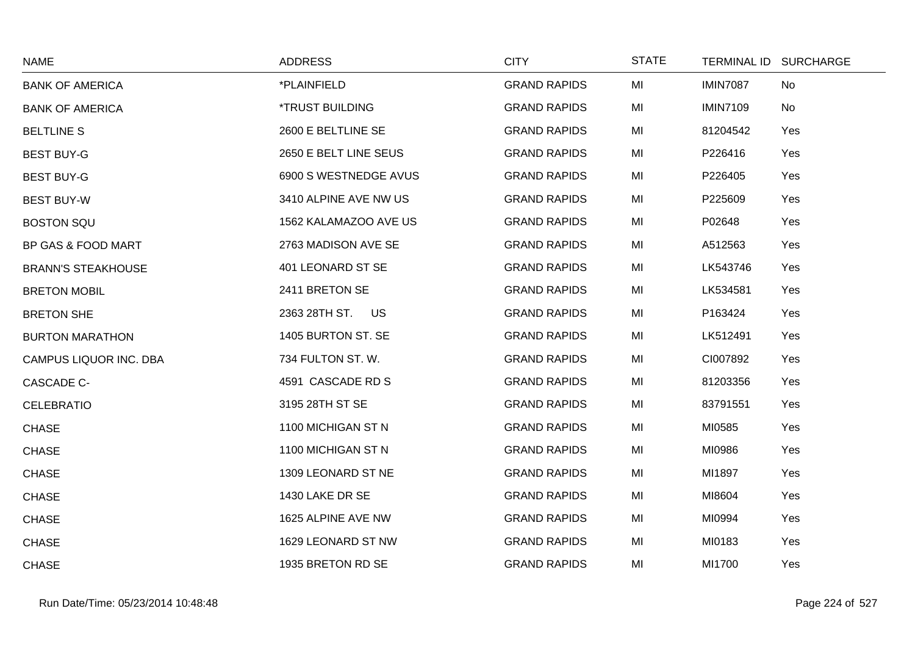| <b>NAME</b>               | <b>ADDRESS</b>         | <b>CITY</b>         | <b>STATE</b> |                 | TERMINAL ID SURCHARGE |
|---------------------------|------------------------|---------------------|--------------|-----------------|-----------------------|
| <b>BANK OF AMERICA</b>    | *PLAINFIELD            | <b>GRAND RAPIDS</b> | MI           | <b>IMIN7087</b> | No                    |
| <b>BANK OF AMERICA</b>    | <b>*TRUST BUILDING</b> | <b>GRAND RAPIDS</b> | MI           | <b>IMIN7109</b> | <b>No</b>             |
| <b>BELTLINE S</b>         | 2600 E BELTLINE SE     | <b>GRAND RAPIDS</b> | MI           | 81204542        | Yes                   |
| <b>BEST BUY-G</b>         | 2650 E BELT LINE SEUS  | <b>GRAND RAPIDS</b> | MI           | P226416         | Yes                   |
| <b>BEST BUY-G</b>         | 6900 S WESTNEDGE AVUS  | <b>GRAND RAPIDS</b> | MI           | P226405         | Yes                   |
| <b>BEST BUY-W</b>         | 3410 ALPINE AVE NW US  | <b>GRAND RAPIDS</b> | MI           | P225609         | Yes                   |
| <b>BOSTON SQU</b>         | 1562 KALAMAZOO AVE US  | <b>GRAND RAPIDS</b> | MI           | P02648          | Yes                   |
| BP GAS & FOOD MART        | 2763 MADISON AVE SE    | <b>GRAND RAPIDS</b> | MI           | A512563         | Yes                   |
| <b>BRANN'S STEAKHOUSE</b> | 401 LEONARD ST SE      | <b>GRAND RAPIDS</b> | MI           | LK543746        | Yes                   |
| <b>BRETON MOBIL</b>       | 2411 BRETON SE         | <b>GRAND RAPIDS</b> | MI           | LK534581        | Yes                   |
| <b>BRETON SHE</b>         | 2363 28TH ST. US       | <b>GRAND RAPIDS</b> | MI           | P163424         | Yes                   |
| <b>BURTON MARATHON</b>    | 1405 BURTON ST. SE     | <b>GRAND RAPIDS</b> | MI           | LK512491        | Yes                   |
| CAMPUS LIQUOR INC. DBA    | 734 FULTON ST. W.      | <b>GRAND RAPIDS</b> | MI           | CI007892        | Yes                   |
| CASCADE C-                | 4591 CASCADE RD S      | <b>GRAND RAPIDS</b> | MI           | 81203356        | Yes                   |
| <b>CELEBRATIO</b>         | 3195 28TH ST SE        | <b>GRAND RAPIDS</b> | MI           | 83791551        | Yes                   |
| <b>CHASE</b>              | 1100 MICHIGAN ST N     | <b>GRAND RAPIDS</b> | MI           | MI0585          | Yes                   |
| <b>CHASE</b>              | 1100 MICHIGAN ST N     | <b>GRAND RAPIDS</b> | MI           | MI0986          | Yes                   |
| <b>CHASE</b>              | 1309 LEONARD ST NE     | <b>GRAND RAPIDS</b> | MI           | MI1897          | Yes                   |
| <b>CHASE</b>              | 1430 LAKE DR SE        | <b>GRAND RAPIDS</b> | MI           | MI8604          | Yes                   |
| <b>CHASE</b>              | 1625 ALPINE AVE NW     | <b>GRAND RAPIDS</b> | MI           | MI0994          | Yes                   |
| <b>CHASE</b>              | 1629 LEONARD ST NW     | <b>GRAND RAPIDS</b> | MI           | MI0183          | Yes                   |
| <b>CHASE</b>              | 1935 BRETON RD SE      | <b>GRAND RAPIDS</b> | MI           | MI1700          | Yes                   |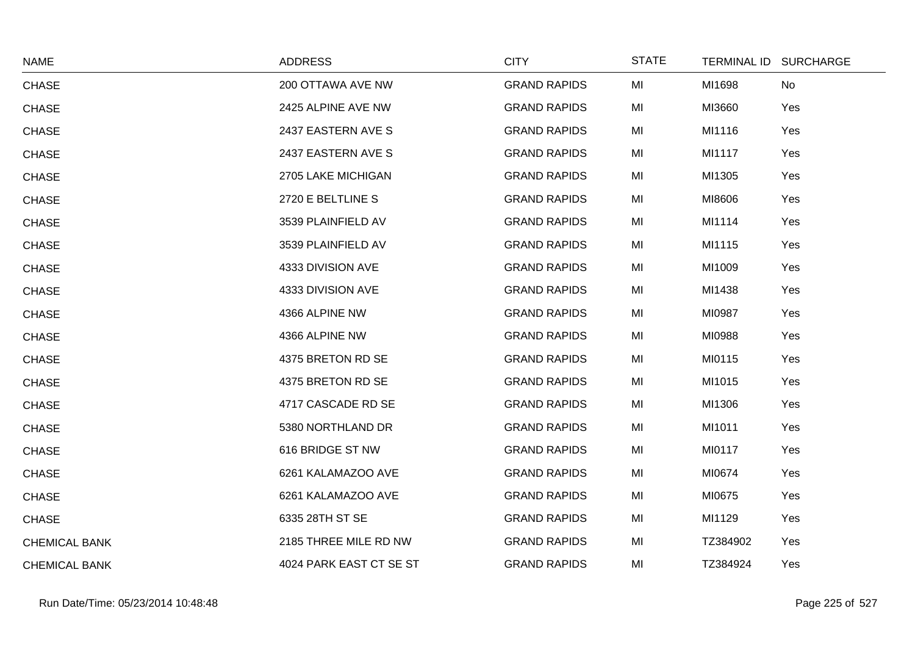| <b>NAME</b>          | <b>ADDRESS</b>          | <b>CITY</b>         | <b>STATE</b> | TERMINAL ID SURCHARGE |     |
|----------------------|-------------------------|---------------------|--------------|-----------------------|-----|
| <b>CHASE</b>         | 200 OTTAWA AVE NW       | <b>GRAND RAPIDS</b> | MI           | MI1698                | No  |
| <b>CHASE</b>         | 2425 ALPINE AVE NW      | <b>GRAND RAPIDS</b> | MI           | MI3660                | Yes |
| <b>CHASE</b>         | 2437 EASTERN AVE S      | <b>GRAND RAPIDS</b> | MI           | MI1116                | Yes |
| <b>CHASE</b>         | 2437 EASTERN AVE S      | <b>GRAND RAPIDS</b> | MI           | MI1117                | Yes |
| <b>CHASE</b>         | 2705 LAKE MICHIGAN      | <b>GRAND RAPIDS</b> | MI           | MI1305                | Yes |
| <b>CHASE</b>         | 2720 E BELTLINE S       | <b>GRAND RAPIDS</b> | MI           | MI8606                | Yes |
| <b>CHASE</b>         | 3539 PLAINFIELD AV      | <b>GRAND RAPIDS</b> | MI           | MI1114                | Yes |
| <b>CHASE</b>         | 3539 PLAINFIELD AV      | <b>GRAND RAPIDS</b> | MI           | MI1115                | Yes |
| <b>CHASE</b>         | 4333 DIVISION AVE       | <b>GRAND RAPIDS</b> | MI           | MI1009                | Yes |
| <b>CHASE</b>         | 4333 DIVISION AVE       | <b>GRAND RAPIDS</b> | MI           | MI1438                | Yes |
| <b>CHASE</b>         | 4366 ALPINE NW          | <b>GRAND RAPIDS</b> | MI           | MI0987                | Yes |
| <b>CHASE</b>         | 4366 ALPINE NW          | <b>GRAND RAPIDS</b> | MI           | MI0988                | Yes |
| <b>CHASE</b>         | 4375 BRETON RD SE       | <b>GRAND RAPIDS</b> | MI           | MI0115                | Yes |
| <b>CHASE</b>         | 4375 BRETON RD SE       | <b>GRAND RAPIDS</b> | MI           | MI1015                | Yes |
| <b>CHASE</b>         | 4717 CASCADE RD SE      | <b>GRAND RAPIDS</b> | MI           | MI1306                | Yes |
| <b>CHASE</b>         | 5380 NORTHLAND DR       | <b>GRAND RAPIDS</b> | MI           | MI1011                | Yes |
| <b>CHASE</b>         | 616 BRIDGE ST NW        | <b>GRAND RAPIDS</b> | MI           | MI0117                | Yes |
| <b>CHASE</b>         | 6261 KALAMAZOO AVE      | <b>GRAND RAPIDS</b> | MI           | MI0674                | Yes |
| <b>CHASE</b>         | 6261 KALAMAZOO AVE      | <b>GRAND RAPIDS</b> | MI           | MI0675                | Yes |
| <b>CHASE</b>         | 6335 28TH ST SE         | <b>GRAND RAPIDS</b> | MI           | MI1129                | Yes |
| <b>CHEMICAL BANK</b> | 2185 THREE MILE RD NW   | <b>GRAND RAPIDS</b> | MI           | TZ384902              | Yes |
| <b>CHEMICAL BANK</b> | 4024 PARK EAST CT SE ST | <b>GRAND RAPIDS</b> | MI           | TZ384924              | Yes |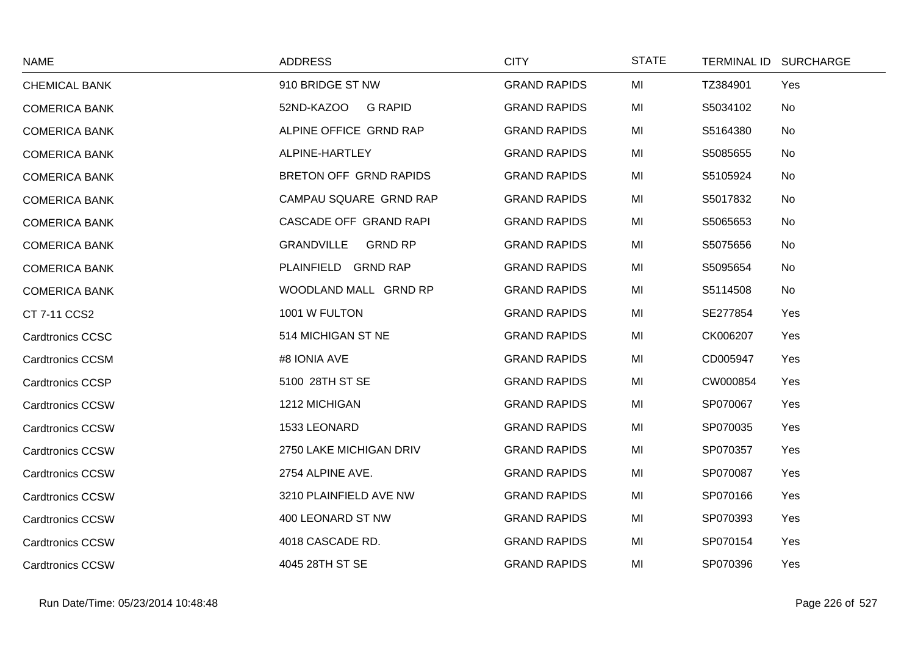| <b>NAME</b>             | <b>ADDRESS</b>                      | <b>CITY</b>         | <b>STATE</b> | TERMINAL ID SURCHARGE |     |
|-------------------------|-------------------------------------|---------------------|--------------|-----------------------|-----|
| <b>CHEMICAL BANK</b>    | 910 BRIDGE ST NW                    | <b>GRAND RAPIDS</b> | MI           | TZ384901              | Yes |
| <b>COMERICA BANK</b>    | 52ND-KAZOO<br><b>G RAPID</b>        | <b>GRAND RAPIDS</b> | MI           | S5034102              | No  |
| <b>COMERICA BANK</b>    | ALPINE OFFICE GRND RAP              | <b>GRAND RAPIDS</b> | MI           | S5164380              | No  |
| <b>COMERICA BANK</b>    | ALPINE-HARTLEY                      | <b>GRAND RAPIDS</b> | MI           | S5085655              | No  |
| <b>COMERICA BANK</b>    | BRETON OFF GRND RAPIDS              | <b>GRAND RAPIDS</b> | MI           | S5105924              | No  |
| <b>COMERICA BANK</b>    | CAMPAU SQUARE GRND RAP              | <b>GRAND RAPIDS</b> | MI           | S5017832              | No  |
| <b>COMERICA BANK</b>    | CASCADE OFF GRAND RAPI              | <b>GRAND RAPIDS</b> | MI           | S5065653              | No  |
| <b>COMERICA BANK</b>    | <b>GRANDVILLE</b><br><b>GRND RP</b> | <b>GRAND RAPIDS</b> | MI           | S5075656              | No  |
| <b>COMERICA BANK</b>    | PLAINFIELD GRND RAP                 | <b>GRAND RAPIDS</b> | MI           | S5095654              | No  |
| <b>COMERICA BANK</b>    | WOODLAND MALL GRND RP               | <b>GRAND RAPIDS</b> | MI           | S5114508              | No  |
| CT 7-11 CCS2            | 1001 W FULTON                       | <b>GRAND RAPIDS</b> | MI           | SE277854              | Yes |
| <b>Cardtronics CCSC</b> | 514 MICHIGAN ST NE                  | <b>GRAND RAPIDS</b> | MI           | CK006207              | Yes |
| <b>Cardtronics CCSM</b> | #8 IONIA AVE                        | <b>GRAND RAPIDS</b> | MI           | CD005947              | Yes |
| <b>Cardtronics CCSP</b> | 5100 28TH ST SE                     | <b>GRAND RAPIDS</b> | MI           | CW000854              | Yes |
| <b>Cardtronics CCSW</b> | 1212 MICHIGAN                       | <b>GRAND RAPIDS</b> | MI           | SP070067              | Yes |
| <b>Cardtronics CCSW</b> | 1533 LEONARD                        | <b>GRAND RAPIDS</b> | MI           | SP070035              | Yes |
| <b>Cardtronics CCSW</b> | 2750 LAKE MICHIGAN DRIV             | <b>GRAND RAPIDS</b> | MI           | SP070357              | Yes |
| <b>Cardtronics CCSW</b> | 2754 ALPINE AVE.                    | <b>GRAND RAPIDS</b> | MI           | SP070087              | Yes |
| <b>Cardtronics CCSW</b> | 3210 PLAINFIELD AVE NW              | <b>GRAND RAPIDS</b> | MI           | SP070166              | Yes |
| <b>Cardtronics CCSW</b> | 400 LEONARD ST NW                   | <b>GRAND RAPIDS</b> | MI           | SP070393              | Yes |
| <b>Cardtronics CCSW</b> | 4018 CASCADE RD.                    | <b>GRAND RAPIDS</b> | MI           | SP070154              | Yes |
| <b>Cardtronics CCSW</b> | 4045 28TH ST SE                     | <b>GRAND RAPIDS</b> | MI           | SP070396              | Yes |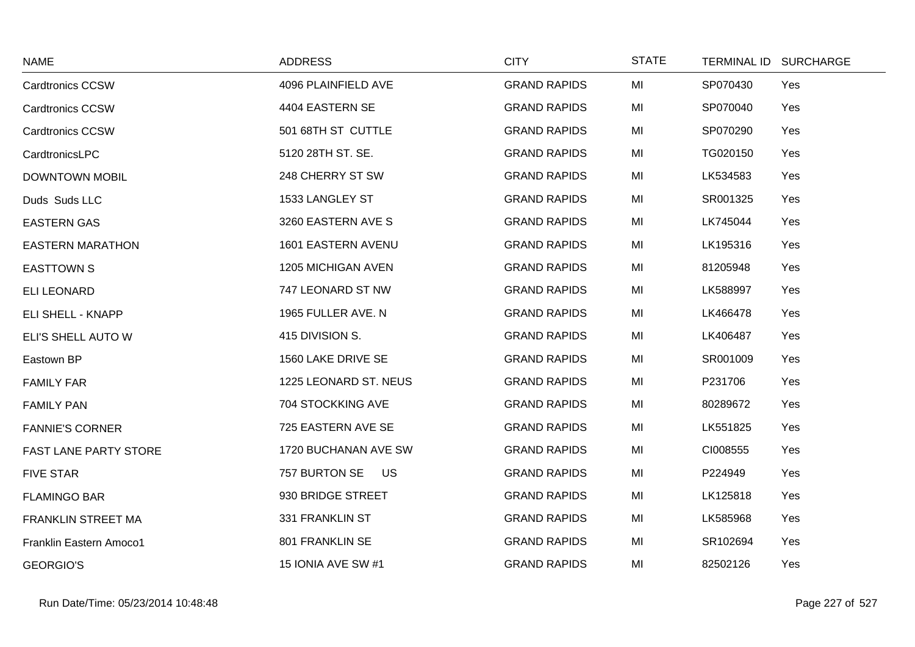| <b>NAME</b>             | <b>ADDRESS</b>             | <b>CITY</b>         | <b>STATE</b> |          | TERMINAL ID SURCHARGE |
|-------------------------|----------------------------|---------------------|--------------|----------|-----------------------|
| <b>Cardtronics CCSW</b> | 4096 PLAINFIELD AVE        | <b>GRAND RAPIDS</b> | MI           | SP070430 | Yes                   |
| <b>Cardtronics CCSW</b> | 4404 EASTERN SE            | <b>GRAND RAPIDS</b> | MI           | SP070040 | Yes                   |
| <b>Cardtronics CCSW</b> | 501 68TH ST CUTTLE         | <b>GRAND RAPIDS</b> | MI           | SP070290 | Yes                   |
| CardtronicsLPC          | 5120 28TH ST. SE.          | <b>GRAND RAPIDS</b> | MI           | TG020150 | Yes                   |
| <b>DOWNTOWN MOBIL</b>   | 248 CHERRY ST SW           | <b>GRAND RAPIDS</b> | MI           | LK534583 | Yes                   |
| Duds Suds LLC           | 1533 LANGLEY ST            | <b>GRAND RAPIDS</b> | MI           | SR001325 | Yes                   |
| <b>EASTERN GAS</b>      | 3260 EASTERN AVE S         | <b>GRAND RAPIDS</b> | MI           | LK745044 | Yes                   |
| <b>EASTERN MARATHON</b> | 1601 EASTERN AVENU         | <b>GRAND RAPIDS</b> | MI           | LK195316 | Yes                   |
| <b>EASTTOWN S</b>       | 1205 MICHIGAN AVEN         | <b>GRAND RAPIDS</b> | MI           | 81205948 | Yes                   |
| <b>ELI LEONARD</b>      | 747 LEONARD ST NW          | <b>GRAND RAPIDS</b> | MI           | LK588997 | Yes                   |
| ELI SHELL - KNAPP       | 1965 FULLER AVE. N         | <b>GRAND RAPIDS</b> | MI           | LK466478 | Yes                   |
| ELI'S SHELL AUTO W      | 415 DIVISION S.            | <b>GRAND RAPIDS</b> | MI           | LK406487 | Yes                   |
| Eastown BP              | 1560 LAKE DRIVE SE         | <b>GRAND RAPIDS</b> | MI           | SR001009 | Yes                   |
| <b>FAMILY FAR</b>       | 1225 LEONARD ST. NEUS      | <b>GRAND RAPIDS</b> | MI           | P231706  | Yes                   |
| <b>FAMILY PAN</b>       | 704 STOCKKING AVE          | <b>GRAND RAPIDS</b> | MI           | 80289672 | Yes                   |
| <b>FANNIE'S CORNER</b>  | 725 EASTERN AVE SE         | <b>GRAND RAPIDS</b> | MI           | LK551825 | Yes                   |
| FAST LANE PARTY STORE   | 1720 BUCHANAN AVE SW       | <b>GRAND RAPIDS</b> | MI           | CI008555 | Yes                   |
| <b>FIVE STAR</b>        | 757 BURTON SE<br><b>US</b> | <b>GRAND RAPIDS</b> | MI           | P224949  | Yes                   |
| <b>FLAMINGO BAR</b>     | 930 BRIDGE STREET          | <b>GRAND RAPIDS</b> | MI           | LK125818 | Yes                   |
| FRANKLIN STREET MA      | 331 FRANKLIN ST            | <b>GRAND RAPIDS</b> | MI           | LK585968 | Yes                   |
| Franklin Eastern Amoco1 | 801 FRANKLIN SE            | <b>GRAND RAPIDS</b> | MI           | SR102694 | Yes                   |
| <b>GEORGIO'S</b>        | 15 IONIA AVE SW #1         | <b>GRAND RAPIDS</b> | MI           | 82502126 | Yes                   |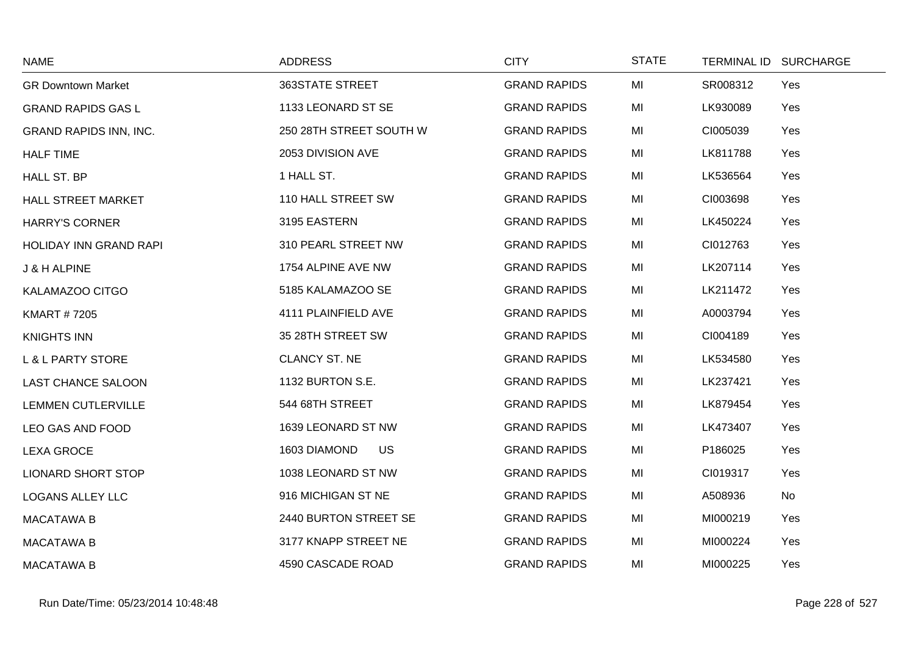| <b>NAME</b>                   | <b>ADDRESS</b>            | <b>CITY</b>         | <b>STATE</b> | TERMINAL ID SURCHARGE |  |
|-------------------------------|---------------------------|---------------------|--------------|-----------------------|--|
| <b>GR Downtown Market</b>     | 363STATE STREET           | <b>GRAND RAPIDS</b> | MI           | SR008312<br>Yes       |  |
| <b>GRAND RAPIDS GAS L</b>     | 1133 LEONARD ST SE        | <b>GRAND RAPIDS</b> | MI           | LK930089<br>Yes       |  |
| <b>GRAND RAPIDS INN, INC.</b> | 250 28TH STREET SOUTH W   | <b>GRAND RAPIDS</b> | MI           | CI005039<br>Yes       |  |
| <b>HALF TIME</b>              | 2053 DIVISION AVE         | <b>GRAND RAPIDS</b> | MI           | LK811788<br>Yes       |  |
| HALL ST. BP                   | 1 HALL ST.                | <b>GRAND RAPIDS</b> | MI           | LK536564<br>Yes       |  |
| HALL STREET MARKET            | 110 HALL STREET SW        | <b>GRAND RAPIDS</b> | MI           | CI003698<br>Yes       |  |
| <b>HARRY'S CORNER</b>         | 3195 EASTERN              | <b>GRAND RAPIDS</b> | MI           | LK450224<br>Yes       |  |
| <b>HOLIDAY INN GRAND RAPI</b> | 310 PEARL STREET NW       | <b>GRAND RAPIDS</b> | MI           | CI012763<br>Yes       |  |
| J & H ALPINE                  | 1754 ALPINE AVE NW        | <b>GRAND RAPIDS</b> | MI           | LK207114<br>Yes       |  |
| KALAMAZOO CITGO               | 5185 KALAMAZOO SE         | <b>GRAND RAPIDS</b> | MI           | LK211472<br>Yes       |  |
| <b>KMART #7205</b>            | 4111 PLAINFIELD AVE       | <b>GRAND RAPIDS</b> | MI           | A0003794<br>Yes       |  |
| <b>KNIGHTS INN</b>            | 35 28TH STREET SW         | <b>GRAND RAPIDS</b> | MI           | CI004189<br>Yes       |  |
| <b>L &amp; L PARTY STORE</b>  | <b>CLANCY ST. NE</b>      | <b>GRAND RAPIDS</b> | MI           | LK534580<br>Yes       |  |
| <b>LAST CHANCE SALOON</b>     | 1132 BURTON S.E.          | <b>GRAND RAPIDS</b> | MI           | LK237421<br>Yes       |  |
| <b>LEMMEN CUTLERVILLE</b>     | 544 68TH STREET           | <b>GRAND RAPIDS</b> | MI           | LK879454<br>Yes       |  |
| LEO GAS AND FOOD              | 1639 LEONARD ST NW        | <b>GRAND RAPIDS</b> | MI           | LK473407<br>Yes       |  |
| <b>LEXA GROCE</b>             | <b>US</b><br>1603 DIAMOND | <b>GRAND RAPIDS</b> | MI           | P186025<br>Yes        |  |
| <b>LIONARD SHORT STOP</b>     | 1038 LEONARD ST NW        | <b>GRAND RAPIDS</b> | MI           | CI019317<br>Yes       |  |
| <b>LOGANS ALLEY LLC</b>       | 916 MICHIGAN ST NE        | <b>GRAND RAPIDS</b> | MI           | A508936<br>No         |  |
| <b>MACATAWA B</b>             | 2440 BURTON STREET SE     | <b>GRAND RAPIDS</b> | MI           | MI000219<br>Yes       |  |
| <b>MACATAWA B</b>             | 3177 KNAPP STREET NE      | <b>GRAND RAPIDS</b> | MI           | MI000224<br>Yes       |  |
| <b>MACATAWA B</b>             | 4590 CASCADE ROAD         | <b>GRAND RAPIDS</b> | MI           | MI000225<br>Yes       |  |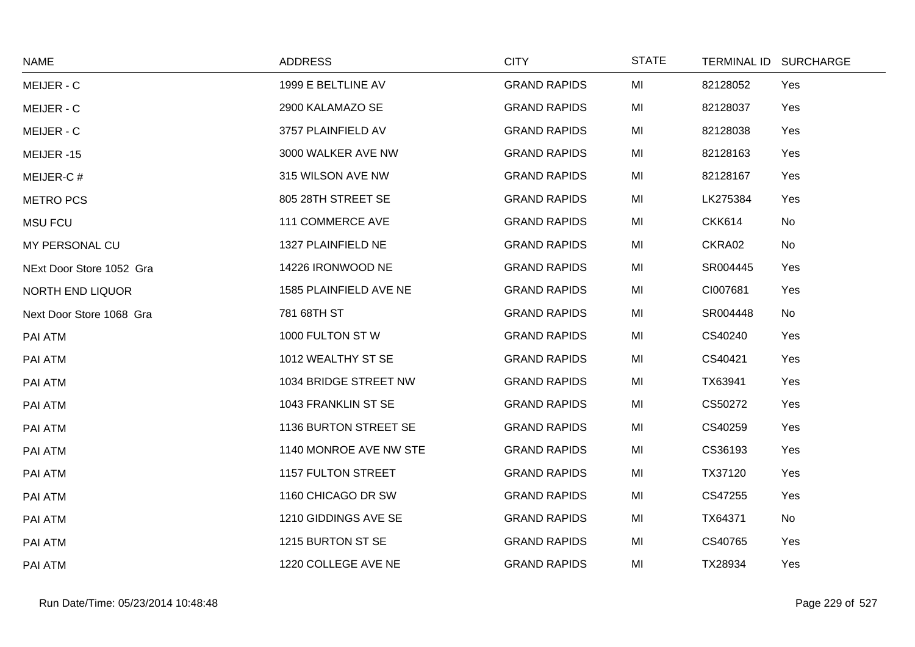| <b>NAME</b>              | <b>ADDRESS</b>         | <b>CITY</b>         | <b>STATE</b> |               | TERMINAL ID SURCHARGE |
|--------------------------|------------------------|---------------------|--------------|---------------|-----------------------|
| MEIJER - C               | 1999 E BELTLINE AV     | <b>GRAND RAPIDS</b> | MI           | 82128052      | Yes                   |
| MEIJER - C               | 2900 KALAMAZO SE       | <b>GRAND RAPIDS</b> | MI           | 82128037      | Yes                   |
| MEIJER - C               | 3757 PLAINFIELD AV     | <b>GRAND RAPIDS</b> | MI           | 82128038      | Yes                   |
| MEIJER-15                | 3000 WALKER AVE NW     | <b>GRAND RAPIDS</b> | MI           | 82128163      | Yes                   |
| MEIJER-C#                | 315 WILSON AVE NW      | <b>GRAND RAPIDS</b> | MI           | 82128167      | Yes                   |
| <b>METRO PCS</b>         | 805 28TH STREET SE     | <b>GRAND RAPIDS</b> | MI           | LK275384      | Yes                   |
| <b>MSU FCU</b>           | 111 COMMERCE AVE       | <b>GRAND RAPIDS</b> | MI           | <b>CKK614</b> | No                    |
| MY PERSONAL CU           | 1327 PLAINFIELD NE     | <b>GRAND RAPIDS</b> | MI           | CKRA02        | No                    |
| NExt Door Store 1052 Gra | 14226 IRONWOOD NE      | <b>GRAND RAPIDS</b> | MI           | SR004445      | Yes                   |
| <b>NORTH END LIQUOR</b>  | 1585 PLAINFIELD AVE NE | <b>GRAND RAPIDS</b> | MI           | CI007681      | Yes                   |
| Next Door Store 1068 Gra | 781 68TH ST            | <b>GRAND RAPIDS</b> | MI           | SR004448      | No                    |
| PAI ATM                  | 1000 FULTON STW        | <b>GRAND RAPIDS</b> | MI           | CS40240       | Yes                   |
| PAI ATM                  | 1012 WEALTHY ST SE     | <b>GRAND RAPIDS</b> | MI           | CS40421       | Yes                   |
| PAI ATM                  | 1034 BRIDGE STREET NW  | <b>GRAND RAPIDS</b> | MI           | TX63941       | Yes                   |
| PAI ATM                  | 1043 FRANKLIN ST SE    | <b>GRAND RAPIDS</b> | MI           | CS50272       | Yes                   |
| PAI ATM                  | 1136 BURTON STREET SE  | <b>GRAND RAPIDS</b> | MI           | CS40259       | Yes                   |
| PAI ATM                  | 1140 MONROE AVE NW STE | <b>GRAND RAPIDS</b> | MI           | CS36193       | Yes                   |
| PAI ATM                  | 1157 FULTON STREET     | <b>GRAND RAPIDS</b> | MI           | TX37120       | Yes                   |
| PAI ATM                  | 1160 CHICAGO DR SW     | <b>GRAND RAPIDS</b> | MI           | CS47255       | Yes                   |
| PAI ATM                  | 1210 GIDDINGS AVE SE   | <b>GRAND RAPIDS</b> | MI           | TX64371       | No                    |
| PAI ATM                  | 1215 BURTON ST SE      | <b>GRAND RAPIDS</b> | MI           | CS40765       | Yes                   |
| PAI ATM                  | 1220 COLLEGE AVE NE    | <b>GRAND RAPIDS</b> | MI           | TX28934       | Yes                   |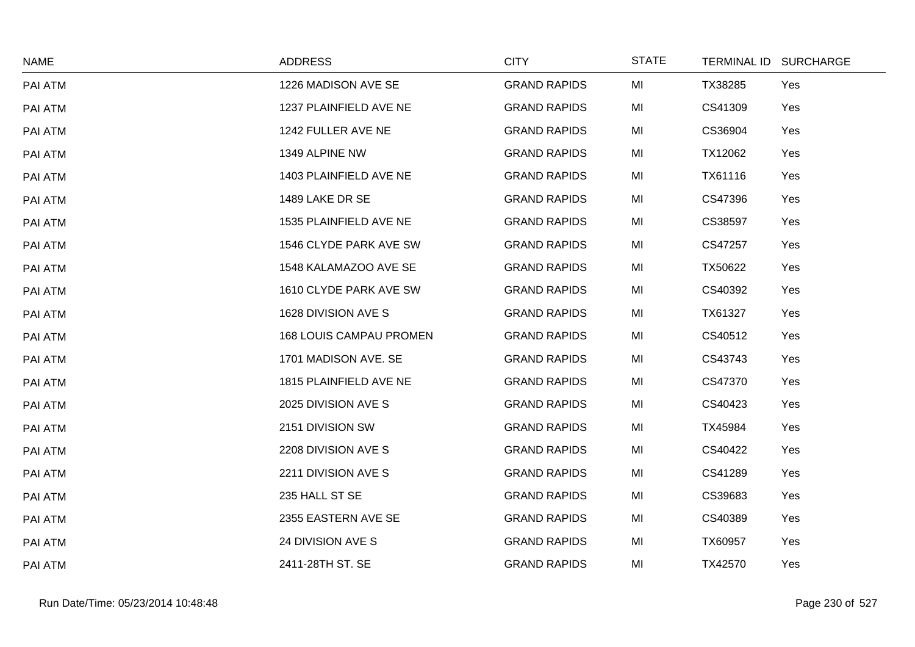| <b>NAME</b> | <b>ADDRESS</b>                 | <b>CITY</b>         | <b>STATE</b> | TERMINAL ID SURCHARGE |     |
|-------------|--------------------------------|---------------------|--------------|-----------------------|-----|
| PAI ATM     | 1226 MADISON AVE SE            | <b>GRAND RAPIDS</b> | MI           | TX38285               | Yes |
| PAI ATM     | 1237 PLAINFIELD AVE NE         | <b>GRAND RAPIDS</b> | MI           | CS41309               | Yes |
| PAI ATM     | 1242 FULLER AVE NE             | <b>GRAND RAPIDS</b> | MI           | CS36904               | Yes |
| PAI ATM     | 1349 ALPINE NW                 | <b>GRAND RAPIDS</b> | MI           | TX12062               | Yes |
| PAI ATM     | 1403 PLAINFIELD AVE NE         | <b>GRAND RAPIDS</b> | MI           | TX61116               | Yes |
| PAI ATM     | 1489 LAKE DR SE                | <b>GRAND RAPIDS</b> | MI           | CS47396               | Yes |
| PAI ATM     | 1535 PLAINFIELD AVE NE         | <b>GRAND RAPIDS</b> | MI           | CS38597               | Yes |
| PAI ATM     | 1546 CLYDE PARK AVE SW         | <b>GRAND RAPIDS</b> | MI           | CS47257               | Yes |
| PAI ATM     | 1548 KALAMAZOO AVE SE          | <b>GRAND RAPIDS</b> | MI           | TX50622               | Yes |
| PAI ATM     | 1610 CLYDE PARK AVE SW         | <b>GRAND RAPIDS</b> | MI           | CS40392               | Yes |
| PAI ATM     | 1628 DIVISION AVE S            | <b>GRAND RAPIDS</b> | MI           | TX61327               | Yes |
| PAI ATM     | <b>168 LOUIS CAMPAU PROMEN</b> | <b>GRAND RAPIDS</b> | MI           | CS40512               | Yes |
| PAI ATM     | 1701 MADISON AVE. SE           | <b>GRAND RAPIDS</b> | MI           | CS43743               | Yes |
| PAI ATM     | 1815 PLAINFIELD AVE NE         | <b>GRAND RAPIDS</b> | MI           | CS47370               | Yes |
| PAI ATM     | 2025 DIVISION AVE S            | <b>GRAND RAPIDS</b> | MI           | CS40423               | Yes |
| PAI ATM     | 2151 DIVISION SW               | <b>GRAND RAPIDS</b> | MI           | TX45984               | Yes |
| PAI ATM     | 2208 DIVISION AVE S            | <b>GRAND RAPIDS</b> | MI           | CS40422               | Yes |
| PAI ATM     | 2211 DIVISION AVE S            | <b>GRAND RAPIDS</b> | MI           | CS41289               | Yes |
| PAI ATM     | 235 HALL ST SE                 | <b>GRAND RAPIDS</b> | MI           | CS39683               | Yes |
| PAI ATM     | 2355 EASTERN AVE SE            | <b>GRAND RAPIDS</b> | MI           | CS40389               | Yes |
| PAI ATM     | 24 DIVISION AVE S              | <b>GRAND RAPIDS</b> | MI           | TX60957               | Yes |
| PAI ATM     | 2411-28TH ST. SE               | <b>GRAND RAPIDS</b> | MI           | TX42570               | Yes |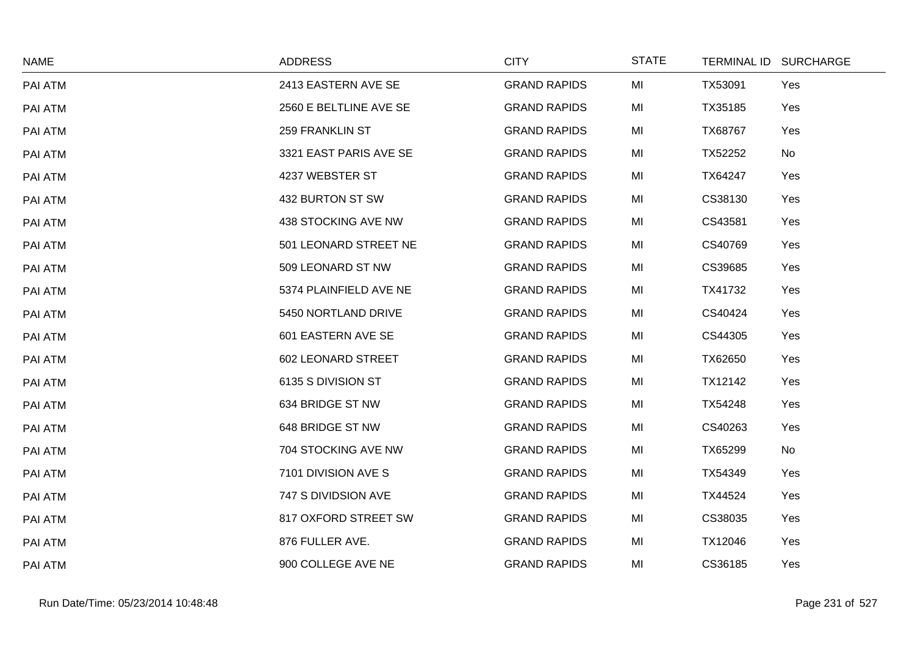| <b>NAME</b> | <b>ADDRESS</b>         | <b>CITY</b>         | <b>STATE</b> | TERMINAL ID SURCHARGE |           |
|-------------|------------------------|---------------------|--------------|-----------------------|-----------|
| PAI ATM     | 2413 EASTERN AVE SE    | <b>GRAND RAPIDS</b> | MI           | TX53091               | Yes       |
| PAI ATM     | 2560 E BELTLINE AVE SE | <b>GRAND RAPIDS</b> | MI           | TX35185               | Yes       |
| PAI ATM     | <b>259 FRANKLIN ST</b> | <b>GRAND RAPIDS</b> | MI           | TX68767               | Yes       |
| PAI ATM     | 3321 EAST PARIS AVE SE | <b>GRAND RAPIDS</b> | MI           | TX52252               | No        |
| PAI ATM     | 4237 WEBSTER ST        | <b>GRAND RAPIDS</b> | MI           | TX64247               | Yes       |
| PAI ATM     | 432 BURTON ST SW       | <b>GRAND RAPIDS</b> | MI           | CS38130               | Yes       |
| PAI ATM     | 438 STOCKING AVE NW    | <b>GRAND RAPIDS</b> | MI           | CS43581               | Yes       |
| PAI ATM     | 501 LEONARD STREET NE  | <b>GRAND RAPIDS</b> | MI           | CS40769               | Yes       |
| PAI ATM     | 509 LEONARD ST NW      | <b>GRAND RAPIDS</b> | MI           | CS39685               | Yes       |
| PAI ATM     | 5374 PLAINFIELD AVE NE | <b>GRAND RAPIDS</b> | MI           | TX41732               | Yes       |
| PAI ATM     | 5450 NORTLAND DRIVE    | <b>GRAND RAPIDS</b> | MI           | CS40424               | Yes       |
| PAI ATM     | 601 EASTERN AVE SE     | <b>GRAND RAPIDS</b> | MI           | CS44305               | Yes       |
| PAI ATM     | 602 LEONARD STREET     | <b>GRAND RAPIDS</b> | MI           | TX62650               | Yes       |
| PAI ATM     | 6135 S DIVISION ST     | <b>GRAND RAPIDS</b> | MI           | TX12142               | Yes       |
| PAI ATM     | 634 BRIDGE ST NW       | <b>GRAND RAPIDS</b> | MI           | TX54248               | Yes       |
| PAI ATM     | 648 BRIDGE ST NW       | <b>GRAND RAPIDS</b> | MI           | CS40263               | Yes       |
| PAI ATM     | 704 STOCKING AVE NW    | <b>GRAND RAPIDS</b> | MI           | TX65299               | <b>No</b> |
| PAI ATM     | 7101 DIVISION AVE S    | <b>GRAND RAPIDS</b> | MI           | TX54349               | Yes       |
| PAI ATM     | 747 S DIVIDSION AVE    | <b>GRAND RAPIDS</b> | MI           | TX44524               | Yes       |
| PAI ATM     | 817 OXFORD STREET SW   | <b>GRAND RAPIDS</b> | MI           | CS38035               | Yes       |
| PAI ATM     | 876 FULLER AVE.        | <b>GRAND RAPIDS</b> | MI           | TX12046               | Yes       |
| PAI ATM     | 900 COLLEGE AVE NE     | <b>GRAND RAPIDS</b> | MI           | CS36185               | Yes       |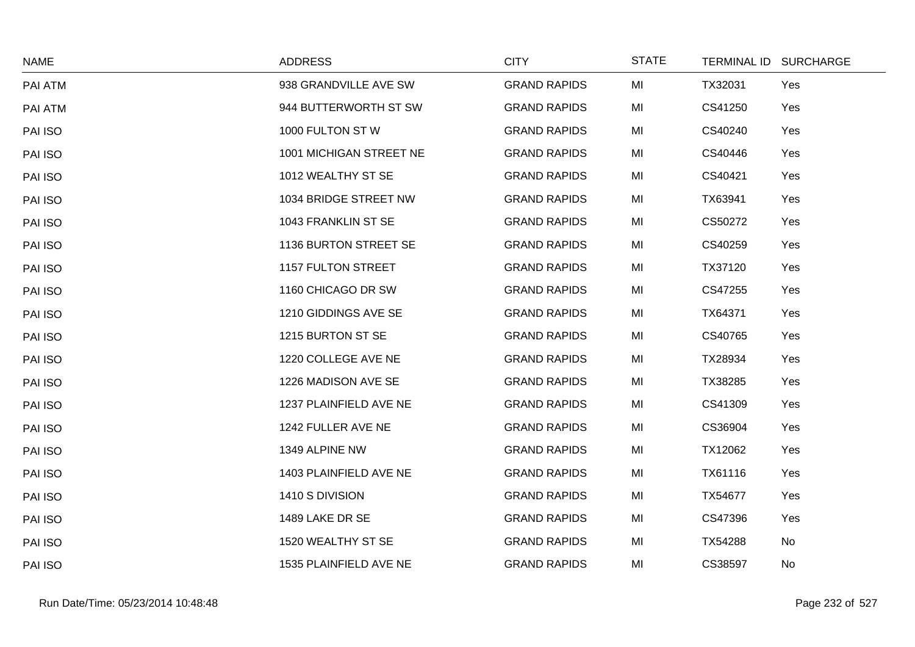| <b>NAME</b> | <b>ADDRESS</b>            | <b>CITY</b>         | <b>STATE</b> | TERMINAL ID SURCHARGE |     |
|-------------|---------------------------|---------------------|--------------|-----------------------|-----|
| PAI ATM     | 938 GRANDVILLE AVE SW     | <b>GRAND RAPIDS</b> | MI           | TX32031               | Yes |
| PAI ATM     | 944 BUTTERWORTH ST SW     | <b>GRAND RAPIDS</b> | MI           | CS41250               | Yes |
| PAI ISO     | 1000 FULTON ST W          | <b>GRAND RAPIDS</b> | MI           | CS40240               | Yes |
| PAI ISO     | 1001 MICHIGAN STREET NE   | <b>GRAND RAPIDS</b> | MI           | CS40446               | Yes |
| PAI ISO     | 1012 WEALTHY ST SE        | <b>GRAND RAPIDS</b> | MI           | CS40421               | Yes |
| PAI ISO     | 1034 BRIDGE STREET NW     | <b>GRAND RAPIDS</b> | MI           | TX63941               | Yes |
| PAI ISO     | 1043 FRANKLIN ST SE       | <b>GRAND RAPIDS</b> | MI           | CS50272               | Yes |
| PAI ISO     | 1136 BURTON STREET SE     | <b>GRAND RAPIDS</b> | MI           | CS40259               | Yes |
| PAI ISO     | <b>1157 FULTON STREET</b> | <b>GRAND RAPIDS</b> | MI           | TX37120               | Yes |
| PAI ISO     | 1160 CHICAGO DR SW        | <b>GRAND RAPIDS</b> | MI           | CS47255               | Yes |
| PAI ISO     | 1210 GIDDINGS AVE SE      | <b>GRAND RAPIDS</b> | MI           | TX64371               | Yes |
| PAI ISO     | 1215 BURTON ST SE         | <b>GRAND RAPIDS</b> | MI           | CS40765               | Yes |
| PAI ISO     | 1220 COLLEGE AVE NE       | <b>GRAND RAPIDS</b> | MI           | TX28934               | Yes |
| PAI ISO     | 1226 MADISON AVE SE       | <b>GRAND RAPIDS</b> | MI           | TX38285               | Yes |
| PAI ISO     | 1237 PLAINFIELD AVE NE    | <b>GRAND RAPIDS</b> | MI           | CS41309               | Yes |
| PAI ISO     | 1242 FULLER AVE NE        | <b>GRAND RAPIDS</b> | MI           | CS36904               | Yes |
| PAI ISO     | 1349 ALPINE NW            | <b>GRAND RAPIDS</b> | MI           | TX12062               | Yes |
| PAI ISO     | 1403 PLAINFIELD AVE NE    | <b>GRAND RAPIDS</b> | MI           | TX61116               | Yes |
| PAI ISO     | 1410 S DIVISION           | <b>GRAND RAPIDS</b> | MI           | TX54677               | Yes |
| PAI ISO     | 1489 LAKE DR SE           | <b>GRAND RAPIDS</b> | MI           | CS47396               | Yes |
| PAI ISO     | 1520 WEALTHY ST SE        | <b>GRAND RAPIDS</b> | MI           | TX54288               | No  |
| PAI ISO     | 1535 PLAINFIELD AVE NE    | <b>GRAND RAPIDS</b> | MI           | CS38597               | No  |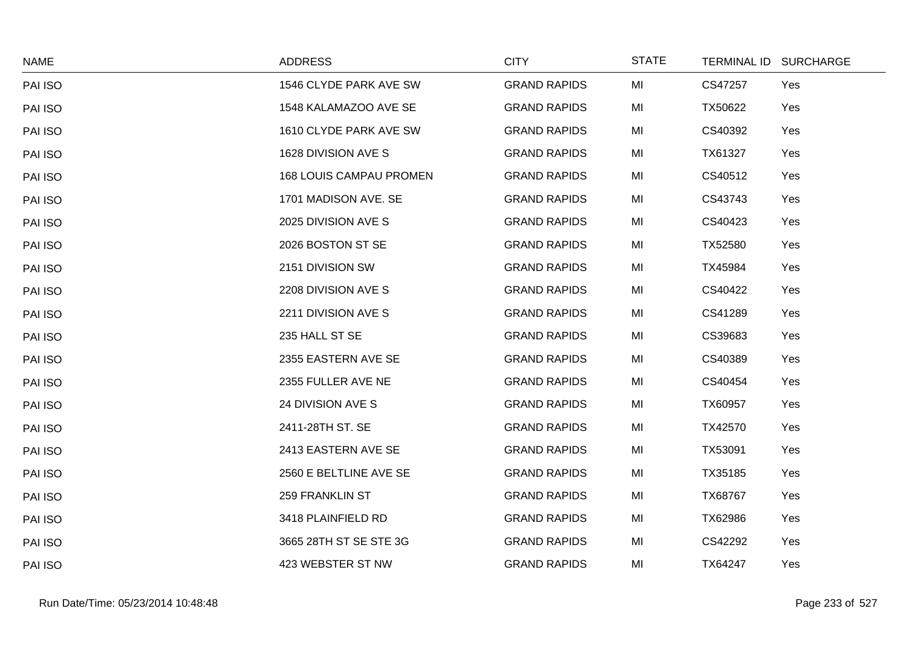| <b>NAME</b> | <b>ADDRESS</b>                 | <b>CITY</b>         | <b>STATE</b> | TERMINAL ID SURCHARGE |     |
|-------------|--------------------------------|---------------------|--------------|-----------------------|-----|
| PAI ISO     | 1546 CLYDE PARK AVE SW         | <b>GRAND RAPIDS</b> | MI           | CS47257               | Yes |
| PAI ISO     | 1548 KALAMAZOO AVE SE          | <b>GRAND RAPIDS</b> | MI           | TX50622               | Yes |
| PAI ISO     | 1610 CLYDE PARK AVE SW         | <b>GRAND RAPIDS</b> | MI           | CS40392               | Yes |
| PAI ISO     | 1628 DIVISION AVE S            | <b>GRAND RAPIDS</b> | MI           | TX61327               | Yes |
| PAI ISO     | <b>168 LOUIS CAMPAU PROMEN</b> | <b>GRAND RAPIDS</b> | MI           | CS40512               | Yes |
| PAI ISO     | 1701 MADISON AVE. SE           | <b>GRAND RAPIDS</b> | MI           | CS43743               | Yes |
| PAI ISO     | 2025 DIVISION AVE S            | <b>GRAND RAPIDS</b> | MI           | CS40423               | Yes |
| PAI ISO     | 2026 BOSTON ST SE              | <b>GRAND RAPIDS</b> | MI           | TX52580               | Yes |
| PAI ISO     | 2151 DIVISION SW               | <b>GRAND RAPIDS</b> | MI           | TX45984               | Yes |
| PAI ISO     | 2208 DIVISION AVE S            | <b>GRAND RAPIDS</b> | MI           | CS40422               | Yes |
| PAI ISO     | 2211 DIVISION AVE S            | <b>GRAND RAPIDS</b> | MI           | CS41289               | Yes |
| PAI ISO     | 235 HALL ST SE                 | <b>GRAND RAPIDS</b> | MI           | CS39683               | Yes |
| PAI ISO     | 2355 EASTERN AVE SE            | <b>GRAND RAPIDS</b> | MI           | CS40389               | Yes |
| PAI ISO     | 2355 FULLER AVE NE             | <b>GRAND RAPIDS</b> | MI           | CS40454               | Yes |
| PAI ISO     | 24 DIVISION AVE S              | <b>GRAND RAPIDS</b> | MI           | TX60957               | Yes |
| PAI ISO     | 2411-28TH ST. SE               | <b>GRAND RAPIDS</b> | MI           | TX42570               | Yes |
| PAI ISO     | 2413 EASTERN AVE SE            | <b>GRAND RAPIDS</b> | MI           | TX53091               | Yes |
| PAI ISO     | 2560 E BELTLINE AVE SE         | <b>GRAND RAPIDS</b> | MI           | TX35185               | Yes |
| PAI ISO     | <b>259 FRANKLIN ST</b>         | <b>GRAND RAPIDS</b> | MI           | TX68767               | Yes |
| PAI ISO     | 3418 PLAINFIELD RD             | <b>GRAND RAPIDS</b> | MI           | TX62986               | Yes |
| PAI ISO     | 3665 28TH ST SE STE 3G         | <b>GRAND RAPIDS</b> | MI           | CS42292               | Yes |
| PAI ISO     | 423 WEBSTER ST NW              | <b>GRAND RAPIDS</b> | MI           | TX64247               | Yes |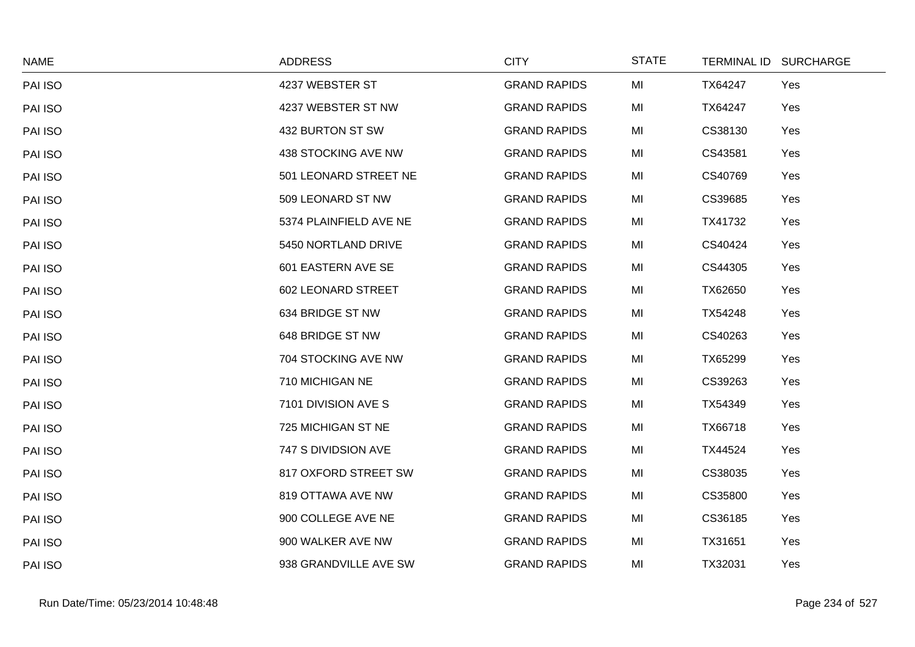| <b>NAME</b> | <b>ADDRESS</b>         | <b>CITY</b>         | <b>STATE</b> | TERMINAL ID SURCHARGE |     |
|-------------|------------------------|---------------------|--------------|-----------------------|-----|
| PAI ISO     | 4237 WEBSTER ST        | <b>GRAND RAPIDS</b> | MI           | TX64247               | Yes |
| PAI ISO     | 4237 WEBSTER ST NW     | <b>GRAND RAPIDS</b> | MI           | TX64247               | Yes |
| PAI ISO     | 432 BURTON ST SW       | <b>GRAND RAPIDS</b> | MI           | CS38130               | Yes |
| PAI ISO     | 438 STOCKING AVE NW    | <b>GRAND RAPIDS</b> | MI           | CS43581               | Yes |
| PAI ISO     | 501 LEONARD STREET NE  | <b>GRAND RAPIDS</b> | MI           | CS40769               | Yes |
| PAI ISO     | 509 LEONARD ST NW      | <b>GRAND RAPIDS</b> | MI           | CS39685               | Yes |
| PAI ISO     | 5374 PLAINFIELD AVE NE | <b>GRAND RAPIDS</b> | MI           | TX41732               | Yes |
| PAI ISO     | 5450 NORTLAND DRIVE    | <b>GRAND RAPIDS</b> | MI           | CS40424               | Yes |
| PAI ISO     | 601 EASTERN AVE SE     | <b>GRAND RAPIDS</b> | MI           | CS44305               | Yes |
| PAI ISO     | 602 LEONARD STREET     | <b>GRAND RAPIDS</b> | MI           | TX62650               | Yes |
| PAI ISO     | 634 BRIDGE ST NW       | <b>GRAND RAPIDS</b> | MI           | TX54248               | Yes |
| PAI ISO     | 648 BRIDGE ST NW       | <b>GRAND RAPIDS</b> | MI           | CS40263               | Yes |
| PAI ISO     | 704 STOCKING AVE NW    | <b>GRAND RAPIDS</b> | MI           | TX65299               | Yes |
| PAI ISO     | 710 MICHIGAN NE        | <b>GRAND RAPIDS</b> | MI           | CS39263               | Yes |
| PAI ISO     | 7101 DIVISION AVE S    | <b>GRAND RAPIDS</b> | MI           | TX54349               | Yes |
| PAI ISO     | 725 MICHIGAN ST NE     | <b>GRAND RAPIDS</b> | MI           | TX66718               | Yes |
| PAI ISO     | 747 S DIVIDSION AVE    | <b>GRAND RAPIDS</b> | MI           | TX44524               | Yes |
| PAI ISO     | 817 OXFORD STREET SW   | <b>GRAND RAPIDS</b> | MI           | CS38035               | Yes |
| PAI ISO     | 819 OTTAWA AVE NW      | <b>GRAND RAPIDS</b> | MI           | CS35800               | Yes |
| PAI ISO     | 900 COLLEGE AVE NE     | <b>GRAND RAPIDS</b> | MI           | CS36185               | Yes |
| PAI ISO     | 900 WALKER AVE NW      | <b>GRAND RAPIDS</b> | MI           | TX31651               | Yes |
| PAI ISO     | 938 GRANDVILLE AVE SW  | <b>GRAND RAPIDS</b> | MI           | TX32031               | Yes |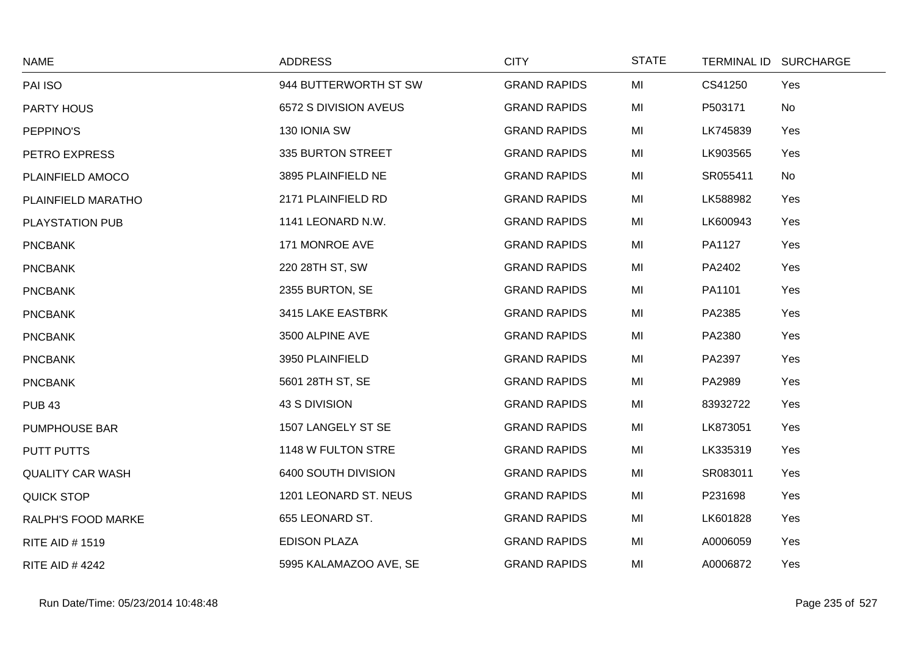| <b>NAME</b>             | <b>ADDRESS</b>         | <b>CITY</b>         | <b>STATE</b> |          | TERMINAL ID SURCHARGE |
|-------------------------|------------------------|---------------------|--------------|----------|-----------------------|
| PAI ISO                 | 944 BUTTERWORTH ST SW  | <b>GRAND RAPIDS</b> | MI           | CS41250  | Yes                   |
| PARTY HOUS              | 6572 S DIVISION AVEUS  | <b>GRAND RAPIDS</b> | MI           | P503171  | No                    |
| PEPPINO'S               | 130 IONIA SW           | <b>GRAND RAPIDS</b> | MI           | LK745839 | Yes                   |
| PETRO EXPRESS           | 335 BURTON STREET      | <b>GRAND RAPIDS</b> | MI           | LK903565 | Yes                   |
| PLAINFIELD AMOCO        | 3895 PLAINFIELD NE     | <b>GRAND RAPIDS</b> | MI           | SR055411 | No                    |
| PLAINFIELD MARATHO      | 2171 PLAINFIELD RD     | <b>GRAND RAPIDS</b> | MI           | LK588982 | Yes                   |
| PLAYSTATION PUB         | 1141 LEONARD N.W.      | <b>GRAND RAPIDS</b> | MI           | LK600943 | Yes                   |
| <b>PNCBANK</b>          | 171 MONROE AVE         | <b>GRAND RAPIDS</b> | MI           | PA1127   | Yes                   |
| <b>PNCBANK</b>          | 220 28TH ST, SW        | <b>GRAND RAPIDS</b> | MI           | PA2402   | Yes                   |
| <b>PNCBANK</b>          | 2355 BURTON, SE        | <b>GRAND RAPIDS</b> | MI           | PA1101   | Yes                   |
| <b>PNCBANK</b>          | 3415 LAKE EASTBRK      | <b>GRAND RAPIDS</b> | MI           | PA2385   | Yes                   |
| <b>PNCBANK</b>          | 3500 ALPINE AVE        | <b>GRAND RAPIDS</b> | MI           | PA2380   | Yes                   |
| <b>PNCBANK</b>          | 3950 PLAINFIELD        | <b>GRAND RAPIDS</b> | MI           | PA2397   | Yes                   |
| <b>PNCBANK</b>          | 5601 28TH ST, SE       | <b>GRAND RAPIDS</b> | MI           | PA2989   | Yes                   |
| <b>PUB 43</b>           | 43 S DIVISION          | <b>GRAND RAPIDS</b> | MI           | 83932722 | Yes                   |
| <b>PUMPHOUSE BAR</b>    | 1507 LANGELY ST SE     | <b>GRAND RAPIDS</b> | MI           | LK873051 | Yes                   |
| PUTT PUTTS              | 1148 W FULTON STRE     | <b>GRAND RAPIDS</b> | MI           | LK335319 | Yes                   |
| <b>QUALITY CAR WASH</b> | 6400 SOUTH DIVISION    | <b>GRAND RAPIDS</b> | MI           | SR083011 | Yes                   |
| <b>QUICK STOP</b>       | 1201 LEONARD ST. NEUS  | <b>GRAND RAPIDS</b> | MI           | P231698  | Yes                   |
| RALPH'S FOOD MARKE      | 655 LEONARD ST.        | <b>GRAND RAPIDS</b> | MI           | LK601828 | Yes                   |
| <b>RITE AID #1519</b>   | <b>EDISON PLAZA</b>    | <b>GRAND RAPIDS</b> | MI           | A0006059 | Yes                   |
| <b>RITE AID #4242</b>   | 5995 KALAMAZOO AVE, SE | <b>GRAND RAPIDS</b> | MI           | A0006872 | Yes                   |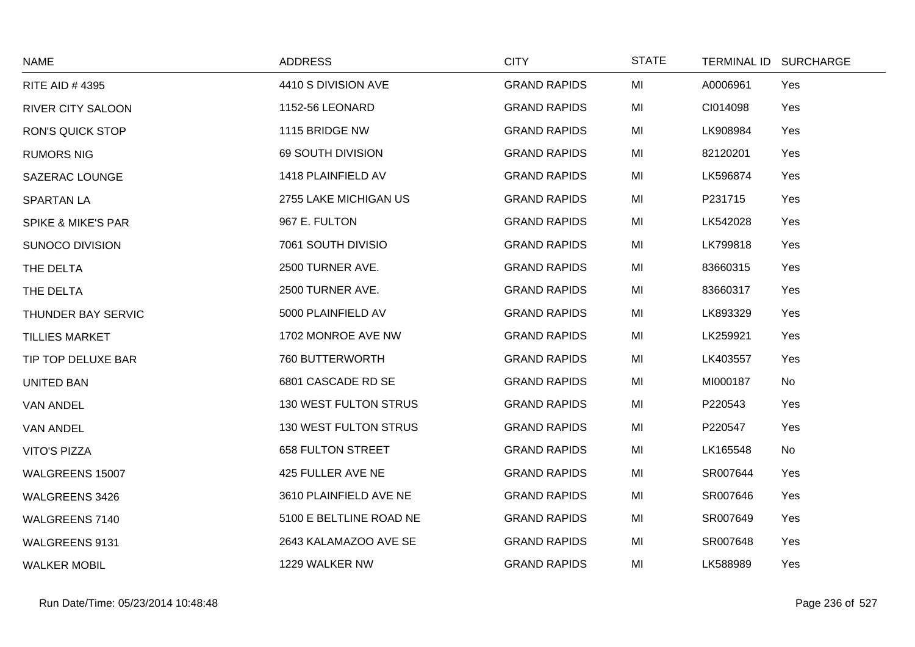| <b>NAME</b>                   | <b>ADDRESS</b>               | <b>CITY</b>         | <b>STATE</b> |          | TERMINAL ID SURCHARGE |
|-------------------------------|------------------------------|---------------------|--------------|----------|-----------------------|
| <b>RITE AID #4395</b>         | 4410 S DIVISION AVE          | <b>GRAND RAPIDS</b> | MI           | A0006961 | Yes                   |
| <b>RIVER CITY SALOON</b>      | 1152-56 LEONARD              | <b>GRAND RAPIDS</b> | MI           | CI014098 | Yes                   |
| <b>RON'S QUICK STOP</b>       | 1115 BRIDGE NW               | <b>GRAND RAPIDS</b> | MI           | LK908984 | Yes                   |
| <b>RUMORS NIG</b>             | 69 SOUTH DIVISION            | <b>GRAND RAPIDS</b> | MI           | 82120201 | Yes                   |
| <b>SAZERAC LOUNGE</b>         | 1418 PLAINFIELD AV           | <b>GRAND RAPIDS</b> | MI           | LK596874 | Yes                   |
| <b>SPARTAN LA</b>             | 2755 LAKE MICHIGAN US        | <b>GRAND RAPIDS</b> | MI           | P231715  | Yes                   |
| <b>SPIKE &amp; MIKE'S PAR</b> | 967 E. FULTON                | <b>GRAND RAPIDS</b> | MI           | LK542028 | Yes                   |
| SUNOCO DIVISION               | 7061 SOUTH DIVISIO           | <b>GRAND RAPIDS</b> | MI           | LK799818 | Yes                   |
| THE DELTA                     | 2500 TURNER AVE.             | <b>GRAND RAPIDS</b> | MI           | 83660315 | Yes                   |
| THE DELTA                     | 2500 TURNER AVE.             | <b>GRAND RAPIDS</b> | MI           | 83660317 | Yes                   |
| THUNDER BAY SERVIC            | 5000 PLAINFIELD AV           | <b>GRAND RAPIDS</b> | MI           | LK893329 | Yes                   |
| <b>TILLIES MARKET</b>         | 1702 MONROE AVE NW           | <b>GRAND RAPIDS</b> | MI           | LK259921 | Yes                   |
| TIP TOP DELUXE BAR            | 760 BUTTERWORTH              | <b>GRAND RAPIDS</b> | MI           | LK403557 | Yes                   |
| <b>UNITED BAN</b>             | 6801 CASCADE RD SE           | <b>GRAND RAPIDS</b> | MI           | MI000187 | No                    |
| <b>VAN ANDEL</b>              | 130 WEST FULTON STRUS        | <b>GRAND RAPIDS</b> | MI           | P220543  | Yes                   |
| <b>VAN ANDEL</b>              | <b>130 WEST FULTON STRUS</b> | <b>GRAND RAPIDS</b> | MI           | P220547  | Yes                   |
| <b>VITO'S PIZZA</b>           | <b>658 FULTON STREET</b>     | <b>GRAND RAPIDS</b> | MI           | LK165548 | No                    |
| WALGREENS 15007               | 425 FULLER AVE NE            | <b>GRAND RAPIDS</b> | MI           | SR007644 | Yes                   |
| WALGREENS 3426                | 3610 PLAINFIELD AVE NE       | <b>GRAND RAPIDS</b> | MI           | SR007646 | Yes                   |
| <b>WALGREENS 7140</b>         | 5100 E BELTLINE ROAD NE      | <b>GRAND RAPIDS</b> | MI           | SR007649 | Yes                   |
| WALGREENS 9131                | 2643 KALAMAZOO AVE SE        | <b>GRAND RAPIDS</b> | MI           | SR007648 | Yes                   |
| <b>WALKER MOBIL</b>           | 1229 WALKER NW               | <b>GRAND RAPIDS</b> | MI           | LK588989 | Yes                   |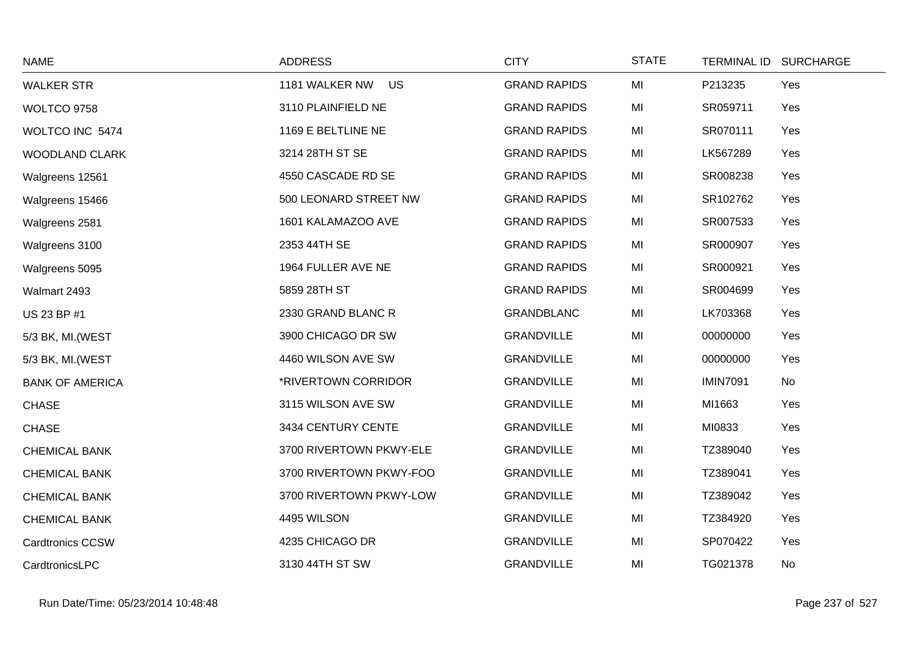| <b>NAME</b>             | <b>ADDRESS</b>              | <b>CITY</b>         | <b>STATE</b> | TERMINAL ID SURCHARGE |     |
|-------------------------|-----------------------------|---------------------|--------------|-----------------------|-----|
| <b>WALKER STR</b>       | 1181 WALKER NW<br><b>US</b> | <b>GRAND RAPIDS</b> | MI           | P213235               | Yes |
| WOLTCO 9758             | 3110 PLAINFIELD NE          | <b>GRAND RAPIDS</b> | MI           | SR059711              | Yes |
| WOLTCO INC 5474         | 1169 E BELTLINE NE          | <b>GRAND RAPIDS</b> | MI           | SR070111              | Yes |
| <b>WOODLAND CLARK</b>   | 3214 28TH ST SE             | <b>GRAND RAPIDS</b> | MI           | LK567289              | Yes |
| Walgreens 12561         | 4550 CASCADE RD SE          | <b>GRAND RAPIDS</b> | MI           | SR008238              | Yes |
| Walgreens 15466         | 500 LEONARD STREET NW       | <b>GRAND RAPIDS</b> | MI           | SR102762              | Yes |
| Walgreens 2581          | 1601 KALAMAZOO AVE          | <b>GRAND RAPIDS</b> | MI           | SR007533              | Yes |
| Walgreens 3100          | 2353 44TH SE                | <b>GRAND RAPIDS</b> | MI           | SR000907              | Yes |
| Walgreens 5095          | 1964 FULLER AVE NE          | <b>GRAND RAPIDS</b> | MI           | SR000921              | Yes |
| Walmart 2493            | 5859 28TH ST                | <b>GRAND RAPIDS</b> | MI           | SR004699              | Yes |
| US 23 BP #1             | 2330 GRAND BLANC R          | <b>GRANDBLANC</b>   | MI           | LK703368              | Yes |
| 5/3 BK, MI. (WEST       | 3900 CHICAGO DR SW          | <b>GRANDVILLE</b>   | MI           | 00000000              | Yes |
| 5/3 BK, MI. (WEST       | 4460 WILSON AVE SW          | <b>GRANDVILLE</b>   | MI           | 00000000              | Yes |
| <b>BANK OF AMERICA</b>  | *RIVERTOWN CORRIDOR         | <b>GRANDVILLE</b>   | MI           | <b>IMIN7091</b>       | No  |
| <b>CHASE</b>            | 3115 WILSON AVE SW          | <b>GRANDVILLE</b>   | MI           | MI1663                | Yes |
| <b>CHASE</b>            | 3434 CENTURY CENTE          | <b>GRANDVILLE</b>   | MI           | MI0833                | Yes |
| <b>CHEMICAL BANK</b>    | 3700 RIVERTOWN PKWY-ELE     | <b>GRANDVILLE</b>   | MI           | TZ389040              | Yes |
| <b>CHEMICAL BANK</b>    | 3700 RIVERTOWN PKWY-FOO     | <b>GRANDVILLE</b>   | MI           | TZ389041              | Yes |
| <b>CHEMICAL BANK</b>    | 3700 RIVERTOWN PKWY-LOW     | <b>GRANDVILLE</b>   | MI           | TZ389042              | Yes |
| <b>CHEMICAL BANK</b>    | 4495 WILSON                 | <b>GRANDVILLE</b>   | MI           | TZ384920              | Yes |
| <b>Cardtronics CCSW</b> | 4235 CHICAGO DR             | <b>GRANDVILLE</b>   | MI           | SP070422              | Yes |
| CardtronicsLPC          | 3130 44TH ST SW             | <b>GRANDVILLE</b>   | MI           | TG021378              | No  |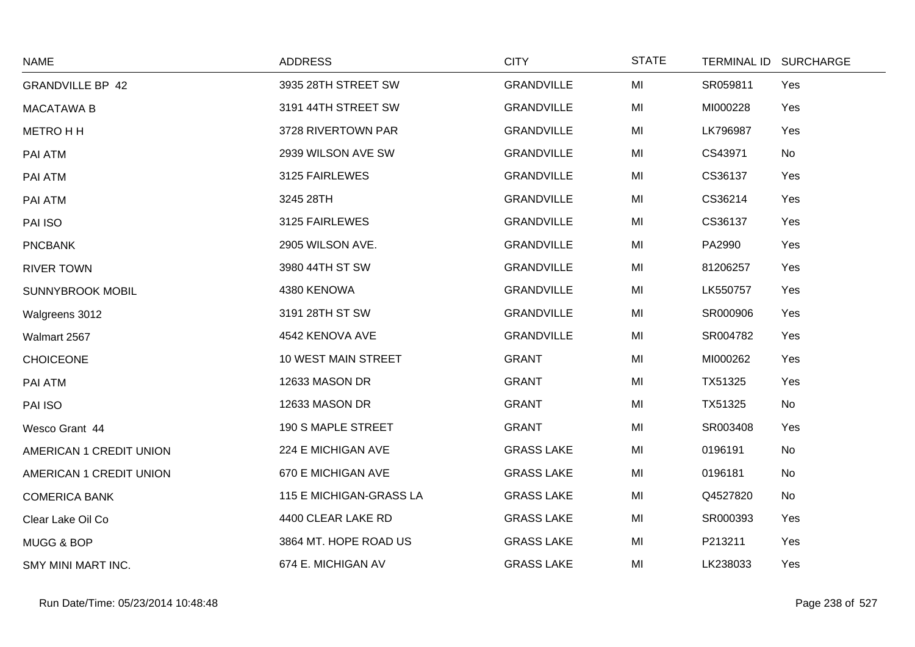| <b>NAME</b>             | <b>ADDRESS</b>          | <b>CITY</b>       | <b>STATE</b> |          | TERMINAL ID SURCHARGE |
|-------------------------|-------------------------|-------------------|--------------|----------|-----------------------|
| <b>GRANDVILLE BP 42</b> | 3935 28TH STREET SW     | <b>GRANDVILLE</b> | MI           | SR059811 | Yes                   |
| <b>MACATAWA B</b>       | 3191 44TH STREET SW     | <b>GRANDVILLE</b> | MI           | MI000228 | Yes                   |
| <b>METRO H H</b>        | 3728 RIVERTOWN PAR      | <b>GRANDVILLE</b> | MI           | LK796987 | Yes                   |
| PAI ATM                 | 2939 WILSON AVE SW      | <b>GRANDVILLE</b> | MI           | CS43971  | No                    |
| PAI ATM                 | 3125 FAIRLEWES          | <b>GRANDVILLE</b> | MI           | CS36137  | Yes                   |
| PAI ATM                 | 3245 28TH               | <b>GRANDVILLE</b> | MI           | CS36214  | Yes                   |
| PAI ISO                 | 3125 FAIRLEWES          | <b>GRANDVILLE</b> | MI           | CS36137  | Yes                   |
| <b>PNCBANK</b>          | 2905 WILSON AVE.        | <b>GRANDVILLE</b> | MI           | PA2990   | Yes                   |
| <b>RIVER TOWN</b>       | 3980 44TH ST SW         | <b>GRANDVILLE</b> | MI           | 81206257 | Yes                   |
| <b>SUNNYBROOK MOBIL</b> | 4380 KENOWA             | <b>GRANDVILLE</b> | MI           | LK550757 | Yes                   |
| Walgreens 3012          | 3191 28TH ST SW         | <b>GRANDVILLE</b> | MI           | SR000906 | Yes                   |
| Walmart 2567            | 4542 KENOVA AVE         | <b>GRANDVILLE</b> | MI           | SR004782 | Yes                   |
| <b>CHOICEONE</b>        | 10 WEST MAIN STREET     | <b>GRANT</b>      | MI           | MI000262 | Yes                   |
| PAI ATM                 | 12633 MASON DR          | <b>GRANT</b>      | MI           | TX51325  | Yes                   |
| PAI ISO                 | 12633 MASON DR          | <b>GRANT</b>      | MI           | TX51325  | No                    |
| Wesco Grant 44          | 190 S MAPLE STREET      | <b>GRANT</b>      | MI           | SR003408 | Yes                   |
| AMERICAN 1 CREDIT UNION | 224 E MICHIGAN AVE      | <b>GRASS LAKE</b> | MI           | 0196191  | No                    |
| AMERICAN 1 CREDIT UNION | 670 E MICHIGAN AVE      | <b>GRASS LAKE</b> | MI           | 0196181  | No                    |
| <b>COMERICA BANK</b>    | 115 E MICHIGAN-GRASS LA | <b>GRASS LAKE</b> | MI           | Q4527820 | No                    |
| Clear Lake Oil Co       | 4400 CLEAR LAKE RD      | <b>GRASS LAKE</b> | MI           | SR000393 | Yes                   |
| MUGG & BOP              | 3864 MT. HOPE ROAD US   | <b>GRASS LAKE</b> | MI           | P213211  | Yes                   |
| SMY MINI MART INC.      | 674 E. MICHIGAN AV      | <b>GRASS LAKE</b> | MI           | LK238033 | Yes                   |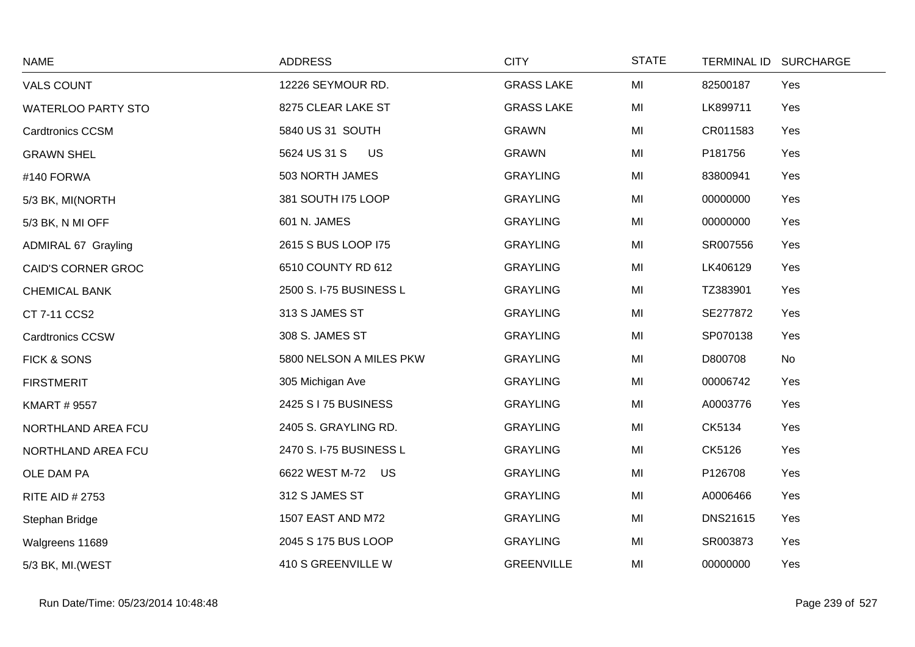| <b>NAME</b>                | <b>ADDRESS</b>            | <b>CITY</b>       | <b>STATE</b> | TERMINAL ID SURCHARGE |     |
|----------------------------|---------------------------|-------------------|--------------|-----------------------|-----|
| <b>VALS COUNT</b>          | 12226 SEYMOUR RD.         | <b>GRASS LAKE</b> | MI           | 82500187              | Yes |
| <b>WATERLOO PARTY STO</b>  | 8275 CLEAR LAKE ST        | <b>GRASS LAKE</b> | MI           | LK899711              | Yes |
| <b>Cardtronics CCSM</b>    | 5840 US 31 SOUTH          | <b>GRAWN</b>      | MI           | CR011583              | Yes |
| <b>GRAWN SHEL</b>          | 5624 US 31 S<br><b>US</b> | <b>GRAWN</b>      | MI           | P181756               | Yes |
| #140 FORWA                 | 503 NORTH JAMES           | <b>GRAYLING</b>   | MI           | 83800941              | Yes |
| 5/3 BK, MI(NORTH           | 381 SOUTH I75 LOOP        | <b>GRAYLING</b>   | MI           | 00000000              | Yes |
| 5/3 BK, N MI OFF           | 601 N. JAMES              | <b>GRAYLING</b>   | MI           | 00000000              | Yes |
| <b>ADMIRAL 67 Grayling</b> | 2615 S BUS LOOP I75       | <b>GRAYLING</b>   | MI           | SR007556              | Yes |
| <b>CAID'S CORNER GROC</b>  | 6510 COUNTY RD 612        | <b>GRAYLING</b>   | MI           | LK406129              | Yes |
| <b>CHEMICAL BANK</b>       | 2500 S. I-75 BUSINESS L   | <b>GRAYLING</b>   | MI           | TZ383901              | Yes |
| CT 7-11 CCS2               | 313 S JAMES ST            | <b>GRAYLING</b>   | MI           | SE277872              | Yes |
| <b>Cardtronics CCSW</b>    | 308 S. JAMES ST           | <b>GRAYLING</b>   | MI           | SP070138              | Yes |
| FICK & SONS                | 5800 NELSON A MILES PKW   | <b>GRAYLING</b>   | MI           | No<br>D800708         |     |
| <b>FIRSTMERIT</b>          | 305 Michigan Ave          | <b>GRAYLING</b>   | MI           | 00006742              | Yes |
| <b>KMART # 9557</b>        | 2425 S I 75 BUSINESS      | <b>GRAYLING</b>   | MI           | A0003776              | Yes |
| NORTHLAND AREA FCU         | 2405 S. GRAYLING RD.      | <b>GRAYLING</b>   | MI           | CK5134                | Yes |
| NORTHLAND AREA FCU         | 2470 S. I-75 BUSINESS L   | <b>GRAYLING</b>   | MI           | CK5126                | Yes |
| OLE DAM PA                 | 6622 WEST M-72 US         | <b>GRAYLING</b>   | MI           | P126708               | Yes |
| <b>RITE AID # 2753</b>     | 312 S JAMES ST            | <b>GRAYLING</b>   | MI           | A0006466              | Yes |
| Stephan Bridge             | 1507 EAST AND M72         | <b>GRAYLING</b>   | MI           | <b>DNS21615</b>       | Yes |
| Walgreens 11689            | 2045 S 175 BUS LOOP       | <b>GRAYLING</b>   | MI           | SR003873              | Yes |
| 5/3 BK, MI. (WEST          | 410 S GREENVILLE W        | <b>GREENVILLE</b> | MI           | 00000000              | Yes |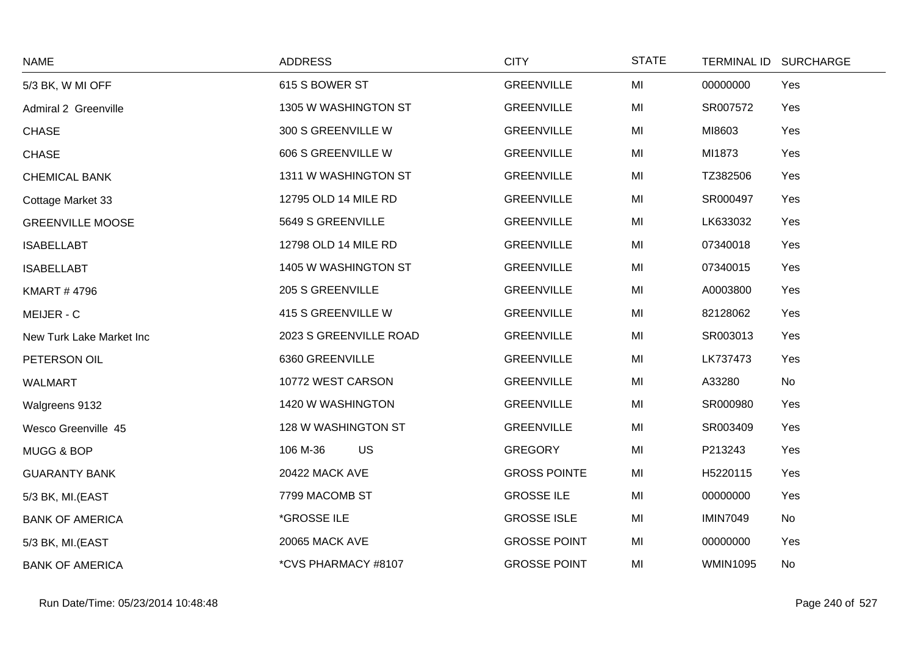| <b>NAME</b>              | <b>ADDRESS</b>          | <b>CITY</b>         | <b>STATE</b> | TERMINAL ID SURCHARGE |
|--------------------------|-------------------------|---------------------|--------------|-----------------------|
| 5/3 BK, W MI OFF         | 615 S BOWER ST          | <b>GREENVILLE</b>   | MI           | Yes<br>00000000       |
| Admiral 2 Greenville     | 1305 W WASHINGTON ST    | <b>GREENVILLE</b>   | MI           | SR007572<br>Yes       |
| <b>CHASE</b>             | 300 S GREENVILLE W      | <b>GREENVILLE</b>   | MI           | MI8603<br>Yes         |
| <b>CHASE</b>             | 606 S GREENVILLE W      | <b>GREENVILLE</b>   | MI           | MI1873<br>Yes         |
| <b>CHEMICAL BANK</b>     | 1311 W WASHINGTON ST    | <b>GREENVILLE</b>   | MI           | TZ382506<br>Yes       |
| Cottage Market 33        | 12795 OLD 14 MILE RD    | <b>GREENVILLE</b>   | MI           | SR000497<br>Yes       |
| <b>GREENVILLE MOOSE</b>  | 5649 S GREENVILLE       | <b>GREENVILLE</b>   | MI           | LK633032<br>Yes       |
| <b>ISABELLABT</b>        | 12798 OLD 14 MILE RD    | <b>GREENVILLE</b>   | MI           | 07340018<br>Yes       |
| <b>ISABELLABT</b>        | 1405 W WASHINGTON ST    | <b>GREENVILLE</b>   | MI           | 07340015<br>Yes       |
| <b>KMART #4796</b>       | <b>205 S GREENVILLE</b> | <b>GREENVILLE</b>   | MI           | A0003800<br>Yes       |
| MEIJER - C               | 415 S GREENVILLE W      | <b>GREENVILLE</b>   | MI           | 82128062<br>Yes       |
| New Turk Lake Market Inc | 2023 S GREENVILLE ROAD  | <b>GREENVILLE</b>   | MI           | SR003013<br>Yes       |
| PETERSON OIL             | 6360 GREENVILLE         | <b>GREENVILLE</b>   | MI           | LK737473<br>Yes       |
| <b>WALMART</b>           | 10772 WEST CARSON       | <b>GREENVILLE</b>   | MI           | A33280<br>No          |
| Walgreens 9132           | 1420 W WASHINGTON       | <b>GREENVILLE</b>   | MI           | SR000980<br>Yes       |
| Wesco Greenville 45      | 128 W WASHINGTON ST     | <b>GREENVILLE</b>   | MI           | SR003409<br>Yes       |
| MUGG & BOP               | <b>US</b><br>106 M-36   | <b>GREGORY</b>      | MI           | P213243<br>Yes        |
| <b>GUARANTY BANK</b>     | 20422 MACK AVE          | <b>GROSS POINTE</b> | MI           | H5220115<br>Yes       |
| 5/3 BK, MI.(EAST         | 7799 MACOMB ST          | <b>GROSSE ILE</b>   | MI           | 00000000<br>Yes       |
| <b>BANK OF AMERICA</b>   | *GROSSE ILE             | <b>GROSSE ISLE</b>  | MI           | <b>IMIN7049</b><br>No |
| 5/3 BK, MI.(EAST         | <b>20065 MACK AVE</b>   | <b>GROSSE POINT</b> | MI           | 00000000<br>Yes       |
| <b>BANK OF AMERICA</b>   | *CVS PHARMACY #8107     | <b>GROSSE POINT</b> | MI           | <b>WMIN1095</b><br>No |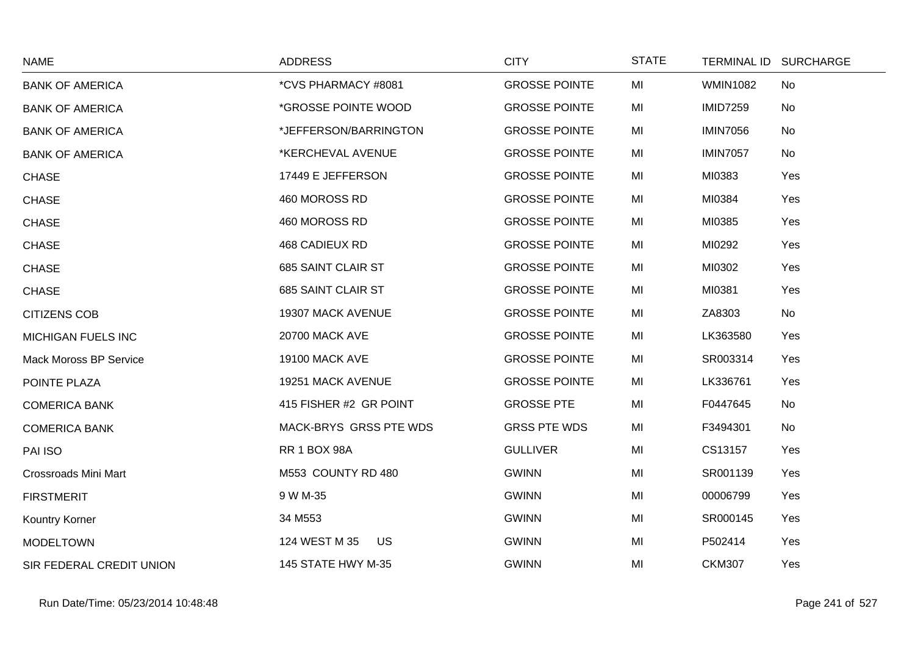| <b>NAME</b>                   | <b>ADDRESS</b>             | <b>CITY</b>          | <b>STATE</b> |                 | TERMINAL ID SURCHARGE |
|-------------------------------|----------------------------|----------------------|--------------|-----------------|-----------------------|
| <b>BANK OF AMERICA</b>        | *CVS PHARMACY #8081        | <b>GROSSE POINTE</b> | MI           | <b>WMIN1082</b> | No                    |
| <b>BANK OF AMERICA</b>        | *GROSSE POINTE WOOD        | <b>GROSSE POINTE</b> | MI           | <b>IMID7259</b> | No                    |
| <b>BANK OF AMERICA</b>        | *JEFFERSON/BARRINGTON      | <b>GROSSE POINTE</b> | MI           | <b>IMIN7056</b> | No                    |
| <b>BANK OF AMERICA</b>        | *KERCHEVAL AVENUE          | <b>GROSSE POINTE</b> | MI           | <b>IMIN7057</b> | No                    |
| <b>CHASE</b>                  | 17449 E JEFFERSON          | <b>GROSSE POINTE</b> | MI           | MI0383          | Yes                   |
| <b>CHASE</b>                  | 460 MOROSS RD              | <b>GROSSE POINTE</b> | MI           | MI0384          | Yes                   |
| <b>CHASE</b>                  | 460 MOROSS RD              | <b>GROSSE POINTE</b> | MI           | MI0385          | Yes                   |
| <b>CHASE</b>                  | <b>468 CADIEUX RD</b>      | <b>GROSSE POINTE</b> | MI           | MI0292          | Yes                   |
| <b>CHASE</b>                  | 685 SAINT CLAIR ST         | <b>GROSSE POINTE</b> | MI           | MI0302          | Yes                   |
| <b>CHASE</b>                  | 685 SAINT CLAIR ST         | <b>GROSSE POINTE</b> | MI           | MI0381          | Yes                   |
| <b>CITIZENS COB</b>           | 19307 MACK AVENUE          | <b>GROSSE POINTE</b> | MI           | ZA8303          | No                    |
| <b>MICHIGAN FUELS INC</b>     | <b>20700 MACK AVE</b>      | <b>GROSSE POINTE</b> | MI           | LK363580        | Yes                   |
| <b>Mack Moross BP Service</b> | <b>19100 MACK AVE</b>      | <b>GROSSE POINTE</b> | MI           | SR003314        | Yes                   |
| POINTE PLAZA                  | 19251 MACK AVENUE          | <b>GROSSE POINTE</b> | MI           | LK336761        | Yes                   |
| <b>COMERICA BANK</b>          | 415 FISHER #2 GR POINT     | <b>GROSSE PTE</b>    | MI           | F0447645        | No                    |
| <b>COMERICA BANK</b>          | MACK-BRYS GRSS PTE WDS     | <b>GRSS PTE WDS</b>  | MI           | F3494301        | No                    |
| PAI ISO                       | <b>RR 1 BOX 98A</b>        | <b>GULLIVER</b>      | MI           | CS13157         | Yes                   |
| <b>Crossroads Mini Mart</b>   | M553 COUNTY RD 480         | <b>GWINN</b>         | MI           | SR001139        | Yes                   |
| <b>FIRSTMERIT</b>             | 9 W M-35                   | <b>GWINN</b>         | MI           | 00006799        | Yes                   |
| Kountry Korner                | 34 M553                    | <b>GWINN</b>         | MI           | SR000145        | Yes                   |
| <b>MODELTOWN</b>              | 124 WEST M 35<br><b>US</b> | <b>GWINN</b>         | MI           | P502414         | Yes                   |
| SIR FEDERAL CREDIT UNION      | 145 STATE HWY M-35         | <b>GWINN</b>         | MI           | <b>CKM307</b>   | Yes                   |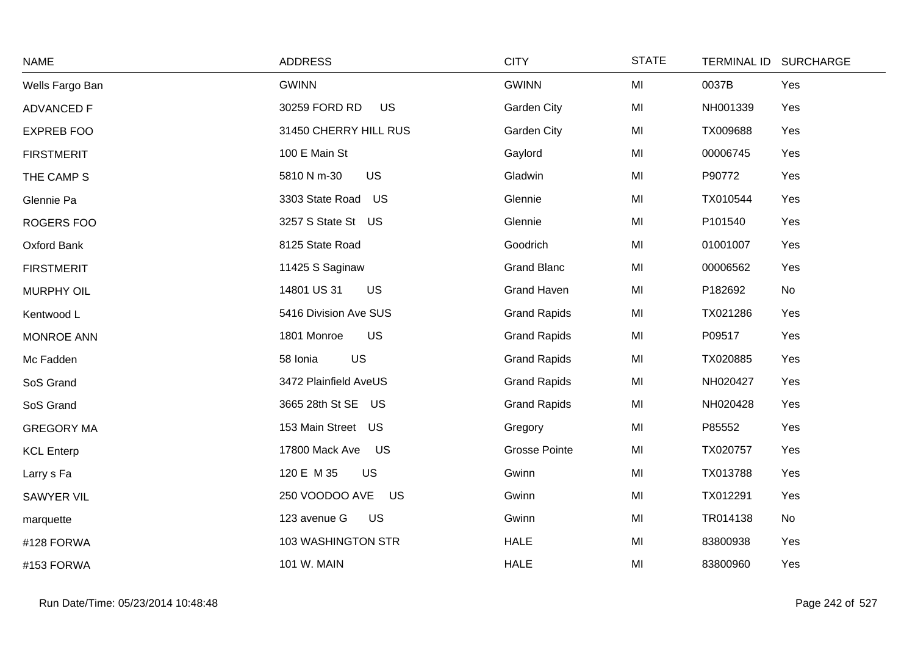| <b>NAME</b>       | <b>ADDRESS</b>              | <b>CITY</b>          | <b>STATE</b> | TERMINAL ID SURCHARGE |     |
|-------------------|-----------------------------|----------------------|--------------|-----------------------|-----|
| Wells Fargo Ban   | <b>GWINN</b>                | <b>GWINN</b>         | MI           | 0037B                 | Yes |
| <b>ADVANCED F</b> | 30259 FORD RD<br><b>US</b>  | Garden City          | MI           | NH001339              | Yes |
| <b>EXPREB FOO</b> | 31450 CHERRY HILL RUS       | Garden City          | MI           | TX009688              | Yes |
| <b>FIRSTMERIT</b> | 100 E Main St               | Gaylord              | MI           | 00006745              | Yes |
| THE CAMP S        | <b>US</b><br>5810 N m-30    | Gladwin              | MI           | P90772                | Yes |
| Glennie Pa        | 3303 State Road US          | Glennie              | MI           | TX010544              | Yes |
| ROGERS FOO        | 3257 S State St US          | Glennie              | MI           | P101540               | Yes |
| Oxford Bank       | 8125 State Road             | Goodrich             | MI           | 01001007              | Yes |
| <b>FIRSTMERIT</b> | 11425 S Saginaw             | <b>Grand Blanc</b>   | MI           | 00006562              | Yes |
| <b>MURPHY OIL</b> | 14801 US 31<br><b>US</b>    | <b>Grand Haven</b>   | MI           | P182692               | No  |
| Kentwood L        | 5416 Division Ave SUS       | <b>Grand Rapids</b>  | MI           | TX021286              | Yes |
| MONROE ANN        | <b>US</b><br>1801 Monroe    | <b>Grand Rapids</b>  | MI           | P09517                | Yes |
| Mc Fadden         | US<br>58 Ionia              | <b>Grand Rapids</b>  | MI           | TX020885              | Yes |
| SoS Grand         | 3472 Plainfield AveUS       | <b>Grand Rapids</b>  | MI           | NH020427              | Yes |
| SoS Grand         | 3665 28th St SE US          | <b>Grand Rapids</b>  | MI           | NH020428              | Yes |
| <b>GREGORY MA</b> | 153 Main Street US          | Gregory              | MI           | P85552                | Yes |
| <b>KCL Enterp</b> | 17800 Mack Ave<br>US        | <b>Grosse Pointe</b> | MI           | TX020757              | Yes |
| Larry s Fa        | 120 E M 35<br>US            | Gwinn                | MI           | TX013788              | Yes |
| <b>SAWYER VIL</b> | 250 VOODOO AVE<br><b>US</b> | Gwinn                | MI           | TX012291              | Yes |
| marquette         | 123 avenue G<br>US          | Gwinn                | MI           | TR014138              | No  |
| #128 FORWA        | 103 WASHINGTON STR          | <b>HALE</b>          | MI           | 83800938              | Yes |
| #153 FORWA        | 101 W. MAIN                 | <b>HALE</b>          | MI           | 83800960              | Yes |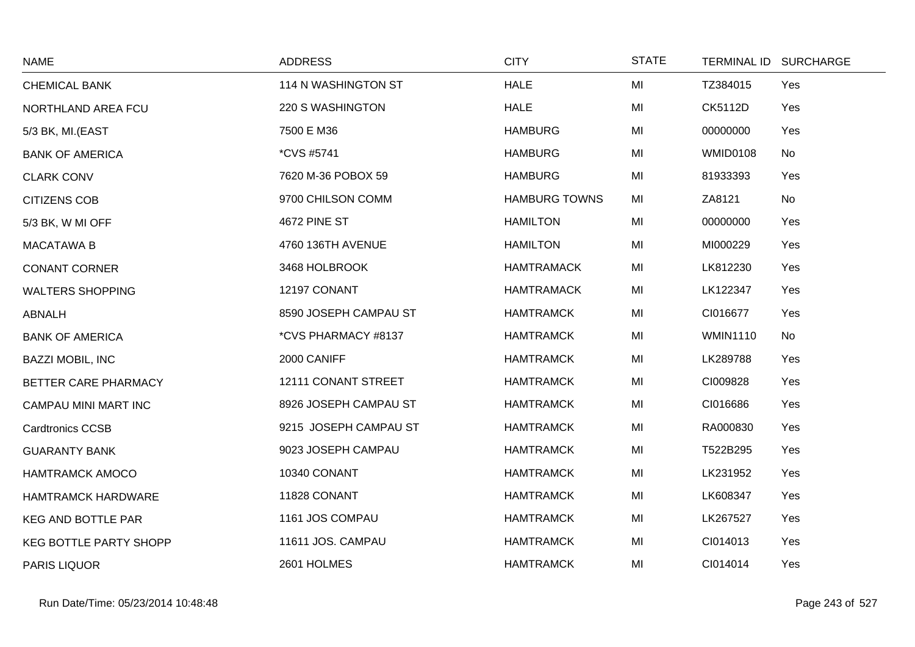| <b>NAME</b>                   | <b>ADDRESS</b>        | <b>CITY</b>          | <b>STATE</b> | TERMINAL ID SURCHARGE        |
|-------------------------------|-----------------------|----------------------|--------------|------------------------------|
| <b>CHEMICAL BANK</b>          | 114 N WASHINGTON ST   | <b>HALE</b>          | MI           | TZ384015<br>Yes              |
| NORTHLAND AREA FCU            | 220 S WASHINGTON      | <b>HALE</b>          | MI           | <b>CK5112D</b><br>Yes        |
| 5/3 BK, MI.(EAST              | 7500 E M36            | <b>HAMBURG</b>       | MI           | 00000000<br>Yes              |
| <b>BANK OF AMERICA</b>        | <i>*CVS #5741</i>     | <b>HAMBURG</b>       | MI           | <b>WMID0108</b><br>No        |
| <b>CLARK CONV</b>             | 7620 M-36 POBOX 59    | <b>HAMBURG</b>       | MI           | 81933393<br>Yes              |
| <b>CITIZENS COB</b>           | 9700 CHILSON COMM     | <b>HAMBURG TOWNS</b> | MI           | ZA8121<br>No                 |
| 5/3 BK, W MI OFF              | 4672 PINE ST          | <b>HAMILTON</b>      | MI           | 00000000<br>Yes              |
| <b>MACATAWA B</b>             | 4760 136TH AVENUE     | <b>HAMILTON</b>      | MI           | MI000229<br>Yes              |
| <b>CONANT CORNER</b>          | 3468 HOLBROOK         | <b>HAMTRAMACK</b>    | MI           | LK812230<br>Yes              |
| <b>WALTERS SHOPPING</b>       | 12197 CONANT          | <b>HAMTRAMACK</b>    | MI           | LK122347<br>Yes              |
| ABNALH                        | 8590 JOSEPH CAMPAU ST | <b>HAMTRAMCK</b>     | MI           | CI016677<br>Yes              |
| <b>BANK OF AMERICA</b>        | *CVS PHARMACY #8137   | <b>HAMTRAMCK</b>     | MI           | <b>WMIN1110</b><br><b>No</b> |
| <b>BAZZI MOBIL, INC</b>       | 2000 CANIFF           | <b>HAMTRAMCK</b>     | MI           | LK289788<br>Yes              |
| BETTER CARE PHARMACY          | 12111 CONANT STREET   | <b>HAMTRAMCK</b>     | MI           | Yes<br>CI009828              |
| CAMPAU MINI MART INC          | 8926 JOSEPH CAMPAU ST | <b>HAMTRAMCK</b>     | MI           | CI016686<br>Yes              |
| <b>Cardtronics CCSB</b>       | 9215 JOSEPH CAMPAU ST | <b>HAMTRAMCK</b>     | MI           | RA000830<br>Yes              |
| <b>GUARANTY BANK</b>          | 9023 JOSEPH CAMPAU    | <b>HAMTRAMCK</b>     | MI           | T522B295<br>Yes              |
| <b>HAMTRAMCK AMOCO</b>        | 10340 CONANT          | <b>HAMTRAMCK</b>     | MI           | LK231952<br>Yes              |
| <b>HAMTRAMCK HARDWARE</b>     | 11828 CONANT          | <b>HAMTRAMCK</b>     | MI           | LK608347<br>Yes              |
| <b>KEG AND BOTTLE PAR</b>     | 1161 JOS COMPAU       | <b>HAMTRAMCK</b>     | MI           | LK267527<br>Yes              |
| <b>KEG BOTTLE PARTY SHOPP</b> | 11611 JOS. CAMPAU     | <b>HAMTRAMCK</b>     | MI           | Yes<br>CI014013              |
| PARIS LIQUOR                  | 2601 HOLMES           | <b>HAMTRAMCK</b>     | MI           | CI014014<br>Yes              |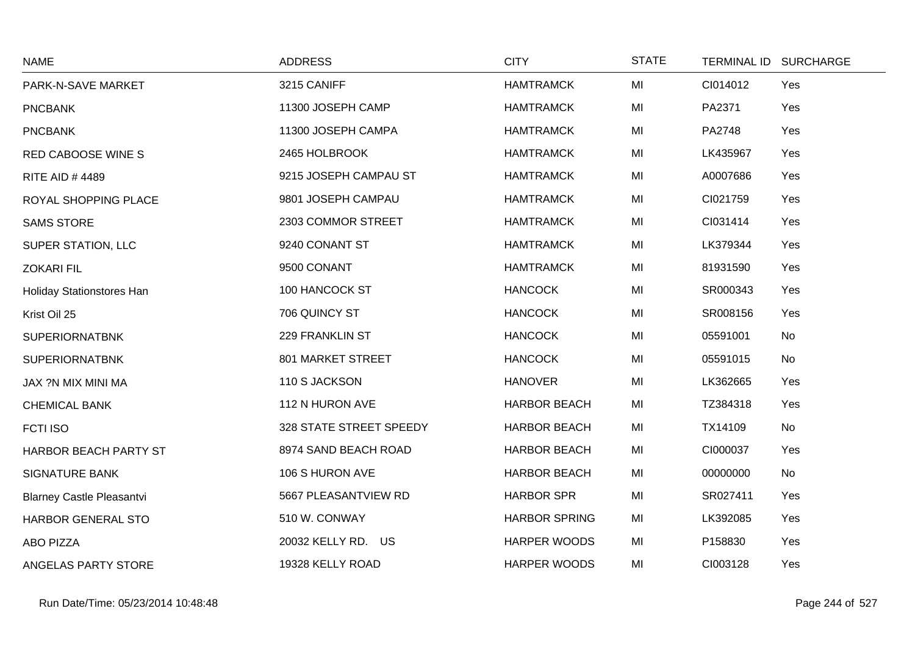| <b>NAME</b>                      | <b>ADDRESS</b>          | <b>CITY</b>          | <b>STATE</b> |          | TERMINAL ID SURCHARGE |
|----------------------------------|-------------------------|----------------------|--------------|----------|-----------------------|
| PARK-N-SAVE MARKET               | 3215 CANIFF             | <b>HAMTRAMCK</b>     | MI           | CI014012 | Yes                   |
| <b>PNCBANK</b>                   | 11300 JOSEPH CAMP       | <b>HAMTRAMCK</b>     | MI           | PA2371   | Yes                   |
| <b>PNCBANK</b>                   | 11300 JOSEPH CAMPA      | <b>HAMTRAMCK</b>     | MI           | PA2748   | Yes                   |
| RED CABOOSE WINE S               | 2465 HOLBROOK           | <b>HAMTRAMCK</b>     | MI           | LK435967 | Yes                   |
| <b>RITE AID #4489</b>            | 9215 JOSEPH CAMPAU ST   | <b>HAMTRAMCK</b>     | MI           | A0007686 | Yes                   |
| ROYAL SHOPPING PLACE             | 9801 JOSEPH CAMPAU      | <b>HAMTRAMCK</b>     | MI           | CI021759 | Yes                   |
| <b>SAMS STORE</b>                | 2303 COMMOR STREET      | <b>HAMTRAMCK</b>     | MI           | CI031414 | Yes                   |
| SUPER STATION, LLC               | 9240 CONANT ST          | <b>HAMTRAMCK</b>     | MI           | LK379344 | Yes                   |
| <b>ZOKARI FIL</b>                | 9500 CONANT             | <b>HAMTRAMCK</b>     | MI           | 81931590 | Yes                   |
| Holiday Stationstores Han        | 100 HANCOCK ST          | <b>HANCOCK</b>       | MI           | SR000343 | Yes                   |
| Krist Oil 25                     | 706 QUINCY ST           | <b>HANCOCK</b>       | MI           | SR008156 | Yes                   |
| <b>SUPERIORNATBNK</b>            | 229 FRANKLIN ST         | <b>HANCOCK</b>       | MI           | 05591001 | No                    |
| <b>SUPERIORNATBNK</b>            | 801 MARKET STREET       | <b>HANCOCK</b>       | MI           | 05591015 | No                    |
| JAX ?N MIX MINI MA               | 110 S JACKSON           | <b>HANOVER</b>       | MI           | LK362665 | Yes                   |
| <b>CHEMICAL BANK</b>             | 112 N HURON AVE         | <b>HARBOR BEACH</b>  | MI           | TZ384318 | Yes                   |
| <b>FCTI ISO</b>                  | 328 STATE STREET SPEEDY | <b>HARBOR BEACH</b>  | MI           | TX14109  | No                    |
| HARBOR BEACH PARTY ST            | 8974 SAND BEACH ROAD    | <b>HARBOR BEACH</b>  | MI           | CI000037 | Yes                   |
| <b>SIGNATURE BANK</b>            | 106 S HURON AVE         | <b>HARBOR BEACH</b>  | MI           | 00000000 | No                    |
| <b>Blarney Castle Pleasantvi</b> | 5667 PLEASANTVIEW RD    | <b>HARBOR SPR</b>    | MI           | SR027411 | Yes                   |
| HARBOR GENERAL STO               | 510 W. CONWAY           | <b>HARBOR SPRING</b> | MI           | LK392085 | Yes                   |
| <b>ABO PIZZA</b>                 | 20032 KELLY RD. US      | <b>HARPER WOODS</b>  | MI           | P158830  | Yes                   |
| ANGELAS PARTY STORE              | 19328 KELLY ROAD        | <b>HARPER WOODS</b>  | MI           | CI003128 | Yes                   |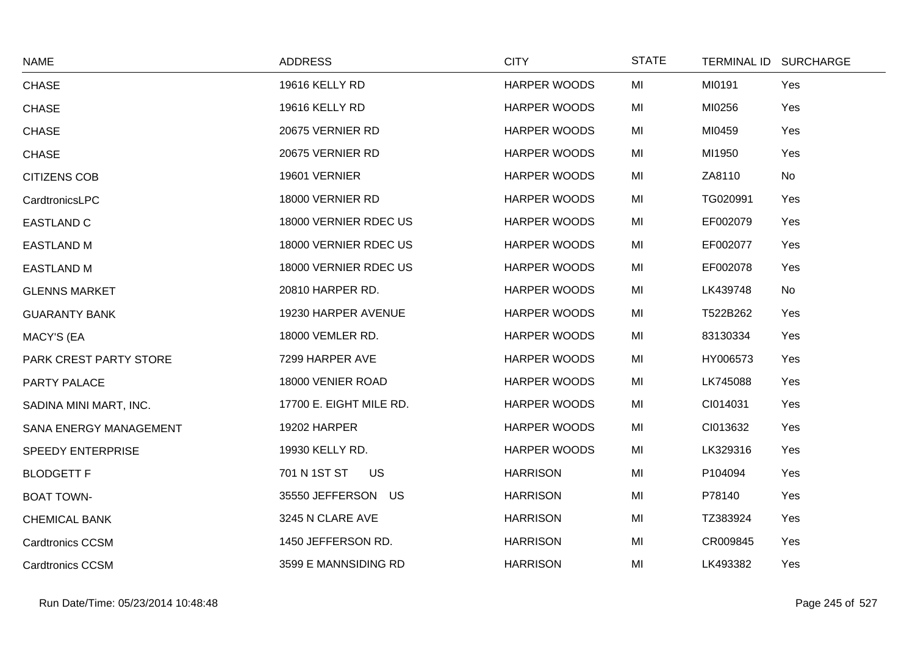| <b>NAME</b>             | <b>ADDRESS</b>          | <b>CITY</b>         | <b>STATE</b> | TERMINAL ID SURCHARGE |     |
|-------------------------|-------------------------|---------------------|--------------|-----------------------|-----|
| <b>CHASE</b>            | 19616 KELLY RD          | <b>HARPER WOODS</b> | MI           | MI0191                | Yes |
| CHASE                   | 19616 KELLY RD          | <b>HARPER WOODS</b> | MI           | MI0256                | Yes |
| <b>CHASE</b>            | 20675 VERNIER RD        | <b>HARPER WOODS</b> | MI           | MI0459                | Yes |
| <b>CHASE</b>            | 20675 VERNIER RD        | <b>HARPER WOODS</b> | MI           | MI1950                | Yes |
| <b>CITIZENS COB</b>     | 19601 VERNIER           | <b>HARPER WOODS</b> | MI           | ZA8110                | No  |
| CardtronicsLPC          | 18000 VERNIER RD        | <b>HARPER WOODS</b> | MI           | TG020991              | Yes |
| <b>EASTLAND C</b>       | 18000 VERNIER RDEC US   | <b>HARPER WOODS</b> | MI           | EF002079              | Yes |
| <b>EASTLAND M</b>       | 18000 VERNIER RDEC US   | <b>HARPER WOODS</b> | MI           | EF002077              | Yes |
| <b>EASTLAND M</b>       | 18000 VERNIER RDEC US   | <b>HARPER WOODS</b> | MI           | EF002078              | Yes |
| <b>GLENNS MARKET</b>    | 20810 HARPER RD.        | <b>HARPER WOODS</b> | MI           | LK439748              | No  |
| <b>GUARANTY BANK</b>    | 19230 HARPER AVENUE     | <b>HARPER WOODS</b> | MI           | T522B262              | Yes |
| MACY'S (EA              | 18000 VEMLER RD.        | HARPER WOODS        | MI           | 83130334              | Yes |
| PARK CREST PARTY STORE  | 7299 HARPER AVE         | <b>HARPER WOODS</b> | MI           | HY006573              | Yes |
| PARTY PALACE            | 18000 VENIER ROAD       | <b>HARPER WOODS</b> | MI           | LK745088              | Yes |
| SADINA MINI MART, INC.  | 17700 E. EIGHT MILE RD. | <b>HARPER WOODS</b> | MI           | CI014031              | Yes |
| SANA ENERGY MANAGEMENT  | 19202 HARPER            | <b>HARPER WOODS</b> | MI           | CI013632              | Yes |
| SPEEDY ENTERPRISE       | 19930 KELLY RD.         | <b>HARPER WOODS</b> | MI           | LK329316              | Yes |
| <b>BLODGETT F</b>       | 701 N 1ST ST<br>US      | <b>HARRISON</b>     | MI           | P104094               | Yes |
| <b>BOAT TOWN-</b>       | 35550 JEFFERSON US      | <b>HARRISON</b>     | MI           | P78140                | Yes |
| <b>CHEMICAL BANK</b>    | 3245 N CLARE AVE        | <b>HARRISON</b>     | MI           | TZ383924              | Yes |
| <b>Cardtronics CCSM</b> | 1450 JEFFERSON RD.      | <b>HARRISON</b>     | MI           | CR009845              | Yes |
| <b>Cardtronics CCSM</b> | 3599 E MANNSIDING RD    | <b>HARRISON</b>     | MI           | LK493382              | Yes |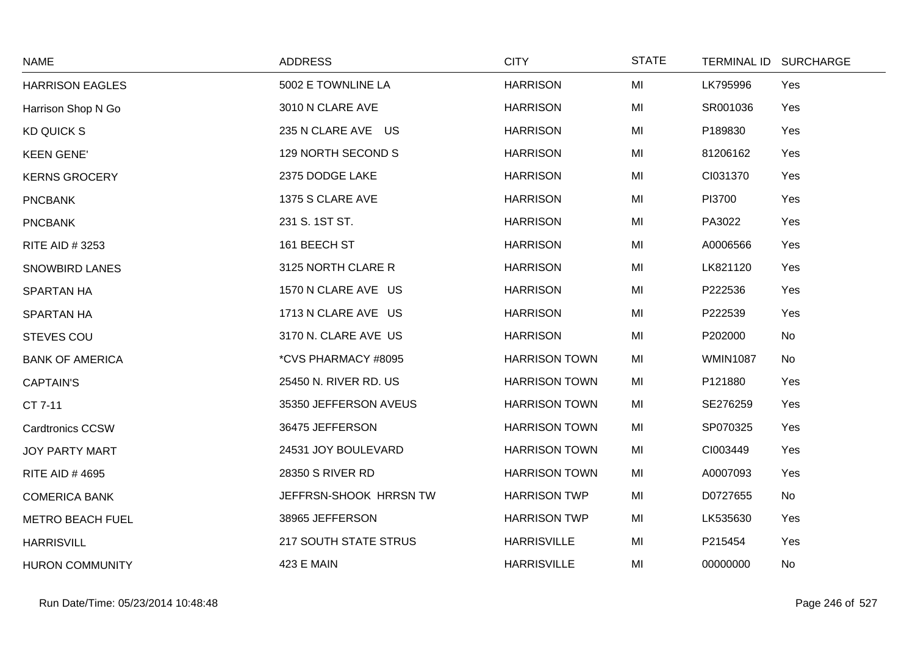| <b>NAME</b>             | <b>ADDRESS</b>               | <b>CITY</b>          | <b>STATE</b> |                 | TERMINAL ID SURCHARGE |
|-------------------------|------------------------------|----------------------|--------------|-----------------|-----------------------|
| <b>HARRISON EAGLES</b>  | 5002 E TOWNLINE LA           | <b>HARRISON</b>      | MI           | LK795996        | Yes                   |
| Harrison Shop N Go      | 3010 N CLARE AVE             | <b>HARRISON</b>      | MI           | SR001036        | Yes                   |
| <b>KD QUICK S</b>       | 235 N CLARE AVE US           | <b>HARRISON</b>      | MI           | P189830         | Yes                   |
| <b>KEEN GENE'</b>       | 129 NORTH SECOND S           | <b>HARRISON</b>      | MI           | 81206162        | Yes                   |
| <b>KERNS GROCERY</b>    | 2375 DODGE LAKE              | <b>HARRISON</b>      | MI           | CI031370        | Yes                   |
| <b>PNCBANK</b>          | 1375 S CLARE AVE             | <b>HARRISON</b>      | MI           | PI3700          | Yes                   |
| <b>PNCBANK</b>          | 231 S. 1ST ST.               | <b>HARRISON</b>      | MI           | PA3022          | Yes                   |
| RITE AID # 3253         | 161 BEECH ST                 | <b>HARRISON</b>      | MI           | A0006566        | Yes                   |
| <b>SNOWBIRD LANES</b>   | 3125 NORTH CLARE R           | <b>HARRISON</b>      | MI           | LK821120        | Yes                   |
| <b>SPARTAN HA</b>       | 1570 N CLARE AVE US          | <b>HARRISON</b>      | MI           | P222536         | Yes                   |
| <b>SPARTAN HA</b>       | 1713 N CLARE AVE US          | <b>HARRISON</b>      | MI           | P222539         | Yes                   |
| <b>STEVES COU</b>       | 3170 N. CLARE AVE US         | <b>HARRISON</b>      | MI           | P202000         | No                    |
| <b>BANK OF AMERICA</b>  | *CVS PHARMACY #8095          | <b>HARRISON TOWN</b> | MI           | <b>WMIN1087</b> | No                    |
| <b>CAPTAIN'S</b>        | 25450 N. RIVER RD. US        | <b>HARRISON TOWN</b> | MI           | P121880         | Yes                   |
| CT 7-11                 | 35350 JEFFERSON AVEUS        | <b>HARRISON TOWN</b> | MI           | SE276259        | Yes                   |
| <b>Cardtronics CCSW</b> | 36475 JEFFERSON              | <b>HARRISON TOWN</b> | MI           | SP070325        | Yes                   |
| <b>JOY PARTY MART</b>   | 24531 JOY BOULEVARD          | <b>HARRISON TOWN</b> | MI           | CI003449        | Yes                   |
| <b>RITE AID #4695</b>   | 28350 S RIVER RD             | <b>HARRISON TOWN</b> | MI           | A0007093        | Yes                   |
| <b>COMERICA BANK</b>    | JEFFRSN-SHOOK HRRSN TW       | <b>HARRISON TWP</b>  | MI           | D0727655        | No                    |
| <b>METRO BEACH FUEL</b> | 38965 JEFFERSON              | <b>HARRISON TWP</b>  | MI           | LK535630        | Yes                   |
| <b>HARRISVILL</b>       | <b>217 SOUTH STATE STRUS</b> | <b>HARRISVILLE</b>   | MI           | P215454         | Yes                   |
| <b>HURON COMMUNITY</b>  | <b>423 E MAIN</b>            | <b>HARRISVILLE</b>   | MI           | 00000000        | <b>No</b>             |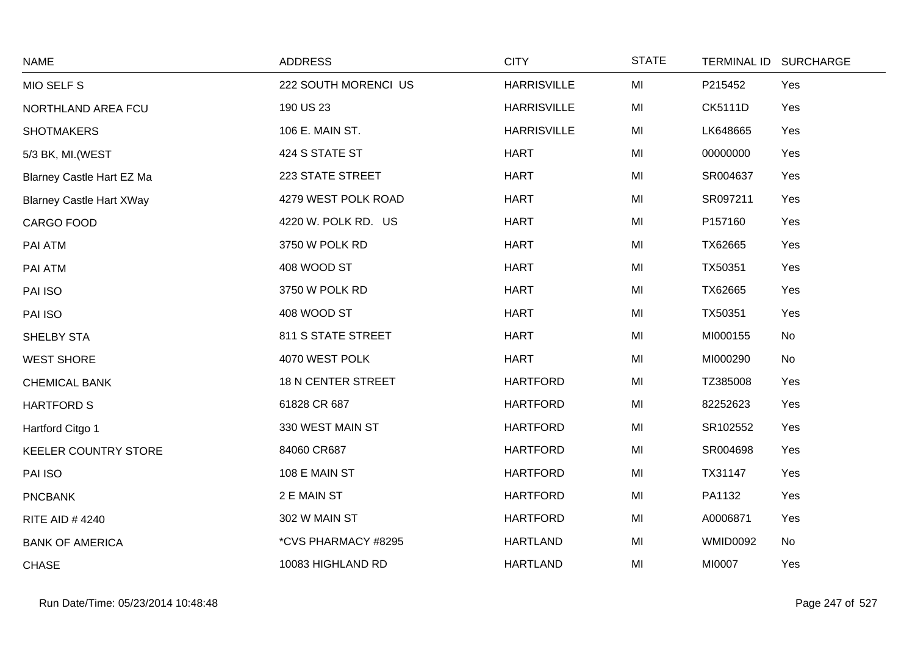| <b>NAME</b>                      | <b>ADDRESS</b>            | <b>CITY</b>        | <b>STATE</b> | <b>TERMINAL ID</b> | <b>SURCHARGE</b> |
|----------------------------------|---------------------------|--------------------|--------------|--------------------|------------------|
| MIO SELF S                       | 222 SOUTH MORENCI US      | <b>HARRISVILLE</b> | MI           | P215452            | Yes              |
| NORTHLAND AREA FCU               | 190 US 23                 | <b>HARRISVILLE</b> | MI           | <b>CK5111D</b>     | Yes              |
| <b>SHOTMAKERS</b>                | 106 E. MAIN ST.           | <b>HARRISVILLE</b> | MI           | LK648665           | Yes              |
| 5/3 BK, MI. (WEST                | 424 S STATE ST            | <b>HART</b>        | MI           | 00000000           | Yes              |
| <b>Blarney Castle Hart EZ Ma</b> | 223 STATE STREET          | <b>HART</b>        | MI           | SR004637           | Yes              |
| <b>Blarney Castle Hart XWay</b>  | 4279 WEST POLK ROAD       | <b>HART</b>        | MI           | SR097211           | Yes              |
| CARGO FOOD                       | 4220 W. POLK RD. US       | <b>HART</b>        | MI           | P157160            | Yes              |
| PAI ATM                          | 3750 W POLK RD            | <b>HART</b>        | MI           | TX62665            | Yes              |
| PAI ATM                          | 408 WOOD ST               | <b>HART</b>        | MI           | TX50351            | Yes              |
| PAI ISO                          | 3750 W POLK RD            | <b>HART</b>        | MI           | TX62665            | Yes              |
| PAI ISO                          | 408 WOOD ST               | <b>HART</b>        | MI           | TX50351            | Yes              |
| SHELBY STA                       | 811 S STATE STREET        | <b>HART</b>        | MI           | MI000155           | No               |
| <b>WEST SHORE</b>                | 4070 WEST POLK            | <b>HART</b>        | MI           | MI000290           | No               |
| <b>CHEMICAL BANK</b>             | <b>18 N CENTER STREET</b> | <b>HARTFORD</b>    | MI           | TZ385008           | Yes              |
| <b>HARTFORD S</b>                | 61828 CR 687              | <b>HARTFORD</b>    | MI           | 82252623           | Yes              |
| Hartford Citgo 1                 | 330 WEST MAIN ST          | <b>HARTFORD</b>    | MI           | SR102552           | Yes              |
| <b>KEELER COUNTRY STORE</b>      | 84060 CR687               | <b>HARTFORD</b>    | MI           | SR004698           | Yes              |
| PAI ISO                          | 108 E MAIN ST             | <b>HARTFORD</b>    | MI           | TX31147            | Yes              |
| <b>PNCBANK</b>                   | 2 E MAIN ST               | <b>HARTFORD</b>    | MI           | PA1132             | Yes              |
| <b>RITE AID #4240</b>            | 302 W MAIN ST             | <b>HARTFORD</b>    | MI           | A0006871           | Yes              |
| <b>BANK OF AMERICA</b>           | *CVS PHARMACY #8295       | <b>HARTLAND</b>    | MI           | <b>WMID0092</b>    | No               |
| <b>CHASE</b>                     | 10083 HIGHLAND RD         | <b>HARTLAND</b>    | MI           | MI0007             | Yes              |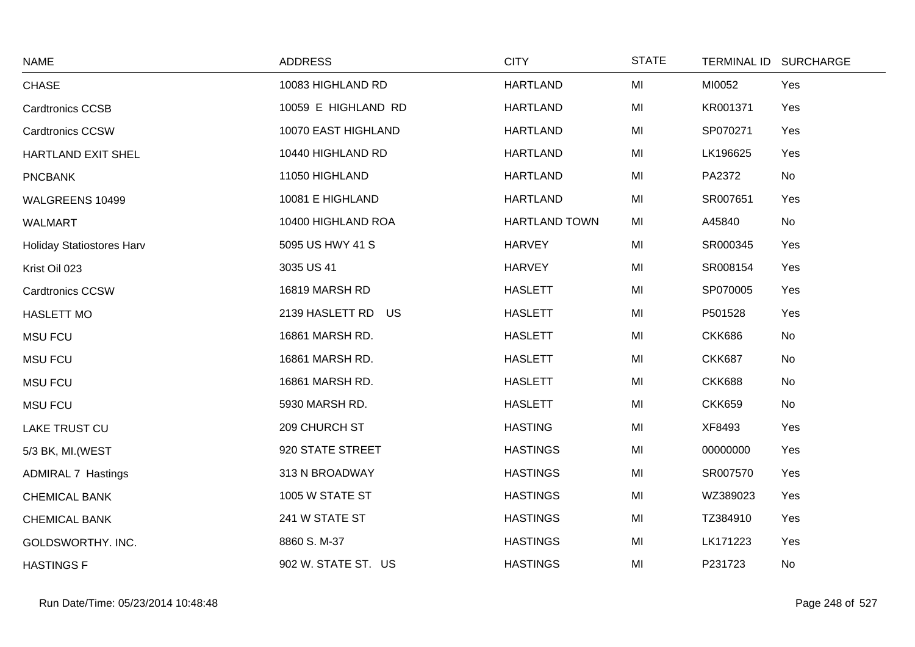| <b>NAME</b>                      | <b>ADDRESS</b>      | <b>CITY</b>          | <b>STATE</b> | <b>TERMINAL ID</b> | <b>SURCHARGE</b> |
|----------------------------------|---------------------|----------------------|--------------|--------------------|------------------|
| <b>CHASE</b>                     | 10083 HIGHLAND RD   | <b>HARTLAND</b>      | MI           | MI0052             | Yes              |
| <b>Cardtronics CCSB</b>          | 10059 E HIGHLAND RD | <b>HARTLAND</b>      | MI           | KR001371           | Yes              |
| <b>Cardtronics CCSW</b>          | 10070 EAST HIGHLAND | <b>HARTLAND</b>      | MI           | SP070271           | Yes              |
| HARTLAND EXIT SHEL               | 10440 HIGHLAND RD   | <b>HARTLAND</b>      | MI           | LK196625           | Yes              |
| <b>PNCBANK</b>                   | 11050 HIGHLAND      | <b>HARTLAND</b>      | MI           | PA2372             | No               |
| WALGREENS 10499                  | 10081 E HIGHLAND    | <b>HARTLAND</b>      | MI           | SR007651           | Yes              |
| WALMART                          | 10400 HIGHLAND ROA  | <b>HARTLAND TOWN</b> | MI           | A45840             | No               |
| <b>Holiday Statiostores Harv</b> | 5095 US HWY 41 S    | <b>HARVEY</b>        | MI           | SR000345           | Yes              |
| Krist Oil 023                    | 3035 US 41          | <b>HARVEY</b>        | MI           | SR008154           | Yes              |
| <b>Cardtronics CCSW</b>          | 16819 MARSH RD      | <b>HASLETT</b>       | MI           | SP070005           | Yes              |
| <b>HASLETT MO</b>                | 2139 HASLETT RD US  | <b>HASLETT</b>       | MI           | P501528            | Yes              |
| <b>MSU FCU</b>                   | 16861 MARSH RD.     | <b>HASLETT</b>       | MI           | <b>CKK686</b>      | No               |
| <b>MSU FCU</b>                   | 16861 MARSH RD.     | <b>HASLETT</b>       | MI           | <b>CKK687</b>      | No               |
| <b>MSU FCU</b>                   | 16861 MARSH RD.     | <b>HASLETT</b>       | MI           | <b>CKK688</b>      | No               |
| <b>MSU FCU</b>                   | 5930 MARSH RD.      | <b>HASLETT</b>       | MI           | <b>CKK659</b>      | No               |
| <b>LAKE TRUST CU</b>             | 209 CHURCH ST       | <b>HASTING</b>       | MI           | XF8493             | Yes              |
| 5/3 BK, MI. (WEST                | 920 STATE STREET    | <b>HASTINGS</b>      | MI           | 00000000           | Yes              |
| <b>ADMIRAL 7 Hastings</b>        | 313 N BROADWAY      | <b>HASTINGS</b>      | MI           | SR007570           | Yes              |
| <b>CHEMICAL BANK</b>             | 1005 W STATE ST     | <b>HASTINGS</b>      | MI           | WZ389023           | Yes              |
| <b>CHEMICAL BANK</b>             | 241 W STATE ST      | <b>HASTINGS</b>      | MI           | TZ384910           | Yes              |
| GOLDSWORTHY. INC.                | 8860 S.M-37         | <b>HASTINGS</b>      | MI           | LK171223           | Yes              |
| <b>HASTINGS F</b>                | 902 W. STATE ST. US | <b>HASTINGS</b>      | MI           | P231723            | No               |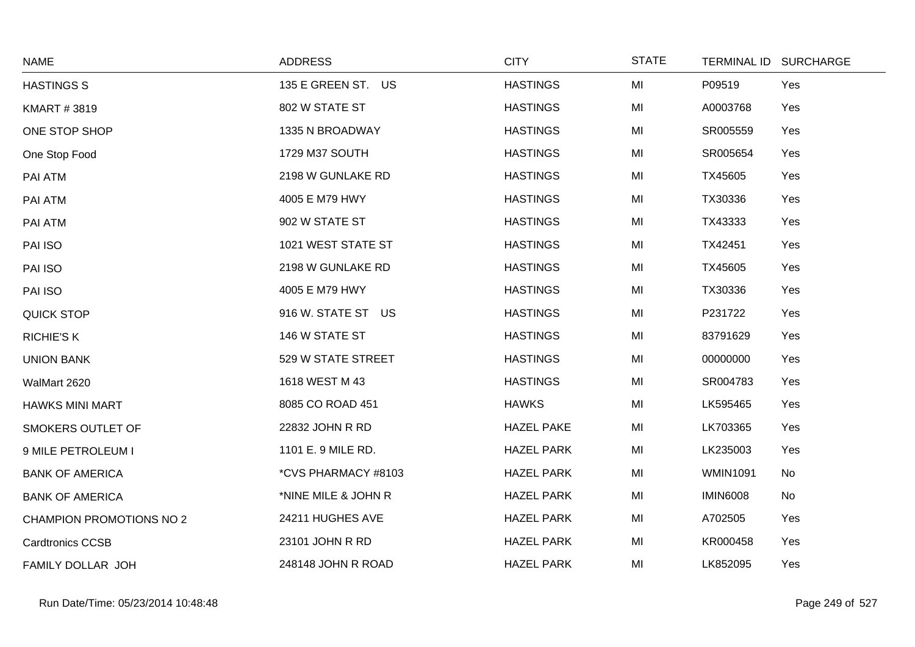| <b>NAME</b>                     | <b>ADDRESS</b>      | <b>CITY</b>       | <b>STATE</b> |                 | TERMINAL ID SURCHARGE |
|---------------------------------|---------------------|-------------------|--------------|-----------------|-----------------------|
| <b>HASTINGS S</b>               | 135 E GREEN ST. US  | <b>HASTINGS</b>   | MI           | P09519          | Yes                   |
| <b>KMART #3819</b>              | 802 W STATE ST      | <b>HASTINGS</b>   | MI           | A0003768        | Yes                   |
| ONE STOP SHOP                   | 1335 N BROADWAY     | <b>HASTINGS</b>   | MI           | SR005559        | Yes                   |
| One Stop Food                   | 1729 M37 SOUTH      | <b>HASTINGS</b>   | MI           | SR005654        | Yes                   |
| PAI ATM                         | 2198 W GUNLAKE RD   | <b>HASTINGS</b>   | MI           | TX45605         | Yes                   |
| PAI ATM                         | 4005 E M79 HWY      | <b>HASTINGS</b>   | MI           | TX30336         | Yes                   |
| PAI ATM                         | 902 W STATE ST      | <b>HASTINGS</b>   | MI           | TX43333         | Yes                   |
| PAI ISO                         | 1021 WEST STATE ST  | <b>HASTINGS</b>   | MI           | TX42451         | Yes                   |
| PAI ISO                         | 2198 W GUNLAKE RD   | <b>HASTINGS</b>   | MI           | TX45605         | Yes                   |
| PAI ISO                         | 4005 E M79 HWY      | <b>HASTINGS</b>   | MI           | TX30336         | Yes                   |
| <b>QUICK STOP</b>               | 916 W. STATE ST US  | <b>HASTINGS</b>   | MI           | P231722         | Yes                   |
| <b>RICHIE'S K</b>               | 146 W STATE ST      | <b>HASTINGS</b>   | MI           | 83791629        | Yes                   |
| <b>UNION BANK</b>               | 529 W STATE STREET  | <b>HASTINGS</b>   | MI           | 00000000        | Yes                   |
| WalMart 2620                    | 1618 WEST M 43      | <b>HASTINGS</b>   | MI           | SR004783        | Yes                   |
| <b>HAWKS MINI MART</b>          | 8085 CO ROAD 451    | <b>HAWKS</b>      | MI           | LK595465        | Yes                   |
| SMOKERS OUTLET OF               | 22832 JOHN R RD     | <b>HAZEL PAKE</b> | MI           | LK703365        | Yes                   |
| 9 MILE PETROLEUM I              | 1101 E. 9 MILE RD.  | <b>HAZEL PARK</b> | MI           | LK235003        | Yes                   |
| <b>BANK OF AMERICA</b>          | *CVS PHARMACY #8103 | <b>HAZEL PARK</b> | MI           | <b>WMIN1091</b> | No                    |
| <b>BANK OF AMERICA</b>          | *NINE MILE & JOHN R | <b>HAZEL PARK</b> | MI           | <b>IMIN6008</b> | No                    |
| <b>CHAMPION PROMOTIONS NO 2</b> | 24211 HUGHES AVE    | <b>HAZEL PARK</b> | MI           | A702505         | Yes                   |
| <b>Cardtronics CCSB</b>         | 23101 JOHN R RD     | <b>HAZEL PARK</b> | MI           | KR000458        | Yes                   |
| FAMILY DOLLAR JOH               | 248148 JOHN R ROAD  | <b>HAZEL PARK</b> | MI           | LK852095        | Yes                   |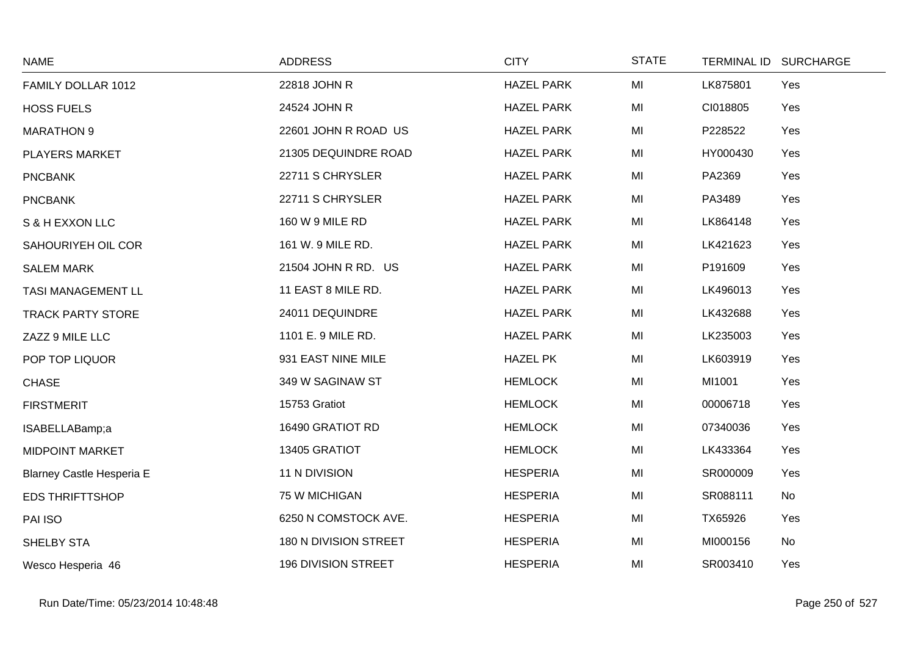| <b>NAME</b>               | <b>ADDRESS</b>             | <b>CITY</b>       | <b>STATE</b> | <b>TERMINAL ID</b> | <b>SURCHARGE</b> |
|---------------------------|----------------------------|-------------------|--------------|--------------------|------------------|
| FAMILY DOLLAR 1012        | 22818 JOHN R               | <b>HAZEL PARK</b> | MI           | LK875801           | Yes              |
| <b>HOSS FUELS</b>         | 24524 JOHN R               | <b>HAZEL PARK</b> | MI           | CI018805           | Yes              |
| <b>MARATHON 9</b>         | 22601 JOHN R ROAD US       | <b>HAZEL PARK</b> | MI           | P228522            | Yes              |
| <b>PLAYERS MARKET</b>     | 21305 DEQUINDRE ROAD       | <b>HAZEL PARK</b> | MI           | HY000430           | Yes              |
| <b>PNCBANK</b>            | 22711 S CHRYSLER           | <b>HAZEL PARK</b> | MI           | PA2369             | Yes              |
| <b>PNCBANK</b>            | 22711 S CHRYSLER           | <b>HAZEL PARK</b> | MI           | PA3489             | Yes              |
| S & H EXXON LLC           | 160 W 9 MILE RD            | <b>HAZEL PARK</b> | MI           | LK864148           | Yes              |
| SAHOURIYEH OIL COR        | 161 W. 9 MILE RD.          | <b>HAZEL PARK</b> | MI           | LK421623           | Yes              |
| <b>SALEM MARK</b>         | 21504 JOHN R RD. US        | <b>HAZEL PARK</b> | MI           | P191609            | Yes              |
| TASI MANAGEMENT LL        | 11 EAST 8 MILE RD.         | <b>HAZEL PARK</b> | MI           | LK496013           | Yes              |
| <b>TRACK PARTY STORE</b>  | 24011 DEQUINDRE            | <b>HAZEL PARK</b> | MI           | LK432688           | Yes              |
| ZAZZ 9 MILE LLC           | 1101 E. 9 MILE RD.         | <b>HAZEL PARK</b> | MI           | LK235003           | Yes              |
| POP TOP LIQUOR            | 931 EAST NINE MILE         | <b>HAZEL PK</b>   | MI           | LK603919           | Yes              |
| <b>CHASE</b>              | 349 W SAGINAW ST           | <b>HEMLOCK</b>    | MI           | MI1001             | Yes              |
| <b>FIRSTMERIT</b>         | 15753 Gratiot              | <b>HEMLOCK</b>    | MI           | 00006718           | Yes              |
| ISABELLABamp;a            | 16490 GRATIOT RD           | <b>HEMLOCK</b>    | MI           | 07340036           | Yes              |
| <b>MIDPOINT MARKET</b>    | 13405 GRATIOT              | <b>HEMLOCK</b>    | MI           | LK433364           | Yes              |
| Blarney Castle Hesperia E | 11 N DIVISION              | <b>HESPERIA</b>   | MI           | SR000009           | Yes              |
| <b>EDS THRIFTTSHOP</b>    | 75 W MICHIGAN              | <b>HESPERIA</b>   | MI           | SR088111           | No               |
| PAI ISO                   | 6250 N COMSTOCK AVE.       | <b>HESPERIA</b>   | MI           | TX65926            | Yes              |
| SHELBY STA                | 180 N DIVISION STREET      | <b>HESPERIA</b>   | MI           | MI000156           | No               |
| Wesco Hesperia 46         | <b>196 DIVISION STREET</b> | <b>HESPERIA</b>   | MI           | SR003410           | Yes              |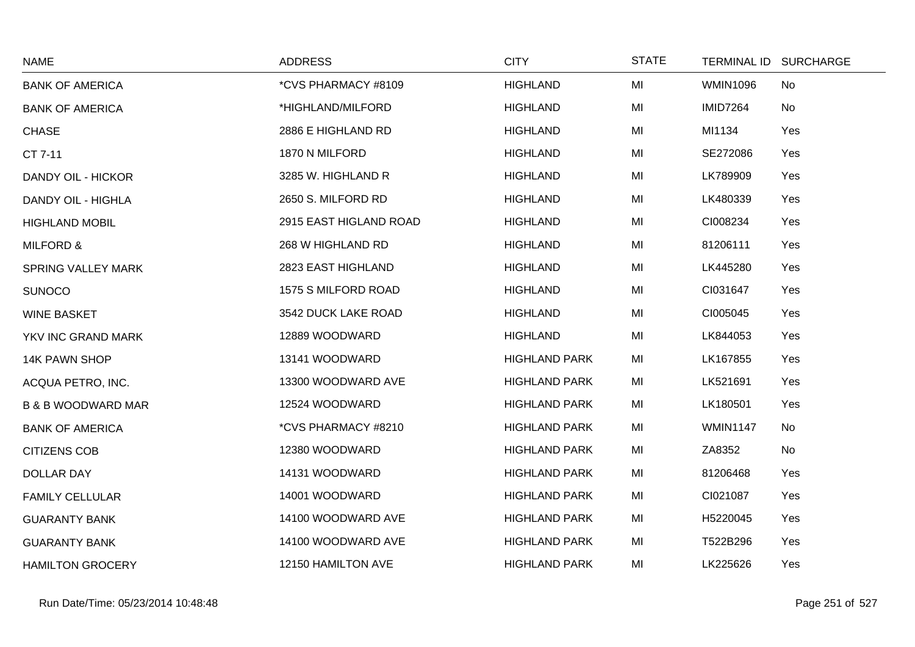| <b>NAME</b>                   | <b>ADDRESS</b>         | <b>CITY</b>          | <b>STATE</b> |                 | TERMINAL ID SURCHARGE |
|-------------------------------|------------------------|----------------------|--------------|-----------------|-----------------------|
| <b>BANK OF AMERICA</b>        | *CVS PHARMACY #8109    | <b>HIGHLAND</b>      | MI           | <b>WMIN1096</b> | No                    |
| <b>BANK OF AMERICA</b>        | *HIGHLAND/MILFORD      | <b>HIGHLAND</b>      | MI           | <b>IMID7264</b> | No                    |
| <b>CHASE</b>                  | 2886 E HIGHLAND RD     | <b>HIGHLAND</b>      | MI           | MI1134          | Yes                   |
| CT 7-11                       | 1870 N MILFORD         | <b>HIGHLAND</b>      | MI           | SE272086        | Yes                   |
| DANDY OIL - HICKOR            | 3285 W. HIGHLAND R     | <b>HIGHLAND</b>      | MI           | LK789909        | Yes                   |
| DANDY OIL - HIGHLA            | 2650 S. MILFORD RD     | <b>HIGHLAND</b>      | MI           | LK480339        | Yes                   |
| <b>HIGHLAND MOBIL</b>         | 2915 EAST HIGLAND ROAD | <b>HIGHLAND</b>      | MI           | CI008234        | Yes                   |
| <b>MILFORD &amp;</b>          | 268 W HIGHLAND RD      | <b>HIGHLAND</b>      | MI           | 81206111        | Yes                   |
| <b>SPRING VALLEY MARK</b>     | 2823 EAST HIGHLAND     | <b>HIGHLAND</b>      | MI           | LK445280        | Yes                   |
| <b>SUNOCO</b>                 | 1575 S MILFORD ROAD    | <b>HIGHLAND</b>      | MI           | CI031647        | Yes                   |
| <b>WINE BASKET</b>            | 3542 DUCK LAKE ROAD    | <b>HIGHLAND</b>      | MI           | CI005045        | Yes                   |
| YKV INC GRAND MARK            | 12889 WOODWARD         | <b>HIGHLAND</b>      | MI           | LK844053        | Yes                   |
| 14K PAWN SHOP                 | 13141 WOODWARD         | <b>HIGHLAND PARK</b> | MI           | LK167855        | Yes                   |
| ACQUA PETRO, INC.             | 13300 WOODWARD AVE     | <b>HIGHLAND PARK</b> | MI           | LK521691        | Yes                   |
| <b>B &amp; B WOODWARD MAR</b> | 12524 WOODWARD         | <b>HIGHLAND PARK</b> | MI           | LK180501        | Yes                   |
| <b>BANK OF AMERICA</b>        | *CVS PHARMACY #8210    | <b>HIGHLAND PARK</b> | MI           | <b>WMIN1147</b> | No                    |
| <b>CITIZENS COB</b>           | 12380 WOODWARD         | <b>HIGHLAND PARK</b> | MI           | ZA8352          | No                    |
| <b>DOLLAR DAY</b>             | 14131 WOODWARD         | <b>HIGHLAND PARK</b> | MI           | 81206468        | Yes                   |
| <b>FAMILY CELLULAR</b>        | 14001 WOODWARD         | <b>HIGHLAND PARK</b> | MI           | CI021087        | Yes                   |
| <b>GUARANTY BANK</b>          | 14100 WOODWARD AVE     | <b>HIGHLAND PARK</b> | MI           | H5220045        | Yes                   |
| <b>GUARANTY BANK</b>          | 14100 WOODWARD AVE     | <b>HIGHLAND PARK</b> | MI           | T522B296        | Yes                   |
| <b>HAMILTON GROCERY</b>       | 12150 HAMILTON AVE     | <b>HIGHLAND PARK</b> | MI           | LK225626        | Yes                   |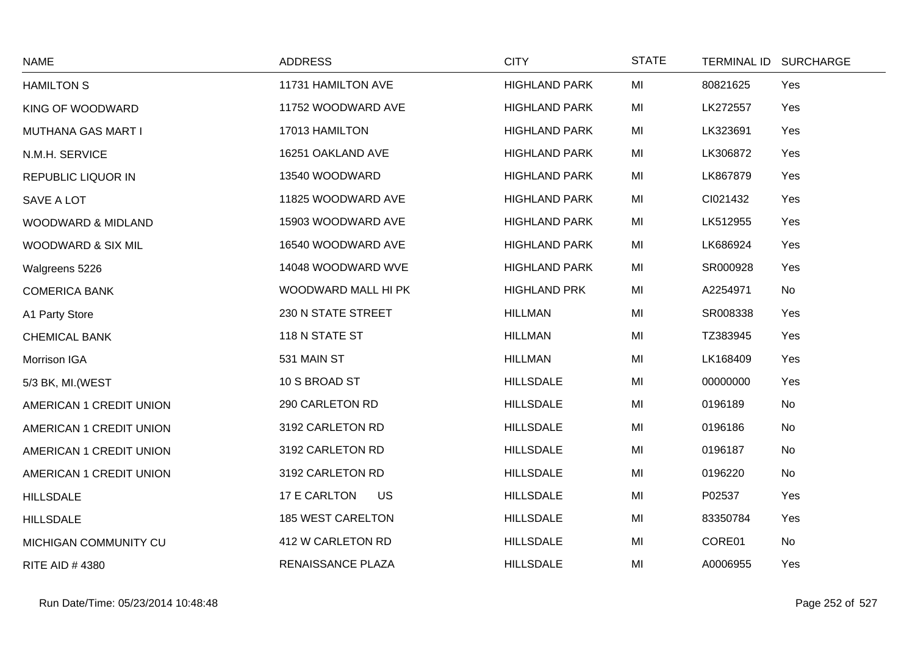| <b>NAME</b>               | <b>ADDRESS</b>            | <b>CITY</b>          | <b>STATE</b> | TERMINAL ID SURCHARGE |  |
|---------------------------|---------------------------|----------------------|--------------|-----------------------|--|
| <b>HAMILTON S</b>         | 11731 HAMILTON AVE        | <b>HIGHLAND PARK</b> | MI           | Yes<br>80821625       |  |
| KING OF WOODWARD          | 11752 WOODWARD AVE        | <b>HIGHLAND PARK</b> | MI           | LK272557<br>Yes       |  |
| MUTHANA GAS MART I        | 17013 HAMILTON            | <b>HIGHLAND PARK</b> | MI           | LK323691<br>Yes       |  |
| N.M.H. SERVICE            | 16251 OAKLAND AVE         | <b>HIGHLAND PARK</b> | MI           | LK306872<br>Yes       |  |
| <b>REPUBLIC LIQUOR IN</b> | 13540 WOODWARD            | <b>HIGHLAND PARK</b> | MI           | LK867879<br>Yes       |  |
| SAVE A LOT                | 11825 WOODWARD AVE        | <b>HIGHLAND PARK</b> | MI           | CI021432<br>Yes       |  |
| WOODWARD & MIDLAND        | 15903 WOODWARD AVE        | <b>HIGHLAND PARK</b> | MI           | LK512955<br>Yes       |  |
| WOODWARD & SIX MIL        | 16540 WOODWARD AVE        | <b>HIGHLAND PARK</b> | MI           | LK686924<br>Yes       |  |
| Walgreens 5226            | 14048 WOODWARD WVE        | <b>HIGHLAND PARK</b> | MI           | SR000928<br>Yes       |  |
| <b>COMERICA BANK</b>      | WOODWARD MALL HI PK       | <b>HIGHLAND PRK</b>  | MI           | A2254971<br>No        |  |
| A1 Party Store            | 230 N STATE STREET        | <b>HILLMAN</b>       | MI           | SR008338<br>Yes       |  |
| <b>CHEMICAL BANK</b>      | 118 N STATE ST            | <b>HILLMAN</b>       | MI           | TZ383945<br>Yes       |  |
| Morrison IGA              | 531 MAIN ST               | <b>HILLMAN</b>       | MI           | LK168409<br>Yes       |  |
| 5/3 BK, MI. (WEST         | 10 S BROAD ST             | <b>HILLSDALE</b>     | MI           | 00000000<br>Yes       |  |
| AMERICAN 1 CREDIT UNION   | 290 CARLETON RD           | <b>HILLSDALE</b>     | MI           | No<br>0196189         |  |
| AMERICAN 1 CREDIT UNION   | 3192 CARLETON RD          | <b>HILLSDALE</b>     | MI           | 0196186<br>No         |  |
| AMERICAN 1 CREDIT UNION   | 3192 CARLETON RD          | <b>HILLSDALE</b>     | MI           | 0196187<br>No         |  |
| AMERICAN 1 CREDIT UNION   | 3192 CARLETON RD          | <b>HILLSDALE</b>     | MI           | 0196220<br>No         |  |
| <b>HILLSDALE</b>          | 17 E CARLTON<br><b>US</b> | <b>HILLSDALE</b>     | MI           | P02537<br>Yes         |  |
| <b>HILLSDALE</b>          | <b>185 WEST CARELTON</b>  | <b>HILLSDALE</b>     | MI           | 83350784<br>Yes       |  |
| MICHIGAN COMMUNITY CU     | 412 W CARLETON RD         | <b>HILLSDALE</b>     | MI           | CORE01<br>No          |  |
| <b>RITE AID #4380</b>     | RENAISSANCE PLAZA         | <b>HILLSDALE</b>     | MI           | A0006955<br>Yes       |  |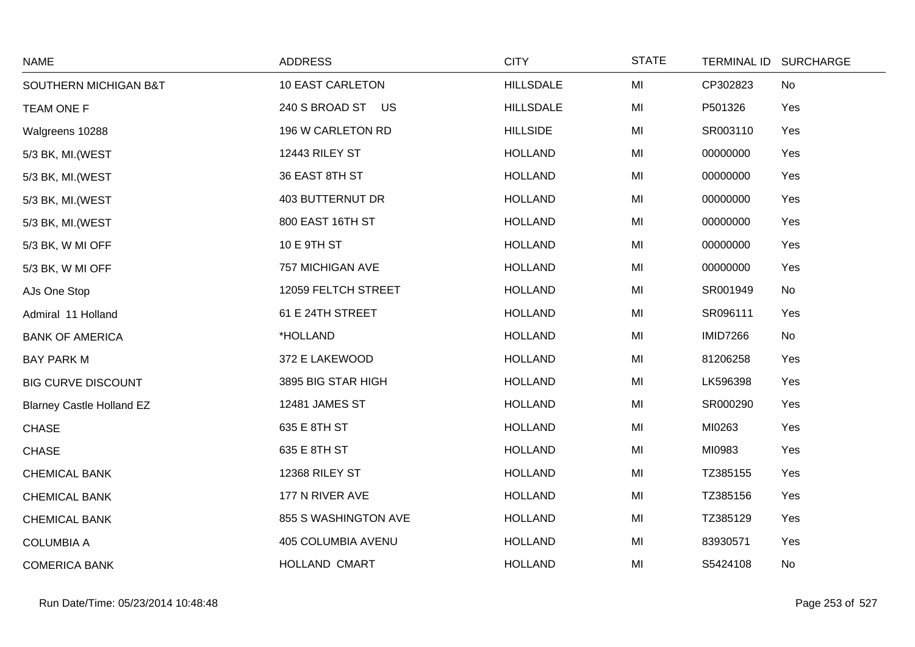| <b>NAME</b>                      | <b>ADDRESS</b>          | <b>CITY</b>      | <b>STATE</b> | <b>TERMINAL ID</b> | <b>SURCHARGE</b> |
|----------------------------------|-------------------------|------------------|--------------|--------------------|------------------|
| SOUTHERN MICHIGAN B&T            | <b>10 EAST CARLETON</b> | <b>HILLSDALE</b> | MI           | CP302823           | No               |
| <b>TEAM ONE F</b>                | 240 S BROAD ST US       | <b>HILLSDALE</b> | MI           | P501326            | Yes              |
| Walgreens 10288                  | 196 W CARLETON RD       | <b>HILLSIDE</b>  | MI           | SR003110           | Yes              |
| 5/3 BK, MI. (WEST                | 12443 RILEY ST          | <b>HOLLAND</b>   | MI           | 00000000           | Yes              |
| 5/3 BK, MI.(WEST                 | 36 EAST 8TH ST          | <b>HOLLAND</b>   | MI           | 00000000           | Yes              |
| 5/3 BK, MI. (WEST                | <b>403 BUTTERNUT DR</b> | <b>HOLLAND</b>   | MI           | 00000000           | Yes              |
| 5/3 BK, MI.(WEST                 | 800 EAST 16TH ST        | <b>HOLLAND</b>   | MI           | 00000000           | Yes              |
| 5/3 BK, W MI OFF                 | 10 E 9TH ST             | <b>HOLLAND</b>   | MI           | 00000000           | Yes              |
| 5/3 BK, W MI OFF                 | 757 MICHIGAN AVE        | <b>HOLLAND</b>   | MI           | 00000000           | Yes              |
| AJs One Stop                     | 12059 FELTCH STREET     | <b>HOLLAND</b>   | MI           | SR001949           | No               |
| Admiral 11 Holland               | 61 E 24TH STREET        | <b>HOLLAND</b>   | MI           | SR096111           | Yes              |
| <b>BANK OF AMERICA</b>           | *HOLLAND                | <b>HOLLAND</b>   | MI           | <b>IMID7266</b>    | No               |
| <b>BAY PARK M</b>                | 372 E LAKEWOOD          | <b>HOLLAND</b>   | MI           | 81206258           | Yes              |
| <b>BIG CURVE DISCOUNT</b>        | 3895 BIG STAR HIGH      | <b>HOLLAND</b>   | MI           | LK596398           | Yes              |
| <b>Blarney Castle Holland EZ</b> | 12481 JAMES ST          | <b>HOLLAND</b>   | MI           | SR000290           | Yes              |
| <b>CHASE</b>                     | 635 E 8TH ST            | <b>HOLLAND</b>   | MI           | MI0263             | Yes              |
| <b>CHASE</b>                     | 635 E 8TH ST            | <b>HOLLAND</b>   | MI           | MI0983             | Yes              |
| <b>CHEMICAL BANK</b>             | 12368 RILEY ST          | <b>HOLLAND</b>   | MI           | TZ385155           | Yes              |
| <b>CHEMICAL BANK</b>             | 177 N RIVER AVE         | <b>HOLLAND</b>   | MI           | TZ385156           | Yes              |
| <b>CHEMICAL BANK</b>             | 855 S WASHINGTON AVE    | <b>HOLLAND</b>   | MI           | TZ385129           | Yes              |
| <b>COLUMBIA A</b>                | 405 COLUMBIA AVENU      | <b>HOLLAND</b>   | MI           | 83930571           | Yes              |
| <b>COMERICA BANK</b>             | HOLLAND CMART           | <b>HOLLAND</b>   | MI           | S5424108           | No               |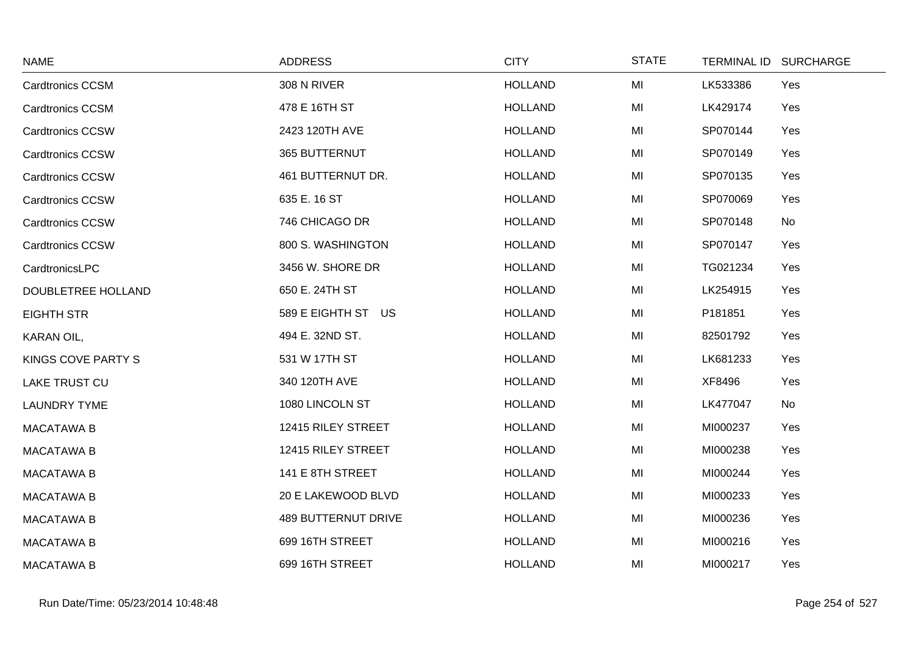| <b>NAME</b>             | <b>ADDRESS</b>             | <b>CITY</b>    | <b>STATE</b> | TERMINAL ID SURCHARGE |
|-------------------------|----------------------------|----------------|--------------|-----------------------|
| <b>Cardtronics CCSM</b> | 308 N RIVER                | <b>HOLLAND</b> | MI           | LK533386<br>Yes       |
| <b>Cardtronics CCSM</b> | 478 E 16TH ST              | <b>HOLLAND</b> | MI           | LK429174<br>Yes       |
| <b>Cardtronics CCSW</b> | 2423 120TH AVE             | <b>HOLLAND</b> | MI           | SP070144<br>Yes       |
| <b>Cardtronics CCSW</b> | 365 BUTTERNUT              | <b>HOLLAND</b> | MI           | SP070149<br>Yes       |
| <b>Cardtronics CCSW</b> | 461 BUTTERNUT DR.          | <b>HOLLAND</b> | MI           | SP070135<br>Yes       |
| <b>Cardtronics CCSW</b> | 635 E. 16 ST               | <b>HOLLAND</b> | MI           | SP070069<br>Yes       |
| <b>Cardtronics CCSW</b> | 746 CHICAGO DR             | <b>HOLLAND</b> | MI           | SP070148<br>No        |
| <b>Cardtronics CCSW</b> | 800 S. WASHINGTON          | <b>HOLLAND</b> | MI           | SP070147<br>Yes       |
| CardtronicsLPC          | 3456 W. SHORE DR           | <b>HOLLAND</b> | MI           | TG021234<br>Yes       |
| DOUBLETREE HOLLAND      | 650 E. 24TH ST             | <b>HOLLAND</b> | MI           | LK254915<br>Yes       |
| <b>EIGHTH STR</b>       | 589 E EIGHTH ST US         | <b>HOLLAND</b> | MI           | P181851<br>Yes        |
| KARAN OIL,              | 494 E. 32ND ST.            | <b>HOLLAND</b> | MI           | Yes<br>82501792       |
| KINGS COVE PARTY S      | 531 W 17TH ST              | <b>HOLLAND</b> | MI           | LK681233<br>Yes       |
| LAKE TRUST CU           | 340 120TH AVE              | <b>HOLLAND</b> | MI           | XF8496<br>Yes         |
| <b>LAUNDRY TYME</b>     | 1080 LINCOLN ST            | <b>HOLLAND</b> | MI           | LK477047<br>No        |
| <b>MACATAWA B</b>       | 12415 RILEY STREET         | <b>HOLLAND</b> | MI           | MI000237<br>Yes       |
| <b>MACATAWA B</b>       | 12415 RILEY STREET         | <b>HOLLAND</b> | MI           | MI000238<br>Yes       |
| <b>MACATAWA B</b>       | 141 E 8TH STREET           | <b>HOLLAND</b> | MI           | MI000244<br>Yes       |
| <b>MACATAWA B</b>       | 20 E LAKEWOOD BLVD         | <b>HOLLAND</b> | MI           | MI000233<br>Yes       |
| <b>MACATAWA B</b>       | <b>489 BUTTERNUT DRIVE</b> | <b>HOLLAND</b> | MI           | MI000236<br>Yes       |
| <b>MACATAWA B</b>       | 699 16TH STREET            | <b>HOLLAND</b> | MI           | MI000216<br>Yes       |
| <b>MACATAWA B</b>       | 699 16TH STREET            | <b>HOLLAND</b> | MI           | MI000217<br>Yes       |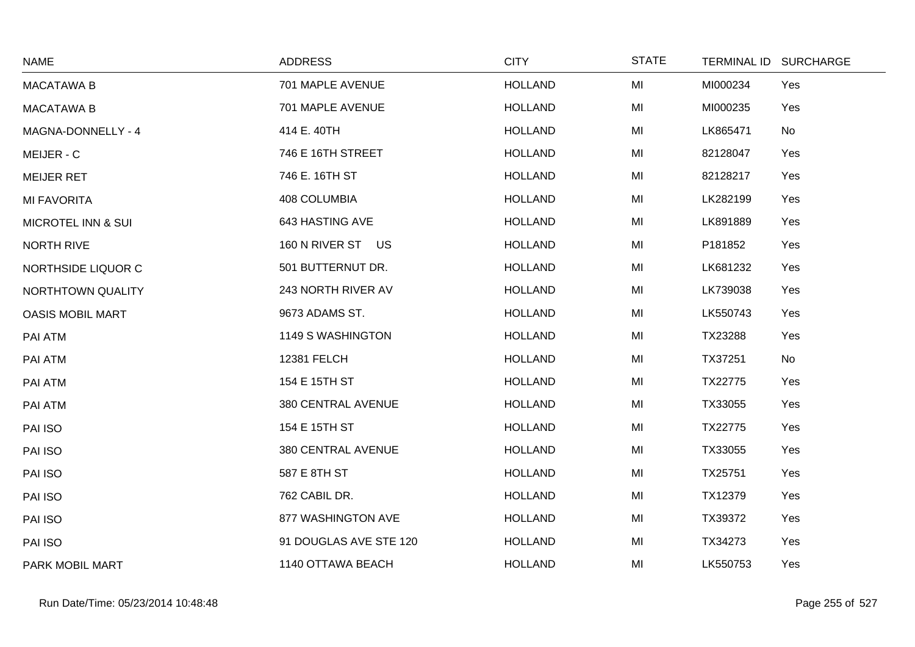| <b>NAME</b>                   | <b>ADDRESS</b>         | <b>CITY</b>    | <b>STATE</b> | <b>TERMINAL ID</b> | <b>SURCHARGE</b> |
|-------------------------------|------------------------|----------------|--------------|--------------------|------------------|
| <b>MACATAWA B</b>             | 701 MAPLE AVENUE       | <b>HOLLAND</b> | MI           | MI000234           | Yes              |
| <b>MACATAWA B</b>             | 701 MAPLE AVENUE       | <b>HOLLAND</b> | MI           | MI000235           | Yes              |
| MAGNA-DONNELLY - 4            | 414 E. 40TH            | <b>HOLLAND</b> | MI           | LK865471           | No               |
| MEIJER - C                    | 746 E 16TH STREET      | <b>HOLLAND</b> | MI           | 82128047           | Yes              |
| <b>MEIJER RET</b>             | 746 E. 16TH ST         | <b>HOLLAND</b> | MI           | 82128217           | Yes              |
| <b>MI FAVORITA</b>            | 408 COLUMBIA           | <b>HOLLAND</b> | MI           | LK282199           | Yes              |
| <b>MICROTEL INN &amp; SUI</b> | 643 HASTING AVE        | <b>HOLLAND</b> | MI           | LK891889           | Yes              |
| <b>NORTH RIVE</b>             | 160 N RIVER ST US      | <b>HOLLAND</b> | MI           | P181852            | Yes              |
| NORTHSIDE LIQUOR C            | 501 BUTTERNUT DR.      | <b>HOLLAND</b> | MI           | LK681232           | Yes              |
| NORTHTOWN QUALITY             | 243 NORTH RIVER AV     | <b>HOLLAND</b> | MI           | LK739038           | Yes              |
| <b>OASIS MOBIL MART</b>       | 9673 ADAMS ST.         | <b>HOLLAND</b> | MI           | LK550743           | Yes              |
| PAI ATM                       | 1149 S WASHINGTON      | <b>HOLLAND</b> | MI           | TX23288            | Yes              |
| PAI ATM                       | <b>12381 FELCH</b>     | <b>HOLLAND</b> | MI           | TX37251            | No               |
| PAI ATM                       | 154 E 15TH ST          | <b>HOLLAND</b> | MI           | TX22775            | Yes              |
| PAI ATM                       | 380 CENTRAL AVENUE     | <b>HOLLAND</b> | MI           | TX33055            | Yes              |
| PAI ISO                       | 154 E 15TH ST          | <b>HOLLAND</b> | MI           | TX22775            | Yes              |
| PAI ISO                       | 380 CENTRAL AVENUE     | <b>HOLLAND</b> | MI           | TX33055            | Yes              |
| PAI ISO                       | 587 E 8TH ST           | <b>HOLLAND</b> | MI           | TX25751            | Yes              |
| PAI ISO                       | 762 CABIL DR.          | <b>HOLLAND</b> | MI           | TX12379            | Yes              |
| PAI ISO                       | 877 WASHINGTON AVE     | <b>HOLLAND</b> | MI           | TX39372            | Yes              |
| PAI ISO                       | 91 DOUGLAS AVE STE 120 | <b>HOLLAND</b> | MI           | TX34273            | Yes              |
| PARK MOBIL MART               | 1140 OTTAWA BEACH      | <b>HOLLAND</b> | MI           | LK550753           | Yes              |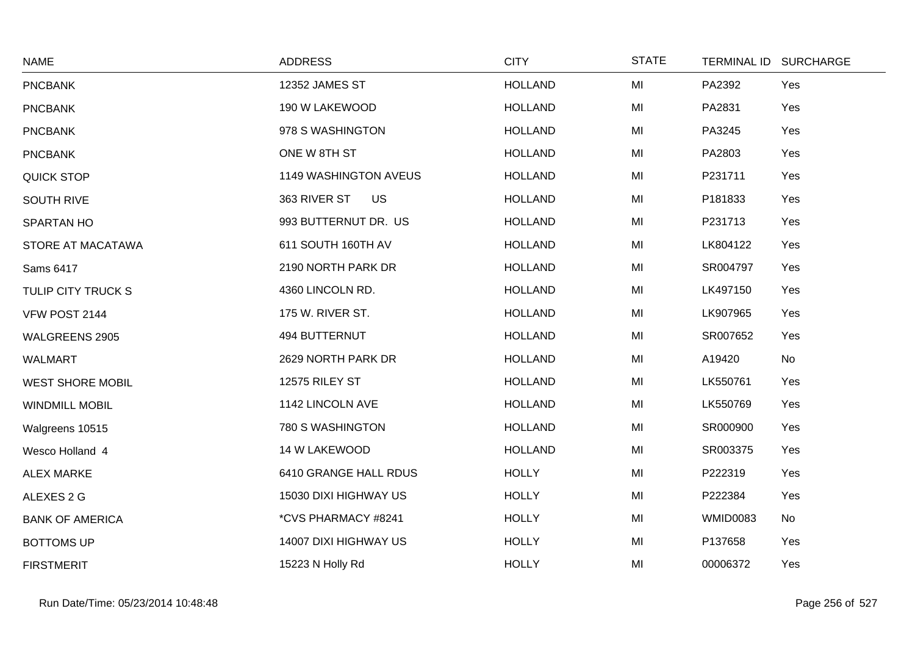| <b>NAME</b>              | <b>ADDRESS</b>            | <b>CITY</b>    | <b>STATE</b> |                 | TERMINAL ID SURCHARGE |
|--------------------------|---------------------------|----------------|--------------|-----------------|-----------------------|
| <b>PNCBANK</b>           | 12352 JAMES ST            | <b>HOLLAND</b> | MI           | PA2392          | Yes                   |
| <b>PNCBANK</b>           | 190 W LAKEWOOD            | <b>HOLLAND</b> | MI           | PA2831          | Yes                   |
| <b>PNCBANK</b>           | 978 S WASHINGTON          | <b>HOLLAND</b> | MI           | PA3245          | Yes                   |
| <b>PNCBANK</b>           | ONE W 8TH ST              | <b>HOLLAND</b> | MI           | PA2803          | Yes                   |
| <b>QUICK STOP</b>        | 1149 WASHINGTON AVEUS     | <b>HOLLAND</b> | MI           | P231711         | Yes                   |
| <b>SOUTH RIVE</b>        | 363 RIVER ST<br><b>US</b> | <b>HOLLAND</b> | MI           | P181833         | Yes                   |
| <b>SPARTAN HO</b>        | 993 BUTTERNUT DR. US      | <b>HOLLAND</b> | MI           | P231713         | Yes                   |
| <b>STORE AT MACATAWA</b> | 611 SOUTH 160TH AV        | <b>HOLLAND</b> | MI           | LK804122        | Yes                   |
| Sams 6417                | 2190 NORTH PARK DR        | <b>HOLLAND</b> | MI           | SR004797        | Yes                   |
| TULIP CITY TRUCK S       | 4360 LINCOLN RD.          | <b>HOLLAND</b> | MI           | LK497150        | Yes                   |
| VFW POST 2144            | 175 W. RIVER ST.          | <b>HOLLAND</b> | MI           | LK907965        | Yes                   |
| WALGREENS 2905           | 494 BUTTERNUT             | <b>HOLLAND</b> | MI           | SR007652        | Yes                   |
| <b>WALMART</b>           | 2629 NORTH PARK DR        | <b>HOLLAND</b> | MI           | A19420          | No                    |
| <b>WEST SHORE MOBIL</b>  | 12575 RILEY ST            | <b>HOLLAND</b> | MI           | LK550761        | Yes                   |
| <b>WINDMILL MOBIL</b>    | 1142 LINCOLN AVE          | <b>HOLLAND</b> | MI           | LK550769        | Yes                   |
| Walgreens 10515          | 780 S WASHINGTON          | <b>HOLLAND</b> | MI           | SR000900        | Yes                   |
| Wesco Holland 4          | 14 W LAKEWOOD             | <b>HOLLAND</b> | MI           | SR003375        | Yes                   |
| <b>ALEX MARKE</b>        | 6410 GRANGE HALL RDUS     | <b>HOLLY</b>   | MI           | P222319         | Yes                   |
| ALEXES 2 G               | 15030 DIXI HIGHWAY US     | <b>HOLLY</b>   | MI           | P222384         | Yes                   |
| <b>BANK OF AMERICA</b>   | *CVS PHARMACY #8241       | <b>HOLLY</b>   | MI           | <b>WMID0083</b> | No                    |
| <b>BOTTOMS UP</b>        | 14007 DIXI HIGHWAY US     | <b>HOLLY</b>   | MI           | P137658         | Yes                   |
| <b>FIRSTMERIT</b>        | 15223 N Holly Rd          | <b>HOLLY</b>   | MI           | 00006372        | Yes                   |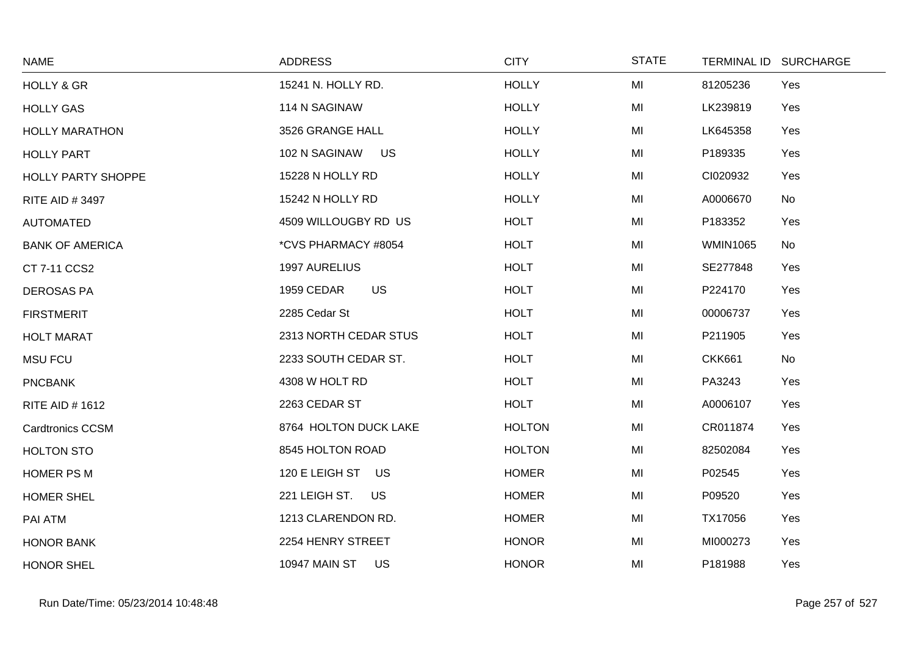| <b>NAME</b>             | <b>ADDRESS</b>                    | <b>CITY</b>   | <b>STATE</b> |                 | TERMINAL ID SURCHARGE |
|-------------------------|-----------------------------------|---------------|--------------|-----------------|-----------------------|
| <b>HOLLY &amp; GR</b>   | 15241 N. HOLLY RD.                | <b>HOLLY</b>  | MI           | 81205236        | Yes                   |
| <b>HOLLY GAS</b>        | 114 N SAGINAW                     | <b>HOLLY</b>  | MI           | LK239819        | Yes                   |
| <b>HOLLY MARATHON</b>   | 3526 GRANGE HALL                  | <b>HOLLY</b>  | MI           | LK645358        | Yes                   |
| <b>HOLLY PART</b>       | 102 N SAGINAW<br><b>US</b>        | <b>HOLLY</b>  | MI           | P189335         | Yes                   |
| HOLLY PARTY SHOPPE      | 15228 N HOLLY RD                  | <b>HOLLY</b>  | MI           | CI020932        | Yes                   |
| <b>RITE AID #3497</b>   | 15242 N HOLLY RD                  | <b>HOLLY</b>  | MI           | A0006670        | No                    |
| <b>AUTOMATED</b>        | 4509 WILLOUGBY RD US              | <b>HOLT</b>   | MI           | P183352         | Yes                   |
| <b>BANK OF AMERICA</b>  | *CVS PHARMACY #8054               | <b>HOLT</b>   | MI           | <b>WMIN1065</b> | No                    |
| CT 7-11 CCS2            | 1997 AURELIUS                     | <b>HOLT</b>   | MI           | SE277848        | Yes                   |
| <b>DEROSAS PA</b>       | 1959 CEDAR<br><b>US</b>           | <b>HOLT</b>   | MI           | P224170         | Yes                   |
| <b>FIRSTMERIT</b>       | 2285 Cedar St                     | <b>HOLT</b>   | MI           | 00006737        | Yes                   |
| <b>HOLT MARAT</b>       | 2313 NORTH CEDAR STUS             | <b>HOLT</b>   | MI           | P211905         | Yes                   |
| <b>MSU FCU</b>          | 2233 SOUTH CEDAR ST.              | <b>HOLT</b>   | MI           | <b>CKK661</b>   | No                    |
| <b>PNCBANK</b>          | 4308 W HOLT RD                    | <b>HOLT</b>   | MI           | PA3243          | Yes                   |
| <b>RITE AID #1612</b>   | 2263 CEDAR ST                     | <b>HOLT</b>   | MI           | A0006107        | Yes                   |
| <b>Cardtronics CCSM</b> | 8764 HOLTON DUCK LAKE             | <b>HOLTON</b> | MI           | CR011874        | Yes                   |
| <b>HOLTON STO</b>       | 8545 HOLTON ROAD                  | <b>HOLTON</b> | MI           | 82502084        | Yes                   |
| HOMER PS M              | 120 E LEIGH ST<br>US              | <b>HOMER</b>  | MI           | P02545          | Yes                   |
| <b>HOMER SHEL</b>       | 221 LEIGH ST.<br><b>US</b>        | <b>HOMER</b>  | MI           | P09520          | Yes                   |
| PAI ATM                 | 1213 CLARENDON RD.                | <b>HOMER</b>  | MI           | TX17056         | Yes                   |
| <b>HONOR BANK</b>       | 2254 HENRY STREET                 | <b>HONOR</b>  | MI           | MI000273        | Yes                   |
| <b>HONOR SHEL</b>       | <b>10947 MAIN ST</b><br><b>US</b> | <b>HONOR</b>  | MI           | P181988         | Yes                   |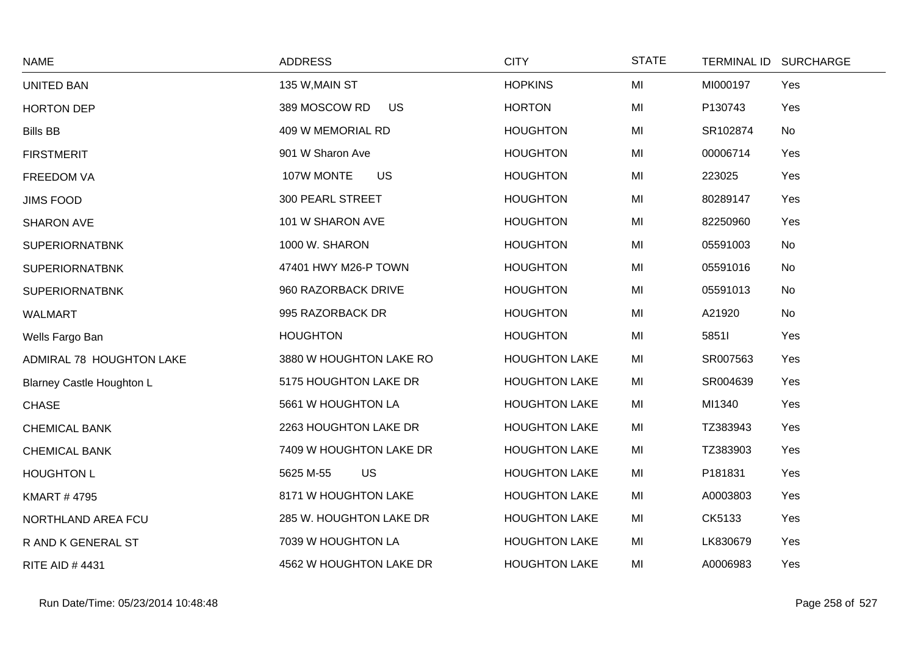| <b>NAME</b>                      | <b>ADDRESS</b>             | <b>CITY</b>          | <b>STATE</b> | TERMINAL ID SURCHARGE |     |
|----------------------------------|----------------------------|----------------------|--------------|-----------------------|-----|
| <b>UNITED BAN</b>                | 135 W, MAIN ST             | <b>HOPKINS</b>       | MI           | MI000197              | Yes |
| <b>HORTON DEP</b>                | <b>US</b><br>389 MOSCOW RD | <b>HORTON</b>        | MI           | P130743               | Yes |
| <b>Bills BB</b>                  | 409 W MEMORIAL RD          | <b>HOUGHTON</b>      | MI           | SR102874              | No  |
| <b>FIRSTMERIT</b>                | 901 W Sharon Ave           | <b>HOUGHTON</b>      | MI           | 00006714              | Yes |
| <b>FREEDOM VA</b>                | <b>US</b><br>107W MONTE    | <b>HOUGHTON</b>      | MI           | 223025                | Yes |
| <b>JIMS FOOD</b>                 | 300 PEARL STREET           | <b>HOUGHTON</b>      | MI           | 80289147              | Yes |
| <b>SHARON AVE</b>                | 101 W SHARON AVE           | <b>HOUGHTON</b>      | MI           | 82250960              | Yes |
| <b>SUPERIORNATBNK</b>            | 1000 W. SHARON             | <b>HOUGHTON</b>      | MI           | 05591003              | No  |
| <b>SUPERIORNATBNK</b>            | 47401 HWY M26-P TOWN       | <b>HOUGHTON</b>      | MI           | 05591016              | No  |
| <b>SUPERIORNATBNK</b>            | 960 RAZORBACK DRIVE        | <b>HOUGHTON</b>      | MI           | 05591013              | No  |
| <b>WALMART</b>                   | 995 RAZORBACK DR           | <b>HOUGHTON</b>      | MI           | A21920                | No  |
| Wells Fargo Ban                  | <b>HOUGHTON</b>            | <b>HOUGHTON</b>      | MI           | 58511                 | Yes |
| ADMIRAL 78 HOUGHTON LAKE         | 3880 W HOUGHTON LAKE RO    | <b>HOUGHTON LAKE</b> | MI           | SR007563              | Yes |
| <b>Blarney Castle Houghton L</b> | 5175 HOUGHTON LAKE DR      | <b>HOUGHTON LAKE</b> | MI           | SR004639              | Yes |
| <b>CHASE</b>                     | 5661 W HOUGHTON LA         | <b>HOUGHTON LAKE</b> | MI           | MI1340                | Yes |
| <b>CHEMICAL BANK</b>             | 2263 HOUGHTON LAKE DR      | <b>HOUGHTON LAKE</b> | MI           | TZ383943              | Yes |
| <b>CHEMICAL BANK</b>             | 7409 W HOUGHTON LAKE DR    | <b>HOUGHTON LAKE</b> | MI           | TZ383903              | Yes |
| <b>HOUGHTON L</b>                | <b>US</b><br>5625 M-55     | <b>HOUGHTON LAKE</b> | MI           | P181831               | Yes |
| <b>KMART #4795</b>               | 8171 W HOUGHTON LAKE       | <b>HOUGHTON LAKE</b> | MI           | A0003803              | Yes |
| NORTHLAND AREA FCU               | 285 W. HOUGHTON LAKE DR    | <b>HOUGHTON LAKE</b> | MI           | CK5133                | Yes |
| R AND K GENERAL ST               | 7039 W HOUGHTON LA         | <b>HOUGHTON LAKE</b> | MI           | LK830679              | Yes |
| <b>RITE AID #4431</b>            | 4562 W HOUGHTON LAKE DR    | <b>HOUGHTON LAKE</b> | MI           | A0006983              | Yes |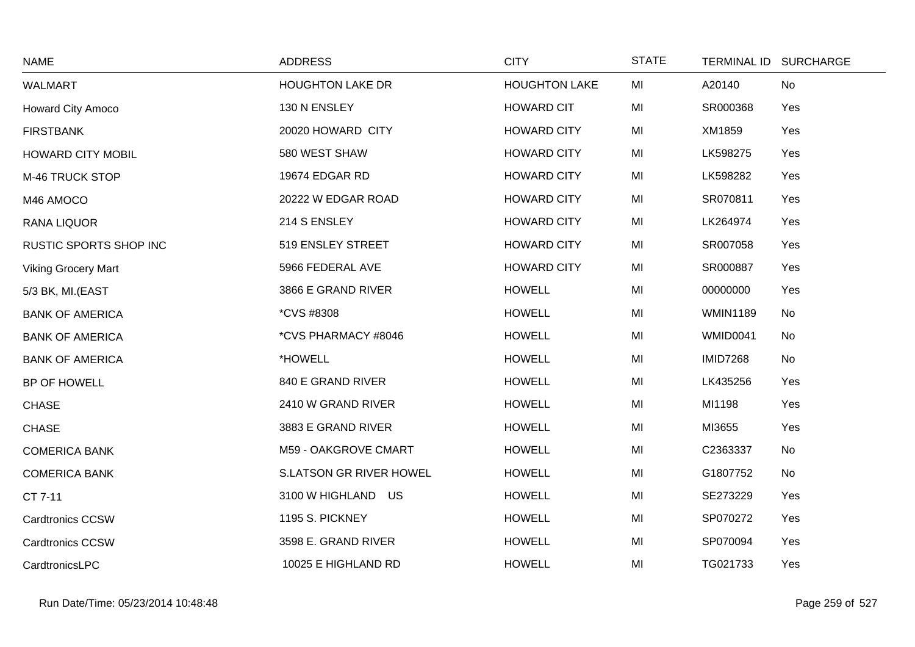| <b>NAME</b>                | <b>ADDRESS</b>           | <b>CITY</b>          | <b>STATE</b> |                 | TERMINAL ID SURCHARGE |
|----------------------------|--------------------------|----------------------|--------------|-----------------|-----------------------|
| <b>WALMART</b>             | <b>HOUGHTON LAKE DR</b>  | <b>HOUGHTON LAKE</b> | MI           | A20140          | No                    |
| <b>Howard City Amoco</b>   | 130 N ENSLEY             | <b>HOWARD CIT</b>    | MI           | SR000368        | Yes                   |
| <b>FIRSTBANK</b>           | 20020 HOWARD CITY        | <b>HOWARD CITY</b>   | MI           | XM1859          | Yes                   |
| <b>HOWARD CITY MOBIL</b>   | 580 WEST SHAW            | <b>HOWARD CITY</b>   | MI           | LK598275        | Yes                   |
| M-46 TRUCK STOP            | 19674 EDGAR RD           | <b>HOWARD CITY</b>   | MI           | LK598282        | Yes                   |
| M46 AMOCO                  | 20222 W EDGAR ROAD       | <b>HOWARD CITY</b>   | MI           | SR070811        | Yes                   |
| RANA LIQUOR                | 214 S ENSLEY             | <b>HOWARD CITY</b>   | MI           | LK264974        | Yes                   |
| RUSTIC SPORTS SHOP INC     | 519 ENSLEY STREET        | <b>HOWARD CITY</b>   | MI           | SR007058        | Yes                   |
| <b>Viking Grocery Mart</b> | 5966 FEDERAL AVE         | <b>HOWARD CITY</b>   | MI           | SR000887        | Yes                   |
| 5/3 BK, MI.(EAST           | 3866 E GRAND RIVER       | <b>HOWELL</b>        | MI           | 00000000        | Yes                   |
| <b>BANK OF AMERICA</b>     | <i><b>*CVS #8308</b></i> | <b>HOWELL</b>        | MI           | <b>WMIN1189</b> | No                    |
| <b>BANK OF AMERICA</b>     | *CVS PHARMACY #8046      | <b>HOWELL</b>        | MI           | <b>WMID0041</b> | No                    |
| <b>BANK OF AMERICA</b>     | *HOWELL                  | <b>HOWELL</b>        | MI           | <b>IMID7268</b> | No                    |
| BP OF HOWELL               | 840 E GRAND RIVER        | <b>HOWELL</b>        | MI           | LK435256        | Yes                   |
| <b>CHASE</b>               | 2410 W GRAND RIVER       | <b>HOWELL</b>        | MI           | MI1198          | Yes                   |
| <b>CHASE</b>               | 3883 E GRAND RIVER       | <b>HOWELL</b>        | MI           | MI3655          | Yes                   |
| <b>COMERICA BANK</b>       | M59 - OAKGROVE CMART     | <b>HOWELL</b>        | MI           | C2363337        | No                    |
| <b>COMERICA BANK</b>       | S.LATSON GR RIVER HOWEL  | <b>HOWELL</b>        | MI           | G1807752        | No                    |
| CT 7-11                    | 3100 W HIGHLAND US       | <b>HOWELL</b>        | MI           | SE273229        | Yes                   |
| <b>Cardtronics CCSW</b>    | 1195 S. PICKNEY          | <b>HOWELL</b>        | MI           | SP070272        | Yes                   |
| <b>Cardtronics CCSW</b>    | 3598 E. GRAND RIVER      | <b>HOWELL</b>        | MI           | SP070094        | Yes                   |
| CardtronicsLPC             | 10025 E HIGHLAND RD      | <b>HOWELL</b>        | MI           | TG021733        | Yes                   |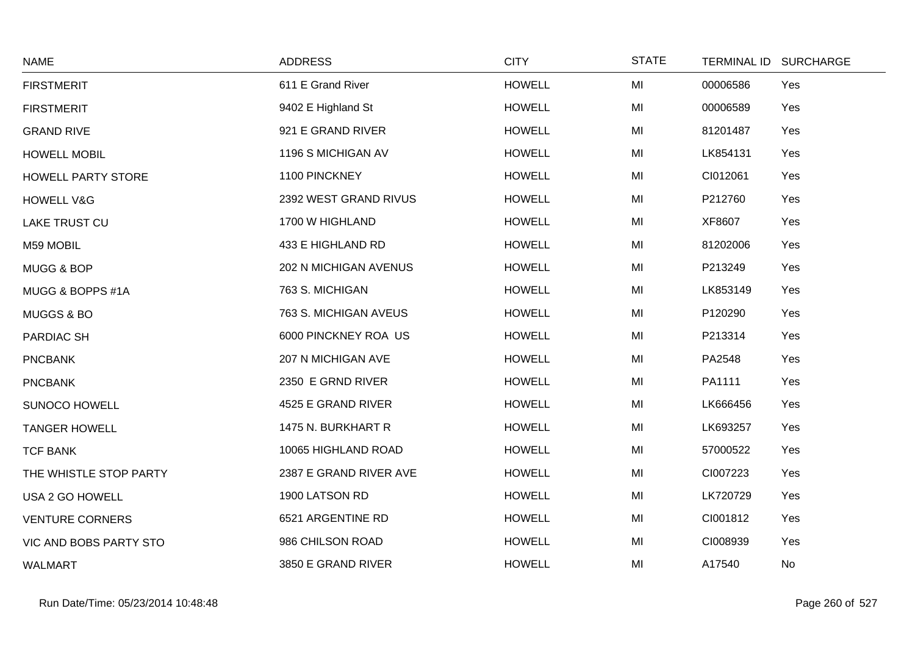| <b>NAME</b>               | <b>ADDRESS</b>               | <b>CITY</b>   | <b>STATE</b> | <b>TERMINAL ID</b> | <b>SURCHARGE</b> |
|---------------------------|------------------------------|---------------|--------------|--------------------|------------------|
| <b>FIRSTMERIT</b>         | 611 E Grand River            | <b>HOWELL</b> | MI           | 00006586           | Yes              |
| <b>FIRSTMERIT</b>         | 9402 E Highland St           | <b>HOWELL</b> | MI           | 00006589           | Yes              |
| <b>GRAND RIVE</b>         | 921 E GRAND RIVER            | <b>HOWELL</b> | MI           | 81201487           | Yes              |
| <b>HOWELL MOBIL</b>       | 1196 S MICHIGAN AV           | <b>HOWELL</b> | MI           | LK854131           | Yes              |
| <b>HOWELL PARTY STORE</b> | 1100 PINCKNEY                | <b>HOWELL</b> | MI           | CI012061           | Yes              |
| <b>HOWELL V&amp;G</b>     | 2392 WEST GRAND RIVUS        | <b>HOWELL</b> | MI           | P212760            | Yes              |
| <b>LAKE TRUST CU</b>      | 1700 W HIGHLAND              | <b>HOWELL</b> | MI           | XF8607             | Yes              |
| M59 MOBIL                 | 433 E HIGHLAND RD            | <b>HOWELL</b> | MI           | 81202006           | Yes              |
| MUGG & BOP                | <b>202 N MICHIGAN AVENUS</b> | <b>HOWELL</b> | MI           | P213249            | Yes              |
| MUGG & BOPPS #1A          | 763 S. MICHIGAN              | <b>HOWELL</b> | MI           | LK853149           | Yes              |
| <b>MUGGS &amp; BO</b>     | 763 S. MICHIGAN AVEUS        | <b>HOWELL</b> | MI           | P120290            | Yes              |
| PARDIAC SH                | 6000 PINCKNEY ROA US         | <b>HOWELL</b> | MI           | P213314            | Yes              |
| <b>PNCBANK</b>            | 207 N MICHIGAN AVE           | <b>HOWELL</b> | MI           | PA2548             | Yes              |
| <b>PNCBANK</b>            | 2350 E GRND RIVER            | <b>HOWELL</b> | MI           | PA1111             | Yes              |
| <b>SUNOCO HOWELL</b>      | 4525 E GRAND RIVER           | <b>HOWELL</b> | MI           | LK666456           | Yes              |
| <b>TANGER HOWELL</b>      | 1475 N. BURKHART R           | <b>HOWELL</b> | MI           | LK693257           | Yes              |
| <b>TCF BANK</b>           | 10065 HIGHLAND ROAD          | <b>HOWELL</b> | MI           | 57000522           | Yes              |
| THE WHISTLE STOP PARTY    | 2387 E GRAND RIVER AVE       | <b>HOWELL</b> | MI           | CI007223           | Yes              |
| USA 2 GO HOWELL           | 1900 LATSON RD               | <b>HOWELL</b> | MI           | LK720729           | Yes              |
| <b>VENTURE CORNERS</b>    | 6521 ARGENTINE RD            | <b>HOWELL</b> | MI           | CI001812           | Yes              |
| VIC AND BOBS PARTY STO    | 986 CHILSON ROAD             | <b>HOWELL</b> | MI           | CI008939           | Yes              |
| <b>WALMART</b>            | 3850 E GRAND RIVER           | <b>HOWELL</b> | MI           | A17540             | No               |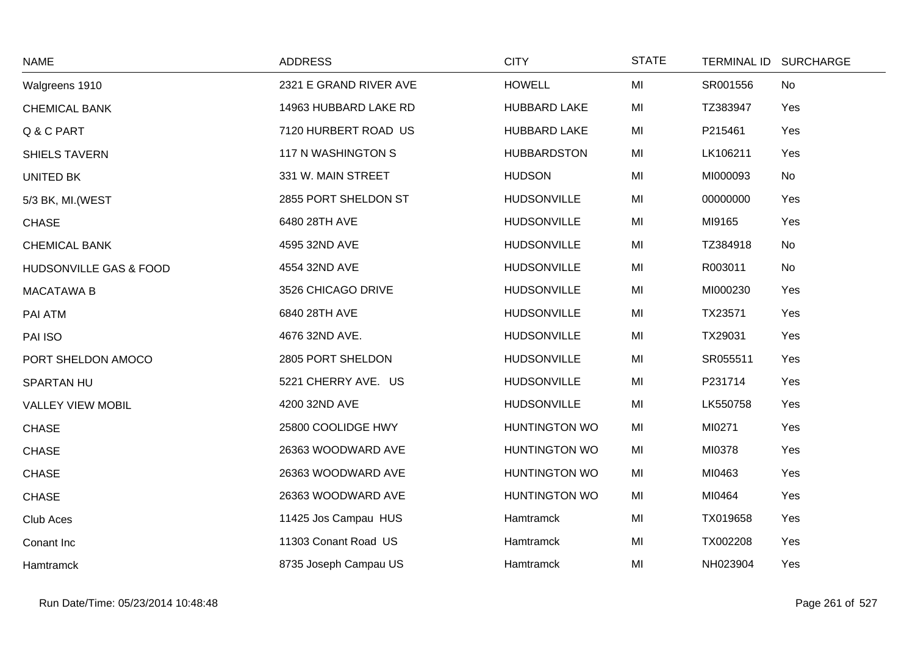| <b>NAME</b>              | <b>ADDRESS</b>         | <b>CITY</b>          | <b>STATE</b> |          | TERMINAL ID SURCHARGE |
|--------------------------|------------------------|----------------------|--------------|----------|-----------------------|
| Walgreens 1910           | 2321 E GRAND RIVER AVE | <b>HOWELL</b>        | MI           | SR001556 | No                    |
| <b>CHEMICAL BANK</b>     | 14963 HUBBARD LAKE RD  | <b>HUBBARD LAKE</b>  | MI           | TZ383947 | Yes                   |
| Q & C PART               | 7120 HURBERT ROAD US   | <b>HUBBARD LAKE</b>  | MI           | P215461  | Yes                   |
| <b>SHIELS TAVERN</b>     | 117 N WASHINGTON S     | <b>HUBBARDSTON</b>   | MI           | LK106211 | Yes                   |
| UNITED BK                | 331 W. MAIN STREET     | <b>HUDSON</b>        | MI           | MI000093 | No                    |
| 5/3 BK, MI. (WEST        | 2855 PORT SHELDON ST   | <b>HUDSONVILLE</b>   | MI           | 00000000 | Yes                   |
| <b>CHASE</b>             | 6480 28TH AVE          | <b>HUDSONVILLE</b>   | MI           | MI9165   | Yes                   |
| <b>CHEMICAL BANK</b>     | 4595 32ND AVE          | <b>HUDSONVILLE</b>   | MI           | TZ384918 | No                    |
| HUDSONVILLE GAS & FOOD   | 4554 32ND AVE          | <b>HUDSONVILLE</b>   | MI           | R003011  | No                    |
| <b>MACATAWA B</b>        | 3526 CHICAGO DRIVE     | <b>HUDSONVILLE</b>   | MI           | MI000230 | Yes                   |
| PAI ATM                  | 6840 28TH AVE          | <b>HUDSONVILLE</b>   | MI           | TX23571  | Yes                   |
| PAI ISO                  | 4676 32ND AVE.         | <b>HUDSONVILLE</b>   | MI           | TX29031  | Yes                   |
| PORT SHELDON AMOCO       | 2805 PORT SHELDON      | <b>HUDSONVILLE</b>   | MI           | SR055511 | Yes                   |
| <b>SPARTAN HU</b>        | 5221 CHERRY AVE. US    | <b>HUDSONVILLE</b>   | MI           | P231714  | Yes                   |
| <b>VALLEY VIEW MOBIL</b> | 4200 32ND AVE          | <b>HUDSONVILLE</b>   | MI           | LK550758 | Yes                   |
| <b>CHASE</b>             | 25800 COOLIDGE HWY     | <b>HUNTINGTON WO</b> | MI           | MI0271   | Yes                   |
| <b>CHASE</b>             | 26363 WOODWARD AVE     | <b>HUNTINGTON WO</b> | MI           | MI0378   | Yes                   |
| <b>CHASE</b>             | 26363 WOODWARD AVE     | <b>HUNTINGTON WO</b> | MI           | MI0463   | Yes                   |
| <b>CHASE</b>             | 26363 WOODWARD AVE     | <b>HUNTINGTON WO</b> | MI           | MI0464   | Yes                   |
| Club Aces                | 11425 Jos Campau HUS   | Hamtramck            | MI           | TX019658 | Yes                   |
| Conant Inc               | 11303 Conant Road US   | <b>Hamtramck</b>     | MI           | TX002208 | Yes                   |
| Hamtramck                | 8735 Joseph Campau US  | Hamtramck            | MI           | NH023904 | Yes                   |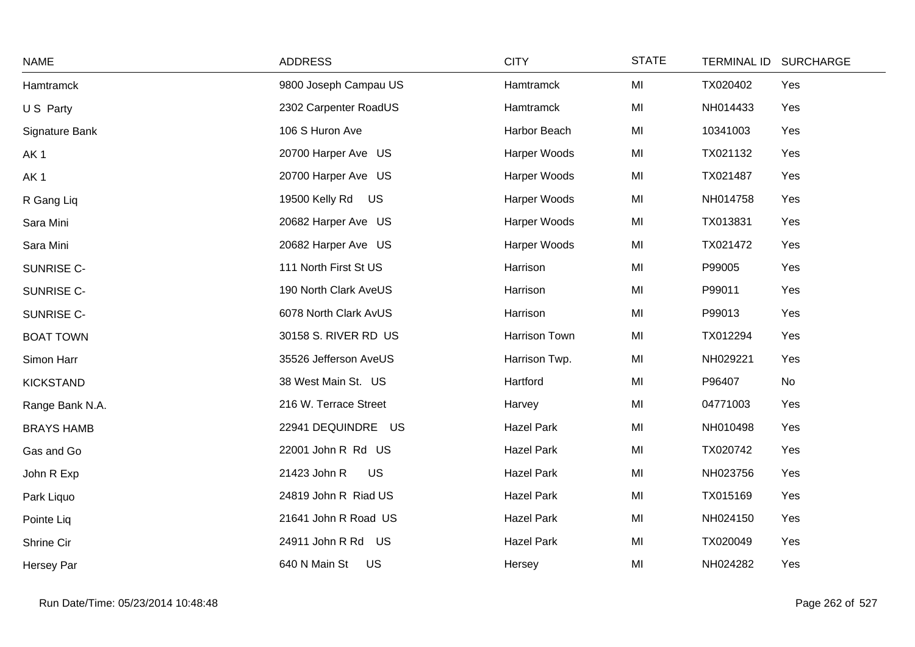| <b>NAME</b>       | <b>ADDRESS</b>        | <b>CITY</b>       | <b>STATE</b> | TERMINAL ID SURCHARGE |  |
|-------------------|-----------------------|-------------------|--------------|-----------------------|--|
| Hamtramck         | 9800 Joseph Campau US | Hamtramck         | MI           | Yes<br>TX020402       |  |
| U S Party         | 2302 Carpenter RoadUS | Hamtramck         | MI           | NH014433<br>Yes       |  |
| Signature Bank    | 106 S Huron Ave       | Harbor Beach      | MI           | 10341003<br>Yes       |  |
| AK <sub>1</sub>   | 20700 Harper Ave US   | Harper Woods      | MI           | TX021132<br>Yes       |  |
| AK <sub>1</sub>   | 20700 Harper Ave US   | Harper Woods      | MI           | TX021487<br>Yes       |  |
| R Gang Liq        | US<br>19500 Kelly Rd  | Harper Woods      | MI           | NH014758<br>Yes       |  |
| Sara Mini         | 20682 Harper Ave US   | Harper Woods      | MI           | TX013831<br>Yes       |  |
| Sara Mini         | 20682 Harper Ave US   | Harper Woods      | MI           | TX021472<br>Yes       |  |
| SUNRISE C-        | 111 North First St US | Harrison          | MI           | P99005<br>Yes         |  |
| SUNRISE C-        | 190 North Clark AveUS | Harrison          | MI           | P99011<br>Yes         |  |
| SUNRISE C-        | 6078 North Clark AvUS | Harrison          | MI           | P99013<br>Yes         |  |
| <b>BOAT TOWN</b>  | 30158 S. RIVER RD US  | Harrison Town     | MI           | TX012294<br>Yes       |  |
| Simon Harr        | 35526 Jefferson AveUS | Harrison Twp.     | MI           | NH029221<br>Yes       |  |
| <b>KICKSTAND</b>  | 38 West Main St. US   | Hartford          | MI           | P96407<br>No          |  |
| Range Bank N.A.   | 216 W. Terrace Street | Harvey            | MI           | 04771003<br>Yes       |  |
| <b>BRAYS HAMB</b> | 22941 DEQUINDRE US    | <b>Hazel Park</b> | MI           | NH010498<br>Yes       |  |
| Gas and Go        | 22001 John R Rd US    | <b>Hazel Park</b> | MI           | TX020742<br>Yes       |  |
| John R Exp        | 21423 John R<br>US    | <b>Hazel Park</b> | MI           | NH023756<br>Yes       |  |
| Park Liquo        | 24819 John R Riad US  | <b>Hazel Park</b> | MI           | TX015169<br>Yes       |  |
| Pointe Liq        | 21641 John R Road US  | <b>Hazel Park</b> | MI           | NH024150<br>Yes       |  |
| Shrine Cir        | 24911 John R Rd US    | <b>Hazel Park</b> | MI           | TX020049<br>Yes       |  |
| Hersey Par        | 640 N Main St<br>US   | Hersey            | MI           | NH024282<br>Yes       |  |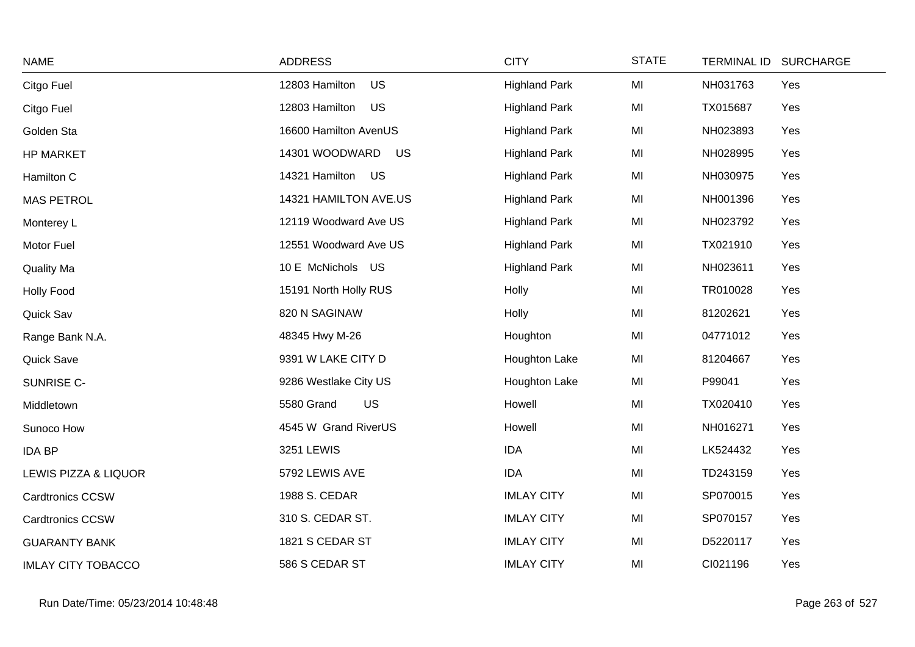| <b>NAME</b>               | <b>ADDRESS</b>              | <b>CITY</b>          | <b>STATE</b> | TERMINAL ID SURCHARGE |  |
|---------------------------|-----------------------------|----------------------|--------------|-----------------------|--|
| Citgo Fuel                | US<br>12803 Hamilton        | <b>Highland Park</b> | MI           | NH031763<br>Yes       |  |
| Citgo Fuel                | US<br>12803 Hamilton        | <b>Highland Park</b> | MI           | TX015687<br>Yes       |  |
| Golden Sta                | 16600 Hamilton AvenUS       | <b>Highland Park</b> | MI           | NH023893<br>Yes       |  |
| <b>HP MARKET</b>          | 14301 WOODWARD<br><b>US</b> | <b>Highland Park</b> | MI           | NH028995<br>Yes       |  |
| Hamilton C                | 14321 Hamilton US           | <b>Highland Park</b> | MI           | NH030975<br>Yes       |  |
| <b>MAS PETROL</b>         | 14321 HAMILTON AVE.US       | <b>Highland Park</b> | MI           | NH001396<br>Yes       |  |
| Monterey L                | 12119 Woodward Ave US       | <b>Highland Park</b> | MI           | NH023792<br>Yes       |  |
| Motor Fuel                | 12551 Woodward Ave US       | <b>Highland Park</b> | MI           | Yes<br>TX021910       |  |
| <b>Quality Ma</b>         | 10 E McNichols US           | <b>Highland Park</b> | MI           | NH023611<br>Yes       |  |
| <b>Holly Food</b>         | 15191 North Holly RUS       | Holly                | MI           | Yes<br>TR010028       |  |
| Quick Sav                 | 820 N SAGINAW               | Holly                | MI           | 81202621<br>Yes       |  |
| Range Bank N.A.           | 48345 Hwy M-26              | Houghton             | MI           | 04771012<br>Yes       |  |
| Quick Save                | 9391 W LAKE CITY D          | Houghton Lake        | MI           | Yes<br>81204667       |  |
| SUNRISE C-                | 9286 Westlake City US       | Houghton Lake        | MI           | P99041<br>Yes         |  |
| Middletown                | 5580 Grand<br><b>US</b>     | Howell               | MI           | TX020410<br>Yes       |  |
| Sunoco How                | 4545 W Grand RiverUS        | Howell               | MI           | NH016271<br>Yes       |  |
| <b>IDA BP</b>             | 3251 LEWIS                  | <b>IDA</b>           | MI           | LK524432<br>Yes       |  |
| LEWIS PIZZA & LIQUOR      | 5792 LEWIS AVE              | <b>IDA</b>           | MI           | TD243159<br>Yes       |  |
| <b>Cardtronics CCSW</b>   | 1988 S. CEDAR               | <b>IMLAY CITY</b>    | MI           | SP070015<br>Yes       |  |
| <b>Cardtronics CCSW</b>   | 310 S. CEDAR ST.            | <b>IMLAY CITY</b>    | MI           | SP070157<br>Yes       |  |
| <b>GUARANTY BANK</b>      | 1821 S CEDAR ST             | <b>IMLAY CITY</b>    | MI           | D5220117<br>Yes       |  |
| <b>IMLAY CITY TOBACCO</b> | 586 S CEDAR ST              | <b>IMLAY CITY</b>    | MI           | CI021196<br>Yes       |  |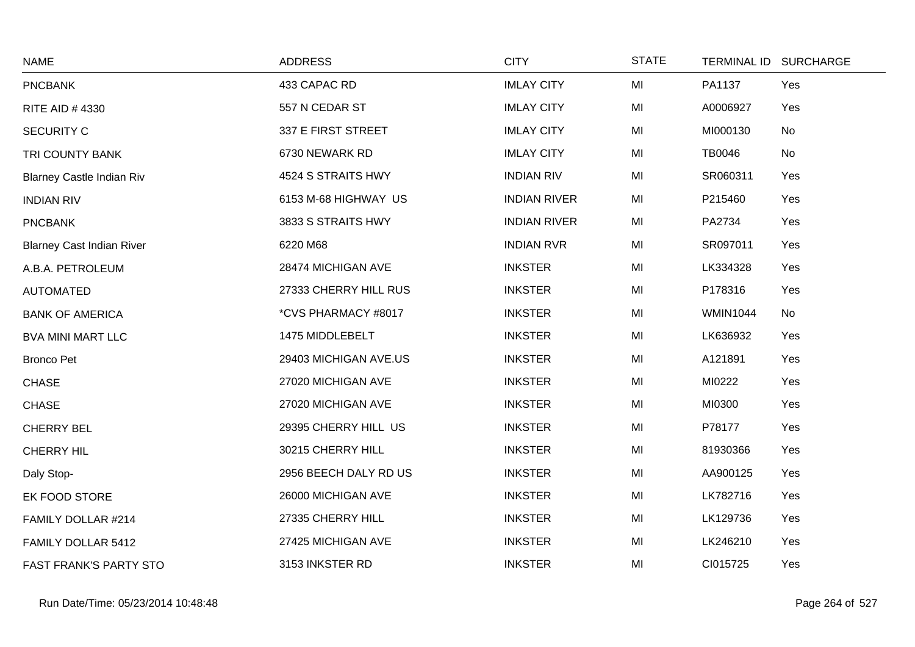| <b>NAME</b>                      | <b>ADDRESS</b>        | <b>CITY</b>         | <b>STATE</b> |                 | TERMINAL ID SURCHARGE |
|----------------------------------|-----------------------|---------------------|--------------|-----------------|-----------------------|
| <b>PNCBANK</b>                   | 433 CAPAC RD          | <b>IMLAY CITY</b>   | MI           | PA1137          | Yes                   |
| RITE AID #4330                   | 557 N CEDAR ST        | <b>IMLAY CITY</b>   | MI           | A0006927        | Yes                   |
| <b>SECURITY C</b>                | 337 E FIRST STREET    | <b>IMLAY CITY</b>   | MI           | MI000130        | No                    |
| TRI COUNTY BANK                  | 6730 NEWARK RD        | <b>IMLAY CITY</b>   | MI           | <b>TB0046</b>   | No                    |
| <b>Blarney Castle Indian Riv</b> | 4524 S STRAITS HWY    | <b>INDIAN RIV</b>   | MI           | SR060311        | Yes                   |
| <b>INDIAN RIV</b>                | 6153 M-68 HIGHWAY US  | <b>INDIAN RIVER</b> | MI           | P215460         | Yes                   |
| <b>PNCBANK</b>                   | 3833 S STRAITS HWY    | <b>INDIAN RIVER</b> | MI           | PA2734          | Yes                   |
| <b>Blarney Cast Indian River</b> | 6220 M68              | <b>INDIAN RVR</b>   | MI           | SR097011        | Yes                   |
| A.B.A. PETROLEUM                 | 28474 MICHIGAN AVE    | <b>INKSTER</b>      | MI           | LK334328        | Yes                   |
| <b>AUTOMATED</b>                 | 27333 CHERRY HILL RUS | <b>INKSTER</b>      | MI           | P178316         | Yes                   |
| <b>BANK OF AMERICA</b>           | *CVS PHARMACY #8017   | <b>INKSTER</b>      | MI           | <b>WMIN1044</b> | No                    |
| <b>BVA MINI MART LLC</b>         | 1475 MIDDLEBELT       | <b>INKSTER</b>      | MI           | LK636932        | Yes                   |
| <b>Bronco Pet</b>                | 29403 MICHIGAN AVE.US | <b>INKSTER</b>      | MI           | A121891         | Yes                   |
| <b>CHASE</b>                     | 27020 MICHIGAN AVE    | <b>INKSTER</b>      | MI           | MI0222          | Yes                   |
| <b>CHASE</b>                     | 27020 MICHIGAN AVE    | <b>INKSTER</b>      | MI           | MI0300          | Yes                   |
| <b>CHERRY BEL</b>                | 29395 CHERRY HILL US  | <b>INKSTER</b>      | MI           | P78177          | Yes                   |
| <b>CHERRY HIL</b>                | 30215 CHERRY HILL     | <b>INKSTER</b>      | MI           | 81930366        | Yes                   |
| Daly Stop-                       | 2956 BEECH DALY RD US | <b>INKSTER</b>      | MI           | AA900125        | Yes                   |
| EK FOOD STORE                    | 26000 MICHIGAN AVE    | <b>INKSTER</b>      | MI           | LK782716        | Yes                   |
| FAMILY DOLLAR #214               | 27335 CHERRY HILL     | <b>INKSTER</b>      | MI           | LK129736        | Yes                   |
| FAMILY DOLLAR 5412               | 27425 MICHIGAN AVE    | <b>INKSTER</b>      | MI           | LK246210        | Yes                   |
| FAST FRANK'S PARTY STO           | 3153 INKSTER RD       | <b>INKSTER</b>      | MI           | CI015725        | Yes                   |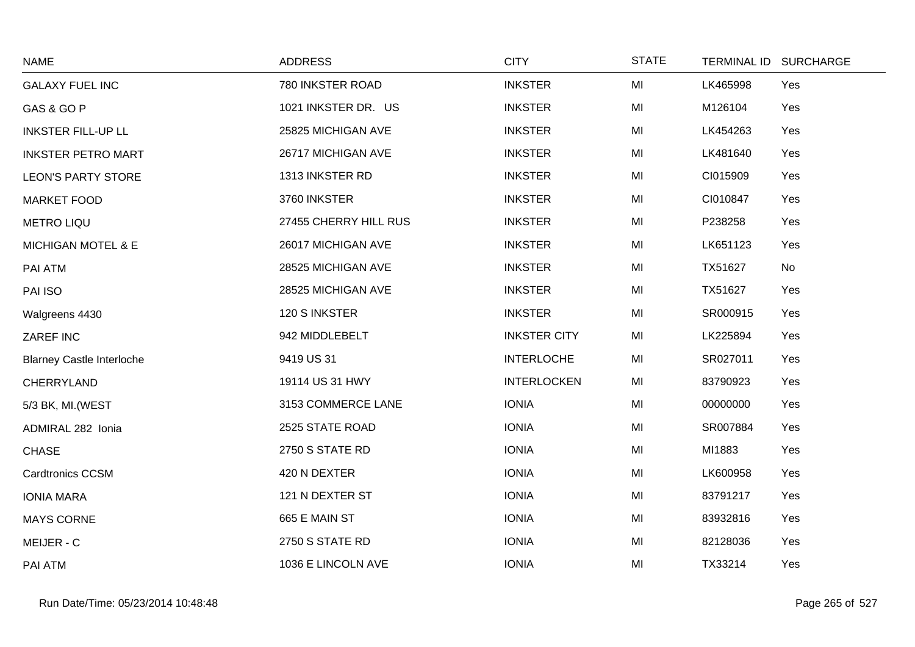| <b>NAME</b>                      | <b>ADDRESS</b>        | <b>CITY</b>         | <b>STATE</b> | <b>TERMINAL ID</b> | <b>SURCHARGE</b> |
|----------------------------------|-----------------------|---------------------|--------------|--------------------|------------------|
| <b>GALAXY FUEL INC</b>           | 780 INKSTER ROAD      | <b>INKSTER</b>      | MI           | LK465998           | Yes              |
| GAS & GO P                       | 1021 INKSTER DR. US   | <b>INKSTER</b>      | MI           | M126104            | Yes              |
| <b>INKSTER FILL-UP LL</b>        | 25825 MICHIGAN AVE    | <b>INKSTER</b>      | MI           | LK454263           | Yes              |
| <b>INKSTER PETRO MART</b>        | 26717 MICHIGAN AVE    | <b>INKSTER</b>      | MI           | LK481640           | Yes              |
| <b>LEON'S PARTY STORE</b>        | 1313 INKSTER RD       | <b>INKSTER</b>      | MI           | CI015909           | Yes              |
| <b>MARKET FOOD</b>               | 3760 INKSTER          | <b>INKSTER</b>      | MI           | CI010847           | Yes              |
| <b>METRO LIQU</b>                | 27455 CHERRY HILL RUS | <b>INKSTER</b>      | MI           | P238258            | Yes              |
| <b>MICHIGAN MOTEL &amp; E</b>    | 26017 MICHIGAN AVE    | <b>INKSTER</b>      | MI           | LK651123           | Yes              |
| PAI ATM                          | 28525 MICHIGAN AVE    | <b>INKSTER</b>      | MI           | TX51627            | No               |
| PAI ISO                          | 28525 MICHIGAN AVE    | <b>INKSTER</b>      | MI           | TX51627            | Yes              |
| Walgreens 4430                   | 120 S INKSTER         | <b>INKSTER</b>      | MI           | SR000915           | Yes              |
| ZAREF INC                        | 942 MIDDLEBELT        | <b>INKSTER CITY</b> | MI           | LK225894           | Yes              |
| <b>Blarney Castle Interloche</b> | 9419 US 31            | <b>INTERLOCHE</b>   | MI           | SR027011           | Yes              |
| CHERRYLAND                       | 19114 US 31 HWY       | <b>INTERLOCKEN</b>  | MI           | 83790923           | Yes              |
| 5/3 BK, MI. (WEST                | 3153 COMMERCE LANE    | <b>IONIA</b>        | MI           | 00000000           | Yes              |
| ADMIRAL 282 Ionia                | 2525 STATE ROAD       | <b>IONIA</b>        | MI           | SR007884           | Yes              |
| <b>CHASE</b>                     | 2750 S STATE RD       | <b>IONIA</b>        | MI           | MI1883             | Yes              |
| <b>Cardtronics CCSM</b>          | 420 N DEXTER          | <b>IONIA</b>        | MI           | LK600958           | Yes              |
| <b>IONIA MARA</b>                | 121 N DEXTER ST       | <b>IONIA</b>        | MI           | 83791217           | Yes              |
| <b>MAYS CORNE</b>                | 665 E MAIN ST         | <b>IONIA</b>        | MI           | 83932816           | Yes              |
| MEIJER - C                       | 2750 S STATE RD       | <b>IONIA</b>        | MI           | 82128036           | Yes              |
| PAI ATM                          | 1036 E LINCOLN AVE    | <b>IONIA</b>        | MI           | TX33214            | Yes              |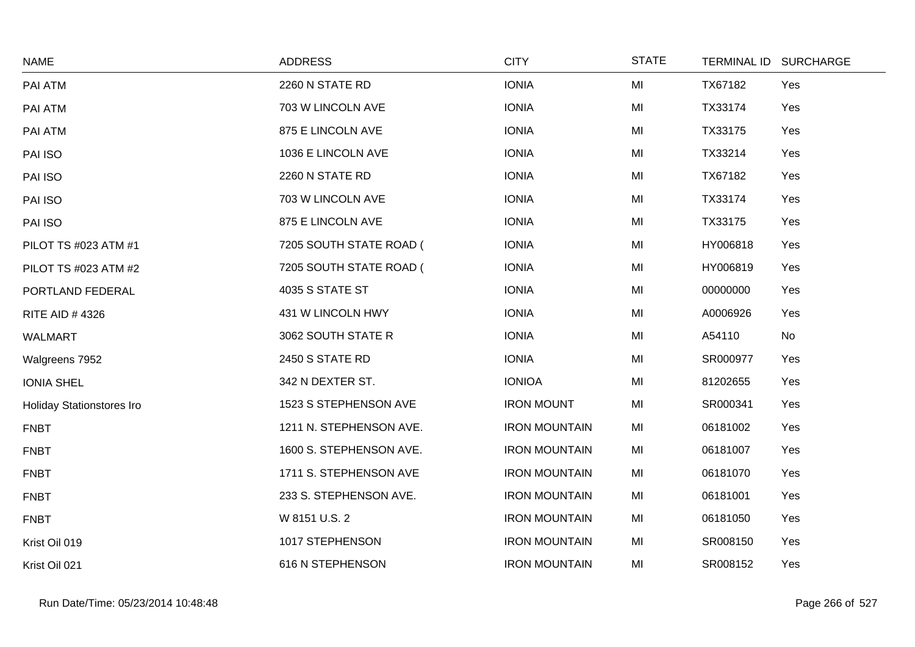| <b>NAME</b>               | <b>ADDRESS</b>          | <b>CITY</b>          | <b>STATE</b> |          | TERMINAL ID SURCHARGE |
|---------------------------|-------------------------|----------------------|--------------|----------|-----------------------|
| PAI ATM                   | 2260 N STATE RD         | <b>IONIA</b>         | MI           | TX67182  | Yes                   |
| PAI ATM                   | 703 W LINCOLN AVE       | <b>IONIA</b>         | MI           | TX33174  | Yes                   |
| PAI ATM                   | 875 E LINCOLN AVE       | <b>IONIA</b>         | MI           | TX33175  | Yes                   |
| PAI ISO                   | 1036 E LINCOLN AVE      | <b>IONIA</b>         | MI           | TX33214  | Yes                   |
| PAI ISO                   | 2260 N STATE RD         | <b>IONIA</b>         | MI           | TX67182  | Yes                   |
| PAI ISO                   | 703 W LINCOLN AVE       | <b>IONIA</b>         | MI           | TX33174  | Yes                   |
| PAI ISO                   | 875 E LINCOLN AVE       | <b>IONIA</b>         | MI           | TX33175  | Yes                   |
| PILOT TS #023 ATM #1      | 7205 SOUTH STATE ROAD ( | <b>IONIA</b>         | MI           | HY006818 | Yes                   |
| PILOT TS #023 ATM #2      | 7205 SOUTH STATE ROAD ( | <b>IONIA</b>         | MI           | HY006819 | Yes                   |
| PORTLAND FEDERAL          | 4035 S STATE ST         | <b>IONIA</b>         | MI           | 00000000 | Yes                   |
| <b>RITE AID #4326</b>     | 431 W LINCOLN HWY       | <b>IONIA</b>         | MI           | A0006926 | Yes                   |
| <b>WALMART</b>            | 3062 SOUTH STATE R      | <b>IONIA</b>         | MI           | A54110   | No                    |
| Walgreens 7952            | 2450 S STATE RD         | <b>IONIA</b>         | MI           | SR000977 | Yes                   |
| <b>IONIA SHEL</b>         | 342 N DEXTER ST.        | <b>IONIOA</b>        | MI           | 81202655 | Yes                   |
| Holiday Stationstores Iro | 1523 S STEPHENSON AVE   | <b>IRON MOUNT</b>    | MI           | SR000341 | Yes                   |
| <b>FNBT</b>               | 1211 N. STEPHENSON AVE. | <b>IRON MOUNTAIN</b> | MI           | 06181002 | Yes                   |
| <b>FNBT</b>               | 1600 S. STEPHENSON AVE. | <b>IRON MOUNTAIN</b> | MI           | 06181007 | Yes                   |
| <b>FNBT</b>               | 1711 S. STEPHENSON AVE  | <b>IRON MOUNTAIN</b> | MI           | 06181070 | Yes                   |
| <b>FNBT</b>               | 233 S. STEPHENSON AVE.  | <b>IRON MOUNTAIN</b> | MI           | 06181001 | Yes                   |
| <b>FNBT</b>               | W 8151 U.S. 2           | <b>IRON MOUNTAIN</b> | MI           | 06181050 | Yes                   |
| Krist Oil 019             | 1017 STEPHENSON         | <b>IRON MOUNTAIN</b> | MI           | SR008150 | Yes                   |
| Krist Oil 021             | 616 N STEPHENSON        | <b>IRON MOUNTAIN</b> | MI           | SR008152 | Yes                   |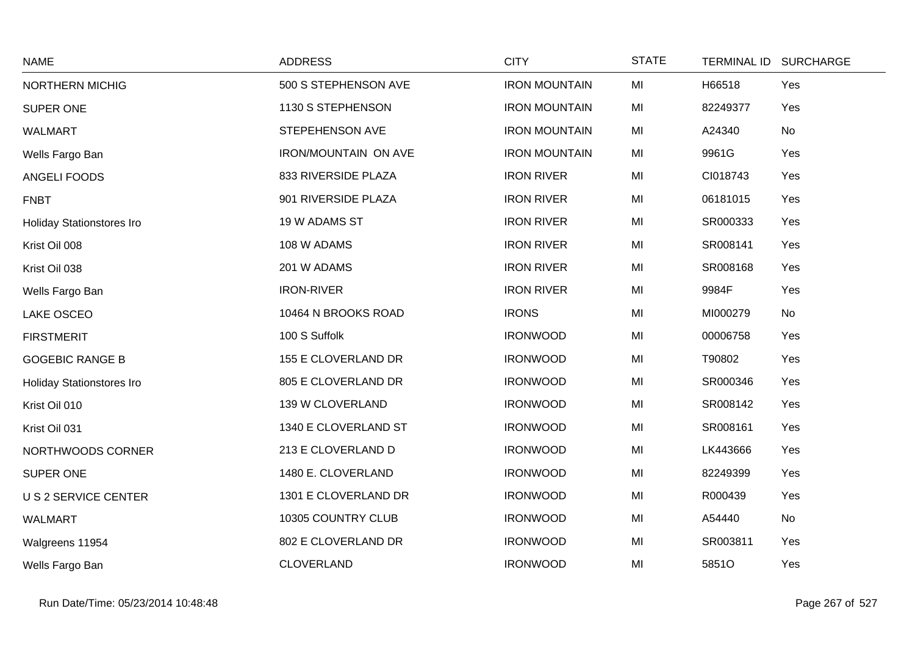| <b>NAME</b>               | <b>ADDRESS</b>       | <b>CITY</b>          | <b>STATE</b> |          | TERMINAL ID SURCHARGE |
|---------------------------|----------------------|----------------------|--------------|----------|-----------------------|
| NORTHERN MICHIG           | 500 S STEPHENSON AVE | <b>IRON MOUNTAIN</b> | MI           | H66518   | Yes                   |
| SUPER ONE                 | 1130 S STEPHENSON    | <b>IRON MOUNTAIN</b> | MI           | 82249377 | Yes                   |
| <b>WALMART</b>            | STEPEHENSON AVE      | <b>IRON MOUNTAIN</b> | MI           | A24340   | No                    |
| Wells Fargo Ban           | IRON/MOUNTAIN ON AVE | <b>IRON MOUNTAIN</b> | MI           | 9961G    | Yes                   |
| ANGELI FOODS              | 833 RIVERSIDE PLAZA  | <b>IRON RIVER</b>    | MI           | CI018743 | Yes                   |
| <b>FNBT</b>               | 901 RIVERSIDE PLAZA  | <b>IRON RIVER</b>    | MI           | 06181015 | Yes                   |
| Holiday Stationstores Iro | 19 W ADAMS ST        | <b>IRON RIVER</b>    | MI           | SR000333 | Yes                   |
| Krist Oil 008             | 108 W ADAMS          | <b>IRON RIVER</b>    | MI           | SR008141 | Yes                   |
| Krist Oil 038             | 201 W ADAMS          | <b>IRON RIVER</b>    | MI           | SR008168 | Yes                   |
| Wells Fargo Ban           | <b>IRON-RIVER</b>    | <b>IRON RIVER</b>    | MI           | 9984F    | Yes                   |
| <b>LAKE OSCEO</b>         | 10464 N BROOKS ROAD  | <b>IRONS</b>         | MI           | MI000279 | No                    |
| <b>FIRSTMERIT</b>         | 100 S Suffolk        | <b>IRONWOOD</b>      | MI           | 00006758 | Yes                   |
| <b>GOGEBIC RANGE B</b>    | 155 E CLOVERLAND DR  | <b>IRONWOOD</b>      | MI           | T90802   | Yes                   |
| Holiday Stationstores Iro | 805 E CLOVERLAND DR  | <b>IRONWOOD</b>      | MI           | SR000346 | Yes                   |
| Krist Oil 010             | 139 W CLOVERLAND     | <b>IRONWOOD</b>      | MI           | SR008142 | Yes                   |
| Krist Oil 031             | 1340 E CLOVERLAND ST | <b>IRONWOOD</b>      | MI           | SR008161 | Yes                   |
| NORTHWOODS CORNER         | 213 E CLOVERLAND D   | <b>IRONWOOD</b>      | MI           | LK443666 | Yes                   |
| SUPER ONE                 | 1480 E. CLOVERLAND   | <b>IRONWOOD</b>      | MI           | 82249399 | Yes                   |
| U S 2 SERVICE CENTER      | 1301 E CLOVERLAND DR | <b>IRONWOOD</b>      | MI           | R000439  | Yes                   |
| <b>WALMART</b>            | 10305 COUNTRY CLUB   | <b>IRONWOOD</b>      | MI           | A54440   | No                    |
| Walgreens 11954           | 802 E CLOVERLAND DR  | <b>IRONWOOD</b>      | MI           | SR003811 | Yes                   |
| Wells Fargo Ban           | <b>CLOVERLAND</b>    | <b>IRONWOOD</b>      | MI           | 5851O    | Yes                   |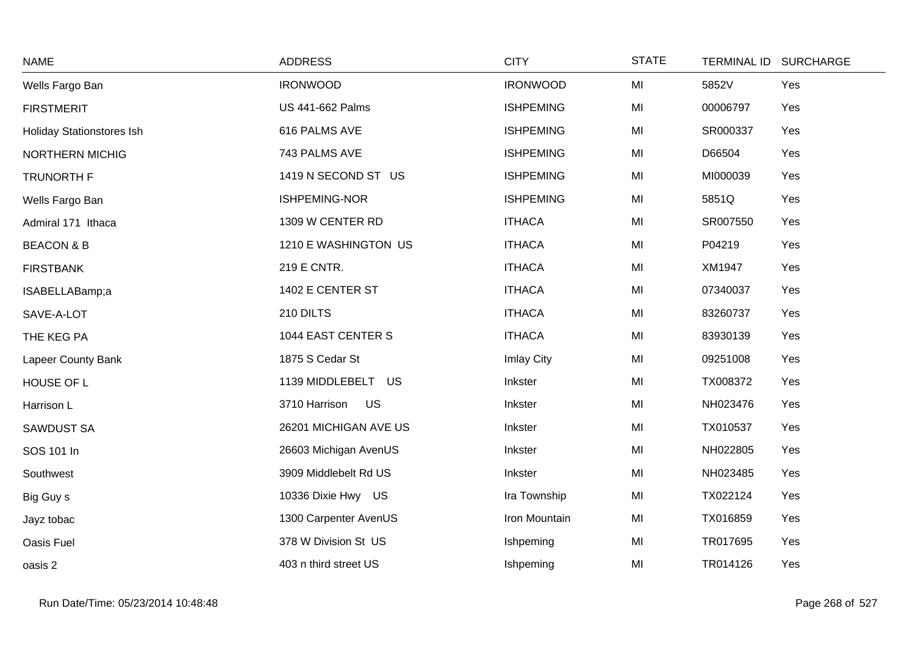| <b>NAME</b>                      | <b>ADDRESS</b>          | <b>CITY</b>      | <b>STATE</b> | TERMINAL ID SURCHARGE |  |
|----------------------------------|-------------------------|------------------|--------------|-----------------------|--|
| Wells Fargo Ban                  | <b>IRONWOOD</b>         | <b>IRONWOOD</b>  | MI           | 5852V<br>Yes          |  |
| <b>FIRSTMERIT</b>                | <b>US 441-662 Palms</b> | <b>ISHPEMING</b> | MI           | 00006797<br>Yes       |  |
| <b>Holiday Stationstores Ish</b> | 616 PALMS AVE           | <b>ISHPEMING</b> | MI           | SR000337<br>Yes       |  |
| NORTHERN MICHIG                  | 743 PALMS AVE           | <b>ISHPEMING</b> | MI           | D66504<br>Yes         |  |
| <b>TRUNORTH F</b>                | 1419 N SECOND ST US     | <b>ISHPEMING</b> | MI           | MI000039<br>Yes       |  |
| Wells Fargo Ban                  | ISHPEMING-NOR           | <b>ISHPEMING</b> | MI           | 5851Q<br>Yes          |  |
| Admiral 171 Ithaca               | 1309 W CENTER RD        | <b>ITHACA</b>    | MI           | SR007550<br>Yes       |  |
| <b>BEACON &amp; B</b>            | 1210 E WASHINGTON US    | <b>ITHACA</b>    | MI           | P04219<br>Yes         |  |
| <b>FIRSTBANK</b>                 | 219 E CNTR.             | <b>ITHACA</b>    | MI           | XM1947<br>Yes         |  |
| ISABELLABamp;a                   | 1402 E CENTER ST        | <b>ITHACA</b>    | MI           | 07340037<br>Yes       |  |
| SAVE-A-LOT                       | 210 DILTS               | <b>ITHACA</b>    | MI           | 83260737<br>Yes       |  |
| THE KEG PA                       | 1044 EAST CENTER S      | <b>ITHACA</b>    | MI           | 83930139<br>Yes       |  |
| Lapeer County Bank               | 1875 S Cedar St         | Imlay City       | MI           | 09251008<br>Yes       |  |
| HOUSE OF L                       | 1139 MIDDLEBELT US      | Inkster          | MI           | TX008372<br>Yes       |  |
| Harrison L                       | US<br>3710 Harrison     | Inkster          | MI           | NH023476<br>Yes       |  |
| <b>SAWDUST SA</b>                | 26201 MICHIGAN AVE US   | Inkster          | MI           | TX010537<br>Yes       |  |
| SOS 101 In                       | 26603 Michigan AvenUS   | Inkster          | MI           | NH022805<br>Yes       |  |
| Southwest                        | 3909 Middlebelt Rd US   | Inkster          | MI           | NH023485<br>Yes       |  |
| Big Guy s                        | 10336 Dixie Hwy US      | Ira Township     | MI           | TX022124<br>Yes       |  |
| Jayz tobac                       | 1300 Carpenter AvenUS   | Iron Mountain    | MI           | TX016859<br>Yes       |  |
| <b>Oasis Fuel</b>                | 378 W Division St US    | Ishpeming        | MI           | TR017695<br>Yes       |  |
| oasis 2                          | 403 n third street US   | Ishpeming        | MI           | TR014126<br>Yes       |  |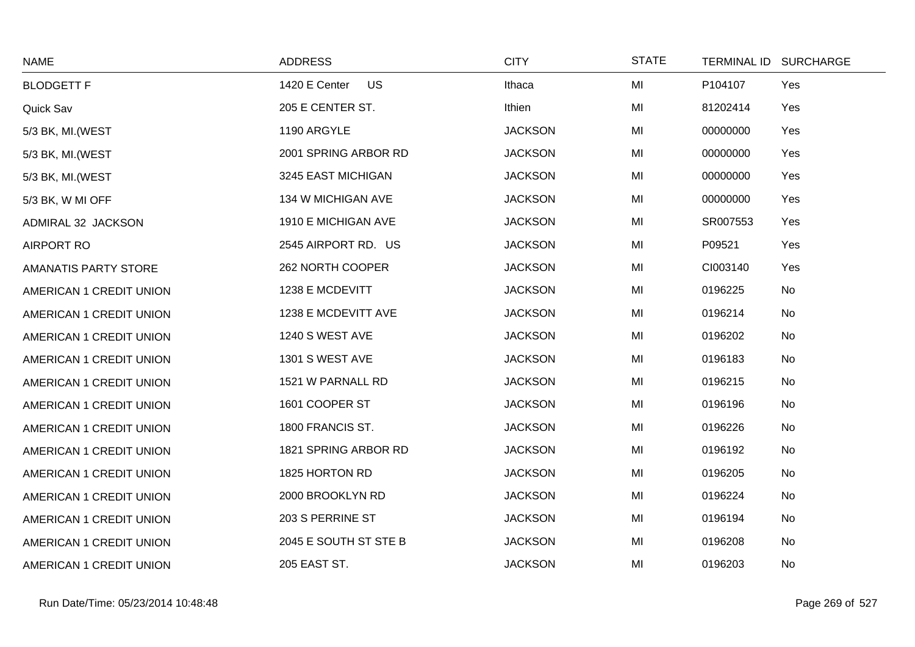| <b>NAME</b>                 | <b>ADDRESS</b>             | <b>CITY</b>    | <b>STATE</b> | TERMINAL ID SURCHARGE |     |
|-----------------------------|----------------------------|----------------|--------------|-----------------------|-----|
| <b>BLODGETT F</b>           | <b>US</b><br>1420 E Center | Ithaca         | MI           | P104107               | Yes |
| Quick Sav                   | 205 E CENTER ST.           | Ithien         | MI           | 81202414              | Yes |
| 5/3 BK, MI. (WEST           | 1190 ARGYLE                | <b>JACKSON</b> | MI           | 00000000              | Yes |
| 5/3 BK, MI. (WEST           | 2001 SPRING ARBOR RD       | <b>JACKSON</b> | MI           | 00000000              | Yes |
| 5/3 BK, MI. (WEST           | 3245 EAST MICHIGAN         | <b>JACKSON</b> | MI           | 00000000              | Yes |
| 5/3 BK, W MI OFF            | 134 W MICHIGAN AVE         | <b>JACKSON</b> | MI           | 00000000              | Yes |
| ADMIRAL 32 JACKSON          | 1910 E MICHIGAN AVE        | <b>JACKSON</b> | MI           | SR007553              | Yes |
| <b>AIRPORT RO</b>           | 2545 AIRPORT RD. US        | <b>JACKSON</b> | MI           | P09521                | Yes |
| <b>AMANATIS PARTY STORE</b> | 262 NORTH COOPER           | <b>JACKSON</b> | MI           | CI003140              | Yes |
| AMERICAN 1 CREDIT UNION     | 1238 E MCDEVITT            | <b>JACKSON</b> | MI           | 0196225               | No  |
| AMERICAN 1 CREDIT UNION     | 1238 E MCDEVITT AVE        | <b>JACKSON</b> | MI           | 0196214               | No  |
| AMERICAN 1 CREDIT UNION     | 1240 S WEST AVE            | <b>JACKSON</b> | MI           | 0196202               | No  |
| AMERICAN 1 CREDIT UNION     | 1301 S WEST AVE            | <b>JACKSON</b> | MI           | 0196183               | No  |
| AMERICAN 1 CREDIT UNION     | 1521 W PARNALL RD          | <b>JACKSON</b> | MI           | 0196215               | No  |
| AMERICAN 1 CREDIT UNION     | 1601 COOPER ST             | <b>JACKSON</b> | MI           | 0196196               | No  |
| AMERICAN 1 CREDIT UNION     | 1800 FRANCIS ST.           | <b>JACKSON</b> | MI           | 0196226               | No  |
| AMERICAN 1 CREDIT UNION     | 1821 SPRING ARBOR RD       | <b>JACKSON</b> | MI           | 0196192               | No  |
| AMERICAN 1 CREDIT UNION     | 1825 HORTON RD             | <b>JACKSON</b> | MI           | 0196205               | No  |
| AMERICAN 1 CREDIT UNION     | 2000 BROOKLYN RD           | <b>JACKSON</b> | MI           | 0196224               | No  |
| AMERICAN 1 CREDIT UNION     | 203 S PERRINE ST           | <b>JACKSON</b> | MI           | 0196194               | No  |
| AMERICAN 1 CREDIT UNION     | 2045 E SOUTH ST STE B      | <b>JACKSON</b> | MI           | 0196208               | No  |
| AMERICAN 1 CREDIT UNION     | 205 EAST ST.               | <b>JACKSON</b> | MI           | 0196203               | No  |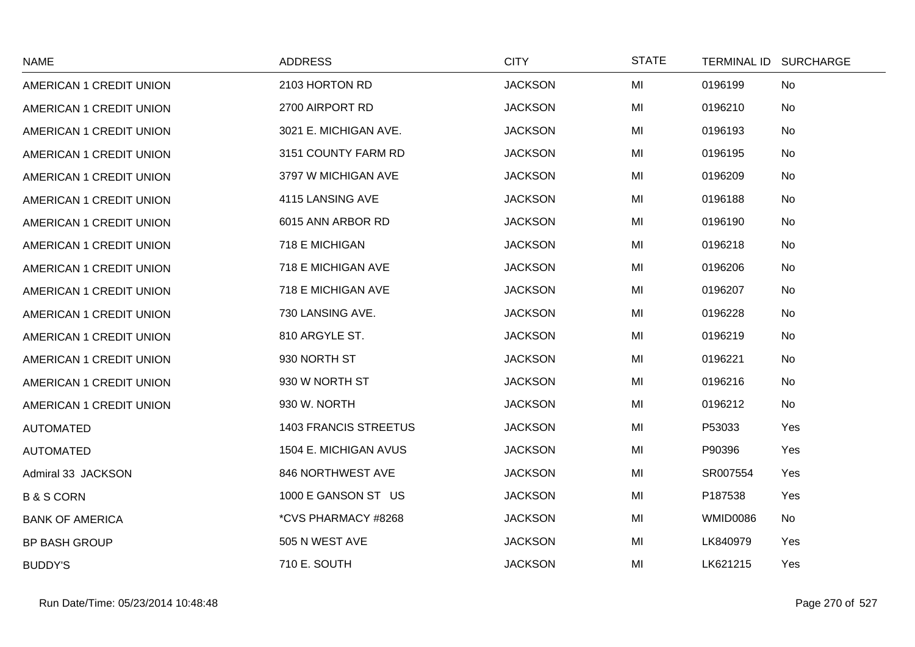| <b>NAME</b>             | <b>ADDRESS</b>               | <b>CITY</b>    | <b>STATE</b> |          | TERMINAL ID SURCHARGE |
|-------------------------|------------------------------|----------------|--------------|----------|-----------------------|
| AMERICAN 1 CREDIT UNION | 2103 HORTON RD               | <b>JACKSON</b> | MI           | 0196199  | <b>No</b>             |
| AMERICAN 1 CREDIT UNION | 2700 AIRPORT RD              | <b>JACKSON</b> | MI           | 0196210  | No                    |
| AMERICAN 1 CREDIT UNION | 3021 E. MICHIGAN AVE.        | <b>JACKSON</b> | MI           | 0196193  | No                    |
| AMERICAN 1 CREDIT UNION | 3151 COUNTY FARM RD          | <b>JACKSON</b> | MI           | 0196195  | <b>No</b>             |
| AMERICAN 1 CREDIT UNION | 3797 W MICHIGAN AVE          | <b>JACKSON</b> | MI           | 0196209  | No                    |
| AMERICAN 1 CREDIT UNION | 4115 LANSING AVE             | <b>JACKSON</b> | MI           | 0196188  | No                    |
| AMERICAN 1 CREDIT UNION | 6015 ANN ARBOR RD            | <b>JACKSON</b> | MI           | 0196190  | <b>No</b>             |
| AMERICAN 1 CREDIT UNION | 718 E MICHIGAN               | <b>JACKSON</b> | MI           | 0196218  | <b>No</b>             |
| AMERICAN 1 CREDIT UNION | 718 E MICHIGAN AVE           | <b>JACKSON</b> | MI           | 0196206  | No                    |
| AMERICAN 1 CREDIT UNION | 718 E MICHIGAN AVE           | <b>JACKSON</b> | MI           | 0196207  | <b>No</b>             |
| AMERICAN 1 CREDIT UNION | 730 LANSING AVE.             | <b>JACKSON</b> | MI           | 0196228  | <b>No</b>             |
| AMERICAN 1 CREDIT UNION | 810 ARGYLE ST.               | <b>JACKSON</b> | MI           | 0196219  | No                    |
| AMERICAN 1 CREDIT UNION | 930 NORTH ST                 | <b>JACKSON</b> | MI           | 0196221  | <b>No</b>             |
| AMERICAN 1 CREDIT UNION | 930 W NORTH ST               | <b>JACKSON</b> | MI           | 0196216  | <b>No</b>             |
| AMERICAN 1 CREDIT UNION | 930 W. NORTH                 | <b>JACKSON</b> | MI           | 0196212  | No                    |
| <b>AUTOMATED</b>        | <b>1403 FRANCIS STREETUS</b> | <b>JACKSON</b> | MI           | P53033   | Yes                   |
| <b>AUTOMATED</b>        | 1504 E. MICHIGAN AVUS        | <b>JACKSON</b> | MI           | P90396   | Yes                   |
| Admiral 33 JACKSON      | 846 NORTHWEST AVE            | <b>JACKSON</b> | MI           | SR007554 | Yes                   |
| <b>B&amp;SCORN</b>      | 1000 E GANSON ST US          | <b>JACKSON</b> | MI           | P187538  | Yes                   |
| <b>BANK OF AMERICA</b>  | *CVS PHARMACY #8268          | <b>JACKSON</b> | MI           | WMID0086 | <b>No</b>             |
| <b>BP BASH GROUP</b>    | 505 N WEST AVE               | <b>JACKSON</b> | MI           | LK840979 | Yes                   |
| <b>BUDDY'S</b>          | 710 E. SOUTH                 | <b>JACKSON</b> | MI           | LK621215 | Yes                   |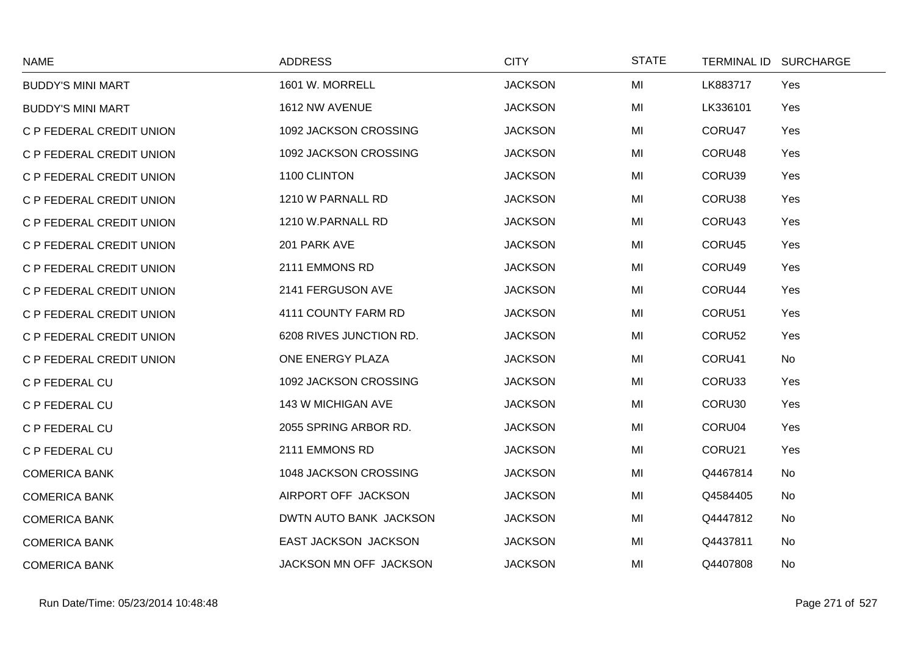| <b>NAME</b>              | <b>ADDRESS</b>          | <b>CITY</b>    | <b>STATE</b> |          | TERMINAL ID SURCHARGE |
|--------------------------|-------------------------|----------------|--------------|----------|-----------------------|
| <b>BUDDY'S MINI MART</b> | 1601 W. MORRELL         | <b>JACKSON</b> | MI           | LK883717 | Yes                   |
| <b>BUDDY'S MINI MART</b> | 1612 NW AVENUE          | <b>JACKSON</b> | MI           | LK336101 | Yes                   |
| C P FEDERAL CREDIT UNION | 1092 JACKSON CROSSING   | <b>JACKSON</b> | MI           | CORU47   | Yes                   |
| C P FEDERAL CREDIT UNION | 1092 JACKSON CROSSING   | <b>JACKSON</b> | MI           | CORU48   | Yes                   |
| C P FEDERAL CREDIT UNION | 1100 CLINTON            | <b>JACKSON</b> | MI           | CORU39   | Yes                   |
| C P FEDERAL CREDIT UNION | 1210 W PARNALL RD       | <b>JACKSON</b> | MI           | CORU38   | Yes                   |
| C P FEDERAL CREDIT UNION | 1210 W.PARNALL RD       | <b>JACKSON</b> | MI           | CORU43   | Yes                   |
| C P FEDERAL CREDIT UNION | 201 PARK AVE            | <b>JACKSON</b> | MI           | CORU45   | Yes                   |
| C P FEDERAL CREDIT UNION | 2111 EMMONS RD          | <b>JACKSON</b> | MI           | CORU49   | Yes                   |
| C P FEDERAL CREDIT UNION | 2141 FERGUSON AVE       | <b>JACKSON</b> | MI           | CORU44   | Yes                   |
| C P FEDERAL CREDIT UNION | 4111 COUNTY FARM RD     | <b>JACKSON</b> | MI           | CORU51   | Yes                   |
| C P FEDERAL CREDIT UNION | 6208 RIVES JUNCTION RD. | <b>JACKSON</b> | MI           | CORU52   | Yes                   |
| C P FEDERAL CREDIT UNION | ONE ENERGY PLAZA        | <b>JACKSON</b> | MI           | CORU41   | <b>No</b>             |
| C P FEDERAL CU           | 1092 JACKSON CROSSING   | <b>JACKSON</b> | MI           | CORU33   | Yes                   |
| C P FEDERAL CU           | 143 W MICHIGAN AVE      | <b>JACKSON</b> | MI           | CORU30   | Yes                   |
| C P FEDERAL CU           | 2055 SPRING ARBOR RD.   | <b>JACKSON</b> | MI           | CORU04   | Yes                   |
| C P FEDERAL CU           | 2111 EMMONS RD          | <b>JACKSON</b> | MI           | CORU21   | Yes                   |
| <b>COMERICA BANK</b>     | 1048 JACKSON CROSSING   | <b>JACKSON</b> | MI           | Q4467814 | <b>No</b>             |
| <b>COMERICA BANK</b>     | AIRPORT OFF JACKSON     | <b>JACKSON</b> | MI           | Q4584405 | No                    |
| <b>COMERICA BANK</b>     | DWTN AUTO BANK JACKSON  | <b>JACKSON</b> | MI           | Q4447812 | No                    |
| <b>COMERICA BANK</b>     | EAST JACKSON JACKSON    | <b>JACKSON</b> | MI           | Q4437811 | No                    |
| <b>COMERICA BANK</b>     | JACKSON MN OFF JACKSON  | <b>JACKSON</b> | MI           | Q4407808 | No                    |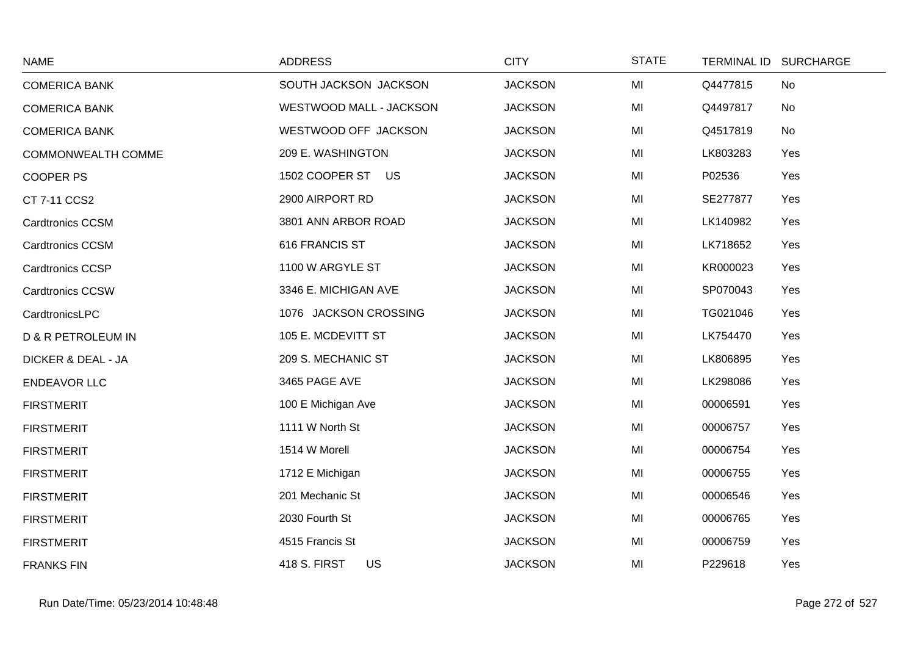| <b>NAME</b>                   | <b>ADDRESS</b>                   | <b>CITY</b>    | <b>STATE</b> | TERMINAL ID SURCHARGE |
|-------------------------------|----------------------------------|----------------|--------------|-----------------------|
| <b>COMERICA BANK</b>          | SOUTH JACKSON JACKSON            | <b>JACKSON</b> | MI           | Q4477815<br>No        |
| <b>COMERICA BANK</b>          | WESTWOOD MALL - JACKSON          | <b>JACKSON</b> | MI           | Q4497817<br>No        |
| <b>COMERICA BANK</b>          | WESTWOOD OFF JACKSON             | <b>JACKSON</b> | MI           | Q4517819<br>No        |
| COMMONWEALTH COMME            | 209 E. WASHINGTON                | <b>JACKSON</b> | MI           | LK803283<br>Yes       |
| <b>COOPER PS</b>              | 1502 COOPER ST US                | <b>JACKSON</b> | MI           | P02536<br>Yes         |
| CT 7-11 CCS2                  | 2900 AIRPORT RD                  | <b>JACKSON</b> | MI           | SE277877<br>Yes       |
| <b>Cardtronics CCSM</b>       | 3801 ANN ARBOR ROAD              | <b>JACKSON</b> | MI           | LK140982<br>Yes       |
| <b>Cardtronics CCSM</b>       | 616 FRANCIS ST                   | <b>JACKSON</b> | MI           | LK718652<br>Yes       |
| Cardtronics CCSP              | 1100 W ARGYLE ST                 | <b>JACKSON</b> | MI           | KR000023<br>Yes       |
| <b>Cardtronics CCSW</b>       | 3346 E. MICHIGAN AVE             | <b>JACKSON</b> | MI           | SP070043<br>Yes       |
| CardtronicsLPC                | 1076 JACKSON CROSSING            | <b>JACKSON</b> | MI           | Yes<br>TG021046       |
| <b>D &amp; R PETROLEUM IN</b> | 105 E. MCDEVITT ST               | <b>JACKSON</b> | MI           | LK754470<br>Yes       |
| <b>DICKER &amp; DEAL - JA</b> | 209 S. MECHANIC ST               | <b>JACKSON</b> | MI           | Yes<br>LK806895       |
| <b>ENDEAVOR LLC</b>           | 3465 PAGE AVE                    | <b>JACKSON</b> | MI           | LK298086<br>Yes       |
| <b>FIRSTMERIT</b>             | 100 E Michigan Ave               | <b>JACKSON</b> | MI           | 00006591<br>Yes       |
| <b>FIRSTMERIT</b>             | 1111 W North St                  | <b>JACKSON</b> | MI           | 00006757<br>Yes       |
| <b>FIRSTMERIT</b>             | 1514 W Morell                    | <b>JACKSON</b> | MI           | Yes<br>00006754       |
| <b>FIRSTMERIT</b>             | 1712 E Michigan                  | <b>JACKSON</b> | MI           | 00006755<br>Yes       |
| <b>FIRSTMERIT</b>             | 201 Mechanic St                  | <b>JACKSON</b> | MI           | 00006546<br>Yes       |
| <b>FIRSTMERIT</b>             | 2030 Fourth St                   | <b>JACKSON</b> | MI           | Yes<br>00006765       |
| <b>FIRSTMERIT</b>             | 4515 Francis St                  | <b>JACKSON</b> | MI           | Yes<br>00006759       |
| <b>FRANKS FIN</b>             | <b>418 S. FIRST</b><br><b>US</b> | <b>JACKSON</b> | MI           | P229618<br>Yes        |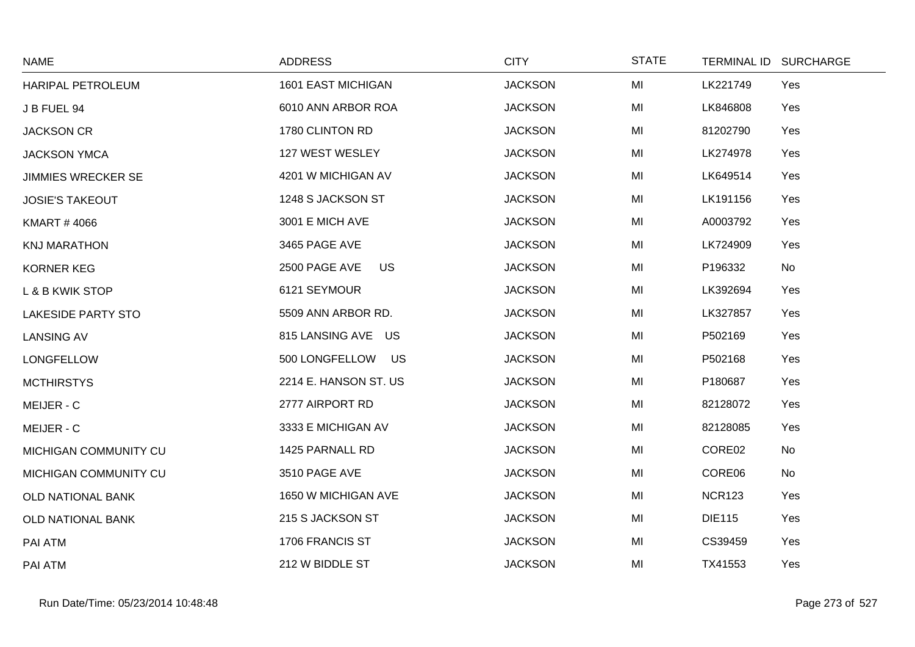| <b>NAME</b>               | <b>ADDRESS</b>             | <b>CITY</b>    | <b>STATE</b> | <b>TERMINAL ID</b> | <b>SURCHARGE</b> |
|---------------------------|----------------------------|----------------|--------------|--------------------|------------------|
| HARIPAL PETROLEUM         | 1601 EAST MICHIGAN         | <b>JACKSON</b> | MI           | LK221749           | Yes              |
| J B FUEL 94               | 6010 ANN ARBOR ROA         | <b>JACKSON</b> | MI           | LK846808           | Yes              |
| <b>JACKSON CR</b>         | 1780 CLINTON RD            | <b>JACKSON</b> | MI           | 81202790           | Yes              |
| <b>JACKSON YMCA</b>       | 127 WEST WESLEY            | <b>JACKSON</b> | MI           | LK274978           | Yes              |
| <b>JIMMIES WRECKER SE</b> | 4201 W MICHIGAN AV         | <b>JACKSON</b> | MI           | LK649514           | Yes              |
| <b>JOSIE'S TAKEOUT</b>    | 1248 S JACKSON ST          | <b>JACKSON</b> | MI           | LK191156           | Yes              |
| <b>KMART #4066</b>        | 3001 E MICH AVE            | <b>JACKSON</b> | MI           | A0003792           | Yes              |
| <b>KNJ MARATHON</b>       | 3465 PAGE AVE              | <b>JACKSON</b> | MI           | LK724909           | Yes              |
| <b>KORNER KEG</b>         | 2500 PAGE AVE<br><b>US</b> | <b>JACKSON</b> | MI           | P196332            | No               |
| L & B KWIK STOP           | 6121 SEYMOUR               | <b>JACKSON</b> | MI           | LK392694           | Yes              |
| <b>LAKESIDE PARTY STO</b> | 5509 ANN ARBOR RD.         | <b>JACKSON</b> | MI           | LK327857           | Yes              |
| <b>LANSING AV</b>         | 815 LANSING AVE US         | <b>JACKSON</b> | MI           | P502169            | Yes              |
| LONGFELLOW                | 500 LONGFELLOW<br>US       | <b>JACKSON</b> | MI           | P502168            | Yes              |
| <b>MCTHIRSTYS</b>         | 2214 E. HANSON ST. US      | <b>JACKSON</b> | MI           | P180687            | Yes              |
| MEIJER - C                | 2777 AIRPORT RD            | <b>JACKSON</b> | MI           | 82128072           | Yes              |
| MEIJER - C                | 3333 E MICHIGAN AV         | <b>JACKSON</b> | MI           | 82128085           | Yes              |
| MICHIGAN COMMUNITY CU     | 1425 PARNALL RD            | <b>JACKSON</b> | MI           | CORE02             | No               |
| MICHIGAN COMMUNITY CU     | 3510 PAGE AVE              | <b>JACKSON</b> | MI           | CORE06             | No               |
| <b>OLD NATIONAL BANK</b>  | 1650 W MICHIGAN AVE        | <b>JACKSON</b> | MI           | <b>NCR123</b>      | Yes              |
| <b>OLD NATIONAL BANK</b>  | 215 S JACKSON ST           | <b>JACKSON</b> | MI           | <b>DIE115</b>      | Yes              |
| PAI ATM                   | 1706 FRANCIS ST            | <b>JACKSON</b> | MI           | CS39459            | Yes              |
| PAI ATM                   | 212 W BIDDLE ST            | <b>JACKSON</b> | MI           | TX41553            | Yes              |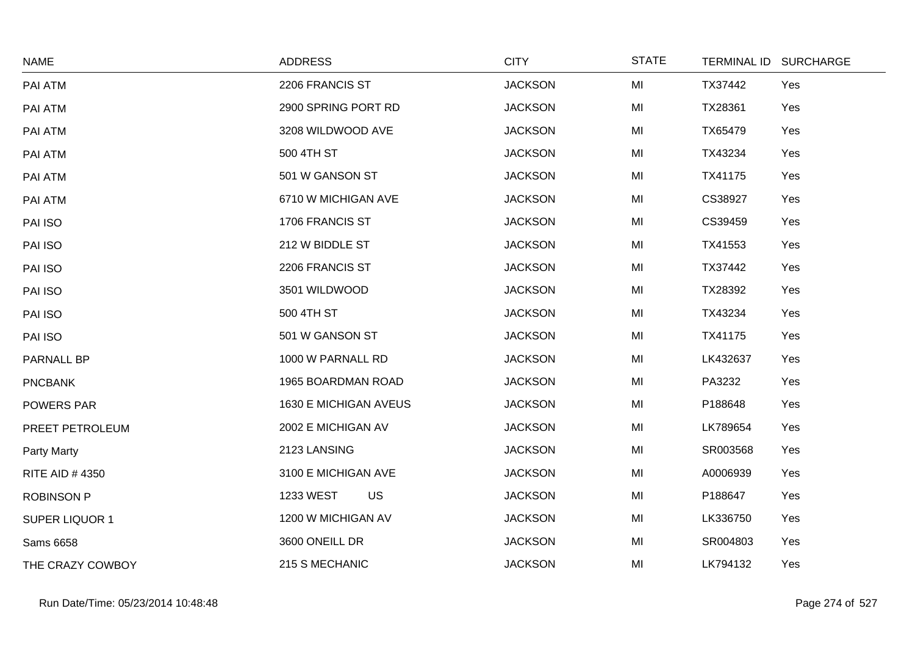| <b>NAME</b>           | <b>ADDRESS</b>        | <b>CITY</b>    | <b>STATE</b> |          | TERMINAL ID SURCHARGE |
|-----------------------|-----------------------|----------------|--------------|----------|-----------------------|
| PAI ATM               | 2206 FRANCIS ST       | <b>JACKSON</b> | MI           | TX37442  | Yes                   |
| PAI ATM               | 2900 SPRING PORT RD   | <b>JACKSON</b> | MI           | TX28361  | Yes                   |
| PAI ATM               | 3208 WILDWOOD AVE     | <b>JACKSON</b> | MI           | TX65479  | Yes                   |
| PAI ATM               | 500 4TH ST            | <b>JACKSON</b> | MI           | TX43234  | Yes                   |
| PAI ATM               | 501 W GANSON ST       | <b>JACKSON</b> | MI           | TX41175  | Yes                   |
| PAI ATM               | 6710 W MICHIGAN AVE   | <b>JACKSON</b> | MI           | CS38927  | Yes                   |
| PAI ISO               | 1706 FRANCIS ST       | <b>JACKSON</b> | MI           | CS39459  | Yes                   |
| PAI ISO               | 212 W BIDDLE ST       | <b>JACKSON</b> | MI           | TX41553  | Yes                   |
| PAI ISO               | 2206 FRANCIS ST       | <b>JACKSON</b> | MI           | TX37442  | Yes                   |
| PAI ISO               | 3501 WILDWOOD         | <b>JACKSON</b> | MI           | TX28392  | Yes                   |
| PAI ISO               | 500 4TH ST            | <b>JACKSON</b> | MI           | TX43234  | Yes                   |
| PAI ISO               | 501 W GANSON ST       | <b>JACKSON</b> | MI           | TX41175  | Yes                   |
| PARNALL BP            | 1000 W PARNALL RD     | <b>JACKSON</b> | MI           | LK432637 | Yes                   |
| <b>PNCBANK</b>        | 1965 BOARDMAN ROAD    | <b>JACKSON</b> | MI           | PA3232   | Yes                   |
| POWERS PAR            | 1630 E MICHIGAN AVEUS | <b>JACKSON</b> | MI           | P188648  | Yes                   |
| PREET PETROLEUM       | 2002 E MICHIGAN AV    | <b>JACKSON</b> | MI           | LK789654 | Yes                   |
| Party Marty           | 2123 LANSING          | <b>JACKSON</b> | MI           | SR003568 | Yes                   |
| <b>RITE AID #4350</b> | 3100 E MICHIGAN AVE   | <b>JACKSON</b> | MI           | A0006939 | Yes                   |
| <b>ROBINSON P</b>     | US<br>1233 WEST       | <b>JACKSON</b> | MI           | P188647  | Yes                   |
| <b>SUPER LIQUOR 1</b> | 1200 W MICHIGAN AV    | <b>JACKSON</b> | MI           | LK336750 | Yes                   |
| Sams 6658             | 3600 ONEILL DR        | <b>JACKSON</b> | MI           | SR004803 | Yes                   |
| THE CRAZY COWBOY      | 215 S MECHANIC        | <b>JACKSON</b> | MI           | LK794132 | Yes                   |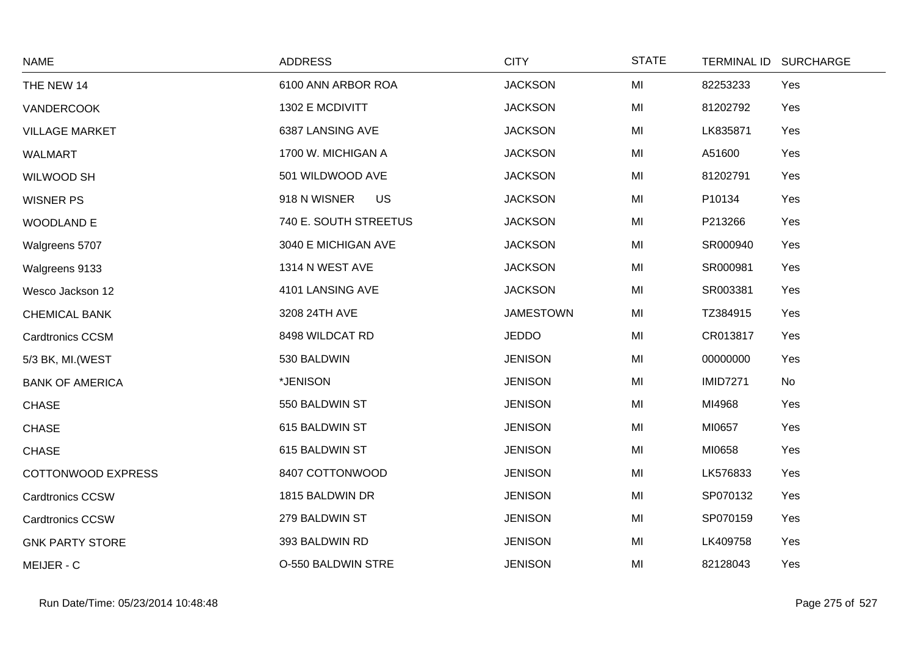| <b>NAME</b>               | <b>ADDRESS</b>            | <b>CITY</b>      | <b>STATE</b> | <b>TERMINAL ID</b> | <b>SURCHARGE</b> |
|---------------------------|---------------------------|------------------|--------------|--------------------|------------------|
| THE NEW 14                | 6100 ANN ARBOR ROA        | <b>JACKSON</b>   | MI           | 82253233           | Yes              |
| <b>VANDERCOOK</b>         | 1302 E MCDIVITT           | <b>JACKSON</b>   | MI           | 81202792           | Yes              |
| <b>VILLAGE MARKET</b>     | 6387 LANSING AVE          | <b>JACKSON</b>   | MI           | LK835871           | Yes              |
| <b>WALMART</b>            | 1700 W. MICHIGAN A        | <b>JACKSON</b>   | MI           | A51600             | Yes              |
| WILWOOD SH                | 501 WILDWOOD AVE          | <b>JACKSON</b>   | MI           | 81202791           | Yes              |
| <b>WISNER PS</b>          | 918 N WISNER<br><b>US</b> | <b>JACKSON</b>   | MI           | P10134             | Yes              |
| <b>WOODLAND E</b>         | 740 E. SOUTH STREETUS     | <b>JACKSON</b>   | MI           | P213266            | Yes              |
| Walgreens 5707            | 3040 E MICHIGAN AVE       | <b>JACKSON</b>   | MI           | SR000940           | Yes              |
| Walgreens 9133            | 1314 N WEST AVE           | <b>JACKSON</b>   | MI           | SR000981           | Yes              |
| Wesco Jackson 12          | 4101 LANSING AVE          | <b>JACKSON</b>   | MI           | SR003381           | Yes              |
| <b>CHEMICAL BANK</b>      | 3208 24TH AVE             | <b>JAMESTOWN</b> | MI           | TZ384915           | Yes              |
| <b>Cardtronics CCSM</b>   | 8498 WILDCAT RD           | <b>JEDDO</b>     | MI           | CR013817           | Yes              |
| 5/3 BK, MI. (WEST         | 530 BALDWIN               | <b>JENISON</b>   | MI           | 00000000           | Yes              |
| <b>BANK OF AMERICA</b>    | *JENISON                  | <b>JENISON</b>   | MI           | <b>IMID7271</b>    | No               |
| <b>CHASE</b>              | 550 BALDWIN ST            | <b>JENISON</b>   | MI           | MI4968             | Yes              |
| <b>CHASE</b>              | 615 BALDWIN ST            | <b>JENISON</b>   | MI           | MI0657             | Yes              |
| <b>CHASE</b>              | 615 BALDWIN ST            | <b>JENISON</b>   | MI           | MI0658             | Yes              |
| <b>COTTONWOOD EXPRESS</b> | 8407 COTTONWOOD           | <b>JENISON</b>   | MI           | LK576833           | Yes              |
| <b>Cardtronics CCSW</b>   | 1815 BALDWIN DR           | <b>JENISON</b>   | MI           | SP070132           | Yes              |
| Cardtronics CCSW          | 279 BALDWIN ST            | <b>JENISON</b>   | MI           | SP070159           | Yes              |
| <b>GNK PARTY STORE</b>    | 393 BALDWIN RD            | <b>JENISON</b>   | MI           | LK409758           | Yes              |
| MEIJER - C                | O-550 BALDWIN STRE        | <b>JENISON</b>   | MI           | 82128043           | Yes              |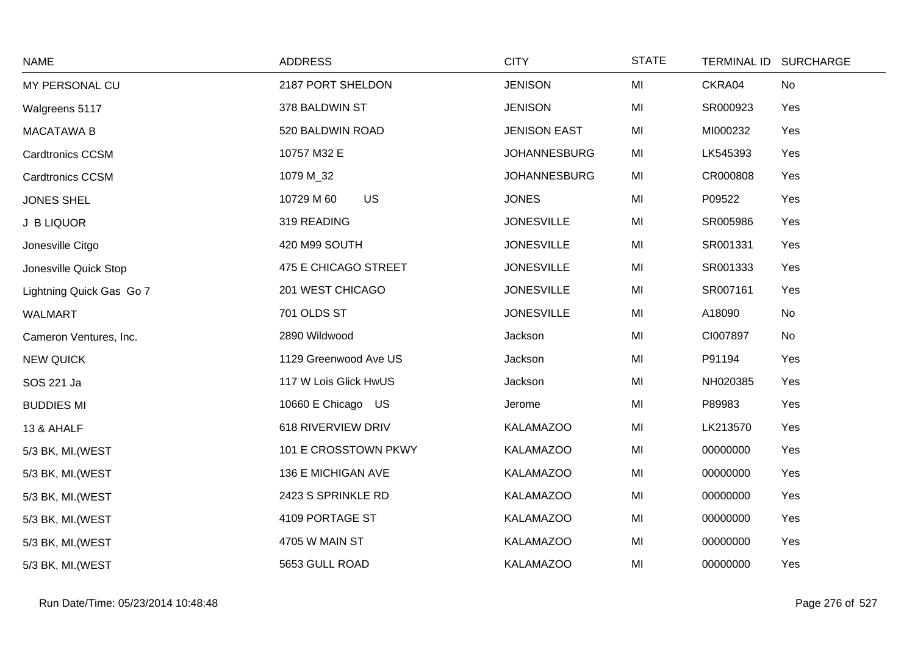| <b>NAME</b>              | <b>ADDRESS</b>          | <b>CITY</b>         | <b>STATE</b> | TERMINAL ID SURCHARGE |  |
|--------------------------|-------------------------|---------------------|--------------|-----------------------|--|
| MY PERSONAL CU           | 2187 PORT SHELDON       | <b>JENISON</b>      | MI           | CKRA04<br>No          |  |
| Walgreens 5117           | 378 BALDWIN ST          | <b>JENISON</b>      | MI           | SR000923<br>Yes       |  |
| <b>MACATAWA B</b>        | 520 BALDWIN ROAD        | <b>JENISON EAST</b> | MI           | MI000232<br>Yes       |  |
| <b>Cardtronics CCSM</b>  | 10757 M32 E             | <b>JOHANNESBURG</b> | MI           | LK545393<br>Yes       |  |
| <b>Cardtronics CCSM</b>  | 1079 M_32               | <b>JOHANNESBURG</b> | MI           | CR000808<br>Yes       |  |
| <b>JONES SHEL</b>        | <b>US</b><br>10729 M 60 | <b>JONES</b>        | MI           | Yes<br>P09522         |  |
| J B LIQUOR               | 319 READING             | <b>JONESVILLE</b>   | MI           | SR005986<br>Yes       |  |
| Jonesville Citgo         | 420 M99 SOUTH           | <b>JONESVILLE</b>   | MI           | SR001331<br>Yes       |  |
| Jonesville Quick Stop    | 475 E CHICAGO STREET    | <b>JONESVILLE</b>   | MI           | SR001333<br>Yes       |  |
| Lightning Quick Gas Go 7 | 201 WEST CHICAGO        | <b>JONESVILLE</b>   | MI           | SR007161<br>Yes       |  |
| WALMART                  | 701 OLDS ST             | <b>JONESVILLE</b>   | MI           | No<br>A18090          |  |
| Cameron Ventures, Inc.   | 2890 Wildwood           | Jackson             | MI           | CI007897<br>No        |  |
| <b>NEW QUICK</b>         | 1129 Greenwood Ave US   | Jackson             | MI           | P91194<br>Yes         |  |
| SOS 221 Ja               | 117 W Lois Glick HwUS   | Jackson             | MI           | NH020385<br>Yes       |  |
| <b>BUDDIES MI</b>        | 10660 E Chicago US      | Jerome              | MI           | P89983<br>Yes         |  |
| 13 & AHALF               | 618 RIVERVIEW DRIV      | <b>KALAMAZOO</b>    | MI           | LK213570<br>Yes       |  |
| 5/3 BK, MI.(WEST         | 101 E CROSSTOWN PKWY    | <b>KALAMAZOO</b>    | MI           | 00000000<br>Yes       |  |
| 5/3 BK, MI. (WEST        | 136 E MICHIGAN AVE      | <b>KALAMAZOO</b>    | MI           | Yes<br>00000000       |  |
| 5/3 BK, MI. (WEST        | 2423 S SPRINKLE RD      | <b>KALAMAZOO</b>    | MI           | 00000000<br>Yes       |  |
| 5/3 BK, MI. (WEST        | 4109 PORTAGE ST         | <b>KALAMAZOO</b>    | MI           | 00000000<br>Yes       |  |
| 5/3 BK, MI. (WEST        | 4705 W MAIN ST          | <b>KALAMAZOO</b>    | MI           | 00000000<br>Yes       |  |
| 5/3 BK, MI.(WEST         | 5653 GULL ROAD          | <b>KALAMAZOO</b>    | MI           | 00000000<br>Yes       |  |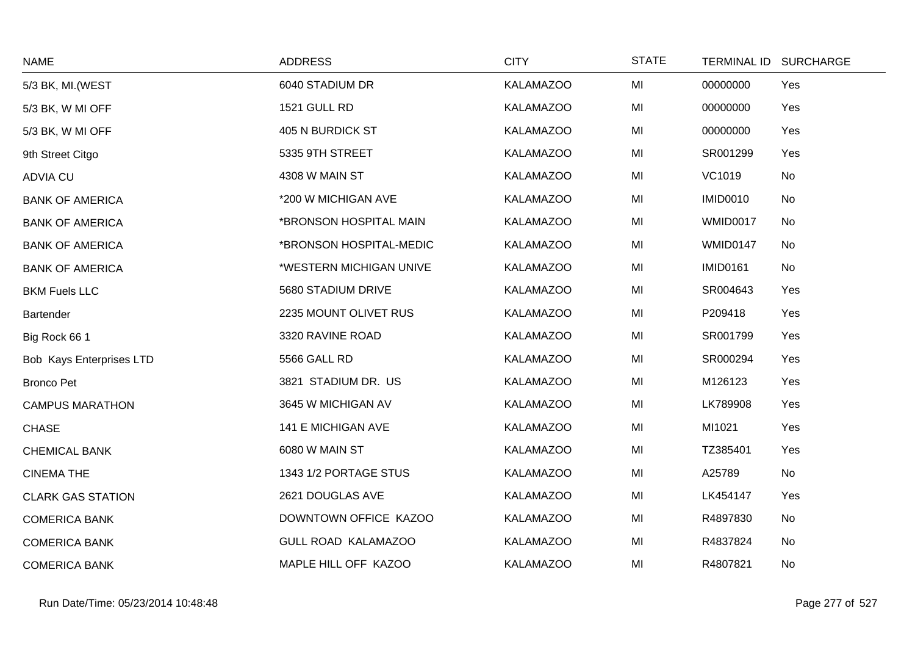| <b>NAME</b>              | <b>ADDRESS</b>             | <b>CITY</b>      | <b>STATE</b> | TERMINAL ID SURCHARGE |     |
|--------------------------|----------------------------|------------------|--------------|-----------------------|-----|
| 5/3 BK, MI. (WEST        | 6040 STADIUM DR            | <b>KALAMAZOO</b> | MI           | 00000000              | Yes |
| 5/3 BK, W MI OFF         | 1521 GULL RD               | <b>KALAMAZOO</b> | MI           | 00000000              | Yes |
| 5/3 BK, W MI OFF         | 405 N BURDICK ST           | <b>KALAMAZOO</b> | MI           | 00000000              | Yes |
| 9th Street Citgo         | 5335 9TH STREET            | <b>KALAMAZOO</b> | MI           | SR001299              | Yes |
| <b>ADVIA CU</b>          | 4308 W MAIN ST             | <b>KALAMAZOO</b> | MI           | VC1019                | No  |
| <b>BANK OF AMERICA</b>   | *200 W MICHIGAN AVE        | <b>KALAMAZOO</b> | MI           | <b>IMID0010</b>       | No  |
| <b>BANK OF AMERICA</b>   | *BRONSON HOSPITAL MAIN     | <b>KALAMAZOO</b> | MI           | <b>WMID0017</b>       | No  |
| <b>BANK OF AMERICA</b>   | *BRONSON HOSPITAL-MEDIC    | <b>KALAMAZOO</b> | MI           | WMID0147              | No  |
| <b>BANK OF AMERICA</b>   | *WESTERN MICHIGAN UNIVE    | <b>KALAMAZOO</b> | MI           | <b>IMID0161</b>       | No  |
| <b>BKM Fuels LLC</b>     | 5680 STADIUM DRIVE         | <b>KALAMAZOO</b> | MI           | SR004643              | Yes |
| Bartender                | 2235 MOUNT OLIVET RUS      | <b>KALAMAZOO</b> | MI           | P209418               | Yes |
| Big Rock 66 1            | 3320 RAVINE ROAD           | <b>KALAMAZOO</b> | MI           | SR001799              | Yes |
| Bob Kays Enterprises LTD | 5566 GALL RD               | <b>KALAMAZOO</b> | MI           | SR000294              | Yes |
| <b>Bronco Pet</b>        | 3821 STADIUM DR. US        | <b>KALAMAZOO</b> | MI           | M126123               | Yes |
| <b>CAMPUS MARATHON</b>   | 3645 W MICHIGAN AV         | <b>KALAMAZOO</b> | MI           | LK789908              | Yes |
| <b>CHASE</b>             | 141 E MICHIGAN AVE         | <b>KALAMAZOO</b> | MI           | MI1021                | Yes |
| <b>CHEMICAL BANK</b>     | 6080 W MAIN ST             | <b>KALAMAZOO</b> | MI           | TZ385401              | Yes |
| <b>CINEMA THE</b>        | 1343 1/2 PORTAGE STUS      | <b>KALAMAZOO</b> | MI           | A25789                | No  |
| <b>CLARK GAS STATION</b> | 2621 DOUGLAS AVE           | <b>KALAMAZOO</b> | MI           | LK454147              | Yes |
| <b>COMERICA BANK</b>     | DOWNTOWN OFFICE KAZOO      | <b>KALAMAZOO</b> | MI           | R4897830              | No  |
| <b>COMERICA BANK</b>     | <b>GULL ROAD KALAMAZOO</b> | <b>KALAMAZOO</b> | MI           | R4837824              | No  |
| <b>COMERICA BANK</b>     | MAPLE HILL OFF KAZOO       | <b>KALAMAZOO</b> | MI           | R4807821              | No  |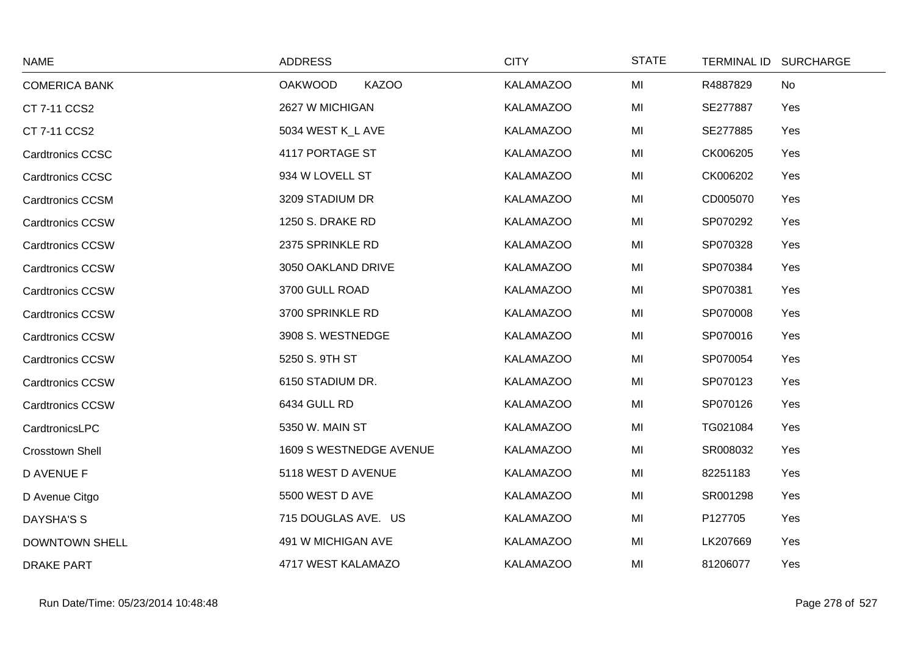| <b>NAME</b>             | <b>ADDRESS</b>                 | <b>CITY</b>      | <b>STATE</b> | TERMINAL ID SURCHARGE |
|-------------------------|--------------------------------|------------------|--------------|-----------------------|
| <b>COMERICA BANK</b>    | <b>KAZOO</b><br><b>OAKWOOD</b> | <b>KALAMAZOO</b> | MI           | R4887829<br>No        |
| CT 7-11 CCS2            | 2627 W MICHIGAN                | <b>KALAMAZOO</b> | MI           | SE277887<br>Yes       |
| CT 7-11 CCS2            | 5034 WEST K_L AVE              | <b>KALAMAZOO</b> | MI           | SE277885<br>Yes       |
| <b>Cardtronics CCSC</b> | 4117 PORTAGE ST                | <b>KALAMAZOO</b> | MI           | CK006205<br>Yes       |
| <b>Cardtronics CCSC</b> | 934 W LOVELL ST                | <b>KALAMAZOO</b> | MI           | CK006202<br>Yes       |
| <b>Cardtronics CCSM</b> | 3209 STADIUM DR                | <b>KALAMAZOO</b> | MI           | CD005070<br>Yes       |
| <b>Cardtronics CCSW</b> | 1250 S. DRAKE RD               | <b>KALAMAZOO</b> | MI           | SP070292<br>Yes       |
| <b>Cardtronics CCSW</b> | 2375 SPRINKLE RD               | <b>KALAMAZOO</b> | MI           | SP070328<br>Yes       |
| <b>Cardtronics CCSW</b> | 3050 OAKLAND DRIVE             | <b>KALAMAZOO</b> | MI           | SP070384<br>Yes       |
| <b>Cardtronics CCSW</b> | 3700 GULL ROAD                 | <b>KALAMAZOO</b> | MI           | SP070381<br>Yes       |
| <b>Cardtronics CCSW</b> | 3700 SPRINKLE RD               | <b>KALAMAZOO</b> | MI           | SP070008<br>Yes       |
| <b>Cardtronics CCSW</b> | 3908 S. WESTNEDGE              | <b>KALAMAZOO</b> | MI           | SP070016<br>Yes       |
| <b>Cardtronics CCSW</b> | 5250 S. 9TH ST                 | <b>KALAMAZOO</b> | MI           | SP070054<br>Yes       |
| <b>Cardtronics CCSW</b> | 6150 STADIUM DR.               | <b>KALAMAZOO</b> | MI           | SP070123<br>Yes       |
| Cardtronics CCSW        | 6434 GULL RD                   | <b>KALAMAZOO</b> | MI           | SP070126<br>Yes       |
| CardtronicsLPC          | 5350 W. MAIN ST                | <b>KALAMAZOO</b> | MI           | TG021084<br>Yes       |
| <b>Crosstown Shell</b>  | 1609 S WESTNEDGE AVENUE        | <b>KALAMAZOO</b> | MI           | SR008032<br>Yes       |
| <b>D AVENUE F</b>       | 5118 WEST D AVENUE             | <b>KALAMAZOO</b> | MI           | 82251183<br>Yes       |
| D Avenue Citgo          | 5500 WEST D AVE                | <b>KALAMAZOO</b> | MI           | SR001298<br>Yes       |
| <b>DAYSHA'S S</b>       | 715 DOUGLAS AVE. US            | <b>KALAMAZOO</b> | MI           | P127705<br>Yes        |
| <b>DOWNTOWN SHELL</b>   | 491 W MICHIGAN AVE             | <b>KALAMAZOO</b> | MI           | LK207669<br>Yes       |
| <b>DRAKE PART</b>       | 4717 WEST KALAMAZO             | <b>KALAMAZOO</b> | MI           | 81206077<br>Yes       |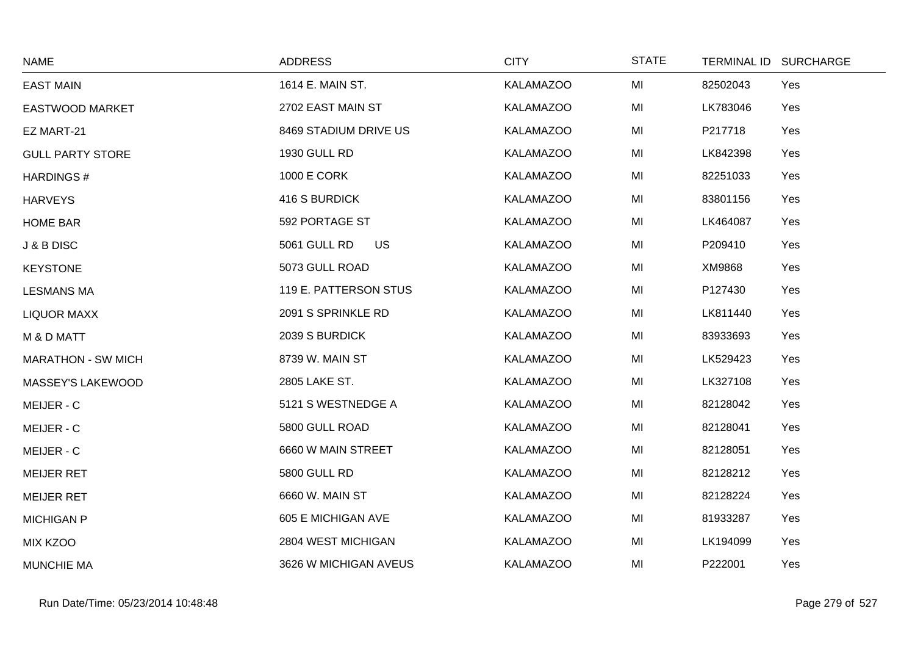| <b>NAME</b>               | <b>ADDRESS</b>            | <b>CITY</b>      | <b>STATE</b> | TERMINAL ID SURCHARGE |
|---------------------------|---------------------------|------------------|--------------|-----------------------|
| <b>EAST MAIN</b>          | 1614 E. MAIN ST.          | <b>KALAMAZOO</b> | MI           | 82502043<br>Yes       |
| <b>EASTWOOD MARKET</b>    | 2702 EAST MAIN ST         | <b>KALAMAZOO</b> | MI           | LK783046<br>Yes       |
| EZ MART-21                | 8469 STADIUM DRIVE US     | <b>KALAMAZOO</b> | MI           | P217718<br>Yes        |
| <b>GULL PARTY STORE</b>   | <b>1930 GULL RD</b>       | <b>KALAMAZOO</b> | MI           | LK842398<br>Yes       |
| <b>HARDINGS#</b>          | <b>1000 E CORK</b>        | <b>KALAMAZOO</b> | MI           | 82251033<br>Yes       |
| <b>HARVEYS</b>            | 416 S BURDICK             | <b>KALAMAZOO</b> | MI           | 83801156<br>Yes       |
| <b>HOME BAR</b>           | 592 PORTAGE ST            | <b>KALAMAZOO</b> | MI           | LK464087<br>Yes       |
| J & B DISC                | 5061 GULL RD<br><b>US</b> | <b>KALAMAZOO</b> | MI           | P209410<br>Yes        |
| <b>KEYSTONE</b>           | 5073 GULL ROAD            | <b>KALAMAZOO</b> | MI           | XM9868<br>Yes         |
| <b>LESMANS MA</b>         | 119 E. PATTERSON STUS     | <b>KALAMAZOO</b> | MI           | P127430<br>Yes        |
| <b>LIQUOR MAXX</b>        | 2091 S SPRINKLE RD        | <b>KALAMAZOO</b> | MI           | LK811440<br>Yes       |
| M & D MATT                | 2039 S BURDICK            | <b>KALAMAZOO</b> | MI           | 83933693<br>Yes       |
| <b>MARATHON - SW MICH</b> | 8739 W. MAIN ST           | <b>KALAMAZOO</b> | MI           | LK529423<br>Yes       |
| MASSEY'S LAKEWOOD         | 2805 LAKE ST.             | <b>KALAMAZOO</b> | MI           | LK327108<br>Yes       |
| MEIJER - C                | 5121 S WESTNEDGE A        | <b>KALAMAZOO</b> | MI           | 82128042<br>Yes       |
| MEIJER - C                | 5800 GULL ROAD            | <b>KALAMAZOO</b> | MI           | 82128041<br>Yes       |
| MEIJER - C                | 6660 W MAIN STREET        | <b>KALAMAZOO</b> | MI           | 82128051<br>Yes       |
| <b>MEIJER RET</b>         | <b>5800 GULL RD</b>       | <b>KALAMAZOO</b> | MI           | 82128212<br>Yes       |
| <b>MEIJER RET</b>         | 6660 W. MAIN ST           | <b>KALAMAZOO</b> | MI           | 82128224<br>Yes       |
| <b>MICHIGAN P</b>         | 605 E MICHIGAN AVE        | <b>KALAMAZOO</b> | MI           | 81933287<br>Yes       |
| <b>MIX KZOO</b>           | 2804 WEST MICHIGAN        | <b>KALAMAZOO</b> | MI           | LK194099<br>Yes       |
| <b>MUNCHIE MA</b>         | 3626 W MICHIGAN AVEUS     | <b>KALAMAZOO</b> | MI           | P222001<br>Yes        |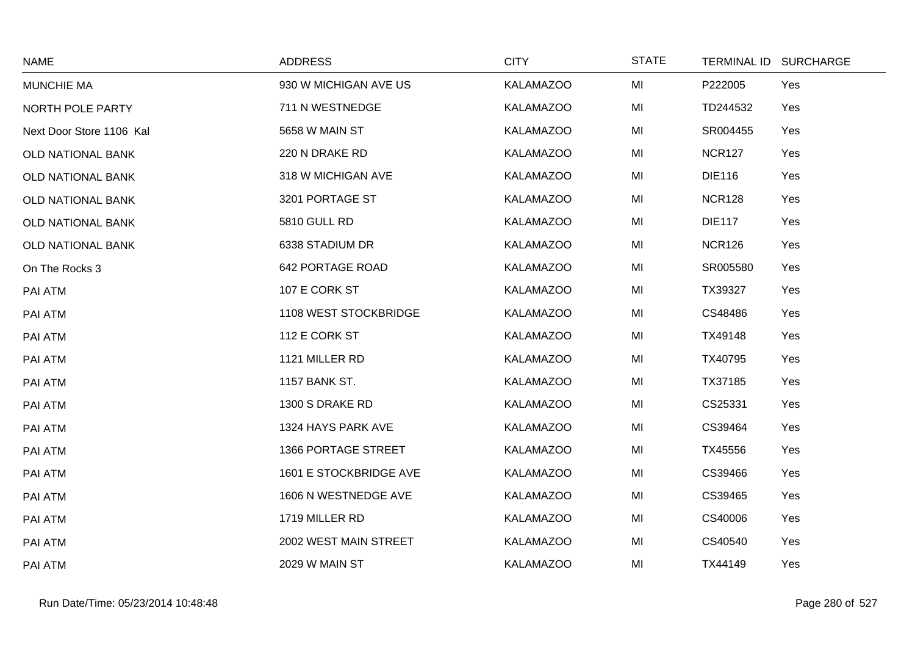| <b>NAME</b>              | <b>ADDRESS</b>         | <b>CITY</b>      | <b>STATE</b> | TERMINAL ID SURCHARGE |  |
|--------------------------|------------------------|------------------|--------------|-----------------------|--|
| <b>MUNCHIE MA</b>        | 930 W MICHIGAN AVE US  | <b>KALAMAZOO</b> | MI           | Yes<br>P222005        |  |
| NORTH POLE PARTY         | 711 N WESTNEDGE        | <b>KALAMAZOO</b> | MI           | TD244532<br>Yes       |  |
| Next Door Store 1106 Kal | 5658 W MAIN ST         | <b>KALAMAZOO</b> | MI           | SR004455<br>Yes       |  |
| <b>OLD NATIONAL BANK</b> | 220 N DRAKE RD         | <b>KALAMAZOO</b> | MI           | <b>NCR127</b><br>Yes  |  |
| OLD NATIONAL BANK        | 318 W MICHIGAN AVE     | <b>KALAMAZOO</b> | MI           | <b>DIE116</b><br>Yes  |  |
| OLD NATIONAL BANK        | 3201 PORTAGE ST        | <b>KALAMAZOO</b> | MI           | <b>NCR128</b><br>Yes  |  |
| OLD NATIONAL BANK        | 5810 GULL RD           | <b>KALAMAZOO</b> | MI           | <b>DIE117</b><br>Yes  |  |
| OLD NATIONAL BANK        | 6338 STADIUM DR        | <b>KALAMAZOO</b> | MI           | <b>NCR126</b><br>Yes  |  |
| On The Rocks 3           | 642 PORTAGE ROAD       | <b>KALAMAZOO</b> | MI           | SR005580<br>Yes       |  |
| PAI ATM                  | 107 E CORK ST          | <b>KALAMAZOO</b> | MI           | TX39327<br>Yes        |  |
| PAI ATM                  | 1108 WEST STOCKBRIDGE  | <b>KALAMAZOO</b> | MI           | CS48486<br>Yes        |  |
| PAI ATM                  | 112 E CORK ST          | <b>KALAMAZOO</b> | MI           | TX49148<br>Yes        |  |
| PAI ATM                  | 1121 MILLER RD         | <b>KALAMAZOO</b> | MI           | TX40795<br>Yes        |  |
| PAI ATM                  | <b>1157 BANK ST.</b>   | <b>KALAMAZOO</b> | MI           | TX37185<br>Yes        |  |
| PAI ATM                  | 1300 S DRAKE RD        | <b>KALAMAZOO</b> | MI           | CS25331<br>Yes        |  |
| PAI ATM                  | 1324 HAYS PARK AVE     | <b>KALAMAZOO</b> | MI           | CS39464<br>Yes        |  |
| PAI ATM                  | 1366 PORTAGE STREET    | <b>KALAMAZOO</b> | MI           | TX45556<br>Yes        |  |
| PAI ATM                  | 1601 E STOCKBRIDGE AVE | <b>KALAMAZOO</b> | MI           | CS39466<br>Yes        |  |
| PAI ATM                  | 1606 N WESTNEDGE AVE   | <b>KALAMAZOO</b> | MI           | CS39465<br>Yes        |  |
| PAI ATM                  | 1719 MILLER RD         | <b>KALAMAZOO</b> | MI           | CS40006<br>Yes        |  |
| PAI ATM                  | 2002 WEST MAIN STREET  | <b>KALAMAZOO</b> | MI           | CS40540<br>Yes        |  |
| PAI ATM                  | 2029 W MAIN ST         | <b>KALAMAZOO</b> | MI           | Yes<br>TX44149        |  |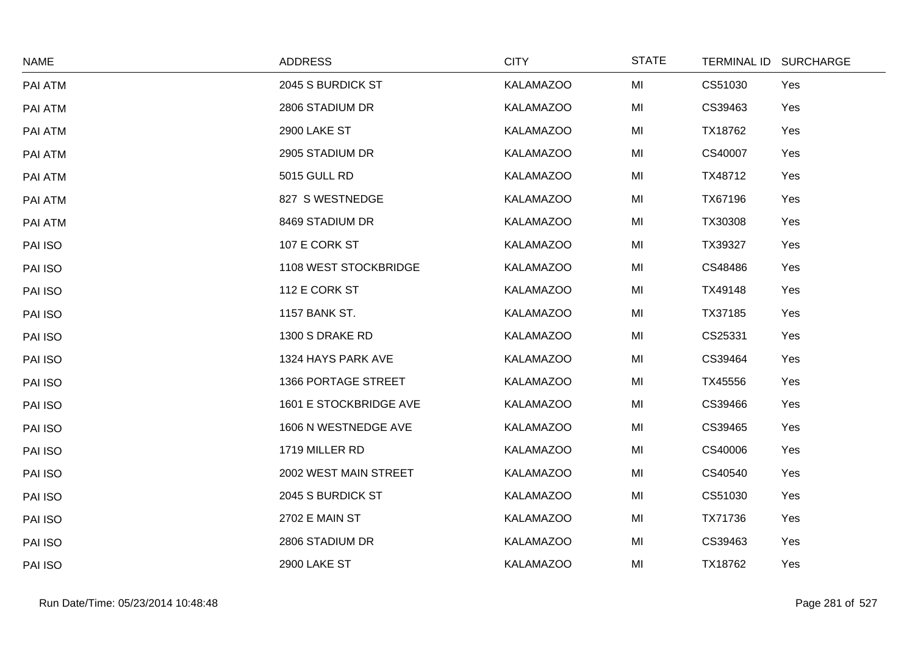| <b>NAME</b> | <b>ADDRESS</b>         | <b>CITY</b>      | <b>STATE</b> |         | TERMINAL ID SURCHARGE |
|-------------|------------------------|------------------|--------------|---------|-----------------------|
| PAI ATM     | 2045 S BURDICK ST      | <b>KALAMAZOO</b> | MI           | CS51030 | Yes                   |
| PAI ATM     | 2806 STADIUM DR        | <b>KALAMAZOO</b> | MI           | CS39463 | Yes                   |
| PAI ATM     | 2900 LAKE ST           | <b>KALAMAZOO</b> | MI           | TX18762 | Yes                   |
| PAI ATM     | 2905 STADIUM DR        | <b>KALAMAZOO</b> | MI           | CS40007 | Yes                   |
| PAI ATM     | <b>5015 GULL RD</b>    | <b>KALAMAZOO</b> | MI           | TX48712 | Yes                   |
| PAI ATM     | 827 S WESTNEDGE        | <b>KALAMAZOO</b> | MI           | TX67196 | Yes                   |
| PAI ATM     | 8469 STADIUM DR        | <b>KALAMAZOO</b> | MI           | TX30308 | Yes                   |
| PAI ISO     | 107 E CORK ST          | <b>KALAMAZOO</b> | MI           | TX39327 | Yes                   |
| PAI ISO     | 1108 WEST STOCKBRIDGE  | <b>KALAMAZOO</b> | MI           | CS48486 | Yes                   |
| PAI ISO     | 112 E CORK ST          | <b>KALAMAZOO</b> | MI           | TX49148 | Yes                   |
| PAI ISO     | <b>1157 BANK ST.</b>   | <b>KALAMAZOO</b> | MI           | TX37185 | Yes                   |
| PAI ISO     | 1300 S DRAKE RD        | <b>KALAMAZOO</b> | MI           | CS25331 | Yes                   |
| PAI ISO     | 1324 HAYS PARK AVE     | <b>KALAMAZOO</b> | MI           | CS39464 | Yes                   |
| PAI ISO     | 1366 PORTAGE STREET    | <b>KALAMAZOO</b> | MI           | TX45556 | Yes                   |
| PAI ISO     | 1601 E STOCKBRIDGE AVE | <b>KALAMAZOO</b> | MI           | CS39466 | Yes                   |
| PAI ISO     | 1606 N WESTNEDGE AVE   | <b>KALAMAZOO</b> | MI           | CS39465 | Yes                   |
| PAI ISO     | 1719 MILLER RD         | <b>KALAMAZOO</b> | MI           | CS40006 | Yes                   |
| PAI ISO     | 2002 WEST MAIN STREET  | <b>KALAMAZOO</b> | MI           | CS40540 | Yes                   |
| PAI ISO     | 2045 S BURDICK ST      | <b>KALAMAZOO</b> | MI           | CS51030 | Yes                   |
| PAI ISO     | 2702 E MAIN ST         | <b>KALAMAZOO</b> | MI           | TX71736 | Yes                   |
| PAI ISO     | 2806 STADIUM DR        | <b>KALAMAZOO</b> | MI           | CS39463 | Yes                   |
| PAI ISO     | 2900 LAKE ST           | <b>KALAMAZOO</b> | MI           | TX18762 | Yes                   |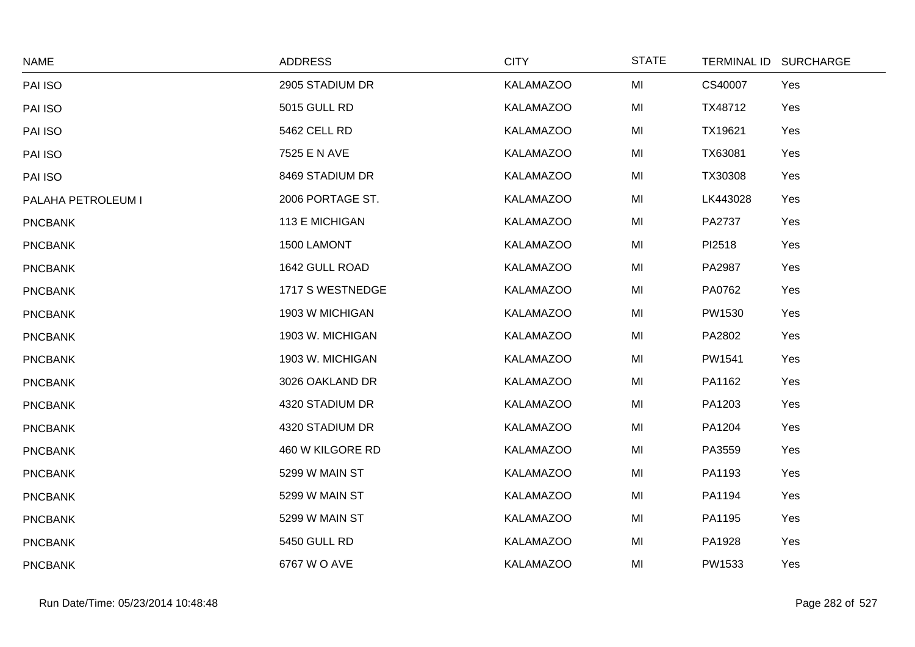| <b>NAME</b>        | <b>ADDRESS</b>      | <b>CITY</b>      | <b>STATE</b> |          | TERMINAL ID SURCHARGE |
|--------------------|---------------------|------------------|--------------|----------|-----------------------|
| PAI ISO            | 2905 STADIUM DR     | <b>KALAMAZOO</b> | MI           | CS40007  | Yes                   |
| PAI ISO            | <b>5015 GULL RD</b> | <b>KALAMAZOO</b> | MI           | TX48712  | Yes                   |
| PAI ISO            | 5462 CELL RD        | <b>KALAMAZOO</b> | MI           | TX19621  | Yes                   |
| PAI ISO            | 7525 E N AVE        | <b>KALAMAZOO</b> | MI           | TX63081  | Yes                   |
| PAI ISO            | 8469 STADIUM DR     | <b>KALAMAZOO</b> | MI           | TX30308  | Yes                   |
| PALAHA PETROLEUM I | 2006 PORTAGE ST.    | <b>KALAMAZOO</b> | MI           | LK443028 | Yes                   |
| <b>PNCBANK</b>     | 113 E MICHIGAN      | <b>KALAMAZOO</b> | MI           | PA2737   | Yes                   |
| <b>PNCBANK</b>     | 1500 LAMONT         | <b>KALAMAZOO</b> | MI           | PI2518   | Yes                   |
| <b>PNCBANK</b>     | 1642 GULL ROAD      | <b>KALAMAZOO</b> | MI           | PA2987   | Yes                   |
| <b>PNCBANK</b>     | 1717 S WESTNEDGE    | <b>KALAMAZOO</b> | MI           | PA0762   | Yes                   |
| <b>PNCBANK</b>     | 1903 W MICHIGAN     | <b>KALAMAZOO</b> | MI           | PW1530   | Yes                   |
| <b>PNCBANK</b>     | 1903 W. MICHIGAN    | <b>KALAMAZOO</b> | MI           | PA2802   | Yes                   |
| <b>PNCBANK</b>     | 1903 W. MICHIGAN    | <b>KALAMAZOO</b> | MI           | PW1541   | Yes                   |
| <b>PNCBANK</b>     | 3026 OAKLAND DR     | <b>KALAMAZOO</b> | MI           | PA1162   | Yes                   |
| <b>PNCBANK</b>     | 4320 STADIUM DR     | <b>KALAMAZOO</b> | MI           | PA1203   | Yes                   |
| <b>PNCBANK</b>     | 4320 STADIUM DR     | <b>KALAMAZOO</b> | MI           | PA1204   | Yes                   |
| <b>PNCBANK</b>     | 460 W KILGORE RD    | <b>KALAMAZOO</b> | MI           | PA3559   | Yes                   |
| <b>PNCBANK</b>     | 5299 W MAIN ST      | <b>KALAMAZOO</b> | MI           | PA1193   | Yes                   |
| <b>PNCBANK</b>     | 5299 W MAIN ST      | <b>KALAMAZOO</b> | MI           | PA1194   | Yes                   |
| <b>PNCBANK</b>     | 5299 W MAIN ST      | <b>KALAMAZOO</b> | MI           | PA1195   | Yes                   |
| <b>PNCBANK</b>     | 5450 GULL RD        | <b>KALAMAZOO</b> | MI           | PA1928   | Yes                   |
| <b>PNCBANK</b>     | 6767 W O AVE        | <b>KALAMAZOO</b> | MI           | PW1533   | Yes                   |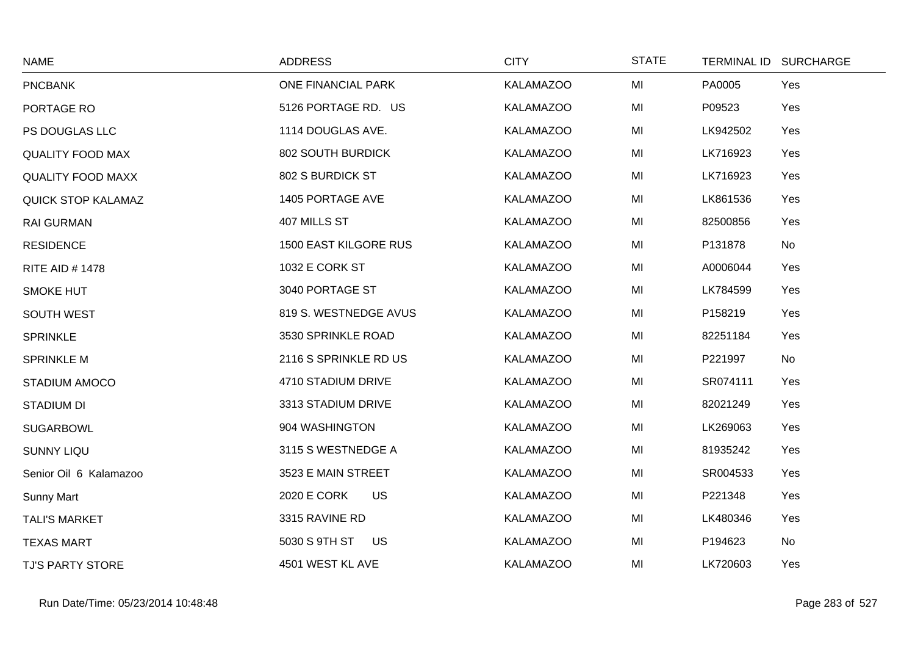| <b>NAME</b>               | <b>ADDRESS</b>                  | <b>CITY</b>      | <b>STATE</b> | TERMINAL ID SURCHARGE |
|---------------------------|---------------------------------|------------------|--------------|-----------------------|
| <b>PNCBANK</b>            | ONE FINANCIAL PARK              | <b>KALAMAZOO</b> | MI           | PA0005<br>Yes         |
| PORTAGE RO                | 5126 PORTAGE RD. US             | <b>KALAMAZOO</b> | MI           | P09523<br>Yes         |
| PS DOUGLAS LLC            | 1114 DOUGLAS AVE.               | <b>KALAMAZOO</b> | MI           | LK942502<br>Yes       |
| <b>QUALITY FOOD MAX</b>   | 802 SOUTH BURDICK               | <b>KALAMAZOO</b> | MI           | LK716923<br>Yes       |
| <b>QUALITY FOOD MAXX</b>  | 802 S BURDICK ST                | <b>KALAMAZOO</b> | MI           | LK716923<br>Yes       |
| <b>QUICK STOP KALAMAZ</b> | 1405 PORTAGE AVE                | <b>KALAMAZOO</b> | MI           | LK861536<br>Yes       |
| <b>RAI GURMAN</b>         | 407 MILLS ST                    | <b>KALAMAZOO</b> | MI           | 82500856<br>Yes       |
| <b>RESIDENCE</b>          | <b>1500 EAST KILGORE RUS</b>    | <b>KALAMAZOO</b> | MI           | P131878<br>No         |
| <b>RITE AID #1478</b>     | 1032 E CORK ST                  | <b>KALAMAZOO</b> | MI           | A0006044<br>Yes       |
| <b>SMOKE HUT</b>          | 3040 PORTAGE ST                 | <b>KALAMAZOO</b> | MI           | LK784599<br>Yes       |
| <b>SOUTH WEST</b>         | 819 S. WESTNEDGE AVUS           | <b>KALAMAZOO</b> | MI           | P158219<br>Yes        |
| <b>SPRINKLE</b>           | 3530 SPRINKLE ROAD              | <b>KALAMAZOO</b> | MI           | 82251184<br>Yes       |
| <b>SPRINKLE M</b>         | 2116 S SPRINKLE RD US           | <b>KALAMAZOO</b> | MI           | No<br>P221997         |
| STADIUM AMOCO             | 4710 STADIUM DRIVE              | <b>KALAMAZOO</b> | MI           | SR074111<br>Yes       |
| <b>STADIUM DI</b>         | 3313 STADIUM DRIVE              | <b>KALAMAZOO</b> | MI           | 82021249<br>Yes       |
| <b>SUGARBOWL</b>          | 904 WASHINGTON                  | <b>KALAMAZOO</b> | MI           | LK269063<br>Yes       |
| <b>SUNNY LIQU</b>         | 3115 S WESTNEDGE A              | <b>KALAMAZOO</b> | MI           | 81935242<br>Yes       |
| Senior Oil 6 Kalamazoo    | 3523 E MAIN STREET              | <b>KALAMAZOO</b> | MI           | SR004533<br>Yes       |
| <b>Sunny Mart</b>         | <b>2020 E CORK</b><br><b>US</b> | <b>KALAMAZOO</b> | MI           | P221348<br>Yes        |
| <b>TALI'S MARKET</b>      | 3315 RAVINE RD                  | <b>KALAMAZOO</b> | MI           | LK480346<br>Yes       |
| <b>TEXAS MART</b>         | 5030 S 9TH ST<br>US             | <b>KALAMAZOO</b> | MI           | P194623<br>No         |
| <b>TJ'S PARTY STORE</b>   | 4501 WEST KL AVE                | <b>KALAMAZOO</b> | MI           | LK720603<br>Yes       |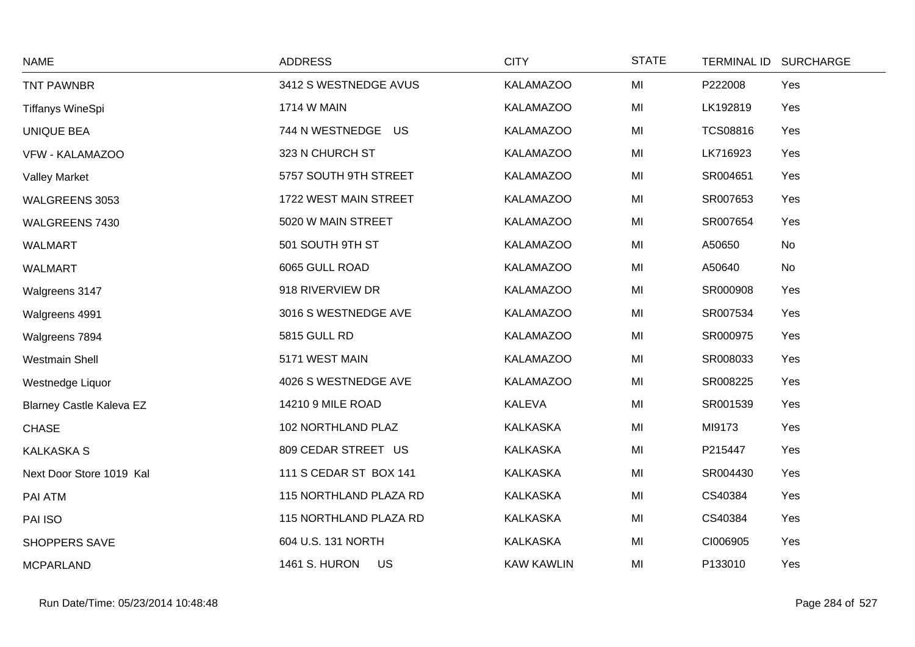| <b>NAME</b>                     | <b>ADDRESS</b>             | <b>CITY</b>       | <b>STATE</b> | TERMINAL ID SURCHARGE  |  |
|---------------------------------|----------------------------|-------------------|--------------|------------------------|--|
| <b>TNT PAWNBR</b>               | 3412 S WESTNEDGE AVUS      | <b>KALAMAZOO</b>  | MI           | P222008<br>Yes         |  |
| <b>Tiffanys WineSpi</b>         | <b>1714 W MAIN</b>         | <b>KALAMAZOO</b>  | MI           | LK192819<br>Yes        |  |
| <b>UNIQUE BEA</b>               | 744 N WESTNEDGE US         | <b>KALAMAZOO</b>  | MI           | <b>TCS08816</b><br>Yes |  |
| VFW - KALAMAZOO                 | 323 N CHURCH ST            | <b>KALAMAZOO</b>  | MI           | LK716923<br>Yes        |  |
| <b>Valley Market</b>            | 5757 SOUTH 9TH STREET      | <b>KALAMAZOO</b>  | MI           | SR004651<br>Yes        |  |
| WALGREENS 3053                  | 1722 WEST MAIN STREET      | <b>KALAMAZOO</b>  | MI           | SR007653<br>Yes        |  |
| WALGREENS 7430                  | 5020 W MAIN STREET         | <b>KALAMAZOO</b>  | MI           | SR007654<br>Yes        |  |
| <b>WALMART</b>                  | 501 SOUTH 9TH ST           | <b>KALAMAZOO</b>  | MI           | A50650<br>No           |  |
| <b>WALMART</b>                  | 6065 GULL ROAD             | <b>KALAMAZOO</b>  | MI           | A50640<br>No           |  |
| Walgreens 3147                  | 918 RIVERVIEW DR           | <b>KALAMAZOO</b>  | MI           | SR000908<br>Yes        |  |
| Walgreens 4991                  | 3016 S WESTNEDGE AVE       | <b>KALAMAZOO</b>  | MI           | SR007534<br>Yes        |  |
| Walgreens 7894                  | 5815 GULL RD               | <b>KALAMAZOO</b>  | MI           | SR000975<br>Yes        |  |
| <b>Westmain Shell</b>           | 5171 WEST MAIN             | <b>KALAMAZOO</b>  | MI           | SR008033<br>Yes        |  |
| Westnedge Liquor                | 4026 S WESTNEDGE AVE       | <b>KALAMAZOO</b>  | MI           | SR008225<br>Yes        |  |
| <b>Blarney Castle Kaleva EZ</b> | 14210 9 MILE ROAD          | <b>KALEVA</b>     | MI           | SR001539<br>Yes        |  |
| <b>CHASE</b>                    | 102 NORTHLAND PLAZ         | <b>KALKASKA</b>   | MI           | MI9173<br>Yes          |  |
| <b>KALKASKA S</b>               | 809 CEDAR STREET US        | <b>KALKASKA</b>   | MI           | P215447<br>Yes         |  |
| Next Door Store 1019 Kal        | 111 S CEDAR ST BOX 141     | <b>KALKASKA</b>   | MI           | SR004430<br>Yes        |  |
| PAI ATM                         | 115 NORTHLAND PLAZA RD     | <b>KALKASKA</b>   | MI           | CS40384<br>Yes         |  |
| PAI ISO                         | 115 NORTHLAND PLAZA RD     | <b>KALKASKA</b>   | MI           | CS40384<br>Yes         |  |
| <b>SHOPPERS SAVE</b>            | 604 U.S. 131 NORTH         | <b>KALKASKA</b>   | MI           | CI006905<br>Yes        |  |
| <b>MCPARLAND</b>                | <b>1461 S. HURON</b><br>US | <b>KAW KAWLIN</b> | MI           | P133010<br>Yes         |  |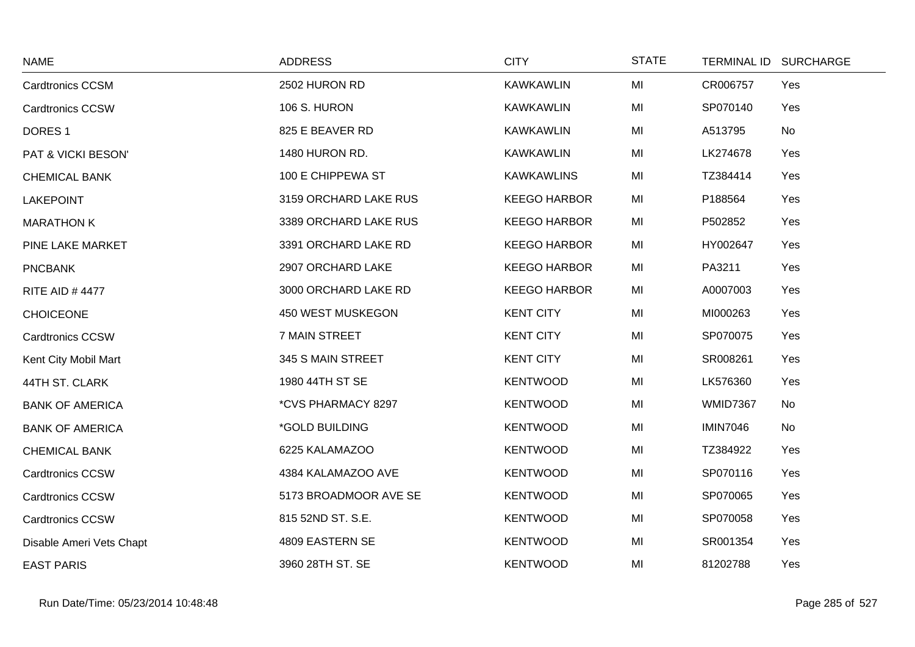| <b>NAME</b>              | <b>ADDRESS</b>        | <b>CITY</b>         | <b>STATE</b> |                 | TERMINAL ID SURCHARGE |
|--------------------------|-----------------------|---------------------|--------------|-----------------|-----------------------|
| <b>Cardtronics CCSM</b>  | 2502 HURON RD         | <b>KAWKAWLIN</b>    | MI           | CR006757        | Yes                   |
| <b>Cardtronics CCSW</b>  | 106 S. HURON          | <b>KAWKAWLIN</b>    | MI           | SP070140        | Yes                   |
| DORES <sub>1</sub>       | 825 E BEAVER RD       | <b>KAWKAWLIN</b>    | MI           | A513795         | No                    |
| PAT & VICKI BESON'       | 1480 HURON RD.        | <b>KAWKAWLIN</b>    | MI           | LK274678        | Yes                   |
| <b>CHEMICAL BANK</b>     | 100 E CHIPPEWA ST     | <b>KAWKAWLINS</b>   | MI           | TZ384414        | Yes                   |
| <b>LAKEPOINT</b>         | 3159 ORCHARD LAKE RUS | <b>KEEGO HARBOR</b> | MI           | P188564         | Yes                   |
| <b>MARATHON K</b>        | 3389 ORCHARD LAKE RUS | <b>KEEGO HARBOR</b> | MI           | P502852         | Yes                   |
| PINE LAKE MARKET         | 3391 ORCHARD LAKE RD  | <b>KEEGO HARBOR</b> | MI           | HY002647        | Yes                   |
| <b>PNCBANK</b>           | 2907 ORCHARD LAKE     | <b>KEEGO HARBOR</b> | MI           | PA3211          | Yes                   |
| <b>RITE AID #4477</b>    | 3000 ORCHARD LAKE RD  | <b>KEEGO HARBOR</b> | MI           | A0007003        | Yes                   |
| <b>CHOICEONE</b>         | 450 WEST MUSKEGON     | <b>KENT CITY</b>    | MI           | MI000263        | Yes                   |
| <b>Cardtronics CCSW</b>  | 7 MAIN STREET         | <b>KENT CITY</b>    | MI           | SP070075        | Yes                   |
| Kent City Mobil Mart     | 345 S MAIN STREET     | <b>KENT CITY</b>    | MI           | SR008261        | Yes                   |
| 44TH ST. CLARK           | 1980 44TH ST SE       | <b>KENTWOOD</b>     | MI           | LK576360        | Yes                   |
| <b>BANK OF AMERICA</b>   | *CVS PHARMACY 8297    | <b>KENTWOOD</b>     | MI           | <b>WMID7367</b> | No                    |
| <b>BANK OF AMERICA</b>   | *GOLD BUILDING        | <b>KENTWOOD</b>     | MI           | <b>IMIN7046</b> | No                    |
| <b>CHEMICAL BANK</b>     | 6225 KALAMAZOO        | <b>KENTWOOD</b>     | MI           | TZ384922        | Yes                   |
| <b>Cardtronics CCSW</b>  | 4384 KALAMAZOO AVE    | <b>KENTWOOD</b>     | MI           | SP070116        | Yes                   |
| <b>Cardtronics CCSW</b>  | 5173 BROADMOOR AVE SE | <b>KENTWOOD</b>     | MI           | SP070065        | Yes                   |
| <b>Cardtronics CCSW</b>  | 815 52ND ST. S.E.     | <b>KENTWOOD</b>     | MI           | SP070058        | Yes                   |
| Disable Ameri Vets Chapt | 4809 EASTERN SE       | <b>KENTWOOD</b>     | MI           | SR001354        | Yes                   |
| <b>EAST PARIS</b>        | 3960 28TH ST. SE      | <b>KENTWOOD</b>     | MI           | 81202788        | Yes                   |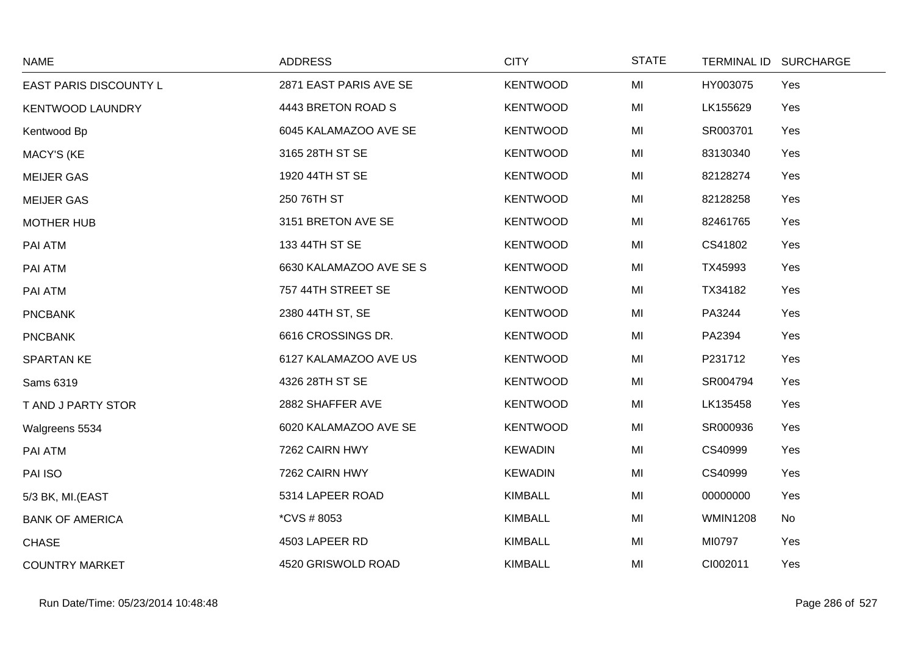| <b>NAME</b>             | <b>ADDRESS</b>          | <b>CITY</b>     | <b>STATE</b> | <b>TERMINAL ID</b> | <b>SURCHARGE</b> |
|-------------------------|-------------------------|-----------------|--------------|--------------------|------------------|
| EAST PARIS DISCOUNTY L  | 2871 EAST PARIS AVE SE  | <b>KENTWOOD</b> | MI           | HY003075           | Yes              |
| <b>KENTWOOD LAUNDRY</b> | 4443 BRETON ROAD S      | <b>KENTWOOD</b> | MI           | LK155629           | Yes              |
| Kentwood Bp             | 6045 KALAMAZOO AVE SE   | <b>KENTWOOD</b> | MI           | SR003701           | Yes              |
| <b>MACY'S (KE</b>       | 3165 28TH ST SE         | <b>KENTWOOD</b> | MI           | 83130340           | Yes              |
| <b>MEIJER GAS</b>       | 1920 44TH ST SE         | <b>KENTWOOD</b> | MI           | 82128274           | Yes              |
| <b>MEIJER GAS</b>       | 250 76TH ST             | <b>KENTWOOD</b> | MI           | 82128258           | Yes              |
| <b>MOTHER HUB</b>       | 3151 BRETON AVE SE      | <b>KENTWOOD</b> | MI           | 82461765           | Yes              |
| PAI ATM                 | 133 44TH ST SE          | <b>KENTWOOD</b> | MI           | CS41802            | Yes              |
| PAI ATM                 | 6630 KALAMAZOO AVE SE S | <b>KENTWOOD</b> | MI           | TX45993            | Yes              |
| PAI ATM                 | 757 44TH STREET SE      | <b>KENTWOOD</b> | MI           | TX34182            | Yes              |
| <b>PNCBANK</b>          | 2380 44TH ST, SE        | <b>KENTWOOD</b> | MI           | PA3244             | Yes              |
| <b>PNCBANK</b>          | 6616 CROSSINGS DR.      | <b>KENTWOOD</b> | MI           | PA2394             | Yes              |
| <b>SPARTAN KE</b>       | 6127 KALAMAZOO AVE US   | <b>KENTWOOD</b> | MI           | P231712            | Yes              |
| Sams 6319               | 4326 28TH ST SE         | <b>KENTWOOD</b> | MI           | SR004794           | Yes              |
| T AND J PARTY STOR      | 2882 SHAFFER AVE        | <b>KENTWOOD</b> | MI           | LK135458           | Yes              |
| Walgreens 5534          | 6020 KALAMAZOO AVE SE   | <b>KENTWOOD</b> | MI           | SR000936           | Yes              |
| PAI ATM                 | 7262 CAIRN HWY          | <b>KEWADIN</b>  | MI           | CS40999            | Yes              |
| PAI ISO                 | 7262 CAIRN HWY          | <b>KEWADIN</b>  | MI           | CS40999            | Yes              |
| 5/3 BK, MI.(EAST        | 5314 LAPEER ROAD        | <b>KIMBALL</b>  | MI           | 00000000           | Yes              |
| <b>BANK OF AMERICA</b>  | *CVS # 8053             | <b>KIMBALL</b>  | MI           | <b>WMIN1208</b>    | No               |
| <b>CHASE</b>            | 4503 LAPEER RD          | <b>KIMBALL</b>  | MI           | MI0797             | Yes              |
| <b>COUNTRY MARKET</b>   | 4520 GRISWOLD ROAD      | <b>KIMBALL</b>  | MI           | CI002011           | Yes              |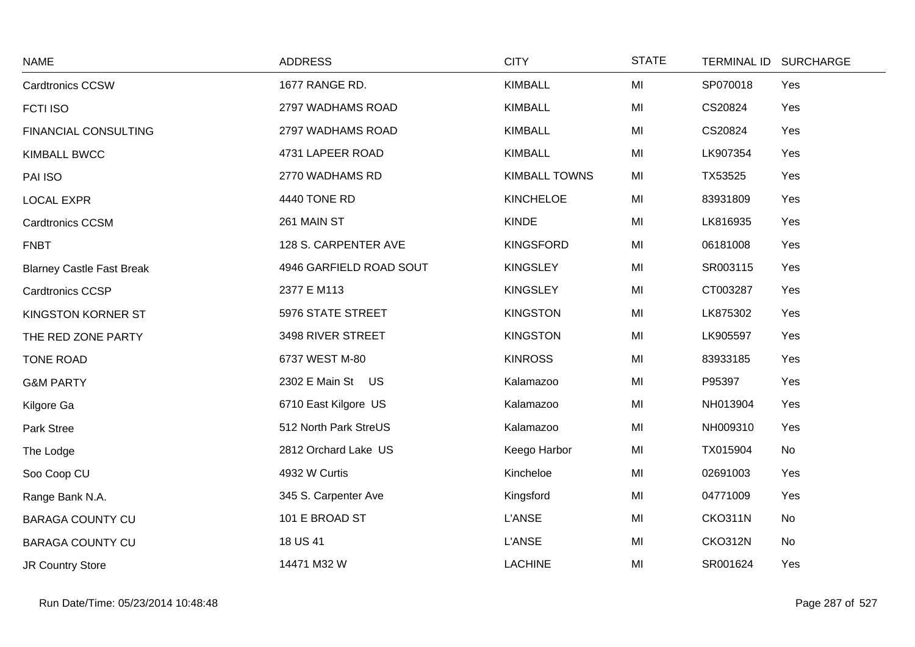| <b>NAME</b>                      | <b>ADDRESS</b>          | <b>CITY</b>          | <b>STATE</b> | TERMINAL ID SURCHARGE |  |
|----------------------------------|-------------------------|----------------------|--------------|-----------------------|--|
| <b>Cardtronics CCSW</b>          | 1677 RANGE RD.          | <b>KIMBALL</b>       | MI           | SP070018<br>Yes       |  |
| FCTI ISO                         | 2797 WADHAMS ROAD       | <b>KIMBALL</b>       | MI           | CS20824<br>Yes        |  |
| <b>FINANCIAL CONSULTING</b>      | 2797 WADHAMS ROAD       | <b>KIMBALL</b>       | MI           | CS20824<br>Yes        |  |
| <b>KIMBALL BWCC</b>              | 4731 LAPEER ROAD        | <b>KIMBALL</b>       | MI           | Yes<br>LK907354       |  |
| PAI ISO                          | 2770 WADHAMS RD         | <b>KIMBALL TOWNS</b> | MI           | TX53525<br>Yes        |  |
| <b>LOCAL EXPR</b>                | 4440 TONE RD            | <b>KINCHELOE</b>     | MI           | 83931809<br>Yes       |  |
| <b>Cardtronics CCSM</b>          | 261 MAIN ST             | <b>KINDE</b>         | MI           | Yes<br>LK816935       |  |
| <b>FNBT</b>                      | 128 S. CARPENTER AVE    | <b>KINGSFORD</b>     | MI           | 06181008<br>Yes       |  |
| <b>Blarney Castle Fast Break</b> | 4946 GARFIELD ROAD SOUT | <b>KINGSLEY</b>      | MI           | SR003115<br>Yes       |  |
| <b>Cardtronics CCSP</b>          | 2377 E M113             | <b>KINGSLEY</b>      | MI           | CT003287<br>Yes       |  |
| KINGSTON KORNER ST               | 5976 STATE STREET       | <b>KINGSTON</b>      | MI           | LK875302<br>Yes       |  |
| THE RED ZONE PARTY               | 3498 RIVER STREET       | <b>KINGSTON</b>      | MI           | LK905597<br>Yes       |  |
| <b>TONE ROAD</b>                 | 6737 WEST M-80          | <b>KINROSS</b>       | MI           | 83933185<br>Yes       |  |
| <b>G&amp;M PARTY</b>             | 2302 E Main St US       | Kalamazoo            | MI           | P95397<br>Yes         |  |
| Kilgore Ga                       | 6710 East Kilgore US    | Kalamazoo            | MI           | Yes<br>NH013904       |  |
| Park Stree                       | 512 North Park StreUS   | Kalamazoo            | MI           | NH009310<br>Yes       |  |
| The Lodge                        | 2812 Orchard Lake US    | Keego Harbor         | MI           | No<br>TX015904        |  |
| Soo Coop CU                      | 4932 W Curtis           | Kincheloe            | MI           | 02691003<br>Yes       |  |
| Range Bank N.A.                  | 345 S. Carpenter Ave    | Kingsford            | MI           | 04771009<br>Yes       |  |
| <b>BARAGA COUNTY CU</b>          | 101 E BROAD ST          | <b>L'ANSE</b>        | MI           | <b>CKO311N</b><br>No  |  |
| <b>BARAGA COUNTY CU</b>          | 18 US 41                | <b>L'ANSE</b>        | MI           | CKO312N<br>No         |  |
| <b>JR Country Store</b>          | 14471 M32 W             | <b>LACHINE</b>       | MI           | SR001624<br>Yes       |  |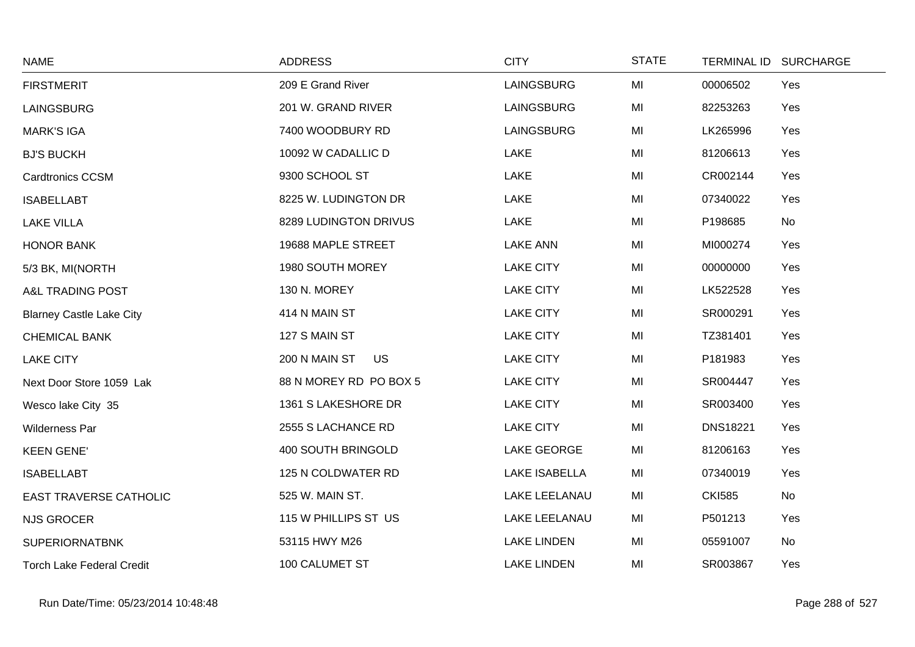| <b>NAME</b>                      | <b>ADDRESS</b>             | <b>CITY</b>          | <b>STATE</b> |                 | TERMINAL ID SURCHARGE |
|----------------------------------|----------------------------|----------------------|--------------|-----------------|-----------------------|
| <b>FIRSTMERIT</b>                | 209 E Grand River          | <b>LAINGSBURG</b>    | MI           | 00006502        | Yes                   |
| LAINGSBURG                       | 201 W. GRAND RIVER         | LAINGSBURG           | MI           | 82253263        | Yes                   |
| <b>MARK'S IGA</b>                | 7400 WOODBURY RD           | LAINGSBURG           | MI           | LK265996        | Yes                   |
| <b>BJ'S BUCKH</b>                | 10092 W CADALLIC D         | <b>LAKE</b>          | MI           | 81206613        | Yes                   |
| <b>Cardtronics CCSM</b>          | 9300 SCHOOL ST             | LAKE                 | MI           | CR002144        | Yes                   |
| <b>ISABELLABT</b>                | 8225 W. LUDINGTON DR       | <b>LAKE</b>          | MI           | 07340022        | Yes                   |
| <b>LAKE VILLA</b>                | 8289 LUDINGTON DRIVUS      | LAKE                 | MI           | P198685         | No                    |
| <b>HONOR BANK</b>                | 19688 MAPLE STREET         | <b>LAKE ANN</b>      | MI           | MI000274        | Yes                   |
| 5/3 BK, MI(NORTH                 | 1980 SOUTH MOREY           | <b>LAKE CITY</b>     | MI           | 00000000        | Yes                   |
| A&L TRADING POST                 | 130 N. MOREY               | <b>LAKE CITY</b>     | MI           | LK522528        | Yes                   |
| <b>Blarney Castle Lake City</b>  | 414 N MAIN ST              | <b>LAKE CITY</b>     | MI           | SR000291        | Yes                   |
| <b>CHEMICAL BANK</b>             | 127 S MAIN ST              | <b>LAKE CITY</b>     | MI           | TZ381401        | Yes                   |
| <b>LAKE CITY</b>                 | 200 N MAIN ST<br><b>US</b> | <b>LAKE CITY</b>     | MI           | P181983         | Yes                   |
| Next Door Store 1059 Lak         | 88 N MOREY RD PO BOX 5     | <b>LAKE CITY</b>     | MI           | SR004447        | Yes                   |
| Wesco lake City 35               | 1361 S LAKESHORE DR        | <b>LAKE CITY</b>     | MI           | SR003400        | Yes                   |
| Wilderness Par                   | 2555 S LACHANCE RD         | <b>LAKE CITY</b>     | MI           | <b>DNS18221</b> | Yes                   |
| <b>KEEN GENE'</b>                | 400 SOUTH BRINGOLD         | LAKE GEORGE          | MI           | 81206163        | Yes                   |
| <b>ISABELLABT</b>                | 125 N COLDWATER RD         | <b>LAKE ISABELLA</b> | MI           | 07340019        | Yes                   |
| <b>EAST TRAVERSE CATHOLIC</b>    | 525 W. MAIN ST.            | <b>LAKE LEELANAU</b> | MI           | <b>CKI585</b>   | No                    |
| <b>NJS GROCER</b>                | 115 W PHILLIPS ST US       | LAKE LEELANAU        | MI           | P501213         | Yes                   |
| <b>SUPERIORNATBNK</b>            | 53115 HWY M26              | <b>LAKE LINDEN</b>   | MI           | 05591007        | No                    |
| <b>Torch Lake Federal Credit</b> | 100 CALUMET ST             | <b>LAKE LINDEN</b>   | MI           | SR003867        | Yes                   |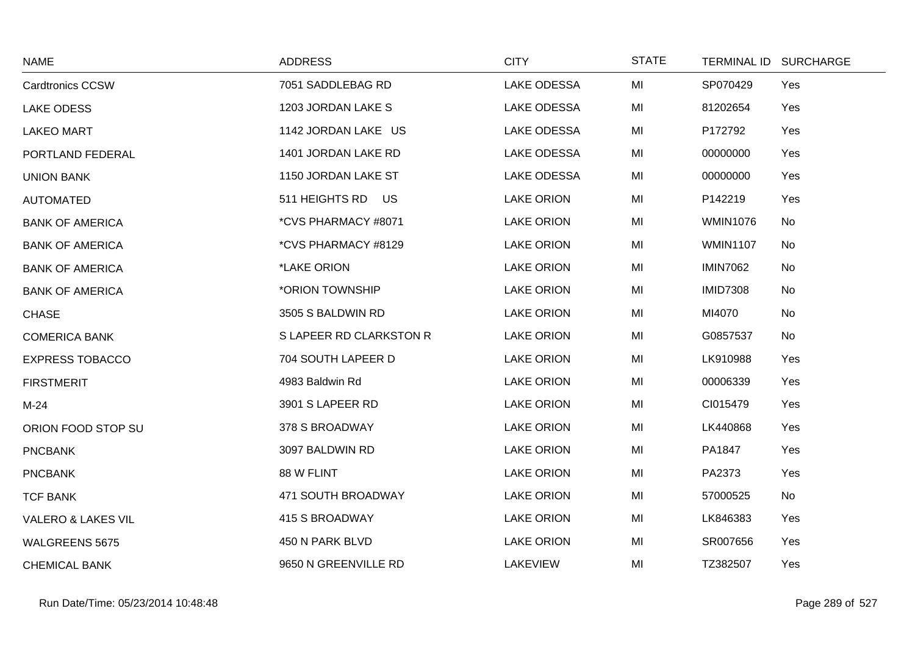| <b>NAME</b>                   | <b>ADDRESS</b>          | <b>CITY</b>        | <b>STATE</b> |                 | TERMINAL ID SURCHARGE |
|-------------------------------|-------------------------|--------------------|--------------|-----------------|-----------------------|
| <b>Cardtronics CCSW</b>       | 7051 SADDLEBAG RD       | <b>LAKE ODESSA</b> | MI           | SP070429        | Yes                   |
| <b>LAKE ODESS</b>             | 1203 JORDAN LAKE S      | <b>LAKE ODESSA</b> | MI           | 81202654        | Yes                   |
| <b>LAKEO MART</b>             | 1142 JORDAN LAKE US     | <b>LAKE ODESSA</b> | MI           | P172792         | Yes                   |
| PORTLAND FEDERAL              | 1401 JORDAN LAKE RD     | <b>LAKE ODESSA</b> | MI           | 00000000        | Yes                   |
| <b>UNION BANK</b>             | 1150 JORDAN LAKE ST     | <b>LAKE ODESSA</b> | MI           | 00000000        | Yes                   |
| <b>AUTOMATED</b>              | 511 HEIGHTS RD US       | <b>LAKE ORION</b>  | MI           | P142219         | Yes                   |
| <b>BANK OF AMERICA</b>        | *CVS PHARMACY #8071     | <b>LAKE ORION</b>  | MI           | <b>WMIN1076</b> | No                    |
| <b>BANK OF AMERICA</b>        | *CVS PHARMACY #8129     | <b>LAKE ORION</b>  | MI           | <b>WMIN1107</b> | No                    |
| <b>BANK OF AMERICA</b>        | *LAKE ORION             | <b>LAKE ORION</b>  | MI           | <b>IMIN7062</b> | No                    |
| <b>BANK OF AMERICA</b>        | *ORION TOWNSHIP         | <b>LAKE ORION</b>  | MI           | <b>IMID7308</b> | No                    |
| CHASE                         | 3505 S BALDWIN RD       | <b>LAKE ORION</b>  | MI           | MI4070          | No                    |
| <b>COMERICA BANK</b>          | S LAPEER RD CLARKSTON R | <b>LAKE ORION</b>  | MI           | G0857537        | No                    |
| <b>EXPRESS TOBACCO</b>        | 704 SOUTH LAPEER D      | <b>LAKE ORION</b>  | MI           | LK910988        | Yes                   |
| <b>FIRSTMERIT</b>             | 4983 Baldwin Rd         | <b>LAKE ORION</b>  | MI           | 00006339        | Yes                   |
| $M-24$                        | 3901 S LAPEER RD        | <b>LAKE ORION</b>  | MI           | CI015479        | Yes                   |
| ORION FOOD STOP SU            | 378 S BROADWAY          | <b>LAKE ORION</b>  | MI           | LK440868        | Yes                   |
| <b>PNCBANK</b>                | 3097 BALDWIN RD         | <b>LAKE ORION</b>  | MI           | PA1847          | Yes                   |
| <b>PNCBANK</b>                | 88 W FLINT              | <b>LAKE ORION</b>  | MI           | PA2373          | Yes                   |
| <b>TCF BANK</b>               | 471 SOUTH BROADWAY      | <b>LAKE ORION</b>  | MI           | 57000525        | No                    |
| <b>VALERO &amp; LAKES VIL</b> | 415 S BROADWAY          | <b>LAKE ORION</b>  | MI           | LK846383        | Yes                   |
| WALGREENS 5675                | 450 N PARK BLVD         | <b>LAKE ORION</b>  | MI           | SR007656        | Yes                   |
| <b>CHEMICAL BANK</b>          | 9650 N GREENVILLE RD    | <b>LAKEVIEW</b>    | MI           | TZ382507        | Yes                   |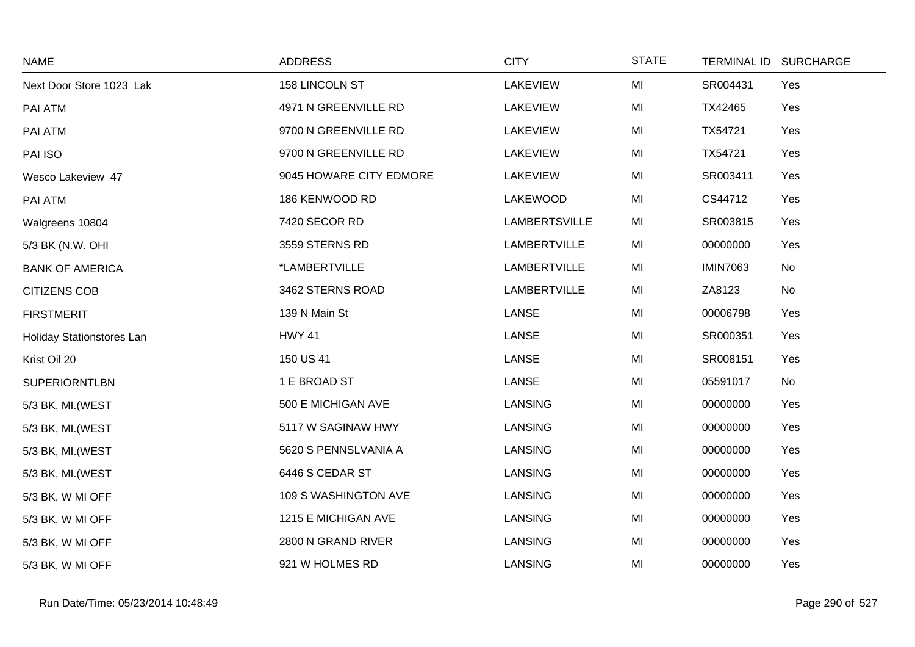| <b>NAME</b>               | <b>ADDRESS</b>          | <b>CITY</b>          | <b>STATE</b> | <b>TERMINAL ID</b> | <b>SURCHARGE</b> |
|---------------------------|-------------------------|----------------------|--------------|--------------------|------------------|
| Next Door Store 1023 Lak  | 158 LINCOLN ST          | <b>LAKEVIEW</b>      | MI           | SR004431           | Yes              |
| PAI ATM                   | 4971 N GREENVILLE RD    | <b>LAKEVIEW</b>      | MI           | TX42465            | Yes              |
| PAI ATM                   | 9700 N GREENVILLE RD    | LAKEVIEW             | MI           | TX54721            | Yes              |
| PAI ISO                   | 9700 N GREENVILLE RD    | <b>LAKEVIEW</b>      | MI           | TX54721            | Yes              |
| Wesco Lakeview 47         | 9045 HOWARE CITY EDMORE | <b>LAKEVIEW</b>      | MI           | SR003411           | Yes              |
| PAI ATM                   | 186 KENWOOD RD          | <b>LAKEWOOD</b>      | MI           | CS44712            | Yes              |
| Walgreens 10804           | 7420 SECOR RD           | <b>LAMBERTSVILLE</b> | MI           | SR003815           | Yes              |
| 5/3 BK (N.W. OHI          | 3559 STERNS RD          | LAMBERTVILLE         | MI           | 00000000           | Yes              |
| <b>BANK OF AMERICA</b>    | *LAMBERTVILLE           | <b>LAMBERTVILLE</b>  | MI           | <b>IMIN7063</b>    | No               |
| <b>CITIZENS COB</b>       | 3462 STERNS ROAD        | <b>LAMBERTVILLE</b>  | MI           | ZA8123             | No               |
| <b>FIRSTMERIT</b>         | 139 N Main St           | <b>LANSE</b>         | MI           | 00006798           | Yes              |
| Holiday Stationstores Lan | <b>HWY 41</b>           | LANSE                | MI           | SR000351           | Yes              |
| Krist Oil 20              | 150 US 41               | LANSE                | MI           | SR008151           | Yes              |
| <b>SUPERIORNTLBN</b>      | 1 E BROAD ST            | <b>LANSE</b>         | MI           | 05591017           | No               |
| 5/3 BK, MI. (WEST         | 500 E MICHIGAN AVE      | <b>LANSING</b>       | MI           | 00000000           | Yes              |
| 5/3 BK, MI.(WEST          | 5117 W SAGINAW HWY      | <b>LANSING</b>       | MI           | 00000000           | Yes              |
| 5/3 BK, MI.(WEST          | 5620 S PENNSLVANIA A    | <b>LANSING</b>       | MI           | 00000000           | Yes              |
| 5/3 BK, MI. (WEST         | 6446 S CEDAR ST         | LANSING              | MI           | 00000000           | Yes              |
| 5/3 BK, W MI OFF          | 109 S WASHINGTON AVE    | <b>LANSING</b>       | MI           | 00000000           | Yes              |
| 5/3 BK, W MI OFF          | 1215 E MICHIGAN AVE     | <b>LANSING</b>       | MI           | 00000000           | Yes              |
| 5/3 BK, W MI OFF          | 2800 N GRAND RIVER      | LANSING              | MI           | 00000000           | Yes              |
| 5/3 BK, W MI OFF          | 921 W HOLMES RD         | <b>LANSING</b>       | MI           | 00000000           | Yes              |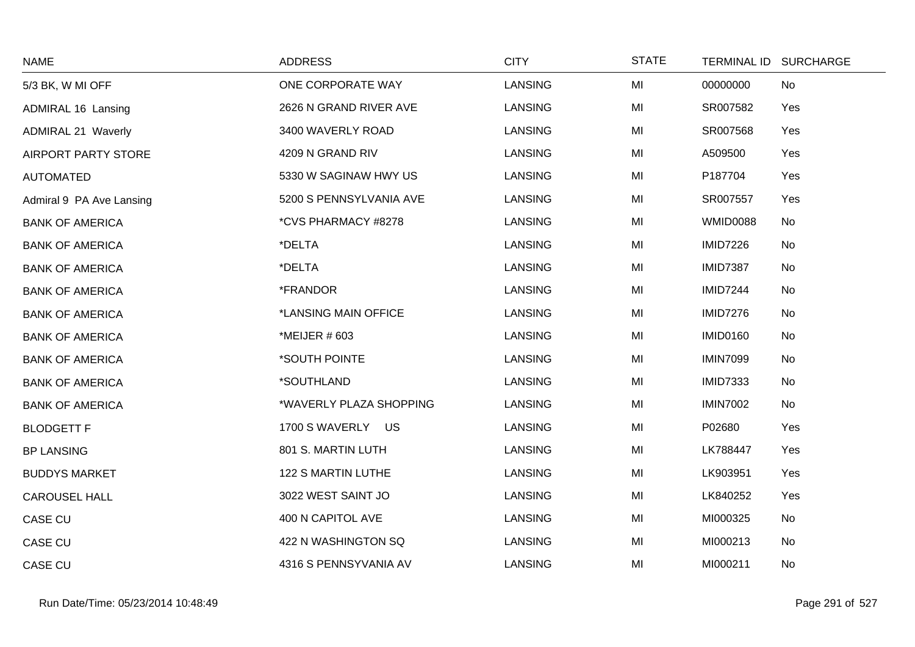| <b>NAME</b>                | <b>ADDRESS</b>          | <b>CITY</b>    | <b>STATE</b> |                 | TERMINAL ID SURCHARGE |
|----------------------------|-------------------------|----------------|--------------|-----------------|-----------------------|
| 5/3 BK, W MI OFF           | ONE CORPORATE WAY       | <b>LANSING</b> | MI           | 00000000        | No                    |
| ADMIRAL 16 Lansing         | 2626 N GRAND RIVER AVE  | LANSING        | MI           | SR007582        | Yes                   |
| <b>ADMIRAL 21 Waverly</b>  | 3400 WAVERLY ROAD       | <b>LANSING</b> | MI           | SR007568        | Yes                   |
| <b>AIRPORT PARTY STORE</b> | 4209 N GRAND RIV        | <b>LANSING</b> | MI           | A509500         | Yes                   |
| <b>AUTOMATED</b>           | 5330 W SAGINAW HWY US   | <b>LANSING</b> | MI           | P187704         | Yes                   |
| Admiral 9 PA Ave Lansing   | 5200 S PENNSYLVANIA AVE | LANSING        | MI           | SR007557        | Yes                   |
| <b>BANK OF AMERICA</b>     | *CVS PHARMACY #8278     | LANSING        | MI           | <b>WMID0088</b> | No                    |
| <b>BANK OF AMERICA</b>     | *DELTA                  | <b>LANSING</b> | MI           | <b>IMID7226</b> | No                    |
| <b>BANK OF AMERICA</b>     | *DELTA                  | LANSING        | MI           | <b>IMID7387</b> | No                    |
| <b>BANK OF AMERICA</b>     | *FRANDOR                | <b>LANSING</b> | MI           | <b>IMID7244</b> | No                    |
| <b>BANK OF AMERICA</b>     | *LANSING MAIN OFFICE    | <b>LANSING</b> | MI           | <b>IMID7276</b> | No                    |
| <b>BANK OF AMERICA</b>     | *MEIJER # 603           | LANSING        | MI           | <b>IMID0160</b> | No                    |
| <b>BANK OF AMERICA</b>     | *SOUTH POINTE           | <b>LANSING</b> | MI           | <b>IMIN7099</b> | No                    |
| <b>BANK OF AMERICA</b>     | *SOUTHLAND              | <b>LANSING</b> | MI           | <b>IMID7333</b> | No                    |
| <b>BANK OF AMERICA</b>     | *WAVERLY PLAZA SHOPPING | <b>LANSING</b> | MI           | <b>IMIN7002</b> | No                    |
| <b>BLODGETT F</b>          | 1700 S WAVERLY US       | LANSING        | MI           | P02680          | Yes                   |
| <b>BP LANSING</b>          | 801 S. MARTIN LUTH      | <b>LANSING</b> | MI           | LK788447        | Yes                   |
| <b>BUDDYS MARKET</b>       | 122 S MARTIN LUTHE      | <b>LANSING</b> | MI           | LK903951        | Yes                   |
| <b>CAROUSEL HALL</b>       | 3022 WEST SAINT JO      | LANSING        | MI           | LK840252        | Yes                   |
| CASE CU                    | 400 N CAPITOL AVE       | <b>LANSING</b> | MI           | MI000325        | No                    |
| CASE CU                    | 422 N WASHINGTON SQ     | <b>LANSING</b> | MI           | MI000213        | No                    |
| <b>CASE CU</b>             | 4316 S PENNSYVANIA AV   | LANSING        | MI           | MI000211        | No                    |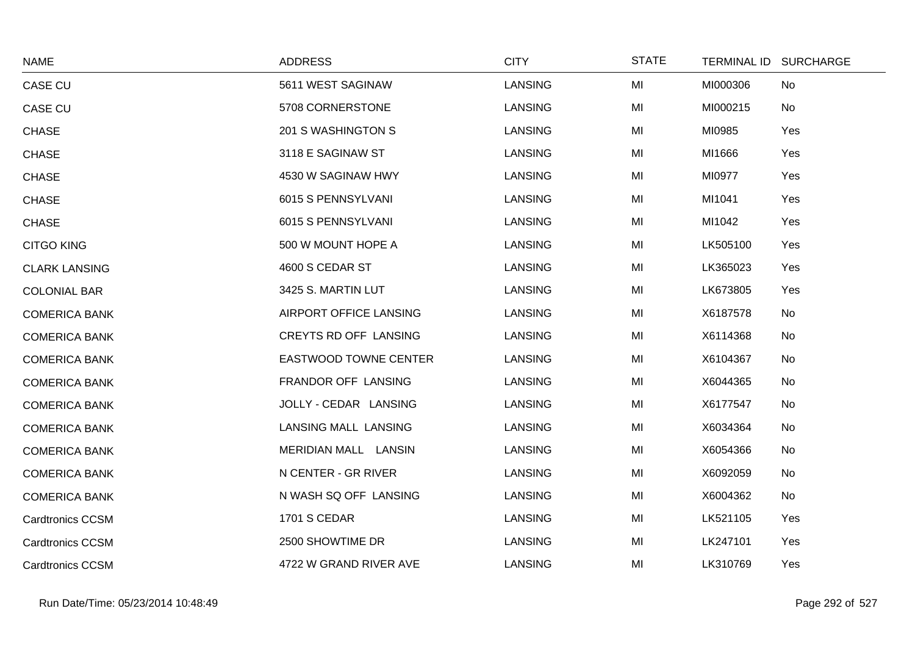| <b>NAME</b>             | <b>ADDRESS</b>               | <b>CITY</b>    | <b>STATE</b> |          | TERMINAL ID SURCHARGE |
|-------------------------|------------------------------|----------------|--------------|----------|-----------------------|
| CASE CU                 | 5611 WEST SAGINAW            | <b>LANSING</b> | MI           | MI000306 | No                    |
| <b>CASE CU</b>          | 5708 CORNERSTONE             | <b>LANSING</b> | MI           | MI000215 | No                    |
| <b>CHASE</b>            | 201 S WASHINGTON S           | <b>LANSING</b> | MI           | MI0985   | Yes                   |
| <b>CHASE</b>            | 3118 E SAGINAW ST            | <b>LANSING</b> | MI           | MI1666   | Yes                   |
| <b>CHASE</b>            | 4530 W SAGINAW HWY           | <b>LANSING</b> | MI           | MI0977   | Yes                   |
| <b>CHASE</b>            | 6015 S PENNSYLVANI           | <b>LANSING</b> | MI           | MI1041   | Yes                   |
| <b>CHASE</b>            | 6015 S PENNSYLVANI           | <b>LANSING</b> | MI           | MI1042   | Yes                   |
| <b>CITGO KING</b>       | 500 W MOUNT HOPE A           | <b>LANSING</b> | MI           | LK505100 | Yes                   |
| <b>CLARK LANSING</b>    | 4600 S CEDAR ST              | <b>LANSING</b> | MI           | LK365023 | Yes                   |
| <b>COLONIAL BAR</b>     | 3425 S. MARTIN LUT           | <b>LANSING</b> | MI           | LK673805 | Yes                   |
| <b>COMERICA BANK</b>    | AIRPORT OFFICE LANSING       | <b>LANSING</b> | MI           | X6187578 | No                    |
| <b>COMERICA BANK</b>    | CREYTS RD OFF LANSING        | <b>LANSING</b> | MI           | X6114368 | No                    |
| <b>COMERICA BANK</b>    | <b>EASTWOOD TOWNE CENTER</b> | <b>LANSING</b> | MI           | X6104367 | No                    |
| <b>COMERICA BANK</b>    | FRANDOR OFF LANSING          | <b>LANSING</b> | MI           | X6044365 | No                    |
| <b>COMERICA BANK</b>    | JOLLY - CEDAR LANSING        | <b>LANSING</b> | MI           | X6177547 | No                    |
| <b>COMERICA BANK</b>    | <b>LANSING MALL LANSING</b>  | <b>LANSING</b> | MI           | X6034364 | No                    |
| <b>COMERICA BANK</b>    | MERIDIAN MALL LANSIN         | LANSING        | MI           | X6054366 | No                    |
| <b>COMERICA BANK</b>    | N CENTER - GR RIVER          | LANSING        | MI           | X6092059 | No                    |
| <b>COMERICA BANK</b>    | N WASH SQ OFF LANSING        | <b>LANSING</b> | MI           | X6004362 | No                    |
| <b>Cardtronics CCSM</b> | <b>1701 S CEDAR</b>          | <b>LANSING</b> | MI           | LK521105 | Yes                   |
| <b>Cardtronics CCSM</b> | 2500 SHOWTIME DR             | LANSING        | MI           | LK247101 | Yes                   |
| <b>Cardtronics CCSM</b> | 4722 W GRAND RIVER AVE       | <b>LANSING</b> | MI           | LK310769 | Yes                   |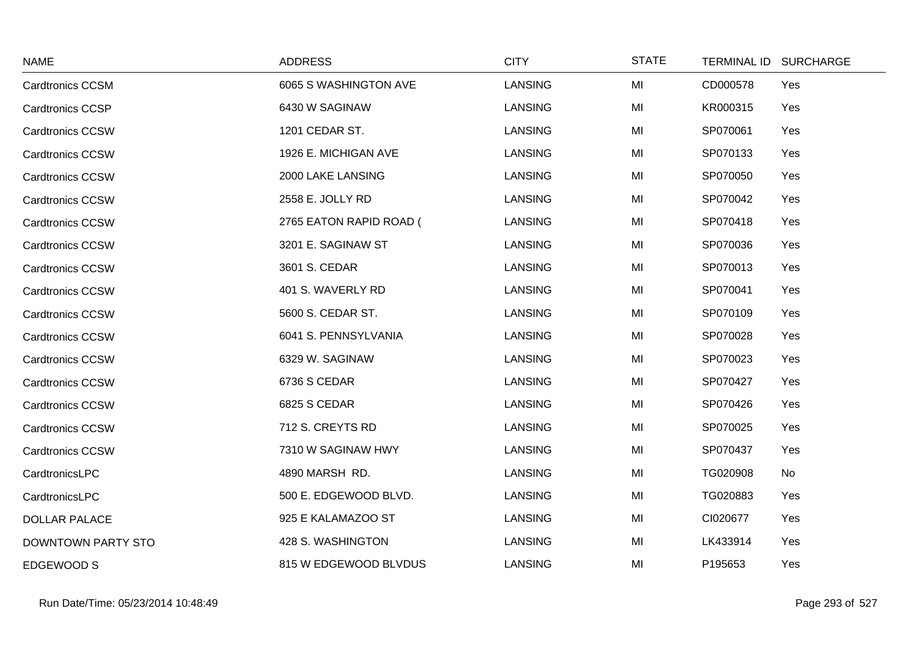| <b>NAME</b>             | <b>ADDRESS</b>          | <b>CITY</b>    | <b>STATE</b> | <b>TERMINAL ID</b> | <b>SURCHARGE</b> |
|-------------------------|-------------------------|----------------|--------------|--------------------|------------------|
| <b>Cardtronics CCSM</b> | 6065 S WASHINGTON AVE   | LANSING        | MI           | CD000578           | Yes              |
| <b>Cardtronics CCSP</b> | 6430 W SAGINAW          | <b>LANSING</b> | MI           | KR000315           | Yes              |
| <b>Cardtronics CCSW</b> | 1201 CEDAR ST.          | <b>LANSING</b> | MI           | SP070061           | Yes              |
| <b>Cardtronics CCSW</b> | 1926 E. MICHIGAN AVE    | <b>LANSING</b> | MI           | SP070133           | Yes              |
| <b>Cardtronics CCSW</b> | 2000 LAKE LANSING       | <b>LANSING</b> | MI           | SP070050           | Yes              |
| <b>Cardtronics CCSW</b> | 2558 E. JOLLY RD        | <b>LANSING</b> | MI           | SP070042           | Yes              |
| <b>Cardtronics CCSW</b> | 2765 EATON RAPID ROAD ( | LANSING        | MI           | SP070418           | Yes              |
| <b>Cardtronics CCSW</b> | 3201 E. SAGINAW ST      | <b>LANSING</b> | MI           | SP070036           | Yes              |
| <b>Cardtronics CCSW</b> | 3601 S. CEDAR           | <b>LANSING</b> | MI           | SP070013           | Yes              |
| <b>Cardtronics CCSW</b> | 401 S. WAVERLY RD       | <b>LANSING</b> | MI           | SP070041           | Yes              |
| <b>Cardtronics CCSW</b> | 5600 S. CEDAR ST.       | <b>LANSING</b> | MI           | SP070109           | Yes              |
| <b>Cardtronics CCSW</b> | 6041 S. PENNSYLVANIA    | LANSING        | MI           | SP070028           | Yes              |
| <b>Cardtronics CCSW</b> | 6329 W. SAGINAW         | <b>LANSING</b> | MI           | SP070023           | Yes              |
| <b>Cardtronics CCSW</b> | 6736 S CEDAR            | <b>LANSING</b> | MI           | SP070427           | Yes              |
| <b>Cardtronics CCSW</b> | 6825 S CEDAR            | <b>LANSING</b> | MI           | SP070426           | Yes              |
| <b>Cardtronics CCSW</b> | 712 S. CREYTS RD        | <b>LANSING</b> | MI           | SP070025           | Yes              |
| <b>Cardtronics CCSW</b> | 7310 W SAGINAW HWY      | <b>LANSING</b> | MI           | SP070437           | Yes              |
| CardtronicsLPC          | 4890 MARSH RD.          | <b>LANSING</b> | MI           | TG020908           | No               |
| CardtronicsLPC          | 500 E. EDGEWOOD BLVD.   | LANSING        | MI           | TG020883           | Yes              |
| <b>DOLLAR PALACE</b>    | 925 E KALAMAZOO ST      | <b>LANSING</b> | MI           | CI020677           | Yes              |
| DOWNTOWN PARTY STO      | 428 S. WASHINGTON       | <b>LANSING</b> | MI           | LK433914           | Yes              |
| EDGEWOOD S              | 815 W EDGEWOOD BLVDUS   | <b>LANSING</b> | MI           | P195653            | Yes              |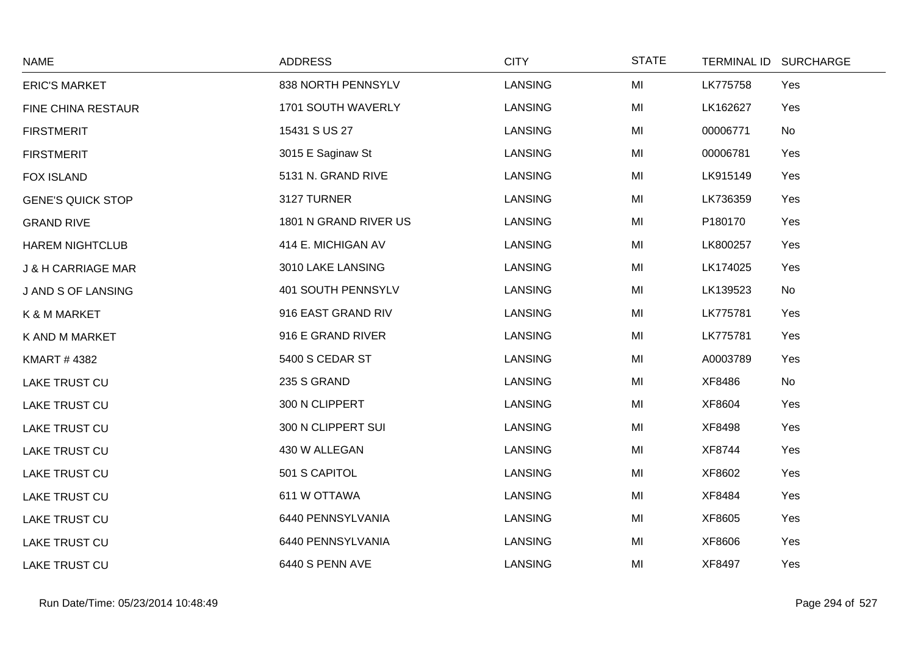| <b>NAME</b>                   | <b>ADDRESS</b>        | <b>CITY</b>    | <b>STATE</b> | <b>TERMINAL ID</b> | <b>SURCHARGE</b> |
|-------------------------------|-----------------------|----------------|--------------|--------------------|------------------|
| <b>ERIC'S MARKET</b>          | 838 NORTH PENNSYLV    | <b>LANSING</b> | MI           | LK775758           | Yes              |
| FINE CHINA RESTAUR            | 1701 SOUTH WAVERLY    | <b>LANSING</b> | MI           | LK162627           | Yes              |
| <b>FIRSTMERIT</b>             | 15431 S US 27         | <b>LANSING</b> | MI           | 00006771           | No               |
| <b>FIRSTMERIT</b>             | 3015 E Saginaw St     | <b>LANSING</b> | MI           | 00006781           | Yes              |
| <b>FOX ISLAND</b>             | 5131 N. GRAND RIVE    | <b>LANSING</b> | MI           | LK915149           | Yes              |
| <b>GENE'S QUICK STOP</b>      | 3127 TURNER           | <b>LANSING</b> | MI           | LK736359           | Yes              |
| <b>GRAND RIVE</b>             | 1801 N GRAND RIVER US | <b>LANSING</b> | MI           | P180170            | Yes              |
| <b>HAREM NIGHTCLUB</b>        | 414 E. MICHIGAN AV    | <b>LANSING</b> | MI           | LK800257           | Yes              |
| <b>J &amp; H CARRIAGE MAR</b> | 3010 LAKE LANSING     | <b>LANSING</b> | MI           | LK174025           | Yes              |
| J AND S OF LANSING            | 401 SOUTH PENNSYLV    | <b>LANSING</b> | MI           | LK139523           | No               |
| K & M MARKET                  | 916 EAST GRAND RIV    | <b>LANSING</b> | MI           | LK775781           | Yes              |
| K AND M MARKET                | 916 E GRAND RIVER     | <b>LANSING</b> | MI           | LK775781           | Yes              |
| <b>KMART #4382</b>            | 5400 S CEDAR ST       | <b>LANSING</b> | MI           | A0003789           | Yes              |
| <b>LAKE TRUST CU</b>          | 235 S GRAND           | <b>LANSING</b> | MI           | XF8486             | No               |
| <b>LAKE TRUST CU</b>          | 300 N CLIPPERT        | <b>LANSING</b> | MI           | XF8604             | Yes              |
| <b>LAKE TRUST CU</b>          | 300 N CLIPPERT SUI    | <b>LANSING</b> | MI           | XF8498             | Yes              |
| <b>LAKE TRUST CU</b>          | 430 W ALLEGAN         | <b>LANSING</b> | MI           | XF8744             | Yes              |
| <b>LAKE TRUST CU</b>          | 501 S CAPITOL         | <b>LANSING</b> | MI           | XF8602             | Yes              |
| <b>LAKE TRUST CU</b>          | 611 W OTTAWA          | <b>LANSING</b> | MI           | XF8484             | Yes              |
| <b>LAKE TRUST CU</b>          | 6440 PENNSYLVANIA     | <b>LANSING</b> | MI           | XF8605             | Yes              |
| <b>LAKE TRUST CU</b>          | 6440 PENNSYLVANIA     | LANSING        | MI           | XF8606             | Yes              |
| <b>LAKE TRUST CU</b>          | 6440 S PENN AVE       | <b>LANSING</b> | MI           | XF8497             | Yes              |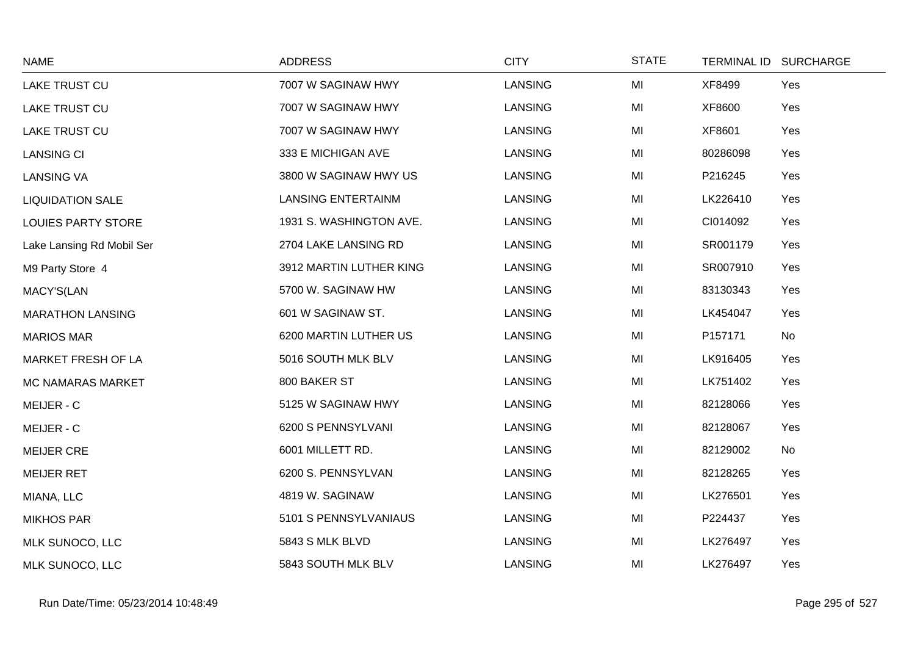| <b>NAME</b>               | <b>ADDRESS</b>            | <b>CITY</b>    | <b>STATE</b> | <b>TERMINAL ID</b> | <b>SURCHARGE</b> |
|---------------------------|---------------------------|----------------|--------------|--------------------|------------------|
| LAKE TRUST CU             | 7007 W SAGINAW HWY        | <b>LANSING</b> | MI           | XF8499             | Yes              |
| <b>LAKE TRUST CU</b>      | 7007 W SAGINAW HWY        | <b>LANSING</b> | MI           | XF8600             | Yes              |
| <b>LAKE TRUST CU</b>      | 7007 W SAGINAW HWY        | <b>LANSING</b> | MI           | XF8601             | Yes              |
| <b>LANSING CI</b>         | 333 E MICHIGAN AVE        | <b>LANSING</b> | MI           | 80286098           | Yes              |
| <b>LANSING VA</b>         | 3800 W SAGINAW HWY US     | <b>LANSING</b> | MI           | P216245            | Yes              |
| <b>LIQUIDATION SALE</b>   | <b>LANSING ENTERTAINM</b> | <b>LANSING</b> | MI           | LK226410           | Yes              |
| <b>LOUIES PARTY STORE</b> | 1931 S. WASHINGTON AVE.   | <b>LANSING</b> | MI           | CI014092           | Yes              |
| Lake Lansing Rd Mobil Ser | 2704 LAKE LANSING RD      | <b>LANSING</b> | MI           | SR001179           | Yes              |
| M9 Party Store 4          | 3912 MARTIN LUTHER KING   | <b>LANSING</b> | MI           | SR007910           | Yes              |
| MACY'S(LAN                | 5700 W. SAGINAW HW        | <b>LANSING</b> | MI           | 83130343           | Yes              |
| <b>MARATHON LANSING</b>   | 601 W SAGINAW ST.         | <b>LANSING</b> | MI           | LK454047           | Yes              |
| <b>MARIOS MAR</b>         | 6200 MARTIN LUTHER US     | <b>LANSING</b> | MI           | P157171            | No               |
| MARKET FRESH OF LA        | 5016 SOUTH MLK BLV        | <b>LANSING</b> | MI           | LK916405           | Yes              |
| <b>MC NAMARAS MARKET</b>  | 800 BAKER ST              | <b>LANSING</b> | MI           | LK751402           | Yes              |
| MEIJER - C                | 5125 W SAGINAW HWY        | <b>LANSING</b> | MI           | 82128066           | Yes              |
| MEIJER - C                | 6200 S PENNSYLVANI        | <b>LANSING</b> | MI           | 82128067           | Yes              |
| <b>MEIJER CRE</b>         | 6001 MILLETT RD.          | <b>LANSING</b> | MI           | 82129002           | No               |
| <b>MEIJER RET</b>         | 6200 S. PENNSYLVAN        | <b>LANSING</b> | MI           | 82128265           | Yes              |
| MIANA, LLC                | 4819 W. SAGINAW           | <b>LANSING</b> | MI           | LK276501           | Yes              |
| <b>MIKHOS PAR</b>         | 5101 S PENNSYLVANIAUS     | <b>LANSING</b> | MI           | P224437            | Yes              |
| MLK SUNOCO, LLC           | 5843 S MLK BLVD           | <b>LANSING</b> | MI           | LK276497           | Yes              |
| MLK SUNOCO, LLC           | 5843 SOUTH MLK BLV        | <b>LANSING</b> | MI           | LK276497           | Yes              |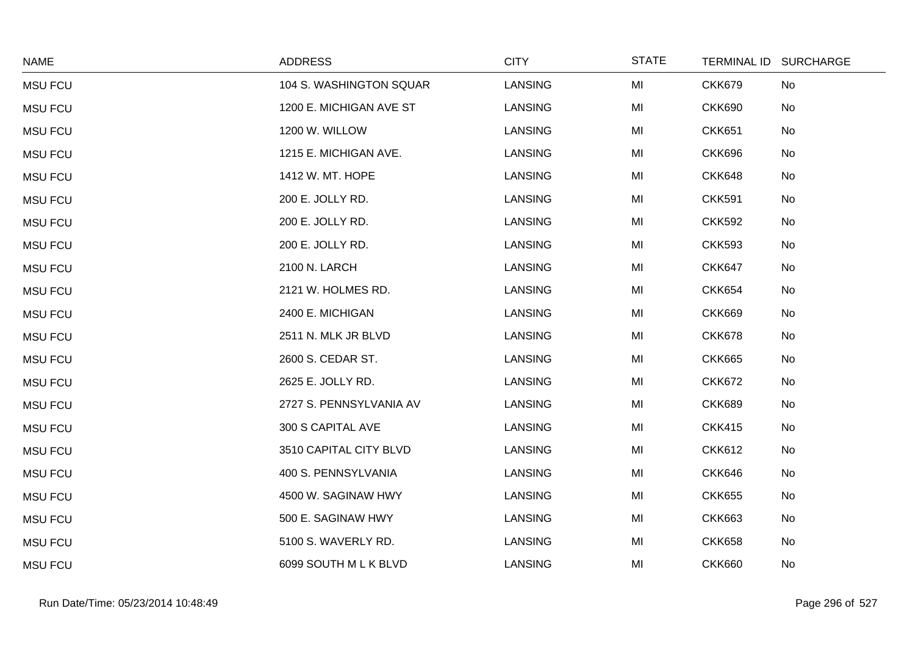| <b>NAME</b>    | <b>ADDRESS</b>          | <b>CITY</b>    | <b>STATE</b> |               | TERMINAL ID SURCHARGE |
|----------------|-------------------------|----------------|--------------|---------------|-----------------------|
| <b>MSU FCU</b> | 104 S. WASHINGTON SQUAR | <b>LANSING</b> | MI           | <b>CKK679</b> | No                    |
| <b>MSU FCU</b> | 1200 E. MICHIGAN AVE ST | <b>LANSING</b> | MI           | <b>CKK690</b> | No                    |
| <b>MSU FCU</b> | 1200 W. WILLOW          | <b>LANSING</b> | MI           | <b>CKK651</b> | No                    |
| <b>MSU FCU</b> | 1215 E. MICHIGAN AVE.   | <b>LANSING</b> | MI           | <b>CKK696</b> | No                    |
| <b>MSU FCU</b> | 1412 W. MT. HOPE        | LANSING        | MI           | <b>CKK648</b> | No                    |
| <b>MSU FCU</b> | 200 E. JOLLY RD.        | <b>LANSING</b> | MI           | <b>CKK591</b> | No                    |
| <b>MSU FCU</b> | 200 E. JOLLY RD.        | <b>LANSING</b> | MI           | <b>CKK592</b> | No                    |
| <b>MSU FCU</b> | 200 E. JOLLY RD.        | LANSING        | MI           | <b>CKK593</b> | No                    |
| <b>MSU FCU</b> | 2100 N. LARCH           | <b>LANSING</b> | MI           | <b>CKK647</b> | No                    |
| <b>MSU FCU</b> | 2121 W. HOLMES RD.      | <b>LANSING</b> | MI           | <b>CKK654</b> | No                    |
| <b>MSU FCU</b> | 2400 E. MICHIGAN        | LANSING        | MI           | <b>CKK669</b> | No                    |
| <b>MSU FCU</b> | 2511 N. MLK JR BLVD     | <b>LANSING</b> | MI           | <b>CKK678</b> | No                    |
| <b>MSU FCU</b> | 2600 S. CEDAR ST.       | <b>LANSING</b> | MI           | <b>CKK665</b> | No                    |
| <b>MSU FCU</b> | 2625 E. JOLLY RD.       | <b>LANSING</b> | MI           | <b>CKK672</b> | No                    |
| <b>MSU FCU</b> | 2727 S. PENNSYLVANIA AV | <b>LANSING</b> | MI           | <b>CKK689</b> | No                    |
| <b>MSU FCU</b> | 300 S CAPITAL AVE       | <b>LANSING</b> | MI           | <b>CKK415</b> | No                    |
| <b>MSU FCU</b> | 3510 CAPITAL CITY BLVD  | LANSING        | MI           | <b>CKK612</b> | No                    |
| <b>MSU FCU</b> | 400 S. PENNSYLVANIA     | LANSING        | MI           | <b>CKK646</b> | No                    |
| <b>MSU FCU</b> | 4500 W. SAGINAW HWY     | <b>LANSING</b> | MI           | <b>CKK655</b> | No                    |
| <b>MSU FCU</b> | 500 E. SAGINAW HWY      | LANSING        | MI           | <b>CKK663</b> | No                    |
| <b>MSU FCU</b> | 5100 S. WAVERLY RD.     | <b>LANSING</b> | MI           | <b>CKK658</b> | No                    |
| <b>MSU FCU</b> | 6099 SOUTH M L K BLVD   | <b>LANSING</b> | MI           | <b>CKK660</b> | No                    |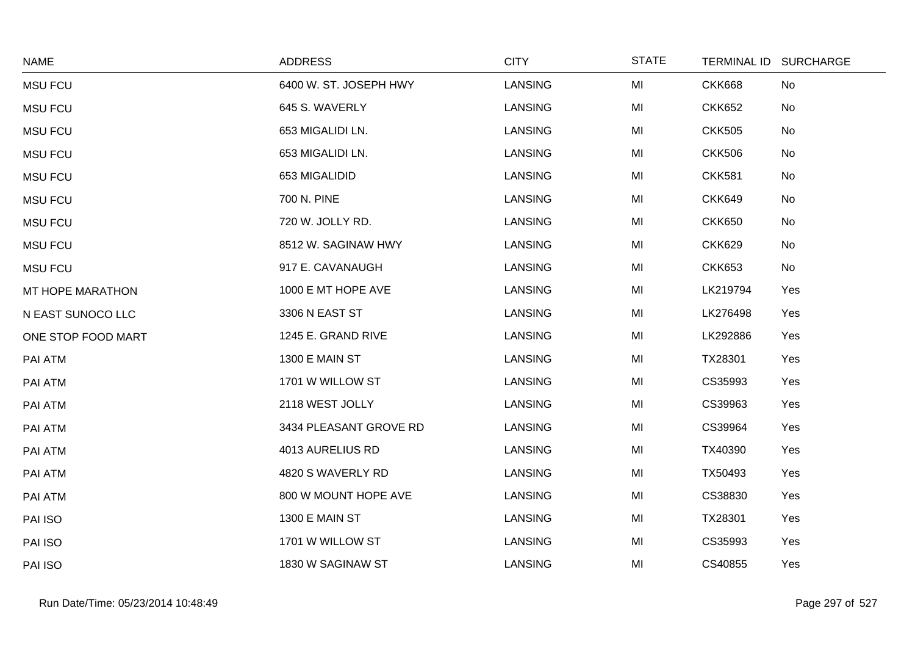| <b>NAME</b>        | <b>ADDRESS</b>         | <b>CITY</b>    | <b>STATE</b> | TERMINAL ID SURCHARGE |     |
|--------------------|------------------------|----------------|--------------|-----------------------|-----|
| <b>MSU FCU</b>     | 6400 W. ST. JOSEPH HWY | <b>LANSING</b> | MI           | <b>CKK668</b>         | No  |
| <b>MSU FCU</b>     | 645 S. WAVERLY         | <b>LANSING</b> | MI           | <b>CKK652</b>         | No  |
| <b>MSU FCU</b>     | 653 MIGALIDI LN.       | <b>LANSING</b> | MI           | <b>CKK505</b>         | No  |
| <b>MSU FCU</b>     | 653 MIGALIDI LN.       | LANSING        | MI           | <b>CKK506</b>         | No  |
| <b>MSU FCU</b>     | 653 MIGALIDID          | <b>LANSING</b> | MI           | <b>CKK581</b>         | No  |
| <b>MSU FCU</b>     | 700 N. PINE            | LANSING        | MI           | <b>CKK649</b>         | No  |
| <b>MSU FCU</b>     | 720 W. JOLLY RD.       | <b>LANSING</b> | MI           | <b>CKK650</b>         | No  |
| <b>MSU FCU</b>     | 8512 W. SAGINAW HWY    | <b>LANSING</b> | MI           | <b>CKK629</b>         | No  |
| <b>MSU FCU</b>     | 917 E. CAVANAUGH       | <b>LANSING</b> | MI           | <b>CKK653</b>         | No  |
| MT HOPE MARATHON   | 1000 E MT HOPE AVE     | <b>LANSING</b> | MI           | LK219794              | Yes |
| N EAST SUNOCO LLC  | 3306 N EAST ST         | LANSING        | MI           | LK276498              | Yes |
| ONE STOP FOOD MART | 1245 E. GRAND RIVE     | <b>LANSING</b> | MI           | LK292886              | Yes |
| PAI ATM            | 1300 E MAIN ST         | LANSING        | MI           | TX28301               | Yes |
| PAI ATM            | 1701 W WILLOW ST       | <b>LANSING</b> | MI           | CS35993               | Yes |
| PAI ATM            | 2118 WEST JOLLY        | <b>LANSING</b> | MI           | CS39963               | Yes |
| PAI ATM            | 3434 PLEASANT GROVE RD | <b>LANSING</b> | MI           | CS39964               | Yes |
| PAI ATM            | 4013 AURELIUS RD       | <b>LANSING</b> | MI           | TX40390               | Yes |
| PAI ATM            | 4820 S WAVERLY RD      | LANSING        | MI           | TX50493               | Yes |
| PAI ATM            | 800 W MOUNT HOPE AVE   | <b>LANSING</b> | MI           | CS38830               | Yes |
| PAI ISO            | 1300 E MAIN ST         | LANSING        | MI           | TX28301               | Yes |
| PAI ISO            | 1701 W WILLOW ST       | <b>LANSING</b> | MI           | CS35993               | Yes |
| PAI ISO            | 1830 W SAGINAW ST      | <b>LANSING</b> | MI           | CS40855               | Yes |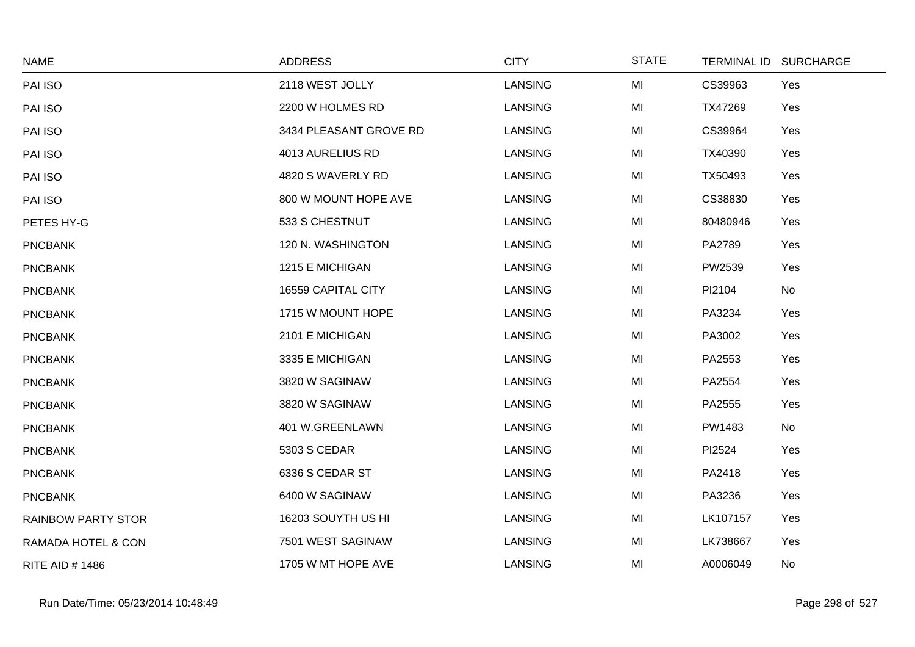| <b>NAME</b>               | <b>ADDRESS</b>         | <b>CITY</b>    | <b>STATE</b> | <b>TERMINAL ID</b> | <b>SURCHARGE</b> |
|---------------------------|------------------------|----------------|--------------|--------------------|------------------|
| PAI ISO                   | 2118 WEST JOLLY        | LANSING        | MI           | CS39963            | Yes              |
| PAI ISO                   | 2200 W HOLMES RD       | <b>LANSING</b> | MI           | TX47269            | Yes              |
| PAI ISO                   | 3434 PLEASANT GROVE RD | <b>LANSING</b> | MI           | CS39964            | Yes              |
| PAI ISO                   | 4013 AURELIUS RD       | <b>LANSING</b> | MI           | TX40390            | Yes              |
| PAI ISO                   | 4820 S WAVERLY RD      | LANSING        | MI           | TX50493            | Yes              |
| PAI ISO                   | 800 W MOUNT HOPE AVE   | <b>LANSING</b> | MI           | CS38830            | Yes              |
| PETES HY-G                | 533 S CHESTNUT         | LANSING        | MI           | 80480946           | Yes              |
| <b>PNCBANK</b>            | 120 N. WASHINGTON      | LANSING        | MI           | PA2789             | Yes              |
| <b>PNCBANK</b>            | 1215 E MICHIGAN        | <b>LANSING</b> | MI           | PW2539             | Yes              |
| <b>PNCBANK</b>            | 16559 CAPITAL CITY     | LANSING        | MI           | PI2104             | No               |
| <b>PNCBANK</b>            | 1715 W MOUNT HOPE      | LANSING        | MI           | PA3234             | Yes              |
| <b>PNCBANK</b>            | 2101 E MICHIGAN        | LANSING        | MI           | PA3002             | Yes              |
| <b>PNCBANK</b>            | 3335 E MICHIGAN        | <b>LANSING</b> | MI           | PA2553             | Yes              |
| <b>PNCBANK</b>            | 3820 W SAGINAW         | LANSING        | MI           | PA2554             | Yes              |
| <b>PNCBANK</b>            | 3820 W SAGINAW         | <b>LANSING</b> | MI           | PA2555             | Yes              |
| <b>PNCBANK</b>            | 401 W.GREENLAWN        | LANSING        | MI           | PW1483             | No               |
| <b>PNCBANK</b>            | 5303 S CEDAR           | <b>LANSING</b> | MI           | PI2524             | Yes              |
| <b>PNCBANK</b>            | 6336 S CEDAR ST        | LANSING        | MI           | PA2418             | Yes              |
| <b>PNCBANK</b>            | 6400 W SAGINAW         | LANSING        | MI           | PA3236             | Yes              |
| <b>RAINBOW PARTY STOR</b> | 16203 SOUYTH US HI     | LANSING        | MI           | LK107157           | Yes              |
| RAMADA HOTEL & CON        | 7501 WEST SAGINAW      | LANSING        | MI           | LK738667           | Yes              |
| <b>RITE AID #1486</b>     | 1705 W MT HOPE AVE     | <b>LANSING</b> | MI           | A0006049           | No               |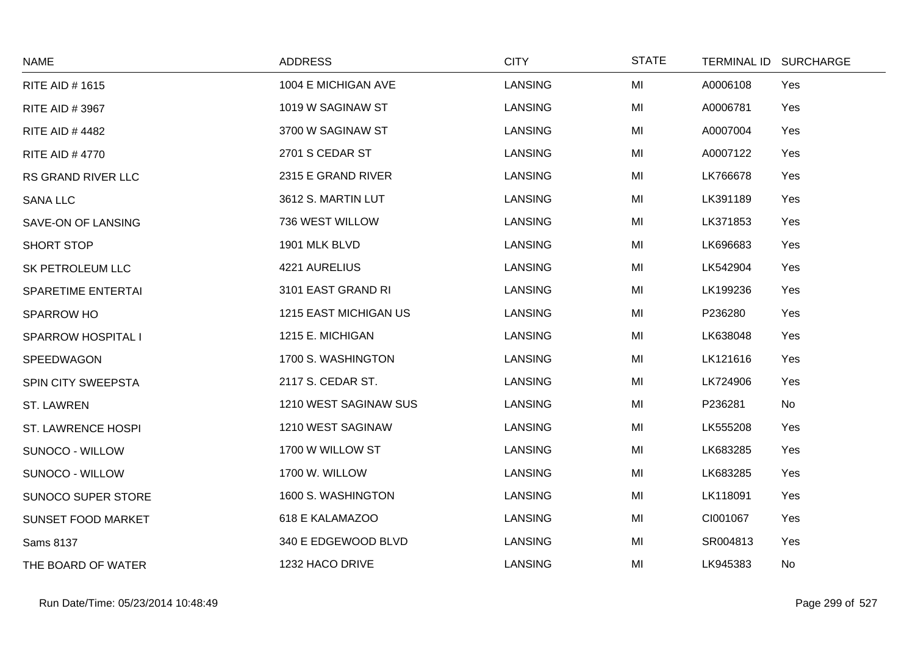| <b>NAME</b>               | <b>ADDRESS</b>        | <b>CITY</b>    | <b>STATE</b> | <b>TERMINAL ID</b> | <b>SURCHARGE</b> |
|---------------------------|-----------------------|----------------|--------------|--------------------|------------------|
| <b>RITE AID #1615</b>     | 1004 E MICHIGAN AVE   | <b>LANSING</b> | MI           | A0006108           | Yes              |
| <b>RITE AID #3967</b>     | 1019 W SAGINAW ST     | <b>LANSING</b> | MI           | A0006781           | Yes              |
| <b>RITE AID #4482</b>     | 3700 W SAGINAW ST     | <b>LANSING</b> | MI           | A0007004           | Yes              |
| <b>RITE AID #4770</b>     | 2701 S CEDAR ST       | <b>LANSING</b> | MI           | A0007122           | Yes              |
| RS GRAND RIVER LLC        | 2315 E GRAND RIVER    | <b>LANSING</b> | MI           | LK766678           | Yes              |
| <b>SANA LLC</b>           | 3612 S. MARTIN LUT    | <b>LANSING</b> | MI           | LK391189           | Yes              |
| SAVE-ON OF LANSING        | 736 WEST WILLOW       | <b>LANSING</b> | MI           | LK371853           | Yes              |
| SHORT STOP                | 1901 MLK BLVD         | <b>LANSING</b> | MI           | LK696683           | Yes              |
| SK PETROLEUM LLC          | 4221 AURELIUS         | <b>LANSING</b> | MI           | LK542904           | Yes              |
| <b>SPARETIME ENTERTAI</b> | 3101 EAST GRAND RI    | <b>LANSING</b> | MI           | LK199236           | Yes              |
| SPARROW HO                | 1215 EAST MICHIGAN US | <b>LANSING</b> | MI           | P236280            | Yes              |
| <b>SPARROW HOSPITAL I</b> | 1215 E. MICHIGAN      | <b>LANSING</b> | MI           | LK638048           | Yes              |
| SPEEDWAGON                | 1700 S. WASHINGTON    | <b>LANSING</b> | MI           | LK121616           | Yes              |
| SPIN CITY SWEEPSTA        | 2117 S. CEDAR ST.     | <b>LANSING</b> | MI           | LK724906           | Yes              |
| <b>ST. LAWREN</b>         | 1210 WEST SAGINAW SUS | <b>LANSING</b> | MI           | P236281            | No               |
| <b>ST. LAWRENCE HOSPI</b> | 1210 WEST SAGINAW     | <b>LANSING</b> | MI           | LK555208           | Yes              |
| SUNOCO - WILLOW           | 1700 W WILLOW ST      | <b>LANSING</b> | MI           | LK683285           | Yes              |
| SUNOCO - WILLOW           | 1700 W. WILLOW        | <b>LANSING</b> | MI           | LK683285           | Yes              |
| SUNOCO SUPER STORE        | 1600 S. WASHINGTON    | <b>LANSING</b> | MI           | LK118091           | Yes              |
| <b>SUNSET FOOD MARKET</b> | 618 E KALAMAZOO       | <b>LANSING</b> | MI           | CI001067           | Yes              |
| <b>Sams 8137</b>          | 340 E EDGEWOOD BLVD   | <b>LANSING</b> | MI           | SR004813           | Yes              |
| THE BOARD OF WATER        | 1232 HACO DRIVE       | LANSING        | MI           | LK945383           | No               |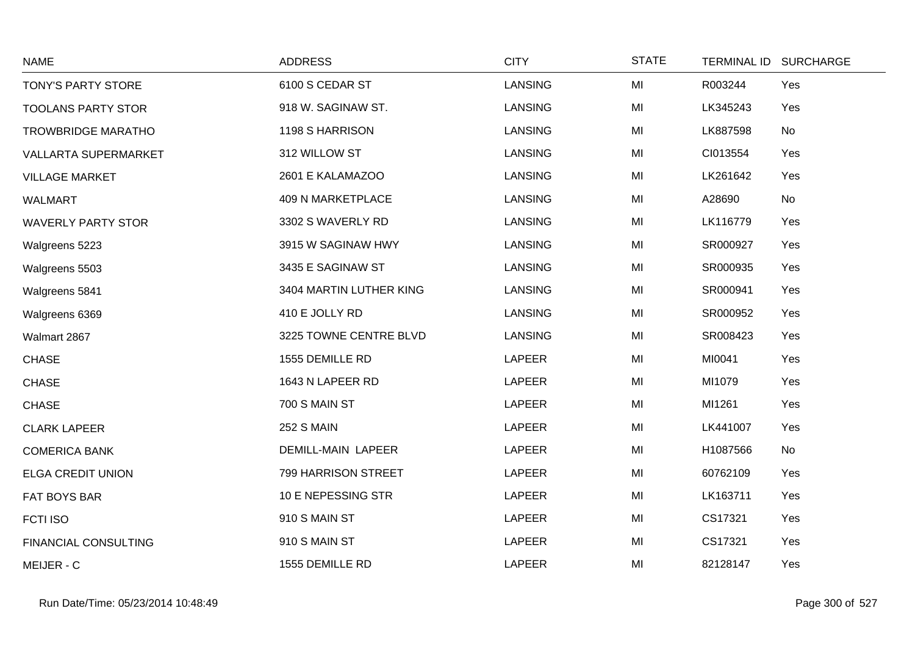| <b>NAME</b>                 | <b>ADDRESS</b>            | <b>CITY</b>    | <b>STATE</b> |          | TERMINAL ID SURCHARGE |
|-----------------------------|---------------------------|----------------|--------------|----------|-----------------------|
| TONY'S PARTY STORE          | 6100 S CEDAR ST           | LANSING        | MI           | R003244  | Yes                   |
| <b>TOOLANS PARTY STOR</b>   | 918 W. SAGINAW ST.        | <b>LANSING</b> | MI           | LK345243 | Yes                   |
| <b>TROWBRIDGE MARATHO</b>   | 1198 S HARRISON           | <b>LANSING</b> | MI           | LK887598 | No                    |
| <b>VALLARTA SUPERMARKET</b> | 312 WILLOW ST             | LANSING        | MI           | CI013554 | Yes                   |
| <b>VILLAGE MARKET</b>       | 2601 E KALAMAZOO          | <b>LANSING</b> | MI           | LK261642 | Yes                   |
| <b>WALMART</b>              | 409 N MARKETPLACE         | <b>LANSING</b> | MI           | A28690   | No                    |
| <b>WAVERLY PARTY STOR</b>   | 3302 S WAVERLY RD         | LANSING        | MI           | LK116779 | Yes                   |
| Walgreens 5223              | 3915 W SAGINAW HWY        | <b>LANSING</b> | MI           | SR000927 | Yes                   |
| Walgreens 5503              | 3435 E SAGINAW ST         | <b>LANSING</b> | MI           | SR000935 | Yes                   |
| Walgreens 5841              | 3404 MARTIN LUTHER KING   | <b>LANSING</b> | MI           | SR000941 | Yes                   |
| Walgreens 6369              | 410 E JOLLY RD            | <b>LANSING</b> | MI           | SR000952 | Yes                   |
| Walmart 2867                | 3225 TOWNE CENTRE BLVD    | LANSING        | MI           | SR008423 | Yes                   |
| <b>CHASE</b>                | 1555 DEMILLE RD           | <b>LAPEER</b>  | MI           | MI0041   | Yes                   |
| <b>CHASE</b>                | 1643 N LAPEER RD          | LAPEER         | MI           | MI1079   | Yes                   |
| <b>CHASE</b>                | 700 S MAIN ST             | <b>LAPEER</b>  | MI           | MI1261   | Yes                   |
| <b>CLARK LAPEER</b>         | <b>252 S MAIN</b>         | <b>LAPEER</b>  | MI           | LK441007 | Yes                   |
| <b>COMERICA BANK</b>        | <b>DEMILL-MAIN LAPEER</b> | <b>LAPEER</b>  | MI           | H1087566 | No                    |
| <b>ELGA CREDIT UNION</b>    | 799 HARRISON STREET       | <b>LAPEER</b>  | MI           | 60762109 | Yes                   |
| FAT BOYS BAR                | 10 E NEPESSING STR        | LAPEER         | MI           | LK163711 | Yes                   |
| <b>FCTI ISO</b>             | 910 S MAIN ST             | <b>LAPEER</b>  | MI           | CS17321  | Yes                   |
| FINANCIAL CONSULTING        | 910 S MAIN ST             | <b>LAPEER</b>  | MI           | CS17321  | Yes                   |
| MEIJER - C                  | 1555 DEMILLE RD           | <b>LAPEER</b>  | MI           | 82128147 | Yes                   |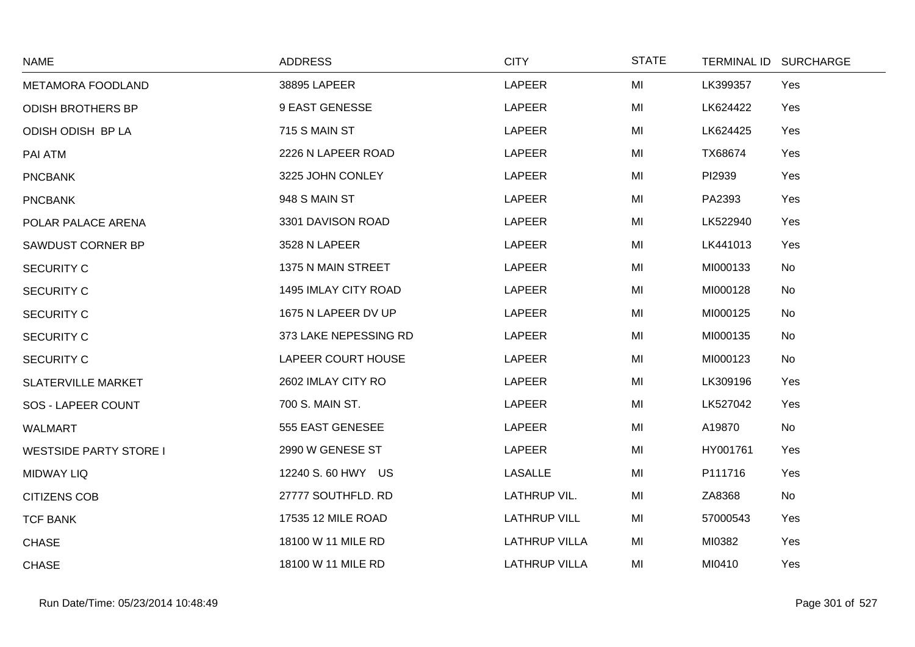| <b>NAME</b>                   | <b>ADDRESS</b>        | <b>CITY</b>          | <b>STATE</b> |          | TERMINAL ID SURCHARGE |
|-------------------------------|-----------------------|----------------------|--------------|----------|-----------------------|
| METAMORA FOODLAND             | 38895 LAPEER          | <b>LAPEER</b>        | MI           | LK399357 | Yes                   |
| <b>ODISH BROTHERS BP</b>      | 9 EAST GENESSE        | LAPEER               | MI           | LK624422 | Yes                   |
| ODISH ODISH BP LA             | 715 S MAIN ST         | <b>LAPEER</b>        | MI           | LK624425 | Yes                   |
| PAI ATM                       | 2226 N LAPEER ROAD    | LAPEER               | MI           | TX68674  | Yes                   |
| <b>PNCBANK</b>                | 3225 JOHN CONLEY      | LAPEER               | MI           | PI2939   | Yes                   |
| <b>PNCBANK</b>                | 948 S MAIN ST         | LAPEER               | MI           | PA2393   | Yes                   |
| POLAR PALACE ARENA            | 3301 DAVISON ROAD     | <b>LAPEER</b>        | MI           | LK522940 | Yes                   |
| SAWDUST CORNER BP             | 3528 N LAPEER         | LAPEER               | MI           | LK441013 | Yes                   |
| <b>SECURITY C</b>             | 1375 N MAIN STREET    | <b>LAPEER</b>        | MI           | MI000133 | No                    |
| <b>SECURITY C</b>             | 1495 IMLAY CITY ROAD  | LAPEER               | MI           | MI000128 | No                    |
| <b>SECURITY C</b>             | 1675 N LAPEER DV UP   | <b>LAPEER</b>        | MI           | MI000125 | No                    |
| <b>SECURITY C</b>             | 373 LAKE NEPESSING RD | <b>LAPEER</b>        | MI           | MI000135 | No                    |
| <b>SECURITY C</b>             | LAPEER COURT HOUSE    | LAPEER               | MI           | MI000123 | No                    |
| <b>SLATERVILLE MARKET</b>     | 2602 IMLAY CITY RO    | LAPEER               | MI           | LK309196 | Yes                   |
| SOS - LAPEER COUNT            | 700 S. MAIN ST.       | LAPEER               | MI           | LK527042 | Yes                   |
| <b>WALMART</b>                | 555 EAST GENESEE      | LAPEER               | MI           | A19870   | No                    |
| <b>WESTSIDE PARTY STORE I</b> | 2990 W GENESE ST      | <b>LAPEER</b>        | MI           | HY001761 | Yes                   |
| <b>MIDWAY LIQ</b>             | 12240 S. 60 HWY US    | <b>LASALLE</b>       | MI           | P111716  | Yes                   |
| <b>CITIZENS COB</b>           | 27777 SOUTHFLD. RD    | LATHRUP VIL.         | MI           | ZA8368   | No                    |
| <b>TCF BANK</b>               | 17535 12 MILE ROAD    | <b>LATHRUP VILL</b>  | MI           | 57000543 | Yes                   |
| <b>CHASE</b>                  | 18100 W 11 MILE RD    | <b>LATHRUP VILLA</b> | MI           | MI0382   | Yes                   |
| <b>CHASE</b>                  | 18100 W 11 MILE RD    | <b>LATHRUP VILLA</b> | MI           | MI0410   | Yes                   |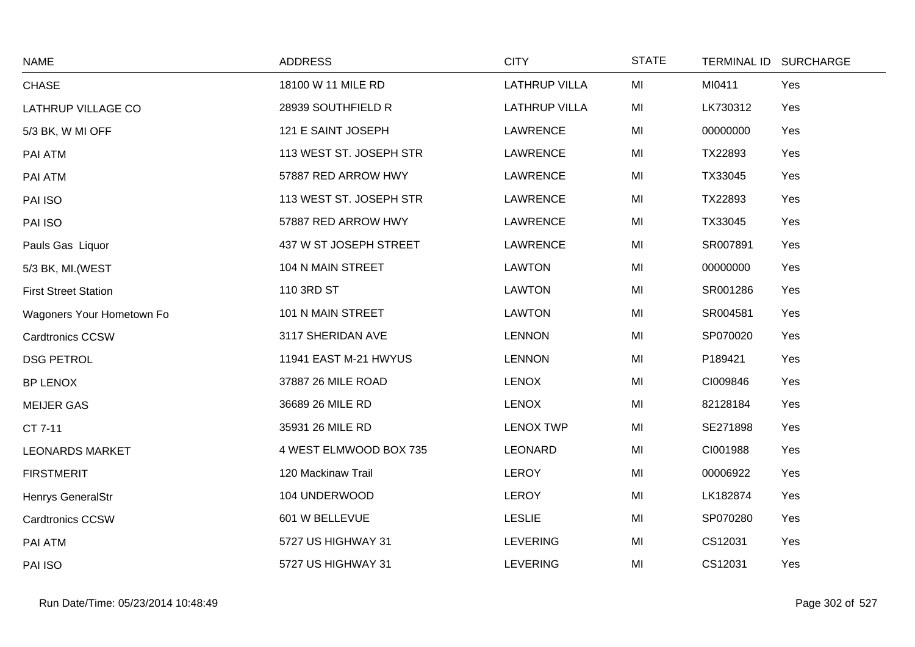| <b>NAME</b>                 | <b>ADDRESS</b>          | <b>CITY</b>          | <b>STATE</b> |          | TERMINAL ID SURCHARGE |
|-----------------------------|-------------------------|----------------------|--------------|----------|-----------------------|
| <b>CHASE</b>                | 18100 W 11 MILE RD      | <b>LATHRUP VILLA</b> | MI           | MI0411   | Yes                   |
| LATHRUP VILLAGE CO          | 28939 SOUTHFIELD R      | <b>LATHRUP VILLA</b> | MI           | LK730312 | Yes                   |
| 5/3 BK, W MI OFF            | 121 E SAINT JOSEPH      | LAWRENCE             | MI           | 00000000 | Yes                   |
| PAI ATM                     | 113 WEST ST. JOSEPH STR | <b>LAWRENCE</b>      | MI           | TX22893  | Yes                   |
| PAI ATM                     | 57887 RED ARROW HWY     | <b>LAWRENCE</b>      | MI           | TX33045  | Yes                   |
| PAI ISO                     | 113 WEST ST. JOSEPH STR | LAWRENCE             | MI           | TX22893  | Yes                   |
| PAI ISO                     | 57887 RED ARROW HWY     | <b>LAWRENCE</b>      | MI           | TX33045  | Yes                   |
| Pauls Gas Liquor            | 437 W ST JOSEPH STREET  | <b>LAWRENCE</b>      | MI           | SR007891 | Yes                   |
| 5/3 BK, MI.(WEST            | 104 N MAIN STREET       | <b>LAWTON</b>        | MI           | 00000000 | Yes                   |
| <b>First Street Station</b> | 110 3RD ST              | <b>LAWTON</b>        | MI           | SR001286 | Yes                   |
| Wagoners Your Hometown Fo   | 101 N MAIN STREET       | <b>LAWTON</b>        | MI           | SR004581 | Yes                   |
| <b>Cardtronics CCSW</b>     | 3117 SHERIDAN AVE       | <b>LENNON</b>        | MI           | SP070020 | Yes                   |
| <b>DSG PETROL</b>           | 11941 EAST M-21 HWYUS   | <b>LENNON</b>        | MI           | P189421  | Yes                   |
| <b>BP LENOX</b>             | 37887 26 MILE ROAD      | <b>LENOX</b>         | MI           | CI009846 | Yes                   |
| <b>MEIJER GAS</b>           | 36689 26 MILE RD        | <b>LENOX</b>         | MI           | 82128184 | Yes                   |
| CT 7-11                     | 35931 26 MILE RD        | <b>LENOX TWP</b>     | MI           | SE271898 | Yes                   |
| <b>LEONARDS MARKET</b>      | 4 WEST ELMWOOD BOX 735  | <b>LEONARD</b>       | MI           | CI001988 | Yes                   |
| <b>FIRSTMERIT</b>           | 120 Mackinaw Trail      | <b>LEROY</b>         | MI           | 00006922 | Yes                   |
| Henrys GeneralStr           | 104 UNDERWOOD           | <b>LEROY</b>         | MI           | LK182874 | Yes                   |
| <b>Cardtronics CCSW</b>     | 601 W BELLEVUE          | <b>LESLIE</b>        | MI           | SP070280 | Yes                   |
| PAI ATM                     | 5727 US HIGHWAY 31      | <b>LEVERING</b>      | MI           | CS12031  | Yes                   |
| PAI ISO                     | 5727 US HIGHWAY 31      | <b>LEVERING</b>      | MI           | CS12031  | Yes                   |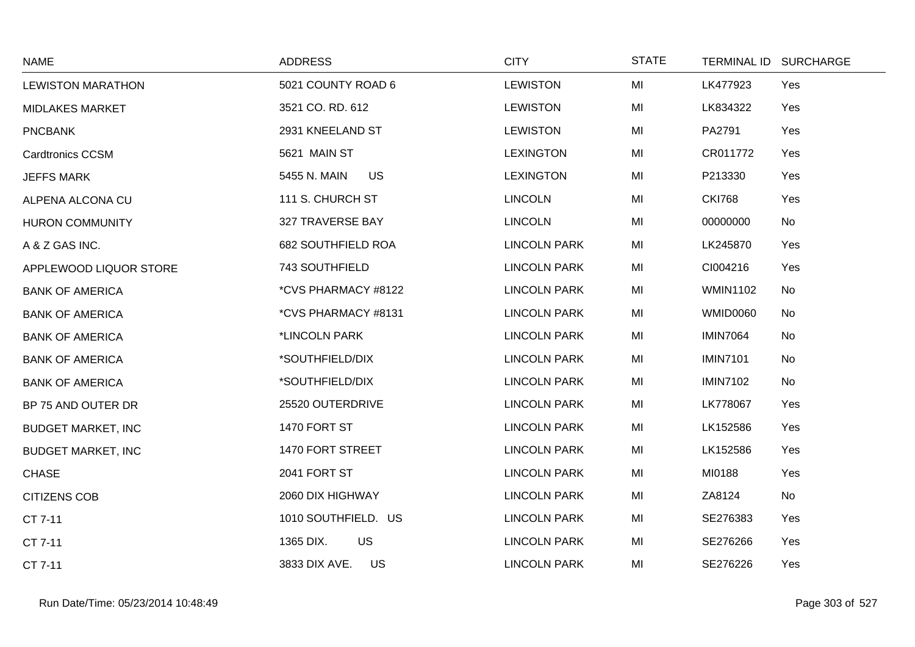| <b>NAME</b>               | <b>ADDRESS</b>            | <b>CITY</b>         | <b>STATE</b> |                 | TERMINAL ID SURCHARGE |
|---------------------------|---------------------------|---------------------|--------------|-----------------|-----------------------|
| <b>LEWISTON MARATHON</b>  | 5021 COUNTY ROAD 6        | <b>LEWISTON</b>     | MI           | LK477923        | Yes                   |
| <b>MIDLAKES MARKET</b>    | 3521 CO. RD. 612          | <b>LEWISTON</b>     | MI           | LK834322        | Yes                   |
| <b>PNCBANK</b>            | 2931 KNEELAND ST          | <b>LEWISTON</b>     | MI           | PA2791          | Yes                   |
| <b>Cardtronics CCSM</b>   | 5621 MAIN ST              | <b>LEXINGTON</b>    | MI           | CR011772        | Yes                   |
| <b>JEFFS MARK</b>         | 5455 N. MAIN<br><b>US</b> | <b>LEXINGTON</b>    | MI           | P213330         | Yes                   |
| ALPENA ALCONA CU          | 111 S. CHURCH ST          | <b>LINCOLN</b>      | MI           | <b>CKI768</b>   | Yes                   |
| <b>HURON COMMUNITY</b>    | 327 TRAVERSE BAY          | <b>LINCOLN</b>      | MI           | 00000000        | No                    |
| A & Z GAS INC.            | 682 SOUTHFIELD ROA        | <b>LINCOLN PARK</b> | MI           | LK245870        | Yes                   |
| APPLEWOOD LIQUOR STORE    | 743 SOUTHFIELD            | <b>LINCOLN PARK</b> | MI           | CI004216        | Yes                   |
| <b>BANK OF AMERICA</b>    | *CVS PHARMACY #8122       | <b>LINCOLN PARK</b> | MI           | <b>WMIN1102</b> | No                    |
| <b>BANK OF AMERICA</b>    | *CVS PHARMACY #8131       | <b>LINCOLN PARK</b> | MI           | <b>WMID0060</b> | No                    |
| <b>BANK OF AMERICA</b>    | *LINCOLN PARK             | <b>LINCOLN PARK</b> | MI           | <b>IMIN7064</b> | <b>No</b>             |
| <b>BANK OF AMERICA</b>    | *SOUTHFIELD/DIX           | <b>LINCOLN PARK</b> | MI           | <b>IMIN7101</b> | No                    |
| <b>BANK OF AMERICA</b>    | *SOUTHFIELD/DIX           | <b>LINCOLN PARK</b> | MI           | <b>IMIN7102</b> | No                    |
| BP 75 AND OUTER DR        | 25520 OUTERDRIVE          | <b>LINCOLN PARK</b> | MI           | LK778067        | Yes                   |
| <b>BUDGET MARKET, INC</b> | 1470 FORT ST              | <b>LINCOLN PARK</b> | MI           | LK152586        | Yes                   |
| <b>BUDGET MARKET, INC</b> | 1470 FORT STREET          | <b>LINCOLN PARK</b> | MI           | LK152586        | Yes                   |
| <b>CHASE</b>              | 2041 FORT ST              | <b>LINCOLN PARK</b> | MI           | MI0188          | Yes                   |
| <b>CITIZENS COB</b>       | 2060 DIX HIGHWAY          | <b>LINCOLN PARK</b> | MI           | ZA8124          | No                    |
| CT 7-11                   | 1010 SOUTHFIELD. US       | <b>LINCOLN PARK</b> | MI           | SE276383        | Yes                   |
| CT 7-11                   | US<br>1365 DIX.           | <b>LINCOLN PARK</b> | MI           | SE276266        | Yes                   |
| CT 7-11                   | 3833 DIX AVE.<br>US       | <b>LINCOLN PARK</b> | MI           | SE276226        | Yes                   |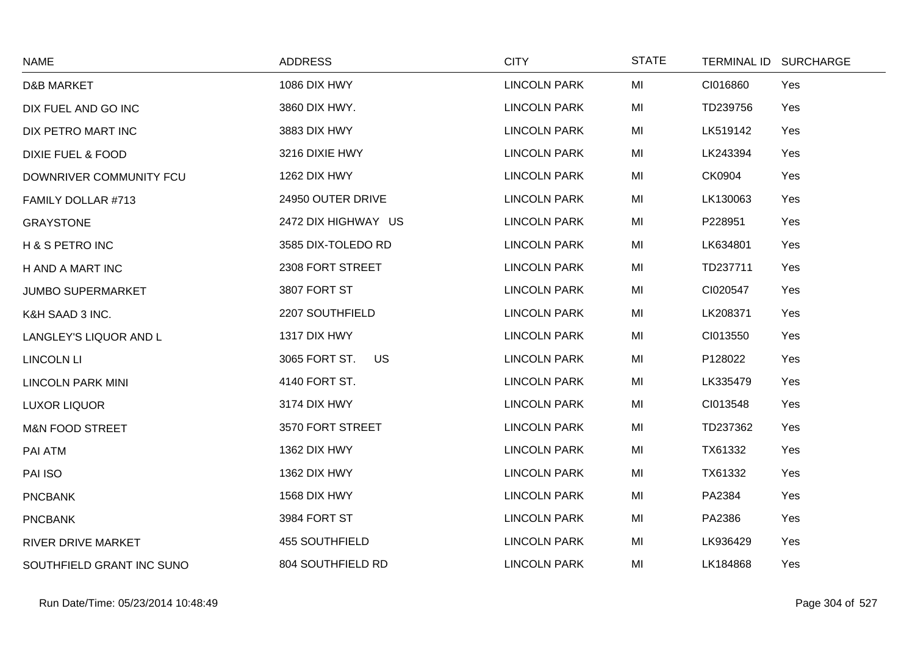| <b>NAME</b>                  | <b>ADDRESS</b>        | <b>CITY</b>         | <b>STATE</b> | TERMINAL ID SURCHARGE |     |
|------------------------------|-----------------------|---------------------|--------------|-----------------------|-----|
| <b>D&amp;B MARKET</b>        | 1086 DIX HWY          | <b>LINCOLN PARK</b> | MI           | CI016860              | Yes |
| DIX FUEL AND GO INC          | 3860 DIX HWY.         | <b>LINCOLN PARK</b> | MI           | TD239756              | Yes |
| DIX PETRO MART INC           | 3883 DIX HWY          | <b>LINCOLN PARK</b> | MI           | LK519142              | Yes |
| <b>DIXIE FUEL &amp; FOOD</b> | 3216 DIXIE HWY        | <b>LINCOLN PARK</b> | MI           | LK243394              | Yes |
| DOWNRIVER COMMUNITY FCU      | 1262 DIX HWY          | <b>LINCOLN PARK</b> | MI           | CK0904                | Yes |
| FAMILY DOLLAR #713           | 24950 OUTER DRIVE     | <b>LINCOLN PARK</b> | MI           | LK130063              | Yes |
| <b>GRAYSTONE</b>             | 2472 DIX HIGHWAY US   | <b>LINCOLN PARK</b> | MI           | P228951               | Yes |
| H & S PETRO INC              | 3585 DIX-TOLEDO RD    | <b>LINCOLN PARK</b> | MI           | LK634801              | Yes |
| H AND A MART INC             | 2308 FORT STREET      | <b>LINCOLN PARK</b> | MI           | TD237711              | Yes |
| <b>JUMBO SUPERMARKET</b>     | 3807 FORT ST          | <b>LINCOLN PARK</b> | MI           | CI020547              | Yes |
| K&H SAAD 3 INC.              | 2207 SOUTHFIELD       | <b>LINCOLN PARK</b> | MI           | LK208371              | Yes |
| LANGLEY'S LIQUOR AND L       | 1317 DIX HWY          | <b>LINCOLN PARK</b> | MI           | CI013550              | Yes |
| <b>LINCOLN LI</b>            | 3065 FORT ST.<br>US.  | <b>LINCOLN PARK</b> | MI           | P128022               | Yes |
| <b>LINCOLN PARK MINI</b>     | 4140 FORT ST.         | <b>LINCOLN PARK</b> | MI           | LK335479              | Yes |
| <b>LUXOR LIQUOR</b>          | 3174 DIX HWY          | <b>LINCOLN PARK</b> | MI           | CI013548              | Yes |
| <b>M&amp;N FOOD STREET</b>   | 3570 FORT STREET      | <b>LINCOLN PARK</b> | MI           | TD237362              | Yes |
| PAI ATM                      | 1362 DIX HWY          | <b>LINCOLN PARK</b> | MI           | TX61332               | Yes |
| PAI ISO                      | 1362 DIX HWY          | <b>LINCOLN PARK</b> | MI           | TX61332               | Yes |
| <b>PNCBANK</b>               | 1568 DIX HWY          | <b>LINCOLN PARK</b> | MI           | PA2384                | Yes |
| <b>PNCBANK</b>               | 3984 FORT ST          | <b>LINCOLN PARK</b> | MI           | PA2386                | Yes |
| RIVER DRIVE MARKET           | <b>455 SOUTHFIELD</b> | <b>LINCOLN PARK</b> | MI           | LK936429              | Yes |
| SOUTHFIELD GRANT INC SUNO    | 804 SOUTHFIELD RD     | <b>LINCOLN PARK</b> | MI           | LK184868              | Yes |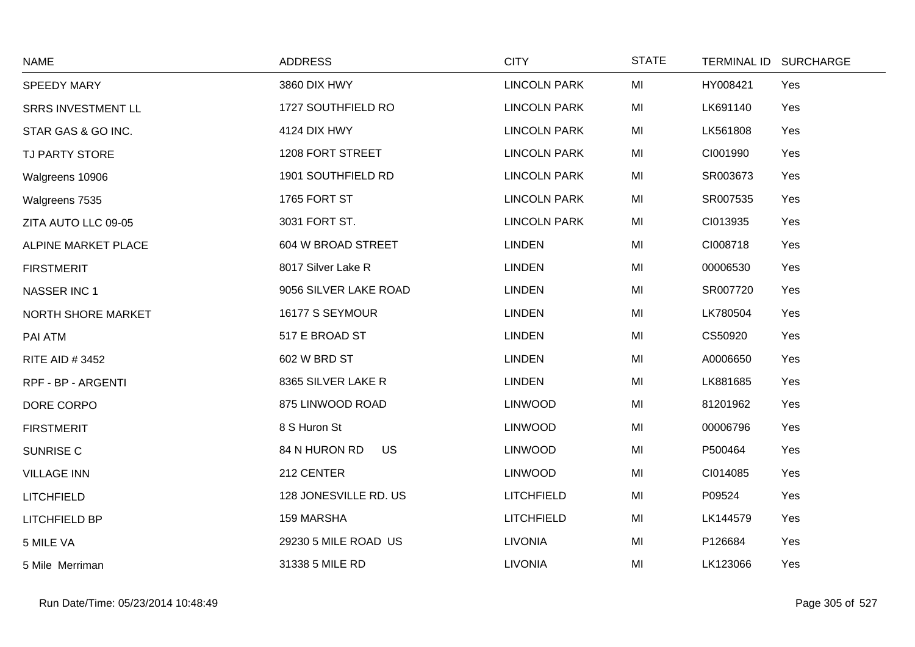| <b>NAME</b>               | <b>ADDRESS</b>             | <b>CITY</b>         | <b>STATE</b> | TERMINAL ID SURCHARGE |     |
|---------------------------|----------------------------|---------------------|--------------|-----------------------|-----|
| SPEEDY MARY               | 3860 DIX HWY               | <b>LINCOLN PARK</b> | MI           | HY008421              | Yes |
| <b>SRRS INVESTMENT LL</b> | 1727 SOUTHFIELD RO         | <b>LINCOLN PARK</b> | MI           | LK691140              | Yes |
| STAR GAS & GO INC.        | 4124 DIX HWY               | <b>LINCOLN PARK</b> | MI           | LK561808              | Yes |
| TJ PARTY STORE            | 1208 FORT STREET           | <b>LINCOLN PARK</b> | MI           | CI001990              | Yes |
| Walgreens 10906           | 1901 SOUTHFIELD RD         | <b>LINCOLN PARK</b> | MI           | SR003673              | Yes |
| Walgreens 7535            | 1765 FORT ST               | <b>LINCOLN PARK</b> | MI           | SR007535              | Yes |
| ZITA AUTO LLC 09-05       | 3031 FORT ST.              | <b>LINCOLN PARK</b> | MI           | CI013935              | Yes |
| ALPINE MARKET PLACE       | 604 W BROAD STREET         | <b>LINDEN</b>       | MI           | CI008718              | Yes |
| <b>FIRSTMERIT</b>         | 8017 Silver Lake R         | <b>LINDEN</b>       | MI           | 00006530              | Yes |
| <b>NASSER INC 1</b>       | 9056 SILVER LAKE ROAD      | <b>LINDEN</b>       | MI           | SR007720              | Yes |
| NORTH SHORE MARKET        | 16177 S SEYMOUR            | <b>LINDEN</b>       | MI           | LK780504              | Yes |
| PAI ATM                   | 517 E BROAD ST             | <b>LINDEN</b>       | MI           | CS50920               | Yes |
| <b>RITE AID #3452</b>     | 602 W BRD ST               | <b>LINDEN</b>       | MI           | A0006650              | Yes |
| RPF - BP - ARGENTI        | 8365 SILVER LAKE R         | <b>LINDEN</b>       | MI           | LK881685              | Yes |
| DORE CORPO                | 875 LINWOOD ROAD           | <b>LINWOOD</b>      | MI           | 81201962              | Yes |
| <b>FIRSTMERIT</b>         | 8 S Huron St               | <b>LINWOOD</b>      | MI           | 00006796              | Yes |
| <b>SUNRISE C</b>          | 84 N HURON RD<br><b>US</b> | <b>LINWOOD</b>      | MI           | P500464               | Yes |
| <b>VILLAGE INN</b>        | 212 CENTER                 | <b>LINWOOD</b>      | MI           | CI014085              | Yes |
| <b>LITCHFIELD</b>         | 128 JONESVILLE RD. US      | <b>LITCHFIELD</b>   | MI           | P09524                | Yes |
| LITCHFIELD BP             | 159 MARSHA                 | <b>LITCHFIELD</b>   | MI           | LK144579              | Yes |
| 5 MILE VA                 | 29230 5 MILE ROAD US       | <b>LIVONIA</b>      | MI           | P126684               | Yes |
| 5 Mile Merriman           | 31338 5 MILE RD            | <b>LIVONIA</b>      | MI           | LK123066              | Yes |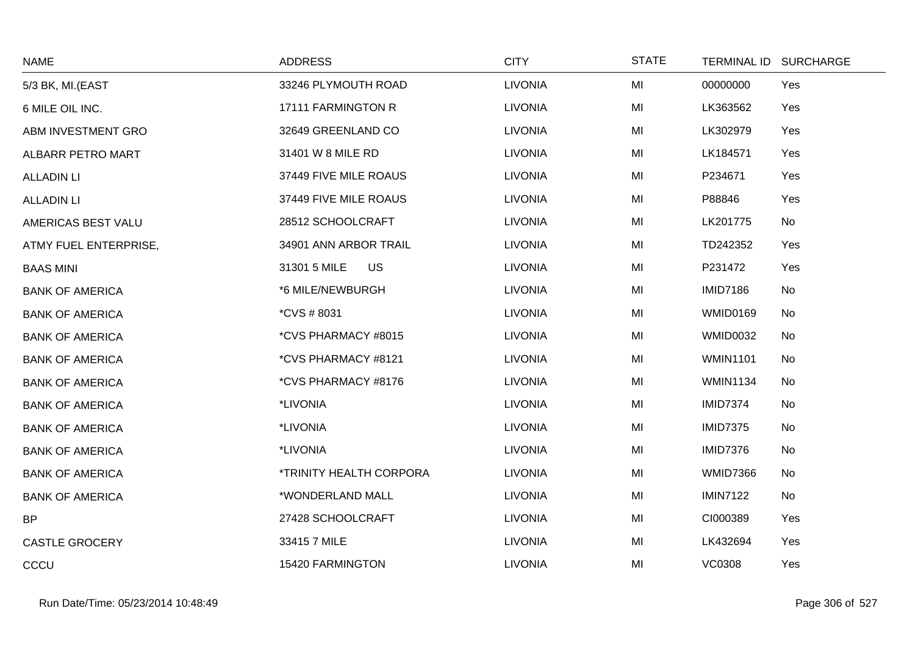| <b>NAME</b>            | <b>ADDRESS</b>            | <b>CITY</b>    | <b>STATE</b> |                 | TERMINAL ID SURCHARGE |
|------------------------|---------------------------|----------------|--------------|-----------------|-----------------------|
| 5/3 BK, MI.(EAST       | 33246 PLYMOUTH ROAD       | <b>LIVONIA</b> | MI           | 00000000        | Yes                   |
| 6 MILE OIL INC.        | 17111 FARMINGTON R        | <b>LIVONIA</b> | MI           | LK363562        | Yes                   |
| ABM INVESTMENT GRO     | 32649 GREENLAND CO        | <b>LIVONIA</b> | MI           | LK302979        | Yes                   |
| ALBARR PETRO MART      | 31401 W 8 MILE RD         | <b>LIVONIA</b> | MI           | LK184571        | Yes                   |
| <b>ALLADIN LI</b>      | 37449 FIVE MILE ROAUS     | <b>LIVONIA</b> | MI           | P234671         | Yes                   |
| <b>ALLADIN LI</b>      | 37449 FIVE MILE ROAUS     | <b>LIVONIA</b> | MI           | P88846          | Yes                   |
| AMERICAS BEST VALU     | 28512 SCHOOLCRAFT         | <b>LIVONIA</b> | MI           | LK201775        | No                    |
| ATMY FUEL ENTERPRISE,  | 34901 ANN ARBOR TRAIL     | <b>LIVONIA</b> | MI           | TD242352        | Yes                   |
| <b>BAAS MINI</b>       | 31301 5 MILE<br><b>US</b> | <b>LIVONIA</b> | MI           | P231472         | Yes                   |
| <b>BANK OF AMERICA</b> | *6 MILE/NEWBURGH          | <b>LIVONIA</b> | MI           | <b>IMID7186</b> | No                    |
| <b>BANK OF AMERICA</b> | <i>*CVS # 8031</i>        | <b>LIVONIA</b> | MI           | <b>WMID0169</b> | No                    |
| <b>BANK OF AMERICA</b> | *CVS PHARMACY #8015       | <b>LIVONIA</b> | MI           | <b>WMID0032</b> | No                    |
| <b>BANK OF AMERICA</b> | *CVS PHARMACY #8121       | <b>LIVONIA</b> | MI           | <b>WMIN1101</b> | No                    |
| <b>BANK OF AMERICA</b> | *CVS PHARMACY #8176       | <b>LIVONIA</b> | MI           | <b>WMIN1134</b> | No                    |
| <b>BANK OF AMERICA</b> | *LIVONIA                  | <b>LIVONIA</b> | MI           | <b>IMID7374</b> | No                    |
| <b>BANK OF AMERICA</b> | *LIVONIA                  | <b>LIVONIA</b> | MI           | <b>IMID7375</b> | No                    |
| <b>BANK OF AMERICA</b> | *LIVONIA                  | <b>LIVONIA</b> | MI           | <b>IMID7376</b> | No                    |
| <b>BANK OF AMERICA</b> | *TRINITY HEALTH CORPORA   | <b>LIVONIA</b> | MI           | <b>WMID7366</b> | No                    |
| <b>BANK OF AMERICA</b> | *WONDERLAND MALL          | <b>LIVONIA</b> | MI           | <b>IMIN7122</b> | No                    |
| <b>BP</b>              | 27428 SCHOOLCRAFT         | <b>LIVONIA</b> | MI           | CI000389        | Yes                   |
| <b>CASTLE GROCERY</b>  | 33415 7 MILE              | <b>LIVONIA</b> | MI           | LK432694        | Yes                   |
| CCCU                   | 15420 FARMINGTON          | <b>LIVONIA</b> | MI           | <b>VC0308</b>   | Yes                   |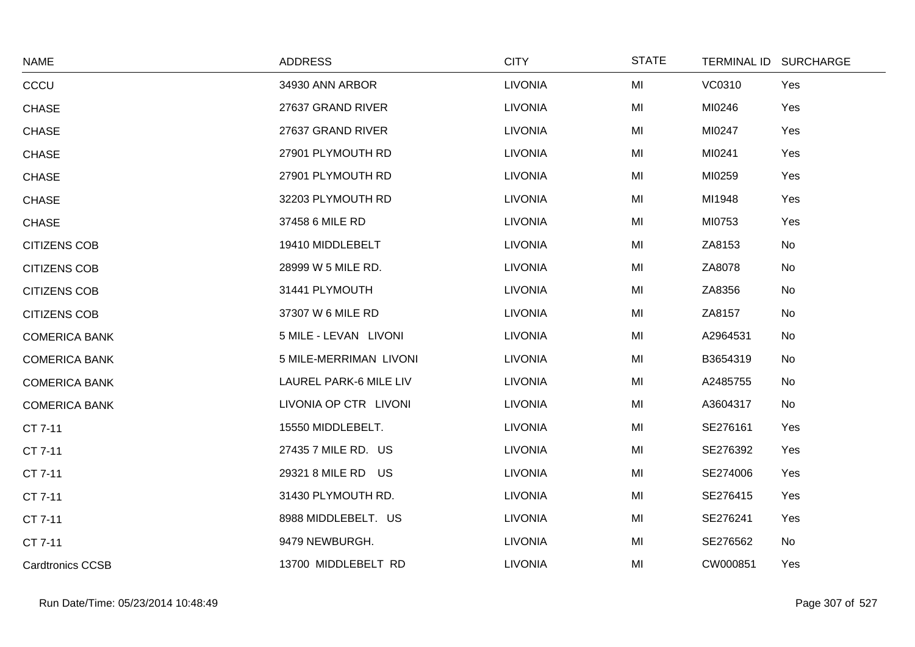| <b>NAME</b>             | <b>ADDRESS</b>         | <b>CITY</b>    | <b>STATE</b> |          | TERMINAL ID SURCHARGE |
|-------------------------|------------------------|----------------|--------------|----------|-----------------------|
| CCCU                    | 34930 ANN ARBOR        | <b>LIVONIA</b> | MI           | VC0310   | Yes                   |
| <b>CHASE</b>            | 27637 GRAND RIVER      | <b>LIVONIA</b> | MI           | MI0246   | Yes                   |
| <b>CHASE</b>            | 27637 GRAND RIVER      | <b>LIVONIA</b> | MI           | MI0247   | Yes                   |
| <b>CHASE</b>            | 27901 PLYMOUTH RD      | <b>LIVONIA</b> | MI           | MI0241   | Yes                   |
| <b>CHASE</b>            | 27901 PLYMOUTH RD      | <b>LIVONIA</b> | MI           | MI0259   | Yes                   |
| <b>CHASE</b>            | 32203 PLYMOUTH RD      | <b>LIVONIA</b> | MI           | MI1948   | Yes                   |
| <b>CHASE</b>            | 37458 6 MILE RD        | <b>LIVONIA</b> | MI           | MI0753   | Yes                   |
| <b>CITIZENS COB</b>     | 19410 MIDDLEBELT       | <b>LIVONIA</b> | MI           | ZA8153   | <b>No</b>             |
| <b>CITIZENS COB</b>     | 28999 W 5 MILE RD.     | <b>LIVONIA</b> | MI           | ZA8078   | No                    |
| <b>CITIZENS COB</b>     | 31441 PLYMOUTH         | <b>LIVONIA</b> | MI           | ZA8356   | No                    |
| <b>CITIZENS COB</b>     | 37307 W 6 MILE RD      | <b>LIVONIA</b> | MI           | ZA8157   | No                    |
| <b>COMERICA BANK</b>    | 5 MILE - LEVAN LIVONI  | <b>LIVONIA</b> | MI           | A2964531 | No                    |
| <b>COMERICA BANK</b>    | 5 MILE-MERRIMAN LIVONI | <b>LIVONIA</b> | MI           | B3654319 | No                    |
| <b>COMERICA BANK</b>    | LAUREL PARK-6 MILE LIV | <b>LIVONIA</b> | MI           | A2485755 | No                    |
| <b>COMERICA BANK</b>    | LIVONIA OP CTR LIVONI  | <b>LIVONIA</b> | MI           | A3604317 | No                    |
| CT 7-11                 | 15550 MIDDLEBELT.      | <b>LIVONIA</b> | MI           | SE276161 | Yes                   |
| CT 7-11                 | 27435 7 MILE RD. US    | <b>LIVONIA</b> | MI           | SE276392 | Yes                   |
| CT 7-11                 | 29321 8 MILE RD US     | <b>LIVONIA</b> | MI           | SE274006 | Yes                   |
| CT 7-11                 | 31430 PLYMOUTH RD.     | <b>LIVONIA</b> | MI           | SE276415 | Yes                   |
| CT 7-11                 | 8988 MIDDLEBELT. US    | <b>LIVONIA</b> | MI           | SE276241 | Yes                   |
| CT 7-11                 | 9479 NEWBURGH.         | <b>LIVONIA</b> | MI           | SE276562 | No                    |
| <b>Cardtronics CCSB</b> | 13700 MIDDLEBELT RD    | <b>LIVONIA</b> | MI           | CW000851 | Yes                   |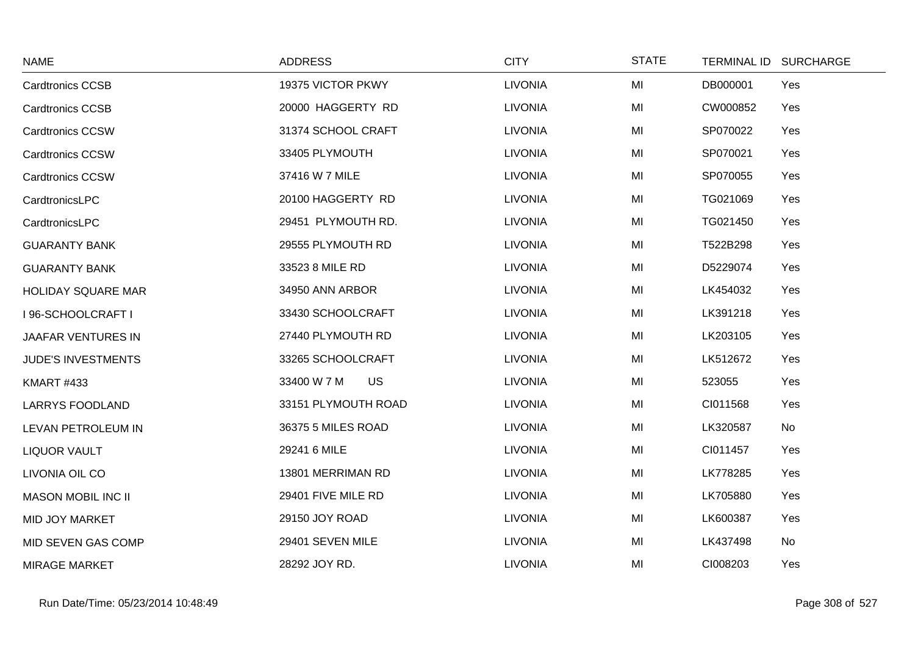| <b>NAME</b>               | <b>ADDRESS</b>           | <b>CITY</b>    | <b>STATE</b> | <b>TERMINAL ID</b><br><b>SURCHARGE</b> |
|---------------------------|--------------------------|----------------|--------------|----------------------------------------|
| <b>Cardtronics CCSB</b>   | 19375 VICTOR PKWY        | <b>LIVONIA</b> | MI           | DB000001<br>Yes                        |
| <b>Cardtronics CCSB</b>   | 20000 HAGGERTY RD        | <b>LIVONIA</b> | MI           | CW000852<br>Yes                        |
| <b>Cardtronics CCSW</b>   | 31374 SCHOOL CRAFT       | <b>LIVONIA</b> | MI           | SP070022<br>Yes                        |
| <b>Cardtronics CCSW</b>   | 33405 PLYMOUTH           | <b>LIVONIA</b> | MI           | SP070021<br>Yes                        |
| <b>Cardtronics CCSW</b>   | 37416 W 7 MILE           | <b>LIVONIA</b> | MI           | SP070055<br>Yes                        |
| CardtronicsLPC            | 20100 HAGGERTY RD        | <b>LIVONIA</b> | MI           | TG021069<br>Yes                        |
| CardtronicsLPC            | 29451 PLYMOUTH RD.       | <b>LIVONIA</b> | MI           | TG021450<br>Yes                        |
| <b>GUARANTY BANK</b>      | 29555 PLYMOUTH RD        | <b>LIVONIA</b> | MI           | T522B298<br>Yes                        |
| <b>GUARANTY BANK</b>      | 33523 8 MILE RD          | <b>LIVONIA</b> | MI           | D5229074<br>Yes                        |
| <b>HOLIDAY SQUARE MAR</b> | 34950 ANN ARBOR          | <b>LIVONIA</b> | MI           | LK454032<br>Yes                        |
| I 96-SCHOOLCRAFT I        | 33430 SCHOOLCRAFT        | <b>LIVONIA</b> | MI           | LK391218<br>Yes                        |
| JAAFAR VENTURES IN        | 27440 PLYMOUTH RD        | <b>LIVONIA</b> | MI           | LK203105<br>Yes                        |
| <b>JUDE'S INVESTMENTS</b> | 33265 SCHOOLCRAFT        | <b>LIVONIA</b> | MI           | LK512672<br>Yes                        |
| <b>KMART #433</b>         | <b>US</b><br>33400 W 7 M | <b>LIVONIA</b> | MI           | 523055<br>Yes                          |
| <b>LARRYS FOODLAND</b>    | 33151 PLYMOUTH ROAD      | <b>LIVONIA</b> | MI           | CI011568<br>Yes                        |
| LEVAN PETROLEUM IN        | 36375 5 MILES ROAD       | <b>LIVONIA</b> | MI           | No<br>LK320587                         |
| <b>LIQUOR VAULT</b>       | 29241 6 MILE             | <b>LIVONIA</b> | MI           | CI011457<br>Yes                        |
| LIVONIA OIL CO            | 13801 MERRIMAN RD        | <b>LIVONIA</b> | MI           | LK778285<br>Yes                        |
| <b>MASON MOBIL INC II</b> | 29401 FIVE MILE RD       | <b>LIVONIA</b> | MI           | LK705880<br>Yes                        |
| MID JOY MARKET            | 29150 JOY ROAD           | <b>LIVONIA</b> | MI           | LK600387<br>Yes                        |
| MID SEVEN GAS COMP        | 29401 SEVEN MILE         | <b>LIVONIA</b> | MI           | No<br>LK437498                         |
| <b>MIRAGE MARKET</b>      | 28292 JOY RD.            | <b>LIVONIA</b> | MI           | CI008203<br>Yes                        |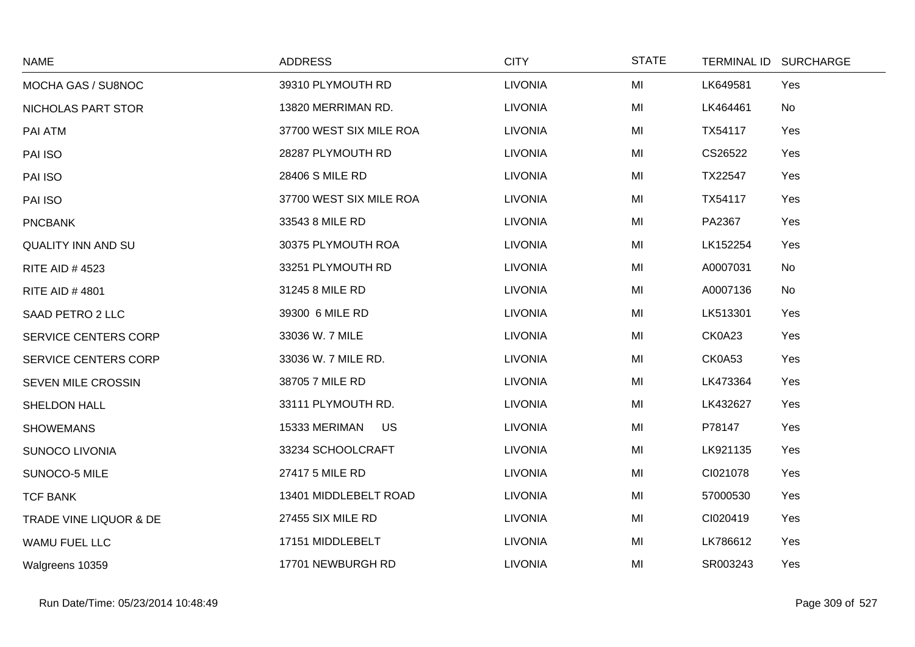| <b>NAME</b>                 | <b>ADDRESS</b>             | <b>CITY</b>    | <b>STATE</b> | <b>TERMINAL ID</b> | <b>SURCHARGE</b> |
|-----------------------------|----------------------------|----------------|--------------|--------------------|------------------|
| MOCHA GAS / SU8NOC          | 39310 PLYMOUTH RD          | <b>LIVONIA</b> | MI           | LK649581           | Yes              |
| NICHOLAS PART STOR          | 13820 MERRIMAN RD.         | <b>LIVONIA</b> | MI           | LK464461           | No               |
| PAI ATM                     | 37700 WEST SIX MILE ROA    | <b>LIVONIA</b> | MI           | TX54117            | Yes              |
| PAI ISO                     | 28287 PLYMOUTH RD          | <b>LIVONIA</b> | MI           | CS26522            | Yes              |
| PAI ISO                     | 28406 S MILE RD            | <b>LIVONIA</b> | MI           | TX22547            | Yes              |
| PAI ISO                     | 37700 WEST SIX MILE ROA    | <b>LIVONIA</b> | MI           | TX54117            | Yes              |
| <b>PNCBANK</b>              | 33543 8 MILE RD            | <b>LIVONIA</b> | MI           | PA2367             | Yes              |
| <b>QUALITY INN AND SU</b>   | 30375 PLYMOUTH ROA         | <b>LIVONIA</b> | MI           | LK152254           | Yes              |
| <b>RITE AID #4523</b>       | 33251 PLYMOUTH RD          | <b>LIVONIA</b> | MI           | A0007031           | No               |
| <b>RITE AID #4801</b>       | 31245 8 MILE RD            | <b>LIVONIA</b> | MI           | A0007136           | No               |
| SAAD PETRO 2 LLC            | 39300 6 MILE RD            | <b>LIVONIA</b> | MI           | LK513301           | Yes              |
| SERVICE CENTERS CORP        | 33036 W. 7 MILE            | <b>LIVONIA</b> | MI           | CK0A23             | Yes              |
| <b>SERVICE CENTERS CORP</b> | 33036 W. 7 MILE RD.        | <b>LIVONIA</b> | MI           | CK0A53             | Yes              |
| SEVEN MILE CROSSIN          | 38705 7 MILE RD            | <b>LIVONIA</b> | MI           | LK473364           | Yes              |
| SHELDON HALL                | 33111 PLYMOUTH RD.         | <b>LIVONIA</b> | MI           | LK432627           | Yes              |
| <b>SHOWEMANS</b>            | <b>US</b><br>15333 MERIMAN | <b>LIVONIA</b> | MI           | P78147             | Yes              |
| <b>SUNOCO LIVONIA</b>       | 33234 SCHOOLCRAFT          | <b>LIVONIA</b> | MI           | LK921135           | Yes              |
| SUNOCO-5 MILE               | 27417 5 MILE RD            | <b>LIVONIA</b> | MI           | CI021078           | Yes              |
| <b>TCF BANK</b>             | 13401 MIDDLEBELT ROAD      | <b>LIVONIA</b> | MI           | 57000530           | Yes              |
| TRADE VINE LIQUOR & DE      | 27455 SIX MILE RD          | <b>LIVONIA</b> | MI           | CI020419           | Yes              |
| <b>WAMU FUEL LLC</b>        | 17151 MIDDLEBELT           | <b>LIVONIA</b> | MI           | LK786612           | Yes              |
| Walgreens 10359             | 17701 NEWBURGH RD          | <b>LIVONIA</b> | MI           | SR003243           | Yes              |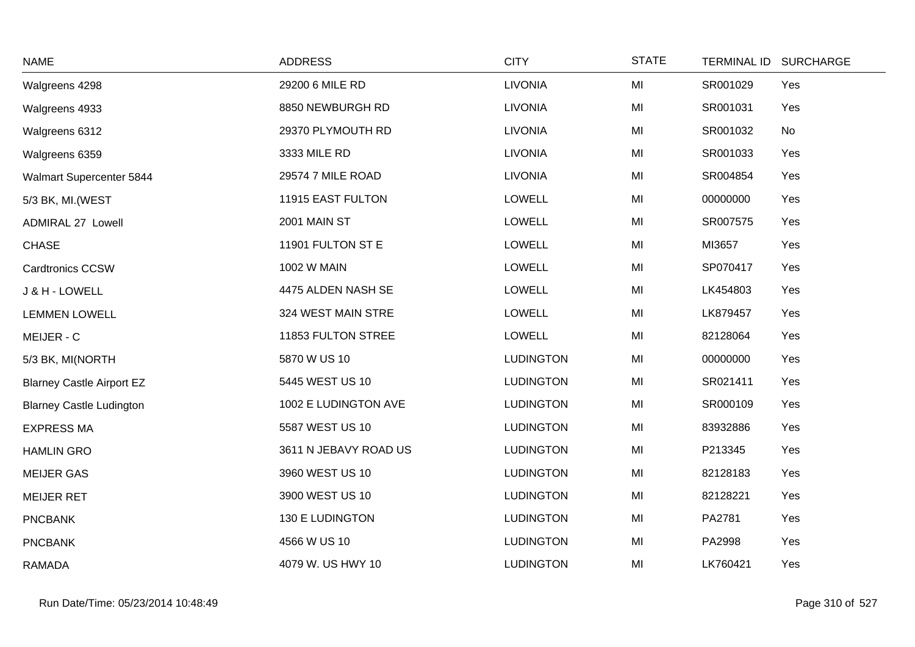| <b>NAME</b>                      | <b>ADDRESS</b>        | <b>CITY</b>      | <b>STATE</b>   | <b>TERMINAL ID</b> | <b>SURCHARGE</b> |
|----------------------------------|-----------------------|------------------|----------------|--------------------|------------------|
| Walgreens 4298                   | 29200 6 MILE RD       | <b>LIVONIA</b>   | MI             | SR001029           | Yes              |
| Walgreens 4933                   | 8850 NEWBURGH RD      | <b>LIVONIA</b>   | MI             | SR001031           | Yes              |
| Walgreens 6312                   | 29370 PLYMOUTH RD     | <b>LIVONIA</b>   | MI             | SR001032           | No               |
| Walgreens 6359                   | 3333 MILE RD          | <b>LIVONIA</b>   | MI             | SR001033           | Yes              |
| Walmart Supercenter 5844         | 29574 7 MILE ROAD     | <b>LIVONIA</b>   | MI             | SR004854           | Yes              |
| 5/3 BK, MI. (WEST                | 11915 EAST FULTON     | <b>LOWELL</b>    | MI             | 00000000           | Yes              |
| <b>ADMIRAL 27 Lowell</b>         | 2001 MAIN ST          | <b>LOWELL</b>    | MI             | SR007575           | Yes              |
| <b>CHASE</b>                     | 11901 FULTON ST E     | <b>LOWELL</b>    | MI             | MI3657             | Yes              |
| Cardtronics CCSW                 | <b>1002 W MAIN</b>    | <b>LOWELL</b>    | MI             | SP070417           | Yes              |
| J & H - LOWELL                   | 4475 ALDEN NASH SE    | LOWELL           | MI             | LK454803           | Yes              |
| <b>LEMMEN LOWELL</b>             | 324 WEST MAIN STRE    | <b>LOWELL</b>    | MI             | LK879457           | Yes              |
| MEIJER - C                       | 11853 FULTON STREE    | <b>LOWELL</b>    | MI             | 82128064           | Yes              |
| 5/3 BK, MI(NORTH                 | 5870 W US 10          | <b>LUDINGTON</b> | M <sub>l</sub> | 00000000           | Yes              |
| <b>Blarney Castle Airport EZ</b> | 5445 WEST US 10       | <b>LUDINGTON</b> | MI             | SR021411           | Yes              |
| <b>Blarney Castle Ludington</b>  | 1002 E LUDINGTON AVE  | <b>LUDINGTON</b> | MI             | SR000109           | Yes              |
| <b>EXPRESS MA</b>                | 5587 WEST US 10       | <b>LUDINGTON</b> | MI             | 83932886           | Yes              |
| <b>HAMLIN GRO</b>                | 3611 N JEBAVY ROAD US | <b>LUDINGTON</b> | MI             | P213345            | Yes              |
| <b>MEIJER GAS</b>                | 3960 WEST US 10       | <b>LUDINGTON</b> | MI             | 82128183           | Yes              |
| <b>MEIJER RET</b>                | 3900 WEST US 10       | <b>LUDINGTON</b> | MI             | 82128221           | Yes              |
| <b>PNCBANK</b>                   | 130 E LUDINGTON       | <b>LUDINGTON</b> | MI             | PA2781             | Yes              |
| <b>PNCBANK</b>                   | 4566 W US 10          | <b>LUDINGTON</b> | MI             | PA2998             | Yes              |
| <b>RAMADA</b>                    | 4079 W. US HWY 10     | <b>LUDINGTON</b> | MI             | LK760421           | Yes              |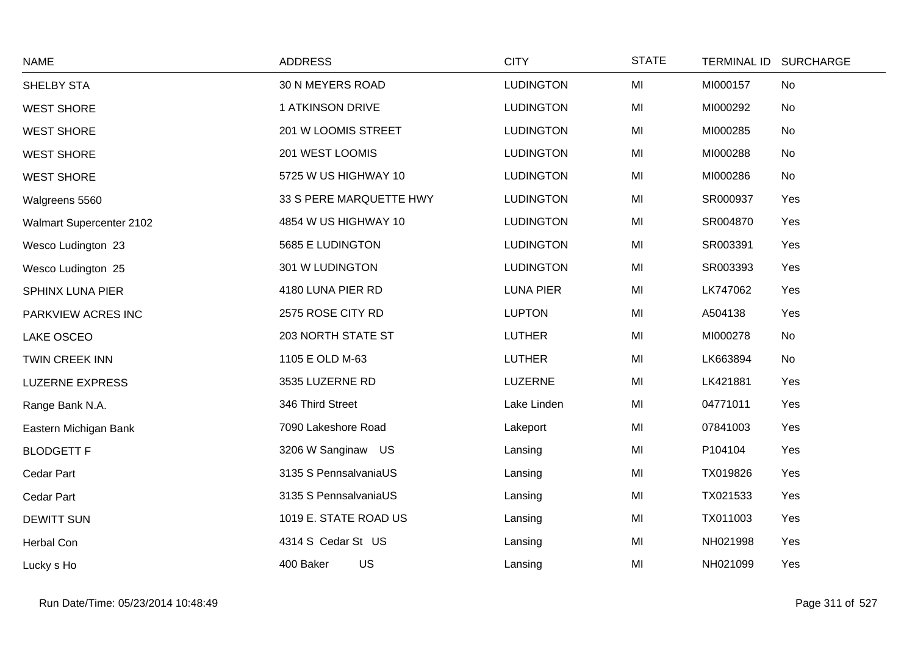| <b>NAME</b>              | <b>ADDRESS</b>          | <b>CITY</b>      | <b>STATE</b> | TERMINAL ID SURCHARGE |     |
|--------------------------|-------------------------|------------------|--------------|-----------------------|-----|
| SHELBY STA               | 30 N MEYERS ROAD        | <b>LUDINGTON</b> | MI           | MI000157              | No  |
| <b>WEST SHORE</b>        | 1 ATKINSON DRIVE        | <b>LUDINGTON</b> | MI           | MI000292              | No  |
| <b>WEST SHORE</b>        | 201 W LOOMIS STREET     | <b>LUDINGTON</b> | MI           | MI000285              | No  |
| <b>WEST SHORE</b>        | 201 WEST LOOMIS         | <b>LUDINGTON</b> | MI           | MI000288              | No  |
| <b>WEST SHORE</b>        | 5725 W US HIGHWAY 10    | <b>LUDINGTON</b> | MI           | MI000286              | No  |
| Walgreens 5560           | 33 S PERE MARQUETTE HWY | <b>LUDINGTON</b> | MI           | SR000937              | Yes |
| Walmart Supercenter 2102 | 4854 W US HIGHWAY 10    | <b>LUDINGTON</b> | MI           | SR004870              | Yes |
| Wesco Ludington 23       | 5685 E LUDINGTON        | <b>LUDINGTON</b> | MI           | SR003391              | Yes |
| Wesco Ludington 25       | 301 W LUDINGTON         | <b>LUDINGTON</b> | MI           | SR003393              | Yes |
| SPHINX LUNA PIER         | 4180 LUNA PIER RD       | <b>LUNA PIER</b> | MI           | LK747062              | Yes |
| PARKVIEW ACRES INC       | 2575 ROSE CITY RD       | <b>LUPTON</b>    | MI           | A504138               | Yes |
| LAKE OSCEO               | 203 NORTH STATE ST      | <b>LUTHER</b>    | MI           | MI000278              | No  |
| TWIN CREEK INN           | 1105 E OLD M-63         | <b>LUTHER</b>    | MI           | LK663894              | No  |
| <b>LUZERNE EXPRESS</b>   | 3535 LUZERNE RD         | <b>LUZERNE</b>   | MI           | LK421881              | Yes |
| Range Bank N.A.          | 346 Third Street        | Lake Linden      | MI           | 04771011              | Yes |
| Eastern Michigan Bank    | 7090 Lakeshore Road     | Lakeport         | MI           | 07841003              | Yes |
| <b>BLODGETT F</b>        | 3206 W Sanginaw US      | Lansing          | MI           | P104104               | Yes |
| Cedar Part               | 3135 S PennsalvaniaUS   | Lansing          | MI           | TX019826              | Yes |
| Cedar Part               | 3135 S PennsalvaniaUS   | Lansing          | MI           | TX021533              | Yes |
| <b>DEWITT SUN</b>        | 1019 E. STATE ROAD US   | Lansing          | MI           | TX011003              | Yes |
| Herbal Con               | 4314 S Cedar St US      | Lansing          | MI           | NH021998              | Yes |
| Lucky s Ho               | US<br>400 Baker         | Lansing          | MI           | NH021099              | Yes |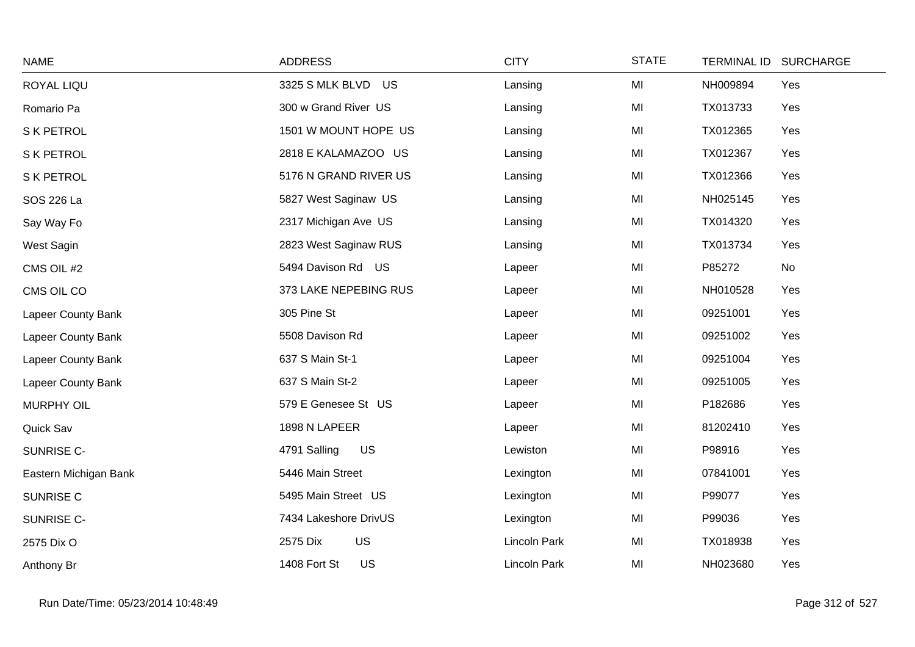| <b>NAME</b>           | <b>ADDRESS</b>            | <b>CITY</b>  | <b>STATE</b>   | <b>TERMINAL ID</b> | <b>SURCHARGE</b> |
|-----------------------|---------------------------|--------------|----------------|--------------------|------------------|
| ROYAL LIQU            | 3325 S MLK BLVD US        | Lansing      | MI             | NH009894           | Yes              |
| Romario Pa            | 300 w Grand River US      | Lansing      | MI             | TX013733           | Yes              |
| S K PETROL            | 1501 W MOUNT HOPE US      | Lansing      | MI             | TX012365           | Yes              |
| S K PETROL            | 2818 E KALAMAZOO US       | Lansing      | M <sub>l</sub> | TX012367           | Yes              |
| S K PETROL            | 5176 N GRAND RIVER US     | Lansing      | MI             | TX012366           | Yes              |
| SOS 226 La            | 5827 West Saginaw US      | Lansing      | MI             | NH025145           | Yes              |
| Say Way Fo            | 2317 Michigan Ave US      | Lansing      | MI             | TX014320           | Yes              |
| West Sagin            | 2823 West Saginaw RUS     | Lansing      | MI             | TX013734           | Yes              |
| CMS OIL #2            | 5494 Davison Rd US        | Lapeer       | MI             | P85272             | No               |
| CMS OIL CO            | 373 LAKE NEPEBING RUS     | Lapeer       | MI             | NH010528           | Yes              |
| Lapeer County Bank    | 305 Pine St               | Lapeer       | MI             | 09251001           | Yes              |
| Lapeer County Bank    | 5508 Davison Rd           | Lapeer       | MI             | 09251002           | Yes              |
| Lapeer County Bank    | 637 S Main St-1           | Lapeer       | MI             | 09251004           | Yes              |
| Lapeer County Bank    | 637 S Main St-2           | Lapeer       | MI             | 09251005           | Yes              |
| <b>MURPHY OIL</b>     | 579 E Genesee St US       | Lapeer       | MI             | P182686            | Yes              |
| Quick Sav             | 1898 N LAPEER             | Lapeer       | MI             | 81202410           | Yes              |
| SUNRISE C-            | <b>US</b><br>4791 Salling | Lewiston     | MI             | P98916             | Yes              |
| Eastern Michigan Bank | 5446 Main Street          | Lexington    | MI             | 07841001           | Yes              |
| SUNRISE C             | 5495 Main Street US       | Lexington    | M <sub>l</sub> | P99077             | Yes              |
| SUNRISE C-            | 7434 Lakeshore DrivUS     | Lexington    | MI             | P99036             | Yes              |
| 2575 Dix O            | US<br>2575 Dix            | Lincoln Park | MI             | TX018938           | Yes              |
| Anthony Br            | 1408 Fort St<br><b>US</b> | Lincoln Park | MI             | NH023680           | Yes              |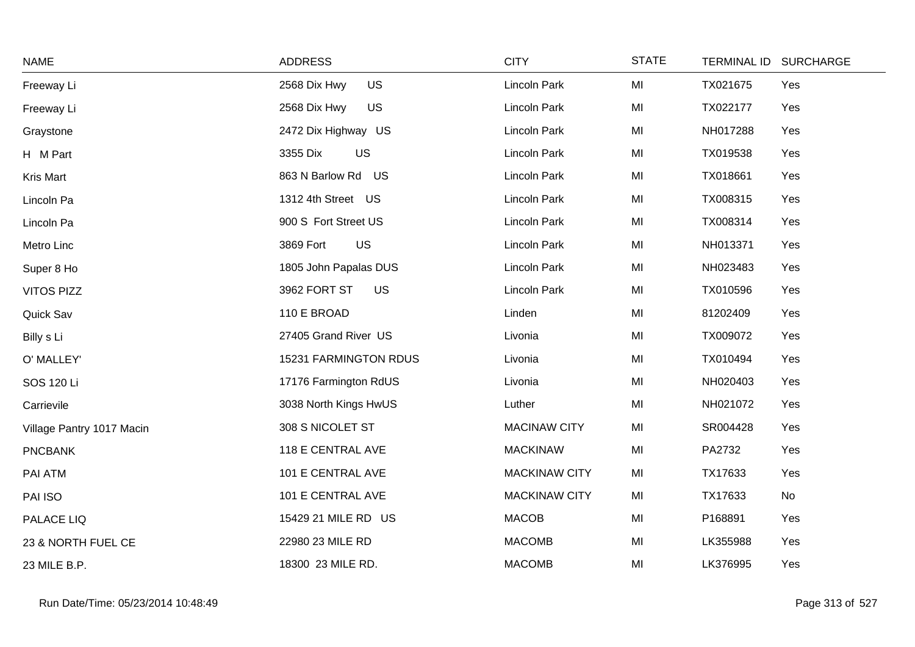| <b>NAME</b>               | <b>ADDRESS</b>            | <b>CITY</b>          | <b>STATE</b> |          | TERMINAL ID SURCHARGE |
|---------------------------|---------------------------|----------------------|--------------|----------|-----------------------|
| Freeway Li                | <b>US</b><br>2568 Dix Hwy | <b>Lincoln Park</b>  | MI           | TX021675 | Yes                   |
| Freeway Li                | 2568 Dix Hwy<br>US        | Lincoln Park         | MI           | TX022177 | Yes                   |
| Graystone                 | 2472 Dix Highway US       | Lincoln Park         | MI           | NH017288 | Yes                   |
| H M Part                  | US<br>3355 Dix            | <b>Lincoln Park</b>  | MI           | TX019538 | Yes                   |
| Kris Mart                 | 863 N Barlow Rd US        | Lincoln Park         | MI           | TX018661 | Yes                   |
| Lincoln Pa                | 1312 4th Street US        | Lincoln Park         | MI           | TX008315 | Yes                   |
| Lincoln Pa                | 900 S Fort Street US      | Lincoln Park         | MI           | TX008314 | Yes                   |
| Metro Linc                | 3869 Fort<br>US           | Lincoln Park         | MI           | NH013371 | Yes                   |
| Super 8 Ho                | 1805 John Papalas DUS     | Lincoln Park         | MI           | NH023483 | Yes                   |
| <b>VITOS PIZZ</b>         | 3962 FORT ST<br>US        | Lincoln Park         | MI           | TX010596 | Yes                   |
| Quick Sav                 | 110 E BROAD               | Linden               | MI           | 81202409 | Yes                   |
| Billy s Li                | 27405 Grand River US      | Livonia              | MI           | TX009072 | Yes                   |
| O' MALLEY'                | 15231 FARMINGTON RDUS     | Livonia              | MI           | TX010494 | Yes                   |
| SOS 120 Li                | 17176 Farmington RdUS     | Livonia              | MI           | NH020403 | Yes                   |
| Carrievile                | 3038 North Kings HwUS     | Luther               | MI           | NH021072 | Yes                   |
| Village Pantry 1017 Macin | 308 S NICOLET ST          | <b>MACINAW CITY</b>  | MI           | SR004428 | Yes                   |
| <b>PNCBANK</b>            | 118 E CENTRAL AVE         | <b>MACKINAW</b>      | MI           | PA2732   | Yes                   |
| PAI ATM                   | 101 E CENTRAL AVE         | <b>MACKINAW CITY</b> | MI           | TX17633  | Yes                   |
| PAI ISO                   | 101 E CENTRAL AVE         | <b>MACKINAW CITY</b> | MI           | TX17633  | No                    |
| PALACE LIQ                | 15429 21 MILE RD US       | <b>MACOB</b>         | MI           | P168891  | Yes                   |
| 23 & NORTH FUEL CE        | 22980 23 MILE RD          | <b>MACOMB</b>        | MI           | LK355988 | Yes                   |
| 23 MILE B.P.              | 18300 23 MILE RD.         | <b>MACOMB</b>        | MI           | LK376995 | Yes                   |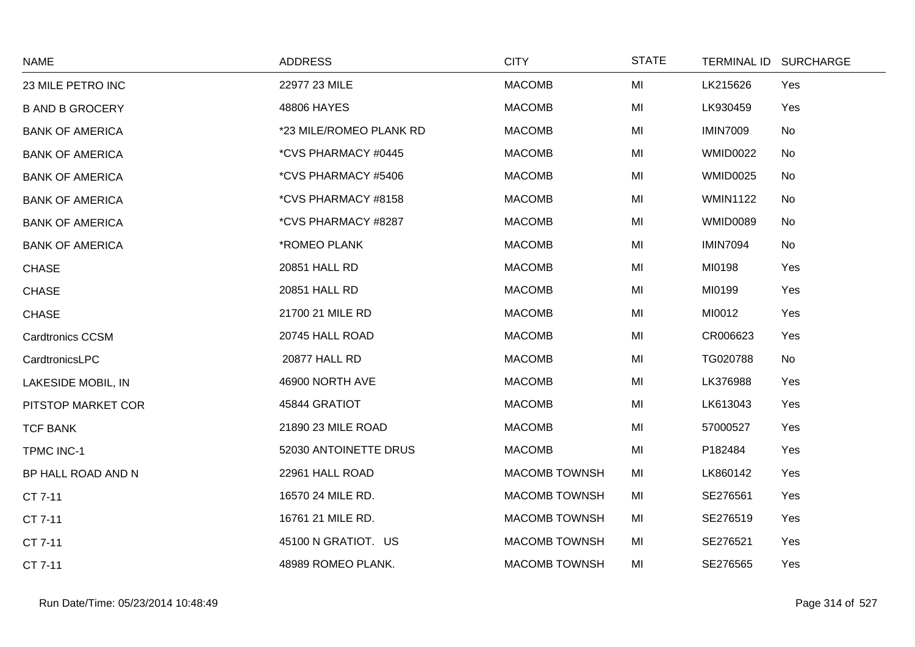| <b>NAME</b>             | <b>ADDRESS</b>          | <b>CITY</b>          | <b>STATE</b> |                 | TERMINAL ID SURCHARGE |
|-------------------------|-------------------------|----------------------|--------------|-----------------|-----------------------|
| 23 MILE PETRO INC       | 22977 23 MILE           | <b>MACOMB</b>        | MI           | LK215626        | Yes                   |
| <b>B AND B GROCERY</b>  | 48806 HAYES             | <b>MACOMB</b>        | MI           | LK930459        | Yes                   |
| <b>BANK OF AMERICA</b>  | *23 MILE/ROMEO PLANK RD | <b>MACOMB</b>        | MI           | <b>IMIN7009</b> | No                    |
| <b>BANK OF AMERICA</b>  | *CVS PHARMACY #0445     | <b>MACOMB</b>        | MI           | <b>WMID0022</b> | No                    |
| <b>BANK OF AMERICA</b>  | *CVS PHARMACY #5406     | <b>MACOMB</b>        | MI           | <b>WMID0025</b> | No                    |
| <b>BANK OF AMERICA</b>  | *CVS PHARMACY #8158     | <b>MACOMB</b>        | MI           | <b>WMIN1122</b> | No                    |
| <b>BANK OF AMERICA</b>  | *CVS PHARMACY #8287     | <b>MACOMB</b>        | MI           | <b>WMID0089</b> | No                    |
| <b>BANK OF AMERICA</b>  | *ROMEO PLANK            | <b>MACOMB</b>        | MI           | <b>IMIN7094</b> | No                    |
| <b>CHASE</b>            | 20851 HALL RD           | <b>MACOMB</b>        | MI           | MI0198          | Yes                   |
| <b>CHASE</b>            | 20851 HALL RD           | <b>MACOMB</b>        | MI           | MI0199          | Yes                   |
| <b>CHASE</b>            | 21700 21 MILE RD        | <b>MACOMB</b>        | MI           | MI0012          | Yes                   |
| <b>Cardtronics CCSM</b> | 20745 HALL ROAD         | <b>MACOMB</b>        | MI           | CR006623        | Yes                   |
| CardtronicsLPC          | 20877 HALL RD           | <b>MACOMB</b>        | MI           | TG020788        | No                    |
| LAKESIDE MOBIL, IN      | 46900 NORTH AVE         | <b>MACOMB</b>        | MI           | LK376988        | Yes                   |
| PITSTOP MARKET COR      | 45844 GRATIOT           | <b>MACOMB</b>        | MI           | LK613043        | Yes                   |
| <b>TCF BANK</b>         | 21890 23 MILE ROAD      | <b>MACOMB</b>        | MI           | 57000527        | Yes                   |
| <b>TPMC INC-1</b>       | 52030 ANTOINETTE DRUS   | <b>MACOMB</b>        | MI           | P182484         | Yes                   |
| BP HALL ROAD AND N      | 22961 HALL ROAD         | <b>MACOMB TOWNSH</b> | MI           | LK860142        | Yes                   |
| CT 7-11                 | 16570 24 MILE RD.       | <b>MACOMB TOWNSH</b> | MI           | SE276561        | Yes                   |
| CT 7-11                 | 16761 21 MILE RD.       | <b>MACOMB TOWNSH</b> | MI           | SE276519        | Yes                   |
| CT 7-11                 | 45100 N GRATIOT. US     | <b>MACOMB TOWNSH</b> | MI           | SE276521        | Yes                   |
| CT 7-11                 | 48989 ROMEO PLANK.      | <b>MACOMB TOWNSH</b> | MI           | SE276565        | Yes                   |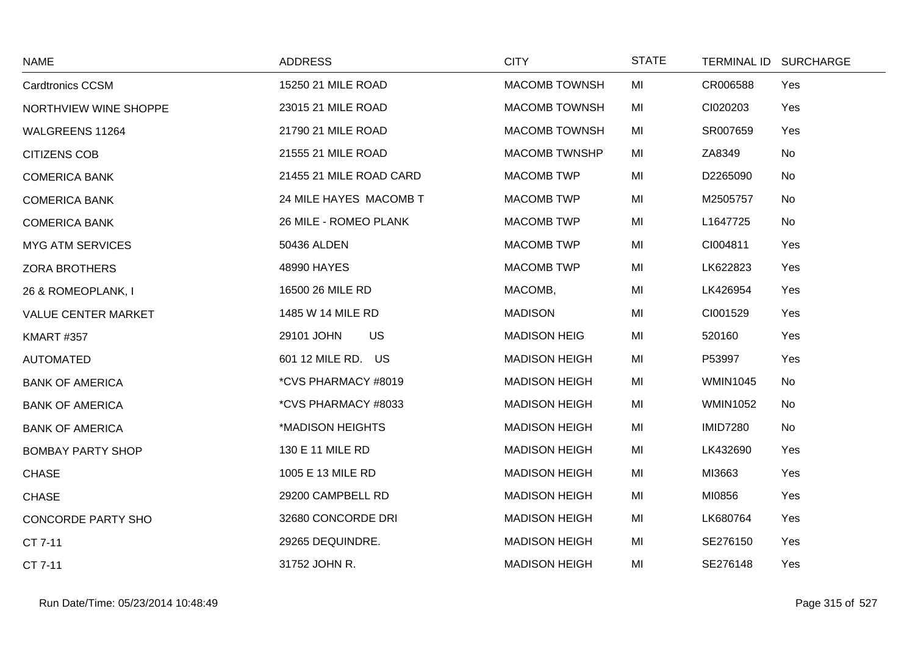| <b>NAME</b>                | <b>ADDRESS</b>          | <b>CITY</b>          | <b>STATE</b> |                 | TERMINAL ID SURCHARGE |
|----------------------------|-------------------------|----------------------|--------------|-----------------|-----------------------|
| <b>Cardtronics CCSM</b>    | 15250 21 MILE ROAD      | <b>MACOMB TOWNSH</b> | MI           | CR006588        | Yes                   |
| NORTHVIEW WINE SHOPPE      | 23015 21 MILE ROAD      | <b>MACOMB TOWNSH</b> | MI           | CI020203        | Yes                   |
| WALGREENS 11264            | 21790 21 MILE ROAD      | <b>MACOMB TOWNSH</b> | MI           | SR007659        | Yes                   |
| <b>CITIZENS COB</b>        | 21555 21 MILE ROAD      | <b>MACOMB TWNSHP</b> | MI           | ZA8349          | No                    |
| <b>COMERICA BANK</b>       | 21455 21 MILE ROAD CARD | <b>MACOMB TWP</b>    | MI           | D2265090        | No                    |
| <b>COMERICA BANK</b>       | 24 MILE HAYES MACOMB T  | <b>MACOMB TWP</b>    | MI           | M2505757        | No                    |
| <b>COMERICA BANK</b>       | 26 MILE - ROMEO PLANK   | <b>MACOMB TWP</b>    | MI           | L1647725        | No                    |
| <b>MYG ATM SERVICES</b>    | 50436 ALDEN             | <b>MACOMB TWP</b>    | MI           | CI004811        | Yes                   |
| <b>ZORA BROTHERS</b>       | 48990 HAYES             | <b>MACOMB TWP</b>    | MI           | LK622823        | Yes                   |
| 26 & ROMEOPLANK, I         | 16500 26 MILE RD        | MACOMB,              | MI           | LK426954        | Yes                   |
| <b>VALUE CENTER MARKET</b> | 1485 W 14 MILE RD       | <b>MADISON</b>       | MI           | CI001529        | Yes                   |
| <b>KMART #357</b>          | <b>US</b><br>29101 JOHN | <b>MADISON HEIG</b>  | MI           | 520160          | Yes                   |
| <b>AUTOMATED</b>           | 601 12 MILE RD. US      | <b>MADISON HEIGH</b> | MI           | P53997          | Yes                   |
| <b>BANK OF AMERICA</b>     | *CVS PHARMACY #8019     | <b>MADISON HEIGH</b> | MI           | <b>WMIN1045</b> | No                    |
| <b>BANK OF AMERICA</b>     | *CVS PHARMACY #8033     | <b>MADISON HEIGH</b> | MI           | <b>WMIN1052</b> | No                    |
| <b>BANK OF AMERICA</b>     | *MADISON HEIGHTS        | <b>MADISON HEIGH</b> | MI           | <b>IMID7280</b> | No                    |
| <b>BOMBAY PARTY SHOP</b>   | 130 E 11 MILE RD        | <b>MADISON HEIGH</b> | MI           | LK432690        | Yes                   |
| <b>CHASE</b>               | 1005 E 13 MILE RD       | <b>MADISON HEIGH</b> | MI           | MI3663          | Yes                   |
| <b>CHASE</b>               | 29200 CAMPBELL RD       | <b>MADISON HEIGH</b> | MI           | MI0856          | Yes                   |
| <b>CONCORDE PARTY SHO</b>  | 32680 CONCORDE DRI      | <b>MADISON HEIGH</b> | MI           | LK680764        | Yes                   |
| CT 7-11                    | 29265 DEQUINDRE.        | <b>MADISON HEIGH</b> | MI           | SE276150        | Yes                   |
| CT 7-11                    | 31752 JOHN R.           | <b>MADISON HEIGH</b> | MI           | SE276148        | Yes                   |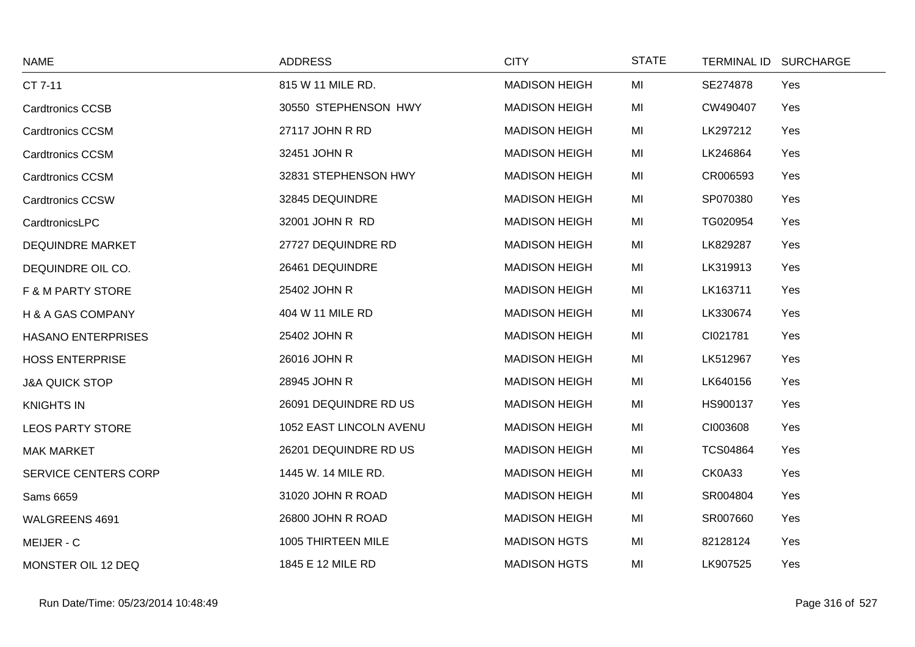| <b>NAME</b>                  | <b>ADDRESS</b>          | <b>CITY</b>          | <b>STATE</b> | TERMINAL ID SURCHARGE |     |
|------------------------------|-------------------------|----------------------|--------------|-----------------------|-----|
| CT 7-11                      | 815 W 11 MILE RD.       | <b>MADISON HEIGH</b> | MI           | SE274878              | Yes |
| <b>Cardtronics CCSB</b>      | 30550 STEPHENSON HWY    | <b>MADISON HEIGH</b> | MI           | CW490407              | Yes |
| <b>Cardtronics CCSM</b>      | 27117 JOHN R RD         | <b>MADISON HEIGH</b> | MI           | LK297212              | Yes |
| <b>Cardtronics CCSM</b>      | 32451 JOHN R            | <b>MADISON HEIGH</b> | MI           | LK246864              | Yes |
| <b>Cardtronics CCSM</b>      | 32831 STEPHENSON HWY    | <b>MADISON HEIGH</b> | MI           | CR006593              | Yes |
| <b>Cardtronics CCSW</b>      | 32845 DEQUINDRE         | <b>MADISON HEIGH</b> | MI           | SP070380              | Yes |
| CardtronicsLPC               | 32001 JOHN R RD         | <b>MADISON HEIGH</b> | MI           | TG020954              | Yes |
| <b>DEQUINDRE MARKET</b>      | 27727 DEQUINDRE RD      | <b>MADISON HEIGH</b> | MI           | LK829287              | Yes |
| DEQUINDRE OIL CO.            | 26461 DEQUINDRE         | <b>MADISON HEIGH</b> | MI           | LK319913              | Yes |
| <b>F &amp; M PARTY STORE</b> | 25402 JOHN R            | <b>MADISON HEIGH</b> | MI           | LK163711              | Yes |
| H & A GAS COMPANY            | 404 W 11 MILE RD        | <b>MADISON HEIGH</b> | MI           | LK330674              | Yes |
| <b>HASANO ENTERPRISES</b>    | 25402 JOHN R            | <b>MADISON HEIGH</b> | MI           | CI021781              | Yes |
| <b>HOSS ENTERPRISE</b>       | 26016 JOHN R            | <b>MADISON HEIGH</b> | MI           | LK512967              | Yes |
| <b>J&amp;A QUICK STOP</b>    | 28945 JOHN R            | <b>MADISON HEIGH</b> | MI           | LK640156              | Yes |
| <b>KNIGHTS IN</b>            | 26091 DEQUINDRE RD US   | <b>MADISON HEIGH</b> | MI           | HS900137              | Yes |
| <b>LEOS PARTY STORE</b>      | 1052 EAST LINCOLN AVENU | <b>MADISON HEIGH</b> | MI           | CI003608              | Yes |
| <b>MAK MARKET</b>            | 26201 DEQUINDRE RD US   | <b>MADISON HEIGH</b> | MI           | <b>TCS04864</b>       | Yes |
| <b>SERVICE CENTERS CORP</b>  | 1445 W. 14 MILE RD.     | <b>MADISON HEIGH</b> | MI           | CK0A33                | Yes |
| Sams 6659                    | 31020 JOHN R ROAD       | <b>MADISON HEIGH</b> | MI           | SR004804              | Yes |
| WALGREENS 4691               | 26800 JOHN R ROAD       | <b>MADISON HEIGH</b> | MI           | SR007660              | Yes |
| MEIJER - C                   | 1005 THIRTEEN MILE      | <b>MADISON HGTS</b>  | MI           | 82128124              | Yes |
| MONSTER OIL 12 DEQ           | 1845 E 12 MILE RD       | <b>MADISON HGTS</b>  | MI           | LK907525              | Yes |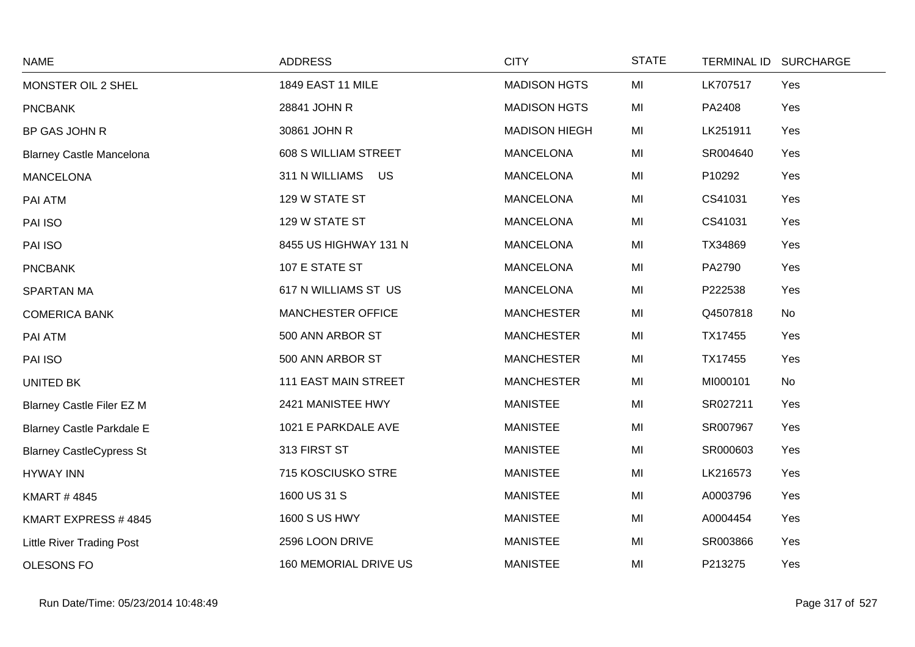| <b>NAME</b>                      | <b>ADDRESS</b>              | <b>CITY</b>          | <b>STATE</b> | <b>TERMINAL ID</b> | <b>SURCHARGE</b> |
|----------------------------------|-----------------------------|----------------------|--------------|--------------------|------------------|
| MONSTER OIL 2 SHEL               | 1849 EAST 11 MILE           | <b>MADISON HGTS</b>  | MI           | LK707517           | Yes              |
| <b>PNCBANK</b>                   | 28841 JOHN R                | <b>MADISON HGTS</b>  | MI           | PA2408             | Yes              |
| BP GAS JOHN R                    | 30861 JOHN R                | <b>MADISON HIEGH</b> | MI           | LK251911           | Yes              |
| <b>Blarney Castle Mancelona</b>  | 608 S WILLIAM STREET        | <b>MANCELONA</b>     | MI           | SR004640           | Yes              |
| <b>MANCELONA</b>                 | 311 N WILLIAMS US           | <b>MANCELONA</b>     | MI           | P10292             | Yes              |
| PAI ATM                          | 129 W STATE ST              | <b>MANCELONA</b>     | MI           | CS41031            | Yes              |
| PAI ISO                          | 129 W STATE ST              | <b>MANCELONA</b>     | MI           | CS41031            | Yes              |
| PAI ISO                          | 8455 US HIGHWAY 131 N       | <b>MANCELONA</b>     | MI           | TX34869            | Yes              |
| <b>PNCBANK</b>                   | 107 E STATE ST              | <b>MANCELONA</b>     | MI           | PA2790             | Yes              |
| <b>SPARTAN MA</b>                | 617 N WILLIAMS ST US        | <b>MANCELONA</b>     | MI           | P222538            | Yes              |
| <b>COMERICA BANK</b>             | MANCHESTER OFFICE           | <b>MANCHESTER</b>    | MI           | Q4507818           | No               |
| PAI ATM                          | 500 ANN ARBOR ST            | <b>MANCHESTER</b>    | MI           | TX17455            | Yes              |
| PAI ISO                          | 500 ANN ARBOR ST            | <b>MANCHESTER</b>    | MI           | TX17455            | Yes              |
| UNITED BK                        | <b>111 EAST MAIN STREET</b> | <b>MANCHESTER</b>    | MI           | MI000101           | No               |
| <b>Blarney Castle Filer EZ M</b> | 2421 MANISTEE HWY           | <b>MANISTEE</b>      | MI           | SR027211           | Yes              |
| <b>Blarney Castle Parkdale E</b> | 1021 E PARKDALE AVE         | <b>MANISTEE</b>      | MI           | SR007967           | Yes              |
| <b>Blarney CastleCypress St</b>  | 313 FIRST ST                | <b>MANISTEE</b>      | MI           | SR000603           | Yes              |
| <b>HYWAY INN</b>                 | 715 KOSCIUSKO STRE          | <b>MANISTEE</b>      | MI           | LK216573           | Yes              |
| <b>KMART #4845</b>               | 1600 US 31 S                | <b>MANISTEE</b>      | MI           | A0003796           | Yes              |
| KMART EXPRESS #4845              | <b>1600 S US HWY</b>        | <b>MANISTEE</b>      | MI           | A0004454           | Yes              |
| <b>Little River Trading Post</b> | 2596 LOON DRIVE             | <b>MANISTEE</b>      | MI           | SR003866           | Yes              |
| <b>OLESONS FO</b>                | 160 MEMORIAL DRIVE US       | <b>MANISTEE</b>      | MI           | P213275            | Yes              |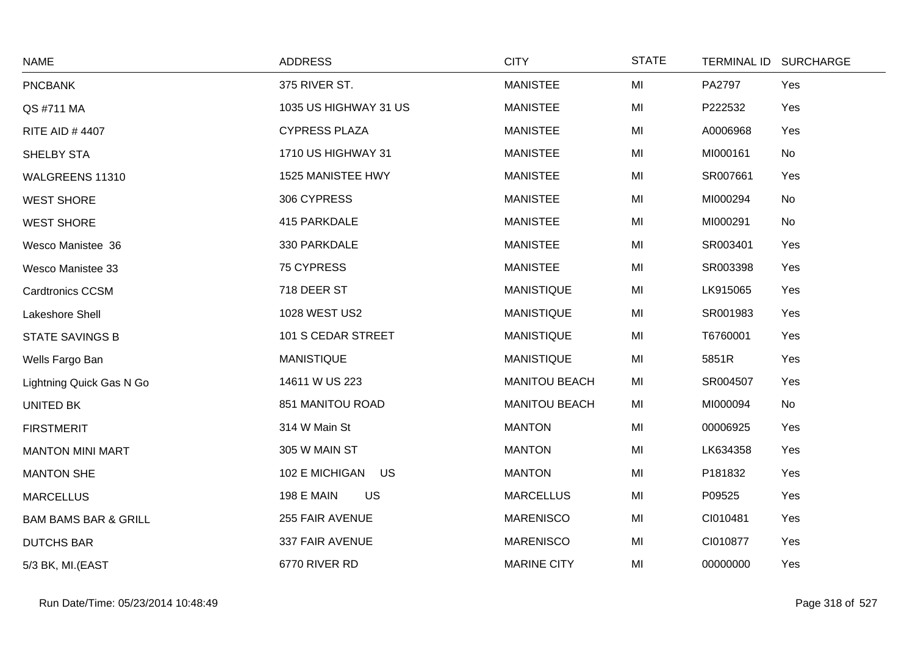| <b>NAME</b>                     | <b>ADDRESS</b>                 | <b>CITY</b>          | <b>STATE</b> | TERMINAL ID SURCHARGE |     |
|---------------------------------|--------------------------------|----------------------|--------------|-----------------------|-----|
| <b>PNCBANK</b>                  | 375 RIVER ST.                  | <b>MANISTEE</b>      | MI           | PA2797                | Yes |
| QS #711 MA                      | 1035 US HIGHWAY 31 US          | <b>MANISTEE</b>      | MI           | P222532               | Yes |
| <b>RITE AID #4407</b>           | <b>CYPRESS PLAZA</b>           | <b>MANISTEE</b>      | MI           | A0006968              | Yes |
| SHELBY STA                      | 1710 US HIGHWAY 31             | <b>MANISTEE</b>      | MI           | MI000161              | No  |
| WALGREENS 11310                 | 1525 MANISTEE HWY              | <b>MANISTEE</b>      | MI           | SR007661              | Yes |
| <b>WEST SHORE</b>               | 306 CYPRESS                    | <b>MANISTEE</b>      | MI           | MI000294              | No  |
| <b>WEST SHORE</b>               | 415 PARKDALE                   | <b>MANISTEE</b>      | MI           | MI000291              | No  |
| Wesco Manistee 36               | 330 PARKDALE                   | <b>MANISTEE</b>      | MI           | SR003401              | Yes |
| Wesco Manistee 33               | 75 CYPRESS                     | <b>MANISTEE</b>      | MI           | SR003398              | Yes |
| <b>Cardtronics CCSM</b>         | 718 DEER ST                    | <b>MANISTIQUE</b>    | MI           | LK915065              | Yes |
| Lakeshore Shell                 | 1028 WEST US2                  | <b>MANISTIQUE</b>    | MI           | SR001983              | Yes |
| STATE SAVINGS B                 | 101 S CEDAR STREET             | <b>MANISTIQUE</b>    | MI           | T6760001              | Yes |
| Wells Fargo Ban                 | <b>MANISTIQUE</b>              | <b>MANISTIQUE</b>    | MI           | 5851R                 | Yes |
| Lightning Quick Gas N Go        | 14611 W US 223                 | <b>MANITOU BEACH</b> | MI           | SR004507              | Yes |
| UNITED BK                       | 851 MANITOU ROAD               | <b>MANITOU BEACH</b> | MI           | MI000094              | No  |
| <b>FIRSTMERIT</b>               | 314 W Main St                  | <b>MANTON</b>        | MI           | 00006925              | Yes |
| <b>MANTON MINI MART</b>         | 305 W MAIN ST                  | <b>MANTON</b>        | MI           | LK634358              | Yes |
| <b>MANTON SHE</b>               | 102 E MICHIGAN US              | <b>MANTON</b>        | MI           | P181832               | Yes |
| <b>MARCELLUS</b>                | <b>US</b><br><b>198 E MAIN</b> | <b>MARCELLUS</b>     | MI           | P09525                | Yes |
| <b>BAM BAMS BAR &amp; GRILL</b> | 255 FAIR AVENUE                | <b>MARENISCO</b>     | MI           | CI010481              | Yes |
| <b>DUTCHS BAR</b>               | 337 FAIR AVENUE                | <b>MARENISCO</b>     | MI           | CI010877              | Yes |
| 5/3 BK, MI.(EAST                | 6770 RIVER RD                  | <b>MARINE CITY</b>   | MI           | 00000000              | Yes |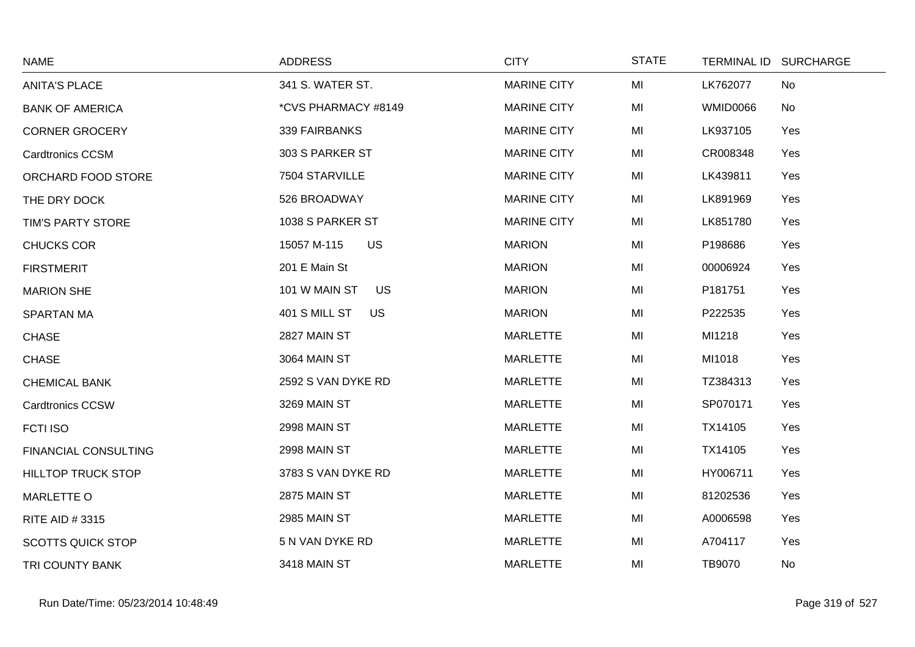| <b>NAME</b>                 | <b>ADDRESS</b>             | <b>CITY</b>        | <b>STATE</b> |                 | TERMINAL ID SURCHARGE |
|-----------------------------|----------------------------|--------------------|--------------|-----------------|-----------------------|
| <b>ANITA'S PLACE</b>        | 341 S. WATER ST.           | <b>MARINE CITY</b> | MI           | LK762077        | No                    |
| <b>BANK OF AMERICA</b>      | *CVS PHARMACY #8149        | <b>MARINE CITY</b> | MI           | <b>WMID0066</b> | No                    |
| <b>CORNER GROCERY</b>       | 339 FAIRBANKS              | <b>MARINE CITY</b> | MI           | LK937105        | Yes                   |
| <b>Cardtronics CCSM</b>     | 303 S PARKER ST            | <b>MARINE CITY</b> | MI           | CR008348        | Yes                   |
| ORCHARD FOOD STORE          | 7504 STARVILLE             | <b>MARINE CITY</b> | MI           | LK439811        | Yes                   |
| THE DRY DOCK                | 526 BROADWAY               | <b>MARINE CITY</b> | MI           | LK891969        | Yes                   |
| TIM'S PARTY STORE           | 1038 S PARKER ST           | <b>MARINE CITY</b> | MI           | LK851780        | Yes                   |
| <b>CHUCKS COR</b>           | 15057 M-115<br><b>US</b>   | <b>MARION</b>      | MI           | P198686         | Yes                   |
| <b>FIRSTMERIT</b>           | 201 E Main St              | <b>MARION</b>      | MI           | 00006924        | Yes                   |
| <b>MARION SHE</b>           | 101 W MAIN ST<br>US        | <b>MARION</b>      | MI           | P181751         | Yes                   |
| <b>SPARTAN MA</b>           | 401 S MILL ST<br><b>US</b> | <b>MARION</b>      | MI           | P222535         | Yes                   |
| <b>CHASE</b>                | 2827 MAIN ST               | <b>MARLETTE</b>    | MI           | MI1218          | Yes                   |
| <b>CHASE</b>                | 3064 MAIN ST               | <b>MARLETTE</b>    | MI           | MI1018          | Yes                   |
| <b>CHEMICAL BANK</b>        | 2592 S VAN DYKE RD         | <b>MARLETTE</b>    | MI           | TZ384313        | Yes                   |
| Cardtronics CCSW            | 3269 MAIN ST               | <b>MARLETTE</b>    | MI           | SP070171        | Yes                   |
| FCTI ISO                    | 2998 MAIN ST               | <b>MARLETTE</b>    | MI           | TX14105         | Yes                   |
| <b>FINANCIAL CONSULTING</b> | 2998 MAIN ST               | <b>MARLETTE</b>    | MI           | TX14105         | Yes                   |
| <b>HILLTOP TRUCK STOP</b>   | 3783 S VAN DYKE RD         | <b>MARLETTE</b>    | MI           | HY006711        | Yes                   |
| <b>MARLETTE O</b>           | 2875 MAIN ST               | <b>MARLETTE</b>    | MI           | 81202536        | Yes                   |
| RITE AID #3315              | 2985 MAIN ST               | <b>MARLETTE</b>    | MI           | A0006598        | Yes                   |
| <b>SCOTTS QUICK STOP</b>    | 5 N VAN DYKE RD            | <b>MARLETTE</b>    | MI           | A704117         | Yes                   |
| TRI COUNTY BANK             | 3418 MAIN ST               | <b>MARLETTE</b>    | MI           | TB9070          | No                    |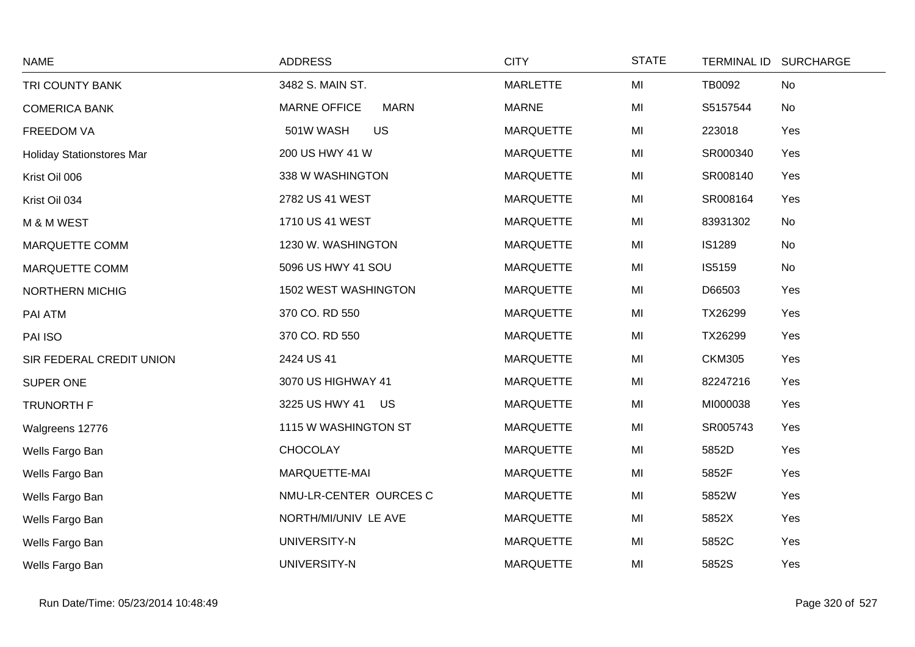| <b>NAME</b>                      | <b>ADDRESS</b>                     | <b>CITY</b>      | <b>STATE</b> |               | TERMINAL ID SURCHARGE |
|----------------------------------|------------------------------------|------------------|--------------|---------------|-----------------------|
| TRI COUNTY BANK                  | 3482 S. MAIN ST.                   | <b>MARLETTE</b>  | MI           | TB0092        | No                    |
| <b>COMERICA BANK</b>             | <b>MARNE OFFICE</b><br><b>MARN</b> | <b>MARNE</b>     | MI           | S5157544      | No                    |
| <b>FREEDOM VA</b>                | 501W WASH<br><b>US</b>             | <b>MARQUETTE</b> | MI           | 223018        | Yes                   |
| <b>Holiday Stationstores Mar</b> | 200 US HWY 41 W                    | <b>MARQUETTE</b> | MI           | SR000340      | Yes                   |
| Krist Oil 006                    | 338 W WASHINGTON                   | <b>MARQUETTE</b> | MI           | SR008140      | Yes                   |
| Krist Oil 034                    | 2782 US 41 WEST                    | <b>MARQUETTE</b> | MI           | SR008164      | Yes                   |
| M & M WEST                       | 1710 US 41 WEST                    | <b>MARQUETTE</b> | MI           | 83931302      | No                    |
| <b>MARQUETTE COMM</b>            | 1230 W. WASHINGTON                 | <b>MARQUETTE</b> | MI           | IS1289        | No                    |
| <b>MARQUETTE COMM</b>            | 5096 US HWY 41 SOU                 | <b>MARQUETTE</b> | MI           | IS5159        | No                    |
| <b>NORTHERN MICHIG</b>           | 1502 WEST WASHINGTON               | <b>MARQUETTE</b> | MI           | D66503        | Yes                   |
| PAI ATM                          | 370 CO. RD 550                     | <b>MARQUETTE</b> | MI           | TX26299       | Yes                   |
| PAI ISO                          | 370 CO. RD 550                     | <b>MARQUETTE</b> | MI           | TX26299       | Yes                   |
| SIR FEDERAL CREDIT UNION         | 2424 US 41                         | <b>MARQUETTE</b> | MI           | <b>CKM305</b> | Yes                   |
| SUPER ONE                        | 3070 US HIGHWAY 41                 | <b>MARQUETTE</b> | MI           | 82247216      | Yes                   |
| <b>TRUNORTH F</b>                | 3225 US HWY 41 US                  | <b>MARQUETTE</b> | MI           | MI000038      | Yes                   |
| Walgreens 12776                  | 1115 W WASHINGTON ST               | <b>MARQUETTE</b> | MI           | SR005743      | Yes                   |
| Wells Fargo Ban                  | <b>CHOCOLAY</b>                    | <b>MARQUETTE</b> | MI           | 5852D         | Yes                   |
| Wells Fargo Ban                  | MARQUETTE-MAI                      | <b>MARQUETTE</b> | MI           | 5852F         | Yes                   |
| Wells Fargo Ban                  | NMU-LR-CENTER OURCES C             | <b>MARQUETTE</b> | MI           | 5852W         | Yes                   |
| Wells Fargo Ban                  | NORTH/MI/UNIV LE AVE               | <b>MARQUETTE</b> | MI           | 5852X         | Yes                   |
| Wells Fargo Ban                  | UNIVERSITY-N                       | <b>MARQUETTE</b> | MI           | 5852C         | Yes                   |
| Wells Fargo Ban                  | UNIVERSITY-N                       | <b>MARQUETTE</b> | MI           | 5852S         | Yes                   |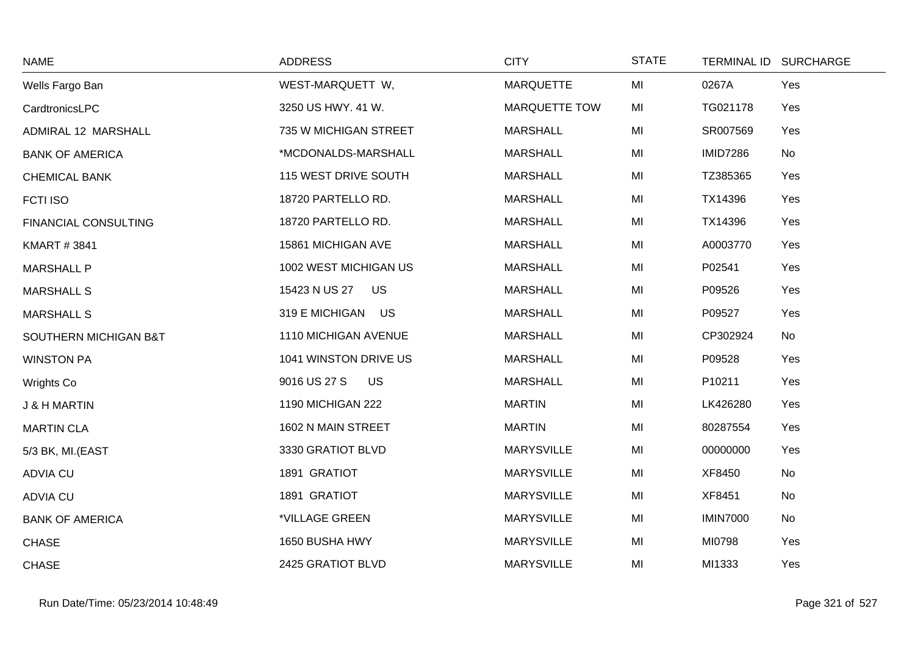| <b>NAME</b>             | <b>ADDRESS</b>            | <b>CITY</b>          | <b>STATE</b> |                 | TERMINAL ID SURCHARGE |
|-------------------------|---------------------------|----------------------|--------------|-----------------|-----------------------|
| Wells Fargo Ban         | WEST-MARQUETT W,          | <b>MARQUETTE</b>     | MI           | 0267A           | Yes                   |
| CardtronicsLPC          | 3250 US HWY. 41 W.        | <b>MARQUETTE TOW</b> | MI           | TG021178        | Yes                   |
| ADMIRAL 12 MARSHALL     | 735 W MICHIGAN STREET     | <b>MARSHALL</b>      | MI           | SR007569        | Yes                   |
| <b>BANK OF AMERICA</b>  | *MCDONALDS-MARSHALL       | <b>MARSHALL</b>      | MI           | <b>IMID7286</b> | No                    |
| <b>CHEMICAL BANK</b>    | 115 WEST DRIVE SOUTH      | <b>MARSHALL</b>      | MI           | TZ385365        | Yes                   |
| <b>FCTI ISO</b>         | 18720 PARTELLO RD.        | <b>MARSHALL</b>      | MI           | TX14396         | Yes                   |
| FINANCIAL CONSULTING    | 18720 PARTELLO RD.        | <b>MARSHALL</b>      | MI           | TX14396         | Yes                   |
| <b>KMART #3841</b>      | 15861 MICHIGAN AVE        | <b>MARSHALL</b>      | MI           | A0003770        | Yes                   |
| <b>MARSHALL P</b>       | 1002 WEST MICHIGAN US     | <b>MARSHALL</b>      | MI           | P02541          | Yes                   |
| <b>MARSHALL S</b>       | 15423 N US 27 US          | <b>MARSHALL</b>      | MI           | P09526          | Yes                   |
| <b>MARSHALL S</b>       | 319 E MICHIGAN US         | <b>MARSHALL</b>      | MI           | P09527          | Yes                   |
| SOUTHERN MICHIGAN B&T   | 1110 MICHIGAN AVENUE      | <b>MARSHALL</b>      | MI           | CP302924        | No                    |
| <b>WINSTON PA</b>       | 1041 WINSTON DRIVE US     | <b>MARSHALL</b>      | MI           | P09528          | Yes                   |
| <b>Wrights Co</b>       | 9016 US 27 S<br><b>US</b> | <b>MARSHALL</b>      | MI           | P10211          | Yes                   |
| <b>J &amp; H MARTIN</b> | 1190 MICHIGAN 222         | <b>MARTIN</b>        | MI           | LK426280        | Yes                   |
| <b>MARTIN CLA</b>       | 1602 N MAIN STREET        | <b>MARTIN</b>        | MI           | 80287554        | Yes                   |
| 5/3 BK, MI.(EAST        | 3330 GRATIOT BLVD         | <b>MARYSVILLE</b>    | MI           | 00000000        | Yes                   |
| <b>ADVIA CU</b>         | 1891 GRATIOT              | <b>MARYSVILLE</b>    | MI           | XF8450          | No                    |
| <b>ADVIA CU</b>         | 1891 GRATIOT              | <b>MARYSVILLE</b>    | MI           | XF8451          | No                    |
| <b>BANK OF AMERICA</b>  | *VILLAGE GREEN            | <b>MARYSVILLE</b>    | MI           | <b>IMIN7000</b> | No                    |
| <b>CHASE</b>            | 1650 BUSHA HWY            | <b>MARYSVILLE</b>    | MI           | MI0798          | Yes                   |
| <b>CHASE</b>            | 2425 GRATIOT BLVD         | <b>MARYSVILLE</b>    | MI           | MI1333          | Yes                   |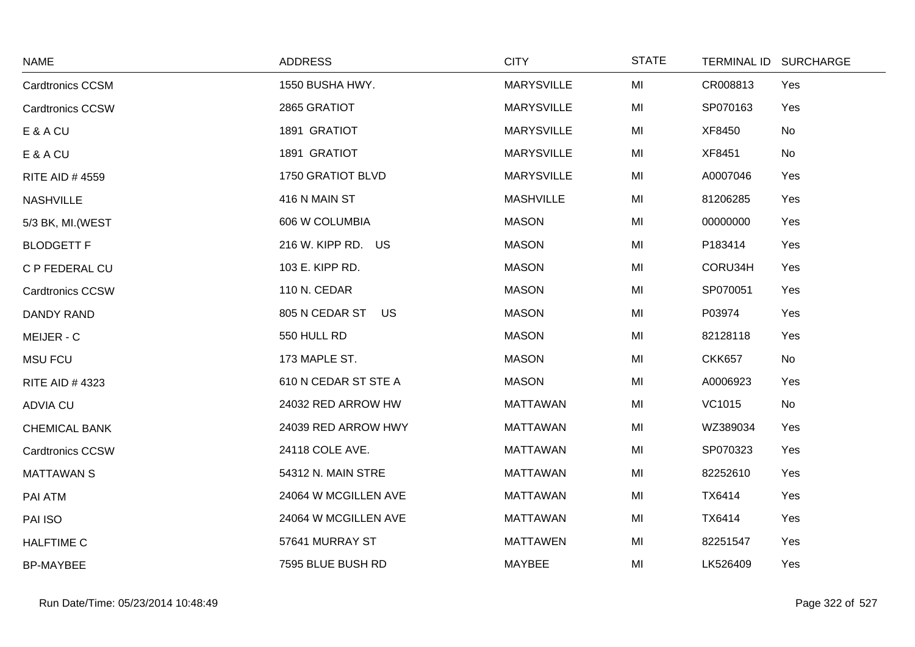| <b>NAME</b>             | <b>ADDRESS</b>       | <b>CITY</b>       | <b>STATE</b> |               | TERMINAL ID SURCHARGE |
|-------------------------|----------------------|-------------------|--------------|---------------|-----------------------|
| <b>Cardtronics CCSM</b> | 1550 BUSHA HWY.      | <b>MARYSVILLE</b> | MI           | CR008813      | Yes                   |
| <b>Cardtronics CCSW</b> | 2865 GRATIOT         | <b>MARYSVILLE</b> | MI           | SP070163      | Yes                   |
| E & A CU                | 1891 GRATIOT         | <b>MARYSVILLE</b> | MI           | XF8450        | No                    |
| E & A CU                | 1891 GRATIOT         | <b>MARYSVILLE</b> | MI           | XF8451        | No                    |
| <b>RITE AID #4559</b>   | 1750 GRATIOT BLVD    | <b>MARYSVILLE</b> | MI           | A0007046      | Yes                   |
| <b>NASHVILLE</b>        | 416 N MAIN ST        | <b>MASHVILLE</b>  | MI           | 81206285      | Yes                   |
| 5/3 BK, MI. (WEST       | 606 W COLUMBIA       | <b>MASON</b>      | MI           | 00000000      | Yes                   |
| <b>BLODGETT F</b>       | 216 W. KIPP RD. US   | <b>MASON</b>      | MI           | P183414       | Yes                   |
| C P FEDERAL CU          | 103 E. KIPP RD.      | <b>MASON</b>      | MI           | CORU34H       | Yes                   |
| <b>Cardtronics CCSW</b> | 110 N. CEDAR         | <b>MASON</b>      | MI           | SP070051      | Yes                   |
| <b>DANDY RAND</b>       | 805 N CEDAR ST US    | <b>MASON</b>      | MI           | P03974        | Yes                   |
| MEIJER - C              | 550 HULL RD          | <b>MASON</b>      | MI           | 82128118      | Yes                   |
| <b>MSU FCU</b>          | 173 MAPLE ST.        | <b>MASON</b>      | MI           | <b>CKK657</b> | No                    |
| RITE AID #4323          | 610 N CEDAR ST STE A | <b>MASON</b>      | MI           | A0006923      | Yes                   |
| <b>ADVIA CU</b>         | 24032 RED ARROW HW   | <b>MATTAWAN</b>   | MI           | VC1015        | No                    |
| <b>CHEMICAL BANK</b>    | 24039 RED ARROW HWY  | <b>MATTAWAN</b>   | MI           | WZ389034      | Yes                   |
| <b>Cardtronics CCSW</b> | 24118 COLE AVE.      | <b>MATTAWAN</b>   | MI           | SP070323      | Yes                   |
| <b>MATTAWAN S</b>       | 54312 N. MAIN STRE   | <b>MATTAWAN</b>   | MI           | 82252610      | Yes                   |
| PAI ATM                 | 24064 W MCGILLEN AVE | <b>MATTAWAN</b>   | MI           | TX6414        | Yes                   |
| PAI ISO                 | 24064 W MCGILLEN AVE | <b>MATTAWAN</b>   | MI           | TX6414        | Yes                   |
| <b>HALFTIME C</b>       | 57641 MURRAY ST      | <b>MATTAWEN</b>   | MI           | 82251547      | Yes                   |
| <b>BP-MAYBEE</b>        | 7595 BLUE BUSH RD    | MAYBEE            | MI           | LK526409      | Yes                   |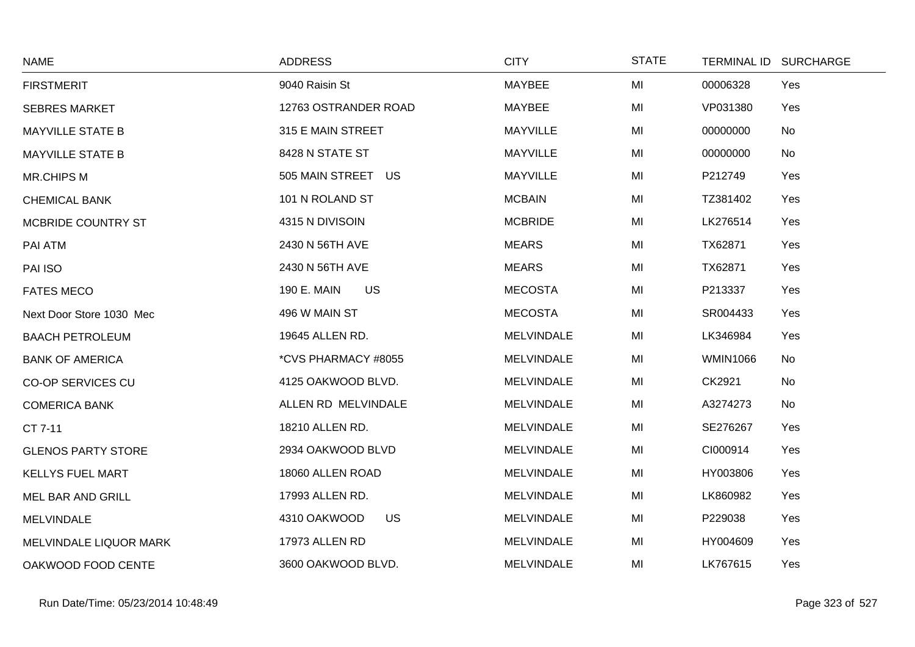| <b>NAME</b>               | <b>ADDRESS</b>            | <b>CITY</b>       | <b>STATE</b> |                 | TERMINAL ID SURCHARGE |
|---------------------------|---------------------------|-------------------|--------------|-----------------|-----------------------|
| <b>FIRSTMERIT</b>         | 9040 Raisin St            | MAYBEE            | MI           | 00006328        | Yes                   |
| <b>SEBRES MARKET</b>      | 12763 OSTRANDER ROAD      | <b>MAYBEE</b>     | MI           | VP031380        | Yes                   |
| <b>MAYVILLE STATE B</b>   | 315 E MAIN STREET         | <b>MAYVILLE</b>   | MI           | 00000000        | No                    |
| <b>MAYVILLE STATE B</b>   | 8428 N STATE ST           | <b>MAYVILLE</b>   | MI           | 00000000        | No                    |
| <b>MR.CHIPS M</b>         | 505 MAIN STREET US        | <b>MAYVILLE</b>   | MI           | P212749         | Yes                   |
| <b>CHEMICAL BANK</b>      | 101 N ROLAND ST           | <b>MCBAIN</b>     | MI           | TZ381402        | Yes                   |
| MCBRIDE COUNTRY ST        | 4315 N DIVISOIN           | <b>MCBRIDE</b>    | MI           | LK276514        | Yes                   |
| PAI ATM                   | 2430 N 56TH AVE           | <b>MEARS</b>      | MI           | TX62871         | Yes                   |
| PAI ISO                   | 2430 N 56TH AVE           | <b>MEARS</b>      | MI           | TX62871         | Yes                   |
| <b>FATES MECO</b>         | 190 E. MAIN<br><b>US</b>  | <b>MECOSTA</b>    | MI           | P213337         | Yes                   |
| Next Door Store 1030 Mec  | 496 W MAIN ST             | <b>MECOSTA</b>    | MI           | SR004433        | Yes                   |
| <b>BAACH PETROLEUM</b>    | 19645 ALLEN RD.           | <b>MELVINDALE</b> | MI           | LK346984        | Yes                   |
| <b>BANK OF AMERICA</b>    | *CVS PHARMACY #8055       | <b>MELVINDALE</b> | MI           | <b>WMIN1066</b> | No                    |
| <b>CO-OP SERVICES CU</b>  | 4125 OAKWOOD BLVD.        | <b>MELVINDALE</b> | MI           | CK2921          | No                    |
| <b>COMERICA BANK</b>      | ALLEN RD MELVINDALE       | <b>MELVINDALE</b> | MI           | A3274273        | No                    |
| CT 7-11                   | 18210 ALLEN RD.           | <b>MELVINDALE</b> | MI           | SE276267        | Yes                   |
| <b>GLENOS PARTY STORE</b> | 2934 OAKWOOD BLVD         | <b>MELVINDALE</b> | MI           | CI000914        | Yes                   |
| <b>KELLYS FUEL MART</b>   | 18060 ALLEN ROAD          | <b>MELVINDALE</b> | MI           | HY003806        | Yes                   |
| <b>MEL BAR AND GRILL</b>  | 17993 ALLEN RD.           | <b>MELVINDALE</b> | MI           | LK860982        | Yes                   |
| <b>MELVINDALE</b>         | 4310 OAKWOOD<br><b>US</b> | <b>MELVINDALE</b> | MI           | P229038         | Yes                   |
| MELVINDALE LIQUOR MARK    | 17973 ALLEN RD            | <b>MELVINDALE</b> | MI           | HY004609        | Yes                   |
| OAKWOOD FOOD CENTE        | 3600 OAKWOOD BLVD.        | <b>MELVINDALE</b> | MI           | LK767615        | Yes                   |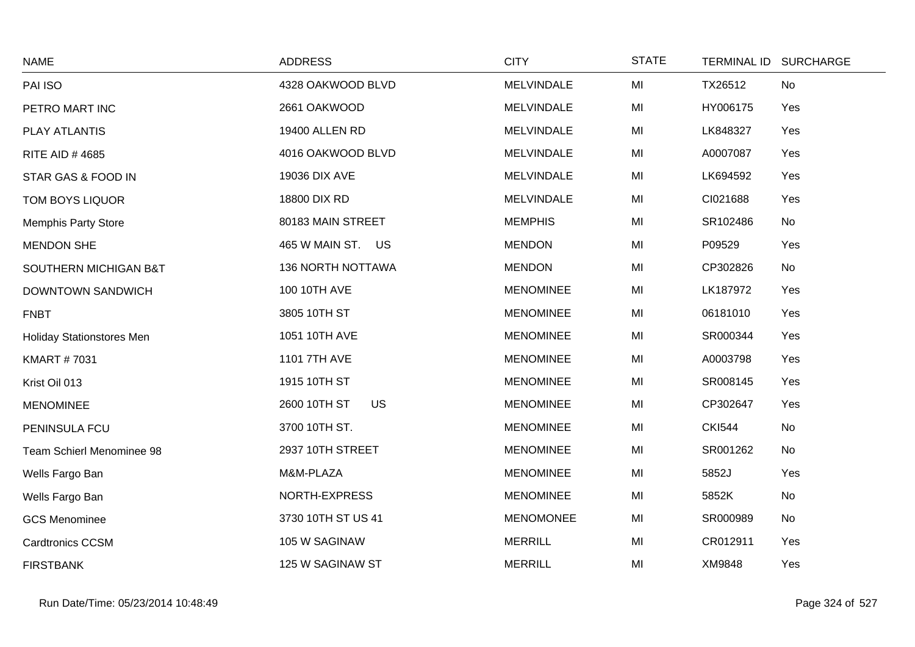| <b>NAME</b>                      | <b>ADDRESS</b>            | <b>CITY</b>       | <b>STATE</b> | TERMINAL ID SURCHARGE |     |
|----------------------------------|---------------------------|-------------------|--------------|-----------------------|-----|
| PAI ISO                          | 4328 OAKWOOD BLVD         | <b>MELVINDALE</b> | MI           | TX26512               | No  |
| PETRO MART INC                   | 2661 OAKWOOD              | <b>MELVINDALE</b> | MI           | HY006175              | Yes |
| <b>PLAY ATLANTIS</b>             | 19400 ALLEN RD            | MELVINDALE        | MI           | LK848327              | Yes |
| <b>RITE AID #4685</b>            | 4016 OAKWOOD BLVD         | <b>MELVINDALE</b> | MI           | A0007087              | Yes |
| STAR GAS & FOOD IN               | 19036 DIX AVE             | <b>MELVINDALE</b> | MI           | LK694592              | Yes |
| TOM BOYS LIQUOR                  | 18800 DIX RD              | <b>MELVINDALE</b> | MI           | CI021688              | Yes |
| <b>Memphis Party Store</b>       | 80183 MAIN STREET         | <b>MEMPHIS</b>    | MI           | SR102486              | No  |
| <b>MENDON SHE</b>                | 465 W MAIN ST. US         | <b>MENDON</b>     | MI           | P09529                | Yes |
| SOUTHERN MICHIGAN B&T            | <b>136 NORTH NOTTAWA</b>  | <b>MENDON</b>     | MI           | CP302826              | No  |
| <b>DOWNTOWN SANDWICH</b>         | 100 10TH AVE              | <b>MENOMINEE</b>  | MI           | LK187972              | Yes |
| <b>FNBT</b>                      | 3805 10TH ST              | <b>MENOMINEE</b>  | MI           | 06181010              | Yes |
| <b>Holiday Stationstores Men</b> | 1051 10TH AVE             | <b>MENOMINEE</b>  | MI           | SR000344              | Yes |
| <b>KMART #7031</b>               | 1101 7TH AVE              | <b>MENOMINEE</b>  | MI           | A0003798              | Yes |
| Krist Oil 013                    | 1915 10TH ST              | <b>MENOMINEE</b>  | MI           | SR008145              | Yes |
| <b>MENOMINEE</b>                 | <b>US</b><br>2600 10TH ST | <b>MENOMINEE</b>  | MI           | CP302647              | Yes |
| PENINSULA FCU                    | 3700 10TH ST.             | <b>MENOMINEE</b>  | MI           | <b>CKI544</b>         | No  |
| Team Schierl Menominee 98        | 2937 10TH STREET          | <b>MENOMINEE</b>  | MI           | SR001262              | No  |
| Wells Fargo Ban                  | M&M-PLAZA                 | <b>MENOMINEE</b>  | MI           | 5852J                 | Yes |
| Wells Fargo Ban                  | NORTH-EXPRESS             | <b>MENOMINEE</b>  | MI           | 5852K                 | No  |
| <b>GCS Menominee</b>             | 3730 10TH ST US 41        | <b>MENOMONEE</b>  | MI           | SR000989              | No  |
| <b>Cardtronics CCSM</b>          | 105 W SAGINAW             | <b>MERRILL</b>    | MI           | CR012911              | Yes |
| <b>FIRSTBANK</b>                 | 125 W SAGINAW ST          | <b>MERRILL</b>    | MI           | XM9848                | Yes |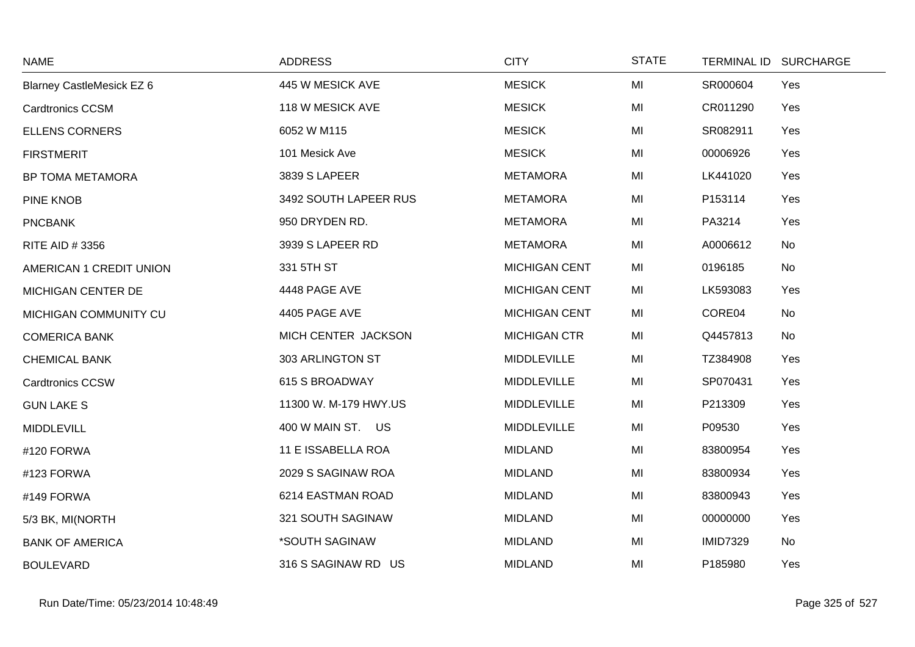| <b>NAME</b>                      | <b>ADDRESS</b>        | <b>CITY</b>          | <b>STATE</b> | TERMINAL ID SURCHARGE |  |
|----------------------------------|-----------------------|----------------------|--------------|-----------------------|--|
| <b>Blarney CastleMesick EZ 6</b> | 445 W MESICK AVE      | <b>MESICK</b>        | MI           | SR000604<br>Yes       |  |
| <b>Cardtronics CCSM</b>          | 118 W MESICK AVE      | <b>MESICK</b>        | MI           | CR011290<br>Yes       |  |
| <b>ELLENS CORNERS</b>            | 6052 W M115           | <b>MESICK</b>        | MI           | SR082911<br>Yes       |  |
| <b>FIRSTMERIT</b>                | 101 Mesick Ave        | <b>MESICK</b>        | MI           | 00006926<br>Yes       |  |
| BP TOMA METAMORA                 | 3839 S LAPEER         | <b>METAMORA</b>      | MI           | LK441020<br>Yes       |  |
| <b>PINE KNOB</b>                 | 3492 SOUTH LAPEER RUS | <b>METAMORA</b>      | MI           | P153114<br>Yes        |  |
| <b>PNCBANK</b>                   | 950 DRYDEN RD.        | <b>METAMORA</b>      | MI           | Yes<br>PA3214         |  |
| RITE AID #3356                   | 3939 S LAPEER RD      | <b>METAMORA</b>      | MI           | A0006612<br>No        |  |
| AMERICAN 1 CREDIT UNION          | 331 5TH ST            | <b>MICHIGAN CENT</b> | MI           | 0196185<br>No         |  |
| MICHIGAN CENTER DE               | 4448 PAGE AVE         | <b>MICHIGAN CENT</b> | MI           | LK593083<br>Yes       |  |
| MICHIGAN COMMUNITY CU            | 4405 PAGE AVE         | <b>MICHIGAN CENT</b> | MI           | CORE04<br>No          |  |
| <b>COMERICA BANK</b>             | MICH CENTER JACKSON   | <b>MICHIGAN CTR</b>  | MI           | Q4457813<br>No        |  |
| <b>CHEMICAL BANK</b>             | 303 ARLINGTON ST      | MIDDLEVILLE          | MI           | TZ384908<br>Yes       |  |
| <b>Cardtronics CCSW</b>          | 615 S BROADWAY        | MIDDLEVILLE          | MI           | SP070431<br>Yes       |  |
| <b>GUN LAKE S</b>                | 11300 W. M-179 HWY.US | <b>MIDDLEVILLE</b>   | MI           | Yes<br>P213309        |  |
| <b>MIDDLEVILL</b>                | 400 W MAIN ST. US     | <b>MIDDLEVILLE</b>   | MI           | P09530<br>Yes         |  |
| #120 FORWA                       | 11 E ISSABELLA ROA    | <b>MIDLAND</b>       | MI           | 83800954<br>Yes       |  |
| #123 FORWA                       | 2029 S SAGINAW ROA    | <b>MIDLAND</b>       | MI           | Yes<br>83800934       |  |
| #149 FORWA                       | 6214 EASTMAN ROAD     | <b>MIDLAND</b>       | MI           | 83800943<br>Yes       |  |
| 5/3 BK, MI(NORTH                 | 321 SOUTH SAGINAW     | <b>MIDLAND</b>       | MI           | 00000000<br>Yes       |  |
| <b>BANK OF AMERICA</b>           | *SOUTH SAGINAW        | <b>MIDLAND</b>       | MI           | <b>IMID7329</b><br>No |  |
| <b>BOULEVARD</b>                 | 316 S SAGINAW RD US   | <b>MIDLAND</b>       | MI           | P185980<br>Yes        |  |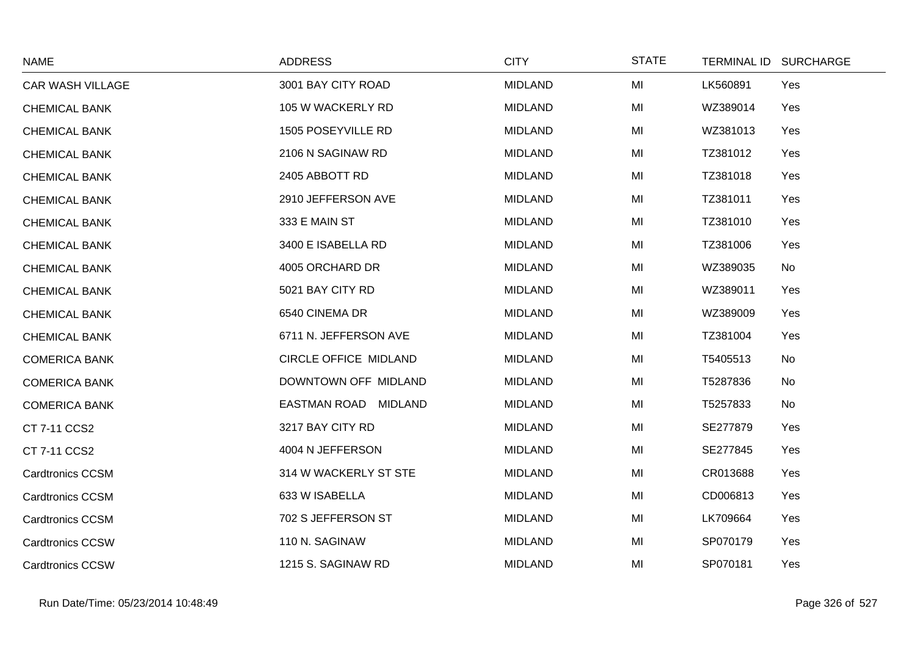| <b>NAME</b>             | <b>ADDRESS</b>               | <b>CITY</b>    | <b>STATE</b> | <b>TERMINAL ID</b><br><b>SURCHARGE</b> |
|-------------------------|------------------------------|----------------|--------------|----------------------------------------|
| <b>CAR WASH VILLAGE</b> | 3001 BAY CITY ROAD           | <b>MIDLAND</b> | MI           | LK560891<br>Yes                        |
| <b>CHEMICAL BANK</b>    | 105 W WACKERLY RD            | <b>MIDLAND</b> | MI           | WZ389014<br>Yes                        |
| <b>CHEMICAL BANK</b>    | 1505 POSEYVILLE RD           | <b>MIDLAND</b> | MI           | WZ381013<br>Yes                        |
| <b>CHEMICAL BANK</b>    | 2106 N SAGINAW RD            | <b>MIDLAND</b> | MI           | TZ381012<br>Yes                        |
| <b>CHEMICAL BANK</b>    | 2405 ABBOTT RD               | <b>MIDLAND</b> | MI           | TZ381018<br>Yes                        |
| <b>CHEMICAL BANK</b>    | 2910 JEFFERSON AVE           | <b>MIDLAND</b> | MI           | TZ381011<br>Yes                        |
| <b>CHEMICAL BANK</b>    | 333 E MAIN ST                | <b>MIDLAND</b> | MI           | Yes<br>TZ381010                        |
| <b>CHEMICAL BANK</b>    | 3400 E ISABELLA RD           | <b>MIDLAND</b> | MI           | Yes<br>TZ381006                        |
| <b>CHEMICAL BANK</b>    | 4005 ORCHARD DR              | <b>MIDLAND</b> | MI           | WZ389035<br>No                         |
| <b>CHEMICAL BANK</b>    | 5021 BAY CITY RD             | <b>MIDLAND</b> | MI           | WZ389011<br>Yes                        |
| <b>CHEMICAL BANK</b>    | 6540 CINEMA DR               | <b>MIDLAND</b> | MI           | WZ389009<br>Yes                        |
| <b>CHEMICAL BANK</b>    | 6711 N. JEFFERSON AVE        | <b>MIDLAND</b> | MI           | TZ381004<br>Yes                        |
| <b>COMERICA BANK</b>    | <b>CIRCLE OFFICE MIDLAND</b> | <b>MIDLAND</b> | MI           | T5405513<br>No                         |
| <b>COMERICA BANK</b>    | DOWNTOWN OFF MIDLAND         | <b>MIDLAND</b> | MI           | T5287836<br>No                         |
| <b>COMERICA BANK</b>    | EASTMAN ROAD MIDLAND         | <b>MIDLAND</b> | MI           | T5257833<br>No                         |
| CT 7-11 CCS2            | 3217 BAY CITY RD             | <b>MIDLAND</b> | MI           | SE277879<br>Yes                        |
| CT 7-11 CCS2            | 4004 N JEFFERSON             | <b>MIDLAND</b> | MI           | SE277845<br>Yes                        |
| <b>Cardtronics CCSM</b> | 314 W WACKERLY ST STE        | <b>MIDLAND</b> | MI           | CR013688<br>Yes                        |
| <b>Cardtronics CCSM</b> | 633 W ISABELLA               | <b>MIDLAND</b> | MI           | CD006813<br>Yes                        |
| <b>Cardtronics CCSM</b> | 702 S JEFFERSON ST           | <b>MIDLAND</b> | MI           | LK709664<br>Yes                        |
| <b>Cardtronics CCSW</b> | 110 N. SAGINAW               | <b>MIDLAND</b> | MI           | SP070179<br>Yes                        |
| <b>Cardtronics CCSW</b> | 1215 S. SAGINAW RD           | <b>MIDLAND</b> | MI           | SP070181<br>Yes                        |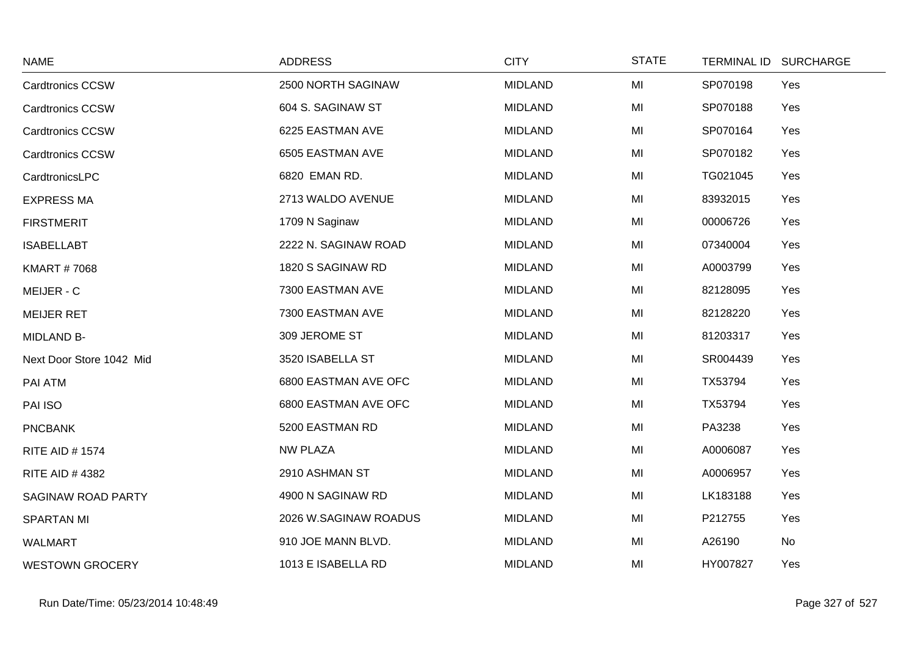| <b>NAME</b>               | <b>ADDRESS</b>        | <b>CITY</b>    | <b>STATE</b> |          | TERMINAL ID SURCHARGE |
|---------------------------|-----------------------|----------------|--------------|----------|-----------------------|
| <b>Cardtronics CCSW</b>   | 2500 NORTH SAGINAW    | <b>MIDLAND</b> | MI           | SP070198 | Yes                   |
| Cardtronics CCSW          | 604 S. SAGINAW ST     | <b>MIDLAND</b> | MI           | SP070188 | Yes                   |
| <b>Cardtronics CCSW</b>   | 6225 EASTMAN AVE      | <b>MIDLAND</b> | MI           | SP070164 | Yes                   |
| <b>Cardtronics CCSW</b>   | 6505 EASTMAN AVE      | <b>MIDLAND</b> | MI           | SP070182 | Yes                   |
| CardtronicsLPC            | 6820 EMAN RD.         | <b>MIDLAND</b> | MI           | TG021045 | Yes                   |
| <b>EXPRESS MA</b>         | 2713 WALDO AVENUE     | <b>MIDLAND</b> | MI           | 83932015 | Yes                   |
| <b>FIRSTMERIT</b>         | 1709 N Saginaw        | <b>MIDLAND</b> | MI           | 00006726 | Yes                   |
| <b>ISABELLABT</b>         | 2222 N. SAGINAW ROAD  | <b>MIDLAND</b> | MI           | 07340004 | Yes                   |
| <b>KMART #7068</b>        | 1820 S SAGINAW RD     | <b>MIDLAND</b> | MI           | A0003799 | Yes                   |
| MEIJER - C                | 7300 EASTMAN AVE      | <b>MIDLAND</b> | MI           | 82128095 | Yes                   |
| <b>MEIJER RET</b>         | 7300 EASTMAN AVE      | <b>MIDLAND</b> | MI           | 82128220 | Yes                   |
| <b>MIDLAND B-</b>         | 309 JEROME ST         | <b>MIDLAND</b> | MI           | 81203317 | Yes                   |
| Next Door Store 1042 Mid  | 3520 ISABELLA ST      | <b>MIDLAND</b> | MI           | SR004439 | Yes                   |
| PAI ATM                   | 6800 EASTMAN AVE OFC  | <b>MIDLAND</b> | MI           | TX53794  | Yes                   |
| PAI ISO                   | 6800 EASTMAN AVE OFC  | <b>MIDLAND</b> | MI           | TX53794  | Yes                   |
| <b>PNCBANK</b>            | 5200 EASTMAN RD       | <b>MIDLAND</b> | MI           | PA3238   | Yes                   |
| <b>RITE AID # 1574</b>    | <b>NW PLAZA</b>       | <b>MIDLAND</b> | MI           | A0006087 | Yes                   |
| <b>RITE AID #4382</b>     | 2910 ASHMAN ST        | <b>MIDLAND</b> | MI           | A0006957 | Yes                   |
| <b>SAGINAW ROAD PARTY</b> | 4900 N SAGINAW RD     | <b>MIDLAND</b> | MI           | LK183188 | Yes                   |
| <b>SPARTAN MI</b>         | 2026 W.SAGINAW ROADUS | <b>MIDLAND</b> | MI           | P212755  | Yes                   |
| <b>WALMART</b>            | 910 JOE MANN BLVD.    | <b>MIDLAND</b> | MI           | A26190   | No                    |
| <b>WESTOWN GROCERY</b>    | 1013 E ISABELLA RD    | <b>MIDLAND</b> | MI           | HY007827 | Yes                   |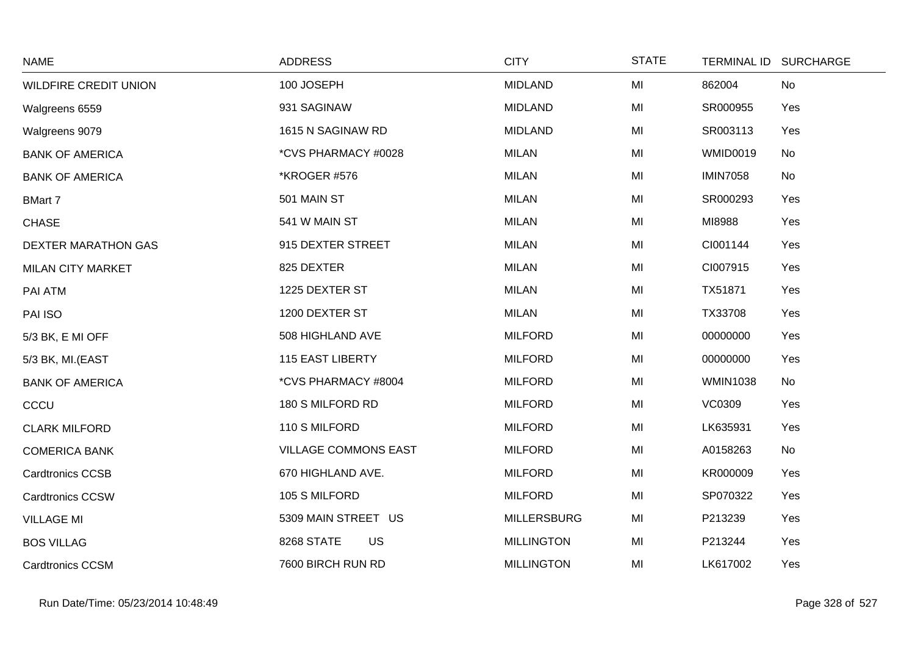| <b>NAME</b>                  | <b>ADDRESS</b>              | <b>CITY</b>        | <b>STATE</b> | TERMINAL ID SURCHARGE |  |
|------------------------------|-----------------------------|--------------------|--------------|-----------------------|--|
| <b>WILDFIRE CREDIT UNION</b> | 100 JOSEPH                  | <b>MIDLAND</b>     | MI           | 862004<br>No          |  |
| Walgreens 6559               | 931 SAGINAW                 | <b>MIDLAND</b>     | MI           | SR000955<br>Yes       |  |
| Walgreens 9079               | 1615 N SAGINAW RD           | <b>MIDLAND</b>     | MI           | SR003113<br>Yes       |  |
| <b>BANK OF AMERICA</b>       | *CVS PHARMACY #0028         | <b>MILAN</b>       | MI           | No<br><b>WMID0019</b> |  |
| <b>BANK OF AMERICA</b>       | *KROGER #576                | <b>MILAN</b>       | MI           | <b>IMIN7058</b><br>No |  |
| <b>BMart 7</b>               | 501 MAIN ST                 | <b>MILAN</b>       | MI           | SR000293<br>Yes       |  |
| <b>CHASE</b>                 | 541 W MAIN ST               | <b>MILAN</b>       | MI           | MI8988<br>Yes         |  |
| <b>DEXTER MARATHON GAS</b>   | 915 DEXTER STREET           | <b>MILAN</b>       | MI           | CI001144<br>Yes       |  |
| <b>MILAN CITY MARKET</b>     | 825 DEXTER                  | <b>MILAN</b>       | MI           | CI007915<br>Yes       |  |
| PAI ATM                      | 1225 DEXTER ST              | <b>MILAN</b>       | MI           | TX51871<br>Yes        |  |
| PAI ISO                      | 1200 DEXTER ST              | <b>MILAN</b>       | MI           | Yes<br>TX33708        |  |
| 5/3 BK, E MI OFF             | 508 HIGHLAND AVE            | <b>MILFORD</b>     | MI           | 00000000<br>Yes       |  |
| 5/3 BK, MI.(EAST             | <b>115 EAST LIBERTY</b>     | <b>MILFORD</b>     | MI           | Yes<br>00000000       |  |
| <b>BANK OF AMERICA</b>       | *CVS PHARMACY #8004         | <b>MILFORD</b>     | MI           | <b>WMIN1038</b><br>No |  |
| CCCU                         | 180 S MILFORD RD            | <b>MILFORD</b>     | MI           | <b>VC0309</b><br>Yes  |  |
| <b>CLARK MILFORD</b>         | 110 S MILFORD               | <b>MILFORD</b>     | MI           | LK635931<br>Yes       |  |
| <b>COMERICA BANK</b>         | <b>VILLAGE COMMONS EAST</b> | <b>MILFORD</b>     | MI           | A0158263<br>No        |  |
| <b>Cardtronics CCSB</b>      | 670 HIGHLAND AVE.           | <b>MILFORD</b>     | MI           | KR000009<br>Yes       |  |
| <b>Cardtronics CCSW</b>      | 105 S MILFORD               | <b>MILFORD</b>     | MI           | SP070322<br>Yes       |  |
| <b>VILLAGE MI</b>            | 5309 MAIN STREET US         | <b>MILLERSBURG</b> | MI           | P213239<br>Yes        |  |
| <b>BOS VILLAG</b>            | 8268 STATE<br><b>US</b>     | <b>MILLINGTON</b>  | MI           | Yes<br>P213244        |  |
| <b>Cardtronics CCSM</b>      | 7600 BIRCH RUN RD           | <b>MILLINGTON</b>  | MI           | LK617002<br>Yes       |  |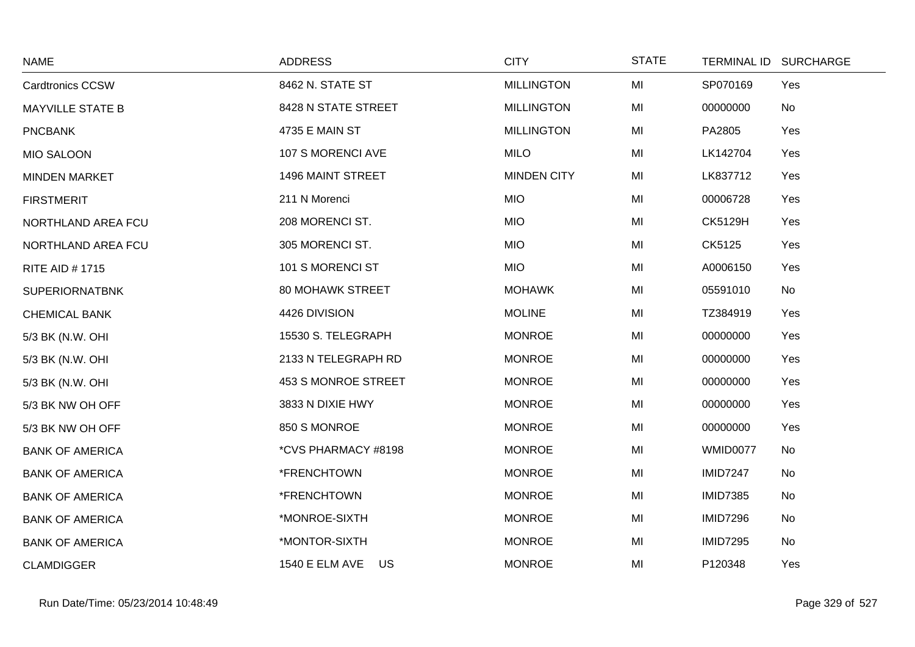| <b>NAME</b>             | <b>ADDRESS</b>              | <b>CITY</b>        | <b>STATE</b> | <b>TERMINAL ID</b> | <b>SURCHARGE</b> |
|-------------------------|-----------------------------|--------------------|--------------|--------------------|------------------|
| <b>Cardtronics CCSW</b> | 8462 N. STATE ST            | <b>MILLINGTON</b>  | MI           | SP070169           | Yes              |
| <b>MAYVILLE STATE B</b> | 8428 N STATE STREET         | <b>MILLINGTON</b>  | MI           | 00000000           | No               |
| <b>PNCBANK</b>          | 4735 E MAIN ST              | <b>MILLINGTON</b>  | MI           | PA2805             | Yes              |
| <b>MIO SALOON</b>       | 107 S MORENCI AVE           | <b>MILO</b>        | MI           | LK142704           | Yes              |
| <b>MINDEN MARKET</b>    | 1496 MAINT STREET           | <b>MINDEN CITY</b> | MI           | LK837712           | Yes              |
| <b>FIRSTMERIT</b>       | 211 N Morenci               | <b>MIO</b>         | MI           | 00006728           | Yes              |
| NORTHLAND AREA FCU      | 208 MORENCI ST.             | <b>MIO</b>         | MI           | <b>CK5129H</b>     | Yes              |
| NORTHLAND AREA FCU      | 305 MORENCI ST.             | <b>MIO</b>         | MI           | CK5125             | Yes              |
| <b>RITE AID #1715</b>   | 101 S MORENCI ST            | <b>MIO</b>         | MI           | A0006150           | Yes              |
| <b>SUPERIORNATBNK</b>   | <b>80 MOHAWK STREET</b>     | <b>MOHAWK</b>      | MI           | 05591010           | No               |
| <b>CHEMICAL BANK</b>    | 4426 DIVISION               | <b>MOLINE</b>      | MI           | TZ384919           | Yes              |
| 5/3 BK (N.W. OHI        | 15530 S. TELEGRAPH          | <b>MONROE</b>      | MI           | 00000000           | Yes              |
| 5/3 BK (N.W. OHI        | 2133 N TELEGRAPH RD         | <b>MONROE</b>      | MI           | 00000000           | Yes              |
| 5/3 BK (N.W. OHI        | 453 S MONROE STREET         | <b>MONROE</b>      | MI           | 00000000           | Yes              |
| 5/3 BK NW OH OFF        | 3833 N DIXIE HWY            | <b>MONROE</b>      | MI           | 00000000           | Yes              |
| 5/3 BK NW OH OFF        | 850 S MONROE                | <b>MONROE</b>      | MI           | 00000000           | Yes              |
| <b>BANK OF AMERICA</b>  | *CVS PHARMACY #8198         | <b>MONROE</b>      | MI           | WMID0077           | No               |
| <b>BANK OF AMERICA</b>  | *FRENCHTOWN                 | <b>MONROE</b>      | MI           | <b>IMID7247</b>    | No               |
| <b>BANK OF AMERICA</b>  | *FRENCHTOWN                 | <b>MONROE</b>      | MI           | <b>IMID7385</b>    | No               |
| <b>BANK OF AMERICA</b>  | *MONROE-SIXTH               | <b>MONROE</b>      | MI           | <b>IMID7296</b>    | No               |
| <b>BANK OF AMERICA</b>  | *MONTOR-SIXTH               | <b>MONROE</b>      | MI           | <b>IMID7295</b>    | No               |
| <b>CLAMDIGGER</b>       | <b>1540 E ELM AVE</b><br>US | <b>MONROE</b>      | MI           | P120348            | Yes              |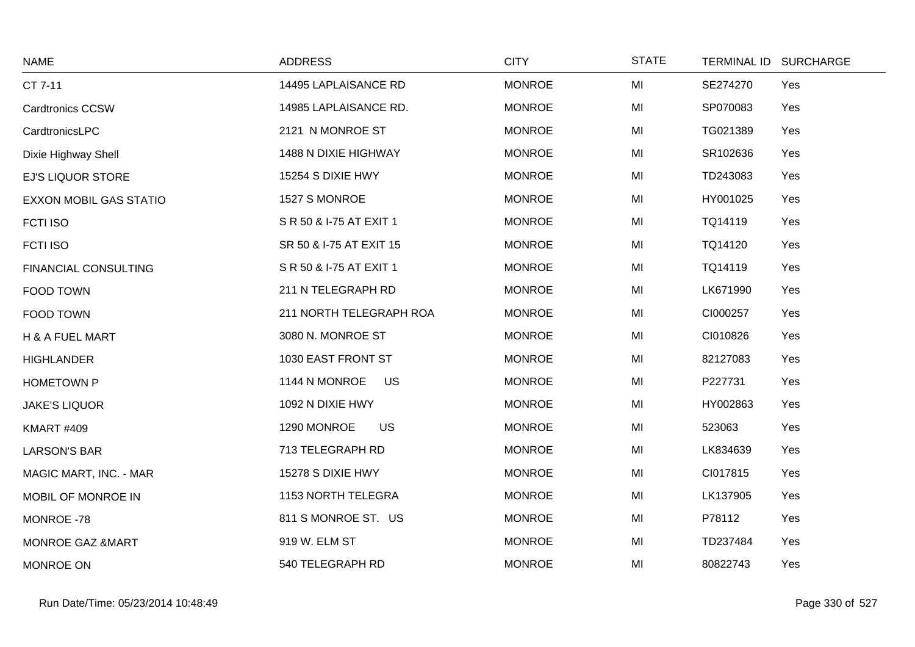| <b>NAME</b>                 | <b>ADDRESS</b>           | <b>CITY</b>   | <b>STATE</b> | TERMINAL ID SURCHARGE |
|-----------------------------|--------------------------|---------------|--------------|-----------------------|
| CT 7-11                     | 14495 LAPLAISANCE RD     | <b>MONROE</b> | MI           | SE274270<br>Yes       |
| <b>Cardtronics CCSW</b>     | 14985 LAPLAISANCE RD.    | <b>MONROE</b> | MI           | SP070083<br>Yes       |
| CardtronicsLPC              | 2121 N MONROE ST         | <b>MONROE</b> | MI           | TG021389<br>Yes       |
| Dixie Highway Shell         | 1488 N DIXIE HIGHWAY     | <b>MONROE</b> | MI           | SR102636<br>Yes       |
| <b>EJ'S LIQUOR STORE</b>    | 15254 S DIXIE HWY        | <b>MONROE</b> | MI           | TD243083<br>Yes       |
| EXXON MOBIL GAS STATIO      | 1527 S MONROE            | <b>MONROE</b> | MI           | HY001025<br>Yes       |
| <b>FCTI ISO</b>             | S R 50 & I-75 AT EXIT 1  | <b>MONROE</b> | MI           | TQ14119<br>Yes        |
| <b>FCTI ISO</b>             | SR 50 & I-75 AT EXIT 15  | <b>MONROE</b> | MI           | TQ14120<br>Yes        |
| <b>FINANCIAL CONSULTING</b> | S R 50 & I-75 AT EXIT 1  | <b>MONROE</b> | MI           | TQ14119<br>Yes        |
| FOOD TOWN                   | 211 N TELEGRAPH RD       | <b>MONROE</b> | MI           | LK671990<br>Yes       |
| FOOD TOWN                   | 211 NORTH TELEGRAPH ROA  | <b>MONROE</b> | MI           | CI000257<br>Yes       |
| H & A FUEL MART             | 3080 N. MONROE ST        | <b>MONROE</b> | MI           | CI010826<br>Yes       |
| <b>HIGHLANDER</b>           | 1030 EAST FRONT ST       | <b>MONROE</b> | MI           | 82127083<br>Yes       |
| <b>HOMETOWN P</b>           | 1144 N MONROE<br>US      | <b>MONROE</b> | MI           | P227731<br>Yes        |
| <b>JAKE'S LIQUOR</b>        | 1092 N DIXIE HWY         | <b>MONROE</b> | MI           | HY002863<br>Yes       |
| <b>KMART #409</b>           | <b>US</b><br>1290 MONROE | <b>MONROE</b> | MI           | 523063<br>Yes         |
| <b>LARSON'S BAR</b>         | 713 TELEGRAPH RD         | <b>MONROE</b> | MI           | LK834639<br>Yes       |
| MAGIC MART, INC. - MAR      | 15278 S DIXIE HWY        | <b>MONROE</b> | MI           | CI017815<br>Yes       |
| MOBIL OF MONROE IN          | 1153 NORTH TELEGRA       | <b>MONROE</b> | MI           | LK137905<br>Yes       |
| MONROE -78                  | 811 S MONROE ST. US      | <b>MONROE</b> | MI           | P78112<br>Yes         |
| MONROE GAZ &MART            | 919 W. ELM ST            | <b>MONROE</b> | MI           | TD237484<br>Yes       |
| MONROE ON                   | 540 TELEGRAPH RD         | <b>MONROE</b> | MI           | 80822743<br>Yes       |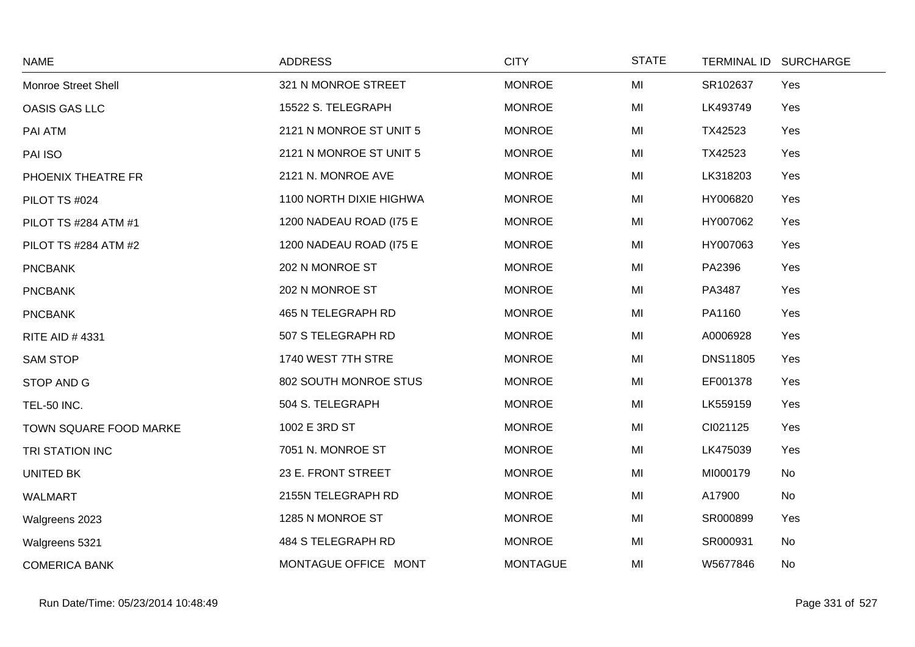| <b>NAME</b>            | <b>ADDRESS</b>          | <b>CITY</b>     | <b>STATE</b> | <b>TERMINAL ID</b> | <b>SURCHARGE</b> |
|------------------------|-------------------------|-----------------|--------------|--------------------|------------------|
| Monroe Street Shell    | 321 N MONROE STREET     | <b>MONROE</b>   | MI           | SR102637           | Yes              |
| OASIS GAS LLC          | 15522 S. TELEGRAPH      | <b>MONROE</b>   | MI           | LK493749           | Yes              |
| PAI ATM                | 2121 N MONROE ST UNIT 5 | <b>MONROE</b>   | MI           | TX42523            | Yes              |
| PAI ISO                | 2121 N MONROE ST UNIT 5 | <b>MONROE</b>   | MI           | TX42523            | Yes              |
| PHOENIX THEATRE FR     | 2121 N. MONROE AVE      | <b>MONROE</b>   | MI           | LK318203           | Yes              |
| PILOT TS #024          | 1100 NORTH DIXIE HIGHWA | <b>MONROE</b>   | MI           | HY006820           | Yes              |
| PILOT TS #284 ATM #1   | 1200 NADEAU ROAD (I75 E | <b>MONROE</b>   | MI           | HY007062           | Yes              |
| PILOT TS #284 ATM #2   | 1200 NADEAU ROAD (I75 E | <b>MONROE</b>   | MI           | HY007063           | Yes              |
| <b>PNCBANK</b>         | 202 N MONROE ST         | <b>MONROE</b>   | MI           | PA2396             | Yes              |
| <b>PNCBANK</b>         | 202 N MONROE ST         | <b>MONROE</b>   | MI           | PA3487             | Yes              |
| <b>PNCBANK</b>         | 465 N TELEGRAPH RD      | <b>MONROE</b>   | MI           | PA1160             | Yes              |
| <b>RITE AID #4331</b>  | 507 S TELEGRAPH RD      | <b>MONROE</b>   | MI           | A0006928           | Yes              |
| <b>SAM STOP</b>        | 1740 WEST 7TH STRE      | <b>MONROE</b>   | MI           | <b>DNS11805</b>    | Yes              |
| STOP AND G             | 802 SOUTH MONROE STUS   | <b>MONROE</b>   | MI           | EF001378           | Yes              |
| <b>TEL-50 INC.</b>     | 504 S. TELEGRAPH        | <b>MONROE</b>   | MI           | LK559159           | Yes              |
| TOWN SQUARE FOOD MARKE | 1002 E 3RD ST           | <b>MONROE</b>   | MI           | CI021125           | Yes              |
| TRI STATION INC        | 7051 N. MONROE ST       | <b>MONROE</b>   | MI           | LK475039           | Yes              |
| <b>UNITED BK</b>       | 23 E. FRONT STREET      | <b>MONROE</b>   | MI           | MI000179           | No               |
| <b>WALMART</b>         | 2155N TELEGRAPH RD      | <b>MONROE</b>   | MI           | A17900             | No               |
| Walgreens 2023         | 1285 N MONROE ST        | <b>MONROE</b>   | MI           | SR000899           | Yes              |
| Walgreens 5321         | 484 S TELEGRAPH RD      | <b>MONROE</b>   | MI           | SR000931           | No               |
| <b>COMERICA BANK</b>   | MONTAGUE OFFICE MONT    | <b>MONTAGUE</b> | MI           | W5677846           | No               |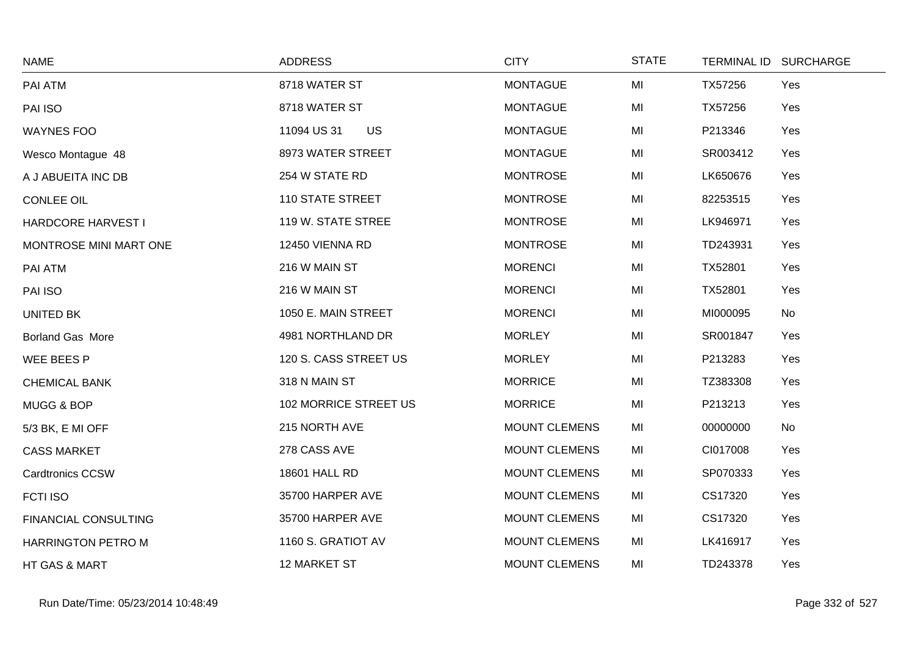| <b>NAME</b>                 | <b>ADDRESS</b>          | <b>CITY</b>          | <b>STATE</b> |          | TERMINAL ID SURCHARGE |
|-----------------------------|-------------------------|----------------------|--------------|----------|-----------------------|
| PAI ATM                     | 8718 WATER ST           | <b>MONTAGUE</b>      | MI           | TX57256  | Yes                   |
| PAI ISO                     | 8718 WATER ST           | <b>MONTAGUE</b>      | MI           | TX57256  | Yes                   |
| <b>WAYNES FOO</b>           | 11094 US 31<br>US       | <b>MONTAGUE</b>      | MI           | P213346  | Yes                   |
| Wesco Montague 48           | 8973 WATER STREET       | <b>MONTAGUE</b>      | MI           | SR003412 | Yes                   |
| A J ABUEITA INC DB          | 254 W STATE RD          | <b>MONTROSE</b>      | MI           | LK650676 | Yes                   |
| <b>CONLEE OIL</b>           | <b>110 STATE STREET</b> | <b>MONTROSE</b>      | MI           | 82253515 | Yes                   |
| HARDCORE HARVEST I          | 119 W. STATE STREE      | <b>MONTROSE</b>      | MI           | LK946971 | Yes                   |
| MONTROSE MINI MART ONE      | 12450 VIENNA RD         | <b>MONTROSE</b>      | MI           | TD243931 | Yes                   |
| PAI ATM                     | 216 W MAIN ST           | <b>MORENCI</b>       | MI           | TX52801  | Yes                   |
| PAI ISO                     | 216 W MAIN ST           | <b>MORENCI</b>       | MI           | TX52801  | Yes                   |
| UNITED BK                   | 1050 E. MAIN STREET     | <b>MORENCI</b>       | MI           | MI000095 | No                    |
| Borland Gas More            | 4981 NORTHLAND DR       | <b>MORLEY</b>        | MI           | SR001847 | Yes                   |
| WEE BEES P                  | 120 S. CASS STREET US   | <b>MORLEY</b>        | MI           | P213283  | Yes                   |
| <b>CHEMICAL BANK</b>        | 318 N MAIN ST           | <b>MORRICE</b>       | MI           | TZ383308 | Yes                   |
| MUGG & BOP                  | 102 MORRICE STREET US   | <b>MORRICE</b>       | MI           | P213213  | Yes                   |
| 5/3 BK, E MI OFF            | 215 NORTH AVE           | <b>MOUNT CLEMENS</b> | MI           | 00000000 | No                    |
| <b>CASS MARKET</b>          | 278 CASS AVE            | <b>MOUNT CLEMENS</b> | MI           | CI017008 | Yes                   |
| <b>Cardtronics CCSW</b>     | 18601 HALL RD           | <b>MOUNT CLEMENS</b> | MI           | SP070333 | Yes                   |
| FCTI ISO                    | 35700 HARPER AVE        | <b>MOUNT CLEMENS</b> | MI           | CS17320  | Yes                   |
| <b>FINANCIAL CONSULTING</b> | 35700 HARPER AVE        | <b>MOUNT CLEMENS</b> | MI           | CS17320  | Yes                   |
| <b>HARRINGTON PETRO M</b>   | 1160 S. GRATIOT AV      | <b>MOUNT CLEMENS</b> | MI           | LK416917 | Yes                   |
| HT GAS & MART               | 12 MARKET ST            | <b>MOUNT CLEMENS</b> | MI           | TD243378 | Yes                   |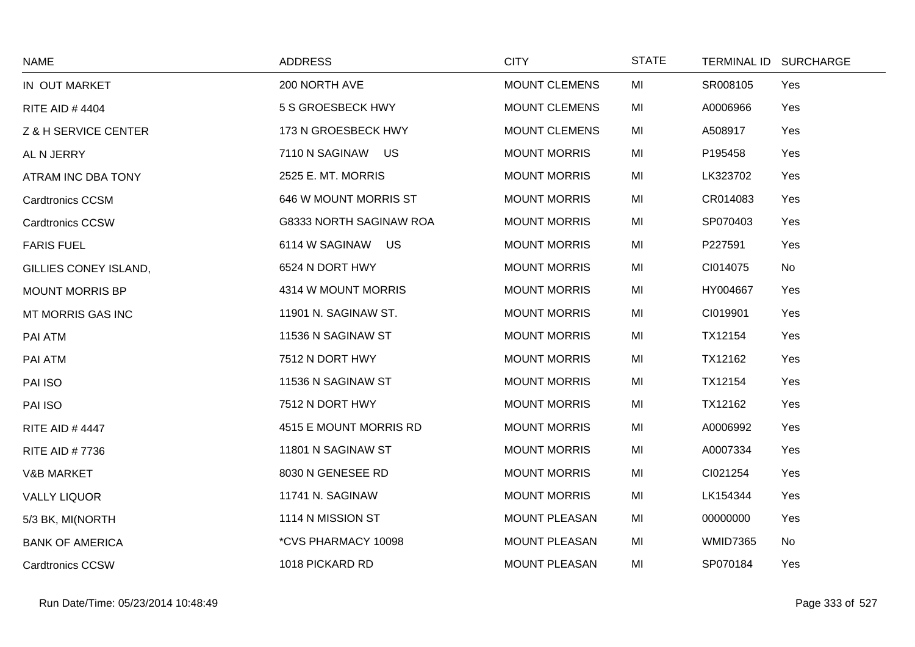| <b>NAME</b>             | <b>ADDRESS</b>          | <b>CITY</b>          | <b>STATE</b> |                 | TERMINAL ID SURCHARGE |
|-------------------------|-------------------------|----------------------|--------------|-----------------|-----------------------|
| IN OUT MARKET           | 200 NORTH AVE           | <b>MOUNT CLEMENS</b> | MI           | SR008105        | Yes                   |
| <b>RITE AID #4404</b>   | 5 S GROESBECK HWY       | <b>MOUNT CLEMENS</b> | MI           | A0006966        | Yes                   |
| Z & H SERVICE CENTER    | 173 N GROESBECK HWY     | <b>MOUNT CLEMENS</b> | MI           | A508917         | Yes                   |
| AL N JERRY              | 7110 N SAGINAW US       | <b>MOUNT MORRIS</b>  | MI           | P195458         | Yes                   |
| ATRAM INC DBA TONY      | 2525 E. MT. MORRIS      | <b>MOUNT MORRIS</b>  | MI           | LK323702        | Yes                   |
| <b>Cardtronics CCSM</b> | 646 W MOUNT MORRIS ST   | <b>MOUNT MORRIS</b>  | MI           | CR014083        | Yes                   |
| <b>Cardtronics CCSW</b> | G8333 NORTH SAGINAW ROA | <b>MOUNT MORRIS</b>  | MI           | SP070403        | Yes                   |
| <b>FARIS FUEL</b>       | 6114 W SAGINAW US       | <b>MOUNT MORRIS</b>  | MI           | P227591         | Yes                   |
| GILLIES CONEY ISLAND,   | 6524 N DORT HWY         | <b>MOUNT MORRIS</b>  | MI           | CI014075        | No                    |
| <b>MOUNT MORRIS BP</b>  | 4314 W MOUNT MORRIS     | <b>MOUNT MORRIS</b>  | MI           | HY004667        | Yes                   |
| MT MORRIS GAS INC       | 11901 N. SAGINAW ST.    | <b>MOUNT MORRIS</b>  | MI           | CI019901        | Yes                   |
| PAI ATM                 | 11536 N SAGINAW ST      | <b>MOUNT MORRIS</b>  | MI           | TX12154         | Yes                   |
| PAI ATM                 | 7512 N DORT HWY         | <b>MOUNT MORRIS</b>  | MI           | TX12162         | Yes                   |
| PAI ISO                 | 11536 N SAGINAW ST      | <b>MOUNT MORRIS</b>  | MI           | TX12154         | Yes                   |
| PAI ISO                 | 7512 N DORT HWY         | <b>MOUNT MORRIS</b>  | MI           | TX12162         | Yes                   |
| <b>RITE AID #4447</b>   | 4515 E MOUNT MORRIS RD  | <b>MOUNT MORRIS</b>  | MI           | A0006992        | Yes                   |
| <b>RITE AID #7736</b>   | 11801 N SAGINAW ST      | <b>MOUNT MORRIS</b>  | MI           | A0007334        | Yes                   |
| <b>V&amp;B MARKET</b>   | 8030 N GENESEE RD       | <b>MOUNT MORRIS</b>  | MI           | CI021254        | Yes                   |
| <b>VALLY LIQUOR</b>     | 11741 N. SAGINAW        | <b>MOUNT MORRIS</b>  | MI           | LK154344        | Yes                   |
| 5/3 BK, MI(NORTH        | 1114 N MISSION ST       | <b>MOUNT PLEASAN</b> | MI           | 00000000        | Yes                   |
| <b>BANK OF AMERICA</b>  | *CVS PHARMACY 10098     | <b>MOUNT PLEASAN</b> | MI           | <b>WMID7365</b> | No                    |
| <b>Cardtronics CCSW</b> | 1018 PICKARD RD         | <b>MOUNT PLEASAN</b> | MI           | SP070184        | Yes                   |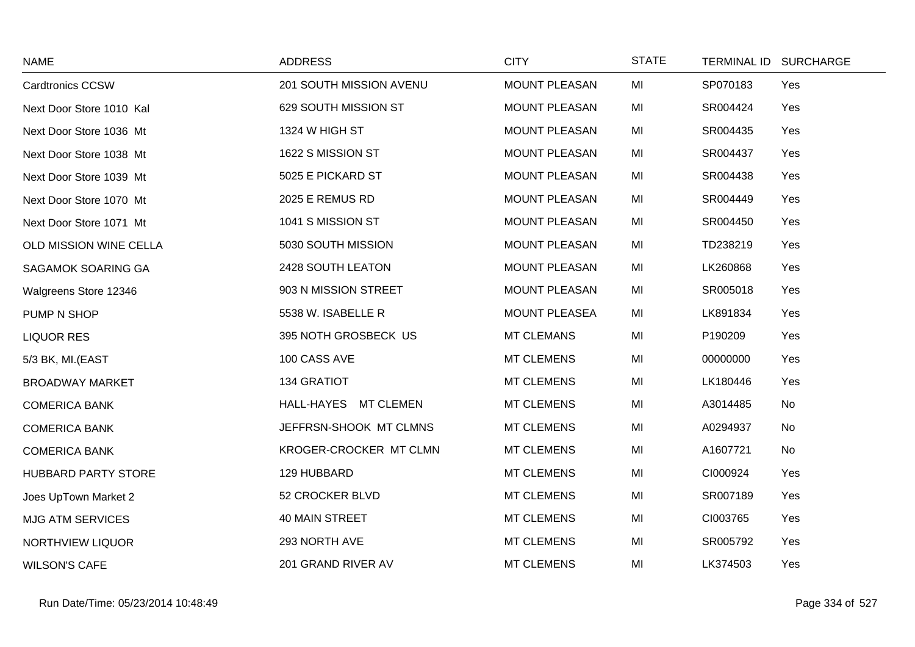| <b>NAME</b>                | <b>ADDRESS</b>          | <b>CITY</b>          | <b>STATE</b> |          | TERMINAL ID SURCHARGE |
|----------------------------|-------------------------|----------------------|--------------|----------|-----------------------|
| <b>Cardtronics CCSW</b>    | 201 SOUTH MISSION AVENU | <b>MOUNT PLEASAN</b> | MI           | SP070183 | Yes                   |
| Next Door Store 1010 Kal   | 629 SOUTH MISSION ST    | <b>MOUNT PLEASAN</b> | MI           | SR004424 | Yes                   |
| Next Door Store 1036 Mt    | 1324 W HIGH ST          | <b>MOUNT PLEASAN</b> | MI           | SR004435 | Yes                   |
| Next Door Store 1038 Mt    | 1622 S MISSION ST       | <b>MOUNT PLEASAN</b> | MI           | SR004437 | Yes                   |
| Next Door Store 1039 Mt    | 5025 E PICKARD ST       | <b>MOUNT PLEASAN</b> | MI           | SR004438 | Yes                   |
| Next Door Store 1070 Mt    | 2025 E REMUS RD         | <b>MOUNT PLEASAN</b> | MI           | SR004449 | Yes                   |
| Next Door Store 1071 Mt    | 1041 S MISSION ST       | <b>MOUNT PLEASAN</b> | MI           | SR004450 | Yes                   |
| OLD MISSION WINE CELLA     | 5030 SOUTH MISSION      | <b>MOUNT PLEASAN</b> | MI           | TD238219 | Yes                   |
| SAGAMOK SOARING GA         | 2428 SOUTH LEATON       | <b>MOUNT PLEASAN</b> | MI           | LK260868 | Yes                   |
| Walgreens Store 12346      | 903 N MISSION STREET    | <b>MOUNT PLEASAN</b> | MI           | SR005018 | Yes                   |
| PUMP N SHOP                | 5538 W. ISABELLE R      | <b>MOUNT PLEASEA</b> | MI           | LK891834 | Yes                   |
| <b>LIQUOR RES</b>          | 395 NOTH GROSBECK US    | <b>MT CLEMANS</b>    | MI           | P190209  | Yes                   |
| 5/3 BK, MI.(EAST           | 100 CASS AVE            | <b>MT CLEMENS</b>    | MI           | 00000000 | Yes                   |
| <b>BROADWAY MARKET</b>     | <b>134 GRATIOT</b>      | <b>MT CLEMENS</b>    | MI           | LK180446 | Yes                   |
| <b>COMERICA BANK</b>       | HALL-HAYES MT CLEMEN    | <b>MT CLEMENS</b>    | MI           | A3014485 | No                    |
| <b>COMERICA BANK</b>       | JEFFRSN-SHOOK MT CLMNS  | <b>MT CLEMENS</b>    | MI           | A0294937 | No                    |
| <b>COMERICA BANK</b>       | KROGER-CROCKER MT CLMN  | <b>MT CLEMENS</b>    | MI           | A1607721 | No                    |
| <b>HUBBARD PARTY STORE</b> | 129 HUBBARD             | <b>MT CLEMENS</b>    | MI           | CI000924 | Yes                   |
| Joes UpTown Market 2       | 52 CROCKER BLVD         | <b>MT CLEMENS</b>    | MI           | SR007189 | Yes                   |
| <b>MJG ATM SERVICES</b>    | 40 MAIN STREET          | <b>MT CLEMENS</b>    | MI           | CI003765 | Yes                   |
| NORTHVIEW LIQUOR           | 293 NORTH AVE           | <b>MT CLEMENS</b>    | MI           | SR005792 | Yes                   |
| <b>WILSON'S CAFE</b>       | 201 GRAND RIVER AV      | <b>MT CLEMENS</b>    | MI           | LK374503 | Yes                   |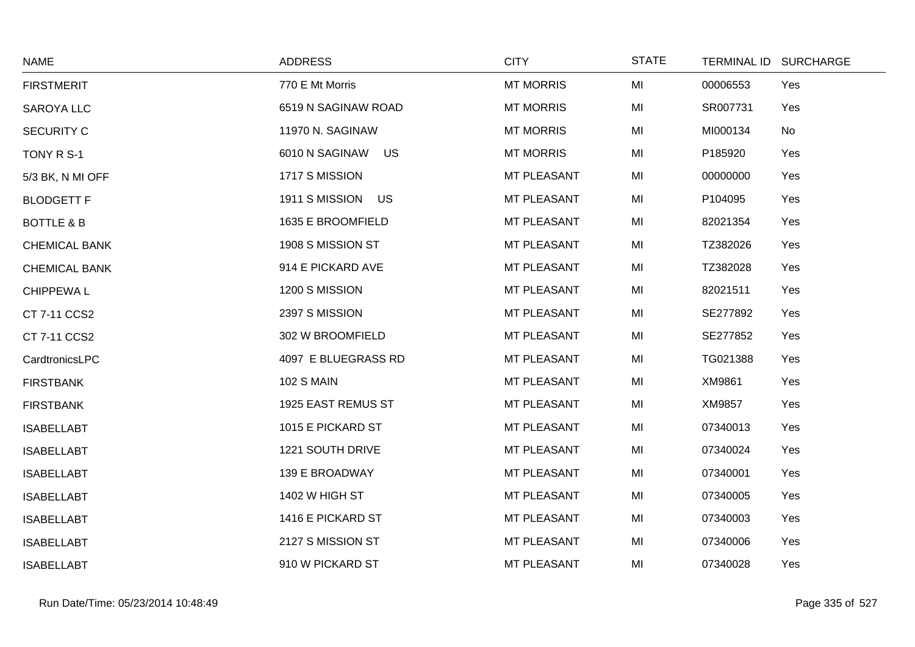| <b>NAME</b>           | <b>ADDRESS</b>       | <b>CITY</b>      | <b>STATE</b> |          | TERMINAL ID SURCHARGE |
|-----------------------|----------------------|------------------|--------------|----------|-----------------------|
| <b>FIRSTMERIT</b>     | 770 E Mt Morris      | <b>MT MORRIS</b> | MI           | 00006553 | Yes                   |
| <b>SAROYA LLC</b>     | 6519 N SAGINAW ROAD  | <b>MT MORRIS</b> | MI           | SR007731 | Yes                   |
| <b>SECURITY C</b>     | 11970 N. SAGINAW     | <b>MT MORRIS</b> | MI           | MI000134 | No                    |
| TONY R S-1            | 6010 N SAGINAW<br>US | <b>MT MORRIS</b> | MI           | P185920  | Yes                   |
| 5/3 BK, N MI OFF      | 1717 S MISSION       | MT PLEASANT      | MI           | 00000000 | Yes                   |
| <b>BLODGETT F</b>     | 1911 S MISSION US    | MT PLEASANT      | MI           | P104095  | Yes                   |
| <b>BOTTLE &amp; B</b> | 1635 E BROOMFIELD    | MT PLEASANT      | MI           | 82021354 | Yes                   |
| <b>CHEMICAL BANK</b>  | 1908 S MISSION ST    | MT PLEASANT      | MI           | TZ382026 | Yes                   |
| <b>CHEMICAL BANK</b>  | 914 E PICKARD AVE    | MT PLEASANT      | MI           | TZ382028 | Yes                   |
| <b>CHIPPEWAL</b>      | 1200 S MISSION       | MT PLEASANT      | MI           | 82021511 | Yes                   |
| CT 7-11 CCS2          | 2397 S MISSION       | MT PLEASANT      | MI           | SE277892 | Yes                   |
| CT 7-11 CCS2          | 302 W BROOMFIELD     | MT PLEASANT      | MI           | SE277852 | Yes                   |
| CardtronicsLPC        | 4097 E BLUEGRASS RD  | MT PLEASANT      | MI           | TG021388 | Yes                   |
| <b>FIRSTBANK</b>      | <b>102 S MAIN</b>    | MT PLEASANT      | MI           | XM9861   | Yes                   |
| <b>FIRSTBANK</b>      | 1925 EAST REMUS ST   | MT PLEASANT      | MI           | XM9857   | Yes                   |
| <b>ISABELLABT</b>     | 1015 E PICKARD ST    | MT PLEASANT      | MI           | 07340013 | Yes                   |
| <b>ISABELLABT</b>     | 1221 SOUTH DRIVE     | MT PLEASANT      | MI           | 07340024 | Yes                   |
| <b>ISABELLABT</b>     | 139 E BROADWAY       | MT PLEASANT      | MI           | 07340001 | Yes                   |
| <b>ISABELLABT</b>     | 1402 W HIGH ST       | MT PLEASANT      | MI           | 07340005 | Yes                   |
| <b>ISABELLABT</b>     | 1416 E PICKARD ST    | MT PLEASANT      | MI           | 07340003 | Yes                   |
| <b>ISABELLABT</b>     | 2127 S MISSION ST    | MT PLEASANT      | MI           | 07340006 | Yes                   |
| <b>ISABELLABT</b>     | 910 W PICKARD ST     | MT PLEASANT      | MI           | 07340028 | Yes                   |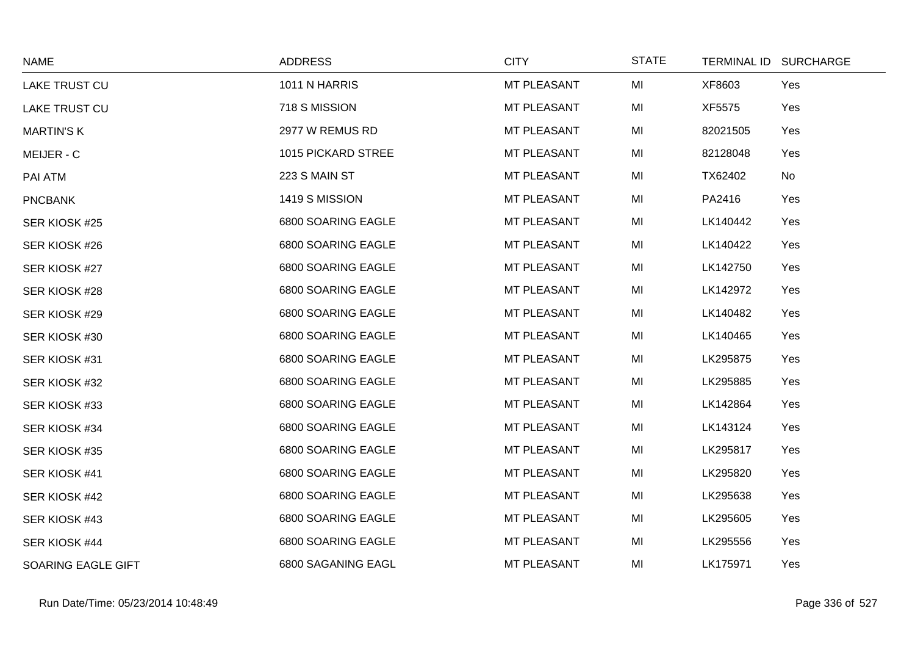| <b>NAME</b>        | <b>ADDRESS</b>     | <b>CITY</b> | <b>STATE</b> | TERMINAL ID SURCHARGE |     |
|--------------------|--------------------|-------------|--------------|-----------------------|-----|
| LAKE TRUST CU      | 1011 N HARRIS      | MT PLEASANT | MI           | XF8603                | Yes |
| LAKE TRUST CU      | 718 S MISSION      | MT PLEASANT | MI           | XF5575                | Yes |
| <b>MARTIN'S K</b>  | 2977 W REMUS RD    | MT PLEASANT | MI           | 82021505              | Yes |
| MEIJER - C         | 1015 PICKARD STREE | MT PLEASANT | MI           | 82128048              | Yes |
| PAI ATM            | 223 S MAIN ST      | MT PLEASANT | MI           | TX62402               | No  |
| <b>PNCBANK</b>     | 1419 S MISSION     | MT PLEASANT | MI           | PA2416                | Yes |
| SER KIOSK #25      | 6800 SOARING EAGLE | MT PLEASANT | MI           | LK140442              | Yes |
| SER KIOSK #26      | 6800 SOARING EAGLE | MT PLEASANT | MI           | LK140422              | Yes |
| SER KIOSK #27      | 6800 SOARING EAGLE | MT PLEASANT | MI           | LK142750              | Yes |
| SER KIOSK #28      | 6800 SOARING EAGLE | MT PLEASANT | MI           | LK142972              | Yes |
| SER KIOSK #29      | 6800 SOARING EAGLE | MT PLEASANT | MI           | LK140482              | Yes |
| SER KIOSK #30      | 6800 SOARING EAGLE | MT PLEASANT | MI           | LK140465              | Yes |
| SER KIOSK #31      | 6800 SOARING EAGLE | MT PLEASANT | MI           | LK295875              | Yes |
| SER KIOSK #32      | 6800 SOARING EAGLE | MT PLEASANT | MI           | LK295885              | Yes |
| SER KIOSK #33      | 6800 SOARING EAGLE | MT PLEASANT | MI           | LK142864              | Yes |
| SER KIOSK #34      | 6800 SOARING EAGLE | MT PLEASANT | MI           | LK143124              | Yes |
| SER KIOSK #35      | 6800 SOARING EAGLE | MT PLEASANT | MI           | LK295817              | Yes |
| SER KIOSK #41      | 6800 SOARING EAGLE | MT PLEASANT | MI           | LK295820              | Yes |
| SER KIOSK #42      | 6800 SOARING EAGLE | MT PLEASANT | MI           | LK295638              | Yes |
| SER KIOSK #43      | 6800 SOARING EAGLE | MT PLEASANT | MI           | LK295605              | Yes |
| SER KIOSK #44      | 6800 SOARING EAGLE | MT PLEASANT | MI           | LK295556              | Yes |
| SOARING EAGLE GIFT | 6800 SAGANING EAGL | MT PLEASANT | MI           | LK175971              | Yes |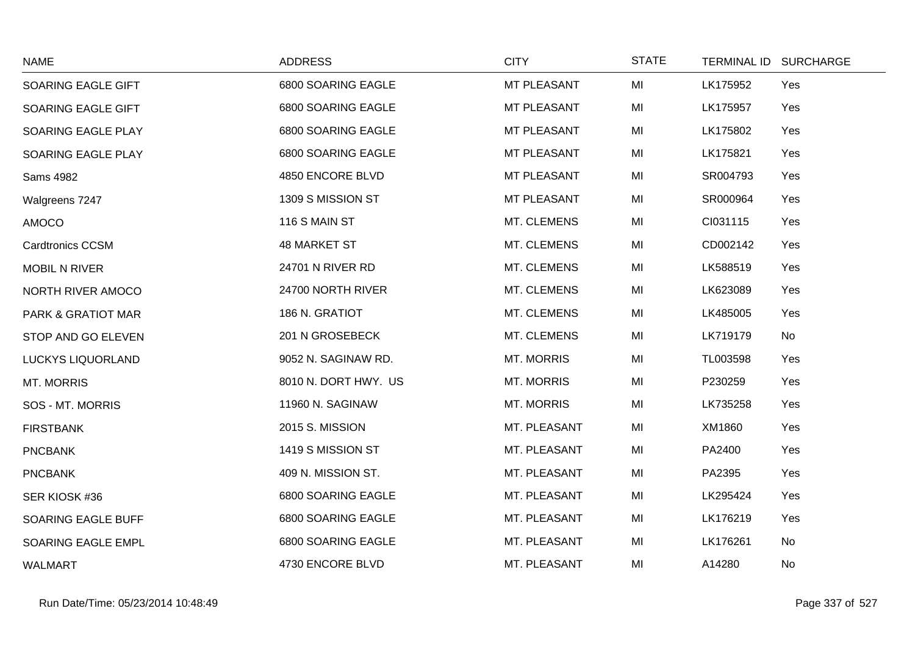| <b>NAME</b>              | <b>ADDRESS</b>       | <b>CITY</b>       | <b>STATE</b> | TERMINAL ID SURCHARGE |     |
|--------------------------|----------------------|-------------------|--------------|-----------------------|-----|
| SOARING EAGLE GIFT       | 6800 SOARING EAGLE   | MT PLEASANT       | MI           | LK175952              | Yes |
| SOARING EAGLE GIFT       | 6800 SOARING EAGLE   | MT PLEASANT       | MI           | LK175957              | Yes |
| SOARING EAGLE PLAY       | 6800 SOARING EAGLE   | MT PLEASANT       | MI           | LK175802              | Yes |
| SOARING EAGLE PLAY       | 6800 SOARING EAGLE   | MT PLEASANT       | MI           | LK175821              | Yes |
| Sams 4982                | 4850 ENCORE BLVD     | MT PLEASANT       | MI           | SR004793              | Yes |
| Walgreens 7247           | 1309 S MISSION ST    | MT PLEASANT       | MI           | SR000964              | Yes |
| <b>AMOCO</b>             | 116 S MAIN ST        | MT. CLEMENS       | MI           | CI031115              | Yes |
| <b>Cardtronics CCSM</b>  | <b>48 MARKET ST</b>  | MT. CLEMENS       | MI           | CD002142              | Yes |
| <b>MOBIL N RIVER</b>     | 24701 N RIVER RD     | MT. CLEMENS       | MI           | LK588519              | Yes |
| NORTH RIVER AMOCO        | 24700 NORTH RIVER    | MT. CLEMENS       | MI           | LK623089              | Yes |
| PARK & GRATIOT MAR       | 186 N. GRATIOT       | MT. CLEMENS       | MI           | LK485005              | Yes |
| STOP AND GO ELEVEN       | 201 N GROSEBECK      | MT. CLEMENS       | MI           | LK719179              | No  |
| <b>LUCKYS LIQUORLAND</b> | 9052 N. SAGINAW RD.  | <b>MT. MORRIS</b> | MI           | TL003598              | Yes |
| <b>MT. MORRIS</b>        | 8010 N. DORT HWY. US | <b>MT. MORRIS</b> | MI           | P230259               | Yes |
| SOS - MT. MORRIS         | 11960 N. SAGINAW     | <b>MT. MORRIS</b> | MI           | LK735258              | Yes |
| <b>FIRSTBANK</b>         | 2015 S. MISSION      | MT. PLEASANT      | MI           | XM1860                | Yes |
| <b>PNCBANK</b>           | 1419 S MISSION ST    | MT. PLEASANT      | MI           | PA2400                | Yes |
| <b>PNCBANK</b>           | 409 N. MISSION ST.   | MT. PLEASANT      | MI           | PA2395                | Yes |
| SER KIOSK #36            | 6800 SOARING EAGLE   | MT. PLEASANT      | MI           | LK295424              | Yes |
| SOARING EAGLE BUFF       | 6800 SOARING EAGLE   | MT. PLEASANT      | MI           | LK176219              | Yes |
| SOARING EAGLE EMPL       | 6800 SOARING EAGLE   | MT. PLEASANT      | MI           | LK176261              | No  |
| <b>WALMART</b>           | 4730 ENCORE BLVD     | MT. PLEASANT      | MI           | A14280                | No  |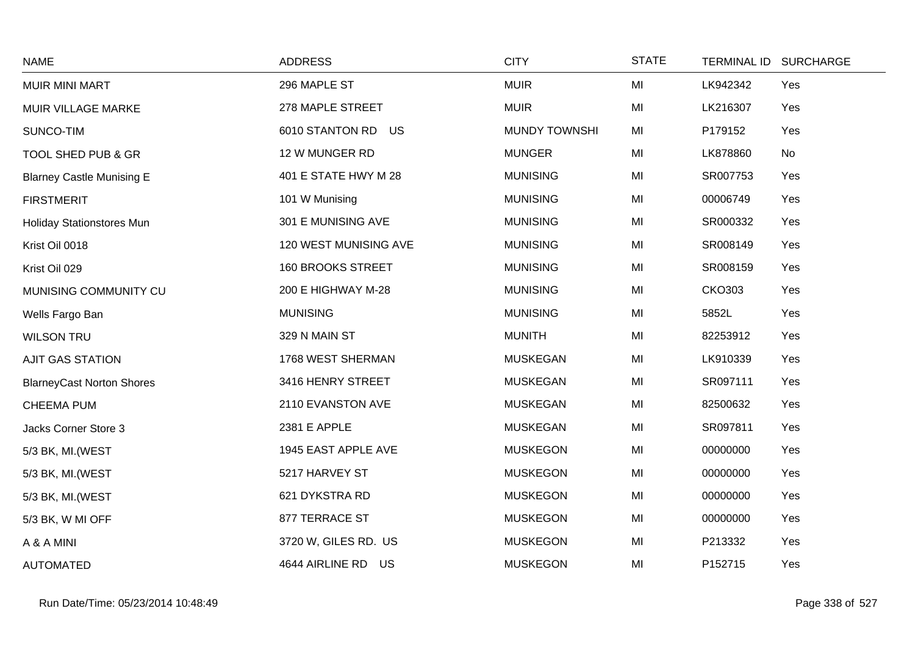| <b>NAME</b>                      | <b>ADDRESS</b>        | <b>CITY</b>          | <b>STATE</b> |               | TERMINAL ID SURCHARGE |
|----------------------------------|-----------------------|----------------------|--------------|---------------|-----------------------|
| <b>MUIR MINI MART</b>            | 296 MAPLE ST          | <b>MUIR</b>          | MI           | LK942342      | Yes                   |
| MUIR VILLAGE MARKE               | 278 MAPLE STREET      | <b>MUIR</b>          | MI           | LK216307      | Yes                   |
| SUNCO-TIM                        | 6010 STANTON RD US    | <b>MUNDY TOWNSHI</b> | MI           | P179152       | Yes                   |
| TOOL SHED PUB & GR               | 12 W MUNGER RD        | <b>MUNGER</b>        | MI           | LK878860      | No                    |
| <b>Blarney Castle Munising E</b> | 401 E STATE HWY M 28  | <b>MUNISING</b>      | MI           | SR007753      | Yes                   |
| <b>FIRSTMERIT</b>                | 101 W Munising        | <b>MUNISING</b>      | MI           | 00006749      | Yes                   |
| Holiday Stationstores Mun        | 301 E MUNISING AVE    | <b>MUNISING</b>      | MI           | SR000332      | Yes                   |
| Krist Oil 0018                   | 120 WEST MUNISING AVE | <b>MUNISING</b>      | MI           | SR008149      | Yes                   |
| Krist Oil 029                    | 160 BROOKS STREET     | <b>MUNISING</b>      | MI           | SR008159      | Yes                   |
| MUNISING COMMUNITY CU            | 200 E HIGHWAY M-28    | <b>MUNISING</b>      | MI           | <b>CKO303</b> | Yes                   |
| Wells Fargo Ban                  | <b>MUNISING</b>       | <b>MUNISING</b>      | MI           | 5852L         | Yes                   |
| <b>WILSON TRU</b>                | 329 N MAIN ST         | <b>MUNITH</b>        | MI           | 82253912      | Yes                   |
| <b>AJIT GAS STATION</b>          | 1768 WEST SHERMAN     | <b>MUSKEGAN</b>      | MI           | LK910339      | Yes                   |
| <b>BlarneyCast Norton Shores</b> | 3416 HENRY STREET     | <b>MUSKEGAN</b>      | MI           | SR097111      | Yes                   |
| <b>CHEEMA PUM</b>                | 2110 EVANSTON AVE     | <b>MUSKEGAN</b>      | MI           | 82500632      | Yes                   |
| Jacks Corner Store 3             | 2381 E APPLE          | <b>MUSKEGAN</b>      | MI           | SR097811      | Yes                   |
| 5/3 BK, MI.(WEST                 | 1945 EAST APPLE AVE   | <b>MUSKEGON</b>      | MI           | 00000000      | Yes                   |
| 5/3 BK, MI. (WEST                | 5217 HARVEY ST        | <b>MUSKEGON</b>      | MI           | 00000000      | Yes                   |
| 5/3 BK, MI. (WEST                | 621 DYKSTRA RD        | <b>MUSKEGON</b>      | MI           | 00000000      | Yes                   |
| 5/3 BK, W MI OFF                 | 877 TERRACE ST        | <b>MUSKEGON</b>      | MI           | 00000000      | Yes                   |
| A & A MINI                       | 3720 W, GILES RD. US  | <b>MUSKEGON</b>      | MI           | P213332       | Yes                   |
| <b>AUTOMATED</b>                 | 4644 AIRLINE RD US    | <b>MUSKEGON</b>      | MI           | P152715       | Yes                   |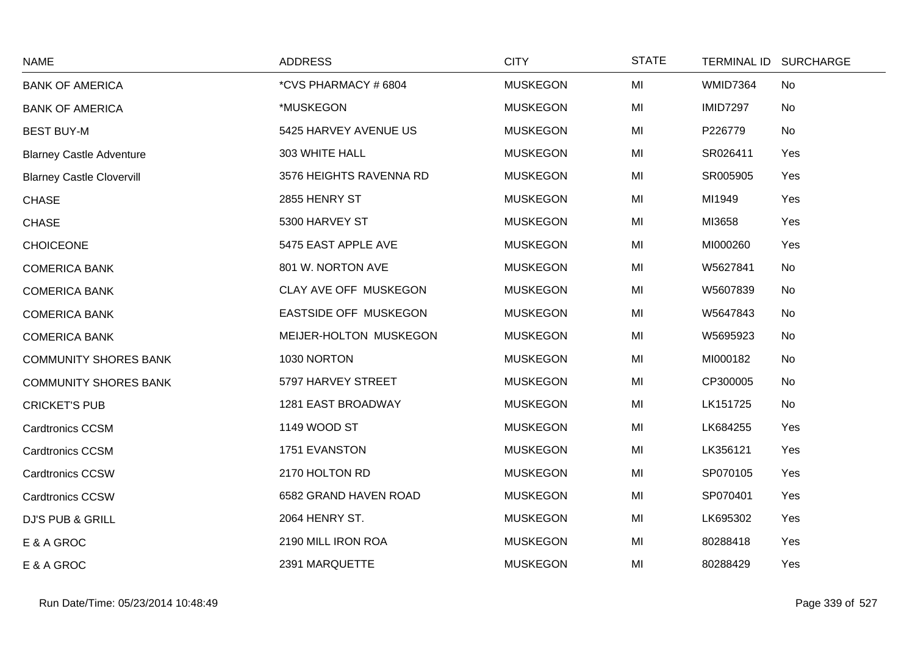| <b>NAME</b>                      | <b>ADDRESS</b>          | <b>CITY</b>     | <b>STATE</b> | <b>TERMINAL ID</b> | <b>SURCHARGE</b> |
|----------------------------------|-------------------------|-----------------|--------------|--------------------|------------------|
| <b>BANK OF AMERICA</b>           | *CVS PHARMACY #6804     | <b>MUSKEGON</b> | MI           | <b>WMID7364</b>    | No               |
| <b>BANK OF AMERICA</b>           | *MUSKEGON               | <b>MUSKEGON</b> | MI           | <b>IMID7297</b>    | No               |
| <b>BEST BUY-M</b>                | 5425 HARVEY AVENUE US   | <b>MUSKEGON</b> | MI           | P226779            | No               |
| <b>Blarney Castle Adventure</b>  | 303 WHITE HALL          | <b>MUSKEGON</b> | MI           | SR026411           | Yes              |
| <b>Blarney Castle Clovervill</b> | 3576 HEIGHTS RAVENNA RD | <b>MUSKEGON</b> | MI           | SR005905           | Yes              |
| <b>CHASE</b>                     | 2855 HENRY ST           | <b>MUSKEGON</b> | MI           | MI1949             | Yes              |
| <b>CHASE</b>                     | 5300 HARVEY ST          | <b>MUSKEGON</b> | MI           | MI3658             | Yes              |
| <b>CHOICEONE</b>                 | 5475 EAST APPLE AVE     | <b>MUSKEGON</b> | MI           | MI000260           | Yes              |
| <b>COMERICA BANK</b>             | 801 W. NORTON AVE       | <b>MUSKEGON</b> | MI           | W5627841           | No               |
| <b>COMERICA BANK</b>             | CLAY AVE OFF MUSKEGON   | <b>MUSKEGON</b> | MI           | W5607839           | No               |
| <b>COMERICA BANK</b>             | EASTSIDE OFF MUSKEGON   | <b>MUSKEGON</b> | MI           | W5647843           | No               |
| <b>COMERICA BANK</b>             | MEIJER-HOLTON MUSKEGON  | <b>MUSKEGON</b> | MI           | W5695923           | No               |
| <b>COMMUNITY SHORES BANK</b>     | 1030 NORTON             | <b>MUSKEGON</b> | MI           | MI000182           | No               |
| <b>COMMUNITY SHORES BANK</b>     | 5797 HARVEY STREET      | <b>MUSKEGON</b> | MI           | CP300005           | No               |
| <b>CRICKET'S PUB</b>             | 1281 EAST BROADWAY      | <b>MUSKEGON</b> | MI           | LK151725           | No               |
| <b>Cardtronics CCSM</b>          | 1149 WOOD ST            | <b>MUSKEGON</b> | MI           | LK684255           | Yes              |
| <b>Cardtronics CCSM</b>          | 1751 EVANSTON           | <b>MUSKEGON</b> | MI           | LK356121           | Yes              |
| <b>Cardtronics CCSW</b>          | 2170 HOLTON RD          | <b>MUSKEGON</b> | MI           | SP070105           | Yes              |
| <b>Cardtronics CCSW</b>          | 6582 GRAND HAVEN ROAD   | <b>MUSKEGON</b> | MI           | SP070401           | Yes              |
| <b>DJ'S PUB &amp; GRILL</b>      | 2064 HENRY ST.          | <b>MUSKEGON</b> | MI           | LK695302           | Yes              |
| E & A GROC                       | 2190 MILL IRON ROA      | <b>MUSKEGON</b> | MI           | 80288418           | Yes              |
| E & A GROC                       | 2391 MARQUETTE          | <b>MUSKEGON</b> | MI           | 80288429           | Yes              |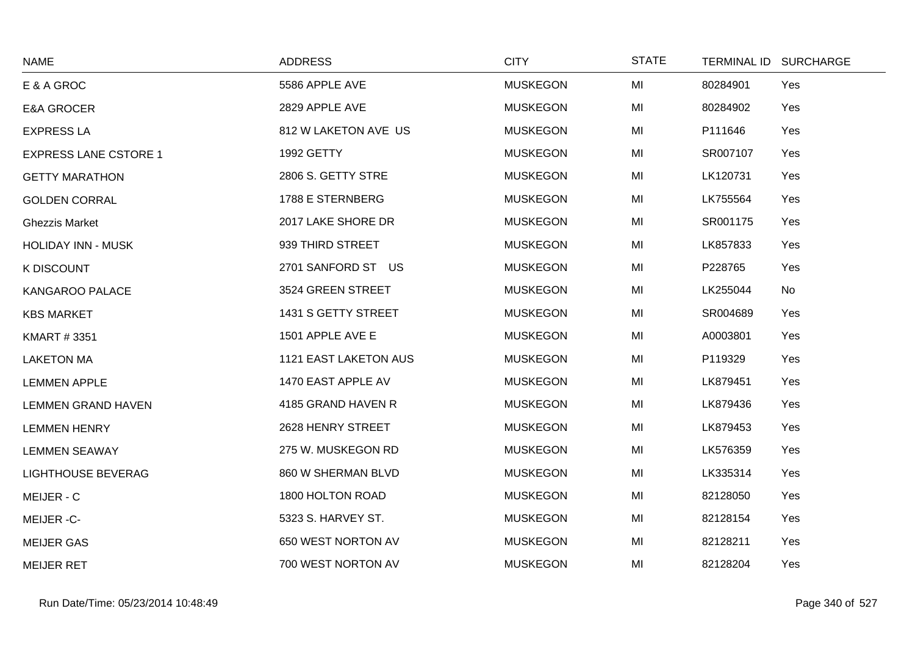| <b>NAME</b>                  | <b>ADDRESS</b>        | <b>CITY</b>     | <b>STATE</b> |          | TERMINAL ID SURCHARGE |
|------------------------------|-----------------------|-----------------|--------------|----------|-----------------------|
| E & A GROC                   | 5586 APPLE AVE        | <b>MUSKEGON</b> | MI           | 80284901 | Yes                   |
| <b>E&amp;A GROCER</b>        | 2829 APPLE AVE        | <b>MUSKEGON</b> | MI           | 80284902 | Yes                   |
| <b>EXPRESS LA</b>            | 812 W LAKETON AVE US  | <b>MUSKEGON</b> | MI           | P111646  | Yes                   |
| <b>EXPRESS LANE CSTORE 1</b> | 1992 GETTY            | <b>MUSKEGON</b> | MI           | SR007107 | Yes                   |
| <b>GETTY MARATHON</b>        | 2806 S. GETTY STRE    | <b>MUSKEGON</b> | MI           | LK120731 | Yes                   |
| <b>GOLDEN CORRAL</b>         | 1788 E STERNBERG      | <b>MUSKEGON</b> | MI           | LK755564 | Yes                   |
| <b>Ghezzis Market</b>        | 2017 LAKE SHORE DR    | <b>MUSKEGON</b> | MI           | SR001175 | Yes                   |
| <b>HOLIDAY INN - MUSK</b>    | 939 THIRD STREET      | <b>MUSKEGON</b> | MI           | LK857833 | Yes                   |
| <b>K DISCOUNT</b>            | 2701 SANFORD ST US    | <b>MUSKEGON</b> | MI           | P228765  | Yes                   |
| KANGAROO PALACE              | 3524 GREEN STREET     | <b>MUSKEGON</b> | MI           | LK255044 | No                    |
| <b>KBS MARKET</b>            | 1431 S GETTY STREET   | <b>MUSKEGON</b> | MI           | SR004689 | Yes                   |
| <b>KMART #3351</b>           | 1501 APPLE AVE E      | <b>MUSKEGON</b> | MI           | A0003801 | Yes                   |
| <b>LAKETON MA</b>            | 1121 EAST LAKETON AUS | <b>MUSKEGON</b> | MI           | P119329  | Yes                   |
| <b>LEMMEN APPLE</b>          | 1470 EAST APPLE AV    | <b>MUSKEGON</b> | MI           | LK879451 | Yes                   |
| <b>LEMMEN GRAND HAVEN</b>    | 4185 GRAND HAVEN R    | <b>MUSKEGON</b> | MI           | LK879436 | Yes                   |
| <b>LEMMEN HENRY</b>          | 2628 HENRY STREET     | <b>MUSKEGON</b> | MI           | LK879453 | Yes                   |
| <b>LEMMEN SEAWAY</b>         | 275 W. MUSKEGON RD    | <b>MUSKEGON</b> | MI           | LK576359 | Yes                   |
| <b>LIGHTHOUSE BEVERAG</b>    | 860 W SHERMAN BLVD    | <b>MUSKEGON</b> | MI           | LK335314 | Yes                   |
| MEIJER - C                   | 1800 HOLTON ROAD      | <b>MUSKEGON</b> | MI           | 82128050 | Yes                   |
| MEIJER-C-                    | 5323 S. HARVEY ST.    | <b>MUSKEGON</b> | MI           | 82128154 | Yes                   |
| <b>MEIJER GAS</b>            | 650 WEST NORTON AV    | <b>MUSKEGON</b> | MI           | 82128211 | Yes                   |
| <b>MEIJER RET</b>            | 700 WEST NORTON AV    | <b>MUSKEGON</b> | MI           | 82128204 | Yes                   |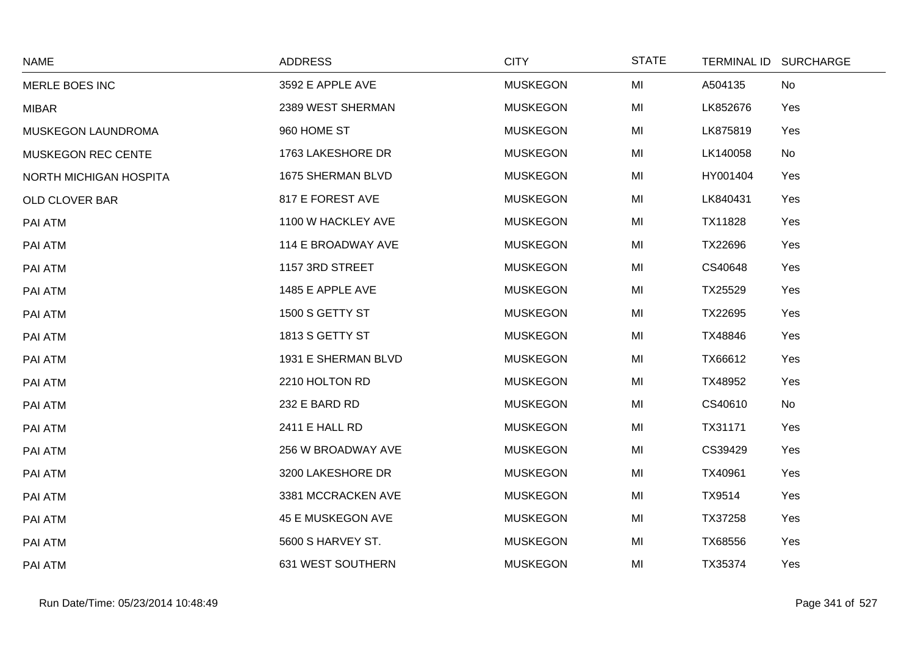| <b>NAME</b>               | <b>ADDRESS</b>      | <b>CITY</b>     | <b>STATE</b> | TERMINAL ID SURCHARGE |  |
|---------------------------|---------------------|-----------------|--------------|-----------------------|--|
| MERLE BOES INC            | 3592 E APPLE AVE    | <b>MUSKEGON</b> | MI           | A504135<br>No         |  |
| <b>MIBAR</b>              | 2389 WEST SHERMAN   | <b>MUSKEGON</b> | MI           | LK852676<br>Yes       |  |
| MUSKEGON LAUNDROMA        | 960 HOME ST         | <b>MUSKEGON</b> | MI           | LK875819<br>Yes       |  |
| <b>MUSKEGON REC CENTE</b> | 1763 LAKESHORE DR   | <b>MUSKEGON</b> | MI           | LK140058<br>No        |  |
| NORTH MICHIGAN HOSPITA    | 1675 SHERMAN BLVD   | <b>MUSKEGON</b> | MI           | HY001404<br>Yes       |  |
| OLD CLOVER BAR            | 817 E FOREST AVE    | <b>MUSKEGON</b> | MI           | LK840431<br>Yes       |  |
| PAI ATM                   | 1100 W HACKLEY AVE  | <b>MUSKEGON</b> | MI           | Yes<br>TX11828        |  |
| PAI ATM                   | 114 E BROADWAY AVE  | <b>MUSKEGON</b> | MI           | TX22696<br>Yes        |  |
| PAI ATM                   | 1157 3RD STREET     | <b>MUSKEGON</b> | MI           | CS40648<br>Yes        |  |
| PAI ATM                   | 1485 E APPLE AVE    | <b>MUSKEGON</b> | MI           | TX25529<br>Yes        |  |
| PAI ATM                   | 1500 S GETTY ST     | <b>MUSKEGON</b> | MI           | Yes<br>TX22695        |  |
| PAI ATM                   | 1813 S GETTY ST     | <b>MUSKEGON</b> | MI           | TX48846<br>Yes        |  |
| PAI ATM                   | 1931 E SHERMAN BLVD | <b>MUSKEGON</b> | MI           | TX66612<br>Yes        |  |
| PAI ATM                   | 2210 HOLTON RD      | <b>MUSKEGON</b> | MI           | Yes<br>TX48952        |  |
| PAI ATM                   | 232 E BARD RD       | <b>MUSKEGON</b> | MI           | CS40610<br>No         |  |
| PAI ATM                   | 2411 E HALL RD      | <b>MUSKEGON</b> | MI           | TX31171<br>Yes        |  |
| PAI ATM                   | 256 W BROADWAY AVE  | <b>MUSKEGON</b> | MI           | CS39429<br>Yes        |  |
| PAI ATM                   | 3200 LAKESHORE DR   | <b>MUSKEGON</b> | MI           | TX40961<br>Yes        |  |
| PAI ATM                   | 3381 MCCRACKEN AVE  | <b>MUSKEGON</b> | MI           | TX9514<br>Yes         |  |
| PAI ATM                   | 45 E MUSKEGON AVE   | <b>MUSKEGON</b> | MI           | TX37258<br>Yes        |  |
| PAI ATM                   | 5600 S HARVEY ST.   | <b>MUSKEGON</b> | MI           | TX68556<br>Yes        |  |
| PAI ATM                   | 631 WEST SOUTHERN   | <b>MUSKEGON</b> | MI           | TX35374<br>Yes        |  |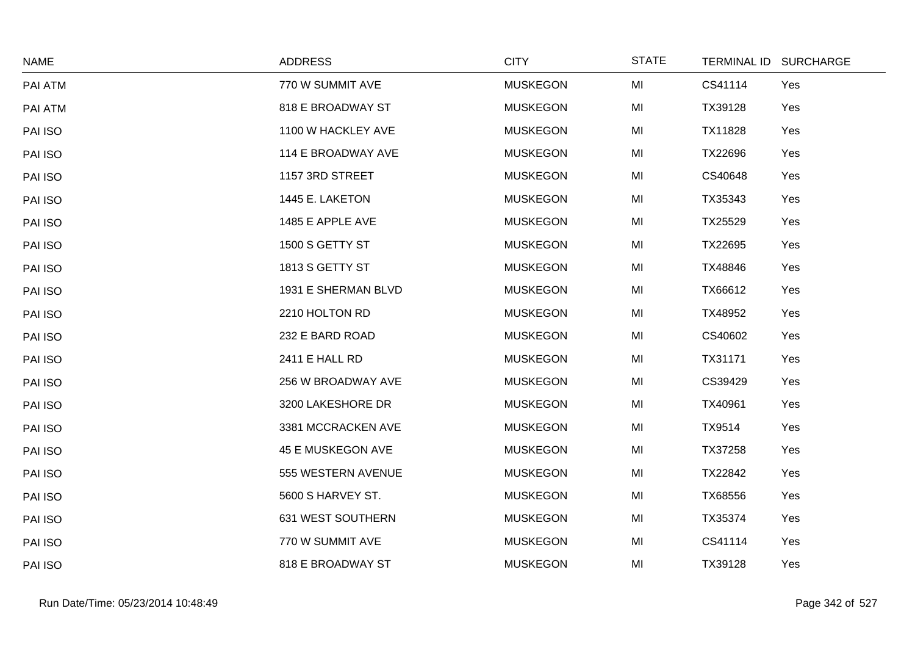| <b>NAME</b> | <b>ADDRESS</b>      | <b>CITY</b>     | <b>STATE</b> | TERMINAL ID SURCHARGE |     |
|-------------|---------------------|-----------------|--------------|-----------------------|-----|
| PAI ATM     | 770 W SUMMIT AVE    | <b>MUSKEGON</b> | MI           | CS41114               | Yes |
| PAI ATM     | 818 E BROADWAY ST   | <b>MUSKEGON</b> | MI           | TX39128               | Yes |
| PAI ISO     | 1100 W HACKLEY AVE  | <b>MUSKEGON</b> | MI           | TX11828               | Yes |
| PAI ISO     | 114 E BROADWAY AVE  | <b>MUSKEGON</b> | MI           | TX22696               | Yes |
| PAI ISO     | 1157 3RD STREET     | <b>MUSKEGON</b> | MI           | CS40648               | Yes |
| PAI ISO     | 1445 E. LAKETON     | <b>MUSKEGON</b> | MI           | TX35343               | Yes |
| PAI ISO     | 1485 E APPLE AVE    | <b>MUSKEGON</b> | MI           | TX25529               | Yes |
| PAI ISO     | 1500 S GETTY ST     | <b>MUSKEGON</b> | MI           | TX22695               | Yes |
| PAI ISO     | 1813 S GETTY ST     | <b>MUSKEGON</b> | MI           | TX48846               | Yes |
| PAI ISO     | 1931 E SHERMAN BLVD | <b>MUSKEGON</b> | MI           | TX66612               | Yes |
| PAI ISO     | 2210 HOLTON RD      | <b>MUSKEGON</b> | MI           | TX48952               | Yes |
| PAI ISO     | 232 E BARD ROAD     | <b>MUSKEGON</b> | MI           | CS40602               | Yes |
| PAI ISO     | 2411 E HALL RD      | <b>MUSKEGON</b> | MI           | TX31171               | Yes |
| PAI ISO     | 256 W BROADWAY AVE  | <b>MUSKEGON</b> | MI           | CS39429               | Yes |
| PAI ISO     | 3200 LAKESHORE DR   | <b>MUSKEGON</b> | MI           | TX40961               | Yes |
| PAI ISO     | 3381 MCCRACKEN AVE  | <b>MUSKEGON</b> | MI           | TX9514                | Yes |
| PAI ISO     | 45 E MUSKEGON AVE   | <b>MUSKEGON</b> | MI           | TX37258               | Yes |
| PAI ISO     | 555 WESTERN AVENUE  | <b>MUSKEGON</b> | MI           | TX22842               | Yes |
| PAI ISO     | 5600 S HARVEY ST.   | <b>MUSKEGON</b> | MI           | TX68556               | Yes |
| PAI ISO     | 631 WEST SOUTHERN   | <b>MUSKEGON</b> | MI           | TX35374               | Yes |
| PAI ISO     | 770 W SUMMIT AVE    | <b>MUSKEGON</b> | MI           | CS41114               | Yes |
| PAI ISO     | 818 E BROADWAY ST   | <b>MUSKEGON</b> | MI           | TX39128               | Yes |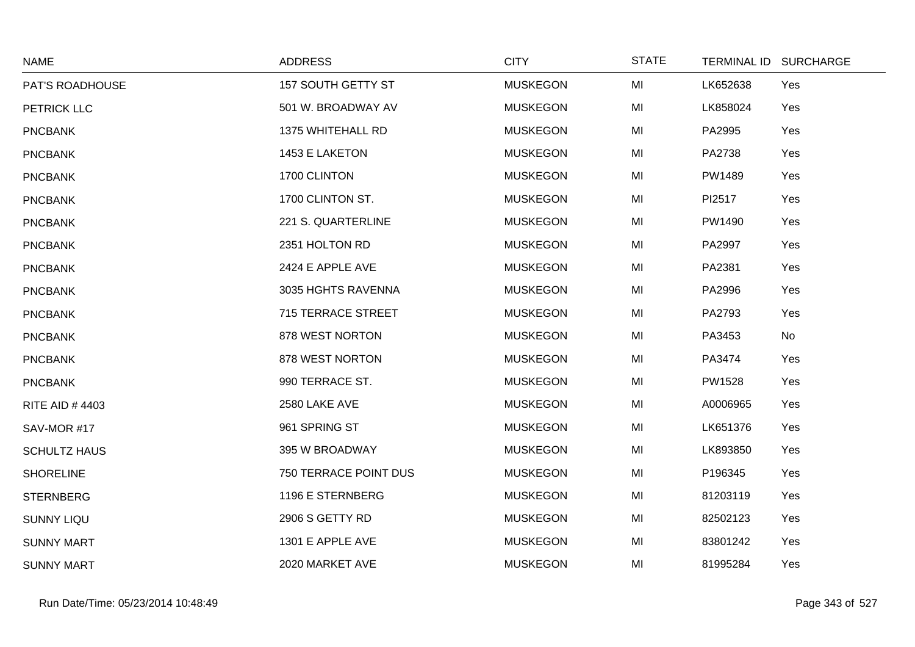| <b>NAME</b>           | <b>ADDRESS</b>        | <b>CITY</b>     | <b>STATE</b> |               | TERMINAL ID SURCHARGE |
|-----------------------|-----------------------|-----------------|--------------|---------------|-----------------------|
| PAT'S ROADHOUSE       | 157 SOUTH GETTY ST    | <b>MUSKEGON</b> | MI           | LK652638      | Yes                   |
| PETRICK LLC           | 501 W. BROADWAY AV    | <b>MUSKEGON</b> | MI           | LK858024      | Yes                   |
| <b>PNCBANK</b>        | 1375 WHITEHALL RD     | <b>MUSKEGON</b> | MI           | PA2995        | Yes                   |
| <b>PNCBANK</b>        | 1453 E LAKETON        | <b>MUSKEGON</b> | MI           | PA2738        | Yes                   |
| <b>PNCBANK</b>        | 1700 CLINTON          | <b>MUSKEGON</b> | MI           | PW1489        | Yes                   |
| <b>PNCBANK</b>        | 1700 CLINTON ST.      | <b>MUSKEGON</b> | MI           | PI2517        | Yes                   |
| <b>PNCBANK</b>        | 221 S. QUARTERLINE    | <b>MUSKEGON</b> | MI           | PW1490        | Yes                   |
| <b>PNCBANK</b>        | 2351 HOLTON RD        | <b>MUSKEGON</b> | MI           | PA2997        | Yes                   |
| <b>PNCBANK</b>        | 2424 E APPLE AVE      | <b>MUSKEGON</b> | MI           | PA2381        | Yes                   |
| <b>PNCBANK</b>        | 3035 HGHTS RAVENNA    | <b>MUSKEGON</b> | MI           | PA2996        | Yes                   |
| <b>PNCBANK</b>        | 715 TERRACE STREET    | <b>MUSKEGON</b> | MI           | PA2793        | Yes                   |
| <b>PNCBANK</b>        | 878 WEST NORTON       | <b>MUSKEGON</b> | MI           | PA3453        | No                    |
| <b>PNCBANK</b>        | 878 WEST NORTON       | <b>MUSKEGON</b> | MI           | PA3474        | Yes                   |
| <b>PNCBANK</b>        | 990 TERRACE ST.       | <b>MUSKEGON</b> | MI           | <b>PW1528</b> | Yes                   |
| <b>RITE AID #4403</b> | 2580 LAKE AVE         | <b>MUSKEGON</b> | MI           | A0006965      | Yes                   |
| SAV-MOR #17           | 961 SPRING ST         | <b>MUSKEGON</b> | MI           | LK651376      | Yes                   |
| <b>SCHULTZ HAUS</b>   | 395 W BROADWAY        | <b>MUSKEGON</b> | MI           | LK893850      | Yes                   |
| <b>SHORELINE</b>      | 750 TERRACE POINT DUS | <b>MUSKEGON</b> | MI           | P196345       | Yes                   |
| <b>STERNBERG</b>      | 1196 E STERNBERG      | <b>MUSKEGON</b> | MI           | 81203119      | Yes                   |
| <b>SUNNY LIQU</b>     | 2906 S GETTY RD       | <b>MUSKEGON</b> | MI           | 82502123      | Yes                   |
| <b>SUNNY MART</b>     | 1301 E APPLE AVE      | <b>MUSKEGON</b> | MI           | 83801242      | Yes                   |
| <b>SUNNY MART</b>     | 2020 MARKET AVE       | <b>MUSKEGON</b> | MI           | 81995284      | Yes                   |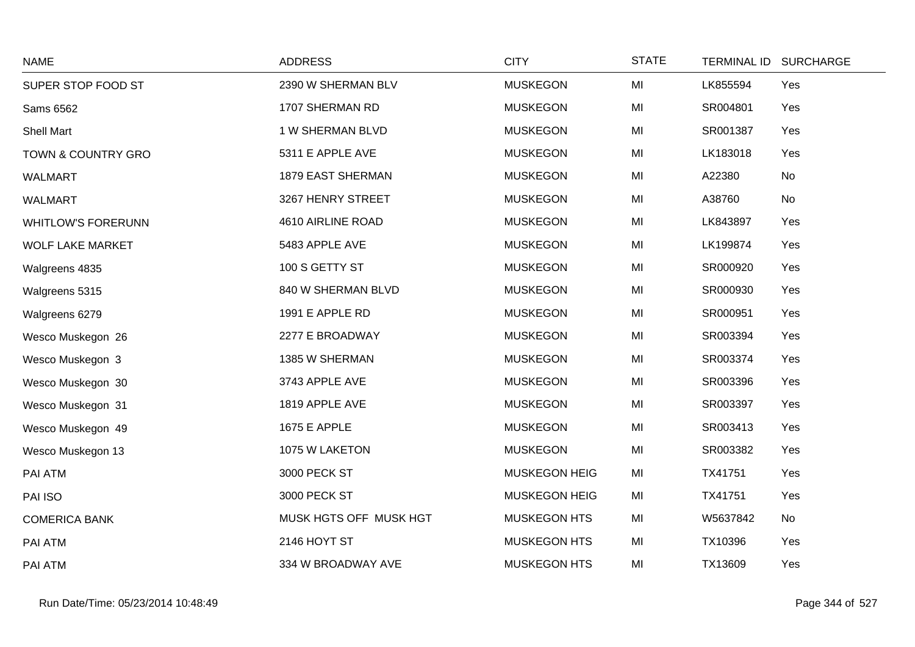| <b>NAME</b>               | <b>ADDRESS</b>         | <b>CITY</b>          | <b>STATE</b>   | <b>TERMINAL ID</b> | <b>SURCHARGE</b> |
|---------------------------|------------------------|----------------------|----------------|--------------------|------------------|
| SUPER STOP FOOD ST        | 2390 W SHERMAN BLV     | <b>MUSKEGON</b>      | MI             | LK855594           | Yes              |
| Sams 6562                 | 1707 SHERMAN RD        | <b>MUSKEGON</b>      | MI             | SR004801           | Yes              |
| <b>Shell Mart</b>         | 1 W SHERMAN BLVD       | <b>MUSKEGON</b>      | MI             | SR001387           | Yes              |
| TOWN & COUNTRY GRO        | 5311 E APPLE AVE       | <b>MUSKEGON</b>      | MI             | LK183018           | Yes              |
| <b>WALMART</b>            | 1879 EAST SHERMAN      | <b>MUSKEGON</b>      | M <sub>l</sub> | A22380             | No               |
| <b>WALMART</b>            | 3267 HENRY STREET      | <b>MUSKEGON</b>      | MI             | A38760             | No               |
| <b>WHITLOW'S FORERUNN</b> | 4610 AIRLINE ROAD      | <b>MUSKEGON</b>      | MI             | LK843897           | Yes              |
| <b>WOLF LAKE MARKET</b>   | 5483 APPLE AVE         | <b>MUSKEGON</b>      | MI             | LK199874           | Yes              |
| Walgreens 4835            | 100 S GETTY ST         | <b>MUSKEGON</b>      | MI             | SR000920           | Yes              |
| Walgreens 5315            | 840 W SHERMAN BLVD     | <b>MUSKEGON</b>      | MI             | SR000930           | Yes              |
| Walgreens 6279            | 1991 E APPLE RD        | <b>MUSKEGON</b>      | MI             | SR000951           | Yes              |
| Wesco Muskegon 26         | 2277 E BROADWAY        | <b>MUSKEGON</b>      | MI             | SR003394           | Yes              |
| Wesco Muskegon 3          | 1385 W SHERMAN         | <b>MUSKEGON</b>      | M <sub>l</sub> | SR003374           | Yes              |
| Wesco Muskegon 30         | 3743 APPLE AVE         | <b>MUSKEGON</b>      | MI             | SR003396           | Yes              |
| Wesco Muskegon 31         | 1819 APPLE AVE         | <b>MUSKEGON</b>      | MI             | SR003397           | Yes              |
| Wesco Muskegon 49         | <b>1675 E APPLE</b>    | <b>MUSKEGON</b>      | MI             | SR003413           | Yes              |
| Wesco Muskegon 13         | 1075 W LAKETON         | <b>MUSKEGON</b>      | MI             | SR003382           | Yes              |
| PAI ATM                   | 3000 PECK ST           | <b>MUSKEGON HEIG</b> | MI             | TX41751            | Yes              |
| PAI ISO                   | 3000 PECK ST           | <b>MUSKEGON HEIG</b> | MI             | TX41751            | Yes              |
| <b>COMERICA BANK</b>      | MUSK HGTS OFF MUSK HGT | MUSKEGON HTS         | M <sub>l</sub> | W5637842           | No               |
| PAI ATM                   | 2146 HOYT ST           | <b>MUSKEGON HTS</b>  | MI             | TX10396            | Yes              |
| PAI ATM                   | 334 W BROADWAY AVE     | <b>MUSKEGON HTS</b>  | MI             | TX13609            | Yes              |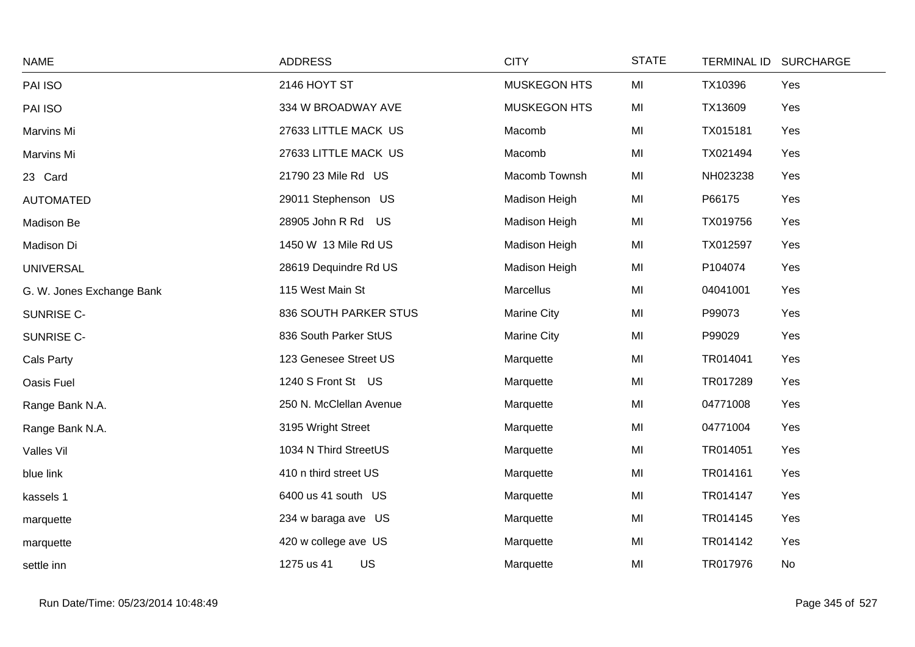| <b>NAME</b>               | <b>ADDRESS</b>          | <b>CITY</b>         | <b>STATE</b> |          | TERMINAL ID SURCHARGE |
|---------------------------|-------------------------|---------------------|--------------|----------|-----------------------|
| PAI ISO                   | 2146 HOYT ST            | <b>MUSKEGON HTS</b> | MI           | TX10396  | Yes                   |
| PAI ISO                   | 334 W BROADWAY AVE      | <b>MUSKEGON HTS</b> | MI           | TX13609  | Yes                   |
| Marvins Mi                | 27633 LITTLE MACK US    | Macomb              | MI           | TX015181 | Yes                   |
| Marvins Mi                | 27633 LITTLE MACK US    | Macomb              | MI           | TX021494 | Yes                   |
| 23 Card                   | 21790 23 Mile Rd US     | Macomb Townsh       | MI           | NH023238 | Yes                   |
| <b>AUTOMATED</b>          | 29011 Stephenson US     | Madison Heigh       | MI           | P66175   | Yes                   |
| Madison Be                | 28905 John R Rd US      | Madison Heigh       | MI           | TX019756 | Yes                   |
| Madison Di                | 1450 W 13 Mile Rd US    | Madison Heigh       | MI           | TX012597 | Yes                   |
| <b>UNIVERSAL</b>          | 28619 Dequindre Rd US   | Madison Heigh       | MI           | P104074  | Yes                   |
| G. W. Jones Exchange Bank | 115 West Main St        | Marcellus           | MI           | 04041001 | Yes                   |
| SUNRISE C-                | 836 SOUTH PARKER STUS   | <b>Marine City</b>  | MI           | P99073   | Yes                   |
| SUNRISE C-                | 836 South Parker StUS   | <b>Marine City</b>  | MI           | P99029   | Yes                   |
| Cals Party                | 123 Genesee Street US   | Marquette           | MI           | TR014041 | Yes                   |
| Oasis Fuel                | 1240 S Front St US      | Marquette           | MI           | TR017289 | Yes                   |
| Range Bank N.A.           | 250 N. McClellan Avenue | Marquette           | MI           | 04771008 | Yes                   |
| Range Bank N.A.           | 3195 Wright Street      | Marquette           | MI           | 04771004 | Yes                   |
| Valles Vil                | 1034 N Third StreetUS   | Marquette           | MI           | TR014051 | Yes                   |
| blue link                 | 410 n third street US   | Marquette           | MI           | TR014161 | Yes                   |
| kassels 1                 | 6400 us 41 south US     | Marquette           | MI           | TR014147 | Yes                   |
| marquette                 | 234 w baraga ave US     | Marquette           | MI           | TR014145 | Yes                   |
| marquette                 | 420 w college ave US    | Marquette           | MI           | TR014142 | Yes                   |
| settle inn                | US<br>1275 us 41        | Marquette           | MI           | TR017976 | <b>No</b>             |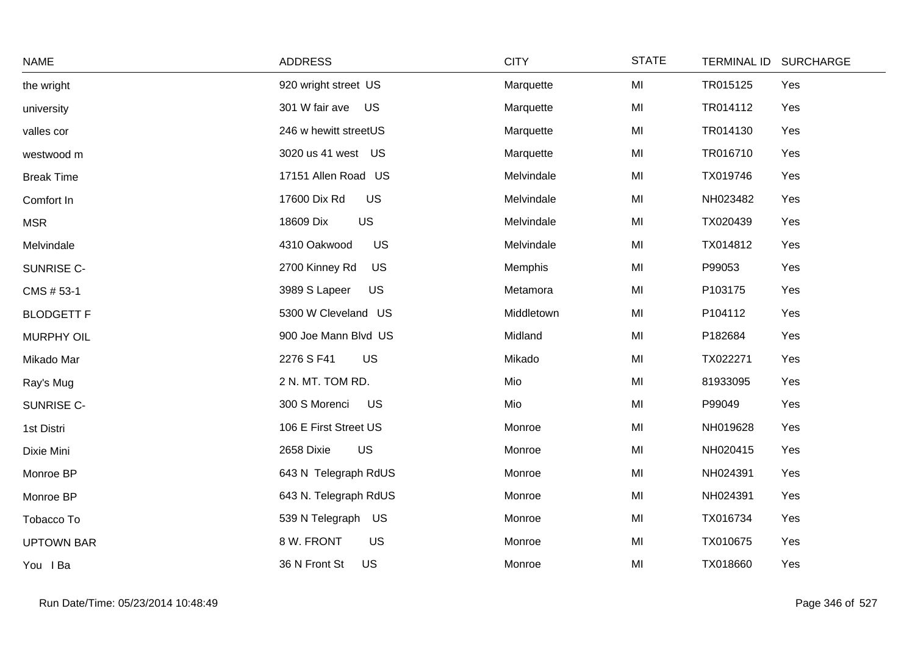| <b>NAME</b>       | <b>ADDRESS</b>              | <b>CITY</b> | <b>STATE</b> | <b>SURCHARGE</b><br><b>TERMINAL ID</b> |
|-------------------|-----------------------------|-------------|--------------|----------------------------------------|
| the wright        | 920 wright street US        | Marquette   | MI           | TR015125<br>Yes                        |
| university        | 301 W fair ave<br>US        | Marquette   | MI           | TR014112<br>Yes                        |
| valles cor        | 246 w hewitt streetUS       | Marquette   | MI           | TR014130<br>Yes                        |
| westwood m        | 3020 us 41 west US          | Marquette   | MI           | TR016710<br>Yes                        |
| <b>Break Time</b> | 17151 Allen Road US         | Melvindale  | MI           | TX019746<br>Yes                        |
| Comfort In        | <b>US</b><br>17600 Dix Rd   | Melvindale  | MI           | NH023482<br>Yes                        |
| <b>MSR</b>        | US<br>18609 Dix             | Melvindale  | MI           | TX020439<br>Yes                        |
| Melvindale        | US<br>4310 Oakwood          | Melvindale  | MI           | TX014812<br>Yes                        |
| SUNRISE C-        | <b>US</b><br>2700 Kinney Rd | Memphis     | MI           | P99053<br>Yes                          |
| CMS # 53-1        | 3989 S Lapeer<br><b>US</b>  | Metamora    | MI           | P103175<br>Yes                         |
| <b>BLODGETT F</b> | 5300 W Cleveland US         | Middletown  | MI           | P104112<br>Yes                         |
| <b>MURPHY OIL</b> | 900 Joe Mann Blvd US        | Midland     | MI           | P182684<br>Yes                         |
| Mikado Mar        | 2276 S F41<br><b>US</b>     | Mikado      | MI           | TX022271<br>Yes                        |
| Ray's Mug         | 2 N. MT. TOM RD.            | Mio         | MI           | 81933095<br>Yes                        |
| SUNRISE C-        | 300 S Morenci<br><b>US</b>  | Mio         | MI           | P99049<br>Yes                          |
| 1st Distri        | 106 E First Street US       | Monroe      | MI           | NH019628<br>Yes                        |
| Dixie Mini        | US<br>2658 Dixie            | Monroe      | MI           | NH020415<br>Yes                        |
| Monroe BP         | 643 N Telegraph RdUS        | Monroe      | MI           | NH024391<br>Yes                        |
| Monroe BP         | 643 N. Telegraph RdUS       | Monroe      | MI           | NH024391<br>Yes                        |
| Tobacco To        | 539 N Telegraph US          | Monroe      | MI           | TX016734<br>Yes                        |
| <b>UPTOWN BAR</b> | 8 W. FRONT<br>US            | Monroe      | MI           | TX010675<br>Yes                        |
| You I Ba          | <b>US</b><br>36 N Front St  | Monroe      | MI           | TX018660<br>Yes                        |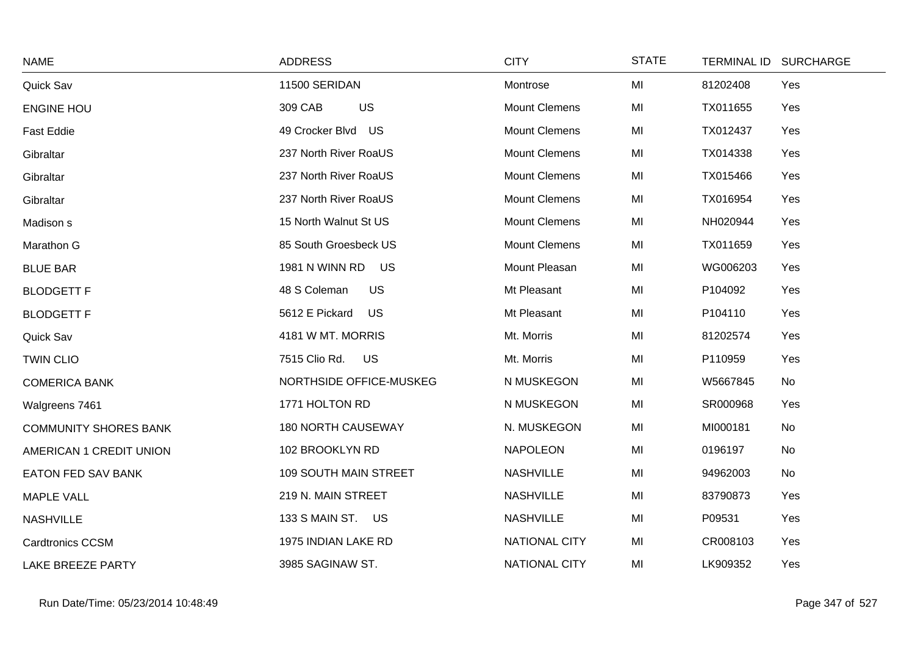| <b>NAME</b>                  | <b>ADDRESS</b>              | <b>CITY</b>          | <b>STATE</b> |          | TERMINAL ID SURCHARGE |
|------------------------------|-----------------------------|----------------------|--------------|----------|-----------------------|
| Quick Sav                    | 11500 SERIDAN               | Montrose             | MI           | 81202408 | Yes                   |
| <b>ENGINE HOU</b>            | 309 CAB<br><b>US</b>        | <b>Mount Clemens</b> | MI           | TX011655 | Yes                   |
| <b>Fast Eddie</b>            | 49 Crocker Blvd US          | <b>Mount Clemens</b> | MI           | TX012437 | Yes                   |
| Gibraltar                    | 237 North River RoaUS       | <b>Mount Clemens</b> | MI           | TX014338 | Yes                   |
| Gibraltar                    | 237 North River RoaUS       | <b>Mount Clemens</b> | MI           | TX015466 | Yes                   |
| Gibraltar                    | 237 North River RoaUS       | <b>Mount Clemens</b> | MI           | TX016954 | Yes                   |
| Madison s                    | 15 North Walnut St US       | <b>Mount Clemens</b> | MI           | NH020944 | Yes                   |
| Marathon G                   | 85 South Groesbeck US       | <b>Mount Clemens</b> | MI           | TX011659 | Yes                   |
| <b>BLUE BAR</b>              | <b>1981 N WINN RD</b><br>US | Mount Pleasan        | MI           | WG006203 | Yes                   |
| <b>BLODGETT F</b>            | 48 S Coleman<br><b>US</b>   | Mt Pleasant          | MI           | P104092  | Yes                   |
| <b>BLODGETT F</b>            | 5612 E Pickard<br>US        | Mt Pleasant          | MI           | P104110  | Yes                   |
| Quick Sav                    | 4181 W MT. MORRIS           | Mt. Morris           | MI           | 81202574 | Yes                   |
| <b>TWIN CLIO</b>             | 7515 Clio Rd.<br><b>US</b>  | Mt. Morris           | MI           | P110959  | Yes                   |
| <b>COMERICA BANK</b>         | NORTHSIDE OFFICE-MUSKEG     | N MUSKEGON           | MI           | W5667845 | No                    |
| Walgreens 7461               | 1771 HOLTON RD              | N MUSKEGON           | MI           | SR000968 | Yes                   |
| <b>COMMUNITY SHORES BANK</b> | <b>180 NORTH CAUSEWAY</b>   | N. MUSKEGON          | MI           | MI000181 | No                    |
| AMERICAN 1 CREDIT UNION      | 102 BROOKLYN RD             | <b>NAPOLEON</b>      | MI           | 0196197  | No                    |
| <b>EATON FED SAV BANK</b>    | 109 SOUTH MAIN STREET       | <b>NASHVILLE</b>     | MI           | 94962003 | No                    |
| <b>MAPLE VALL</b>            | 219 N. MAIN STREET          | <b>NASHVILLE</b>     | MI           | 83790873 | Yes                   |
| <b>NASHVILLE</b>             | 133 S MAIN ST. US           | <b>NASHVILLE</b>     | MI           | P09531   | Yes                   |
| <b>Cardtronics CCSM</b>      | 1975 INDIAN LAKE RD         | NATIONAL CITY        | MI           | CR008103 | Yes                   |
| <b>LAKE BREEZE PARTY</b>     | 3985 SAGINAW ST.            | <b>NATIONAL CITY</b> | MI           | LK909352 | Yes                   |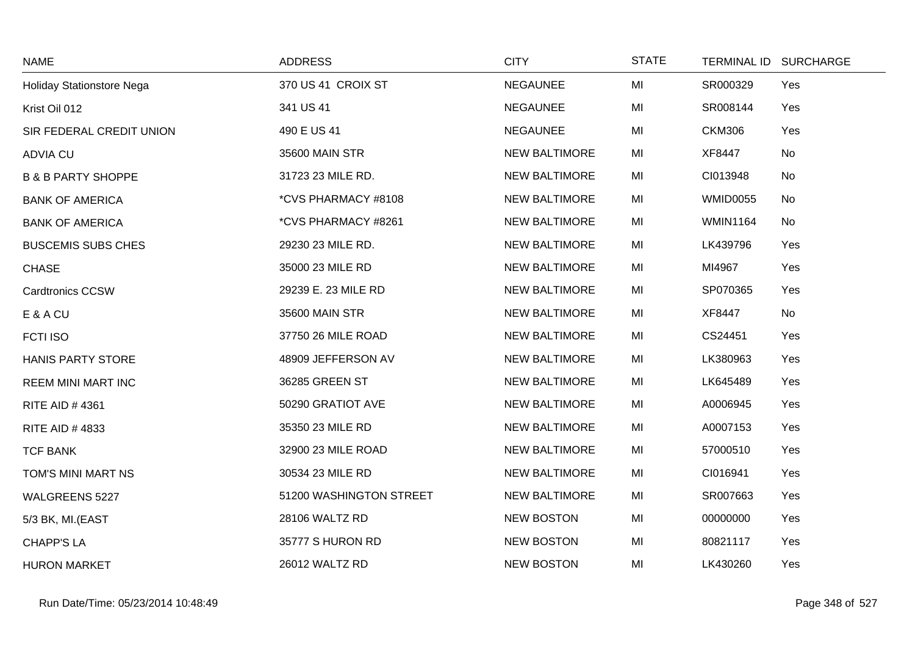| <b>NAME</b>                   | <b>ADDRESS</b>          | <b>CITY</b>          | <b>STATE</b> |                 | TERMINAL ID SURCHARGE |
|-------------------------------|-------------------------|----------------------|--------------|-----------------|-----------------------|
| Holiday Stationstore Nega     | 370 US 41 CROIX ST      | <b>NEGAUNEE</b>      | MI           | SR000329        | Yes                   |
| Krist Oil 012                 | 341 US 41               | <b>NEGAUNEE</b>      | MI           | SR008144        | Yes                   |
| SIR FEDERAL CREDIT UNION      | 490 E US 41             | <b>NEGAUNEE</b>      | MI           | <b>CKM306</b>   | Yes                   |
| <b>ADVIA CU</b>               | 35600 MAIN STR          | <b>NEW BALTIMORE</b> | MI           | XF8447          | No                    |
| <b>B &amp; B PARTY SHOPPE</b> | 31723 23 MILE RD.       | <b>NEW BALTIMORE</b> | MI           | CI013948        | No                    |
| <b>BANK OF AMERICA</b>        | *CVS PHARMACY #8108     | <b>NEW BALTIMORE</b> | MI           | <b>WMID0055</b> | No                    |
| <b>BANK OF AMERICA</b>        | *CVS PHARMACY #8261     | <b>NEW BALTIMORE</b> | MI           | <b>WMIN1164</b> | No                    |
| <b>BUSCEMIS SUBS CHES</b>     | 29230 23 MILE RD.       | <b>NEW BALTIMORE</b> | MI           | LK439796        | Yes                   |
| <b>CHASE</b>                  | 35000 23 MILE RD        | <b>NEW BALTIMORE</b> | MI           | MI4967          | Yes                   |
| Cardtronics CCSW              | 29239 E. 23 MILE RD     | <b>NEW BALTIMORE</b> | MI           | SP070365        | Yes                   |
| E & A CU                      | 35600 MAIN STR          | <b>NEW BALTIMORE</b> | MI           | XF8447          | No                    |
| <b>FCTI ISO</b>               | 37750 26 MILE ROAD      | <b>NEW BALTIMORE</b> | MI           | CS24451         | Yes                   |
| <b>HANIS PARTY STORE</b>      | 48909 JEFFERSON AV      | <b>NEW BALTIMORE</b> | MI           | LK380963        | Yes                   |
| <b>REEM MINI MART INC</b>     | 36285 GREEN ST          | <b>NEW BALTIMORE</b> | MI           | LK645489        | Yes                   |
| <b>RITE AID #4361</b>         | 50290 GRATIOT AVE       | <b>NEW BALTIMORE</b> | MI           | A0006945        | Yes                   |
| RITE AID #4833                | 35350 23 MILE RD        | <b>NEW BALTIMORE</b> | MI           | A0007153        | Yes                   |
| <b>TCF BANK</b>               | 32900 23 MILE ROAD      | <b>NEW BALTIMORE</b> | MI           | 57000510        | Yes                   |
| TOM'S MINI MART NS            | 30534 23 MILE RD        | <b>NEW BALTIMORE</b> | MI           | CI016941        | Yes                   |
| WALGREENS 5227                | 51200 WASHINGTON STREET | <b>NEW BALTIMORE</b> | MI           | SR007663        | Yes                   |
| 5/3 BK, MI.(EAST              | 28106 WALTZ RD          | <b>NEW BOSTON</b>    | MI           | 00000000        | Yes                   |
| <b>CHAPP'S LA</b>             | 35777 S HURON RD        | <b>NEW BOSTON</b>    | MI           | 80821117        | Yes                   |
| <b>HURON MARKET</b>           | 26012 WALTZ RD          | <b>NEW BOSTON</b>    | MI           | LK430260        | Yes                   |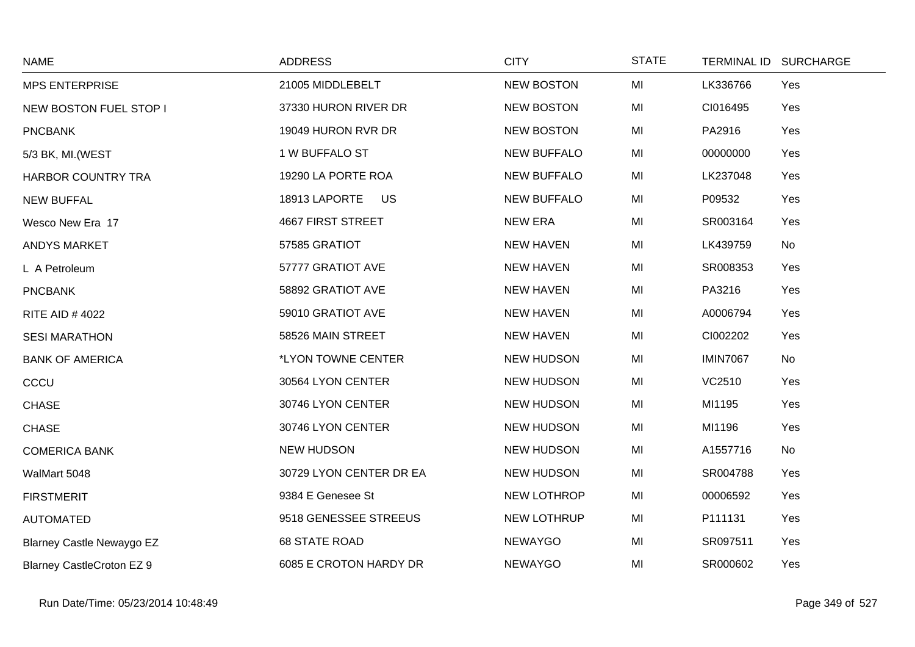| <b>NAME</b>                      | <b>ADDRESS</b>             | <b>CITY</b>        | <b>STATE</b> |                 | TERMINAL ID SURCHARGE |
|----------------------------------|----------------------------|--------------------|--------------|-----------------|-----------------------|
| <b>MPS ENTERPRISE</b>            | 21005 MIDDLEBELT           | <b>NEW BOSTON</b>  | MI           | LK336766        | Yes                   |
| NEW BOSTON FUEL STOP I           | 37330 HURON RIVER DR       | <b>NEW BOSTON</b>  | MI           | CI016495        | Yes                   |
| <b>PNCBANK</b>                   | 19049 HURON RVR DR         | <b>NEW BOSTON</b>  | MI           | PA2916          | Yes                   |
| 5/3 BK, MI. (WEST                | 1 W BUFFALO ST             | <b>NEW BUFFALO</b> | MI           | 00000000        | Yes                   |
| HARBOR COUNTRY TRA               | 19290 LA PORTE ROA         | <b>NEW BUFFALO</b> | MI           | LK237048        | Yes                   |
| NEW BUFFAL                       | 18913 LAPORTE<br><b>US</b> | <b>NEW BUFFALO</b> | MI           | P09532          | Yes                   |
| Wesco New Era 17                 | <b>4667 FIRST STREET</b>   | <b>NEW ERA</b>     | MI           | SR003164        | Yes                   |
| <b>ANDYS MARKET</b>              | 57585 GRATIOT              | <b>NEW HAVEN</b>   | MI           | LK439759        | No                    |
| L A Petroleum                    | 57777 GRATIOT AVE          | <b>NEW HAVEN</b>   | MI           | SR008353        | Yes                   |
| <b>PNCBANK</b>                   | 58892 GRATIOT AVE          | <b>NEW HAVEN</b>   | MI           | PA3216          | Yes                   |
| <b>RITE AID #4022</b>            | 59010 GRATIOT AVE          | <b>NEW HAVEN</b>   | MI           | A0006794        | Yes                   |
| <b>SESI MARATHON</b>             | 58526 MAIN STREET          | <b>NEW HAVEN</b>   | MI           | CI002202        | Yes                   |
| <b>BANK OF AMERICA</b>           | *LYON TOWNE CENTER         | <b>NEW HUDSON</b>  | MI           | <b>IMIN7067</b> | No                    |
| CCCU                             | 30564 LYON CENTER          | <b>NEW HUDSON</b>  | MI           | VC2510          | Yes                   |
| <b>CHASE</b>                     | 30746 LYON CENTER          | <b>NEW HUDSON</b>  | MI           | MI1195          | Yes                   |
| <b>CHASE</b>                     | 30746 LYON CENTER          | <b>NEW HUDSON</b>  | MI           | MI1196          | Yes                   |
| <b>COMERICA BANK</b>             | <b>NEW HUDSON</b>          | <b>NEW HUDSON</b>  | MI           | A1557716        | No                    |
| WalMart 5048                     | 30729 LYON CENTER DR EA    | <b>NEW HUDSON</b>  | MI           | SR004788        | Yes                   |
| <b>FIRSTMERIT</b>                | 9384 E Genesee St          | NEW LOTHROP        | MI           | 00006592        | Yes                   |
| <b>AUTOMATED</b>                 | 9518 GENESSEE STREEUS      | NEW LOTHRUP        | MI           | P111131         | Yes                   |
| <b>Blarney Castle Newaygo EZ</b> | <b>68 STATE ROAD</b>       | <b>NEWAYGO</b>     | MI           | SR097511        | Yes                   |
| <b>Blarney CastleCroton EZ 9</b> | 6085 E CROTON HARDY DR     | <b>NEWAYGO</b>     | MI           | SR000602        | Yes                   |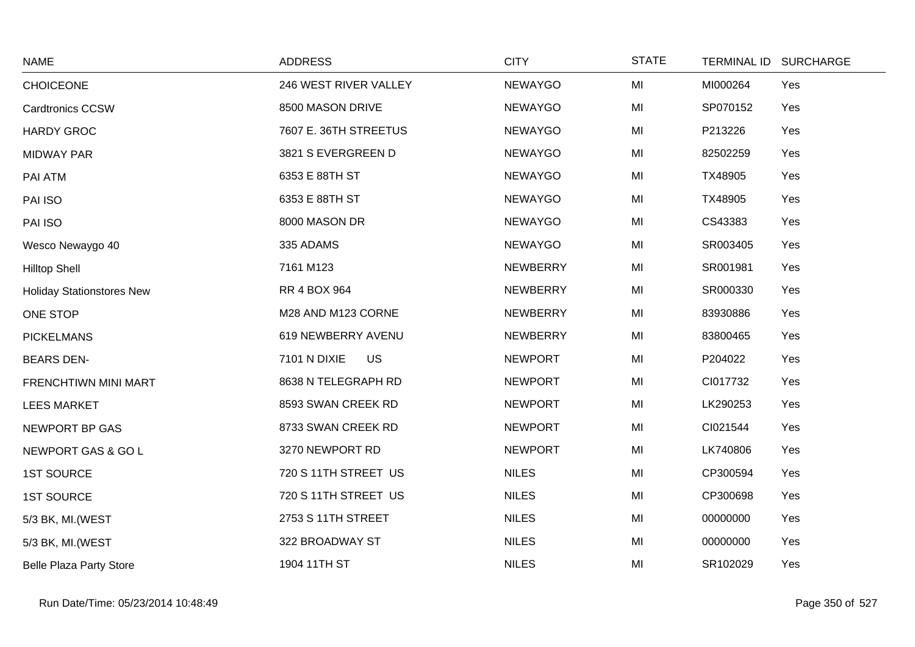| <b>NAME</b>                      | <b>ADDRESS</b>            | <b>CITY</b>     | <b>STATE</b> | TERMINAL ID SURCHARGE |  |
|----------------------------------|---------------------------|-----------------|--------------|-----------------------|--|
| <b>CHOICEONE</b>                 | 246 WEST RIVER VALLEY     | NEWAYGO         | MI           | Yes<br>MI000264       |  |
| <b>Cardtronics CCSW</b>          | 8500 MASON DRIVE          | NEWAYGO         | MI           | SP070152<br>Yes       |  |
| <b>HARDY GROC</b>                | 7607 E. 36TH STREETUS     | <b>NEWAYGO</b>  | MI           | P213226<br>Yes        |  |
| <b>MIDWAY PAR</b>                | 3821 S EVERGREEN D        | <b>NEWAYGO</b>  | MI           | 82502259<br>Yes       |  |
| PAI ATM                          | 6353 E 88TH ST            | <b>NEWAYGO</b>  | MI           | Yes<br>TX48905        |  |
| PAI ISO                          | 6353 E 88TH ST            | <b>NEWAYGO</b>  | MI           | Yes<br>TX48905        |  |
| PAI ISO                          | 8000 MASON DR             | <b>NEWAYGO</b>  | MI           | CS43383<br>Yes        |  |
| Wesco Newaygo 40                 | 335 ADAMS                 | <b>NEWAYGO</b>  | MI           | SR003405<br>Yes       |  |
| <b>Hilltop Shell</b>             | 7161 M123                 | <b>NEWBERRY</b> | MI           | SR001981<br>Yes       |  |
| <b>Holiday Stationstores New</b> | <b>RR 4 BOX 964</b>       | <b>NEWBERRY</b> | MI           | SR000330<br>Yes       |  |
| ONE STOP                         | M28 AND M123 CORNE        | NEWBERRY        | MI           | 83930886<br>Yes       |  |
| <b>PICKELMANS</b>                | 619 NEWBERRY AVENU        | <b>NEWBERRY</b> | MI           | 83800465<br>Yes       |  |
| <b>BEARS DEN-</b>                | 7101 N DIXIE<br><b>US</b> | <b>NEWPORT</b>  | MI           | P204022<br>Yes        |  |
| FRENCHTIWN MINI MART             | 8638 N TELEGRAPH RD       | <b>NEWPORT</b>  | MI           | CI017732<br>Yes       |  |
| <b>LEES MARKET</b>               | 8593 SWAN CREEK RD        | <b>NEWPORT</b>  | MI           | LK290253<br>Yes       |  |
| NEWPORT BP GAS                   | 8733 SWAN CREEK RD        | <b>NEWPORT</b>  | MI           | CI021544<br>Yes       |  |
| NEWPORT GAS & GO L               | 3270 NEWPORT RD           | <b>NEWPORT</b>  | MI           | LK740806<br>Yes       |  |
| <b>1ST SOURCE</b>                | 720 S 11TH STREET US      | <b>NILES</b>    | MI           | CP300594<br>Yes       |  |
| <b>1ST SOURCE</b>                | 720 S 11TH STREET US      | <b>NILES</b>    | MI           | CP300698<br>Yes       |  |
| 5/3 BK, MI. (WEST                | 2753 S 11TH STREET        | <b>NILES</b>    | MI           | Yes<br>00000000       |  |
| 5/3 BK, MI. (WEST                | 322 BROADWAY ST           | <b>NILES</b>    | MI           | Yes<br>00000000       |  |
| <b>Belle Plaza Party Store</b>   | 1904 11TH ST              | <b>NILES</b>    | MI           | SR102029<br>Yes       |  |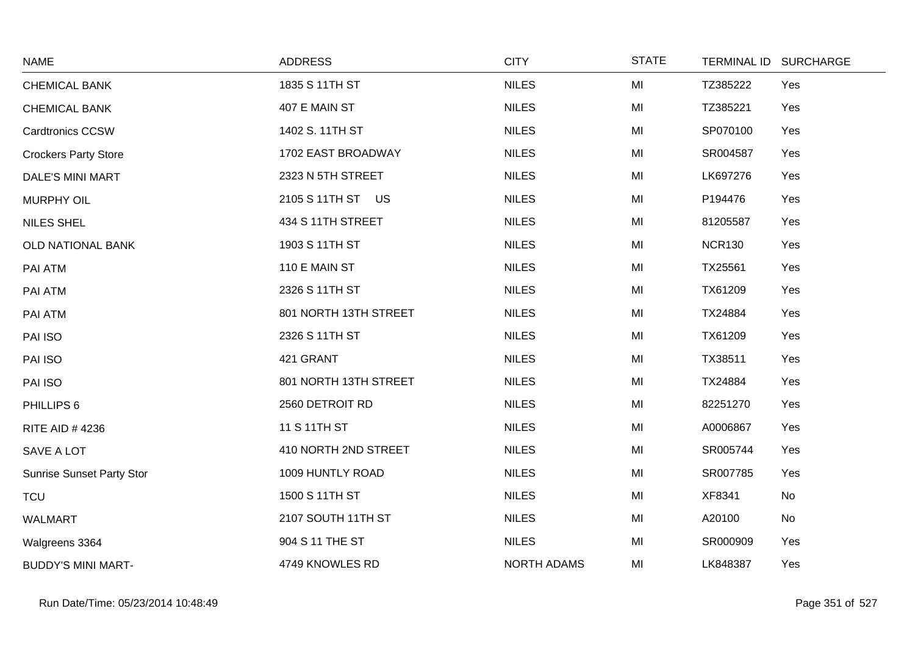| <b>NAME</b>                      | <b>ADDRESS</b>        | <b>CITY</b>        | <b>STATE</b> | <b>TERMINAL ID</b> | <b>SURCHARGE</b> |
|----------------------------------|-----------------------|--------------------|--------------|--------------------|------------------|
| <b>CHEMICAL BANK</b>             | 1835 S 11TH ST        | <b>NILES</b>       | MI           | TZ385222           | Yes              |
| <b>CHEMICAL BANK</b>             | 407 E MAIN ST         | <b>NILES</b>       | MI           | TZ385221           | Yes              |
| <b>Cardtronics CCSW</b>          | 1402 S. 11TH ST       | <b>NILES</b>       | MI           | SP070100           | Yes              |
| <b>Crockers Party Store</b>      | 1702 EAST BROADWAY    | <b>NILES</b>       | MI           | SR004587           | Yes              |
| <b>DALE'S MINI MART</b>          | 2323 N 5TH STREET     | <b>NILES</b>       | MI           | LK697276           | Yes              |
| <b>MURPHY OIL</b>                | 2105 S 11TH ST US     | <b>NILES</b>       | MI           | P194476            | Yes              |
| <b>NILES SHEL</b>                | 434 S 11TH STREET     | <b>NILES</b>       | MI           | 81205587           | Yes              |
| OLD NATIONAL BANK                | 1903 S 11TH ST        | <b>NILES</b>       | MI           | <b>NCR130</b>      | Yes              |
| PAI ATM                          | 110 E MAIN ST         | <b>NILES</b>       | MI           | TX25561            | Yes              |
| PAI ATM                          | 2326 S 11TH ST        | <b>NILES</b>       | MI           | TX61209            | Yes              |
| PAI ATM                          | 801 NORTH 13TH STREET | <b>NILES</b>       | MI           | TX24884            | Yes              |
| PAI ISO                          | 2326 S 11TH ST        | <b>NILES</b>       | MI           | TX61209            | Yes              |
| PAI ISO                          | 421 GRANT             | <b>NILES</b>       | MI           | TX38511            | Yes              |
| PAI ISO                          | 801 NORTH 13TH STREET | <b>NILES</b>       | MI           | TX24884            | Yes              |
| PHILLIPS 6                       | 2560 DETROIT RD       | <b>NILES</b>       | MI           | 82251270           | Yes              |
| <b>RITE AID #4236</b>            | 11 S 11TH ST          | <b>NILES</b>       | MI           | A0006867           | Yes              |
| SAVE A LOT                       | 410 NORTH 2ND STREET  | <b>NILES</b>       | MI           | SR005744           | Yes              |
| <b>Sunrise Sunset Party Stor</b> | 1009 HUNTLY ROAD      | <b>NILES</b>       | MI           | SR007785           | Yes              |
| <b>TCU</b>                       | 1500 S 11TH ST        | <b>NILES</b>       | MI           | XF8341             | No               |
| <b>WALMART</b>                   | 2107 SOUTH 11TH ST    | <b>NILES</b>       | MI           | A20100             | No               |
| Walgreens 3364                   | 904 S 11 THE ST       | <b>NILES</b>       | MI           | SR000909           | Yes              |
| <b>BUDDY'S MINI MART-</b>        | 4749 KNOWLES RD       | <b>NORTH ADAMS</b> | MI           | LK848387           | Yes              |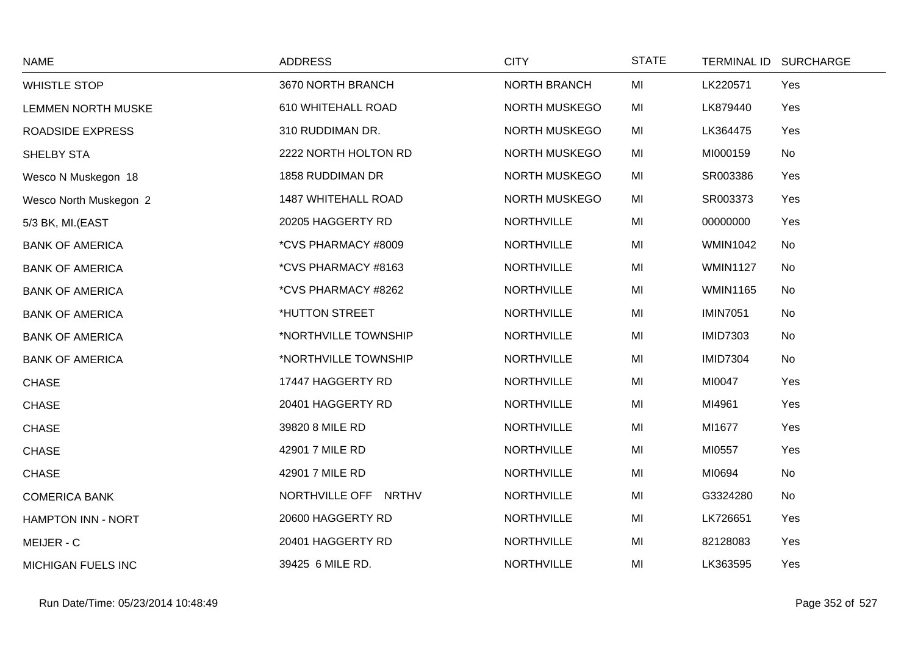| <b>NAME</b>               | <b>ADDRESS</b>             | <b>CITY</b>         | <b>STATE</b> |                 | TERMINAL ID SURCHARGE |
|---------------------------|----------------------------|---------------------|--------------|-----------------|-----------------------|
| <b>WHISTLE STOP</b>       | 3670 NORTH BRANCH          | <b>NORTH BRANCH</b> | MI           | LK220571        | Yes                   |
| LEMMEN NORTH MUSKE        | 610 WHITEHALL ROAD         | NORTH MUSKEGO       | MI           | LK879440        | Yes                   |
| <b>ROADSIDE EXPRESS</b>   | 310 RUDDIMAN DR.           | NORTH MUSKEGO       | MI           | LK364475        | Yes                   |
| SHELBY STA                | 2222 NORTH HOLTON RD       | NORTH MUSKEGO       | MI           | MI000159        | No                    |
| Wesco N Muskegon 18       | 1858 RUDDIMAN DR           | NORTH MUSKEGO       | MI           | SR003386        | Yes                   |
| Wesco North Muskegon 2    | <b>1487 WHITEHALL ROAD</b> | NORTH MUSKEGO       | MI           | SR003373        | Yes                   |
| 5/3 BK, MI.(EAST          | 20205 HAGGERTY RD          | <b>NORTHVILLE</b>   | MI           | 00000000        | Yes                   |
| <b>BANK OF AMERICA</b>    | *CVS PHARMACY #8009        | <b>NORTHVILLE</b>   | MI           | <b>WMIN1042</b> | No                    |
| <b>BANK OF AMERICA</b>    | *CVS PHARMACY #8163        | <b>NORTHVILLE</b>   | MI           | <b>WMIN1127</b> | No                    |
| <b>BANK OF AMERICA</b>    | *CVS PHARMACY #8262        | <b>NORTHVILLE</b>   | MI           | <b>WMIN1165</b> | No                    |
| <b>BANK OF AMERICA</b>    | *HUTTON STREET             | <b>NORTHVILLE</b>   | MI           | <b>IMIN7051</b> | No                    |
| <b>BANK OF AMERICA</b>    | *NORTHVILLE TOWNSHIP       | <b>NORTHVILLE</b>   | MI           | <b>IMID7303</b> | No                    |
| <b>BANK OF AMERICA</b>    | *NORTHVILLE TOWNSHIP       | <b>NORTHVILLE</b>   | MI           | <b>IMID7304</b> | No                    |
| <b>CHASE</b>              | 17447 HAGGERTY RD          | <b>NORTHVILLE</b>   | MI           | MI0047          | Yes                   |
| <b>CHASE</b>              | 20401 HAGGERTY RD          | <b>NORTHVILLE</b>   | MI           | MI4961          | Yes                   |
| <b>CHASE</b>              | 39820 8 MILE RD            | <b>NORTHVILLE</b>   | MI           | MI1677          | Yes                   |
| <b>CHASE</b>              | 42901 7 MILE RD            | <b>NORTHVILLE</b>   | MI           | MI0557          | Yes                   |
| <b>CHASE</b>              | 42901 7 MILE RD            | <b>NORTHVILLE</b>   | MI           | MI0694          | No                    |
| <b>COMERICA BANK</b>      | NORTHVILLE OFF NRTHV       | <b>NORTHVILLE</b>   | MI           | G3324280        | No                    |
| <b>HAMPTON INN - NORT</b> | 20600 HAGGERTY RD          | <b>NORTHVILLE</b>   | MI           | LK726651        | Yes                   |
| MEIJER - C                | 20401 HAGGERTY RD          | <b>NORTHVILLE</b>   | MI           | 82128083        | Yes                   |
| <b>MICHIGAN FUELS INC</b> | 39425 6 MILE RD.           | <b>NORTHVILLE</b>   | MI           | LK363595        | Yes                   |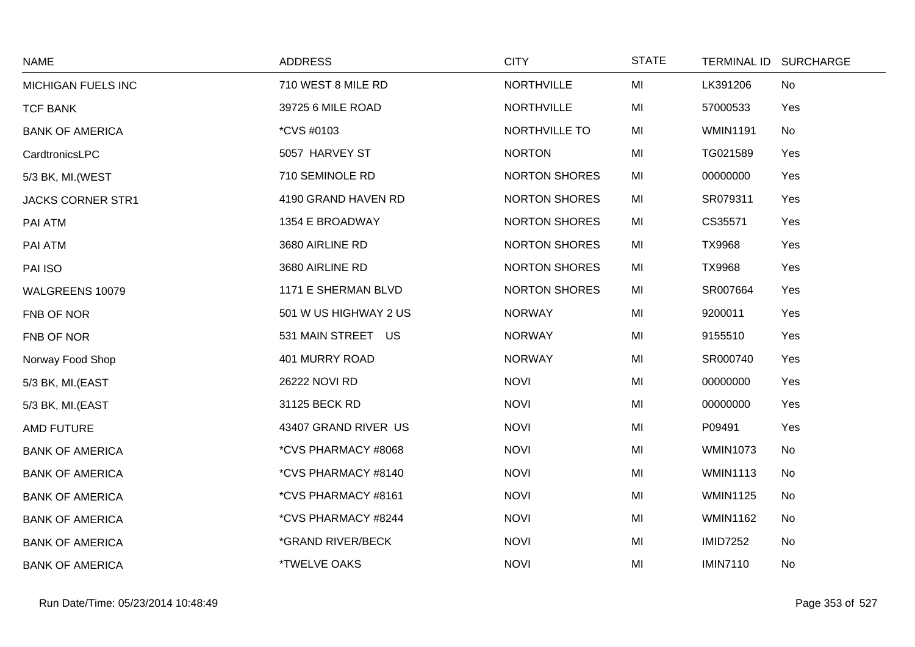| <b>NAME</b>              | <b>ADDRESS</b>             | <b>CITY</b>          | <b>STATE</b> | <b>TERMINAL ID</b> | <b>SURCHARGE</b> |
|--------------------------|----------------------------|----------------------|--------------|--------------------|------------------|
| MICHIGAN FUELS INC       | 710 WEST 8 MILE RD         | <b>NORTHVILLE</b>    | MI           | LK391206           | No               |
| <b>TCF BANK</b>          | 39725 6 MILE ROAD          | <b>NORTHVILLE</b>    | MI           | 57000533           | Yes              |
| <b>BANK OF AMERICA</b>   | *CVS #0103                 | NORTHVILLE TO        | MI           | <b>WMIN1191</b>    | No               |
| CardtronicsLPC           | 5057 HARVEY ST             | <b>NORTON</b>        | MI           | TG021589           | Yes              |
| 5/3 BK, MI. (WEST        | 710 SEMINOLE RD            | <b>NORTON SHORES</b> | MI           | 00000000           | Yes              |
| <b>JACKS CORNER STR1</b> | 4190 GRAND HAVEN RD        | <b>NORTON SHORES</b> | MI           | SR079311           | Yes              |
| PAI ATM                  | 1354 E BROADWAY            | <b>NORTON SHORES</b> | MI           | CS35571            | Yes              |
| PAI ATM                  | 3680 AIRLINE RD            | <b>NORTON SHORES</b> | MI           | <b>TX9968</b>      | Yes              |
| PAI ISO                  | 3680 AIRLINE RD            | <b>NORTON SHORES</b> | MI           | <b>TX9968</b>      | Yes              |
| WALGREENS 10079          | 1171 E SHERMAN BLVD        | <b>NORTON SHORES</b> | MI           | SR007664           | Yes              |
| FNB OF NOR               | 501 W US HIGHWAY 2 US      | <b>NORWAY</b>        | MI           | 9200011            | Yes              |
| FNB OF NOR               | 531 MAIN STREET US         | <b>NORWAY</b>        | MI           | 9155510            | Yes              |
| Norway Food Shop         | 401 MURRY ROAD             | <b>NORWAY</b>        | MI           | SR000740           | Yes              |
| 5/3 BK, MI.(EAST         | 26222 NOVI RD              | <b>NOVI</b>          | MI           | 00000000           | Yes              |
| 5/3 BK, MI.(EAST         | 31125 BECK RD              | <b>NOVI</b>          | MI           | 00000000           | Yes              |
| <b>AMD FUTURE</b>        | 43407 GRAND RIVER US       | <b>NOVI</b>          | MI           | P09491             | Yes              |
| <b>BANK OF AMERICA</b>   | *CVS PHARMACY #8068        | <b>NOVI</b>          | MI           | <b>WMIN1073</b>    | No               |
| <b>BANK OF AMERICA</b>   | *CVS PHARMACY #8140        | <b>NOVI</b>          | MI           | <b>WMIN1113</b>    | No               |
| <b>BANK OF AMERICA</b>   | *CVS PHARMACY #8161        | <b>NOVI</b>          | MI           | <b>WMIN1125</b>    | No               |
| <b>BANK OF AMERICA</b>   | *CVS PHARMACY #8244        | <b>NOVI</b>          | MI           | <b>WMIN1162</b>    | No               |
| <b>BANK OF AMERICA</b>   | *GRAND RIVER/BECK          | <b>NOVI</b>          | MI           | <b>IMID7252</b>    | No               |
| <b>BANK OF AMERICA</b>   | <i><b>*TWELVE OAKS</b></i> | <b>NOVI</b>          | MI           | <b>IMIN7110</b>    | No               |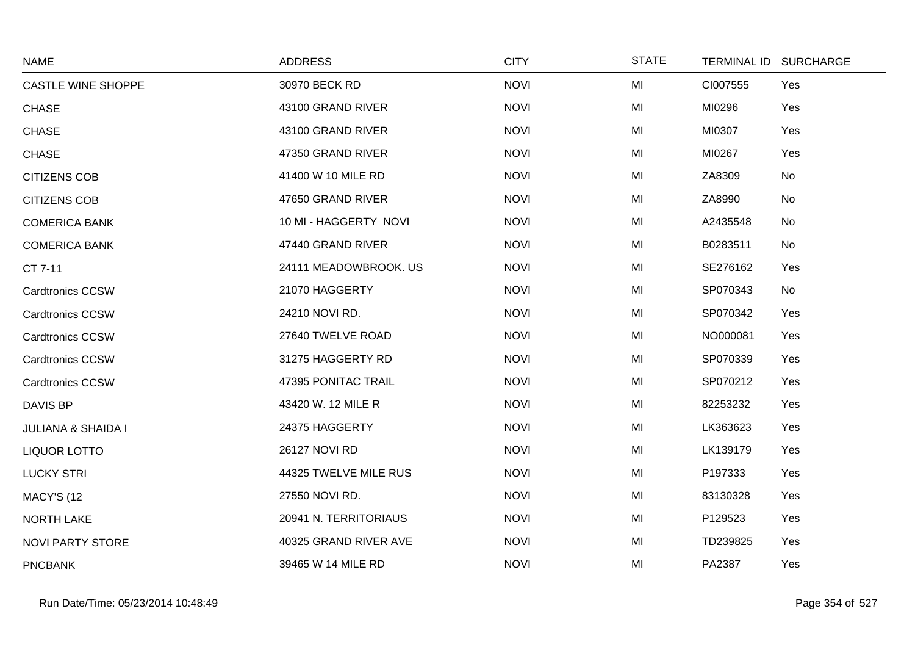| <b>NAME</b>                   | <b>ADDRESS</b>        | <b>CITY</b> | <b>STATE</b> |          | TERMINAL ID SURCHARGE |
|-------------------------------|-----------------------|-------------|--------------|----------|-----------------------|
| <b>CASTLE WINE SHOPPE</b>     | 30970 BECK RD         | <b>NOVI</b> | MI           | CI007555 | Yes                   |
| <b>CHASE</b>                  | 43100 GRAND RIVER     | <b>NOVI</b> | MI           | MI0296   | Yes                   |
| <b>CHASE</b>                  | 43100 GRAND RIVER     | <b>NOVI</b> | MI           | MI0307   | Yes                   |
| <b>CHASE</b>                  | 47350 GRAND RIVER     | <b>NOVI</b> | MI           | MI0267   | Yes                   |
| <b>CITIZENS COB</b>           | 41400 W 10 MILE RD    | <b>NOVI</b> | MI           | ZA8309   | No                    |
| <b>CITIZENS COB</b>           | 47650 GRAND RIVER     | <b>NOVI</b> | MI           | ZA8990   | No                    |
| <b>COMERICA BANK</b>          | 10 MI - HAGGERTY NOVI | <b>NOVI</b> | MI           | A2435548 | No                    |
| <b>COMERICA BANK</b>          | 47440 GRAND RIVER     | <b>NOVI</b> | MI           | B0283511 | No                    |
| CT 7-11                       | 24111 MEADOWBROOK. US | <b>NOVI</b> | MI           | SE276162 | Yes                   |
| Cardtronics CCSW              | 21070 HAGGERTY        | <b>NOVI</b> | MI           | SP070343 | No                    |
| <b>Cardtronics CCSW</b>       | 24210 NOVI RD.        | <b>NOVI</b> | MI           | SP070342 | Yes                   |
| <b>Cardtronics CCSW</b>       | 27640 TWELVE ROAD     | <b>NOVI</b> | MI           | NO000081 | Yes                   |
| <b>Cardtronics CCSW</b>       | 31275 HAGGERTY RD     | <b>NOVI</b> | MI           | SP070339 | Yes                   |
| <b>Cardtronics CCSW</b>       | 47395 PONITAC TRAIL   | <b>NOVI</b> | MI           | SP070212 | Yes                   |
| DAVIS BP                      | 43420 W. 12 MILE R    | <b>NOVI</b> | MI           | 82253232 | Yes                   |
| <b>JULIANA &amp; SHAIDA I</b> | 24375 HAGGERTY        | <b>NOVI</b> | MI           | LK363623 | Yes                   |
| <b>LIQUOR LOTTO</b>           | 26127 NOVI RD         | <b>NOVI</b> | MI           | LK139179 | Yes                   |
| <b>LUCKY STRI</b>             | 44325 TWELVE MILE RUS | <b>NOVI</b> | MI           | P197333  | Yes                   |
| <b>MACY'S (12</b>             | 27550 NOVI RD.        | <b>NOVI</b> | MI           | 83130328 | Yes                   |
| <b>NORTH LAKE</b>             | 20941 N. TERRITORIAUS | <b>NOVI</b> | MI           | P129523  | Yes                   |
| <b>NOVI PARTY STORE</b>       | 40325 GRAND RIVER AVE | <b>NOVI</b> | MI           | TD239825 | Yes                   |
| <b>PNCBANK</b>                | 39465 W 14 MILE RD    | <b>NOVI</b> | MI           | PA2387   | Yes                   |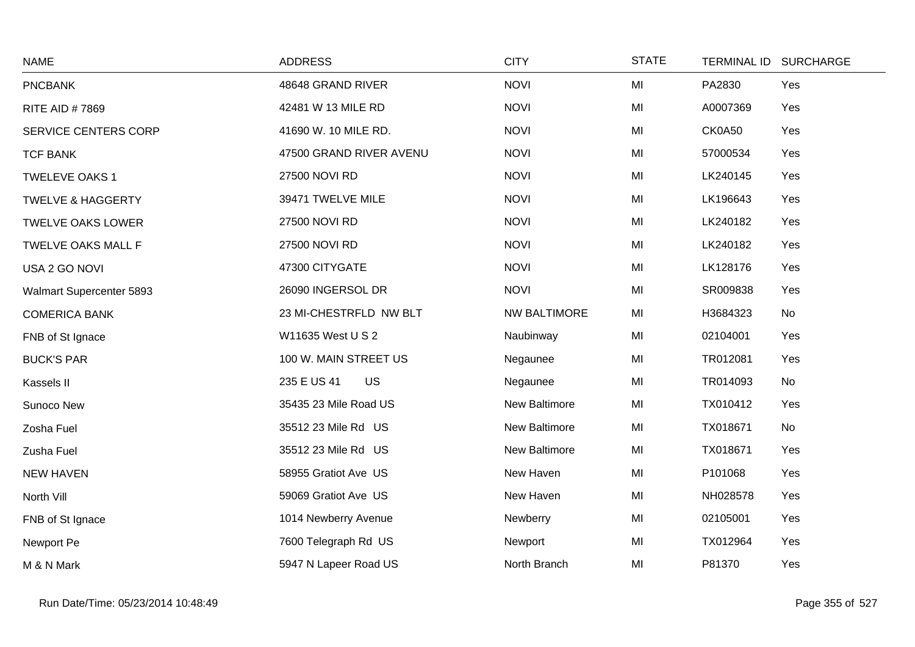| <b>NAME</b>                  | <b>ADDRESS</b>           | <b>CITY</b>         | <b>STATE</b> |          | TERMINAL ID SURCHARGE |
|------------------------------|--------------------------|---------------------|--------------|----------|-----------------------|
| <b>PNCBANK</b>               | 48648 GRAND RIVER        | <b>NOVI</b>         | MI           | PA2830   | Yes                   |
| RITE AID #7869               | 42481 W 13 MILE RD       | <b>NOVI</b>         | MI           | A0007369 | Yes                   |
| SERVICE CENTERS CORP         | 41690 W. 10 MILE RD.     | <b>NOVI</b>         | MI           | CK0A50   | Yes                   |
| <b>TCF BANK</b>              | 47500 GRAND RIVER AVENU  | <b>NOVI</b>         | MI           | 57000534 | Yes                   |
| <b>TWELEVE OAKS 1</b>        | 27500 NOVI RD            | <b>NOVI</b>         | MI           | LK240145 | Yes                   |
| <b>TWELVE &amp; HAGGERTY</b> | 39471 TWELVE MILE        | <b>NOVI</b>         | MI           | LK196643 | Yes                   |
| <b>TWELVE OAKS LOWER</b>     | 27500 NOVI RD            | <b>NOVI</b>         | MI           | LK240182 | Yes                   |
| TWELVE OAKS MALL F           | 27500 NOVI RD            | <b>NOVI</b>         | MI           | LK240182 | Yes                   |
| USA 2 GO NOVI                | 47300 CITYGATE           | <b>NOVI</b>         | MI           | LK128176 | Yes                   |
| Walmart Supercenter 5893     | 26090 INGERSOL DR        | <b>NOVI</b>         | MI           | SR009838 | Yes                   |
| <b>COMERICA BANK</b>         | 23 MI-CHESTRFLD NW BLT   | <b>NW BALTIMORE</b> | MI           | H3684323 | No                    |
| FNB of St Ignace             | W11635 West U S 2        | Naubinway           | MI           | 02104001 | Yes                   |
| <b>BUCK'S PAR</b>            | 100 W. MAIN STREET US    | Negaunee            | MI           | TR012081 | Yes                   |
| Kassels II                   | <b>US</b><br>235 E US 41 | Negaunee            | MI           | TR014093 | No                    |
| Sunoco New                   | 35435 23 Mile Road US    | New Baltimore       | MI           | TX010412 | Yes                   |
| Zosha Fuel                   | 35512 23 Mile Rd US      | New Baltimore       | MI           | TX018671 | No                    |
| Zusha Fuel                   | 35512 23 Mile Rd US      | New Baltimore       | MI           | TX018671 | Yes                   |
| <b>NEW HAVEN</b>             | 58955 Gratiot Ave US     | New Haven           | MI           | P101068  | Yes                   |
| North Vill                   | 59069 Gratiot Ave US     | New Haven           | MI           | NH028578 | Yes                   |
| FNB of St Ignace             | 1014 Newberry Avenue     | Newberry            | MI           | 02105001 | Yes                   |
| Newport Pe                   | 7600 Telegraph Rd US     | Newport             | MI           | TX012964 | Yes                   |
| M & N Mark                   | 5947 N Lapeer Road US    | North Branch        | MI           | P81370   | Yes                   |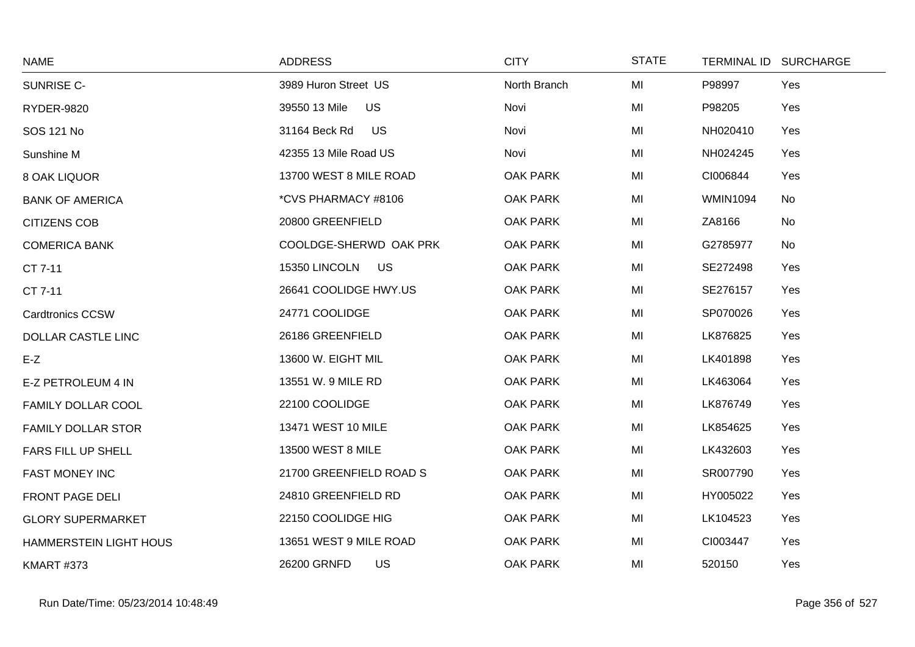| <b>NAME</b>               | <b>ADDRESS</b>             | <b>CITY</b>     | <b>STATE</b> | <b>TERMINAL ID</b> | <b>SURCHARGE</b> |
|---------------------------|----------------------------|-----------------|--------------|--------------------|------------------|
| SUNRISE C-                | 3989 Huron Street US       | North Branch    | MI           | P98997             | Yes              |
| <b>RYDER-9820</b>         | 39550 13 Mile<br><b>US</b> | Novi            | MI           | P98205             | Yes              |
| SOS 121 No                | 31164 Beck Rd<br><b>US</b> | Novi            | MI           | NH020410           | Yes              |
| Sunshine M                | 42355 13 Mile Road US      | Novi            | MI           | NH024245           | Yes              |
| 8 OAK LIQUOR              | 13700 WEST 8 MILE ROAD     | <b>OAK PARK</b> | MI           | CI006844           | Yes              |
| <b>BANK OF AMERICA</b>    | *CVS PHARMACY #8106        | <b>OAK PARK</b> | MI           | <b>WMIN1094</b>    | No               |
| <b>CITIZENS COB</b>       | 20800 GREENFIELD           | <b>OAK PARK</b> | MI           | ZA8166             | No               |
| <b>COMERICA BANK</b>      | COOLDGE-SHERWD OAK PRK     | <b>OAK PARK</b> | MI           | G2785977           | No               |
| CT 7-11                   | 15350 LINCOLN<br>US        | <b>OAK PARK</b> | MI           | SE272498           | Yes              |
| CT 7-11                   | 26641 COOLIDGE HWY.US      | <b>OAK PARK</b> | MI           | SE276157           | Yes              |
| <b>Cardtronics CCSW</b>   | 24771 COOLIDGE             | <b>OAK PARK</b> | MI           | SP070026           | Yes              |
| <b>DOLLAR CASTLE LINC</b> | 26186 GREENFIELD           | <b>OAK PARK</b> | MI           | LK876825           | Yes              |
| $E-Z$                     | 13600 W. EIGHT MIL         | <b>OAK PARK</b> | MI           | LK401898           | Yes              |
| E-Z PETROLEUM 4 IN        | 13551 W. 9 MILE RD         | <b>OAK PARK</b> | MI           | LK463064           | Yes              |
| <b>FAMILY DOLLAR COOL</b> | 22100 COOLIDGE             | <b>OAK PARK</b> | MI           | LK876749           | Yes              |
| <b>FAMILY DOLLAR STOR</b> | 13471 WEST 10 MILE         | <b>OAK PARK</b> | MI           | LK854625           | Yes              |
| FARS FILL UP SHELL        | 13500 WEST 8 MILE          | <b>OAK PARK</b> | MI           | LK432603           | Yes              |
| <b>FAST MONEY INC</b>     | 21700 GREENFIELD ROAD S    | <b>OAK PARK</b> | MI           | SR007790           | Yes              |
| <b>FRONT PAGE DELI</b>    | 24810 GREENFIELD RD        | <b>OAK PARK</b> | MI           | HY005022           | Yes              |
| <b>GLORY SUPERMARKET</b>  | 22150 COOLIDGE HIG         | <b>OAK PARK</b> | MI           | LK104523           | Yes              |
| HAMMERSTEIN LIGHT HOUS    | 13651 WEST 9 MILE ROAD     | <b>OAK PARK</b> | MI           | CI003447           | Yes              |
| <b>KMART #373</b>         | 26200 GRNFD<br>US          | <b>OAK PARK</b> | MI           | 520150             | Yes              |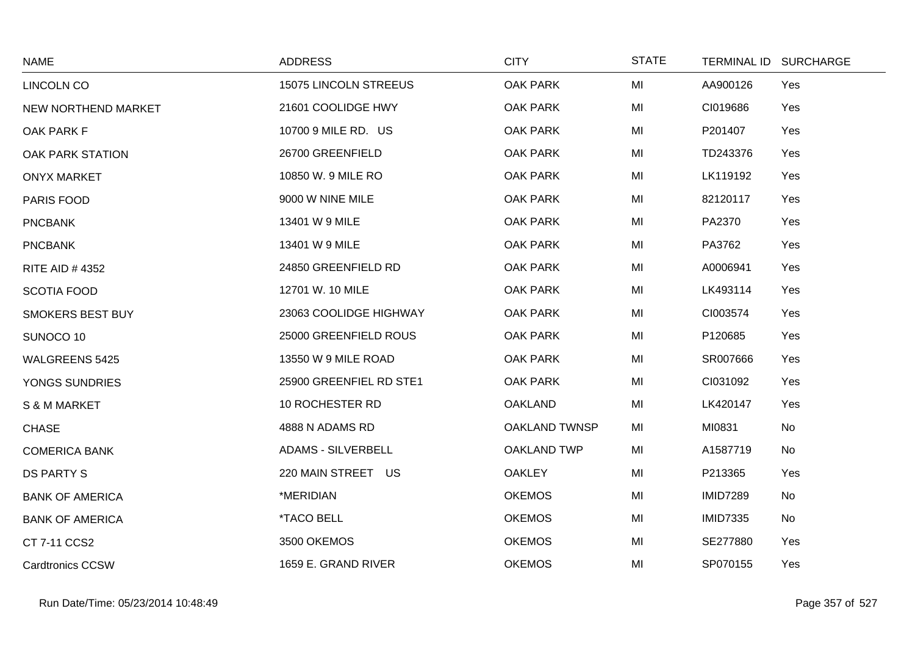| <b>NAME</b>             | <b>ADDRESS</b>            | <b>CITY</b>        | <b>STATE</b> |                 | TERMINAL ID SURCHARGE |
|-------------------------|---------------------------|--------------------|--------------|-----------------|-----------------------|
| <b>LINCOLN CO</b>       | 15075 LINCOLN STREEUS     | <b>OAK PARK</b>    | MI           | AA900126        | Yes                   |
| NEW NORTHEND MARKET     | 21601 COOLIDGE HWY        | <b>OAK PARK</b>    | MI           | CI019686        | Yes                   |
| OAK PARK F              | 10700 9 MILE RD. US       | OAK PARK           | MI           | P201407         | Yes                   |
| OAK PARK STATION        | 26700 GREENFIELD          | <b>OAK PARK</b>    | MI           | TD243376        | Yes                   |
| <b>ONYX MARKET</b>      | 10850 W. 9 MILE RO        | <b>OAK PARK</b>    | MI           | LK119192        | Yes                   |
| PARIS FOOD              | 9000 W NINE MILE          | OAK PARK           | MI           | 82120117        | Yes                   |
| <b>PNCBANK</b>          | 13401 W 9 MILE            | <b>OAK PARK</b>    | MI           | PA2370          | Yes                   |
| <b>PNCBANK</b>          | 13401 W 9 MILE            | <b>OAK PARK</b>    | MI           | PA3762          | Yes                   |
| <b>RITE AID #4352</b>   | 24850 GREENFIELD RD       | <b>OAK PARK</b>    | MI           | A0006941        | Yes                   |
| <b>SCOTIA FOOD</b>      | 12701 W. 10 MILE          | <b>OAK PARK</b>    | MI           | LK493114        | Yes                   |
| SMOKERS BEST BUY        | 23063 COOLIDGE HIGHWAY    | OAK PARK           | MI           | CI003574        | Yes                   |
| SUNOCO 10               | 25000 GREENFIELD ROUS     | OAK PARK           | MI           | P120685         | Yes                   |
| <b>WALGREENS 5425</b>   | 13550 W 9 MILE ROAD       | <b>OAK PARK</b>    | MI           | SR007666        | Yes                   |
| YONGS SUNDRIES          | 25900 GREENFIEL RD STE1   | <b>OAK PARK</b>    | MI           | CI031092        | Yes                   |
| S & M MARKET            | 10 ROCHESTER RD           | <b>OAKLAND</b>     | MI           | LK420147        | Yes                   |
| <b>CHASE</b>            | 4888 N ADAMS RD           | OAKLAND TWNSP      | MI           | MI0831          | No                    |
| <b>COMERICA BANK</b>    | <b>ADAMS - SILVERBELL</b> | <b>OAKLAND TWP</b> | MI           | A1587719        | No                    |
| <b>DS PARTY S</b>       | 220 MAIN STREET US        | <b>OAKLEY</b>      | MI           | P213365         | Yes                   |
| <b>BANK OF AMERICA</b>  | *MERIDIAN                 | <b>OKEMOS</b>      | MI           | <b>IMID7289</b> | No                    |
| <b>BANK OF AMERICA</b>  | <i><b>*TACO BELL</b></i>  | <b>OKEMOS</b>      | MI           | <b>IMID7335</b> | No                    |
| CT 7-11 CCS2            | 3500 OKEMOS               | <b>OKEMOS</b>      | MI           | SE277880        | Yes                   |
| <b>Cardtronics CCSW</b> | 1659 E. GRAND RIVER       | <b>OKEMOS</b>      | MI           | SP070155        | Yes                   |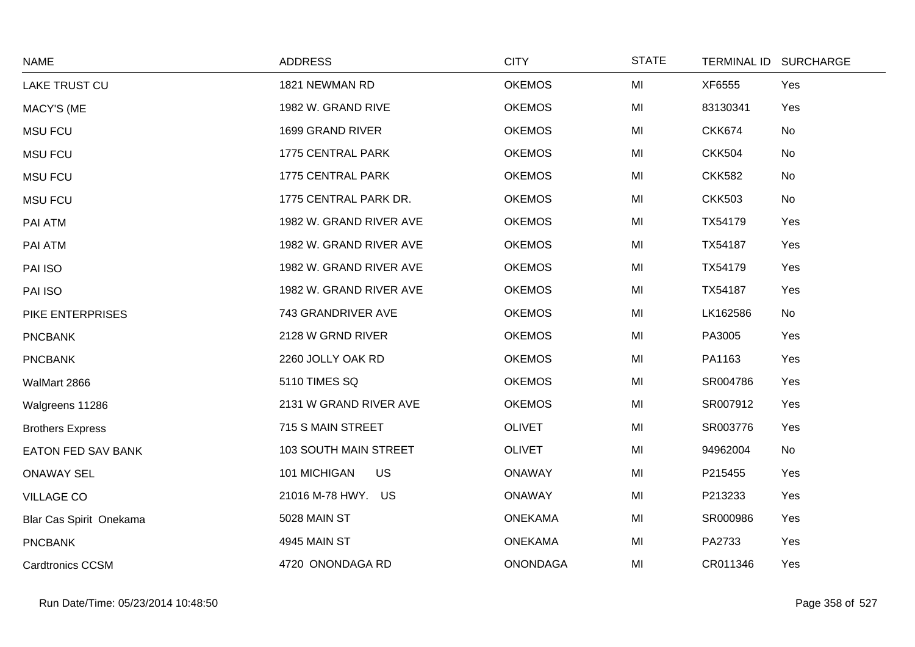| <b>NAME</b>               | <b>ADDRESS</b>            | <b>CITY</b>     | <b>STATE</b> |               | TERMINAL ID SURCHARGE |
|---------------------------|---------------------------|-----------------|--------------|---------------|-----------------------|
| <b>LAKE TRUST CU</b>      | 1821 NEWMAN RD            | <b>OKEMOS</b>   | MI           | XF6555        | Yes                   |
| MACY'S (ME                | 1982 W. GRAND RIVE        | <b>OKEMOS</b>   | MI           | 83130341      | Yes                   |
| <b>MSU FCU</b>            | 1699 GRAND RIVER          | <b>OKEMOS</b>   | MI           | <b>CKK674</b> | No                    |
| <b>MSU FCU</b>            | 1775 CENTRAL PARK         | <b>OKEMOS</b>   | MI           | <b>CKK504</b> | No                    |
| <b>MSU FCU</b>            | 1775 CENTRAL PARK         | <b>OKEMOS</b>   | MI           | <b>CKK582</b> | No                    |
| <b>MSU FCU</b>            | 1775 CENTRAL PARK DR.     | <b>OKEMOS</b>   | MI           | <b>CKK503</b> | No                    |
| PAI ATM                   | 1982 W. GRAND RIVER AVE   | <b>OKEMOS</b>   | MI           | TX54179       | Yes                   |
| PAI ATM                   | 1982 W. GRAND RIVER AVE   | <b>OKEMOS</b>   | MI           | TX54187       | Yes                   |
| PAI ISO                   | 1982 W. GRAND RIVER AVE   | <b>OKEMOS</b>   | MI           | TX54179       | Yes                   |
| PAI ISO                   | 1982 W. GRAND RIVER AVE   | <b>OKEMOS</b>   | MI           | TX54187       | Yes                   |
| PIKE ENTERPRISES          | 743 GRANDRIVER AVE        | <b>OKEMOS</b>   | MI           | LK162586      | No                    |
| <b>PNCBANK</b>            | 2128 W GRND RIVER         | <b>OKEMOS</b>   | MI           | PA3005        | Yes                   |
| <b>PNCBANK</b>            | 2260 JOLLY OAK RD         | <b>OKEMOS</b>   | MI           | PA1163        | Yes                   |
| WalMart 2866              | 5110 TIMES SQ             | <b>OKEMOS</b>   | MI           | SR004786      | Yes                   |
| Walgreens 11286           | 2131 W GRAND RIVER AVE    | <b>OKEMOS</b>   | MI           | SR007912      | Yes                   |
| <b>Brothers Express</b>   | 715 S MAIN STREET         | <b>OLIVET</b>   | MI           | SR003776      | Yes                   |
| <b>EATON FED SAV BANK</b> | 103 SOUTH MAIN STREET     | <b>OLIVET</b>   | MI           | 94962004      | No                    |
| <b>ONAWAY SEL</b>         | 101 MICHIGAN<br><b>US</b> | <b>ONAWAY</b>   | MI           | P215455       | Yes                   |
| <b>VILLAGE CO</b>         | 21016 M-78 HWY. US        | <b>ONAWAY</b>   | MI           | P213233       | Yes                   |
| Blar Cas Spirit Onekama   | 5028 MAIN ST              | <b>ONEKAMA</b>  | MI           | SR000986      | Yes                   |
| <b>PNCBANK</b>            | 4945 MAIN ST              | <b>ONEKAMA</b>  | MI           | PA2733        | Yes                   |
| <b>Cardtronics CCSM</b>   | 4720 ONONDAGA RD          | <b>ONONDAGA</b> | MI           | CR011346      | Yes                   |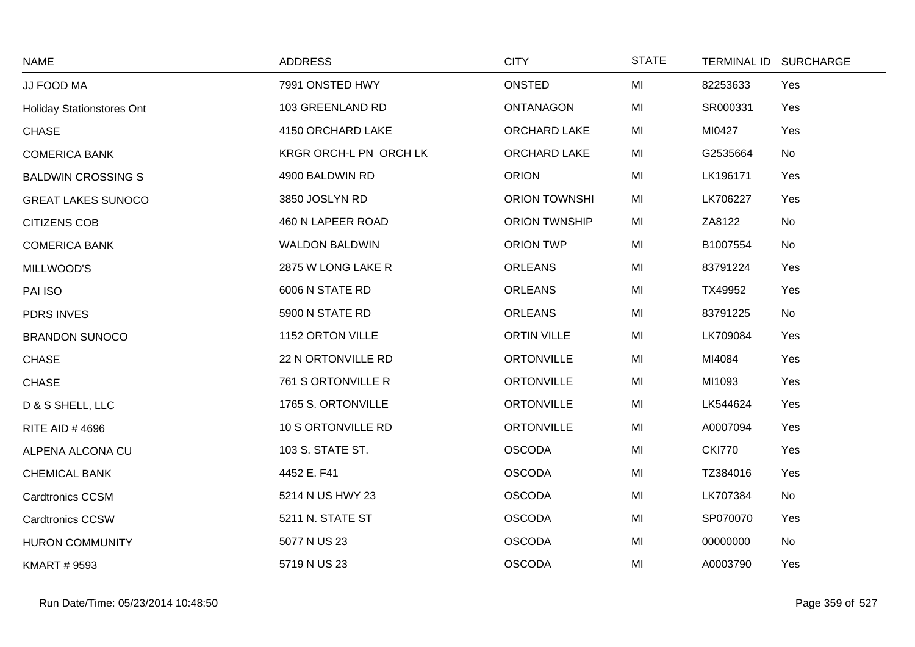| <b>NAME</b>                      | <b>ADDRESS</b>         | <b>CITY</b>          | <b>STATE</b> |               | TERMINAL ID SURCHARGE |
|----------------------------------|------------------------|----------------------|--------------|---------------|-----------------------|
| JJ FOOD MA                       | 7991 ONSTED HWY        | ONSTED               | MI           | 82253633      | Yes                   |
| <b>Holiday Stationstores Ont</b> | 103 GREENLAND RD       | <b>ONTANAGON</b>     | MI           | SR000331      | Yes                   |
| <b>CHASE</b>                     | 4150 ORCHARD LAKE      | ORCHARD LAKE         | MI           | MI0427        | Yes                   |
| <b>COMERICA BANK</b>             | KRGR ORCH-L PN ORCH LK | ORCHARD LAKE         | MI           | G2535664      | No                    |
| <b>BALDWIN CROSSING S</b>        | 4900 BALDWIN RD        | <b>ORION</b>         | MI           | LK196171      | Yes                   |
| <b>GREAT LAKES SUNOCO</b>        | 3850 JOSLYN RD         | <b>ORION TOWNSHI</b> | MI           | LK706227      | Yes                   |
| <b>CITIZENS COB</b>              | 460 N LAPEER ROAD      | <b>ORION TWNSHIP</b> | MI           | ZA8122        | No                    |
| <b>COMERICA BANK</b>             | <b>WALDON BALDWIN</b>  | <b>ORION TWP</b>     | MI           | B1007554      | No                    |
| MILLWOOD'S                       | 2875 W LONG LAKE R     | <b>ORLEANS</b>       | MI           | 83791224      | Yes                   |
| PAI ISO                          | 6006 N STATE RD        | <b>ORLEANS</b>       | MI           | TX49952       | Yes                   |
| <b>PDRS INVES</b>                | 5900 N STATE RD        | <b>ORLEANS</b>       | MI           | 83791225      | No                    |
| <b>BRANDON SUNOCO</b>            | 1152 ORTON VILLE       | <b>ORTIN VILLE</b>   | MI           | LK709084      | Yes                   |
| <b>CHASE</b>                     | 22 N ORTONVILLE RD     | <b>ORTONVILLE</b>    | MI           | MI4084        | Yes                   |
| <b>CHASE</b>                     | 761 S ORTONVILLE R     | <b>ORTONVILLE</b>    | MI           | MI1093        | Yes                   |
| D & S SHELL, LLC                 | 1765 S. ORTONVILLE     | <b>ORTONVILLE</b>    | MI           | LK544624      | Yes                   |
| <b>RITE AID #4696</b>            | 10 S ORTONVILLE RD     | <b>ORTONVILLE</b>    | MI           | A0007094      | Yes                   |
| ALPENA ALCONA CU                 | 103 S. STATE ST.       | <b>OSCODA</b>        | MI           | <b>CKI770</b> | Yes                   |
| <b>CHEMICAL BANK</b>             | 4452 E. F41            | <b>OSCODA</b>        | MI           | TZ384016      | Yes                   |
| <b>Cardtronics CCSM</b>          | 5214 N US HWY 23       | <b>OSCODA</b>        | MI           | LK707384      | No                    |
| <b>Cardtronics CCSW</b>          | 5211 N. STATE ST       | <b>OSCODA</b>        | MI           | SP070070      | Yes                   |
| <b>HURON COMMUNITY</b>           | 5077 N US 23           | <b>OSCODA</b>        | MI           | 00000000      | No                    |
| <b>KMART # 9593</b>              | 5719 N US 23           | <b>OSCODA</b>        | MI           | A0003790      | Yes                   |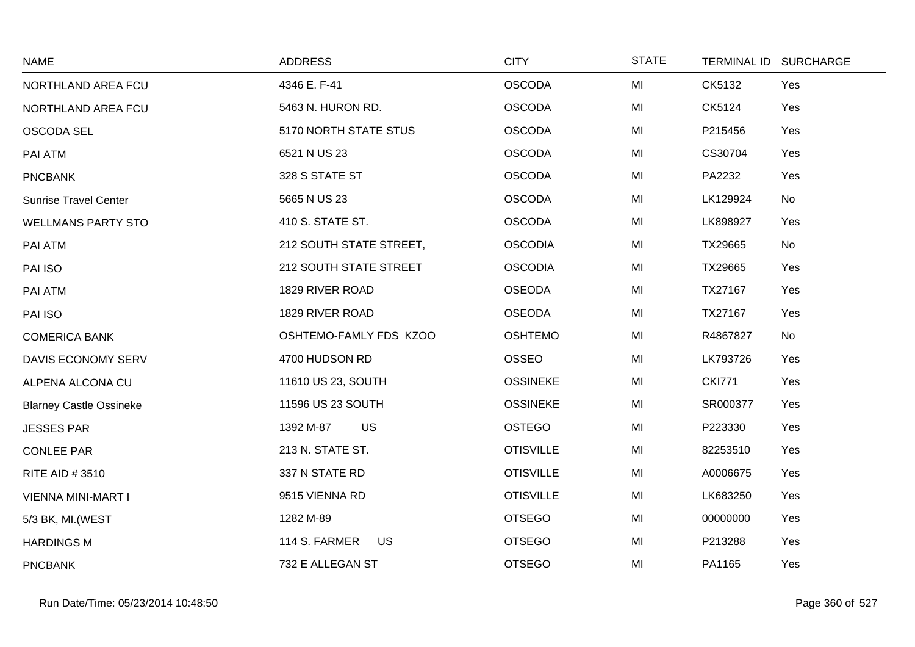| <b>NAME</b>                    | <b>ADDRESS</b>             | <b>CITY</b>      | <b>STATE</b> | TERMINAL ID SURCHARGE |
|--------------------------------|----------------------------|------------------|--------------|-----------------------|
| NORTHLAND AREA FCU             | 4346 E. F-41               | <b>OSCODA</b>    | MI           | CK5132<br>Yes         |
| NORTHLAND AREA FCU             | 5463 N. HURON RD.          | <b>OSCODA</b>    | MI           | CK5124<br>Yes         |
| <b>OSCODA SEL</b>              | 5170 NORTH STATE STUS      | <b>OSCODA</b>    | MI           | P215456<br>Yes        |
| PAI ATM                        | 6521 N US 23               | <b>OSCODA</b>    | MI           | CS30704<br>Yes        |
| <b>PNCBANK</b>                 | 328 S STATE ST             | <b>OSCODA</b>    | MI           | PA2232<br>Yes         |
| <b>Sunrise Travel Center</b>   | 5665 N US 23               | <b>OSCODA</b>    | MI           | No<br>LK129924        |
| <b>WELLMANS PARTY STO</b>      | 410 S. STATE ST.           | <b>OSCODA</b>    | MI           | LK898927<br>Yes       |
| PAI ATM                        | 212 SOUTH STATE STREET,    | <b>OSCODIA</b>   | MI           | TX29665<br>No         |
| PAI ISO                        | 212 SOUTH STATE STREET     | <b>OSCODIA</b>   | MI           | TX29665<br>Yes        |
| PAI ATM                        | 1829 RIVER ROAD            | <b>OSEODA</b>    | MI           | TX27167<br>Yes        |
| PAI ISO                        | 1829 RIVER ROAD            | <b>OSEODA</b>    | MI           | Yes<br>TX27167        |
| <b>COMERICA BANK</b>           | OSHTEMO-FAMLY FDS KZOO     | <b>OSHTEMO</b>   | MI           | R4867827<br>No        |
| DAVIS ECONOMY SERV             | 4700 HUDSON RD             | <b>OSSEO</b>     | MI           | LK793726<br>Yes       |
| ALPENA ALCONA CU               | 11610 US 23, SOUTH         | <b>OSSINEKE</b>  | MI           | <b>CKI771</b><br>Yes  |
| <b>Blarney Castle Ossineke</b> | 11596 US 23 SOUTH          | <b>OSSINEKE</b>  | MI           | SR000377<br>Yes       |
| <b>JESSES PAR</b>              | 1392 M-87<br><b>US</b>     | <b>OSTEGO</b>    | MI           | P223330<br>Yes        |
| <b>CONLEE PAR</b>              | 213 N. STATE ST.           | <b>OTISVILLE</b> | MI           | 82253510<br>Yes       |
| <b>RITE AID #3510</b>          | 337 N STATE RD             | <b>OTISVILLE</b> | MI           | A0006675<br>Yes       |
| VIENNA MINI-MART I             | 9515 VIENNA RD             | <b>OTISVILLE</b> | MI           | LK683250<br>Yes       |
| 5/3 BK, MI.(WEST               | 1282 M-89                  | <b>OTSEGO</b>    | MI           | Yes<br>00000000       |
| <b>HARDINGS M</b>              | 114 S. FARMER<br><b>US</b> | <b>OTSEGO</b>    | MI           | P213288<br>Yes        |
| <b>PNCBANK</b>                 | 732 E ALLEGAN ST           | <b>OTSEGO</b>    | MI           | PA1165<br>Yes         |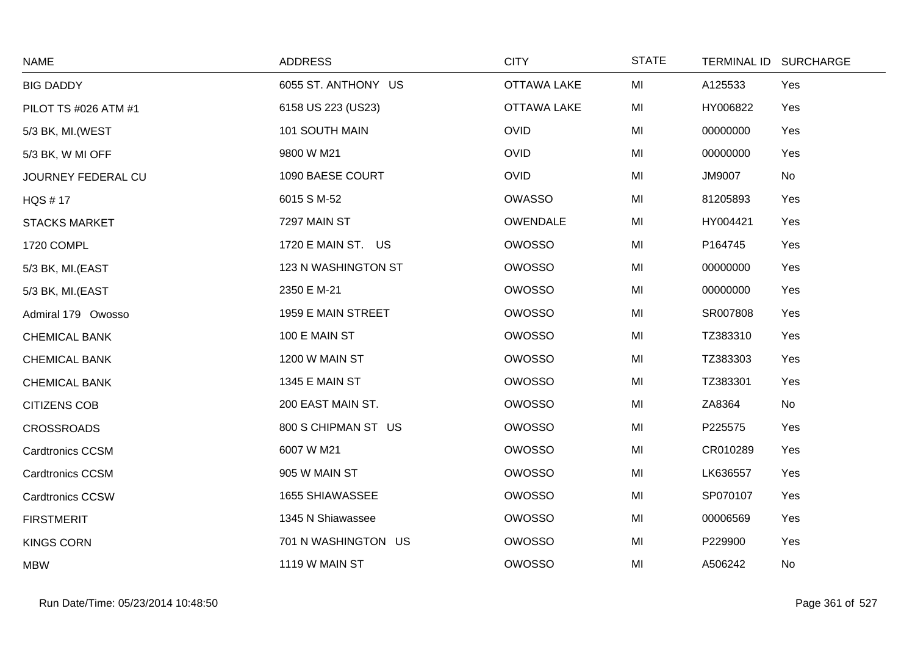| <b>NAME</b>             | <b>ADDRESS</b>        | <b>CITY</b>        | <b>STATE</b> | <b>TERMINAL ID</b> | <b>SURCHARGE</b> |
|-------------------------|-----------------------|--------------------|--------------|--------------------|------------------|
| <b>BIG DADDY</b>        | 6055 ST. ANTHONY US   | <b>OTTAWA LAKE</b> | MI           | A125533            | Yes              |
| PILOT TS #026 ATM #1    | 6158 US 223 (US23)    | <b>OTTAWA LAKE</b> | MI           | HY006822           | Yes              |
| 5/3 BK, MI.(WEST        | 101 SOUTH MAIN        | <b>OVID</b>        | MI           | 00000000           | Yes              |
| 5/3 BK, W MI OFF        | 9800 W M21            | <b>OVID</b>        | MI           | 00000000           | Yes              |
| JOURNEY FEDERAL CU      | 1090 BAESE COURT      | <b>OVID</b>        | MI           | <b>JM9007</b>      | No               |
| <b>HQS #17</b>          | 6015 S M-52           | <b>OWASSO</b>      | MI           | 81205893           | Yes              |
| <b>STACKS MARKET</b>    | 7297 MAIN ST          | <b>OWENDALE</b>    | MI           | HY004421           | Yes              |
| 1720 COMPL              | 1720 E MAIN ST. US    | OWOSSO             | MI           | P164745            | Yes              |
| 5/3 BK, MI.(EAST        | 123 N WASHINGTON ST   | <b>OWOSSO</b>      | MI           | 00000000           | Yes              |
| 5/3 BK, MI.(EAST        | 2350 E M-21           | OWOSSO             | MI           | 00000000           | Yes              |
| Admiral 179 Owosso      | 1959 E MAIN STREET    | <b>OWOSSO</b>      | MI           | SR007808           | Yes              |
| <b>CHEMICAL BANK</b>    | 100 E MAIN ST         | OWOSSO             | MI           | TZ383310           | Yes              |
| <b>CHEMICAL BANK</b>    | 1200 W MAIN ST        | OWOSSO             | MI           | TZ383303           | Yes              |
| <b>CHEMICAL BANK</b>    | <b>1345 E MAIN ST</b> | <b>OWOSSO</b>      | MI           | TZ383301           | Yes              |
| <b>CITIZENS COB</b>     | 200 EAST MAIN ST.     | OWOSSO             | MI           | ZA8364             | No               |
| <b>CROSSROADS</b>       | 800 S CHIPMAN ST US   | <b>OWOSSO</b>      | MI           | P225575            | Yes              |
| <b>Cardtronics CCSM</b> | 6007 W M21            | OWOSSO             | MI           | CR010289           | Yes              |
| <b>Cardtronics CCSM</b> | 905 W MAIN ST         | <b>OWOSSO</b>      | MI           | LK636557           | Yes              |
| <b>Cardtronics CCSW</b> | 1655 SHIAWASSEE       | <b>OWOSSO</b>      | MI           | SP070107           | Yes              |
| <b>FIRSTMERIT</b>       | 1345 N Shiawassee     | <b>OWOSSO</b>      | MI           | 00006569           | Yes              |
| <b>KINGS CORN</b>       | 701 N WASHINGTON US   | <b>OWOSSO</b>      | MI           | P229900            | Yes              |
| <b>MBW</b>              | 1119 W MAIN ST        | <b>OWOSSO</b>      | MI           | A506242            | No               |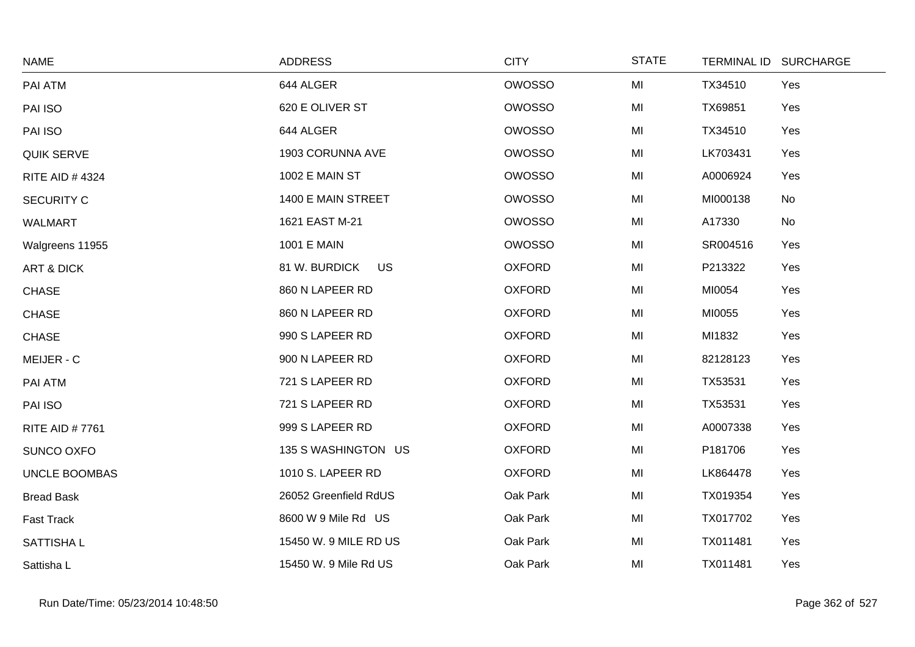| <b>NAME</b>           | <b>ADDRESS</b>             | <b>CITY</b>   | <b>STATE</b> | TERMINAL ID SURCHARGE |     |
|-----------------------|----------------------------|---------------|--------------|-----------------------|-----|
| PAI ATM               | 644 ALGER                  | <b>OWOSSO</b> | MI           | TX34510               | Yes |
| PAI ISO               | 620 E OLIVER ST            | <b>OWOSSO</b> | MI           | TX69851               | Yes |
| PAI ISO               | 644 ALGER                  | <b>OWOSSO</b> | MI           | TX34510               | Yes |
| <b>QUIK SERVE</b>     | 1903 CORUNNA AVE           | <b>OWOSSO</b> | MI           | LK703431              | Yes |
| <b>RITE AID #4324</b> | 1002 E MAIN ST             | OWOSSO        | MI           | A0006924              | Yes |
| <b>SECURITY C</b>     | 1400 E MAIN STREET         | OWOSSO        | MI           | MI000138              | No  |
| <b>WALMART</b>        | 1621 EAST M-21             | <b>OWOSSO</b> | MI           | A17330                | No  |
| Walgreens 11955       | 1001 E MAIN                | <b>OWOSSO</b> | MI           | SR004516              | Yes |
| <b>ART &amp; DICK</b> | 81 W. BURDICK<br><b>US</b> | <b>OXFORD</b> | MI           | P213322               | Yes |
| <b>CHASE</b>          | 860 N LAPEER RD            | <b>OXFORD</b> | MI           | MI0054                | Yes |
| <b>CHASE</b>          | 860 N LAPEER RD            | <b>OXFORD</b> | MI           | MI0055                | Yes |
| <b>CHASE</b>          | 990 S LAPEER RD            | <b>OXFORD</b> | MI           | MI1832                | Yes |
| MEIJER - C            | 900 N LAPEER RD            | <b>OXFORD</b> | MI           | 82128123              | Yes |
| PAI ATM               | 721 S LAPEER RD            | <b>OXFORD</b> | MI           | TX53531               | Yes |
| PAI ISO               | 721 S LAPEER RD            | <b>OXFORD</b> | MI           | TX53531               | Yes |
| <b>RITE AID #7761</b> | 999 S LAPEER RD            | <b>OXFORD</b> | MI           | A0007338              | Yes |
| SUNCO OXFO            | 135 S WASHINGTON US        | <b>OXFORD</b> | MI           | P181706               | Yes |
| <b>UNCLE BOOMBAS</b>  | 1010 S. LAPEER RD          | <b>OXFORD</b> | MI           | LK864478              | Yes |
| <b>Bread Bask</b>     | 26052 Greenfield RdUS      | Oak Park      | MI           | TX019354              | Yes |
| <b>Fast Track</b>     | 8600 W 9 Mile Rd US        | Oak Park      | MI           | TX017702              | Yes |
| <b>SATTISHAL</b>      | 15450 W. 9 MILE RD US      | Oak Park      | MI           | TX011481              | Yes |
| Sattisha L            | 15450 W. 9 Mile Rd US      | Oak Park      | MI           | TX011481              | Yes |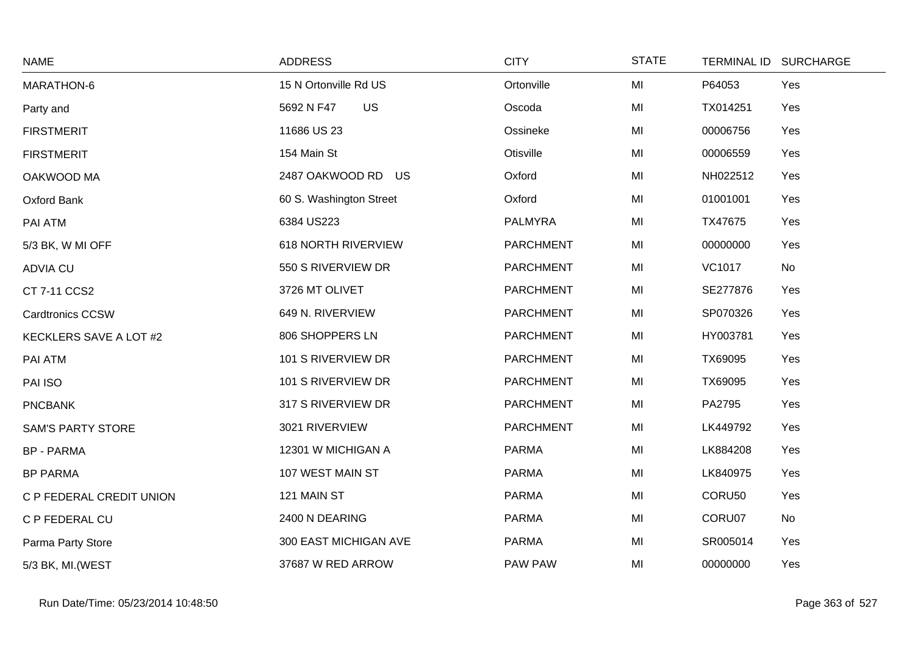| <b>NAME</b>              | <b>ADDRESS</b>             | <b>CITY</b>      | <b>STATE</b> | TERMINAL ID SURCHARGE |     |
|--------------------------|----------------------------|------------------|--------------|-----------------------|-----|
| MARATHON-6               | 15 N Ortonville Rd US      | Ortonville       | MI           | P64053                | Yes |
| Party and                | <b>US</b><br>5692 N F47    | Oscoda           | MI           | TX014251              | Yes |
| <b>FIRSTMERIT</b>        | 11686 US 23                | Ossineke         | MI           | 00006756              | Yes |
| <b>FIRSTMERIT</b>        | 154 Main St                | Otisville        | MI           | 00006559              | Yes |
| OAKWOOD MA               | 2487 OAKWOOD RD US         | Oxford           | MI           | NH022512              | Yes |
| Oxford Bank              | 60 S. Washington Street    | Oxford           | MI           | 01001001              | Yes |
| PAI ATM                  | 6384 US223                 | <b>PALMYRA</b>   | MI           | TX47675               | Yes |
| 5/3 BK, W MI OFF         | <b>618 NORTH RIVERVIEW</b> | <b>PARCHMENT</b> | MI           | 00000000              | Yes |
| <b>ADVIA CU</b>          | 550 S RIVERVIEW DR         | <b>PARCHMENT</b> | MI           | <b>VC1017</b>         | No  |
| CT 7-11 CCS2             | 3726 MT OLIVET             | <b>PARCHMENT</b> | MI           | SE277876              | Yes |
| <b>Cardtronics CCSW</b>  | 649 N. RIVERVIEW           | <b>PARCHMENT</b> | MI           | SP070326              | Yes |
| KECKLERS SAVE A LOT #2   | 806 SHOPPERS LN            | <b>PARCHMENT</b> | MI           | HY003781              | Yes |
| PAI ATM                  | 101 S RIVERVIEW DR         | <b>PARCHMENT</b> | MI           | TX69095               | Yes |
| PAI ISO                  | 101 S RIVERVIEW DR         | <b>PARCHMENT</b> | MI           | TX69095               | Yes |
| <b>PNCBANK</b>           | 317 S RIVERVIEW DR         | <b>PARCHMENT</b> | MI           | PA2795                | Yes |
| <b>SAM'S PARTY STORE</b> | 3021 RIVERVIEW             | <b>PARCHMENT</b> | MI           | LK449792              | Yes |
| <b>BP - PARMA</b>        | 12301 W MICHIGAN A         | <b>PARMA</b>     | MI           | LK884208              | Yes |
| <b>BP PARMA</b>          | 107 WEST MAIN ST           | <b>PARMA</b>     | MI           | LK840975              | Yes |
| C P FEDERAL CREDIT UNION | 121 MAIN ST                | <b>PARMA</b>     | MI           | CORU50                | Yes |
| C P FEDERAL CU           | 2400 N DEARING             | <b>PARMA</b>     | MI           | CORU07                | No  |
| Parma Party Store        | 300 EAST MICHIGAN AVE      | <b>PARMA</b>     | MI           | SR005014              | Yes |
| 5/3 BK, MI. (WEST        | 37687 W RED ARROW          | PAW PAW          | MI           | 00000000              | Yes |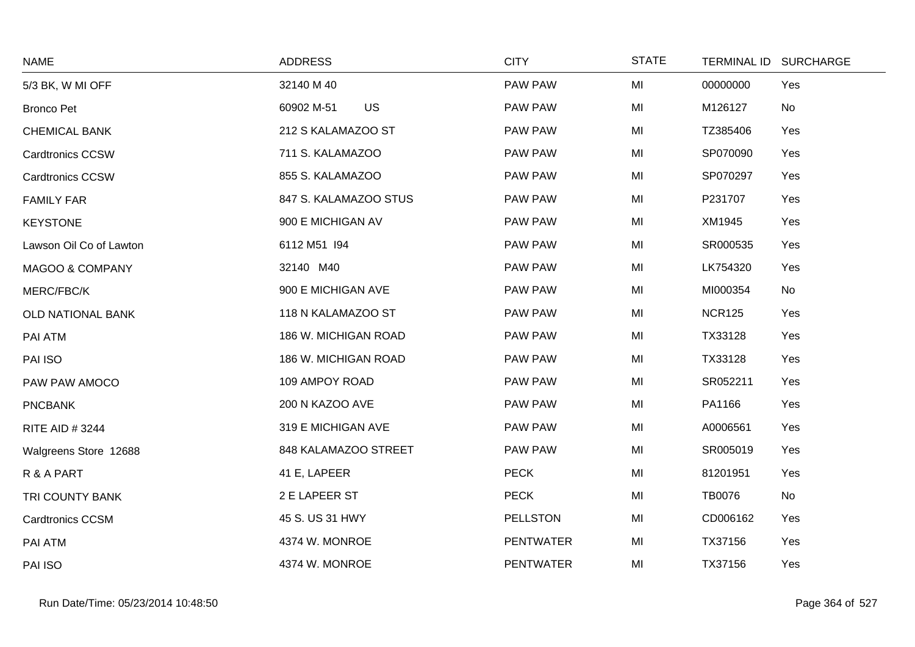| <b>NAME</b>              | <b>ADDRESS</b>        | <b>CITY</b>      | <b>STATE</b> | <b>TERMINAL ID</b> | <b>SURCHARGE</b> |
|--------------------------|-----------------------|------------------|--------------|--------------------|------------------|
| 5/3 BK, W MI OFF         | 32140 M 40            | PAW PAW          | MI           | 00000000           | Yes              |
| <b>Bronco Pet</b>        | US<br>60902 M-51      | PAW PAW          | MI           | M126127            | No               |
| <b>CHEMICAL BANK</b>     | 212 S KALAMAZOO ST    | PAW PAW          | MI           | TZ385406           | Yes              |
| <b>Cardtronics CCSW</b>  | 711 S. KALAMAZOO      | PAW PAW          | MI           | SP070090           | Yes              |
| <b>Cardtronics CCSW</b>  | 855 S. KALAMAZOO      | PAW PAW          | MI           | SP070297           | Yes              |
| <b>FAMILY FAR</b>        | 847 S. KALAMAZOO STUS | PAW PAW          | MI           | P231707            | Yes              |
| <b>KEYSTONE</b>          | 900 E MICHIGAN AV     | PAW PAW          | MI           | XM1945             | Yes              |
| Lawson Oil Co of Lawton  | 6112 M51 194          | PAW PAW          | MI           | SR000535           | Yes              |
| MAGOO & COMPANY          | 32140 M40             | PAW PAW          | MI           | LK754320           | Yes              |
| MERC/FBC/K               | 900 E MICHIGAN AVE    | PAW PAW          | MI           | MI000354           | No               |
| <b>OLD NATIONAL BANK</b> | 118 N KALAMAZOO ST    | PAW PAW          | MI           | <b>NCR125</b>      | Yes              |
| PAI ATM                  | 186 W. MICHIGAN ROAD  | PAW PAW          | MI           | TX33128            | Yes              |
| PAI ISO                  | 186 W. MICHIGAN ROAD  | PAW PAW          | MI           | TX33128            | Yes              |
| PAW PAW AMOCO            | 109 AMPOY ROAD        | PAW PAW          | MI           | SR052211           | Yes              |
| <b>PNCBANK</b>           | 200 N KAZOO AVE       | PAW PAW          | MI           | PA1166             | Yes              |
| <b>RITE AID #3244</b>    | 319 E MICHIGAN AVE    | PAW PAW          | MI           | A0006561           | Yes              |
| Walgreens Store 12688    | 848 KALAMAZOO STREET  | PAW PAW          | MI           | SR005019           | Yes              |
| R & A PART               | 41 E, LAPEER          | <b>PECK</b>      | MI           | 81201951           | Yes              |
| TRI COUNTY BANK          | 2 E LAPEER ST         | <b>PECK</b>      | MI           | <b>TB0076</b>      | No               |
| <b>Cardtronics CCSM</b>  | 45 S. US 31 HWY       | <b>PELLSTON</b>  | MI           | CD006162           | Yes              |
| PAI ATM                  | 4374 W. MONROE        | <b>PENTWATER</b> | MI           | TX37156            | Yes              |
| PAI ISO                  | 4374 W. MONROE        | <b>PENTWATER</b> | MI           | TX37156            | Yes              |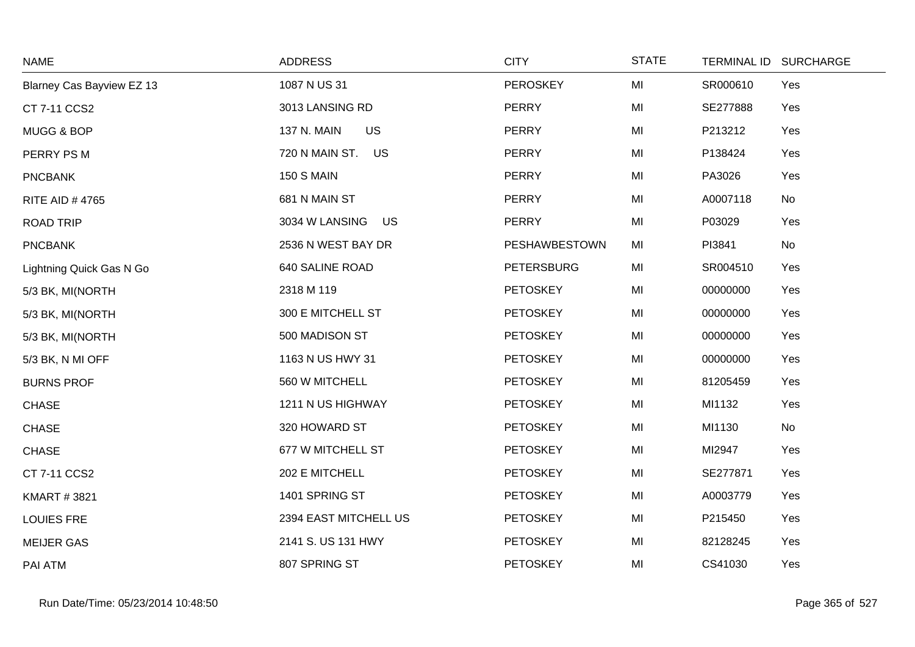| <b>NAME</b>               | <b>ADDRESS</b>              | <b>CITY</b>       | <b>STATE</b> | TERMINAL ID SURCHARGE |     |
|---------------------------|-----------------------------|-------------------|--------------|-----------------------|-----|
| Blarney Cas Bayview EZ 13 | 1087 N US 31                | <b>PEROSKEY</b>   | MI           | SR000610              | Yes |
| CT 7-11 CCS2              | 3013 LANSING RD             | <b>PERRY</b>      | MI           | SE277888              | Yes |
| MUGG & BOP                | <b>US</b><br>137 N. MAIN    | <b>PERRY</b>      | MI           | P213212               | Yes |
| PERRY PS M                | 720 N MAIN ST.<br><b>US</b> | PERRY             | MI           | P138424               | Yes |
| <b>PNCBANK</b>            | <b>150 S MAIN</b>           | PERRY             | MI           | PA3026                | Yes |
| <b>RITE AID #4765</b>     | 681 N MAIN ST               | <b>PERRY</b>      | MI           | A0007118              | No  |
| <b>ROAD TRIP</b>          | 3034 W LANSING<br><b>US</b> | PERRY             | MI           | P03029                | Yes |
| <b>PNCBANK</b>            | 2536 N WEST BAY DR          | PESHAWBESTOWN     | MI           | PI3841                | No  |
| Lightning Quick Gas N Go  | 640 SALINE ROAD             | <b>PETERSBURG</b> | MI           | SR004510              | Yes |
| 5/3 BK, MI(NORTH          | 2318 M 119                  | <b>PETOSKEY</b>   | MI           | 00000000              | Yes |
| 5/3 BK, MI(NORTH          | 300 E MITCHELL ST           | <b>PETOSKEY</b>   | MI           | 00000000              | Yes |
| 5/3 BK, MI(NORTH          | 500 MADISON ST              | <b>PETOSKEY</b>   | MI           | 00000000              | Yes |
| 5/3 BK, N MI OFF          | 1163 N US HWY 31            | <b>PETOSKEY</b>   | MI           | 00000000              | Yes |
| <b>BURNS PROF</b>         | 560 W MITCHELL              | <b>PETOSKEY</b>   | MI           | 81205459              | Yes |
| <b>CHASE</b>              | 1211 N US HIGHWAY           | <b>PETOSKEY</b>   | MI           | MI1132                | Yes |
| <b>CHASE</b>              | 320 HOWARD ST               | <b>PETOSKEY</b>   | MI           | MI1130                | No  |
| <b>CHASE</b>              | 677 W MITCHELL ST           | <b>PETOSKEY</b>   | MI           | MI2947                | Yes |
| CT 7-11 CCS2              | 202 E MITCHELL              | <b>PETOSKEY</b>   | MI           | SE277871              | Yes |
| <b>KMART #3821</b>        | 1401 SPRING ST              | <b>PETOSKEY</b>   | MI           | A0003779              | Yes |
| <b>LOUIES FRE</b>         | 2394 EAST MITCHELL US       | <b>PETOSKEY</b>   | MI           | P215450               | Yes |
| <b>MEIJER GAS</b>         | 2141 S. US 131 HWY          | <b>PETOSKEY</b>   | MI           | 82128245              | Yes |
| PAI ATM                   | 807 SPRING ST               | <b>PETOSKEY</b>   | MI           | CS41030               | Yes |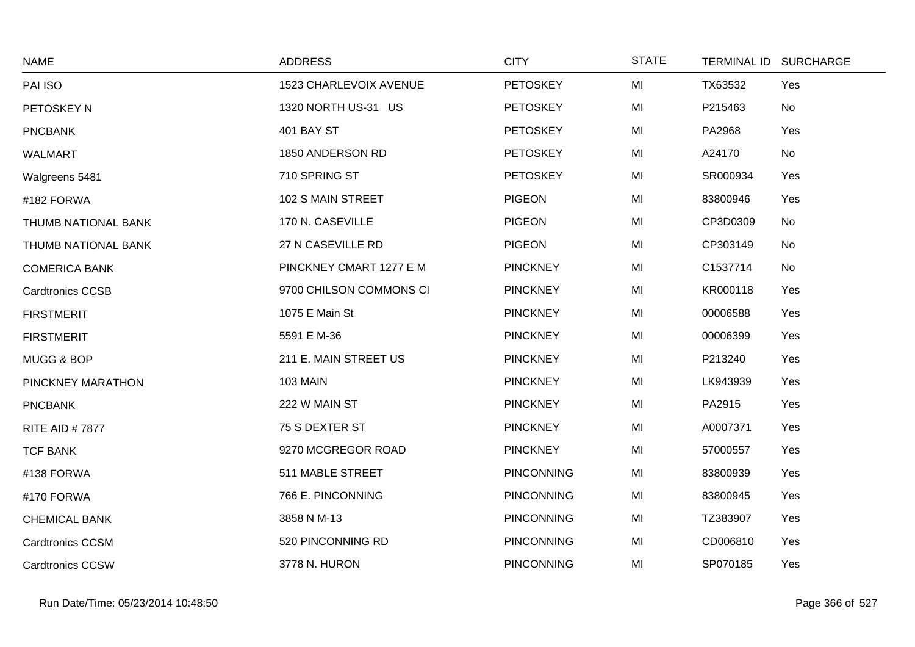| <b>NAME</b>             | <b>ADDRESS</b>          | <b>CITY</b>       | <b>STATE</b> |          | TERMINAL ID SURCHARGE |
|-------------------------|-------------------------|-------------------|--------------|----------|-----------------------|
| PAI ISO                 | 1523 CHARLEVOIX AVENUE  | <b>PETOSKEY</b>   | MI           | TX63532  | Yes                   |
| PETOSKEY N              | 1320 NORTH US-31 US     | <b>PETOSKEY</b>   | MI           | P215463  | No                    |
| <b>PNCBANK</b>          | <b>401 BAY ST</b>       | <b>PETOSKEY</b>   | MI           | PA2968   | Yes                   |
| WALMART                 | 1850 ANDERSON RD        | <b>PETOSKEY</b>   | MI           | A24170   | No                    |
| Walgreens 5481          | 710 SPRING ST           | <b>PETOSKEY</b>   | MI           | SR000934 | Yes                   |
| #182 FORWA              | 102 S MAIN STREET       | <b>PIGEON</b>     | MI           | 83800946 | Yes                   |
| THUMB NATIONAL BANK     | 170 N. CASEVILLE        | <b>PIGEON</b>     | MI           | CP3D0309 | No                    |
| THUMB NATIONAL BANK     | 27 N CASEVILLE RD       | <b>PIGEON</b>     | MI           | CP303149 | No                    |
| <b>COMERICA BANK</b>    | PINCKNEY CMART 1277 E M | <b>PINCKNEY</b>   | MI           | C1537714 | No                    |
| <b>Cardtronics CCSB</b> | 9700 CHILSON COMMONS CI | <b>PINCKNEY</b>   | MI           | KR000118 | Yes                   |
| <b>FIRSTMERIT</b>       | 1075 E Main St          | <b>PINCKNEY</b>   | MI           | 00006588 | Yes                   |
| <b>FIRSTMERIT</b>       | 5591 E M-36             | <b>PINCKNEY</b>   | MI           | 00006399 | Yes                   |
| MUGG & BOP              | 211 E. MAIN STREET US   | <b>PINCKNEY</b>   | MI           | P213240  | Yes                   |
| PINCKNEY MARATHON       | <b>103 MAIN</b>         | <b>PINCKNEY</b>   | MI           | LK943939 | Yes                   |
| <b>PNCBANK</b>          | 222 W MAIN ST           | <b>PINCKNEY</b>   | MI           | PA2915   | Yes                   |
| <b>RITE AID #7877</b>   | 75 S DEXTER ST          | <b>PINCKNEY</b>   | MI           | A0007371 | Yes                   |
| <b>TCF BANK</b>         | 9270 MCGREGOR ROAD      | <b>PINCKNEY</b>   | MI           | 57000557 | Yes                   |
| #138 FORWA              | 511 MABLE STREET        | <b>PINCONNING</b> | MI           | 83800939 | Yes                   |
| #170 FORWA              | 766 E. PINCONNING       | <b>PINCONNING</b> | MI           | 83800945 | Yes                   |
| <b>CHEMICAL BANK</b>    | 3858 N M-13             | <b>PINCONNING</b> | MI           | TZ383907 | Yes                   |
| <b>Cardtronics CCSM</b> | 520 PINCONNING RD       | <b>PINCONNING</b> | MI           | CD006810 | Yes                   |
| <b>Cardtronics CCSW</b> | 3778 N. HURON           | <b>PINCONNING</b> | MI           | SP070185 | Yes                   |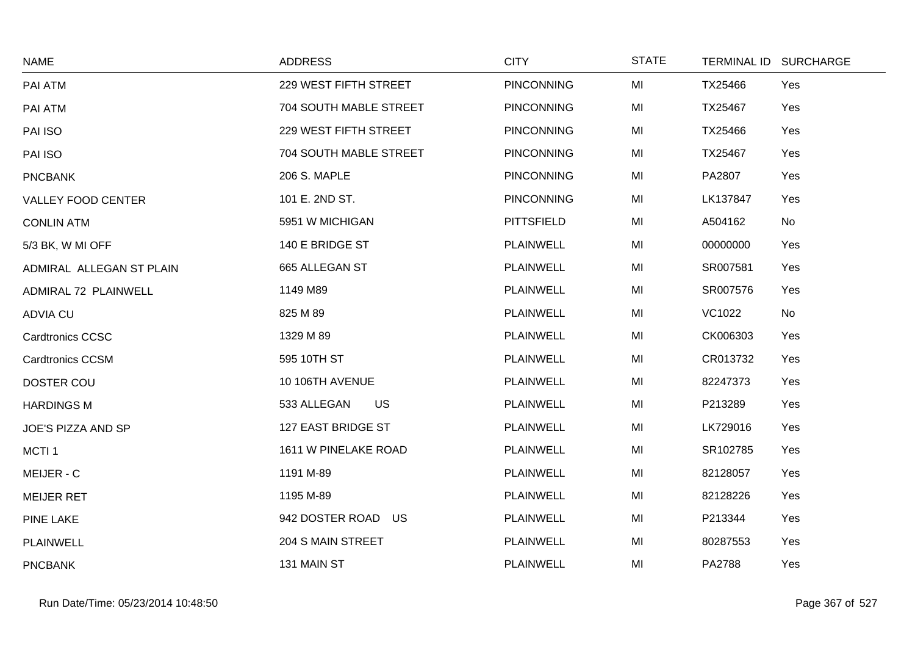| <b>NAME</b>              | <b>ADDRESS</b>           | <b>CITY</b>       | <b>STATE</b> |               | TERMINAL ID SURCHARGE |
|--------------------------|--------------------------|-------------------|--------------|---------------|-----------------------|
| PAI ATM                  | 229 WEST FIFTH STREET    | <b>PINCONNING</b> | MI           | TX25466       | Yes                   |
| PAI ATM                  | 704 SOUTH MABLE STREET   | PINCONNING        | MI           | TX25467       | Yes                   |
| PAI ISO                  | 229 WEST FIFTH STREET    | <b>PINCONNING</b> | MI           | TX25466       | Yes                   |
| PAI ISO                  | 704 SOUTH MABLE STREET   | <b>PINCONNING</b> | MI           | TX25467       | Yes                   |
| <b>PNCBANK</b>           | 206 S. MAPLE             | <b>PINCONNING</b> | MI           | PA2807        | Yes                   |
| VALLEY FOOD CENTER       | 101 E. 2ND ST.           | <b>PINCONNING</b> | MI           | LK137847      | Yes                   |
| <b>CONLIN ATM</b>        | 5951 W MICHIGAN          | <b>PITTSFIELD</b> | MI           | A504162       | No                    |
| 5/3 BK, W MI OFF         | 140 E BRIDGE ST          | <b>PLAINWELL</b>  | MI           | 00000000      | Yes                   |
| ADMIRAL ALLEGAN ST PLAIN | 665 ALLEGAN ST           | PLAINWELL         | MI           | SR007581      | Yes                   |
| ADMIRAL 72 PLAINWELL     | 1149 M89                 | <b>PLAINWELL</b>  | MI           | SR007576      | Yes                   |
| <b>ADVIA CU</b>          | 825 M 89                 | <b>PLAINWELL</b>  | MI           | <b>VC1022</b> | No                    |
| <b>Cardtronics CCSC</b>  | 1329 M 89                | PLAINWELL         | MI           | CK006303      | Yes                   |
| <b>Cardtronics CCSM</b>  | 595 10TH ST              | <b>PLAINWELL</b>  | MI           | CR013732      | Yes                   |
| <b>DOSTER COU</b>        | 10 106TH AVENUE          | <b>PLAINWELL</b>  | MI           | 82247373      | Yes                   |
| <b>HARDINGS M</b>        | 533 ALLEGAN<br><b>US</b> | <b>PLAINWELL</b>  | MI           | P213289       | Yes                   |
| JOE'S PIZZA AND SP       | 127 EAST BRIDGE ST       | <b>PLAINWELL</b>  | MI           | LK729016      | Yes                   |
| MCTI <sub>1</sub>        | 1611 W PINELAKE ROAD     | <b>PLAINWELL</b>  | MI           | SR102785      | Yes                   |
| MEIJER - C               | 1191 M-89                | PLAINWELL         | MI           | 82128057      | Yes                   |
| <b>MEIJER RET</b>        | 1195 M-89                | <b>PLAINWELL</b>  | MI           | 82128226      | Yes                   |
| <b>PINE LAKE</b>         | 942 DOSTER ROAD US       | <b>PLAINWELL</b>  | MI           | P213344       | Yes                   |
| <b>PLAINWELL</b>         | 204 S MAIN STREET        | <b>PLAINWELL</b>  | MI           | 80287553      | Yes                   |
| <b>PNCBANK</b>           | 131 MAIN ST              | <b>PLAINWELL</b>  | MI           | PA2788        | Yes                   |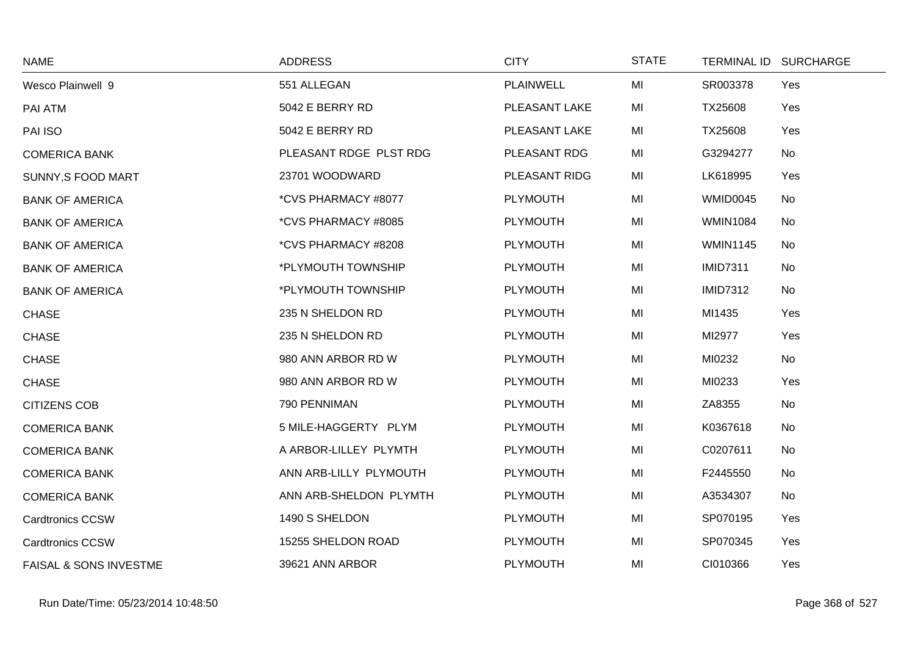| <b>NAME</b>                       | <b>ADDRESS</b>         | <b>CITY</b>      | <b>STATE</b> | <b>TERMINAL ID</b> | <b>SURCHARGE</b> |
|-----------------------------------|------------------------|------------------|--------------|--------------------|------------------|
| Wesco Plainwell 9                 | 551 ALLEGAN            | <b>PLAINWELL</b> | MI           | SR003378           | Yes              |
| PAI ATM                           | 5042 E BERRY RD        | PLEASANT LAKE    | MI           | TX25608            | Yes              |
| PAI ISO                           | 5042 E BERRY RD        | PLEASANT LAKE    | MI           | TX25608            | Yes              |
| <b>COMERICA BANK</b>              | PLEASANT RDGE PLST RDG | PLEASANT RDG     | MI           | G3294277           | No               |
| SUNNY, S FOOD MART                | 23701 WOODWARD         | PLEASANT RIDG    | MI           | LK618995           | Yes              |
| <b>BANK OF AMERICA</b>            | *CVS PHARMACY #8077    | <b>PLYMOUTH</b>  | MI           | WMID0045           | No               |
| <b>BANK OF AMERICA</b>            | *CVS PHARMACY #8085    | <b>PLYMOUTH</b>  | MI           | <b>WMIN1084</b>    | No               |
| <b>BANK OF AMERICA</b>            | *CVS PHARMACY #8208    | <b>PLYMOUTH</b>  | MI           | <b>WMIN1145</b>    | No               |
| <b>BANK OF AMERICA</b>            | *PLYMOUTH TOWNSHIP     | PLYMOUTH         | MI           | <b>IMID7311</b>    | No               |
| <b>BANK OF AMERICA</b>            | *PLYMOUTH TOWNSHIP     | <b>PLYMOUTH</b>  | MI           | <b>IMID7312</b>    | No               |
| <b>CHASE</b>                      | 235 N SHELDON RD       | <b>PLYMOUTH</b>  | MI           | MI1435             | Yes              |
| <b>CHASE</b>                      | 235 N SHELDON RD       | <b>PLYMOUTH</b>  | MI           | MI2977             | Yes              |
| <b>CHASE</b>                      | 980 ANN ARBOR RD W     | PLYMOUTH         | MI           | MI0232             | No               |
| <b>CHASE</b>                      | 980 ANN ARBOR RD W     | <b>PLYMOUTH</b>  | MI           | MI0233             | Yes              |
| <b>CITIZENS COB</b>               | 790 PENNIMAN           | <b>PLYMOUTH</b>  | MI           | ZA8355             | No               |
| <b>COMERICA BANK</b>              | 5 MILE-HAGGERTY PLYM   | <b>PLYMOUTH</b>  | MI           | K0367618           | No               |
| <b>COMERICA BANK</b>              | A ARBOR-LILLEY PLYMTH  | PLYMOUTH         | MI           | C0207611           | No               |
| <b>COMERICA BANK</b>              | ANN ARB-LILLY PLYMOUTH | <b>PLYMOUTH</b>  | MI           | F2445550           | No               |
| <b>COMERICA BANK</b>              | ANN ARB-SHELDON PLYMTH | <b>PLYMOUTH</b>  | MI           | A3534307           | No               |
| <b>Cardtronics CCSW</b>           | 1490 S SHELDON         | <b>PLYMOUTH</b>  | MI           | SP070195           | Yes              |
| <b>Cardtronics CCSW</b>           | 15255 SHELDON ROAD     | <b>PLYMOUTH</b>  | MI           | SP070345           | Yes              |
| <b>FAISAL &amp; SONS INVESTME</b> | 39621 ANN ARBOR        | <b>PLYMOUTH</b>  | MI           | CI010366           | Yes              |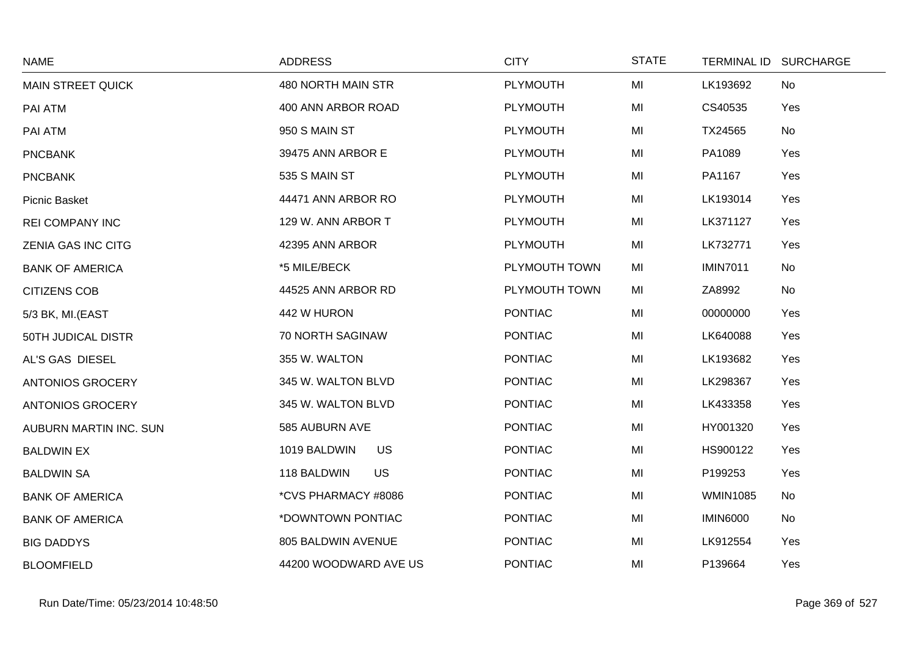| <b>NAME</b>              | <b>ADDRESS</b>            | <b>CITY</b>     | <b>STATE</b> | TERMINAL ID SURCHARGE |
|--------------------------|---------------------------|-----------------|--------------|-----------------------|
| <b>MAIN STREET QUICK</b> | 480 NORTH MAIN STR        | <b>PLYMOUTH</b> | MI           | LK193692<br>No        |
| PAI ATM                  | 400 ANN ARBOR ROAD        | <b>PLYMOUTH</b> | MI           | CS40535<br>Yes        |
| PAI ATM                  | 950 S MAIN ST             | <b>PLYMOUTH</b> | MI           | TX24565<br>No         |
| <b>PNCBANK</b>           | 39475 ANN ARBOR E         | <b>PLYMOUTH</b> | MI           | PA1089<br>Yes         |
| <b>PNCBANK</b>           | 535 S MAIN ST             | <b>PLYMOUTH</b> | MI           | PA1167<br>Yes         |
| Picnic Basket            | 44471 ANN ARBOR RO        | PLYMOUTH        | MI           | LK193014<br>Yes       |
| <b>REI COMPANY INC</b>   | 129 W. ANN ARBOR T        | <b>PLYMOUTH</b> | MI           | LK371127<br>Yes       |
| ZENIA GAS INC CITG       | 42395 ANN ARBOR           | <b>PLYMOUTH</b> | MI           | LK732771<br>Yes       |
| <b>BANK OF AMERICA</b>   | *5 MILE/BECK              | PLYMOUTH TOWN   | MI           | <b>IMIN7011</b><br>No |
| <b>CITIZENS COB</b>      | 44525 ANN ARBOR RD        | PLYMOUTH TOWN   | MI           | ZA8992<br>No          |
| 5/3 BK, MI.(EAST         | 442 W HURON               | <b>PONTIAC</b>  | MI           | 00000000<br>Yes       |
| 50TH JUDICAL DISTR       | 70 NORTH SAGINAW          | <b>PONTIAC</b>  | MI           | LK640088<br>Yes       |
| AL'S GAS DIESEL          | 355 W. WALTON             | <b>PONTIAC</b>  | MI           | LK193682<br>Yes       |
| ANTONIOS GROCERY         | 345 W. WALTON BLVD        | <b>PONTIAC</b>  | MI           | LK298367<br>Yes       |
| <b>ANTONIOS GROCERY</b>  | 345 W. WALTON BLVD        | <b>PONTIAC</b>  | MI           | LK433358<br>Yes       |
| AUBURN MARTIN INC. SUN   | 585 AUBURN AVE            | <b>PONTIAC</b>  | MI           | HY001320<br>Yes       |
| <b>BALDWIN EX</b>        | 1019 BALDWIN<br><b>US</b> | <b>PONTIAC</b>  | MI           | HS900122<br>Yes       |
| <b>BALDWIN SA</b>        | 118 BALDWIN<br><b>US</b>  | <b>PONTIAC</b>  | MI           | P199253<br>Yes        |
| <b>BANK OF AMERICA</b>   | *CVS PHARMACY #8086       | <b>PONTIAC</b>  | MI           | <b>WMIN1085</b><br>No |
| <b>BANK OF AMERICA</b>   | *DOWNTOWN PONTIAC         | <b>PONTIAC</b>  | MI           | <b>IMIN6000</b><br>No |
| <b>BIG DADDYS</b>        | 805 BALDWIN AVENUE        | <b>PONTIAC</b>  | MI           | LK912554<br>Yes       |
| <b>BLOOMFIELD</b>        | 44200 WOODWARD AVE US     | <b>PONTIAC</b>  | MI           | P139664<br>Yes        |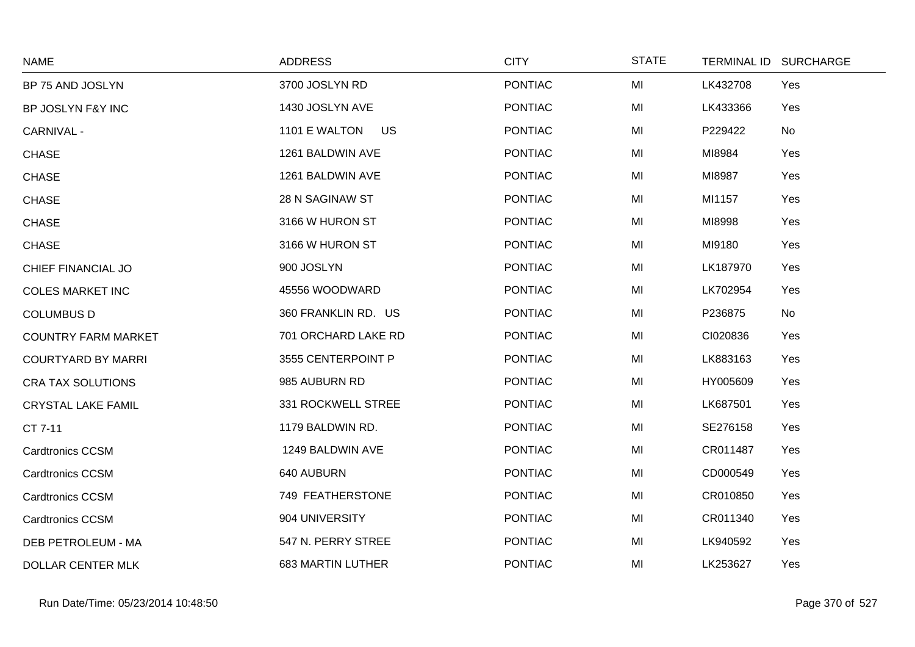| <b>NAME</b>                | <b>ADDRESS</b>           | <b>CITY</b>    | <b>STATE</b> | <b>TERMINAL ID</b> | <b>SURCHARGE</b> |
|----------------------------|--------------------------|----------------|--------------|--------------------|------------------|
| BP 75 AND JOSLYN           | 3700 JOSLYN RD           | <b>PONTIAC</b> | MI           | LK432708           | Yes              |
| BP JOSLYN F&Y INC          | 1430 JOSLYN AVE          | <b>PONTIAC</b> | MI           | LK433366           | Yes              |
| <b>CARNIVAL -</b>          | 1101 E WALTON<br>US      | <b>PONTIAC</b> | MI           | P229422            | No               |
| <b>CHASE</b>               | 1261 BALDWIN AVE         | <b>PONTIAC</b> | MI           | MI8984             | Yes              |
| <b>CHASE</b>               | 1261 BALDWIN AVE         | <b>PONTIAC</b> | MI           | MI8987             | Yes              |
| <b>CHASE</b>               | 28 N SAGINAW ST          | <b>PONTIAC</b> | MI           | MI1157             | Yes              |
| <b>CHASE</b>               | 3166 W HURON ST          | <b>PONTIAC</b> | MI           | MI8998             | Yes              |
| <b>CHASE</b>               | 3166 W HURON ST          | <b>PONTIAC</b> | MI           | MI9180             | Yes              |
| CHIEF FINANCIAL JO         | 900 JOSLYN               | <b>PONTIAC</b> | MI           | LK187970           | Yes              |
| <b>COLES MARKET INC</b>    | 45556 WOODWARD           | <b>PONTIAC</b> | MI           | LK702954           | Yes              |
| <b>COLUMBUS D</b>          | 360 FRANKLIN RD. US      | <b>PONTIAC</b> | MI           | P236875            | No               |
| <b>COUNTRY FARM MARKET</b> | 701 ORCHARD LAKE RD      | <b>PONTIAC</b> | MI           | CI020836           | Yes              |
| <b>COURTYARD BY MARRI</b>  | 3555 CENTERPOINT P       | <b>PONTIAC</b> | MI           | LK883163           | Yes              |
| <b>CRA TAX SOLUTIONS</b>   | 985 AUBURN RD            | <b>PONTIAC</b> | MI           | HY005609           | Yes              |
| <b>CRYSTAL LAKE FAMIL</b>  | 331 ROCKWELL STREE       | <b>PONTIAC</b> | MI           | LK687501           | Yes              |
| CT 7-11                    | 1179 BALDWIN RD.         | <b>PONTIAC</b> | MI           | SE276158           | Yes              |
| <b>Cardtronics CCSM</b>    | 1249 BALDWIN AVE         | <b>PONTIAC</b> | MI           | CR011487           | Yes              |
| <b>Cardtronics CCSM</b>    | 640 AUBURN               | <b>PONTIAC</b> | MI           | CD000549           | Yes              |
| <b>Cardtronics CCSM</b>    | 749 FEATHERSTONE         | <b>PONTIAC</b> | MI           | CR010850           | Yes              |
| <b>Cardtronics CCSM</b>    | 904 UNIVERSITY           | <b>PONTIAC</b> | MI           | CR011340           | Yes              |
| DEB PETROLEUM - MA         | 547 N. PERRY STREE       | <b>PONTIAC</b> | MI           | LK940592           | Yes              |
| <b>DOLLAR CENTER MLK</b>   | <b>683 MARTIN LUTHER</b> | <b>PONTIAC</b> | MI           | LK253627           | Yes              |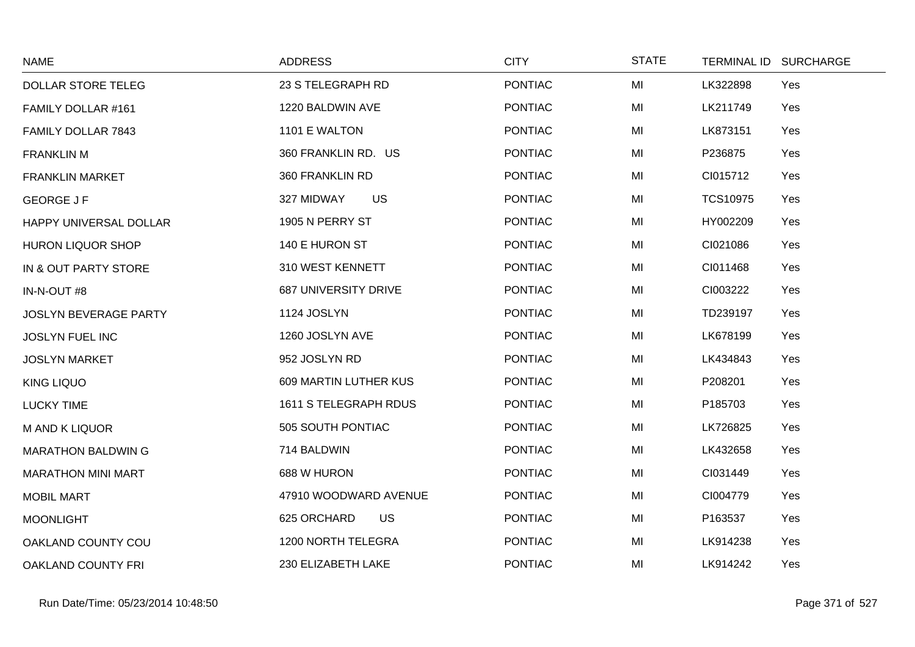| <b>NAME</b>                  | <b>ADDRESS</b>               | <b>CITY</b>    | <b>STATE</b> | TERMINAL ID SURCHARGE  |  |
|------------------------------|------------------------------|----------------|--------------|------------------------|--|
| <b>DOLLAR STORE TELEG</b>    | 23 S TELEGRAPH RD            | <b>PONTIAC</b> | MI           | LK322898<br>Yes        |  |
| FAMILY DOLLAR #161           | 1220 BALDWIN AVE             | <b>PONTIAC</b> | MI           | LK211749<br>Yes        |  |
| FAMILY DOLLAR 7843           | 1101 E WALTON                | <b>PONTIAC</b> | MI           | LK873151<br>Yes        |  |
| <b>FRANKLIN M</b>            | 360 FRANKLIN RD. US          | <b>PONTIAC</b> | MI           | P236875<br>Yes         |  |
| <b>FRANKLIN MARKET</b>       | 360 FRANKLIN RD              | <b>PONTIAC</b> | MI           | CI015712<br>Yes        |  |
| <b>GEORGE J F</b>            | <b>US</b><br>327 MIDWAY      | <b>PONTIAC</b> | MI           | <b>TCS10975</b><br>Yes |  |
| HAPPY UNIVERSAL DOLLAR       | 1905 N PERRY ST              | <b>PONTIAC</b> | MI           | HY002209<br>Yes        |  |
| <b>HURON LIQUOR SHOP</b>     | 140 E HURON ST               | <b>PONTIAC</b> | MI           | CI021086<br>Yes        |  |
| IN & OUT PARTY STORE         | 310 WEST KENNETT             | <b>PONTIAC</b> | MI           | CI011468<br>Yes        |  |
| IN-N-OUT #8                  | <b>687 UNIVERSITY DRIVE</b>  | <b>PONTIAC</b> | MI           | CI003222<br>Yes        |  |
| <b>JOSLYN BEVERAGE PARTY</b> | 1124 JOSLYN                  | <b>PONTIAC</b> | MI           | TD239197<br>Yes        |  |
| <b>JOSLYN FUEL INC</b>       | 1260 JOSLYN AVE              | <b>PONTIAC</b> | MI           | LK678199<br>Yes        |  |
| <b>JOSLYN MARKET</b>         | 952 JOSLYN RD                | <b>PONTIAC</b> | MI           | Yes<br>LK434843        |  |
| <b>KING LIQUO</b>            | <b>609 MARTIN LUTHER KUS</b> | <b>PONTIAC</b> | MI           | Yes<br>P208201         |  |
| <b>LUCKY TIME</b>            | 1611 S TELEGRAPH RDUS        | <b>PONTIAC</b> | MI           | P185703<br>Yes         |  |
| <b>MAND K LIQUOR</b>         | 505 SOUTH PONTIAC            | <b>PONTIAC</b> | MI           | LK726825<br>Yes        |  |
| <b>MARATHON BALDWING</b>     | 714 BALDWIN                  | <b>PONTIAC</b> | MI           | Yes<br>LK432658        |  |
| <b>MARATHON MINI MART</b>    | 688 W HURON                  | <b>PONTIAC</b> | MI           | CI031449<br>Yes        |  |
| <b>MOBIL MART</b>            | 47910 WOODWARD AVENUE        | <b>PONTIAC</b> | MI           | CI004779<br>Yes        |  |
| <b>MOONLIGHT</b>             | <b>US</b><br>625 ORCHARD     | <b>PONTIAC</b> | MI           | P163537<br>Yes         |  |
| OAKLAND COUNTY COU           | 1200 NORTH TELEGRA           | <b>PONTIAC</b> | MI           | Yes<br>LK914238        |  |
| <b>OAKLAND COUNTY FRI</b>    | 230 ELIZABETH LAKE           | <b>PONTIAC</b> | MI           | LK914242<br>Yes        |  |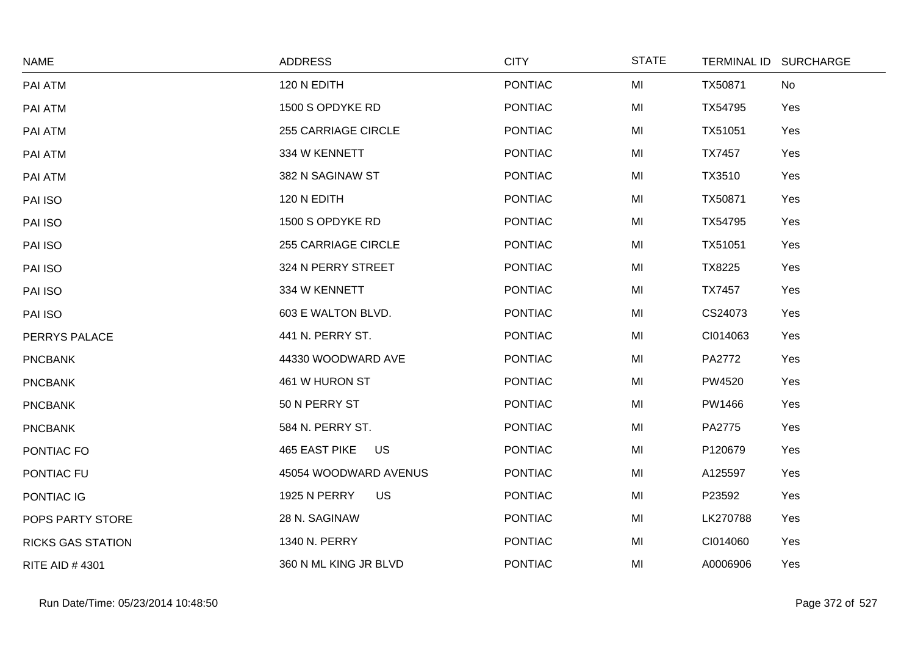| <b>NAME</b>              | <b>ADDRESS</b>                   | <b>CITY</b>    | <b>STATE</b> |               | TERMINAL ID SURCHARGE |
|--------------------------|----------------------------------|----------------|--------------|---------------|-----------------------|
| PAI ATM                  | 120 N EDITH                      | <b>PONTIAC</b> | MI           | TX50871       | No                    |
| PAI ATM                  | 1500 S OPDYKE RD                 | <b>PONTIAC</b> | MI           | TX54795       | Yes                   |
| PAI ATM                  | <b>255 CARRIAGE CIRCLE</b>       | <b>PONTIAC</b> | MI           | TX51051       | Yes                   |
| PAI ATM                  | 334 W KENNETT                    | <b>PONTIAC</b> | MI           | <b>TX7457</b> | Yes                   |
| PAI ATM                  | 382 N SAGINAW ST                 | <b>PONTIAC</b> | MI           | TX3510        | Yes                   |
| PAI ISO                  | 120 N EDITH                      | <b>PONTIAC</b> | MI           | TX50871       | Yes                   |
| PAI ISO                  | 1500 S OPDYKE RD                 | <b>PONTIAC</b> | MI           | TX54795       | Yes                   |
| PAI ISO                  | <b>255 CARRIAGE CIRCLE</b>       | <b>PONTIAC</b> | MI           | TX51051       | Yes                   |
| PAI ISO                  | 324 N PERRY STREET               | <b>PONTIAC</b> | MI           | TX8225        | Yes                   |
| PAI ISO                  | 334 W KENNETT                    | <b>PONTIAC</b> | MI           | <b>TX7457</b> | Yes                   |
| PAI ISO                  | 603 E WALTON BLVD.               | <b>PONTIAC</b> | MI           | CS24073       | Yes                   |
| PERRYS PALACE            | 441 N. PERRY ST.                 | <b>PONTIAC</b> | MI           | CI014063      | Yes                   |
| <b>PNCBANK</b>           | 44330 WOODWARD AVE               | <b>PONTIAC</b> | MI           | PA2772        | Yes                   |
| <b>PNCBANK</b>           | 461 W HURON ST                   | <b>PONTIAC</b> | MI           | PW4520        | Yes                   |
| <b>PNCBANK</b>           | 50 N PERRY ST                    | <b>PONTIAC</b> | MI           | PW1466        | Yes                   |
| <b>PNCBANK</b>           | 584 N. PERRY ST.                 | <b>PONTIAC</b> | MI           | PA2775        | Yes                   |
| PONTIAC FO               | <b>465 EAST PIKE</b><br>US       | <b>PONTIAC</b> | MI           | P120679       | Yes                   |
| PONTIAC FU               | 45054 WOODWARD AVENUS            | <b>PONTIAC</b> | MI           | A125597       | Yes                   |
| PONTIAC IG               | <b>1925 N PERRY</b><br><b>US</b> | PONTIAC        | MI           | P23592        | Yes                   |
| POPS PARTY STORE         | 28 N. SAGINAW                    | <b>PONTIAC</b> | MI           | LK270788      | Yes                   |
| <b>RICKS GAS STATION</b> | 1340 N. PERRY                    | <b>PONTIAC</b> | MI           | CI014060      | Yes                   |
| <b>RITE AID #4301</b>    | 360 N ML KING JR BLVD            | <b>PONTIAC</b> | MI           | A0006906      | Yes                   |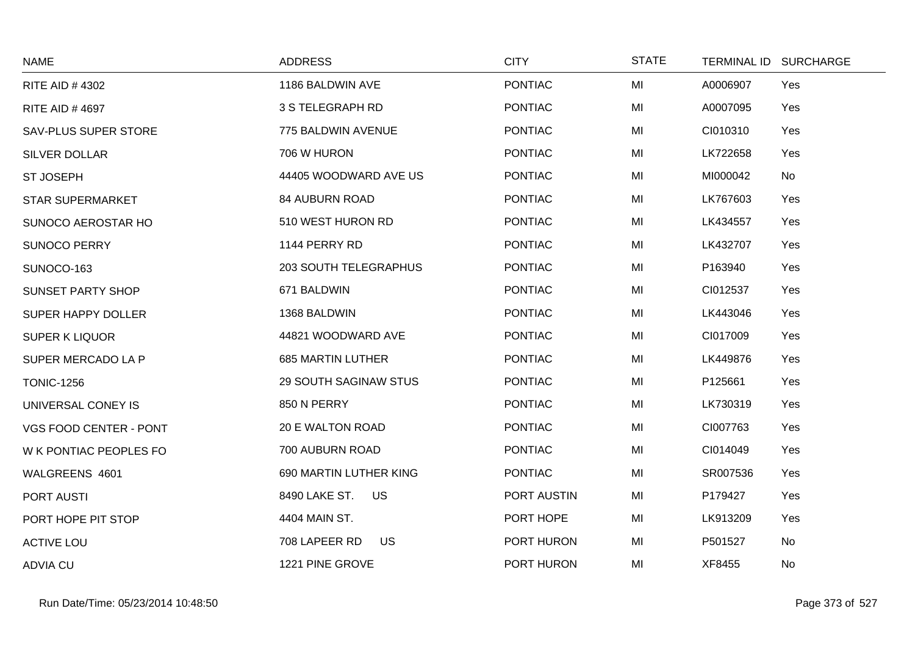| <b>NAME</b>                 | <b>ADDRESS</b>               | <b>CITY</b>    | <b>STATE</b> | TERMINAL ID SURCHARGE |     |
|-----------------------------|------------------------------|----------------|--------------|-----------------------|-----|
| <b>RITE AID #4302</b>       | 1186 BALDWIN AVE             | <b>PONTIAC</b> | MI           | A0006907              | Yes |
| <b>RITE AID #4697</b>       | 3 S TELEGRAPH RD             | <b>PONTIAC</b> | MI           | A0007095              | Yes |
| <b>SAV-PLUS SUPER STORE</b> | 775 BALDWIN AVENUE           | <b>PONTIAC</b> | MI           | CI010310              | Yes |
| <b>SILVER DOLLAR</b>        | 706 W HURON                  | <b>PONTIAC</b> | MI           | LK722658              | Yes |
| <b>ST JOSEPH</b>            | 44405 WOODWARD AVE US        | <b>PONTIAC</b> | MI           | MI000042              | No  |
| <b>STAR SUPERMARKET</b>     | <b>84 AUBURN ROAD</b>        | <b>PONTIAC</b> | MI           | LK767603              | Yes |
| SUNOCO AEROSTAR HO          | 510 WEST HURON RD            | <b>PONTIAC</b> | MI           | LK434557              | Yes |
| <b>SUNOCO PERRY</b>         | 1144 PERRY RD                | <b>PONTIAC</b> | MI           | LK432707              | Yes |
| SUNOCO-163                  | <b>203 SOUTH TELEGRAPHUS</b> | <b>PONTIAC</b> | MI           | P163940               | Yes |
| <b>SUNSET PARTY SHOP</b>    | 671 BALDWIN                  | <b>PONTIAC</b> | MI           | CI012537              | Yes |
| SUPER HAPPY DOLLER          | 1368 BALDWIN                 | <b>PONTIAC</b> | MI           | LK443046              | Yes |
| <b>SUPER K LIQUOR</b>       | 44821 WOODWARD AVE           | <b>PONTIAC</b> | MI           | CI017009              | Yes |
| SUPER MERCADO LA P          | <b>685 MARTIN LUTHER</b>     | <b>PONTIAC</b> | MI           | LK449876              | Yes |
| <b>TONIC-1256</b>           | <b>29 SOUTH SAGINAW STUS</b> | <b>PONTIAC</b> | MI           | P125661               | Yes |
| UNIVERSAL CONEY IS          | 850 N PERRY                  | <b>PONTIAC</b> | MI           | LK730319              | Yes |
| VGS FOOD CENTER - PONT      | 20 E WALTON ROAD             | <b>PONTIAC</b> | MI           | CI007763              | Yes |
| W K PONTIAC PEOPLES FO      | 700 AUBURN ROAD              | <b>PONTIAC</b> | MI           | CI014049              | Yes |
| WALGREENS 4601              | 690 MARTIN LUTHER KING       | <b>PONTIAC</b> | MI           | SR007536              | Yes |
| PORT AUSTI                  | 8490 LAKE ST.<br>US          | PORT AUSTIN    | MI           | P179427               | Yes |
| PORT HOPE PIT STOP          | 4404 MAIN ST.                | PORT HOPE      | MI           | LK913209              | Yes |
| <b>ACTIVE LOU</b>           | 708 LAPEER RD<br>US          | PORT HURON     | MI           | P501527               | No  |
| <b>ADVIA CU</b>             | 1221 PINE GROVE              | PORT HURON     | MI           | XF8455                | No  |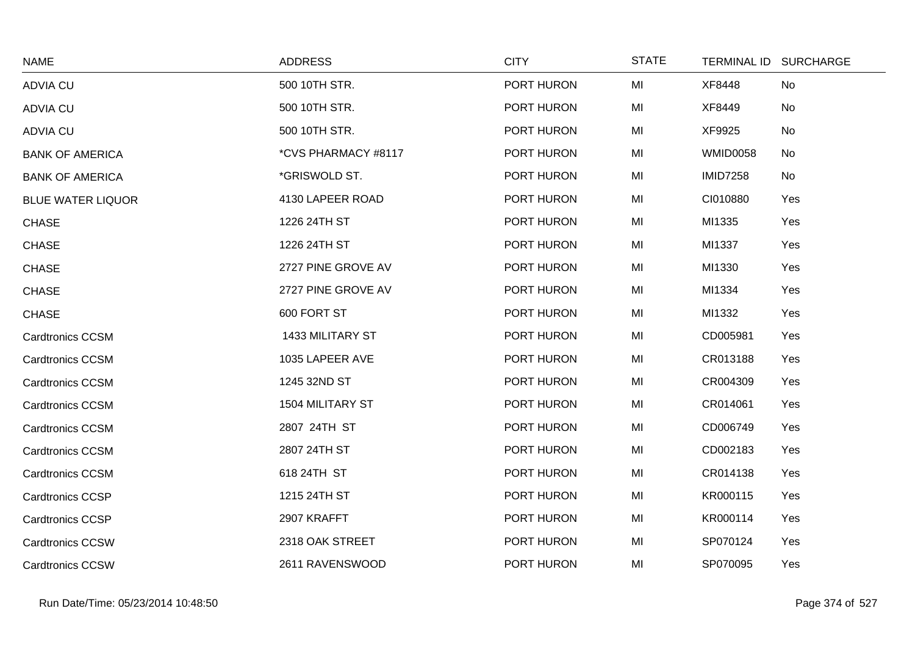| <b>NAME</b>              | <b>ADDRESS</b>      | <b>CITY</b> | <b>STATE</b> |                 | TERMINAL ID SURCHARGE |
|--------------------------|---------------------|-------------|--------------|-----------------|-----------------------|
| <b>ADVIA CU</b>          | 500 10TH STR.       | PORT HURON  | MI           | XF8448          | No                    |
| <b>ADVIA CU</b>          | 500 10TH STR.       | PORT HURON  | MI           | XF8449          | No                    |
| <b>ADVIA CU</b>          | 500 10TH STR.       | PORT HURON  | MI           | XF9925          | No                    |
| <b>BANK OF AMERICA</b>   | *CVS PHARMACY #8117 | PORT HURON  | MI           | <b>WMID0058</b> | No                    |
| <b>BANK OF AMERICA</b>   | *GRISWOLD ST.       | PORT HURON  | MI           | <b>IMID7258</b> | No                    |
| <b>BLUE WATER LIQUOR</b> | 4130 LAPEER ROAD    | PORT HURON  | MI           | CI010880        | Yes                   |
| <b>CHASE</b>             | 1226 24TH ST        | PORT HURON  | MI           | MI1335          | Yes                   |
| <b>CHASE</b>             | 1226 24TH ST        | PORT HURON  | MI           | MI1337          | Yes                   |
| <b>CHASE</b>             | 2727 PINE GROVE AV  | PORT HURON  | MI           | MI1330          | Yes                   |
| <b>CHASE</b>             | 2727 PINE GROVE AV  | PORT HURON  | MI           | MI1334          | Yes                   |
| <b>CHASE</b>             | 600 FORT ST         | PORT HURON  | MI           | MI1332          | Yes                   |
| <b>Cardtronics CCSM</b>  | 1433 MILITARY ST    | PORT HURON  | MI           | CD005981        | Yes                   |
| <b>Cardtronics CCSM</b>  | 1035 LAPEER AVE     | PORT HURON  | MI           | CR013188        | Yes                   |
| <b>Cardtronics CCSM</b>  | 1245 32ND ST        | PORT HURON  | MI           | CR004309        | Yes                   |
| <b>Cardtronics CCSM</b>  | 1504 MILITARY ST    | PORT HURON  | MI           | CR014061        | Yes                   |
| <b>Cardtronics CCSM</b>  | 2807 24TH ST        | PORT HURON  | MI           | CD006749        | Yes                   |
| <b>Cardtronics CCSM</b>  | 2807 24TH ST        | PORT HURON  | MI           | CD002183        | Yes                   |
| <b>Cardtronics CCSM</b>  | 618 24TH ST         | PORT HURON  | MI           | CR014138        | Yes                   |
| <b>Cardtronics CCSP</b>  | 1215 24TH ST        | PORT HURON  | MI           | KR000115        | Yes                   |
| <b>Cardtronics CCSP</b>  | 2907 KRAFFT         | PORT HURON  | MI           | KR000114        | Yes                   |
| <b>Cardtronics CCSW</b>  | 2318 OAK STREET     | PORT HURON  | MI           | SP070124        | Yes                   |
| <b>Cardtronics CCSW</b>  | 2611 RAVENSWOOD     | PORT HURON  | MI           | SP070095        | Yes                   |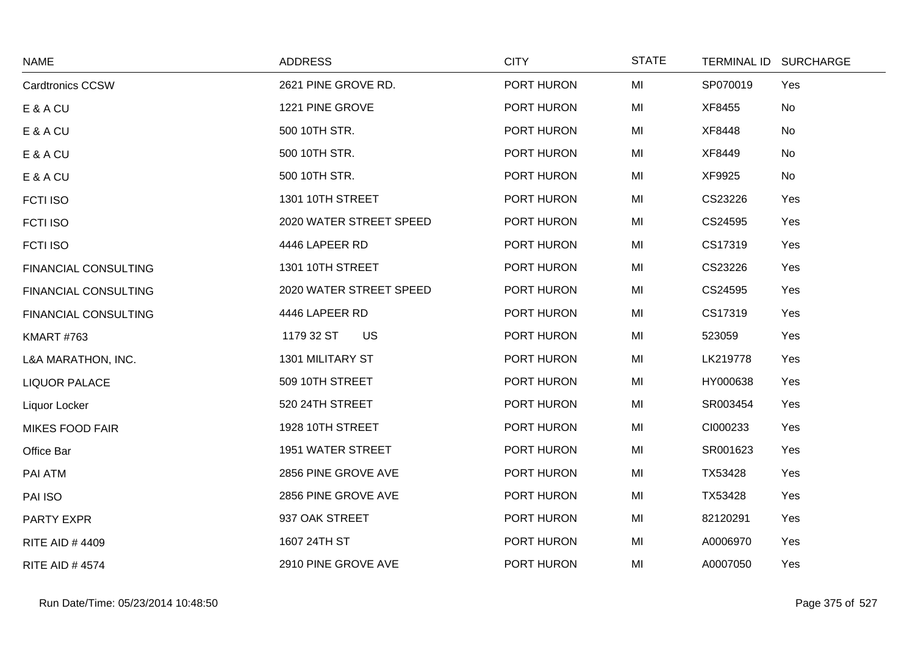| <b>NAME</b>                 | <b>ADDRESS</b>           | <b>CITY</b> | <b>STATE</b> |          | TERMINAL ID SURCHARGE |
|-----------------------------|--------------------------|-------------|--------------|----------|-----------------------|
| <b>Cardtronics CCSW</b>     | 2621 PINE GROVE RD.      | PORT HURON  | MI           | SP070019 | Yes                   |
| E & A CU                    | 1221 PINE GROVE          | PORT HURON  | MI           | XF8455   | No                    |
| E & A CU                    | 500 10TH STR.            | PORT HURON  | MI           | XF8448   | No                    |
| E & A CU                    | 500 10TH STR.            | PORT HURON  | MI           | XF8449   | No                    |
| E & A CU                    | 500 10TH STR.            | PORT HURON  | MI           | XF9925   | No                    |
| <b>FCTI ISO</b>             | 1301 10TH STREET         | PORT HURON  | MI           | CS23226  | Yes                   |
| <b>FCTI ISO</b>             | 2020 WATER STREET SPEED  | PORT HURON  | MI           | CS24595  | Yes                   |
| <b>FCTI ISO</b>             | 4446 LAPEER RD           | PORT HURON  | MI           | CS17319  | Yes                   |
| <b>FINANCIAL CONSULTING</b> | <b>1301 10TH STREET</b>  | PORT HURON  | MI           | CS23226  | Yes                   |
| <b>FINANCIAL CONSULTING</b> | 2020 WATER STREET SPEED  | PORT HURON  | MI           | CS24595  | Yes                   |
| <b>FINANCIAL CONSULTING</b> | 4446 LAPEER RD           | PORT HURON  | MI           | CS17319  | Yes                   |
| <b>KMART #763</b>           | 1179 32 ST<br>US         | PORT HURON  | MI           | 523059   | Yes                   |
| L&A MARATHON, INC.          | 1301 MILITARY ST         | PORT HURON  | MI           | LK219778 | Yes                   |
| <b>LIQUOR PALACE</b>        | 509 10TH STREET          | PORT HURON  | MI           | HY000638 | Yes                   |
| Liquor Locker               | 520 24TH STREET          | PORT HURON  | MI           | SR003454 | Yes                   |
| <b>MIKES FOOD FAIR</b>      | 1928 10TH STREET         | PORT HURON  | MI           | CI000233 | Yes                   |
| Office Bar                  | <b>1951 WATER STREET</b> | PORT HURON  | MI           | SR001623 | Yes                   |
| <b>PAI ATM</b>              | 2856 PINE GROVE AVE      | PORT HURON  | MI           | TX53428  | Yes                   |
| PAI ISO                     | 2856 PINE GROVE AVE      | PORT HURON  | MI           | TX53428  | Yes                   |
| PARTY EXPR                  | 937 OAK STREET           | PORT HURON  | MI           | 82120291 | Yes                   |
| <b>RITE AID #4409</b>       | 1607 24TH ST             | PORT HURON  | MI           | A0006970 | Yes                   |
| <b>RITE AID #4574</b>       | 2910 PINE GROVE AVE      | PORT HURON  | MI           | A0007050 | Yes                   |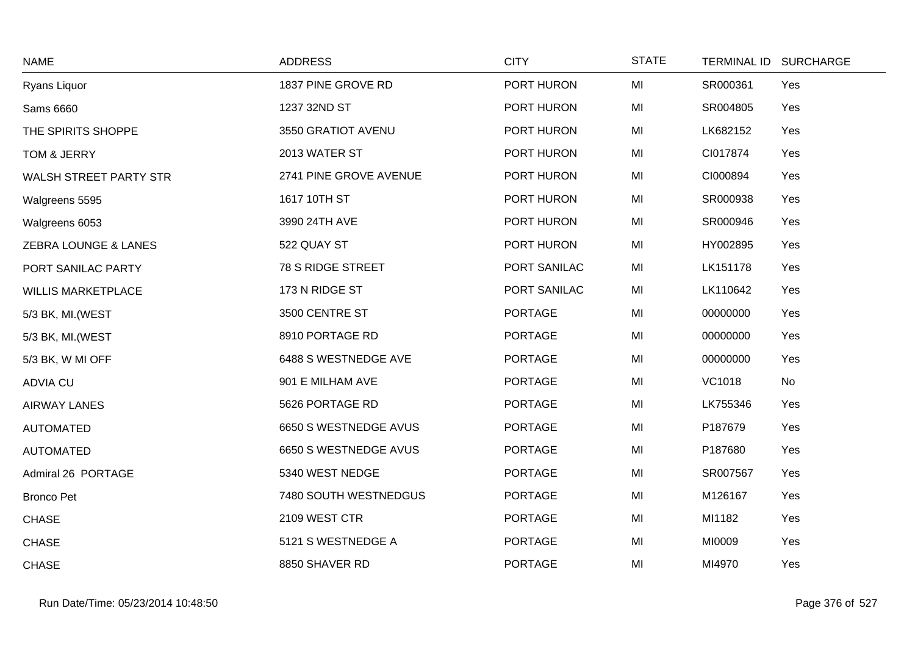| <b>NAME</b>                   | <b>ADDRESS</b>         | <b>CITY</b>    | <b>STATE</b> | <b>TERMINAL ID</b> | <b>SURCHARGE</b> |
|-------------------------------|------------------------|----------------|--------------|--------------------|------------------|
| Ryans Liquor                  | 1837 PINE GROVE RD     | PORT HURON     | MI           | SR000361           | Yes              |
| Sams 6660                     | 1237 32ND ST           | PORT HURON     | MI           | SR004805           | Yes              |
| THE SPIRITS SHOPPE            | 3550 GRATIOT AVENU     | PORT HURON     | MI           | LK682152           | Yes              |
| TOM & JERRY                   | 2013 WATER ST          | PORT HURON     | MI           | CI017874           | Yes              |
| <b>WALSH STREET PARTY STR</b> | 2741 PINE GROVE AVENUE | PORT HURON     | MI           | CI000894           | Yes              |
| Walgreens 5595                | 1617 10TH ST           | PORT HURON     | MI           | SR000938           | Yes              |
| Walgreens 6053                | 3990 24TH AVE          | PORT HURON     | MI           | SR000946           | Yes              |
| ZEBRA LOUNGE & LANES          | 522 QUAY ST            | PORT HURON     | MI           | HY002895           | Yes              |
| PORT SANILAC PARTY            | 78 S RIDGE STREET      | PORT SANILAC   | MI           | LK151178           | Yes              |
| <b>WILLIS MARKETPLACE</b>     | 173 N RIDGE ST         | PORT SANILAC   | MI           | LK110642           | Yes              |
| 5/3 BK, MI. (WEST             | 3500 CENTRE ST         | <b>PORTAGE</b> | MI           | 00000000           | Yes              |
| 5/3 BK, MI.(WEST              | 8910 PORTAGE RD        | <b>PORTAGE</b> | MI           | 00000000           | Yes              |
| 5/3 BK, W MI OFF              | 6488 S WESTNEDGE AVE   | <b>PORTAGE</b> | MI           | 00000000           | Yes              |
| <b>ADVIA CU</b>               | 901 E MILHAM AVE       | <b>PORTAGE</b> | MI           | <b>VC1018</b>      | No               |
| <b>AIRWAY LANES</b>           | 5626 PORTAGE RD        | <b>PORTAGE</b> | MI           | LK755346           | Yes              |
| <b>AUTOMATED</b>              | 6650 S WESTNEDGE AVUS  | <b>PORTAGE</b> | MI           | P187679            | Yes              |
| <b>AUTOMATED</b>              | 6650 S WESTNEDGE AVUS  | <b>PORTAGE</b> | MI           | P187680            | Yes              |
| Admiral 26 PORTAGE            | 5340 WEST NEDGE        | <b>PORTAGE</b> | MI           | SR007567           | Yes              |
| <b>Bronco Pet</b>             | 7480 SOUTH WESTNEDGUS  | <b>PORTAGE</b> | MI           | M126167            | Yes              |
| <b>CHASE</b>                  | 2109 WEST CTR          | <b>PORTAGE</b> | MI           | MI1182             | Yes              |
| <b>CHASE</b>                  | 5121 S WESTNEDGE A     | <b>PORTAGE</b> | MI           | MI0009             | Yes              |
| <b>CHASE</b>                  | 8850 SHAVER RD         | <b>PORTAGE</b> | MI           | MI4970             | Yes              |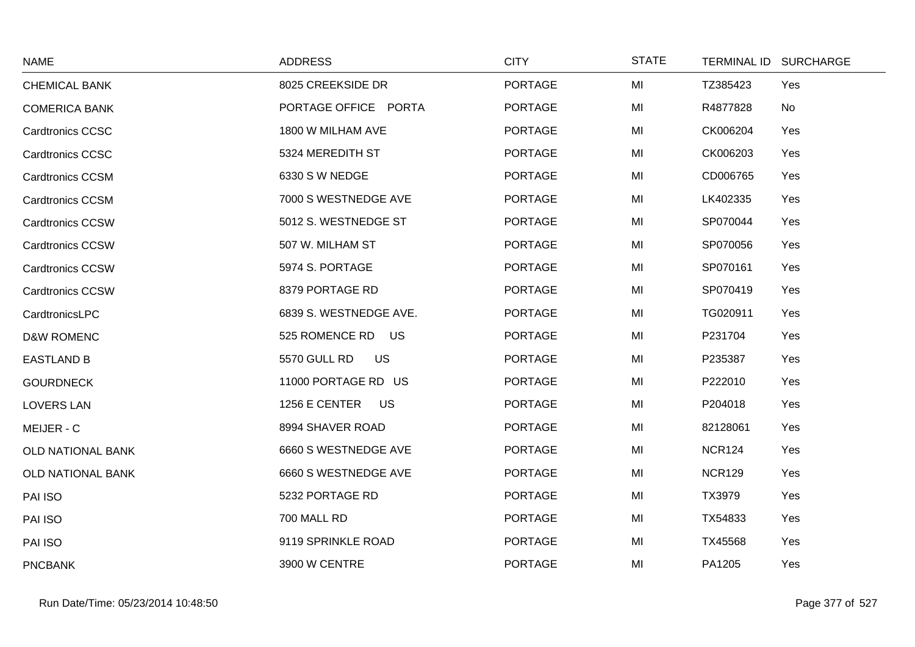| <b>NAME</b>             | <b>ADDRESS</b>            | <b>CITY</b>    | <b>STATE</b> | <b>TERMINAL ID</b> | <b>SURCHARGE</b> |
|-------------------------|---------------------------|----------------|--------------|--------------------|------------------|
| <b>CHEMICAL BANK</b>    | 8025 CREEKSIDE DR         | <b>PORTAGE</b> | MI           | TZ385423           | Yes              |
| <b>COMERICA BANK</b>    | PORTAGE OFFICE PORTA      | <b>PORTAGE</b> | MI           | R4877828           | No               |
| <b>Cardtronics CCSC</b> | 1800 W MILHAM AVE         | <b>PORTAGE</b> | MI           | CK006204           | Yes              |
| <b>Cardtronics CCSC</b> | 5324 MEREDITH ST          | <b>PORTAGE</b> | MI           | CK006203           | Yes              |
| <b>Cardtronics CCSM</b> | 6330 S W NEDGE            | <b>PORTAGE</b> | MI           | CD006765           | Yes              |
| <b>Cardtronics CCSM</b> | 7000 S WESTNEDGE AVE      | <b>PORTAGE</b> | MI           | LK402335           | Yes              |
| <b>Cardtronics CCSW</b> | 5012 S. WESTNEDGE ST      | <b>PORTAGE</b> | MI           | SP070044           | Yes              |
| <b>Cardtronics CCSW</b> | 507 W. MILHAM ST          | <b>PORTAGE</b> | MI           | SP070056           | Yes              |
| <b>Cardtronics CCSW</b> | 5974 S. PORTAGE           | <b>PORTAGE</b> | MI           | SP070161           | Yes              |
| <b>Cardtronics CCSW</b> | 8379 PORTAGE RD           | <b>PORTAGE</b> | MI           | SP070419           | Yes              |
| CardtronicsLPC          | 6839 S. WESTNEDGE AVE.    | <b>PORTAGE</b> | MI           | TG020911           | Yes              |
| <b>D&amp;W ROMENC</b>   | 525 ROMENCE RD<br>US      | <b>PORTAGE</b> | MI           | P231704            | Yes              |
| <b>EASTLAND B</b>       | 5570 GULL RD<br><b>US</b> | <b>PORTAGE</b> | MI           | P235387            | Yes              |
| <b>GOURDNECK</b>        | 11000 PORTAGE RD US       | <b>PORTAGE</b> | MI           | P222010            | Yes              |
| <b>LOVERS LAN</b>       | 1256 E CENTER<br>US       | <b>PORTAGE</b> | MI           | P204018            | Yes              |
| MEIJER - C              | 8994 SHAVER ROAD          | <b>PORTAGE</b> | MI           | 82128061           | Yes              |
| OLD NATIONAL BANK       | 6660 S WESTNEDGE AVE      | <b>PORTAGE</b> | MI           | <b>NCR124</b>      | Yes              |
| OLD NATIONAL BANK       | 6660 S WESTNEDGE AVE      | <b>PORTAGE</b> | MI           | <b>NCR129</b>      | Yes              |
| PAI ISO                 | 5232 PORTAGE RD           | <b>PORTAGE</b> | MI           | TX3979             | Yes              |
| PAI ISO                 | 700 MALL RD               | <b>PORTAGE</b> | MI           | TX54833            | Yes              |
| PAI ISO                 | 9119 SPRINKLE ROAD        | <b>PORTAGE</b> | MI           | TX45568            | Yes              |
| <b>PNCBANK</b>          | 3900 W CENTRE             | <b>PORTAGE</b> | MI           | PA1205             | Yes              |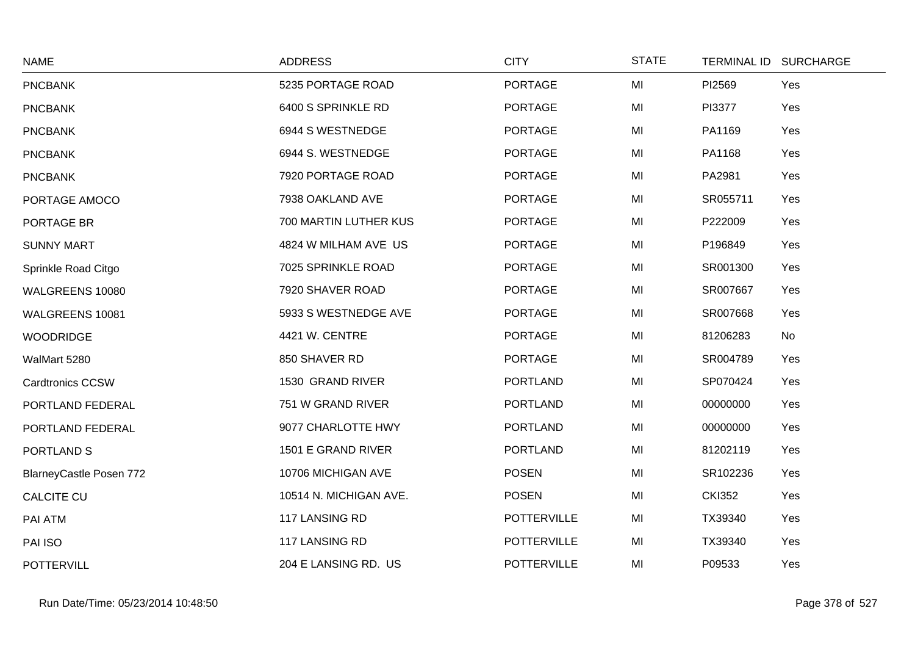| <b>NAME</b>                    | <b>ADDRESS</b>         | <b>CITY</b>        | <b>STATE</b> |               | TERMINAL ID SURCHARGE |
|--------------------------------|------------------------|--------------------|--------------|---------------|-----------------------|
| <b>PNCBANK</b>                 | 5235 PORTAGE ROAD      | <b>PORTAGE</b>     | MI           | PI2569        | Yes                   |
| <b>PNCBANK</b>                 | 6400 S SPRINKLE RD     | <b>PORTAGE</b>     | MI           | PI3377        | Yes                   |
| <b>PNCBANK</b>                 | 6944 S WESTNEDGE       | <b>PORTAGE</b>     | MI           | PA1169        | Yes                   |
| <b>PNCBANK</b>                 | 6944 S. WESTNEDGE      | <b>PORTAGE</b>     | MI           | PA1168        | Yes                   |
| <b>PNCBANK</b>                 | 7920 PORTAGE ROAD      | <b>PORTAGE</b>     | MI           | PA2981        | Yes                   |
| PORTAGE AMOCO                  | 7938 OAKLAND AVE       | <b>PORTAGE</b>     | MI           | SR055711      | Yes                   |
| PORTAGE BR                     | 700 MARTIN LUTHER KUS  | <b>PORTAGE</b>     | MI           | P222009       | Yes                   |
| <b>SUNNY MART</b>              | 4824 W MILHAM AVE US   | <b>PORTAGE</b>     | MI           | P196849       | Yes                   |
| Sprinkle Road Citgo            | 7025 SPRINKLE ROAD     | <b>PORTAGE</b>     | MI           | SR001300      | Yes                   |
| WALGREENS 10080                | 7920 SHAVER ROAD       | <b>PORTAGE</b>     | MI           | SR007667      | Yes                   |
| WALGREENS 10081                | 5933 S WESTNEDGE AVE   | <b>PORTAGE</b>     | MI           | SR007668      | Yes                   |
| <b>WOODRIDGE</b>               | 4421 W. CENTRE         | <b>PORTAGE</b>     | MI           | 81206283      | No                    |
| WalMart 5280                   | 850 SHAVER RD          | <b>PORTAGE</b>     | MI           | SR004789      | Yes                   |
| <b>Cardtronics CCSW</b>        | 1530 GRAND RIVER       | <b>PORTLAND</b>    | MI           | SP070424      | Yes                   |
| PORTLAND FEDERAL               | 751 W GRAND RIVER      | <b>PORTLAND</b>    | MI           | 00000000      | Yes                   |
| PORTLAND FEDERAL               | 9077 CHARLOTTE HWY     | <b>PORTLAND</b>    | MI           | 00000000      | Yes                   |
| PORTLAND S                     | 1501 E GRAND RIVER     | <b>PORTLAND</b>    | MI           | 81202119      | Yes                   |
| <b>BlarneyCastle Posen 772</b> | 10706 MICHIGAN AVE     | <b>POSEN</b>       | MI           | SR102236      | Yes                   |
| <b>CALCITE CU</b>              | 10514 N. MICHIGAN AVE. | <b>POSEN</b>       | MI           | <b>CKI352</b> | Yes                   |
| PAI ATM                        | 117 LANSING RD         | <b>POTTERVILLE</b> | MI           | TX39340       | Yes                   |
| PAI ISO                        | 117 LANSING RD         | <b>POTTERVILLE</b> | MI           | TX39340       | Yes                   |
| <b>POTTERVILL</b>              | 204 E LANSING RD. US   | <b>POTTERVILLE</b> | MI           | P09533        | Yes                   |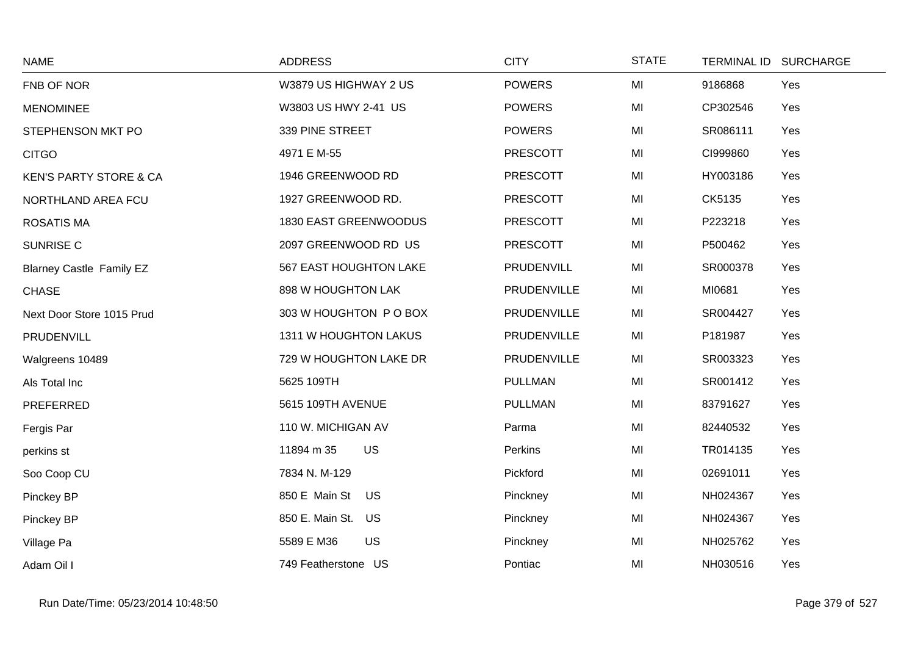| <b>NAME</b>                       | <b>ADDRESS</b>             | <b>CITY</b>     | <b>STATE</b> | TERMINAL ID SURCHARGE |
|-----------------------------------|----------------------------|-----------------|--------------|-----------------------|
| FNB OF NOR                        | W3879 US HIGHWAY 2 US      | <b>POWERS</b>   | MI           | Yes<br>9186868        |
| <b>MENOMINEE</b>                  | W3803 US HWY 2-41 US       | <b>POWERS</b>   | MI           | CP302546<br>Yes       |
| STEPHENSON MKT PO                 | 339 PINE STREET            | <b>POWERS</b>   | MI           | SR086111<br>Yes       |
| <b>CITGO</b>                      | 4971 E M-55                | <b>PRESCOTT</b> | MI           | CI999860<br>Yes       |
| <b>KEN'S PARTY STORE &amp; CA</b> | 1946 GREENWOOD RD          | <b>PRESCOTT</b> | MI           | HY003186<br>Yes       |
| NORTHLAND AREA FCU                | 1927 GREENWOOD RD.         | <b>PRESCOTT</b> | MI           | CK5135<br>Yes         |
| <b>ROSATIS MA</b>                 | 1830 EAST GREENWOODUS      | <b>PRESCOTT</b> | MI           | Yes<br>P223218        |
| SUNRISE C                         | 2097 GREENWOOD RD US       | <b>PRESCOTT</b> | MI           | P500462<br>Yes        |
| <b>Blarney Castle Family EZ</b>   | 567 EAST HOUGHTON LAKE     | PRUDENVILL      | MI           | SR000378<br>Yes       |
| <b>CHASE</b>                      | 898 W HOUGHTON LAK         | PRUDENVILLE     | MI           | MI0681<br>Yes         |
| Next Door Store 1015 Prud         | 303 W HOUGHTON P O BOX     | PRUDENVILLE     | MI           | SR004427<br>Yes       |
| PRUDENVILL                        | 1311 W HOUGHTON LAKUS      | PRUDENVILLE     | MI           | P181987<br>Yes        |
| Walgreens 10489                   | 729 W HOUGHTON LAKE DR     | PRUDENVILLE     | MI           | SR003323<br>Yes       |
| Als Total Inc                     | 5625 109TH                 | <b>PULLMAN</b>  | MI           | SR001412<br>Yes       |
| <b>PREFERRED</b>                  | 5615 109TH AVENUE          | <b>PULLMAN</b>  | MI           | 83791627<br>Yes       |
| Fergis Par                        | 110 W. MICHIGAN AV         | Parma           | MI           | 82440532<br>Yes       |
| perkins st                        | <b>US</b><br>11894 m 35    | Perkins         | MI           | TR014135<br>Yes       |
| Soo Coop CU                       | 7834 N. M-129              | Pickford        | MI           | 02691011<br>Yes       |
| Pinckey BP                        | 850 E Main St<br><b>US</b> | Pinckney        | MI           | NH024367<br>Yes       |
| Pinckey BP                        | 850 E. Main St. US         | Pinckney        | MI           | NH024367<br>Yes       |
| Village Pa                        | 5589 E M36<br>US           | Pinckney        | MI           | NH025762<br>Yes       |
| Adam Oil I                        | 749 Featherstone US        | Pontiac         | MI           | NH030516<br>Yes       |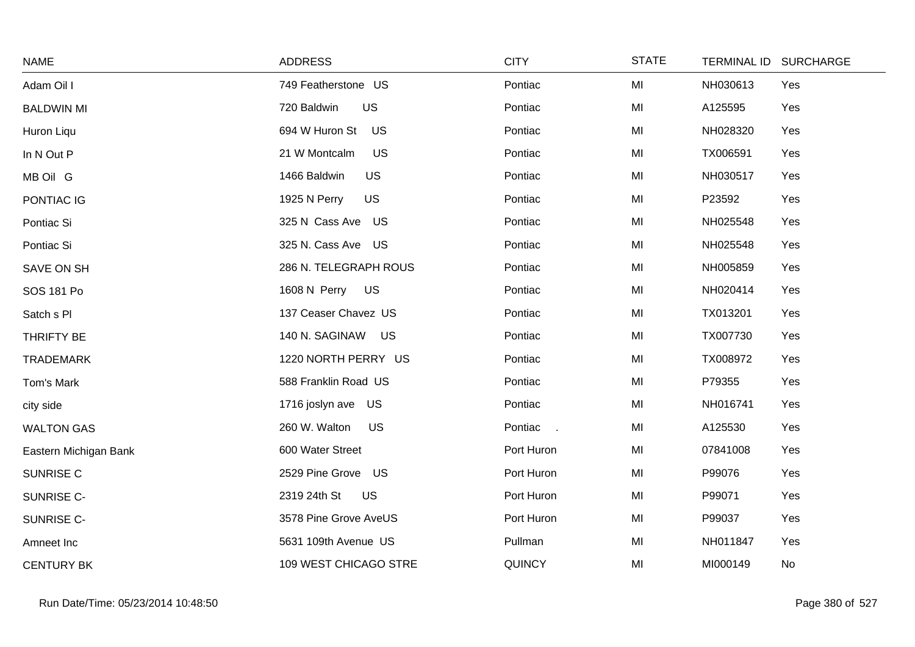| <b>NAME</b>           | <b>ADDRESS</b>              | <b>CITY</b>   | <b>STATE</b> | TERMINAL ID SURCHARGE |
|-----------------------|-----------------------------|---------------|--------------|-----------------------|
| Adam Oil I            | 749 Featherstone US         | Pontiac       | MI           | NH030613<br>Yes       |
| <b>BALDWIN MI</b>     | 720 Baldwin<br>US           | Pontiac       | MI           | A125595<br>Yes        |
| Huron Liqu            | 694 W Huron St<br>US        | Pontiac       | MI           | NH028320<br>Yes       |
| In N Out P            | <b>US</b><br>21 W Montcalm  | Pontiac       | MI           | Yes<br>TX006591       |
| MB Oil G              | <b>US</b><br>1466 Baldwin   | Pontiac       | MI           | NH030517<br>Yes       |
| PONTIAC IG            | <b>US</b><br>1925 N Perry   | Pontiac       | MI           | P23592<br>Yes         |
| Pontiac Si            | 325 N Cass Ave US           | Pontiac       | MI           | NH025548<br>Yes       |
| Pontiac Si            | 325 N. Cass Ave US          | Pontiac       | MI           | NH025548<br>Yes       |
| SAVE ON SH            | 286 N. TELEGRAPH ROUS       | Pontiac       | MI           | NH005859<br>Yes       |
| SOS 181 Po            | 1608 N Perry US             | Pontiac       | MI           | NH020414<br>Yes       |
| Satch s PI            | 137 Ceaser Chavez US        | Pontiac       | MI           | Yes<br>TX013201       |
| THRIFTY BE            | 140 N. SAGINAW<br><b>US</b> | Pontiac       | MI           | TX007730<br>Yes       |
| <b>TRADEMARK</b>      | 1220 NORTH PERRY US         | Pontiac       | MI           | TX008972<br>Yes       |
| Tom's Mark            | 588 Franklin Road US        | Pontiac       | MI           | P79355<br>Yes         |
| city side             | 1716 joslyn ave US          | Pontiac       | MI           | NH016741<br>Yes       |
| <b>WALTON GAS</b>     | 260 W. Walton<br>US         | Pontiac       | MI           | A125530<br>Yes        |
| Eastern Michigan Bank | 600 Water Street            | Port Huron    | MI           | 07841008<br>Yes       |
| SUNRISE C             | 2529 Pine Grove US          | Port Huron    | MI           | P99076<br>Yes         |
| SUNRISE C-            | 2319 24th St<br><b>US</b>   | Port Huron    | MI           | P99071<br>Yes         |
| SUNRISE C-            | 3578 Pine Grove AveUS       | Port Huron    | MI           | P99037<br>Yes         |
| Amneet Inc            | 5631 109th Avenue US        | Pullman       | MI           | NH011847<br>Yes       |
| <b>CENTURY BK</b>     | 109 WEST CHICAGO STRE       | <b>QUINCY</b> | MI           | MI000149<br>No        |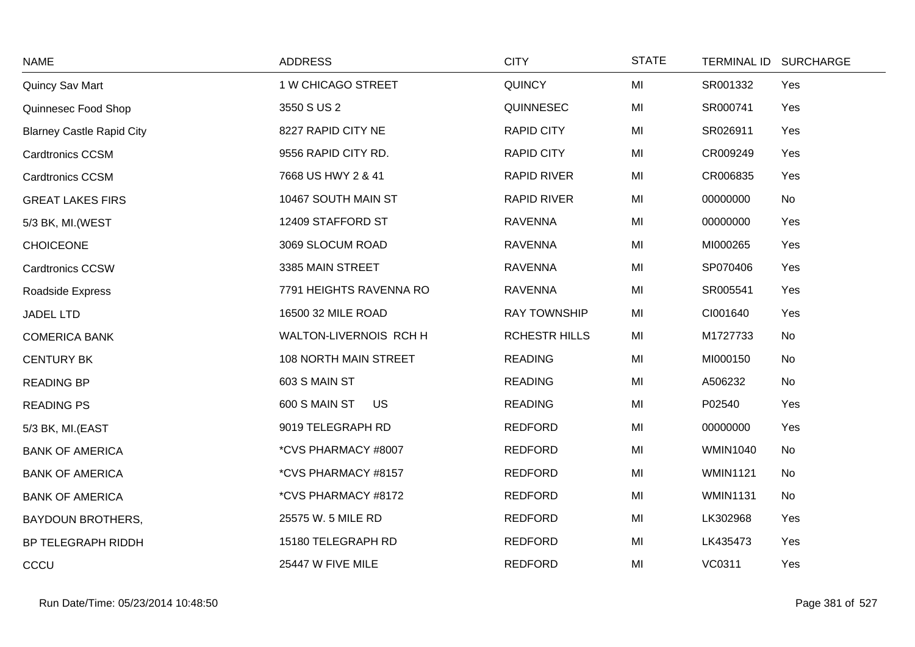| <b>NAME</b>                      | <b>ADDRESS</b>             | <b>CITY</b>          | <b>STATE</b> | TERMINAL ID SURCHARGE |     |
|----------------------------------|----------------------------|----------------------|--------------|-----------------------|-----|
| Quincy Sav Mart                  | 1 W CHICAGO STREET         | <b>QUINCY</b>        | MI           | SR001332              | Yes |
| Quinnesec Food Shop              | 3550 S US 2                | QUINNESEC            | MI           | SR000741              | Yes |
| <b>Blarney Castle Rapid City</b> | 8227 RAPID CITY NE         | <b>RAPID CITY</b>    | MI           | SR026911              | Yes |
| <b>Cardtronics CCSM</b>          | 9556 RAPID CITY RD.        | <b>RAPID CITY</b>    | MI           | CR009249              | Yes |
| <b>Cardtronics CCSM</b>          | 7668 US HWY 2 & 41         | <b>RAPID RIVER</b>   | MI           | CR006835              | Yes |
| <b>GREAT LAKES FIRS</b>          | 10467 SOUTH MAIN ST        | <b>RAPID RIVER</b>   | MI           | 00000000              | No  |
| 5/3 BK, MI.(WEST                 | 12409 STAFFORD ST          | <b>RAVENNA</b>       | MI           | 00000000              | Yes |
| <b>CHOICEONE</b>                 | 3069 SLOCUM ROAD           | <b>RAVENNA</b>       | MI           | MI000265              | Yes |
| Cardtronics CCSW                 | 3385 MAIN STREET           | <b>RAVENNA</b>       | MI           | SP070406              | Yes |
| Roadside Express                 | 7791 HEIGHTS RAVENNA RO    | <b>RAVENNA</b>       | MI           | SR005541              | Yes |
| <b>JADEL LTD</b>                 | 16500 32 MILE ROAD         | <b>RAY TOWNSHIP</b>  | MI           | CI001640              | Yes |
| <b>COMERICA BANK</b>             | WALTON-LIVERNOIS RCH H     | <b>RCHESTR HILLS</b> | MI           | M1727733              | No  |
| <b>CENTURY BK</b>                | 108 NORTH MAIN STREET      | <b>READING</b>       | MI           | MI000150              | No  |
| <b>READING BP</b>                | 603 S MAIN ST              | <b>READING</b>       | MI           | A506232               | No  |
| <b>READING PS</b>                | 600 S MAIN ST<br><b>US</b> | <b>READING</b>       | MI           | P02540                | Yes |
| 5/3 BK, MI.(EAST                 | 9019 TELEGRAPH RD          | <b>REDFORD</b>       | MI           | 00000000              | Yes |
| <b>BANK OF AMERICA</b>           | *CVS PHARMACY #8007        | <b>REDFORD</b>       | MI           | <b>WMIN1040</b>       | No  |
| <b>BANK OF AMERICA</b>           | *CVS PHARMACY #8157        | <b>REDFORD</b>       | MI           | <b>WMIN1121</b>       | No  |
| <b>BANK OF AMERICA</b>           | *CVS PHARMACY #8172        | <b>REDFORD</b>       | MI           | <b>WMIN1131</b>       | No  |
| <b>BAYDOUN BROTHERS,</b>         | 25575 W. 5 MILE RD         | <b>REDFORD</b>       | MI           | LK302968              | Yes |
| BP TELEGRAPH RIDDH               | 15180 TELEGRAPH RD         | <b>REDFORD</b>       | MI           | LK435473              | Yes |
| CCCU                             | 25447 W FIVE MILE          | <b>REDFORD</b>       | MI           | VC0311                | Yes |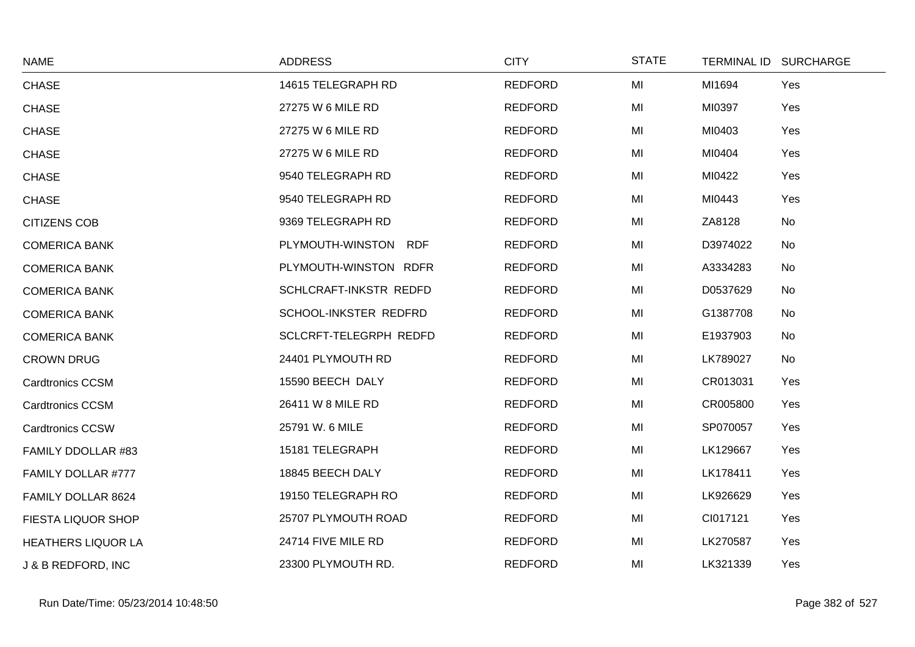| <b>NAME</b>               | <b>ADDRESS</b>         | <b>CITY</b>    | <b>STATE</b> | TERMINAL ID SURCHARGE |
|---------------------------|------------------------|----------------|--------------|-----------------------|
| <b>CHASE</b>              | 14615 TELEGRAPH RD     | <b>REDFORD</b> | MI           | MI1694<br>Yes         |
| <b>CHASE</b>              | 27275 W 6 MILE RD      | <b>REDFORD</b> | MI           | MI0397<br>Yes         |
| <b>CHASE</b>              | 27275 W 6 MILE RD      | <b>REDFORD</b> | MI           | MI0403<br>Yes         |
| <b>CHASE</b>              | 27275 W 6 MILE RD      | <b>REDFORD</b> | MI           | MI0404<br>Yes         |
| <b>CHASE</b>              | 9540 TELEGRAPH RD      | <b>REDFORD</b> | MI           | MI0422<br>Yes         |
| <b>CHASE</b>              | 9540 TELEGRAPH RD      | <b>REDFORD</b> | MI           | MI0443<br>Yes         |
| <b>CITIZENS COB</b>       | 9369 TELEGRAPH RD      | <b>REDFORD</b> | MI           | ZA8128<br>No          |
| <b>COMERICA BANK</b>      | PLYMOUTH-WINSTON RDF   | <b>REDFORD</b> | MI           | D3974022<br>No        |
| <b>COMERICA BANK</b>      | PLYMOUTH-WINSTON RDFR  | <b>REDFORD</b> | MI           | A3334283<br>No        |
| <b>COMERICA BANK</b>      | SCHLCRAFT-INKSTR REDFD | <b>REDFORD</b> | MI           | D0537629<br>No        |
| <b>COMERICA BANK</b>      | SCHOOL-INKSTER REDFRD  | <b>REDFORD</b> | MI           | G1387708<br>No        |
| <b>COMERICA BANK</b>      | SCLCRFT-TELEGRPH REDFD | <b>REDFORD</b> | MI           | E1937903<br>No        |
| <b>CROWN DRUG</b>         | 24401 PLYMOUTH RD      | <b>REDFORD</b> | MI           | LK789027<br>No        |
| <b>Cardtronics CCSM</b>   | 15590 BEECH DALY       | <b>REDFORD</b> | MI           | CR013031<br>Yes       |
| <b>Cardtronics CCSM</b>   | 26411 W 8 MILE RD      | <b>REDFORD</b> | MI           | CR005800<br>Yes       |
| <b>Cardtronics CCSW</b>   | 25791 W. 6 MILE        | <b>REDFORD</b> | MI           | SP070057<br>Yes       |
| FAMILY DDOLLAR #83        | 15181 TELEGRAPH        | <b>REDFORD</b> | MI           | LK129667<br>Yes       |
| FAMILY DOLLAR #777        | 18845 BEECH DALY       | <b>REDFORD</b> | MI           | LK178411<br>Yes       |
| FAMILY DOLLAR 8624        | 19150 TELEGRAPH RO     | <b>REDFORD</b> | MI           | LK926629<br>Yes       |
| FIESTA LIQUOR SHOP        | 25707 PLYMOUTH ROAD    | <b>REDFORD</b> | MI           | CI017121<br>Yes       |
| <b>HEATHERS LIQUOR LA</b> | 24714 FIVE MILE RD     | <b>REDFORD</b> | MI           | LK270587<br>Yes       |
| J & B REDFORD, INC        | 23300 PLYMOUTH RD.     | <b>REDFORD</b> | MI           | LK321339<br>Yes       |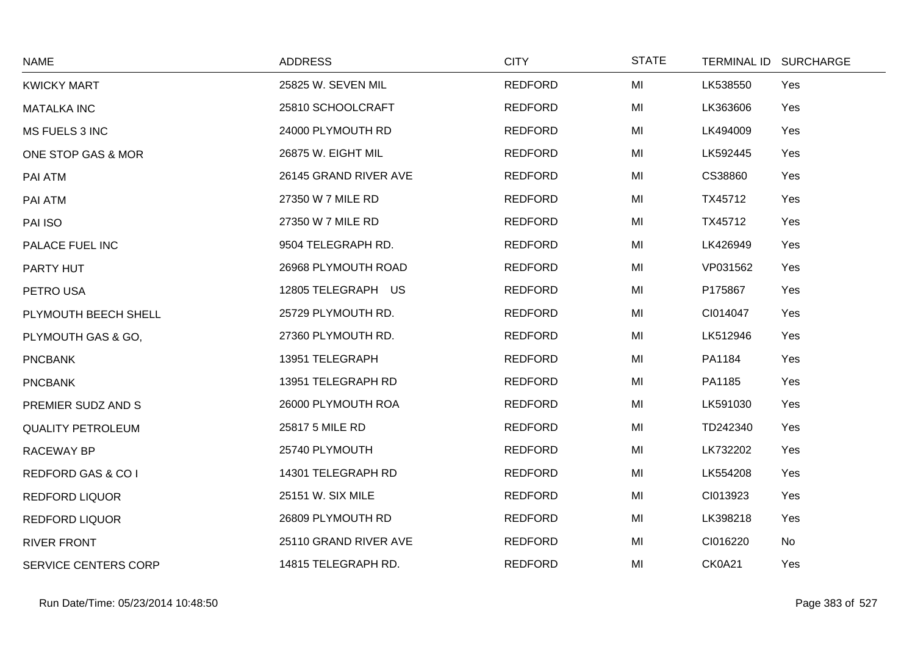| <b>NAME</b>                   | <b>ADDRESS</b>        | <b>CITY</b>    | <b>STATE</b> | <b>TERMINAL ID</b> | <b>SURCHARGE</b> |
|-------------------------------|-----------------------|----------------|--------------|--------------------|------------------|
| <b>KWICKY MART</b>            | 25825 W. SEVEN MIL    | <b>REDFORD</b> | MI           | LK538550           | Yes              |
| <b>MATALKA INC</b>            | 25810 SCHOOLCRAFT     | <b>REDFORD</b> | MI           | LK363606           | Yes              |
| MS FUELS 3 INC                | 24000 PLYMOUTH RD     | <b>REDFORD</b> | MI           | LK494009           | Yes              |
| ONE STOP GAS & MOR            | 26875 W. EIGHT MIL    | <b>REDFORD</b> | MI           | LK592445           | Yes              |
| PAI ATM                       | 26145 GRAND RIVER AVE | <b>REDFORD</b> | MI           | CS38860            | Yes              |
| PAI ATM                       | 27350 W 7 MILE RD     | <b>REDFORD</b> | MI           | TX45712            | Yes              |
| PAI ISO                       | 27350 W 7 MILE RD     | <b>REDFORD</b> | MI           | TX45712            | Yes              |
| PALACE FUEL INC               | 9504 TELEGRAPH RD.    | <b>REDFORD</b> | MI           | LK426949           | Yes              |
| PARTY HUT                     | 26968 PLYMOUTH ROAD   | <b>REDFORD</b> | MI           | VP031562           | Yes              |
| PETRO USA                     | 12805 TELEGRAPH US    | <b>REDFORD</b> | MI           | P175867            | Yes              |
| PLYMOUTH BEECH SHELL          | 25729 PLYMOUTH RD.    | <b>REDFORD</b> | MI           | CI014047           | Yes              |
| PLYMOUTH GAS & GO,            | 27360 PLYMOUTH RD.    | <b>REDFORD</b> | MI           | LK512946           | Yes              |
| <b>PNCBANK</b>                | 13951 TELEGRAPH       | <b>REDFORD</b> | MI           | PA1184             | Yes              |
| <b>PNCBANK</b>                | 13951 TELEGRAPH RD    | <b>REDFORD</b> | MI           | PA1185             | Yes              |
| PREMIER SUDZ AND S            | 26000 PLYMOUTH ROA    | <b>REDFORD</b> | MI           | LK591030           | Yes              |
| <b>QUALITY PETROLEUM</b>      | 25817 5 MILE RD       | <b>REDFORD</b> | MI           | TD242340           | Yes              |
| RACEWAY BP                    | 25740 PLYMOUTH        | <b>REDFORD</b> | MI           | LK732202           | Yes              |
| <b>REDFORD GAS &amp; CO I</b> | 14301 TELEGRAPH RD    | <b>REDFORD</b> | MI           | LK554208           | Yes              |
| <b>REDFORD LIQUOR</b>         | 25151 W. SIX MILE     | <b>REDFORD</b> | MI           | CI013923           | Yes              |
| <b>REDFORD LIQUOR</b>         | 26809 PLYMOUTH RD     | <b>REDFORD</b> | MI           | LK398218           | Yes              |
| <b>RIVER FRONT</b>            | 25110 GRAND RIVER AVE | <b>REDFORD</b> | MI           | CI016220           | No               |
| <b>SERVICE CENTERS CORP</b>   | 14815 TELEGRAPH RD.   | <b>REDFORD</b> | MI           | <b>CK0A21</b>      | Yes              |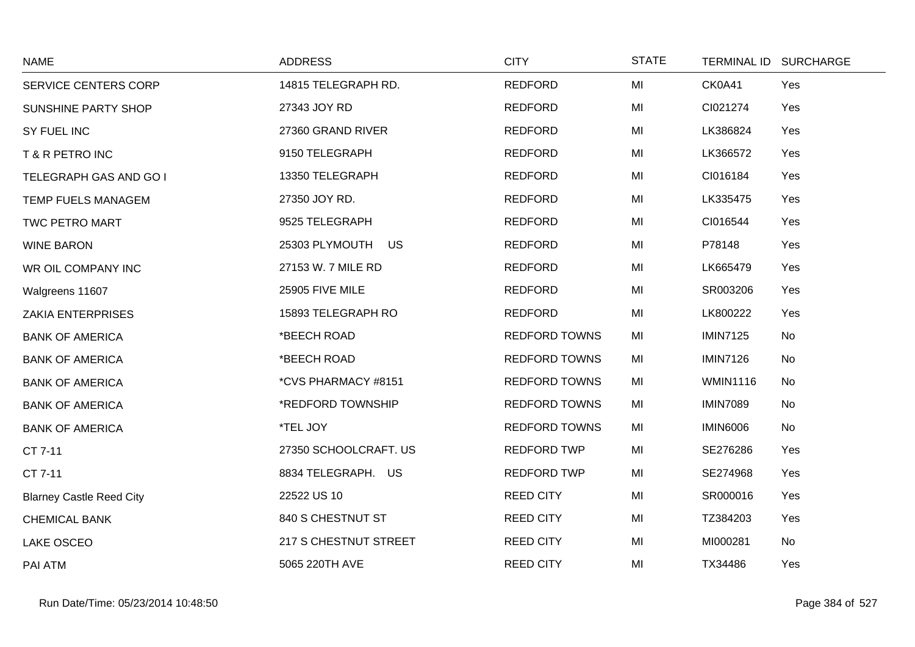| <b>NAME</b>                     | <b>ADDRESS</b>        | <b>CITY</b>          | <b>STATE</b> |                 | TERMINAL ID SURCHARGE |
|---------------------------------|-----------------------|----------------------|--------------|-----------------|-----------------------|
| SERVICE CENTERS CORP            | 14815 TELEGRAPH RD.   | <b>REDFORD</b>       | MI           | CK0A41          | Yes                   |
| SUNSHINE PARTY SHOP             | 27343 JOY RD          | <b>REDFORD</b>       | MI           | CI021274        | Yes                   |
| SY FUEL INC                     | 27360 GRAND RIVER     | <b>REDFORD</b>       | MI           | LK386824        | Yes                   |
| T & R PETRO INC                 | 9150 TELEGRAPH        | <b>REDFORD</b>       | MI           | LK366572        | Yes                   |
| TELEGRAPH GAS AND GO I          | 13350 TELEGRAPH       | <b>REDFORD</b>       | MI           | CI016184        | Yes                   |
| TEMP FUELS MANAGEM              | 27350 JOY RD.         | <b>REDFORD</b>       | MI           | LK335475        | Yes                   |
| TWC PETRO MART                  | 9525 TELEGRAPH        | <b>REDFORD</b>       | MI           | CI016544        | Yes                   |
| <b>WINE BARON</b>               | 25303 PLYMOUTH US     | <b>REDFORD</b>       | MI           | P78148          | Yes                   |
| WR OIL COMPANY INC              | 27153 W. 7 MILE RD    | <b>REDFORD</b>       | MI           | LK665479        | Yes                   |
| Walgreens 11607                 | 25905 FIVE MILE       | <b>REDFORD</b>       | MI           | SR003206        | Yes                   |
| <b>ZAKIA ENTERPRISES</b>        | 15893 TELEGRAPH RO    | <b>REDFORD</b>       | MI           | LK800222        | Yes                   |
| <b>BANK OF AMERICA</b>          | *BEECH ROAD           | <b>REDFORD TOWNS</b> | MI           | <b>IMIN7125</b> | No                    |
| <b>BANK OF AMERICA</b>          | *BEECH ROAD           | <b>REDFORD TOWNS</b> | MI           | <b>IMIN7126</b> | No                    |
| <b>BANK OF AMERICA</b>          | *CVS PHARMACY #8151   | <b>REDFORD TOWNS</b> | MI           | <b>WMIN1116</b> | No                    |
| <b>BANK OF AMERICA</b>          | *REDFORD TOWNSHIP     | <b>REDFORD TOWNS</b> | MI           | <b>IMIN7089</b> | No                    |
| <b>BANK OF AMERICA</b>          | *TEL JOY              | <b>REDFORD TOWNS</b> | MI           | <b>IMIN6006</b> | No                    |
| CT 7-11                         | 27350 SCHOOLCRAFT. US | <b>REDFORD TWP</b>   | MI           | SE276286        | Yes                   |
| CT 7-11                         | 8834 TELEGRAPH. US    | <b>REDFORD TWP</b>   | MI           | SE274968        | Yes                   |
| <b>Blarney Castle Reed City</b> | 22522 US 10           | <b>REED CITY</b>     | MI           | SR000016        | Yes                   |
| <b>CHEMICAL BANK</b>            | 840 S CHESTNUT ST     | <b>REED CITY</b>     | MI           | TZ384203        | Yes                   |
| <b>LAKE OSCEO</b>               | 217 S CHESTNUT STREET | <b>REED CITY</b>     | MI           | MI000281        | No                    |
| PAI ATM                         | 5065 220TH AVE        | <b>REED CITY</b>     | MI           | TX34486         | Yes                   |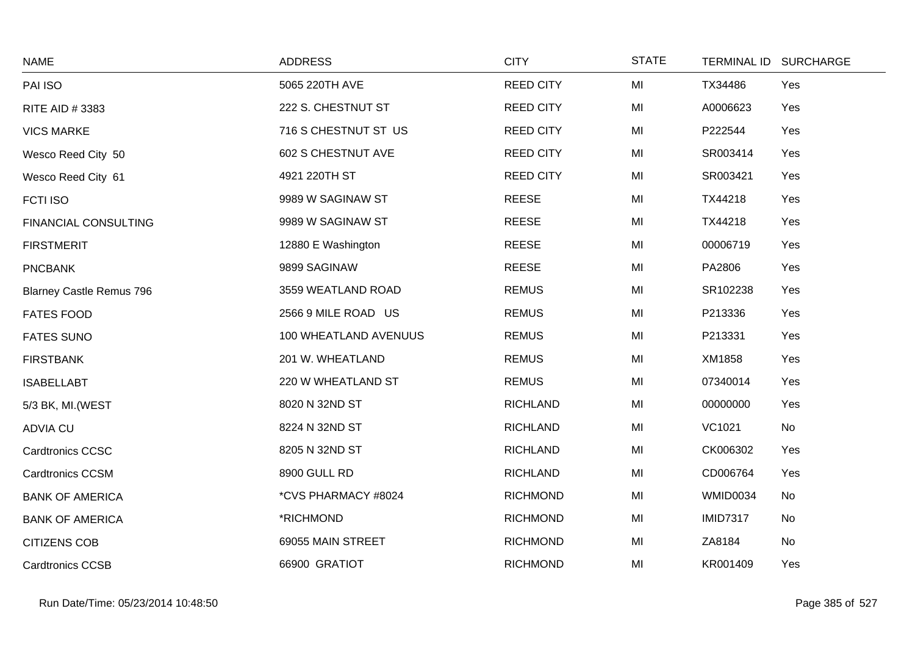| <b>NAME</b>                     | <b>ADDRESS</b>        | <b>CITY</b>      | <b>STATE</b> |                 | TERMINAL ID SURCHARGE |
|---------------------------------|-----------------------|------------------|--------------|-----------------|-----------------------|
| PAI ISO                         | 5065 220TH AVE        | <b>REED CITY</b> | MI           | TX34486         | Yes                   |
| RITE AID # 3383                 | 222 S. CHESTNUT ST    | <b>REED CITY</b> | MI           | A0006623        | Yes                   |
| <b>VICS MARKE</b>               | 716 S CHESTNUT ST US  | <b>REED CITY</b> | MI           | P222544         | Yes                   |
| Wesco Reed City 50              | 602 S CHESTNUT AVE    | <b>REED CITY</b> | MI           | SR003414        | Yes                   |
| Wesco Reed City 61              | 4921 220TH ST         | <b>REED CITY</b> | MI           | SR003421        | Yes                   |
| FCTI ISO                        | 9989 W SAGINAW ST     | <b>REESE</b>     | MI           | TX44218         | Yes                   |
| <b>FINANCIAL CONSULTING</b>     | 9989 W SAGINAW ST     | <b>REESE</b>     | MI           | TX44218         | Yes                   |
| <b>FIRSTMERIT</b>               | 12880 E Washington    | <b>REESE</b>     | MI           | 00006719        | Yes                   |
| <b>PNCBANK</b>                  | 9899 SAGINAW          | <b>REESE</b>     | MI           | PA2806          | Yes                   |
| <b>Blarney Castle Remus 796</b> | 3559 WEATLAND ROAD    | <b>REMUS</b>     | MI           | SR102238        | Yes                   |
| <b>FATES FOOD</b>               | 2566 9 MILE ROAD US   | <b>REMUS</b>     | MI           | P213336         | Yes                   |
| <b>FATES SUNO</b>               | 100 WHEATLAND AVENUUS | <b>REMUS</b>     | MI           | P213331         | Yes                   |
| <b>FIRSTBANK</b>                | 201 W. WHEATLAND      | <b>REMUS</b>     | MI           | XM1858          | Yes                   |
| <b>ISABELLABT</b>               | 220 W WHEATLAND ST    | <b>REMUS</b>     | MI           | 07340014        | Yes                   |
| 5/3 BK, MI.(WEST                | 8020 N 32ND ST        | <b>RICHLAND</b>  | MI           | 00000000        | Yes                   |
| ADVIA CU                        | 8224 N 32ND ST        | <b>RICHLAND</b>  | MI           | VC1021          | No                    |
| <b>Cardtronics CCSC</b>         | 8205 N 32ND ST        | <b>RICHLAND</b>  | MI           | CK006302        | Yes                   |
| <b>Cardtronics CCSM</b>         | 8900 GULL RD          | <b>RICHLAND</b>  | MI           | CD006764        | Yes                   |
| <b>BANK OF AMERICA</b>          | *CVS PHARMACY #8024   | <b>RICHMOND</b>  | MI           | <b>WMID0034</b> | No                    |
| <b>BANK OF AMERICA</b>          | *RICHMOND             | <b>RICHMOND</b>  | MI           | <b>IMID7317</b> | No                    |
| <b>CITIZENS COB</b>             | 69055 MAIN STREET     | <b>RICHMOND</b>  | MI           | ZA8184          | No                    |
| <b>Cardtronics CCSB</b>         | 66900 GRATIOT         | <b>RICHMOND</b>  | MI           | KR001409        | Yes                   |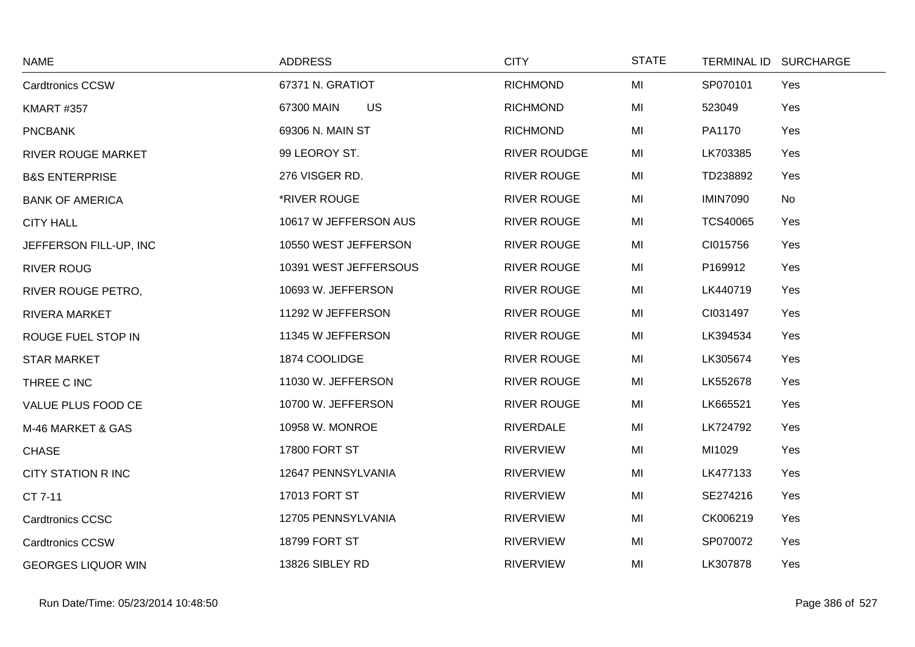| <b>NAME</b>               | <b>ADDRESS</b>          | <b>CITY</b>         | <b>STATE</b> | TERMINAL ID SURCHARGE  |  |
|---------------------------|-------------------------|---------------------|--------------|------------------------|--|
| <b>Cardtronics CCSW</b>   | 67371 N. GRATIOT        | <b>RICHMOND</b>     | MI           | SP070101<br>Yes        |  |
| <b>KMART #357</b>         | <b>US</b><br>67300 MAIN | <b>RICHMOND</b>     | MI           | 523049<br>Yes          |  |
| <b>PNCBANK</b>            | 69306 N. MAIN ST        | <b>RICHMOND</b>     | MI           | PA1170<br>Yes          |  |
| <b>RIVER ROUGE MARKET</b> | 99 LEOROY ST.           | <b>RIVER ROUDGE</b> | MI           | LK703385<br>Yes        |  |
| <b>B&amp;S ENTERPRISE</b> | 276 VISGER RD.          | <b>RIVER ROUGE</b>  | MI           | TD238892<br>Yes        |  |
| <b>BANK OF AMERICA</b>    | *RIVER ROUGE            | <b>RIVER ROUGE</b>  | MI           | <b>IMIN7090</b><br>No  |  |
| <b>CITY HALL</b>          | 10617 W JEFFERSON AUS   | <b>RIVER ROUGE</b>  | MI           | <b>TCS40065</b><br>Yes |  |
| JEFFERSON FILL-UP, INC    | 10550 WEST JEFFERSON    | <b>RIVER ROUGE</b>  | MI           | CI015756<br>Yes        |  |
| <b>RIVER ROUG</b>         | 10391 WEST JEFFERSOUS   | <b>RIVER ROUGE</b>  | MI           | P169912<br>Yes         |  |
| RIVER ROUGE PETRO,        | 10693 W. JEFFERSON      | <b>RIVER ROUGE</b>  | MI           | LK440719<br>Yes        |  |
| <b>RIVERA MARKET</b>      | 11292 W JEFFERSON       | <b>RIVER ROUGE</b>  | MI           | CI031497<br>Yes        |  |
| ROUGE FUEL STOP IN        | 11345 W JEFFERSON       | <b>RIVER ROUGE</b>  | MI           | LK394534<br>Yes        |  |
| <b>STAR MARKET</b>        | 1874 COOLIDGE           | <b>RIVER ROUGE</b>  | MI           | LK305674<br>Yes        |  |
| THREE C INC               | 11030 W. JEFFERSON      | <b>RIVER ROUGE</b>  | MI           | LK552678<br>Yes        |  |
| VALUE PLUS FOOD CE        | 10700 W. JEFFERSON      | <b>RIVER ROUGE</b>  | MI           | LK665521<br>Yes        |  |
| M-46 MARKET & GAS         | 10958 W. MONROE         | <b>RIVERDALE</b>    | MI           | LK724792<br>Yes        |  |
| <b>CHASE</b>              | 17800 FORT ST           | <b>RIVERVIEW</b>    | MI           | MI1029<br>Yes          |  |
| <b>CITY STATION R INC</b> | 12647 PENNSYLVANIA      | <b>RIVERVIEW</b>    | MI           | LK477133<br>Yes        |  |
| CT 7-11                   | 17013 FORT ST           | <b>RIVERVIEW</b>    | MI           | SE274216<br>Yes        |  |
| <b>Cardtronics CCSC</b>   | 12705 PENNSYLVANIA      | <b>RIVERVIEW</b>    | MI           | CK006219<br>Yes        |  |
| <b>Cardtronics CCSW</b>   | 18799 FORT ST           | <b>RIVERVIEW</b>    | MI           | SP070072<br>Yes        |  |
| <b>GEORGES LIQUOR WIN</b> | 13826 SIBLEY RD         | <b>RIVERVIEW</b>    | MI           | LK307878<br>Yes        |  |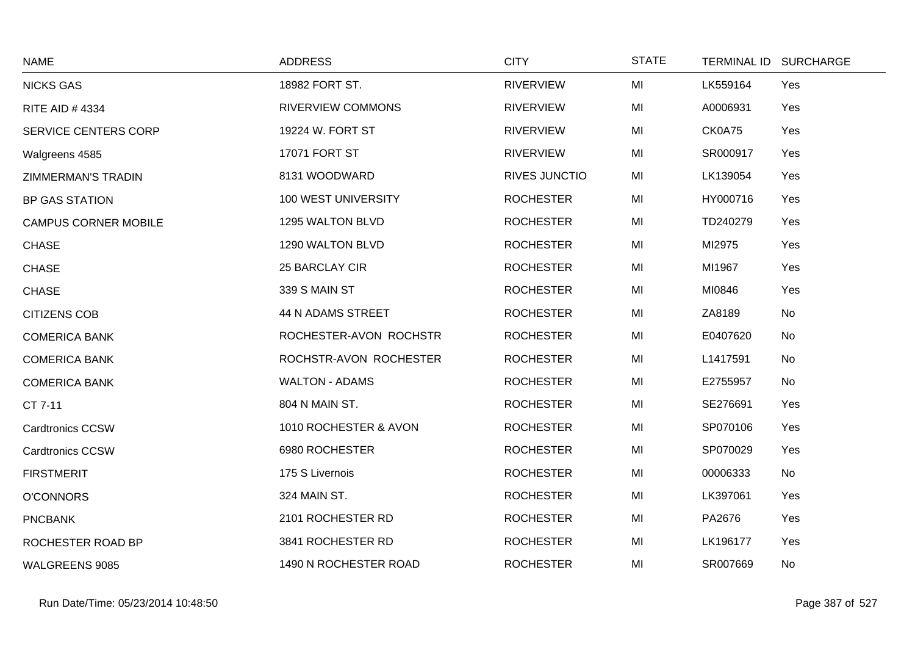| <b>NAME</b>                 | <b>ADDRESS</b>           | <b>CITY</b>          | <b>STATE</b> | <b>TERMINAL ID</b> | <b>SURCHARGE</b> |
|-----------------------------|--------------------------|----------------------|--------------|--------------------|------------------|
| <b>NICKS GAS</b>            | 18982 FORT ST.           | <b>RIVERVIEW</b>     | MI           | LK559164           | Yes              |
| <b>RITE AID #4334</b>       | <b>RIVERVIEW COMMONS</b> | <b>RIVERVIEW</b>     | MI           | A0006931           | Yes              |
| <b>SERVICE CENTERS CORP</b> | 19224 W. FORT ST         | <b>RIVERVIEW</b>     | MI           | CK0A75             | Yes              |
| Walgreens 4585              | 17071 FORT ST            | <b>RIVERVIEW</b>     | MI           | SR000917           | Yes              |
| <b>ZIMMERMAN'S TRADIN</b>   | 8131 WOODWARD            | <b>RIVES JUNCTIO</b> | MI           | LK139054           | Yes              |
| <b>BP GAS STATION</b>       | 100 WEST UNIVERSITY      | <b>ROCHESTER</b>     | MI           | HY000716           | Yes              |
| <b>CAMPUS CORNER MOBILE</b> | 1295 WALTON BLVD         | <b>ROCHESTER</b>     | MI           | TD240279           | Yes              |
| <b>CHASE</b>                | 1290 WALTON BLVD         | <b>ROCHESTER</b>     | MI           | MI2975             | Yes              |
| <b>CHASE</b>                | 25 BARCLAY CIR           | <b>ROCHESTER</b>     | MI           | MI1967             | Yes              |
| <b>CHASE</b>                | 339 S MAIN ST            | <b>ROCHESTER</b>     | MI           | MI0846             | Yes              |
| <b>CITIZENS COB</b>         | 44 N ADAMS STREET        | <b>ROCHESTER</b>     | MI           | ZA8189             | No               |
| <b>COMERICA BANK</b>        | ROCHESTER-AVON ROCHSTR   | <b>ROCHESTER</b>     | MI           | E0407620           | No               |
| <b>COMERICA BANK</b>        | ROCHSTR-AVON ROCHESTER   | <b>ROCHESTER</b>     | MI           | L1417591           | No               |
| <b>COMERICA BANK</b>        | <b>WALTON - ADAMS</b>    | <b>ROCHESTER</b>     | MI           | E2755957           | No               |
| CT 7-11                     | 804 N MAIN ST.           | <b>ROCHESTER</b>     | MI           | SE276691           | Yes              |
| <b>Cardtronics CCSW</b>     | 1010 ROCHESTER & AVON    | <b>ROCHESTER</b>     | MI           | SP070106           | Yes              |
| <b>Cardtronics CCSW</b>     | 6980 ROCHESTER           | <b>ROCHESTER</b>     | MI           | SP070029           | Yes              |
| <b>FIRSTMERIT</b>           | 175 S Livernois          | <b>ROCHESTER</b>     | MI           | 00006333           | No               |
| <b>O'CONNORS</b>            | 324 MAIN ST.             | <b>ROCHESTER</b>     | MI           | LK397061           | Yes              |
| <b>PNCBANK</b>              | 2101 ROCHESTER RD        | <b>ROCHESTER</b>     | MI           | PA2676             | Yes              |
| ROCHESTER ROAD BP           | 3841 ROCHESTER RD        | <b>ROCHESTER</b>     | MI           | LK196177           | Yes              |
| WALGREENS 9085              | 1490 N ROCHESTER ROAD    | <b>ROCHESTER</b>     | MI           | SR007669           | No               |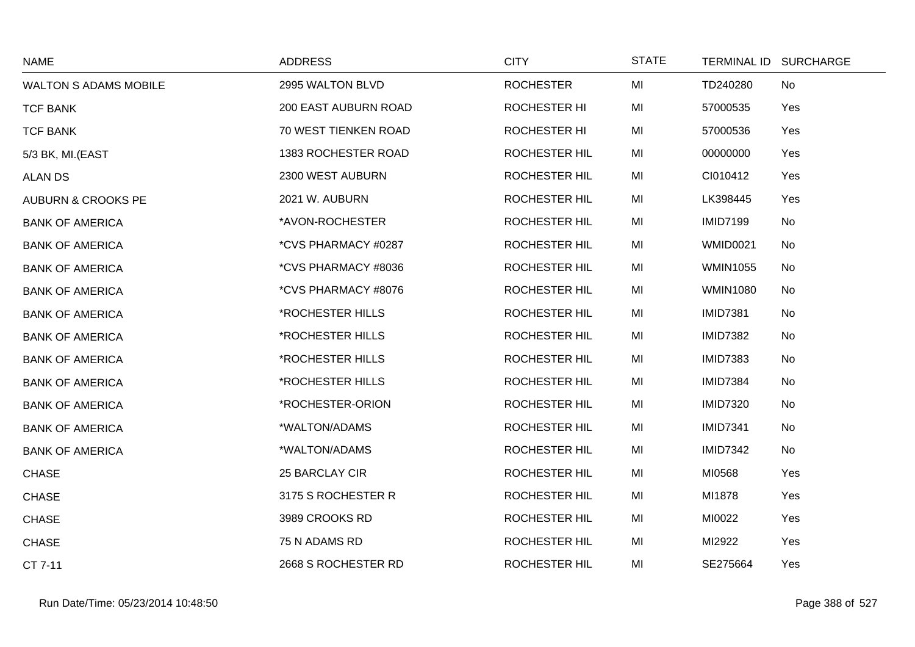| <b>NAME</b>                   | <b>ADDRESS</b>       | <b>CITY</b>          | <b>STATE</b> |                 | TERMINAL ID SURCHARGE |
|-------------------------------|----------------------|----------------------|--------------|-----------------|-----------------------|
| <b>WALTON S ADAMS MOBILE</b>  | 2995 WALTON BLVD     | <b>ROCHESTER</b>     | MI           | TD240280        | No                    |
| <b>TCF BANK</b>               | 200 EAST AUBURN ROAD | <b>ROCHESTER HI</b>  | MI           | 57000535        | Yes                   |
| <b>TCF BANK</b>               | 70 WEST TIENKEN ROAD | ROCHESTER HI         | MI           | 57000536        | Yes                   |
| 5/3 BK, MI.(EAST              | 1383 ROCHESTER ROAD  | <b>ROCHESTER HIL</b> | MI           | 00000000        | Yes                   |
| <b>ALAN DS</b>                | 2300 WEST AUBURN     | <b>ROCHESTER HIL</b> | MI           | CI010412        | Yes                   |
| <b>AUBURN &amp; CROOKS PE</b> | 2021 W. AUBURN       | <b>ROCHESTER HIL</b> | MI           | LK398445        | Yes                   |
| <b>BANK OF AMERICA</b>        | *AVON-ROCHESTER      | ROCHESTER HIL        | MI           | <b>IMID7199</b> | No                    |
| <b>BANK OF AMERICA</b>        | *CVS PHARMACY #0287  | <b>ROCHESTER HIL</b> | MI           | <b>WMID0021</b> | No                    |
| <b>BANK OF AMERICA</b>        | *CVS PHARMACY #8036  | ROCHESTER HIL        | MI           | <b>WMIN1055</b> | No                    |
| <b>BANK OF AMERICA</b>        | *CVS PHARMACY #8076  | <b>ROCHESTER HIL</b> | MI           | <b>WMIN1080</b> | No                    |
| <b>BANK OF AMERICA</b>        | *ROCHESTER HILLS     | ROCHESTER HIL        | MI           | <b>IMID7381</b> | No                    |
| <b>BANK OF AMERICA</b>        | *ROCHESTER HILLS     | <b>ROCHESTER HIL</b> | MI           | <b>IMID7382</b> | No                    |
| <b>BANK OF AMERICA</b>        | *ROCHESTER HILLS     | ROCHESTER HIL        | MI           | <b>IMID7383</b> | No                    |
| <b>BANK OF AMERICA</b>        | *ROCHESTER HILLS     | <b>ROCHESTER HIL</b> | MI           | <b>IMID7384</b> | No                    |
| <b>BANK OF AMERICA</b>        | *ROCHESTER-ORION     | ROCHESTER HIL        | MI           | <b>IMID7320</b> | No                    |
| <b>BANK OF AMERICA</b>        | *WALTON/ADAMS        | <b>ROCHESTER HIL</b> | MI           | <b>IMID7341</b> | No                    |
| <b>BANK OF AMERICA</b>        | *WALTON/ADAMS        | <b>ROCHESTER HIL</b> | MI           | <b>IMID7342</b> | No                    |
| <b>CHASE</b>                  | 25 BARCLAY CIR       | <b>ROCHESTER HIL</b> | MI           | MI0568          | Yes                   |
| <b>CHASE</b>                  | 3175 S ROCHESTER R   | <b>ROCHESTER HIL</b> | MI           | MI1878          | Yes                   |
| <b>CHASE</b>                  | 3989 CROOKS RD       | ROCHESTER HIL        | MI           | MI0022          | Yes                   |
| <b>CHASE</b>                  | 75 N ADAMS RD        | <b>ROCHESTER HIL</b> | MI           | MI2922          | Yes                   |
| CT 7-11                       | 2668 S ROCHESTER RD  | ROCHESTER HIL        | MI           | SE275664        | Yes                   |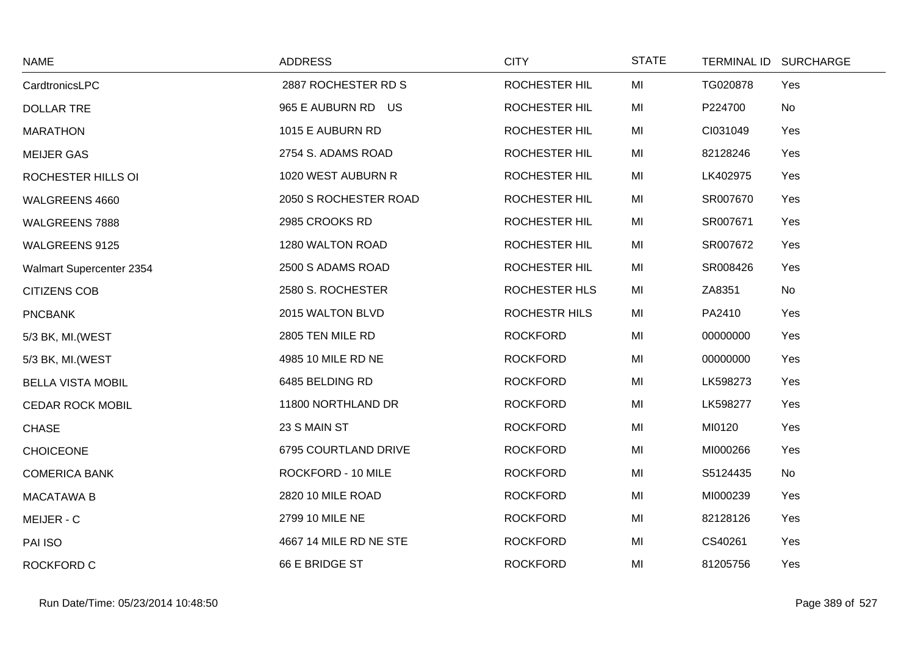| <b>NAME</b>              | <b>ADDRESS</b>         | <b>CITY</b>          | <b>STATE</b> |          | TERMINAL ID SURCHARGE |
|--------------------------|------------------------|----------------------|--------------|----------|-----------------------|
| CardtronicsLPC           | 2887 ROCHESTER RD S    | <b>ROCHESTER HIL</b> | MI           | TG020878 | Yes                   |
| <b>DOLLAR TRE</b>        | 965 E AUBURN RD US     | ROCHESTER HIL        | MI           | P224700  | No                    |
| <b>MARATHON</b>          | 1015 E AUBURN RD       | <b>ROCHESTER HIL</b> | MI           | CI031049 | Yes                   |
| <b>MEIJER GAS</b>        | 2754 S. ADAMS ROAD     | ROCHESTER HIL        | MI           | 82128246 | Yes                   |
| ROCHESTER HILLS OI       | 1020 WEST AUBURN R     | <b>ROCHESTER HIL</b> | MI           | LK402975 | Yes                   |
| WALGREENS 4660           | 2050 S ROCHESTER ROAD  | ROCHESTER HIL        | MI           | SR007670 | Yes                   |
| WALGREENS 7888           | 2985 CROOKS RD         | ROCHESTER HIL        | MI           | SR007671 | Yes                   |
| <b>WALGREENS 9125</b>    | 1280 WALTON ROAD       | <b>ROCHESTER HIL</b> | MI           | SR007672 | Yes                   |
| Walmart Supercenter 2354 | 2500 S ADAMS ROAD      | ROCHESTER HIL        | MI           | SR008426 | Yes                   |
| <b>CITIZENS COB</b>      | 2580 S. ROCHESTER      | <b>ROCHESTER HLS</b> | MI           | ZA8351   | No                    |
| <b>PNCBANK</b>           | 2015 WALTON BLVD       | ROCHESTR HILS        | MI           | PA2410   | Yes                   |
| 5/3 BK, MI. (WEST        | 2805 TEN MILE RD       | <b>ROCKFORD</b>      | MI           | 00000000 | Yes                   |
| 5/3 BK, MI. (WEST        | 4985 10 MILE RD NE     | <b>ROCKFORD</b>      | MI           | 00000000 | Yes                   |
| <b>BELLA VISTA MOBIL</b> | 6485 BELDING RD        | <b>ROCKFORD</b>      | MI           | LK598273 | Yes                   |
| <b>CEDAR ROCK MOBIL</b>  | 11800 NORTHLAND DR     | <b>ROCKFORD</b>      | MI           | LK598277 | Yes                   |
| <b>CHASE</b>             | 23 S MAIN ST           | <b>ROCKFORD</b>      | MI           | MI0120   | Yes                   |
| <b>CHOICEONE</b>         | 6795 COURTLAND DRIVE   | <b>ROCKFORD</b>      | MI           | MI000266 | Yes                   |
| <b>COMERICA BANK</b>     | ROCKFORD - 10 MILE     | <b>ROCKFORD</b>      | MI           | S5124435 | No                    |
| <b>MACATAWA B</b>        | 2820 10 MILE ROAD      | <b>ROCKFORD</b>      | MI           | MI000239 | Yes                   |
| MEIJER - C               | 2799 10 MILE NE        | <b>ROCKFORD</b>      | MI           | 82128126 | Yes                   |
| PAI ISO                  | 4667 14 MILE RD NE STE | <b>ROCKFORD</b>      | MI           | CS40261  | Yes                   |
| <b>ROCKFORD C</b>        | 66 E BRIDGE ST         | <b>ROCKFORD</b>      | MI           | 81205756 | Yes                   |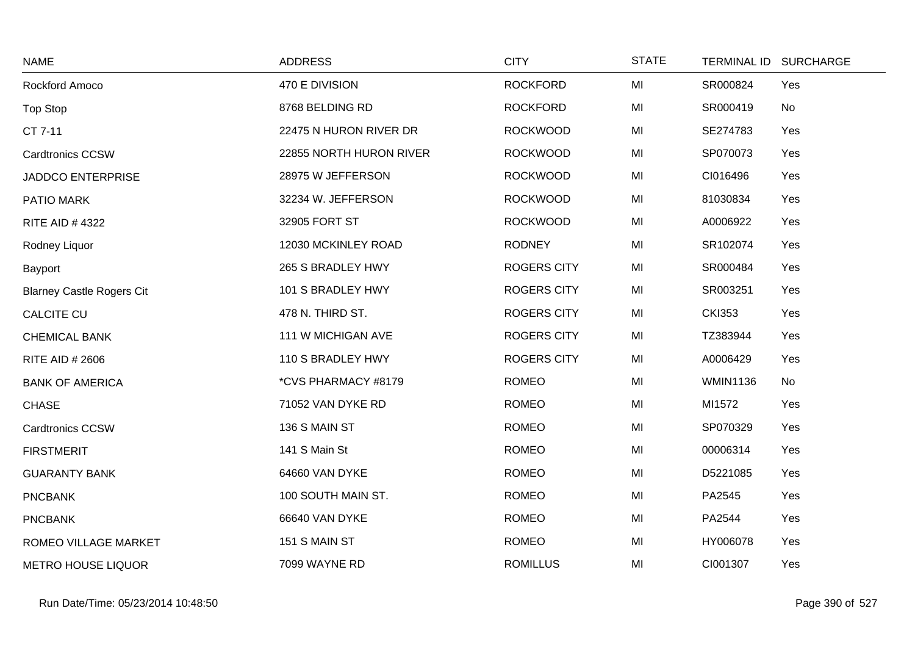| <b>NAME</b>                      | <b>ADDRESS</b>          | <b>CITY</b>        | <b>STATE</b> |                 | TERMINAL ID SURCHARGE |
|----------------------------------|-------------------------|--------------------|--------------|-----------------|-----------------------|
| Rockford Amoco                   | 470 E DIVISION          | <b>ROCKFORD</b>    | MI           | SR000824        | Yes                   |
| <b>Top Stop</b>                  | 8768 BELDING RD         | <b>ROCKFORD</b>    | MI           | SR000419        | No                    |
| CT 7-11                          | 22475 N HURON RIVER DR  | <b>ROCKWOOD</b>    | MI           | SE274783        | Yes                   |
| <b>Cardtronics CCSW</b>          | 22855 NORTH HURON RIVER | <b>ROCKWOOD</b>    | MI           | SP070073        | Yes                   |
| <b>JADDCO ENTERPRISE</b>         | 28975 W JEFFERSON       | <b>ROCKWOOD</b>    | MI           | CI016496        | Yes                   |
| PATIO MARK                       | 32234 W. JEFFERSON      | <b>ROCKWOOD</b>    | MI           | 81030834        | Yes                   |
| <b>RITE AID #4322</b>            | 32905 FORT ST           | <b>ROCKWOOD</b>    | MI           | A0006922        | Yes                   |
| Rodney Liquor                    | 12030 MCKINLEY ROAD     | <b>RODNEY</b>      | MI           | SR102074        | Yes                   |
| Bayport                          | 265 S BRADLEY HWY       | <b>ROGERS CITY</b> | MI           | SR000484        | Yes                   |
| <b>Blarney Castle Rogers Cit</b> | 101 S BRADLEY HWY       | <b>ROGERS CITY</b> | MI           | SR003251        | Yes                   |
| <b>CALCITE CU</b>                | 478 N. THIRD ST.        | <b>ROGERS CITY</b> | MI           | <b>CKI353</b>   | Yes                   |
| <b>CHEMICAL BANK</b>             | 111 W MICHIGAN AVE      | <b>ROGERS CITY</b> | MI           | TZ383944        | Yes                   |
| <b>RITE AID # 2606</b>           | 110 S BRADLEY HWY       | <b>ROGERS CITY</b> | MI           | A0006429        | Yes                   |
| <b>BANK OF AMERICA</b>           | *CVS PHARMACY #8179     | <b>ROMEO</b>       | MI           | <b>WMIN1136</b> | <b>No</b>             |
| <b>CHASE</b>                     | 71052 VAN DYKE RD       | <b>ROMEO</b>       | MI           | MI1572          | Yes                   |
| <b>Cardtronics CCSW</b>          | 136 S MAIN ST           | <b>ROMEO</b>       | MI           | SP070329        | Yes                   |
| <b>FIRSTMERIT</b>                | 141 S Main St           | <b>ROMEO</b>       | MI           | 00006314        | Yes                   |
| <b>GUARANTY BANK</b>             | 64660 VAN DYKE          | <b>ROMEO</b>       | MI           | D5221085        | Yes                   |
| <b>PNCBANK</b>                   | 100 SOUTH MAIN ST.      | <b>ROMEO</b>       | MI           | PA2545          | Yes                   |
| <b>PNCBANK</b>                   | 66640 VAN DYKE          | <b>ROMEO</b>       | MI           | PA2544          | Yes                   |
| ROMEO VILLAGE MARKET             | 151 S MAIN ST           | <b>ROMEO</b>       | MI           | HY006078        | Yes                   |
| <b>METRO HOUSE LIQUOR</b>        | 7099 WAYNE RD           | <b>ROMILLUS</b>    | MI           | CI001307        | Yes                   |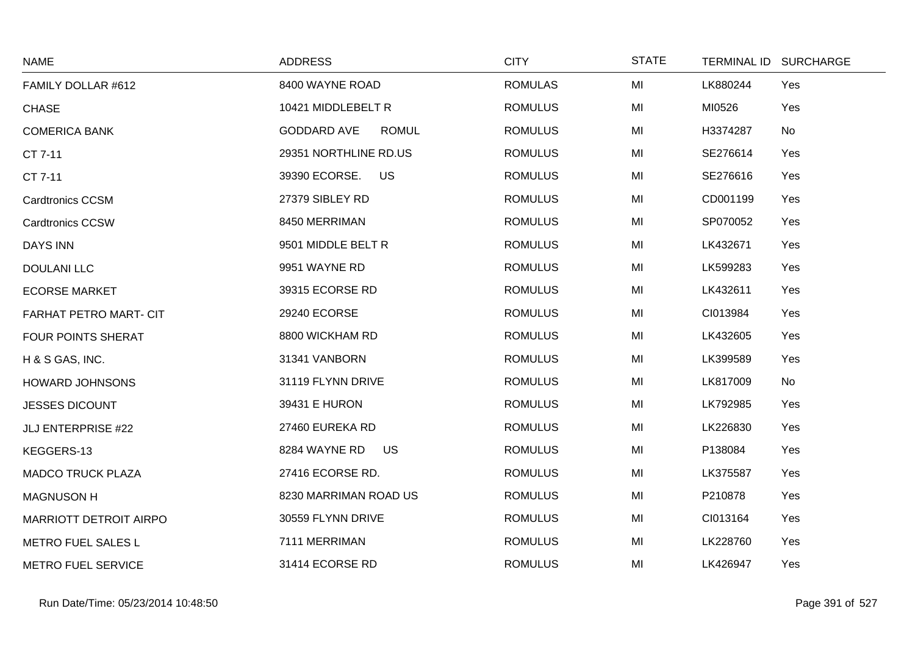| <b>NAME</b>                   | <b>ADDRESS</b>                     | <b>CITY</b>    | <b>STATE</b> | <b>TERMINAL ID</b><br><b>SURCHARGE</b> |  |
|-------------------------------|------------------------------------|----------------|--------------|----------------------------------------|--|
| FAMILY DOLLAR #612            | 8400 WAYNE ROAD                    | <b>ROMULAS</b> | MI           | LK880244<br>Yes                        |  |
| <b>CHASE</b>                  | 10421 MIDDLEBELT R                 | <b>ROMULUS</b> | MI           | MI0526<br>Yes                          |  |
| <b>COMERICA BANK</b>          | <b>GODDARD AVE</b><br><b>ROMUL</b> | <b>ROMULUS</b> | MI           | H3374287<br>No                         |  |
| CT 7-11                       | 29351 NORTHLINE RD.US              | <b>ROMULUS</b> | MI           | SE276614<br>Yes                        |  |
| CT 7-11                       | <b>US</b><br>39390 ECORSE.         | <b>ROMULUS</b> | MI           | SE276616<br>Yes                        |  |
| <b>Cardtronics CCSM</b>       | 27379 SIBLEY RD                    | <b>ROMULUS</b> | MI           | CD001199<br>Yes                        |  |
| <b>Cardtronics CCSW</b>       | 8450 MERRIMAN                      | <b>ROMULUS</b> | MI           | SP070052<br>Yes                        |  |
| <b>DAYS INN</b>               | 9501 MIDDLE BELT R                 | <b>ROMULUS</b> | MI           | LK432671<br>Yes                        |  |
| <b>DOULANI LLC</b>            | 9951 WAYNE RD                      | <b>ROMULUS</b> | MI           | LK599283<br>Yes                        |  |
| <b>ECORSE MARKET</b>          | 39315 ECORSE RD                    | <b>ROMULUS</b> | MI           | LK432611<br>Yes                        |  |
| FARHAT PETRO MART- CIT        | 29240 ECORSE                       | <b>ROMULUS</b> | MI           | CI013984<br>Yes                        |  |
| <b>FOUR POINTS SHERAT</b>     | 8800 WICKHAM RD                    | <b>ROMULUS</b> | MI           | LK432605<br>Yes                        |  |
| H & S GAS, INC.               | 31341 VANBORN                      | <b>ROMULUS</b> | MI           | LK399589<br>Yes                        |  |
| <b>HOWARD JOHNSONS</b>        | 31119 FLYNN DRIVE                  | <b>ROMULUS</b> | MI           | No<br>LK817009                         |  |
| <b>JESSES DICOUNT</b>         | 39431 E HURON                      | <b>ROMULUS</b> | MI           | LK792985<br>Yes                        |  |
| <b>JLJ ENTERPRISE #22</b>     | 27460 EUREKA RD                    | <b>ROMULUS</b> | MI           | LK226830<br>Yes                        |  |
| KEGGERS-13                    | 8284 WAYNE RD<br>US                | <b>ROMULUS</b> | MI           | P138084<br>Yes                         |  |
| <b>MADCO TRUCK PLAZA</b>      | 27416 ECORSE RD.                   | <b>ROMULUS</b> | MI           | LK375587<br>Yes                        |  |
| <b>MAGNUSON H</b>             | 8230 MARRIMAN ROAD US              | <b>ROMULUS</b> | MI           | P210878<br>Yes                         |  |
| <b>MARRIOTT DETROIT AIRPO</b> | 30559 FLYNN DRIVE                  | <b>ROMULUS</b> | MI           | CI013164<br>Yes                        |  |
| METRO FUEL SALES L            | 7111 MERRIMAN                      | <b>ROMULUS</b> | MI           | LK228760<br>Yes                        |  |
| <b>METRO FUEL SERVICE</b>     | 31414 ECORSE RD                    | <b>ROMULUS</b> | MI           | LK426947<br>Yes                        |  |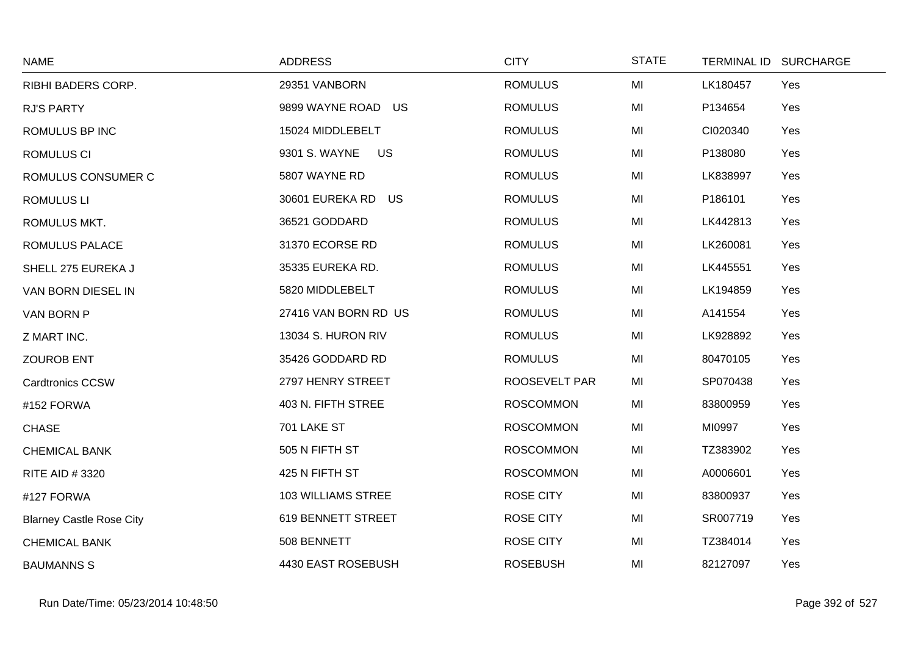| <b>NAME</b>                     | <b>ADDRESS</b>             | <b>CITY</b>      | <b>STATE</b> |          | TERMINAL ID SURCHARGE |
|---------------------------------|----------------------------|------------------|--------------|----------|-----------------------|
| RIBHI BADERS CORP.              | 29351 VANBORN              | <b>ROMULUS</b>   | MI           | LK180457 | Yes                   |
| <b>RJ'S PARTY</b>               | 9899 WAYNE ROAD US         | <b>ROMULUS</b>   | MI           | P134654  | Yes                   |
| ROMULUS BP INC                  | 15024 MIDDLEBELT           | <b>ROMULUS</b>   | MI           | CI020340 | Yes                   |
| <b>ROMULUS CI</b>               | 9301 S. WAYNE<br><b>US</b> | <b>ROMULUS</b>   | MI           | P138080  | Yes                   |
| ROMULUS CONSUMER C              | 5807 WAYNE RD              | <b>ROMULUS</b>   | MI           | LK838997 | Yes                   |
| <b>ROMULUS LI</b>               | 30601 EUREKA RD US         | <b>ROMULUS</b>   | MI           | P186101  | Yes                   |
| ROMULUS MKT.                    | 36521 GODDARD              | <b>ROMULUS</b>   | MI           | LK442813 | Yes                   |
| ROMULUS PALACE                  | 31370 ECORSE RD            | <b>ROMULUS</b>   | MI           | LK260081 | Yes                   |
| SHELL 275 EUREKA J              | 35335 EUREKA RD.           | <b>ROMULUS</b>   | MI           | LK445551 | Yes                   |
| VAN BORN DIESEL IN              | 5820 MIDDLEBELT            | <b>ROMULUS</b>   | MI           | LK194859 | Yes                   |
| VAN BORN P                      | 27416 VAN BORN RD US       | <b>ROMULUS</b>   | MI           | A141554  | Yes                   |
| Z MART INC.                     | 13034 S. HURON RIV         | <b>ROMULUS</b>   | MI           | LK928892 | Yes                   |
| <b>ZOUROB ENT</b>               | 35426 GODDARD RD           | <b>ROMULUS</b>   | MI           | 80470105 | Yes                   |
| <b>Cardtronics CCSW</b>         | 2797 HENRY STREET          | ROOSEVELT PAR    | MI           | SP070438 | Yes                   |
| #152 FORWA                      | 403 N. FIFTH STREE         | <b>ROSCOMMON</b> | MI           | 83800959 | Yes                   |
| <b>CHASE</b>                    | 701 LAKE ST                | <b>ROSCOMMON</b> | MI           | MI0997   | Yes                   |
| <b>CHEMICAL BANK</b>            | 505 N FIFTH ST             | <b>ROSCOMMON</b> | MI           | TZ383902 | Yes                   |
| RITE AID #3320                  | 425 N FIFTH ST             | <b>ROSCOMMON</b> | MI           | A0006601 | Yes                   |
| #127 FORWA                      | <b>103 WILLIAMS STREE</b>  | <b>ROSE CITY</b> | MI           | 83800937 | Yes                   |
| <b>Blarney Castle Rose City</b> | 619 BENNETT STREET         | <b>ROSE CITY</b> | MI           | SR007719 | Yes                   |
| <b>CHEMICAL BANK</b>            | 508 BENNETT                | <b>ROSE CITY</b> | MI           | TZ384014 | Yes                   |
| <b>BAUMANNS S</b>               | 4430 EAST ROSEBUSH         | <b>ROSEBUSH</b>  | MI           | 82127097 | Yes                   |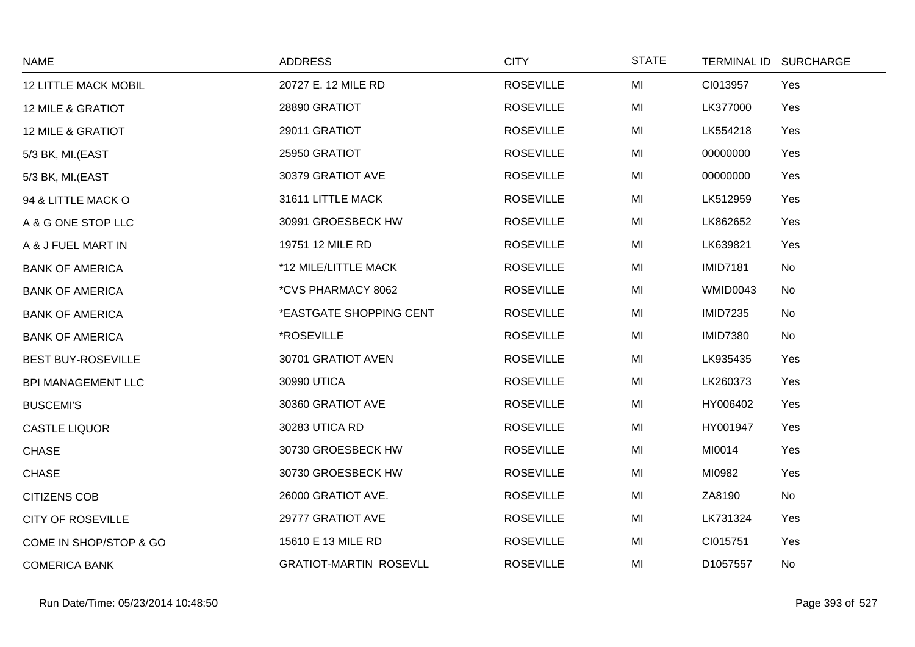| <b>NAME</b>                  | <b>ADDRESS</b>                | <b>CITY</b>      | <b>STATE</b> |                 | TERMINAL ID SURCHARGE |
|------------------------------|-------------------------------|------------------|--------------|-----------------|-----------------------|
| <b>12 LITTLE MACK MOBIL</b>  | 20727 E. 12 MILE RD           | <b>ROSEVILLE</b> | MI           | CI013957        | Yes                   |
| <b>12 MILE &amp; GRATIOT</b> | 28890 GRATIOT                 | <b>ROSEVILLE</b> | MI           | LK377000        | Yes                   |
| <b>12 MILE &amp; GRATIOT</b> | 29011 GRATIOT                 | <b>ROSEVILLE</b> | MI           | LK554218        | Yes                   |
| 5/3 BK, MI.(EAST             | 25950 GRATIOT                 | <b>ROSEVILLE</b> | MI           | 00000000        | Yes                   |
| 5/3 BK, MI.(EAST             | 30379 GRATIOT AVE             | <b>ROSEVILLE</b> | MI           | 00000000        | Yes                   |
| 94 & LITTLE MACK O           | 31611 LITTLE MACK             | <b>ROSEVILLE</b> | MI           | LK512959        | Yes                   |
| A & G ONE STOP LLC           | 30991 GROESBECK HW            | <b>ROSEVILLE</b> | MI           | LK862652        | Yes                   |
| A & J FUEL MART IN           | 19751 12 MILE RD              | <b>ROSEVILLE</b> | MI           | LK639821        | Yes                   |
| <b>BANK OF AMERICA</b>       | *12 MILE/LITTLE MACK          | <b>ROSEVILLE</b> | MI           | <b>IMID7181</b> | No                    |
| <b>BANK OF AMERICA</b>       | *CVS PHARMACY 8062            | <b>ROSEVILLE</b> | MI           | <b>WMID0043</b> | No                    |
| <b>BANK OF AMERICA</b>       | *EASTGATE SHOPPING CENT       | <b>ROSEVILLE</b> | MI           | <b>IMID7235</b> | No                    |
| <b>BANK OF AMERICA</b>       | *ROSEVILLE                    | <b>ROSEVILLE</b> | MI           | <b>IMID7380</b> | No                    |
| <b>BEST BUY-ROSEVILLE</b>    | 30701 GRATIOT AVEN            | <b>ROSEVILLE</b> | MI           | LK935435        | Yes                   |
| <b>BPI MANAGEMENT LLC</b>    | 30990 UTICA                   | <b>ROSEVILLE</b> | MI           | LK260373        | Yes                   |
| <b>BUSCEMI'S</b>             | 30360 GRATIOT AVE             | <b>ROSEVILLE</b> | MI           | HY006402        | Yes                   |
| <b>CASTLE LIQUOR</b>         | 30283 UTICA RD                | <b>ROSEVILLE</b> | MI           | HY001947        | Yes                   |
| <b>CHASE</b>                 | 30730 GROESBECK HW            | <b>ROSEVILLE</b> | MI           | MI0014          | Yes                   |
| <b>CHASE</b>                 | 30730 GROESBECK HW            | <b>ROSEVILLE</b> | MI           | MI0982          | Yes                   |
| <b>CITIZENS COB</b>          | 26000 GRATIOT AVE.            | <b>ROSEVILLE</b> | MI           | ZA8190          | <b>No</b>             |
| <b>CITY OF ROSEVILLE</b>     | 29777 GRATIOT AVE             | <b>ROSEVILLE</b> | MI           | LK731324        | Yes                   |
| COME IN SHOP/STOP & GO       | 15610 E 13 MILE RD            | <b>ROSEVILLE</b> | MI           | CI015751        | Yes                   |
| <b>COMERICA BANK</b>         | <b>GRATIOT-MARTIN ROSEVLL</b> | <b>ROSEVILLE</b> | MI           | D1057557        | No                    |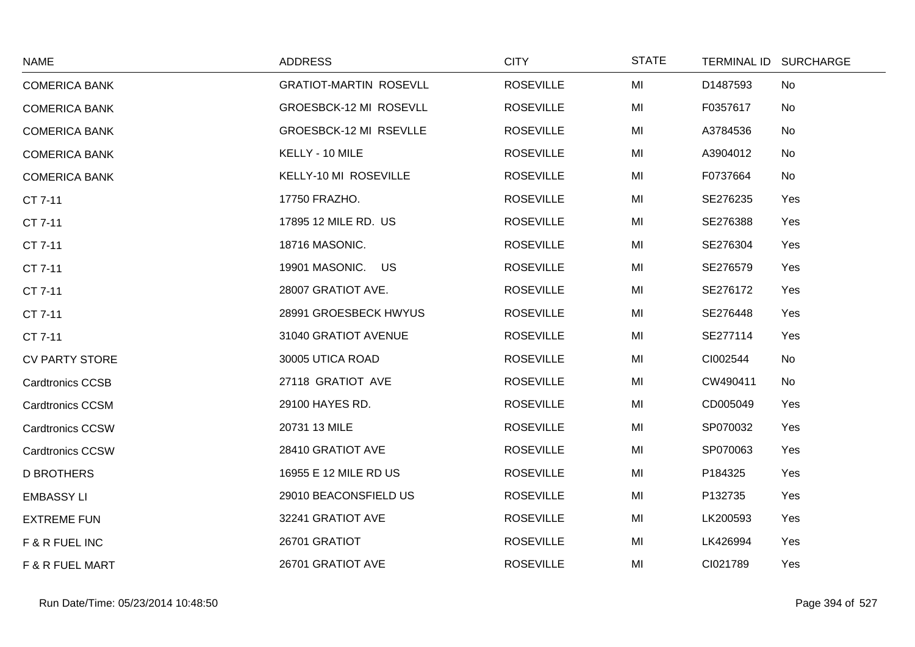| <b>NAME</b>             | <b>ADDRESS</b>                | <b>CITY</b>      | <b>STATE</b> |          | TERMINAL ID SURCHARGE |
|-------------------------|-------------------------------|------------------|--------------|----------|-----------------------|
| <b>COMERICA BANK</b>    | <b>GRATIOT-MARTIN ROSEVLL</b> | <b>ROSEVILLE</b> | MI           | D1487593 | No                    |
| <b>COMERICA BANK</b>    | GROESBCK-12 MI ROSEVLL        | <b>ROSEVILLE</b> | MI           | F0357617 | No                    |
| <b>COMERICA BANK</b>    | GROESBCK-12 MI RSEVLLE        | <b>ROSEVILLE</b> | MI           | A3784536 | No                    |
| <b>COMERICA BANK</b>    | KELLY - 10 MILE               | <b>ROSEVILLE</b> | MI           | A3904012 | No                    |
| <b>COMERICA BANK</b>    | KELLY-10 MI ROSEVILLE         | <b>ROSEVILLE</b> | MI           | F0737664 | No                    |
| CT 7-11                 | 17750 FRAZHO.                 | <b>ROSEVILLE</b> | MI           | SE276235 | Yes                   |
| CT 7-11                 | 17895 12 MILE RD. US          | <b>ROSEVILLE</b> | MI           | SE276388 | Yes                   |
| CT 7-11                 | 18716 MASONIC.                | <b>ROSEVILLE</b> | MI           | SE276304 | Yes                   |
| CT 7-11                 | 19901 MASONIC. US             | <b>ROSEVILLE</b> | MI           | SE276579 | Yes                   |
| CT 7-11                 | 28007 GRATIOT AVE.            | <b>ROSEVILLE</b> | MI           | SE276172 | Yes                   |
| CT 7-11                 | 28991 GROESBECK HWYUS         | <b>ROSEVILLE</b> | MI           | SE276448 | Yes                   |
| CT 7-11                 | 31040 GRATIOT AVENUE          | <b>ROSEVILLE</b> | MI           | SE277114 | Yes                   |
| <b>CV PARTY STORE</b>   | 30005 UTICA ROAD              | <b>ROSEVILLE</b> | MI           | CI002544 | No                    |
| <b>Cardtronics CCSB</b> | 27118 GRATIOT AVE             | <b>ROSEVILLE</b> | MI           | CW490411 | No                    |
| <b>Cardtronics CCSM</b> | 29100 HAYES RD.               | <b>ROSEVILLE</b> | MI           | CD005049 | Yes                   |
| <b>Cardtronics CCSW</b> | 20731 13 MILE                 | <b>ROSEVILLE</b> | MI           | SP070032 | Yes                   |
| <b>Cardtronics CCSW</b> | 28410 GRATIOT AVE             | <b>ROSEVILLE</b> | MI           | SP070063 | Yes                   |
| <b>D BROTHERS</b>       | 16955 E 12 MILE RD US         | <b>ROSEVILLE</b> | MI           | P184325  | Yes                   |
| <b>EMBASSY LI</b>       | 29010 BEACONSFIELD US         | <b>ROSEVILLE</b> | MI           | P132735  | Yes                   |
| <b>EXTREME FUN</b>      | 32241 GRATIOT AVE             | <b>ROSEVILLE</b> | MI           | LK200593 | Yes                   |
| F & R FUEL INC          | 26701 GRATIOT                 | <b>ROSEVILLE</b> | MI           | LK426994 | Yes                   |
| F & R FUEL MART         | 26701 GRATIOT AVE             | <b>ROSEVILLE</b> | MI           | CI021789 | Yes                   |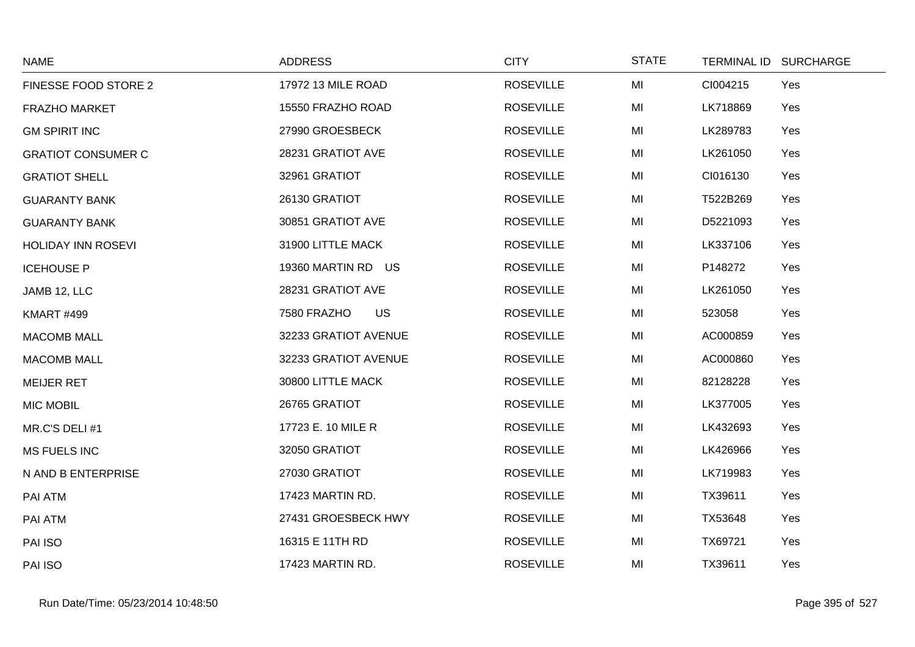| <b>NAME</b>               | <b>ADDRESS</b>           | <b>CITY</b>      | <b>STATE</b> | TERMINAL ID SURCHARGE |
|---------------------------|--------------------------|------------------|--------------|-----------------------|
| FINESSE FOOD STORE 2      | 17972 13 MILE ROAD       | <b>ROSEVILLE</b> | MI           | CI004215<br>Yes       |
| <b>FRAZHO MARKET</b>      | 15550 FRAZHO ROAD        | <b>ROSEVILLE</b> | MI           | LK718869<br>Yes       |
| <b>GM SPIRIT INC</b>      | 27990 GROESBECK          | <b>ROSEVILLE</b> | MI           | LK289783<br>Yes       |
| <b>GRATIOT CONSUMER C</b> | 28231 GRATIOT AVE        | <b>ROSEVILLE</b> | MI           | LK261050<br>Yes       |
| <b>GRATIOT SHELL</b>      | 32961 GRATIOT            | <b>ROSEVILLE</b> | MI           | CI016130<br>Yes       |
| <b>GUARANTY BANK</b>      | 26130 GRATIOT            | <b>ROSEVILLE</b> | MI           | T522B269<br>Yes       |
| <b>GUARANTY BANK</b>      | 30851 GRATIOT AVE        | <b>ROSEVILLE</b> | MI           | D5221093<br>Yes       |
| <b>HOLIDAY INN ROSEVI</b> | 31900 LITTLE MACK        | <b>ROSEVILLE</b> | MI           | LK337106<br>Yes       |
| <b>ICEHOUSE P</b>         | 19360 MARTIN RD US       | <b>ROSEVILLE</b> | MI           | P148272<br>Yes        |
| JAMB 12, LLC              | 28231 GRATIOT AVE        | <b>ROSEVILLE</b> | MI           | LK261050<br>Yes       |
| <b>KMART #499</b>         | <b>US</b><br>7580 FRAZHO | <b>ROSEVILLE</b> | MI           | 523058<br>Yes         |
| <b>MACOMB MALL</b>        | 32233 GRATIOT AVENUE     | <b>ROSEVILLE</b> | MI           | AC000859<br>Yes       |
| <b>MACOMB MALL</b>        | 32233 GRATIOT AVENUE     | <b>ROSEVILLE</b> | MI           | AC000860<br>Yes       |
| <b>MEIJER RET</b>         | 30800 LITTLE MACK        | <b>ROSEVILLE</b> | MI           | 82128228<br>Yes       |
| <b>MIC MOBIL</b>          | 26765 GRATIOT            | <b>ROSEVILLE</b> | MI           | LK377005<br>Yes       |
| MR.C'S DELI #1            | 17723 E. 10 MILE R       | <b>ROSEVILLE</b> | MI           | LK432693<br>Yes       |
| <b>MS FUELS INC</b>       | 32050 GRATIOT            | <b>ROSEVILLE</b> | MI           | LK426966<br>Yes       |
| N AND B ENTERPRISE        | 27030 GRATIOT            | <b>ROSEVILLE</b> | MI           | LK719983<br>Yes       |
| PAI ATM                   | 17423 MARTIN RD.         | <b>ROSEVILLE</b> | MI           | TX39611<br>Yes        |
| PAI ATM                   | 27431 GROESBECK HWY      | <b>ROSEVILLE</b> | MI           | TX53648<br>Yes        |
| PAI ISO                   | 16315 E 11TH RD          | <b>ROSEVILLE</b> | MI           | TX69721<br>Yes        |
| PAI ISO                   | 17423 MARTIN RD.         | <b>ROSEVILLE</b> | MI           | TX39611<br>Yes        |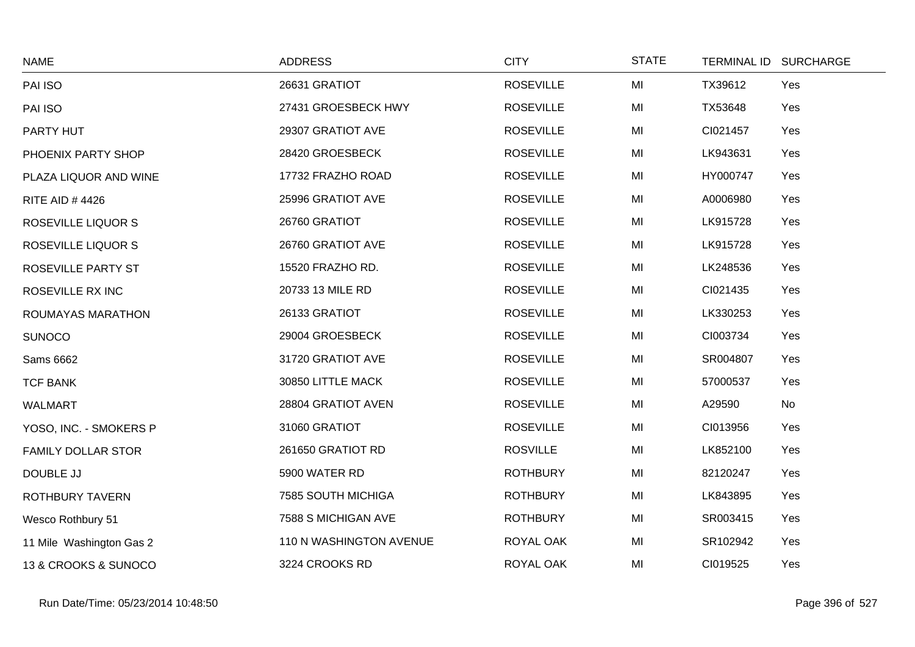| <b>NAME</b>               | <b>ADDRESS</b>          | <b>CITY</b>      | <b>STATE</b> | <b>TERMINAL ID</b> | <b>SURCHARGE</b> |
|---------------------------|-------------------------|------------------|--------------|--------------------|------------------|
| PAI ISO                   | 26631 GRATIOT           | <b>ROSEVILLE</b> | MI           | TX39612            | Yes              |
| PAI ISO                   | 27431 GROESBECK HWY     | <b>ROSEVILLE</b> | MI           | TX53648            | Yes              |
| PARTY HUT                 | 29307 GRATIOT AVE       | <b>ROSEVILLE</b> | MI           | CI021457           | Yes              |
| PHOENIX PARTY SHOP        | 28420 GROESBECK         | <b>ROSEVILLE</b> | MI           | LK943631           | Yes              |
| PLAZA LIQUOR AND WINE     | 17732 FRAZHO ROAD       | <b>ROSEVILLE</b> | MI           | HY000747           | Yes              |
| <b>RITE AID #4426</b>     | 25996 GRATIOT AVE       | <b>ROSEVILLE</b> | MI           | A0006980           | Yes              |
| ROSEVILLE LIQUOR S        | 26760 GRATIOT           | <b>ROSEVILLE</b> | MI           | LK915728           | Yes              |
| <b>ROSEVILLE LIQUOR S</b> | 26760 GRATIOT AVE       | <b>ROSEVILLE</b> | MI           | LK915728           | Yes              |
| ROSEVILLE PARTY ST        | 15520 FRAZHO RD.        | <b>ROSEVILLE</b> | MI           | LK248536           | Yes              |
| ROSEVILLE RX INC          | 20733 13 MILE RD        | <b>ROSEVILLE</b> | MI           | CI021435           | Yes              |
| ROUMAYAS MARATHON         | 26133 GRATIOT           | <b>ROSEVILLE</b> | MI           | LK330253           | Yes              |
| <b>SUNOCO</b>             | 29004 GROESBECK         | <b>ROSEVILLE</b> | MI           | CI003734           | Yes              |
| Sams 6662                 | 31720 GRATIOT AVE       | <b>ROSEVILLE</b> | MI           | SR004807           | Yes              |
| <b>TCF BANK</b>           | 30850 LITTLE MACK       | <b>ROSEVILLE</b> | MI           | 57000537           | Yes              |
| <b>WALMART</b>            | 28804 GRATIOT AVEN      | <b>ROSEVILLE</b> | MI           | A29590             | No               |
| YOSO, INC. - SMOKERS P    | 31060 GRATIOT           | <b>ROSEVILLE</b> | MI           | CI013956           | Yes              |
| <b>FAMILY DOLLAR STOR</b> | 261650 GRATIOT RD       | <b>ROSVILLE</b>  | MI           | LK852100           | Yes              |
| DOUBLE JJ                 | 5900 WATER RD           | <b>ROTHBURY</b>  | MI           | 82120247           | Yes              |
| <b>ROTHBURY TAVERN</b>    | 7585 SOUTH MICHIGA      | <b>ROTHBURY</b>  | MI           | LK843895           | Yes              |
| Wesco Rothbury 51         | 7588 S MICHIGAN AVE     | <b>ROTHBURY</b>  | MI           | SR003415           | Yes              |
| 11 Mile Washington Gas 2  | 110 N WASHINGTON AVENUE | ROYAL OAK        | MI           | SR102942           | Yes              |
| 13 & CROOKS & SUNOCO      | 3224 CROOKS RD          | ROYAL OAK        | MI           | CI019525           | Yes              |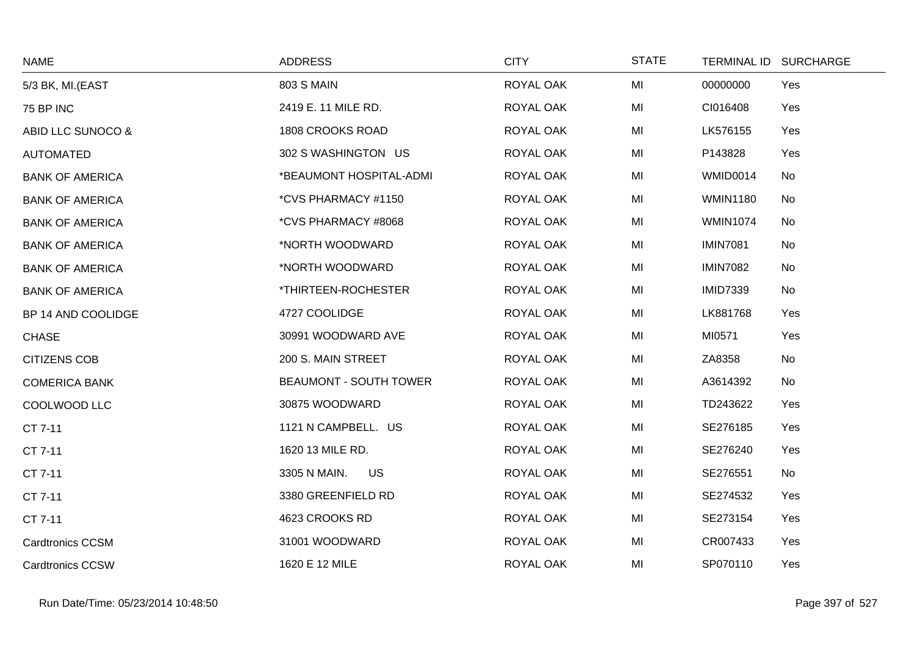| <b>NAME</b>             | <b>ADDRESS</b>                | <b>CITY</b> | <b>STATE</b> |                 | TERMINAL ID SURCHARGE |
|-------------------------|-------------------------------|-------------|--------------|-----------------|-----------------------|
| 5/3 BK, MI.(EAST        | <b>803 S MAIN</b>             | ROYAL OAK   | MI           | 00000000        | Yes                   |
| 75 BP INC               | 2419 E. 11 MILE RD.           | ROYAL OAK   | MI           | CI016408        | Yes                   |
| ABID LLC SUNOCO &       | 1808 CROOKS ROAD              | ROYAL OAK   | MI           | LK576155        | Yes                   |
| AUTOMATED               | 302 S WASHINGTON US           | ROYAL OAK   | MI           | P143828         | Yes                   |
| <b>BANK OF AMERICA</b>  | *BEAUMONT HOSPITAL-ADMI       | ROYAL OAK   | MI           | WMID0014        | No                    |
| <b>BANK OF AMERICA</b>  | *CVS PHARMACY #1150           | ROYAL OAK   | MI           | <b>WMIN1180</b> | No                    |
| <b>BANK OF AMERICA</b>  | *CVS PHARMACY #8068           | ROYAL OAK   | MI           | <b>WMIN1074</b> | No                    |
| <b>BANK OF AMERICA</b>  | *NORTH WOODWARD               | ROYAL OAK   | MI           | <b>IMIN7081</b> | No                    |
| <b>BANK OF AMERICA</b>  | *NORTH WOODWARD               | ROYAL OAK   | MI           | <b>IMIN7082</b> | No                    |
| <b>BANK OF AMERICA</b>  | *THIRTEEN-ROCHESTER           | ROYAL OAK   | MI           | <b>IMID7339</b> | No                    |
| BP 14 AND COOLIDGE      | 4727 COOLIDGE                 | ROYAL OAK   | MI           | LK881768        | Yes                   |
| <b>CHASE</b>            | 30991 WOODWARD AVE            | ROYAL OAK   | MI           | MI0571          | Yes                   |
| <b>CITIZENS COB</b>     | 200 S. MAIN STREET            | ROYAL OAK   | MI           | ZA8358          | No                    |
| <b>COMERICA BANK</b>    | <b>BEAUMONT - SOUTH TOWER</b> | ROYAL OAK   | MI           | A3614392        | No                    |
| COOLWOOD LLC            | 30875 WOODWARD                | ROYAL OAK   | MI           | TD243622        | Yes                   |
| CT 7-11                 | 1121 N CAMPBELL. US           | ROYAL OAK   | MI           | SE276185        | Yes                   |
| CT 7-11                 | 1620 13 MILE RD.              | ROYAL OAK   | MI           | SE276240        | Yes                   |
| CT 7-11                 | 3305 N MAIN.<br>US            | ROYAL OAK   | MI           | SE276551        | No                    |
| CT 7-11                 | 3380 GREENFIELD RD            | ROYAL OAK   | MI           | SE274532        | Yes                   |
| CT 7-11                 | 4623 CROOKS RD                | ROYAL OAK   | MI           | SE273154        | Yes                   |
| <b>Cardtronics CCSM</b> | 31001 WOODWARD                | ROYAL OAK   | MI           | CR007433        | Yes                   |
| <b>Cardtronics CCSW</b> | 1620 E 12 MILE                | ROYAL OAK   | MI           | SP070110        | Yes                   |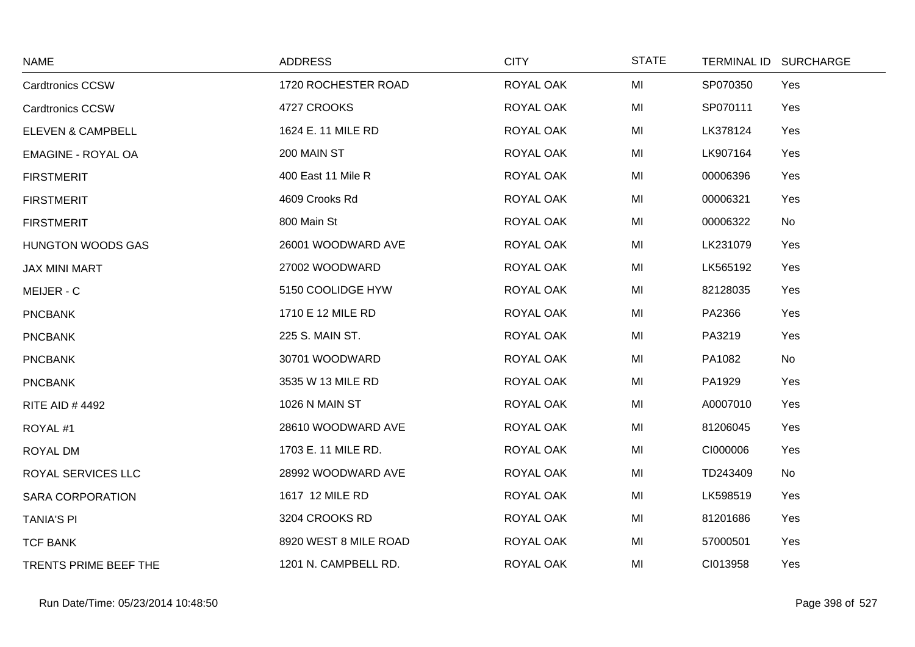| <b>NAME</b>               | <b>ADDRESS</b>        | <b>CITY</b> | <b>STATE</b> | TERMINAL ID SURCHARGE |  |
|---------------------------|-----------------------|-------------|--------------|-----------------------|--|
| <b>Cardtronics CCSW</b>   | 1720 ROCHESTER ROAD   | ROYAL OAK   | MI           | SP070350<br>Yes       |  |
| <b>Cardtronics CCSW</b>   | 4727 CROOKS           | ROYAL OAK   | MI           | SP070111<br>Yes       |  |
| ELEVEN & CAMPBELL         | 1624 E. 11 MILE RD    | ROYAL OAK   | MI           | LK378124<br>Yes       |  |
| <b>EMAGINE - ROYAL OA</b> | 200 MAIN ST           | ROYAL OAK   | MI           | LK907164<br>Yes       |  |
| <b>FIRSTMERIT</b>         | 400 East 11 Mile R    | ROYAL OAK   | MI           | 00006396<br>Yes       |  |
| <b>FIRSTMERIT</b>         | 4609 Crooks Rd        | ROYAL OAK   | MI           | 00006321<br>Yes       |  |
| <b>FIRSTMERIT</b>         | 800 Main St           | ROYAL OAK   | MI           | 00006322<br>No        |  |
| <b>HUNGTON WOODS GAS</b>  | 26001 WOODWARD AVE    | ROYAL OAK   | MI           | LK231079<br>Yes       |  |
| JAX MINI MART             | 27002 WOODWARD        | ROYAL OAK   | MI           | LK565192<br>Yes       |  |
| MEIJER - C                | 5150 COOLIDGE HYW     | ROYAL OAK   | MI           | 82128035<br>Yes       |  |
| <b>PNCBANK</b>            | 1710 E 12 MILE RD     | ROYAL OAK   | MI           | PA2366<br>Yes         |  |
| <b>PNCBANK</b>            | 225 S. MAIN ST.       | ROYAL OAK   | MI           | PA3219<br>Yes         |  |
| <b>PNCBANK</b>            | 30701 WOODWARD        | ROYAL OAK   | MI           | PA1082<br>No          |  |
| <b>PNCBANK</b>            | 3535 W 13 MILE RD     | ROYAL OAK   | MI           | PA1929<br>Yes         |  |
| <b>RITE AID #4492</b>     | 1026 N MAIN ST        | ROYAL OAK   | MI           | A0007010<br>Yes       |  |
| ROYAL#1                   | 28610 WOODWARD AVE    | ROYAL OAK   | MI           | 81206045<br>Yes       |  |
| ROYAL DM                  | 1703 E. 11 MILE RD.   | ROYAL OAK   | MI           | CI000006<br>Yes       |  |
| ROYAL SERVICES LLC        | 28992 WOODWARD AVE    | ROYAL OAK   | MI           | No<br>TD243409        |  |
| <b>SARA CORPORATION</b>   | 1617 12 MILE RD       | ROYAL OAK   | MI           | LK598519<br>Yes       |  |
| <b>TANIA'S PI</b>         | 3204 CROOKS RD        | ROYAL OAK   | MI           | 81201686<br>Yes       |  |
| <b>TCF BANK</b>           | 8920 WEST 8 MILE ROAD | ROYAL OAK   | MI           | 57000501<br>Yes       |  |
| TRENTS PRIME BEEF THE     | 1201 N. CAMPBELL RD.  | ROYAL OAK   | MI           | CI013958<br>Yes       |  |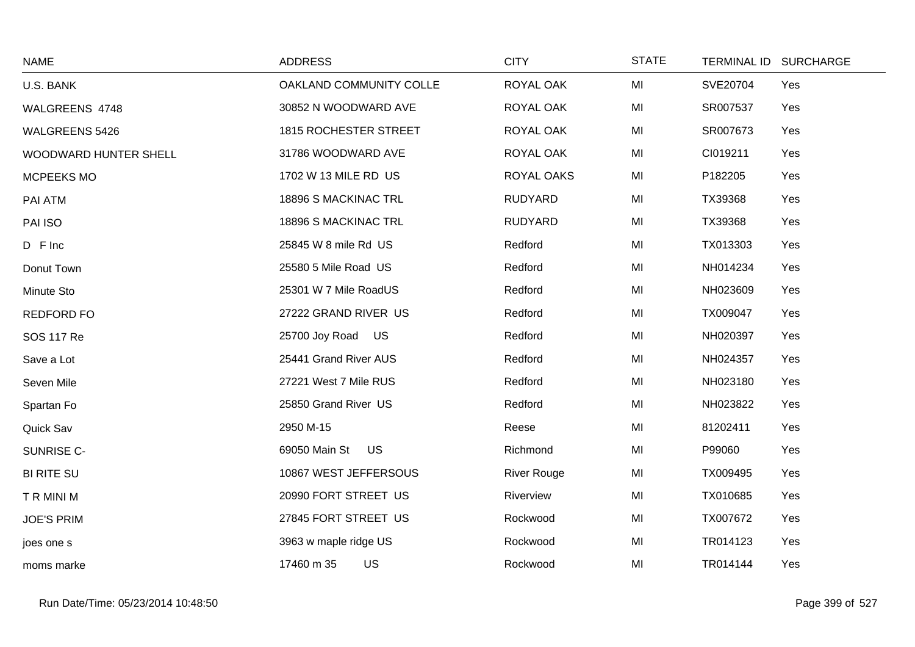| <b>NAME</b>           | <b>ADDRESS</b>          | <b>CITY</b>        | <b>STATE</b> | TERMINAL ID SURCHARGE |
|-----------------------|-------------------------|--------------------|--------------|-----------------------|
| U.S. BANK             | OAKLAND COMMUNITY COLLE | ROYAL OAK          | MI           | SVE20704<br>Yes       |
| WALGREENS 4748        | 30852 N WOODWARD AVE    | ROYAL OAK          | MI           | SR007537<br>Yes       |
| <b>WALGREENS 5426</b> | 1815 ROCHESTER STREET   | ROYAL OAK          | MI           | SR007673<br>Yes       |
| WOODWARD HUNTER SHELL | 31786 WOODWARD AVE      | ROYAL OAK          | MI           | CI019211<br>Yes       |
| MCPEEKS MO            | 1702 W 13 MILE RD US    | ROYAL OAKS         | MI           | P182205<br>Yes        |
| PAI ATM               | 18896 S MACKINAC TRL    | <b>RUDYARD</b>     | MI           | TX39368<br>Yes        |
| PAI ISO               | 18896 S MACKINAC TRL    | <b>RUDYARD</b>     | MI           | TX39368<br>Yes        |
| D F Inc               | 25845 W 8 mile Rd US    | Redford            | MI           | TX013303<br>Yes       |
| Donut Town            | 25580 5 Mile Road US    | Redford            | MI           | NH014234<br>Yes       |
| Minute Sto            | 25301 W 7 Mile RoadUS   | Redford            | MI           | NH023609<br>Yes       |
| <b>REDFORD FO</b>     | 27222 GRAND RIVER US    | Redford            | MI           | TX009047<br>Yes       |
| <b>SOS 117 Re</b>     | 25700 Joy Road US       | Redford            | MI           | NH020397<br>Yes       |
| Save a Lot            | 25441 Grand River AUS   | Redford            | MI           | NH024357<br>Yes       |
| Seven Mile            | 27221 West 7 Mile RUS   | Redford            | MI           | NH023180<br>Yes       |
| Spartan Fo            | 25850 Grand River US    | Redford            | MI           | NH023822<br>Yes       |
| Quick Sav             | 2950 M-15               | Reese              | MI           | 81202411<br>Yes       |
| SUNRISE C-            | 69050 Main St US        | Richmond           | MI           | P99060<br>Yes         |
| <b>BI RITE SU</b>     | 10867 WEST JEFFERSOUS   | <b>River Rouge</b> | MI           | TX009495<br>Yes       |
| T R MINI M            | 20990 FORT STREET US    | Riverview          | MI           | TX010685<br>Yes       |
| <b>JOE'S PRIM</b>     | 27845 FORT STREET US    | Rockwood           | MI           | TX007672<br>Yes       |
| joes one s            | 3963 w maple ridge US   | Rockwood           | MI           | TR014123<br>Yes       |
| moms marke            | 17460 m 35<br>US        | Rockwood           | MI           | TR014144<br>Yes       |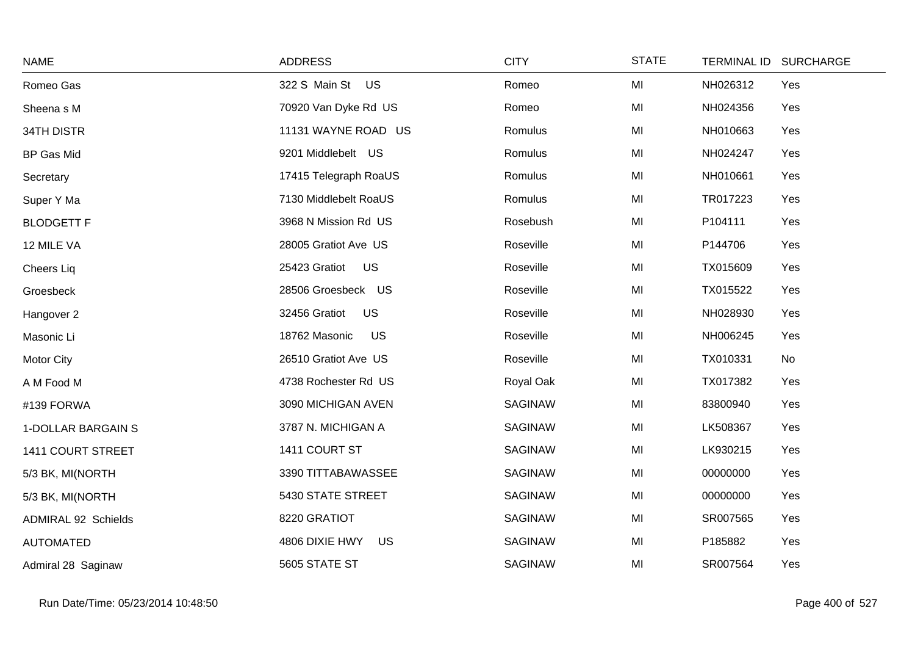| <b>NAME</b>                | <b>ADDRESS</b>             | <b>CITY</b>    | <b>STATE</b> | TERMINAL ID SURCHARGE |
|----------------------------|----------------------------|----------------|--------------|-----------------------|
| Romeo Gas                  | 322 S Main St US           | Romeo          | MI           | Yes<br>NH026312       |
| Sheena s M                 | 70920 Van Dyke Rd US       | Romeo          | MI           | NH024356<br>Yes       |
| 34TH DISTR                 | 11131 WAYNE ROAD US        | Romulus        | MI           | NH010663<br>Yes       |
| <b>BP Gas Mid</b>          | 9201 Middlebelt US         | Romulus        | MI           | Yes<br>NH024247       |
| Secretary                  | 17415 Telegraph RoaUS      | Romulus        | MI           | NH010661<br>Yes       |
| Super Y Ma                 | 7130 Middlebelt RoaUS      | Romulus        | MI           | TR017223<br>Yes       |
| <b>BLODGETT F</b>          | 3968 N Mission Rd US       | Rosebush       | MI           | P104111<br>Yes        |
| 12 MILE VA                 | 28005 Gratiot Ave US       | Roseville      | MI           | P144706<br>Yes        |
| Cheers Liq                 | <b>US</b><br>25423 Gratiot | Roseville      | MI           | TX015609<br>Yes       |
| Groesbeck                  | 28506 Groesbeck US         | Roseville      | MI           | TX015522<br>Yes       |
| Hangover 2                 | <b>US</b><br>32456 Gratiot | Roseville      | MI           | NH028930<br>Yes       |
| Masonic Li                 | <b>US</b><br>18762 Masonic | Roseville      | MI           | NH006245<br>Yes       |
| Motor City                 | 26510 Gratiot Ave US       | Roseville      | MI           | No<br>TX010331        |
| A M Food M                 | 4738 Rochester Rd US       | Royal Oak      | MI           | TX017382<br>Yes       |
| #139 FORWA                 | 3090 MICHIGAN AVEN         | <b>SAGINAW</b> | MI           | 83800940<br>Yes       |
| 1-DOLLAR BARGAIN S         | 3787 N. MICHIGAN A         | <b>SAGINAW</b> | MI           | LK508367<br>Yes       |
| 1411 COURT STREET          | 1411 COURT ST              | SAGINAW        | MI           | LK930215<br>Yes       |
| 5/3 BK, MI(NORTH           | 3390 TITTABAWASSEE         | <b>SAGINAW</b> | MI           | 00000000<br>Yes       |
| 5/3 BK, MI(NORTH           | 5430 STATE STREET          | <b>SAGINAW</b> | MI           | 00000000<br>Yes       |
| <b>ADMIRAL 92 Schields</b> | 8220 GRATIOT               | <b>SAGINAW</b> | MI           | SR007565<br>Yes       |
| <b>AUTOMATED</b>           | 4806 DIXIE HWY<br>US       | <b>SAGINAW</b> | MI           | P185882<br>Yes        |
| Admiral 28 Saginaw         | 5605 STATE ST              | <b>SAGINAW</b> | MI           | SR007564<br>Yes       |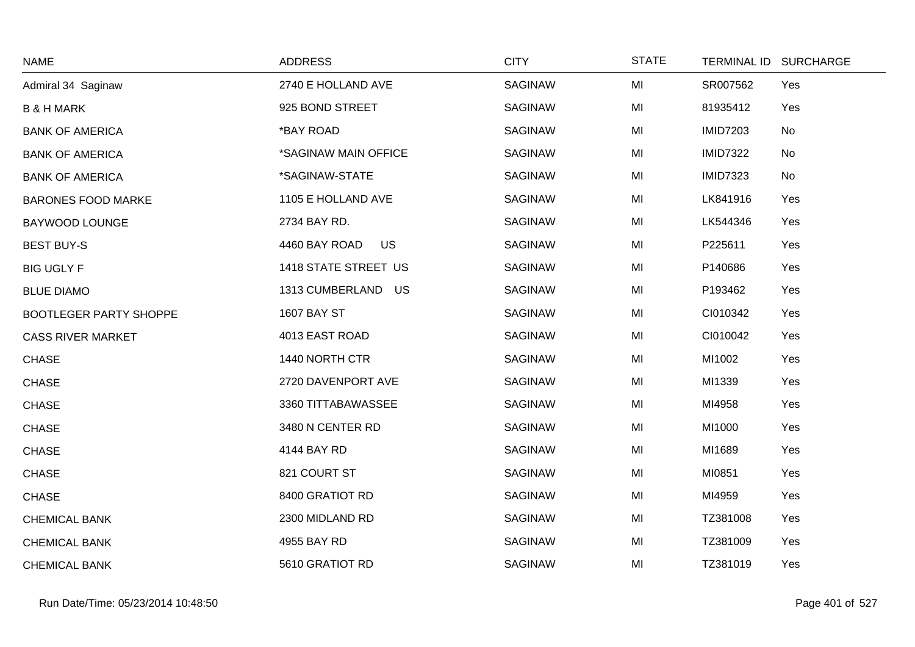| <b>NAME</b>                   | <b>ADDRESS</b>             | <b>CITY</b>    | <b>STATE</b> | <b>TERMINAL ID</b> | <b>SURCHARGE</b> |
|-------------------------------|----------------------------|----------------|--------------|--------------------|------------------|
| Admiral 34 Saginaw            | 2740 E HOLLAND AVE         | SAGINAW        | MI           | SR007562           | Yes              |
| <b>B &amp; H MARK</b>         | 925 BOND STREET            | SAGINAW        | MI           | 81935412           | Yes              |
| <b>BANK OF AMERICA</b>        | *BAY ROAD                  | <b>SAGINAW</b> | MI           | <b>IMID7203</b>    | <b>No</b>        |
| <b>BANK OF AMERICA</b>        | *SAGINAW MAIN OFFICE       | <b>SAGINAW</b> | MI           | <b>IMID7322</b>    | No               |
| <b>BANK OF AMERICA</b>        | *SAGINAW-STATE             | SAGINAW        | MI           | <b>IMID7323</b>    | <b>No</b>        |
| <b>BARONES FOOD MARKE</b>     | 1105 E HOLLAND AVE         | <b>SAGINAW</b> | MI           | LK841916           | Yes              |
| <b>BAYWOOD LOUNGE</b>         | 2734 BAY RD.               | <b>SAGINAW</b> | MI           | LK544346           | Yes              |
| <b>BEST BUY-S</b>             | 4460 BAY ROAD<br><b>US</b> | SAGINAW        | MI           | P225611            | Yes              |
| <b>BIG UGLY F</b>             | 1418 STATE STREET US       | <b>SAGINAW</b> | MI           | P140686            | Yes              |
| <b>BLUE DIAMO</b>             | 1313 CUMBERLAND US         | <b>SAGINAW</b> | MI           | P193462            | Yes              |
| <b>BOOTLEGER PARTY SHOPPE</b> | <b>1607 BAY ST</b>         | <b>SAGINAW</b> | MI           | CI010342           | Yes              |
| <b>CASS RIVER MARKET</b>      | 4013 EAST ROAD             | <b>SAGINAW</b> | MI           | CI010042           | Yes              |
| <b>CHASE</b>                  | 1440 NORTH CTR             | SAGINAW        | MI           | MI1002             | Yes              |
| <b>CHASE</b>                  | 2720 DAVENPORT AVE         | <b>SAGINAW</b> | MI           | MI1339             | Yes              |
| <b>CHASE</b>                  | 3360 TITTABAWASSEE         | <b>SAGINAW</b> | MI           | MI4958             | Yes              |
| <b>CHASE</b>                  | 3480 N CENTER RD           | <b>SAGINAW</b> | MI           | MI1000             | Yes              |
| <b>CHASE</b>                  | 4144 BAY RD                | <b>SAGINAW</b> | MI           | MI1689             | Yes              |
| <b>CHASE</b>                  | 821 COURT ST               | <b>SAGINAW</b> | MI           | MI0851             | Yes              |
| <b>CHASE</b>                  | 8400 GRATIOT RD            | <b>SAGINAW</b> | MI           | MI4959             | Yes              |
| <b>CHEMICAL BANK</b>          | 2300 MIDLAND RD            | SAGINAW        | MI           | TZ381008           | Yes              |
| <b>CHEMICAL BANK</b>          | 4955 BAY RD                | <b>SAGINAW</b> | MI           | TZ381009           | Yes              |
| <b>CHEMICAL BANK</b>          | 5610 GRATIOT RD            | SAGINAW        | MI           | TZ381019           | Yes              |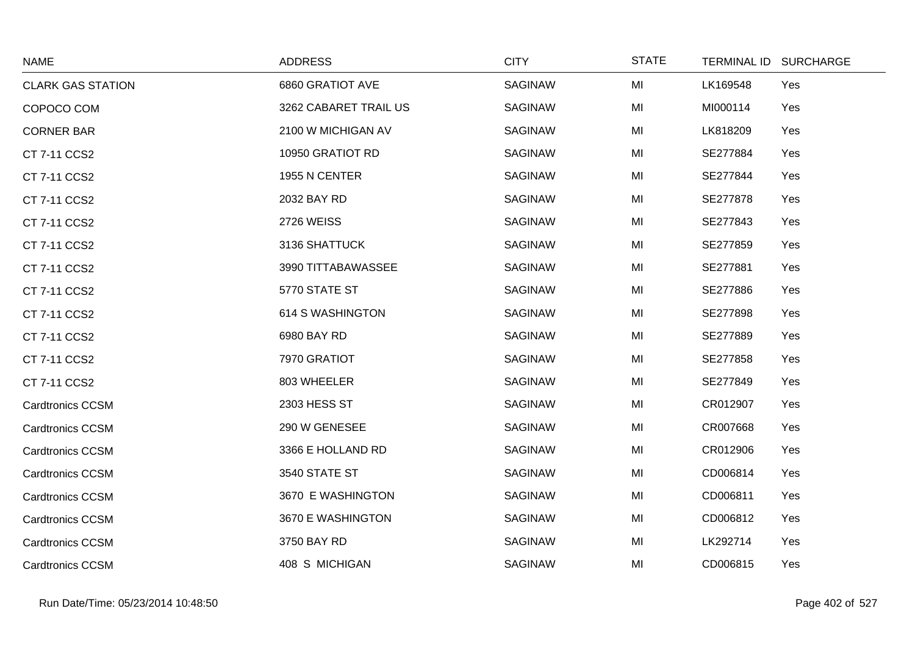| <b>NAME</b>              | <b>ADDRESS</b>        | <b>CITY</b>    | <b>STATE</b> | TERMINAL ID SURCHARGE |
|--------------------------|-----------------------|----------------|--------------|-----------------------|
| <b>CLARK GAS STATION</b> | 6860 GRATIOT AVE      | <b>SAGINAW</b> | MI           | Yes<br>LK169548       |
| COPOCO COM               | 3262 CABARET TRAIL US | SAGINAW        | MI           | MI000114<br>Yes       |
| <b>CORNER BAR</b>        | 2100 W MICHIGAN AV    | SAGINAW        | MI           | LK818209<br>Yes       |
| CT 7-11 CCS2             | 10950 GRATIOT RD      | SAGINAW        | MI           | SE277884<br>Yes       |
| CT 7-11 CCS2             | 1955 N CENTER         | SAGINAW        | MI           | SE277844<br>Yes       |
| CT 7-11 CCS2             | 2032 BAY RD           | SAGINAW        | MI           | SE277878<br>Yes       |
| CT 7-11 CCS2             | <b>2726 WEISS</b>     | SAGINAW        | MI           | SE277843<br>Yes       |
| CT 7-11 CCS2             | 3136 SHATTUCK         | SAGINAW        | MI           | SE277859<br>Yes       |
| CT 7-11 CCS2             | 3990 TITTABAWASSEE    | SAGINAW        | MI           | SE277881<br>Yes       |
| CT 7-11 CCS2             | 5770 STATE ST         | SAGINAW        | MI           | SE277886<br>Yes       |
| CT 7-11 CCS2             | 614 S WASHINGTON      | SAGINAW        | MI           | SE277898<br>Yes       |
| CT 7-11 CCS2             | 6980 BAY RD           | SAGINAW        | MI           | SE277889<br>Yes       |
| CT 7-11 CCS2             | 7970 GRATIOT          | SAGINAW        | MI           | SE277858<br>Yes       |
| CT 7-11 CCS2             | 803 WHEELER           | SAGINAW        | MI           | SE277849<br>Yes       |
| <b>Cardtronics CCSM</b>  | 2303 HESS ST          | SAGINAW        | MI           | CR012907<br>Yes       |
| <b>Cardtronics CCSM</b>  | 290 W GENESEE         | SAGINAW        | MI           | CR007668<br>Yes       |
| <b>Cardtronics CCSM</b>  | 3366 E HOLLAND RD     | SAGINAW        | MI           | CR012906<br>Yes       |
| <b>Cardtronics CCSM</b>  | 3540 STATE ST         | SAGINAW        | MI           | CD006814<br>Yes       |
| <b>Cardtronics CCSM</b>  | 3670 E WASHINGTON     | SAGINAW        | MI           | CD006811<br>Yes       |
| <b>Cardtronics CCSM</b>  | 3670 E WASHINGTON     | SAGINAW        | MI           | CD006812<br>Yes       |
| <b>Cardtronics CCSM</b>  | 3750 BAY RD           | SAGINAW        | MI           | LK292714<br>Yes       |
| <b>Cardtronics CCSM</b>  | 408 S MICHIGAN        | <b>SAGINAW</b> | MI           | CD006815<br>Yes       |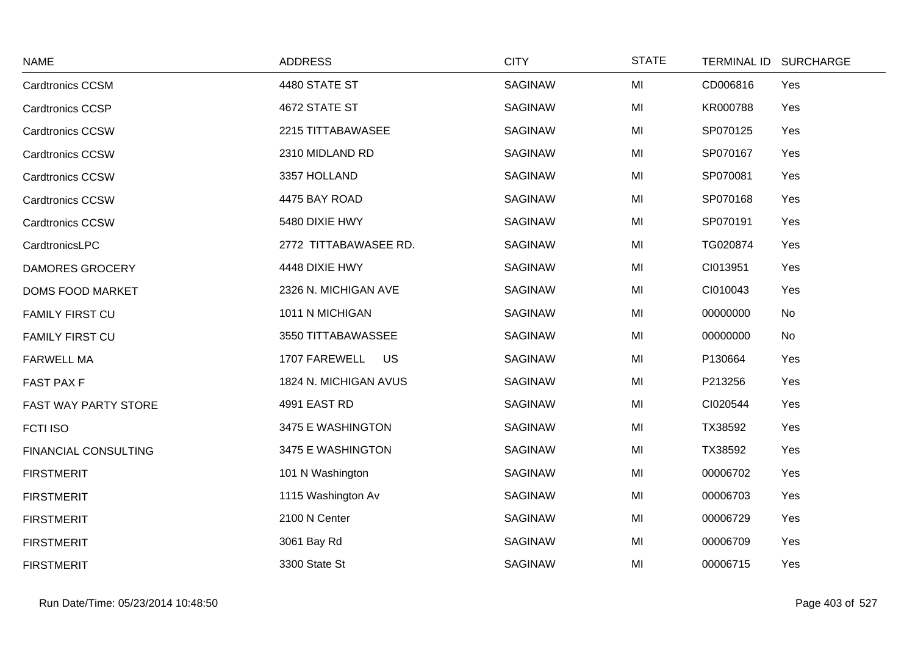| <b>NAME</b>                 | <b>ADDRESS</b>        | <b>CITY</b>    | <b>STATE</b> | <b>TERMINAL ID</b> | <b>SURCHARGE</b> |
|-----------------------------|-----------------------|----------------|--------------|--------------------|------------------|
| <b>Cardtronics CCSM</b>     | 4480 STATE ST         | <b>SAGINAW</b> | MI           | CD006816           | Yes              |
| <b>Cardtronics CCSP</b>     | 4672 STATE ST         | <b>SAGINAW</b> | MI           | KR000788           | Yes              |
| <b>Cardtronics CCSW</b>     | 2215 TITTABAWASEE     | <b>SAGINAW</b> | MI           | SP070125           | Yes              |
| <b>Cardtronics CCSW</b>     | 2310 MIDLAND RD       | <b>SAGINAW</b> | MI           | SP070167           | Yes              |
| <b>Cardtronics CCSW</b>     | 3357 HOLLAND          | <b>SAGINAW</b> | MI           | SP070081           | Yes              |
| <b>Cardtronics CCSW</b>     | 4475 BAY ROAD         | <b>SAGINAW</b> | MI           | SP070168           | Yes              |
| <b>Cardtronics CCSW</b>     | 5480 DIXIE HWY        | <b>SAGINAW</b> | MI           | SP070191           | Yes              |
| CardtronicsLPC              | 2772 TITTABAWASEE RD. | <b>SAGINAW</b> | MI           | TG020874           | Yes              |
| <b>DAMORES GROCERY</b>      | 4448 DIXIE HWY        | <b>SAGINAW</b> | MI           | CI013951           | Yes              |
| <b>DOMS FOOD MARKET</b>     | 2326 N. MICHIGAN AVE  | <b>SAGINAW</b> | MI           | CI010043           | Yes              |
| <b>FAMILY FIRST CU</b>      | 1011 N MICHIGAN       | <b>SAGINAW</b> | MI           | 00000000           | No               |
| <b>FAMILY FIRST CU</b>      | 3550 TITTABAWASSEE    | <b>SAGINAW</b> | MI           | 00000000           | No               |
| <b>FARWELL MA</b>           | 1707 FAREWELL<br>US   | <b>SAGINAW</b> | MI           | P130664            | Yes              |
| <b>FAST PAX F</b>           | 1824 N. MICHIGAN AVUS | <b>SAGINAW</b> | MI           | P213256            | Yes              |
| FAST WAY PARTY STORE        | 4991 EAST RD          | <b>SAGINAW</b> | MI           | CI020544           | Yes              |
| <b>FCTI ISO</b>             | 3475 E WASHINGTON     | <b>SAGINAW</b> | MI           | TX38592            | Yes              |
| <b>FINANCIAL CONSULTING</b> | 3475 E WASHINGTON     | <b>SAGINAW</b> | MI           | TX38592            | Yes              |
| <b>FIRSTMERIT</b>           | 101 N Washington      | <b>SAGINAW</b> | MI           | 00006702           | Yes              |
| <b>FIRSTMERIT</b>           | 1115 Washington Av    | <b>SAGINAW</b> | MI           | 00006703           | Yes              |
| <b>FIRSTMERIT</b>           | 2100 N Center         | <b>SAGINAW</b> | MI           | 00006729           | Yes              |
| <b>FIRSTMERIT</b>           | 3061 Bay Rd           | <b>SAGINAW</b> | MI           | 00006709           | Yes              |
| <b>FIRSTMERIT</b>           | 3300 State St         | <b>SAGINAW</b> | MI           | 00006715           | Yes              |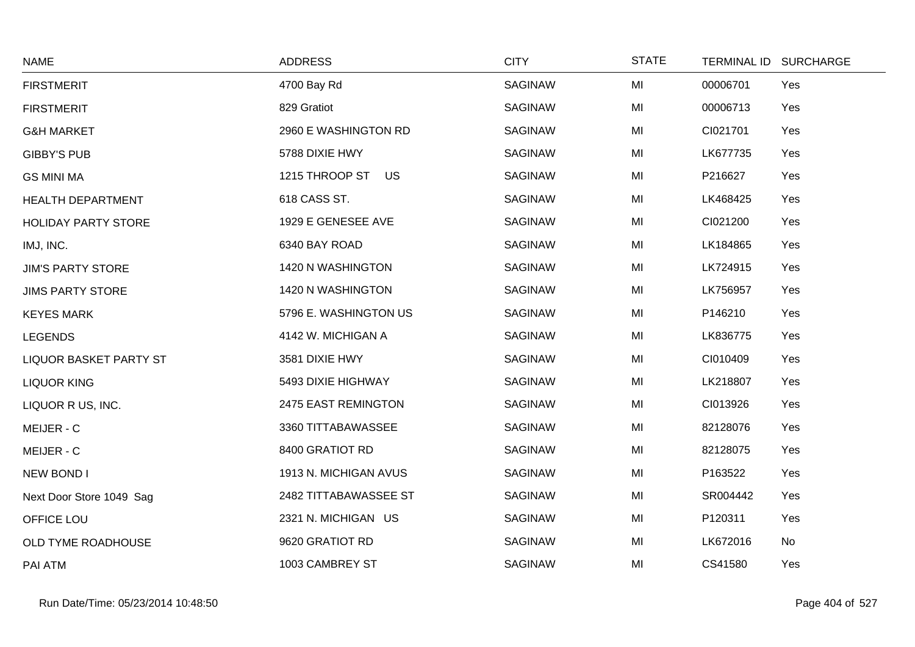| <b>NAME</b>                | <b>ADDRESS</b>        | <b>CITY</b>    | <b>STATE</b> | TERMINAL ID SURCHARGE |     |
|----------------------------|-----------------------|----------------|--------------|-----------------------|-----|
| <b>FIRSTMERIT</b>          | 4700 Bay Rd           | <b>SAGINAW</b> | MI           | 00006701              | Yes |
| <b>FIRSTMERIT</b>          | 829 Gratiot           | <b>SAGINAW</b> | MI           | 00006713              | Yes |
| <b>G&amp;H MARKET</b>      | 2960 E WASHINGTON RD  | <b>SAGINAW</b> | MI           | CI021701              | Yes |
| <b>GIBBY'S PUB</b>         | 5788 DIXIE HWY        | SAGINAW        | MI           | LK677735              | Yes |
| <b>GS MINI MA</b>          | 1215 THROOP ST US     | <b>SAGINAW</b> | MI           | P216627               | Yes |
| HEALTH DEPARTMENT          | 618 CASS ST.          | SAGINAW        | MI           | LK468425              | Yes |
| <b>HOLIDAY PARTY STORE</b> | 1929 E GENESEE AVE    | <b>SAGINAW</b> | MI           | CI021200              | Yes |
| IMJ, INC.                  | 6340 BAY ROAD         | SAGINAW        | MI           | LK184865              | Yes |
| <b>JIM'S PARTY STORE</b>   | 1420 N WASHINGTON     | <b>SAGINAW</b> | MI           | LK724915              | Yes |
| <b>JIMS PARTY STORE</b>    | 1420 N WASHINGTON     | SAGINAW        | MI           | LK756957              | Yes |
| <b>KEYES MARK</b>          | 5796 E. WASHINGTON US | SAGINAW        | MI           | P146210               | Yes |
| <b>LEGENDS</b>             | 4142 W. MICHIGAN A    | SAGINAW        | MI           | LK836775              | Yes |
| LIQUOR BASKET PARTY ST     | 3581 DIXIE HWY        | SAGINAW        | MI           | CI010409              | Yes |
| <b>LIQUOR KING</b>         | 5493 DIXIE HIGHWAY    | <b>SAGINAW</b> | MI           | LK218807              | Yes |
| LIQUOR R US, INC.          | 2475 EAST REMINGTON   | SAGINAW        | MI           | CI013926              | Yes |
| MEIJER - C                 | 3360 TITTABAWASSEE    | SAGINAW        | MI           | 82128076              | Yes |
| MEIJER - C                 | 8400 GRATIOT RD       | <b>SAGINAW</b> | MI           | 82128075              | Yes |
| <b>NEW BOND I</b>          | 1913 N. MICHIGAN AVUS | SAGINAW        | MI           | P163522               | Yes |
| Next Door Store 1049 Sag   | 2482 TITTABAWASSEE ST | SAGINAW        | MI           | SR004442              | Yes |
| OFFICE LOU                 | 2321 N. MICHIGAN US   | SAGINAW        | MI           | P120311               | Yes |
| OLD TYME ROADHOUSE         | 9620 GRATIOT RD       | SAGINAW        | MI           | LK672016              | No  |
| PAI ATM                    | 1003 CAMBREY ST       | <b>SAGINAW</b> | MI           | CS41580               | Yes |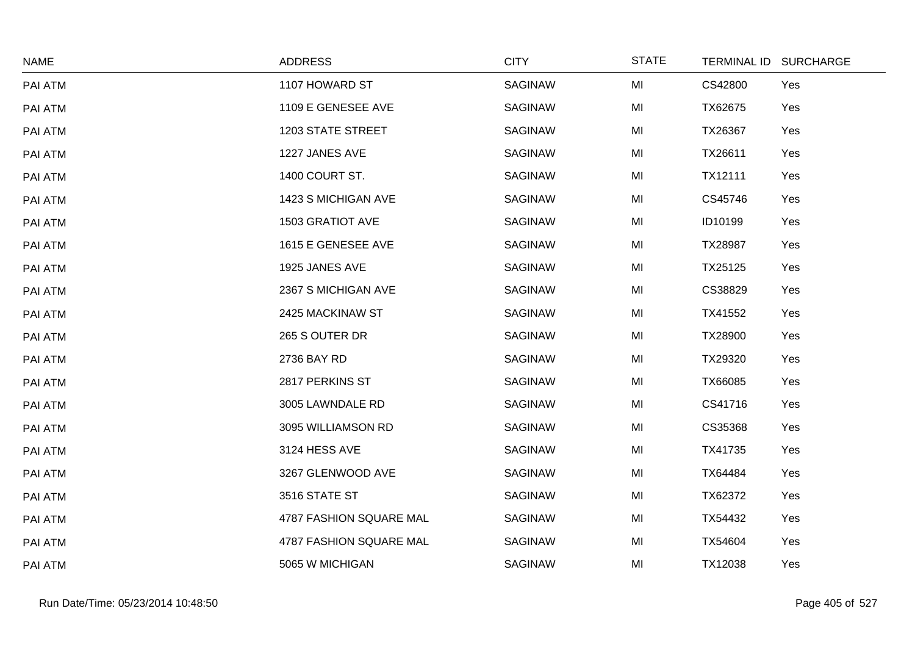| <b>NAME</b> | <b>ADDRESS</b>           | <b>CITY</b>    | <b>STATE</b> | TERMINAL ID SURCHARGE |  |
|-------------|--------------------------|----------------|--------------|-----------------------|--|
| PAI ATM     | 1107 HOWARD ST           | <b>SAGINAW</b> | MI           | CS42800<br>Yes        |  |
| PAI ATM     | 1109 E GENESEE AVE       | <b>SAGINAW</b> | MI           | TX62675<br>Yes        |  |
| PAI ATM     | <b>1203 STATE STREET</b> | <b>SAGINAW</b> | MI           | TX26367<br>Yes        |  |
| PAI ATM     | 1227 JANES AVE           | <b>SAGINAW</b> | MI           | TX26611<br>Yes        |  |
| PAI ATM     | 1400 COURT ST.           | <b>SAGINAW</b> | MI           | TX12111<br>Yes        |  |
| PAI ATM     | 1423 S MICHIGAN AVE      | <b>SAGINAW</b> | MI           | CS45746<br>Yes        |  |
| PAI ATM     | 1503 GRATIOT AVE         | <b>SAGINAW</b> | MI           | Yes<br>ID10199        |  |
| PAI ATM     | 1615 E GENESEE AVE       | <b>SAGINAW</b> | MI           | TX28987<br>Yes        |  |
| PAI ATM     | 1925 JANES AVE           | <b>SAGINAW</b> | MI           | TX25125<br>Yes        |  |
| PAI ATM     | 2367 S MICHIGAN AVE      | <b>SAGINAW</b> | MI           | CS38829<br>Yes        |  |
| PAI ATM     | 2425 MACKINAW ST         | <b>SAGINAW</b> | MI           | Yes<br>TX41552        |  |
| PAI ATM     | 265 S OUTER DR           | <b>SAGINAW</b> | MI           | TX28900<br>Yes        |  |
| PAI ATM     | 2736 BAY RD              | <b>SAGINAW</b> | MI           | TX29320<br>Yes        |  |
| PAI ATM     | 2817 PERKINS ST          | <b>SAGINAW</b> | MI           | TX66085<br>Yes        |  |
| PAI ATM     | 3005 LAWNDALE RD         | <b>SAGINAW</b> | MI           | CS41716<br>Yes        |  |
| PAI ATM     | 3095 WILLIAMSON RD       | <b>SAGINAW</b> | MI           | CS35368<br>Yes        |  |
| PAI ATM     | 3124 HESS AVE            | <b>SAGINAW</b> | MI           | TX41735<br>Yes        |  |
| PAI ATM     | 3267 GLENWOOD AVE        | SAGINAW        | MI           | TX64484<br>Yes        |  |
| PAI ATM     | 3516 STATE ST            | <b>SAGINAW</b> | MI           | Yes<br>TX62372        |  |
| PAI ATM     | 4787 FASHION SQUARE MAL  | <b>SAGINAW</b> | MI           | TX54432<br>Yes        |  |
| PAI ATM     | 4787 FASHION SQUARE MAL  | <b>SAGINAW</b> | MI           | TX54604<br>Yes        |  |
| PAI ATM     | 5065 W MICHIGAN          | <b>SAGINAW</b> | MI           | TX12038<br>Yes        |  |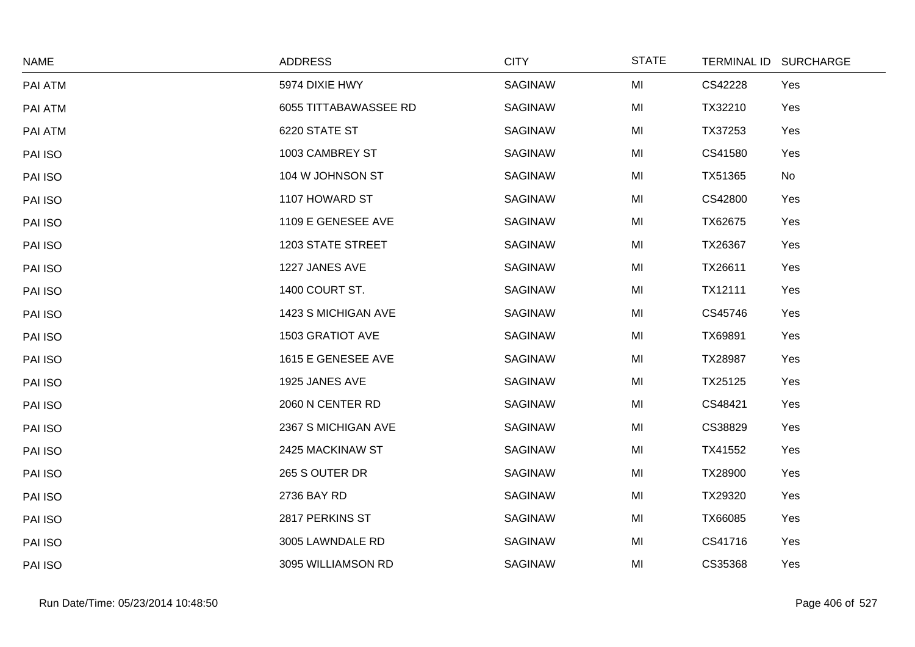| <b>NAME</b> | <b>ADDRESS</b>        | <b>CITY</b>    | <b>STATE</b> |         | TERMINAL ID SURCHARGE |
|-------------|-----------------------|----------------|--------------|---------|-----------------------|
| PAI ATM     | 5974 DIXIE HWY        | SAGINAW        | MI           | CS42228 | Yes                   |
| PAI ATM     | 6055 TITTABAWASSEE RD | SAGINAW        | MI           | TX32210 | Yes                   |
| PAI ATM     | 6220 STATE ST         | <b>SAGINAW</b> | MI           | TX37253 | Yes                   |
| PAI ISO     | 1003 CAMBREY ST       | <b>SAGINAW</b> | MI           | CS41580 | Yes                   |
| PAI ISO     | 104 W JOHNSON ST      | <b>SAGINAW</b> | MI           | TX51365 | No                    |
| PAI ISO     | 1107 HOWARD ST        | <b>SAGINAW</b> | MI           | CS42800 | Yes                   |
| PAI ISO     | 1109 E GENESEE AVE    | <b>SAGINAW</b> | MI           | TX62675 | Yes                   |
| PAI ISO     | 1203 STATE STREET     | SAGINAW        | MI           | TX26367 | Yes                   |
| PAI ISO     | 1227 JANES AVE        | <b>SAGINAW</b> | MI           | TX26611 | Yes                   |
| PAI ISO     | 1400 COURT ST.        | <b>SAGINAW</b> | MI           | TX12111 | Yes                   |
| PAI ISO     | 1423 S MICHIGAN AVE   | <b>SAGINAW</b> | MI           | CS45746 | Yes                   |
| PAI ISO     | 1503 GRATIOT AVE      | <b>SAGINAW</b> | MI           | TX69891 | Yes                   |
| PAI ISO     | 1615 E GENESEE AVE    | <b>SAGINAW</b> | MI           | TX28987 | Yes                   |
| PAI ISO     | 1925 JANES AVE        | <b>SAGINAW</b> | MI           | TX25125 | Yes                   |
| PAI ISO     | 2060 N CENTER RD      | <b>SAGINAW</b> | MI           | CS48421 | Yes                   |
| PAI ISO     | 2367 S MICHIGAN AVE   | SAGINAW        | MI           | CS38829 | Yes                   |
| PAI ISO     | 2425 MACKINAW ST      | <b>SAGINAW</b> | MI           | TX41552 | Yes                   |
| PAI ISO     | 265 S OUTER DR        | <b>SAGINAW</b> | MI           | TX28900 | Yes                   |
| PAI ISO     | 2736 BAY RD           | SAGINAW        | MI           | TX29320 | Yes                   |
| PAI ISO     | 2817 PERKINS ST       | <b>SAGINAW</b> | MI           | TX66085 | Yes                   |
| PAI ISO     | 3005 LAWNDALE RD      | <b>SAGINAW</b> | MI           | CS41716 | Yes                   |
| PAI ISO     | 3095 WILLIAMSON RD    | SAGINAW        | MI           | CS35368 | Yes                   |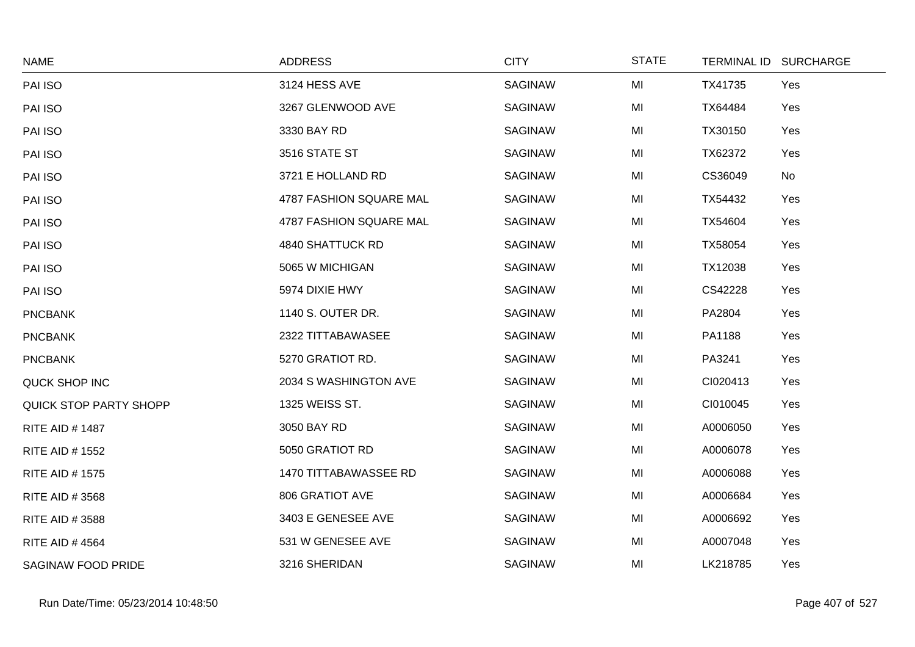| <b>NAME</b>               | <b>ADDRESS</b>          | <b>CITY</b>    | <b>STATE</b> |          | TERMINAL ID SURCHARGE |
|---------------------------|-------------------------|----------------|--------------|----------|-----------------------|
| PAI ISO                   | 3124 HESS AVE           | <b>SAGINAW</b> | MI           | TX41735  | Yes                   |
| PAI ISO                   | 3267 GLENWOOD AVE       | <b>SAGINAW</b> | MI           | TX64484  | Yes                   |
| PAI ISO                   | 3330 BAY RD             | <b>SAGINAW</b> | MI           | TX30150  | Yes                   |
| PAI ISO                   | 3516 STATE ST           | <b>SAGINAW</b> | MI           | TX62372  | Yes                   |
| PAI ISO                   | 3721 E HOLLAND RD       | <b>SAGINAW</b> | MI           | CS36049  | No                    |
| PAI ISO                   | 4787 FASHION SQUARE MAL | <b>SAGINAW</b> | MI           | TX54432  | Yes                   |
| PAI ISO                   | 4787 FASHION SQUARE MAL | <b>SAGINAW</b> | MI           | TX54604  | Yes                   |
| PAI ISO                   | 4840 SHATTUCK RD        | <b>SAGINAW</b> | MI           | TX58054  | Yes                   |
| PAI ISO                   | 5065 W MICHIGAN         | <b>SAGINAW</b> | MI           | TX12038  | Yes                   |
| PAI ISO                   | 5974 DIXIE HWY          | <b>SAGINAW</b> | MI           | CS42228  | Yes                   |
| <b>PNCBANK</b>            | 1140 S. OUTER DR.       | <b>SAGINAW</b> | MI           | PA2804   | Yes                   |
| <b>PNCBANK</b>            | 2322 TITTABAWASEE       | <b>SAGINAW</b> | MI           | PA1188   | Yes                   |
| <b>PNCBANK</b>            | 5270 GRATIOT RD.        | <b>SAGINAW</b> | MI           | PA3241   | Yes                   |
| QUCK SHOP INC             | 2034 S WASHINGTON AVE   | <b>SAGINAW</b> | MI           | CI020413 | Yes                   |
| QUICK STOP PARTY SHOPP    | 1325 WEISS ST.          | <b>SAGINAW</b> | MI           | CI010045 | Yes                   |
| <b>RITE AID #1487</b>     | 3050 BAY RD             | <b>SAGINAW</b> | MI           | A0006050 | Yes                   |
| <b>RITE AID # 1552</b>    | 5050 GRATIOT RD         | <b>SAGINAW</b> | MI           | A0006078 | Yes                   |
| <b>RITE AID #1575</b>     | 1470 TITTABAWASSEE RD   | <b>SAGINAW</b> | MI           | A0006088 | Yes                   |
| RITE AID # 3568           | 806 GRATIOT AVE         | <b>SAGINAW</b> | MI           | A0006684 | Yes                   |
| RITE AID # 3588           | 3403 E GENESEE AVE      | <b>SAGINAW</b> | MI           | A0006692 | Yes                   |
| <b>RITE AID #4564</b>     | 531 W GENESEE AVE       | <b>SAGINAW</b> | MI           | A0007048 | Yes                   |
| <b>SAGINAW FOOD PRIDE</b> | 3216 SHERIDAN           | <b>SAGINAW</b> | MI           | LK218785 | Yes                   |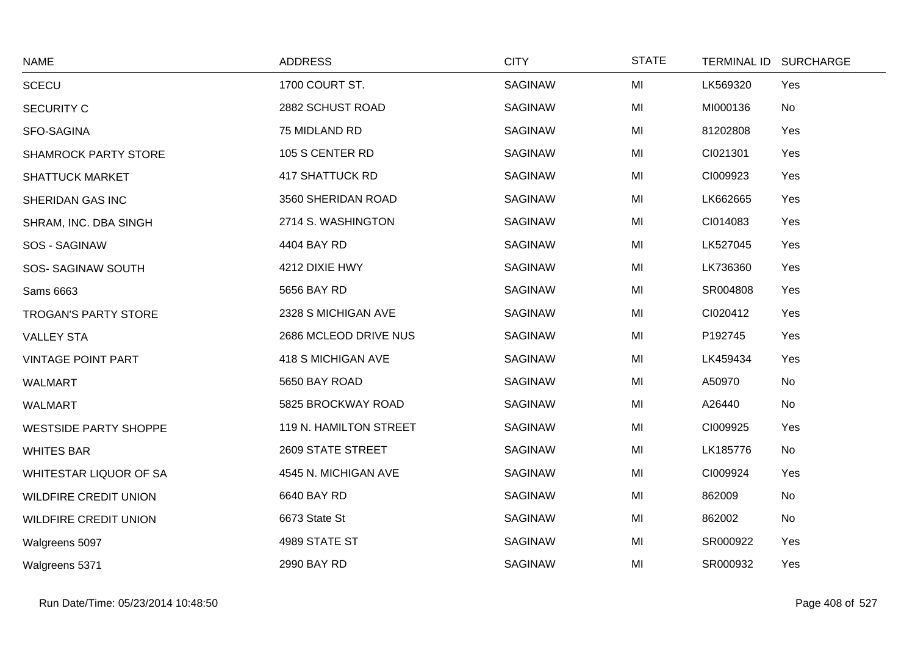| <b>NAME</b>                  | <b>ADDRESS</b>         | <b>CITY</b>    | <b>STATE</b> | TERMINAL ID SURCHARGE |     |
|------------------------------|------------------------|----------------|--------------|-----------------------|-----|
| <b>SCECU</b>                 | 1700 COURT ST.         | <b>SAGINAW</b> | MI           | LK569320              | Yes |
| <b>SECURITY C</b>            | 2882 SCHUST ROAD       | <b>SAGINAW</b> | MI           | MI000136              | No  |
| SFO-SAGINA                   | 75 MIDLAND RD          | <b>SAGINAW</b> | MI           | 81202808              | Yes |
| <b>SHAMROCK PARTY STORE</b>  | 105 S CENTER RD        | SAGINAW        | MI           | CI021301              | Yes |
| <b>SHATTUCK MARKET</b>       | <b>417 SHATTUCK RD</b> | <b>SAGINAW</b> | MI           | CI009923              | Yes |
| SHERIDAN GAS INC             | 3560 SHERIDAN ROAD     | <b>SAGINAW</b> | MI           | LK662665              | Yes |
| SHRAM, INC. DBA SINGH        | 2714 S. WASHINGTON     | <b>SAGINAW</b> | MI           | CI014083              | Yes |
| SOS - SAGINAW                | 4404 BAY RD            | SAGINAW        | MI           | LK527045              | Yes |
| SOS-SAGINAW SOUTH            | 4212 DIXIE HWY         | <b>SAGINAW</b> | MI           | LK736360              | Yes |
| Sams 6663                    | 5656 BAY RD            | <b>SAGINAW</b> | MI           | SR004808              | Yes |
| TROGAN'S PARTY STORE         | 2328 S MICHIGAN AVE    | SAGINAW        | MI           | CI020412              | Yes |
| <b>VALLEY STA</b>            | 2686 MCLEOD DRIVE NUS  | <b>SAGINAW</b> | MI           | P192745               | Yes |
| <b>VINTAGE POINT PART</b>    | 418 S MICHIGAN AVE     | <b>SAGINAW</b> | MI           | LK459434              | Yes |
| <b>WALMART</b>               | 5650 BAY ROAD          | SAGINAW        | MI           | A50970                | No  |
| <b>WALMART</b>               | 5825 BROCKWAY ROAD     | <b>SAGINAW</b> | MI           | A26440                | No  |
| <b>WESTSIDE PARTY SHOPPE</b> | 119 N. HAMILTON STREET | <b>SAGINAW</b> | MI           | CI009925              | Yes |
| <b>WHITES BAR</b>            | 2609 STATE STREET      | <b>SAGINAW</b> | MI           | LK185776              | No  |
| WHITESTAR LIQUOR OF SA       | 4545 N. MICHIGAN AVE   | <b>SAGINAW</b> | MI           | CI009924              | Yes |
| <b>WILDFIRE CREDIT UNION</b> | 6640 BAY RD            | <b>SAGINAW</b> | MI           | 862009                | No  |
| <b>WILDFIRE CREDIT UNION</b> | 6673 State St          | <b>SAGINAW</b> | MI           | 862002                | No  |
| Walgreens 5097               | 4989 STATE ST          | SAGINAW        | MI           | SR000922              | Yes |
| Walgreens 5371               | 2990 BAY RD            | <b>SAGINAW</b> | MI           | SR000932              | Yes |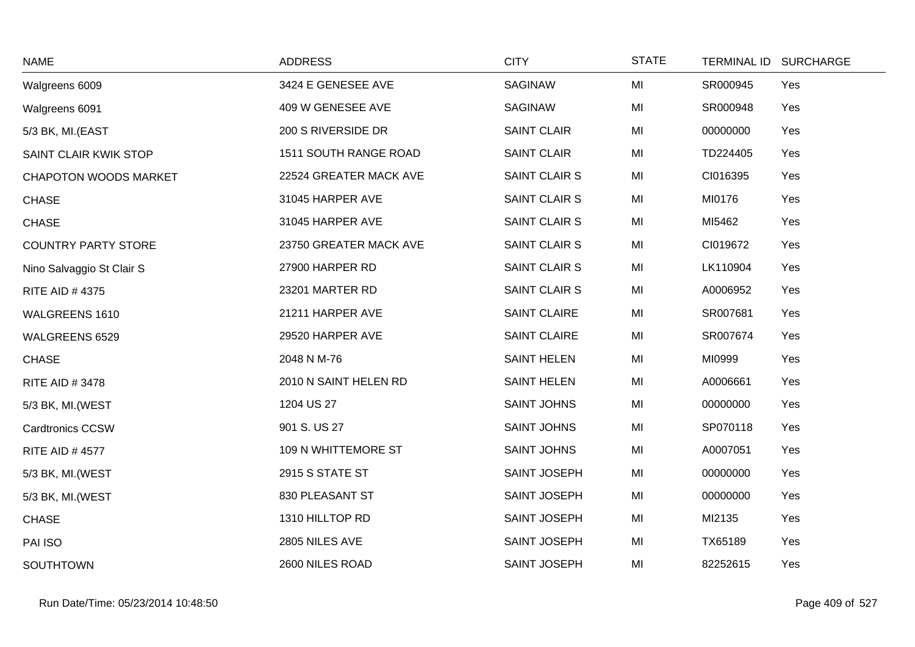| <b>NAME</b>                  | <b>ADDRESS</b>         | <b>CITY</b>          | <b>STATE</b> | <b>TERMINAL ID</b> | <b>SURCHARGE</b> |
|------------------------------|------------------------|----------------------|--------------|--------------------|------------------|
| Walgreens 6009               | 3424 E GENESEE AVE     | <b>SAGINAW</b>       | MI           | SR000945           | Yes              |
| Walgreens 6091               | 409 W GENESEE AVE      | <b>SAGINAW</b>       | MI           | SR000948           | Yes              |
| 5/3 BK, MI.(EAST             | 200 S RIVERSIDE DR     | <b>SAINT CLAIR</b>   | MI           | 00000000           | Yes              |
| SAINT CLAIR KWIK STOP        | 1511 SOUTH RANGE ROAD  | <b>SAINT CLAIR</b>   | MI           | TD224405           | Yes              |
| <b>CHAPOTON WOODS MARKET</b> | 22524 GREATER MACK AVE | <b>SAINT CLAIR S</b> | MI           | CI016395           | Yes              |
| <b>CHASE</b>                 | 31045 HARPER AVE       | SAINT CLAIR S        | MI           | MI0176             | Yes              |
| <b>CHASE</b>                 | 31045 HARPER AVE       | <b>SAINT CLAIR S</b> | MI           | MI5462             | Yes              |
| <b>COUNTRY PARTY STORE</b>   | 23750 GREATER MACK AVE | <b>SAINT CLAIR S</b> | MI           | CI019672           | Yes              |
| Nino Salvaggio St Clair S    | 27900 HARPER RD        | <b>SAINT CLAIR S</b> | MI           | LK110904           | Yes              |
| <b>RITE AID #4375</b>        | 23201 MARTER RD        | <b>SAINT CLAIR S</b> | MI           | A0006952           | Yes              |
| WALGREENS 1610               | 21211 HARPER AVE       | <b>SAINT CLAIRE</b>  | MI           | SR007681           | Yes              |
| WALGREENS 6529               | 29520 HARPER AVE       | <b>SAINT CLAIRE</b>  | MI           | SR007674           | Yes              |
| <b>CHASE</b>                 | 2048 N M-76            | <b>SAINT HELEN</b>   | MI           | MI0999             | Yes              |
| <b>RITE AID #3478</b>        | 2010 N SAINT HELEN RD  | <b>SAINT HELEN</b>   | MI           | A0006661           | Yes              |
| 5/3 BK, MI.(WEST             | 1204 US 27             | <b>SAINT JOHNS</b>   | MI           | 00000000           | Yes              |
| <b>Cardtronics CCSW</b>      | 901 S. US 27           | <b>SAINT JOHNS</b>   | MI           | SP070118           | Yes              |
| <b>RITE AID #4577</b>        | 109 N WHITTEMORE ST    | <b>SAINT JOHNS</b>   | MI           | A0007051           | Yes              |
| 5/3 BK, MI. (WEST            | 2915 S STATE ST        | SAINT JOSEPH         | MI           | 00000000           | Yes              |
| 5/3 BK, MI.(WEST             | 830 PLEASANT ST        | SAINT JOSEPH         | MI           | 00000000           | Yes              |
| <b>CHASE</b>                 | 1310 HILLTOP RD        | SAINT JOSEPH         | MI           | MI2135             | Yes              |
| PAI ISO                      | 2805 NILES AVE         | SAINT JOSEPH         | MI           | TX65189            | Yes              |
| <b>SOUTHTOWN</b>             | 2600 NILES ROAD        | SAINT JOSEPH         | MI           | 82252615           | Yes              |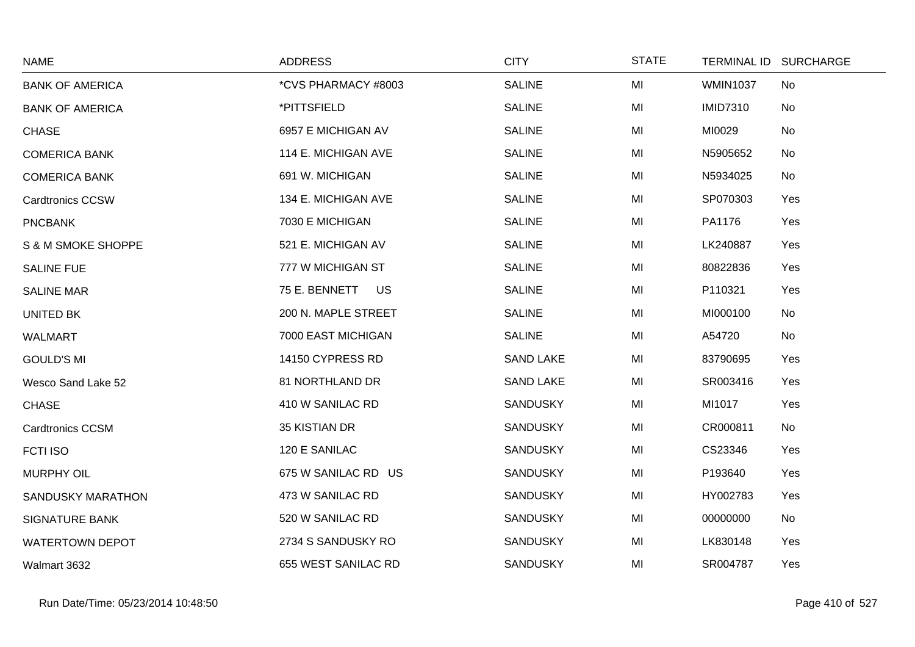| <b>NAME</b>             | <b>ADDRESS</b>             | <b>CITY</b>      | <b>STATE</b> | TERMINAL ID SURCHARGE |     |
|-------------------------|----------------------------|------------------|--------------|-----------------------|-----|
| <b>BANK OF AMERICA</b>  | *CVS PHARMACY #8003        | <b>SALINE</b>    | MI           | <b>WMIN1037</b>       | No  |
| <b>BANK OF AMERICA</b>  | *PITTSFIELD                | <b>SALINE</b>    | MI           | <b>IMID7310</b>       | No  |
| <b>CHASE</b>            | 6957 E MICHIGAN AV         | <b>SALINE</b>    | MI           | MI0029                | No  |
| <b>COMERICA BANK</b>    | 114 E. MICHIGAN AVE        | <b>SALINE</b>    | MI           | N5905652              | No  |
| <b>COMERICA BANK</b>    | 691 W. MICHIGAN            | <b>SALINE</b>    | MI           | N5934025              | No  |
| <b>Cardtronics CCSW</b> | 134 E. MICHIGAN AVE        | <b>SALINE</b>    | MI           | SP070303              | Yes |
| <b>PNCBANK</b>          | 7030 E MICHIGAN            | <b>SALINE</b>    | MI           | PA1176                | Yes |
| S & M SMOKE SHOPPE      | 521 E. MICHIGAN AV         | <b>SALINE</b>    | MI           | LK240887              | Yes |
| <b>SALINE FUE</b>       | 777 W MICHIGAN ST          | <b>SALINE</b>    | MI           | 80822836              | Yes |
| <b>SALINE MAR</b>       | 75 E. BENNETT<br><b>US</b> | <b>SALINE</b>    | MI           | P110321               | Yes |
| <b>UNITED BK</b>        | 200 N. MAPLE STREET        | <b>SALINE</b>    | MI           | MI000100              | No  |
| <b>WALMART</b>          | 7000 EAST MICHIGAN         | <b>SALINE</b>    | MI           | A54720                | No  |
| <b>GOULD'S MI</b>       | 14150 CYPRESS RD           | <b>SAND LAKE</b> | MI           | 83790695              | Yes |
| Wesco Sand Lake 52      | 81 NORTHLAND DR            | <b>SAND LAKE</b> | MI           | SR003416              | Yes |
| <b>CHASE</b>            | 410 W SANILAC RD           | <b>SANDUSKY</b>  | MI           | MI1017                | Yes |
| <b>Cardtronics CCSM</b> | 35 KISTIAN DR              | <b>SANDUSKY</b>  | MI           | CR000811              | No  |
| <b>FCTI ISO</b>         | 120 E SANILAC              | <b>SANDUSKY</b>  | MI           | CS23346               | Yes |
| <b>MURPHY OIL</b>       | 675 W SANILAC RD US        | <b>SANDUSKY</b>  | MI           | P193640               | Yes |
| SANDUSKY MARATHON       | 473 W SANILAC RD           | <b>SANDUSKY</b>  | MI           | HY002783              | Yes |
| <b>SIGNATURE BANK</b>   | 520 W SANILAC RD           | <b>SANDUSKY</b>  | MI           | 00000000              | No  |
| <b>WATERTOWN DEPOT</b>  | 2734 S SANDUSKY RO         | <b>SANDUSKY</b>  | MI           | LK830148              | Yes |
| Walmart 3632            | 655 WEST SANILAC RD        | <b>SANDUSKY</b>  | MI           | SR004787              | Yes |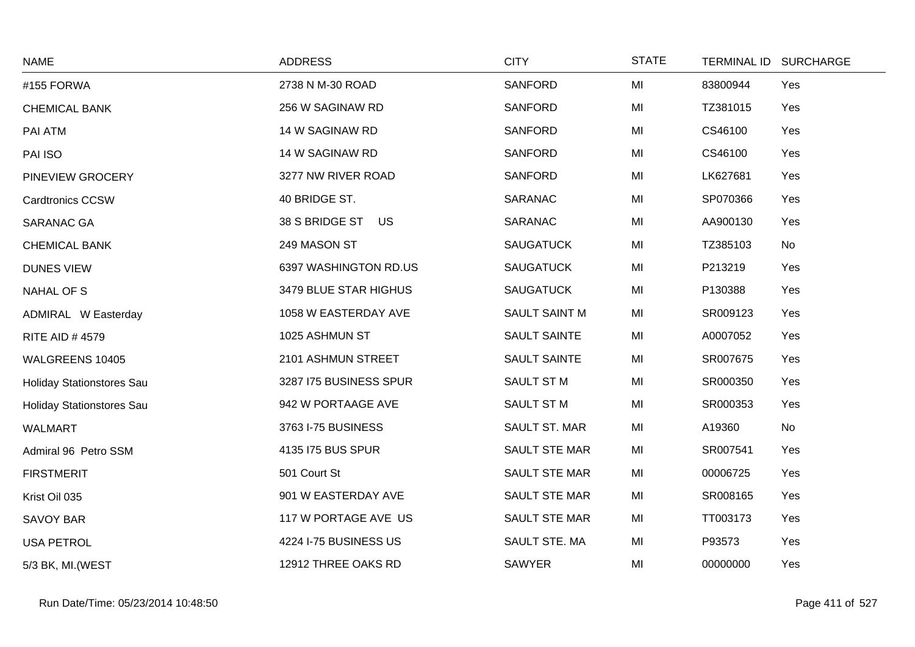| <b>NAME</b>               | <b>ADDRESS</b>         | <b>CITY</b>         | <b>STATE</b> |          | TERMINAL ID SURCHARGE |
|---------------------------|------------------------|---------------------|--------------|----------|-----------------------|
| #155 FORWA                | 2738 N M-30 ROAD       | <b>SANFORD</b>      | MI           | 83800944 | Yes                   |
| <b>CHEMICAL BANK</b>      | 256 W SAGINAW RD       | <b>SANFORD</b>      | MI           | TZ381015 | Yes                   |
| PAI ATM                   | 14 W SAGINAW RD        | <b>SANFORD</b>      | MI           | CS46100  | Yes                   |
| PAI ISO                   | 14 W SAGINAW RD        | <b>SANFORD</b>      | MI           | CS46100  | Yes                   |
| PINEVIEW GROCERY          | 3277 NW RIVER ROAD     | <b>SANFORD</b>      | MI           | LK627681 | Yes                   |
| <b>Cardtronics CCSW</b>   | 40 BRIDGE ST.          | SARANAC             | MI           | SP070366 | Yes                   |
| SARANAC GA                | 38 S BRIDGE ST US      | SARANAC             | MI           | AA900130 | Yes                   |
| <b>CHEMICAL BANK</b>      | 249 MASON ST           | <b>SAUGATUCK</b>    | MI           | TZ385103 | No                    |
| <b>DUNES VIEW</b>         | 6397 WASHINGTON RD.US  | <b>SAUGATUCK</b>    | MI           | P213219  | Yes                   |
| NAHAL OF S                | 3479 BLUE STAR HIGHUS  | <b>SAUGATUCK</b>    | MI           | P130388  | Yes                   |
| ADMIRAL W Easterday       | 1058 W EASTERDAY AVE   | SAULT SAINT M       | MI           | SR009123 | Yes                   |
| <b>RITE AID #4579</b>     | 1025 ASHMUN ST         | <b>SAULT SAINTE</b> | MI           | A0007052 | Yes                   |
| WALGREENS 10405           | 2101 ASHMUN STREET     | <b>SAULT SAINTE</b> | MI           | SR007675 | Yes                   |
| Holiday Stationstores Sau | 3287 I75 BUSINESS SPUR | SAULT ST M          | MI           | SR000350 | Yes                   |
| Holiday Stationstores Sau | 942 W PORTAAGE AVE     | SAULT ST M          | MI           | SR000353 | Yes                   |
| <b>WALMART</b>            | 3763 I-75 BUSINESS     | SAULT ST. MAR       | MI           | A19360   | No                    |
| Admiral 96 Petro SSM      | 4135 I75 BUS SPUR      | SAULT STE MAR       | MI           | SR007541 | Yes                   |
| <b>FIRSTMERIT</b>         | 501 Court St           | SAULT STE MAR       | MI           | 00006725 | Yes                   |
| Krist Oil 035             | 901 W EASTERDAY AVE    | SAULT STE MAR       | MI           | SR008165 | Yes                   |
| <b>SAVOY BAR</b>          | 117 W PORTAGE AVE US   | SAULT STE MAR       | MI           | TT003173 | Yes                   |
| <b>USA PETROL</b>         | 4224 I-75 BUSINESS US  | SAULT STE. MA       | MI           | P93573   | Yes                   |
| 5/3 BK, MI. (WEST         | 12912 THREE OAKS RD    | <b>SAWYER</b>       | MI           | 00000000 | Yes                   |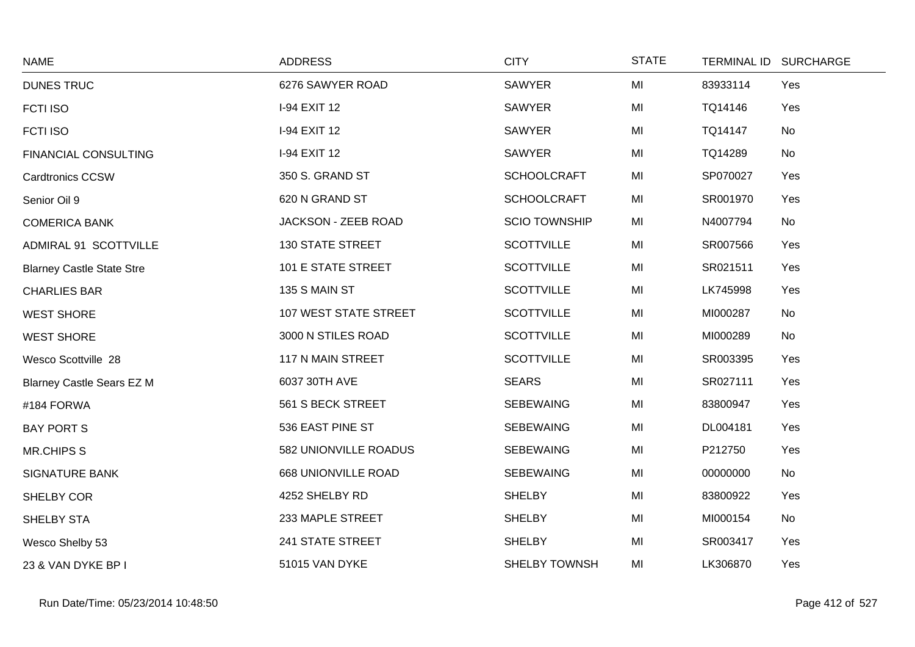| <b>NAME</b>                      | <b>ADDRESS</b>          | <b>CITY</b>          | <b>STATE</b> |          | TERMINAL ID SURCHARGE |
|----------------------------------|-------------------------|----------------------|--------------|----------|-----------------------|
| <b>DUNES TRUC</b>                | 6276 SAWYER ROAD        | <b>SAWYER</b>        | MI           | 83933114 | Yes                   |
| <b>FCTI ISO</b>                  | I-94 EXIT 12            | <b>SAWYER</b>        | MI           | TQ14146  | Yes                   |
| <b>FCTI ISO</b>                  | I-94 EXIT 12            | <b>SAWYER</b>        | MI           | TQ14147  | No                    |
| <b>FINANCIAL CONSULTING</b>      | I-94 EXIT 12            | <b>SAWYER</b>        | MI           | TQ14289  | No                    |
| <b>Cardtronics CCSW</b>          | 350 S. GRAND ST         | <b>SCHOOLCRAFT</b>   | MI           | SP070027 | Yes                   |
| Senior Oil 9                     | 620 N GRAND ST          | <b>SCHOOLCRAFT</b>   | MI           | SR001970 | Yes                   |
| <b>COMERICA BANK</b>             | JACKSON - ZEEB ROAD     | <b>SCIO TOWNSHIP</b> | MI           | N4007794 | No                    |
| ADMIRAL 91 SCOTTVILLE            | <b>130 STATE STREET</b> | <b>SCOTTVILLE</b>    | MI           | SR007566 | Yes                   |
| <b>Blarney Castle State Stre</b> | 101 E STATE STREET      | <b>SCOTTVILLE</b>    | MI           | SR021511 | Yes                   |
| <b>CHARLIES BAR</b>              | 135 S MAIN ST           | <b>SCOTTVILLE</b>    | MI           | LK745998 | Yes                   |
| <b>WEST SHORE</b>                | 107 WEST STATE STREET   | <b>SCOTTVILLE</b>    | MI           | MI000287 | No                    |
| <b>WEST SHORE</b>                | 3000 N STILES ROAD      | <b>SCOTTVILLE</b>    | MI           | MI000289 | No                    |
| Wesco Scottville 28              | 117 N MAIN STREET       | <b>SCOTTVILLE</b>    | MI           | SR003395 | Yes                   |
| <b>Blarney Castle Sears EZ M</b> | 6037 30TH AVE           | <b>SEARS</b>         | MI           | SR027111 | Yes                   |
| #184 FORWA                       | 561 S BECK STREET       | <b>SEBEWAING</b>     | MI           | 83800947 | Yes                   |
| <b>BAY PORT S</b>                | 536 EAST PINE ST        | <b>SEBEWAING</b>     | MI           | DL004181 | Yes                   |
| <b>MR.CHIPS S</b>                | 582 UNIONVILLE ROADUS   | <b>SEBEWAING</b>     | MI           | P212750  | Yes                   |
| <b>SIGNATURE BANK</b>            | 668 UNIONVILLE ROAD     | <b>SEBEWAING</b>     | MI           | 00000000 | No                    |
| SHELBY COR                       | 4252 SHELBY RD          | <b>SHELBY</b>        | MI           | 83800922 | Yes                   |
| SHELBY STA                       | 233 MAPLE STREET        | <b>SHELBY</b>        | MI           | MI000154 | No                    |
| Wesco Shelby 53                  | 241 STATE STREET        | <b>SHELBY</b>        | MI           | SR003417 | Yes                   |
| 23 & VAN DYKE BP I               | 51015 VAN DYKE          | SHELBY TOWNSH        | MI           | LK306870 | Yes                   |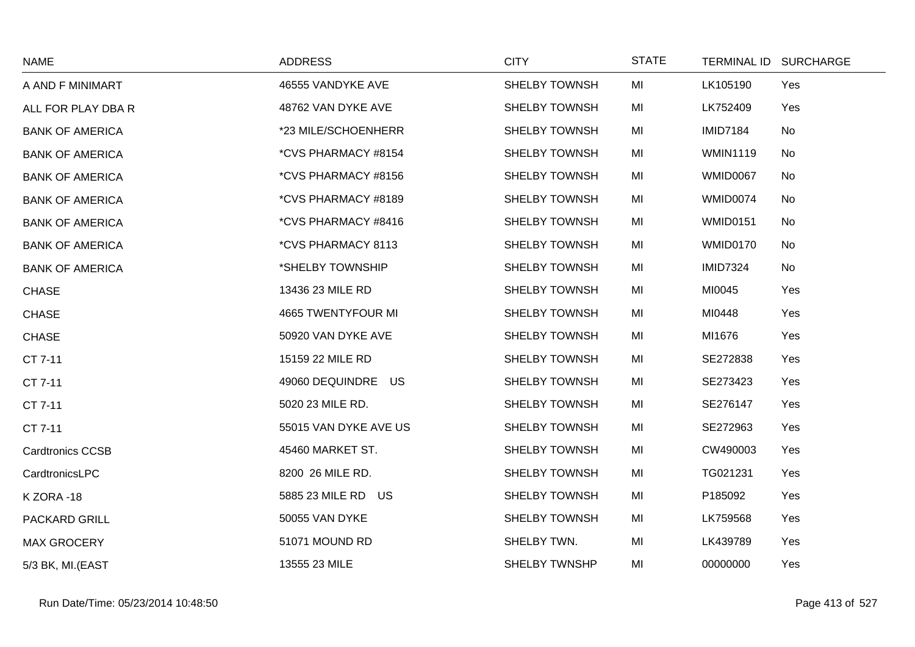| <b>NAME</b>             | <b>ADDRESS</b>        | <b>CITY</b>          | <b>STATE</b> |                 | TERMINAL ID SURCHARGE |
|-------------------------|-----------------------|----------------------|--------------|-----------------|-----------------------|
| A AND F MINIMART        | 46555 VANDYKE AVE     | <b>SHELBY TOWNSH</b> | MI           | LK105190        | Yes                   |
| ALL FOR PLAY DBA R      | 48762 VAN DYKE AVE    | SHELBY TOWNSH        | MI           | LK752409        | Yes                   |
| <b>BANK OF AMERICA</b>  | *23 MILE/SCHOENHERR   | <b>SHELBY TOWNSH</b> | MI           | <b>IMID7184</b> | No                    |
| <b>BANK OF AMERICA</b>  | *CVS PHARMACY #8154   | <b>SHELBY TOWNSH</b> | MI           | <b>WMIN1119</b> | No                    |
| <b>BANK OF AMERICA</b>  | *CVS PHARMACY #8156   | <b>SHELBY TOWNSH</b> | MI           | WMID0067        | No                    |
| <b>BANK OF AMERICA</b>  | *CVS PHARMACY #8189   | <b>SHELBY TOWNSH</b> | MI           | WMID0074        | No                    |
| <b>BANK OF AMERICA</b>  | *CVS PHARMACY #8416   | <b>SHELBY TOWNSH</b> | MI           | <b>WMID0151</b> | No                    |
| <b>BANK OF AMERICA</b>  | *CVS PHARMACY 8113    | SHELBY TOWNSH        | MI           | <b>WMID0170</b> | No                    |
| <b>BANK OF AMERICA</b>  | *SHELBY TOWNSHIP      | <b>SHELBY TOWNSH</b> | MI           | <b>IMID7324</b> | No                    |
| <b>CHASE</b>            | 13436 23 MILE RD      | <b>SHELBY TOWNSH</b> | MI           | MI0045          | Yes                   |
| <b>CHASE</b>            | 4665 TWENTYFOUR MI    | <b>SHELBY TOWNSH</b> | MI           | MI0448          | Yes                   |
| <b>CHASE</b>            | 50920 VAN DYKE AVE    | <b>SHELBY TOWNSH</b> | MI           | MI1676          | Yes                   |
| CT 7-11                 | 15159 22 MILE RD      | <b>SHELBY TOWNSH</b> | MI           | SE272838        | Yes                   |
| CT 7-11                 | 49060 DEQUINDRE US    | <b>SHELBY TOWNSH</b> | MI           | SE273423        | Yes                   |
| CT 7-11                 | 5020 23 MILE RD.      | <b>SHELBY TOWNSH</b> | MI           | SE276147        | Yes                   |
| CT 7-11                 | 55015 VAN DYKE AVE US | <b>SHELBY TOWNSH</b> | MI           | SE272963        | Yes                   |
| <b>Cardtronics CCSB</b> | 45460 MARKET ST.      | <b>SHELBY TOWNSH</b> | MI           | CW490003        | Yes                   |
| CardtronicsLPC          | 8200 26 MILE RD.      | <b>SHELBY TOWNSH</b> | MI           | TG021231        | Yes                   |
| KZORA-18                | 5885 23 MILE RD US    | <b>SHELBY TOWNSH</b> | MI           | P185092         | Yes                   |
| PACKARD GRILL           | 50055 VAN DYKE        | <b>SHELBY TOWNSH</b> | MI           | LK759568        | Yes                   |
| <b>MAX GROCERY</b>      | 51071 MOUND RD        | SHELBY TWN.          | MI           | LK439789        | Yes                   |
| 5/3 BK, MI.(EAST        | 13555 23 MILE         | SHELBY TWNSHP        | MI           | 00000000        | Yes                   |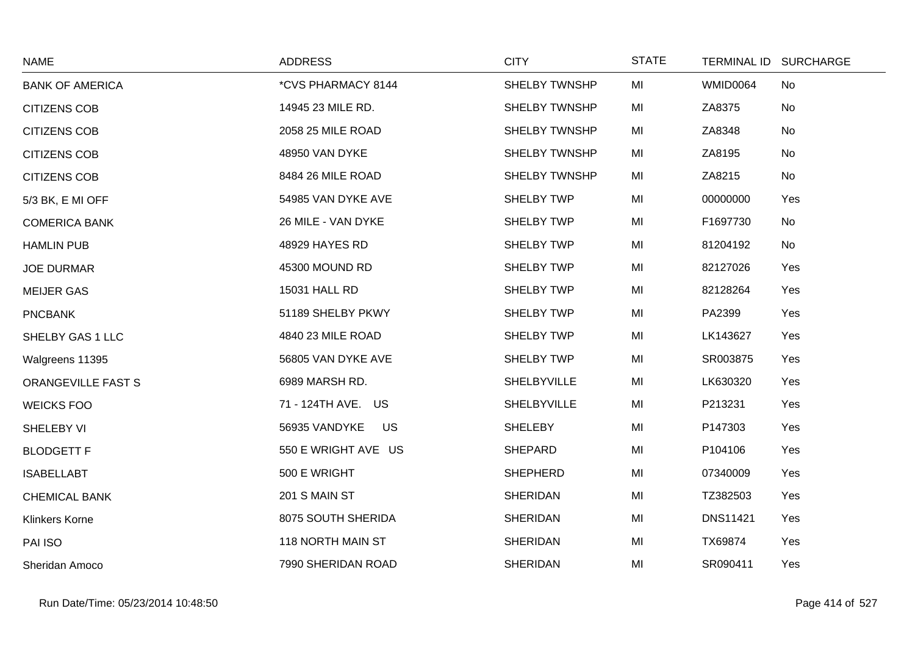| <b>NAME</b>            | <b>ADDRESS</b>      | <b>CITY</b>          | <b>STATE</b> | TERMINAL ID SURCHARGE |           |
|------------------------|---------------------|----------------------|--------------|-----------------------|-----------|
| <b>BANK OF AMERICA</b> | *CVS PHARMACY 8144  | <b>SHELBY TWNSHP</b> | MI           | <b>WMID0064</b>       | <b>No</b> |
| <b>CITIZENS COB</b>    | 14945 23 MILE RD.   | SHELBY TWNSHP        | MI           | ZA8375                | No        |
| <b>CITIZENS COB</b>    | 2058 25 MILE ROAD   | <b>SHELBY TWNSHP</b> | MI           | ZA8348                | <b>No</b> |
| <b>CITIZENS COB</b>    | 48950 VAN DYKE      | <b>SHELBY TWNSHP</b> | MI           | ZA8195                | No        |
| <b>CITIZENS COB</b>    | 8484 26 MILE ROAD   | <b>SHELBY TWNSHP</b> | MI           | ZA8215                | No        |
| 5/3 BK, E MI OFF       | 54985 VAN DYKE AVE  | <b>SHELBY TWP</b>    | MI           | 00000000              | Yes       |
| <b>COMERICA BANK</b>   | 26 MILE - VAN DYKE  | <b>SHELBY TWP</b>    | MI           | F1697730              | <b>No</b> |
| <b>HAMLIN PUB</b>      | 48929 HAYES RD      | <b>SHELBY TWP</b>    | MI           | 81204192              | No        |
| <b>JOE DURMAR</b>      | 45300 MOUND RD      | SHELBY TWP           | MI           | 82127026              | Yes       |
| <b>MEIJER GAS</b>      | 15031 HALL RD       | <b>SHELBY TWP</b>    | MI           | 82128264              | Yes       |
| <b>PNCBANK</b>         | 51189 SHELBY PKWY   | <b>SHELBY TWP</b>    | MI           | PA2399                | Yes       |
| SHELBY GAS 1 LLC       | 4840 23 MILE ROAD   | <b>SHELBY TWP</b>    | MI           | LK143627              | Yes       |
| Walgreens 11395        | 56805 VAN DYKE AVE  | <b>SHELBY TWP</b>    | MI           | SR003875              | Yes       |
| ORANGEVILLE FAST S     | 6989 MARSH RD.      | SHELBYVILLE          | MI           | LK630320              | Yes       |
| <b>WEICKS FOO</b>      | 71 - 124TH AVE. US  | SHELBYVILLE          | MI           | P213231               | Yes       |
| SHELEBY VI             | 56935 VANDYKE<br>US | <b>SHELEBY</b>       | MI           | P147303               | Yes       |
| <b>BLODGETT F</b>      | 550 E WRIGHT AVE US | <b>SHEPARD</b>       | MI           | P104106               | Yes       |
| <b>ISABELLABT</b>      | 500 E WRIGHT        | <b>SHEPHERD</b>      | MI           | 07340009              | Yes       |
| <b>CHEMICAL BANK</b>   | 201 S MAIN ST       | <b>SHERIDAN</b>      | MI           | TZ382503              | Yes       |
| <b>Klinkers Korne</b>  | 8075 SOUTH SHERIDA  | <b>SHERIDAN</b>      | MI           | <b>DNS11421</b>       | Yes       |
| PAI ISO                | 118 NORTH MAIN ST   | <b>SHERIDAN</b>      | MI           | TX69874               | Yes       |
| Sheridan Amoco         | 7990 SHERIDAN ROAD  | <b>SHERIDAN</b>      | MI           | SR090411              | Yes       |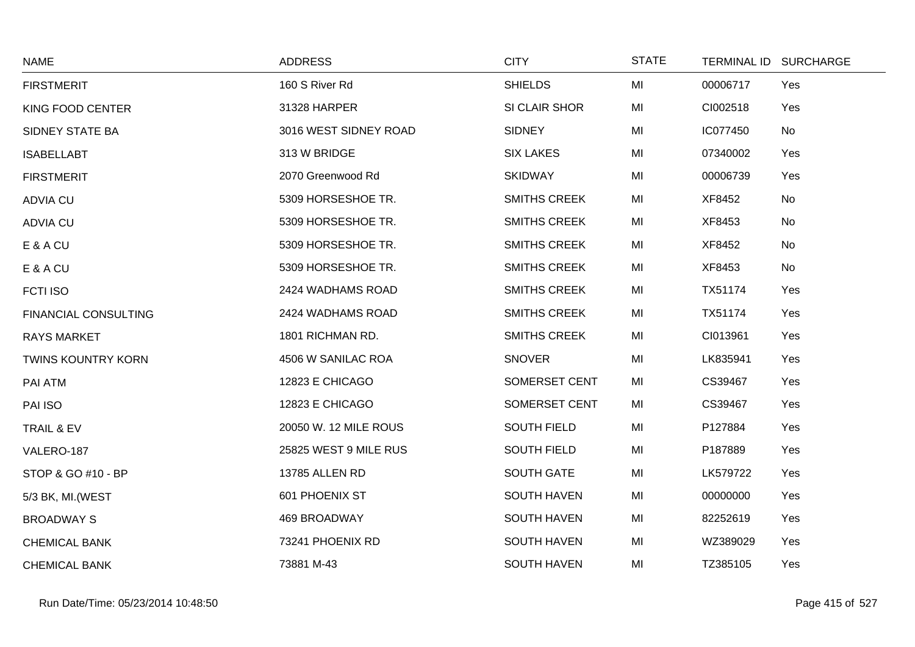| <b>NAME</b>                 | <b>ADDRESS</b>        | <b>CITY</b>         | <b>STATE</b> |          | TERMINAL ID SURCHARGE |
|-----------------------------|-----------------------|---------------------|--------------|----------|-----------------------|
| <b>FIRSTMERIT</b>           | 160 S River Rd        | <b>SHIELDS</b>      | MI           | 00006717 | Yes                   |
| KING FOOD CENTER            | 31328 HARPER          | SI CLAIR SHOR       | MI           | CI002518 | Yes                   |
| SIDNEY STATE BA             | 3016 WEST SIDNEY ROAD | <b>SIDNEY</b>       | MI           | IC077450 | No                    |
| <b>ISABELLABT</b>           | 313 W BRIDGE          | <b>SIX LAKES</b>    | MI           | 07340002 | Yes                   |
| <b>FIRSTMERIT</b>           | 2070 Greenwood Rd     | <b>SKIDWAY</b>      | MI           | 00006739 | Yes                   |
| <b>ADVIA CU</b>             | 5309 HORSESHOE TR.    | <b>SMITHS CREEK</b> | MI           | XF8452   | No                    |
| <b>ADVIA CU</b>             | 5309 HORSESHOE TR.    | <b>SMITHS CREEK</b> | MI           | XF8453   | No                    |
| E & A CU                    | 5309 HORSESHOE TR.    | <b>SMITHS CREEK</b> | MI           | XF8452   | No                    |
| E & A CU                    | 5309 HORSESHOE TR.    | <b>SMITHS CREEK</b> | MI           | XF8453   | No                    |
| <b>FCTI ISO</b>             | 2424 WADHAMS ROAD     | <b>SMITHS CREEK</b> | MI           | TX51174  | Yes                   |
| <b>FINANCIAL CONSULTING</b> | 2424 WADHAMS ROAD     | <b>SMITHS CREEK</b> | MI           | TX51174  | Yes                   |
| <b>RAYS MARKET</b>          | 1801 RICHMAN RD.      | <b>SMITHS CREEK</b> | MI           | CI013961 | Yes                   |
| <b>TWINS KOUNTRY KORN</b>   | 4506 W SANILAC ROA    | <b>SNOVER</b>       | MI           | LK835941 | Yes                   |
| PAI ATM                     | 12823 E CHICAGO       | SOMERSET CENT       | MI           | CS39467  | Yes                   |
| PAI ISO                     | 12823 E CHICAGO       | SOMERSET CENT       | MI           | CS39467  | Yes                   |
| TRAIL & EV                  | 20050 W. 12 MILE ROUS | <b>SOUTH FIELD</b>  | MI           | P127884  | Yes                   |
| VALERO-187                  | 25825 WEST 9 MILE RUS | <b>SOUTH FIELD</b>  | MI           | P187889  | Yes                   |
| STOP & GO #10 - BP          | 13785 ALLEN RD        | <b>SOUTH GATE</b>   | MI           | LK579722 | Yes                   |
| 5/3 BK, MI. (WEST           | 601 PHOENIX ST        | <b>SOUTH HAVEN</b>  | MI           | 00000000 | Yes                   |
| <b>BROADWAY S</b>           | 469 BROADWAY          | <b>SOUTH HAVEN</b>  | MI           | 82252619 | Yes                   |
| <b>CHEMICAL BANK</b>        | 73241 PHOENIX RD      | <b>SOUTH HAVEN</b>  | MI           | WZ389029 | Yes                   |
| <b>CHEMICAL BANK</b>        | 73881 M-43            | SOUTH HAVEN         | MI           | TZ385105 | Yes                   |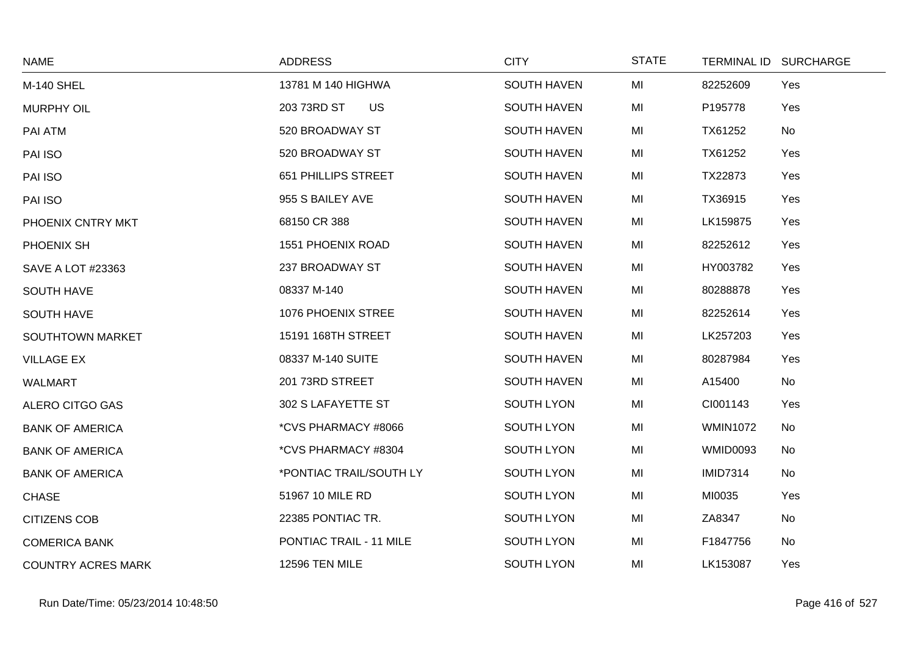| <b>NAME</b>               | <b>ADDRESS</b>           | <b>CITY</b>        | <b>STATE</b> |                 | TERMINAL ID SURCHARGE |
|---------------------------|--------------------------|--------------------|--------------|-----------------|-----------------------|
| <b>M-140 SHEL</b>         | 13781 M 140 HIGHWA       | <b>SOUTH HAVEN</b> | MI           | 82252609        | Yes                   |
| <b>MURPHY OIL</b>         | 203 73RD ST<br><b>US</b> | <b>SOUTH HAVEN</b> | MI           | P195778         | Yes                   |
| PAI ATM                   | 520 BROADWAY ST          | <b>SOUTH HAVEN</b> | MI           | TX61252         | No                    |
| PAI ISO                   | 520 BROADWAY ST          | <b>SOUTH HAVEN</b> | MI           | TX61252         | Yes                   |
| PAI ISO                   | 651 PHILLIPS STREET      | <b>SOUTH HAVEN</b> | MI           | TX22873         | Yes                   |
| PAI ISO                   | 955 S BAILEY AVE         | <b>SOUTH HAVEN</b> | MI           | TX36915         | Yes                   |
| PHOENIX CNTRY MKT         | 68150 CR 388             | <b>SOUTH HAVEN</b> | MI           | LK159875        | Yes                   |
| PHOENIX SH                | 1551 PHOENIX ROAD        | <b>SOUTH HAVEN</b> | MI           | 82252612        | Yes                   |
| <b>SAVE A LOT #23363</b>  | 237 BROADWAY ST          | <b>SOUTH HAVEN</b> | MI           | HY003782        | Yes                   |
| <b>SOUTH HAVE</b>         | 08337 M-140              | <b>SOUTH HAVEN</b> | MI           | 80288878        | Yes                   |
| <b>SOUTH HAVE</b>         | 1076 PHOENIX STREE       | <b>SOUTH HAVEN</b> | MI           | 82252614        | Yes                   |
| <b>SOUTHTOWN MARKET</b>   | 15191 168TH STREET       | <b>SOUTH HAVEN</b> | MI           | LK257203        | Yes                   |
| <b>VILLAGE EX</b>         | 08337 M-140 SUITE        | <b>SOUTH HAVEN</b> | MI           | 80287984        | Yes                   |
| <b>WALMART</b>            | 201 73RD STREET          | <b>SOUTH HAVEN</b> | MI           | A15400          | No                    |
| ALERO CITGO GAS           | 302 S LAFAYETTE ST       | SOUTH LYON         | MI           | CI001143        | Yes                   |
| <b>BANK OF AMERICA</b>    | *CVS PHARMACY #8066      | SOUTH LYON         | MI           | <b>WMIN1072</b> | No                    |
| <b>BANK OF AMERICA</b>    | *CVS PHARMACY #8304      | SOUTH LYON         | MI           | <b>WMID0093</b> | No                    |
| <b>BANK OF AMERICA</b>    | *PONTIAC TRAIL/SOUTH LY  | SOUTH LYON         | MI           | <b>IMID7314</b> | No                    |
| <b>CHASE</b>              | 51967 10 MILE RD         | SOUTH LYON         | MI           | MI0035          | Yes                   |
| <b>CITIZENS COB</b>       | 22385 PONTIAC TR.        | SOUTH LYON         | MI           | ZA8347          | <b>No</b>             |
| <b>COMERICA BANK</b>      | PONTIAC TRAIL - 11 MILE  | SOUTH LYON         | MI           | F1847756        | No                    |
| <b>COUNTRY ACRES MARK</b> | 12596 TEN MILE           | <b>SOUTH LYON</b>  | MI           | LK153087        | Yes                   |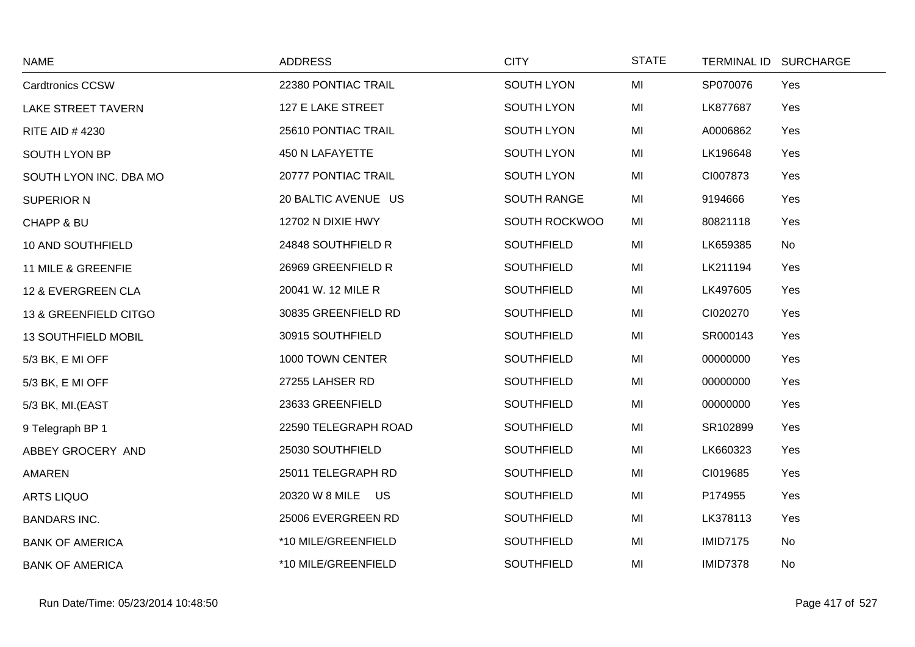| <b>NAME</b>                | <b>ADDRESS</b>       | <b>CITY</b>        | <b>STATE</b> |                 | TERMINAL ID SURCHARGE |
|----------------------------|----------------------|--------------------|--------------|-----------------|-----------------------|
| <b>Cardtronics CCSW</b>    | 22380 PONTIAC TRAIL  | SOUTH LYON         | MI           | SP070076        | Yes                   |
| <b>LAKE STREET TAVERN</b>  | 127 E LAKE STREET    | SOUTH LYON         | MI           | LK877687        | Yes                   |
| <b>RITE AID #4230</b>      | 25610 PONTIAC TRAIL  | SOUTH LYON         | MI           | A0006862        | Yes                   |
| <b>SOUTH LYON BP</b>       | 450 N LAFAYETTE      | SOUTH LYON         | MI           | LK196648        | Yes                   |
| SOUTH LYON INC. DBA MO     | 20777 PONTIAC TRAIL  | SOUTH LYON         | MI           | CI007873        | Yes                   |
| <b>SUPERIOR N</b>          | 20 BALTIC AVENUE US  | <b>SOUTH RANGE</b> | MI           | 9194666         | Yes                   |
| <b>CHAPP &amp; BU</b>      | 12702 N DIXIE HWY    | SOUTH ROCKWOO      | MI           | 80821118        | Yes                   |
| 10 AND SOUTHFIELD          | 24848 SOUTHFIELD R   | <b>SOUTHFIELD</b>  | MI           | LK659385        | No                    |
| 11 MILE & GREENFIE         | 26969 GREENFIELD R   | <b>SOUTHFIELD</b>  | MI           | LK211194        | Yes                   |
| 12 & EVERGREEN CLA         | 20041 W. 12 MILE R   | <b>SOUTHFIELD</b>  | MI           | LK497605        | Yes                   |
| 13 & GREENFIELD CITGO      | 30835 GREENFIELD RD  | <b>SOUTHFIELD</b>  | MI           | CI020270        | Yes                   |
| <b>13 SOUTHFIELD MOBIL</b> | 30915 SOUTHFIELD     | <b>SOUTHFIELD</b>  | MI           | SR000143        | Yes                   |
| 5/3 BK, E MI OFF           | 1000 TOWN CENTER     | <b>SOUTHFIELD</b>  | MI           | 00000000        | Yes                   |
| 5/3 BK, E MI OFF           | 27255 LAHSER RD      | <b>SOUTHFIELD</b>  | MI           | 00000000        | Yes                   |
| 5/3 BK, MI.(EAST           | 23633 GREENFIELD     | <b>SOUTHFIELD</b>  | MI           | 00000000        | Yes                   |
| 9 Telegraph BP 1           | 22590 TELEGRAPH ROAD | SOUTHFIELD         | MI           | SR102899        | Yes                   |
| ABBEY GROCERY AND          | 25030 SOUTHFIELD     | <b>SOUTHFIELD</b>  | MI           | LK660323        | Yes                   |
| AMAREN                     | 25011 TELEGRAPH RD   | <b>SOUTHFIELD</b>  | MI           | CI019685        | Yes                   |
| ARTS LIQUO                 | 20320 W 8 MILE US    | <b>SOUTHFIELD</b>  | MI           | P174955         | Yes                   |
| <b>BANDARS INC.</b>        | 25006 EVERGREEN RD   | SOUTHFIELD         | MI           | LK378113        | Yes                   |
| <b>BANK OF AMERICA</b>     | *10 MILE/GREENFIELD  | <b>SOUTHFIELD</b>  | MI           | <b>IMID7175</b> | No                    |
| <b>BANK OF AMERICA</b>     | *10 MILE/GREENFIELD  | <b>SOUTHFIELD</b>  | MI           | <b>IMID7378</b> | No                    |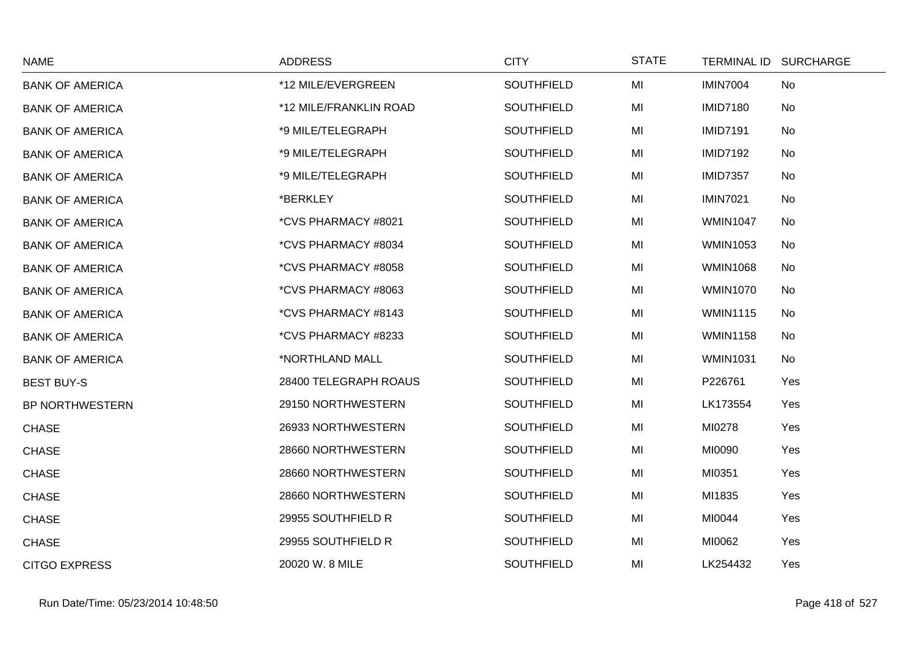| <b>NAME</b>            | <b>ADDRESS</b>         | <b>CITY</b>       | <b>STATE</b> | TERMINAL ID SURCHARGE |     |
|------------------------|------------------------|-------------------|--------------|-----------------------|-----|
| <b>BANK OF AMERICA</b> | *12 MILE/EVERGREEN     | <b>SOUTHFIELD</b> | MI           | <b>IMIN7004</b>       | No  |
| <b>BANK OF AMERICA</b> | *12 MILE/FRANKLIN ROAD | <b>SOUTHFIELD</b> | MI           | <b>IMID7180</b>       | No  |
| <b>BANK OF AMERICA</b> | *9 MILE/TELEGRAPH      | <b>SOUTHFIELD</b> | MI           | <b>IMID7191</b>       | No  |
| <b>BANK OF AMERICA</b> | *9 MILE/TELEGRAPH      | <b>SOUTHFIELD</b> | MI           | <b>IMID7192</b>       | No  |
| <b>BANK OF AMERICA</b> | *9 MILE/TELEGRAPH      | <b>SOUTHFIELD</b> | MI           | <b>IMID7357</b>       | No  |
| <b>BANK OF AMERICA</b> | *BERKLEY               | <b>SOUTHFIELD</b> | MI           | <b>IMIN7021</b>       | No  |
| <b>BANK OF AMERICA</b> | *CVS PHARMACY #8021    | <b>SOUTHFIELD</b> | MI           | <b>WMIN1047</b>       | No  |
| <b>BANK OF AMERICA</b> | *CVS PHARMACY #8034    | <b>SOUTHFIELD</b> | MI           | <b>WMIN1053</b>       | No  |
| <b>BANK OF AMERICA</b> | *CVS PHARMACY #8058    | <b>SOUTHFIELD</b> | MI           | <b>WMIN1068</b>       | No  |
| <b>BANK OF AMERICA</b> | *CVS PHARMACY #8063    | <b>SOUTHFIELD</b> | MI           | <b>WMIN1070</b>       | No  |
| <b>BANK OF AMERICA</b> | *CVS PHARMACY #8143    | <b>SOUTHFIELD</b> | MI           | <b>WMIN1115</b>       | No  |
| <b>BANK OF AMERICA</b> | *CVS PHARMACY #8233    | <b>SOUTHFIELD</b> | MI           | <b>WMIN1158</b>       | No  |
| <b>BANK OF AMERICA</b> | *NORTHLAND MALL        | <b>SOUTHFIELD</b> | MI           | <b>WMIN1031</b>       | No  |
| <b>BEST BUY-S</b>      | 28400 TELEGRAPH ROAUS  | <b>SOUTHFIELD</b> | MI           | P226761               | Yes |
| <b>BP NORTHWESTERN</b> | 29150 NORTHWESTERN     | <b>SOUTHFIELD</b> | MI           | LK173554              | Yes |
| <b>CHASE</b>           | 26933 NORTHWESTERN     | <b>SOUTHFIELD</b> | MI           | MI0278                | Yes |
| <b>CHASE</b>           | 28660 NORTHWESTERN     | <b>SOUTHFIELD</b> | MI           | MI0090                | Yes |
| <b>CHASE</b>           | 28660 NORTHWESTERN     | <b>SOUTHFIELD</b> | MI           | MI0351                | Yes |
| <b>CHASE</b>           | 28660 NORTHWESTERN     | <b>SOUTHFIELD</b> | MI           | MI1835                | Yes |
| <b>CHASE</b>           | 29955 SOUTHFIELD R     | <b>SOUTHFIELD</b> | MI           | MI0044                | Yes |
| <b>CHASE</b>           | 29955 SOUTHFIELD R     | <b>SOUTHFIELD</b> | MI           | MI0062                | Yes |
| <b>CITGO EXPRESS</b>   | 20020 W. 8 MILE        | <b>SOUTHFIELD</b> | MI           | LK254432              | Yes |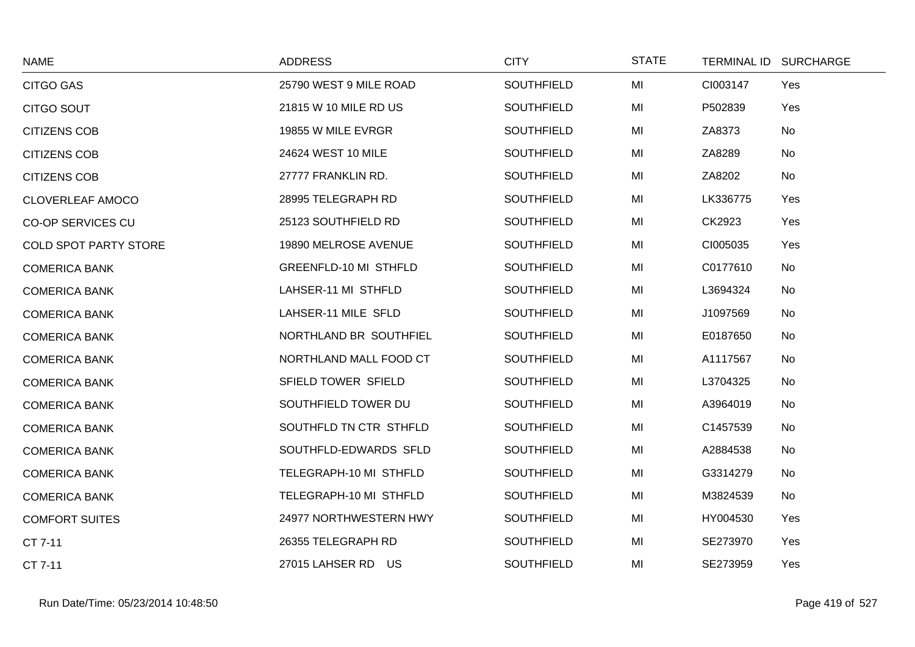| <b>NAME</b>                  | <b>ADDRESS</b>         | <b>CITY</b>       | <b>STATE</b> | TERMINAL ID SURCHARGE |  |
|------------------------------|------------------------|-------------------|--------------|-----------------------|--|
| <b>CITGO GAS</b>             | 25790 WEST 9 MILE ROAD | <b>SOUTHFIELD</b> | MI           | CI003147<br>Yes       |  |
| <b>CITGO SOUT</b>            | 21815 W 10 MILE RD US  | <b>SOUTHFIELD</b> | MI           | P502839<br>Yes        |  |
| <b>CITIZENS COB</b>          | 19855 W MILE EVRGR     | <b>SOUTHFIELD</b> | MI           | ZA8373<br>No          |  |
| <b>CITIZENS COB</b>          | 24624 WEST 10 MILE     | <b>SOUTHFIELD</b> | MI           | ZA8289<br>No          |  |
| <b>CITIZENS COB</b>          | 27777 FRANKLIN RD.     | <b>SOUTHFIELD</b> | MI           | ZA8202<br>No          |  |
| <b>CLOVERLEAF AMOCO</b>      | 28995 TELEGRAPH RD     | <b>SOUTHFIELD</b> | MI           | LK336775<br>Yes       |  |
| <b>CO-OP SERVICES CU</b>     | 25123 SOUTHFIELD RD    | <b>SOUTHFIELD</b> | MI           | CK2923<br>Yes         |  |
| <b>COLD SPOT PARTY STORE</b> | 19890 MELROSE AVENUE   | <b>SOUTHFIELD</b> | MI           | CI005035<br>Yes       |  |
| <b>COMERICA BANK</b>         | GREENFLD-10 MI STHFLD  | <b>SOUTHFIELD</b> | MI           | C0177610<br>No        |  |
| <b>COMERICA BANK</b>         | LAHSER-11 MI STHFLD    | <b>SOUTHFIELD</b> | MI           | L3694324<br>No        |  |
| <b>COMERICA BANK</b>         | LAHSER-11 MILE SFLD    | <b>SOUTHFIELD</b> | MI           | J1097569<br>No        |  |
| <b>COMERICA BANK</b>         | NORTHLAND BR SOUTHFIEL | <b>SOUTHFIELD</b> | MI           | E0187650<br>No        |  |
| <b>COMERICA BANK</b>         | NORTHLAND MALL FOOD CT | <b>SOUTHFIELD</b> | MI           | A1117567<br>No        |  |
| <b>COMERICA BANK</b>         | SFIELD TOWER SFIELD    | <b>SOUTHFIELD</b> | MI           | L3704325<br>No        |  |
| <b>COMERICA BANK</b>         | SOUTHFIELD TOWER DU    | <b>SOUTHFIELD</b> | MI           | A3964019<br>No        |  |
| <b>COMERICA BANK</b>         | SOUTHFLD TN CTR STHFLD | <b>SOUTHFIELD</b> | MI           | C1457539<br>No        |  |
| <b>COMERICA BANK</b>         | SOUTHFLD-EDWARDS SFLD  | <b>SOUTHFIELD</b> | MI           | A2884538<br>No        |  |
| <b>COMERICA BANK</b>         | TELEGRAPH-10 MI STHFLD | <b>SOUTHFIELD</b> | MI           | G3314279<br>No        |  |
| <b>COMERICA BANK</b>         | TELEGRAPH-10 MI STHFLD | <b>SOUTHFIELD</b> | MI           | M3824539<br>No        |  |
| <b>COMFORT SUITES</b>        | 24977 NORTHWESTERN HWY | <b>SOUTHFIELD</b> | MI           | HY004530<br>Yes       |  |
| CT 7-11                      | 26355 TELEGRAPH RD     | <b>SOUTHFIELD</b> | MI           | SE273970<br>Yes       |  |
| CT 7-11                      | 27015 LAHSER RD US     | <b>SOUTHFIELD</b> | MI           | SE273959<br>Yes       |  |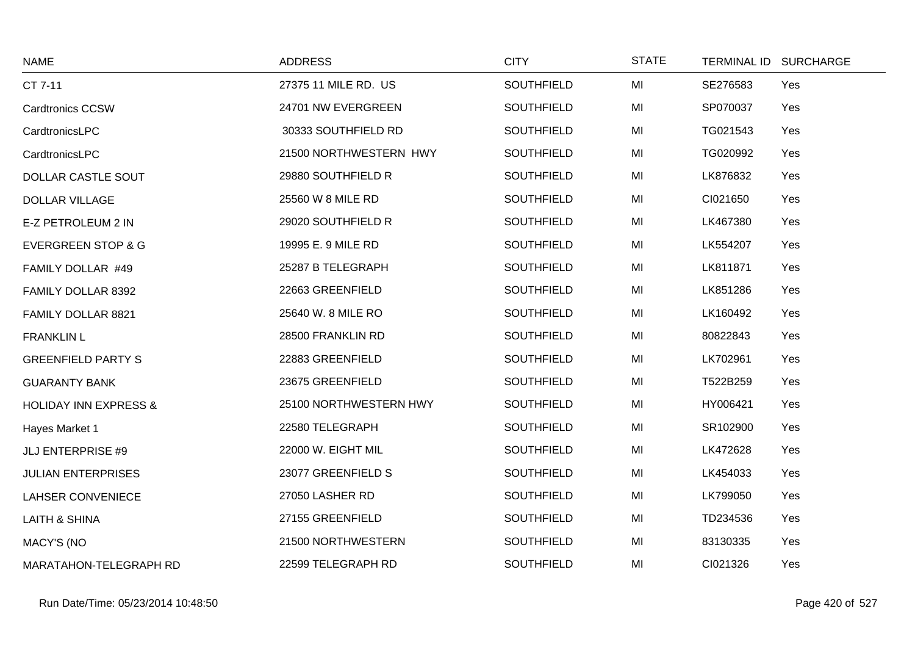| <b>NAME</b>                      | <b>ADDRESS</b>         | <b>CITY</b>       | <b>STATE</b> | <b>TERMINAL ID</b> | <b>SURCHARGE</b> |
|----------------------------------|------------------------|-------------------|--------------|--------------------|------------------|
| CT 7-11                          | 27375 11 MILE RD. US   | <b>SOUTHFIELD</b> | MI           | SE276583           | Yes              |
| <b>Cardtronics CCSW</b>          | 24701 NW EVERGREEN     | SOUTHFIELD        | MI           | SP070037           | Yes              |
| CardtronicsLPC                   | 30333 SOUTHFIELD RD    | <b>SOUTHFIELD</b> | MI           | TG021543           | Yes              |
| CardtronicsLPC                   | 21500 NORTHWESTERN HWY | <b>SOUTHFIELD</b> | MI           | TG020992           | Yes              |
| DOLLAR CASTLE SOUT               | 29880 SOUTHFIELD R     | <b>SOUTHFIELD</b> | MI           | LK876832           | Yes              |
| <b>DOLLAR VILLAGE</b>            | 25560 W 8 MILE RD      | <b>SOUTHFIELD</b> | MI           | CI021650           | Yes              |
| E-Z PETROLEUM 2 IN               | 29020 SOUTHFIELD R     | SOUTHFIELD        | MI           | LK467380           | Yes              |
| <b>EVERGREEN STOP &amp; G</b>    | 19995 E. 9 MILE RD     | <b>SOUTHFIELD</b> | MI           | LK554207           | Yes              |
| FAMILY DOLLAR #49                | 25287 B TELEGRAPH      | <b>SOUTHFIELD</b> | MI           | LK811871           | Yes              |
| FAMILY DOLLAR 8392               | 22663 GREENFIELD       | <b>SOUTHFIELD</b> | MI           | LK851286           | Yes              |
| FAMILY DOLLAR 8821               | 25640 W. 8 MILE RO     | <b>SOUTHFIELD</b> | MI           | LK160492           | Yes              |
| <b>FRANKLIN L</b>                | 28500 FRANKLIN RD      | <b>SOUTHFIELD</b> | MI           | 80822843           | Yes              |
| <b>GREENFIELD PARTY S</b>        | 22883 GREENFIELD       | <b>SOUTHFIELD</b> | MI           | LK702961           | Yes              |
| <b>GUARANTY BANK</b>             | 23675 GREENFIELD       | <b>SOUTHFIELD</b> | MI           | T522B259           | Yes              |
| <b>HOLIDAY INN EXPRESS &amp;</b> | 25100 NORTHWESTERN HWY | <b>SOUTHFIELD</b> | MI           | HY006421           | Yes              |
| Hayes Market 1                   | 22580 TELEGRAPH        | SOUTHFIELD        | MI           | SR102900           | Yes              |
| <b>JLJ ENTERPRISE #9</b>         | 22000 W. EIGHT MIL     | <b>SOUTHFIELD</b> | MI           | LK472628           | Yes              |
| <b>JULIAN ENTERPRISES</b>        | 23077 GREENFIELD S     | <b>SOUTHFIELD</b> | MI           | LK454033           | Yes              |
| <b>LAHSER CONVENIECE</b>         | 27050 LASHER RD        | <b>SOUTHFIELD</b> | MI           | LK799050           | Yes              |
| <b>LAITH &amp; SHINA</b>         | 27155 GREENFIELD       | <b>SOUTHFIELD</b> | MI           | TD234536           | Yes              |
| <b>MACY'S (NO</b>                | 21500 NORTHWESTERN     | <b>SOUTHFIELD</b> | MI           | 83130335           | Yes              |
| MARATAHON-TELEGRAPH RD           | 22599 TELEGRAPH RD     | <b>SOUTHFIELD</b> | MI           | CI021326           | Yes              |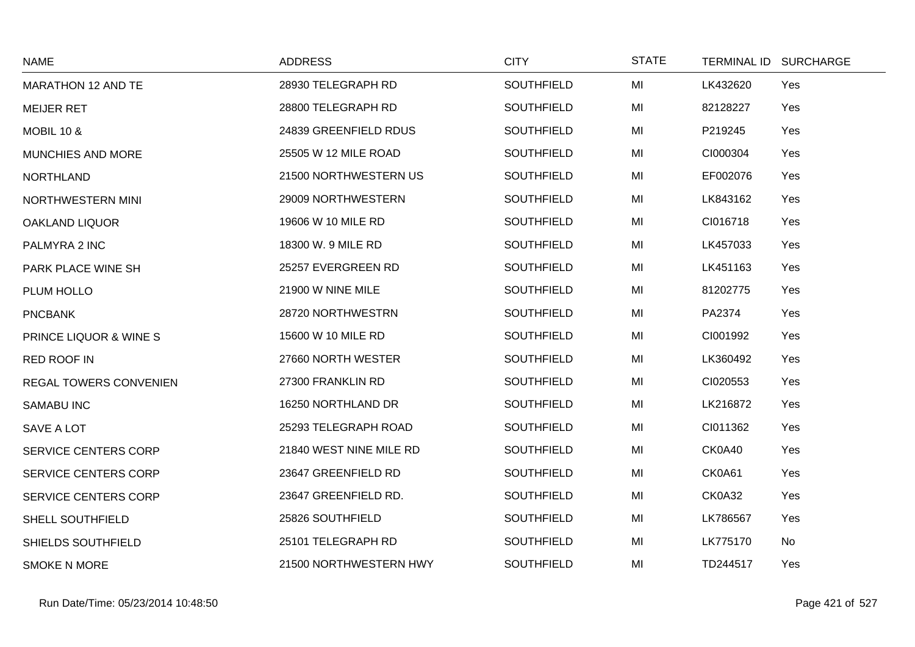| <b>NAME</b>                 | <b>ADDRESS</b>          | <b>CITY</b>       | <b>STATE</b> | TERMINAL ID SURCHARGE |     |
|-----------------------------|-------------------------|-------------------|--------------|-----------------------|-----|
| MARATHON 12 AND TE          | 28930 TELEGRAPH RD      | SOUTHFIELD        | MI           | LK432620              | Yes |
| <b>MEIJER RET</b>           | 28800 TELEGRAPH RD      | <b>SOUTHFIELD</b> | MI           | 82128227              | Yes |
| <b>MOBIL 10 &amp;</b>       | 24839 GREENFIELD RDUS   | <b>SOUTHFIELD</b> | MI           | P219245               | Yes |
| MUNCHIES AND MORE           | 25505 W 12 MILE ROAD    | SOUTHFIELD        | MI           | CI000304              | Yes |
| <b>NORTHLAND</b>            | 21500 NORTHWESTERN US   | <b>SOUTHFIELD</b> | MI           | EF002076              | Yes |
| NORTHWESTERN MINI           | 29009 NORTHWESTERN      | <b>SOUTHFIELD</b> | MI           | LK843162              | Yes |
| <b>OAKLAND LIQUOR</b>       | 19606 W 10 MILE RD      | <b>SOUTHFIELD</b> | MI           | CI016718              | Yes |
| PALMYRA 2 INC               | 18300 W. 9 MILE RD      | SOUTHFIELD        | MI           | LK457033              | Yes |
| PARK PLACE WINE SH          | 25257 EVERGREEN RD      | <b>SOUTHFIELD</b> | MI           | LK451163              | Yes |
| PLUM HOLLO                  | 21900 W NINE MILE       | <b>SOUTHFIELD</b> | MI           | 81202775              | Yes |
| <b>PNCBANK</b>              | 28720 NORTHWESTRN       | <b>SOUTHFIELD</b> | MI           | PA2374                | Yes |
| PRINCE LIQUOR & WINE S      | 15600 W 10 MILE RD      | <b>SOUTHFIELD</b> | MI           | CI001992              | Yes |
| RED ROOF IN                 | 27660 NORTH WESTER      | <b>SOUTHFIELD</b> | MI           | LK360492              | Yes |
| REGAL TOWERS CONVENIEN      | 27300 FRANKLIN RD       | <b>SOUTHFIELD</b> | MI           | CI020553              | Yes |
| <b>SAMABU INC</b>           | 16250 NORTHLAND DR      | <b>SOUTHFIELD</b> | MI           | LK216872              | Yes |
| <b>SAVE A LOT</b>           | 25293 TELEGRAPH ROAD    | <b>SOUTHFIELD</b> | MI           | CI011362              | Yes |
| SERVICE CENTERS CORP        | 21840 WEST NINE MILE RD | <b>SOUTHFIELD</b> | MI           | CK0A40                | Yes |
| SERVICE CENTERS CORP        | 23647 GREENFIELD RD     | SOUTHFIELD        | MI           | CK0A61                | Yes |
| <b>SERVICE CENTERS CORP</b> | 23647 GREENFIELD RD.    | <b>SOUTHFIELD</b> | MI           | <b>CK0A32</b>         | Yes |
| SHELL SOUTHFIELD            | 25826 SOUTHFIELD        | <b>SOUTHFIELD</b> | MI           | LK786567              | Yes |
| SHIELDS SOUTHFIELD          | 25101 TELEGRAPH RD      | <b>SOUTHFIELD</b> | MI           | LK775170              | No  |
| <b>SMOKE N MORE</b>         | 21500 NORTHWESTERN HWY  | <b>SOUTHFIELD</b> | MI           | TD244517              | Yes |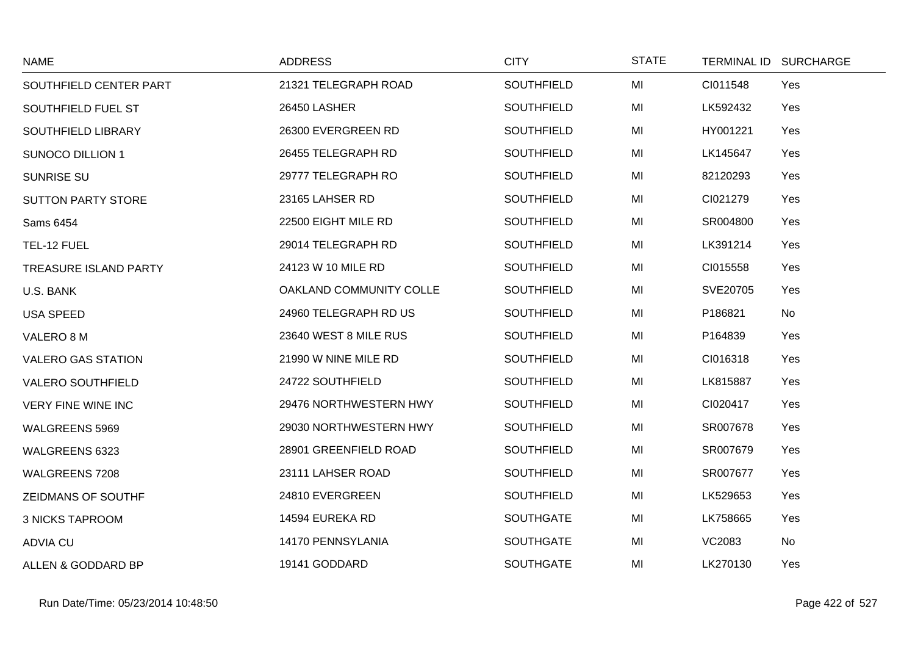| <b>NAME</b>                  | <b>ADDRESS</b>          | <b>CITY</b>       | <b>STATE</b> | TERMINAL ID SURCHARGE |
|------------------------------|-------------------------|-------------------|--------------|-----------------------|
| SOUTHFIELD CENTER PART       | 21321 TELEGRAPH ROAD    | <b>SOUTHFIELD</b> | MI           | CI011548<br>Yes       |
| SOUTHFIELD FUEL ST           | 26450 LASHER            | SOUTHFIELD        | MI           | LK592432<br>Yes       |
| SOUTHFIELD LIBRARY           | 26300 EVERGREEN RD      | <b>SOUTHFIELD</b> | MI           | HY001221<br>Yes       |
| <b>SUNOCO DILLION 1</b>      | 26455 TELEGRAPH RD      | <b>SOUTHFIELD</b> | MI           | LK145647<br>Yes       |
| <b>SUNRISE SU</b>            | 29777 TELEGRAPH RO      | <b>SOUTHFIELD</b> | MI           | 82120293<br>Yes       |
| <b>SUTTON PARTY STORE</b>    | 23165 LAHSER RD         | <b>SOUTHFIELD</b> | MI           | CI021279<br>Yes       |
| Sams 6454                    | 22500 EIGHT MILE RD     | <b>SOUTHFIELD</b> | MI           | SR004800<br>Yes       |
| TEL-12 FUEL                  | 29014 TELEGRAPH RD      | <b>SOUTHFIELD</b> | MI           | LK391214<br>Yes       |
| <b>TREASURE ISLAND PARTY</b> | 24123 W 10 MILE RD      | <b>SOUTHFIELD</b> | MI           | CI015558<br>Yes       |
| U.S. BANK                    | OAKLAND COMMUNITY COLLE | SOUTHFIELD        | MI           | SVE20705<br>Yes       |
| <b>USA SPEED</b>             | 24960 TELEGRAPH RD US   | <b>SOUTHFIELD</b> | MI           | P186821<br>No         |
| VALERO 8 M                   | 23640 WEST 8 MILE RUS   | <b>SOUTHFIELD</b> | MI           | P164839<br>Yes        |
| <b>VALERO GAS STATION</b>    | 21990 W NINE MILE RD    | SOUTHFIELD        | MI           | CI016318<br>Yes       |
| <b>VALERO SOUTHFIELD</b>     | 24722 SOUTHFIELD        | SOUTHFIELD        | MI           | LK815887<br>Yes       |
| <b>VERY FINE WINE INC</b>    | 29476 NORTHWESTERN HWY  | <b>SOUTHFIELD</b> | MI           | CI020417<br>Yes       |
| WALGREENS 5969               | 29030 NORTHWESTERN HWY  | <b>SOUTHFIELD</b> | MI           | SR007678<br>Yes       |
| WALGREENS 6323               | 28901 GREENFIELD ROAD   | <b>SOUTHFIELD</b> | MI           | SR007679<br>Yes       |
| WALGREENS 7208               | 23111 LAHSER ROAD       | <b>SOUTHFIELD</b> | MI           | SR007677<br>Yes       |
| ZEIDMANS OF SOUTHF           | 24810 EVERGREEN         | SOUTHFIELD        | MI           | LK529653<br>Yes       |
| <b>3 NICKS TAPROOM</b>       | 14594 EUREKA RD         | <b>SOUTHGATE</b>  | MI           | LK758665<br>Yes       |
| <b>ADVIA CU</b>              | 14170 PENNSYLANIA       | <b>SOUTHGATE</b>  | MI           | <b>VC2083</b><br>No   |
| ALLEN & GODDARD BP           | 19141 GODDARD           | <b>SOUTHGATE</b>  | MI           | LK270130<br>Yes       |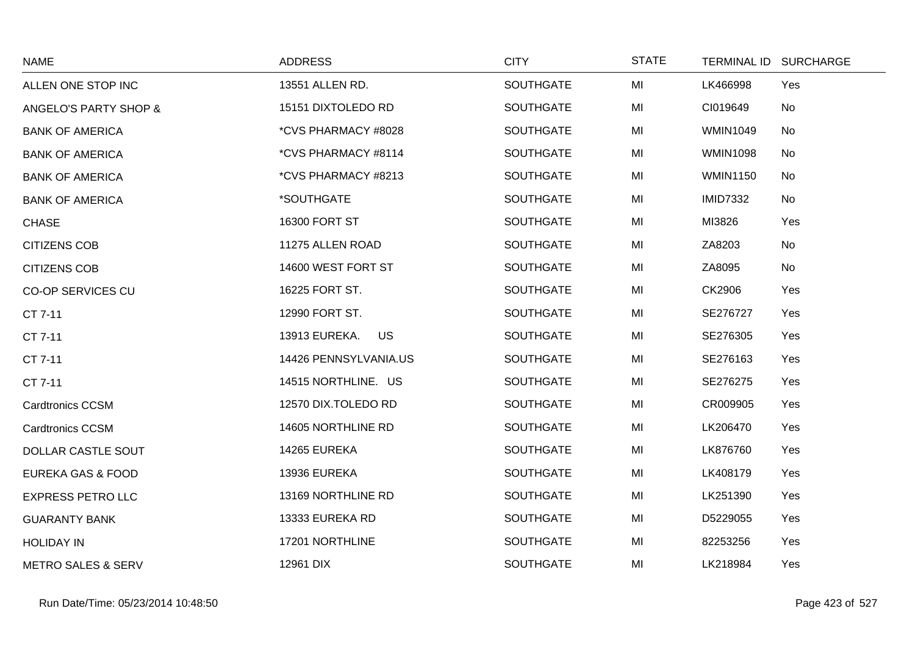| <b>NAME</b>                   | <b>ADDRESS</b>             | <b>CITY</b>      | <b>STATE</b> | TERMINAL ID SURCHARGE |  |
|-------------------------------|----------------------------|------------------|--------------|-----------------------|--|
| ALLEN ONE STOP INC            | 13551 ALLEN RD.            | <b>SOUTHGATE</b> | MI           | LK466998<br>Yes       |  |
| ANGELO'S PARTY SHOP &         | 15151 DIXTOLEDO RD         | <b>SOUTHGATE</b> | MI           | CI019649<br>No        |  |
| <b>BANK OF AMERICA</b>        | *CVS PHARMACY #8028        | <b>SOUTHGATE</b> | MI           | <b>WMIN1049</b><br>No |  |
| <b>BANK OF AMERICA</b>        | *CVS PHARMACY #8114        | <b>SOUTHGATE</b> | MI           | <b>WMIN1098</b><br>No |  |
| <b>BANK OF AMERICA</b>        | *CVS PHARMACY #8213        | <b>SOUTHGATE</b> | MI           | <b>WMIN1150</b><br>No |  |
| <b>BANK OF AMERICA</b>        | *SOUTHGATE                 | <b>SOUTHGATE</b> | MI           | <b>IMID7332</b><br>No |  |
| <b>CHASE</b>                  | 16300 FORT ST              | <b>SOUTHGATE</b> | MI           | MI3826<br>Yes         |  |
| <b>CITIZENS COB</b>           | 11275 ALLEN ROAD           | <b>SOUTHGATE</b> | MI           | ZA8203<br>No          |  |
| <b>CITIZENS COB</b>           | 14600 WEST FORT ST         | <b>SOUTHGATE</b> | MI           | ZA8095<br>No          |  |
| <b>CO-OP SERVICES CU</b>      | 16225 FORT ST.             | <b>SOUTHGATE</b> | MI           | CK2906<br>Yes         |  |
| CT 7-11                       | 12990 FORT ST.             | <b>SOUTHGATE</b> | MI           | SE276727<br>Yes       |  |
| CT 7-11                       | 13913 EUREKA.<br><b>US</b> | <b>SOUTHGATE</b> | MI           | SE276305<br>Yes       |  |
| CT 7-11                       | 14426 PENNSYLVANIA.US      | <b>SOUTHGATE</b> | MI           | SE276163<br>Yes       |  |
| CT 7-11                       | 14515 NORTHLINE. US        | <b>SOUTHGATE</b> | MI           | SE276275<br>Yes       |  |
| <b>Cardtronics CCSM</b>       | 12570 DIX.TOLEDO RD        | <b>SOUTHGATE</b> | MI           | CR009905<br>Yes       |  |
| <b>Cardtronics CCSM</b>       | 14605 NORTHLINE RD         | <b>SOUTHGATE</b> | MI           | LK206470<br>Yes       |  |
| DOLLAR CASTLE SOUT            | 14265 EUREKA               | <b>SOUTHGATE</b> | MI           | LK876760<br>Yes       |  |
| <b>EUREKA GAS &amp; FOOD</b>  | 13936 EUREKA               | <b>SOUTHGATE</b> | MI           | LK408179<br>Yes       |  |
| <b>EXPRESS PETRO LLC</b>      | 13169 NORTHLINE RD         | <b>SOUTHGATE</b> | MI           | LK251390<br>Yes       |  |
| <b>GUARANTY BANK</b>          | 13333 EUREKA RD            | <b>SOUTHGATE</b> | MI           | D5229055<br>Yes       |  |
| <b>HOLIDAY IN</b>             | 17201 NORTHLINE            | <b>SOUTHGATE</b> | MI           | 82253256<br>Yes       |  |
| <b>METRO SALES &amp; SERV</b> | 12961 DIX                  | SOUTHGATE        | MI           | LK218984<br>Yes       |  |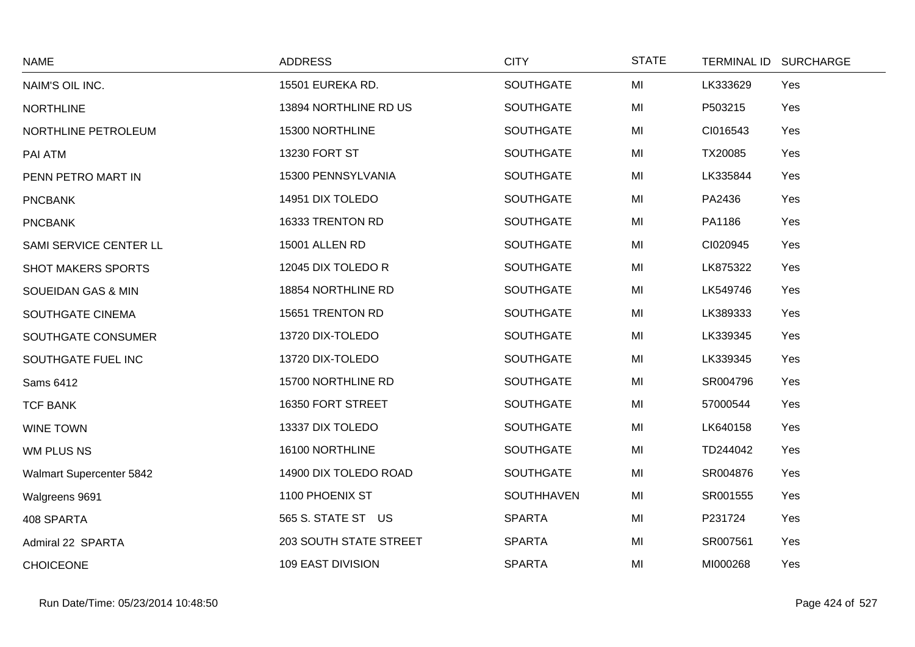| <b>NAME</b>              | <b>ADDRESS</b>           | <b>CITY</b>      | <b>STATE</b> | TERMINAL ID SURCHARGE |     |
|--------------------------|--------------------------|------------------|--------------|-----------------------|-----|
| NAIM'S OIL INC.          | 15501 EUREKA RD.         | <b>SOUTHGATE</b> | MI           | LK333629              | Yes |
| <b>NORTHLINE</b>         | 13894 NORTHLINE RD US    | <b>SOUTHGATE</b> | MI           | P503215               | Yes |
| NORTHLINE PETROLEUM      | 15300 NORTHLINE          | <b>SOUTHGATE</b> | MI           | CI016543              | Yes |
| PAI ATM                  | 13230 FORT ST            | <b>SOUTHGATE</b> | MI           | TX20085               | Yes |
| PENN PETRO MART IN       | 15300 PENNSYLVANIA       | <b>SOUTHGATE</b> | MI           | LK335844              | Yes |
| <b>PNCBANK</b>           | 14951 DIX TOLEDO         | <b>SOUTHGATE</b> | MI           | PA2436                | Yes |
| <b>PNCBANK</b>           | 16333 TRENTON RD         | <b>SOUTHGATE</b> | MI           | PA1186                | Yes |
| SAMI SERVICE CENTER LL   | <b>15001 ALLEN RD</b>    | <b>SOUTHGATE</b> | MI           | CI020945              | Yes |
| SHOT MAKERS SPORTS       | 12045 DIX TOLEDO R       | <b>SOUTHGATE</b> | MI           | LK875322              | Yes |
| SOUEIDAN GAS & MIN       | 18854 NORTHLINE RD       | <b>SOUTHGATE</b> | MI           | LK549746              | Yes |
| SOUTHGATE CINEMA         | 15651 TRENTON RD         | <b>SOUTHGATE</b> | MI           | LK389333              | Yes |
| SOUTHGATE CONSUMER       | 13720 DIX-TOLEDO         | <b>SOUTHGATE</b> | MI           | LK339345              | Yes |
| SOUTHGATE FUEL INC       | 13720 DIX-TOLEDO         | <b>SOUTHGATE</b> | MI           | LK339345              | Yes |
| Sams 6412                | 15700 NORTHLINE RD       | <b>SOUTHGATE</b> | MI           | SR004796              | Yes |
| <b>TCF BANK</b>          | 16350 FORT STREET        | <b>SOUTHGATE</b> | MI           | 57000544              | Yes |
| <b>WINE TOWN</b>         | 13337 DIX TOLEDO         | <b>SOUTHGATE</b> | MI           | LK640158              | Yes |
| WM PLUS NS               | 16100 NORTHLINE          | <b>SOUTHGATE</b> | MI           | TD244042              | Yes |
| Walmart Supercenter 5842 | 14900 DIX TOLEDO ROAD    | <b>SOUTHGATE</b> | MI           | SR004876              | Yes |
| Walgreens 9691           | 1100 PHOENIX ST          | SOUTHHAVEN       | MI           | SR001555              | Yes |
| 408 SPARTA               | 565 S. STATE ST US       | <b>SPARTA</b>    | MI           | P231724               | Yes |
| Admiral 22 SPARTA        | 203 SOUTH STATE STREET   | <b>SPARTA</b>    | MI           | SR007561              | Yes |
| <b>CHOICEONE</b>         | <b>109 EAST DIVISION</b> | <b>SPARTA</b>    | MI           | MI000268              | Yes |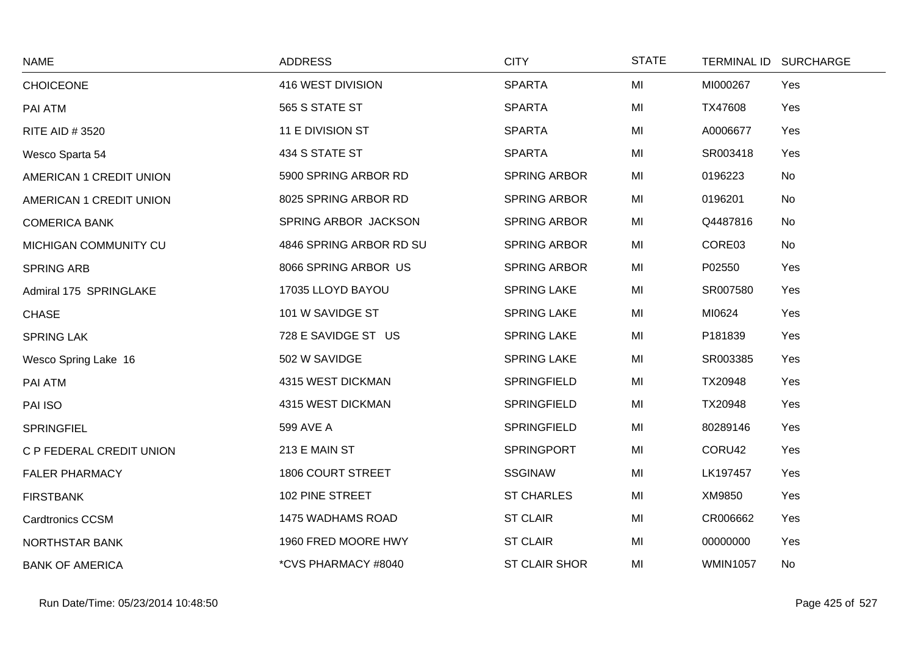| <b>NAME</b>              | <b>ADDRESS</b>          | <b>CITY</b>          | <b>STATE</b> |                 | TERMINAL ID SURCHARGE |
|--------------------------|-------------------------|----------------------|--------------|-----------------|-----------------------|
| <b>CHOICEONE</b>         | 416 WEST DIVISION       | <b>SPARTA</b>        | MI           | MI000267        | Yes                   |
| PAI ATM                  | 565 S STATE ST          | <b>SPARTA</b>        | MI           | TX47608         | Yes                   |
| RITE AID # 3520          | 11 E DIVISION ST        | <b>SPARTA</b>        | MI           | A0006677        | Yes                   |
| Wesco Sparta 54          | 434 S STATE ST          | <b>SPARTA</b>        | MI           | SR003418        | Yes                   |
| AMERICAN 1 CREDIT UNION  | 5900 SPRING ARBOR RD    | <b>SPRING ARBOR</b>  | MI           | 0196223         | No                    |
| AMERICAN 1 CREDIT UNION  | 8025 SPRING ARBOR RD    | SPRING ARBOR         | MI           | 0196201         | No                    |
| <b>COMERICA BANK</b>     | SPRING ARBOR JACKSON    | <b>SPRING ARBOR</b>  | MI           | Q4487816        | No                    |
| MICHIGAN COMMUNITY CU    | 4846 SPRING ARBOR RD SU | <b>SPRING ARBOR</b>  | MI           | CORE03          | No                    |
| <b>SPRING ARB</b>        | 8066 SPRING ARBOR US    | <b>SPRING ARBOR</b>  | MI           | P02550          | Yes                   |
| Admiral 175 SPRINGLAKE   | 17035 LLOYD BAYOU       | <b>SPRING LAKE</b>   | MI           | SR007580        | Yes                   |
| <b>CHASE</b>             | 101 W SAVIDGE ST        | <b>SPRING LAKE</b>   | MI           | MI0624          | Yes                   |
| <b>SPRING LAK</b>        | 728 E SAVIDGE ST US     | <b>SPRING LAKE</b>   | MI           | P181839         | Yes                   |
| Wesco Spring Lake 16     | 502 W SAVIDGE           | <b>SPRING LAKE</b>   | MI           | SR003385        | Yes                   |
| PAI ATM                  | 4315 WEST DICKMAN       | SPRINGFIELD          | MI           | TX20948         | Yes                   |
| PAI ISO                  | 4315 WEST DICKMAN       | SPRINGFIELD          | MI           | TX20948         | Yes                   |
| <b>SPRINGFIEL</b>        | 599 AVE A               | <b>SPRINGFIELD</b>   | MI           | 80289146        | Yes                   |
| C P FEDERAL CREDIT UNION | 213 E MAIN ST           | <b>SPRINGPORT</b>    | MI           | CORU42          | Yes                   |
| <b>FALER PHARMACY</b>    | 1806 COURT STREET       | <b>SSGINAW</b>       | MI           | LK197457        | Yes                   |
| <b>FIRSTBANK</b>         | 102 PINE STREET         | <b>ST CHARLES</b>    | MI           | XM9850          | Yes                   |
| <b>Cardtronics CCSM</b>  | 1475 WADHAMS ROAD       | <b>ST CLAIR</b>      | MI           | CR006662        | Yes                   |
| <b>NORTHSTAR BANK</b>    | 1960 FRED MOORE HWY     | <b>ST CLAIR</b>      | MI           | 00000000        | Yes                   |
| <b>BANK OF AMERICA</b>   | *CVS PHARMACY #8040     | <b>ST CLAIR SHOR</b> | MI           | <b>WMIN1057</b> | <b>No</b>             |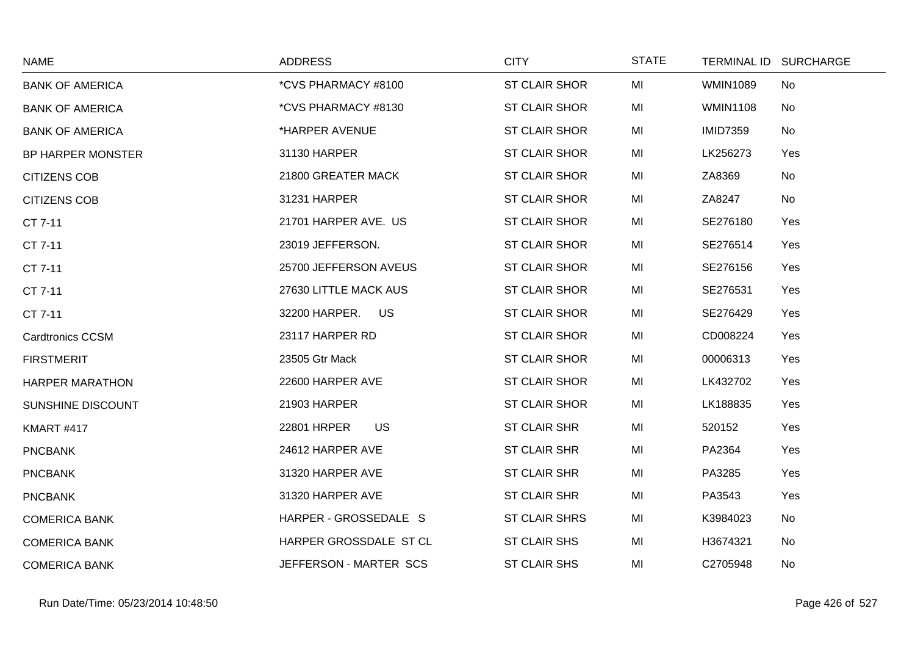| <b>NAME</b>             | <b>ADDRESS</b>           | <b>CITY</b>          | <b>STATE</b> |                 | TERMINAL ID SURCHARGE |
|-------------------------|--------------------------|----------------------|--------------|-----------------|-----------------------|
| <b>BANK OF AMERICA</b>  | *CVS PHARMACY #8100      | <b>ST CLAIR SHOR</b> | MI           | <b>WMIN1089</b> | No                    |
| <b>BANK OF AMERICA</b>  | *CVS PHARMACY #8130      | <b>ST CLAIR SHOR</b> | MI           | <b>WMIN1108</b> | No                    |
| <b>BANK OF AMERICA</b>  | *HARPER AVENUE           | <b>ST CLAIR SHOR</b> | MI           | <b>IMID7359</b> | <b>No</b>             |
| BP HARPER MONSTER       | 31130 HARPER             | <b>ST CLAIR SHOR</b> | MI           | LK256273        | Yes                   |
| <b>CITIZENS COB</b>     | 21800 GREATER MACK       | <b>ST CLAIR SHOR</b> | MI           | ZA8369          | No                    |
| <b>CITIZENS COB</b>     | 31231 HARPER             | <b>ST CLAIR SHOR</b> | MI           | ZA8247          | No                    |
| CT 7-11                 | 21701 HARPER AVE. US     | <b>ST CLAIR SHOR</b> | MI           | SE276180        | Yes                   |
| CT 7-11                 | 23019 JEFFERSON.         | <b>ST CLAIR SHOR</b> | MI           | SE276514        | Yes                   |
| CT 7-11                 | 25700 JEFFERSON AVEUS    | <b>ST CLAIR SHOR</b> | MI           | SE276156        | Yes                   |
| CT 7-11                 | 27630 LITTLE MACK AUS    | <b>ST CLAIR SHOR</b> | MI           | SE276531        | Yes                   |
| CT 7-11                 | 32200 HARPER. US         | <b>ST CLAIR SHOR</b> | MI           | SE276429        | Yes                   |
| <b>Cardtronics CCSM</b> | 23117 HARPER RD          | ST CLAIR SHOR        | MI           | CD008224        | Yes                   |
| <b>FIRSTMERIT</b>       | 23505 Gtr Mack           | <b>ST CLAIR SHOR</b> | MI           | 00006313        | Yes                   |
| <b>HARPER MARATHON</b>  | 22600 HARPER AVE         | <b>ST CLAIR SHOR</b> | MI           | LK432702        | Yes                   |
| SUNSHINE DISCOUNT       | 21903 HARPER             | ST CLAIR SHOR        | MI           | LK188835        | Yes                   |
| KMART #417              | 22801 HRPER<br><b>US</b> | ST CLAIR SHR         | MI           | 520152          | Yes                   |
| <b>PNCBANK</b>          | 24612 HARPER AVE         | ST CLAIR SHR         | MI           | PA2364          | Yes                   |
| <b>PNCBANK</b>          | 31320 HARPER AVE         | ST CLAIR SHR         | MI           | PA3285          | Yes                   |
| <b>PNCBANK</b>          | 31320 HARPER AVE         | ST CLAIR SHR         | MI           | PA3543          | Yes                   |
| <b>COMERICA BANK</b>    | HARPER - GROSSEDALE S    | <b>ST CLAIR SHRS</b> | MI           | K3984023        | No                    |
| <b>COMERICA BANK</b>    | HARPER GROSSDALE ST CL   | ST CLAIR SHS         | MI           | H3674321        | No                    |
| <b>COMERICA BANK</b>    | JEFFERSON - MARTER SCS   | ST CLAIR SHS         | MI           | C2705948        | No                    |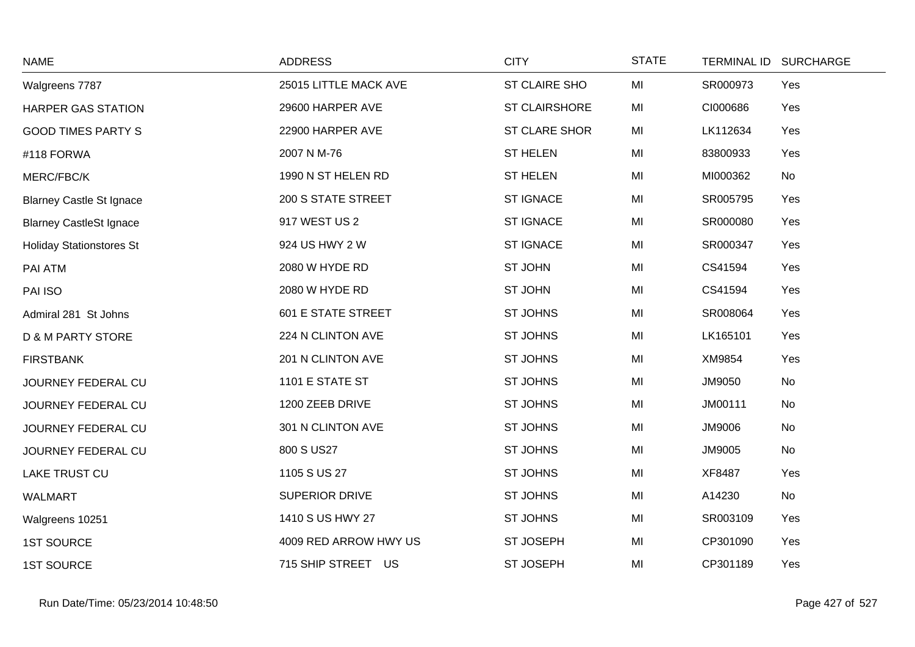| <b>NAME</b>                     | <b>ADDRESS</b>            | <b>CITY</b>          | <b>STATE</b> | <b>TERMINAL ID</b> | <b>SURCHARGE</b> |
|---------------------------------|---------------------------|----------------------|--------------|--------------------|------------------|
| Walgreens 7787                  | 25015 LITTLE MACK AVE     | <b>ST CLAIRE SHO</b> | MI           | SR000973           | Yes              |
| <b>HARPER GAS STATION</b>       | 29600 HARPER AVE          | <b>ST CLAIRSHORE</b> | MI           | CI000686           | Yes              |
| <b>GOOD TIMES PARTY S</b>       | 22900 HARPER AVE          | ST CLARE SHOR        | MI           | LK112634           | Yes              |
| #118 FORWA                      | 2007 N M-76               | <b>ST HELEN</b>      | MI           | 83800933           | Yes              |
| MERC/FBC/K                      | 1990 N ST HELEN RD        | <b>ST HELEN</b>      | MI           | MI000362           | No               |
| <b>Blarney Castle St Ignace</b> | <b>200 S STATE STREET</b> | <b>ST IGNACE</b>     | MI           | SR005795           | Yes              |
| <b>Blarney CastleSt Ignace</b>  | 917 WEST US 2             | <b>ST IGNACE</b>     | MI           | SR000080           | Yes              |
| <b>Holiday Stationstores St</b> | 924 US HWY 2 W            | <b>ST IGNACE</b>     | MI           | SR000347           | Yes              |
| PAI ATM                         | 2080 W HYDE RD            | <b>ST JOHN</b>       | MI           | CS41594            | Yes              |
| PAI ISO                         | 2080 W HYDE RD            | ST JOHN              | MI           | CS41594            | Yes              |
| Admiral 281 St Johns            | <b>601 E STATE STREET</b> | <b>ST JOHNS</b>      | MI           | SR008064           | Yes              |
| <b>D &amp; M PARTY STORE</b>    | 224 N CLINTON AVE         | <b>ST JOHNS</b>      | MI           | LK165101           | Yes              |
| <b>FIRSTBANK</b>                | 201 N CLINTON AVE         | ST JOHNS             | MI           | XM9854             | Yes              |
| JOURNEY FEDERAL CU              | 1101 E STATE ST           | <b>ST JOHNS</b>      | MI           | JM9050             | No               |
| JOURNEY FEDERAL CU              | 1200 ZEEB DRIVE           | <b>ST JOHNS</b>      | MI           | JM00111            | No               |
| JOURNEY FEDERAL CU              | 301 N CLINTON AVE         | <b>ST JOHNS</b>      | MI           | JM9006             | No               |
| JOURNEY FEDERAL CU              | 800 S US27                | <b>ST JOHNS</b>      | MI           | JM9005             | No               |
| <b>LAKE TRUST CU</b>            | 1105 S US 27              | ST JOHNS             | MI           | XF8487             | Yes              |
| <b>WALMART</b>                  | SUPERIOR DRIVE            | <b>ST JOHNS</b>      | MI           | A14230             | No               |
| Walgreens 10251                 | 1410 S US HWY 27          | <b>ST JOHNS</b>      | MI           | SR003109           | Yes              |
| <b>1ST SOURCE</b>               | 4009 RED ARROW HWY US     | ST JOSEPH            | MI           | CP301090           | Yes              |
| <b>1ST SOURCE</b>               | 715 SHIP STREET US        | ST JOSEPH            | MI           | CP301189           | Yes              |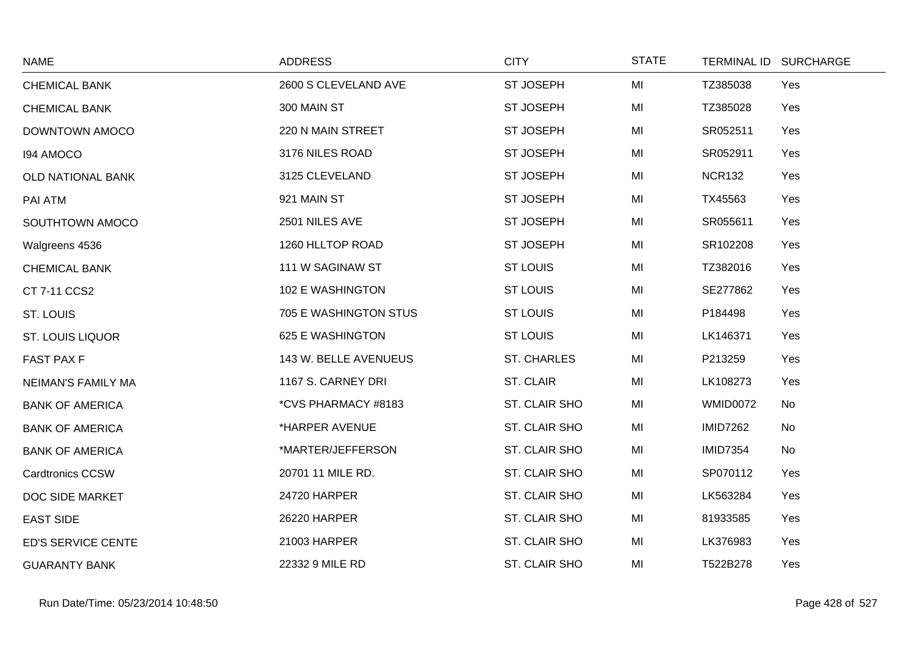| <b>NAME</b>             | <b>ADDRESS</b>        | <b>CITY</b>        | <b>STATE</b> |                 | TERMINAL ID SURCHARGE |
|-------------------------|-----------------------|--------------------|--------------|-----------------|-----------------------|
| <b>CHEMICAL BANK</b>    | 2600 S CLEVELAND AVE  | ST JOSEPH          | MI           | TZ385038        | Yes                   |
| <b>CHEMICAL BANK</b>    | 300 MAIN ST           | <b>ST JOSEPH</b>   | MI           | TZ385028        | Yes                   |
| DOWNTOWN AMOCO          | 220 N MAIN STREET     | <b>ST JOSEPH</b>   | MI           | SR052511        | Yes                   |
| 194 AMOCO               | 3176 NILES ROAD       | ST JOSEPH          | MI           | SR052911        | Yes                   |
| OLD NATIONAL BANK       | 3125 CLEVELAND        | <b>ST JOSEPH</b>   | MI           | <b>NCR132</b>   | Yes                   |
| PAI ATM                 | 921 MAIN ST           | <b>ST JOSEPH</b>   | MI           | TX45563         | Yes                   |
| SOUTHTOWN AMOCO         | 2501 NILES AVE        | ST JOSEPH          | MI           | SR055611        | Yes                   |
| Walgreens 4536          | 1260 HLLTOP ROAD      | ST JOSEPH          | MI           | SR102208        | Yes                   |
| <b>CHEMICAL BANK</b>    | 111 W SAGINAW ST      | <b>ST LOUIS</b>    | MI           | TZ382016        | Yes                   |
| CT 7-11 CCS2            | 102 E WASHINGTON      | <b>ST LOUIS</b>    | MI           | SE277862        | Yes                   |
| ST. LOUIS               | 705 E WASHINGTON STUS | <b>ST LOUIS</b>    | MI           | P184498         | Yes                   |
| <b>ST. LOUIS LIQUOR</b> | 625 E WASHINGTON      | <b>ST LOUIS</b>    | MI           | LK146371        | Yes                   |
| <b>FAST PAX F</b>       | 143 W. BELLE AVENUEUS | <b>ST. CHARLES</b> | MI           | P213259         | Yes                   |
| NEIMAN'S FAMILY MA      | 1167 S. CARNEY DRI    | ST. CLAIR          | MI           | LK108273        | Yes                   |
| <b>BANK OF AMERICA</b>  | *CVS PHARMACY #8183   | ST. CLAIR SHO      | MI           | WMID0072        | No                    |
| <b>BANK OF AMERICA</b>  | *HARPER AVENUE        | ST. CLAIR SHO      | MI           | <b>IMID7262</b> | No                    |
| <b>BANK OF AMERICA</b>  | *MARTER/JEFFERSON     | ST. CLAIR SHO      | MI           | <b>IMID7354</b> | No                    |
| <b>Cardtronics CCSW</b> | 20701 11 MILE RD.     | ST. CLAIR SHO      | MI           | SP070112        | Yes                   |
| DOC SIDE MARKET         | 24720 HARPER          | ST. CLAIR SHO      | MI           | LK563284        | Yes                   |
| <b>EAST SIDE</b>        | 26220 HARPER          | ST. CLAIR SHO      | MI           | 81933585        | Yes                   |
| ED'S SERVICE CENTE      | 21003 HARPER          | ST. CLAIR SHO      | MI           | LK376983        | Yes                   |
| <b>GUARANTY BANK</b>    | 22332 9 MILE RD       | ST. CLAIR SHO      | MI           | T522B278        | Yes                   |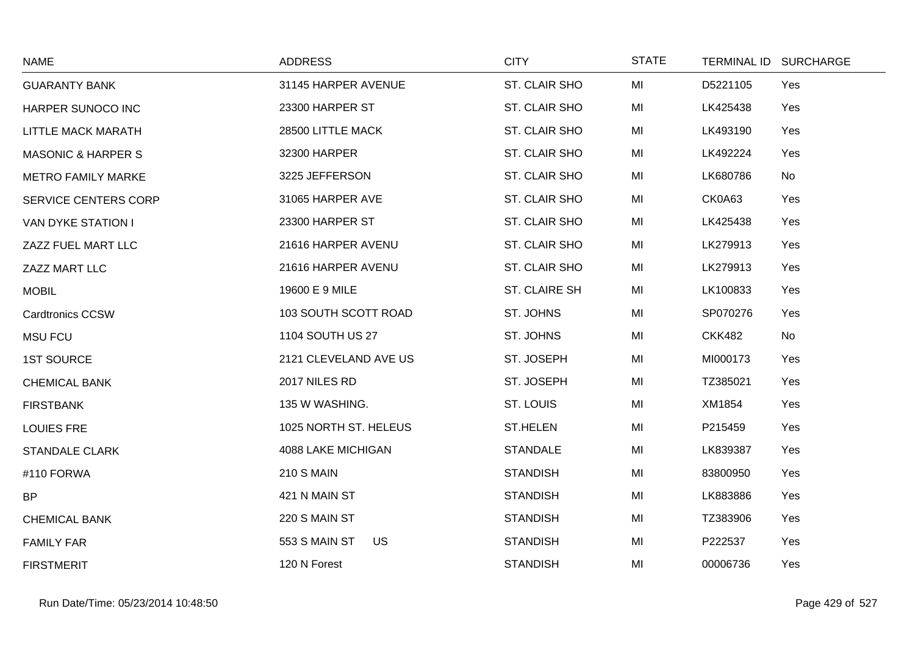| <b>NAME</b>                   | <b>ADDRESS</b>             | <b>CITY</b>          | <b>STATE</b> | <b>TERMINAL ID</b> | <b>SURCHARGE</b> |
|-------------------------------|----------------------------|----------------------|--------------|--------------------|------------------|
| <b>GUARANTY BANK</b>          | 31145 HARPER AVENUE        | ST. CLAIR SHO        | MI           | D5221105           | Yes              |
| HARPER SUNOCO INC             | 23300 HARPER ST            | ST. CLAIR SHO        | MI           | LK425438           | Yes              |
| LITTLE MACK MARATH            | 28500 LITTLE MACK          | ST. CLAIR SHO        | MI           | LK493190           | Yes              |
| <b>MASONIC &amp; HARPER S</b> | 32300 HARPER               | ST. CLAIR SHO        | MI           | LK492224           | Yes              |
| <b>METRO FAMILY MARKE</b>     | 3225 JEFFERSON             | ST. CLAIR SHO        | MI           | LK680786           | No               |
| <b>SERVICE CENTERS CORP</b>   | 31065 HARPER AVE           | ST. CLAIR SHO        | MI           | CK0A63             | Yes              |
| <b>VAN DYKE STATION I</b>     | 23300 HARPER ST            | ST. CLAIR SHO        | MI           | LK425438           | Yes              |
| ZAZZ FUEL MART LLC            | 21616 HARPER AVENU         | ST. CLAIR SHO        | MI           | LK279913           | Yes              |
| ZAZZ MART LLC                 | 21616 HARPER AVENU         | ST. CLAIR SHO        | MI           | LK279913           | Yes              |
| <b>MOBIL</b>                  | 19600 E 9 MILE             | <b>ST. CLAIRE SH</b> | MI           | LK100833           | Yes              |
| <b>Cardtronics CCSW</b>       | 103 SOUTH SCOTT ROAD       | ST. JOHNS            | MI           | SP070276           | Yes              |
| <b>MSU FCU</b>                | 1104 SOUTH US 27           | ST. JOHNS            | MI           | <b>CKK482</b>      | No               |
| <b>1ST SOURCE</b>             | 2121 CLEVELAND AVE US      | ST. JOSEPH           | MI           | MI000173           | Yes              |
| <b>CHEMICAL BANK</b>          | 2017 NILES RD              | ST. JOSEPH           | MI           | TZ385021           | Yes              |
| <b>FIRSTBANK</b>              | 135 W WASHING.             | ST. LOUIS            | MI           | XM1854             | Yes              |
| <b>LOUIES FRE</b>             | 1025 NORTH ST. HELEUS      | <b>ST.HELEN</b>      | MI           | P215459            | Yes              |
| <b>STANDALE CLARK</b>         | 4088 LAKE MICHIGAN         | <b>STANDALE</b>      | MI           | LK839387           | Yes              |
| #110 FORWA                    | <b>210 S MAIN</b>          | <b>STANDISH</b>      | MI           | 83800950           | Yes              |
| <b>BP</b>                     | 421 N MAIN ST              | <b>STANDISH</b>      | MI           | LK883886           | Yes              |
| <b>CHEMICAL BANK</b>          | 220 S MAIN ST              | <b>STANDISH</b>      | MI           | TZ383906           | Yes              |
| <b>FAMILY FAR</b>             | 553 S MAIN ST<br><b>US</b> | <b>STANDISH</b>      | MI           | P222537            | Yes              |
| <b>FIRSTMERIT</b>             | 120 N Forest               | <b>STANDISH</b>      | MI           | 00006736           | Yes              |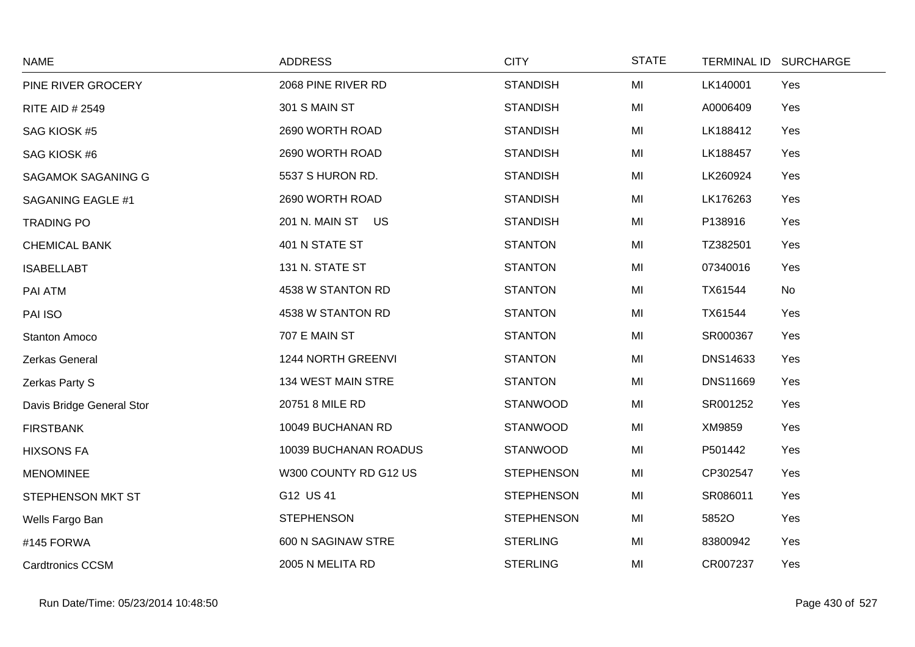| <b>NAME</b>               | <b>ADDRESS</b>        | <b>CITY</b>       | <b>STATE</b> | <b>TERMINAL ID</b> | <b>SURCHARGE</b> |
|---------------------------|-----------------------|-------------------|--------------|--------------------|------------------|
| PINE RIVER GROCERY        | 2068 PINE RIVER RD    | <b>STANDISH</b>   | MI           | LK140001           | Yes              |
| RITE AID # 2549           | 301 S MAIN ST         | <b>STANDISH</b>   | MI           | A0006409           | Yes              |
| SAG KIOSK #5              | 2690 WORTH ROAD       | <b>STANDISH</b>   | MI           | LK188412           | Yes              |
| SAG KIOSK #6              | 2690 WORTH ROAD       | <b>STANDISH</b>   | MI           | LK188457           | Yes              |
| SAGAMOK SAGANING G        | 5537 S HURON RD.      | <b>STANDISH</b>   | MI           | LK260924           | Yes              |
| SAGANING EAGLE #1         | 2690 WORTH ROAD       | <b>STANDISH</b>   | MI           | LK176263           | Yes              |
| <b>TRADING PO</b>         | 201 N. MAIN ST US     | <b>STANDISH</b>   | MI           | P138916            | Yes              |
| <b>CHEMICAL BANK</b>      | 401 N STATE ST        | <b>STANTON</b>    | MI           | TZ382501           | Yes              |
| <b>ISABELLABT</b>         | 131 N. STATE ST       | <b>STANTON</b>    | MI           | 07340016           | Yes              |
| PAI ATM                   | 4538 W STANTON RD     | <b>STANTON</b>    | MI           | TX61544            | No               |
| PAI ISO                   | 4538 W STANTON RD     | <b>STANTON</b>    | MI           | TX61544            | Yes              |
| <b>Stanton Amoco</b>      | 707 E MAIN ST         | <b>STANTON</b>    | MI           | SR000367           | Yes              |
| Zerkas General            | 1244 NORTH GREENVI    | <b>STANTON</b>    | MI           | DNS14633           | Yes              |
| Zerkas Party S            | 134 WEST MAIN STRE    | <b>STANTON</b>    | MI           | DNS11669           | Yes              |
| Davis Bridge General Stor | 20751 8 MILE RD       | <b>STANWOOD</b>   | MI           | SR001252           | Yes              |
| <b>FIRSTBANK</b>          | 10049 BUCHANAN RD     | <b>STANWOOD</b>   | MI           | XM9859             | Yes              |
| <b>HIXSONS FA</b>         | 10039 BUCHANAN ROADUS | <b>STANWOOD</b>   | MI           | P501442            | Yes              |
| <b>MENOMINEE</b>          | W300 COUNTY RD G12 US | <b>STEPHENSON</b> | MI           | CP302547           | Yes              |
| STEPHENSON MKT ST         | G12 US 41             | <b>STEPHENSON</b> | MI           | SR086011           | Yes              |
| Wells Fargo Ban           | <b>STEPHENSON</b>     | <b>STEPHENSON</b> | MI           | 5852O              | Yes              |
| #145 FORWA                | 600 N SAGINAW STRE    | <b>STERLING</b>   | MI           | 83800942           | Yes              |
| <b>Cardtronics CCSM</b>   | 2005 N MELITA RD      | <b>STERLING</b>   | MI           | CR007237           | Yes              |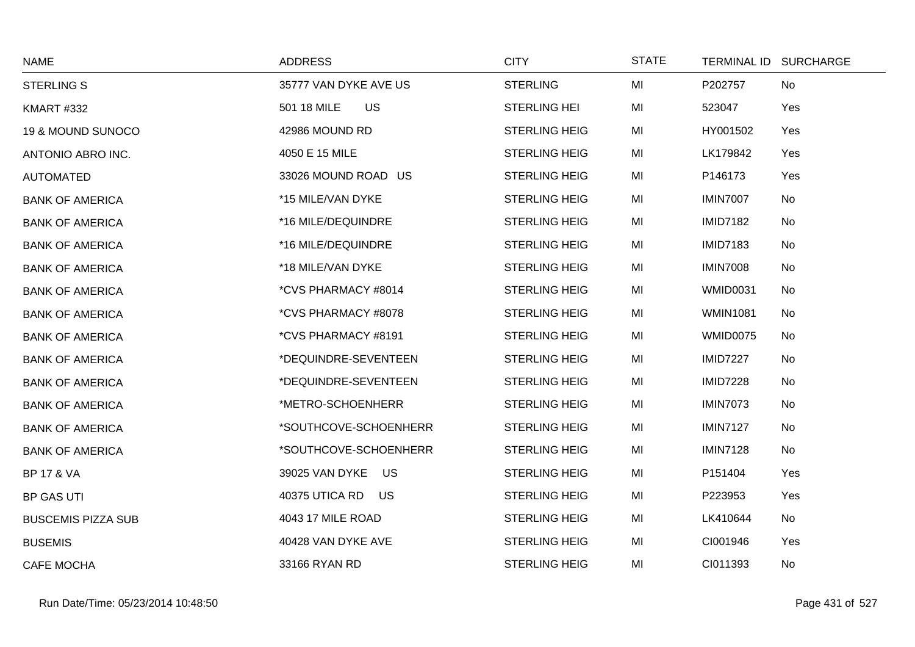| <b>NAME</b>               | <b>ADDRESS</b>           | <b>CITY</b>          | <b>STATE</b> | TERMINAL ID SURCHARGE |     |
|---------------------------|--------------------------|----------------------|--------------|-----------------------|-----|
| <b>STERLING S</b>         | 35777 VAN DYKE AVE US    | <b>STERLING</b>      | MI           | P202757               | No  |
| <b>KMART #332</b>         | 501 18 MILE<br><b>US</b> | <b>STERLING HEI</b>  | MI           | 523047                | Yes |
| 19 & MOUND SUNOCO         | 42986 MOUND RD           | <b>STERLING HEIG</b> | MI           | HY001502              | Yes |
| ANTONIO ABRO INC.         | 4050 E 15 MILE           | <b>STERLING HEIG</b> | MI           | LK179842              | Yes |
| <b>AUTOMATED</b>          | 33026 MOUND ROAD US      | <b>STERLING HEIG</b> | MI           | P146173               | Yes |
| <b>BANK OF AMERICA</b>    | *15 MILE/VAN DYKE        | <b>STERLING HEIG</b> | MI           | <b>IMIN7007</b>       | No  |
| <b>BANK OF AMERICA</b>    | *16 MILE/DEQUINDRE       | <b>STERLING HEIG</b> | MI           | <b>IMID7182</b>       | No  |
| <b>BANK OF AMERICA</b>    | *16 MILE/DEQUINDRE       | <b>STERLING HEIG</b> | MI           | <b>IMID7183</b>       | No  |
| <b>BANK OF AMERICA</b>    | *18 MILE/VAN DYKE        | <b>STERLING HEIG</b> | MI           | <b>IMIN7008</b>       | No  |
| <b>BANK OF AMERICA</b>    | *CVS PHARMACY #8014      | <b>STERLING HEIG</b> | MI           | <b>WMID0031</b>       | No  |
| <b>BANK OF AMERICA</b>    | *CVS PHARMACY #8078      | <b>STERLING HEIG</b> | MI           | <b>WMIN1081</b>       | No  |
| <b>BANK OF AMERICA</b>    | *CVS PHARMACY #8191      | <b>STERLING HEIG</b> | MI           | WMID0075              | No  |
| <b>BANK OF AMERICA</b>    | *DEQUINDRE-SEVENTEEN     | <b>STERLING HEIG</b> | MI           | <b>IMID7227</b>       | No  |
| <b>BANK OF AMERICA</b>    | *DEQUINDRE-SEVENTEEN     | <b>STERLING HEIG</b> | MI           | <b>IMID7228</b>       | No  |
| <b>BANK OF AMERICA</b>    | *METRO-SCHOENHERR        | <b>STERLING HEIG</b> | MI           | <b>IMIN7073</b>       | No  |
| <b>BANK OF AMERICA</b>    | *SOUTHCOVE-SCHOENHERR    | <b>STERLING HEIG</b> | MI           | <b>IMIN7127</b>       | No  |
| <b>BANK OF AMERICA</b>    | *SOUTHCOVE-SCHOENHERR    | <b>STERLING HEIG</b> | MI           | <b>IMIN7128</b>       | No  |
| <b>BP 17 &amp; VA</b>     | US<br>39025 VAN DYKE     | <b>STERLING HEIG</b> | MI           | P151404               | Yes |
| <b>BP GAS UTI</b>         | 40375 UTICA RD<br>US     | <b>STERLING HEIG</b> | MI           | P223953               | Yes |
| <b>BUSCEMIS PIZZA SUB</b> | 4043 17 MILE ROAD        | <b>STERLING HEIG</b> | MI           | LK410644              | No  |
| <b>BUSEMIS</b>            | 40428 VAN DYKE AVE       | <b>STERLING HEIG</b> | MI           | CI001946              | Yes |
| <b>CAFE MOCHA</b>         | 33166 RYAN RD            | <b>STERLING HEIG</b> | MI           | CI011393              | No  |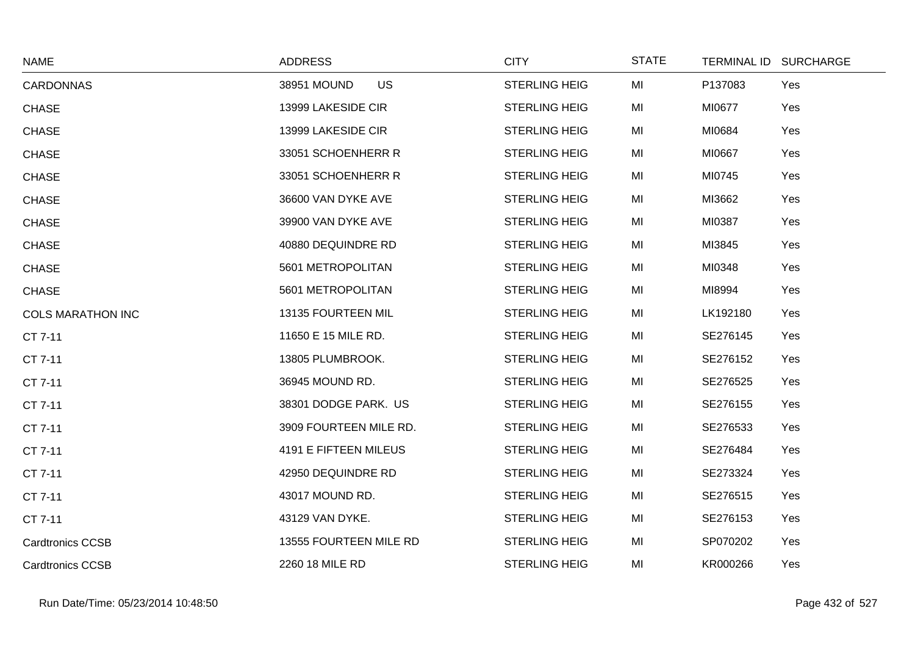| <b>NAME</b>              | <b>ADDRESS</b>           | <b>CITY</b>          | <b>STATE</b> | TERMINAL ID SURCHARGE |
|--------------------------|--------------------------|----------------------|--------------|-----------------------|
| <b>CARDONNAS</b>         | 38951 MOUND<br><b>US</b> | <b>STERLING HEIG</b> | MI           | P137083<br>Yes        |
| <b>CHASE</b>             | 13999 LAKESIDE CIR       | <b>STERLING HEIG</b> | MI           | MI0677<br>Yes         |
| <b>CHASE</b>             | 13999 LAKESIDE CIR       | <b>STERLING HEIG</b> | MI           | MI0684<br>Yes         |
| <b>CHASE</b>             | 33051 SCHOENHERR R       | <b>STERLING HEIG</b> | MI           | MI0667<br>Yes         |
| <b>CHASE</b>             | 33051 SCHOENHERR R       | <b>STERLING HEIG</b> | MI           | MI0745<br>Yes         |
| <b>CHASE</b>             | 36600 VAN DYKE AVE       | <b>STERLING HEIG</b> | MI           | MI3662<br>Yes         |
| <b>CHASE</b>             | 39900 VAN DYKE AVE       | <b>STERLING HEIG</b> | MI           | MI0387<br>Yes         |
| <b>CHASE</b>             | 40880 DEQUINDRE RD       | <b>STERLING HEIG</b> | MI           | MI3845<br>Yes         |
| CHASE                    | 5601 METROPOLITAN        | <b>STERLING HEIG</b> | MI           | MI0348<br>Yes         |
| <b>CHASE</b>             | 5601 METROPOLITAN        | <b>STERLING HEIG</b> | MI           | MI8994<br>Yes         |
| <b>COLS MARATHON INC</b> | 13135 FOURTEEN MIL       | <b>STERLING HEIG</b> | MI           | LK192180<br>Yes       |
| CT 7-11                  | 11650 E 15 MILE RD.      | <b>STERLING HEIG</b> | MI           | SE276145<br>Yes       |
| CT 7-11                  | 13805 PLUMBROOK.         | <b>STERLING HEIG</b> | MI           | SE276152<br>Yes       |
| CT 7-11                  | 36945 MOUND RD.          | <b>STERLING HEIG</b> | MI           | SE276525<br>Yes       |
| CT 7-11                  | 38301 DODGE PARK. US     | <b>STERLING HEIG</b> | MI           | SE276155<br>Yes       |
| CT 7-11                  | 3909 FOURTEEN MILE RD.   | <b>STERLING HEIG</b> | MI           | SE276533<br>Yes       |
| CT 7-11                  | 4191 E FIFTEEN MILEUS    | <b>STERLING HEIG</b> | MI           | SE276484<br>Yes       |
| CT 7-11                  | 42950 DEQUINDRE RD       | <b>STERLING HEIG</b> | MI           | SE273324<br>Yes       |
| CT 7-11                  | 43017 MOUND RD.          | <b>STERLING HEIG</b> | MI           | SE276515<br>Yes       |
| CT 7-11                  | 43129 VAN DYKE.          | <b>STERLING HEIG</b> | MI           | SE276153<br>Yes       |
| <b>Cardtronics CCSB</b>  | 13555 FOURTEEN MILE RD   | <b>STERLING HEIG</b> | MI           | SP070202<br>Yes       |
| <b>Cardtronics CCSB</b>  | 2260 18 MILE RD          | <b>STERLING HEIG</b> | MI           | KR000266<br>Yes       |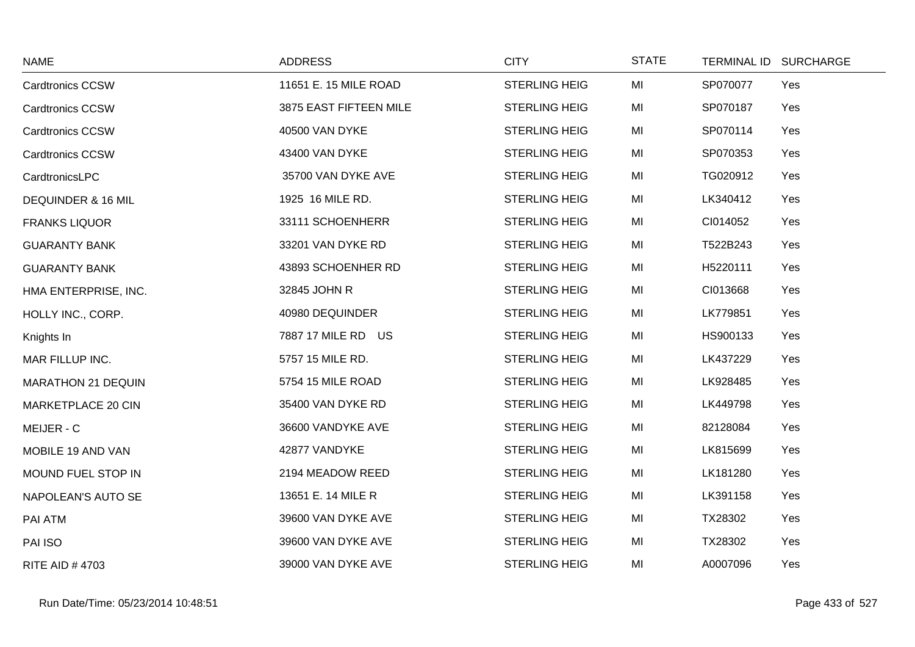| <b>NAME</b>               | <b>ADDRESS</b>         | <b>CITY</b>          | <b>STATE</b> | TERMINAL ID SURCHARGE |     |
|---------------------------|------------------------|----------------------|--------------|-----------------------|-----|
| <b>Cardtronics CCSW</b>   | 11651 E. 15 MILE ROAD  | <b>STERLING HEIG</b> | MI           | SP070077              | Yes |
| <b>Cardtronics CCSW</b>   | 3875 EAST FIFTEEN MILE | <b>STERLING HEIG</b> | MI           | SP070187              | Yes |
| <b>Cardtronics CCSW</b>   | 40500 VAN DYKE         | <b>STERLING HEIG</b> | MI           | SP070114              | Yes |
| <b>Cardtronics CCSW</b>   | 43400 VAN DYKE         | <b>STERLING HEIG</b> | MI           | SP070353              | Yes |
| CardtronicsLPC            | 35700 VAN DYKE AVE     | <b>STERLING HEIG</b> | MI           | TG020912              | Yes |
| DEQUINDER & 16 MIL        | 1925 16 MILE RD.       | <b>STERLING HEIG</b> | MI           | LK340412              | Yes |
| <b>FRANKS LIQUOR</b>      | 33111 SCHOENHERR       | <b>STERLING HEIG</b> | MI           | CI014052              | Yes |
| <b>GUARANTY BANK</b>      | 33201 VAN DYKE RD      | <b>STERLING HEIG</b> | MI           | T522B243              | Yes |
| <b>GUARANTY BANK</b>      | 43893 SCHOENHER RD     | <b>STERLING HEIG</b> | MI           | H5220111              | Yes |
| HMA ENTERPRISE, INC.      | 32845 JOHN R           | <b>STERLING HEIG</b> | MI           | CI013668              | Yes |
| HOLLY INC., CORP.         | 40980 DEQUINDER        | <b>STERLING HEIG</b> | MI           | LK779851              | Yes |
| Knights In                | 7887 17 MILE RD US     | <b>STERLING HEIG</b> | MI           | HS900133              | Yes |
| MAR FILLUP INC.           | 5757 15 MILE RD.       | <b>STERLING HEIG</b> | MI           | LK437229              | Yes |
| <b>MARATHON 21 DEQUIN</b> | 5754 15 MILE ROAD      | <b>STERLING HEIG</b> | MI           | LK928485              | Yes |
| MARKETPLACE 20 CIN        | 35400 VAN DYKE RD      | <b>STERLING HEIG</b> | MI           | LK449798              | Yes |
| MEIJER - C                | 36600 VANDYKE AVE      | <b>STERLING HEIG</b> | MI           | 82128084              | Yes |
| MOBILE 19 AND VAN         | 42877 VANDYKE          | <b>STERLING HEIG</b> | MI           | LK815699              | Yes |
| MOUND FUEL STOP IN        | 2194 MEADOW REED       | <b>STERLING HEIG</b> | MI           | LK181280              | Yes |
| NAPOLEAN'S AUTO SE        | 13651 E. 14 MILE R     | <b>STERLING HEIG</b> | MI           | LK391158              | Yes |
| PAI ATM                   | 39600 VAN DYKE AVE     | <b>STERLING HEIG</b> | MI           | TX28302               | Yes |
| PAI ISO                   | 39600 VAN DYKE AVE     | <b>STERLING HEIG</b> | MI           | TX28302               | Yes |
| <b>RITE AID #4703</b>     | 39000 VAN DYKE AVE     | <b>STERLING HEIG</b> | MI           | A0007096              | Yes |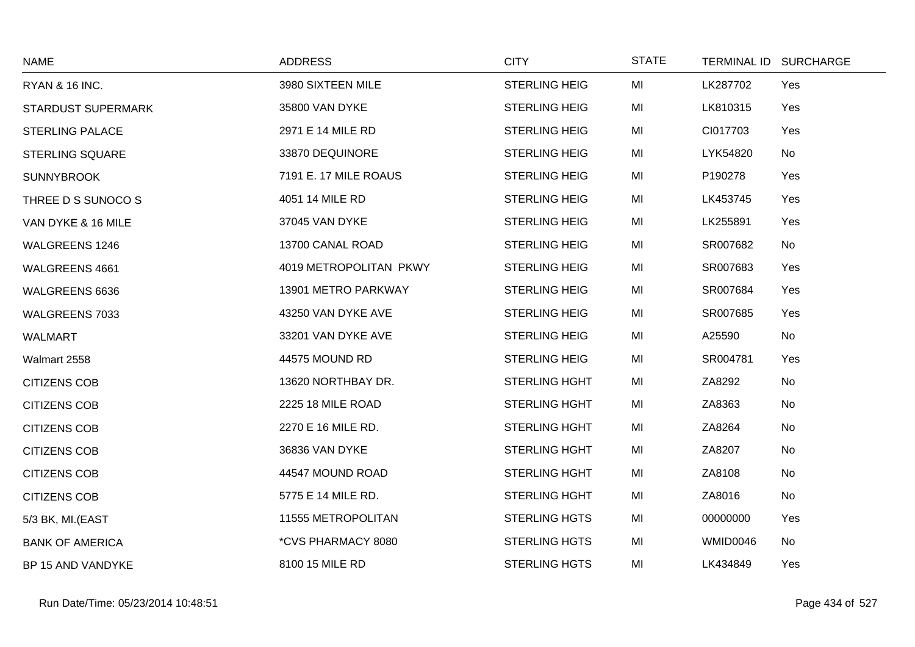| <b>NAME</b>               | <b>ADDRESS</b>         | <b>CITY</b>          | <b>STATE</b> | TERMINAL ID SURCHARGE |     |
|---------------------------|------------------------|----------------------|--------------|-----------------------|-----|
| <b>RYAN &amp; 16 INC.</b> | 3980 SIXTEEN MILE      | <b>STERLING HEIG</b> | MI           | LK287702              | Yes |
| <b>STARDUST SUPERMARK</b> | 35800 VAN DYKE         | <b>STERLING HEIG</b> | MI           | LK810315              | Yes |
| <b>STERLING PALACE</b>    | 2971 E 14 MILE RD      | <b>STERLING HEIG</b> | MI           | CI017703              | Yes |
| STERLING SQUARE           | 33870 DEQUINORE        | <b>STERLING HEIG</b> | MI           | LYK54820              | No  |
| <b>SUNNYBROOK</b>         | 7191 E. 17 MILE ROAUS  | <b>STERLING HEIG</b> | MI           | P190278               | Yes |
| THREE D S SUNOCO S        | 4051 14 MILE RD        | <b>STERLING HEIG</b> | MI           | LK453745              | Yes |
| VAN DYKE & 16 MILE        | 37045 VAN DYKE         | <b>STERLING HEIG</b> | MI           | LK255891              | Yes |
| <b>WALGREENS 1246</b>     | 13700 CANAL ROAD       | <b>STERLING HEIG</b> | MI           | SR007682              | No  |
| WALGREENS 4661            | 4019 METROPOLITAN PKWY | <b>STERLING HEIG</b> | MI           | SR007683              | Yes |
| WALGREENS 6636            | 13901 METRO PARKWAY    | <b>STERLING HEIG</b> | MI           | SR007684              | Yes |
| WALGREENS 7033            | 43250 VAN DYKE AVE     | <b>STERLING HEIG</b> | MI           | SR007685              | Yes |
| <b>WALMART</b>            | 33201 VAN DYKE AVE     | <b>STERLING HEIG</b> | MI           | A25590                | No  |
| Walmart 2558              | 44575 MOUND RD         | <b>STERLING HEIG</b> | MI           | SR004781              | Yes |
| <b>CITIZENS COB</b>       | 13620 NORTHBAY DR.     | <b>STERLING HGHT</b> | MI           | ZA8292                | No  |
| <b>CITIZENS COB</b>       | 2225 18 MILE ROAD      | <b>STERLING HGHT</b> | MI           | ZA8363                | No  |
| <b>CITIZENS COB</b>       | 2270 E 16 MILE RD.     | <b>STERLING HGHT</b> | MI           | ZA8264                | No  |
| <b>CITIZENS COB</b>       | 36836 VAN DYKE         | <b>STERLING HGHT</b> | MI           | ZA8207                | No  |
| <b>CITIZENS COB</b>       | 44547 MOUND ROAD       | <b>STERLING HGHT</b> | MI           | ZA8108                | No  |
| <b>CITIZENS COB</b>       | 5775 E 14 MILE RD.     | <b>STERLING HGHT</b> | MI           | ZA8016                | No  |
| 5/3 BK, MI.(EAST          | 11555 METROPOLITAN     | <b>STERLING HGTS</b> | MI           | 00000000              | Yes |
| <b>BANK OF AMERICA</b>    | *CVS PHARMACY 8080     | <b>STERLING HGTS</b> | MI           | WMID0046              | No  |
| BP 15 AND VANDYKE         | 8100 15 MILE RD        | <b>STERLING HGTS</b> | MI           | LK434849              | Yes |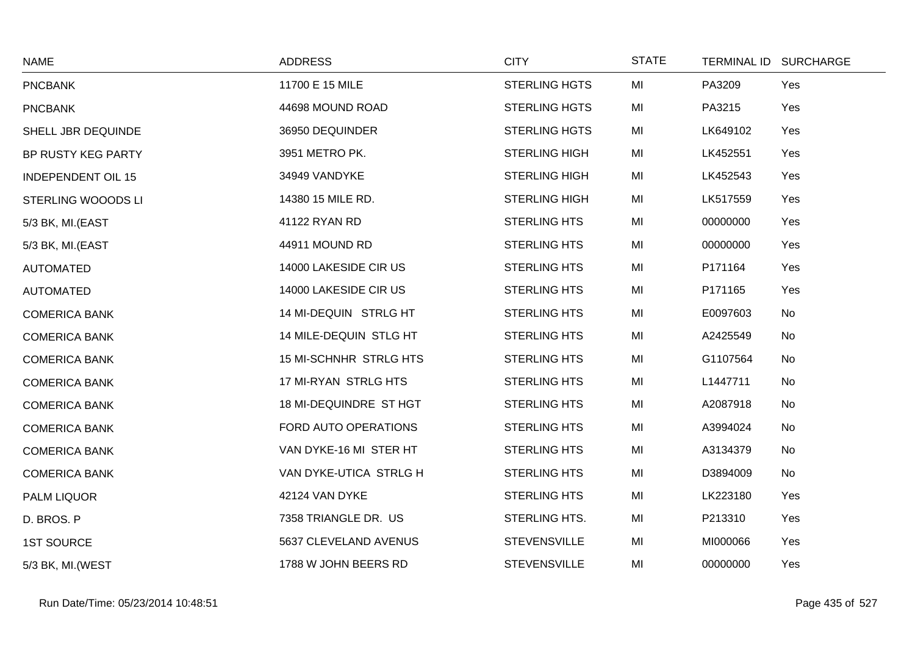| <b>NAME</b>               | <b>ADDRESS</b>         | <b>CITY</b>          | <b>STATE</b> | TERMINAL ID SURCHARGE |     |
|---------------------------|------------------------|----------------------|--------------|-----------------------|-----|
| <b>PNCBANK</b>            | 11700 E 15 MILE        | <b>STERLING HGTS</b> | MI           | PA3209                | Yes |
| <b>PNCBANK</b>            | 44698 MOUND ROAD       | <b>STERLING HGTS</b> | MI           | PA3215                | Yes |
| SHELL JBR DEQUINDE        | 36950 DEQUINDER        | <b>STERLING HGTS</b> | MI           | LK649102              | Yes |
| BP RUSTY KEG PARTY        | 3951 METRO PK.         | <b>STERLING HIGH</b> | MI           | LK452551              | Yes |
| <b>INDEPENDENT OIL 15</b> | 34949 VANDYKE          | <b>STERLING HIGH</b> | MI           | LK452543              | Yes |
| STERLING WOOODS LI        | 14380 15 MILE RD.      | <b>STERLING HIGH</b> | MI           | LK517559              | Yes |
| 5/3 BK, MI.(EAST          | 41122 RYAN RD          | <b>STERLING HTS</b>  | MI           | 00000000              | Yes |
| 5/3 BK, MI.(EAST          | 44911 MOUND RD         | <b>STERLING HTS</b>  | MI           | 00000000              | Yes |
| <b>AUTOMATED</b>          | 14000 LAKESIDE CIR US  | <b>STERLING HTS</b>  | MI           | P171164               | Yes |
| <b>AUTOMATED</b>          | 14000 LAKESIDE CIR US  | <b>STERLING HTS</b>  | MI           | P171165               | Yes |
| <b>COMERICA BANK</b>      | 14 MI-DEQUIN STRLG HT  | <b>STERLING HTS</b>  | MI           | E0097603              | No  |
| <b>COMERICA BANK</b>      | 14 MILE-DEQUIN STLG HT | <b>STERLING HTS</b>  | MI           | A2425549              | No  |
| <b>COMERICA BANK</b>      | 15 MI-SCHNHR STRLG HTS | <b>STERLING HTS</b>  | MI           | G1107564              | No  |
| <b>COMERICA BANK</b>      | 17 MI-RYAN STRLG HTS   | <b>STERLING HTS</b>  | MI           | L1447711              | No  |
| <b>COMERICA BANK</b>      | 18 MI-DEQUINDRE ST HGT | <b>STERLING HTS</b>  | MI           | A2087918              | No  |
| <b>COMERICA BANK</b>      | FORD AUTO OPERATIONS   | <b>STERLING HTS</b>  | MI           | A3994024              | No  |
| <b>COMERICA BANK</b>      | VAN DYKE-16 MI STER HT | <b>STERLING HTS</b>  | MI           | A3134379              | No  |
| <b>COMERICA BANK</b>      | VAN DYKE-UTICA STRLG H | <b>STERLING HTS</b>  | MI           | D3894009              | No  |
| PALM LIQUOR               | 42124 VAN DYKE         | <b>STERLING HTS</b>  | MI           | LK223180              | Yes |
| D. BROS. P                | 7358 TRIANGLE DR. US   | STERLING HTS.        | MI           | P213310               | Yes |
| <b>1ST SOURCE</b>         | 5637 CLEVELAND AVENUS  | <b>STEVENSVILLE</b>  | MI           | MI000066              | Yes |
| 5/3 BK, MI.(WEST          | 1788 W JOHN BEERS RD   | <b>STEVENSVILLE</b>  | MI           | 00000000              | Yes |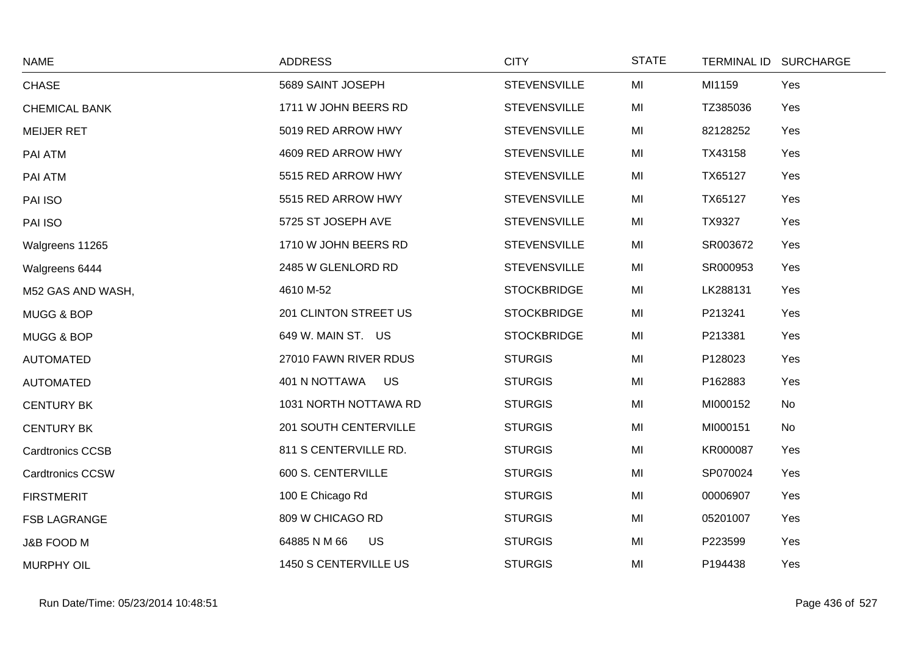| <b>NAME</b>             | <b>ADDRESS</b>            | <b>CITY</b>         | <b>STATE</b> | TERMINAL ID SURCHARGE |     |
|-------------------------|---------------------------|---------------------|--------------|-----------------------|-----|
| <b>CHASE</b>            | 5689 SAINT JOSEPH         | <b>STEVENSVILLE</b> | MI           | MI1159                | Yes |
| <b>CHEMICAL BANK</b>    | 1711 W JOHN BEERS RD      | <b>STEVENSVILLE</b> | MI           | TZ385036              | Yes |
| <b>MEIJER RET</b>       | 5019 RED ARROW HWY        | <b>STEVENSVILLE</b> | MI           | 82128252              | Yes |
| PAI ATM                 | 4609 RED ARROW HWY        | <b>STEVENSVILLE</b> | MI           | TX43158               | Yes |
| PAI ATM                 | 5515 RED ARROW HWY        | <b>STEVENSVILLE</b> | MI           | TX65127               | Yes |
| PAI ISO                 | 5515 RED ARROW HWY        | <b>STEVENSVILLE</b> | MI           | TX65127               | Yes |
| PAI ISO                 | 5725 ST JOSEPH AVE        | <b>STEVENSVILLE</b> | MI           | TX9327                | Yes |
| Walgreens 11265         | 1710 W JOHN BEERS RD      | <b>STEVENSVILLE</b> | MI           | SR003672              | Yes |
| Walgreens 6444          | 2485 W GLENLORD RD        | <b>STEVENSVILLE</b> | MI           | SR000953              | Yes |
| M52 GAS AND WASH,       | 4610 M-52                 | <b>STOCKBRIDGE</b>  | MI           | LK288131              | Yes |
| MUGG & BOP              | 201 CLINTON STREET US     | <b>STOCKBRIDGE</b>  | MI           | P213241               | Yes |
| MUGG & BOP              | 649 W. MAIN ST. US        | <b>STOCKBRIDGE</b>  | MI           | P213381               | Yes |
| <b>AUTOMATED</b>        | 27010 FAWN RIVER RDUS     | <b>STURGIS</b>      | MI           | P128023               | Yes |
| <b>AUTOMATED</b>        | US<br>401 N NOTTAWA       | <b>STURGIS</b>      | MI           | P162883               | Yes |
| <b>CENTURY BK</b>       | 1031 NORTH NOTTAWA RD     | <b>STURGIS</b>      | MI           | MI000152              | No  |
| <b>CENTURY BK</b>       | 201 SOUTH CENTERVILLE     | <b>STURGIS</b>      | MI           | MI000151              | No  |
| <b>Cardtronics CCSB</b> | 811 S CENTERVILLE RD.     | <b>STURGIS</b>      | MI           | KR000087              | Yes |
| <b>Cardtronics CCSW</b> | 600 S. CENTERVILLE        | <b>STURGIS</b>      | MI           | SP070024              | Yes |
| <b>FIRSTMERIT</b>       | 100 E Chicago Rd          | <b>STURGIS</b>      | MI           | 00006907              | Yes |
| <b>FSB LAGRANGE</b>     | 809 W CHICAGO RD          | <b>STURGIS</b>      | MI           | 05201007              | Yes |
| J&B FOOD M              | 64885 N M 66<br><b>US</b> | <b>STURGIS</b>      | MI           | P223599               | Yes |
| <b>MURPHY OIL</b>       | 1450 S CENTERVILLE US     | <b>STURGIS</b>      | MI           | P194438               | Yes |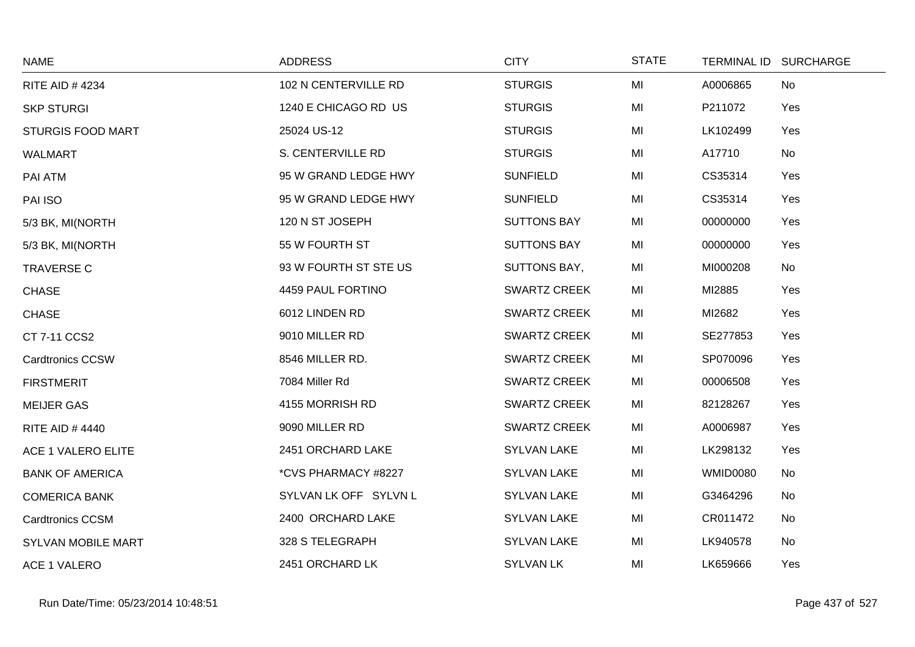| <b>NAME</b>              | <b>ADDRESS</b>        | <b>CITY</b>         | <b>STATE</b> |                 | TERMINAL ID SURCHARGE |
|--------------------------|-----------------------|---------------------|--------------|-----------------|-----------------------|
| <b>RITE AID #4234</b>    | 102 N CENTERVILLE RD  | <b>STURGIS</b>      | MI           | A0006865        | No                    |
| <b>SKP STURGI</b>        | 1240 E CHICAGO RD US  | <b>STURGIS</b>      | MI           | P211072         | Yes                   |
| <b>STURGIS FOOD MART</b> | 25024 US-12           | <b>STURGIS</b>      | MI           | LK102499        | Yes                   |
| <b>WALMART</b>           | S. CENTERVILLE RD     | <b>STURGIS</b>      | MI           | A17710          | No                    |
| PAI ATM                  | 95 W GRAND LEDGE HWY  | <b>SUNFIELD</b>     | MI           | CS35314         | Yes                   |
| PAI ISO                  | 95 W GRAND LEDGE HWY  | <b>SUNFIELD</b>     | MI           | CS35314         | Yes                   |
| 5/3 BK, MI(NORTH         | 120 N ST JOSEPH       | <b>SUTTONS BAY</b>  | MI           | 00000000        | Yes                   |
| 5/3 BK, MI(NORTH         | 55 W FOURTH ST        | <b>SUTTONS BAY</b>  | MI           | 00000000        | Yes                   |
| <b>TRAVERSE C</b>        | 93 W FOURTH ST STE US | <b>SUTTONS BAY,</b> | MI           | MI000208        | No                    |
| <b>CHASE</b>             | 4459 PAUL FORTINO     | <b>SWARTZ CREEK</b> | MI           | MI2885          | Yes                   |
| <b>CHASE</b>             | 6012 LINDEN RD        | <b>SWARTZ CREEK</b> | MI           | MI2682          | Yes                   |
| CT 7-11 CCS2             | 9010 MILLER RD        | <b>SWARTZ CREEK</b> | MI           | SE277853        | Yes                   |
| <b>Cardtronics CCSW</b>  | 8546 MILLER RD.       | <b>SWARTZ CREEK</b> | MI           | SP070096        | Yes                   |
| <b>FIRSTMERIT</b>        | 7084 Miller Rd        | <b>SWARTZ CREEK</b> | MI           | 00006508        | Yes                   |
| <b>MEIJER GAS</b>        | 4155 MORRISH RD       | <b>SWARTZ CREEK</b> | MI           | 82128267        | Yes                   |
| <b>RITE AID #4440</b>    | 9090 MILLER RD        | <b>SWARTZ CREEK</b> | MI           | A0006987        | Yes                   |
| ACE 1 VALERO ELITE       | 2451 ORCHARD LAKE     | <b>SYLVAN LAKE</b>  | MI           | LK298132        | Yes                   |
| <b>BANK OF AMERICA</b>   | *CVS PHARMACY #8227   | <b>SYLVAN LAKE</b>  | MI           | <b>WMID0080</b> | No                    |
| <b>COMERICA BANK</b>     | SYLVAN LK OFF SYLVN L | <b>SYLVAN LAKE</b>  | MI           | G3464296        | No                    |
| <b>Cardtronics CCSM</b>  | 2400 ORCHARD LAKE     | <b>SYLVAN LAKE</b>  | MI           | CR011472        | No                    |
| SYLVAN MOBILE MART       | 328 S TELEGRAPH       | <b>SYLVAN LAKE</b>  | MI           | LK940578        | No                    |
| <b>ACE 1 VALERO</b>      | 2451 ORCHARD LK       | <b>SYLVAN LK</b>    | MI           | LK659666        | Yes                   |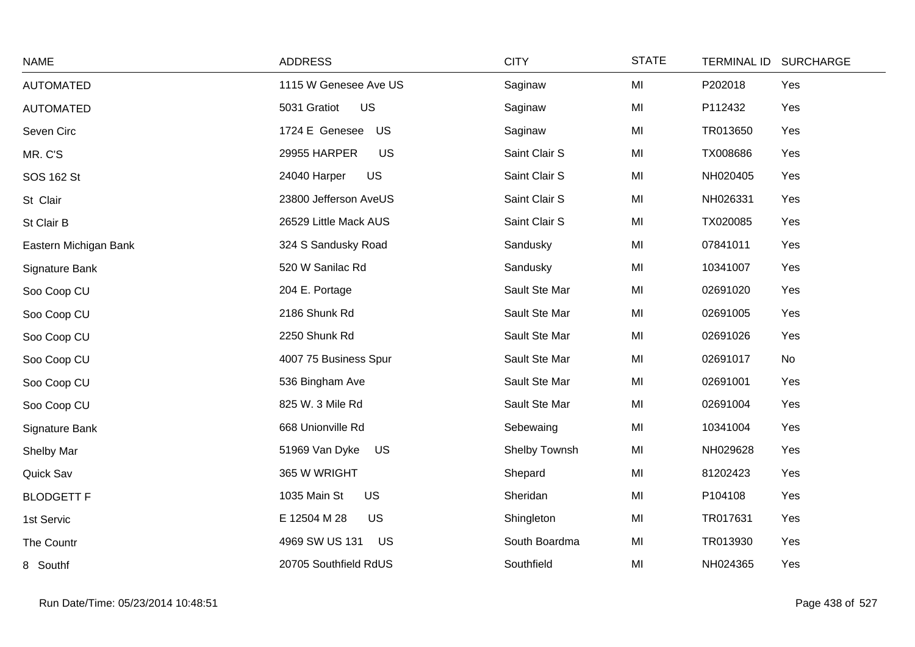| <b>NAME</b>           | <b>ADDRESS</b>              | <b>CITY</b>   | <b>STATE</b> | TERMINAL ID SURCHARGE |     |
|-----------------------|-----------------------------|---------------|--------------|-----------------------|-----|
| <b>AUTOMATED</b>      | 1115 W Genesee Ave US       | Saginaw       | MI           | P202018               | Yes |
| <b>AUTOMATED</b>      | US<br>5031 Gratiot          | Saginaw       | MI           | P112432               | Yes |
| Seven Circ            | 1724 E Genesee<br>US        | Saginaw       | MI           | TR013650              | Yes |
| MR. C'S               | US<br>29955 HARPER          | Saint Clair S | MI           | TX008686              | Yes |
| SOS 162 St            | <b>US</b><br>24040 Harper   | Saint Clair S | MI           | NH020405              | Yes |
| St Clair              | 23800 Jefferson AveUS       | Saint Clair S | MI           | NH026331              | Yes |
| St Clair B            | 26529 Little Mack AUS       | Saint Clair S | MI           | TX020085              | Yes |
| Eastern Michigan Bank | 324 S Sandusky Road         | Sandusky      | MI           | 07841011              | Yes |
| Signature Bank        | 520 W Sanilac Rd            | Sandusky      | MI           | 10341007              | Yes |
| Soo Coop CU           | 204 E. Portage              | Sault Ste Mar | MI           | 02691020              | Yes |
| Soo Coop CU           | 2186 Shunk Rd               | Sault Ste Mar | MI           | 02691005              | Yes |
| Soo Coop CU           | 2250 Shunk Rd               | Sault Ste Mar | MI           | 02691026              | Yes |
| Soo Coop CU           | 4007 75 Business Spur       | Sault Ste Mar | MI           | 02691017              | No  |
| Soo Coop CU           | 536 Bingham Ave             | Sault Ste Mar | MI           | 02691001              | Yes |
| Soo Coop CU           | 825 W. 3 Mile Rd            | Sault Ste Mar | MI           | 02691004              | Yes |
| Signature Bank        | 668 Unionville Rd           | Sebewaing     | MI           | 10341004              | Yes |
| Shelby Mar            | 51969 Van Dyke<br>US        | Shelby Townsh | MI           | NH029628              | Yes |
| Quick Sav             | 365 W WRIGHT                | Shepard       | MI           | 81202423              | Yes |
| <b>BLODGETT F</b>     | <b>US</b><br>1035 Main St   | Sheridan      | MI           | P104108               | Yes |
| 1st Servic            | E 12504 M 28<br><b>US</b>   | Shingleton    | MI           | TR017631              | Yes |
| The Countr            | 4969 SW US 131<br><b>US</b> | South Boardma | MI           | TR013930              | Yes |
| 8 Southf              | 20705 Southfield RdUS       | Southfield    | MI           | NH024365              | Yes |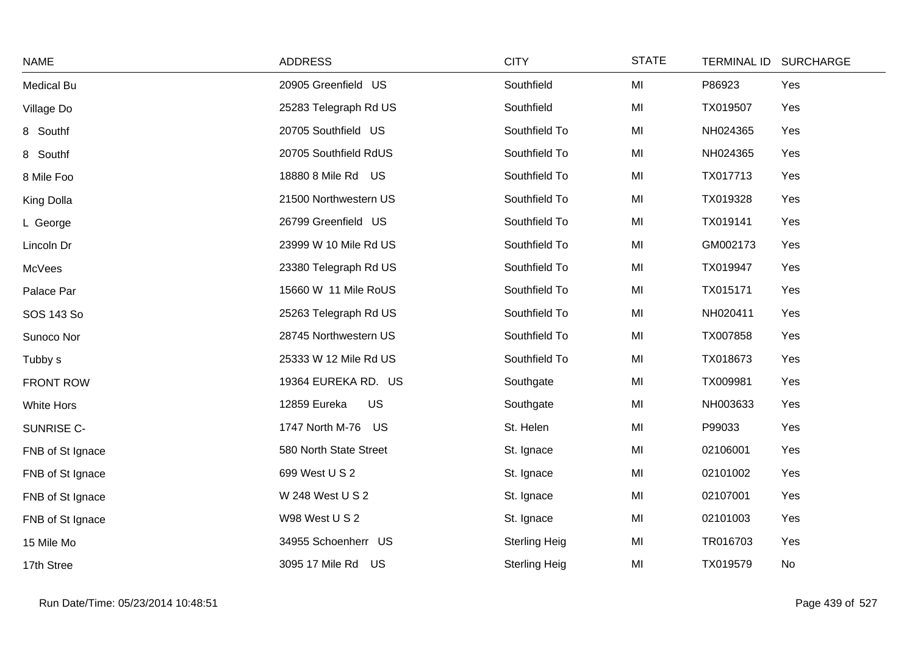| <b>NAME</b>      | <b>ADDRESS</b>         | <b>CITY</b>          | <b>STATE</b> | TERMINAL ID SURCHARGE |  |
|------------------|------------------------|----------------------|--------------|-----------------------|--|
| Medical Bu       | 20905 Greenfield US    | Southfield           | MI           | P86923<br>Yes         |  |
| Village Do       | 25283 Telegraph Rd US  | Southfield           | MI           | TX019507<br>Yes       |  |
| 8 Southf         | 20705 Southfield US    | Southfield To        | MI           | NH024365<br>Yes       |  |
| 8 Southf         | 20705 Southfield RdUS  | Southfield To        | MI           | Yes<br>NH024365       |  |
| 8 Mile Foo       | 18880 8 Mile Rd US     | Southfield To        | MI           | TX017713<br>Yes       |  |
| King Dolla       | 21500 Northwestern US  | Southfield To        | MI           | TX019328<br>Yes       |  |
| L George         | 26799 Greenfield US    | Southfield To        | MI           | TX019141<br>Yes       |  |
| Lincoln Dr       | 23999 W 10 Mile Rd US  | Southfield To        | MI           | GM002173<br>Yes       |  |
| McVees           | 23380 Telegraph Rd US  | Southfield To        | MI           | TX019947<br>Yes       |  |
| Palace Par       | 15660 W 11 Mile RoUS   | Southfield To        | MI           | TX015171<br>Yes       |  |
| SOS 143 So       | 25263 Telegraph Rd US  | Southfield To        | MI           | NH020411<br>Yes       |  |
| Sunoco Nor       | 28745 Northwestern US  | Southfield To        | MI           | TX007858<br>Yes       |  |
| Tubby s          | 25333 W 12 Mile Rd US  | Southfield To        | MI           | TX018673<br>Yes       |  |
| <b>FRONT ROW</b> | 19364 EUREKA RD. US    | Southgate            | MI           | TX009981<br>Yes       |  |
| White Hors       | 12859 Eureka<br>US     | Southgate            | MI           | NH003633<br>Yes       |  |
| SUNRISE C-       | 1747 North M-76 US     | St. Helen            | MI           | P99033<br>Yes         |  |
| FNB of St Ignace | 580 North State Street | St. Ignace           | MI           | 02106001<br>Yes       |  |
| FNB of St Ignace | 699 West U S 2         | St. Ignace           | MI           | 02101002<br>Yes       |  |
| FNB of St Ignace | W 248 West U S 2       | St. Ignace           | MI           | 02107001<br>Yes       |  |
| FNB of St Ignace | W98 West U S 2         | St. Ignace           | MI           | Yes<br>02101003       |  |
| 15 Mile Mo       | 34955 Schoenherr US    | <b>Sterling Heig</b> | MI           | TR016703<br>Yes       |  |
| 17th Stree       | 3095 17 Mile Rd US     | <b>Sterling Heig</b> | MI           | TX019579<br>No        |  |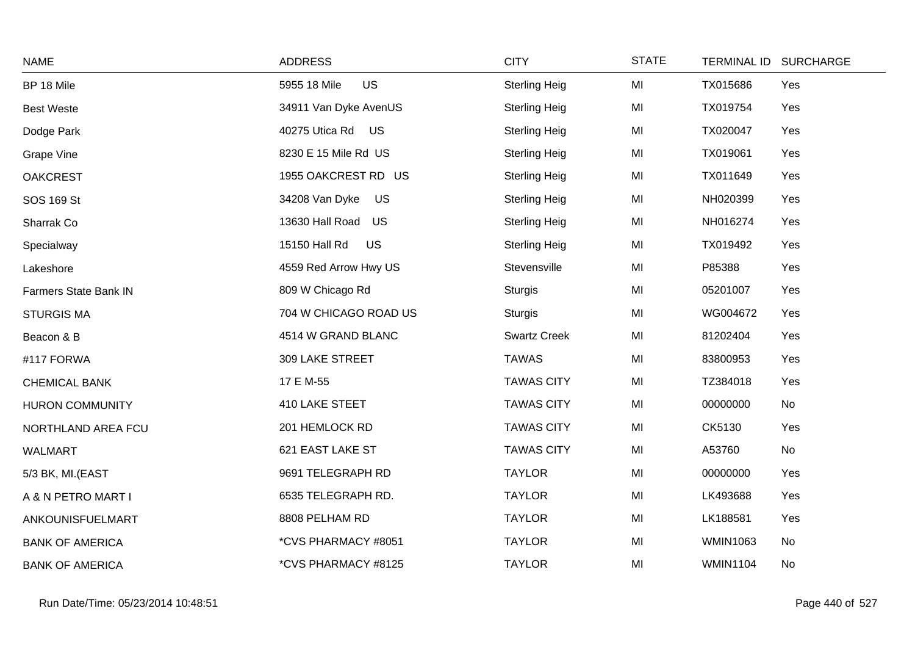| <b>NAME</b>            | <b>ADDRESS</b>             | <b>CITY</b>          | <b>STATE</b> |                 | TERMINAL ID SURCHARGE |
|------------------------|----------------------------|----------------------|--------------|-----------------|-----------------------|
| BP 18 Mile             | <b>US</b><br>5955 18 Mile  | <b>Sterling Heig</b> | MI           | TX015686        | Yes                   |
| <b>Best Weste</b>      | 34911 Van Dyke AvenUS      | <b>Sterling Heig</b> | MI           | TX019754        | Yes                   |
| Dodge Park             | 40275 Utica Rd US          | <b>Sterling Heig</b> | MI           | TX020047        | Yes                   |
| <b>Grape Vine</b>      | 8230 E 15 Mile Rd US       | <b>Sterling Heig</b> | MI           | TX019061        | Yes                   |
| <b>OAKCREST</b>        | 1955 OAKCREST RD US        | <b>Sterling Heig</b> | MI           | TX011649        | Yes                   |
| SOS 169 St             | 34208 Van Dyke<br>US       | <b>Sterling Heig</b> | MI           | NH020399        | Yes                   |
| Sharrak Co             | 13630 Hall Road US         | <b>Sterling Heig</b> | MI           | NH016274        | Yes                   |
| Specialway             | 15150 Hall Rd<br><b>US</b> | <b>Sterling Heig</b> | MI           | TX019492        | Yes                   |
| Lakeshore              | 4559 Red Arrow Hwy US      | Stevensville         | MI           | P85388          | Yes                   |
| Farmers State Bank IN  | 809 W Chicago Rd           | <b>Sturgis</b>       | MI           | 05201007        | Yes                   |
| <b>STURGIS MA</b>      | 704 W CHICAGO ROAD US      | <b>Sturgis</b>       | MI           | WG004672        | Yes                   |
| Beacon & B             | 4514 W GRAND BLANC         | <b>Swartz Creek</b>  | MI           | 81202404        | Yes                   |
| #117 FORWA             | 309 LAKE STREET            | <b>TAWAS</b>         | MI           | 83800953        | Yes                   |
| <b>CHEMICAL BANK</b>   | 17 E M-55                  | <b>TAWAS CITY</b>    | MI           | TZ384018        | Yes                   |
| <b>HURON COMMUNITY</b> | 410 LAKE STEET             | <b>TAWAS CITY</b>    | MI           | 00000000        | No                    |
| NORTHLAND AREA FCU     | 201 HEMLOCK RD             | <b>TAWAS CITY</b>    | MI           | CK5130          | Yes                   |
| WALMART                | 621 EAST LAKE ST           | <b>TAWAS CITY</b>    | MI           | A53760          | No                    |
| 5/3 BK, MI.(EAST       | 9691 TELEGRAPH RD          | <b>TAYLOR</b>        | MI           | 00000000        | Yes                   |
| A & N PETRO MART I     | 6535 TELEGRAPH RD.         | <b>TAYLOR</b>        | MI           | LK493688        | Yes                   |
| ANKOUNISFUELMART       | 8808 PELHAM RD             | <b>TAYLOR</b>        | MI           | LK188581        | Yes                   |
| <b>BANK OF AMERICA</b> | *CVS PHARMACY #8051        | <b>TAYLOR</b>        | MI           | <b>WMIN1063</b> | No                    |
| <b>BANK OF AMERICA</b> | *CVS PHARMACY #8125        | <b>TAYLOR</b>        | MI           | <b>WMIN1104</b> | No                    |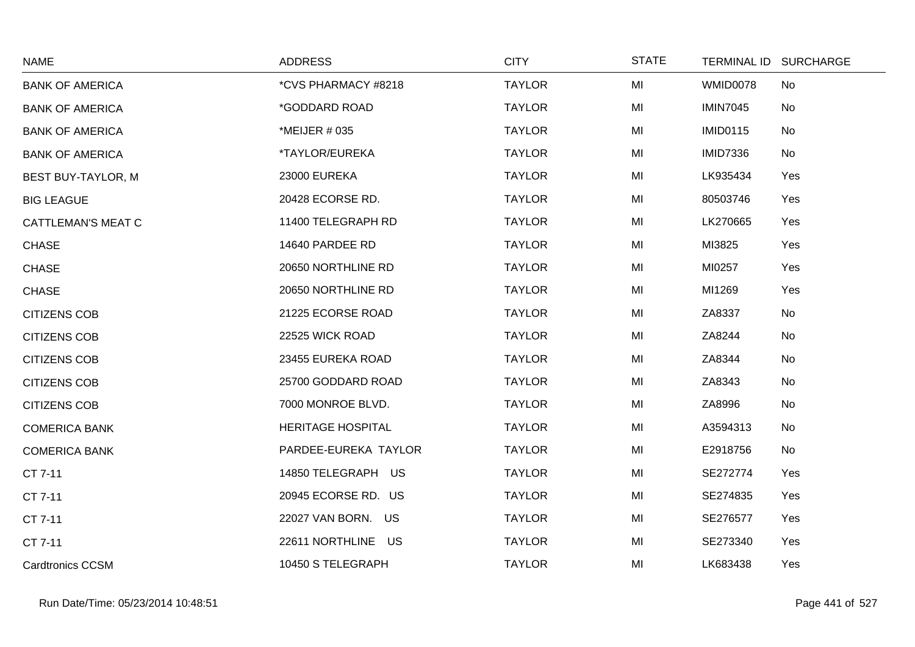| <b>NAME</b>               | <b>ADDRESS</b>           | <b>CITY</b>   | <b>STATE</b> | TERMINAL ID SURCHARGE |  |
|---------------------------|--------------------------|---------------|--------------|-----------------------|--|
| <b>BANK OF AMERICA</b>    | *CVS PHARMACY #8218      | <b>TAYLOR</b> | MI           | WMID0078<br><b>No</b> |  |
| <b>BANK OF AMERICA</b>    | *GODDARD ROAD            | <b>TAYLOR</b> | MI           | <b>IMIN7045</b><br>No |  |
| <b>BANK OF AMERICA</b>    | *MEIJER # 035            | <b>TAYLOR</b> | MI           | <b>IMID0115</b><br>No |  |
| <b>BANK OF AMERICA</b>    | *TAYLOR/EUREKA           | <b>TAYLOR</b> | MI           | <b>IMID7336</b><br>No |  |
| <b>BEST BUY-TAYLOR, M</b> | 23000 EUREKA             | <b>TAYLOR</b> | MI           | LK935434<br>Yes       |  |
| <b>BIG LEAGUE</b>         | 20428 ECORSE RD.         | <b>TAYLOR</b> | MI           | 80503746<br>Yes       |  |
| <b>CATTLEMAN'S MEAT C</b> | 11400 TELEGRAPH RD       | <b>TAYLOR</b> | MI           | LK270665<br>Yes       |  |
| <b>CHASE</b>              | 14640 PARDEE RD          | <b>TAYLOR</b> | MI           | MI3825<br>Yes         |  |
| <b>CHASE</b>              | 20650 NORTHLINE RD       | <b>TAYLOR</b> | MI           | MI0257<br>Yes         |  |
| <b>CHASE</b>              | 20650 NORTHLINE RD       | <b>TAYLOR</b> | MI           | MI1269<br>Yes         |  |
| <b>CITIZENS COB</b>       | 21225 ECORSE ROAD        | <b>TAYLOR</b> | MI           | ZA8337<br>No          |  |
| <b>CITIZENS COB</b>       | 22525 WICK ROAD          | <b>TAYLOR</b> | MI           | ZA8244<br>No          |  |
| <b>CITIZENS COB</b>       | 23455 EUREKA ROAD        | <b>TAYLOR</b> | MI           | ZA8344<br>No          |  |
| <b>CITIZENS COB</b>       | 25700 GODDARD ROAD       | <b>TAYLOR</b> | MI           | No<br>ZA8343          |  |
| <b>CITIZENS COB</b>       | 7000 MONROE BLVD.        | <b>TAYLOR</b> | MI           | ZA8996<br>No          |  |
| <b>COMERICA BANK</b>      | <b>HERITAGE HOSPITAL</b> | <b>TAYLOR</b> | MI           | A3594313<br>No        |  |
| <b>COMERICA BANK</b>      | PARDEE-EUREKA TAYLOR     | <b>TAYLOR</b> | MI           | E2918756<br>No        |  |
| CT 7-11                   | 14850 TELEGRAPH US       | <b>TAYLOR</b> | MI           | SE272774<br>Yes       |  |
| CT 7-11                   | 20945 ECORSE RD. US      | <b>TAYLOR</b> | MI           | SE274835<br>Yes       |  |
| CT 7-11                   | 22027 VAN BORN. US       | <b>TAYLOR</b> | MI           | SE276577<br>Yes       |  |
| CT 7-11                   | 22611 NORTHLINE US       | <b>TAYLOR</b> | MI           | SE273340<br>Yes       |  |
| <b>Cardtronics CCSM</b>   | 10450 S TELEGRAPH        | <b>TAYLOR</b> | MI           | LK683438<br>Yes       |  |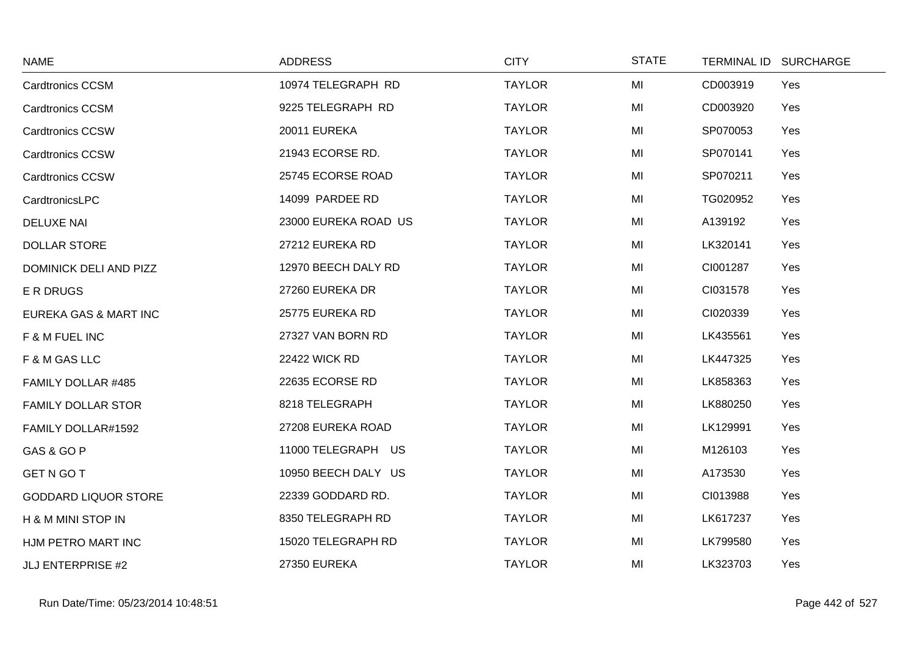| <b>NAME</b>                 | <b>ADDRESS</b>       | <b>CITY</b>   | <b>STATE</b> | <b>TERMINAL ID</b> | <b>SURCHARGE</b> |
|-----------------------------|----------------------|---------------|--------------|--------------------|------------------|
| <b>Cardtronics CCSM</b>     | 10974 TELEGRAPH RD   | <b>TAYLOR</b> | MI           | CD003919           | Yes              |
| <b>Cardtronics CCSM</b>     | 9225 TELEGRAPH RD    | <b>TAYLOR</b> | MI           | CD003920           | Yes              |
| <b>Cardtronics CCSW</b>     | 20011 EUREKA         | <b>TAYLOR</b> | MI           | SP070053           | Yes              |
| <b>Cardtronics CCSW</b>     | 21943 ECORSE RD.     | <b>TAYLOR</b> | MI           | SP070141           | Yes              |
| <b>Cardtronics CCSW</b>     | 25745 ECORSE ROAD    | <b>TAYLOR</b> | MI           | SP070211           | Yes              |
| CardtronicsLPC              | 14099 PARDEE RD      | <b>TAYLOR</b> | MI           | TG020952           | Yes              |
| <b>DELUXE NAI</b>           | 23000 EUREKA ROAD US | <b>TAYLOR</b> | MI           | A139192            | Yes              |
| <b>DOLLAR STORE</b>         | 27212 EUREKA RD      | <b>TAYLOR</b> | MI           | LK320141           | Yes              |
| DOMINICK DELI AND PIZZ      | 12970 BEECH DALY RD  | <b>TAYLOR</b> | MI           | CI001287           | Yes              |
| E R DRUGS                   | 27260 EUREKA DR      | <b>TAYLOR</b> | MI           | CI031578           | Yes              |
| EUREKA GAS & MART INC       | 25775 EUREKA RD      | <b>TAYLOR</b> | MI           | CI020339           | Yes              |
| F & M FUEL INC              | 27327 VAN BORN RD    | <b>TAYLOR</b> | MI           | LK435561           | Yes              |
| F & M GAS LLC               | <b>22422 WICK RD</b> | <b>TAYLOR</b> | MI           | LK447325           | Yes              |
| FAMILY DOLLAR #485          | 22635 ECORSE RD      | <b>TAYLOR</b> | MI           | LK858363           | Yes              |
| <b>FAMILY DOLLAR STOR</b>   | 8218 TELEGRAPH       | <b>TAYLOR</b> | MI           | LK880250           | Yes              |
| FAMILY DOLLAR#1592          | 27208 EUREKA ROAD    | <b>TAYLOR</b> | MI           | LK129991           | Yes              |
| GAS & GO P                  | 11000 TELEGRAPH US   | <b>TAYLOR</b> | MI           | M126103            | Yes              |
| <b>GET N GO T</b>           | 10950 BEECH DALY US  | <b>TAYLOR</b> | MI           | A173530            | Yes              |
| <b>GODDARD LIQUOR STORE</b> | 22339 GODDARD RD.    | <b>TAYLOR</b> | MI           | CI013988           | Yes              |
| H & M MINI STOP IN          | 8350 TELEGRAPH RD    | <b>TAYLOR</b> | MI           | LK617237           | Yes              |
| HJM PETRO MART INC          | 15020 TELEGRAPH RD   | <b>TAYLOR</b> | MI           | LK799580           | Yes              |
| <b>JLJ ENTERPRISE #2</b>    | <b>27350 EUREKA</b>  | <b>TAYLOR</b> | MI           | LK323703           | Yes              |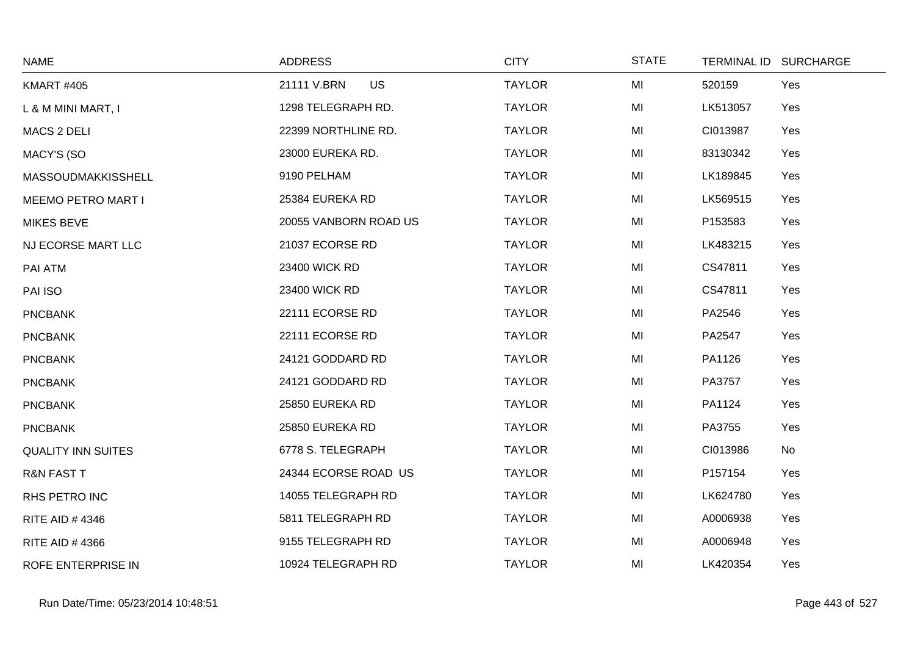| <b>NAME</b>               | <b>ADDRESS</b>           | <b>CITY</b>   | <b>STATE</b> | TERMINAL ID SURCHARGE |
|---------------------------|--------------------------|---------------|--------------|-----------------------|
| <b>KMART #405</b>         | <b>US</b><br>21111 V.BRN | <b>TAYLOR</b> | MI           | Yes<br>520159         |
| L & M MINI MART, I        | 1298 TELEGRAPH RD.       | <b>TAYLOR</b> | MI           | LK513057<br>Yes       |
| <b>MACS 2 DELI</b>        | 22399 NORTHLINE RD.      | <b>TAYLOR</b> | MI           | CI013987<br>Yes       |
| MACY'S (SO                | 23000 EUREKA RD.         | <b>TAYLOR</b> | MI           | 83130342<br>Yes       |
| MASSOUDMAKKISSHELL        | 9190 PELHAM              | <b>TAYLOR</b> | MI           | LK189845<br>Yes       |
| <b>MEEMO PETRO MART I</b> | 25384 EUREKA RD          | <b>TAYLOR</b> | MI           | LK569515<br>Yes       |
| <b>MIKES BEVE</b>         | 20055 VANBORN ROAD US    | <b>TAYLOR</b> | MI           | P153583<br>Yes        |
| NJ ECORSE MART LLC        | 21037 ECORSE RD          | <b>TAYLOR</b> | MI           | LK483215<br>Yes       |
| PAI ATM                   | 23400 WICK RD            | <b>TAYLOR</b> | MI           | CS47811<br>Yes        |
| PAI ISO                   | 23400 WICK RD            | <b>TAYLOR</b> | MI           | CS47811<br>Yes        |
| <b>PNCBANK</b>            | 22111 ECORSE RD          | <b>TAYLOR</b> | MI           | PA2546<br>Yes         |
| <b>PNCBANK</b>            | 22111 ECORSE RD          | <b>TAYLOR</b> | MI           | PA2547<br>Yes         |
| <b>PNCBANK</b>            | 24121 GODDARD RD         | <b>TAYLOR</b> | MI           | PA1126<br>Yes         |
| <b>PNCBANK</b>            | 24121 GODDARD RD         | <b>TAYLOR</b> | MI           | PA3757<br>Yes         |
| <b>PNCBANK</b>            | 25850 EUREKA RD          | <b>TAYLOR</b> | MI           | PA1124<br>Yes         |
| <b>PNCBANK</b>            | 25850 EUREKA RD          | <b>TAYLOR</b> | MI           | PA3755<br>Yes         |
| <b>QUALITY INN SUITES</b> | 6778 S. TELEGRAPH        | <b>TAYLOR</b> | MI           | CI013986<br>No        |
| <b>R&amp;N FAST T</b>     | 24344 ECORSE ROAD US     | <b>TAYLOR</b> | MI           | P157154<br>Yes        |
| RHS PETRO INC             | 14055 TELEGRAPH RD       | <b>TAYLOR</b> | MI           | LK624780<br>Yes       |
| RITE AID #4346            | 5811 TELEGRAPH RD        | <b>TAYLOR</b> | MI           | Yes<br>A0006938       |
| <b>RITE AID #4366</b>     | 9155 TELEGRAPH RD        | <b>TAYLOR</b> | MI           | Yes<br>A0006948       |
| ROFE ENTERPRISE IN        | 10924 TELEGRAPH RD       | <b>TAYLOR</b> | MI           | LK420354<br>Yes       |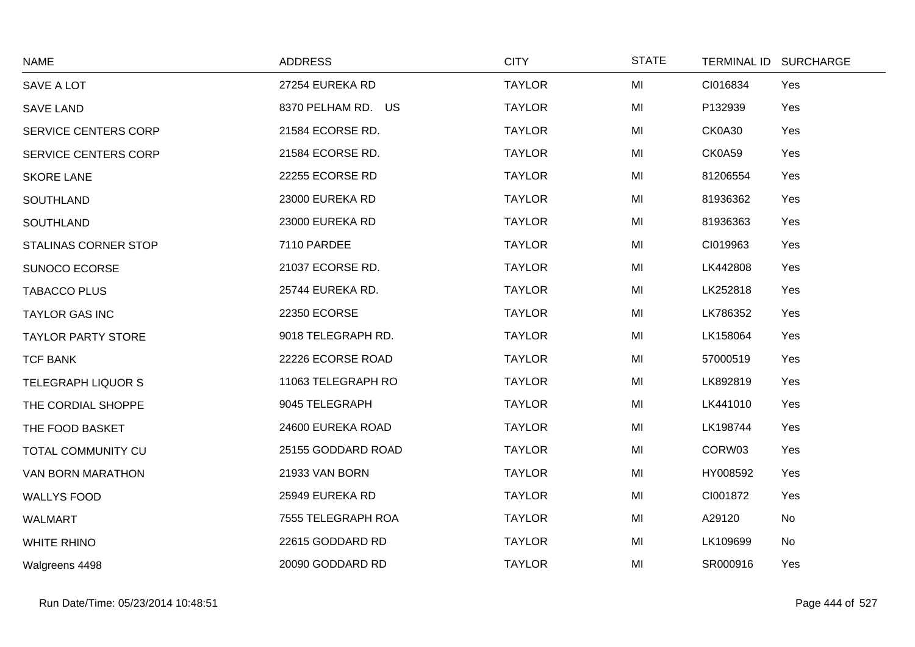| <b>NAME</b>               | <b>ADDRESS</b>     | <b>CITY</b>   | <b>STATE</b> | TERMINAL ID SURCHARGE |
|---------------------------|--------------------|---------------|--------------|-----------------------|
| SAVE A LOT                | 27254 EUREKA RD    | <b>TAYLOR</b> | MI           | CI016834<br>Yes       |
| <b>SAVE LAND</b>          | 8370 PELHAM RD. US | <b>TAYLOR</b> | MI           | P132939<br>Yes        |
| SERVICE CENTERS CORP      | 21584 ECORSE RD.   | <b>TAYLOR</b> | MI           | <b>CK0A30</b><br>Yes  |
| SERVICE CENTERS CORP      | 21584 ECORSE RD.   | <b>TAYLOR</b> | MI           | CK0A59<br>Yes         |
| <b>SKORE LANE</b>         | 22255 ECORSE RD    | <b>TAYLOR</b> | MI           | 81206554<br>Yes       |
| <b>SOUTHLAND</b>          | 23000 EUREKA RD    | <b>TAYLOR</b> | MI           | 81936362<br>Yes       |
| SOUTHLAND                 | 23000 EUREKA RD    | <b>TAYLOR</b> | MI           | 81936363<br>Yes       |
| STALINAS CORNER STOP      | 7110 PARDEE        | <b>TAYLOR</b> | MI           | CI019963<br>Yes       |
| SUNOCO ECORSE             | 21037 ECORSE RD.   | <b>TAYLOR</b> | MI           | LK442808<br>Yes       |
| <b>TABACCO PLUS</b>       | 25744 EUREKA RD.   | <b>TAYLOR</b> | MI           | LK252818<br>Yes       |
| <b>TAYLOR GAS INC</b>     | 22350 ECORSE       | <b>TAYLOR</b> | MI           | LK786352<br>Yes       |
| <b>TAYLOR PARTY STORE</b> | 9018 TELEGRAPH RD. | <b>TAYLOR</b> | MI           | LK158064<br>Yes       |
| <b>TCF BANK</b>           | 22226 ECORSE ROAD  | <b>TAYLOR</b> | MI           | 57000519<br>Yes       |
| <b>TELEGRAPH LIQUOR S</b> | 11063 TELEGRAPH RO | <b>TAYLOR</b> | MI           | LK892819<br>Yes       |
| THE CORDIAL SHOPPE        | 9045 TELEGRAPH     | <b>TAYLOR</b> | MI           | LK441010<br>Yes       |
| THE FOOD BASKET           | 24600 EUREKA ROAD  | <b>TAYLOR</b> | MI           | LK198744<br>Yes       |
| TOTAL COMMUNITY CU        | 25155 GODDARD ROAD | <b>TAYLOR</b> | MI           | CORW03<br>Yes         |
| VAN BORN MARATHON         | 21933 VAN BORN     | <b>TAYLOR</b> | MI           | HY008592<br>Yes       |
| <b>WALLYS FOOD</b>        | 25949 EUREKA RD    | <b>TAYLOR</b> | MI           | CI001872<br>Yes       |
| <b>WALMART</b>            | 7555 TELEGRAPH ROA | <b>TAYLOR</b> | MI           | A29120<br>No          |
| <b>WHITE RHINO</b>        | 22615 GODDARD RD   | <b>TAYLOR</b> | MI           | No<br>LK109699        |
| Walgreens 4498            | 20090 GODDARD RD   | <b>TAYLOR</b> | MI           | SR000916<br>Yes       |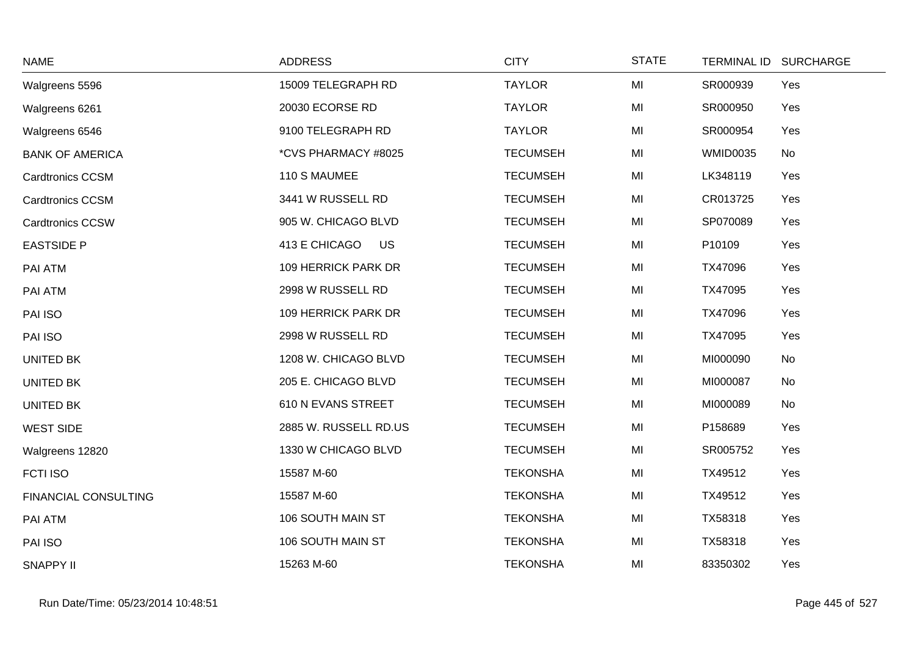| <b>NAME</b>                 | <b>ADDRESS</b>        | <b>CITY</b>     | <b>STATE</b> |                 | TERMINAL ID SURCHARGE |
|-----------------------------|-----------------------|-----------------|--------------|-----------------|-----------------------|
| Walgreens 5596              | 15009 TELEGRAPH RD    | <b>TAYLOR</b>   | MI           | SR000939        | Yes                   |
| Walgreens 6261              | 20030 ECORSE RD       | <b>TAYLOR</b>   | MI           | SR000950        | Yes                   |
| Walgreens 6546              | 9100 TELEGRAPH RD     | <b>TAYLOR</b>   | MI           | SR000954        | Yes                   |
| <b>BANK OF AMERICA</b>      | *CVS PHARMACY #8025   | <b>TECUMSEH</b> | MI           | <b>WMID0035</b> | No                    |
| <b>Cardtronics CCSM</b>     | 110 S MAUMEE          | <b>TECUMSEH</b> | MI           | LK348119        | Yes                   |
| <b>Cardtronics CCSM</b>     | 3441 W RUSSELL RD     | <b>TECUMSEH</b> | MI           | CR013725        | Yes                   |
| Cardtronics CCSW            | 905 W. CHICAGO BLVD   | <b>TECUMSEH</b> | MI           | SP070089        | Yes                   |
| <b>EASTSIDE P</b>           | 413 E CHICAGO US      | <b>TECUMSEH</b> | MI           | P10109          | Yes                   |
| PAI ATM                     | 109 HERRICK PARK DR   | <b>TECUMSEH</b> | MI           | TX47096         | Yes                   |
| PAI ATM                     | 2998 W RUSSELL RD     | <b>TECUMSEH</b> | MI           | TX47095         | Yes                   |
| PAI ISO                     | 109 HERRICK PARK DR   | <b>TECUMSEH</b> | MI           | TX47096         | Yes                   |
| PAI ISO                     | 2998 W RUSSELL RD     | <b>TECUMSEH</b> | MI           | TX47095         | Yes                   |
| <b>UNITED BK</b>            | 1208 W. CHICAGO BLVD  | <b>TECUMSEH</b> | MI           | MI000090        | No                    |
| <b>UNITED BK</b>            | 205 E. CHICAGO BLVD   | <b>TECUMSEH</b> | MI           | MI000087        | No                    |
| <b>UNITED BK</b>            | 610 N EVANS STREET    | <b>TECUMSEH</b> | MI           | MI000089        | No                    |
| <b>WEST SIDE</b>            | 2885 W. RUSSELL RD.US | <b>TECUMSEH</b> | MI           | P158689         | Yes                   |
| Walgreens 12820             | 1330 W CHICAGO BLVD   | <b>TECUMSEH</b> | MI           | SR005752        | Yes                   |
| <b>FCTI ISO</b>             | 15587 M-60            | <b>TEKONSHA</b> | MI           | TX49512         | Yes                   |
| <b>FINANCIAL CONSULTING</b> | 15587 M-60            | <b>TEKONSHA</b> | MI           | TX49512         | Yes                   |
| PAI ATM                     | 106 SOUTH MAIN ST     | <b>TEKONSHA</b> | MI           | TX58318         | Yes                   |
| PAI ISO                     | 106 SOUTH MAIN ST     | <b>TEKONSHA</b> | MI           | TX58318         | Yes                   |
| <b>SNAPPY II</b>            | 15263 M-60            | <b>TEKONSHA</b> | MI           | 83350302        | Yes                   |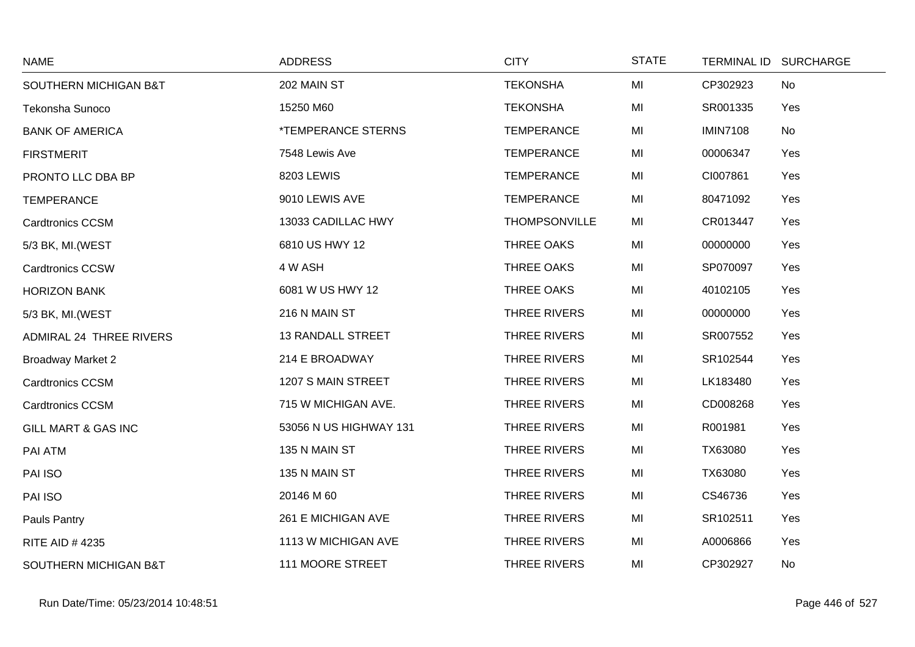| <b>NAME</b>              | <b>ADDRESS</b>                   | <b>CITY</b>          | <b>STATE</b> | <b>TERMINAL ID</b> | <b>SURCHARGE</b> |
|--------------------------|----------------------------------|----------------------|--------------|--------------------|------------------|
| SOUTHERN MICHIGAN B&T    | 202 MAIN ST                      | <b>TEKONSHA</b>      | MI           | CP302923           | No               |
| Tekonsha Sunoco          | 15250 M60                        | <b>TEKONSHA</b>      | MI           | SR001335           | Yes              |
| <b>BANK OF AMERICA</b>   | <i><b>*TEMPERANCE STERNS</b></i> | <b>TEMPERANCE</b>    | MI           | <b>IMIN7108</b>    | No               |
| <b>FIRSTMERIT</b>        | 7548 Lewis Ave                   | <b>TEMPERANCE</b>    | MI           | 00006347           | Yes              |
| PRONTO LLC DBA BP        | 8203 LEWIS                       | <b>TEMPERANCE</b>    | MI           | CI007861           | Yes              |
| <b>TEMPERANCE</b>        | 9010 LEWIS AVE                   | <b>TEMPERANCE</b>    | MI           | 80471092           | Yes              |
| <b>Cardtronics CCSM</b>  | 13033 CADILLAC HWY               | <b>THOMPSONVILLE</b> | MI           | CR013447           | Yes              |
| 5/3 BK, MI. (WEST        | 6810 US HWY 12                   | THREE OAKS           | MI           | 00000000           | Yes              |
| <b>Cardtronics CCSW</b>  | 4 W ASH                          | THREE OAKS           | MI           | SP070097           | Yes              |
| <b>HORIZON BANK</b>      | 6081 W US HWY 12                 | THREE OAKS           | MI           | 40102105           | Yes              |
| 5/3 BK, MI.(WEST         | 216 N MAIN ST                    | THREE RIVERS         | MI           | 00000000           | Yes              |
| ADMIRAL 24 THREE RIVERS  | <b>13 RANDALL STREET</b>         | THREE RIVERS         | MI           | SR007552           | Yes              |
| <b>Broadway Market 2</b> | 214 E BROADWAY                   | THREE RIVERS         | MI           | SR102544           | Yes              |
| <b>Cardtronics CCSM</b>  | 1207 S MAIN STREET               | <b>THREE RIVERS</b>  | MI           | LK183480           | Yes              |
| <b>Cardtronics CCSM</b>  | 715 W MICHIGAN AVE.              | THREE RIVERS         | MI           | CD008268           | Yes              |
| GILL MART & GAS INC      | 53056 N US HIGHWAY 131           | THREE RIVERS         | MI           | R001981            | Yes              |
| PAI ATM                  | 135 N MAIN ST                    | THREE RIVERS         | MI           | TX63080            | Yes              |
| PAI ISO                  | 135 N MAIN ST                    | <b>THREE RIVERS</b>  | MI           | TX63080            | Yes              |
| PAI ISO                  | 20146 M 60                       | <b>THREE RIVERS</b>  | MI           | CS46736            | Yes              |
| Pauls Pantry             | 261 E MICHIGAN AVE               | THREE RIVERS         | MI           | SR102511           | Yes              |
| RITE AID #4235           | 1113 W MICHIGAN AVE              | THREE RIVERS         | MI           | A0006866           | Yes              |
| SOUTHERN MICHIGAN B&T    | 111 MOORE STREET                 | THREE RIVERS         | MI           | CP302927           | No               |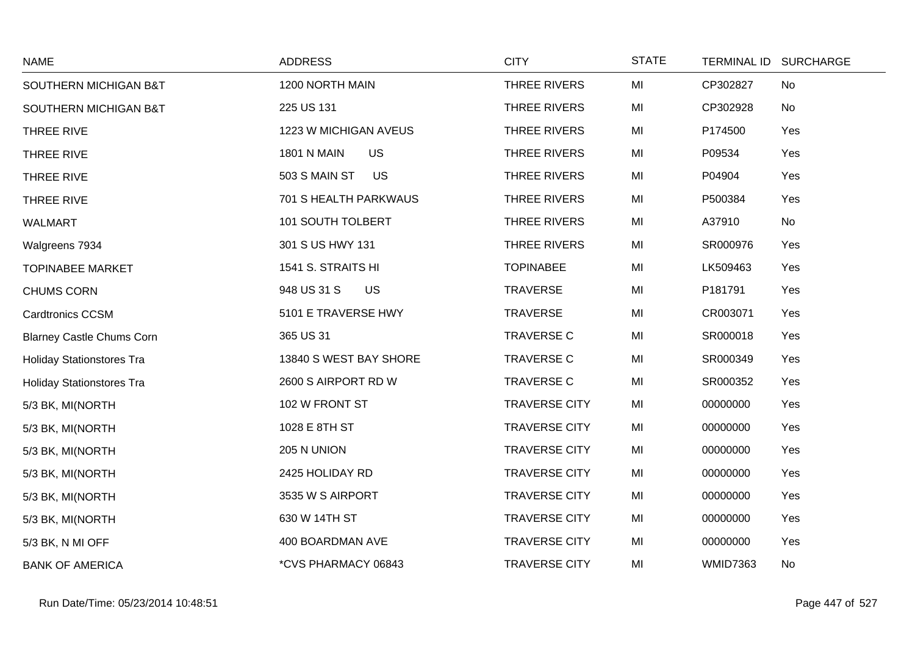| <b>NAME</b>                      | <b>ADDRESS</b>                  | <b>CITY</b>          | <b>STATE</b> | <b>TERMINAL ID</b><br><b>SURCHARGE</b> |  |
|----------------------------------|---------------------------------|----------------------|--------------|----------------------------------------|--|
| SOUTHERN MICHIGAN B&T            | 1200 NORTH MAIN                 | THREE RIVERS         | MI           | CP302827<br>No                         |  |
| SOUTHERN MICHIGAN B&T            | 225 US 131                      | THREE RIVERS         | MI           | CP302928<br>No                         |  |
| THREE RIVE                       | 1223 W MICHIGAN AVEUS           | THREE RIVERS         | MI           | Yes<br>P174500                         |  |
| THREE RIVE                       | <b>US</b><br><b>1801 N MAIN</b> | THREE RIVERS         | MI           | P09534<br>Yes                          |  |
| THREE RIVE                       | 503 S MAIN ST<br><b>US</b>      | THREE RIVERS         | MI           | Yes<br>P04904                          |  |
| THREE RIVE                       | 701 S HEALTH PARKWAUS           | THREE RIVERS         | MI           | Yes<br>P500384                         |  |
| <b>WALMART</b>                   | 101 SOUTH TOLBERT               | THREE RIVERS         | MI           | No<br>A37910                           |  |
| Walgreens 7934                   | 301 S US HWY 131                | THREE RIVERS         | MI           | SR000976<br>Yes                        |  |
| <b>TOPINABEE MARKET</b>          | 1541 S. STRAITS HI              | <b>TOPINABEE</b>     | MI           | LK509463<br>Yes                        |  |
| <b>CHUMS CORN</b>                | 948 US 31 S<br><b>US</b>        | <b>TRAVERSE</b>      | MI           | P181791<br>Yes                         |  |
| <b>Cardtronics CCSM</b>          | 5101 E TRAVERSE HWY             | <b>TRAVERSE</b>      | MI           | CR003071<br>Yes                        |  |
| <b>Blarney Castle Chums Corn</b> | 365 US 31                       | <b>TRAVERSE C</b>    | MI           | SR000018<br>Yes                        |  |
| <b>Holiday Stationstores Tra</b> | 13840 S WEST BAY SHORE          | <b>TRAVERSE C</b>    | MI           | SR000349<br>Yes                        |  |
| <b>Holiday Stationstores Tra</b> | 2600 S AIRPORT RD W             | <b>TRAVERSE C</b>    | MI           | SR000352<br>Yes                        |  |
| 5/3 BK, MI(NORTH                 | 102 W FRONT ST                  | <b>TRAVERSE CITY</b> | MI           | Yes<br>00000000                        |  |
| 5/3 BK, MI(NORTH                 | 1028 E 8TH ST                   | <b>TRAVERSE CITY</b> | MI           | 00000000<br>Yes                        |  |
| 5/3 BK, MI(NORTH                 | 205 N UNION                     | <b>TRAVERSE CITY</b> | MI           | 00000000<br>Yes                        |  |
| 5/3 BK, MI(NORTH                 | 2425 HOLIDAY RD                 | <b>TRAVERSE CITY</b> | MI           | Yes<br>00000000                        |  |
| 5/3 BK, MI(NORTH                 | 3535 W S AIRPORT                | <b>TRAVERSE CITY</b> | MI           | 00000000<br>Yes                        |  |
| 5/3 BK, MI(NORTH                 | 630 W 14TH ST                   | <b>TRAVERSE CITY</b> | MI           | Yes<br>00000000                        |  |
| 5/3 BK, N MI OFF                 | 400 BOARDMAN AVE                | <b>TRAVERSE CITY</b> | MI           | Yes<br>00000000                        |  |
| <b>BANK OF AMERICA</b>           | *CVS PHARMACY 06843             | <b>TRAVERSE CITY</b> | MI           | <b>WMID7363</b><br>No                  |  |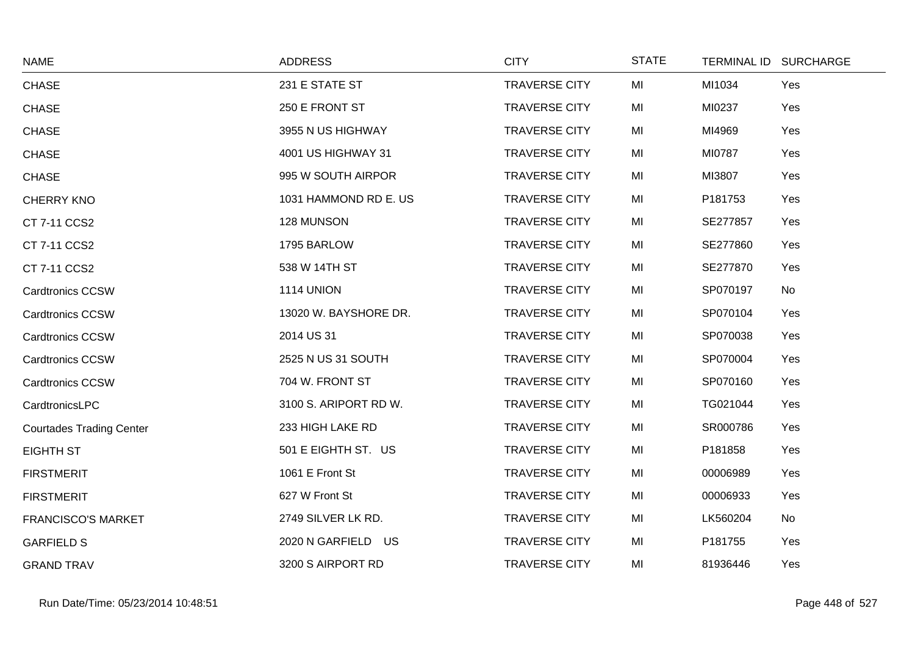| <b>NAME</b>                     | <b>ADDRESS</b>        | <b>CITY</b>          | <b>STATE</b> | TERMINAL ID SURCHARGE |  |
|---------------------------------|-----------------------|----------------------|--------------|-----------------------|--|
| <b>CHASE</b>                    | 231 E STATE ST        | <b>TRAVERSE CITY</b> | MI           | MI1034<br>Yes         |  |
| <b>CHASE</b>                    | 250 E FRONT ST        | <b>TRAVERSE CITY</b> | MI           | MI0237<br>Yes         |  |
| <b>CHASE</b>                    | 3955 N US HIGHWAY     | <b>TRAVERSE CITY</b> | MI           | MI4969<br>Yes         |  |
| <b>CHASE</b>                    | 4001 US HIGHWAY 31    | <b>TRAVERSE CITY</b> | MI           | MI0787<br>Yes         |  |
| <b>CHASE</b>                    | 995 W SOUTH AIRPOR    | <b>TRAVERSE CITY</b> | MI           | MI3807<br>Yes         |  |
| <b>CHERRY KNO</b>               | 1031 HAMMOND RD E. US | <b>TRAVERSE CITY</b> | MI           | P181753<br>Yes        |  |
| CT 7-11 CCS2                    | 128 MUNSON            | <b>TRAVERSE CITY</b> | MI           | SE277857<br>Yes       |  |
| CT 7-11 CCS2                    | 1795 BARLOW           | <b>TRAVERSE CITY</b> | MI           | SE277860<br>Yes       |  |
| CT 7-11 CCS2                    | 538 W 14TH ST         | <b>TRAVERSE CITY</b> | MI           | SE277870<br>Yes       |  |
| <b>Cardtronics CCSW</b>         | 1114 UNION            | <b>TRAVERSE CITY</b> | MI           | SP070197<br>No        |  |
| <b>Cardtronics CCSW</b>         | 13020 W. BAYSHORE DR. | <b>TRAVERSE CITY</b> | MI           | SP070104<br>Yes       |  |
| Cardtronics CCSW                | 2014 US 31            | <b>TRAVERSE CITY</b> | MI           | SP070038<br>Yes       |  |
| <b>Cardtronics CCSW</b>         | 2525 N US 31 SOUTH    | <b>TRAVERSE CITY</b> | MI           | SP070004<br>Yes       |  |
| <b>Cardtronics CCSW</b>         | 704 W. FRONT ST       | <b>TRAVERSE CITY</b> | MI           | SP070160<br>Yes       |  |
| CardtronicsLPC                  | 3100 S. ARIPORT RD W. | <b>TRAVERSE CITY</b> | MI           | TG021044<br>Yes       |  |
| <b>Courtades Trading Center</b> | 233 HIGH LAKE RD      | <b>TRAVERSE CITY</b> | MI           | SR000786<br>Yes       |  |
| EIGHTH ST                       | 501 E EIGHTH ST. US   | <b>TRAVERSE CITY</b> | MI           | P181858<br>Yes        |  |
| <b>FIRSTMERIT</b>               | 1061 E Front St       | <b>TRAVERSE CITY</b> | MI           | Yes<br>00006989       |  |
| <b>FIRSTMERIT</b>               | 627 W Front St        | <b>TRAVERSE CITY</b> | MI           | 00006933<br>Yes       |  |
| <b>FRANCISCO'S MARKET</b>       | 2749 SILVER LK RD.    | <b>TRAVERSE CITY</b> | MI           | LK560204<br>No        |  |
| <b>GARFIELD S</b>               | 2020 N GARFIELD US    | <b>TRAVERSE CITY</b> | MI           | P181755<br>Yes        |  |
| <b>GRAND TRAV</b>               | 3200 S AIRPORT RD     | <b>TRAVERSE CITY</b> | MI           | 81936446<br>Yes       |  |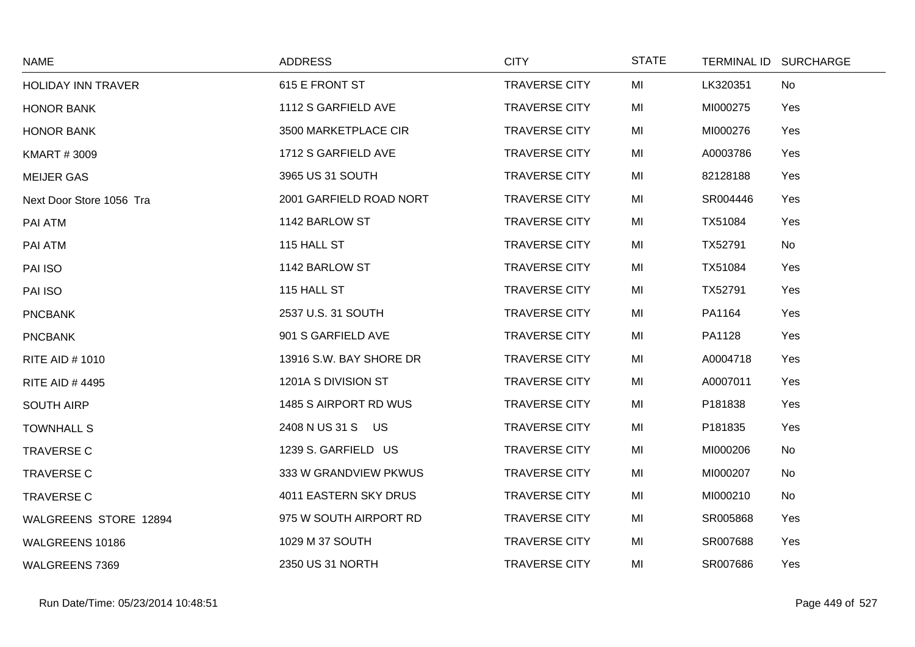| <b>NAME</b>               | <b>ADDRESS</b>          | <b>CITY</b>          | <b>STATE</b> |          | TERMINAL ID SURCHARGE |
|---------------------------|-------------------------|----------------------|--------------|----------|-----------------------|
| <b>HOLIDAY INN TRAVER</b> | 615 E FRONT ST          | <b>TRAVERSE CITY</b> | MI           | LK320351 | No                    |
| <b>HONOR BANK</b>         | 1112 S GARFIELD AVE     | <b>TRAVERSE CITY</b> | MI           | MI000275 | Yes                   |
| <b>HONOR BANK</b>         | 3500 MARKETPLACE CIR    | <b>TRAVERSE CITY</b> | MI           | MI000276 | Yes                   |
| <b>KMART #3009</b>        | 1712 S GARFIELD AVE     | <b>TRAVERSE CITY</b> | MI           | A0003786 | Yes                   |
| <b>MEIJER GAS</b>         | 3965 US 31 SOUTH        | <b>TRAVERSE CITY</b> | MI           | 82128188 | Yes                   |
| Next Door Store 1056 Tra  | 2001 GARFIELD ROAD NORT | <b>TRAVERSE CITY</b> | MI           | SR004446 | Yes                   |
| PAI ATM                   | 1142 BARLOW ST          | <b>TRAVERSE CITY</b> | MI           | TX51084  | Yes                   |
| PAI ATM                   | 115 HALL ST             | <b>TRAVERSE CITY</b> | MI           | TX52791  | No                    |
| PAI ISO                   | 1142 BARLOW ST          | <b>TRAVERSE CITY</b> | MI           | TX51084  | Yes                   |
| PAI ISO                   | 115 HALL ST             | <b>TRAVERSE CITY</b> | MI           | TX52791  | Yes                   |
| <b>PNCBANK</b>            | 2537 U.S. 31 SOUTH      | <b>TRAVERSE CITY</b> | MI           | PA1164   | Yes                   |
| <b>PNCBANK</b>            | 901 S GARFIELD AVE      | <b>TRAVERSE CITY</b> | MI           | PA1128   | Yes                   |
| <b>RITE AID #1010</b>     | 13916 S.W. BAY SHORE DR | <b>TRAVERSE CITY</b> | MI           | A0004718 | Yes                   |
| <b>RITE AID #4495</b>     | 1201A S DIVISION ST     | <b>TRAVERSE CITY</b> | MI           | A0007011 | Yes                   |
| <b>SOUTH AIRP</b>         | 1485 S AIRPORT RD WUS   | <b>TRAVERSE CITY</b> | MI           | P181838  | Yes                   |
| <b>TOWNHALL S</b>         | 2408 N US 31 S US       | <b>TRAVERSE CITY</b> | MI           | P181835  | Yes                   |
| <b>TRAVERSE C</b>         | 1239 S. GARFIELD US     | <b>TRAVERSE CITY</b> | MI           | MI000206 | No                    |
| <b>TRAVERSE C</b>         | 333 W GRANDVIEW PKWUS   | <b>TRAVERSE CITY</b> | MI           | MI000207 | No                    |
| <b>TRAVERSE C</b>         | 4011 EASTERN SKY DRUS   | <b>TRAVERSE CITY</b> | MI           | MI000210 | No                    |
| WALGREENS STORE 12894     | 975 W SOUTH AIRPORT RD  | <b>TRAVERSE CITY</b> | MI           | SR005868 | Yes                   |
| WALGREENS 10186           | 1029 M 37 SOUTH         | <b>TRAVERSE CITY</b> | MI           | SR007688 | Yes                   |
| WALGREENS 7369            | 2350 US 31 NORTH        | <b>TRAVERSE CITY</b> | MI           | SR007686 | Yes                   |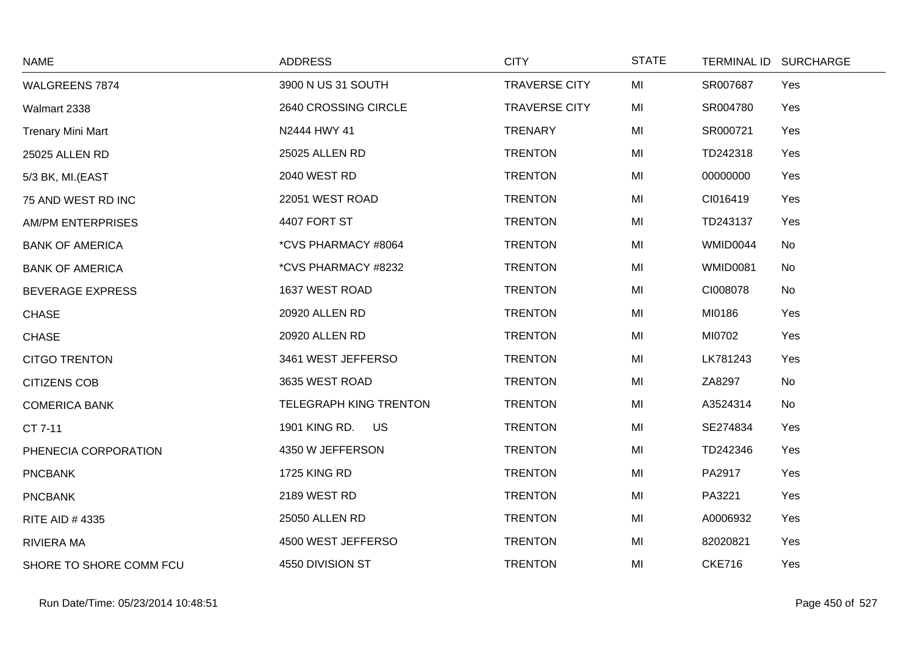| <b>NAME</b>              | <b>ADDRESS</b>                | <b>CITY</b>          | <b>STATE</b> | <b>TERMINAL ID</b> | <b>SURCHARGE</b> |
|--------------------------|-------------------------------|----------------------|--------------|--------------------|------------------|
| WALGREENS 7874           | 3900 N US 31 SOUTH            | <b>TRAVERSE CITY</b> | MI           | SR007687           | Yes              |
| Walmart 2338             | 2640 CROSSING CIRCLE          | <b>TRAVERSE CITY</b> | MI           | SR004780           | Yes              |
| <b>Trenary Mini Mart</b> | N2444 HWY 41                  | <b>TRENARY</b>       | MI           | SR000721           | Yes              |
| 25025 ALLEN RD           | 25025 ALLEN RD                | <b>TRENTON</b>       | MI           | TD242318           | Yes              |
| 5/3 BK, MI.(EAST         | 2040 WEST RD                  | <b>TRENTON</b>       | MI           | 00000000           | Yes              |
| 75 AND WEST RD INC       | 22051 WEST ROAD               | <b>TRENTON</b>       | MI           | CI016419           | Yes              |
| <b>AM/PM ENTERPRISES</b> | 4407 FORT ST                  | <b>TRENTON</b>       | MI           | TD243137           | Yes              |
| <b>BANK OF AMERICA</b>   | *CVS PHARMACY #8064           | <b>TRENTON</b>       | MI           | WMID0044           | No               |
| <b>BANK OF AMERICA</b>   | *CVS PHARMACY #8232           | <b>TRENTON</b>       | MI           | <b>WMID0081</b>    | No               |
| <b>BEVERAGE EXPRESS</b>  | 1637 WEST ROAD                | <b>TRENTON</b>       | MI           | CI008078           | No               |
| <b>CHASE</b>             | 20920 ALLEN RD                | <b>TRENTON</b>       | MI           | MI0186             | Yes              |
| <b>CHASE</b>             | 20920 ALLEN RD                | <b>TRENTON</b>       | MI           | MI0702             | Yes              |
| <b>CITGO TRENTON</b>     | 3461 WEST JEFFERSO            | <b>TRENTON</b>       | MI           | LK781243           | Yes              |
| <b>CITIZENS COB</b>      | 3635 WEST ROAD                | <b>TRENTON</b>       | MI           | ZA8297             | No               |
| <b>COMERICA BANK</b>     | <b>TELEGRAPH KING TRENTON</b> | <b>TRENTON</b>       | MI           | A3524314           | No               |
| CT 7-11                  | 1901 KING RD.<br><b>US</b>    | <b>TRENTON</b>       | MI           | SE274834           | Yes              |
| PHENECIA CORPORATION     | 4350 W JEFFERSON              | <b>TRENTON</b>       | MI           | TD242346           | Yes              |
| <b>PNCBANK</b>           | <b>1725 KING RD</b>           | <b>TRENTON</b>       | MI           | PA2917             | Yes              |
| <b>PNCBANK</b>           | 2189 WEST RD                  | <b>TRENTON</b>       | MI           | PA3221             | Yes              |
| <b>RITE AID #4335</b>    | 25050 ALLEN RD                | <b>TRENTON</b>       | MI           | A0006932           | Yes              |
| <b>RIVIERA MA</b>        | 4500 WEST JEFFERSO            | <b>TRENTON</b>       | MI           | 82020821           | Yes              |
| SHORE TO SHORE COMM FCU  | 4550 DIVISION ST              | <b>TRENTON</b>       | MI           | <b>CKE716</b>      | Yes              |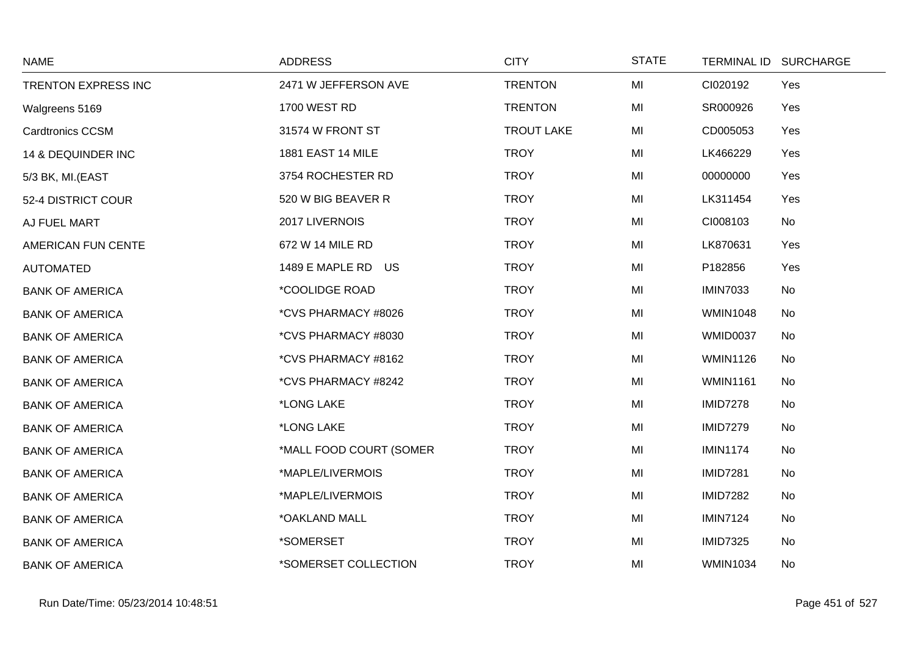| <b>NAME</b>             | <b>ADDRESS</b>               | <b>CITY</b>       | <b>STATE</b> |                 | TERMINAL ID SURCHARGE |
|-------------------------|------------------------------|-------------------|--------------|-----------------|-----------------------|
| TRENTON EXPRESS INC     | 2471 W JEFFERSON AVE         | <b>TRENTON</b>    | MI           | CI020192        | Yes                   |
| Walgreens 5169          | <b>1700 WEST RD</b>          | <b>TRENTON</b>    | MI           | SR000926        | Yes                   |
| <b>Cardtronics CCSM</b> | 31574 W FRONT ST             | <b>TROUT LAKE</b> | MI           | CD005053        | Yes                   |
| 14 & DEQUINDER INC      | 1881 EAST 14 MILE            | <b>TROY</b>       | MI           | LK466229        | Yes                   |
| 5/3 BK, MI.(EAST        | 3754 ROCHESTER RD            | <b>TROY</b>       | MI           | 00000000        | Yes                   |
| 52-4 DISTRICT COUR      | 520 W BIG BEAVER R           | <b>TROY</b>       | MI           | LK311454        | Yes                   |
| AJ FUEL MART            | 2017 LIVERNOIS               | <b>TROY</b>       | MI           | CI008103        | No                    |
| AMERICAN FUN CENTE      | 672 W 14 MILE RD             | <b>TROY</b>       | MI           | LK870631        | Yes                   |
| <b>AUTOMATED</b>        | 1489 E MAPLE RD US           | <b>TROY</b>       | MI           | P182856         | Yes                   |
| <b>BANK OF AMERICA</b>  | <i><b>*COOLIDGE ROAD</b></i> | <b>TROY</b>       | MI           | <b>IMIN7033</b> | No                    |
| <b>BANK OF AMERICA</b>  | *CVS PHARMACY #8026          | <b>TROY</b>       | MI           | <b>WMIN1048</b> | No                    |
| <b>BANK OF AMERICA</b>  | *CVS PHARMACY #8030          | <b>TROY</b>       | MI           | WMID0037        | No                    |
| <b>BANK OF AMERICA</b>  | *CVS PHARMACY #8162          | <b>TROY</b>       | MI           | <b>WMIN1126</b> | No                    |
| <b>BANK OF AMERICA</b>  | *CVS PHARMACY #8242          | <b>TROY</b>       | MI           | <b>WMIN1161</b> | No                    |
| <b>BANK OF AMERICA</b>  | *LONG LAKE                   | <b>TROY</b>       | MI           | <b>IMID7278</b> | No                    |
| <b>BANK OF AMERICA</b>  | *LONG LAKE                   | <b>TROY</b>       | MI           | <b>IMID7279</b> | No                    |
| <b>BANK OF AMERICA</b>  | *MALL FOOD COURT (SOMER      | <b>TROY</b>       | MI           | <b>IMIN1174</b> | <b>No</b>             |
| <b>BANK OF AMERICA</b>  | *MAPLE/LIVERMOIS             | <b>TROY</b>       | MI           | <b>IMID7281</b> | No                    |
| <b>BANK OF AMERICA</b>  | *MAPLE/LIVERMOIS             | <b>TROY</b>       | MI           | <b>IMID7282</b> | No                    |
| <b>BANK OF AMERICA</b>  | *OAKLAND MALL                | <b>TROY</b>       | MI           | <b>IMIN7124</b> | No                    |
| <b>BANK OF AMERICA</b>  | *SOMERSET                    | <b>TROY</b>       | MI           | <b>IMID7325</b> | No                    |
| <b>BANK OF AMERICA</b>  | *SOMERSET COLLECTION         | <b>TROY</b>       | MI           | <b>WMIN1034</b> | No                    |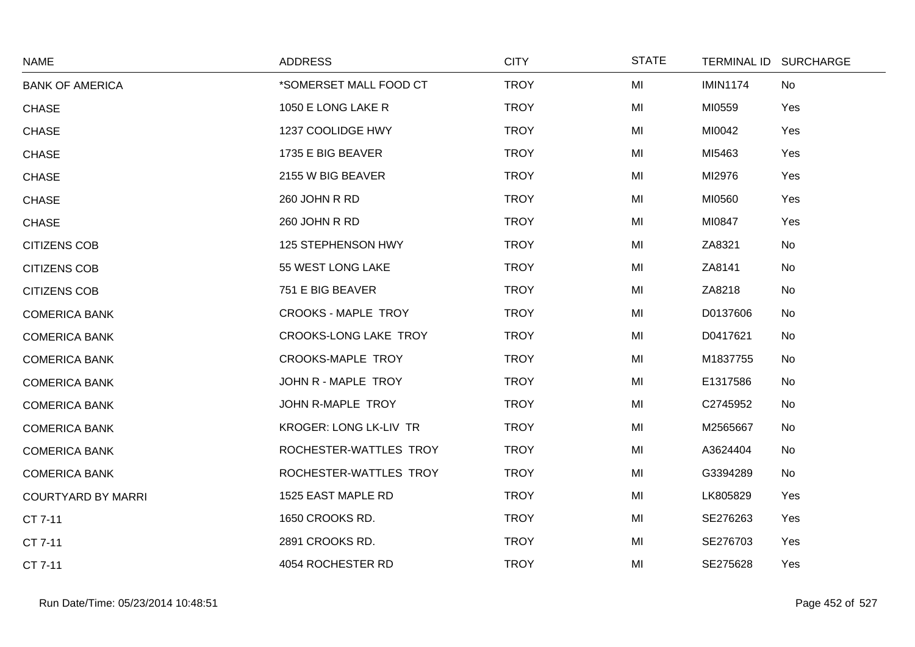| <b>NAME</b>               | <b>ADDRESS</b>                | <b>CITY</b> | <b>STATE</b> |                 | TERMINAL ID SURCHARGE |
|---------------------------|-------------------------------|-------------|--------------|-----------------|-----------------------|
| <b>BANK OF AMERICA</b>    | *SOMERSET MALL FOOD CT        | <b>TROY</b> | MI           | <b>IMIN1174</b> | No                    |
| <b>CHASE</b>              | 1050 E LONG LAKE R            | <b>TROY</b> | MI           | MI0559          | Yes                   |
| <b>CHASE</b>              | 1237 COOLIDGE HWY             | <b>TROY</b> | MI           | MI0042          | Yes                   |
| <b>CHASE</b>              | 1735 E BIG BEAVER             | <b>TROY</b> | MI           | MI5463          | Yes                   |
| <b>CHASE</b>              | 2155 W BIG BEAVER             | <b>TROY</b> | MI           | MI2976          | Yes                   |
| <b>CHASE</b>              | 260 JOHN R RD                 | <b>TROY</b> | MI           | MI0560          | Yes                   |
| <b>CHASE</b>              | 260 JOHN R RD                 | <b>TROY</b> | MI           | MI0847          | Yes                   |
| <b>CITIZENS COB</b>       | 125 STEPHENSON HWY            | <b>TROY</b> | MI           | ZA8321          | No                    |
| <b>CITIZENS COB</b>       | 55 WEST LONG LAKE             | <b>TROY</b> | MI           | ZA8141          | No                    |
| <b>CITIZENS COB</b>       | 751 E BIG BEAVER              | <b>TROY</b> | MI           | ZA8218          | No                    |
| <b>COMERICA BANK</b>      | <b>CROOKS - MAPLE TROY</b>    | <b>TROY</b> | MI           | D0137606        | No                    |
| <b>COMERICA BANK</b>      | <b>CROOKS-LONG LAKE TROY</b>  | <b>TROY</b> | MI           | D0417621        | No                    |
| <b>COMERICA BANK</b>      | <b>CROOKS-MAPLE TROY</b>      | <b>TROY</b> | MI           | M1837755        | No                    |
| <b>COMERICA BANK</b>      | JOHN R - MAPLE TROY           | <b>TROY</b> | MI           | E1317586        | No                    |
| <b>COMERICA BANK</b>      | JOHN R-MAPLE TROY             | <b>TROY</b> | MI           | C2745952        | No                    |
| <b>COMERICA BANK</b>      | <b>KROGER: LONG LK-LIV TR</b> | <b>TROY</b> | MI           | M2565667        | No                    |
| <b>COMERICA BANK</b>      | ROCHESTER-WATTLES TROY        | <b>TROY</b> | MI           | A3624404        | No                    |
| <b>COMERICA BANK</b>      | ROCHESTER-WATTLES TROY        | <b>TROY</b> | MI           | G3394289        | No                    |
| <b>COURTYARD BY MARRI</b> | 1525 EAST MAPLE RD            | <b>TROY</b> | MI           | LK805829        | Yes                   |
| CT 7-11                   | 1650 CROOKS RD.               | <b>TROY</b> | MI           | SE276263        | Yes                   |
| CT 7-11                   | 2891 CROOKS RD.               | <b>TROY</b> | MI           | SE276703        | Yes                   |
| CT 7-11                   | 4054 ROCHESTER RD             | <b>TROY</b> | MI           | SE275628        | Yes                   |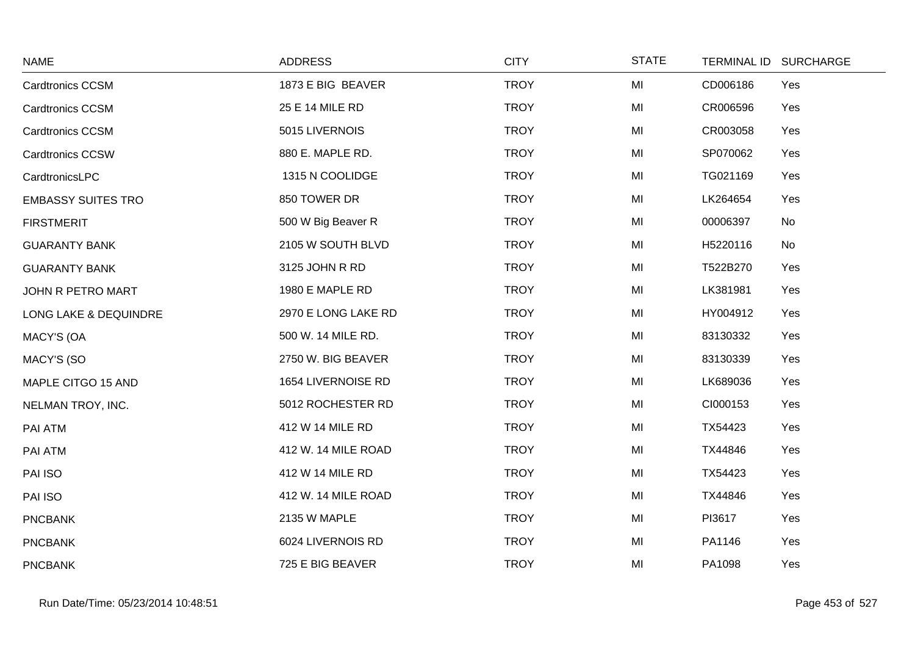| <b>NAME</b>               | <b>ADDRESS</b>      | <b>CITY</b> | <b>STATE</b> | <b>TERMINAL ID</b> | <b>SURCHARGE</b> |
|---------------------------|---------------------|-------------|--------------|--------------------|------------------|
| <b>Cardtronics CCSM</b>   | 1873 E BIG BEAVER   | <b>TROY</b> | MI           | CD006186           | Yes              |
| <b>Cardtronics CCSM</b>   | 25 E 14 MILE RD     | <b>TROY</b> | MI           | CR006596           | Yes              |
| <b>Cardtronics CCSM</b>   | 5015 LIVERNOIS      | <b>TROY</b> | MI           | CR003058           | Yes              |
| <b>Cardtronics CCSW</b>   | 880 E. MAPLE RD.    | <b>TROY</b> | MI           | SP070062           | Yes              |
| CardtronicsLPC            | 1315 N COOLIDGE     | <b>TROY</b> | MI           | TG021169           | Yes              |
| <b>EMBASSY SUITES TRO</b> | 850 TOWER DR        | <b>TROY</b> | MI           | LK264654           | Yes              |
| <b>FIRSTMERIT</b>         | 500 W Big Beaver R  | <b>TROY</b> | MI           | 00006397           | No               |
| <b>GUARANTY BANK</b>      | 2105 W SOUTH BLVD   | <b>TROY</b> | MI           | H5220116           | No               |
| <b>GUARANTY BANK</b>      | 3125 JOHN R RD      | <b>TROY</b> | MI           | T522B270           | Yes              |
| JOHN R PETRO MART         | 1980 E MAPLE RD     | <b>TROY</b> | MI           | LK381981           | Yes              |
| LONG LAKE & DEQUINDRE     | 2970 E LONG LAKE RD | <b>TROY</b> | MI           | HY004912           | Yes              |
| <b>MACY'S (OA</b>         | 500 W. 14 MILE RD.  | <b>TROY</b> | MI           | 83130332           | Yes              |
| MACY'S (SO                | 2750 W. BIG BEAVER  | <b>TROY</b> | MI           | 83130339           | Yes              |
| MAPLE CITGO 15 AND        | 1654 LIVERNOISE RD  | <b>TROY</b> | MI           | LK689036           | Yes              |
| NELMAN TROY, INC.         | 5012 ROCHESTER RD   | <b>TROY</b> | MI           | CI000153           | Yes              |
| PAI ATM                   | 412 W 14 MILE RD    | <b>TROY</b> | MI           | TX54423            | Yes              |
| PAI ATM                   | 412 W. 14 MILE ROAD | <b>TROY</b> | MI           | TX44846            | Yes              |
| PAI ISO                   | 412 W 14 MILE RD    | <b>TROY</b> | MI           | TX54423            | Yes              |
| PAI ISO                   | 412 W. 14 MILE ROAD | <b>TROY</b> | MI           | TX44846            | Yes              |
| <b>PNCBANK</b>            | 2135 W MAPLE        | <b>TROY</b> | MI           | PI3617             | Yes              |
| <b>PNCBANK</b>            | 6024 LIVERNOIS RD   | <b>TROY</b> | MI           | PA1146             | Yes              |
| <b>PNCBANK</b>            | 725 E BIG BEAVER    | <b>TROY</b> | MI           | PA1098             | Yes              |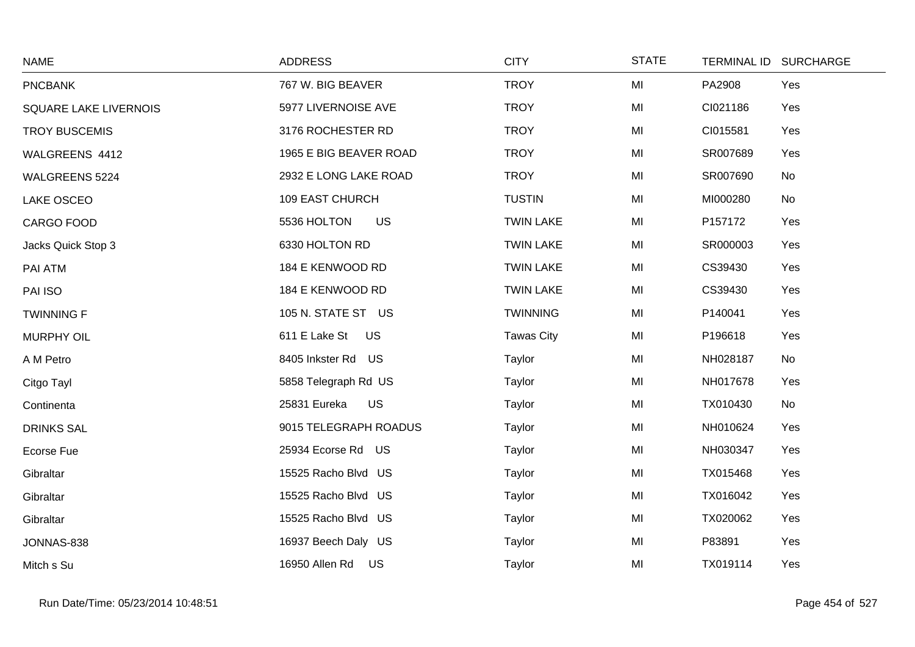| <b>NAME</b>                  | <b>ADDRESS</b>            | <b>CITY</b>       | <b>STATE</b> | TERMINAL ID SURCHARGE |
|------------------------------|---------------------------|-------------------|--------------|-----------------------|
| <b>PNCBANK</b>               | 767 W. BIG BEAVER         | <b>TROY</b>       | MI           | PA2908<br>Yes         |
| <b>SQUARE LAKE LIVERNOIS</b> | 5977 LIVERNOISE AVE       | <b>TROY</b>       | MI           | CI021186<br>Yes       |
| <b>TROY BUSCEMIS</b>         | 3176 ROCHESTER RD         | <b>TROY</b>       | MI           | CI015581<br>Yes       |
| WALGREENS 4412               | 1965 E BIG BEAVER ROAD    | <b>TROY</b>       | MI           | SR007689<br>Yes       |
| <b>WALGREENS 5224</b>        | 2932 E LONG LAKE ROAD     | <b>TROY</b>       | MI           | SR007690<br>No        |
| LAKE OSCEO                   | <b>109 EAST CHURCH</b>    | <b>TUSTIN</b>     | MI           | MI000280<br>No        |
| CARGO FOOD                   | 5536 HOLTON<br><b>US</b>  | <b>TWIN LAKE</b>  | MI           | P157172<br>Yes        |
| Jacks Quick Stop 3           | 6330 HOLTON RD            | <b>TWIN LAKE</b>  | MI           | SR000003<br>Yes       |
| PAI ATM                      | 184 E KENWOOD RD          | <b>TWIN LAKE</b>  | MI           | CS39430<br>Yes        |
| PAI ISO                      | 184 E KENWOOD RD          | <b>TWIN LAKE</b>  | MI           | CS39430<br>Yes        |
| <b>TWINNING F</b>            | 105 N. STATE ST US        | <b>TWINNING</b>   | MI           | P140041<br>Yes        |
| <b>MURPHY OIL</b>            | 611 E Lake St<br>US       | <b>Tawas City</b> | MI           | P196618<br>Yes        |
| A M Petro                    | 8405 Inkster Rd US        | Taylor            | MI           | NH028187<br>No        |
| Citgo Tayl                   | 5858 Telegraph Rd US      | Taylor            | MI           | NH017678<br>Yes       |
| Continenta                   | <b>US</b><br>25831 Eureka | Taylor            | MI           | TX010430<br>No        |
| <b>DRINKS SAL</b>            | 9015 TELEGRAPH ROADUS     | Taylor            | MI           | NH010624<br>Yes       |
| Ecorse Fue                   | 25934 Ecorse Rd US        | Taylor            | MI           | NH030347<br>Yes       |
| Gibraltar                    | 15525 Racho Blvd US       | Taylor            | MI           | Yes<br>TX015468       |
| Gibraltar                    | 15525 Racho Blvd US       | Taylor            | MI           | TX016042<br>Yes       |
| Gibraltar                    | 15525 Racho Blvd US       | Taylor            | MI           | TX020062<br>Yes       |
| JONNAS-838                   | 16937 Beech Daly US       | Taylor            | MI           | P83891<br>Yes         |
| Mitch s Su                   | 16950 Allen Rd US         | Taylor            | MI           | TX019114<br>Yes       |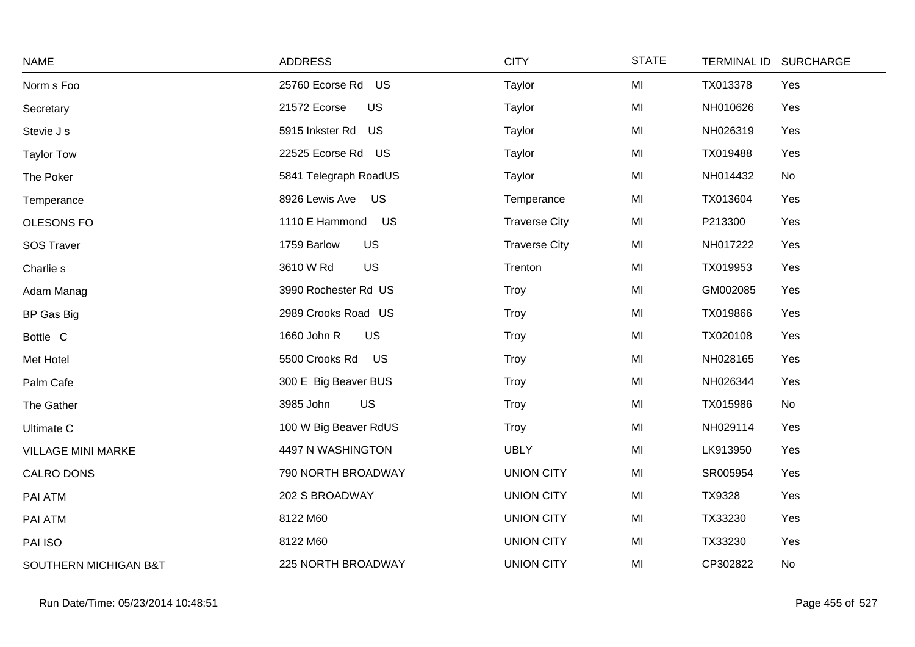| <b>NAME</b>               | <b>ADDRESS</b>            | <b>CITY</b>          | <b>STATE</b> | <b>TERMINAL ID</b><br><b>SURCHARGE</b> |
|---------------------------|---------------------------|----------------------|--------------|----------------------------------------|
| Norm s Foo                | 25760 Ecorse Rd US        | Taylor               | MI           | TX013378<br>Yes                        |
| Secretary                 | 21572 Ecorse<br><b>US</b> | Taylor               | MI           | NH010626<br>Yes                        |
| Stevie J s                | 5915 Inkster Rd<br>US     | Taylor               | MI           | NH026319<br>Yes                        |
| <b>Taylor Tow</b>         | 22525 Ecorse Rd US        | Taylor               | MI           | TX019488<br>Yes                        |
| The Poker                 | 5841 Telegraph RoadUS     | Taylor               | MI           | NH014432<br>No                         |
| Temperance                | US<br>8926 Lewis Ave      | Temperance           | MI           | TX013604<br>Yes                        |
| OLESONS FO                | 1110 E Hammond<br>US      | <b>Traverse City</b> | MI           | P213300<br>Yes                         |
| <b>SOS Traver</b>         | 1759 Barlow<br><b>US</b>  | <b>Traverse City</b> | MI           | NH017222<br>Yes                        |
| Charlie s                 | <b>US</b><br>3610 W Rd    | Trenton              | MI           | Yes<br>TX019953                        |
| Adam Manag                | 3990 Rochester Rd US      | Troy                 | MI           | GM002085<br>Yes                        |
| BP Gas Big                | 2989 Crooks Road US       | Troy                 | MI           | Yes<br>TX019866                        |
| Bottle C                  | <b>US</b><br>1660 John R  | Troy                 | MI           | TX020108<br>Yes                        |
| Met Hotel                 | 5500 Crooks Rd<br>US      | Troy                 | MI           | NH028165<br>Yes                        |
| Palm Cafe                 | 300 E Big Beaver BUS      | Troy                 | MI           | NH026344<br>Yes                        |
| The Gather                | <b>US</b><br>3985 John    | Troy                 | MI           | No<br>TX015986                         |
| <b>Ultimate C</b>         | 100 W Big Beaver RdUS     | Troy                 | MI           | NH029114<br>Yes                        |
| <b>VILLAGE MINI MARKE</b> | 4497 N WASHINGTON         | <b>UBLY</b>          | MI           | LK913950<br>Yes                        |
| CALRO DONS                | 790 NORTH BROADWAY        | <b>UNION CITY</b>    | MI           | SR005954<br>Yes                        |
| PAI ATM                   | 202 S BROADWAY            | <b>UNION CITY</b>    | MI           | TX9328<br>Yes                          |
| PAI ATM                   | 8122 M60                  | <b>UNION CITY</b>    | MI           | TX33230<br>Yes                         |
| PAI ISO                   | 8122 M60                  | <b>UNION CITY</b>    | MI           | Yes<br>TX33230                         |
| SOUTHERN MICHIGAN B&T     | 225 NORTH BROADWAY        | <b>UNION CITY</b>    | MI           | CP302822<br>No                         |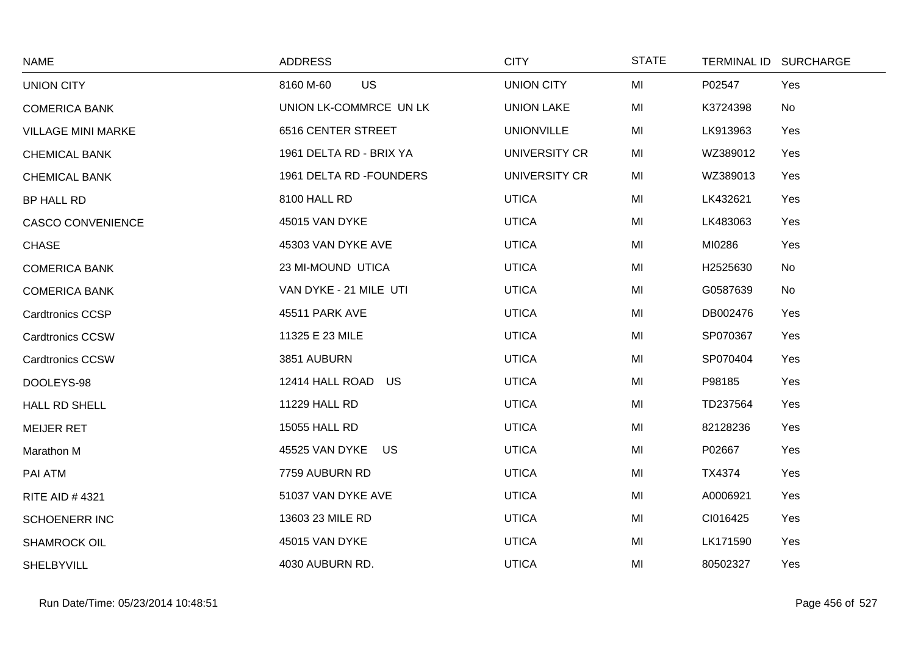| <b>NAME</b>               | <b>ADDRESS</b>           | <b>CITY</b>       | <b>STATE</b> | <b>TERMINAL ID</b> | <b>SURCHARGE</b> |
|---------------------------|--------------------------|-------------------|--------------|--------------------|------------------|
| <b>UNION CITY</b>         | <b>US</b><br>8160 M-60   | <b>UNION CITY</b> | MI           | P02547             | Yes              |
| <b>COMERICA BANK</b>      | UNION LK-COMMRCE UN LK   | <b>UNION LAKE</b> | MI           | K3724398           | No               |
| <b>VILLAGE MINI MARKE</b> | 6516 CENTER STREET       | <b>UNIONVILLE</b> | MI           | LK913963           | Yes              |
| <b>CHEMICAL BANK</b>      | 1961 DELTA RD - BRIX YA  | UNIVERSITY CR     | MI           | WZ389012           | Yes              |
| <b>CHEMICAL BANK</b>      | 1961 DELTA RD - FOUNDERS | UNIVERSITY CR     | MI           | WZ389013           | Yes              |
| BP HALL RD                | 8100 HALL RD             | <b>UTICA</b>      | MI           | LK432621           | Yes              |
| <b>CASCO CONVENIENCE</b>  | 45015 VAN DYKE           | <b>UTICA</b>      | MI           | LK483063           | Yes              |
| <b>CHASE</b>              | 45303 VAN DYKE AVE       | <b>UTICA</b>      | MI           | MI0286             | Yes              |
| <b>COMERICA BANK</b>      | 23 MI-MOUND UTICA        | <b>UTICA</b>      | MI           | H2525630           | No               |
| <b>COMERICA BANK</b>      | VAN DYKE - 21 MILE UTI   | <b>UTICA</b>      | MI           | G0587639           | <b>No</b>        |
| <b>Cardtronics CCSP</b>   | 45511 PARK AVE           | <b>UTICA</b>      | MI           | DB002476           | Yes              |
| <b>Cardtronics CCSW</b>   | 11325 E 23 MILE          | <b>UTICA</b>      | MI           | SP070367           | Yes              |
| <b>Cardtronics CCSW</b>   | 3851 AUBURN              | <b>UTICA</b>      | MI           | SP070404           | Yes              |
| DOOLEYS-98                | 12414 HALL ROAD<br>US    | <b>UTICA</b>      | MI           | P98185             | Yes              |
| <b>HALL RD SHELL</b>      | 11229 HALL RD            | <b>UTICA</b>      | MI           | TD237564           | Yes              |
| <b>MEIJER RET</b>         | 15055 HALL RD            | <b>UTICA</b>      | MI           | 82128236           | Yes              |
| Marathon M                | 45525 VAN DYKE<br>US     | <b>UTICA</b>      | MI           | P02667             | Yes              |
| PAI ATM                   | 7759 AUBURN RD           | <b>UTICA</b>      | MI           | TX4374             | Yes              |
| <b>RITE AID #4321</b>     | 51037 VAN DYKE AVE       | <b>UTICA</b>      | MI           | A0006921           | Yes              |
| <b>SCHOENERR INC</b>      | 13603 23 MILE RD         | <b>UTICA</b>      | MI           | CI016425           | Yes              |
| <b>SHAMROCK OIL</b>       | 45015 VAN DYKE           | <b>UTICA</b>      | MI           | LK171590           | Yes              |
| SHELBYVILL                | 4030 AUBURN RD.          | <b>UTICA</b>      | MI           | 80502327           | Yes              |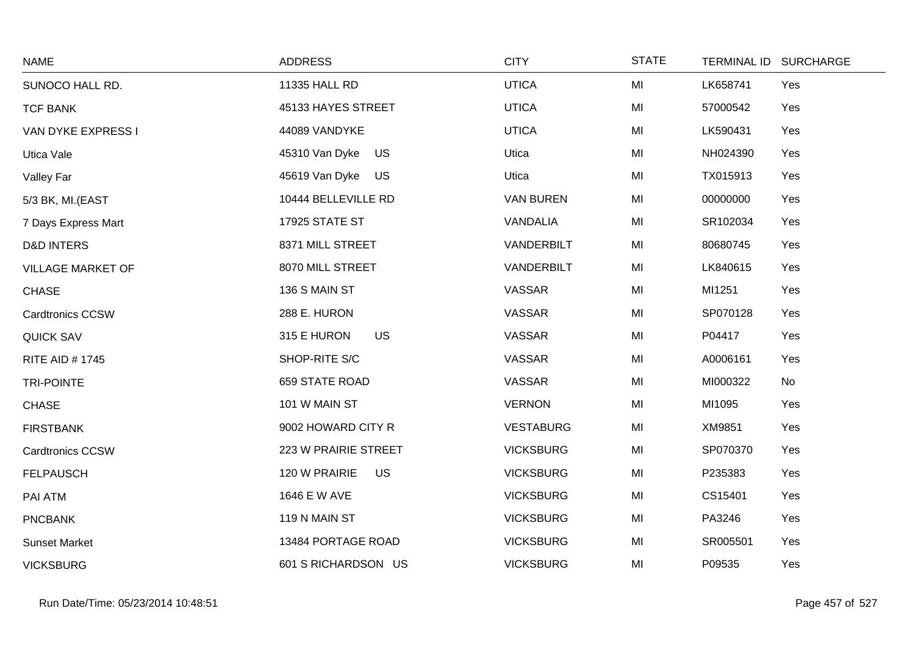| <b>NAME</b>              | <b>ADDRESS</b>             | <b>CITY</b>      | <b>STATE</b> | TERMINAL ID SURCHARGE |     |
|--------------------------|----------------------------|------------------|--------------|-----------------------|-----|
| SUNOCO HALL RD.          | 11335 HALL RD              | <b>UTICA</b>     | MI           | LK658741              | Yes |
| <b>TCF BANK</b>          | 45133 HAYES STREET         | <b>UTICA</b>     | MI           | 57000542              | Yes |
| VAN DYKE EXPRESS I       | 44089 VANDYKE              | <b>UTICA</b>     | MI           | LK590431              | Yes |
| Utica Vale               | 45310 Van Dyke<br>US       | Utica            | MI           | NH024390              | Yes |
| Valley Far               | 45619 Van Dyke US          | Utica            | MI           | TX015913              | Yes |
| 5/3 BK, MI.(EAST         | 10444 BELLEVILLE RD        | <b>VAN BUREN</b> | MI           | 00000000              | Yes |
| 7 Days Express Mart      | 17925 STATE ST             | VANDALIA         | MI           | SR102034              | Yes |
| <b>D&amp;D INTERS</b>    | 8371 MILL STREET           | VANDERBILT       | MI           | 80680745              | Yes |
| <b>VILLAGE MARKET OF</b> | 8070 MILL STREET           | VANDERBILT       | MI           | LK840615              | Yes |
| <b>CHASE</b>             | 136 S MAIN ST              | VASSAR           | MI           | MI1251                | Yes |
| <b>Cardtronics CCSW</b>  | 288 E. HURON               | <b>VASSAR</b>    | MI           | SP070128              | Yes |
| <b>QUICK SAV</b>         | 315 E HURON<br><b>US</b>   | VASSAR           | MI           | P04417                | Yes |
| <b>RITE AID #1745</b>    | SHOP-RITE S/C              | VASSAR           | MI           | A0006161              | Yes |
| <b>TRI-POINTE</b>        | 659 STATE ROAD             | <b>VASSAR</b>    | MI           | MI000322              | No  |
| <b>CHASE</b>             | 101 W MAIN ST              | <b>VERNON</b>    | MI           | MI1095                | Yes |
| <b>FIRSTBANK</b>         | 9002 HOWARD CITY R         | <b>VESTABURG</b> | MI           | XM9851                | Yes |
| <b>Cardtronics CCSW</b>  | 223 W PRAIRIE STREET       | <b>VICKSBURG</b> | MI           | SP070370              | Yes |
| <b>FELPAUSCH</b>         | 120 W PRAIRIE<br><b>US</b> | <b>VICKSBURG</b> | MI           | P235383               | Yes |
| PAI ATM                  | 1646 E W AVE               | <b>VICKSBURG</b> | MI           | CS15401               | Yes |
| <b>PNCBANK</b>           | 119 N MAIN ST              | <b>VICKSBURG</b> | MI           | PA3246                | Yes |
| <b>Sunset Market</b>     | 13484 PORTAGE ROAD         | <b>VICKSBURG</b> | MI           | SR005501              | Yes |
| <b>VICKSBURG</b>         | 601 S RICHARDSON US        | <b>VICKSBURG</b> | MI           | P09535                | Yes |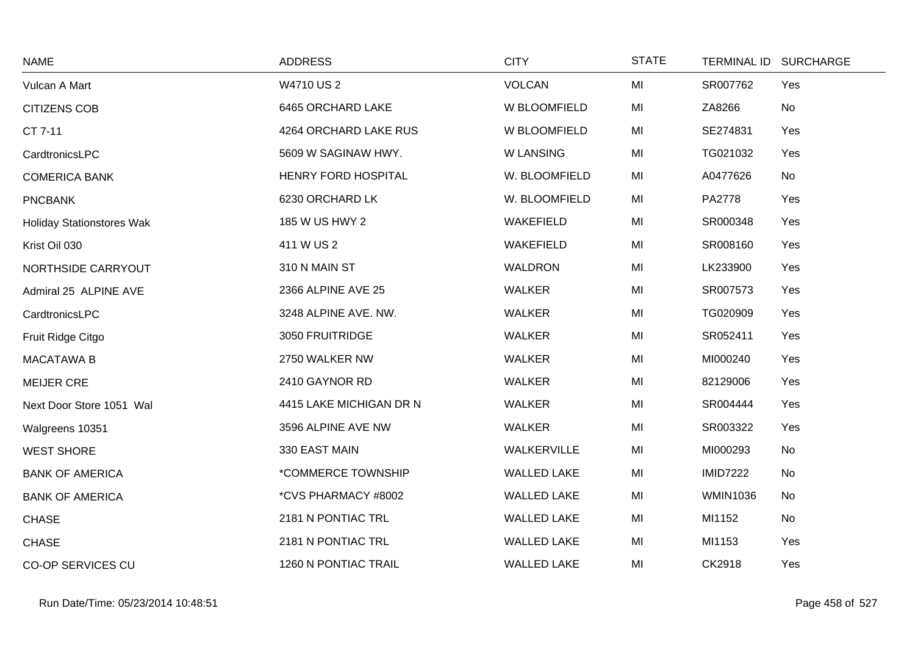| <b>NAME</b>                      | <b>ADDRESS</b>          | <b>CITY</b>        | <b>STATE</b> | <b>TERMINAL ID</b> | <b>SURCHARGE</b> |
|----------------------------------|-------------------------|--------------------|--------------|--------------------|------------------|
| Vulcan A Mart                    | W4710 US 2              | VOLCAN             | MI           | SR007762           | Yes              |
| <b>CITIZENS COB</b>              | 6465 ORCHARD LAKE       | W BLOOMFIELD       | MI           | ZA8266             | No               |
| CT 7-11                          | 4264 ORCHARD LAKE RUS   | W BLOOMFIELD       | MI           | SE274831           | Yes              |
| CardtronicsLPC                   | 5609 W SAGINAW HWY.     | <b>W LANSING</b>   | MI           | TG021032           | Yes              |
| <b>COMERICA BANK</b>             | HENRY FORD HOSPITAL     | W. BLOOMFIELD      | MI           | A0477626           | No               |
| <b>PNCBANK</b>                   | 6230 ORCHARD LK         | W. BLOOMFIELD      | MI           | PA2778             | Yes              |
| <b>Holiday Stationstores Wak</b> | 185 W US HWY 2          | WAKEFIELD          | MI           | SR000348           | Yes              |
| Krist Oil 030                    | 411 W US 2              | <b>WAKEFIELD</b>   | MI           | SR008160           | Yes              |
| NORTHSIDE CARRYOUT               | 310 N MAIN ST           | <b>WALDRON</b>     | MI           | LK233900           | Yes              |
| Admiral 25 ALPINE AVE            | 2366 ALPINE AVE 25      | <b>WALKER</b>      | MI           | SR007573           | Yes              |
| CardtronicsLPC                   | 3248 ALPINE AVE. NW.    | <b>WALKER</b>      | MI           | TG020909           | Yes              |
| Fruit Ridge Citgo                | 3050 FRUITRIDGE         | <b>WALKER</b>      | MI           | SR052411           | Yes              |
| <b>MACATAWA B</b>                | 2750 WALKER NW          | <b>WALKER</b>      | MI           | MI000240           | Yes              |
| <b>MEIJER CRE</b>                | 2410 GAYNOR RD          | <b>WALKER</b>      | MI           | 82129006           | Yes              |
| Next Door Store 1051 Wal         | 4415 LAKE MICHIGAN DR N | <b>WALKER</b>      | MI           | SR004444           | Yes              |
| Walgreens 10351                  | 3596 ALPINE AVE NW      | <b>WALKER</b>      | MI           | SR003322           | Yes              |
| <b>WEST SHORE</b>                | 330 EAST MAIN           | WALKERVILLE        | MI           | MI000293           | No               |
| <b>BANK OF AMERICA</b>           | *COMMERCE TOWNSHIP      | <b>WALLED LAKE</b> | MI           | <b>IMID7222</b>    | No               |
| <b>BANK OF AMERICA</b>           | *CVS PHARMACY #8002     | <b>WALLED LAKE</b> | MI           | <b>WMIN1036</b>    | No               |
| <b>CHASE</b>                     | 2181 N PONTIAC TRL      | <b>WALLED LAKE</b> | MI           | MI1152             | No               |
| <b>CHASE</b>                     | 2181 N PONTIAC TRL      | <b>WALLED LAKE</b> | MI           | MI1153             | Yes              |
| <b>CO-OP SERVICES CU</b>         | 1260 N PONTIAC TRAIL    | <b>WALLED LAKE</b> | MI           | CK2918             | Yes              |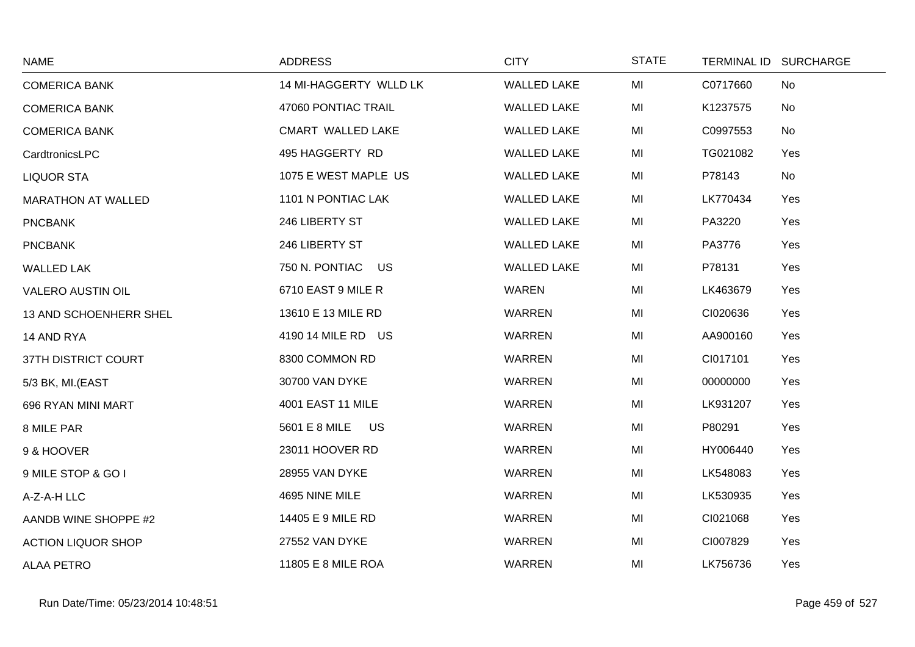| <b>NAME</b>               | <b>ADDRESS</b>             | <b>CITY</b>        | <b>STATE</b> | <b>TERMINAL ID</b> | <b>SURCHARGE</b> |
|---------------------------|----------------------------|--------------------|--------------|--------------------|------------------|
| <b>COMERICA BANK</b>      | 14 MI-HAGGERTY WLLD LK     | <b>WALLED LAKE</b> | MI           | C0717660           | No               |
| <b>COMERICA BANK</b>      | 47060 PONTIAC TRAIL        | <b>WALLED LAKE</b> | MI           | K1237575           | No               |
| <b>COMERICA BANK</b>      | CMART WALLED LAKE          | <b>WALLED LAKE</b> | MI           | C0997553           | No               |
| CardtronicsLPC            | 495 HAGGERTY RD            | <b>WALLED LAKE</b> | MI           | TG021082           | Yes              |
| <b>LIQUOR STA</b>         | 1075 E WEST MAPLE US       | <b>WALLED LAKE</b> | MI           | P78143             | No               |
| <b>MARATHON AT WALLED</b> | 1101 N PONTIAC LAK         | <b>WALLED LAKE</b> | MI           | LK770434           | Yes              |
| <b>PNCBANK</b>            | 246 LIBERTY ST             | <b>WALLED LAKE</b> | MI           | PA3220             | Yes              |
| <b>PNCBANK</b>            | 246 LIBERTY ST             | <b>WALLED LAKE</b> | MI           | PA3776             | Yes              |
| <b>WALLED LAK</b>         | 750 N. PONTIAC<br>US       | <b>WALLED LAKE</b> | MI           | P78131             | Yes              |
| <b>VALERO AUSTIN OIL</b>  | 6710 EAST 9 MILE R         | <b>WAREN</b>       | MI           | LK463679           | Yes              |
| 13 AND SCHOENHERR SHEL    | 13610 E 13 MILE RD         | WARREN             | MI           | CI020636           | Yes              |
| 14 AND RYA                | 4190 14 MILE RD US         | <b>WARREN</b>      | MI           | AA900160           | Yes              |
| 37TH DISTRICT COURT       | 8300 COMMON RD             | <b>WARREN</b>      | MI           | CI017101           | Yes              |
| 5/3 BK, MI.(EAST          | 30700 VAN DYKE             | <b>WARREN</b>      | MI           | 00000000           | Yes              |
| 696 RYAN MINI MART        | 4001 EAST 11 MILE          | <b>WARREN</b>      | MI           | LK931207           | Yes              |
| 8 MILE PAR                | 5601 E 8 MILE<br><b>US</b> | WARREN             | MI           | P80291             | Yes              |
| 9 & HOOVER                | 23011 HOOVER RD            | <b>WARREN</b>      | MI           | HY006440           | Yes              |
| 9 MILE STOP & GO I        | 28955 VAN DYKE             | <b>WARREN</b>      | MI           | LK548083           | Yes              |
| A-Z-A-H LLC               | 4695 NINE MILE             | <b>WARREN</b>      | MI           | LK530935           | Yes              |
| AANDB WINE SHOPPE #2      | 14405 E 9 MILE RD          | <b>WARREN</b>      | MI           | CI021068           | Yes              |
| <b>ACTION LIQUOR SHOP</b> | 27552 VAN DYKE             | WARREN             | MI           | CI007829           | Yes              |
| <b>ALAA PETRO</b>         | 11805 E 8 MILE ROA         | <b>WARREN</b>      | MI           | LK756736           | Yes              |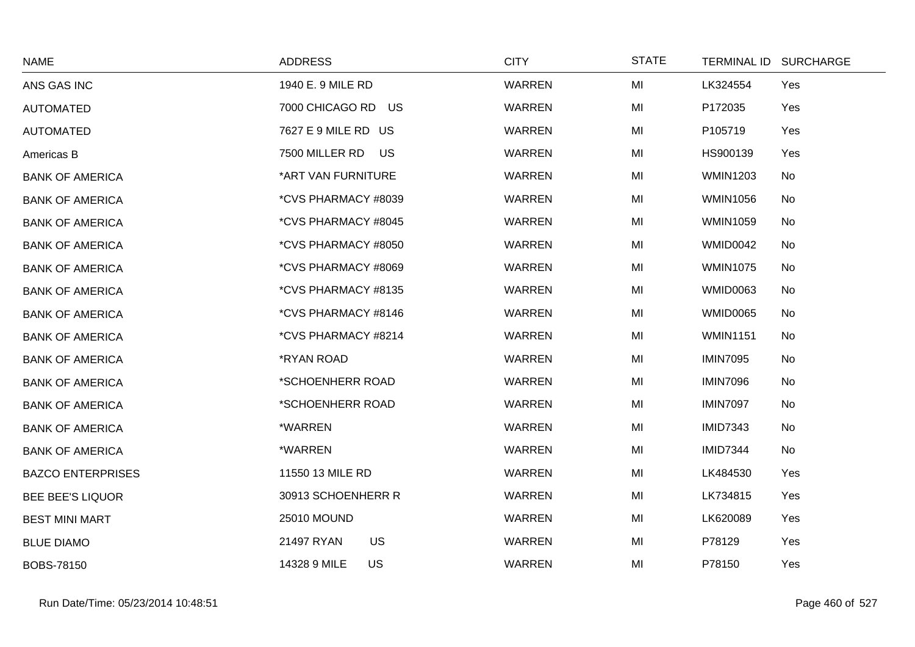| <b>NAME</b>              | <b>ADDRESS</b>            | <b>CITY</b>   | <b>STATE</b> | TERMINAL ID SURCHARGE |     |
|--------------------------|---------------------------|---------------|--------------|-----------------------|-----|
| ANS GAS INC              | 1940 E. 9 MILE RD         | <b>WARREN</b> | MI           | LK324554              | Yes |
| <b>AUTOMATED</b>         | 7000 CHICAGO RD US        | <b>WARREN</b> | MI           | P172035               | Yes |
| <b>AUTOMATED</b>         | 7627 E 9 MILE RD US       | <b>WARREN</b> | MI           | P105719               | Yes |
| Americas B               | 7500 MILLER RD US         | <b>WARREN</b> | MI           | HS900139              | Yes |
| <b>BANK OF AMERICA</b>   | *ART VAN FURNITURE        | <b>WARREN</b> | MI           | <b>WMIN1203</b>       | No  |
| <b>BANK OF AMERICA</b>   | *CVS PHARMACY #8039       | <b>WARREN</b> | MI           | <b>WMIN1056</b>       | No  |
| <b>BANK OF AMERICA</b>   | *CVS PHARMACY #8045       | <b>WARREN</b> | MI           | <b>WMIN1059</b>       | No  |
| <b>BANK OF AMERICA</b>   | *CVS PHARMACY #8050       | <b>WARREN</b> | MI           | WMID0042              | No  |
| <b>BANK OF AMERICA</b>   | *CVS PHARMACY #8069       | <b>WARREN</b> | MI           | <b>WMIN1075</b>       | No  |
| <b>BANK OF AMERICA</b>   | *CVS PHARMACY #8135       | <b>WARREN</b> | MI           | <b>WMID0063</b>       | No  |
| <b>BANK OF AMERICA</b>   | *CVS PHARMACY #8146       | <b>WARREN</b> | MI           | <b>WMID0065</b>       | No  |
| <b>BANK OF AMERICA</b>   | *CVS PHARMACY #8214       | <b>WARREN</b> | MI           | <b>WMIN1151</b>       | No  |
| <b>BANK OF AMERICA</b>   | *RYAN ROAD                | WARREN        | MI           | <b>IMIN7095</b>       | No  |
| <b>BANK OF AMERICA</b>   | *SCHOENHERR ROAD          | <b>WARREN</b> | MI           | <b>IMIN7096</b>       | No  |
| <b>BANK OF AMERICA</b>   | *SCHOENHERR ROAD          | <b>WARREN</b> | MI           | <b>IMIN7097</b>       | No  |
| <b>BANK OF AMERICA</b>   | *WARREN                   | <b>WARREN</b> | MI           | <b>IMID7343</b>       | No  |
| <b>BANK OF AMERICA</b>   | *WARREN                   | <b>WARREN</b> | MI           | <b>IMID7344</b>       | No  |
| <b>BAZCO ENTERPRISES</b> | 11550 13 MILE RD          | WARREN        | MI           | LK484530              | Yes |
| <b>BEE BEE'S LIQUOR</b>  | 30913 SCHOENHERR R        | WARREN        | MI           | LK734815              | Yes |
| <b>BEST MINI MART</b>    | <b>25010 MOUND</b>        | <b>WARREN</b> | MI           | LK620089              | Yes |
| <b>BLUE DIAMO</b>        | US<br>21497 RYAN          | WARREN        | MI           | P78129                | Yes |
| BOBS-78150               | 14328 9 MILE<br><b>US</b> | WARREN        | MI           | P78150                | Yes |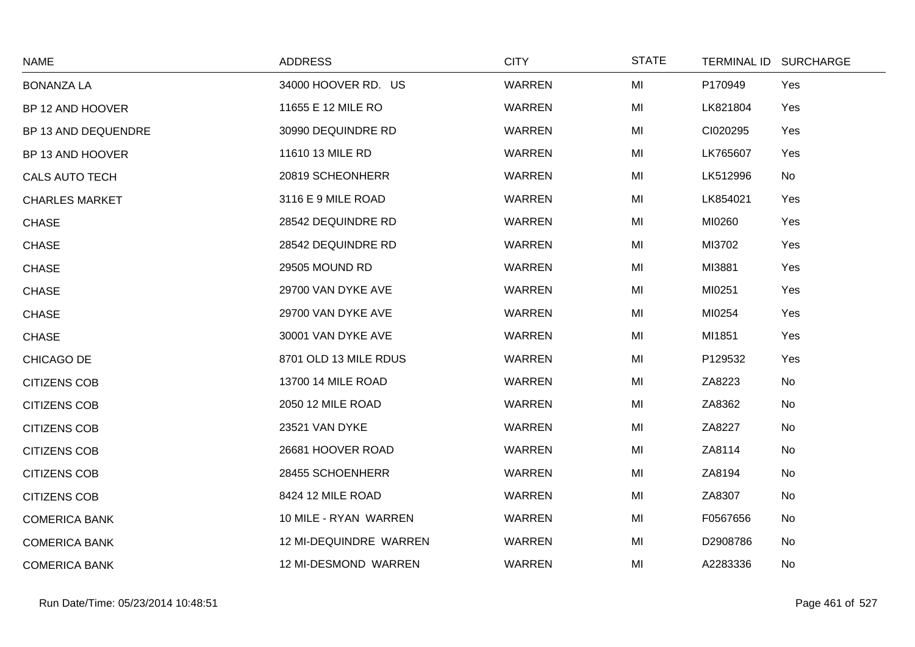| <b>NAME</b>           | <b>ADDRESS</b>         | <b>CITY</b>   | <b>STATE</b> |          | TERMINAL ID SURCHARGE |
|-----------------------|------------------------|---------------|--------------|----------|-----------------------|
| <b>BONANZA LA</b>     | 34000 HOOVER RD. US    | <b>WARREN</b> | MI           | P170949  | Yes                   |
| BP 12 AND HOOVER      | 11655 E 12 MILE RO     | <b>WARREN</b> | MI           | LK821804 | Yes                   |
| BP 13 AND DEQUENDRE   | 30990 DEQUINDRE RD     | <b>WARREN</b> | MI           | CI020295 | Yes                   |
| BP 13 AND HOOVER      | 11610 13 MILE RD       | <b>WARREN</b> | MI           | LK765607 | Yes                   |
| <b>CALS AUTO TECH</b> | 20819 SCHEONHERR       | <b>WARREN</b> | MI           | LK512996 | No                    |
| <b>CHARLES MARKET</b> | 3116 E 9 MILE ROAD     | WARREN        | MI           | LK854021 | Yes                   |
| <b>CHASE</b>          | 28542 DEQUINDRE RD     | <b>WARREN</b> | MI           | MI0260   | Yes                   |
| <b>CHASE</b>          | 28542 DEQUINDRE RD     | <b>WARREN</b> | MI           | MI3702   | Yes                   |
| <b>CHASE</b>          | 29505 MOUND RD         | <b>WARREN</b> | MI           | MI3881   | Yes                   |
| <b>CHASE</b>          | 29700 VAN DYKE AVE     | <b>WARREN</b> | MI           | MI0251   | Yes                   |
| <b>CHASE</b>          | 29700 VAN DYKE AVE     | WARREN        | MI           | MI0254   | Yes                   |
| <b>CHASE</b>          | 30001 VAN DYKE AVE     | <b>WARREN</b> | MI           | MI1851   | Yes                   |
| CHICAGO DE            | 8701 OLD 13 MILE RDUS  | <b>WARREN</b> | MI           | P129532  | Yes                   |
| <b>CITIZENS COB</b>   | 13700 14 MILE ROAD     | <b>WARREN</b> | MI           | ZA8223   | No                    |
| <b>CITIZENS COB</b>   | 2050 12 MILE ROAD      | <b>WARREN</b> | MI           | ZA8362   | No                    |
| <b>CITIZENS COB</b>   | 23521 VAN DYKE         | <b>WARREN</b> | MI           | ZA8227   | <b>No</b>             |
| <b>CITIZENS COB</b>   | 26681 HOOVER ROAD      | <b>WARREN</b> | MI           | ZA8114   | No                    |
| <b>CITIZENS COB</b>   | 28455 SCHOENHERR       | <b>WARREN</b> | MI           | ZA8194   | No                    |
| <b>CITIZENS COB</b>   | 8424 12 MILE ROAD      | WARREN        | MI           | ZA8307   | No                    |
| <b>COMERICA BANK</b>  | 10 MILE - RYAN WARREN  | <b>WARREN</b> | MI           | F0567656 | No                    |
| <b>COMERICA BANK</b>  | 12 MI-DEQUINDRE WARREN | <b>WARREN</b> | MI           | D2908786 | No                    |
| <b>COMERICA BANK</b>  | 12 MI-DESMOND WARREN   | <b>WARREN</b> | MI           | A2283336 | No                    |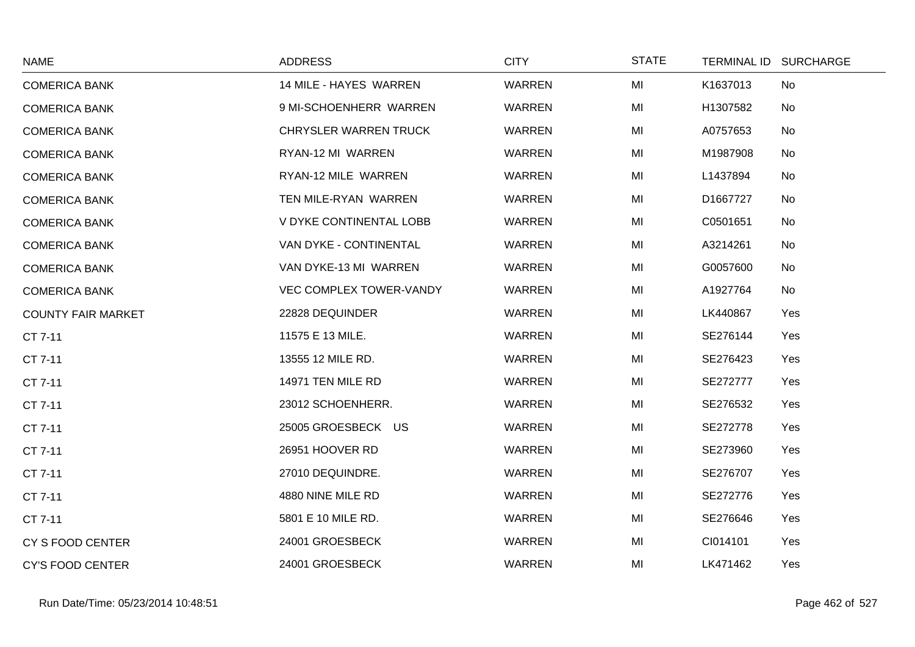| <b>NAME</b>               | <b>ADDRESS</b>                 | <b>CITY</b> | <b>STATE</b> |          | TERMINAL ID SURCHARGE |
|---------------------------|--------------------------------|-------------|--------------|----------|-----------------------|
| <b>COMERICA BANK</b>      | 14 MILE - HAYES WARREN         | WARREN      | MI           | K1637013 | No                    |
| <b>COMERICA BANK</b>      | 9 MI-SCHOENHERR WARREN         | WARREN      | MI           | H1307582 | No                    |
| <b>COMERICA BANK</b>      | <b>CHRYSLER WARREN TRUCK</b>   | WARREN      | MI           | A0757653 | No                    |
| <b>COMERICA BANK</b>      | RYAN-12 MI WARREN              | WARREN      | MI           | M1987908 | No                    |
| <b>COMERICA BANK</b>      | RYAN-12 MILE WARREN            | WARREN      | MI           | L1437894 | No                    |
| <b>COMERICA BANK</b>      | TEN MILE-RYAN WARREN           | WARREN      | MI           | D1667727 | No                    |
| <b>COMERICA BANK</b>      | V DYKE CONTINENTAL LOBB        | WARREN      | MI           | C0501651 | No                    |
| <b>COMERICA BANK</b>      | VAN DYKE - CONTINENTAL         | WARREN      | MI           | A3214261 | No                    |
| <b>COMERICA BANK</b>      | VAN DYKE-13 MI WARREN          | WARREN      | MI           | G0057600 | No                    |
| <b>COMERICA BANK</b>      | <b>VEC COMPLEX TOWER-VANDY</b> | WARREN      | MI           | A1927764 | No                    |
| <b>COUNTY FAIR MARKET</b> | 22828 DEQUINDER                | WARREN      | MI           | LK440867 | Yes                   |
| CT 7-11                   | 11575 E 13 MILE.               | WARREN      | MI           | SE276144 | Yes                   |
| CT 7-11                   | 13555 12 MILE RD.              | WARREN      | MI           | SE276423 | Yes                   |
| CT 7-11                   | 14971 TEN MILE RD              | WARREN      | MI           | SE272777 | Yes                   |
| CT 7-11                   | 23012 SCHOENHERR.              | WARREN      | MI           | SE276532 | Yes                   |
| CT 7-11                   | 25005 GROESBECK US             | WARREN      | MI           | SE272778 | Yes                   |
| CT 7-11                   | 26951 HOOVER RD                | WARREN      | MI           | SE273960 | Yes                   |
| CT 7-11                   | 27010 DEQUINDRE.               | WARREN      | MI           | SE276707 | Yes                   |
| CT 7-11                   | 4880 NINE MILE RD              | WARREN      | MI           | SE272776 | Yes                   |
| CT 7-11                   | 5801 E 10 MILE RD.             | WARREN      | MI           | SE276646 | Yes                   |
| CY S FOOD CENTER          | 24001 GROESBECK                | WARREN      | MI           | CI014101 | Yes                   |
| <b>CY'S FOOD CENTER</b>   | 24001 GROESBECK                | WARREN      | MI           | LK471462 | Yes                   |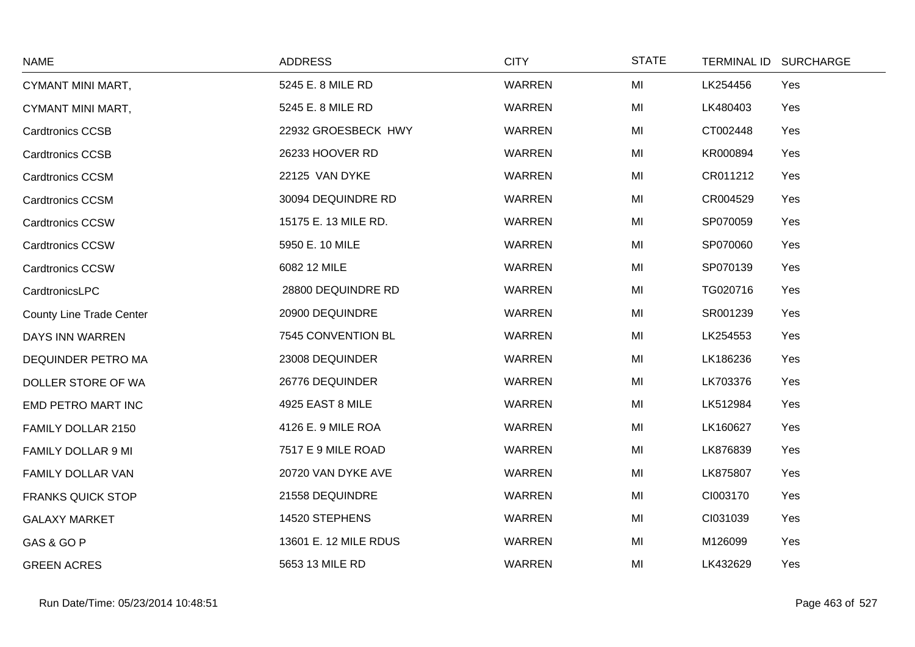| <b>NAME</b>                     | <b>ADDRESS</b>        | <b>CITY</b>   | <b>STATE</b> | <b>TERMINAL ID</b> | <b>SURCHARGE</b> |
|---------------------------------|-----------------------|---------------|--------------|--------------------|------------------|
| CYMANT MINI MART,               | 5245 E. 8 MILE RD     | <b>WARREN</b> | MI           | LK254456           | Yes              |
| CYMANT MINI MART,               | 5245 E. 8 MILE RD     | <b>WARREN</b> | MI           | LK480403           | Yes              |
| <b>Cardtronics CCSB</b>         | 22932 GROESBECK HWY   | <b>WARREN</b> | MI           | CT002448           | Yes              |
| <b>Cardtronics CCSB</b>         | 26233 HOOVER RD       | <b>WARREN</b> | MI           | KR000894           | Yes              |
| <b>Cardtronics CCSM</b>         | 22125 VAN DYKE        | WARREN        | MI           | CR011212           | Yes              |
| <b>Cardtronics CCSM</b>         | 30094 DEQUINDRE RD    | <b>WARREN</b> | MI           | CR004529           | Yes              |
| <b>Cardtronics CCSW</b>         | 15175 E. 13 MILE RD.  | <b>WARREN</b> | MI           | SP070059           | Yes              |
| <b>Cardtronics CCSW</b>         | 5950 E. 10 MILE       | <b>WARREN</b> | MI           | SP070060           | Yes              |
| <b>Cardtronics CCSW</b>         | 6082 12 MILE          | <b>WARREN</b> | MI           | SP070139           | Yes              |
| CardtronicsLPC                  | 28800 DEQUINDRE RD    | <b>WARREN</b> | MI           | TG020716           | Yes              |
| <b>County Line Trade Center</b> | 20900 DEQUINDRE       | <b>WARREN</b> | MI           | SR001239           | Yes              |
| DAYS INN WARREN                 | 7545 CONVENTION BL    | <b>WARREN</b> | MI           | LK254553           | Yes              |
| DEQUINDER PETRO MA              | 23008 DEQUINDER       | <b>WARREN</b> | MI           | LK186236           | Yes              |
| DOLLER STORE OF WA              | 26776 DEQUINDER       | <b>WARREN</b> | MI           | LK703376           | Yes              |
| EMD PETRO MART INC              | 4925 EAST 8 MILE      | <b>WARREN</b> | MI           | LK512984           | Yes              |
| FAMILY DOLLAR 2150              | 4126 E. 9 MILE ROA    | WARREN        | MI           | LK160627           | Yes              |
| FAMILY DOLLAR 9 MI              | 7517 E 9 MILE ROAD    | <b>WARREN</b> | MI           | LK876839           | Yes              |
| <b>FAMILY DOLLAR VAN</b>        | 20720 VAN DYKE AVE    | <b>WARREN</b> | MI           | LK875807           | Yes              |
| <b>FRANKS QUICK STOP</b>        | 21558 DEQUINDRE       | <b>WARREN</b> | MI           | CI003170           | Yes              |
| <b>GALAXY MARKET</b>            | 14520 STEPHENS        | <b>WARREN</b> | MI           | CI031039           | Yes              |
| GAS & GO P                      | 13601 E. 12 MILE RDUS | <b>WARREN</b> | MI           | M126099            | Yes              |
| <b>GREEN ACRES</b>              | 5653 13 MILE RD       | <b>WARREN</b> | MI           | LK432629           | Yes              |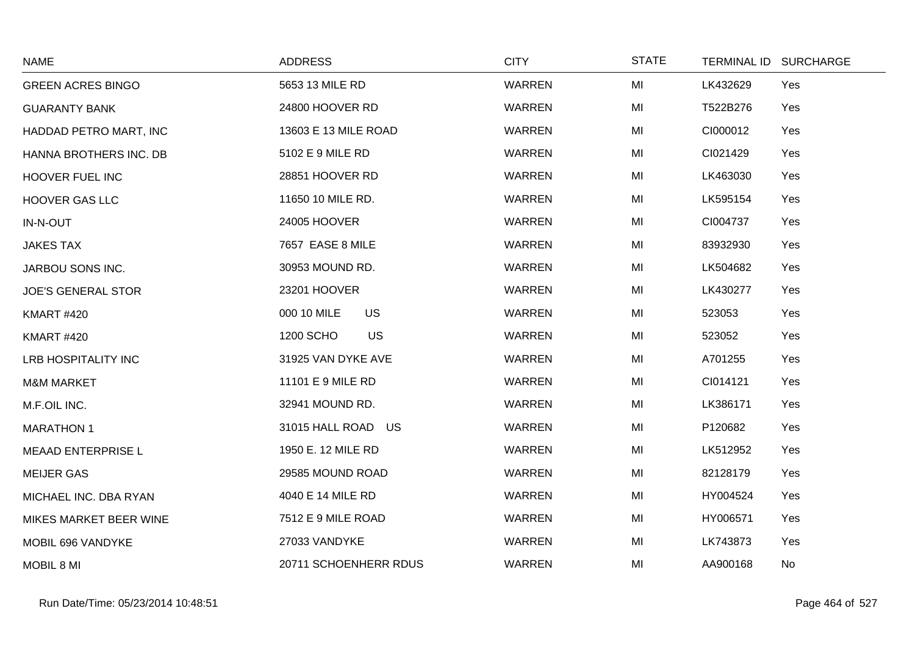| <b>NAME</b>               | <b>ADDRESS</b>           | <b>CITY</b>   | <b>STATE</b> | <b>TERMINAL ID</b> | <b>SURCHARGE</b> |
|---------------------------|--------------------------|---------------|--------------|--------------------|------------------|
| <b>GREEN ACRES BINGO</b>  | 5653 13 MILE RD          | <b>WARREN</b> | MI           | LK432629           | Yes              |
| <b>GUARANTY BANK</b>      | 24800 HOOVER RD          | <b>WARREN</b> | MI           | T522B276           | Yes              |
| HADDAD PETRO MART, INC    | 13603 E 13 MILE ROAD     | <b>WARREN</b> | MI           | CI000012           | Yes              |
| HANNA BROTHERS INC. DB    | 5102 E 9 MILE RD         | <b>WARREN</b> | MI           | CI021429           | Yes              |
| <b>HOOVER FUEL INC</b>    | 28851 HOOVER RD          | <b>WARREN</b> | MI           | LK463030           | Yes              |
| <b>HOOVER GAS LLC</b>     | 11650 10 MILE RD.        | <b>WARREN</b> | MI           | LK595154           | Yes              |
| IN-N-OUT                  | 24005 HOOVER             | <b>WARREN</b> | MI           | CI004737           | Yes              |
| <b>JAKES TAX</b>          | 7657 EASE 8 MILE         | <b>WARREN</b> | MI           | 83932930           | Yes              |
| JARBOU SONS INC.          | 30953 MOUND RD.          | <b>WARREN</b> | MI           | LK504682           | Yes              |
| <b>JOE'S GENERAL STOR</b> | 23201 HOOVER             | <b>WARREN</b> | MI           | LK430277           | Yes              |
| <b>KMART #420</b>         | <b>US</b><br>000 10 MILE | <b>WARREN</b> | MI           | 523053             | Yes              |
| <b>KMART #420</b>         | <b>US</b><br>1200 SCHO   | <b>WARREN</b> | MI           | 523052             | Yes              |
| LRB HOSPITALITY INC       | 31925 VAN DYKE AVE       | <b>WARREN</b> | MI           | A701255            | Yes              |
| <b>M&amp;M MARKET</b>     | 11101 E 9 MILE RD        | WARREN        | MI           | CI014121           | Yes              |
| M.F.OIL INC.              | 32941 MOUND RD.          | <b>WARREN</b> | MI           | LK386171           | Yes              |
| <b>MARATHON 1</b>         | 31015 HALL ROAD US       | WARREN        | MI           | P120682            | Yes              |
| <b>MEAAD ENTERPRISE L</b> | 1950 E. 12 MILE RD       | <b>WARREN</b> | MI           | LK512952           | Yes              |
| <b>MEIJER GAS</b>         | 29585 MOUND ROAD         | <b>WARREN</b> | MI           | 82128179           | Yes              |
| MICHAEL INC. DBA RYAN     | 4040 E 14 MILE RD        | <b>WARREN</b> | MI           | HY004524           | Yes              |
| MIKES MARKET BEER WINE    | 7512 E 9 MILE ROAD       | <b>WARREN</b> | MI           | HY006571           | Yes              |
| MOBIL 696 VANDYKE         | 27033 VANDYKE            | <b>WARREN</b> | MI           | LK743873           | Yes              |
| MOBIL 8 MI                | 20711 SCHOENHERR RDUS    | <b>WARREN</b> | MI           | AA900168           | No               |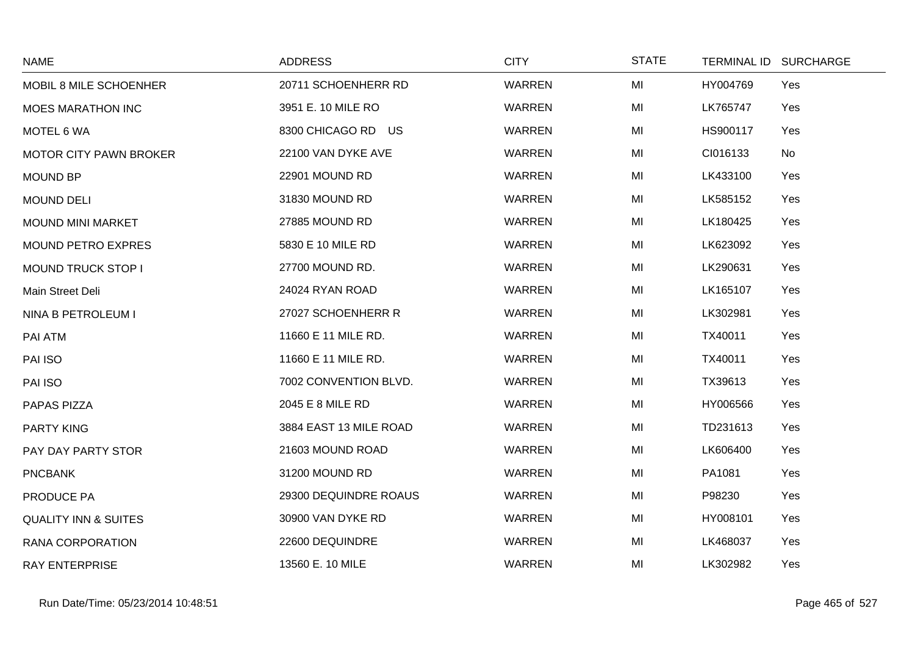| <b>NAME</b>                     | <b>ADDRESS</b>         | <b>CITY</b>   | <b>STATE</b> | <b>TERMINAL ID</b> | <b>SURCHARGE</b> |
|---------------------------------|------------------------|---------------|--------------|--------------------|------------------|
| MOBIL 8 MILE SCHOENHER          | 20711 SCHOENHERR RD    | <b>WARREN</b> | MI           | HY004769           | Yes              |
| <b>MOES MARATHON INC</b>        | 3951 E. 10 MILE RO     | <b>WARREN</b> | MI           | LK765747           | Yes              |
| MOTEL 6 WA                      | 8300 CHICAGO RD US     | <b>WARREN</b> | MI           | HS900117           | Yes              |
| <b>MOTOR CITY PAWN BROKER</b>   | 22100 VAN DYKE AVE     | <b>WARREN</b> | MI           | CI016133           | No               |
| <b>MOUND BP</b>                 | 22901 MOUND RD         | <b>WARREN</b> | MI           | LK433100           | Yes              |
| <b>MOUND DELI</b>               | 31830 MOUND RD         | <b>WARREN</b> | MI           | LK585152           | Yes              |
| <b>MOUND MINI MARKET</b>        | 27885 MOUND RD         | <b>WARREN</b> | MI           | LK180425           | Yes              |
| <b>MOUND PETRO EXPRES</b>       | 5830 E 10 MILE RD      | <b>WARREN</b> | MI           | LK623092           | Yes              |
| MOUND TRUCK STOP I              | 27700 MOUND RD.        | <b>WARREN</b> | MI           | LK290631           | Yes              |
| Main Street Deli                | 24024 RYAN ROAD        | <b>WARREN</b> | MI           | LK165107           | Yes              |
| NINA B PETROLEUM I              | 27027 SCHOENHERR R     | <b>WARREN</b> | MI           | LK302981           | Yes              |
| PAI ATM                         | 11660 E 11 MILE RD.    | <b>WARREN</b> | MI           | TX40011            | Yes              |
| PAI ISO                         | 11660 E 11 MILE RD.    | <b>WARREN</b> | MI           | TX40011            | Yes              |
| PAI ISO                         | 7002 CONVENTION BLVD.  | <b>WARREN</b> | MI           | TX39613            | Yes              |
| PAPAS PIZZA                     | 2045 E 8 MILE RD       | <b>WARREN</b> | MI           | HY006566           | Yes              |
| <b>PARTY KING</b>               | 3884 EAST 13 MILE ROAD | <b>WARREN</b> | MI           | TD231613           | Yes              |
| PAY DAY PARTY STOR              | 21603 MOUND ROAD       | <b>WARREN</b> | MI           | LK606400           | Yes              |
| <b>PNCBANK</b>                  | 31200 MOUND RD         | WARREN        | MI           | PA1081             | Yes              |
| PRODUCE PA                      | 29300 DEQUINDRE ROAUS  | <b>WARREN</b> | MI           | P98230             | Yes              |
| <b>QUALITY INN &amp; SUITES</b> | 30900 VAN DYKE RD      | <b>WARREN</b> | MI           | HY008101           | Yes              |
| RANA CORPORATION                | 22600 DEQUINDRE        | <b>WARREN</b> | MI           | LK468037           | Yes              |
| <b>RAY ENTERPRISE</b>           | 13560 E. 10 MILE       | <b>WARREN</b> | MI           | LK302982           | Yes              |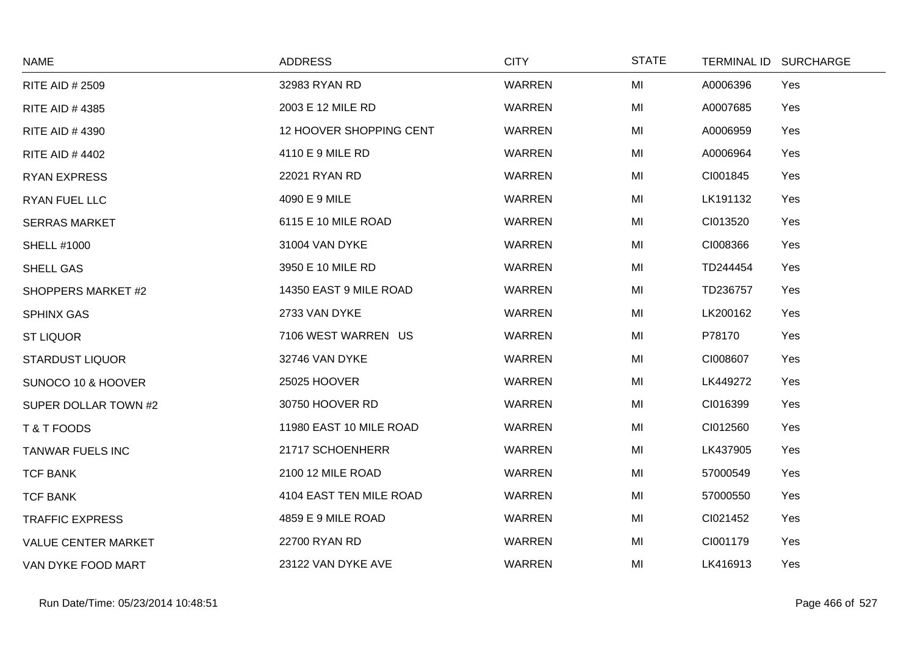| <b>NAME</b>                | <b>ADDRESS</b>          | <b>CITY</b>   | <b>STATE</b> |          | TERMINAL ID SURCHARGE |
|----------------------------|-------------------------|---------------|--------------|----------|-----------------------|
| <b>RITE AID # 2509</b>     | 32983 RYAN RD           | <b>WARREN</b> | MI           | A0006396 | Yes                   |
| <b>RITE AID #4385</b>      | 2003 E 12 MILE RD       | <b>WARREN</b> | MI           | A0007685 | Yes                   |
| <b>RITE AID #4390</b>      | 12 HOOVER SHOPPING CENT | <b>WARREN</b> | MI           | A0006959 | Yes                   |
| <b>RITE AID #4402</b>      | 4110 E 9 MILE RD        | <b>WARREN</b> | MI           | A0006964 | Yes                   |
| <b>RYAN EXPRESS</b>        | 22021 RYAN RD           | <b>WARREN</b> | MI           | CI001845 | Yes                   |
| RYAN FUEL LLC              | 4090 E 9 MILE           | <b>WARREN</b> | MI           | LK191132 | Yes                   |
| <b>SERRAS MARKET</b>       | 6115 E 10 MILE ROAD     | <b>WARREN</b> | MI           | CI013520 | Yes                   |
| <b>SHELL #1000</b>         | 31004 VAN DYKE          | <b>WARREN</b> | MI           | CI008366 | Yes                   |
| <b>SHELL GAS</b>           | 3950 E 10 MILE RD       | <b>WARREN</b> | MI           | TD244454 | Yes                   |
| SHOPPERS MARKET #2         | 14350 EAST 9 MILE ROAD  | <b>WARREN</b> | MI           | TD236757 | Yes                   |
| <b>SPHINX GAS</b>          | 2733 VAN DYKE           | <b>WARREN</b> | MI           | LK200162 | Yes                   |
| <b>ST LIQUOR</b>           | 7106 WEST WARREN US     | <b>WARREN</b> | MI           | P78170   | Yes                   |
| <b>STARDUST LIQUOR</b>     | 32746 VAN DYKE          | <b>WARREN</b> | MI           | CI008607 | Yes                   |
| SUNOCO 10 & HOOVER         | 25025 HOOVER            | <b>WARREN</b> | MI           | LK449272 | Yes                   |
| SUPER DOLLAR TOWN #2       | 30750 HOOVER RD         | <b>WARREN</b> | MI           | CI016399 | Yes                   |
| T & T FOODS                | 11980 EAST 10 MILE ROAD | <b>WARREN</b> | MI           | CI012560 | Yes                   |
| <b>TANWAR FUELS INC</b>    | 21717 SCHOENHERR        | <b>WARREN</b> | MI           | LK437905 | Yes                   |
| <b>TCF BANK</b>            | 2100 12 MILE ROAD       | <b>WARREN</b> | MI           | 57000549 | Yes                   |
| <b>TCF BANK</b>            | 4104 EAST TEN MILE ROAD | <b>WARREN</b> | MI           | 57000550 | Yes                   |
| <b>TRAFFIC EXPRESS</b>     | 4859 E 9 MILE ROAD      | <b>WARREN</b> | MI           | CI021452 | Yes                   |
| <b>VALUE CENTER MARKET</b> | 22700 RYAN RD           | <b>WARREN</b> | MI           | CI001179 | Yes                   |
| VAN DYKE FOOD MART         | 23122 VAN DYKE AVE      | <b>WARREN</b> | MI           | LK416913 | Yes                   |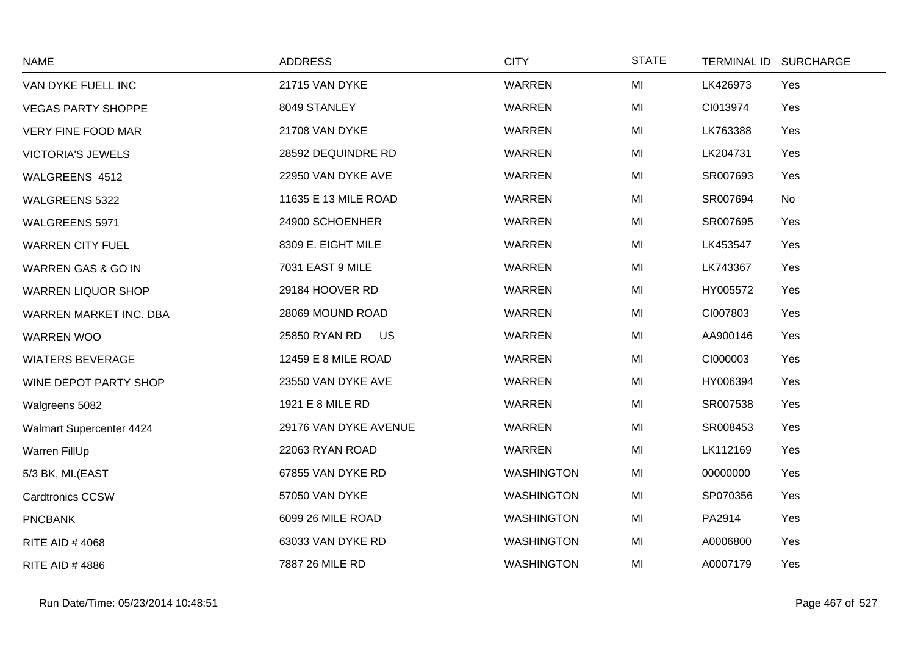| <b>NAME</b>               | <b>ADDRESS</b>        | <b>CITY</b>       | <b>STATE</b> | TERMINAL ID SURCHARGE |
|---------------------------|-----------------------|-------------------|--------------|-----------------------|
| VAN DYKE FUELL INC        | 21715 VAN DYKE        | <b>WARREN</b>     | MI           | LK426973<br>Yes       |
| <b>VEGAS PARTY SHOPPE</b> | 8049 STANLEY          | <b>WARREN</b>     | MI           | CI013974<br>Yes       |
| <b>VERY FINE FOOD MAR</b> | 21708 VAN DYKE        | <b>WARREN</b>     | MI           | LK763388<br>Yes       |
| <b>VICTORIA'S JEWELS</b>  | 28592 DEQUINDRE RD    | WARREN            | MI           | LK204731<br>Yes       |
| WALGREENS 4512            | 22950 VAN DYKE AVE    | WARREN            | MI           | SR007693<br>Yes       |
| WALGREENS 5322            | 11635 E 13 MILE ROAD  | <b>WARREN</b>     | MI           | No<br>SR007694        |
| WALGREENS 5971            | 24900 SCHOENHER       | <b>WARREN</b>     | MI           | SR007695<br>Yes       |
| <b>WARREN CITY FUEL</b>   | 8309 E. EIGHT MILE    | <b>WARREN</b>     | MI           | LK453547<br>Yes       |
| WARREN GAS & GO IN        | 7031 EAST 9 MILE      | <b>WARREN</b>     | MI           | LK743367<br>Yes       |
| <b>WARREN LIQUOR SHOP</b> | 29184 HOOVER RD       | WARREN            | MI           | HY005572<br>Yes       |
| WARREN MARKET INC. DBA    | 28069 MOUND ROAD      | WARREN            | MI           | CI007803<br>Yes       |
| <b>WARREN WOO</b>         | 25850 RYAN RD<br>US   | <b>WARREN</b>     | MI           | AA900146<br>Yes       |
| <b>WIATERS BEVERAGE</b>   | 12459 E 8 MILE ROAD   | <b>WARREN</b>     | MI           | Yes<br>CI000003       |
| WINE DEPOT PARTY SHOP     | 23550 VAN DYKE AVE    | <b>WARREN</b>     | MI           | HY006394<br>Yes       |
| Walgreens 5082            | 1921 E 8 MILE RD      | <b>WARREN</b>     | MI           | SR007538<br>Yes       |
| Walmart Supercenter 4424  | 29176 VAN DYKE AVENUE | <b>WARREN</b>     | MI           | SR008453<br>Yes       |
| Warren FillUp             | 22063 RYAN ROAD       | <b>WARREN</b>     | MI           | LK112169<br>Yes       |
| 5/3 BK, MI.(EAST          | 67855 VAN DYKE RD     | <b>WASHINGTON</b> | MI           | 00000000<br>Yes       |
| <b>Cardtronics CCSW</b>   | 57050 VAN DYKE        | <b>WASHINGTON</b> | MI           | SP070356<br>Yes       |
| <b>PNCBANK</b>            | 6099 26 MILE ROAD     | <b>WASHINGTON</b> | MI           | PA2914<br>Yes         |
| RITE AID #4068            | 63033 VAN DYKE RD     | <b>WASHINGTON</b> | MI           | A0006800<br>Yes       |
| <b>RITE AID #4886</b>     | 7887 26 MILE RD       | <b>WASHINGTON</b> | MI           | A0007179<br>Yes       |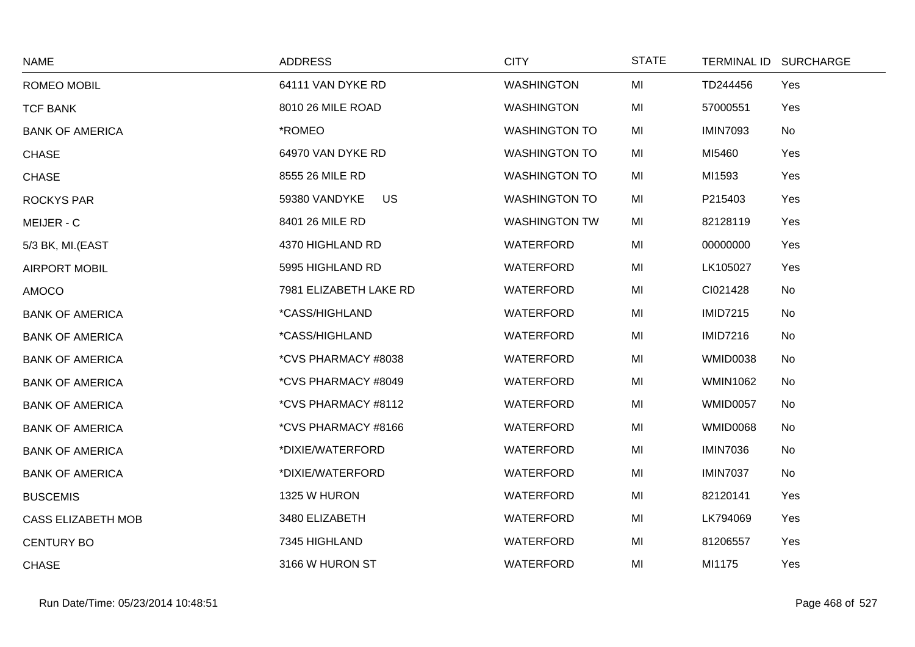| <b>NAME</b>               | <b>ADDRESS</b>         | <b>CITY</b>          | <b>STATE</b> |                 | TERMINAL ID SURCHARGE |
|---------------------------|------------------------|----------------------|--------------|-----------------|-----------------------|
| ROMEO MOBIL               | 64111 VAN DYKE RD      | <b>WASHINGTON</b>    | MI           | TD244456        | Yes                   |
| <b>TCF BANK</b>           | 8010 26 MILE ROAD      | <b>WASHINGTON</b>    | MI           | 57000551        | Yes                   |
| <b>BANK OF AMERICA</b>    | *ROMEO                 | <b>WASHINGTON TO</b> | MI           | <b>IMIN7093</b> | No                    |
| <b>CHASE</b>              | 64970 VAN DYKE RD      | <b>WASHINGTON TO</b> | MI           | MI5460          | Yes                   |
| <b>CHASE</b>              | 8555 26 MILE RD        | <b>WASHINGTON TO</b> | MI           | MI1593          | Yes                   |
| <b>ROCKYS PAR</b>         | US<br>59380 VANDYKE    | <b>WASHINGTON TO</b> | MI           | P215403         | Yes                   |
| MEIJER - C                | 8401 26 MILE RD        | <b>WASHINGTON TW</b> | MI           | 82128119        | Yes                   |
| 5/3 BK, MI.(EAST          | 4370 HIGHLAND RD       | <b>WATERFORD</b>     | MI           | 00000000        | Yes                   |
| <b>AIRPORT MOBIL</b>      | 5995 HIGHLAND RD       | <b>WATERFORD</b>     | MI           | LK105027        | Yes                   |
| AMOCO                     | 7981 ELIZABETH LAKE RD | WATERFORD            | MI           | CI021428        | No                    |
| <b>BANK OF AMERICA</b>    | *CASS/HIGHLAND         | <b>WATERFORD</b>     | MI           | <b>IMID7215</b> | No                    |
| <b>BANK OF AMERICA</b>    | *CASS/HIGHLAND         | <b>WATERFORD</b>     | MI           | <b>IMID7216</b> | No                    |
| <b>BANK OF AMERICA</b>    | *CVS PHARMACY #8038    | WATERFORD            | MI           | WMID0038        | No                    |
| <b>BANK OF AMERICA</b>    | *CVS PHARMACY #8049    | <b>WATERFORD</b>     | MI           | <b>WMIN1062</b> | No                    |
| <b>BANK OF AMERICA</b>    | *CVS PHARMACY #8112    | <b>WATERFORD</b>     | MI           | <b>WMID0057</b> | No                    |
| <b>BANK OF AMERICA</b>    | *CVS PHARMACY #8166    | <b>WATERFORD</b>     | MI           | WMID0068        | No                    |
| <b>BANK OF AMERICA</b>    | *DIXIE/WATERFORD       | <b>WATERFORD</b>     | MI           | <b>IMIN7036</b> | No                    |
| <b>BANK OF AMERICA</b>    | *DIXIE/WATERFORD       | <b>WATERFORD</b>     | MI           | <b>IMIN7037</b> | No                    |
| <b>BUSCEMIS</b>           | 1325 W HURON           | <b>WATERFORD</b>     | MI           | 82120141        | Yes                   |
| <b>CASS ELIZABETH MOB</b> | 3480 ELIZABETH         | WATERFORD            | MI           | LK794069        | Yes                   |
| <b>CENTURY BO</b>         | 7345 HIGHLAND          | <b>WATERFORD</b>     | MI           | 81206557        | Yes                   |
| <b>CHASE</b>              | 3166 W HURON ST        | <b>WATERFORD</b>     | MI           | MI1175          | Yes                   |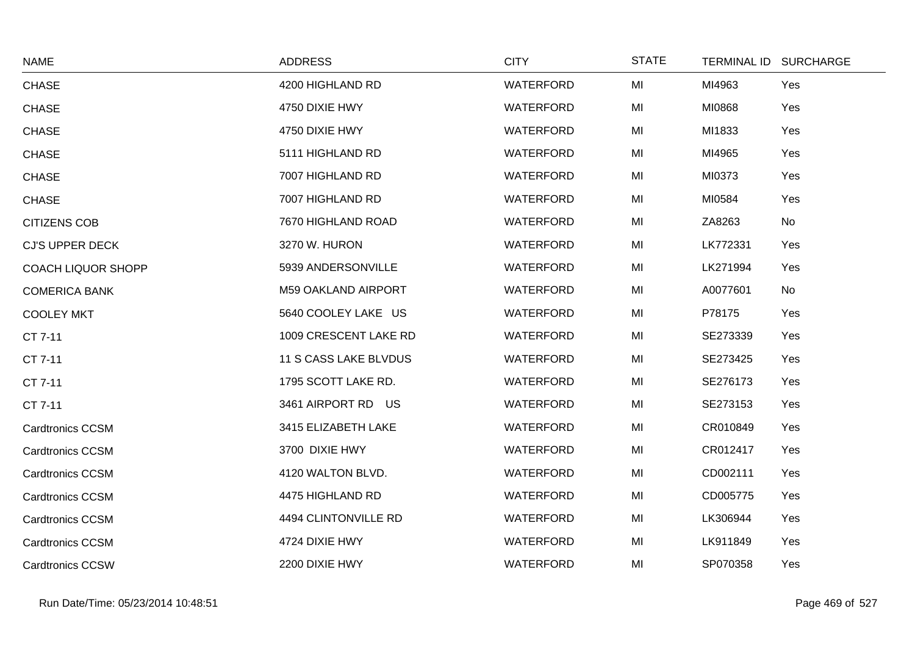| <b>NAME</b>               | <b>ADDRESS</b>             | <b>CITY</b>      | <b>STATE</b> | TERMINAL ID SURCHARGE |           |
|---------------------------|----------------------------|------------------|--------------|-----------------------|-----------|
| <b>CHASE</b>              | 4200 HIGHLAND RD           | <b>WATERFORD</b> | MI           | MI4963                | Yes       |
| <b>CHASE</b>              | 4750 DIXIE HWY             | WATERFORD        | MI           | MI0868                | Yes       |
| <b>CHASE</b>              | 4750 DIXIE HWY             | <b>WATERFORD</b> | MI           | MI1833                | Yes       |
| <b>CHASE</b>              | 5111 HIGHLAND RD           | <b>WATERFORD</b> | MI           | MI4965                | Yes       |
| <b>CHASE</b>              | 7007 HIGHLAND RD           | <b>WATERFORD</b> | MI           | MI0373                | Yes       |
| <b>CHASE</b>              | 7007 HIGHLAND RD           | <b>WATERFORD</b> | MI           | MI0584                | Yes       |
| <b>CITIZENS COB</b>       | 7670 HIGHLAND ROAD         | WATERFORD        | MI           | ZA8263                | No        |
| <b>CJ'S UPPER DECK</b>    | 3270 W. HURON              | WATERFORD        | MI           | LK772331              | Yes       |
| <b>COACH LIQUOR SHOPP</b> | 5939 ANDERSONVILLE         | WATERFORD        | MI           | LK271994              | Yes       |
| <b>COMERICA BANK</b>      | <b>M59 OAKLAND AIRPORT</b> | WATERFORD        | MI           | A0077601              | <b>No</b> |
| <b>COOLEY MKT</b>         | 5640 COOLEY LAKE US        | WATERFORD        | MI           | P78175                | Yes       |
| CT 7-11                   | 1009 CRESCENT LAKE RD      | WATERFORD        | MI           | SE273339              | Yes       |
| CT 7-11                   | 11 S CASS LAKE BLVDUS      | WATERFORD        | MI           | SE273425              | Yes       |
| CT 7-11                   | 1795 SCOTT LAKE RD.        | WATERFORD        | MI           | SE276173              | Yes       |
| CT 7-11                   | 3461 AIRPORT RD US         | WATERFORD        | MI           | SE273153              | Yes       |
| <b>Cardtronics CCSM</b>   | 3415 ELIZABETH LAKE        | WATERFORD        | MI           | CR010849              | Yes       |
| <b>Cardtronics CCSM</b>   | 3700 DIXIE HWY             | <b>WATERFORD</b> | MI           | CR012417              | Yes       |
| <b>Cardtronics CCSM</b>   | 4120 WALTON BLVD.          | WATERFORD        | MI           | CD002111              | Yes       |
| <b>Cardtronics CCSM</b>   | 4475 HIGHLAND RD           | WATERFORD        | MI           | CD005775              | Yes       |
| <b>Cardtronics CCSM</b>   | 4494 CLINTONVILLE RD       | <b>WATERFORD</b> | MI           | LK306944              | Yes       |
| <b>Cardtronics CCSM</b>   | 4724 DIXIE HWY             | <b>WATERFORD</b> | MI           | LK911849              | Yes       |
| <b>Cardtronics CCSW</b>   | 2200 DIXIE HWY             | <b>WATERFORD</b> | MI           | SP070358              | Yes       |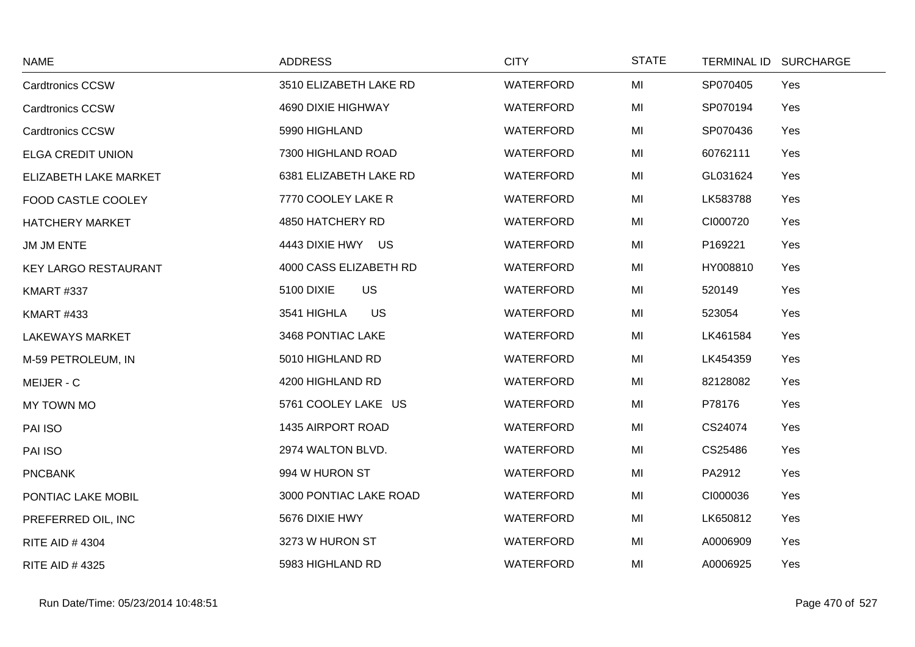| <b>NAME</b>                 | <b>ADDRESS</b>                 | <b>CITY</b>      | <b>STATE</b> | <b>TERMINAL ID</b> | <b>SURCHARGE</b> |
|-----------------------------|--------------------------------|------------------|--------------|--------------------|------------------|
| <b>Cardtronics CCSW</b>     | 3510 ELIZABETH LAKE RD         | WATERFORD        | MI           | SP070405           | Yes              |
| <b>Cardtronics CCSW</b>     | 4690 DIXIE HIGHWAY             | <b>WATERFORD</b> | MI           | SP070194           | Yes              |
| <b>Cardtronics CCSW</b>     | 5990 HIGHLAND                  | WATERFORD        | MI           | SP070436           | Yes              |
| <b>ELGA CREDIT UNION</b>    | 7300 HIGHLAND ROAD             | WATERFORD        | MI           | 60762111           | Yes              |
| ELIZABETH LAKE MARKET       | 6381 ELIZABETH LAKE RD         | WATERFORD        | MI           | GL031624           | Yes              |
| FOOD CASTLE COOLEY          | 7770 COOLEY LAKE R             | WATERFORD        | MI           | LK583788           | Yes              |
| <b>HATCHERY MARKET</b>      | 4850 HATCHERY RD               | <b>WATERFORD</b> | MI           | CI000720           | Yes              |
| JM JM ENTE                  | 4443 DIXIE HWY US              | <b>WATERFORD</b> | MI           | P169221            | Yes              |
| <b>KEY LARGO RESTAURANT</b> | 4000 CASS ELIZABETH RD         | <b>WATERFORD</b> | MI           | HY008810           | Yes              |
| <b>KMART #337</b>           | <b>US</b><br><b>5100 DIXIE</b> | WATERFORD        | MI           | 520149             | Yes              |
| <b>KMART #433</b>           | 3541 HIGHLA<br>US              | WATERFORD        | MI           | 523054             | Yes              |
| <b>LAKEWAYS MARKET</b>      | 3468 PONTIAC LAKE              | <b>WATERFORD</b> | MI           | LK461584           | Yes              |
| M-59 PETROLEUM, IN          | 5010 HIGHLAND RD               | WATERFORD        | MI           | LK454359           | Yes              |
| MEIJER - C                  | 4200 HIGHLAND RD               | WATERFORD        | MI           | 82128082           | Yes              |
| MY TOWN MO                  | 5761 COOLEY LAKE US            | WATERFORD        | MI           | P78176             | Yes              |
| PAI ISO                     | 1435 AIRPORT ROAD              | WATERFORD        | MI           | CS24074            | Yes              |
| PAI ISO                     | 2974 WALTON BLVD.              | <b>WATERFORD</b> | MI           | CS25486            | Yes              |
| <b>PNCBANK</b>              | 994 W HURON ST                 | <b>WATERFORD</b> | MI           | PA2912             | Yes              |
| PONTIAC LAKE MOBIL          | 3000 PONTIAC LAKE ROAD         | WATERFORD        | MI           | CI000036           | Yes              |
| PREFERRED OIL, INC          | 5676 DIXIE HWY                 | WATERFORD        | MI           | LK650812           | Yes              |
| <b>RITE AID #4304</b>       | 3273 W HURON ST                | WATERFORD        | MI           | A0006909           | Yes              |
| <b>RITE AID #4325</b>       | 5983 HIGHLAND RD               | WATERFORD        | MI           | A0006925           | Yes              |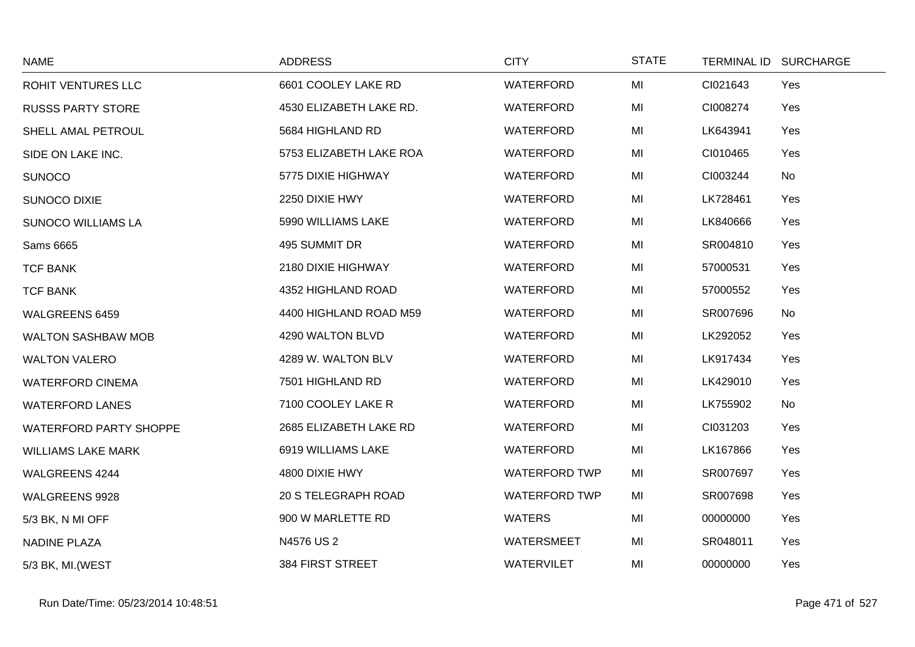| <b>NAME</b>                   | <b>ADDRESS</b>             | <b>CITY</b>          | <b>STATE</b> | TERMINAL ID SURCHARGE |     |
|-------------------------------|----------------------------|----------------------|--------------|-----------------------|-----|
| <b>ROHIT VENTURES LLC</b>     | 6601 COOLEY LAKE RD        | WATERFORD            | MI           | CI021643              | Yes |
| <b>RUSSS PARTY STORE</b>      | 4530 ELIZABETH LAKE RD.    | <b>WATERFORD</b>     | MI           | CI008274              | Yes |
| SHELL AMAL PETROUL            | 5684 HIGHLAND RD           | WATERFORD            | MI           | LK643941              | Yes |
| SIDE ON LAKE INC.             | 5753 ELIZABETH LAKE ROA    | WATERFORD            | MI           | CI010465              | Yes |
| <b>SUNOCO</b>                 | 5775 DIXIE HIGHWAY         | WATERFORD            | MI           | CI003244              | No  |
| <b>SUNOCO DIXIE</b>           | 2250 DIXIE HWY             | WATERFORD            | MI           | LK728461              | Yes |
| <b>SUNOCO WILLIAMS LA</b>     | 5990 WILLIAMS LAKE         | WATERFORD            | MI           | LK840666              | Yes |
| Sams 6665                     | 495 SUMMIT DR              | <b>WATERFORD</b>     | MI           | SR004810              | Yes |
| <b>TCF BANK</b>               | 2180 DIXIE HIGHWAY         | <b>WATERFORD</b>     | MI           | 57000531              | Yes |
| <b>TCF BANK</b>               | 4352 HIGHLAND ROAD         | WATERFORD            | MI           | 57000552              | Yes |
| WALGREENS 6459                | 4400 HIGHLAND ROAD M59     | <b>WATERFORD</b>     | MI           | SR007696              | No  |
| <b>WALTON SASHBAW MOB</b>     | 4290 WALTON BLVD           | <b>WATERFORD</b>     | MI           | LK292052              | Yes |
| <b>WALTON VALERO</b>          | 4289 W. WALTON BLV         | WATERFORD            | MI           | LK917434              | Yes |
| <b>WATERFORD CINEMA</b>       | 7501 HIGHLAND RD           | WATERFORD            | MI           | LK429010              | Yes |
| <b>WATERFORD LANES</b>        | 7100 COOLEY LAKE R         | WATERFORD            | MI           | LK755902              | No  |
| <b>WATERFORD PARTY SHOPPE</b> | 2685 ELIZABETH LAKE RD     | WATERFORD            | MI           | CI031203              | Yes |
| <b>WILLIAMS LAKE MARK</b>     | 6919 WILLIAMS LAKE         | WATERFORD            | MI           | LK167866              | Yes |
| WALGREENS 4244                | 4800 DIXIE HWY             | <b>WATERFORD TWP</b> | MI           | SR007697              | Yes |
| WALGREENS 9928                | <b>20 S TELEGRAPH ROAD</b> | <b>WATERFORD TWP</b> | MI           | SR007698              | Yes |
| 5/3 BK, N MI OFF              | 900 W MARLETTE RD          | <b>WATERS</b>        | MI           | 00000000              | Yes |
| <b>NADINE PLAZA</b>           | N4576 US 2                 | WATERSMEET           | MI           | SR048011              | Yes |
| 5/3 BK, MI. (WEST             | <b>384 FIRST STREET</b>    | <b>WATERVILET</b>    | MI           | 00000000              | Yes |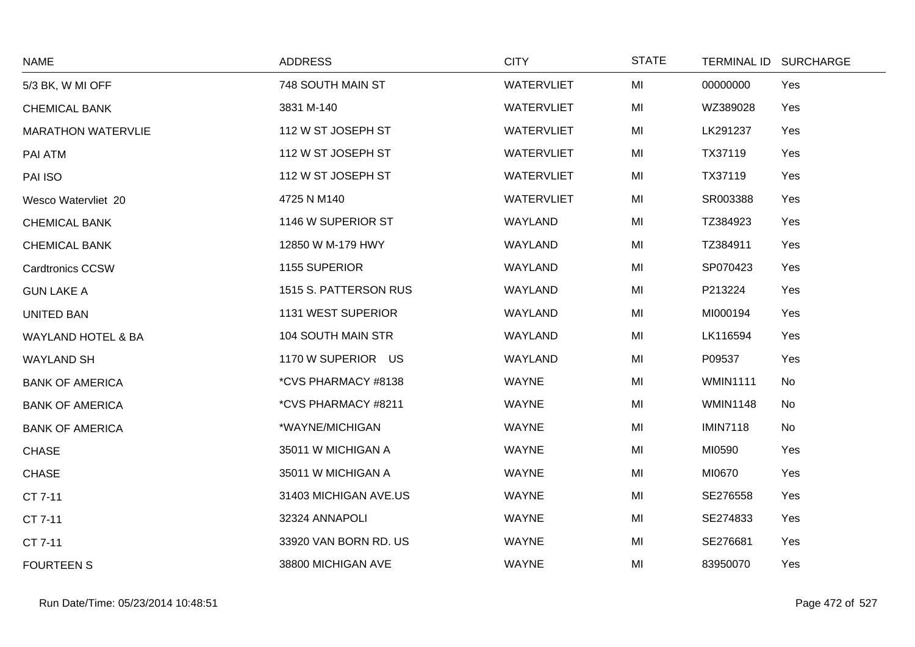| <b>NAME</b>               | <b>ADDRESS</b>        | <b>CITY</b>       | <b>STATE</b> |                 | TERMINAL ID SURCHARGE |
|---------------------------|-----------------------|-------------------|--------------|-----------------|-----------------------|
| 5/3 BK, W MI OFF          | 748 SOUTH MAIN ST     | <b>WATERVLIET</b> | MI           | 00000000        | Yes                   |
| <b>CHEMICAL BANK</b>      | 3831 M-140            | <b>WATERVLIET</b> | MI           | WZ389028        | Yes                   |
| <b>MARATHON WATERVLIE</b> | 112 W ST JOSEPH ST    | <b>WATERVLIET</b> | MI           | LK291237        | Yes                   |
| PAI ATM                   | 112 W ST JOSEPH ST    | <b>WATERVLIET</b> | MI           | TX37119         | Yes                   |
| PAI ISO                   | 112 W ST JOSEPH ST    | <b>WATERVLIET</b> | MI           | TX37119         | Yes                   |
| Wesco Watervliet 20       | 4725 N M140           | <b>WATERVLIET</b> | MI           | SR003388        | Yes                   |
| <b>CHEMICAL BANK</b>      | 1146 W SUPERIOR ST    | WAYLAND           | MI           | TZ384923        | Yes                   |
| <b>CHEMICAL BANK</b>      | 12850 W M-179 HWY     | <b>WAYLAND</b>    | MI           | TZ384911        | Yes                   |
| <b>Cardtronics CCSW</b>   | 1155 SUPERIOR         | WAYLAND           | MI           | SP070423        | Yes                   |
| <b>GUN LAKE A</b>         | 1515 S. PATTERSON RUS | WAYLAND           | MI           | P213224         | Yes                   |
| <b>UNITED BAN</b>         | 1131 WEST SUPERIOR    | WAYLAND           | MI           | MI000194        | Yes                   |
| WAYLAND HOTEL & BA        | 104 SOUTH MAIN STR    | WAYLAND           | MI           | LK116594        | Yes                   |
| <b>WAYLAND SH</b>         | 1170 W SUPERIOR US    | WAYLAND           | MI           | P09537          | Yes                   |
| <b>BANK OF AMERICA</b>    | *CVS PHARMACY #8138   | <b>WAYNE</b>      | MI           | <b>WMIN1111</b> | No                    |
| <b>BANK OF AMERICA</b>    | *CVS PHARMACY #8211   | <b>WAYNE</b>      | MI           | <b>WMIN1148</b> | No                    |
| <b>BANK OF AMERICA</b>    | *WAYNE/MICHIGAN       | <b>WAYNE</b>      | MI           | <b>IMIN7118</b> | No                    |
| <b>CHASE</b>              | 35011 W MICHIGAN A    | <b>WAYNE</b>      | MI           | MI0590          | Yes                   |
| <b>CHASE</b>              | 35011 W MICHIGAN A    | <b>WAYNE</b>      | MI           | MI0670          | Yes                   |
| CT 7-11                   | 31403 MICHIGAN AVE.US | <b>WAYNE</b>      | MI           | SE276558        | Yes                   |
| CT 7-11                   | 32324 ANNAPOLI        | <b>WAYNE</b>      | MI           | SE274833        | Yes                   |
| CT 7-11                   | 33920 VAN BORN RD. US | WAYNE             | MI           | SE276681        | Yes                   |
| <b>FOURTEEN S</b>         | 38800 MICHIGAN AVE    | <b>WAYNE</b>      | MI           | 83950070        | Yes                   |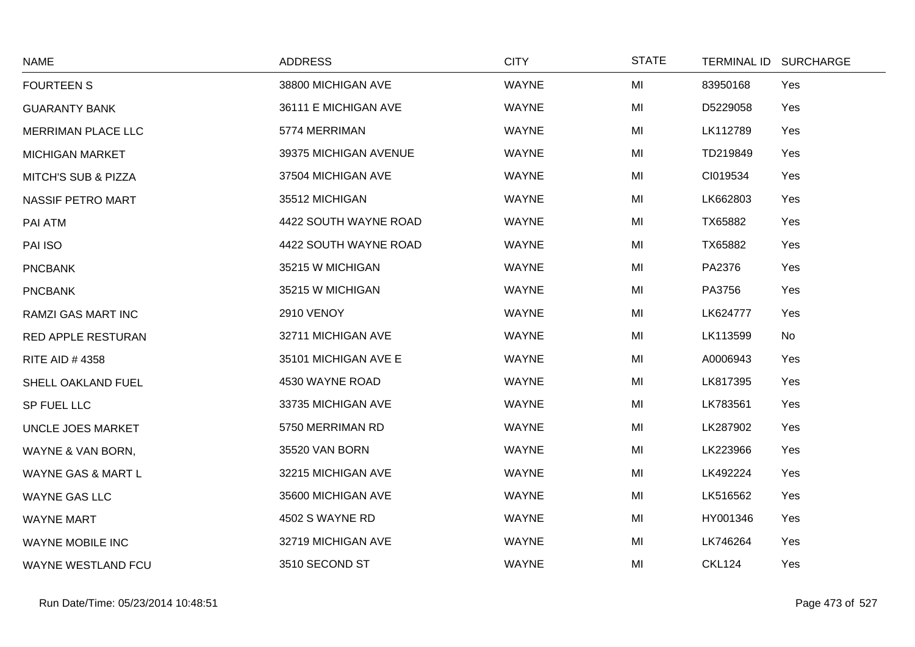| <b>NAME</b>                    | <b>ADDRESS</b>        | <b>CITY</b>  | <b>STATE</b> | TERMINAL ID SURCHARGE |
|--------------------------------|-----------------------|--------------|--------------|-----------------------|
| <b>FOURTEEN S</b>              | 38800 MICHIGAN AVE    | <b>WAYNE</b> | MI           | 83950168<br>Yes       |
| <b>GUARANTY BANK</b>           | 36111 E MICHIGAN AVE  | <b>WAYNE</b> | MI           | D5229058<br>Yes       |
| MERRIMAN PLACE LLC             | 5774 MERRIMAN         | <b>WAYNE</b> | MI           | LK112789<br>Yes       |
| <b>MICHIGAN MARKET</b>         | 39375 MICHIGAN AVENUE | <b>WAYNE</b> | MI           | TD219849<br>Yes       |
| <b>MITCH'S SUB &amp; PIZZA</b> | 37504 MICHIGAN AVE    | <b>WAYNE</b> | MI           | CI019534<br>Yes       |
| <b>NASSIF PETRO MART</b>       | 35512 MICHIGAN        | <b>WAYNE</b> | MI           | LK662803<br>Yes       |
| PAI ATM                        | 4422 SOUTH WAYNE ROAD | <b>WAYNE</b> | MI           | TX65882<br>Yes        |
| PAI ISO                        | 4422 SOUTH WAYNE ROAD | <b>WAYNE</b> | MI           | TX65882<br>Yes        |
| <b>PNCBANK</b>                 | 35215 W MICHIGAN      | <b>WAYNE</b> | MI           | PA2376<br>Yes         |
| <b>PNCBANK</b>                 | 35215 W MICHIGAN      | <b>WAYNE</b> | MI           | PA3756<br>Yes         |
| RAMZI GAS MART INC             | <b>2910 VENOY</b>     | <b>WAYNE</b> | MI           | LK624777<br>Yes       |
| <b>RED APPLE RESTURAN</b>      | 32711 MICHIGAN AVE    | <b>WAYNE</b> | MI           | LK113599<br>No        |
| RITE AID #4358                 | 35101 MICHIGAN AVE E  | <b>WAYNE</b> | MI           | A0006943<br>Yes       |
| SHELL OAKLAND FUEL             | 4530 WAYNE ROAD       | <b>WAYNE</b> | MI           | LK817395<br>Yes       |
| SP FUEL LLC                    | 33735 MICHIGAN AVE    | <b>WAYNE</b> | MI           | LK783561<br>Yes       |
| UNCLE JOES MARKET              | 5750 MERRIMAN RD      | <b>WAYNE</b> | MI           | LK287902<br>Yes       |
| WAYNE & VAN BORN,              | 35520 VAN BORN        | <b>WAYNE</b> | MI           | LK223966<br>Yes       |
| WAYNE GAS & MART L             | 32215 MICHIGAN AVE    | <b>WAYNE</b> | MI           | LK492224<br>Yes       |
| <b>WAYNE GAS LLC</b>           | 35600 MICHIGAN AVE    | <b>WAYNE</b> | MI           | LK516562<br>Yes       |
| <b>WAYNE MART</b>              | 4502 S WAYNE RD       | <b>WAYNE</b> | MI           | HY001346<br>Yes       |
| WAYNE MOBILE INC               | 32719 MICHIGAN AVE    | WAYNE        | MI           | LK746264<br>Yes       |
| <b>WAYNE WESTLAND FCU</b>      | 3510 SECOND ST        | <b>WAYNE</b> | MI           | <b>CKL124</b><br>Yes  |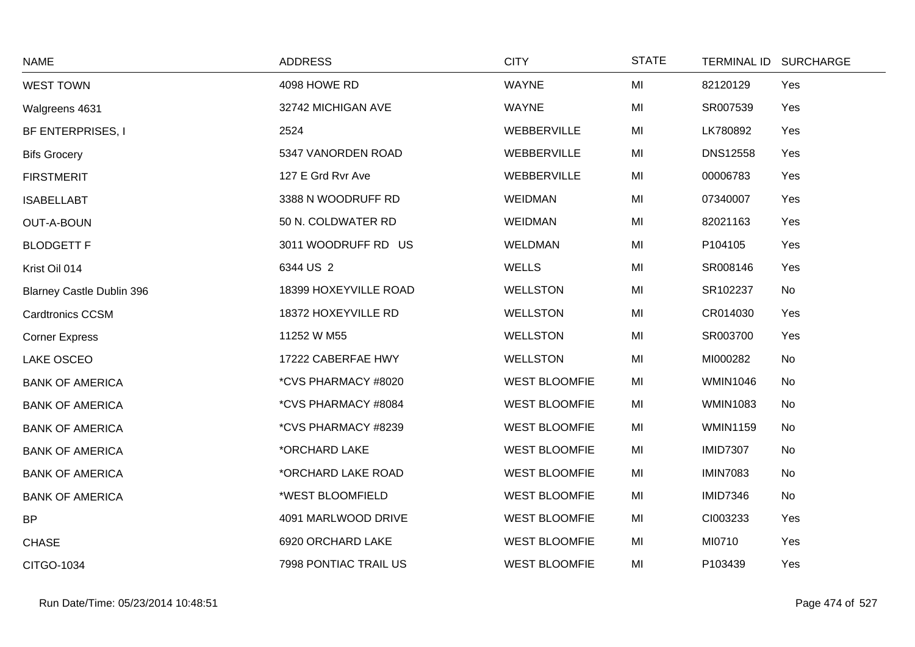| <b>NAME</b>                      | <b>ADDRESS</b>        | <b>CITY</b>          | <b>STATE</b> |                 | TERMINAL ID SURCHARGE |
|----------------------------------|-----------------------|----------------------|--------------|-----------------|-----------------------|
| <b>WEST TOWN</b>                 | 4098 HOWE RD          | <b>WAYNE</b>         | MI           | 82120129        | Yes                   |
| Walgreens 4631                   | 32742 MICHIGAN AVE    | <b>WAYNE</b>         | MI           | SR007539        | Yes                   |
| BF ENTERPRISES, I                | 2524                  | WEBBERVILLE          | MI           | LK780892        | Yes                   |
| <b>Bifs Grocery</b>              | 5347 VANORDEN ROAD    | WEBBERVILLE          | MI           | <b>DNS12558</b> | Yes                   |
| <b>FIRSTMERIT</b>                | 127 E Grd Rvr Ave     | WEBBERVILLE          | MI           | 00006783        | Yes                   |
| <b>ISABELLABT</b>                | 3388 N WOODRUFF RD    | <b>WEIDMAN</b>       | MI           | 07340007        | Yes                   |
| <b>OUT-A-BOUN</b>                | 50 N. COLDWATER RD    | <b>WEIDMAN</b>       | MI           | 82021163        | Yes                   |
| <b>BLODGETT F</b>                | 3011 WOODRUFF RD US   | <b>WELDMAN</b>       | MI           | P104105         | Yes                   |
| Krist Oil 014                    | 6344 US 2             | <b>WELLS</b>         | MI           | SR008146        | Yes                   |
| <b>Blarney Castle Dublin 396</b> | 18399 HOXEYVILLE ROAD | <b>WELLSTON</b>      | MI           | SR102237        | No                    |
| <b>Cardtronics CCSM</b>          | 18372 HOXEYVILLE RD   | <b>WELLSTON</b>      | MI           | CR014030        | Yes                   |
| <b>Corner Express</b>            | 11252 W M55           | <b>WELLSTON</b>      | MI           | SR003700        | Yes                   |
| LAKE OSCEO                       | 17222 CABERFAE HWY    | <b>WELLSTON</b>      | MI           | MI000282        | No                    |
| <b>BANK OF AMERICA</b>           | *CVS PHARMACY #8020   | <b>WEST BLOOMFIE</b> | MI           | <b>WMIN1046</b> | No                    |
| <b>BANK OF AMERICA</b>           | *CVS PHARMACY #8084   | <b>WEST BLOOMFIE</b> | MI           | <b>WMIN1083</b> | No                    |
| <b>BANK OF AMERICA</b>           | *CVS PHARMACY #8239   | <b>WEST BLOOMFIE</b> | MI           | <b>WMIN1159</b> | No                    |
| <b>BANK OF AMERICA</b>           | *ORCHARD LAKE         | <b>WEST BLOOMFIE</b> | MI           | <b>IMID7307</b> | No                    |
| <b>BANK OF AMERICA</b>           | *ORCHARD LAKE ROAD    | <b>WEST BLOOMFIE</b> | MI           | <b>IMIN7083</b> | No                    |
| <b>BANK OF AMERICA</b>           | *WEST BLOOMFIELD      | <b>WEST BLOOMFIE</b> | MI           | <b>IMID7346</b> | No                    |
| <b>BP</b>                        | 4091 MARLWOOD DRIVE   | <b>WEST BLOOMFIE</b> | MI           | CI003233        | Yes                   |
| <b>CHASE</b>                     | 6920 ORCHARD LAKE     | <b>WEST BLOOMFIE</b> | MI           | MI0710          | Yes                   |
| CITGO-1034                       | 7998 PONTIAC TRAIL US | <b>WEST BLOOMFIE</b> | MI           | P103439         | Yes                   |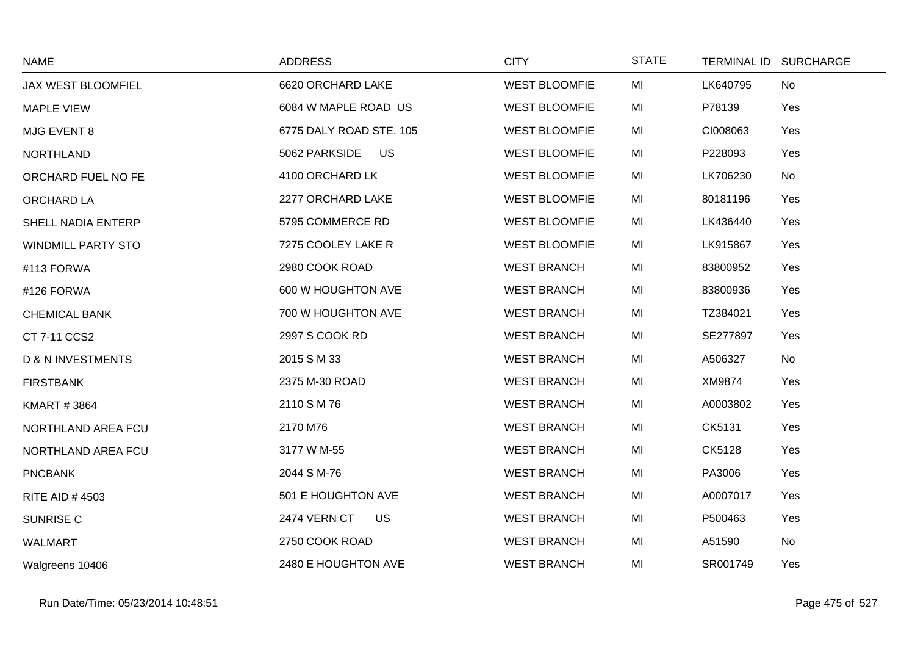| <b>NAME</b>                  | <b>ADDRESS</b>                   | <b>CITY</b>          | <b>STATE</b> |          | TERMINAL ID SURCHARGE |
|------------------------------|----------------------------------|----------------------|--------------|----------|-----------------------|
| JAX WEST BLOOMFIEL           | 6620 ORCHARD LAKE                | <b>WEST BLOOMFIE</b> | MI           | LK640795 | No                    |
| <b>MAPLE VIEW</b>            | 6084 W MAPLE ROAD US             | <b>WEST BLOOMFIE</b> | MI           | P78139   | Yes                   |
| MJG EVENT 8                  | 6775 DALY ROAD STE. 105          | <b>WEST BLOOMFIE</b> | MI           | CI008063 | Yes                   |
| <b>NORTHLAND</b>             | 5062 PARKSIDE US                 | <b>WEST BLOOMFIE</b> | MI           | P228093  | Yes                   |
| ORCHARD FUEL NO FE           | 4100 ORCHARD LK                  | <b>WEST BLOOMFIE</b> | MI           | LK706230 | No                    |
| ORCHARD LA                   | 2277 ORCHARD LAKE                | <b>WEST BLOOMFIE</b> | MI           | 80181196 | Yes                   |
| SHELL NADIA ENTERP           | 5795 COMMERCE RD                 | <b>WEST BLOOMFIE</b> | MI           | LK436440 | Yes                   |
| <b>WINDMILL PARTY STO</b>    | 7275 COOLEY LAKE R               | <b>WEST BLOOMFIE</b> | MI           | LK915867 | Yes                   |
| #113 FORWA                   | 2980 COOK ROAD                   | <b>WEST BRANCH</b>   | MI           | 83800952 | Yes                   |
| #126 FORWA                   | 600 W HOUGHTON AVE               | <b>WEST BRANCH</b>   | MI           | 83800936 | Yes                   |
| <b>CHEMICAL BANK</b>         | 700 W HOUGHTON AVE               | <b>WEST BRANCH</b>   | MI           | TZ384021 | Yes                   |
| CT 7-11 CCS2                 | 2997 S COOK RD                   | <b>WEST BRANCH</b>   | MI           | SE277897 | Yes                   |
| <b>D &amp; N INVESTMENTS</b> | 2015 S M 33                      | <b>WEST BRANCH</b>   | MI           | A506327  | No                    |
| <b>FIRSTBANK</b>             | 2375 M-30 ROAD                   | <b>WEST BRANCH</b>   | MI           | XM9874   | Yes                   |
| <b>KMART #3864</b>           | 2110 S M 76                      | <b>WEST BRANCH</b>   | MI           | A0003802 | Yes                   |
| NORTHLAND AREA FCU           | 2170 M76                         | <b>WEST BRANCH</b>   | MI           | CK5131   | Yes                   |
| NORTHLAND AREA FCU           | 3177 W M-55                      | <b>WEST BRANCH</b>   | MI           | CK5128   | Yes                   |
| <b>PNCBANK</b>               | 2044 S M-76                      | <b>WEST BRANCH</b>   | MI           | PA3006   | Yes                   |
| <b>RITE AID #4503</b>        | 501 E HOUGHTON AVE               | <b>WEST BRANCH</b>   | MI           | A0007017 | Yes                   |
| <b>SUNRISE C</b>             | <b>2474 VERN CT</b><br><b>US</b> | <b>WEST BRANCH</b>   | MI           | P500463  | Yes                   |
| <b>WALMART</b>               | 2750 COOK ROAD                   | <b>WEST BRANCH</b>   | MI           | A51590   | No                    |
| Walgreens 10406              | 2480 E HOUGHTON AVE              | <b>WEST BRANCH</b>   | MI           | SR001749 | Yes                   |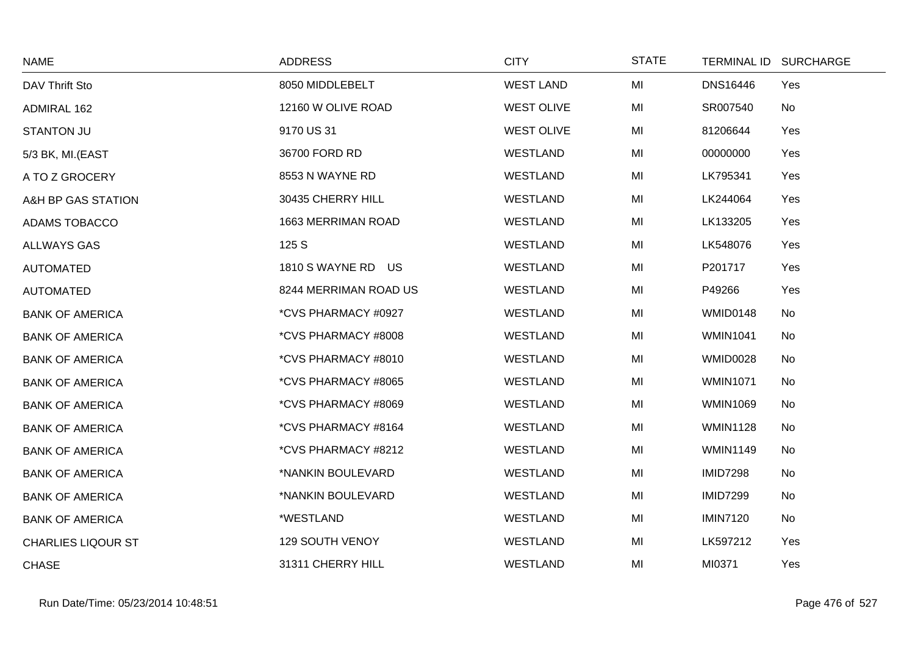| <b>NAME</b>               | <b>ADDRESS</b>        | <b>CITY</b>       | <b>STATE</b> | TERMINAL ID SURCHARGE |     |
|---------------------------|-----------------------|-------------------|--------------|-----------------------|-----|
| DAV Thrift Sto            | 8050 MIDDLEBELT       | <b>WEST LAND</b>  | MI           | <b>DNS16446</b>       | Yes |
| ADMIRAL 162               | 12160 W OLIVE ROAD    | <b>WEST OLIVE</b> | MI           | SR007540              | No  |
| <b>STANTON JU</b>         | 9170 US 31            | <b>WEST OLIVE</b> | MI           | 81206644              | Yes |
| 5/3 BK, MI.(EAST          | 36700 FORD RD         | WESTLAND          | MI           | 00000000              | Yes |
| A TO Z GROCERY            | 8553 N WAYNE RD       | WESTLAND          | MI           | LK795341              | Yes |
| A&H BP GAS STATION        | 30435 CHERRY HILL     | WESTLAND          | MI           | LK244064              | Yes |
| ADAMS TOBACCO             | 1663 MERRIMAN ROAD    | WESTLAND          | MI           | LK133205              | Yes |
| <b>ALLWAYS GAS</b>        | 125 S                 | WESTLAND          | MI           | LK548076              | Yes |
| <b>AUTOMATED</b>          | 1810 S WAYNE RD US    | WESTLAND          | MI           | P201717               | Yes |
| <b>AUTOMATED</b>          | 8244 MERRIMAN ROAD US | WESTLAND          | MI           | P49266                | Yes |
| <b>BANK OF AMERICA</b>    | *CVS PHARMACY #0927   | <b>WESTLAND</b>   | MI           | WMID0148              | No  |
| <b>BANK OF AMERICA</b>    | *CVS PHARMACY #8008   | WESTLAND          | MI           | <b>WMIN1041</b>       | No  |
| <b>BANK OF AMERICA</b>    | *CVS PHARMACY #8010   | WESTLAND          | MI           | WMID0028              | No  |
| <b>BANK OF AMERICA</b>    | *CVS PHARMACY #8065   | <b>WESTLAND</b>   | MI           | <b>WMIN1071</b>       | No  |
| <b>BANK OF AMERICA</b>    | *CVS PHARMACY #8069   | WESTLAND          | MI           | <b>WMIN1069</b>       | No  |
| <b>BANK OF AMERICA</b>    | *CVS PHARMACY #8164   | WESTLAND          | MI           | <b>WMIN1128</b>       | No  |
| <b>BANK OF AMERICA</b>    | *CVS PHARMACY #8212   | WESTLAND          | MI           | <b>WMIN1149</b>       | No  |
| <b>BANK OF AMERICA</b>    | *NANKIN BOULEVARD     | <b>WESTLAND</b>   | MI           | <b>IMID7298</b>       | No  |
| <b>BANK OF AMERICA</b>    | *NANKIN BOULEVARD     | WESTLAND          | MI           | <b>IMID7299</b>       | No  |
| <b>BANK OF AMERICA</b>    | *WESTLAND             | WESTLAND          | MI           | <b>IMIN7120</b>       | No  |
| <b>CHARLIES LIQOUR ST</b> | 129 SOUTH VENOY       | <b>WESTLAND</b>   | MI           | LK597212              | Yes |
| <b>CHASE</b>              | 31311 CHERRY HILL     | <b>WESTLAND</b>   | MI           | MI0371                | Yes |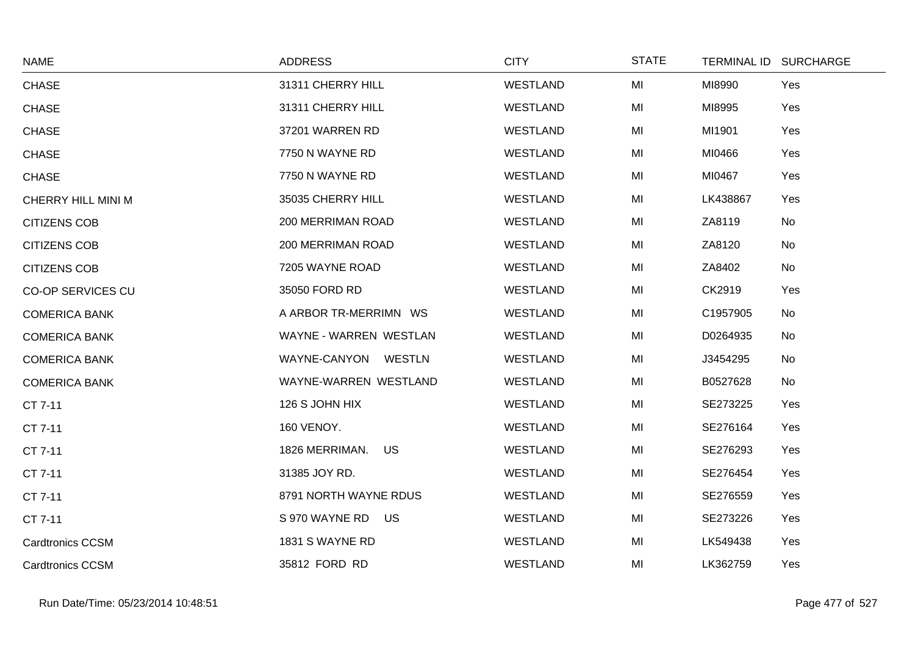| <b>NAME</b>             | <b>ADDRESS</b>         | <b>CITY</b>     | <b>STATE</b> | TERMINAL ID SURCHARGE |     |
|-------------------------|------------------------|-----------------|--------------|-----------------------|-----|
| <b>CHASE</b>            | 31311 CHERRY HILL      | <b>WESTLAND</b> | MI           | MI8990                | Yes |
| <b>CHASE</b>            | 31311 CHERRY HILL      | <b>WESTLAND</b> | MI           | MI8995                | Yes |
| <b>CHASE</b>            | 37201 WARREN RD        | WESTLAND        | MI           | MI1901                | Yes |
| <b>CHASE</b>            | 7750 N WAYNE RD        | <b>WESTLAND</b> | MI           | MI0466                | Yes |
| <b>CHASE</b>            | 7750 N WAYNE RD        | WESTLAND        | MI           | MI0467                | Yes |
| CHERRY HILL MINI M      | 35035 CHERRY HILL      | <b>WESTLAND</b> | MI           | LK438867              | Yes |
| <b>CITIZENS COB</b>     | 200 MERRIMAN ROAD      | <b>WESTLAND</b> | MI           | ZA8119                | No  |
| <b>CITIZENS COB</b>     | 200 MERRIMAN ROAD      | WESTLAND        | MI           | ZA8120                | No  |
| <b>CITIZENS COB</b>     | 7205 WAYNE ROAD        | WESTLAND        | MI           | ZA8402                | No  |
| CO-OP SERVICES CU       | 35050 FORD RD          | WESTLAND        | MI           | CK2919                | Yes |
| <b>COMERICA BANK</b>    | A ARBOR TR-MERRIMN WS  | WESTLAND        | MI           | C1957905              | No  |
| <b>COMERICA BANK</b>    | WAYNE - WARREN WESTLAN | WESTLAND        | MI           | D0264935              | No  |
| <b>COMERICA BANK</b>    | WAYNE-CANYON WESTLN    | WESTLAND        | MI           | J3454295              | No  |
| <b>COMERICA BANK</b>    | WAYNE-WARREN WESTLAND  | <b>WESTLAND</b> | MI           | B0527628              | No  |
| CT 7-11                 | 126 S JOHN HIX         | <b>WESTLAND</b> | MI           | SE273225              | Yes |
| CT 7-11                 | 160 VENOY.             | WESTLAND        | MI           | SE276164              | Yes |
| CT 7-11                 | 1826 MERRIMAN.<br>US   | <b>WESTLAND</b> | MI           | SE276293              | Yes |
| CT 7-11                 | 31385 JOY RD.          | <b>WESTLAND</b> | MI           | SE276454              | Yes |
| CT 7-11                 | 8791 NORTH WAYNE RDUS  | WESTLAND        | MI           | SE276559              | Yes |
| CT 7-11                 | S 970 WAYNE RD US      | WESTLAND        | MI           | SE273226              | Yes |
| <b>Cardtronics CCSM</b> | 1831 S WAYNE RD        | WESTLAND        | MI           | LK549438              | Yes |
| <b>Cardtronics CCSM</b> | 35812 FORD RD          | <b>WESTLAND</b> | MI           | LK362759              | Yes |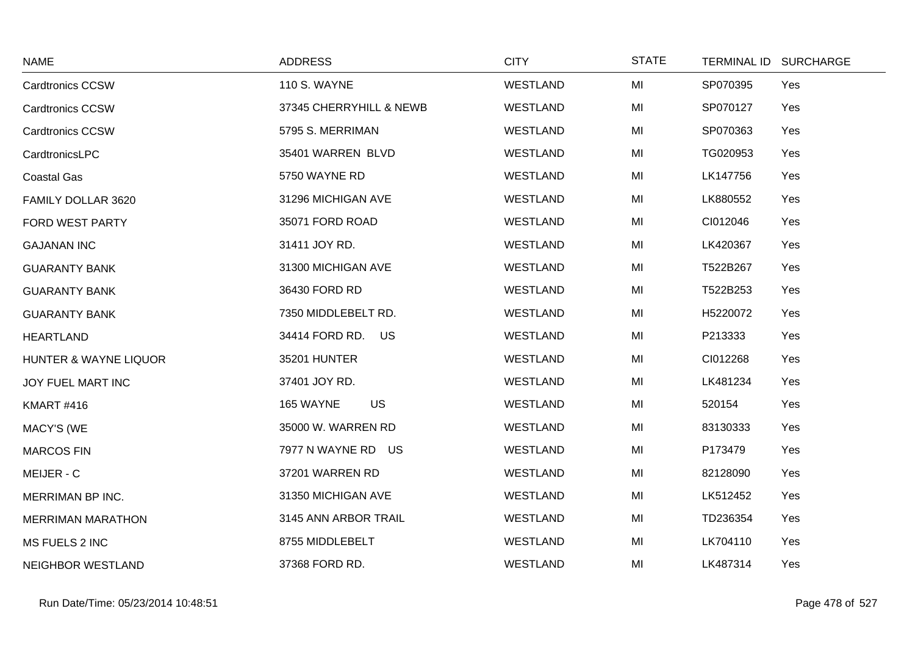| <b>NAME</b>                      | <b>ADDRESS</b>          | <b>CITY</b>     | <b>STATE</b> | TERMINAL ID SURCHARGE |
|----------------------------------|-------------------------|-----------------|--------------|-----------------------|
| <b>Cardtronics CCSW</b>          | <b>110 S. WAYNE</b>     | <b>WESTLAND</b> | MI           | Yes<br>SP070395       |
| <b>Cardtronics CCSW</b>          | 37345 CHERRYHILL & NEWB | WESTLAND        | MI           | SP070127<br>Yes       |
| <b>Cardtronics CCSW</b>          | 5795 S. MERRIMAN        | WESTLAND        | MI           | SP070363<br>Yes       |
| CardtronicsLPC                   | 35401 WARREN BLVD       | <b>WESTLAND</b> | MI           | TG020953<br>Yes       |
| <b>Coastal Gas</b>               | 5750 WAYNE RD           | WESTLAND        | MI           | LK147756<br>Yes       |
| FAMILY DOLLAR 3620               | 31296 MICHIGAN AVE      | WESTLAND        | MI           | LK880552<br>Yes       |
| FORD WEST PARTY                  | 35071 FORD ROAD         | WESTLAND        | MI           | CI012046<br>Yes       |
| <b>GAJANAN INC</b>               | 31411 JOY RD.           | <b>WESTLAND</b> | MI           | LK420367<br>Yes       |
| <b>GUARANTY BANK</b>             | 31300 MICHIGAN AVE      | WESTLAND        | MI           | T522B267<br>Yes       |
| <b>GUARANTY BANK</b>             | 36430 FORD RD           | WESTLAND        | MI           | T522B253<br>Yes       |
| <b>GUARANTY BANK</b>             | 7350 MIDDLEBELT RD.     | WESTLAND        | MI           | H5220072<br>Yes       |
| <b>HEARTLAND</b>                 | 34414 FORD RD.<br>US    | WESTLAND        | MI           | P213333<br>Yes        |
| <b>HUNTER &amp; WAYNE LIQUOR</b> | 35201 HUNTER            | WESTLAND        | MI           | CI012268<br>Yes       |
| JOY FUEL MART INC                | 37401 JOY RD.           | <b>WESTLAND</b> | MI           | LK481234<br>Yes       |
| <b>KMART #416</b>                | <b>US</b><br>165 WAYNE  | WESTLAND        | MI           | 520154<br>Yes         |
| <b>MACY'S (WE</b>                | 35000 W. WARREN RD      | <b>WESTLAND</b> | MI           | 83130333<br>Yes       |
| <b>MARCOS FIN</b>                | 7977 N WAYNE RD US      | <b>WESTLAND</b> | MI           | P173479<br>Yes        |
| MEIJER - C                       | 37201 WARREN RD         | <b>WESTLAND</b> | MI           | 82128090<br>Yes       |
| MERRIMAN BP INC.                 | 31350 MICHIGAN AVE      | WESTLAND        | MI           | LK512452<br>Yes       |
| <b>MERRIMAN MARATHON</b>         | 3145 ANN ARBOR TRAIL    | WESTLAND        | MI           | TD236354<br>Yes       |
| MS FUELS 2 INC                   | 8755 MIDDLEBELT         | <b>WESTLAND</b> | MI           | LK704110<br>Yes       |
| NEIGHBOR WESTLAND                | 37368 FORD RD.          | <b>WESTLAND</b> | MI           | LK487314<br>Yes       |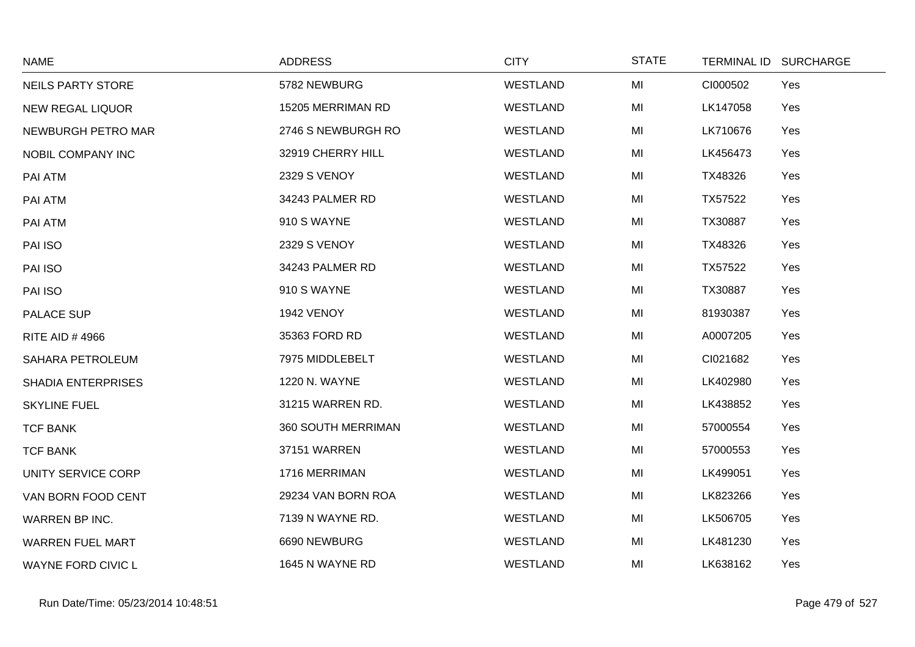| <b>NAME</b>               | <b>ADDRESS</b>     | <b>CITY</b>     | <b>STATE</b> | TERMINAL ID SURCHARGE |
|---------------------------|--------------------|-----------------|--------------|-----------------------|
| <b>NEILS PARTY STORE</b>  | 5782 NEWBURG       | <b>WESTLAND</b> | MI           | CI000502<br>Yes       |
| <b>NEW REGAL LIQUOR</b>   | 15205 MERRIMAN RD  | <b>WESTLAND</b> | MI           | LK147058<br>Yes       |
| NEWBURGH PETRO MAR        | 2746 S NEWBURGH RO | <b>WESTLAND</b> | MI           | LK710676<br>Yes       |
| NOBIL COMPANY INC         | 32919 CHERRY HILL  | WESTLAND        | MI           | LK456473<br>Yes       |
| PAI ATM                   | 2329 S VENOY       | <b>WESTLAND</b> | MI           | TX48326<br>Yes        |
| PAI ATM                   | 34243 PALMER RD    | <b>WESTLAND</b> | MI           | TX57522<br>Yes        |
| PAI ATM                   | 910 S WAYNE        | WESTLAND        | MI           | TX30887<br>Yes        |
| PAI ISO                   | 2329 S VENOY       | <b>WESTLAND</b> | MI           | TX48326<br>Yes        |
| PAI ISO                   | 34243 PALMER RD    | <b>WESTLAND</b> | MI           | TX57522<br>Yes        |
| PAI ISO                   | 910 S WAYNE        | WESTLAND        | MI           | TX30887<br>Yes        |
| PALACE SUP                | 1942 VENOY         | <b>WESTLAND</b> | MI           | 81930387<br>Yes       |
| RITE AID #4966            | 35363 FORD RD      | <b>WESTLAND</b> | MI           | A0007205<br>Yes       |
| SAHARA PETROLEUM          | 7975 MIDDLEBELT    | WESTLAND        | MI           | CI021682<br>Yes       |
| <b>SHADIA ENTERPRISES</b> | 1220 N. WAYNE      | WESTLAND        | MI           | LK402980<br>Yes       |
| <b>SKYLINE FUEL</b>       | 31215 WARREN RD.   | <b>WESTLAND</b> | MI           | LK438852<br>Yes       |
| <b>TCF BANK</b>           | 360 SOUTH MERRIMAN | WESTLAND        | MI           | 57000554<br>Yes       |
| <b>TCF BANK</b>           | 37151 WARREN       | <b>WESTLAND</b> | MI           | 57000553<br>Yes       |
| UNITY SERVICE CORP        | 1716 MERRIMAN      | WESTLAND        | MI           | LK499051<br>Yes       |
| VAN BORN FOOD CENT        | 29234 VAN BORN ROA | <b>WESTLAND</b> | MI           | LK823266<br>Yes       |
| WARREN BP INC.            | 7139 N WAYNE RD.   | <b>WESTLAND</b> | MI           | LK506705<br>Yes       |
| <b>WARREN FUEL MART</b>   | 6690 NEWBURG       | WESTLAND        | MI           | LK481230<br>Yes       |
| <b>WAYNE FORD CIVIC L</b> | 1645 N WAYNE RD    | <b>WESTLAND</b> | MI           | LK638162<br>Yes       |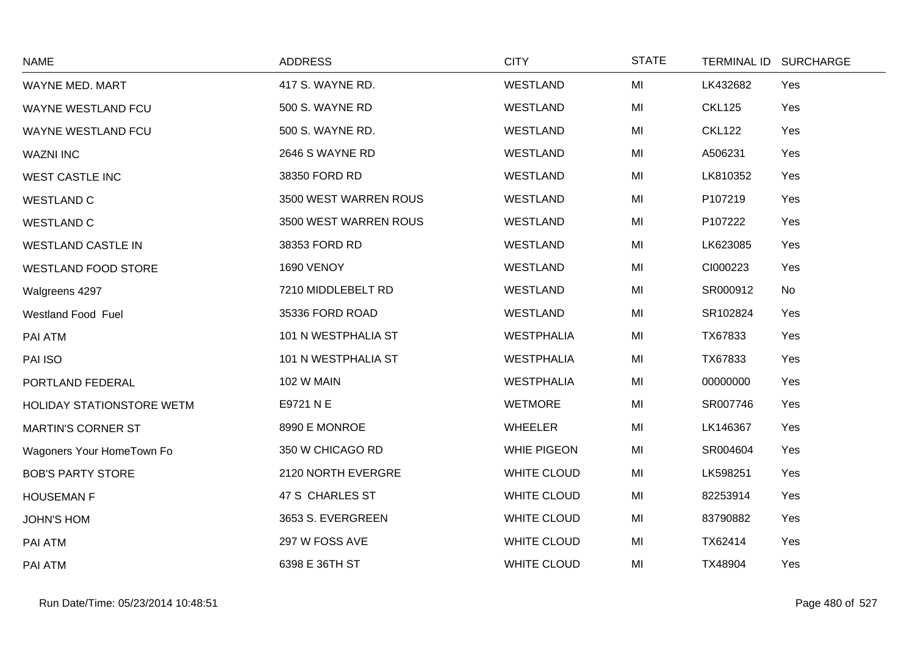| <b>NAME</b>               | <b>ADDRESS</b>        | <b>CITY</b>        | <b>STATE</b> | TERMINAL ID SURCHARGE |  |
|---------------------------|-----------------------|--------------------|--------------|-----------------------|--|
| WAYNE MED. MART           | 417 S. WAYNE RD.      | <b>WESTLAND</b>    | MI           | LK432682<br>Yes       |  |
| WAYNE WESTLAND FCU        | 500 S. WAYNE RD       | <b>WESTLAND</b>    | MI           | <b>CKL125</b><br>Yes  |  |
| <b>WAYNE WESTLAND FCU</b> | 500 S. WAYNE RD.      | WESTLAND           | MI           | <b>CKL122</b><br>Yes  |  |
| <b>WAZNI INC</b>          | 2646 S WAYNE RD       | WESTLAND           | MI           | A506231<br>Yes        |  |
| <b>WEST CASTLE INC</b>    | 38350 FORD RD         | <b>WESTLAND</b>    | MI           | LK810352<br>Yes       |  |
| <b>WESTLAND C</b>         | 3500 WEST WARREN ROUS | <b>WESTLAND</b>    | MI           | P107219<br>Yes        |  |
| <b>WESTLAND C</b>         | 3500 WEST WARREN ROUS | <b>WESTLAND</b>    | MI           | P107222<br>Yes        |  |
| <b>WESTLAND CASTLE IN</b> | 38353 FORD RD         | WESTLAND           | MI           | LK623085<br>Yes       |  |
| WESTLAND FOOD STORE       | 1690 VENOY            | WESTLAND           | MI           | CI000223<br>Yes       |  |
| Walgreens 4297            | 7210 MIDDLEBELT RD    | WESTLAND           | MI           | SR000912<br>No        |  |
| <b>Westland Food Fuel</b> | 35336 FORD ROAD       | WESTLAND           | MI           | SR102824<br>Yes       |  |
| PAI ATM                   | 101 N WESTPHALIA ST   | <b>WESTPHALIA</b>  | MI           | TX67833<br>Yes        |  |
| PAI ISO                   | 101 N WESTPHALIA ST   | <b>WESTPHALIA</b>  | MI           | TX67833<br>Yes        |  |
| PORTLAND FEDERAL          | <b>102 W MAIN</b>     | <b>WESTPHALIA</b>  | MI           | 00000000<br>Yes       |  |
| HOLIDAY STATIONSTORE WETM | E9721 N E             | <b>WETMORE</b>     | MI           | SR007746<br>Yes       |  |
| <b>MARTIN'S CORNER ST</b> | 8990 E MONROE         | <b>WHEELER</b>     | MI           | LK146367<br>Yes       |  |
| Wagoners Your HomeTown Fo | 350 W CHICAGO RD      | <b>WHIE PIGEON</b> | MI           | Yes<br>SR004604       |  |
| <b>BOB'S PARTY STORE</b>  | 2120 NORTH EVERGRE    | <b>WHITE CLOUD</b> | MI           | Yes<br>LK598251       |  |
| <b>HOUSEMAN F</b>         | 47 S CHARLES ST       | <b>WHITE CLOUD</b> | MI           | 82253914<br>Yes       |  |
| <b>JOHN'S HOM</b>         | 3653 S. EVERGREEN     | WHITE CLOUD        | MI           | 83790882<br>Yes       |  |
| PAI ATM                   | 297 W FOSS AVE        | <b>WHITE CLOUD</b> | MI           | TX62414<br>Yes        |  |
| PAI ATM                   | 6398 E 36TH ST        | <b>WHITE CLOUD</b> | MI           | TX48904<br>Yes        |  |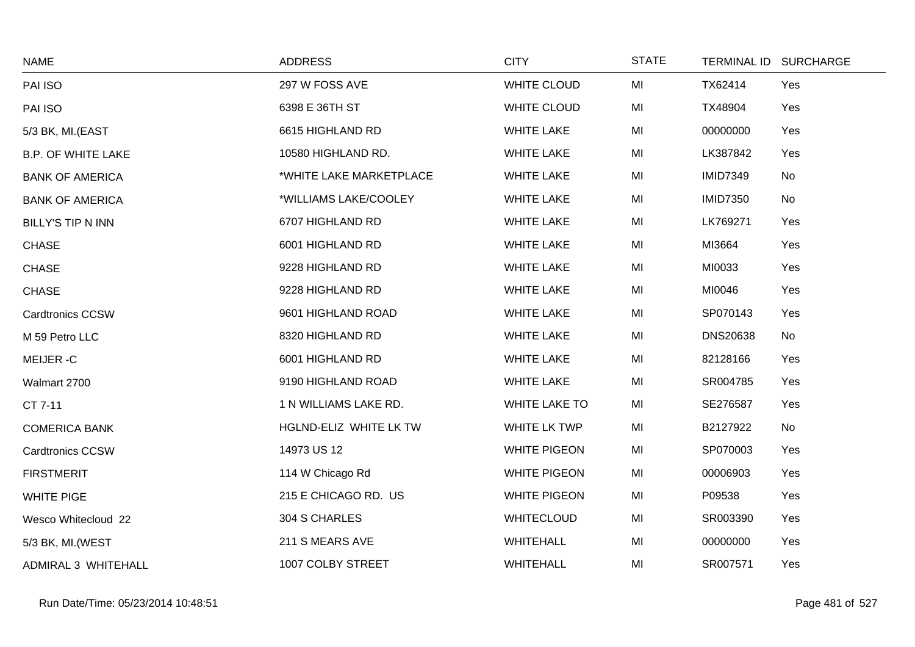| <b>NAME</b>               | <b>ADDRESS</b>          | <b>CITY</b>          | <b>STATE</b> |                 | TERMINAL ID SURCHARGE |
|---------------------------|-------------------------|----------------------|--------------|-----------------|-----------------------|
| PAI ISO                   | 297 W FOSS AVE          | WHITE CLOUD          | MI           | TX62414         | Yes                   |
| PAI ISO                   | 6398 E 36TH ST          | WHITE CLOUD          | MI           | TX48904         | Yes                   |
| 5/3 BK, MI.(EAST          | 6615 HIGHLAND RD        | <b>WHITE LAKE</b>    | MI           | 00000000        | Yes                   |
| <b>B.P. OF WHITE LAKE</b> | 10580 HIGHLAND RD.      | <b>WHITE LAKE</b>    | MI           | LK387842        | Yes                   |
| <b>BANK OF AMERICA</b>    | *WHITE LAKE MARKETPLACE | <b>WHITE LAKE</b>    | MI           | <b>IMID7349</b> | No                    |
| <b>BANK OF AMERICA</b>    | *WILLIAMS LAKE/COOLEY   | <b>WHITE LAKE</b>    | MI           | <b>IMID7350</b> | No                    |
| <b>BILLY'S TIP N INN</b>  | 6707 HIGHLAND RD        | <b>WHITE LAKE</b>    | MI           | LK769271        | Yes                   |
| <b>CHASE</b>              | 6001 HIGHLAND RD        | <b>WHITE LAKE</b>    | MI           | MI3664          | Yes                   |
| <b>CHASE</b>              | 9228 HIGHLAND RD        | <b>WHITE LAKE</b>    | MI           | MI0033          | Yes                   |
| <b>CHASE</b>              | 9228 HIGHLAND RD        | <b>WHITE LAKE</b>    | MI           | MI0046          | Yes                   |
| <b>Cardtronics CCSW</b>   | 9601 HIGHLAND ROAD      | <b>WHITE LAKE</b>    | MI           | SP070143        | Yes                   |
| M 59 Petro LLC            | 8320 HIGHLAND RD        | <b>WHITE LAKE</b>    | MI           | <b>DNS20638</b> | No                    |
| MEIJER-C                  | 6001 HIGHLAND RD        | <b>WHITE LAKE</b>    | MI           | 82128166        | Yes                   |
| Walmart 2700              | 9190 HIGHLAND ROAD      | <b>WHITE LAKE</b>    | MI           | SR004785        | Yes                   |
| CT 7-11                   | 1 N WILLIAMS LAKE RD.   | <b>WHITE LAKE TO</b> | MI           | SE276587        | Yes                   |
| <b>COMERICA BANK</b>      | HGLND-ELIZ WHITE LK TW  | <b>WHITE LK TWP</b>  | MI           | B2127922        | No                    |
| <b>Cardtronics CCSW</b>   | 14973 US 12             | <b>WHITE PIGEON</b>  | MI           | SP070003        | Yes                   |
| <b>FIRSTMERIT</b>         | 114 W Chicago Rd        | <b>WHITE PIGEON</b>  | MI           | 00006903        | Yes                   |
| <b>WHITE PIGE</b>         | 215 E CHICAGO RD. US    | <b>WHITE PIGEON</b>  | MI           | P09538          | Yes                   |
| Wesco Whitecloud 22       | 304 S CHARLES           | <b>WHITECLOUD</b>    | MI           | SR003390        | Yes                   |
| 5/3 BK, MI. (WEST         | 211 S MEARS AVE         | <b>WHITEHALL</b>     | MI           | 00000000        | Yes                   |
| ADMIRAL 3 WHITEHALL       | 1007 COLBY STREET       | <b>WHITEHALL</b>     | MI           | SR007571        | Yes                   |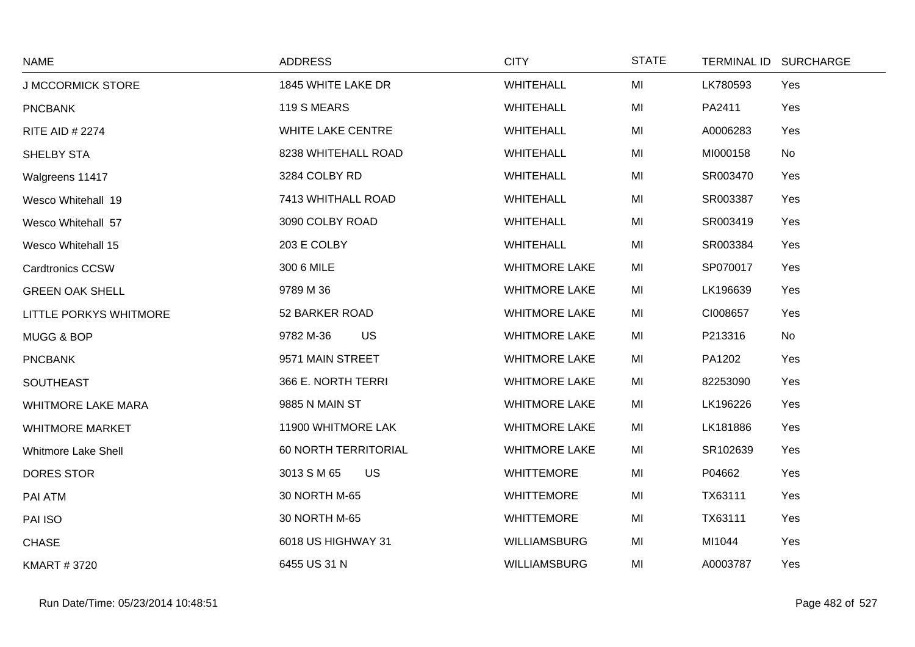| <b>NAME</b>                | <b>ADDRESS</b>           | <b>CITY</b>          | <b>STATE</b> |          | TERMINAL ID SURCHARGE |
|----------------------------|--------------------------|----------------------|--------------|----------|-----------------------|
| <b>J MCCORMICK STORE</b>   | 1845 WHITE LAKE DR       | <b>WHITEHALL</b>     | MI           | LK780593 | Yes                   |
| <b>PNCBANK</b>             | 119 S MEARS              | <b>WHITEHALL</b>     | MI           | PA2411   | Yes                   |
| <b>RITE AID # 2274</b>     | <b>WHITE LAKE CENTRE</b> | <b>WHITEHALL</b>     | MI           | A0006283 | Yes                   |
| SHELBY STA                 | 8238 WHITEHALL ROAD      | <b>WHITEHALL</b>     | MI           | MI000158 | No                    |
| Walgreens 11417            | 3284 COLBY RD            | <b>WHITEHALL</b>     | MI           | SR003470 | Yes                   |
| Wesco Whitehall 19         | 7413 WHITHALL ROAD       | <b>WHITEHALL</b>     | MI           | SR003387 | Yes                   |
| Wesco Whitehall 57         | 3090 COLBY ROAD          | <b>WHITEHALL</b>     | MI           | SR003419 | Yes                   |
| Wesco Whitehall 15         | 203 E COLBY              | <b>WHITEHALL</b>     | MI           | SR003384 | Yes                   |
| <b>Cardtronics CCSW</b>    | 300 6 MILE               | <b>WHITMORE LAKE</b> | MI           | SP070017 | Yes                   |
| <b>GREEN OAK SHELL</b>     | 9789 M 36                | <b>WHITMORE LAKE</b> | MI           | LK196639 | Yes                   |
| LITTLE PORKYS WHITMORE     | 52 BARKER ROAD           | <b>WHITMORE LAKE</b> | MI           | CI008657 | Yes                   |
| MUGG & BOP                 | US<br>9782 M-36          | <b>WHITMORE LAKE</b> | MI           | P213316  | No                    |
| <b>PNCBANK</b>             | 9571 MAIN STREET         | <b>WHITMORE LAKE</b> | MI           | PA1202   | Yes                   |
| <b>SOUTHEAST</b>           | 366 E. NORTH TERRI       | <b>WHITMORE LAKE</b> | MI           | 82253090 | Yes                   |
| <b>WHITMORE LAKE MARA</b>  | 9885 N MAIN ST           | <b>WHITMORE LAKE</b> | MI           | LK196226 | Yes                   |
| <b>WHITMORE MARKET</b>     | 11900 WHITMORE LAK       | <b>WHITMORE LAKE</b> | MI           | LK181886 | Yes                   |
| <b>Whitmore Lake Shell</b> | 60 NORTH TERRITORIAL     | <b>WHITMORE LAKE</b> | MI           | SR102639 | Yes                   |
| DORES STOR                 | <b>US</b><br>3013 S M 65 | <b>WHITTEMORE</b>    | MI           | P04662   | Yes                   |
| PAI ATM                    | 30 NORTH M-65            | <b>WHITTEMORE</b>    | MI           | TX63111  | Yes                   |
| PAI ISO                    | 30 NORTH M-65            | <b>WHITTEMORE</b>    | MI           | TX63111  | Yes                   |
| <b>CHASE</b>               | 6018 US HIGHWAY 31       | <b>WILLIAMSBURG</b>  | MI           | MI1044   | Yes                   |
| <b>KMART #3720</b>         | 6455 US 31 N             | <b>WILLIAMSBURG</b>  | MI           | A0003787 | Yes                   |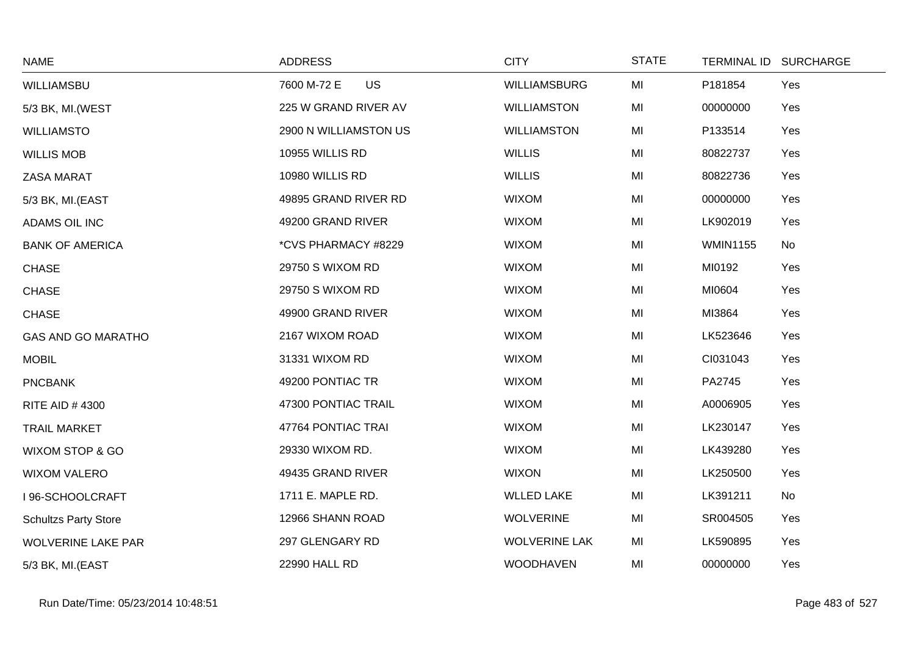| <b>NAME</b>                 | <b>ADDRESS</b>           | <b>CITY</b>          | <b>STATE</b> |                 | TERMINAL ID SURCHARGE |
|-----------------------------|--------------------------|----------------------|--------------|-----------------|-----------------------|
| WILLIAMSBU                  | <b>US</b><br>7600 M-72 E | <b>WILLIAMSBURG</b>  | MI           | P181854         | Yes                   |
| 5/3 BK, MI.(WEST            | 225 W GRAND RIVER AV     | <b>WILLIAMSTON</b>   | MI           | 00000000        | Yes                   |
| <b>WILLIAMSTO</b>           | 2900 N WILLIAMSTON US    | <b>WILLIAMSTON</b>   | MI           | P133514         | Yes                   |
| <b>WILLIS MOB</b>           | 10955 WILLIS RD          | <b>WILLIS</b>        | MI           | 80822737        | Yes                   |
| <b>ZASA MARAT</b>           | 10980 WILLIS RD          | <b>WILLIS</b>        | MI           | 80822736        | Yes                   |
| 5/3 BK, MI.(EAST            | 49895 GRAND RIVER RD     | <b>WIXOM</b>         | MI           | 00000000        | Yes                   |
| ADAMS OIL INC               | 49200 GRAND RIVER        | <b>WIXOM</b>         | MI           | LK902019        | Yes                   |
| <b>BANK OF AMERICA</b>      | *CVS PHARMACY #8229      | <b>WIXOM</b>         | MI           | <b>WMIN1155</b> | No                    |
| <b>CHASE</b>                | 29750 S WIXOM RD         | <b>WIXOM</b>         | MI           | MI0192          | Yes                   |
| <b>CHASE</b>                | 29750 S WIXOM RD         | <b>WIXOM</b>         | MI           | MI0604          | Yes                   |
| <b>CHASE</b>                | 49900 GRAND RIVER        | <b>WIXOM</b>         | MI           | MI3864          | Yes                   |
| <b>GAS AND GO MARATHO</b>   | 2167 WIXOM ROAD          | <b>WIXOM</b>         | MI           | LK523646        | Yes                   |
| <b>MOBIL</b>                | 31331 WIXOM RD           | <b>WIXOM</b>         | MI           | CI031043        | Yes                   |
| <b>PNCBANK</b>              | 49200 PONTIAC TR         | <b>WIXOM</b>         | MI           | PA2745          | Yes                   |
| <b>RITE AID #4300</b>       | 47300 PONTIAC TRAIL      | <b>WIXOM</b>         | MI           | A0006905        | Yes                   |
| <b>TRAIL MARKET</b>         | 47764 PONTIAC TRAI       | <b>WIXOM</b>         | MI           | LK230147        | Yes                   |
| WIXOM STOP & GO             | 29330 WIXOM RD.          | <b>WIXOM</b>         | MI           | LK439280        | Yes                   |
| <b>WIXOM VALERO</b>         | 49435 GRAND RIVER        | <b>WIXON</b>         | MI           | LK250500        | Yes                   |
| I 96-SCHOOLCRAFT            | 1711 E. MAPLE RD.        | <b>WLLED LAKE</b>    | MI           | LK391211        | No                    |
| <b>Schultzs Party Store</b> | 12966 SHANN ROAD         | <b>WOLVERINE</b>     | MI           | SR004505        | Yes                   |
| <b>WOLVERINE LAKE PAR</b>   | 297 GLENGARY RD          | <b>WOLVERINE LAK</b> | MI           | LK590895        | Yes                   |
| 5/3 BK, MI.(EAST            | 22990 HALL RD            | <b>WOODHAVEN</b>     | MI           | 00000000        | Yes                   |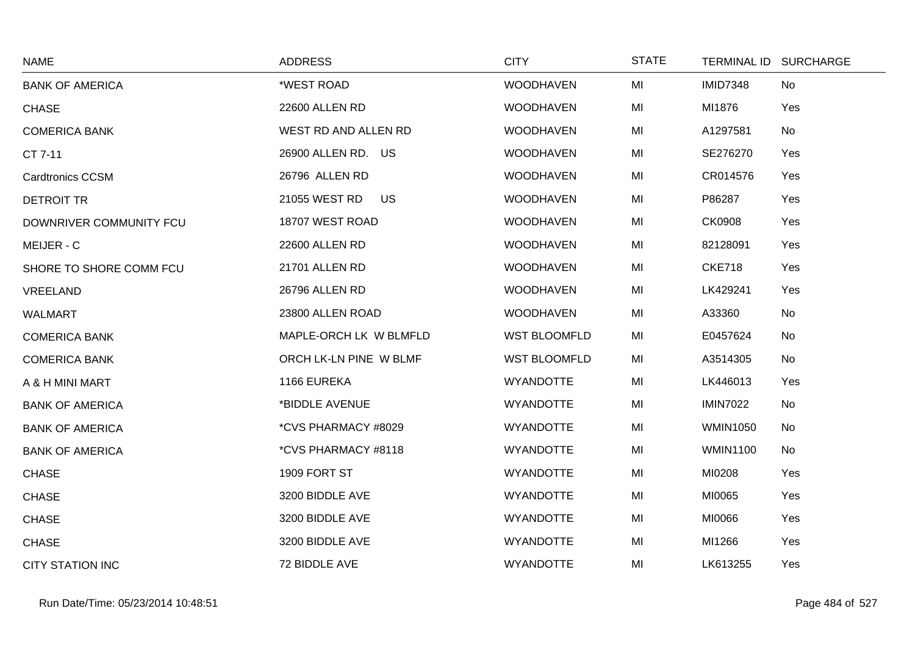| <b>NAME</b>             | <b>ADDRESS</b>         | <b>CITY</b>         | <b>STATE</b> |                 | TERMINAL ID SURCHARGE |
|-------------------------|------------------------|---------------------|--------------|-----------------|-----------------------|
| <b>BANK OF AMERICA</b>  | *WEST ROAD             | <b>WOODHAVEN</b>    | MI           | <b>IMID7348</b> | No                    |
| <b>CHASE</b>            | 22600 ALLEN RD         | <b>WOODHAVEN</b>    | MI           | MI1876          | Yes                   |
| <b>COMERICA BANK</b>    | WEST RD AND ALLEN RD   | <b>WOODHAVEN</b>    | MI           | A1297581        | No                    |
| CT 7-11                 | 26900 ALLEN RD. US     | <b>WOODHAVEN</b>    | MI           | SE276270        | Yes                   |
| <b>Cardtronics CCSM</b> | 26796 ALLEN RD         | <b>WOODHAVEN</b>    | MI           | CR014576        | Yes                   |
| <b>DETROIT TR</b>       | 21055 WEST RD<br>US    | <b>WOODHAVEN</b>    | MI           | P86287          | Yes                   |
| DOWNRIVER COMMUNITY FCU | 18707 WEST ROAD        | <b>WOODHAVEN</b>    | MI           | <b>CK0908</b>   | Yes                   |
| MEIJER - C              | 22600 ALLEN RD         | <b>WOODHAVEN</b>    | MI           | 82128091        | Yes                   |
| SHORE TO SHORE COMM FCU | 21701 ALLEN RD         | <b>WOODHAVEN</b>    | MI           | <b>CKE718</b>   | Yes                   |
| VREELAND                | 26796 ALLEN RD         | <b>WOODHAVEN</b>    | MI           | LK429241        | Yes                   |
| <b>WALMART</b>          | 23800 ALLEN ROAD       | <b>WOODHAVEN</b>    | MI           | A33360          | No                    |
| <b>COMERICA BANK</b>    | MAPLE-ORCH LK W BLMFLD | <b>WST BLOOMFLD</b> | MI           | E0457624        | No                    |
| <b>COMERICA BANK</b>    | ORCH LK-LN PINE W BLMF | <b>WST BLOOMFLD</b> | MI           | A3514305        | No                    |
| A & H MINI MART         | 1166 EUREKA            | <b>WYANDOTTE</b>    | MI           | LK446013        | Yes                   |
| <b>BANK OF AMERICA</b>  | *BIDDLE AVENUE         | <b>WYANDOTTE</b>    | MI           | <b>IMIN7022</b> | No                    |
| <b>BANK OF AMERICA</b>  | *CVS PHARMACY #8029    | <b>WYANDOTTE</b>    | MI           | <b>WMIN1050</b> | No                    |
| <b>BANK OF AMERICA</b>  | *CVS PHARMACY #8118    | <b>WYANDOTTE</b>    | MI           | <b>WMIN1100</b> | No                    |
| <b>CHASE</b>            | 1909 FORT ST           | <b>WYANDOTTE</b>    | MI           | MI0208          | Yes                   |
| <b>CHASE</b>            | 3200 BIDDLE AVE        | <b>WYANDOTTE</b>    | MI           | MI0065          | Yes                   |
| <b>CHASE</b>            | 3200 BIDDLE AVE        | <b>WYANDOTTE</b>    | MI           | MI0066          | Yes                   |
| <b>CHASE</b>            | 3200 BIDDLE AVE        | <b>WYANDOTTE</b>    | MI           | MI1266          | Yes                   |
| <b>CITY STATION INC</b> | 72 BIDDLE AVE          | <b>WYANDOTTE</b>    | MI           | LK613255        | Yes                   |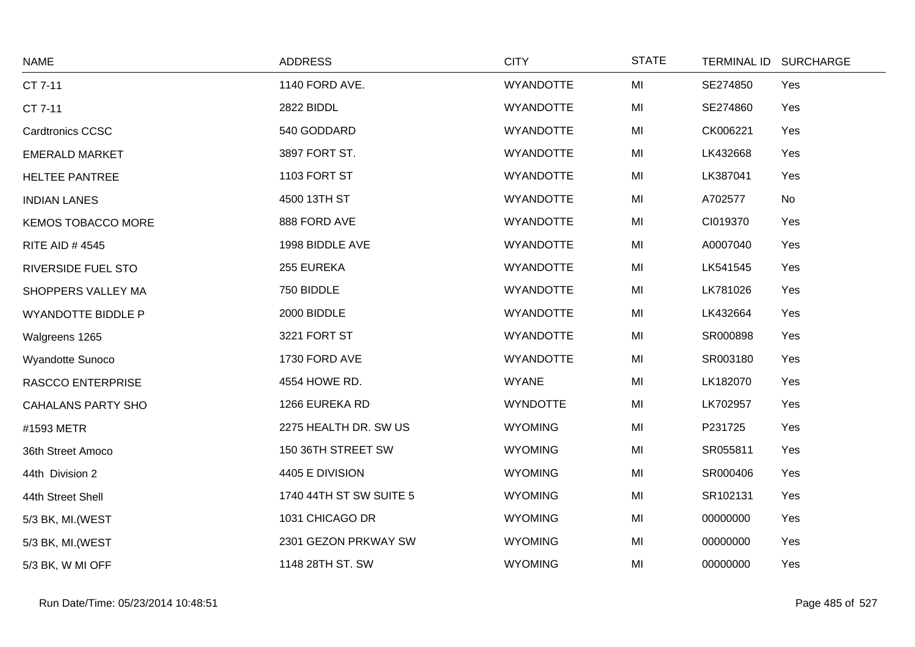| <b>NAME</b>               | <b>ADDRESS</b>          | <b>CITY</b>      | <b>STATE</b> | TERMINAL ID SURCHARGE |     |
|---------------------------|-------------------------|------------------|--------------|-----------------------|-----|
| CT 7-11                   | 1140 FORD AVE.          | <b>WYANDOTTE</b> | MI           | SE274850              | Yes |
| CT 7-11                   | 2822 BIDDL              | <b>WYANDOTTE</b> | MI           | SE274860              | Yes |
| <b>Cardtronics CCSC</b>   | 540 GODDARD             | <b>WYANDOTTE</b> | MI           | CK006221              | Yes |
| <b>EMERALD MARKET</b>     | 3897 FORT ST.           | <b>WYANDOTTE</b> | MI           | LK432668              | Yes |
| <b>HELTEE PANTREE</b>     | 1103 FORT ST            | <b>WYANDOTTE</b> | MI           | LK387041              | Yes |
| <b>INDIAN LANES</b>       | 4500 13TH ST            | <b>WYANDOTTE</b> | MI           | A702577               | No  |
| <b>KEMOS TOBACCO MORE</b> | 888 FORD AVE            | <b>WYANDOTTE</b> | MI           | CI019370              | Yes |
| <b>RITE AID #4545</b>     | 1998 BIDDLE AVE         | <b>WYANDOTTE</b> | MI           | A0007040              | Yes |
| RIVERSIDE FUEL STO        | 255 EUREKA              | <b>WYANDOTTE</b> | MI           | LK541545              | Yes |
| SHOPPERS VALLEY MA        | 750 BIDDLE              | <b>WYANDOTTE</b> | MI           | LK781026              | Yes |
| <b>WYANDOTTE BIDDLE P</b> | 2000 BIDDLE             | <b>WYANDOTTE</b> | MI           | LK432664              | Yes |
| Walgreens 1265            | 3221 FORT ST            | <b>WYANDOTTE</b> | MI           | SR000898              | Yes |
| Wyandotte Sunoco          | 1730 FORD AVE           | <b>WYANDOTTE</b> | MI           | SR003180              | Yes |
| <b>RASCCO ENTERPRISE</b>  | 4554 HOWE RD.           | <b>WYANE</b>     | MI           | LK182070              | Yes |
| <b>CAHALANS PARTY SHO</b> | 1266 EUREKA RD          | <b>WYNDOTTE</b>  | MI           | LK702957              | Yes |
| #1593 METR                | 2275 HEALTH DR. SW US   | <b>WYOMING</b>   | MI           | P231725               | Yes |
| 36th Street Amoco         | 150 36TH STREET SW      | <b>WYOMING</b>   | MI           | SR055811              | Yes |
| 44th Division 2           | 4405 E DIVISION         | <b>WYOMING</b>   | MI           | SR000406              | Yes |
| 44th Street Shell         | 1740 44TH ST SW SUITE 5 | <b>WYOMING</b>   | MI           | SR102131              | Yes |
| 5/3 BK, MI.(WEST          | 1031 CHICAGO DR         | <b>WYOMING</b>   | MI           | 00000000              | Yes |
| 5/3 BK, MI. (WEST         | 2301 GEZON PRKWAY SW    | <b>WYOMING</b>   | MI           | 00000000              | Yes |
| 5/3 BK, W MI OFF          | 1148 28TH ST. SW        | <b>WYOMING</b>   | MI           | 00000000              | Yes |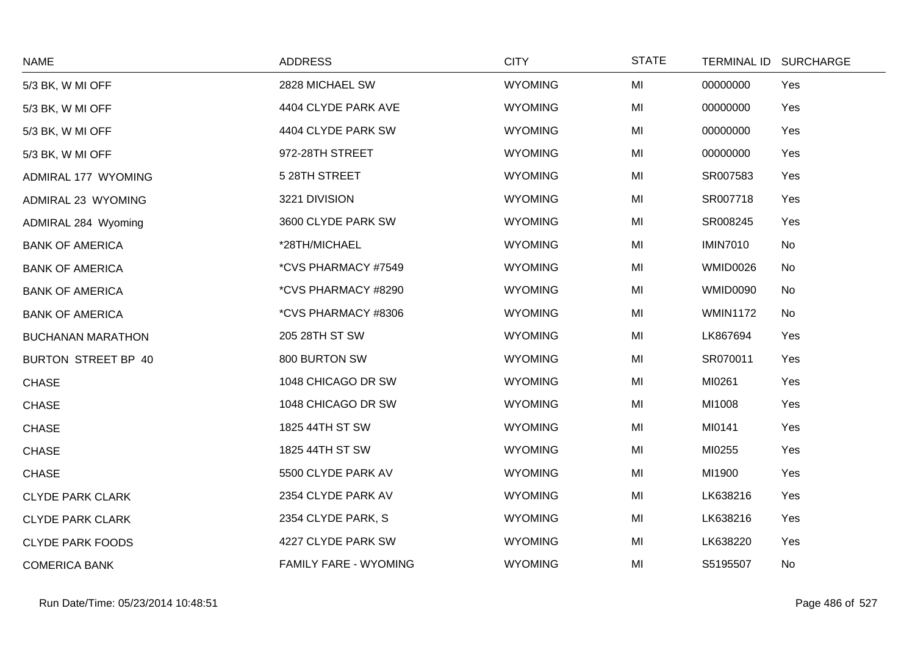| <b>NAME</b>              | <b>ADDRESS</b>               | <b>CITY</b>    | <b>STATE</b> |                 | TERMINAL ID SURCHARGE |
|--------------------------|------------------------------|----------------|--------------|-----------------|-----------------------|
| 5/3 BK, W MI OFF         | 2828 MICHAEL SW              | <b>WYOMING</b> | MI           | 00000000        | Yes                   |
| 5/3 BK, W MI OFF         | 4404 CLYDE PARK AVE          | <b>WYOMING</b> | MI           | 00000000        | Yes                   |
| 5/3 BK, W MI OFF         | 4404 CLYDE PARK SW           | <b>WYOMING</b> | MI           | 00000000        | Yes                   |
| 5/3 BK, W MI OFF         | 972-28TH STREET              | <b>WYOMING</b> | MI           | 00000000        | Yes                   |
| ADMIRAL 177 WYOMING      | 5 28TH STREET                | <b>WYOMING</b> | MI           | SR007583        | Yes                   |
| ADMIRAL 23 WYOMING       | 3221 DIVISION                | <b>WYOMING</b> | MI           | SR007718        | Yes                   |
| ADMIRAL 284 Wyoming      | 3600 CLYDE PARK SW           | <b>WYOMING</b> | MI           | SR008245        | Yes                   |
| <b>BANK OF AMERICA</b>   | *28TH/MICHAEL                | <b>WYOMING</b> | MI           | <b>IMIN7010</b> | No                    |
| <b>BANK OF AMERICA</b>   | *CVS PHARMACY #7549          | <b>WYOMING</b> | MI           | <b>WMID0026</b> | No                    |
| <b>BANK OF AMERICA</b>   | *CVS PHARMACY #8290          | <b>WYOMING</b> | MI           | <b>WMID0090</b> | No                    |
| <b>BANK OF AMERICA</b>   | *CVS PHARMACY #8306          | <b>WYOMING</b> | MI           | <b>WMIN1172</b> | No                    |
| <b>BUCHANAN MARATHON</b> | 205 28TH ST SW               | <b>WYOMING</b> | MI           | LK867694        | Yes                   |
| BURTON STREET BP 40      | 800 BURTON SW                | <b>WYOMING</b> | MI           | SR070011        | Yes                   |
| <b>CHASE</b>             | 1048 CHICAGO DR SW           | <b>WYOMING</b> | MI           | MI0261          | Yes                   |
| <b>CHASE</b>             | 1048 CHICAGO DR SW           | <b>WYOMING</b> | MI           | MI1008          | Yes                   |
| <b>CHASE</b>             | 1825 44TH ST SW              | <b>WYOMING</b> | MI           | MI0141          | Yes                   |
| <b>CHASE</b>             | 1825 44TH ST SW              | <b>WYOMING</b> | MI           | MI0255          | Yes                   |
| <b>CHASE</b>             | 5500 CLYDE PARK AV           | <b>WYOMING</b> | MI           | MI1900          | Yes                   |
| <b>CLYDE PARK CLARK</b>  | 2354 CLYDE PARK AV           | <b>WYOMING</b> | MI           | LK638216        | Yes                   |
| <b>CLYDE PARK CLARK</b>  | 2354 CLYDE PARK, S           | <b>WYOMING</b> | MI           | LK638216        | Yes                   |
| <b>CLYDE PARK FOODS</b>  | 4227 CLYDE PARK SW           | <b>WYOMING</b> | MI           | LK638220        | Yes                   |
| <b>COMERICA BANK</b>     | <b>FAMILY FARE - WYOMING</b> | <b>WYOMING</b> | MI           | S5195507        | No                    |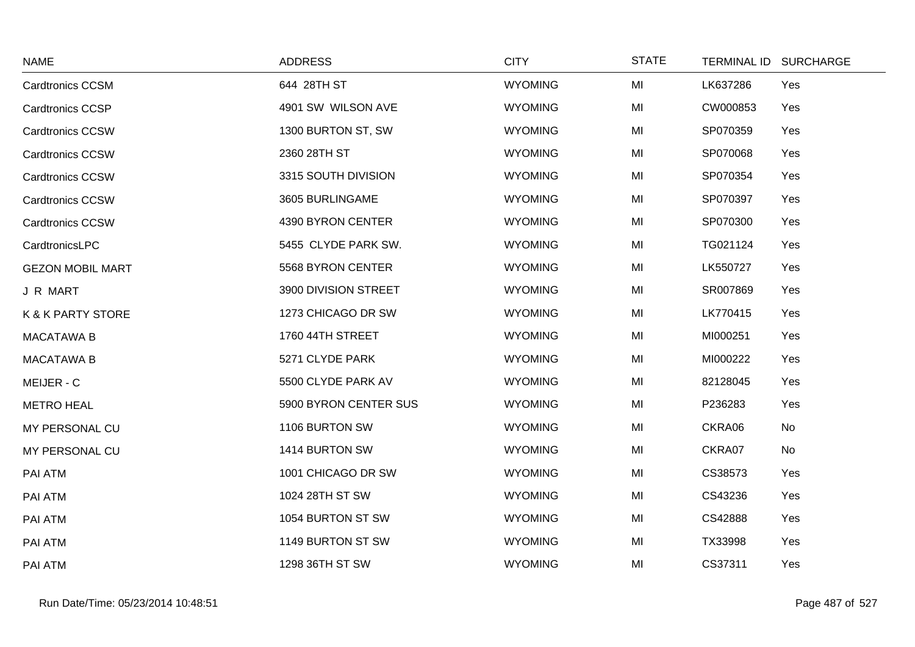| <b>NAME</b>                  | <b>ADDRESS</b>        | <b>CITY</b>    | <b>STATE</b> | TERMINAL ID SURCHARGE |  |
|------------------------------|-----------------------|----------------|--------------|-----------------------|--|
| Cardtronics CCSM             | 644 28TH ST           | <b>WYOMING</b> | MI           | LK637286<br>Yes       |  |
| <b>Cardtronics CCSP</b>      | 4901 SW WILSON AVE    | <b>WYOMING</b> | MI           | CW000853<br>Yes       |  |
| <b>Cardtronics CCSW</b>      | 1300 BURTON ST, SW    | <b>WYOMING</b> | MI           | SP070359<br>Yes       |  |
| <b>Cardtronics CCSW</b>      | 2360 28TH ST          | <b>WYOMING</b> | MI           | SP070068<br>Yes       |  |
| <b>Cardtronics CCSW</b>      | 3315 SOUTH DIVISION   | <b>WYOMING</b> | MI           | SP070354<br>Yes       |  |
| <b>Cardtronics CCSW</b>      | 3605 BURLINGAME       | <b>WYOMING</b> | MI           | SP070397<br>Yes       |  |
| <b>Cardtronics CCSW</b>      | 4390 BYRON CENTER     | <b>WYOMING</b> | MI           | SP070300<br>Yes       |  |
| CardtronicsLPC               | 5455 CLYDE PARK SW.   | <b>WYOMING</b> | MI           | TG021124<br>Yes       |  |
| <b>GEZON MOBIL MART</b>      | 5568 BYRON CENTER     | <b>WYOMING</b> | MI           | LK550727<br>Yes       |  |
| J R MART                     | 3900 DIVISION STREET  | <b>WYOMING</b> | MI           | SR007869<br>Yes       |  |
| <b>K &amp; K PARTY STORE</b> | 1273 CHICAGO DR SW    | <b>WYOMING</b> | MI           | LK770415<br>Yes       |  |
| <b>MACATAWA B</b>            | 1760 44TH STREET      | <b>WYOMING</b> | MI           | MI000251<br>Yes       |  |
| <b>MACATAWA B</b>            | 5271 CLYDE PARK       | <b>WYOMING</b> | MI           | MI000222<br>Yes       |  |
| MEIJER - C                   | 5500 CLYDE PARK AV    | <b>WYOMING</b> | MI           | 82128045<br>Yes       |  |
| <b>METRO HEAL</b>            | 5900 BYRON CENTER SUS | <b>WYOMING</b> | MI           | P236283<br>Yes        |  |
| MY PERSONAL CU               | 1106 BURTON SW        | <b>WYOMING</b> | MI           | CKRA06<br>No          |  |
| MY PERSONAL CU               | 1414 BURTON SW        | <b>WYOMING</b> | MI           | CKRA07<br>No          |  |
| PAI ATM                      | 1001 CHICAGO DR SW    | <b>WYOMING</b> | MI           | CS38573<br>Yes        |  |
| PAI ATM                      | 1024 28TH ST SW       | <b>WYOMING</b> | MI           | CS43236<br>Yes        |  |
| PAI ATM                      | 1054 BURTON ST SW     | <b>WYOMING</b> | MI           | CS42888<br>Yes        |  |
| PAI ATM                      | 1149 BURTON ST SW     | <b>WYOMING</b> | MI           | TX33998<br>Yes        |  |
| PAI ATM                      | 1298 36TH ST SW       | <b>WYOMING</b> | MI           | CS37311<br>Yes        |  |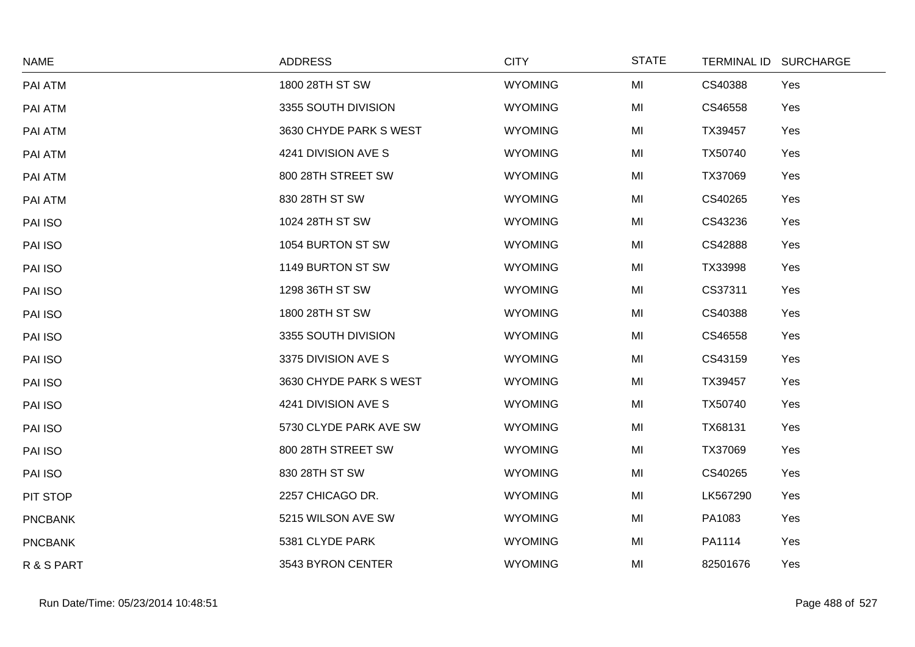| <b>NAME</b>    | <b>ADDRESS</b>         | <b>CITY</b>    | <b>STATE</b> |          | TERMINAL ID SURCHARGE |
|----------------|------------------------|----------------|--------------|----------|-----------------------|
| PAI ATM        | 1800 28TH ST SW        | <b>WYOMING</b> | MI           | CS40388  | Yes                   |
| PAI ATM        | 3355 SOUTH DIVISION    | <b>WYOMING</b> | MI           | CS46558  | Yes                   |
| PAI ATM        | 3630 CHYDE PARK S WEST | <b>WYOMING</b> | MI           | TX39457  | Yes                   |
| PAI ATM        | 4241 DIVISION AVE S    | <b>WYOMING</b> | MI           | TX50740  | Yes                   |
| PAI ATM        | 800 28TH STREET SW     | <b>WYOMING</b> | MI           | TX37069  | Yes                   |
| PAI ATM        | 830 28TH ST SW         | <b>WYOMING</b> | MI           | CS40265  | Yes                   |
| PAI ISO        | 1024 28TH ST SW        | <b>WYOMING</b> | MI           | CS43236  | Yes                   |
| PAI ISO        | 1054 BURTON ST SW      | <b>WYOMING</b> | MI           | CS42888  | Yes                   |
| PAI ISO        | 1149 BURTON ST SW      | <b>WYOMING</b> | MI           | TX33998  | Yes                   |
| PAI ISO        | 1298 36TH ST SW        | <b>WYOMING</b> | MI           | CS37311  | Yes                   |
| PAI ISO        | 1800 28TH ST SW        | <b>WYOMING</b> | MI           | CS40388  | Yes                   |
| PAI ISO        | 3355 SOUTH DIVISION    | <b>WYOMING</b> | MI           | CS46558  | Yes                   |
| PAI ISO        | 3375 DIVISION AVE S    | <b>WYOMING</b> | MI           | CS43159  | Yes                   |
| PAI ISO        | 3630 CHYDE PARK S WEST | <b>WYOMING</b> | MI           | TX39457  | Yes                   |
| PAI ISO        | 4241 DIVISION AVE S    | <b>WYOMING</b> | MI           | TX50740  | Yes                   |
| PAI ISO        | 5730 CLYDE PARK AVE SW | <b>WYOMING</b> | MI           | TX68131  | Yes                   |
| PAI ISO        | 800 28TH STREET SW     | <b>WYOMING</b> | MI           | TX37069  | Yes                   |
| PAI ISO        | 830 28TH ST SW         | <b>WYOMING</b> | MI           | CS40265  | Yes                   |
| PIT STOP       | 2257 CHICAGO DR.       | <b>WYOMING</b> | MI           | LK567290 | Yes                   |
| <b>PNCBANK</b> | 5215 WILSON AVE SW     | <b>WYOMING</b> | MI           | PA1083   | Yes                   |
| <b>PNCBANK</b> | 5381 CLYDE PARK        | <b>WYOMING</b> | MI           | PA1114   | Yes                   |
| R & S PART     | 3543 BYRON CENTER      | <b>WYOMING</b> | MI           | 82501676 | Yes                   |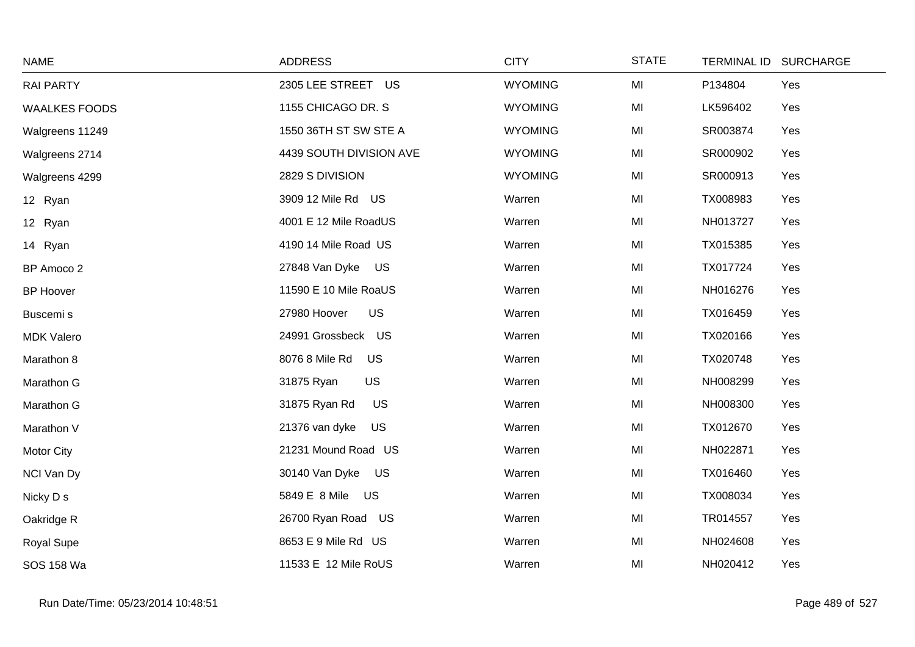| <b>NAME</b>          | <b>ADDRESS</b>              | <b>CITY</b>    | <b>STATE</b> | <b>TERMINAL ID</b><br><b>SURCHARGE</b> |  |
|----------------------|-----------------------------|----------------|--------------|----------------------------------------|--|
| <b>RAI PARTY</b>     | 2305 LEE STREET US          | <b>WYOMING</b> | MI           | P134804<br>Yes                         |  |
| <b>WAALKES FOODS</b> | 1155 CHICAGO DR. S          | <b>WYOMING</b> | MI           | LK596402<br>Yes                        |  |
| Walgreens 11249      | 1550 36TH ST SW STE A       | <b>WYOMING</b> | MI           | SR003874<br>Yes                        |  |
| Walgreens 2714       | 4439 SOUTH DIVISION AVE     | <b>WYOMING</b> | MI           | SR000902<br>Yes                        |  |
| Walgreens 4299       | 2829 S DIVISION             | <b>WYOMING</b> | MI           | SR000913<br>Yes                        |  |
| 12 Ryan              | 3909 12 Mile Rd US          | Warren         | MI           | TX008983<br>Yes                        |  |
| 12 Ryan              | 4001 E 12 Mile RoadUS       | Warren         | MI           | NH013727<br>Yes                        |  |
| 14 Ryan              | 4190 14 Mile Road US        | Warren         | MI           | TX015385<br>Yes                        |  |
| BP Amoco 2           | 27848 Van Dyke<br><b>US</b> | Warren         | MI           | TX017724<br>Yes                        |  |
| <b>BP Hoover</b>     | 11590 E 10 Mile RoaUS       | Warren         | MI           | NH016276<br>Yes                        |  |
| Buscemi s            | <b>US</b><br>27980 Hoover   | Warren         | MI           | Yes<br>TX016459                        |  |
| <b>MDK Valero</b>    | 24991 Grossbeck US          | Warren         | MI           | Yes<br>TX020166                        |  |
| Marathon 8           | 8076 8 Mile Rd<br>US        | Warren         | MI           | TX020748<br>Yes                        |  |
| Marathon G           | <b>US</b><br>31875 Ryan     | Warren         | MI           | NH008299<br>Yes                        |  |
| Marathon G           | 31875 Ryan Rd<br><b>US</b>  | Warren         | MI           | NH008300<br>Yes                        |  |
| Marathon V           | 21376 van dyke<br><b>US</b> | Warren         | MI           | TX012670<br>Yes                        |  |
| Motor City           | 21231 Mound Road US         | Warren         | MI           | NH022871<br>Yes                        |  |
| NCI Van Dy           | 30140 Van Dyke US           | Warren         | MI           | TX016460<br>Yes                        |  |
| Nicky D s            | 5849 E 8 Mile US            | Warren         | MI           | TX008034<br>Yes                        |  |
| Oakridge R           | 26700 Ryan Road US          | Warren         | MI           | TR014557<br>Yes                        |  |
| <b>Royal Supe</b>    | 8653 E 9 Mile Rd US         | Warren         | MI           | NH024608<br>Yes                        |  |
| SOS 158 Wa           | 11533 E 12 Mile RoUS        | Warren         | MI           | NH020412<br>Yes                        |  |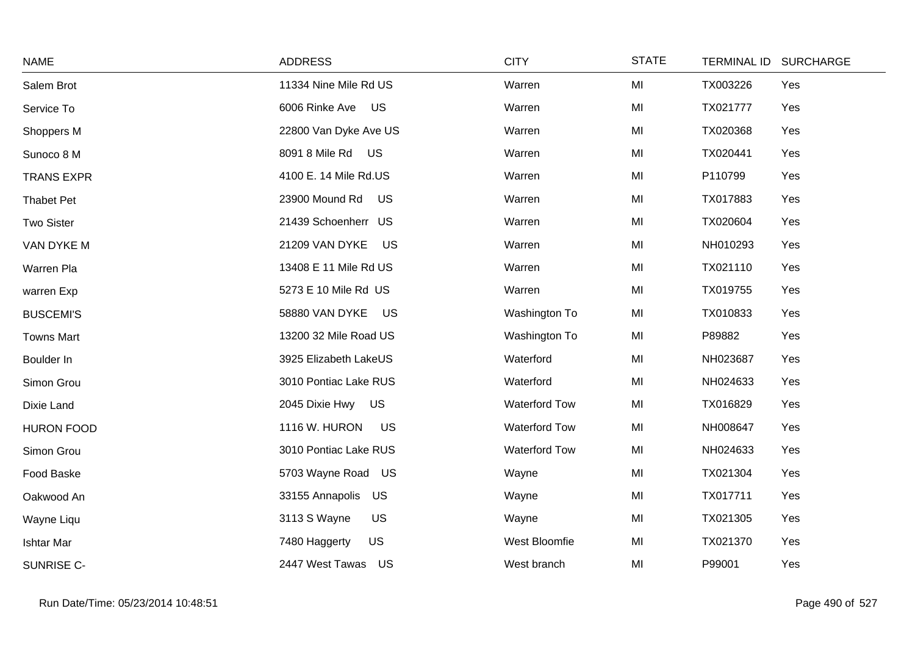| <b>NAME</b>       | <b>ADDRESS</b>              | <b>CITY</b>          | <b>STATE</b> | <b>TERMINAL ID</b><br><b>SURCHARGE</b> |
|-------------------|-----------------------------|----------------------|--------------|----------------------------------------|
| Salem Brot        | 11334 Nine Mile Rd US       | Warren               | MI           | Yes<br>TX003226                        |
| Service To        | 6006 Rinke Ave US           | Warren               | MI           | TX021777<br>Yes                        |
| Shoppers M        | 22800 Van Dyke Ave US       | Warren               | MI           | TX020368<br>Yes                        |
| Sunoco 8 M        | 8091 8 Mile Rd US           | Warren               | MI           | Yes<br>TX020441                        |
| <b>TRANS EXPR</b> | 4100 E. 14 Mile Rd.US       | Warren               | MI           | P110799<br>Yes                         |
| <b>Thabet Pet</b> | 23900 Mound Rd<br><b>US</b> | Warren               | MI           | TX017883<br>Yes                        |
| <b>Two Sister</b> | 21439 Schoenherr US         | Warren               | MI           | Yes<br>TX020604                        |
| VAN DYKE M        | 21209 VAN DYKE<br>US        | Warren               | MI           | NH010293<br>Yes                        |
| Warren Pla        | 13408 E 11 Mile Rd US       | Warren               | MI           | TX021110<br>Yes                        |
| warren Exp        | 5273 E 10 Mile Rd US        | Warren               | MI           | TX019755<br>Yes                        |
| <b>BUSCEMI'S</b>  | 58880 VAN DYKE<br>US        | Washington To        | MI           | TX010833<br>Yes                        |
| <b>Towns Mart</b> | 13200 32 Mile Road US       | Washington To        | MI           | P89882<br>Yes                          |
| Boulder In        | 3925 Elizabeth LakeUS       | Waterford            | MI           | NH023687<br>Yes                        |
| Simon Grou        | 3010 Pontiac Lake RUS       | Waterford            | MI           | NH024633<br>Yes                        |
| Dixie Land        | 2045 Dixie Hwy US           | <b>Waterford Tow</b> | MI           | TX016829<br>Yes                        |
| <b>HURON FOOD</b> | 1116 W. HURON<br><b>US</b>  | <b>Waterford Tow</b> | MI           | NH008647<br>Yes                        |
| Simon Grou        | 3010 Pontiac Lake RUS       | <b>Waterford Tow</b> | MI           | NH024633<br>Yes                        |
| Food Baske        | 5703 Wayne Road<br>US       | Wayne                | MI           | TX021304<br>Yes                        |
| Oakwood An        | 33155 Annapolis<br>US       | Wayne                | MI           | TX017711<br>Yes                        |
| Wayne Liqu        | US<br>3113 S Wayne          | Wayne                | MI           | TX021305<br>Yes                        |
| <b>Ishtar Mar</b> | <b>US</b><br>7480 Haggerty  | West Bloomfie        | MI           | TX021370<br>Yes                        |
| SUNRISE C-        | 2447 West Tawas<br>US       | West branch          | MI           | P99001<br>Yes                          |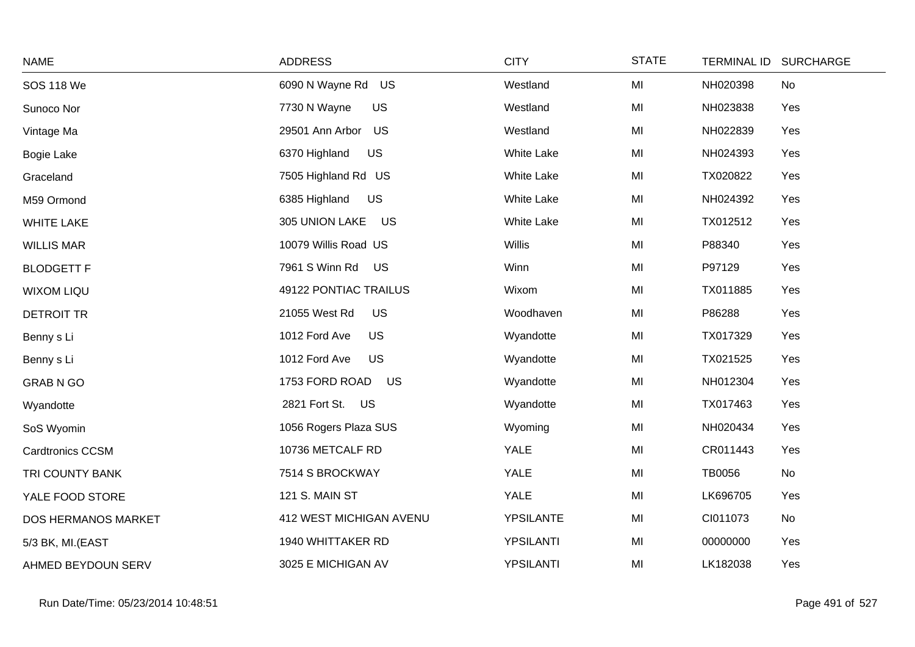| <b>NAME</b>             | <b>ADDRESS</b>              | <b>CITY</b>       | <b>STATE</b> | <b>TERMINAL ID</b><br><b>SURCHARGE</b> |
|-------------------------|-----------------------------|-------------------|--------------|----------------------------------------|
| <b>SOS 118 We</b>       | 6090 N Wayne Rd US          | Westland          | MI           | NH020398<br>No                         |
| Sunoco Nor              | 7730 N Wayne<br><b>US</b>   | Westland          | MI           | NH023838<br>Yes                        |
| Vintage Ma              | 29501 Ann Arbor<br>US       | Westland          | MI           | NH022839<br>Yes                        |
| <b>Bogie Lake</b>       | US<br>6370 Highland         | <b>White Lake</b> | MI           | NH024393<br>Yes                        |
| Graceland               | 7505 Highland Rd US         | White Lake        | MI           | TX020822<br>Yes                        |
| M59 Ormond              | <b>US</b><br>6385 Highland  | <b>White Lake</b> | MI           | NH024392<br>Yes                        |
| <b>WHITE LAKE</b>       | 305 UNION LAKE<br>US        | <b>White Lake</b> | MI           | TX012512<br>Yes                        |
| <b>WILLIS MAR</b>       | 10079 Willis Road US        | Willis            | MI           | P88340<br>Yes                          |
| <b>BLODGETT F</b>       | 7961 S Winn Rd<br><b>US</b> | Winn              | MI           | P97129<br>Yes                          |
| <b>WIXOM LIQU</b>       | 49122 PONTIAC TRAILUS       | Wixom             | MI           | TX011885<br>Yes                        |
| <b>DETROIT TR</b>       | <b>US</b><br>21055 West Rd  | Woodhaven         | MI           | P86288<br>Yes                          |
| Benny s Li              | 1012 Ford Ave<br><b>US</b>  | Wyandotte         | MI           | Yes<br>TX017329                        |
| Benny s Li              | <b>US</b><br>1012 Ford Ave  | Wyandotte         | MI           | TX021525<br>Yes                        |
| <b>GRAB N GO</b>        | 1753 FORD ROAD<br>US        | Wyandotte         | MI           | NH012304<br>Yes                        |
| Wyandotte               | 2821 Fort St. US            | Wyandotte         | MI           | TX017463<br>Yes                        |
| SoS Wyomin              | 1056 Rogers Plaza SUS       | Wyoming           | MI           | NH020434<br>Yes                        |
| <b>Cardtronics CCSM</b> | 10736 METCALF RD            | <b>YALE</b>       | MI           | CR011443<br>Yes                        |
| TRI COUNTY BANK         | 7514 S BROCKWAY             | <b>YALE</b>       | MI           | TB0056<br>No                           |
| YALE FOOD STORE         | <b>121 S. MAIN ST</b>       | <b>YALE</b>       | MI           | LK696705<br>Yes                        |
| DOS HERMANOS MARKET     | 412 WEST MICHIGAN AVENU     | <b>YPSILANTE</b>  | MI           | CI011073<br>No                         |
| 5/3 BK, MI.(EAST        | 1940 WHITTAKER RD           | <b>YPSILANTI</b>  | MI           | 00000000<br>Yes                        |
| AHMED BEYDOUN SERV      | 3025 E MICHIGAN AV          | YPSILANTI         | MI           | LK182038<br>Yes                        |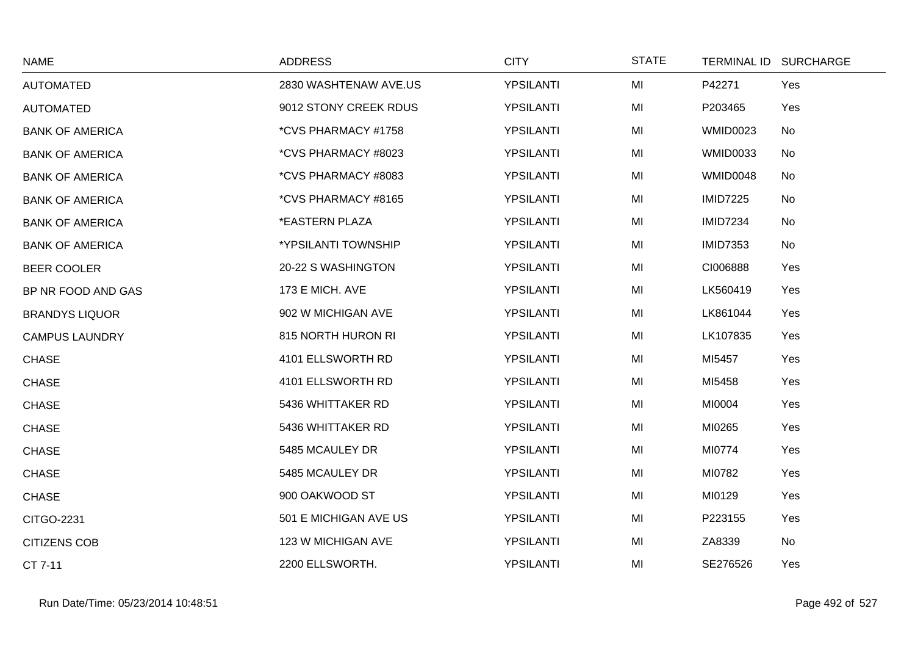| <b>NAME</b>            | <b>ADDRESS</b>        | <b>CITY</b>      | <b>STATE</b> |                 | TERMINAL ID SURCHARGE |
|------------------------|-----------------------|------------------|--------------|-----------------|-----------------------|
| <b>AUTOMATED</b>       | 2830 WASHTENAW AVE.US | <b>YPSILANTI</b> | MI           | P42271          | Yes                   |
| <b>AUTOMATED</b>       | 9012 STONY CREEK RDUS | <b>YPSILANTI</b> | MI           | P203465         | Yes                   |
| <b>BANK OF AMERICA</b> | *CVS PHARMACY #1758   | <b>YPSILANTI</b> | MI           | <b>WMID0023</b> | No                    |
| <b>BANK OF AMERICA</b> | *CVS PHARMACY #8023   | <b>YPSILANTI</b> | MI           | <b>WMID0033</b> | No                    |
| <b>BANK OF AMERICA</b> | *CVS PHARMACY #8083   | <b>YPSILANTI</b> | MI           | WMID0048        | No                    |
| <b>BANK OF AMERICA</b> | *CVS PHARMACY #8165   | <b>YPSILANTI</b> | MI           | <b>IMID7225</b> | No                    |
| <b>BANK OF AMERICA</b> | *EASTERN PLAZA        | YPSILANTI        | MI           | <b>IMID7234</b> | No                    |
| <b>BANK OF AMERICA</b> | *YPSILANTI TOWNSHIP   | <b>YPSILANTI</b> | MI           | <b>IMID7353</b> | No                    |
| BEER COOLER            | 20-22 S WASHINGTON    | <b>YPSILANTI</b> | MI           | CI006888        | Yes                   |
| BP NR FOOD AND GAS     | 173 E MICH. AVE       | YPSILANTI        | MI           | LK560419        | Yes                   |
| <b>BRANDYS LIQUOR</b>  | 902 W MICHIGAN AVE    | <b>YPSILANTI</b> | MI           | LK861044        | Yes                   |
| <b>CAMPUS LAUNDRY</b>  | 815 NORTH HURON RI    | <b>YPSILANTI</b> | MI           | LK107835        | Yes                   |
| <b>CHASE</b>           | 4101 ELLSWORTH RD     | YPSILANTI        | MI           | MI5457          | Yes                   |
| <b>CHASE</b>           | 4101 ELLSWORTH RD     | <b>YPSILANTI</b> | MI           | MI5458          | Yes                   |
| <b>CHASE</b>           | 5436 WHITTAKER RD     | <b>YPSILANTI</b> | MI           | MI0004          | Yes                   |
| <b>CHASE</b>           | 5436 WHITTAKER RD     | <b>YPSILANTI</b> | MI           | MI0265          | Yes                   |
| <b>CHASE</b>           | 5485 MCAULEY DR       | <b>YPSILANTI</b> | MI           | MI0774          | Yes                   |
| <b>CHASE</b>           | 5485 MCAULEY DR       | <b>YPSILANTI</b> | MI           | MI0782          | Yes                   |
| <b>CHASE</b>           | 900 OAKWOOD ST        | <b>YPSILANTI</b> | MI           | MI0129          | Yes                   |
| <b>CITGO-2231</b>      | 501 E MICHIGAN AVE US | <b>YPSILANTI</b> | MI           | P223155         | Yes                   |
| <b>CITIZENS COB</b>    | 123 W MICHIGAN AVE    | <b>YPSILANTI</b> | MI           | ZA8339          | No                    |
| CT 7-11                | 2200 ELLSWORTH.       | YPSILANTI        | MI           | SE276526        | Yes                   |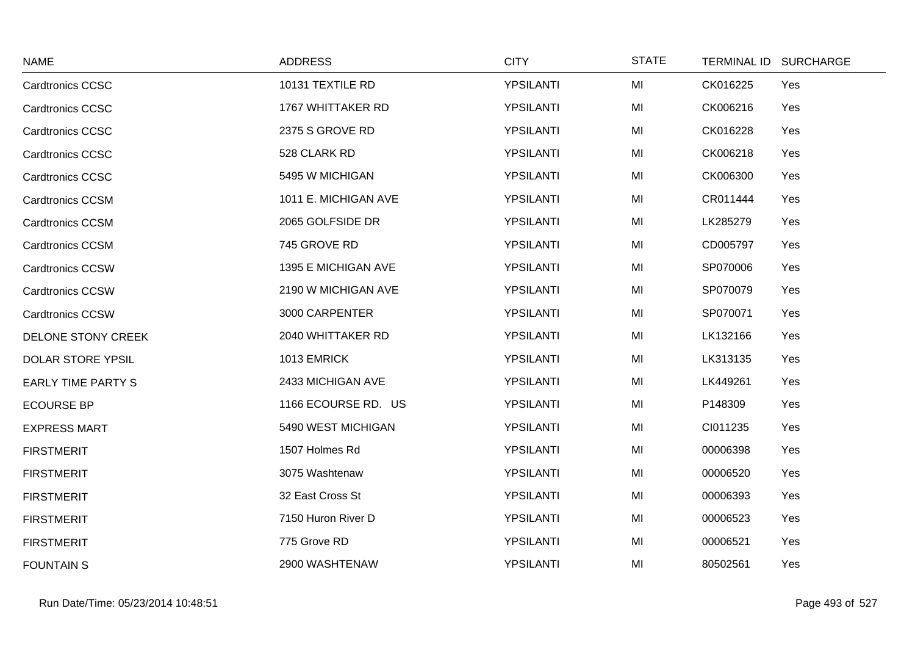| <b>NAME</b>               | <b>ADDRESS</b>       | <b>CITY</b>      | <b>STATE</b> | <b>TERMINAL ID</b> | <b>SURCHARGE</b> |
|---------------------------|----------------------|------------------|--------------|--------------------|------------------|
| <b>Cardtronics CCSC</b>   | 10131 TEXTILE RD     | YPSILANTI        | MI           | CK016225           | Yes              |
| <b>Cardtronics CCSC</b>   | 1767 WHITTAKER RD    | <b>YPSILANTI</b> | MI           | CK006216           | Yes              |
| <b>Cardtronics CCSC</b>   | 2375 S GROVE RD      | YPSILANTI        | MI           | CK016228           | Yes              |
| <b>Cardtronics CCSC</b>   | 528 CLARK RD         | YPSILANTI        | MI           | CK006218           | Yes              |
| <b>Cardtronics CCSC</b>   | 5495 W MICHIGAN      | <b>YPSILANTI</b> | MI           | CK006300           | Yes              |
| <b>Cardtronics CCSM</b>   | 1011 E. MICHIGAN AVE | <b>YPSILANTI</b> | MI           | CR011444           | Yes              |
| <b>Cardtronics CCSM</b>   | 2065 GOLFSIDE DR     | YPSILANTI        | MI           | LK285279           | Yes              |
| <b>Cardtronics CCSM</b>   | 745 GROVE RD         | YPSILANTI        | MI           | CD005797           | Yes              |
| <b>Cardtronics CCSW</b>   | 1395 E MICHIGAN AVE  | YPSILANTI        | MI           | SP070006           | Yes              |
| <b>Cardtronics CCSW</b>   | 2190 W MICHIGAN AVE  | YPSILANTI        | MI           | SP070079           | Yes              |
| <b>Cardtronics CCSW</b>   | 3000 CARPENTER       | YPSILANTI        | MI           | SP070071           | Yes              |
| DELONE STONY CREEK        | 2040 WHITTAKER RD    | <b>YPSILANTI</b> | MI           | LK132166           | Yes              |
| <b>DOLAR STORE YPSIL</b>  | 1013 EMRICK          | YPSILANTI        | MI           | LK313135           | Yes              |
| <b>EARLY TIME PARTY S</b> | 2433 MICHIGAN AVE    | <b>YPSILANTI</b> | MI           | LK449261           | Yes              |
| <b>ECOURSE BP</b>         | 1166 ECOURSE RD. US  | <b>YPSILANTI</b> | MI           | P148309            | Yes              |
| <b>EXPRESS MART</b>       | 5490 WEST MICHIGAN   | YPSILANTI        | MI           | CI011235           | Yes              |
| <b>FIRSTMERIT</b>         | 1507 Holmes Rd       | YPSILANTI        | MI           | 00006398           | Yes              |
| <b>FIRSTMERIT</b>         | 3075 Washtenaw       | YPSILANTI        | MI           | 00006520           | Yes              |
| <b>FIRSTMERIT</b>         | 32 East Cross St     | YPSILANTI        | MI           | 00006393           | Yes              |
| <b>FIRSTMERIT</b>         | 7150 Huron River D   | YPSILANTI        | MI           | 00006523           | Yes              |
| <b>FIRSTMERIT</b>         | 775 Grove RD         | <b>YPSILANTI</b> | MI           | 00006521           | Yes              |
| <b>FOUNTAINS</b>          | 2900 WASHTENAW       | YPSILANTI        | MI           | 80502561           | Yes              |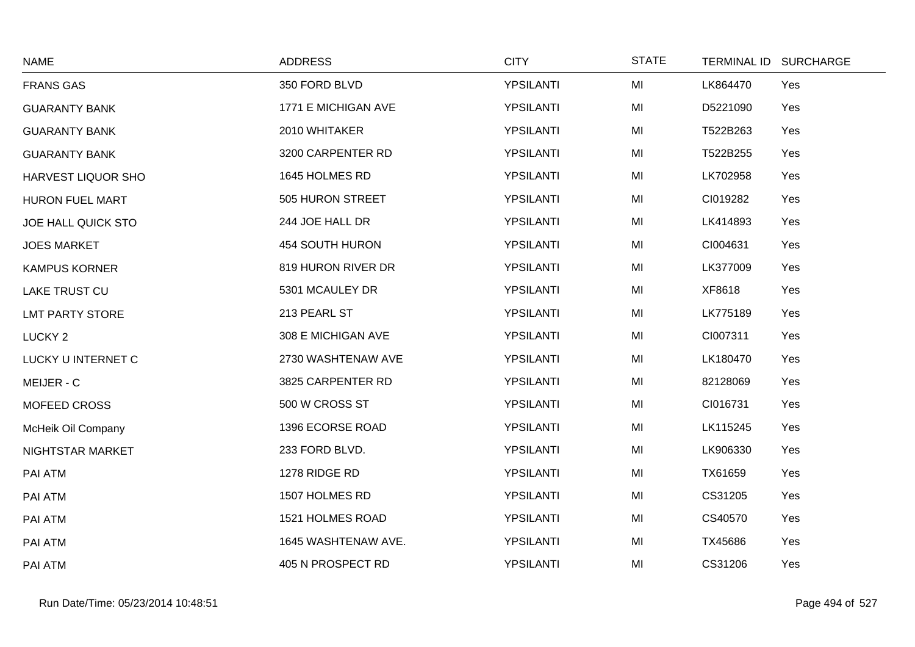| <b>NAME</b>               | <b>ADDRESS</b>      | <b>CITY</b>      | <b>STATE</b> | TERMINAL ID SURCHARGE |  |
|---------------------------|---------------------|------------------|--------------|-----------------------|--|
| <b>FRANS GAS</b>          | 350 FORD BLVD       | <b>YPSILANTI</b> | MI           | LK864470<br>Yes       |  |
| <b>GUARANTY BANK</b>      | 1771 E MICHIGAN AVE | <b>YPSILANTI</b> | MI           | D5221090<br>Yes       |  |
| <b>GUARANTY BANK</b>      | 2010 WHITAKER       | <b>YPSILANTI</b> | MI           | T522B263<br>Yes       |  |
| <b>GUARANTY BANK</b>      | 3200 CARPENTER RD   | <b>YPSILANTI</b> | MI           | T522B255<br>Yes       |  |
| HARVEST LIQUOR SHO        | 1645 HOLMES RD      | <b>YPSILANTI</b> | MI           | LK702958<br>Yes       |  |
| HURON FUEL MART           | 505 HURON STREET    | <b>YPSILANTI</b> | MI           | CI019282<br>Yes       |  |
| <b>JOE HALL QUICK STO</b> | 244 JOE HALL DR     | YPSILANTI        | MI           | LK414893<br>Yes       |  |
| <b>JOES MARKET</b>        | 454 SOUTH HURON     | <b>YPSILANTI</b> | MI           | CI004631<br>Yes       |  |
| <b>KAMPUS KORNER</b>      | 819 HURON RIVER DR  | <b>YPSILANTI</b> | MI           | LK377009<br>Yes       |  |
| <b>LAKE TRUST CU</b>      | 5301 MCAULEY DR     | YPSILANTI        | MI           | XF8618<br>Yes         |  |
| <b>LMT PARTY STORE</b>    | 213 PEARL ST        | <b>YPSILANTI</b> | MI           | LK775189<br>Yes       |  |
| LUCKY <sub>2</sub>        | 308 E MICHIGAN AVE  | <b>YPSILANTI</b> | MI           | CI007311<br>Yes       |  |
| LUCKY U INTERNET C        | 2730 WASHTENAW AVE  | YPSILANTI        | MI           | LK180470<br>Yes       |  |
| MEIJER - C                | 3825 CARPENTER RD   | <b>YPSILANTI</b> | MI           | Yes<br>82128069       |  |
| MOFEED CROSS              | 500 W CROSS ST      | <b>YPSILANTI</b> | MI           | CI016731<br>Yes       |  |
| McHeik Oil Company        | 1396 ECORSE ROAD    | <b>YPSILANTI</b> | MI           | LK115245<br>Yes       |  |
| NIGHTSTAR MARKET          | 233 FORD BLVD.      | <b>YPSILANTI</b> | MI           | Yes<br>LK906330       |  |
| PAI ATM                   | 1278 RIDGE RD       | YPSILANTI        | MI           | TX61659<br>Yes        |  |
| PAI ATM                   | 1507 HOLMES RD      | <b>YPSILANTI</b> | MI           | CS31205<br>Yes        |  |
| PAI ATM                   | 1521 HOLMES ROAD    | <b>YPSILANTI</b> | MI           | CS40570<br>Yes        |  |
| PAI ATM                   | 1645 WASHTENAW AVE. | <b>YPSILANTI</b> | MI           | TX45686<br>Yes        |  |
| PAI ATM                   | 405 N PROSPECT RD   | YPSILANTI        | MI           | CS31206<br>Yes        |  |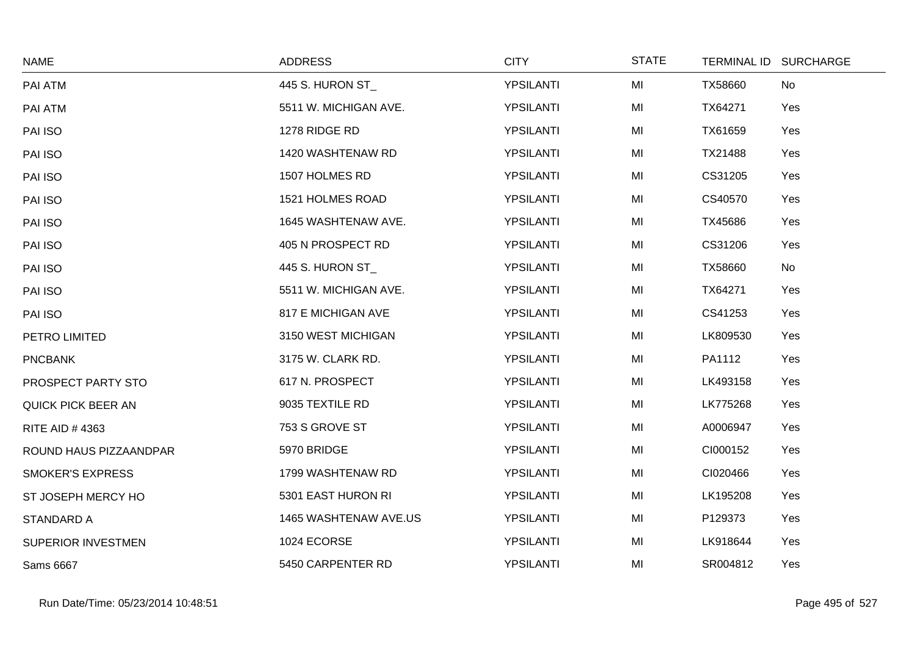| <b>NAME</b>               | <b>ADDRESS</b>        | <b>CITY</b> | <b>STATE</b> |          | TERMINAL ID SURCHARGE |
|---------------------------|-----------------------|-------------|--------------|----------|-----------------------|
| PAI ATM                   | 445 S. HURON ST_      | YPSILANTI   | MI           | TX58660  | <b>No</b>             |
| PAI ATM                   | 5511 W. MICHIGAN AVE. | YPSILANTI   | MI           | TX64271  | Yes                   |
| PAI ISO                   | 1278 RIDGE RD         | YPSILANTI   | MI           | TX61659  | Yes                   |
| PAI ISO                   | 1420 WASHTENAW RD     | YPSILANTI   | MI           | TX21488  | Yes                   |
| PAI ISO                   | 1507 HOLMES RD        | YPSILANTI   | MI           | CS31205  | Yes                   |
| PAI ISO                   | 1521 HOLMES ROAD      | YPSILANTI   | MI           | CS40570  | Yes                   |
| PAI ISO                   | 1645 WASHTENAW AVE.   | YPSILANTI   | MI           | TX45686  | Yes                   |
| PAI ISO                   | 405 N PROSPECT RD     | YPSILANTI   | MI           | CS31206  | Yes                   |
| PAI ISO                   | 445 S. HURON ST_      | YPSILANTI   | MI           | TX58660  | <b>No</b>             |
| PAI ISO                   | 5511 W. MICHIGAN AVE. | YPSILANTI   | MI           | TX64271  | Yes                   |
| PAI ISO                   | 817 E MICHIGAN AVE    | YPSILANTI   | MI           | CS41253  | Yes                   |
| PETRO LIMITED             | 3150 WEST MICHIGAN    | YPSILANTI   | MI           | LK809530 | Yes                   |
| <b>PNCBANK</b>            | 3175 W. CLARK RD.     | YPSILANTI   | MI           | PA1112   | Yes                   |
| PROSPECT PARTY STO        | 617 N. PROSPECT       | YPSILANTI   | MI           | LK493158 | Yes                   |
| <b>QUICK PICK BEER AN</b> | 9035 TEXTILE RD       | YPSILANTI   | MI           | LK775268 | Yes                   |
| RITE AID #4363            | 753 S GROVE ST        | YPSILANTI   | MI           | A0006947 | Yes                   |
| ROUND HAUS PIZZAANDPAR    | 5970 BRIDGE           | YPSILANTI   | MI           | CI000152 | Yes                   |
| <b>SMOKER'S EXPRESS</b>   | 1799 WASHTENAW RD     | YPSILANTI   | MI           | CI020466 | Yes                   |
| ST JOSEPH MERCY HO        | 5301 EAST HURON RI    | YPSILANTI   | MI           | LK195208 | Yes                   |
| <b>STANDARD A</b>         | 1465 WASHTENAW AVE.US | YPSILANTI   | MI           | P129373  | Yes                   |
| SUPERIOR INVESTMEN        | 1024 ECORSE           | YPSILANTI   | MI           | LK918644 | Yes                   |
| <b>Sams 6667</b>          | 5450 CARPENTER RD     | YPSILANTI   | MI           | SR004812 | Yes                   |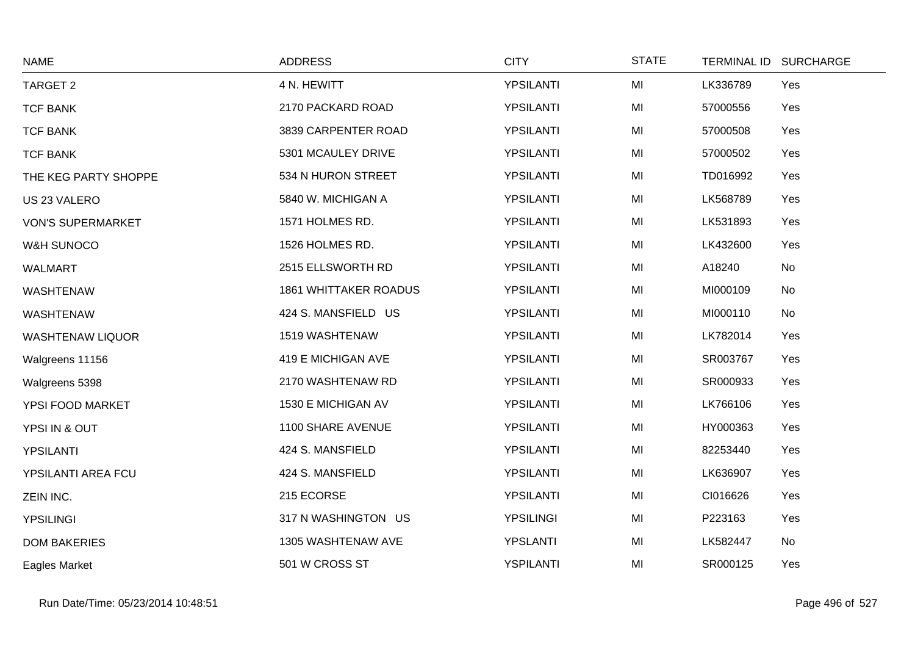| <b>NAME</b>              | <b>ADDRESS</b>               | <b>CITY</b>      | <b>STATE</b> | <b>TERMINAL ID</b> | <b>SURCHARGE</b> |
|--------------------------|------------------------------|------------------|--------------|--------------------|------------------|
| TARGET 2                 | 4 N. HEWITT                  | YPSILANTI        | MI           | LK336789           | Yes              |
| <b>TCF BANK</b>          | 2170 PACKARD ROAD            | YPSILANTI        | MI           | 57000556           | Yes              |
| <b>TCF BANK</b>          | 3839 CARPENTER ROAD          | YPSILANTI        | MI           | 57000508           | Yes              |
| <b>TCF BANK</b>          | 5301 MCAULEY DRIVE           | YPSILANTI        | MI           | 57000502           | Yes              |
| THE KEG PARTY SHOPPE     | 534 N HURON STREET           | YPSILANTI        | MI           | TD016992           | Yes              |
| US 23 VALERO             | 5840 W. MICHIGAN A           | YPSILANTI        | MI           | LK568789           | Yes              |
| <b>VON'S SUPERMARKET</b> | 1571 HOLMES RD.              | YPSILANTI        | MI           | LK531893           | Yes              |
| W&H SUNOCO               | 1526 HOLMES RD.              | YPSILANTI        | MI           | LK432600           | Yes              |
| <b>WALMART</b>           | 2515 ELLSWORTH RD            | YPSILANTI        | MI           | A18240             | <b>No</b>        |
| <b>WASHTENAW</b>         | <b>1861 WHITTAKER ROADUS</b> | YPSILANTI        | MI           | MI000109           | No               |
| <b>WASHTENAW</b>         | 424 S. MANSFIELD US          | YPSILANTI        | MI           | MI000110           | No               |
| <b>WASHTENAW LIQUOR</b>  | 1519 WASHTENAW               | YPSILANTI        | MI           | LK782014           | Yes              |
| Walgreens 11156          | 419 E MICHIGAN AVE           | YPSILANTI        | MI           | SR003767           | Yes              |
| Walgreens 5398           | 2170 WASHTENAW RD            | YPSILANTI        | MI           | SR000933           | Yes              |
| YPSI FOOD MARKET         | 1530 E MICHIGAN AV           | YPSILANTI        | MI           | LK766106           | Yes              |
| YPSI IN & OUT            | 1100 SHARE AVENUE            | YPSILANTI        | MI           | HY000363           | Yes              |
| YPSILANTI                | 424 S. MANSFIELD             | YPSILANTI        | MI           | 82253440           | Yes              |
| YPSILANTI AREA FCU       | 424 S. MANSFIELD             | YPSILANTI        | MI           | LK636907           | Yes              |
| ZEIN INC.                | 215 ECORSE                   | YPSILANTI        | MI           | CI016626           | Yes              |
| <b>YPSILINGI</b>         | 317 N WASHINGTON US          | <b>YPSILINGI</b> | MI           | P223163            | Yes              |
| <b>DOM BAKERIES</b>      | 1305 WASHTENAW AVE           | YPSLANTI         | MI           | LK582447           | No               |
| Eagles Market            | 501 W CROSS ST               | <b>YSPILANTI</b> | MI           | SR000125           | Yes              |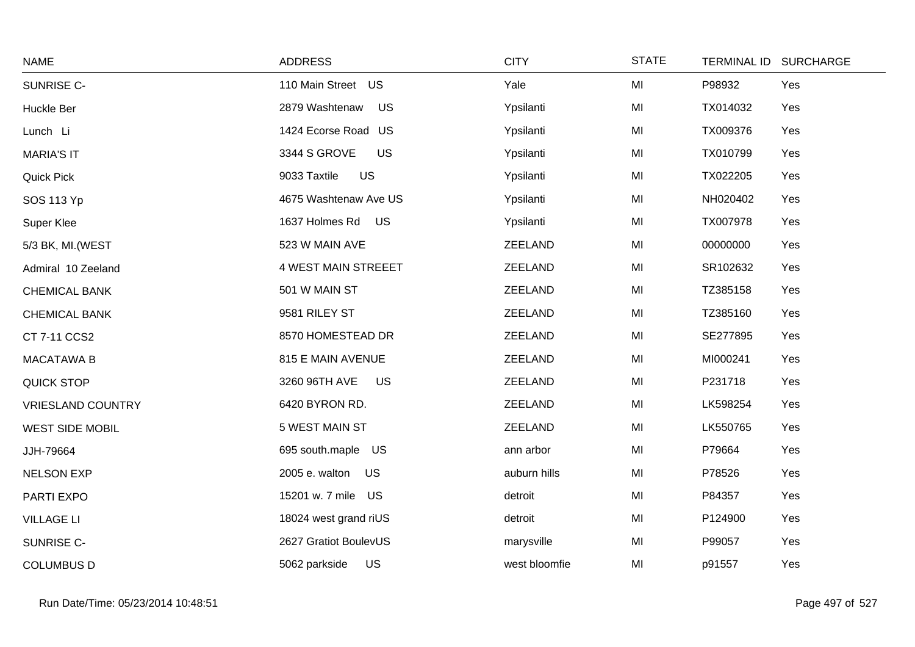| <b>NAME</b>              | <b>ADDRESS</b>              | <b>CITY</b>   | <b>STATE</b> | TERMINAL ID SURCHARGE |
|--------------------------|-----------------------------|---------------|--------------|-----------------------|
| SUNRISE C-               | 110 Main Street US          | Yale          | MI           | P98932<br>Yes         |
| Huckle Ber               | 2879 Washtenaw<br><b>US</b> | Ypsilanti     | MI           | TX014032<br>Yes       |
| Lunch Li                 | 1424 Ecorse Road US         | Ypsilanti     | MI           | TX009376<br>Yes       |
| <b>MARIA'S IT</b>        | 3344 S GROVE<br>US          | Ypsilanti     | MI           | Yes<br>TX010799       |
| <b>Quick Pick</b>        | 9033 Taxtile<br>US          | Ypsilanti     | MI           | Yes<br>TX022205       |
| SOS 113 Yp               | 4675 Washtenaw Ave US       | Ypsilanti     | MI           | NH020402<br>Yes       |
| Super Klee               | 1637 Holmes Rd<br>US        | Ypsilanti     | MI           | Yes<br>TX007978       |
| 5/3 BK, MI. (WEST        | 523 W MAIN AVE              | ZEELAND       | MI           | 00000000<br>Yes       |
| Admiral 10 Zeeland       | 4 WEST MAIN STREEET         | ZEELAND       | MI           | SR102632<br>Yes       |
| <b>CHEMICAL BANK</b>     | 501 W MAIN ST               | ZEELAND       | MI           | TZ385158<br>Yes       |
| <b>CHEMICAL BANK</b>     | 9581 RILEY ST               | ZEELAND       | MI           | Yes<br>TZ385160       |
| CT 7-11 CCS2             | 8570 HOMESTEAD DR           | ZEELAND       | MI           | SE277895<br>Yes       |
| <b>MACATAWA B</b>        | 815 E MAIN AVENUE           | ZEELAND       | MI           | MI000241<br>Yes       |
| <b>QUICK STOP</b>        | 3260 96TH AVE<br>US         | ZEELAND       | MI           | P231718<br>Yes        |
| <b>VRIESLAND COUNTRY</b> | 6420 BYRON RD.              | ZEELAND       | MI           | LK598254<br>Yes       |
| <b>WEST SIDE MOBIL</b>   | 5 WEST MAIN ST              | ZEELAND       | MI           | LK550765<br>Yes       |
| JJH-79664                | 695 south.maple US          | ann arbor     | MI           | P79664<br>Yes         |
| <b>NELSON EXP</b>        | 2005 e. walton<br>US        | auburn hills  | MI           | P78526<br>Yes         |
| PARTI EXPO               | 15201 w. 7 mile US          | detroit       | MI           | P84357<br>Yes         |
| <b>VILLAGE LI</b>        | 18024 west grand riUS       | detroit       | MI           | P124900<br>Yes        |
| SUNRISE C-               | 2627 Gratiot BoulevUS       | marysville    | MI           | P99057<br>Yes         |
| <b>COLUMBUS D</b>        | US<br>5062 parkside         | west bloomfie | MI           | Yes<br>p91557         |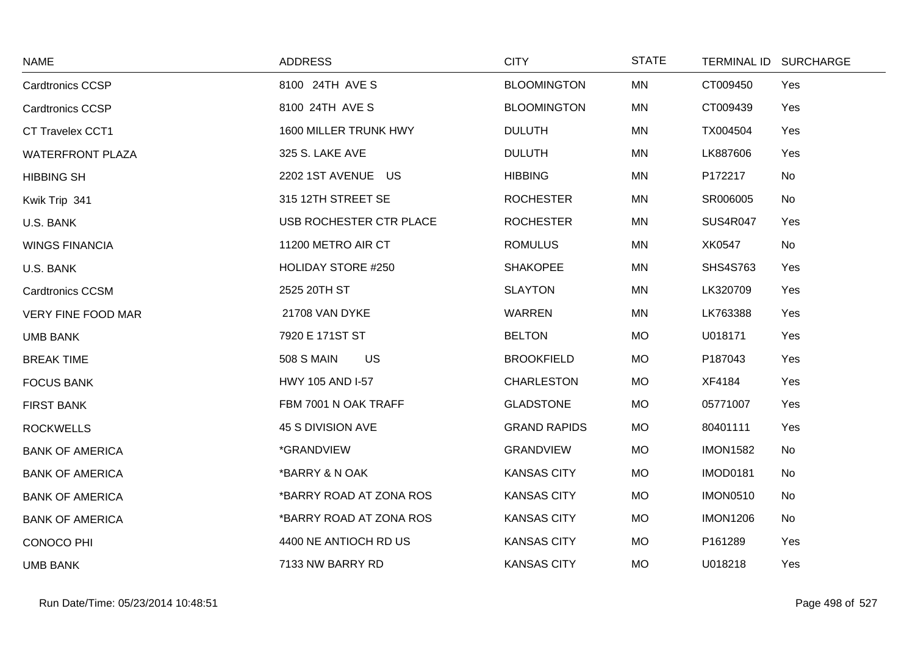| <b>NAME</b>               | <b>ADDRESS</b>                 | <b>CITY</b>         | <b>STATE</b> |                 | TERMINAL ID SURCHARGE |
|---------------------------|--------------------------------|---------------------|--------------|-----------------|-----------------------|
| <b>Cardtronics CCSP</b>   | 8100 24TH AVE S                | <b>BLOOMINGTON</b>  | <b>MN</b>    | CT009450        | Yes                   |
| <b>Cardtronics CCSP</b>   | 8100 24TH AVE S                | <b>BLOOMINGTON</b>  | MN           | CT009439        | Yes                   |
| CT Travelex CCT1          | 1600 MILLER TRUNK HWY          | <b>DULUTH</b>       | <b>MN</b>    | TX004504        | Yes                   |
| <b>WATERFRONT PLAZA</b>   | 325 S. LAKE AVE                | <b>DULUTH</b>       | MN           | LK887606        | Yes                   |
| <b>HIBBING SH</b>         | 2202 1ST AVENUE US             | <b>HIBBING</b>      | MN           | P172217         | No                    |
| Kwik Trip 341             | 315 12TH STREET SE             | <b>ROCHESTER</b>    | <b>MN</b>    | SR006005        | No                    |
| U.S. BANK                 | USB ROCHESTER CTR PLACE        | <b>ROCHESTER</b>    | MN           | <b>SUS4R047</b> | Yes                   |
| <b>WINGS FINANCIA</b>     | 11200 METRO AIR CT             | <b>ROMULUS</b>      | MN           | XK0547          | No                    |
| U.S. BANK                 | <b>HOLIDAY STORE #250</b>      | <b>SHAKOPEE</b>     | MN           | <b>SHS4S763</b> | Yes                   |
| <b>Cardtronics CCSM</b>   | 2525 20TH ST                   | <b>SLAYTON</b>      | MN           | LK320709        | Yes                   |
| <b>VERY FINE FOOD MAR</b> | 21708 VAN DYKE                 | <b>WARREN</b>       | MN           | LK763388        | Yes                   |
| <b>UMB BANK</b>           | 7920 E 171ST ST                | <b>BELTON</b>       | <b>MO</b>    | U018171         | Yes                   |
| <b>BREAK TIME</b>         | <b>508 S MAIN</b><br><b>US</b> | <b>BROOKFIELD</b>   | <b>MO</b>    | P187043         | Yes                   |
| <b>FOCUS BANK</b>         | HWY 105 AND I-57               | <b>CHARLESTON</b>   | <b>MO</b>    | XF4184          | Yes                   |
| <b>FIRST BANK</b>         | FBM 7001 N OAK TRAFF           | <b>GLADSTONE</b>    | <b>MO</b>    | 05771007        | Yes                   |
| <b>ROCKWELLS</b>          | 45 S DIVISION AVE              | <b>GRAND RAPIDS</b> | <b>MO</b>    | 80401111        | Yes                   |
| <b>BANK OF AMERICA</b>    | *GRANDVIEW                     | <b>GRANDVIEW</b>    | <b>MO</b>    | <b>IMON1582</b> | No                    |
| <b>BANK OF AMERICA</b>    | *BARRY & N OAK                 | <b>KANSAS CITY</b>  | <b>MO</b>    | <b>IMOD0181</b> | No                    |
| <b>BANK OF AMERICA</b>    | *BARRY ROAD AT ZONA ROS        | <b>KANSAS CITY</b>  | <b>MO</b>    | <b>IMON0510</b> | No                    |
| <b>BANK OF AMERICA</b>    | *BARRY ROAD AT ZONA ROS        | <b>KANSAS CITY</b>  | <b>MO</b>    | <b>IMON1206</b> | No                    |
| <b>CONOCO PHI</b>         | 4400 NE ANTIOCH RD US          | <b>KANSAS CITY</b>  | <b>MO</b>    | P161289         | Yes                   |
| <b>UMB BANK</b>           | 7133 NW BARRY RD               | <b>KANSAS CITY</b>  | <b>MO</b>    | U018218         | Yes                   |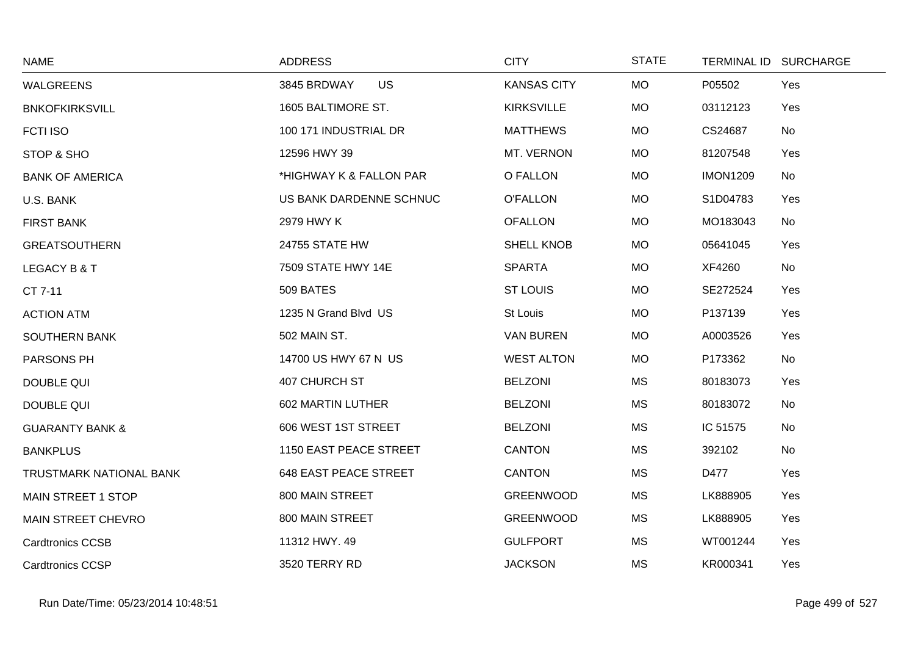| <b>NAME</b>                    | <b>ADDRESS</b>               | <b>CITY</b>        | <b>STATE</b> |                 | TERMINAL ID SURCHARGE |
|--------------------------------|------------------------------|--------------------|--------------|-----------------|-----------------------|
| <b>WALGREENS</b>               | <b>US</b><br>3845 BRDWAY     | <b>KANSAS CITY</b> | <b>MO</b>    | P05502          | Yes                   |
| <b>BNKOFKIRKSVILL</b>          | 1605 BALTIMORE ST.           | <b>KIRKSVILLE</b>  | MO           | 03112123        | Yes                   |
| <b>FCTI ISO</b>                | 100 171 INDUSTRIAL DR        | <b>MATTHEWS</b>    | <b>MO</b>    | CS24687         | <b>No</b>             |
| STOP & SHO                     | 12596 HWY 39                 | MT. VERNON         | <b>MO</b>    | 81207548        | Yes                   |
| <b>BANK OF AMERICA</b>         | *HIGHWAY K & FALLON PAR      | O FALLON           | <b>MO</b>    | <b>IMON1209</b> | No                    |
| U.S. BANK                      | US BANK DARDENNE SCHNUC      | <b>O'FALLON</b>    | MO           | S1D04783        | Yes                   |
| <b>FIRST BANK</b>              | 2979 HWY K                   | <b>OFALLON</b>     | <b>MO</b>    | MO183043        | No                    |
| <b>GREATSOUTHERN</b>           | 24755 STATE HW               | <b>SHELL KNOB</b>  | <b>MO</b>    | 05641045        | Yes                   |
| LEGACY B & T                   | 7509 STATE HWY 14E           | <b>SPARTA</b>      | <b>MO</b>    | XF4260          | <b>No</b>             |
| CT 7-11                        | 509 BATES                    | <b>ST LOUIS</b>    | MO           | SE272524        | Yes                   |
| <b>ACTION ATM</b>              | 1235 N Grand Blvd US         | St Louis           | <b>MO</b>    | P137139         | Yes                   |
| <b>SOUTHERN BANK</b>           | 502 MAIN ST.                 | <b>VAN BUREN</b>   | MO           | A0003526        | Yes                   |
| PARSONS PH                     | 14700 US HWY 67 N US         | <b>WEST ALTON</b>  | <b>MO</b>    | P173362         | No                    |
| <b>DOUBLE QUI</b>              | 407 CHURCH ST                | <b>BELZONI</b>     | MS           | 80183073        | Yes                   |
| <b>DOUBLE QUI</b>              | 602 MARTIN LUTHER            | <b>BELZONI</b>     | <b>MS</b>    | 80183072        | No                    |
| <b>GUARANTY BANK &amp;</b>     | 606 WEST 1ST STREET          | <b>BELZONI</b>     | <b>MS</b>    | IC 51575        | No                    |
| <b>BANKPLUS</b>                | 1150 EAST PEACE STREET       | <b>CANTON</b>      | <b>MS</b>    | 392102          | <b>No</b>             |
| <b>TRUSTMARK NATIONAL BANK</b> | <b>648 EAST PEACE STREET</b> | <b>CANTON</b>      | MS           | D477            | Yes                   |
| <b>MAIN STREET 1 STOP</b>      | 800 MAIN STREET              | <b>GREENWOOD</b>   | MS           | LK888905        | Yes                   |
| <b>MAIN STREET CHEVRO</b>      | 800 MAIN STREET              | <b>GREENWOOD</b>   | <b>MS</b>    | LK888905        | Yes                   |
| <b>Cardtronics CCSB</b>        | 11312 HWY. 49                | <b>GULFPORT</b>    | <b>MS</b>    | WT001244        | Yes                   |
| <b>Cardtronics CCSP</b>        | 3520 TERRY RD                | <b>JACKSON</b>     | <b>MS</b>    | KR000341        | Yes                   |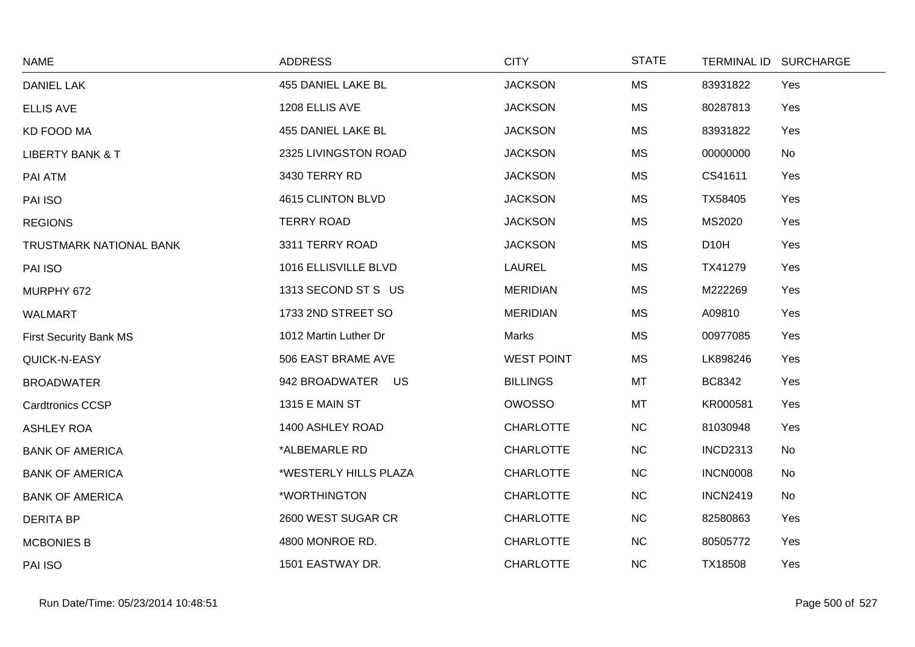| <b>NAME</b>                   | <b>ADDRESS</b>        | <b>CITY</b>       | <b>STATE</b> |                   | TERMINAL ID SURCHARGE |
|-------------------------------|-----------------------|-------------------|--------------|-------------------|-----------------------|
| <b>DANIEL LAK</b>             | 455 DANIEL LAKE BL    | <b>JACKSON</b>    | <b>MS</b>    | 83931822          | Yes                   |
| <b>ELLIS AVE</b>              | 1208 ELLIS AVE        | <b>JACKSON</b>    | <b>MS</b>    | 80287813          | Yes                   |
| <b>KD FOOD MA</b>             | 455 DANIEL LAKE BL    | <b>JACKSON</b>    | <b>MS</b>    | 83931822          | Yes                   |
| <b>LIBERTY BANK &amp; T</b>   | 2325 LIVINGSTON ROAD  | <b>JACKSON</b>    | <b>MS</b>    | 00000000          | No                    |
| PAI ATM                       | 3430 TERRY RD         | <b>JACKSON</b>    | <b>MS</b>    | CS41611           | Yes                   |
| PAI ISO                       | 4615 CLINTON BLVD     | <b>JACKSON</b>    | <b>MS</b>    | TX58405           | Yes                   |
| <b>REGIONS</b>                | <b>TERRY ROAD</b>     | <b>JACKSON</b>    | <b>MS</b>    | MS2020            | Yes                   |
| TRUSTMARK NATIONAL BANK       | 3311 TERRY ROAD       | <b>JACKSON</b>    | <b>MS</b>    | D <sub>10</sub> H | Yes                   |
| PAI ISO                       | 1016 ELLISVILLE BLVD  | LAUREL            | <b>MS</b>    | TX41279           | Yes                   |
| MURPHY 672                    | 1313 SECOND ST S US   | <b>MERIDIAN</b>   | <b>MS</b>    | M222269           | Yes                   |
| <b>WALMART</b>                | 1733 2ND STREET SO    | <b>MERIDIAN</b>   | <b>MS</b>    | A09810            | Yes                   |
| <b>First Security Bank MS</b> | 1012 Martin Luther Dr | Marks             | <b>MS</b>    | 00977085          | Yes                   |
| QUICK-N-EASY                  | 506 EAST BRAME AVE    | <b>WEST POINT</b> | <b>MS</b>    | LK898246          | Yes                   |
| <b>BROADWATER</b>             | 942 BROADWATER US     | <b>BILLINGS</b>   | MT           | <b>BC8342</b>     | Yes                   |
| <b>Cardtronics CCSP</b>       | <b>1315 E MAIN ST</b> | <b>OWOSSO</b>     | MT           | KR000581          | Yes                   |
| <b>ASHLEY ROA</b>             | 1400 ASHLEY ROAD      | <b>CHARLOTTE</b>  | NC           | 81030948          | Yes                   |
| <b>BANK OF AMERICA</b>        | *ALBEMARLE RD         | <b>CHARLOTTE</b>  | NC           | <b>INCD2313</b>   | No                    |
| <b>BANK OF AMERICA</b>        | *WESTERLY HILLS PLAZA | <b>CHARLOTTE</b>  | NC           | <b>INCN0008</b>   | No                    |
| <b>BANK OF AMERICA</b>        | *WORTHINGTON          | <b>CHARLOTTE</b>  | NC           | <b>INCN2419</b>   | No                    |
| <b>DERITA BP</b>              | 2600 WEST SUGAR CR    | <b>CHARLOTTE</b>  | NC           | 82580863          | Yes                   |
| <b>MCBONIES B</b>             | 4800 MONROE RD.       | <b>CHARLOTTE</b>  | NC           | 80505772          | Yes                   |
| PAI ISO                       | 1501 EASTWAY DR.      | <b>CHARLOTTE</b>  | NC           | TX18508           | Yes                   |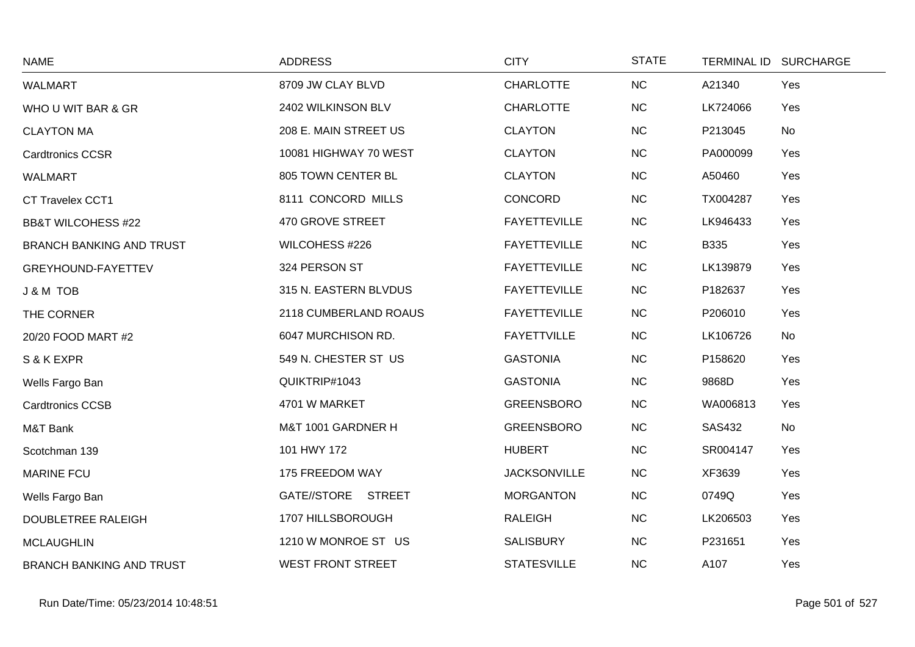| <b>NAME</b>                     | <b>ADDRESS</b>           | <b>CITY</b>         | <b>STATE</b> |               | TERMINAL ID SURCHARGE |
|---------------------------------|--------------------------|---------------------|--------------|---------------|-----------------------|
| <b>WALMART</b>                  | 8709 JW CLAY BLVD        | <b>CHARLOTTE</b>    | NC           | A21340        | Yes                   |
| WHO U WIT BAR & GR              | 2402 WILKINSON BLV       | <b>CHARLOTTE</b>    | NC           | LK724066      | Yes                   |
| <b>CLAYTON MA</b>               | 208 E. MAIN STREET US    | <b>CLAYTON</b>      | <b>NC</b>    | P213045       | No                    |
| <b>Cardtronics CCSR</b>         | 10081 HIGHWAY 70 WEST    | <b>CLAYTON</b>      | <b>NC</b>    | PA000099      | Yes                   |
| <b>WALMART</b>                  | 805 TOWN CENTER BL       | <b>CLAYTON</b>      | <b>NC</b>    | A50460        | Yes                   |
| CT Travelex CCT1                | 8111 CONCORD MILLS       | CONCORD             | NC           | TX004287      | Yes                   |
| <b>BB&amp;T WILCOHESS #22</b>   | 470 GROVE STREET         | <b>FAYETTEVILLE</b> | NC           | LK946433      | Yes                   |
| <b>BRANCH BANKING AND TRUST</b> | WILCOHESS #226           | <b>FAYETTEVILLE</b> | <b>NC</b>    | <b>B335</b>   | Yes                   |
| GREYHOUND-FAYETTEV              | 324 PERSON ST            | <b>FAYETTEVILLE</b> | NC           | LK139879      | Yes                   |
| J & M TOB                       | 315 N. EASTERN BLVDUS    | <b>FAYETTEVILLE</b> | <b>NC</b>    | P182637       | Yes                   |
| THE CORNER                      | 2118 CUMBERLAND ROAUS    | <b>FAYETTEVILLE</b> | NC           | P206010       | Yes                   |
| 20/20 FOOD MART #2              | 6047 MURCHISON RD.       | <b>FAYETTVILLE</b>  | <b>NC</b>    | LK106726      | No                    |
| S & K EXPR                      | 549 N. CHESTER ST US     | <b>GASTONIA</b>     | <b>NC</b>    | P158620       | Yes                   |
| Wells Fargo Ban                 | QUIKTRIP#1043            | <b>GASTONIA</b>     | <b>NC</b>    | 9868D         | Yes                   |
| <b>Cardtronics CCSB</b>         | 4701 W MARKET            | <b>GREENSBORO</b>   | NC           | WA006813      | Yes                   |
| M&T Bank                        | M&T 1001 GARDNER H       | <b>GREENSBORO</b>   | NC           | <b>SAS432</b> | No                    |
| Scotchman 139                   | 101 HWY 172              | <b>HUBERT</b>       | <b>NC</b>    | SR004147      | Yes                   |
| <b>MARINE FCU</b>               | 175 FREEDOM WAY          | <b>JACKSONVILLE</b> | <b>NC</b>    | XF3639        | Yes                   |
| Wells Fargo Ban                 | GATE//STORE STREET       | <b>MORGANTON</b>    | <b>NC</b>    | 0749Q         | Yes                   |
| DOUBLETREE RALEIGH              | 1707 HILLSBOROUGH        | <b>RALEIGH</b>      | <b>NC</b>    | LK206503      | Yes                   |
| <b>MCLAUGHLIN</b>               | 1210 W MONROE ST US      | <b>SALISBURY</b>    | <b>NC</b>    | P231651       | Yes                   |
| <b>BRANCH BANKING AND TRUST</b> | <b>WEST FRONT STREET</b> | <b>STATESVILLE</b>  | <b>NC</b>    | A107          | Yes                   |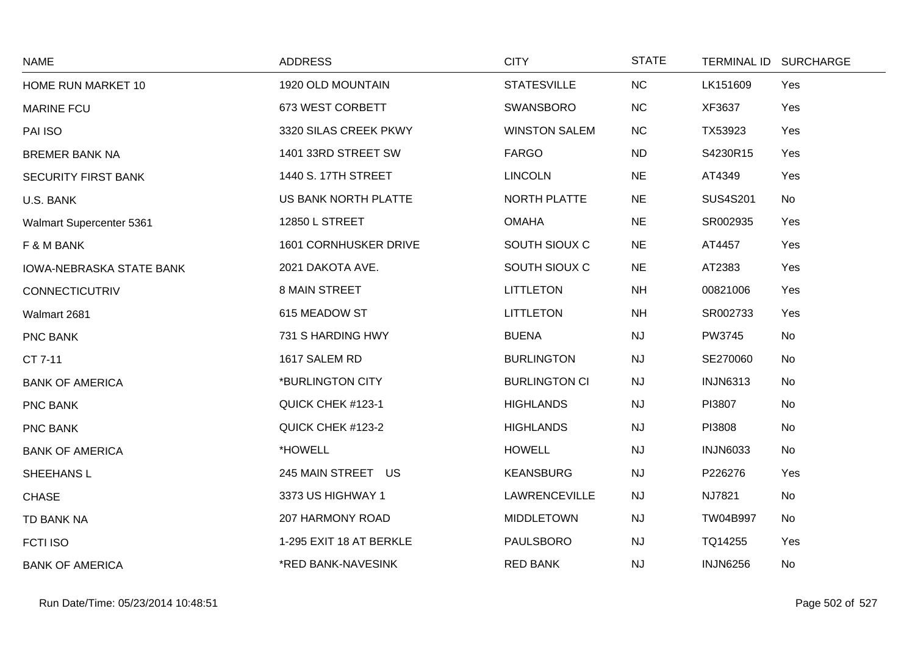| <b>NAME</b>                     | <b>ADDRESS</b>          | <b>CITY</b>          | <b>STATE</b> |                 | TERMINAL ID SURCHARGE |
|---------------------------------|-------------------------|----------------------|--------------|-----------------|-----------------------|
| HOME RUN MARKET 10              | 1920 OLD MOUNTAIN       | <b>STATESVILLE</b>   | NC           | LK151609        | Yes                   |
| <b>MARINE FCU</b>               | 673 WEST CORBETT        | <b>SWANSBORO</b>     | NC           | XF3637          | Yes                   |
| PAI ISO                         | 3320 SILAS CREEK PKWY   | <b>WINSTON SALEM</b> | <b>NC</b>    | TX53923         | Yes                   |
| <b>BREMER BANK NA</b>           | 1401 33RD STREET SW     | <b>FARGO</b>         | <b>ND</b>    | S4230R15        | Yes                   |
| <b>SECURITY FIRST BANK</b>      | 1440 S. 17TH STREET     | <b>LINCOLN</b>       | <b>NE</b>    | AT4349          | Yes                   |
| U.S. BANK                       | US BANK NORTH PLATTE    | NORTH PLATTE         | <b>NE</b>    | <b>SUS4S201</b> | No                    |
| Walmart Supercenter 5361        | 12850 L STREET          | <b>OMAHA</b>         | <b>NE</b>    | SR002935        | Yes                   |
| F & M BANK                      | 1601 CORNHUSKER DRIVE   | SOUTH SIOUX C        | <b>NE</b>    | AT4457          | Yes                   |
| <b>IOWA-NEBRASKA STATE BANK</b> | 2021 DAKOTA AVE.        | SOUTH SIOUX C        | <b>NE</b>    | AT2383          | Yes                   |
| <b>CONNECTICUTRIV</b>           | 8 MAIN STREET           | <b>LITTLETON</b>     | <b>NH</b>    | 00821006        | Yes                   |
| Walmart 2681                    | 615 MEADOW ST           | <b>LITTLETON</b>     | <b>NH</b>    | SR002733        | Yes                   |
| PNC BANK                        | 731 S HARDING HWY       | <b>BUENA</b>         | <b>NJ</b>    | PW3745          | No                    |
| CT 7-11                         | 1617 SALEM RD           | <b>BURLINGTON</b>    | <b>NJ</b>    | SE270060        | No                    |
| <b>BANK OF AMERICA</b>          | *BURLINGTON CITY        | <b>BURLINGTON CI</b> | <b>NJ</b>    | <b>INJN6313</b> | No                    |
| PNC BANK                        | QUICK CHEK #123-1       | <b>HIGHLANDS</b>     | <b>NJ</b>    | PI3807          | No                    |
| <b>PNC BANK</b>                 | QUICK CHEK #123-2       | <b>HIGHLANDS</b>     | <b>NJ</b>    | PI3808          | No                    |
| <b>BANK OF AMERICA</b>          | *HOWELL                 | <b>HOWELL</b>        | NJ           | <b>INJN6033</b> | No                    |
| <b>SHEEHANS L</b>               | 245 MAIN STREET US      | <b>KEANSBURG</b>     | NJ           | P226276         | Yes                   |
| <b>CHASE</b>                    | 3373 US HIGHWAY 1       | <b>LAWRENCEVILLE</b> | <b>NJ</b>    | NJ7821          | No                    |
| TD BANK NA                      | 207 HARMONY ROAD        | <b>MIDDLETOWN</b>    | <b>NJ</b>    | TW04B997        | No                    |
| <b>FCTI ISO</b>                 | 1-295 EXIT 18 AT BERKLE | <b>PAULSBORO</b>     | <b>NJ</b>    | TQ14255         | Yes                   |
| <b>BANK OF AMERICA</b>          | *RED BANK-NAVESINK      | <b>RED BANK</b>      | <b>NJ</b>    | <b>INJN6256</b> | No                    |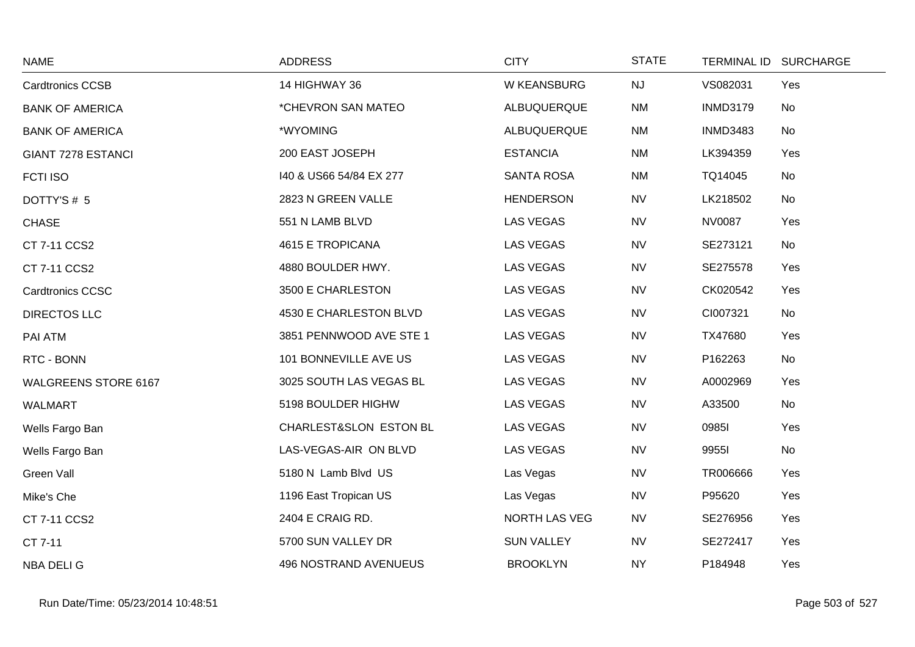| <b>NAME</b>                 | <b>ADDRESS</b>          | <b>CITY</b>       | <b>STATE</b> |                 | TERMINAL ID SURCHARGE |
|-----------------------------|-------------------------|-------------------|--------------|-----------------|-----------------------|
| <b>Cardtronics CCSB</b>     | 14 HIGHWAY 36           | W KEANSBURG       | NJ           | VS082031        | Yes                   |
| <b>BANK OF AMERICA</b>      | *CHEVRON SAN MATEO      | ALBUQUERQUE       | <b>NM</b>    | <b>INMD3179</b> | No                    |
| <b>BANK OF AMERICA</b>      | *WYOMING                | ALBUQUERQUE       | <b>NM</b>    | <b>INMD3483</b> | No                    |
| GIANT 7278 ESTANCI          | 200 EAST JOSEPH         | <b>ESTANCIA</b>   | <b>NM</b>    | LK394359        | Yes                   |
| <b>FCTI ISO</b>             | 140 & US66 54/84 EX 277 | <b>SANTA ROSA</b> | <b>NM</b>    | TQ14045         | No                    |
| DOTTY'S#5                   | 2823 N GREEN VALLE      | <b>HENDERSON</b>  | <b>NV</b>    | LK218502        | No                    |
| <b>CHASE</b>                | 551 N LAMB BLVD         | <b>LAS VEGAS</b>  | <b>NV</b>    | <b>NV0087</b>   | Yes                   |
| CT 7-11 CCS2                | 4615 E TROPICANA        | LAS VEGAS         | <b>NV</b>    | SE273121        | No                    |
| CT 7-11 CCS2                | 4880 BOULDER HWY.       | <b>LAS VEGAS</b>  | <b>NV</b>    | SE275578        | Yes                   |
| <b>Cardtronics CCSC</b>     | 3500 E CHARLESTON       | <b>LAS VEGAS</b>  | <b>NV</b>    | CK020542        | Yes                   |
| <b>DIRECTOS LLC</b>         | 4530 E CHARLESTON BLVD  | LAS VEGAS         | <b>NV</b>    | CI007321        | No                    |
| PAI ATM                     | 3851 PENNWOOD AVE STE 1 | <b>LAS VEGAS</b>  | <b>NV</b>    | TX47680         | Yes                   |
| RTC - BONN                  | 101 BONNEVILLE AVE US   | LAS VEGAS         | <b>NV</b>    | P162263         | No                    |
| <b>WALGREENS STORE 6167</b> | 3025 SOUTH LAS VEGAS BL | LAS VEGAS         | <b>NV</b>    | A0002969        | Yes                   |
| WALMART                     | 5198 BOULDER HIGHW      | LAS VEGAS         | <b>NV</b>    | A33500          | No                    |
| Wells Fargo Ban             | CHARLEST&SLON ESTON BL  | <b>LAS VEGAS</b>  | <b>NV</b>    | 09851           | Yes                   |
| Wells Fargo Ban             | LAS-VEGAS-AIR ON BLVD   | <b>LAS VEGAS</b>  | <b>NV</b>    | 99551           | No                    |
| Green Vall                  | 5180 N Lamb Blvd US     | Las Vegas         | <b>NV</b>    | TR006666        | Yes                   |
| Mike's Che                  | 1196 East Tropican US   | Las Vegas         | <b>NV</b>    | P95620          | Yes                   |
| CT 7-11 CCS2                | 2404 E CRAIG RD.        | NORTH LAS VEG     | <b>NV</b>    | SE276956        | Yes                   |
| CT 7-11                     | 5700 SUN VALLEY DR      | <b>SUN VALLEY</b> | <b>NV</b>    | SE272417        | Yes                   |
| NBA DELI G                  | 496 NOSTRAND AVENUEUS   | <b>BROOKLYN</b>   | <b>NY</b>    | P184948         | Yes                   |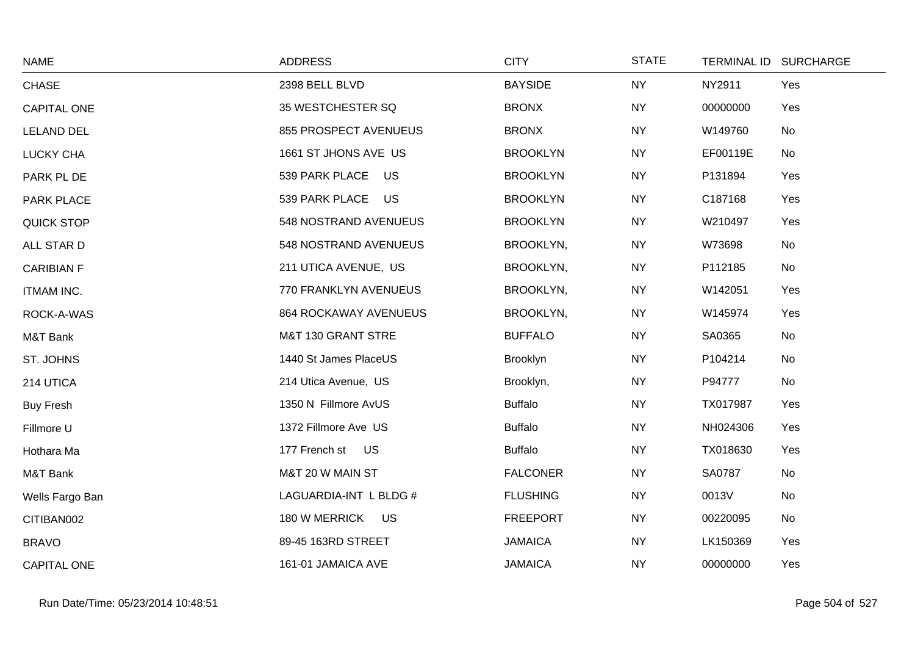| <b>NAME</b>        | <b>ADDRESS</b>               | <b>CITY</b>     | <b>STATE</b> | TERMINAL ID SURCHARGE |     |
|--------------------|------------------------------|-----------------|--------------|-----------------------|-----|
| <b>CHASE</b>       | 2398 BELL BLVD               | <b>BAYSIDE</b>  | <b>NY</b>    | NY2911                | Yes |
| <b>CAPITAL ONE</b> | 35 WESTCHESTER SQ            | <b>BRONX</b>    | <b>NY</b>    | 00000000              | Yes |
| <b>LELAND DEL</b>  | 855 PROSPECT AVENUEUS        | <b>BRONX</b>    | <b>NY</b>    | W149760               | No  |
| LUCKY CHA          | 1661 ST JHONS AVE US         | <b>BROOKLYN</b> | <b>NY</b>    | EF00119E              | No  |
| PARK PL DE         | 539 PARK PLACE US            | <b>BROOKLYN</b> | <b>NY</b>    | P131894               | Yes |
| PARK PLACE         | 539 PARK PLACE US            | <b>BROOKLYN</b> | <b>NY</b>    | C187168               | Yes |
| <b>QUICK STOP</b>  | 548 NOSTRAND AVENUEUS        | <b>BROOKLYN</b> | <b>NY</b>    | W210497               | Yes |
| ALL STAR D         | 548 NOSTRAND AVENUEUS        | BROOKLYN,       | <b>NY</b>    | W73698                | No  |
| <b>CARIBIAN F</b>  | 211 UTICA AVENUE, US         | BROOKLYN,       | <b>NY</b>    | P112185               | No  |
| <b>ITMAM INC.</b>  | 770 FRANKLYN AVENUEUS        | BROOKLYN,       | <b>NY</b>    | W142051               | Yes |
| ROCK-A-WAS         | <b>864 ROCKAWAY AVENUEUS</b> | BROOKLYN,       | <b>NY</b>    | W145974               | Yes |
| M&T Bank           | M&T 130 GRANT STRE           | <b>BUFFALO</b>  | <b>NY</b>    | SA0365                | No  |
| ST. JOHNS          | 1440 St James PlaceUS        | Brooklyn        | <b>NY</b>    | P104214               | No  |
| 214 UTICA          | 214 Utica Avenue, US         | Brooklyn,       | <b>NY</b>    | P94777                | No  |
| <b>Buy Fresh</b>   | 1350 N Fillmore AvUS         | <b>Buffalo</b>  | <b>NY</b>    | TX017987              | Yes |
| Fillmore U         | 1372 Fillmore Ave US         | <b>Buffalo</b>  | <b>NY</b>    | NH024306              | Yes |
| Hothara Ma         | 177 French st US             | <b>Buffalo</b>  | <b>NY</b>    | TX018630              | Yes |
| M&T Bank           | M&T 20 W MAIN ST             | <b>FALCONER</b> | <b>NY</b>    | SA0787                | No  |
| Wells Fargo Ban    | LAGUARDIA-INT L BLDG #       | <b>FLUSHING</b> | <b>NY</b>    | 0013V                 | No  |
| CITIBAN002         | 180 W MERRICK US             | <b>FREEPORT</b> | <b>NY</b>    | 00220095              | No  |
| <b>BRAVO</b>       | 89-45 163RD STREET           | <b>JAMAICA</b>  | <b>NY</b>    | LK150369              | Yes |
| <b>CAPITAL ONE</b> | 161-01 JAMAICA AVE           | <b>JAMAICA</b>  | <b>NY</b>    | 00000000              | Yes |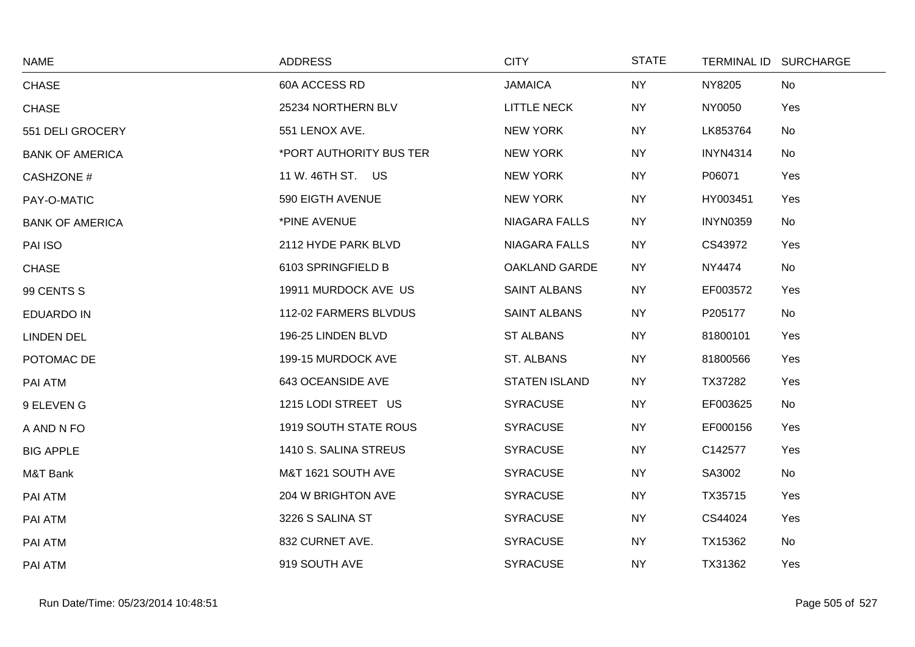| <b>NAME</b>            | <b>ADDRESS</b>               | <b>CITY</b>          | <b>STATE</b> | TERMINAL ID SURCHARGE |           |
|------------------------|------------------------------|----------------------|--------------|-----------------------|-----------|
| <b>CHASE</b>           | 60A ACCESS RD                | <b>JAMAICA</b>       | <b>NY</b>    | NY8205                | <b>No</b> |
| <b>CHASE</b>           | 25234 NORTHERN BLV           | <b>LITTLE NECK</b>   | <b>NY</b>    | NY0050                | Yes       |
| 551 DELI GROCERY       | 551 LENOX AVE.               | <b>NEW YORK</b>      | <b>NY</b>    | LK853764              | No        |
| <b>BANK OF AMERICA</b> | *PORT AUTHORITY BUS TER      | <b>NEW YORK</b>      | <b>NY</b>    | <b>INYN4314</b>       | No        |
| <b>CASHZONE #</b>      | 11 W. 46TH ST. US            | <b>NEW YORK</b>      | <b>NY</b>    | P06071                | Yes       |
| PAY-O-MATIC            | 590 EIGTH AVENUE             | <b>NEW YORK</b>      | <b>NY</b>    | HY003451              | Yes       |
| <b>BANK OF AMERICA</b> | *PINE AVENUE                 | <b>NIAGARA FALLS</b> | <b>NY</b>    | <b>INYN0359</b>       | No        |
| PAI ISO                | 2112 HYDE PARK BLVD          | <b>NIAGARA FALLS</b> | <b>NY</b>    | CS43972               | Yes       |
| <b>CHASE</b>           | 6103 SPRINGFIELD B           | OAKLAND GARDE        | <b>NY</b>    | NY4474                | No        |
| 99 CENTS S             | 19911 MURDOCK AVE US         | <b>SAINT ALBANS</b>  | <b>NY</b>    | EF003572              | Yes       |
| <b>EDUARDO IN</b>      | 112-02 FARMERS BLVDUS        | <b>SAINT ALBANS</b>  | <b>NY</b>    | P205177               | No        |
| <b>LINDEN DEL</b>      | 196-25 LINDEN BLVD           | <b>ST ALBANS</b>     | <b>NY</b>    | 81800101              | Yes       |
| POTOMAC DE             | 199-15 MURDOCK AVE           | ST. ALBANS           | <b>NY</b>    | 81800566              | Yes       |
| PAI ATM                | 643 OCEANSIDE AVE            | <b>STATEN ISLAND</b> | <b>NY</b>    | TX37282               | Yes       |
| 9 ELEVEN G             | 1215 LODI STREET US          | <b>SYRACUSE</b>      | <b>NY</b>    | EF003625              | No        |
| A AND N FO             | <b>1919 SOUTH STATE ROUS</b> | <b>SYRACUSE</b>      | <b>NY</b>    | EF000156              | Yes       |
| <b>BIG APPLE</b>       | 1410 S. SALINA STREUS        | <b>SYRACUSE</b>      | <b>NY</b>    | C142577               | Yes       |
| M&T Bank               | M&T 1621 SOUTH AVE           | <b>SYRACUSE</b>      | <b>NY</b>    | SA3002                | No        |
| PAI ATM                | 204 W BRIGHTON AVE           | <b>SYRACUSE</b>      | <b>NY</b>    | TX35715               | Yes       |
| PAI ATM                | 3226 S SALINA ST             | <b>SYRACUSE</b>      | <b>NY</b>    | CS44024               | Yes       |
| PAI ATM                | 832 CURNET AVE.              | <b>SYRACUSE</b>      | <b>NY</b>    | TX15362               | No        |
| PAI ATM                | 919 SOUTH AVE                | <b>SYRACUSE</b>      | <b>NY</b>    | TX31362               | Yes       |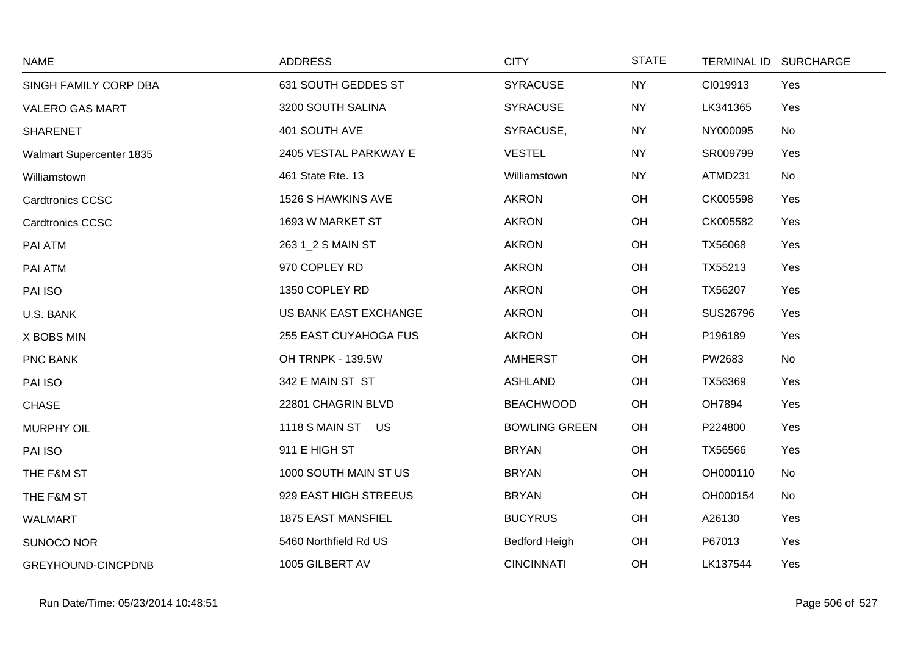| <b>NAME</b>              | <b>ADDRESS</b>            | <b>CITY</b>          | <b>STATE</b> |          | TERMINAL ID SURCHARGE |
|--------------------------|---------------------------|----------------------|--------------|----------|-----------------------|
| SINGH FAMILY CORP DBA    | 631 SOUTH GEDDES ST       | <b>SYRACUSE</b>      | <b>NY</b>    | CI019913 | Yes                   |
| <b>VALERO GAS MART</b>   | 3200 SOUTH SALINA         | <b>SYRACUSE</b>      | <b>NY</b>    | LK341365 | Yes                   |
| <b>SHARENET</b>          | 401 SOUTH AVE             | SYRACUSE,            | <b>NY</b>    | NY000095 | No                    |
| Walmart Supercenter 1835 | 2405 VESTAL PARKWAY E     | <b>VESTEL</b>        | <b>NY</b>    | SR009799 | Yes                   |
| Williamstown             | 461 State Rte. 13         | Williamstown         | <b>NY</b>    | ATMD231  | No                    |
| <b>Cardtronics CCSC</b>  | 1526 S HAWKINS AVE        | <b>AKRON</b>         | OH           | CK005598 | Yes                   |
| <b>Cardtronics CCSC</b>  | 1693 W MARKET ST          | <b>AKRON</b>         | OH           | CK005582 | Yes                   |
| PAI ATM                  | 263 1_2 S MAIN ST         | <b>AKRON</b>         | OH           | TX56068  | Yes                   |
| PAI ATM                  | 970 COPLEY RD             | <b>AKRON</b>         | OH           | TX55213  | Yes                   |
| PAI ISO                  | 1350 COPLEY RD            | <b>AKRON</b>         | OH           | TX56207  | Yes                   |
| U.S. BANK                | US BANK EAST EXCHANGE     | <b>AKRON</b>         | OH           | SUS26796 | Yes                   |
| X BOBS MIN               | 255 EAST CUYAHOGA FUS     | <b>AKRON</b>         | OH           | P196189  | Yes                   |
| <b>PNC BANK</b>          | OH TRNPK - 139.5W         | <b>AMHERST</b>       | OH           | PW2683   | No                    |
| PAI ISO                  | 342 E MAIN ST ST          | <b>ASHLAND</b>       | OH           | TX56369  | Yes                   |
| <b>CHASE</b>             | 22801 CHAGRIN BLVD        | <b>BEACHWOOD</b>     | OH           | OH7894   | Yes                   |
| <b>MURPHY OIL</b>        | 1118 S MAIN ST US         | <b>BOWLING GREEN</b> | OH           | P224800  | Yes                   |
| PAI ISO                  | 911 E HIGH ST             | <b>BRYAN</b>         | OH           | TX56566  | Yes                   |
| THE F&M ST               | 1000 SOUTH MAIN ST US     | <b>BRYAN</b>         | OH           | OH000110 | No                    |
| THE F&M ST               | 929 EAST HIGH STREEUS     | <b>BRYAN</b>         | OH           | OH000154 | No                    |
| <b>WALMART</b>           | <b>1875 EAST MANSFIEL</b> | <b>BUCYRUS</b>       | OH           | A26130   | Yes                   |
| SUNOCO NOR               | 5460 Northfield Rd US     | <b>Bedford Heigh</b> | OH           | P67013   | Yes                   |
| GREYHOUND-CINCPDNB       | 1005 GILBERT AV           | <b>CINCINNATI</b>    | OH           | LK137544 | Yes                   |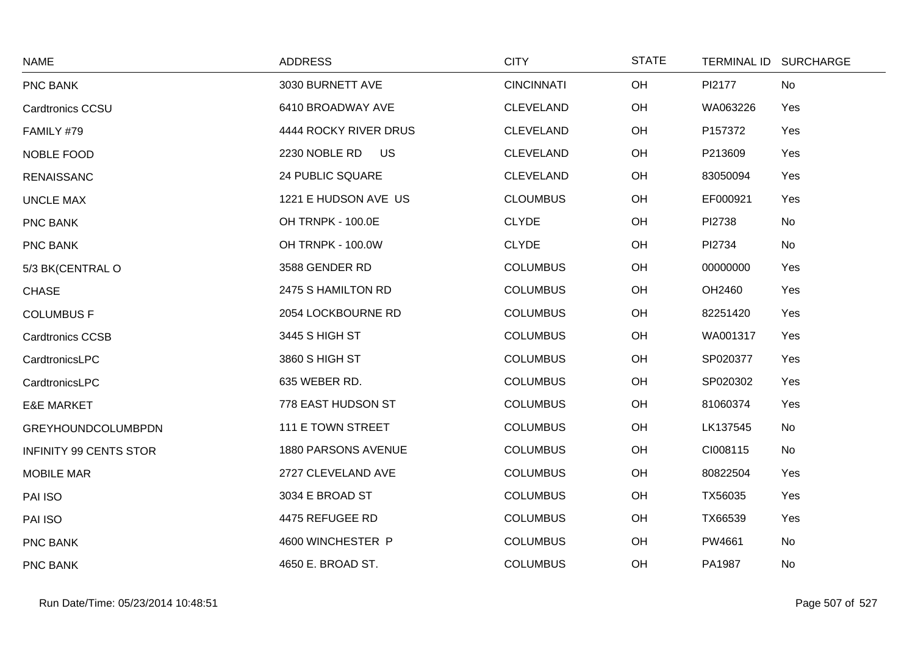| <b>NAME</b>                   | <b>ADDRESS</b>             | <b>CITY</b>       | <b>STATE</b> |          | TERMINAL ID SURCHARGE |
|-------------------------------|----------------------------|-------------------|--------------|----------|-----------------------|
| PNC BANK                      | 3030 BURNETT AVE           | <b>CINCINNATI</b> | OH           | PI2177   | No                    |
| Cardtronics CCSU              | 6410 BROADWAY AVE          | <b>CLEVELAND</b>  | OH           | WA063226 | Yes                   |
| FAMILY #79                    | 4444 ROCKY RIVER DRUS      | <b>CLEVELAND</b>  | OH           | P157372  | Yes                   |
| NOBLE FOOD                    | 2230 NOBLE RD<br><b>US</b> | <b>CLEVELAND</b>  | OH           | P213609  | Yes                   |
| <b>RENAISSANC</b>             | 24 PUBLIC SQUARE           | <b>CLEVELAND</b>  | OH           | 83050094 | Yes                   |
| <b>UNCLE MAX</b>              | 1221 E HUDSON AVE US       | <b>CLOUMBUS</b>   | OH           | EF000921 | Yes                   |
| PNC BANK                      | OH TRNPK - 100.0E          | <b>CLYDE</b>      | OH           | PI2738   | No                    |
| PNC BANK                      | OH TRNPK - 100.0W          | <b>CLYDE</b>      | OH           | PI2734   | No                    |
| 5/3 BK(CENTRAL O              | 3588 GENDER RD             | <b>COLUMBUS</b>   | OH           | 00000000 | Yes                   |
| <b>CHASE</b>                  | 2475 S HAMILTON RD         | <b>COLUMBUS</b>   | OH           | OH2460   | Yes                   |
| <b>COLUMBUS F</b>             | 2054 LOCKBOURNE RD         | <b>COLUMBUS</b>   | OH           | 82251420 | Yes                   |
| <b>Cardtronics CCSB</b>       | 3445 S HIGH ST             | <b>COLUMBUS</b>   | OH           | WA001317 | Yes                   |
| CardtronicsLPC                | 3860 S HIGH ST             | <b>COLUMBUS</b>   | OH           | SP020377 | Yes                   |
| CardtronicsLPC                | 635 WEBER RD.              | <b>COLUMBUS</b>   | OH           | SP020302 | Yes                   |
| <b>E&amp;E MARKET</b>         | 778 EAST HUDSON ST         | <b>COLUMBUS</b>   | OH           | 81060374 | Yes                   |
| <b>GREYHOUNDCOLUMBPDN</b>     | 111 E TOWN STREET          | <b>COLUMBUS</b>   | OH           | LK137545 | No                    |
| <b>INFINITY 99 CENTS STOR</b> | 1880 PARSONS AVENUE        | <b>COLUMBUS</b>   | OH           | CI008115 | No                    |
| <b>MOBILE MAR</b>             | 2727 CLEVELAND AVE         | <b>COLUMBUS</b>   | OH           | 80822504 | Yes                   |
| PAI ISO                       | 3034 E BROAD ST            | <b>COLUMBUS</b>   | OH           | TX56035  | Yes                   |
| PAI ISO                       | 4475 REFUGEE RD            | <b>COLUMBUS</b>   | OH           | TX66539  | Yes                   |
| PNC BANK                      | 4600 WINCHESTER P          | <b>COLUMBUS</b>   | OH           | PW4661   | No                    |
| <b>PNC BANK</b>               | 4650 E. BROAD ST.          | <b>COLUMBUS</b>   | OH           | PA1987   | No                    |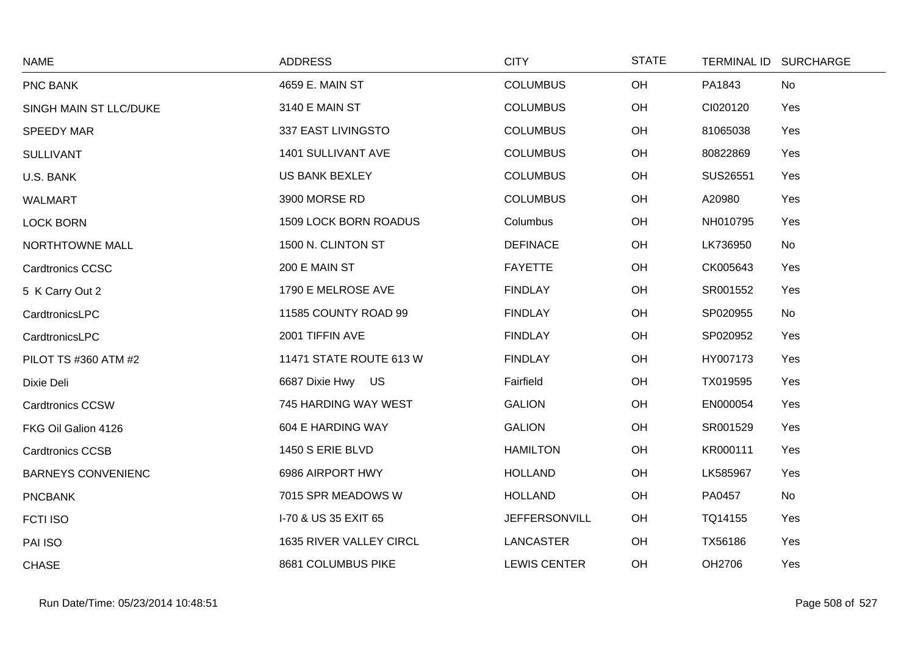| <b>NAME</b>               | <b>ADDRESS</b>          | <b>CITY</b>          | <b>STATE</b> |          | TERMINAL ID SURCHARGE |
|---------------------------|-------------------------|----------------------|--------------|----------|-----------------------|
| PNC BANK                  | 4659 E. MAIN ST         | <b>COLUMBUS</b>      | OH           | PA1843   | No                    |
| SINGH MAIN ST LLC/DUKE    | 3140 E MAIN ST          | <b>COLUMBUS</b>      | OH           | CI020120 | Yes                   |
| <b>SPEEDY MAR</b>         | 337 EAST LIVINGSTO      | <b>COLUMBUS</b>      | OH           | 81065038 | Yes                   |
| <b>SULLIVANT</b>          | 1401 SULLIVANT AVE      | <b>COLUMBUS</b>      | OH           | 80822869 | Yes                   |
| U.S. BANK                 | <b>US BANK BEXLEY</b>   | <b>COLUMBUS</b>      | OH           | SUS26551 | Yes                   |
| <b>WALMART</b>            | 3900 MORSE RD           | <b>COLUMBUS</b>      | OH           | A20980   | Yes                   |
| <b>LOCK BORN</b>          | 1509 LOCK BORN ROADUS   | Columbus             | OH           | NH010795 | Yes                   |
| NORTHTOWNE MALL           | 1500 N. CLINTON ST      | <b>DEFINACE</b>      | OH           | LK736950 | No                    |
| <b>Cardtronics CCSC</b>   | 200 E MAIN ST           | <b>FAYETTE</b>       | OH           | CK005643 | Yes                   |
| 5 K Carry Out 2           | 1790 E MELROSE AVE      | <b>FINDLAY</b>       | OH           | SR001552 | Yes                   |
| CardtronicsLPC            | 11585 COUNTY ROAD 99    | <b>FINDLAY</b>       | OH           | SP020955 | No                    |
| CardtronicsLPC            | 2001 TIFFIN AVE         | <b>FINDLAY</b>       | OH           | SP020952 | Yes                   |
| PILOT TS #360 ATM #2      | 11471 STATE ROUTE 613 W | <b>FINDLAY</b>       | OH           | HY007173 | Yes                   |
| Dixie Deli                | 6687 Dixie Hwy US       | Fairfield            | OH           | TX019595 | Yes                   |
| <b>Cardtronics CCSW</b>   | 745 HARDING WAY WEST    | <b>GALION</b>        | OH           | EN000054 | Yes                   |
| FKG Oil Galion 4126       | 604 E HARDING WAY       | <b>GALION</b>        | OH           | SR001529 | Yes                   |
| <b>Cardtronics CCSB</b>   | 1450 S ERIE BLVD        | <b>HAMILTON</b>      | OH           | KR000111 | Yes                   |
| <b>BARNEYS CONVENIENC</b> | 6986 AIRPORT HWY        | <b>HOLLAND</b>       | OH           | LK585967 | Yes                   |
| <b>PNCBANK</b>            | 7015 SPR MEADOWS W      | <b>HOLLAND</b>       | OH           | PA0457   | No                    |
| <b>FCTI ISO</b>           | I-70 & US 35 EXIT 65    | <b>JEFFERSONVILL</b> | OH           | TQ14155  | Yes                   |
| PAI ISO                   | 1635 RIVER VALLEY CIRCL | LANCASTER            | OH           | TX56186  | Yes                   |
| <b>CHASE</b>              | 8681 COLUMBUS PIKE      | <b>LEWIS CENTER</b>  | OH           | OH2706   | Yes                   |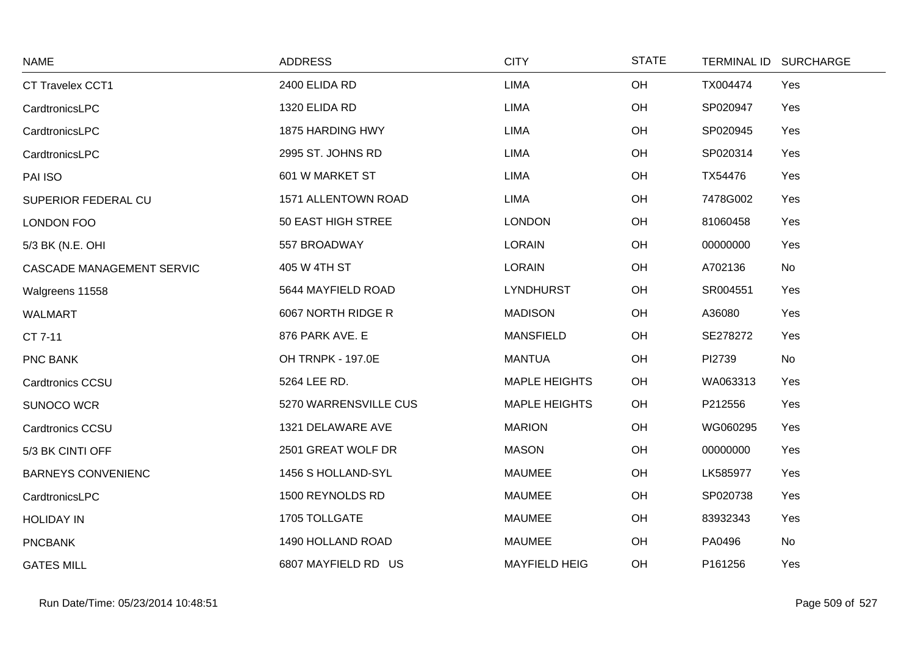| <b>NAME</b>               | <b>ADDRESS</b>        | <b>CITY</b>          | <b>STATE</b> |          | TERMINAL ID SURCHARGE |
|---------------------------|-----------------------|----------------------|--------------|----------|-----------------------|
| CT Travelex CCT1          | 2400 ELIDA RD         | <b>LIMA</b>          | OH           | TX004474 | Yes                   |
| CardtronicsLPC            | 1320 ELIDA RD         | <b>LIMA</b>          | OH           | SP020947 | Yes                   |
| CardtronicsLPC            | 1875 HARDING HWY      | <b>LIMA</b>          | OH           | SP020945 | Yes                   |
| CardtronicsLPC            | 2995 ST. JOHNS RD     | <b>LIMA</b>          | OH           | SP020314 | Yes                   |
| PAI ISO                   | 601 W MARKET ST       | <b>LIMA</b>          | OH           | TX54476  | Yes                   |
| SUPERIOR FEDERAL CU       | 1571 ALLENTOWN ROAD   | <b>LIMA</b>          | OH           | 7478G002 | Yes                   |
| LONDON FOO                | 50 EAST HIGH STREE    | <b>LONDON</b>        | OH           | 81060458 | Yes                   |
| 5/3 BK (N.E. OHI          | 557 BROADWAY          | <b>LORAIN</b>        | OH           | 00000000 | Yes                   |
| CASCADE MANAGEMENT SERVIC | 405 W 4TH ST          | <b>LORAIN</b>        | OH           | A702136  | No                    |
| Walgreens 11558           | 5644 MAYFIELD ROAD    | <b>LYNDHURST</b>     | OH           | SR004551 | Yes                   |
| <b>WALMART</b>            | 6067 NORTH RIDGE R    | <b>MADISON</b>       | OH           | A36080   | Yes                   |
| CT 7-11                   | 876 PARK AVE. E       | <b>MANSFIELD</b>     | OH           | SE278272 | Yes                   |
| PNC BANK                  | OH TRNPK - 197.0E     | <b>MANTUA</b>        | OH           | PI2739   | No                    |
| Cardtronics CCSU          | 5264 LEE RD.          | <b>MAPLE HEIGHTS</b> | OH           | WA063313 | Yes                   |
| SUNOCO WCR                | 5270 WARRENSVILLE CUS | <b>MAPLE HEIGHTS</b> | OH           | P212556  | Yes                   |
| Cardtronics CCSU          | 1321 DELAWARE AVE     | <b>MARION</b>        | OH           | WG060295 | Yes                   |
| 5/3 BK CINTI OFF          | 2501 GREAT WOLF DR    | <b>MASON</b>         | OH           | 00000000 | Yes                   |
| <b>BARNEYS CONVENIENC</b> | 1456 S HOLLAND-SYL    | <b>MAUMEE</b>        | OH           | LK585977 | Yes                   |
| CardtronicsLPC            | 1500 REYNOLDS RD      | <b>MAUMEE</b>        | OH           | SP020738 | Yes                   |
| <b>HOLIDAY IN</b>         | 1705 TOLLGATE         | <b>MAUMEE</b>        | OH           | 83932343 | Yes                   |
| <b>PNCBANK</b>            | 1490 HOLLAND ROAD     | <b>MAUMEE</b>        | OH           | PA0496   | No                    |
| <b>GATES MILL</b>         | 6807 MAYFIELD RD US   | <b>MAYFIELD HEIG</b> | OH           | P161256  | Yes                   |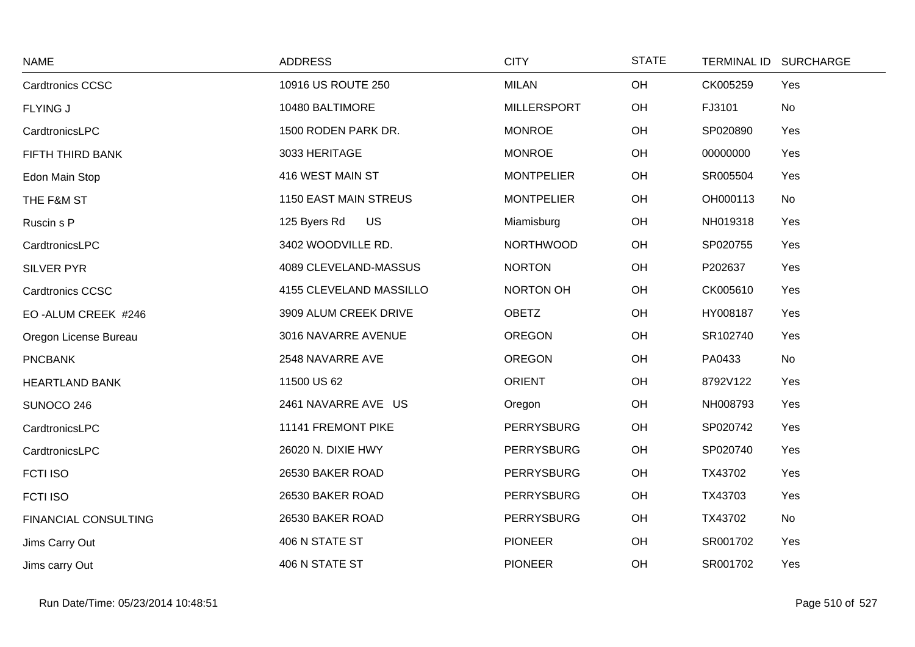| <b>NAME</b>                 | <b>ADDRESS</b>            | <b>CITY</b>        | <b>STATE</b> | TERMINAL ID SURCHARGE |  |
|-----------------------------|---------------------------|--------------------|--------------|-----------------------|--|
| Cardtronics CCSC            | 10916 US ROUTE 250        | <b>MILAN</b>       | OH           | CK005259<br>Yes       |  |
| <b>FLYING J</b>             | 10480 BALTIMORE           | <b>MILLERSPORT</b> | OH           | FJ3101<br>No          |  |
| CardtronicsLPC              | 1500 RODEN PARK DR.       | <b>MONROE</b>      | OH           | SP020890<br>Yes       |  |
| FIFTH THIRD BANK            | 3033 HERITAGE             | <b>MONROE</b>      | OH           | 00000000<br>Yes       |  |
| Edon Main Stop              | 416 WEST MAIN ST          | <b>MONTPELIER</b>  | OH           | SR005504<br>Yes       |  |
| THE F&M ST                  | 1150 EAST MAIN STREUS     | <b>MONTPELIER</b>  | OH           | OH000113<br>No        |  |
| Ruscin s P                  | <b>US</b><br>125 Byers Rd | Miamisburg         | OH           | Yes<br>NH019318       |  |
| CardtronicsLPC              | 3402 WOODVILLE RD.        | <b>NORTHWOOD</b>   | OH           | SP020755<br>Yes       |  |
| <b>SILVER PYR</b>           | 4089 CLEVELAND-MASSUS     | <b>NORTON</b>      | OH           | P202637<br>Yes        |  |
| Cardtronics CCSC            | 4155 CLEVELAND MASSILLO   | NORTON OH          | OH           | CK005610<br>Yes       |  |
| EO-ALUM CREEK #246          | 3909 ALUM CREEK DRIVE     | <b>OBETZ</b>       | OH           | HY008187<br>Yes       |  |
| Oregon License Bureau       | 3016 NAVARRE AVENUE       | <b>OREGON</b>      | OH           | SR102740<br>Yes       |  |
| <b>PNCBANK</b>              | 2548 NAVARRE AVE          | <b>OREGON</b>      | OH           | No<br>PA0433          |  |
| <b>HEARTLAND BANK</b>       | 11500 US 62               | <b>ORIENT</b>      | OH           | 8792V122<br>Yes       |  |
| SUNOCO 246                  | 2461 NAVARRE AVE US       | Oregon             | OH           | NH008793<br>Yes       |  |
| CardtronicsLPC              | 11141 FREMONT PIKE        | <b>PERRYSBURG</b>  | OH           | SP020742<br>Yes       |  |
| CardtronicsLPC              | 26020 N. DIXIE HWY        | PERRYSBURG         | OH           | SP020740<br>Yes       |  |
| <b>FCTI ISO</b>             | 26530 BAKER ROAD          | PERRYSBURG         | OH           | TX43702<br>Yes        |  |
| <b>FCTI ISO</b>             | 26530 BAKER ROAD          | <b>PERRYSBURG</b>  | OH           | TX43703<br>Yes        |  |
| <b>FINANCIAL CONSULTING</b> | 26530 BAKER ROAD          | <b>PERRYSBURG</b>  | OH           | No<br>TX43702         |  |
| Jims Carry Out              | 406 N STATE ST            | <b>PIONEER</b>     | OH           | SR001702<br>Yes       |  |
| Jims carry Out              | 406 N STATE ST            | <b>PIONEER</b>     | OH           | SR001702<br>Yes       |  |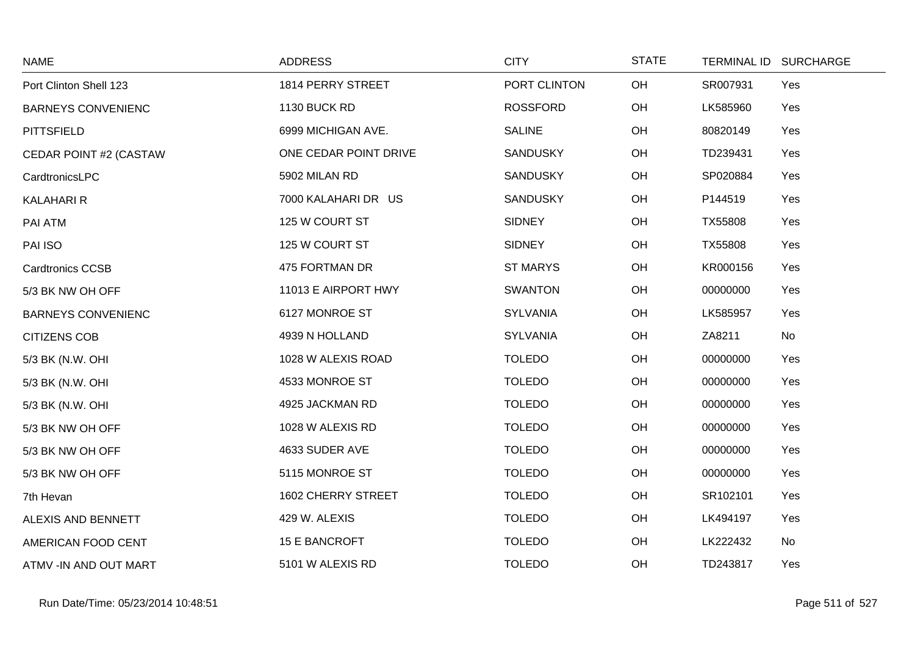| <b>NAME</b>               | <b>ADDRESS</b>        | <b>CITY</b>     | <b>STATE</b> | <b>TERMINAL ID</b> | <b>SURCHARGE</b> |
|---------------------------|-----------------------|-----------------|--------------|--------------------|------------------|
| Port Clinton Shell 123    | 1814 PERRY STREET     | PORT CLINTON    | OH           | SR007931           | Yes              |
| <b>BARNEYS CONVENIENC</b> | 1130 BUCK RD          | <b>ROSSFORD</b> | OH           | LK585960           | Yes              |
| <b>PITTSFIELD</b>         | 6999 MICHIGAN AVE.    | <b>SALINE</b>   | OH           | 80820149           | Yes              |
| CEDAR POINT #2 (CASTAW    | ONE CEDAR POINT DRIVE | <b>SANDUSKY</b> | OH           | TD239431           | Yes              |
| CardtronicsLPC            | 5902 MILAN RD         | <b>SANDUSKY</b> | OH           | SP020884           | Yes              |
| <b>KALAHARI R</b>         | 7000 KALAHARI DR US   | <b>SANDUSKY</b> | OH           | P144519            | Yes              |
| PAI ATM                   | 125 W COURT ST        | <b>SIDNEY</b>   | OH           | TX55808            | Yes              |
| PAI ISO                   | 125 W COURT ST        | <b>SIDNEY</b>   | OH           | TX55808            | Yes              |
| <b>Cardtronics CCSB</b>   | 475 FORTMAN DR        | <b>ST MARYS</b> | OH           | KR000156           | Yes              |
| 5/3 BK NW OH OFF          | 11013 E AIRPORT HWY   | <b>SWANTON</b>  | OH           | 00000000           | Yes              |
| <b>BARNEYS CONVENIENC</b> | 6127 MONROE ST        | <b>SYLVANIA</b> | OH           | LK585957           | Yes              |
| <b>CITIZENS COB</b>       | 4939 N HOLLAND        | SYLVANIA        | OH           | ZA8211             | No               |
| 5/3 BK (N.W. OHI          | 1028 W ALEXIS ROAD    | <b>TOLEDO</b>   | OH           | 00000000           | Yes              |
| 5/3 BK (N.W. OHI          | 4533 MONROE ST        | <b>TOLEDO</b>   | OH           | 00000000           | Yes              |
| 5/3 BK (N.W. OHI          | 4925 JACKMAN RD       | <b>TOLEDO</b>   | OH           | 00000000           | Yes              |
| 5/3 BK NW OH OFF          | 1028 W ALEXIS RD      | <b>TOLEDO</b>   | OH           | 00000000           | Yes              |
| 5/3 BK NW OH OFF          | 4633 SUDER AVE        | <b>TOLEDO</b>   | OH           | 00000000           | Yes              |
| 5/3 BK NW OH OFF          | 5115 MONROE ST        | <b>TOLEDO</b>   | OH           | 00000000           | Yes              |
| 7th Hevan                 | 1602 CHERRY STREET    | <b>TOLEDO</b>   | OH           | SR102101           | Yes              |
| ALEXIS AND BENNETT        | 429 W. ALEXIS         | <b>TOLEDO</b>   | OH           | LK494197           | Yes              |
| AMERICAN FOOD CENT        | 15 E BANCROFT         | <b>TOLEDO</b>   | OH           | LK222432           | No               |
| ATMV -IN AND OUT MART     | 5101 W ALEXIS RD      | <b>TOLEDO</b>   | OH           | TD243817           | Yes              |

 $\sim$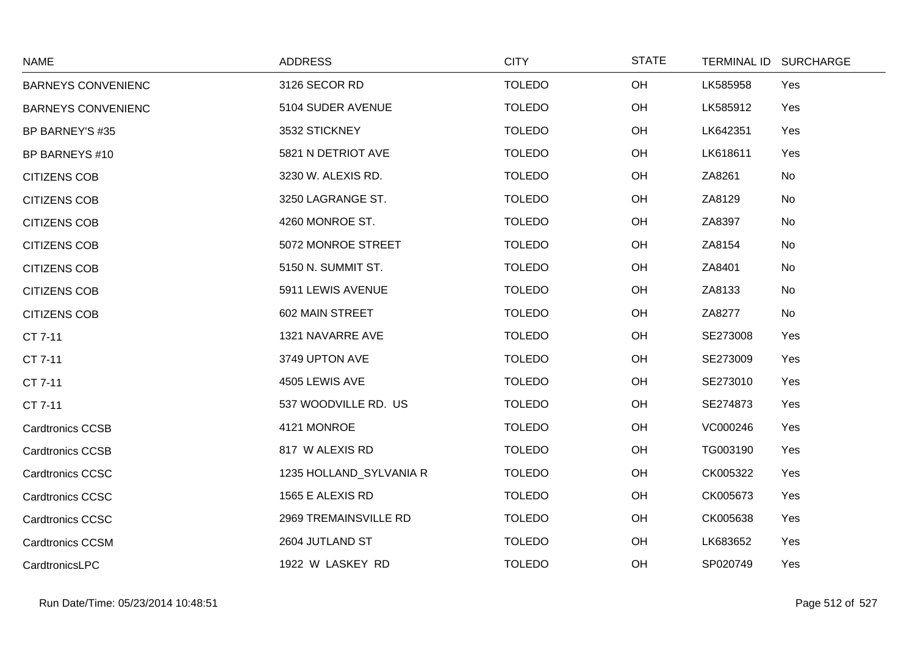| <b>NAME</b>               | <b>ADDRESS</b>          | <b>CITY</b>   | <b>STATE</b> |          | TERMINAL ID SURCHARGE |
|---------------------------|-------------------------|---------------|--------------|----------|-----------------------|
| <b>BARNEYS CONVENIENC</b> | 3126 SECOR RD           | <b>TOLEDO</b> | OH           | LK585958 | Yes                   |
| <b>BARNEYS CONVENIENC</b> | 5104 SUDER AVENUE       | <b>TOLEDO</b> | OH           | LK585912 | Yes                   |
| BP BARNEY'S #35           | 3532 STICKNEY           | <b>TOLEDO</b> | OH           | LK642351 | Yes                   |
| <b>BP BARNEYS #10</b>     | 5821 N DETRIOT AVE      | <b>TOLEDO</b> | OH           | LK618611 | Yes                   |
| <b>CITIZENS COB</b>       | 3230 W. ALEXIS RD.      | <b>TOLEDO</b> | OH           | ZA8261   | No                    |
| <b>CITIZENS COB</b>       | 3250 LAGRANGE ST.       | <b>TOLEDO</b> | OH           | ZA8129   | No                    |
| <b>CITIZENS COB</b>       | 4260 MONROE ST.         | <b>TOLEDO</b> | OH           | ZA8397   | No                    |
| <b>CITIZENS COB</b>       | 5072 MONROE STREET      | <b>TOLEDO</b> | OH           | ZA8154   | No                    |
| <b>CITIZENS COB</b>       | 5150 N. SUMMIT ST.      | <b>TOLEDO</b> | OH           | ZA8401   | No                    |
| <b>CITIZENS COB</b>       | 5911 LEWIS AVENUE       | <b>TOLEDO</b> | OH           | ZA8133   | No                    |
| <b>CITIZENS COB</b>       | 602 MAIN STREET         | <b>TOLEDO</b> | OH           | ZA8277   | No                    |
| CT 7-11                   | 1321 NAVARRE AVE        | <b>TOLEDO</b> | OH           | SE273008 | Yes                   |
| CT 7-11                   | 3749 UPTON AVE          | <b>TOLEDO</b> | OH           | SE273009 | Yes                   |
| CT 7-11                   | 4505 LEWIS AVE          | <b>TOLEDO</b> | OH           | SE273010 | Yes                   |
| CT 7-11                   | 537 WOODVILLE RD. US    | <b>TOLEDO</b> | OH           | SE274873 | Yes                   |
| <b>Cardtronics CCSB</b>   | 4121 MONROE             | <b>TOLEDO</b> | OH           | VC000246 | Yes                   |
| <b>Cardtronics CCSB</b>   | 817 W ALEXIS RD         | <b>TOLEDO</b> | OH           | TG003190 | Yes                   |
| <b>Cardtronics CCSC</b>   | 1235 HOLLAND_SYLVANIA R | <b>TOLEDO</b> | OH           | CK005322 | Yes                   |
| <b>Cardtronics CCSC</b>   | 1565 E ALEXIS RD        | <b>TOLEDO</b> | OH           | CK005673 | Yes                   |
| <b>Cardtronics CCSC</b>   | 2969 TREMAINSVILLE RD   | <b>TOLEDO</b> | OH           | CK005638 | Yes                   |
| <b>Cardtronics CCSM</b>   | 2604 JUTLAND ST         | <b>TOLEDO</b> | OH           | LK683652 | Yes                   |
| CardtronicsLPC            | 1922 W LASKEY RD        | <b>TOLEDO</b> | OH           | SP020749 | Yes                   |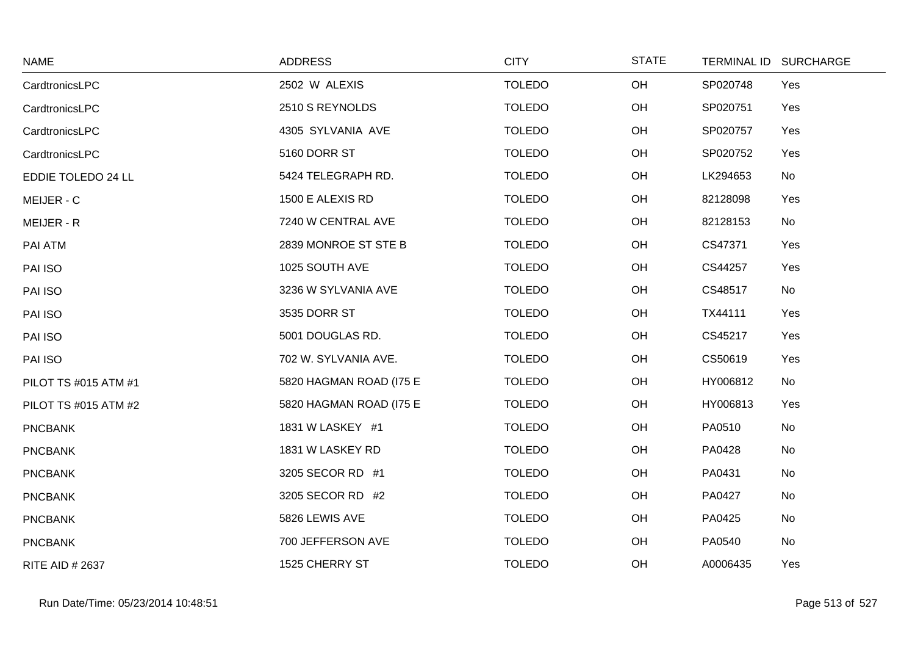| <b>NAME</b>            | <b>ADDRESS</b>          | <b>CITY</b>   | <b>STATE</b> | <b>TERMINAL ID</b> | <b>SURCHARGE</b> |
|------------------------|-------------------------|---------------|--------------|--------------------|------------------|
| CardtronicsLPC         | 2502 W ALEXIS           | <b>TOLEDO</b> | OH           | SP020748           | Yes              |
| CardtronicsLPC         | 2510 S REYNOLDS         | <b>TOLEDO</b> | OH           | SP020751           | Yes              |
| CardtronicsLPC         | 4305 SYLVANIA AVE       | <b>TOLEDO</b> | OH           | SP020757           | Yes              |
| CardtronicsLPC         | 5160 DORR ST            | <b>TOLEDO</b> | OH           | SP020752           | Yes              |
| EDDIE TOLEDO 24 LL     | 5424 TELEGRAPH RD.      | <b>TOLEDO</b> | OH           | LK294653           | No               |
| MEIJER - C             | 1500 E ALEXIS RD        | <b>TOLEDO</b> | OH           | 82128098           | Yes              |
| MEIJER - R             | 7240 W CENTRAL AVE      | <b>TOLEDO</b> | OH           | 82128153           | No               |
| PAI ATM                | 2839 MONROE ST STE B    | <b>TOLEDO</b> | OH           | CS47371            | Yes              |
| PAI ISO                | 1025 SOUTH AVE          | <b>TOLEDO</b> | OH           | CS44257            | Yes              |
| PAI ISO                | 3236 W SYLVANIA AVE     | <b>TOLEDO</b> | OH           | CS48517            | No               |
| PAI ISO                | 3535 DORR ST            | <b>TOLEDO</b> | OH           | TX44111            | Yes              |
| PAI ISO                | 5001 DOUGLAS RD.        | <b>TOLEDO</b> | OH           | CS45217            | Yes              |
| PAI ISO                | 702 W. SYLVANIA AVE.    | <b>TOLEDO</b> | OH           | CS50619            | Yes              |
| PILOT TS #015 ATM #1   | 5820 HAGMAN ROAD (I75 E | <b>TOLEDO</b> | OH           | HY006812           | No               |
| PILOT TS #015 ATM #2   | 5820 HAGMAN ROAD (I75 E | <b>TOLEDO</b> | OH           | HY006813           | Yes              |
| <b>PNCBANK</b>         | 1831 W LASKEY #1        | <b>TOLEDO</b> | OH           | PA0510             | No               |
| <b>PNCBANK</b>         | 1831 W LASKEY RD        | <b>TOLEDO</b> | OH           | PA0428             | No               |
| <b>PNCBANK</b>         | 3205 SECOR RD #1        | <b>TOLEDO</b> | OH           | PA0431             | No               |
| <b>PNCBANK</b>         | 3205 SECOR RD #2        | <b>TOLEDO</b> | OH           | PA0427             | No               |
| <b>PNCBANK</b>         | 5826 LEWIS AVE          | <b>TOLEDO</b> | OH           | PA0425             | No               |
| <b>PNCBANK</b>         | 700 JEFFERSON AVE       | <b>TOLEDO</b> | OH           | PA0540             | No               |
| <b>RITE AID # 2637</b> | 1525 CHERRY ST          | <b>TOLEDO</b> | OH           | A0006435           | Yes              |

 $\sim$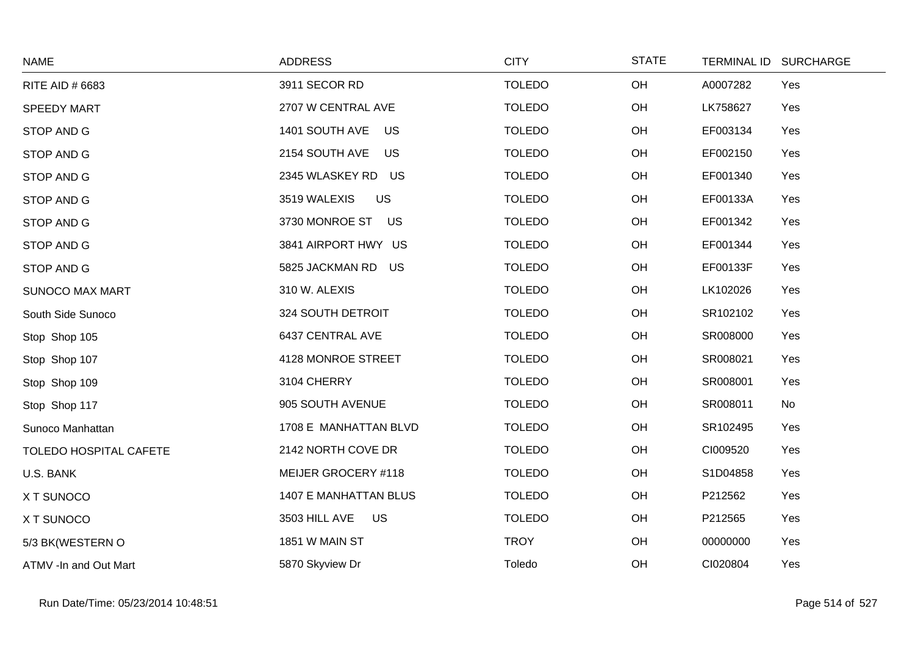| <b>NAME</b>            | <b>ADDRESS</b>               | <b>CITY</b>   | <b>STATE</b> | <b>TERMINAL ID</b> | <b>SURCHARGE</b> |
|------------------------|------------------------------|---------------|--------------|--------------------|------------------|
| RITE AID # 6683        | 3911 SECOR RD                | <b>TOLEDO</b> | OH           | A0007282           | Yes              |
| <b>SPEEDY MART</b>     | 2707 W CENTRAL AVE           | <b>TOLEDO</b> | OH           | LK758627           | Yes              |
| STOP AND G             | 1401 SOUTH AVE<br>US         | <b>TOLEDO</b> | OH           | EF003134           | Yes              |
| STOP AND G             | 2154 SOUTH AVE<br><b>US</b>  | <b>TOLEDO</b> | OH           | EF002150           | Yes              |
| STOP AND G             | 2345 WLASKEY RD US           | <b>TOLEDO</b> | OH           | EF001340           | Yes              |
| STOP AND G             | <b>US</b><br>3519 WALEXIS    | <b>TOLEDO</b> | OH           | EF00133A           | Yes              |
| STOP AND G             | 3730 MONROE ST US            | <b>TOLEDO</b> | OH           | EF001342           | Yes              |
| STOP AND G             | 3841 AIRPORT HWY US          | <b>TOLEDO</b> | OH           | EF001344           | Yes              |
| STOP AND G             | 5825 JACKMAN RD<br>US        | <b>TOLEDO</b> | OH           | EF00133F           | Yes              |
| <b>SUNOCO MAX MART</b> | 310 W. ALEXIS                | <b>TOLEDO</b> | OH           | LK102026           | Yes              |
| South Side Sunoco      | 324 SOUTH DETROIT            | <b>TOLEDO</b> | OH           | SR102102           | Yes              |
| Stop Shop 105          | 6437 CENTRAL AVE             | <b>TOLEDO</b> | OH           | SR008000           | Yes              |
| Stop Shop 107          | 4128 MONROE STREET           | <b>TOLEDO</b> | OH           | SR008021           | Yes              |
| Stop Shop 109          | 3104 CHERRY                  | <b>TOLEDO</b> | OH           | SR008001           | Yes              |
| Stop Shop 117          | 905 SOUTH AVENUE             | <b>TOLEDO</b> | OH           | SR008011           | No               |
| Sunoco Manhattan       | 1708 E MANHATTAN BLVD        | <b>TOLEDO</b> | OH           | SR102495           | Yes              |
| TOLEDO HOSPITAL CAFETE | 2142 NORTH COVE DR           | <b>TOLEDO</b> | OH           | CI009520           | Yes              |
| U.S. BANK              | MEIJER GROCERY #118          | <b>TOLEDO</b> | OH           | S1D04858           | Yes              |
| X T SUNOCO             | <b>1407 E MANHATTAN BLUS</b> | <b>TOLEDO</b> | OH           | P212562            | Yes              |
| X T SUNOCO             | <b>US</b><br>3503 HILL AVE   | <b>TOLEDO</b> | OH           | P212565            | Yes              |
| 5/3 BK(WESTERN O       | 1851 W MAIN ST               | <b>TROY</b>   | OH           | 00000000           | Yes              |
| ATMV -In and Out Mart  | 5870 Skyview Dr              | Toledo        | OH           | CI020804           | Yes              |

 $\sim$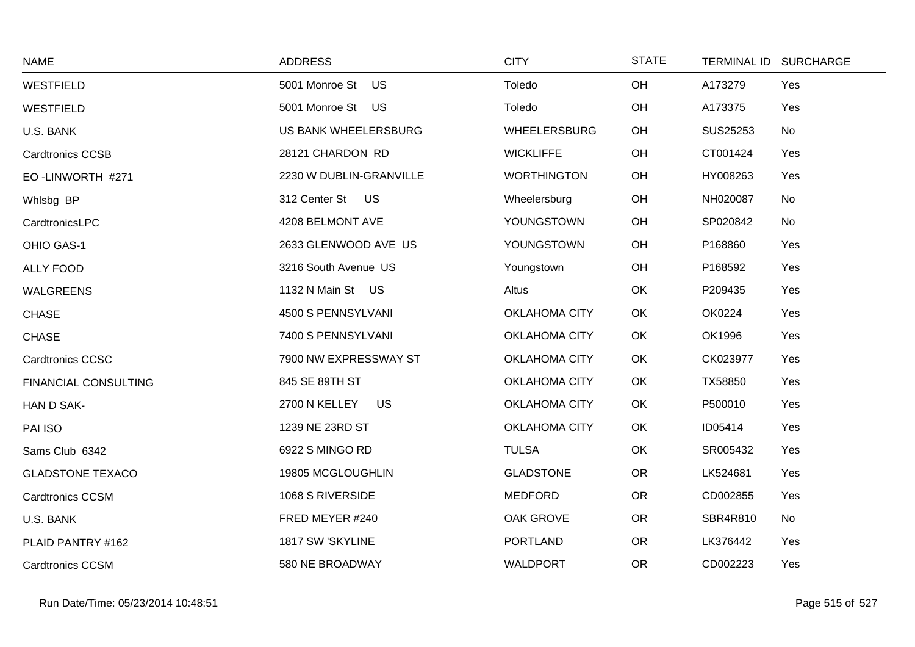| <b>NAME</b>                 | <b>ADDRESS</b>             | <b>CITY</b>          | <b>STATE</b> |          | TERMINAL ID SURCHARGE |
|-----------------------------|----------------------------|----------------------|--------------|----------|-----------------------|
| <b>WESTFIELD</b>            | 5001 Monroe St<br>US       | Toledo               | OH           | A173279  | Yes                   |
| <b>WESTFIELD</b>            | 5001 Monroe St US          | Toledo               | OH           | A173375  | Yes                   |
| U.S. BANK                   | US BANK WHEELERSBURG       | <b>WHEELERSBURG</b>  | OH           | SUS25253 | No                    |
| <b>Cardtronics CCSB</b>     | 28121 CHARDON RD           | <b>WICKLIFFE</b>     | OH           | CT001424 | Yes                   |
| EO-LINWORTH #271            | 2230 W DUBLIN-GRANVILLE    | <b>WORTHINGTON</b>   | OH           | HY008263 | Yes                   |
| Whisbg BP                   | 312 Center St US           | Wheelersburg         | OH           | NH020087 | No                    |
| CardtronicsLPC              | 4208 BELMONT AVE           | YOUNGSTOWN           | OH           | SP020842 | No                    |
| OHIO GAS-1                  | 2633 GLENWOOD AVE US       | YOUNGSTOWN           | OH           | P168860  | Yes                   |
| <b>ALLY FOOD</b>            | 3216 South Avenue US       | Youngstown           | OH           | P168592  | Yes                   |
| <b>WALGREENS</b>            | 1132 N Main St US          | Altus                | OK           | P209435  | Yes                   |
| <b>CHASE</b>                | 4500 S PENNSYLVANI         | <b>OKLAHOMA CITY</b> | OK           | OK0224   | Yes                   |
| <b>CHASE</b>                | 7400 S PENNSYLVANI         | OKLAHOMA CITY        | OK           | OK1996   | Yes                   |
| <b>Cardtronics CCSC</b>     | 7900 NW EXPRESSWAY ST      | <b>OKLAHOMA CITY</b> | OK           | CK023977 | Yes                   |
| <b>FINANCIAL CONSULTING</b> | 845 SE 89TH ST             | <b>OKLAHOMA CITY</b> | OK           | TX58850  | Yes                   |
| HAN D SAK-                  | 2700 N KELLEY<br><b>US</b> | <b>OKLAHOMA CITY</b> | OK           | P500010  | Yes                   |
| PAI ISO                     | 1239 NE 23RD ST            | OKLAHOMA CITY        | OK           | ID05414  | Yes                   |
| Sams Club 6342              | 6922 S MINGO RD            | <b>TULSA</b>         | OK           | SR005432 | Yes                   |
| <b>GLADSTONE TEXACO</b>     | 19805 MCGLOUGHLIN          | <b>GLADSTONE</b>     | <b>OR</b>    | LK524681 | Yes                   |
| <b>Cardtronics CCSM</b>     | 1068 S RIVERSIDE           | <b>MEDFORD</b>       | <b>OR</b>    | CD002855 | Yes                   |
| U.S. BANK                   | FRED MEYER #240            | OAK GROVE            | <b>OR</b>    | SBR4R810 | No                    |
| PLAID PANTRY #162           | 1817 SW 'SKYLINE           | <b>PORTLAND</b>      | <b>OR</b>    | LK376442 | Yes                   |
| <b>Cardtronics CCSM</b>     | 580 NE BROADWAY            | <b>WALDPORT</b>      | <b>OR</b>    | CD002223 | Yes                   |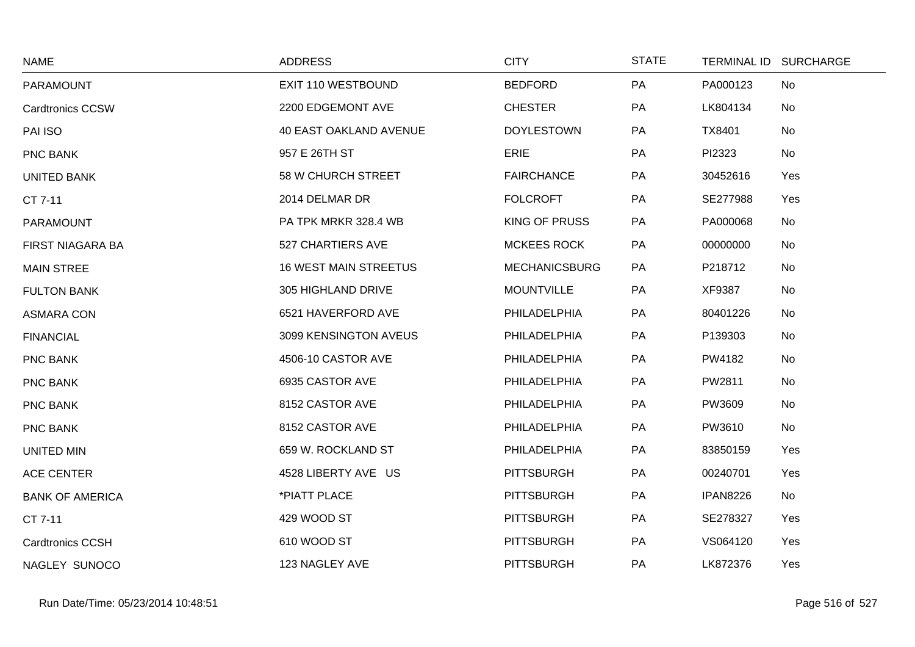| <b>NAME</b>             | <b>ADDRESS</b>                | <b>CITY</b>          | <b>STATE</b> | TERMINAL ID SURCHARGE |     |
|-------------------------|-------------------------------|----------------------|--------------|-----------------------|-----|
| PARAMOUNT               | EXIT 110 WESTBOUND            | <b>BEDFORD</b>       | PA           | PA000123              | No  |
| <b>Cardtronics CCSW</b> | 2200 EDGEMONT AVE             | <b>CHESTER</b>       | PA           | LK804134              | No  |
| PAI ISO                 | <b>40 EAST OAKLAND AVENUE</b> | <b>DOYLESTOWN</b>    | PA           | TX8401                | No  |
| PNC BANK                | 957 E 26TH ST                 | <b>ERIE</b>          | PA           | PI2323                | No  |
| <b>UNITED BANK</b>      | 58 W CHURCH STREET            | <b>FAIRCHANCE</b>    | PA           | 30452616              | Yes |
| CT 7-11                 | 2014 DELMAR DR                | <b>FOLCROFT</b>      | PA           | SE277988              | Yes |
| <b>PARAMOUNT</b>        | PA TPK MRKR 328.4 WB          | <b>KING OF PRUSS</b> | PA           | PA000068              | No  |
| FIRST NIAGARA BA        | 527 CHARTIERS AVE             | <b>MCKEES ROCK</b>   | PA           | 00000000              | No  |
| <b>MAIN STREE</b>       | <b>16 WEST MAIN STREETUS</b>  | <b>MECHANICSBURG</b> | PA           | P218712               | No  |
| <b>FULTON BANK</b>      | 305 HIGHLAND DRIVE            | <b>MOUNTVILLE</b>    | PA           | XF9387                | No  |
| <b>ASMARA CON</b>       | 6521 HAVERFORD AVE            | PHILADELPHIA         | PA           | 80401226              | No  |
| <b>FINANCIAL</b>        | 3099 KENSINGTON AVEUS         | PHILADELPHIA         | PA           | P139303               | No  |
| PNC BANK                | 4506-10 CASTOR AVE            | PHILADELPHIA         | PA           | PW4182                | No  |
| PNC BANK                | 6935 CASTOR AVE               | PHILADELPHIA         | PA           | PW2811                | No  |
| PNC BANK                | 8152 CASTOR AVE               | PHILADELPHIA         | PA           | PW3609                | No  |
| PNC BANK                | 8152 CASTOR AVE               | PHILADELPHIA         | PA           | PW3610                | No  |
| UNITED MIN              | 659 W. ROCKLAND ST            | PHILADELPHIA         | PA           | 83850159              | Yes |
| <b>ACE CENTER</b>       | 4528 LIBERTY AVE US           | <b>PITTSBURGH</b>    | PA           | 00240701              | Yes |
| <b>BANK OF AMERICA</b>  | *PIATT PLACE                  | <b>PITTSBURGH</b>    | PA           | <b>IPAN8226</b>       | No  |
| CT 7-11                 | 429 WOOD ST                   | <b>PITTSBURGH</b>    | PA           | SE278327              | Yes |
| <b>Cardtronics CCSH</b> | 610 WOOD ST                   | <b>PITTSBURGH</b>    | PA           | VS064120              | Yes |
| NAGLEY SUNOCO           | 123 NAGLEY AVE                | <b>PITTSBURGH</b>    | PA           | LK872376              | Yes |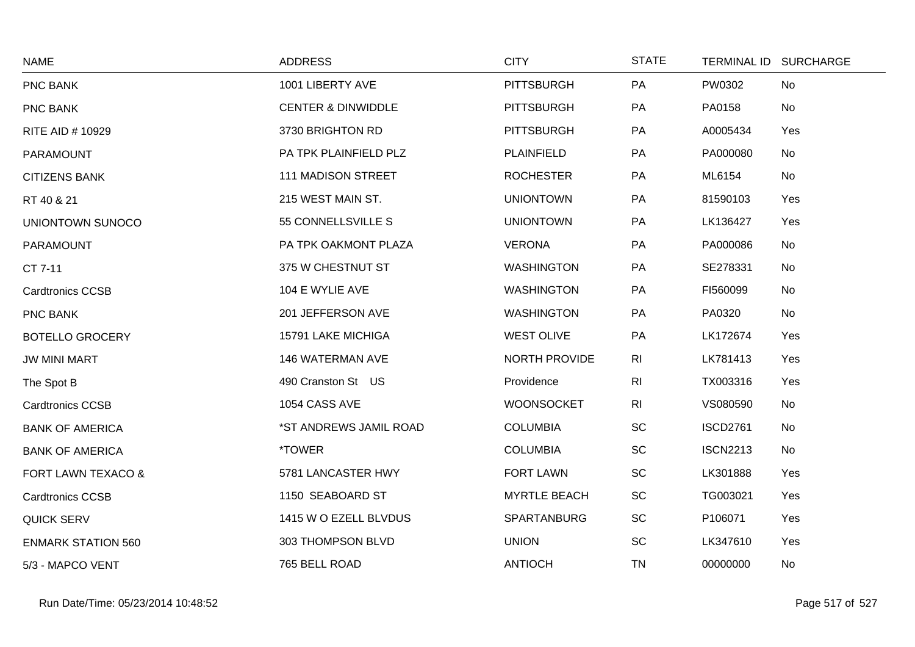| <b>NAME</b>               | <b>ADDRESS</b>                | <b>CITY</b>          | <b>STATE</b>   |                 | TERMINAL ID SURCHARGE |
|---------------------------|-------------------------------|----------------------|----------------|-----------------|-----------------------|
| PNC BANK                  | 1001 LIBERTY AVE              | <b>PITTSBURGH</b>    | PA             | PW0302          | No                    |
| <b>PNC BANK</b>           | <b>CENTER &amp; DINWIDDLE</b> | <b>PITTSBURGH</b>    | PA             | PA0158          | No                    |
| <b>RITE AID # 10929</b>   | 3730 BRIGHTON RD              | <b>PITTSBURGH</b>    | PA             | A0005434        | Yes                   |
| <b>PARAMOUNT</b>          | PA TPK PLAINFIELD PLZ         | PLAINFIELD           | PA             | PA000080        | No                    |
| <b>CITIZENS BANK</b>      | <b>111 MADISON STREET</b>     | <b>ROCHESTER</b>     | PA             | ML6154          | No                    |
| RT 40 & 21                | 215 WEST MAIN ST.             | <b>UNIONTOWN</b>     | PA             | 81590103        | Yes                   |
| UNIONTOWN SUNOCO          | 55 CONNELLSVILLE S            | <b>UNIONTOWN</b>     | PA             | LK136427        | Yes                   |
| PARAMOUNT                 | PA TPK OAKMONT PLAZA          | <b>VERONA</b>        | PA             | PA000086        | No                    |
| CT 7-11                   | 375 W CHESTNUT ST             | <b>WASHINGTON</b>    | PA             | SE278331        | No                    |
| <b>Cardtronics CCSB</b>   | 104 E WYLIE AVE               | <b>WASHINGTON</b>    | PA             | FI560099        | No                    |
| PNC BANK                  | 201 JEFFERSON AVE             | <b>WASHINGTON</b>    | PA             | PA0320          | No                    |
| <b>BOTELLO GROCERY</b>    | 15791 LAKE MICHIGA            | <b>WEST OLIVE</b>    | PA             | LK172674        | Yes                   |
| <b>JW MINI MART</b>       | 146 WATERMAN AVE              | <b>NORTH PROVIDE</b> | R <sub>l</sub> | LK781413        | Yes                   |
| The Spot B                | 490 Cranston St US            | Providence           | R <sub>l</sub> | TX003316        | Yes                   |
| <b>Cardtronics CCSB</b>   | 1054 CASS AVE                 | <b>WOONSOCKET</b>    | R <sub>l</sub> | VS080590        | No                    |
| <b>BANK OF AMERICA</b>    | *ST ANDREWS JAMIL ROAD        | <b>COLUMBIA</b>      | SC             | <b>ISCD2761</b> | No                    |
| <b>BANK OF AMERICA</b>    | *TOWER                        | <b>COLUMBIA</b>      | <b>SC</b>      | <b>ISCN2213</b> | No                    |
| FORT LAWN TEXACO &        | 5781 LANCASTER HWY            | <b>FORT LAWN</b>     | <b>SC</b>      | LK301888        | Yes                   |
| <b>Cardtronics CCSB</b>   | 1150 SEABOARD ST              | <b>MYRTLE BEACH</b>  | SC             | TG003021        | Yes                   |
| <b>QUICK SERV</b>         | 1415 W O EZELL BLVDUS         | SPARTANBURG          | <b>SC</b>      | P106071         | Yes                   |
| <b>ENMARK STATION 560</b> | 303 THOMPSON BLVD             | <b>UNION</b>         | <b>SC</b>      | LK347610        | Yes                   |
| 5/3 - MAPCO VENT          | 765 BELL ROAD                 | <b>ANTIOCH</b>       | <b>TN</b>      | 00000000        | No                    |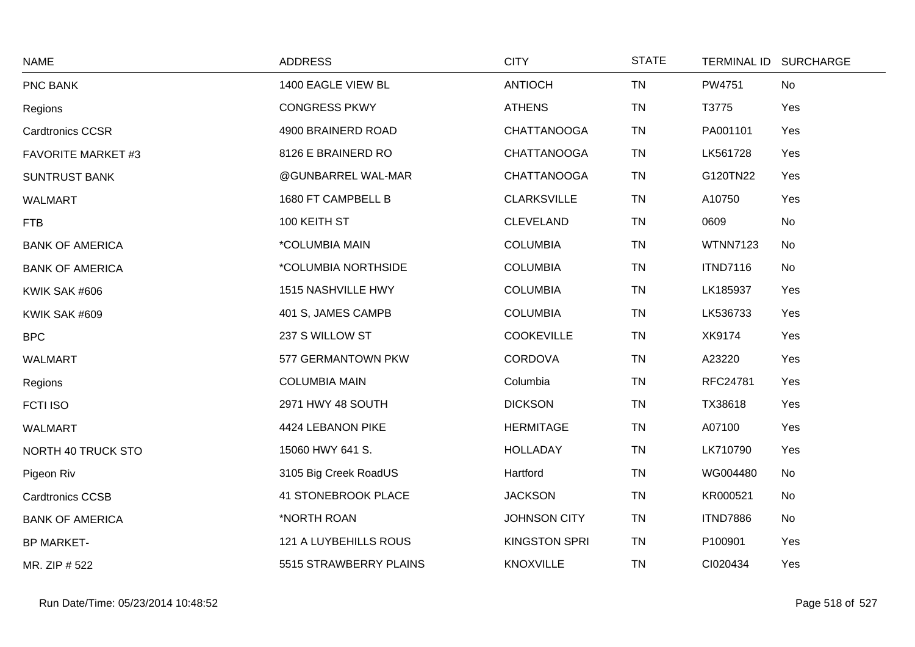| <b>NAME</b>               | <b>ADDRESS</b>             | <b>CITY</b>          | <b>STATE</b> |                 | TERMINAL ID SURCHARGE |
|---------------------------|----------------------------|----------------------|--------------|-----------------|-----------------------|
| PNC BANK                  | 1400 EAGLE VIEW BL         | <b>ANTIOCH</b>       | <b>TN</b>    | PW4751          | No                    |
| Regions                   | <b>CONGRESS PKWY</b>       | <b>ATHENS</b>        | <b>TN</b>    | T3775           | Yes                   |
| <b>Cardtronics CCSR</b>   | 4900 BRAINERD ROAD         | <b>CHATTANOOGA</b>   | <b>TN</b>    | PA001101        | Yes                   |
| <b>FAVORITE MARKET #3</b> | 8126 E BRAINERD RO         | <b>CHATTANOOGA</b>   | <b>TN</b>    | LK561728        | Yes                   |
| <b>SUNTRUST BANK</b>      | @GUNBARREL WAL-MAR         | <b>CHATTANOOGA</b>   | <b>TN</b>    | G120TN22        | Yes                   |
| <b>WALMART</b>            | 1680 FT CAMPBELL B         | <b>CLARKSVILLE</b>   | <b>TN</b>    | A10750          | Yes                   |
| <b>FTB</b>                | 100 KEITH ST               | <b>CLEVELAND</b>     | <b>TN</b>    | 0609            | No                    |
| <b>BANK OF AMERICA</b>    | *COLUMBIA MAIN             | <b>COLUMBIA</b>      | <b>TN</b>    | <b>WTNN7123</b> | <b>No</b>             |
| <b>BANK OF AMERICA</b>    | *COLUMBIA NORTHSIDE        | <b>COLUMBIA</b>      | <b>TN</b>    | <b>ITND7116</b> | No                    |
| KWIK SAK #606             | 1515 NASHVILLE HWY         | <b>COLUMBIA</b>      | <b>TN</b>    | LK185937        | Yes                   |
| KWIK SAK #609             | 401 S, JAMES CAMPB         | <b>COLUMBIA</b>      | <b>TN</b>    | LK536733        | Yes                   |
| <b>BPC</b>                | 237 S WILLOW ST            | <b>COOKEVILLE</b>    | <b>TN</b>    | XK9174          | Yes                   |
| <b>WALMART</b>            | 577 GERMANTOWN PKW         | <b>CORDOVA</b>       | <b>TN</b>    | A23220          | Yes                   |
| Regions                   | <b>COLUMBIA MAIN</b>       | Columbia             | <b>TN</b>    | RFC24781        | Yes                   |
| <b>FCTI ISO</b>           | 2971 HWY 48 SOUTH          | <b>DICKSON</b>       | <b>TN</b>    | TX38618         | Yes                   |
| <b>WALMART</b>            | 4424 LEBANON PIKE          | <b>HERMITAGE</b>     | <b>TN</b>    | A07100          | Yes                   |
| NORTH 40 TRUCK STO        | 15060 HWY 641 S.           | <b>HOLLADAY</b>      | <b>TN</b>    | LK710790        | Yes                   |
| Pigeon Riv                | 3105 Big Creek RoadUS      | Hartford             | <b>TN</b>    | WG004480        | No                    |
| <b>Cardtronics CCSB</b>   | <b>41 STONEBROOK PLACE</b> | <b>JACKSON</b>       | <b>TN</b>    | KR000521        | <b>No</b>             |
| <b>BANK OF AMERICA</b>    | *NORTH ROAN                | <b>JOHNSON CITY</b>  | <b>TN</b>    | <b>ITND7886</b> | <b>No</b>             |
| <b>BP MARKET-</b>         | 121 A LUYBEHILLS ROUS      | <b>KINGSTON SPRI</b> | <b>TN</b>    | P100901         | Yes                   |
| MR. ZIP # 522             | 5515 STRAWBERRY PLAINS     | <b>KNOXVILLE</b>     | <b>TN</b>    | CI020434        | Yes                   |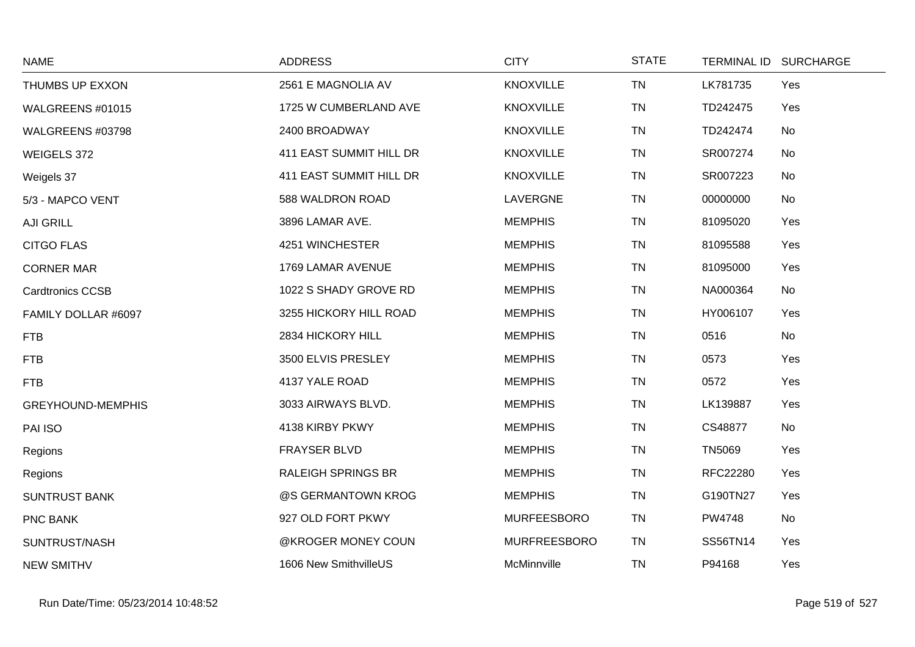| <b>NAME</b>              | <b>ADDRESS</b>            | <b>CITY</b>        | <b>STATE</b> |                 | TERMINAL ID SURCHARGE |
|--------------------------|---------------------------|--------------------|--------------|-----------------|-----------------------|
| THUMBS UP EXXON          | 2561 E MAGNOLIA AV        | <b>KNOXVILLE</b>   | <b>TN</b>    | LK781735        | Yes                   |
| WALGREENS #01015         | 1725 W CUMBERLAND AVE     | <b>KNOXVILLE</b>   | <b>TN</b>    | TD242475        | Yes                   |
| WALGREENS #03798         | 2400 BROADWAY             | <b>KNOXVILLE</b>   | <b>TN</b>    | TD242474        | No                    |
| WEIGELS 372              | 411 EAST SUMMIT HILL DR   | <b>KNOXVILLE</b>   | <b>TN</b>    | SR007274        | No                    |
| Weigels 37               | 411 EAST SUMMIT HILL DR   | <b>KNOXVILLE</b>   | <b>TN</b>    | SR007223        | No                    |
| 5/3 - MAPCO VENT         | 588 WALDRON ROAD          | LAVERGNE           | <b>TN</b>    | 00000000        | No                    |
| <b>AJI GRILL</b>         | 3896 LAMAR AVE.           | <b>MEMPHIS</b>     | <b>TN</b>    | 81095020        | Yes                   |
| <b>CITGO FLAS</b>        | 4251 WINCHESTER           | <b>MEMPHIS</b>     | <b>TN</b>    | 81095588        | Yes                   |
| <b>CORNER MAR</b>        | 1769 LAMAR AVENUE         | <b>MEMPHIS</b>     | <b>TN</b>    | 81095000        | Yes                   |
| <b>Cardtronics CCSB</b>  | 1022 S SHADY GROVE RD     | <b>MEMPHIS</b>     | <b>TN</b>    | NA000364        | No                    |
| FAMILY DOLLAR #6097      | 3255 HICKORY HILL ROAD    | <b>MEMPHIS</b>     | <b>TN</b>    | HY006107        | Yes                   |
| <b>FTB</b>               | 2834 HICKORY HILL         | <b>MEMPHIS</b>     | <b>TN</b>    | 0516            | No                    |
| <b>FTB</b>               | 3500 ELVIS PRESLEY        | <b>MEMPHIS</b>     | <b>TN</b>    | 0573            | Yes                   |
| <b>FTB</b>               | 4137 YALE ROAD            | <b>MEMPHIS</b>     | <b>TN</b>    | 0572            | Yes                   |
| <b>GREYHOUND-MEMPHIS</b> | 3033 AIRWAYS BLVD.        | <b>MEMPHIS</b>     | <b>TN</b>    | LK139887        | Yes                   |
| PAI ISO                  | 4138 KIRBY PKWY           | <b>MEMPHIS</b>     | <b>TN</b>    | CS48877         | No                    |
| Regions                  | FRAYSER BLVD              | <b>MEMPHIS</b>     | <b>TN</b>    | <b>TN5069</b>   | Yes                   |
| Regions                  | <b>RALEIGH SPRINGS BR</b> | <b>MEMPHIS</b>     | <b>TN</b>    | RFC22280        | Yes                   |
| <b>SUNTRUST BANK</b>     | @S GERMANTOWN KROG        | <b>MEMPHIS</b>     | <b>TN</b>    | G190TN27        | Yes                   |
| PNC BANK                 | 927 OLD FORT PKWY         | <b>MURFEESBORO</b> | <b>TN</b>    | PW4748          | No                    |
| SUNTRUST/NASH            | @KROGER MONEY COUN        | MURFREESBORO       | <b>TN</b>    | <b>SS56TN14</b> | Yes                   |
| <b>NEW SMITHV</b>        | 1606 New SmithvilleUS     | McMinnville        | <b>TN</b>    | P94168          | Yes                   |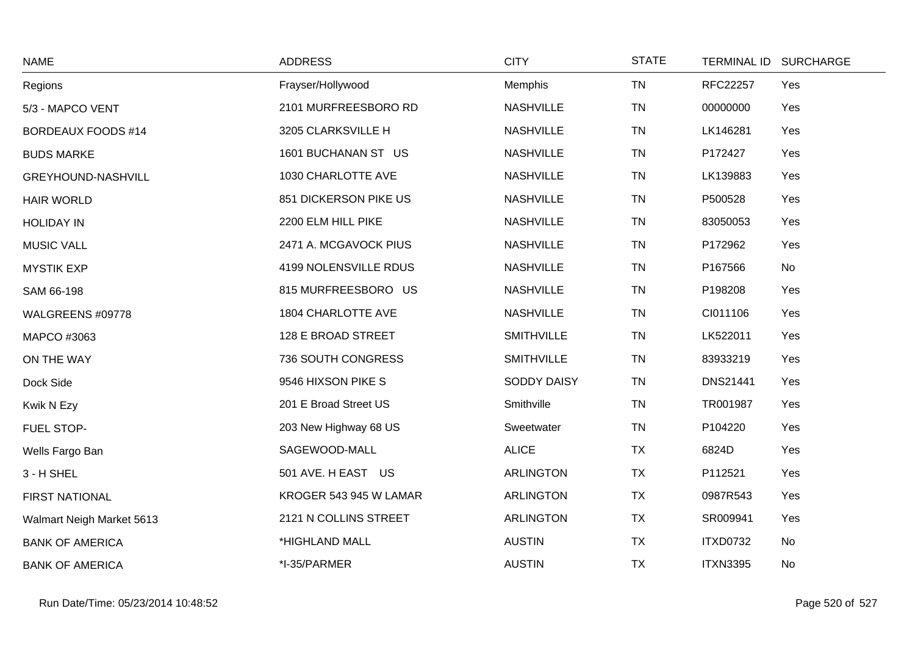| <b>NAME</b>               | <b>ADDRESS</b>         | <b>CITY</b>       | <b>STATE</b> |                 | TERMINAL ID SURCHARGE |
|---------------------------|------------------------|-------------------|--------------|-----------------|-----------------------|
| Regions                   | Frayser/Hollywood      | Memphis           | <b>TN</b>    | RFC22257        | Yes                   |
| 5/3 - MAPCO VENT          | 2101 MURFREESBORO RD   | <b>NASHVILLE</b>  | <b>TN</b>    | 00000000        | Yes                   |
| <b>BORDEAUX FOODS #14</b> | 3205 CLARKSVILLE H     | <b>NASHVILLE</b>  | <b>TN</b>    | LK146281        | Yes                   |
| <b>BUDS MARKE</b>         | 1601 BUCHANAN ST US    | <b>NASHVILLE</b>  | <b>TN</b>    | P172427         | Yes                   |
| GREYHOUND-NASHVILL        | 1030 CHARLOTTE AVE     | <b>NASHVILLE</b>  | <b>TN</b>    | LK139883        | Yes                   |
| <b>HAIR WORLD</b>         | 851 DICKERSON PIKE US  | <b>NASHVILLE</b>  | <b>TN</b>    | P500528         | Yes                   |
| <b>HOLIDAY IN</b>         | 2200 ELM HILL PIKE     | <b>NASHVILLE</b>  | <b>TN</b>    | 83050053        | Yes                   |
| <b>MUSIC VALL</b>         | 2471 A. MCGAVOCK PIUS  | <b>NASHVILLE</b>  | <b>TN</b>    | P172962         | Yes                   |
| <b>MYSTIK EXP</b>         | 4199 NOLENSVILLE RDUS  | <b>NASHVILLE</b>  | <b>TN</b>    | P167566         | No                    |
| SAM 66-198                | 815 MURFREESBORO US    | <b>NASHVILLE</b>  | <b>TN</b>    | P198208         | Yes                   |
| WALGREENS #09778          | 1804 CHARLOTTE AVE     | <b>NASHVILLE</b>  | <b>TN</b>    | CI011106        | Yes                   |
| MAPCO #3063               | 128 E BROAD STREET     | <b>SMITHVILLE</b> | <b>TN</b>    | LK522011        | Yes                   |
| ON THE WAY                | 736 SOUTH CONGRESS     | <b>SMITHVILLE</b> | <b>TN</b>    | 83933219        | Yes                   |
| Dock Side                 | 9546 HIXSON PIKE S     | SODDY DAISY       | <b>TN</b>    | <b>DNS21441</b> | Yes                   |
| Kwik N Ezy                | 201 E Broad Street US  | Smithville        | <b>TN</b>    | TR001987        | Yes                   |
| FUEL STOP-                | 203 New Highway 68 US  | Sweetwater        | <b>TN</b>    | P104220         | Yes                   |
| Wells Fargo Ban           | SAGEWOOD-MALL          | <b>ALICE</b>      | <b>TX</b>    | 6824D           | Yes                   |
| 3 - H SHEL                | 501 AVE. H EAST US     | <b>ARLINGTON</b>  | <b>TX</b>    | P112521         | Yes                   |
| FIRST NATIONAL            | KROGER 543 945 W LAMAR | <b>ARLINGTON</b>  | <b>TX</b>    | 0987R543        | Yes                   |
| Walmart Neigh Market 5613 | 2121 N COLLINS STREET  | <b>ARLINGTON</b>  | <b>TX</b>    | SR009941        | Yes                   |
| <b>BANK OF AMERICA</b>    | *HIGHLAND MALL         | <b>AUSTIN</b>     | <b>TX</b>    | <b>ITXD0732</b> | No                    |
| <b>BANK OF AMERICA</b>    | *I-35/PARMER           | <b>AUSTIN</b>     | <b>TX</b>    | <b>ITXN3395</b> | No                    |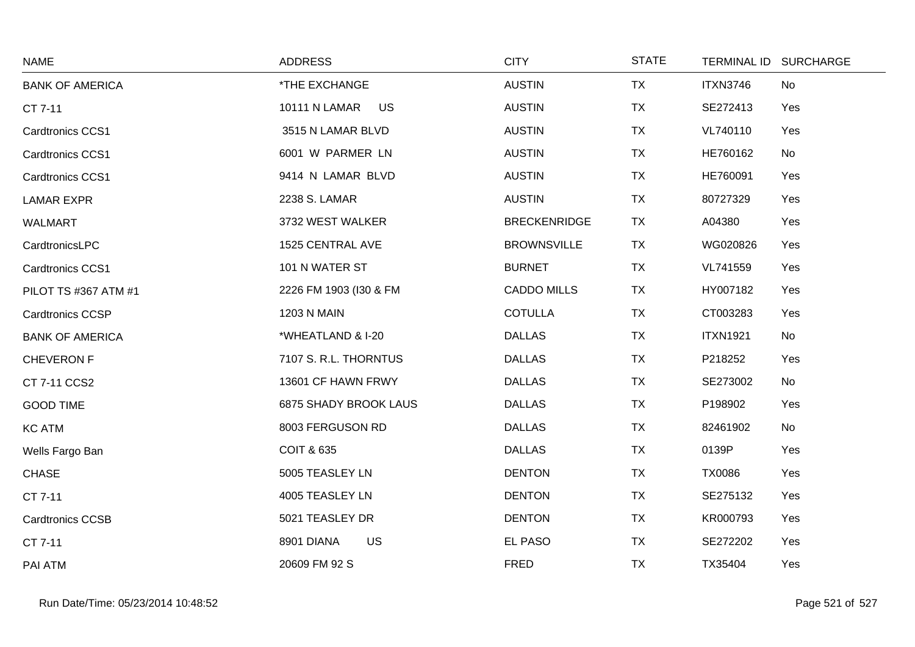| <b>NAME</b>             | <b>ADDRESS</b>               | <b>CITY</b>         | <b>STATE</b> | <b>TERMINAL ID</b> | <b>SURCHARGE</b> |
|-------------------------|------------------------------|---------------------|--------------|--------------------|------------------|
| <b>BANK OF AMERICA</b>  | *THE EXCHANGE                | <b>AUSTIN</b>       | <b>TX</b>    | <b>ITXN3746</b>    | No               |
| CT 7-11                 | 10111 N LAMAR<br><b>US</b>   | <b>AUSTIN</b>       | <b>TX</b>    | SE272413           | Yes              |
| <b>Cardtronics CCS1</b> | 3515 N LAMAR BLVD            | <b>AUSTIN</b>       | <b>TX</b>    | VL740110           | Yes              |
| Cardtronics CCS1        | 6001 W PARMER LN             | <b>AUSTIN</b>       | <b>TX</b>    | HE760162           | No               |
| Cardtronics CCS1        | 9414 N LAMAR BLVD            | <b>AUSTIN</b>       | TX           | HE760091           | Yes              |
| <b>LAMAR EXPR</b>       | 2238 S. LAMAR                | <b>AUSTIN</b>       | <b>TX</b>    | 80727329           | Yes              |
| <b>WALMART</b>          | 3732 WEST WALKER             | <b>BRECKENRIDGE</b> | TX           | A04380             | Yes              |
| CardtronicsLPC          | 1525 CENTRAL AVE             | <b>BROWNSVILLE</b>  | <b>TX</b>    | WG020826           | Yes              |
| Cardtronics CCS1        | 101 N WATER ST               | <b>BURNET</b>       | <b>TX</b>    | VL741559           | Yes              |
| PILOT TS #367 ATM #1    | 2226 FM 1903 (I30 & FM       | <b>CADDO MILLS</b>  | <b>TX</b>    | HY007182           | Yes              |
| <b>Cardtronics CCSP</b> | <b>1203 N MAIN</b>           | <b>COTULLA</b>      | TX           | CT003283           | Yes              |
| <b>BANK OF AMERICA</b>  | *WHEATLAND & I-20            | <b>DALLAS</b>       | <b>TX</b>    | <b>ITXN1921</b>    | No               |
| <b>CHEVERON F</b>       | 7107 S. R.L. THORNTUS        | <b>DALLAS</b>       | <b>TX</b>    | P218252            | Yes              |
| CT 7-11 CCS2            | 13601 CF HAWN FRWY           | <b>DALLAS</b>       | TX           | SE273002           | No               |
| <b>GOOD TIME</b>        | <b>6875 SHADY BROOK LAUS</b> | <b>DALLAS</b>       | <b>TX</b>    | P198902            | Yes              |
| <b>KC ATM</b>           | 8003 FERGUSON RD             | <b>DALLAS</b>       | <b>TX</b>    | 82461902           | No               |
| Wells Fargo Ban         | <b>COIT &amp; 635</b>        | <b>DALLAS</b>       | <b>TX</b>    | 0139P              | Yes              |
| <b>CHASE</b>            | 5005 TEASLEY LN              | <b>DENTON</b>       | TX           | <b>TX0086</b>      | Yes              |
| CT 7-11                 | 4005 TEASLEY LN              | <b>DENTON</b>       | <b>TX</b>    | SE275132           | Yes              |
| <b>Cardtronics CCSB</b> | 5021 TEASLEY DR              | <b>DENTON</b>       | <b>TX</b>    | KR000793           | Yes              |
| CT 7-11                 | <b>US</b><br>8901 DIANA      | EL PASO             | <b>TX</b>    | SE272202           | Yes              |
| PAI ATM                 | 20609 FM 92 S                | <b>FRED</b>         | <b>TX</b>    | TX35404            | Yes              |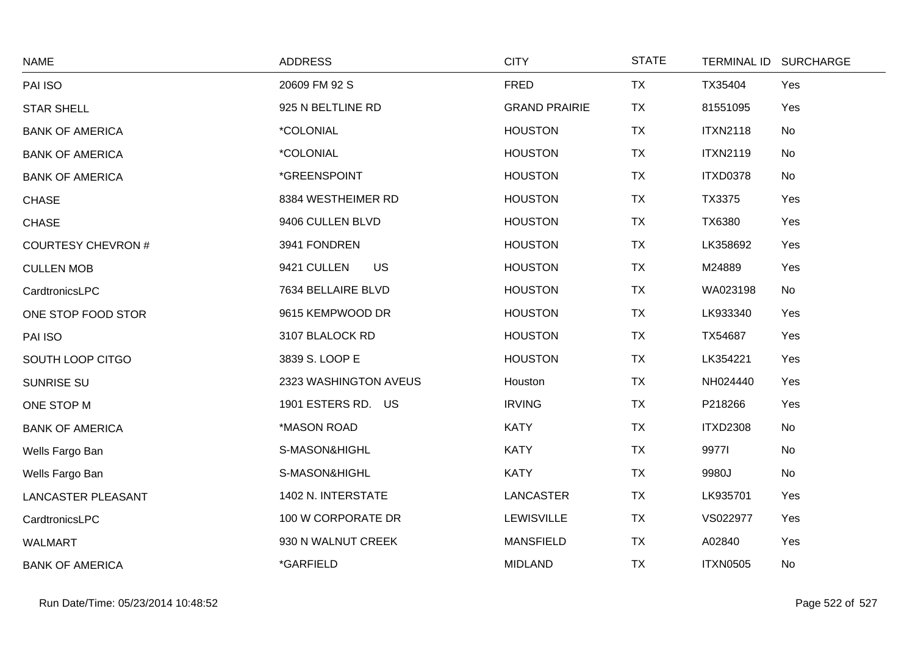| <b>NAME</b>               | <b>ADDRESS</b>           | <b>CITY</b>          | <b>STATE</b> |                 | TERMINAL ID SURCHARGE |
|---------------------------|--------------------------|----------------------|--------------|-----------------|-----------------------|
| PAI ISO                   | 20609 FM 92 S            | <b>FRED</b>          | <b>TX</b>    | TX35404         | Yes                   |
| <b>STAR SHELL</b>         | 925 N BELTLINE RD        | <b>GRAND PRAIRIE</b> | <b>TX</b>    | 81551095        | Yes                   |
| <b>BANK OF AMERICA</b>    | *COLONIAL                | <b>HOUSTON</b>       | <b>TX</b>    | <b>ITXN2118</b> | No                    |
| <b>BANK OF AMERICA</b>    | *COLONIAL                | <b>HOUSTON</b>       | <b>TX</b>    | <b>ITXN2119</b> | No                    |
| <b>BANK OF AMERICA</b>    | *GREENSPOINT             | <b>HOUSTON</b>       | <b>TX</b>    | <b>ITXD0378</b> | No                    |
| <b>CHASE</b>              | 8384 WESTHEIMER RD       | <b>HOUSTON</b>       | <b>TX</b>    | TX3375          | Yes                   |
| <b>CHASE</b>              | 9406 CULLEN BLVD         | <b>HOUSTON</b>       | <b>TX</b>    | TX6380          | Yes                   |
| <b>COURTESY CHEVRON#</b>  | 3941 FONDREN             | <b>HOUSTON</b>       | <b>TX</b>    | LK358692        | Yes                   |
| <b>CULLEN MOB</b>         | 9421 CULLEN<br><b>US</b> | <b>HOUSTON</b>       | <b>TX</b>    | M24889          | Yes                   |
| CardtronicsLPC            | 7634 BELLAIRE BLVD       | <b>HOUSTON</b>       | <b>TX</b>    | WA023198        | No                    |
| ONE STOP FOOD STOR        | 9615 KEMPWOOD DR         | <b>HOUSTON</b>       | <b>TX</b>    | LK933340        | Yes                   |
| PAI ISO                   | 3107 BLALOCK RD          | <b>HOUSTON</b>       | <b>TX</b>    | TX54687         | Yes                   |
| SOUTH LOOP CITGO          | 3839 S. LOOP E           | <b>HOUSTON</b>       | <b>TX</b>    | LK354221        | Yes                   |
| <b>SUNRISE SU</b>         | 2323 WASHINGTON AVEUS    | Houston              | <b>TX</b>    | NH024440        | Yes                   |
| ONE STOP M                | 1901 ESTERS RD. US       | <b>IRVING</b>        | TX           | P218266         | Yes                   |
| <b>BANK OF AMERICA</b>    | *MASON ROAD              | <b>KATY</b>          | <b>TX</b>    | <b>ITXD2308</b> | No                    |
| Wells Fargo Ban           | S-MASON&HIGHL            | <b>KATY</b>          | <b>TX</b>    | 99771           | No                    |
| Wells Fargo Ban           | S-MASON&HIGHL            | <b>KATY</b>          | <b>TX</b>    | 9980J           | No                    |
| <b>LANCASTER PLEASANT</b> | 1402 N. INTERSTATE       | <b>LANCASTER</b>     | <b>TX</b>    | LK935701        | Yes                   |
| CardtronicsLPC            | 100 W CORPORATE DR       | <b>LEWISVILLE</b>    | <b>TX</b>    | VS022977        | Yes                   |
| <b>WALMART</b>            | 930 N WALNUT CREEK       | <b>MANSFIELD</b>     | <b>TX</b>    | A02840          | Yes                   |
| <b>BANK OF AMERICA</b>    | *GARFIELD                | <b>MIDLAND</b>       | <b>TX</b>    | <b>ITXN0505</b> | No                    |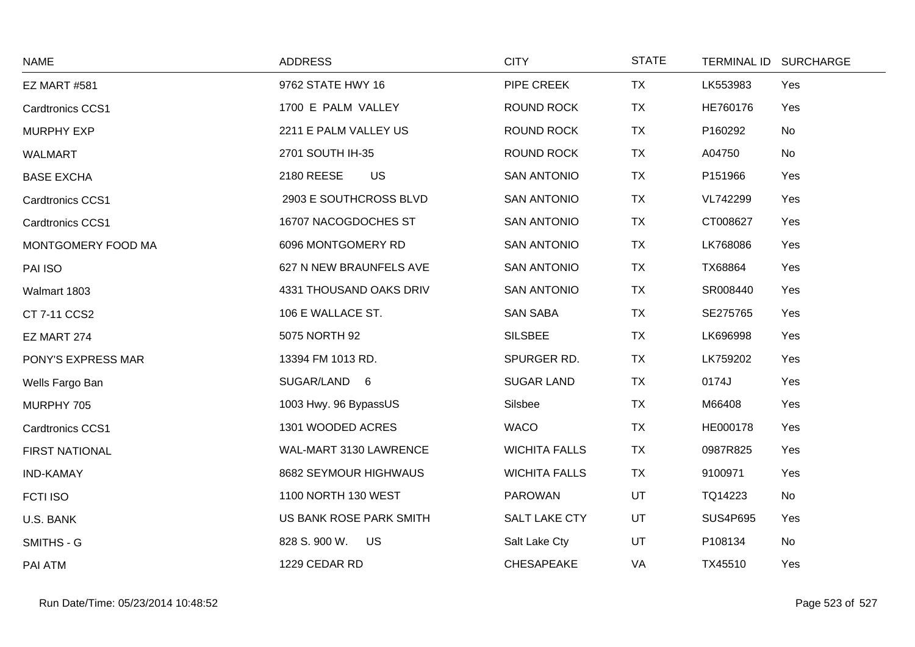| <b>NAME</b>             | <b>ADDRESS</b>          | <b>CITY</b>          | <b>STATE</b> |                 | TERMINAL ID SURCHARGE |
|-------------------------|-------------------------|----------------------|--------------|-----------------|-----------------------|
| <b>EZ MART #581</b>     | 9762 STATE HWY 16       | PIPE CREEK           | <b>TX</b>    | LK553983        | Yes                   |
| <b>Cardtronics CCS1</b> | 1700 E PALM VALLEY      | <b>ROUND ROCK</b>    | <b>TX</b>    | HE760176        | Yes                   |
| <b>MURPHY EXP</b>       | 2211 E PALM VALLEY US   | <b>ROUND ROCK</b>    | <b>TX</b>    | P160292         | No                    |
| WALMART                 | 2701 SOUTH IH-35        | <b>ROUND ROCK</b>    | <b>TX</b>    | A04750          | No                    |
| <b>BASE EXCHA</b>       | 2180 REESE<br><b>US</b> | <b>SAN ANTONIO</b>   | <b>TX</b>    | P151966         | Yes                   |
| <b>Cardtronics CCS1</b> | 2903 E SOUTHCROSS BLVD  | <b>SAN ANTONIO</b>   | <b>TX</b>    | VL742299        | Yes                   |
| <b>Cardtronics CCS1</b> | 16707 NACOGDOCHES ST    | <b>SAN ANTONIO</b>   | <b>TX</b>    | CT008627        | Yes                   |
| MONTGOMERY FOOD MA      | 6096 MONTGOMERY RD      | <b>SAN ANTONIO</b>   | <b>TX</b>    | LK768086        | Yes                   |
| PAI ISO                 | 627 N NEW BRAUNFELS AVE | <b>SAN ANTONIO</b>   | <b>TX</b>    | TX68864         | Yes                   |
| Walmart 1803            | 4331 THOUSAND OAKS DRIV | <b>SAN ANTONIO</b>   | <b>TX</b>    | SR008440        | Yes                   |
| CT 7-11 CCS2            | 106 E WALLACE ST.       | <b>SAN SABA</b>      | <b>TX</b>    | SE275765        | Yes                   |
| EZ MART 274             | 5075 NORTH 92           | <b>SILSBEE</b>       | <b>TX</b>    | LK696998        | Yes                   |
| PONY'S EXPRESS MAR      | 13394 FM 1013 RD.       | SPURGER RD.          | <b>TX</b>    | LK759202        | Yes                   |
| Wells Fargo Ban         | SUGAR/LAND 6            | <b>SUGAR LAND</b>    | <b>TX</b>    | 0174J           | Yes                   |
| MURPHY 705              | 1003 Hwy. 96 BypassUS   | Silsbee              | <b>TX</b>    | M66408          | Yes                   |
| Cardtronics CCS1        | 1301 WOODED ACRES       | <b>WACO</b>          | <b>TX</b>    | HE000178        | Yes                   |
| <b>FIRST NATIONAL</b>   | WAL-MART 3130 LAWRENCE  | <b>WICHITA FALLS</b> | <b>TX</b>    | 0987R825        | Yes                   |
| <b>IND-KAMAY</b>        | 8682 SEYMOUR HIGHWAUS   | <b>WICHITA FALLS</b> | <b>TX</b>    | 9100971         | Yes                   |
| <b>FCTI ISO</b>         | 1100 NORTH 130 WEST     | <b>PAROWAN</b>       | UT           | TQ14223         | No                    |
| U.S. BANK               | US BANK ROSE PARK SMITH | SALT LAKE CTY        | UT           | <b>SUS4P695</b> | Yes                   |
| SMITHS - G              | 828 S. 900 W. US        | Salt Lake Cty        | UT           | P108134         | No                    |
| PAI ATM                 | 1229 CEDAR RD           | <b>CHESAPEAKE</b>    | VA           | TX45510         | Yes                   |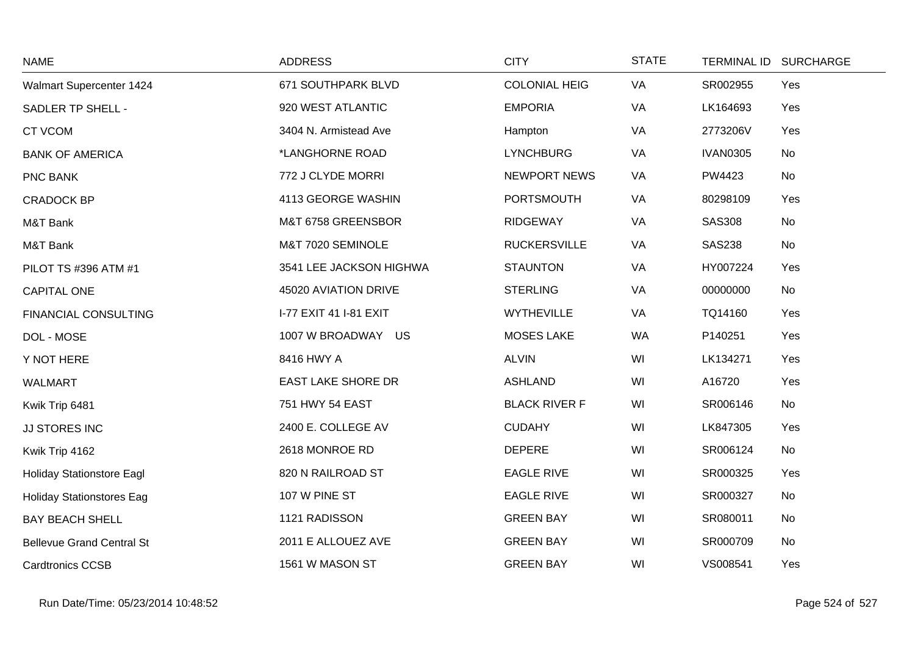| <b>NAME</b>                      | <b>ADDRESS</b>            | <b>CITY</b>          | <b>STATE</b> |                 | TERMINAL ID SURCHARGE |
|----------------------------------|---------------------------|----------------------|--------------|-----------------|-----------------------|
| Walmart Supercenter 1424         | 671 SOUTHPARK BLVD        | <b>COLONIAL HEIG</b> | VA           | SR002955        | Yes                   |
| SADLER TP SHELL -                | 920 WEST ATLANTIC         | <b>EMPORIA</b>       | VA           | LK164693        | Yes                   |
| <b>CT VCOM</b>                   | 3404 N. Armistead Ave     | Hampton              | VA           | 2773206V        | Yes                   |
| <b>BANK OF AMERICA</b>           | *LANGHORNE ROAD           | <b>LYNCHBURG</b>     | VA           | <b>IVAN0305</b> | No                    |
| PNC BANK                         | 772 J CLYDE MORRI         | <b>NEWPORT NEWS</b>  | VA           | PW4423          | No                    |
| <b>CRADOCK BP</b>                | 4113 GEORGE WASHIN        | <b>PORTSMOUTH</b>    | VA           | 80298109        | Yes                   |
| M&T Bank                         | M&T 6758 GREENSBOR        | <b>RIDGEWAY</b>      | VA           | <b>SAS308</b>   | No                    |
| M&T Bank                         | M&T 7020 SEMINOLE         | <b>RUCKERSVILLE</b>  | VA           | <b>SAS238</b>   | No                    |
| PILOT TS #396 ATM #1             | 3541 LEE JACKSON HIGHWA   | <b>STAUNTON</b>      | VA           | HY007224        | Yes                   |
| CAPITAL ONE                      | 45020 AVIATION DRIVE      | <b>STERLING</b>      | VA           | 00000000        | No                    |
| <b>FINANCIAL CONSULTING</b>      | I-77 EXIT 41 I-81 EXIT    | <b>WYTHEVILLE</b>    | VA           | TQ14160         | Yes                   |
| DOL - MOSE                       | 1007 W BROADWAY US        | <b>MOSES LAKE</b>    | <b>WA</b>    | P140251         | Yes                   |
| Y NOT HERE                       | 8416 HWY A                | <b>ALVIN</b>         | WI           | LK134271        | Yes                   |
| <b>WALMART</b>                   | <b>EAST LAKE SHORE DR</b> | <b>ASHLAND</b>       | WI           | A16720          | Yes                   |
| Kwik Trip 6481                   | 751 HWY 54 EAST           | <b>BLACK RIVER F</b> | WI           | SR006146        | No                    |
| JJ STORES INC                    | 2400 E. COLLEGE AV        | <b>CUDAHY</b>        | WI           | LK847305        | Yes                   |
| Kwik Trip 4162                   | 2618 MONROE RD            | <b>DEPERE</b>        | WI           | SR006124        | No                    |
| <b>Holiday Stationstore Eagl</b> | 820 N RAILROAD ST         | <b>EAGLE RIVE</b>    | WI           | SR000325        | Yes                   |
| <b>Holiday Stationstores Eag</b> | 107 W PINE ST             | <b>EAGLE RIVE</b>    | WI           | SR000327        | No                    |
| <b>BAY BEACH SHELL</b>           | 1121 RADISSON             | <b>GREEN BAY</b>     | WI           | SR080011        | No                    |
| <b>Bellevue Grand Central St</b> | 2011 E ALLOUEZ AVE        | <b>GREEN BAY</b>     | WI           | SR000709        | No                    |
| <b>Cardtronics CCSB</b>          | 1561 W MASON ST           | <b>GREEN BAY</b>     | WI           | VS008541        | Yes                   |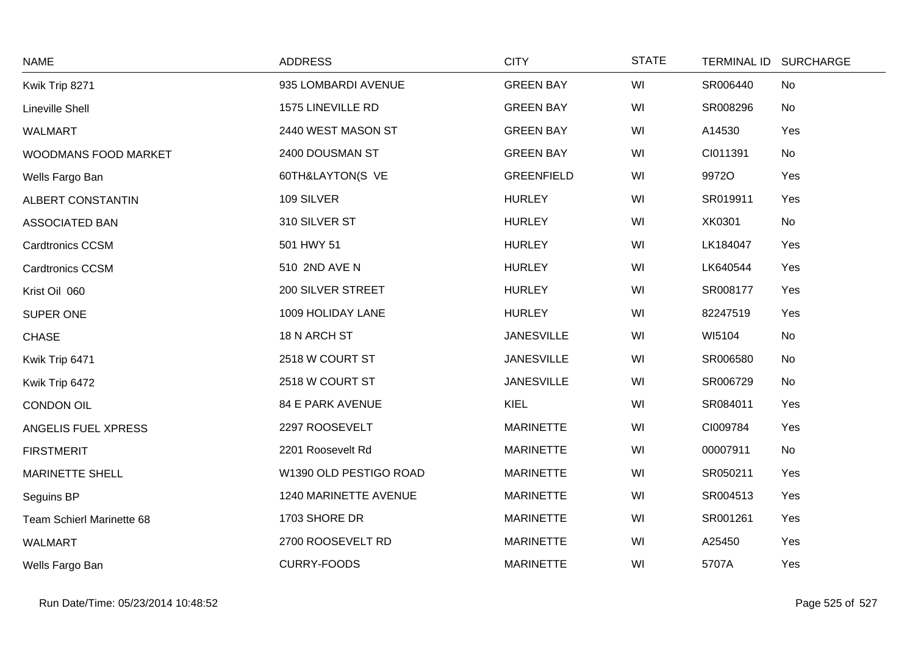| <b>NAME</b>               | <b>ADDRESS</b>          | <b>CITY</b>       | <b>STATE</b> | <b>TERMINAL ID</b> | <b>SURCHARGE</b> |
|---------------------------|-------------------------|-------------------|--------------|--------------------|------------------|
| Kwik Trip 8271            | 935 LOMBARDI AVENUE     | <b>GREEN BAY</b>  | WI           | SR006440           | No               |
| <b>Lineville Shell</b>    | 1575 LINEVILLE RD       | <b>GREEN BAY</b>  | WI           | SR008296           | No               |
| <b>WALMART</b>            | 2440 WEST MASON ST      | <b>GREEN BAY</b>  | WI           | A14530             | Yes              |
| WOODMANS FOOD MARKET      | 2400 DOUSMAN ST         | <b>GREEN BAY</b>  | WI           | CI011391           | No               |
| Wells Fargo Ban           | 60TH&LAYTON(S VE        | <b>GREENFIELD</b> | WI           | 9972O              | Yes              |
| <b>ALBERT CONSTANTIN</b>  | 109 SILVER              | <b>HURLEY</b>     | WI           | SR019911           | Yes              |
| ASSOCIATED BAN            | 310 SILVER ST           | <b>HURLEY</b>     | WI           | XK0301             | <b>No</b>        |
| <b>Cardtronics CCSM</b>   | 501 HWY 51              | <b>HURLEY</b>     | WI           | LK184047           | Yes              |
| <b>Cardtronics CCSM</b>   | 510 2ND AVE N           | <b>HURLEY</b>     | WI           | LK640544           | Yes              |
| Krist Oil 060             | 200 SILVER STREET       | <b>HURLEY</b>     | WI           | SR008177           | Yes              |
| SUPER ONE                 | 1009 HOLIDAY LANE       | <b>HURLEY</b>     | WI           | 82247519           | Yes              |
| <b>CHASE</b>              | 18 N ARCH ST            | <b>JANESVILLE</b> | WI           | WI5104             | <b>No</b>        |
| Kwik Trip 6471            | 2518 W COURT ST         | <b>JANESVILLE</b> | WI           | SR006580           | <b>No</b>        |
| Kwik Trip 6472            | 2518 W COURT ST         | <b>JANESVILLE</b> | WI           | SR006729           | No               |
| <b>CONDON OIL</b>         | <b>84 E PARK AVENUE</b> | KIEL              | WI           | SR084011           | Yes              |
| ANGELIS FUEL XPRESS       | 2297 ROOSEVELT          | <b>MARINETTE</b>  | WI           | CI009784           | Yes              |
| <b>FIRSTMERIT</b>         | 2201 Roosevelt Rd       | <b>MARINETTE</b>  | WI           | 00007911           | <b>No</b>        |
| <b>MARINETTE SHELL</b>    | W1390 OLD PESTIGO ROAD  | <b>MARINETTE</b>  | WI           | SR050211           | Yes              |
| Seguins BP                | 1240 MARINETTE AVENUE   | <b>MARINETTE</b>  | WI           | SR004513           | Yes              |
| Team Schierl Marinette 68 | 1703 SHORE DR           | <b>MARINETTE</b>  | WI           | SR001261           | Yes              |
| <b>WALMART</b>            | 2700 ROOSEVELT RD       | <b>MARINETTE</b>  | WI           | A25450             | Yes              |
| Wells Fargo Ban           | <b>CURRY-FOODS</b>      | <b>MARINETTE</b>  | WI           | 5707A              | Yes              |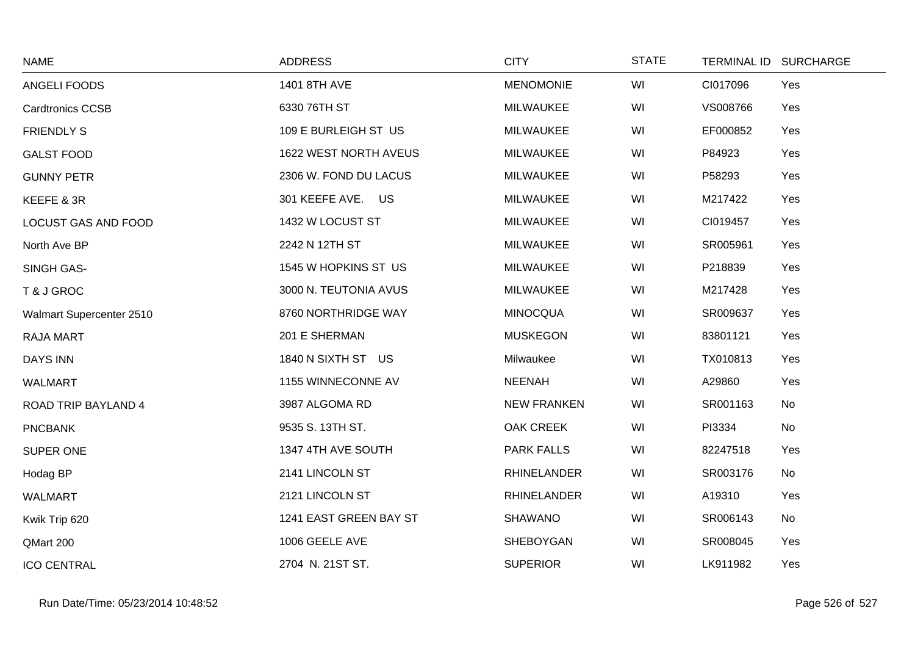| <b>NAME</b>                | <b>ADDRESS</b>         | <b>CITY</b>        | <b>STATE</b> |          | TERMINAL ID SURCHARGE |
|----------------------------|------------------------|--------------------|--------------|----------|-----------------------|
| ANGELI FOODS               | 1401 8TH AVE           | <b>MENOMONIE</b>   | WI           | CI017096 | Yes                   |
| <b>Cardtronics CCSB</b>    | 6330 76TH ST           | <b>MILWAUKEE</b>   | WI           | VS008766 | Yes                   |
| <b>FRIENDLY S</b>          | 109 E BURLEIGH ST US   | <b>MILWAUKEE</b>   | WI           | EF000852 | Yes                   |
| <b>GALST FOOD</b>          | 1622 WEST NORTH AVEUS  | <b>MILWAUKEE</b>   | WI           | P84923   | Yes                   |
| <b>GUNNY PETR</b>          | 2306 W. FOND DU LACUS  | <b>MILWAUKEE</b>   | WI           | P58293   | Yes                   |
| KEEFE & 3R                 | 301 KEEFE AVE. US      | <b>MILWAUKEE</b>   | WI           | M217422  | Yes                   |
| LOCUST GAS AND FOOD        | 1432 W LOCUST ST       | <b>MILWAUKEE</b>   | WI           | CI019457 | Yes                   |
| North Ave BP               | 2242 N 12TH ST         | <b>MILWAUKEE</b>   | WI           | SR005961 | Yes                   |
| SINGH GAS-                 | 1545 W HOPKINS ST US   | <b>MILWAUKEE</b>   | WI           | P218839  | Yes                   |
| T & J GROC                 | 3000 N. TEUTONIA AVUS  | <b>MILWAUKEE</b>   | WI           | M217428  | Yes                   |
| Walmart Supercenter 2510   | 8760 NORTHRIDGE WAY    | <b>MINOCQUA</b>    | WI           | SR009637 | Yes                   |
| RAJA MART                  | 201 E SHERMAN          | <b>MUSKEGON</b>    | WI           | 83801121 | Yes                   |
| <b>DAYS INN</b>            | 1840 N SIXTH ST US     | Milwaukee          | WI           | TX010813 | Yes                   |
| <b>WALMART</b>             | 1155 WINNECONNE AV     | <b>NEENAH</b>      | WI           | A29860   | Yes                   |
| <b>ROAD TRIP BAYLAND 4</b> | 3987 ALGOMA RD         | <b>NEW FRANKEN</b> | WI           | SR001163 | No                    |
| <b>PNCBANK</b>             | 9535 S. 13TH ST.       | <b>OAK CREEK</b>   | WI           | PI3334   | No                    |
| SUPER ONE                  | 1347 4TH AVE SOUTH     | <b>PARK FALLS</b>  | WI           | 82247518 | Yes                   |
| Hodag BP                   | 2141 LINCOLN ST        | <b>RHINELANDER</b> | WI           | SR003176 | No                    |
| <b>WALMART</b>             | 2121 LINCOLN ST        | <b>RHINELANDER</b> | WI           | A19310   | Yes                   |
| Kwik Trip 620              | 1241 EAST GREEN BAY ST | <b>SHAWANO</b>     | WI           | SR006143 | No                    |
| QMart 200                  | 1006 GEELE AVE         | SHEBOYGAN          | WI           | SR008045 | Yes                   |
| <b>ICO CENTRAL</b>         | 2704 N. 21ST ST.       | <b>SUPERIOR</b>    | WI           | LK911982 | Yes                   |